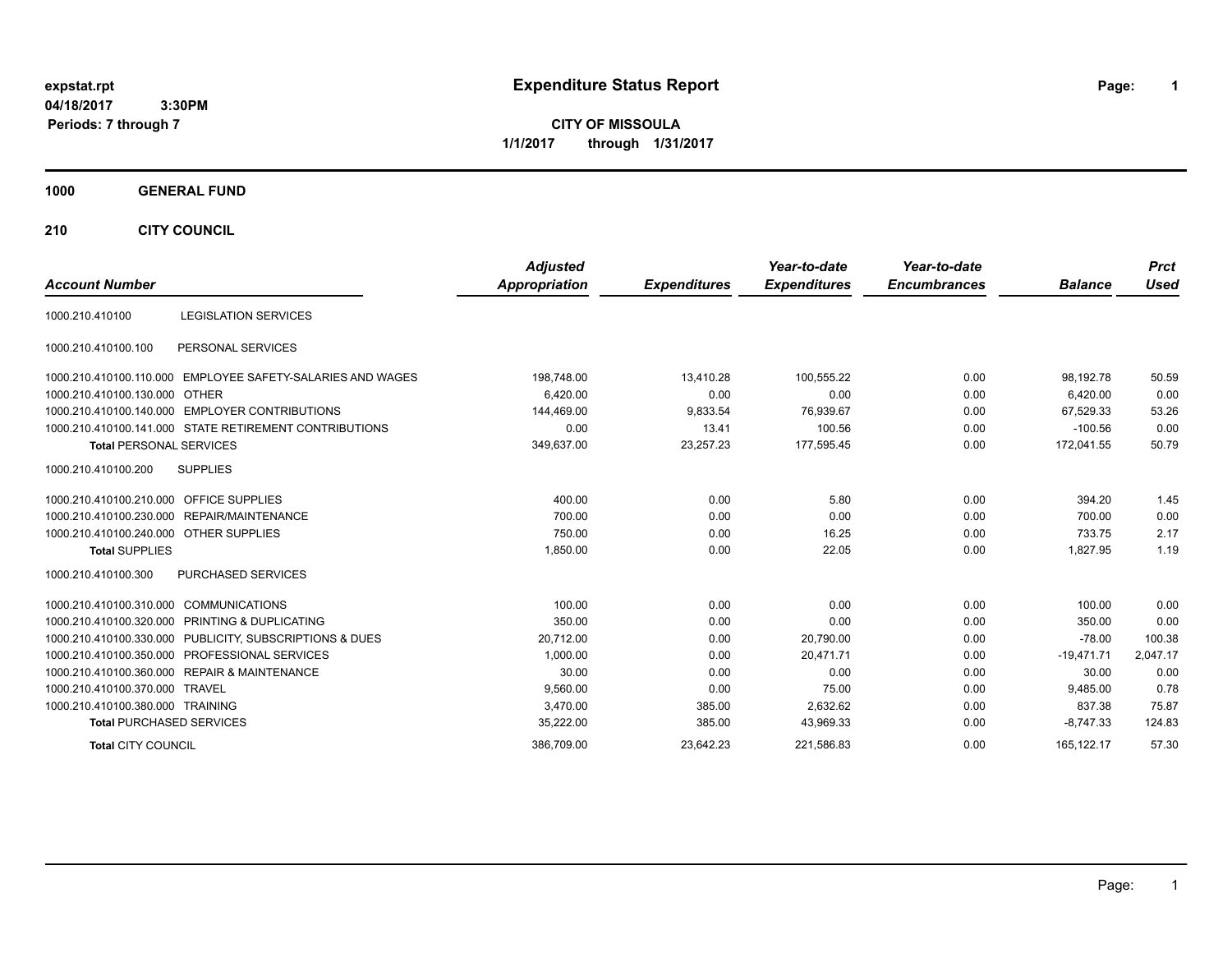**CITY OF MISSOULA 1/1/2017 through 1/31/2017**

## **1000 GENERAL FUND**

**210 CITY COUNCIL**

| <b>Account Number</b>                  |                                                         | <b>Adjusted</b><br><b>Appropriation</b> | <b>Expenditures</b> | Year-to-date<br><b>Expenditures</b> | Year-to-date<br><b>Encumbrances</b> | <b>Balance</b> | <b>Prct</b><br><b>Used</b> |
|----------------------------------------|---------------------------------------------------------|-----------------------------------------|---------------------|-------------------------------------|-------------------------------------|----------------|----------------------------|
| 1000.210.410100                        | <b>LEGISLATION SERVICES</b>                             |                                         |                     |                                     |                                     |                |                            |
| 1000.210.410100.100                    | PERSONAL SERVICES                                       |                                         |                     |                                     |                                     |                |                            |
| 1000.210.410100.110.000                | EMPLOYEE SAFETY-SALARIES AND WAGES                      | 198,748.00                              | 13,410.28           | 100.555.22                          | 0.00                                | 98.192.78      | 50.59                      |
| 1000.210.410100.130.000                | OTHER                                                   | 6,420.00                                | 0.00                | 0.00                                | 0.00                                | 6,420.00       | 0.00                       |
|                                        | 1000.210.410100.140.000 EMPLOYER CONTRIBUTIONS          | 144,469.00                              | 9,833.54            | 76,939.67                           | 0.00                                | 67,529.33      | 53.26                      |
|                                        | 1000.210.410100.141.000 STATE RETIREMENT CONTRIBUTIONS  | 0.00                                    | 13.41               | 100.56                              | 0.00                                | $-100.56$      | 0.00                       |
| <b>Total PERSONAL SERVICES</b>         |                                                         | 349,637.00                              | 23,257.23           | 177,595.45                          | 0.00                                | 172,041.55     | 50.79                      |
| 1000.210.410100.200                    | <b>SUPPLIES</b>                                         |                                         |                     |                                     |                                     |                |                            |
| 1000.210.410100.210.000                | <b>OFFICE SUPPLIES</b>                                  | 400.00                                  | 0.00                | 5.80                                | 0.00                                | 394.20         | 1.45                       |
|                                        | 1000.210.410100.230.000 REPAIR/MAINTENANCE              | 700.00                                  | 0.00                | 0.00                                | 0.00                                | 700.00         | 0.00                       |
| 1000.210.410100.240.000 OTHER SUPPLIES |                                                         | 750.00                                  | 0.00                | 16.25                               | 0.00                                | 733.75         | 2.17                       |
| <b>Total SUPPLIES</b>                  |                                                         | 1,850.00                                | 0.00                | 22.05                               | 0.00                                | 1,827.95       | 1.19                       |
| 1000.210.410100.300                    | <b>PURCHASED SERVICES</b>                               |                                         |                     |                                     |                                     |                |                            |
| 1000.210.410100.310.000                | <b>COMMUNICATIONS</b>                                   | 100.00                                  | 0.00                | 0.00                                | 0.00                                | 100.00         | 0.00                       |
|                                        | 1000.210.410100.320.000 PRINTING & DUPLICATING          | 350.00                                  | 0.00                | 0.00                                | 0.00                                | 350.00         | 0.00                       |
|                                        | 1000.210.410100.330.000 PUBLICITY, SUBSCRIPTIONS & DUES | 20,712.00                               | 0.00                | 20,790.00                           | 0.00                                | $-78.00$       | 100.38                     |
|                                        | 1000.210.410100.350.000 PROFESSIONAL SERVICES           | 1,000.00                                | 0.00                | 20,471.71                           | 0.00                                | $-19,471.71$   | 2,047.17                   |
|                                        | 1000.210.410100.360.000 REPAIR & MAINTENANCE            | 30.00                                   | 0.00                | 0.00                                | 0.00                                | 30.00          | 0.00                       |
| 1000.210.410100.370.000 TRAVEL         |                                                         | 9,560.00                                | 0.00                | 75.00                               | 0.00                                | 9.485.00       | 0.78                       |
| 1000.210.410100.380.000 TRAINING       |                                                         | 3.470.00                                | 385.00              | 2,632.62                            | 0.00                                | 837.38         | 75.87                      |
| <b>Total PURCHASED SERVICES</b>        |                                                         | 35,222.00                               | 385.00              | 43,969.33                           | 0.00                                | $-8.747.33$    | 124.83                     |
| <b>Total CITY COUNCIL</b>              |                                                         | 386.709.00                              | 23.642.23           | 221.586.83                          | 0.00                                | 165.122.17     | 57.30                      |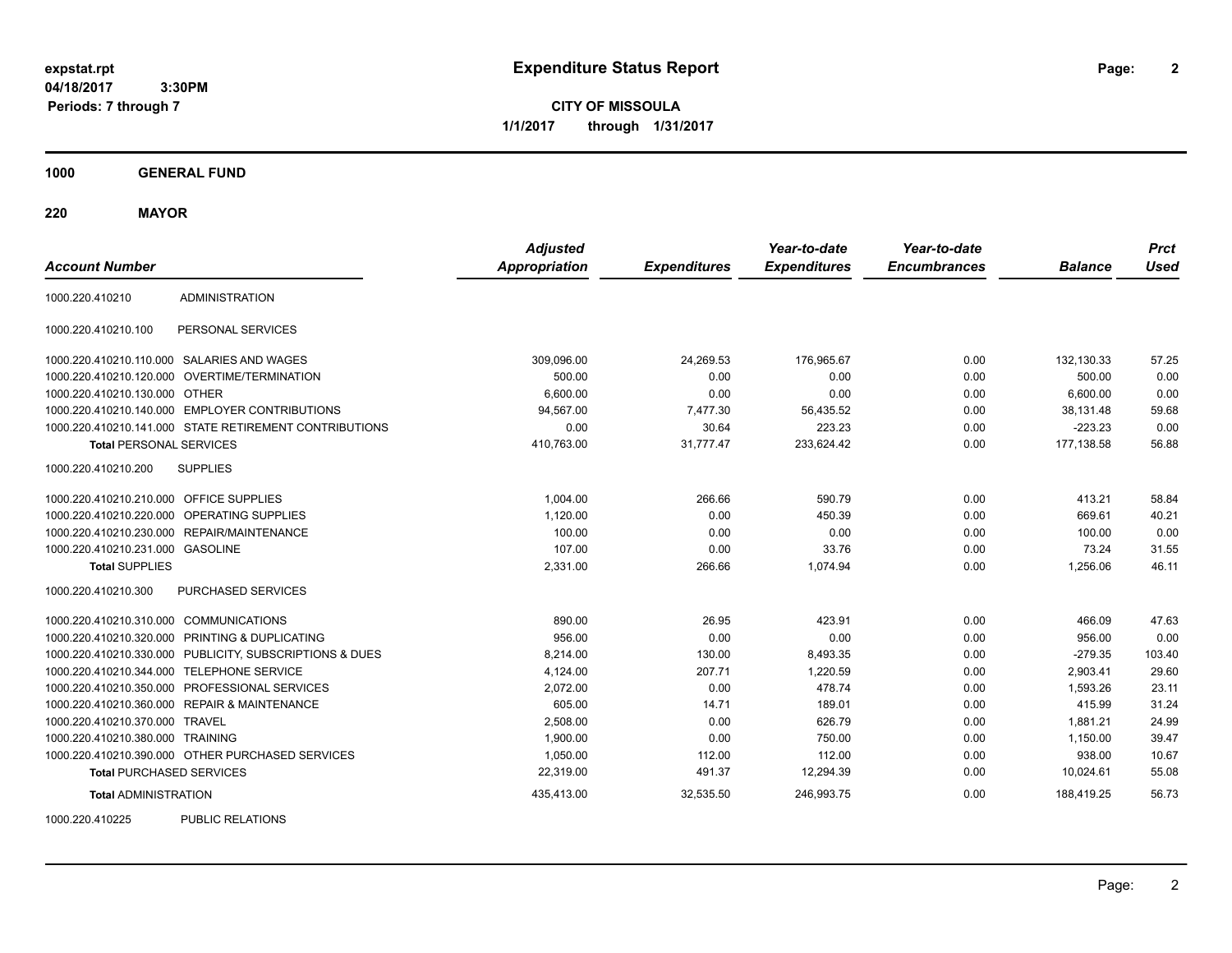**2**

**CITY OF MISSOULA 1/1/2017 through 1/31/2017**

**1000 GENERAL FUND**

**220 MAYOR**

| <b>Account Number</b>                   |                                                         | <b>Adjusted</b><br><b>Appropriation</b> | <b>Expenditures</b> | Year-to-date<br><b>Expenditures</b> | Year-to-date<br><b>Encumbrances</b> | <b>Balance</b> | <b>Prct</b><br><b>Used</b> |
|-----------------------------------------|---------------------------------------------------------|-----------------------------------------|---------------------|-------------------------------------|-------------------------------------|----------------|----------------------------|
| 1000.220.410210                         | <b>ADMINISTRATION</b>                                   |                                         |                     |                                     |                                     |                |                            |
| 1000.220.410210.100                     | PERSONAL SERVICES                                       |                                         |                     |                                     |                                     |                |                            |
|                                         | 1000.220.410210.110.000 SALARIES AND WAGES              | 309,096.00                              | 24,269.53           | 176,965.67                          | 0.00                                | 132,130.33     | 57.25                      |
|                                         | 1000.220.410210.120.000 OVERTIME/TERMINATION            | 500.00                                  | 0.00                | 0.00                                | 0.00                                | 500.00         | 0.00                       |
| 1000.220.410210.130.000 OTHER           |                                                         | 6,600.00                                | 0.00                | 0.00                                | 0.00                                | 6,600.00       | 0.00                       |
|                                         | 1000.220.410210.140.000 EMPLOYER CONTRIBUTIONS          | 94.567.00                               | 7,477.30            | 56,435.52                           | 0.00                                | 38.131.48      | 59.68                      |
|                                         | 1000.220.410210.141.000 STATE RETIREMENT CONTRIBUTIONS  | 0.00                                    | 30.64               | 223.23                              | 0.00                                | $-223.23$      | 0.00                       |
| <b>Total PERSONAL SERVICES</b>          |                                                         | 410,763.00                              | 31,777.47           | 233,624.42                          | 0.00                                | 177,138.58     | 56.88                      |
| 1000.220.410210.200                     | <b>SUPPLIES</b>                                         |                                         |                     |                                     |                                     |                |                            |
| 1000.220.410210.210.000 OFFICE SUPPLIES |                                                         | 1,004.00                                | 266.66              | 590.79                              | 0.00                                | 413.21         | 58.84                      |
|                                         | 1000.220.410210.220.000 OPERATING SUPPLIES              | 1,120.00                                | 0.00                | 450.39                              | 0.00                                | 669.61         | 40.21                      |
|                                         | 1000.220.410210.230.000 REPAIR/MAINTENANCE              | 100.00                                  | 0.00                | 0.00                                | 0.00                                | 100.00         | 0.00                       |
| 1000.220.410210.231.000 GASOLINE        |                                                         | 107.00                                  | 0.00                | 33.76                               | 0.00                                | 73.24          | 31.55                      |
| <b>Total SUPPLIES</b>                   |                                                         | 2,331.00                                | 266.66              | 1,074.94                            | 0.00                                | 1,256.06       | 46.11                      |
| 1000.220.410210.300                     | <b>PURCHASED SERVICES</b>                               |                                         |                     |                                     |                                     |                |                            |
| 1000.220.410210.310.000 COMMUNICATIONS  |                                                         | 890.00                                  | 26.95               | 423.91                              | 0.00                                | 466.09         | 47.63                      |
|                                         | 1000.220.410210.320.000 PRINTING & DUPLICATING          | 956.00                                  | 0.00                | 0.00                                | 0.00                                | 956.00         | 0.00                       |
|                                         | 1000.220.410210.330.000 PUBLICITY, SUBSCRIPTIONS & DUES | 8,214.00                                | 130.00              | 8,493.35                            | 0.00                                | $-279.35$      | 103.40                     |
|                                         | 1000.220.410210.344.000 TELEPHONE SERVICE               | 4,124.00                                | 207.71              | 1,220.59                            | 0.00                                | 2,903.41       | 29.60                      |
|                                         | 1000.220.410210.350.000 PROFESSIONAL SERVICES           | 2,072.00                                | 0.00                | 478.74                              | 0.00                                | 1,593.26       | 23.11                      |
|                                         | 1000.220.410210.360.000 REPAIR & MAINTENANCE            | 605.00                                  | 14.71               | 189.01                              | 0.00                                | 415.99         | 31.24                      |
| 1000.220.410210.370.000 TRAVEL          |                                                         | 2,508.00                                | 0.00                | 626.79                              | 0.00                                | 1,881.21       | 24.99                      |
| 1000.220.410210.380.000 TRAINING        |                                                         | 1,900.00                                | 0.00                | 750.00                              | 0.00                                | 1,150.00       | 39.47                      |
|                                         | 1000.220.410210.390.000 OTHER PURCHASED SERVICES        | 1,050.00                                | 112.00              | 112.00                              | 0.00                                | 938.00         | 10.67                      |
| <b>Total PURCHASED SERVICES</b>         |                                                         | 22,319.00                               | 491.37              | 12,294.39                           | 0.00                                | 10,024.61      | 55.08                      |
| <b>Total ADMINISTRATION</b>             |                                                         | 435,413.00                              | 32,535.50           | 246,993.75                          | 0.00                                | 188.419.25     | 56.73                      |
| 1000000110005                           | <b>DUDLIO DEL ATIONO</b>                                |                                         |                     |                                     |                                     |                |                            |

1000.220.410225 PUBLIC RELATIONS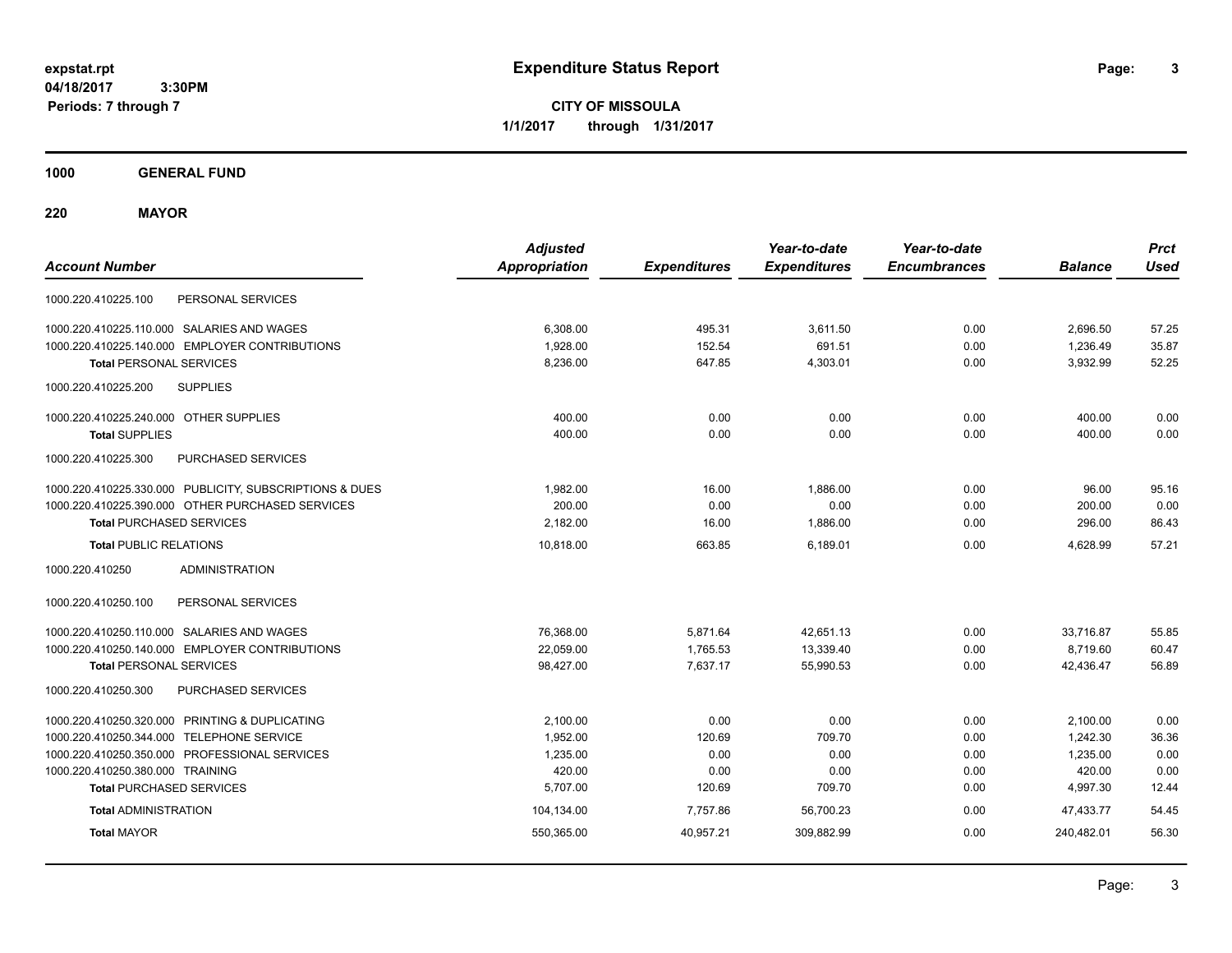**CITY OF MISSOULA 1/1/2017 through 1/31/2017**

**1000 GENERAL FUND**

**220 MAYOR**

| <b>Account Number</b>                                   | <b>Adjusted</b><br><b>Appropriation</b> | <b>Expenditures</b> | Year-to-date<br><b>Expenditures</b> | Year-to-date<br><b>Encumbrances</b> | <b>Balance</b> | <b>Prct</b><br><b>Used</b> |
|---------------------------------------------------------|-----------------------------------------|---------------------|-------------------------------------|-------------------------------------|----------------|----------------------------|
| PERSONAL SERVICES<br>1000.220.410225.100                |                                         |                     |                                     |                                     |                |                            |
| 1000.220.410225.110.000 SALARIES AND WAGES              | 6,308.00                                | 495.31              | 3,611.50                            | 0.00                                | 2,696.50       | 57.25                      |
| 1000.220.410225.140.000 EMPLOYER CONTRIBUTIONS          | 1,928.00                                | 152.54              | 691.51                              | 0.00                                | 1,236.49       | 35.87                      |
| <b>Total PERSONAL SERVICES</b>                          | 8,236.00                                | 647.85              | 4,303.01                            | 0.00                                | 3,932.99       | 52.25                      |
| <b>SUPPLIES</b><br>1000.220.410225.200                  |                                         |                     |                                     |                                     |                |                            |
| 1000.220.410225.240.000 OTHER SUPPLIES                  | 400.00                                  | 0.00                | 0.00                                | 0.00                                | 400.00         | 0.00                       |
| <b>Total SUPPLIES</b>                                   | 400.00                                  | 0.00                | 0.00                                | 0.00                                | 400.00         | 0.00                       |
| <b>PURCHASED SERVICES</b><br>1000.220.410225.300        |                                         |                     |                                     |                                     |                |                            |
| 1000.220.410225.330.000 PUBLICITY, SUBSCRIPTIONS & DUES | 1,982.00                                | 16.00               | 1,886.00                            | 0.00                                | 96.00          | 95.16                      |
| 1000.220.410225.390.000 OTHER PURCHASED SERVICES        | 200.00                                  | 0.00                | 0.00                                | 0.00                                | 200.00         | 0.00                       |
| <b>Total PURCHASED SERVICES</b>                         | 2,182.00                                | 16.00               | 1,886.00                            | 0.00                                | 296.00         | 86.43                      |
| <b>Total PUBLIC RELATIONS</b>                           | 10,818.00                               | 663.85              | 6.189.01                            | 0.00                                | 4.628.99       | 57.21                      |
| <b>ADMINISTRATION</b><br>1000.220.410250                |                                         |                     |                                     |                                     |                |                            |
| 1000.220.410250.100<br>PERSONAL SERVICES                |                                         |                     |                                     |                                     |                |                            |
| 1000.220.410250.110.000 SALARIES AND WAGES              | 76,368.00                               | 5,871.64            | 42,651.13                           | 0.00                                | 33,716.87      | 55.85                      |
| 1000.220.410250.140.000 EMPLOYER CONTRIBUTIONS          | 22,059.00                               | 1,765.53            | 13,339.40                           | 0.00                                | 8,719.60       | 60.47                      |
| <b>Total PERSONAL SERVICES</b>                          | 98,427.00                               | 7,637.17            | 55,990.53                           | 0.00                                | 42,436.47      | 56.89                      |
| 1000.220.410250.300<br>PURCHASED SERVICES               |                                         |                     |                                     |                                     |                |                            |
| 1000.220.410250.320.000 PRINTING & DUPLICATING          | 2.100.00                                | 0.00                | 0.00                                | 0.00                                | 2,100.00       | 0.00                       |
| 1000.220.410250.344.000 TELEPHONE SERVICE               | 1,952.00                                | 120.69              | 709.70                              | 0.00                                | 1,242.30       | 36.36                      |
| 1000.220.410250.350.000 PROFESSIONAL SERVICES           | 1,235.00                                | 0.00                | 0.00                                | 0.00                                | 1,235.00       | 0.00                       |
| 1000.220.410250.380.000 TRAINING                        | 420.00                                  | 0.00                | 0.00                                | 0.00                                | 420.00         | 0.00                       |
| <b>Total PURCHASED SERVICES</b>                         | 5,707.00                                | 120.69              | 709.70                              | 0.00                                | 4,997.30       | 12.44                      |
| <b>Total ADMINISTRATION</b>                             | 104,134.00                              | 7,757.86            | 56,700.23                           | 0.00                                | 47.433.77      | 54.45                      |
| <b>Total MAYOR</b>                                      | 550,365.00                              | 40,957.21           | 309,882.99                          | 0.00                                | 240,482.01     | 56.30                      |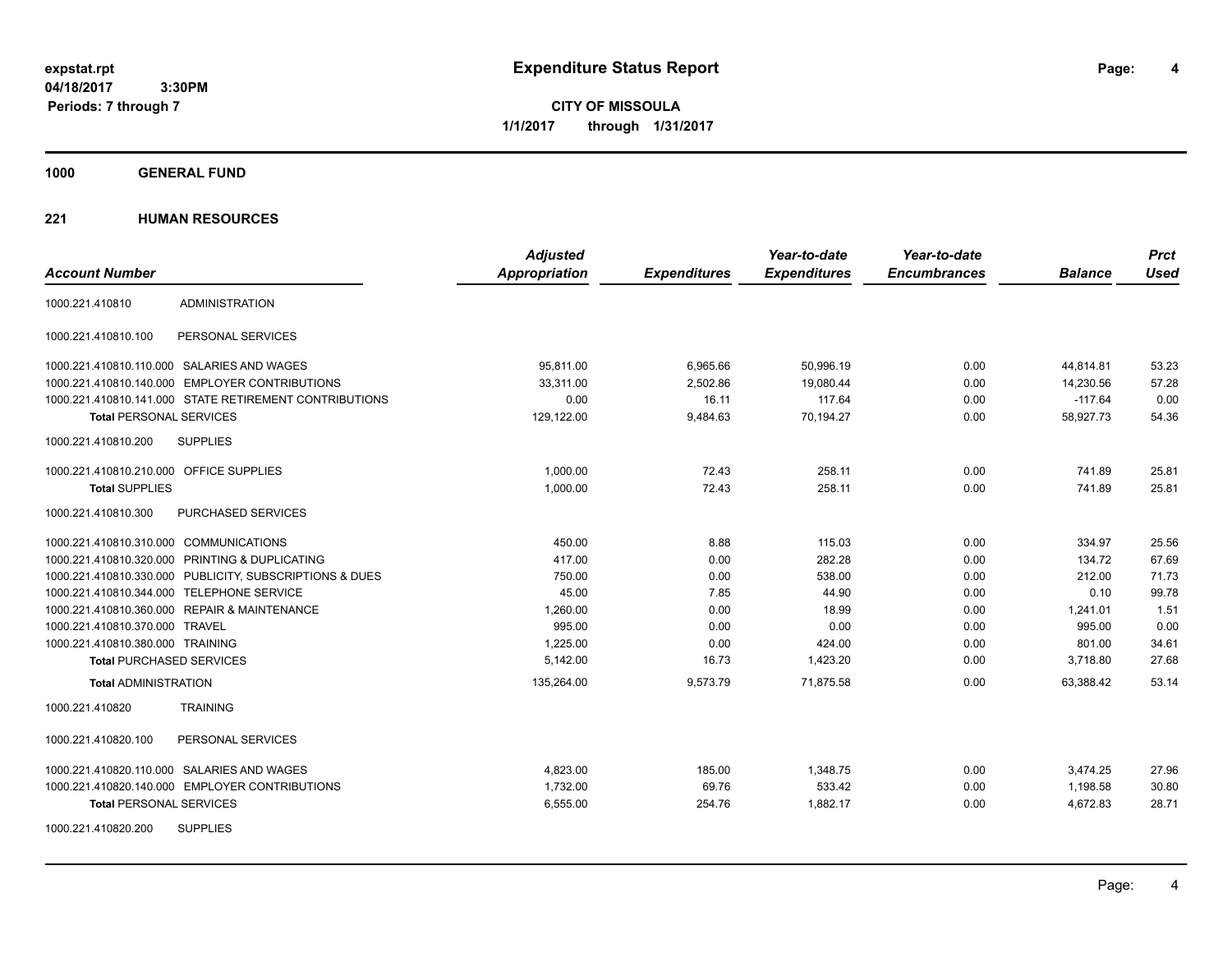**CITY OF MISSOULA 1/1/2017 through 1/31/2017**

**1000 GENERAL FUND**

|                                                         | <b>Adjusted</b>      |                     | Year-to-date        | Year-to-date        |                | <b>Prct</b> |
|---------------------------------------------------------|----------------------|---------------------|---------------------|---------------------|----------------|-------------|
| <b>Account Number</b>                                   | <b>Appropriation</b> | <b>Expenditures</b> | <b>Expenditures</b> | <b>Encumbrances</b> | <b>Balance</b> | <b>Used</b> |
| <b>ADMINISTRATION</b><br>1000.221.410810                |                      |                     |                     |                     |                |             |
| PERSONAL SERVICES<br>1000.221.410810.100                |                      |                     |                     |                     |                |             |
| 1000.221.410810.110.000 SALARIES AND WAGES              | 95,811.00            | 6,965.66            | 50,996.19           | 0.00                | 44,814.81      | 53.23       |
| 1000.221.410810.140.000 EMPLOYER CONTRIBUTIONS          | 33.311.00            | 2,502.86            | 19,080.44           | 0.00                | 14,230.56      | 57.28       |
| 1000.221.410810.141.000 STATE RETIREMENT CONTRIBUTIONS  | 0.00                 | 16.11               | 117.64              | 0.00                | $-117.64$      | 0.00        |
| <b>Total PERSONAL SERVICES</b>                          | 129,122.00           | 9,484.63            | 70,194.27           | 0.00                | 58,927.73      | 54.36       |
| 1000.221.410810.200<br><b>SUPPLIES</b>                  |                      |                     |                     |                     |                |             |
| 1000.221.410810.210.000 OFFICE SUPPLIES                 | 1,000.00             | 72.43               | 258.11              | 0.00                | 741.89         | 25.81       |
| <b>Total SUPPLIES</b>                                   | 1,000.00             | 72.43               | 258.11              | 0.00                | 741.89         | 25.81       |
| 1000.221.410810.300<br><b>PURCHASED SERVICES</b>        |                      |                     |                     |                     |                |             |
| 1000.221.410810.310.000 COMMUNICATIONS                  | 450.00               | 8.88                | 115.03              | 0.00                | 334.97         | 25.56       |
| 1000.221.410810.320.000 PRINTING & DUPLICATING          | 417.00               | 0.00                | 282.28              | 0.00                | 134.72         | 67.69       |
| 1000.221.410810.330.000 PUBLICITY, SUBSCRIPTIONS & DUES | 750.00               | 0.00                | 538.00              | 0.00                | 212.00         | 71.73       |
| 1000.221.410810.344.000 TELEPHONE SERVICE               | 45.00                | 7.85                | 44.90               | 0.00                | 0.10           | 99.78       |
| 1000.221.410810.360.000 REPAIR & MAINTENANCE            | 1,260.00             | 0.00                | 18.99               | 0.00                | 1,241.01       | 1.51        |
| 1000.221.410810.370.000 TRAVEL                          | 995.00               | 0.00                | 0.00                | 0.00                | 995.00         | 0.00        |
| 1000.221.410810.380.000 TRAINING                        | 1,225.00             | 0.00                | 424.00              | 0.00                | 801.00         | 34.61       |
| <b>Total PURCHASED SERVICES</b>                         | 5,142.00             | 16.73               | 1,423.20            | 0.00                | 3,718.80       | 27.68       |
| <b>Total ADMINISTRATION</b>                             | 135,264.00           | 9,573.79            | 71,875.58           | 0.00                | 63,388.42      | 53.14       |
| 1000.221.410820<br><b>TRAINING</b>                      |                      |                     |                     |                     |                |             |
| 1000.221.410820.100<br>PERSONAL SERVICES                |                      |                     |                     |                     |                |             |
| 1000.221.410820.110.000 SALARIES AND WAGES              | 4,823.00             | 185.00              | 1,348.75            | 0.00                | 3,474.25       | 27.96       |
| 1000.221.410820.140.000 EMPLOYER CONTRIBUTIONS          | 1,732.00             | 69.76               | 533.42              | 0.00                | 1,198.58       | 30.80       |
| <b>Total PERSONAL SERVICES</b>                          | 6,555.00             | 254.76              | 1,882.17            | 0.00                | 4,672.83       | 28.71       |
| <b>SUPPLIES</b><br>1000.221.410820.200                  |                      |                     |                     |                     |                |             |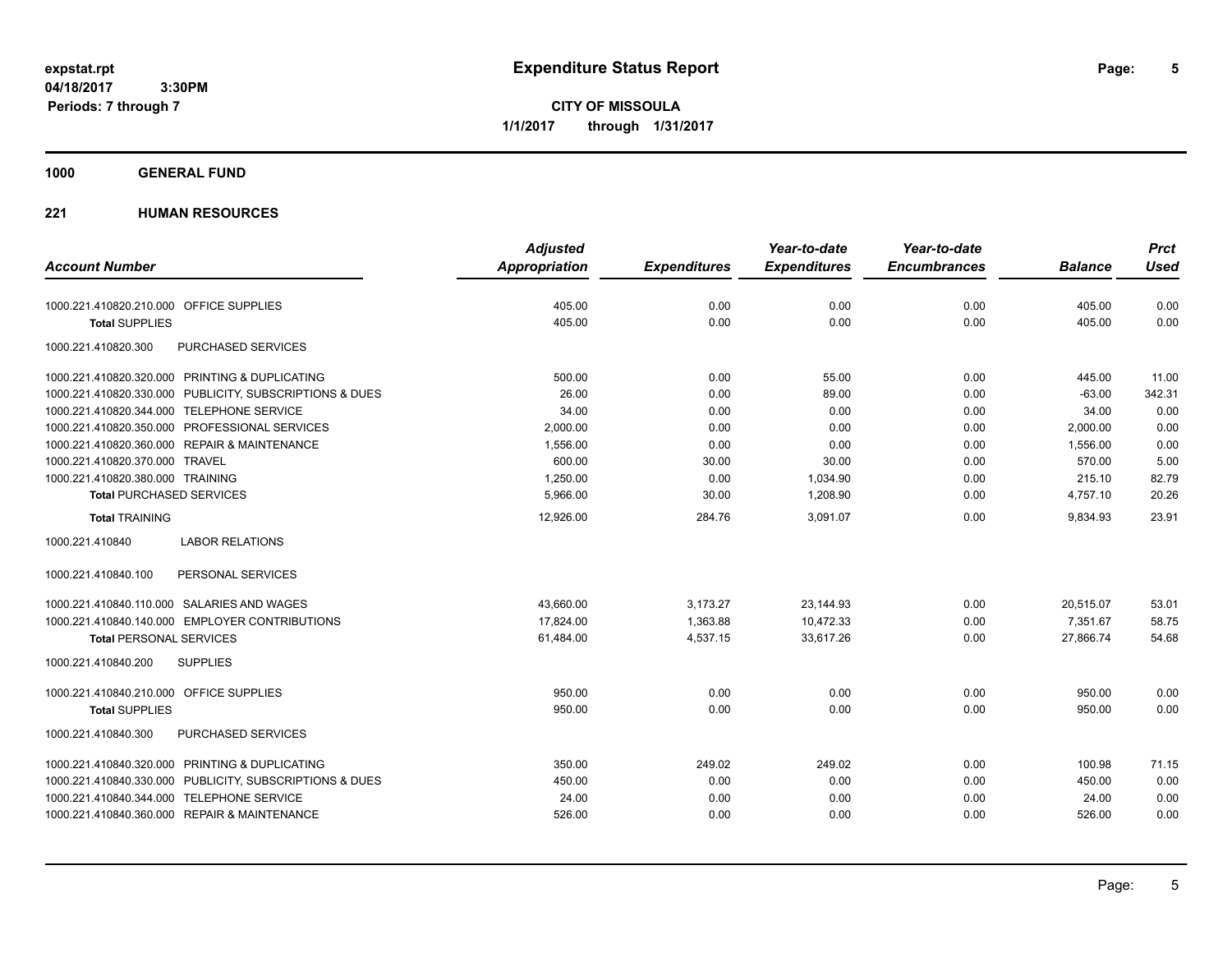**CITY OF MISSOULA 1/1/2017 through 1/31/2017**

## **1000 GENERAL FUND**

|                                                         | <b>Adjusted</b> |                     | Year-to-date        | Year-to-date        |                | <b>Prct</b> |
|---------------------------------------------------------|-----------------|---------------------|---------------------|---------------------|----------------|-------------|
| <b>Account Number</b>                                   | Appropriation   | <b>Expenditures</b> | <b>Expenditures</b> | <b>Encumbrances</b> | <b>Balance</b> | <b>Used</b> |
| 1000.221.410820.210.000 OFFICE SUPPLIES                 | 405.00          | 0.00                | 0.00                | 0.00                | 405.00         | 0.00        |
| <b>Total SUPPLIES</b>                                   | 405.00          | 0.00                | 0.00                | 0.00                | 405.00         | 0.00        |
| 1000.221.410820.300<br>PURCHASED SERVICES               |                 |                     |                     |                     |                |             |
| 1000.221.410820.320.000 PRINTING & DUPLICATING          | 500.00          | 0.00                | 55.00               | 0.00                | 445.00         | 11.00       |
| 1000.221.410820.330.000 PUBLICITY, SUBSCRIPTIONS & DUES | 26.00           | 0.00                | 89.00               | 0.00                | $-63.00$       | 342.31      |
| 1000.221.410820.344.000 TELEPHONE SERVICE               | 34.00           | 0.00                | 0.00                | 0.00                | 34.00          | 0.00        |
| 1000.221.410820.350.000 PROFESSIONAL SERVICES           | 2,000.00        | 0.00                | 0.00                | 0.00                | 2,000.00       | 0.00        |
| 1000.221.410820.360.000 REPAIR & MAINTENANCE            | 1,556.00        | 0.00                | 0.00                | 0.00                | 1,556.00       | 0.00        |
| 1000.221.410820.370.000 TRAVEL                          | 600.00          | 30.00               | 30.00               | 0.00                | 570.00         | 5.00        |
| 1000.221.410820.380.000 TRAINING                        | 1,250.00        | 0.00                | 1,034.90            | 0.00                | 215.10         | 82.79       |
| <b>Total PURCHASED SERVICES</b>                         | 5,966.00        | 30.00               | 1,208.90            | 0.00                | 4,757.10       | 20.26       |
| <b>Total TRAINING</b>                                   | 12,926.00       | 284.76              | 3,091.07            | 0.00                | 9,834.93       | 23.91       |
| <b>LABOR RELATIONS</b><br>1000.221.410840               |                 |                     |                     |                     |                |             |
| 1000.221.410840.100<br>PERSONAL SERVICES                |                 |                     |                     |                     |                |             |
| 1000.221.410840.110.000 SALARIES AND WAGES              | 43,660.00       | 3,173.27            | 23,144.93           | 0.00                | 20,515.07      | 53.01       |
| 1000.221.410840.140.000 EMPLOYER CONTRIBUTIONS          | 17,824.00       | 1,363.88            | 10,472.33           | 0.00                | 7,351.67       | 58.75       |
| <b>Total PERSONAL SERVICES</b>                          | 61,484.00       | 4,537.15            | 33,617.26           | 0.00                | 27,866.74      | 54.68       |
| 1000.221.410840.200<br><b>SUPPLIES</b>                  |                 |                     |                     |                     |                |             |
| 1000.221.410840.210.000 OFFICE SUPPLIES                 | 950.00          | 0.00                | 0.00                | 0.00                | 950.00         | 0.00        |
| <b>Total SUPPLIES</b>                                   | 950.00          | 0.00                | 0.00                | 0.00                | 950.00         | 0.00        |
| 1000.221.410840.300<br><b>PURCHASED SERVICES</b>        |                 |                     |                     |                     |                |             |
| 1000.221.410840.320.000 PRINTING & DUPLICATING          | 350.00          | 249.02              | 249.02              | 0.00                | 100.98         | 71.15       |
| 1000.221.410840.330.000 PUBLICITY, SUBSCRIPTIONS & DUES | 450.00          | 0.00                | 0.00                | 0.00                | 450.00         | 0.00        |
| 1000.221.410840.344.000 TELEPHONE SERVICE               | 24.00           | 0.00                | 0.00                | 0.00                | 24.00          | 0.00        |
| 1000.221.410840.360.000 REPAIR & MAINTENANCE            | 526.00          | 0.00                | 0.00                | 0.00                | 526.00         | 0.00        |
|                                                         |                 |                     |                     |                     |                |             |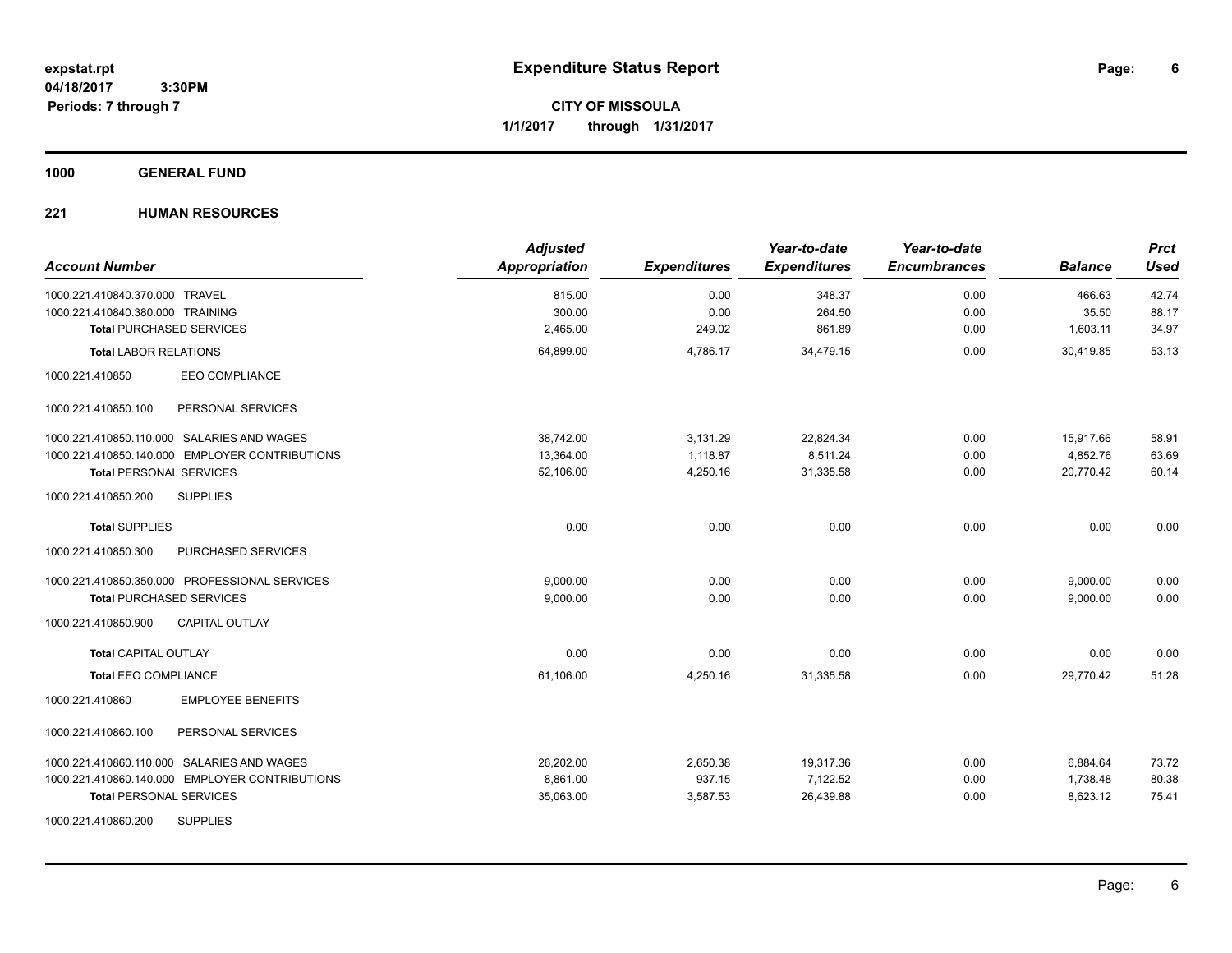**CITY OF MISSOULA 1/1/2017 through 1/31/2017**

## **1000 GENERAL FUND**

| <b>Account Number</b>                          | <b>Adjusted</b><br>Appropriation | <b>Expenditures</b> | Year-to-date<br><b>Expenditures</b> | Year-to-date<br><b>Encumbrances</b> | <b>Balance</b> | <b>Prct</b><br><b>Used</b> |
|------------------------------------------------|----------------------------------|---------------------|-------------------------------------|-------------------------------------|----------------|----------------------------|
| 1000.221.410840.370.000 TRAVEL                 | 815.00                           | 0.00                | 348.37                              | 0.00                                | 466.63         | 42.74                      |
| 1000.221.410840.380.000 TRAINING               | 300.00                           | 0.00                | 264.50                              | 0.00                                | 35.50          | 88.17                      |
| <b>Total PURCHASED SERVICES</b>                | 2,465.00                         | 249.02              | 861.89                              | 0.00                                | 1,603.11       | 34.97                      |
| <b>Total LABOR RELATIONS</b>                   | 64,899.00                        | 4,786.17            | 34,479.15                           | 0.00                                | 30.419.85      | 53.13                      |
| EEO COMPLIANCE<br>1000.221.410850              |                                  |                     |                                     |                                     |                |                            |
| 1000.221.410850.100<br>PERSONAL SERVICES       |                                  |                     |                                     |                                     |                |                            |
| 1000.221.410850.110.000 SALARIES AND WAGES     | 38,742.00                        | 3,131.29            | 22,824.34                           | 0.00                                | 15,917.66      | 58.91                      |
| 1000.221.410850.140.000 EMPLOYER CONTRIBUTIONS | 13,364.00                        | 1,118.87            | 8,511.24                            | 0.00                                | 4,852.76       | 63.69                      |
| <b>Total PERSONAL SERVICES</b>                 | 52,106.00                        | 4,250.16            | 31,335.58                           | 0.00                                | 20,770.42      | 60.14                      |
| 1000.221.410850.200<br><b>SUPPLIES</b>         |                                  |                     |                                     |                                     |                |                            |
| <b>Total SUPPLIES</b>                          | 0.00                             | 0.00                | 0.00                                | 0.00                                | 0.00           | 0.00                       |
| PURCHASED SERVICES<br>1000.221.410850.300      |                                  |                     |                                     |                                     |                |                            |
| 1000.221.410850.350.000 PROFESSIONAL SERVICES  | 9,000.00                         | 0.00                | 0.00                                | 0.00                                | 9,000.00       | 0.00                       |
| <b>Total PURCHASED SERVICES</b>                | 9,000.00                         | 0.00                | 0.00                                | 0.00                                | 9,000.00       | 0.00                       |
| 1000.221.410850.900<br><b>CAPITAL OUTLAY</b>   |                                  |                     |                                     |                                     |                |                            |
| <b>Total CAPITAL OUTLAY</b>                    | 0.00                             | 0.00                | 0.00                                | 0.00                                | 0.00           | 0.00                       |
| Total EEO COMPLIANCE                           | 61,106.00                        | 4,250.16            | 31,335.58                           | 0.00                                | 29,770.42      | 51.28                      |
| 1000.221.410860<br><b>EMPLOYEE BENEFITS</b>    |                                  |                     |                                     |                                     |                |                            |
| 1000.221.410860.100<br>PERSONAL SERVICES       |                                  |                     |                                     |                                     |                |                            |
| 1000.221.410860.110.000 SALARIES AND WAGES     | 26,202.00                        | 2,650.38            | 19,317.36                           | 0.00                                | 6,884.64       | 73.72                      |
| 1000.221.410860.140.000 EMPLOYER CONTRIBUTIONS | 8,861.00                         | 937.15              | 7,122.52                            | 0.00                                | 1,738.48       | 80.38                      |
| <b>Total PERSONAL SERVICES</b>                 | 35,063.00                        | 3,587.53            | 26,439.88                           | 0.00                                | 8,623.12       | 75.41                      |
| <b>SUPPLIES</b><br>1000.221.410860.200         |                                  |                     |                                     |                                     |                |                            |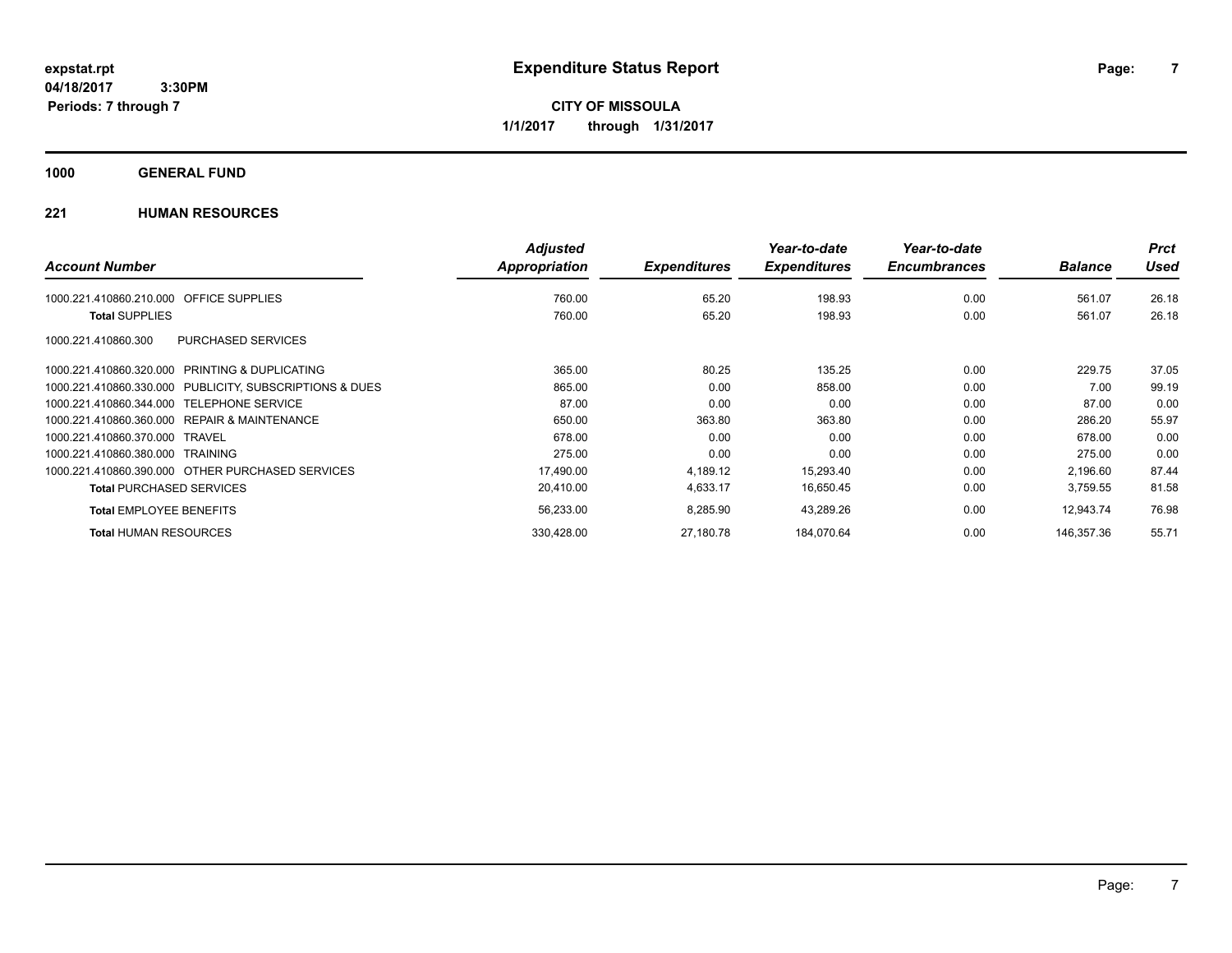**CITY OF MISSOULA 1/1/2017 through 1/31/2017**

## **1000 GENERAL FUND**

|                                                         | <b>Adjusted</b>      |                     | Year-to-date        | Year-to-date        |                | <b>Prct</b> |
|---------------------------------------------------------|----------------------|---------------------|---------------------|---------------------|----------------|-------------|
| <b>Account Number</b>                                   | <b>Appropriation</b> | <b>Expenditures</b> | <b>Expenditures</b> | <b>Encumbrances</b> | <b>Balance</b> | <b>Used</b> |
| OFFICE SUPPLIES<br>1000.221.410860.210.000              | 760.00               | 65.20               | 198.93              | 0.00                | 561.07         | 26.18       |
| <b>Total SUPPLIES</b>                                   | 760.00               | 65.20               | 198.93              | 0.00                | 561.07         | 26.18       |
| <b>PURCHASED SERVICES</b><br>1000.221.410860.300        |                      |                     |                     |                     |                |             |
| 1000.221.410860.320.000 PRINTING & DUPLICATING          | 365.00               | 80.25               | 135.25              | 0.00                | 229.75         | 37.05       |
| 1000.221.410860.330.000 PUBLICITY, SUBSCRIPTIONS & DUES | 865.00               | 0.00                | 858.00              | 0.00                | 7.00           | 99.19       |
| 1000.221.410860.344.000 TELEPHONE SERVICE               | 87.00                | 0.00                | 0.00                | 0.00                | 87.00          | 0.00        |
| 1000.221.410860.360.000 REPAIR & MAINTENANCE            | 650.00               | 363.80              | 363.80              | 0.00                | 286.20         | 55.97       |
| 1000.221.410860.370.000 TRAVEL                          | 678.00               | 0.00                | 0.00                | 0.00                | 678.00         | 0.00        |
| 1000.221.410860.380.000 TRAINING                        | 275.00               | 0.00                | 0.00                | 0.00                | 275.00         | 0.00        |
| 1000.221.410860.390.000 OTHER PURCHASED SERVICES        | 17,490.00            | 4,189.12            | 15,293.40           | 0.00                | 2,196.60       | 87.44       |
| <b>Total PURCHASED SERVICES</b>                         | 20,410.00            | 4,633.17            | 16,650.45           | 0.00                | 3,759.55       | 81.58       |
| <b>Total EMPLOYEE BENEFITS</b>                          | 56,233.00            | 8,285.90            | 43,289.26           | 0.00                | 12.943.74      | 76.98       |
| <b>Total HUMAN RESOURCES</b>                            | 330,428.00           | 27,180.78           | 184,070.64          | 0.00                | 146.357.36     | 55.71       |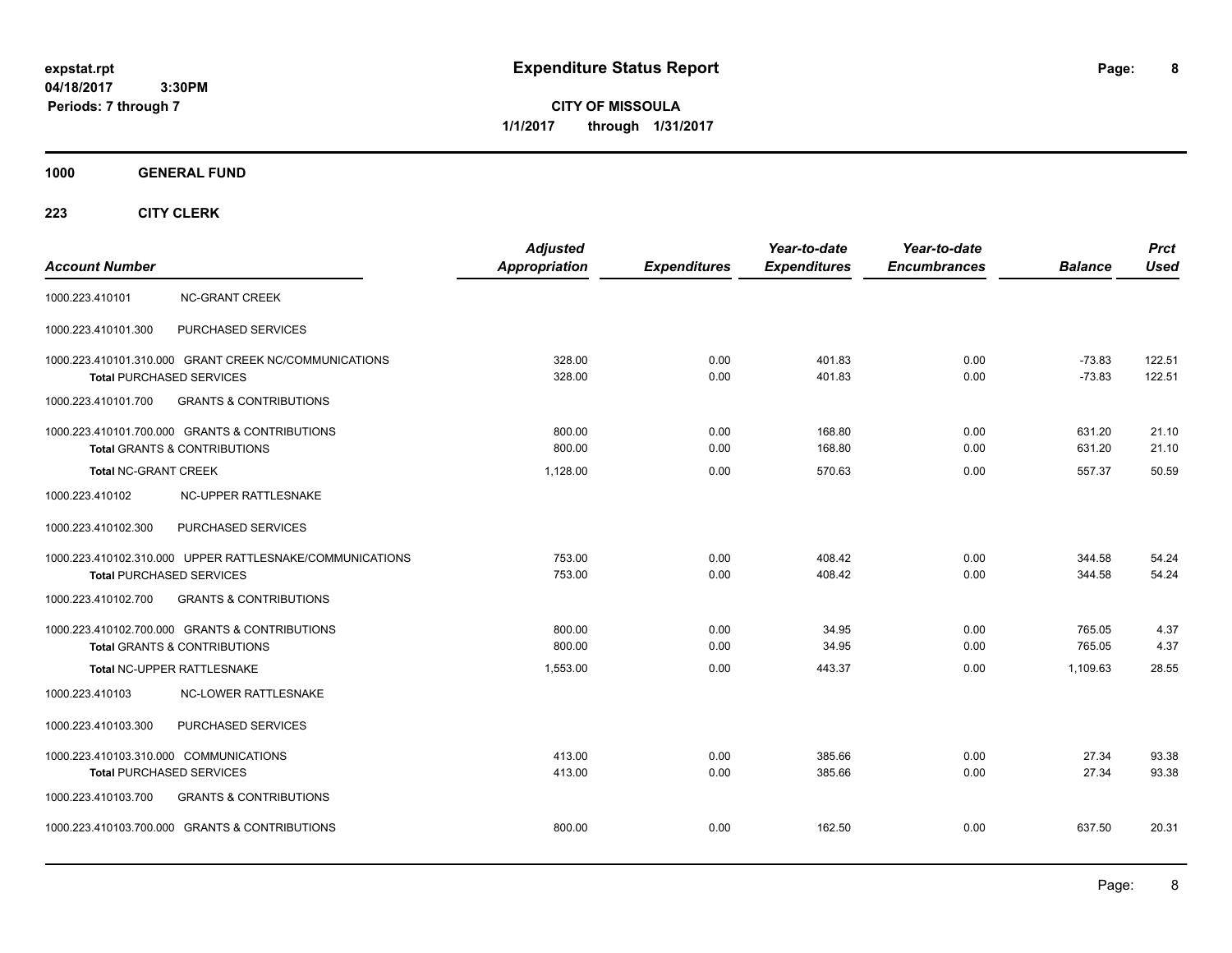**CITY OF MISSOULA 1/1/2017 through 1/31/2017**

## **1000 GENERAL FUND**

|                                                          | <b>Adjusted</b>      |                     | Year-to-date        | Year-to-date        |                | <b>Prct</b> |
|----------------------------------------------------------|----------------------|---------------------|---------------------|---------------------|----------------|-------------|
| <b>Account Number</b>                                    | <b>Appropriation</b> | <b>Expenditures</b> | <b>Expenditures</b> | <b>Encumbrances</b> | <b>Balance</b> | <b>Used</b> |
| <b>NC-GRANT CREEK</b><br>1000.223.410101                 |                      |                     |                     |                     |                |             |
| PURCHASED SERVICES<br>1000.223.410101.300                |                      |                     |                     |                     |                |             |
| 1000.223.410101.310.000 GRANT CREEK NC/COMMUNICATIONS    | 328.00               | 0.00                | 401.83              | 0.00                | $-73.83$       | 122.51      |
| <b>Total PURCHASED SERVICES</b>                          | 328.00               | 0.00                | 401.83              | 0.00                | $-73.83$       | 122.51      |
| <b>GRANTS &amp; CONTRIBUTIONS</b><br>1000.223.410101.700 |                      |                     |                     |                     |                |             |
| 1000.223.410101.700.000 GRANTS & CONTRIBUTIONS           | 800.00               | 0.00                | 168.80              | 0.00                | 631.20         | 21.10       |
| <b>Total GRANTS &amp; CONTRIBUTIONS</b>                  | 800.00               | 0.00                | 168.80              | 0.00                | 631.20         | 21.10       |
| <b>Total NC-GRANT CREEK</b>                              | 1,128.00             | 0.00                | 570.63              | 0.00                | 557.37         | 50.59       |
| 1000.223.410102<br>NC-UPPER RATTLESNAKE                  |                      |                     |                     |                     |                |             |
| PURCHASED SERVICES<br>1000.223.410102.300                |                      |                     |                     |                     |                |             |
| 1000.223.410102.310.000 UPPER RATTLESNAKE/COMMUNICATIONS | 753.00               | 0.00                | 408.42              | 0.00                | 344.58         | 54.24       |
| <b>Total PURCHASED SERVICES</b>                          | 753.00               | 0.00                | 408.42              | 0.00                | 344.58         | 54.24       |
| <b>GRANTS &amp; CONTRIBUTIONS</b><br>1000.223.410102.700 |                      |                     |                     |                     |                |             |
| 1000.223.410102.700.000 GRANTS & CONTRIBUTIONS           | 800.00               | 0.00                | 34.95               | 0.00                | 765.05         | 4.37        |
| <b>Total GRANTS &amp; CONTRIBUTIONS</b>                  | 800.00               | 0.00                | 34.95               | 0.00                | 765.05         | 4.37        |
| Total NC-UPPER RATTLESNAKE                               | 1,553.00             | 0.00                | 443.37              | 0.00                | 1,109.63       | 28.55       |
| 1000.223.410103<br><b>NC-LOWER RATTLESNAKE</b>           |                      |                     |                     |                     |                |             |
| 1000.223.410103.300<br>PURCHASED SERVICES                |                      |                     |                     |                     |                |             |
| 1000.223.410103.310.000 COMMUNICATIONS                   | 413.00               | 0.00                | 385.66              | 0.00                | 27.34          | 93.38       |
| <b>Total PURCHASED SERVICES</b>                          | 413.00               | 0.00                | 385.66              | 0.00                | 27.34          | 93.38       |
| 1000.223.410103.700<br><b>GRANTS &amp; CONTRIBUTIONS</b> |                      |                     |                     |                     |                |             |
| 1000.223.410103.700.000 GRANTS & CONTRIBUTIONS           | 800.00               | 0.00                | 162.50              | 0.00                | 637.50         | 20.31       |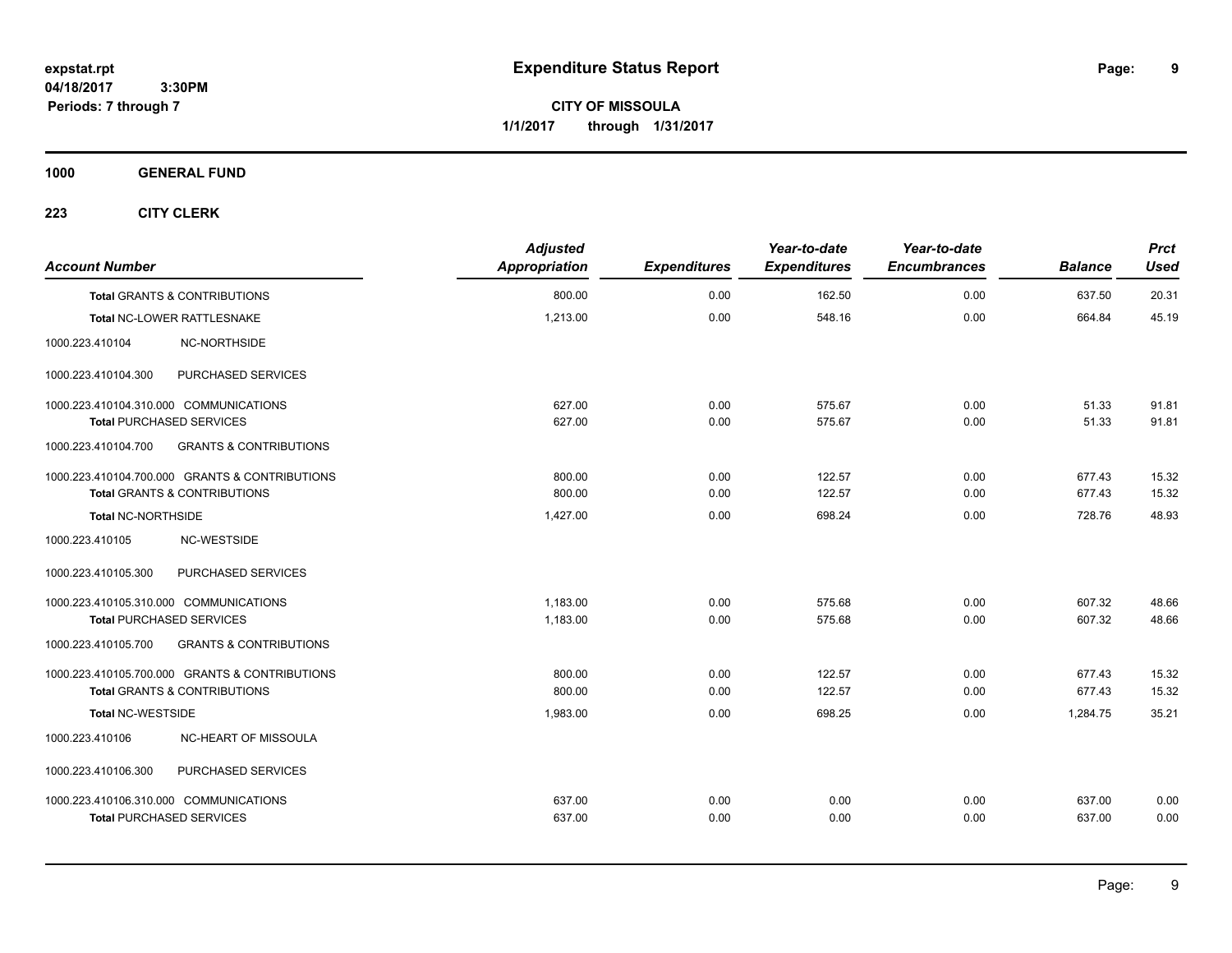**CITY OF MISSOULA 1/1/2017 through 1/31/2017**

**1000 GENERAL FUND**

| <b>Account Number</b>                   |                                                | <b>Adjusted</b><br>Appropriation | <b>Expenditures</b> | Year-to-date<br><b>Expenditures</b> | Year-to-date<br><b>Encumbrances</b> | <b>Balance</b> | <b>Prct</b><br><b>Used</b> |
|-----------------------------------------|------------------------------------------------|----------------------------------|---------------------|-------------------------------------|-------------------------------------|----------------|----------------------------|
| <b>Total GRANTS &amp; CONTRIBUTIONS</b> |                                                | 800.00                           | 0.00                | 162.50                              | 0.00                                | 637.50         | 20.31                      |
| Total NC-LOWER RATTLESNAKE              |                                                | 1,213.00                         | 0.00                | 548.16                              | 0.00                                | 664.84         | 45.19                      |
| 1000.223.410104                         | NC-NORTHSIDE                                   |                                  |                     |                                     |                                     |                |                            |
| 1000.223.410104.300                     | PURCHASED SERVICES                             |                                  |                     |                                     |                                     |                |                            |
| 1000.223.410104.310.000 COMMUNICATIONS  |                                                | 627.00                           | 0.00                | 575.67                              | 0.00                                | 51.33          | 91.81                      |
| <b>Total PURCHASED SERVICES</b>         |                                                | 627.00                           | 0.00                | 575.67                              | 0.00                                | 51.33          | 91.81                      |
| 1000.223.410104.700                     | <b>GRANTS &amp; CONTRIBUTIONS</b>              |                                  |                     |                                     |                                     |                |                            |
|                                         | 1000.223.410104.700.000 GRANTS & CONTRIBUTIONS | 800.00                           | 0.00                | 122.57                              | 0.00                                | 677.43         | 15.32                      |
| <b>Total GRANTS &amp; CONTRIBUTIONS</b> |                                                | 800.00                           | 0.00                | 122.57                              | 0.00                                | 677.43         | 15.32                      |
| <b>Total NC-NORTHSIDE</b>               |                                                | 1,427.00                         | 0.00                | 698.24                              | 0.00                                | 728.76         | 48.93                      |
| 1000.223.410105                         | NC-WESTSIDE                                    |                                  |                     |                                     |                                     |                |                            |
| 1000.223.410105.300                     | PURCHASED SERVICES                             |                                  |                     |                                     |                                     |                |                            |
| 1000.223.410105.310.000 COMMUNICATIONS  |                                                | 1,183.00                         | 0.00                | 575.68                              | 0.00                                | 607.32         | 48.66                      |
| <b>Total PURCHASED SERVICES</b>         |                                                | 1,183.00                         | 0.00                | 575.68                              | 0.00                                | 607.32         | 48.66                      |
| 1000.223.410105.700                     | <b>GRANTS &amp; CONTRIBUTIONS</b>              |                                  |                     |                                     |                                     |                |                            |
|                                         | 1000.223.410105.700.000 GRANTS & CONTRIBUTIONS | 800.00                           | 0.00                | 122.57                              | 0.00                                | 677.43         | 15.32                      |
| <b>Total GRANTS &amp; CONTRIBUTIONS</b> |                                                | 800.00                           | 0.00                | 122.57                              | 0.00                                | 677.43         | 15.32                      |
| <b>Total NC-WESTSIDE</b>                |                                                | 1,983.00                         | 0.00                | 698.25                              | 0.00                                | 1,284.75       | 35.21                      |
| 1000.223.410106                         | NC-HEART OF MISSOULA                           |                                  |                     |                                     |                                     |                |                            |
| 1000.223.410106.300                     | PURCHASED SERVICES                             |                                  |                     |                                     |                                     |                |                            |
| 1000.223.410106.310.000 COMMUNICATIONS  |                                                | 637.00                           | 0.00                | 0.00                                | 0.00                                | 637.00         | 0.00                       |
| <b>Total PURCHASED SERVICES</b>         |                                                | 637.00                           | 0.00                | 0.00                                | 0.00                                | 637.00         | 0.00                       |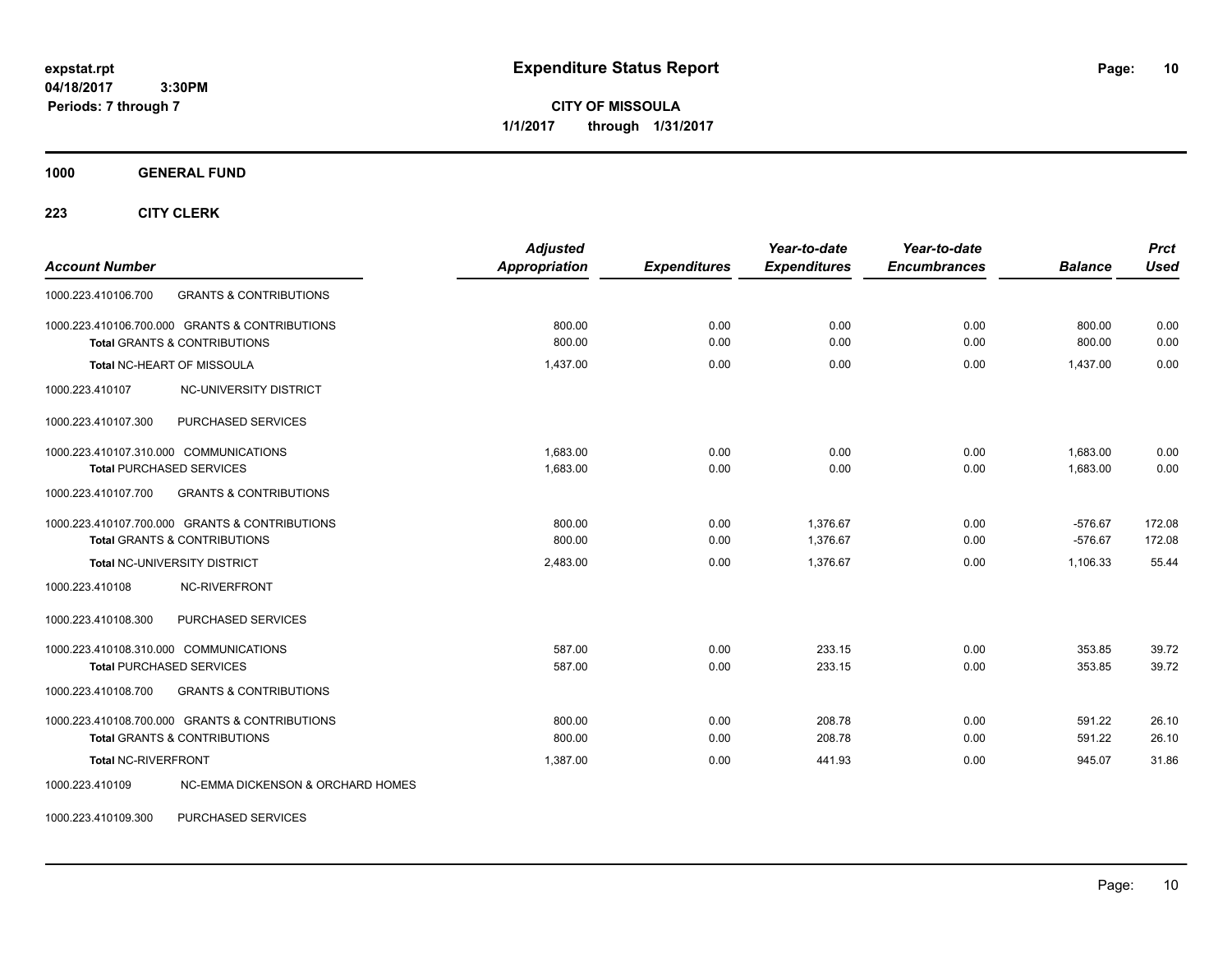**CITY OF MISSOULA 1/1/2017 through 1/31/2017**

**1000 GENERAL FUND**

**223 CITY CLERK**

| <b>Account Number</b>                                                                                                                 | <b>Adjusted</b><br>Appropriation | <b>Expenditures</b> | Year-to-date<br><b>Expenditures</b> | Year-to-date<br><b>Encumbrances</b> | <b>Balance</b>         | <b>Prct</b><br><b>Used</b> |
|---------------------------------------------------------------------------------------------------------------------------------------|----------------------------------|---------------------|-------------------------------------|-------------------------------------|------------------------|----------------------------|
| 1000.223.410106.700<br><b>GRANTS &amp; CONTRIBUTIONS</b>                                                                              |                                  |                     |                                     |                                     |                        |                            |
| 1000.223.410106.700.000 GRANTS & CONTRIBUTIONS<br><b>Total GRANTS &amp; CONTRIBUTIONS</b>                                             | 800.00<br>800.00                 | 0.00<br>0.00        | 0.00<br>0.00                        | 0.00<br>0.00                        | 800.00<br>800.00       | 0.00<br>0.00               |
| Total NC-HEART OF MISSOULA                                                                                                            | 1,437.00                         | 0.00                | 0.00                                | 0.00                                | 1,437.00               | 0.00                       |
| NC-UNIVERSITY DISTRICT<br>1000.223.410107                                                                                             |                                  |                     |                                     |                                     |                        |                            |
| PURCHASED SERVICES<br>1000.223.410107.300                                                                                             |                                  |                     |                                     |                                     |                        |                            |
| 1000.223.410107.310.000 COMMUNICATIONS<br><b>Total PURCHASED SERVICES</b><br><b>GRANTS &amp; CONTRIBUTIONS</b><br>1000.223.410107.700 | 1.683.00<br>1,683.00             | 0.00<br>0.00        | 0.00<br>0.00                        | 0.00<br>0.00                        | 1.683.00<br>1,683.00   | 0.00<br>0.00               |
| 1000.223.410107.700.000 GRANTS & CONTRIBUTIONS<br><b>Total GRANTS &amp; CONTRIBUTIONS</b>                                             | 800.00<br>800.00                 | 0.00<br>0.00        | 1.376.67<br>1,376.67                | 0.00<br>0.00                        | $-576.67$<br>$-576.67$ | 172.08<br>172.08           |
| <b>Total NC-UNIVERSITY DISTRICT</b><br>NC-RIVERFRONT<br>1000.223.410108                                                               | 2,483.00                         | 0.00                | 1,376.67                            | 0.00                                | 1,106.33               | 55.44                      |
| 1000.223.410108.300<br>PURCHASED SERVICES                                                                                             |                                  |                     |                                     |                                     |                        |                            |
| 1000.223.410108.310.000 COMMUNICATIONS<br><b>Total PURCHASED SERVICES</b>                                                             | 587.00<br>587.00                 | 0.00<br>0.00        | 233.15<br>233.15                    | 0.00<br>0.00                        | 353.85<br>353.85       | 39.72<br>39.72             |
| 1000.223.410108.700<br><b>GRANTS &amp; CONTRIBUTIONS</b>                                                                              |                                  |                     |                                     |                                     |                        |                            |
| 1000.223.410108.700.000 GRANTS & CONTRIBUTIONS<br><b>Total GRANTS &amp; CONTRIBUTIONS</b>                                             | 800.00<br>800.00                 | 0.00<br>0.00        | 208.78<br>208.78                    | 0.00<br>0.00                        | 591.22<br>591.22       | 26.10<br>26.10             |
| Total NC-RIVERFRONT                                                                                                                   | 1.387.00                         | 0.00                | 441.93                              | 0.00                                | 945.07                 | 31.86                      |
| <b>NC-EMMA DICKENSON &amp; ORCHARD HOMES</b><br>1000.223.410109                                                                       |                                  |                     |                                     |                                     |                        |                            |

1000.223.410109.300 PURCHASED SERVICES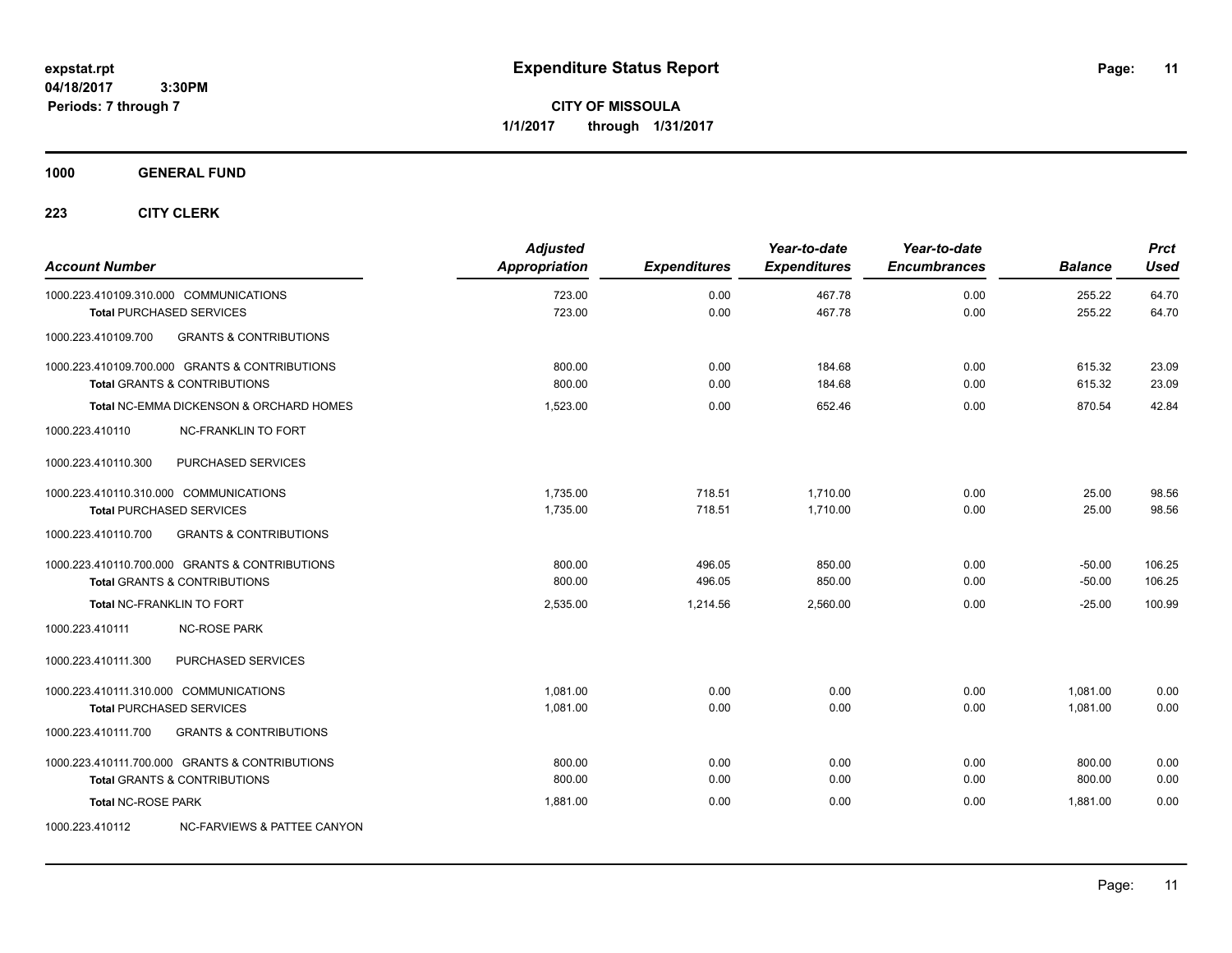**CITY OF MISSOULA 1/1/2017 through 1/31/2017**

## **1000 GENERAL FUND**

| <b>Account Number</b>                  |                                                                                           | <b>Adjusted</b><br><b>Appropriation</b> | <b>Expenditures</b> | Year-to-date<br><b>Expenditures</b> | Year-to-date<br><b>Encumbrances</b> | <b>Balance</b>       | <b>Prct</b><br><b>Used</b> |
|----------------------------------------|-------------------------------------------------------------------------------------------|-----------------------------------------|---------------------|-------------------------------------|-------------------------------------|----------------------|----------------------------|
| 1000.223.410109.310.000 COMMUNICATIONS | <b>Total PURCHASED SERVICES</b>                                                           | 723.00<br>723.00                        | 0.00<br>0.00        | 467.78<br>467.78                    | 0.00<br>0.00                        | 255.22<br>255.22     | 64.70<br>64.70             |
| 1000.223.410109.700                    | <b>GRANTS &amp; CONTRIBUTIONS</b>                                                         |                                         |                     |                                     |                                     |                      |                            |
|                                        | 1000.223.410109.700.000 GRANTS & CONTRIBUTIONS<br><b>Total GRANTS &amp; CONTRIBUTIONS</b> | 800.00<br>800.00                        | 0.00<br>0.00        | 184.68<br>184.68                    | 0.00<br>0.00                        | 615.32<br>615.32     | 23.09<br>23.09             |
|                                        | Total NC-EMMA DICKENSON & ORCHARD HOMES                                                   | 1,523.00                                | 0.00                | 652.46                              | 0.00                                | 870.54               | 42.84                      |
| 1000.223.410110                        | <b>NC-FRANKLIN TO FORT</b>                                                                |                                         |                     |                                     |                                     |                      |                            |
| 1000.223.410110.300                    | PURCHASED SERVICES                                                                        |                                         |                     |                                     |                                     |                      |                            |
| 1000.223.410110.310.000 COMMUNICATIONS | <b>Total PURCHASED SERVICES</b>                                                           | 1,735.00<br>1,735.00                    | 718.51<br>718.51    | 1,710.00<br>1.710.00                | 0.00<br>0.00                        | 25.00<br>25.00       | 98.56<br>98.56             |
| 1000.223.410110.700                    | <b>GRANTS &amp; CONTRIBUTIONS</b>                                                         |                                         |                     |                                     |                                     |                      |                            |
|                                        | 1000.223.410110.700.000 GRANTS & CONTRIBUTIONS<br><b>Total GRANTS &amp; CONTRIBUTIONS</b> | 800.00<br>800.00                        | 496.05<br>496.05    | 850.00<br>850.00                    | 0.00<br>0.00                        | $-50.00$<br>$-50.00$ | 106.25<br>106.25           |
|                                        | Total NC-FRANKLIN TO FORT                                                                 | 2,535.00                                | 1,214.56            | 2,560.00                            | 0.00                                | $-25.00$             | 100.99                     |
| 1000.223.410111                        | <b>NC-ROSE PARK</b>                                                                       |                                         |                     |                                     |                                     |                      |                            |
| 1000.223.410111.300                    | PURCHASED SERVICES                                                                        |                                         |                     |                                     |                                     |                      |                            |
| 1000.223.410111.310.000 COMMUNICATIONS | <b>Total PURCHASED SERVICES</b>                                                           | 1,081.00<br>1,081.00                    | 0.00<br>0.00        | 0.00<br>0.00                        | 0.00<br>0.00                        | 1,081.00<br>1.081.00 | 0.00<br>0.00               |
| 1000.223.410111.700                    | <b>GRANTS &amp; CONTRIBUTIONS</b>                                                         |                                         |                     |                                     |                                     |                      |                            |
|                                        | 1000.223.410111.700.000 GRANTS & CONTRIBUTIONS<br><b>Total GRANTS &amp; CONTRIBUTIONS</b> | 800.00<br>800.00                        | 0.00<br>0.00        | 0.00<br>0.00                        | 0.00<br>0.00                        | 800.00<br>800.00     | 0.00<br>0.00               |
| <b>Total NC-ROSE PARK</b>              |                                                                                           | 1,881.00                                | 0.00                | 0.00                                | 0.00                                | 1,881.00             | 0.00                       |
| 1000.223.410112                        | NC-FARVIEWS & PATTEE CANYON                                                               |                                         |                     |                                     |                                     |                      |                            |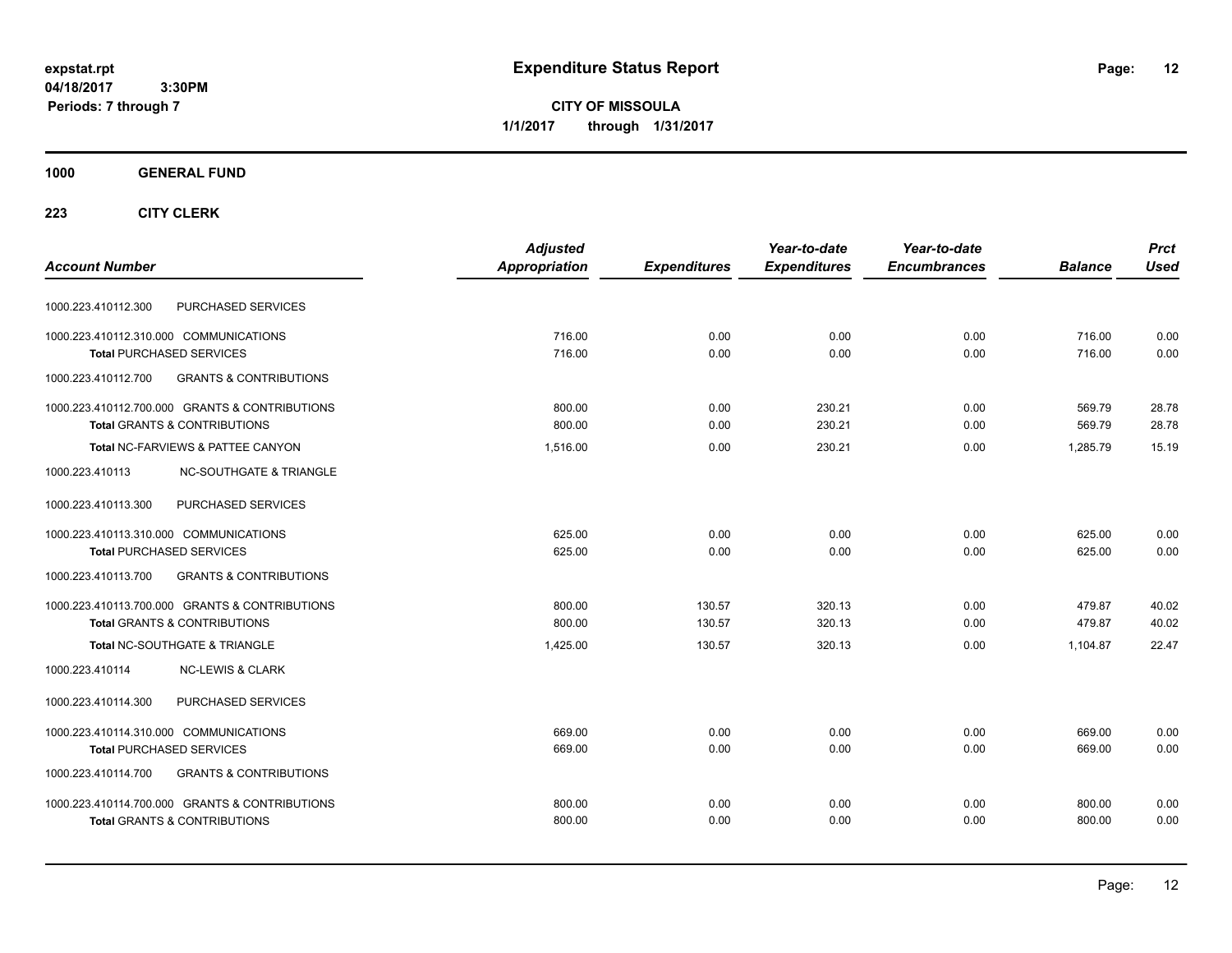**CITY OF MISSOULA 1/1/2017 through 1/31/2017**

## **1000 GENERAL FUND**

|                                                          | <b>Adjusted</b> |                     | Year-to-date        | Year-to-date        |                | <b>Prct</b> |
|----------------------------------------------------------|-----------------|---------------------|---------------------|---------------------|----------------|-------------|
| <b>Account Number</b>                                    | Appropriation   | <b>Expenditures</b> | <b>Expenditures</b> | <b>Encumbrances</b> | <b>Balance</b> | <b>Used</b> |
| PURCHASED SERVICES<br>1000.223.410112.300                |                 |                     |                     |                     |                |             |
| 1000.223.410112.310.000 COMMUNICATIONS                   | 716.00          | 0.00                | 0.00                | 0.00                | 716.00         | 0.00        |
| <b>Total PURCHASED SERVICES</b>                          | 716.00          | 0.00                | 0.00                | 0.00                | 716.00         | 0.00        |
| 1000.223.410112.700<br><b>GRANTS &amp; CONTRIBUTIONS</b> |                 |                     |                     |                     |                |             |
| 1000.223.410112.700.000 GRANTS & CONTRIBUTIONS           | 800.00          | 0.00                | 230.21              | 0.00                | 569.79         | 28.78       |
| <b>Total GRANTS &amp; CONTRIBUTIONS</b>                  | 800.00          | 0.00                | 230.21              | 0.00                | 569.79         | 28.78       |
| Total NC-FARVIEWS & PATTEE CANYON                        | 1,516.00        | 0.00                | 230.21              | 0.00                | 1.285.79       | 15.19       |
| <b>NC-SOUTHGATE &amp; TRIANGLE</b><br>1000.223.410113    |                 |                     |                     |                     |                |             |
| 1000.223.410113.300<br>PURCHASED SERVICES                |                 |                     |                     |                     |                |             |
| 1000.223.410113.310.000 COMMUNICATIONS                   | 625.00          | 0.00                | 0.00                | 0.00                | 625.00         | 0.00        |
| <b>Total PURCHASED SERVICES</b>                          | 625.00          | 0.00                | 0.00                | 0.00                | 625.00         | 0.00        |
| 1000.223.410113.700<br><b>GRANTS &amp; CONTRIBUTIONS</b> |                 |                     |                     |                     |                |             |
| 1000.223.410113.700.000 GRANTS & CONTRIBUTIONS           | 800.00          | 130.57              | 320.13              | 0.00                | 479.87         | 40.02       |
| <b>Total GRANTS &amp; CONTRIBUTIONS</b>                  | 800.00          | 130.57              | 320.13              | 0.00                | 479.87         | 40.02       |
| Total NC-SOUTHGATE & TRIANGLE                            | 1.425.00        | 130.57              | 320.13              | 0.00                | 1.104.87       | 22.47       |
| 1000.223.410114<br><b>NC-LEWIS &amp; CLARK</b>           |                 |                     |                     |                     |                |             |
| PURCHASED SERVICES<br>1000.223.410114.300                |                 |                     |                     |                     |                |             |
| 1000.223.410114.310.000 COMMUNICATIONS                   | 669.00          | 0.00                | 0.00                | 0.00                | 669.00         | 0.00        |
| <b>Total PURCHASED SERVICES</b>                          | 669.00          | 0.00                | 0.00                | 0.00                | 669.00         | 0.00        |
| <b>GRANTS &amp; CONTRIBUTIONS</b><br>1000.223.410114.700 |                 |                     |                     |                     |                |             |
| 1000.223.410114.700.000 GRANTS & CONTRIBUTIONS           | 800.00          | 0.00                | 0.00                | 0.00                | 800.00         | 0.00        |
| <b>Total GRANTS &amp; CONTRIBUTIONS</b>                  | 800.00          | 0.00                | 0.00                | 0.00                | 800.00         | 0.00        |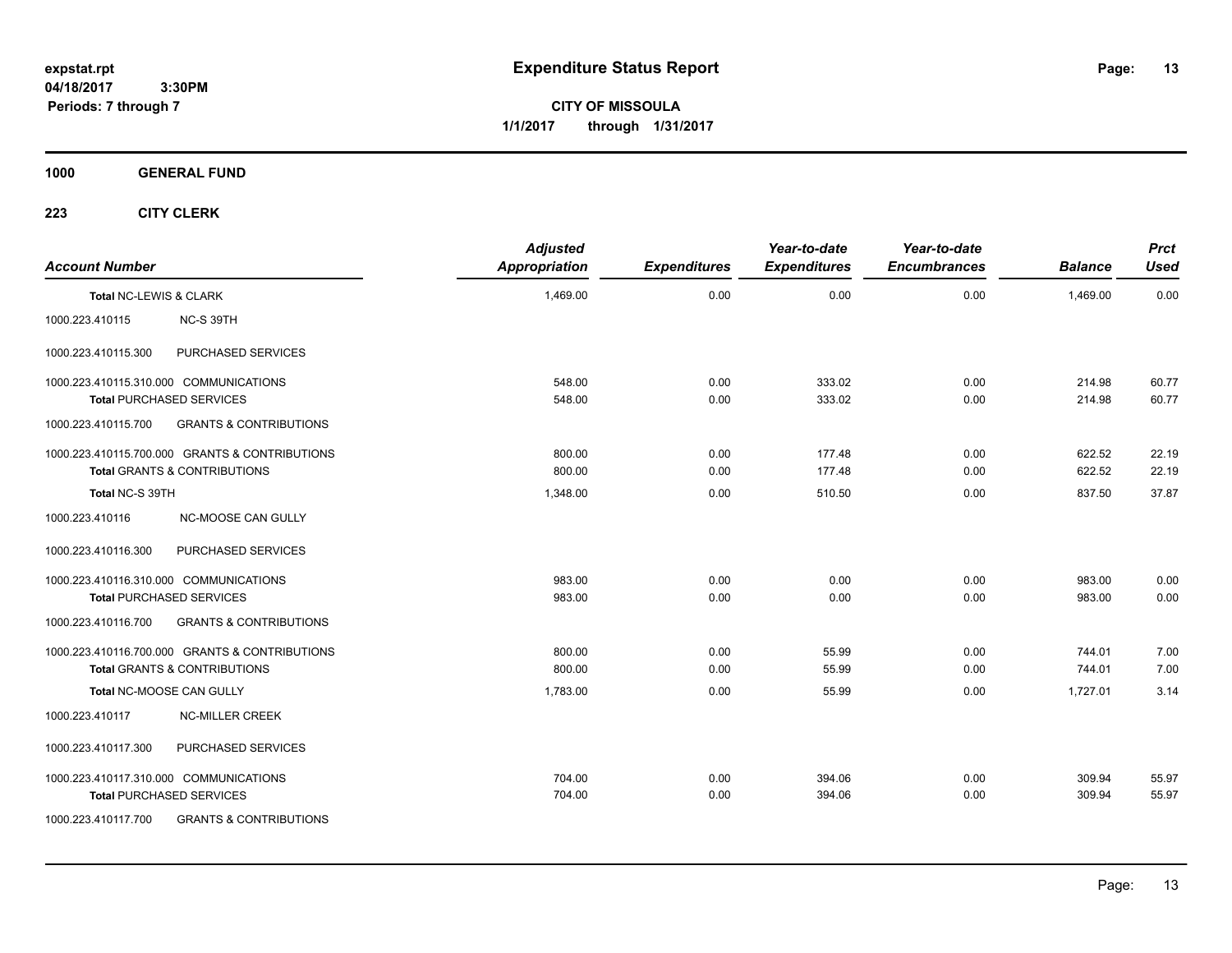**CITY OF MISSOULA 1/1/2017 through 1/31/2017**

## **1000 GENERAL FUND**

| <b>Account Number</b>                  |                                                | <b>Adjusted</b><br><b>Appropriation</b> | <b>Expenditures</b> | Year-to-date<br><b>Expenditures</b> | Year-to-date<br><b>Encumbrances</b> | <b>Balance</b> | <b>Prct</b><br><b>Used</b> |
|----------------------------------------|------------------------------------------------|-----------------------------------------|---------------------|-------------------------------------|-------------------------------------|----------------|----------------------------|
|                                        |                                                |                                         |                     |                                     |                                     |                |                            |
| Total NC-LEWIS & CLARK                 |                                                | 1,469.00                                | 0.00                | 0.00                                | 0.00                                | 1,469.00       | 0.00                       |
| 1000.223.410115                        | NC-S 39TH                                      |                                         |                     |                                     |                                     |                |                            |
| 1000.223.410115.300                    | PURCHASED SERVICES                             |                                         |                     |                                     |                                     |                |                            |
| 1000.223.410115.310.000 COMMUNICATIONS |                                                | 548.00                                  | 0.00                | 333.02                              | 0.00                                | 214.98         | 60.77                      |
|                                        | <b>Total PURCHASED SERVICES</b>                | 548.00                                  | 0.00                | 333.02                              | 0.00                                | 214.98         | 60.77                      |
| 1000.223.410115.700                    | <b>GRANTS &amp; CONTRIBUTIONS</b>              |                                         |                     |                                     |                                     |                |                            |
|                                        | 1000.223.410115.700.000 GRANTS & CONTRIBUTIONS | 800.00                                  | 0.00                | 177.48                              | 0.00                                | 622.52         | 22.19                      |
|                                        | <b>Total GRANTS &amp; CONTRIBUTIONS</b>        | 800.00                                  | 0.00                | 177.48                              | 0.00                                | 622.52         | 22.19                      |
| Total NC-S 39TH                        |                                                | 1,348.00                                | 0.00                | 510.50                              | 0.00                                | 837.50         | 37.87                      |
| 1000.223.410116                        | <b>NC-MOOSE CAN GULLY</b>                      |                                         |                     |                                     |                                     |                |                            |
| 1000.223.410116.300                    | PURCHASED SERVICES                             |                                         |                     |                                     |                                     |                |                            |
|                                        | 1000.223.410116.310.000 COMMUNICATIONS         | 983.00                                  | 0.00                | 0.00                                | 0.00                                | 983.00         | 0.00                       |
|                                        | <b>Total PURCHASED SERVICES</b>                | 983.00                                  | 0.00                | 0.00                                | 0.00                                | 983.00         | 0.00                       |
| 1000.223.410116.700                    | <b>GRANTS &amp; CONTRIBUTIONS</b>              |                                         |                     |                                     |                                     |                |                            |
|                                        | 1000.223.410116.700.000 GRANTS & CONTRIBUTIONS | 800.00                                  | 0.00                | 55.99                               | 0.00                                | 744.01         | 7.00                       |
|                                        | <b>Total GRANTS &amp; CONTRIBUTIONS</b>        | 800.00                                  | 0.00                | 55.99                               | 0.00                                | 744.01         | 7.00                       |
|                                        | Total NC-MOOSE CAN GULLY                       | 1,783.00                                | 0.00                | 55.99                               | 0.00                                | 1,727.01       | 3.14                       |
| 1000.223.410117                        | <b>NC-MILLER CREEK</b>                         |                                         |                     |                                     |                                     |                |                            |
| 1000.223.410117.300                    | PURCHASED SERVICES                             |                                         |                     |                                     |                                     |                |                            |
|                                        | 1000.223.410117.310.000 COMMUNICATIONS         | 704.00                                  | 0.00                | 394.06                              | 0.00                                | 309.94         | 55.97                      |
|                                        | <b>Total PURCHASED SERVICES</b>                | 704.00                                  | 0.00                | 394.06                              | 0.00                                | 309.94         | 55.97                      |
| 1000.223.410117.700                    | <b>GRANTS &amp; CONTRIBUTIONS</b>              |                                         |                     |                                     |                                     |                |                            |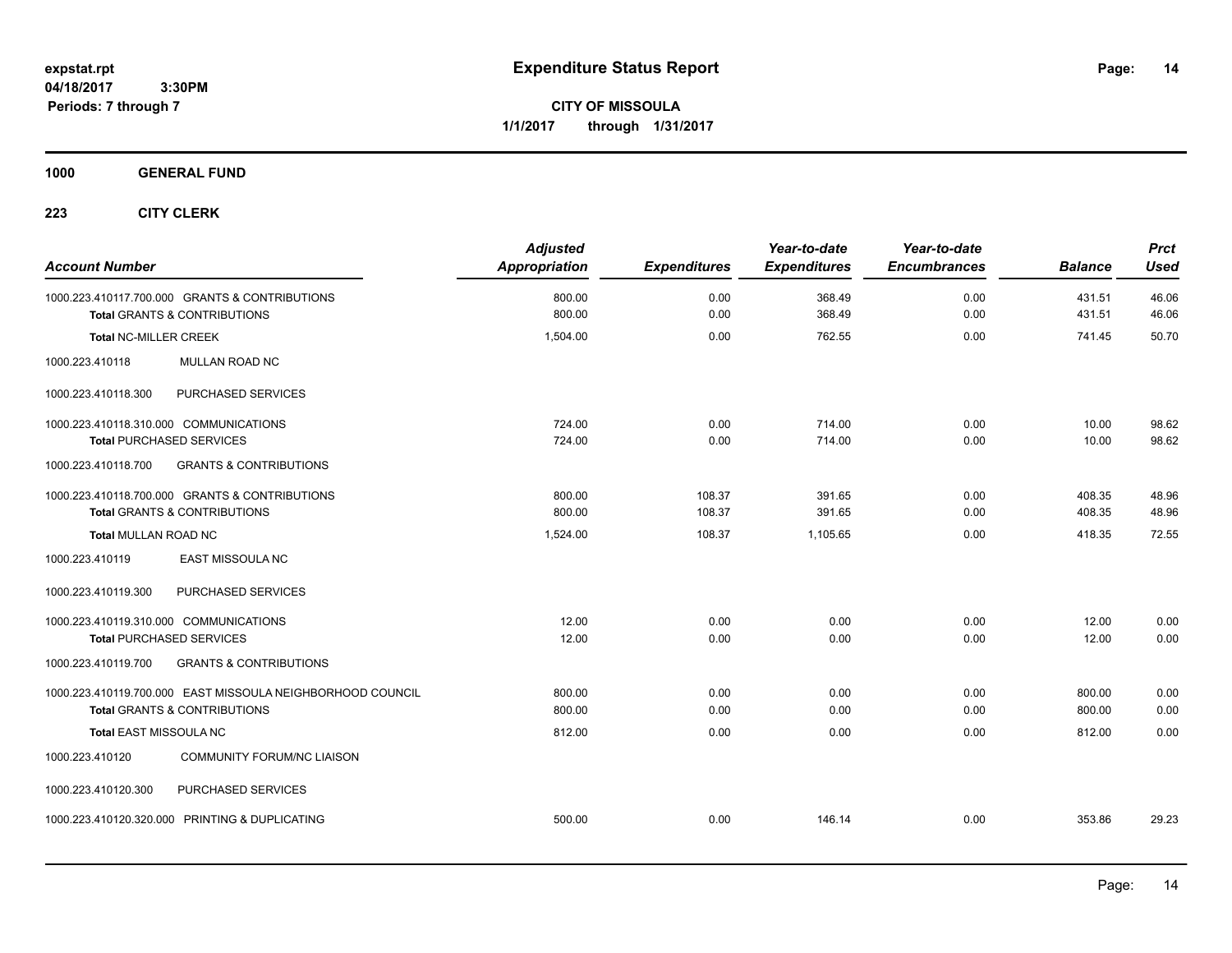**CITY OF MISSOULA 1/1/2017 through 1/31/2017**

## **1000 GENERAL FUND**

| <b>Account Number</b>                                                                                 | <b>Adjusted</b><br><b>Appropriation</b> | <b>Expenditures</b> | Year-to-date<br><b>Expenditures</b> | Year-to-date<br><b>Encumbrances</b> | <b>Balance</b>   | <b>Prct</b><br><b>Used</b> |
|-------------------------------------------------------------------------------------------------------|-----------------------------------------|---------------------|-------------------------------------|-------------------------------------|------------------|----------------------------|
| 1000.223.410117.700.000 GRANTS & CONTRIBUTIONS<br><b>Total GRANTS &amp; CONTRIBUTIONS</b>             | 800.00<br>800.00                        | 0.00<br>0.00        | 368.49<br>368.49                    | 0.00<br>0.00                        | 431.51<br>431.51 | 46.06<br>46.06             |
| <b>Total NC-MILLER CREEK</b>                                                                          | 1,504.00                                | 0.00                | 762.55                              | 0.00                                | 741.45           | 50.70                      |
| MULLAN ROAD NC<br>1000.223.410118                                                                     |                                         |                     |                                     |                                     |                  |                            |
| PURCHASED SERVICES<br>1000.223.410118.300                                                             |                                         |                     |                                     |                                     |                  |                            |
| 1000.223.410118.310.000 COMMUNICATIONS<br><b>Total PURCHASED SERVICES</b>                             | 724.00<br>724.00                        | 0.00<br>0.00        | 714.00<br>714.00                    | 0.00<br>0.00                        | 10.00<br>10.00   | 98.62<br>98.62             |
| 1000.223.410118.700<br><b>GRANTS &amp; CONTRIBUTIONS</b>                                              |                                         |                     |                                     |                                     |                  |                            |
| 1000.223.410118.700.000 GRANTS & CONTRIBUTIONS<br><b>Total GRANTS &amp; CONTRIBUTIONS</b>             | 800.00<br>800.00                        | 108.37<br>108.37    | 391.65<br>391.65                    | 0.00<br>0.00                        | 408.35<br>408.35 | 48.96<br>48.96             |
| <b>Total MULLAN ROAD NC</b>                                                                           | 1,524.00                                | 108.37              | 1,105.65                            | 0.00                                | 418.35           | 72.55                      |
| 1000.223.410119<br><b>EAST MISSOULA NC</b>                                                            |                                         |                     |                                     |                                     |                  |                            |
| PURCHASED SERVICES<br>1000.223.410119.300                                                             |                                         |                     |                                     |                                     |                  |                            |
| 1000.223.410119.310.000 COMMUNICATIONS<br><b>Total PURCHASED SERVICES</b>                             | 12.00<br>12.00                          | 0.00<br>0.00        | 0.00<br>0.00                        | 0.00<br>0.00                        | 12.00<br>12.00   | 0.00<br>0.00               |
| 1000.223.410119.700<br><b>GRANTS &amp; CONTRIBUTIONS</b>                                              |                                         |                     |                                     |                                     |                  |                            |
| 1000.223.410119.700.000 EAST MISSOULA NEIGHBORHOOD COUNCIL<br><b>Total GRANTS &amp; CONTRIBUTIONS</b> | 800.00<br>800.00                        | 0.00<br>0.00        | 0.00<br>0.00                        | 0.00<br>0.00                        | 800.00<br>800.00 | 0.00<br>0.00               |
| <b>Total EAST MISSOULA NC</b>                                                                         | 812.00                                  | 0.00                | 0.00                                | 0.00                                | 812.00           | 0.00                       |
| <b>COMMUNITY FORUM/NC LIAISON</b><br>1000.223.410120                                                  |                                         |                     |                                     |                                     |                  |                            |
| PURCHASED SERVICES<br>1000.223.410120.300                                                             |                                         |                     |                                     |                                     |                  |                            |
| 1000.223.410120.320.000 PRINTING & DUPLICATING                                                        | 500.00                                  | 0.00                | 146.14                              | 0.00                                | 353.86           | 29.23                      |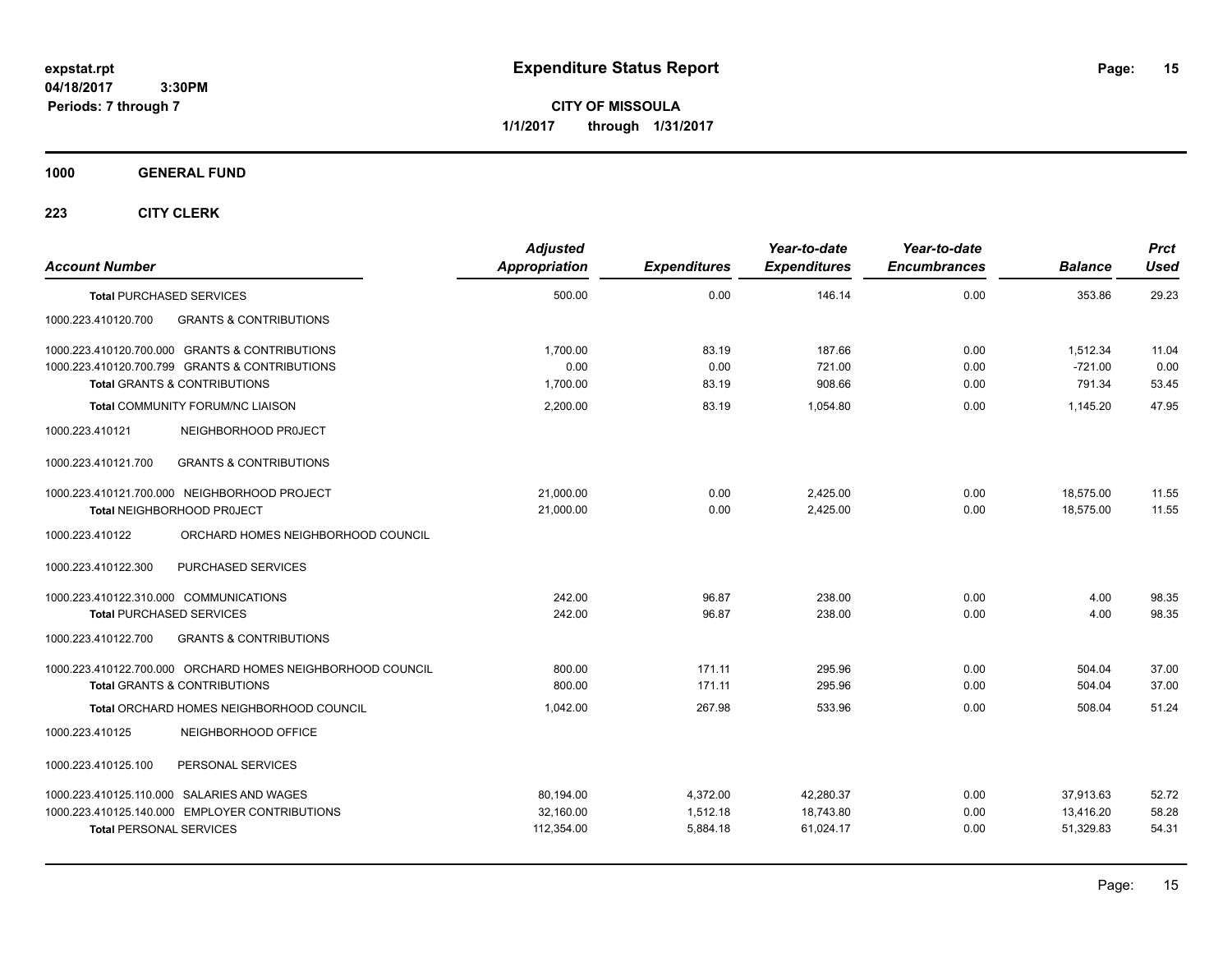**CITY OF MISSOULA 1/1/2017 through 1/31/2017**

**1000 GENERAL FUND**

| <b>Account Number</b>                                      | <b>Adjusted</b><br>Appropriation | <b>Expenditures</b> | Year-to-date<br><b>Expenditures</b> | Year-to-date<br><b>Encumbrances</b> | <b>Balance</b> | <b>Prct</b><br>Used |
|------------------------------------------------------------|----------------------------------|---------------------|-------------------------------------|-------------------------------------|----------------|---------------------|
| <b>Total PURCHASED SERVICES</b>                            | 500.00                           | 0.00                | 146.14                              | 0.00                                | 353.86         | 29.23               |
| 1000.223.410120.700<br><b>GRANTS &amp; CONTRIBUTIONS</b>   |                                  |                     |                                     |                                     |                |                     |
| 1000.223.410120.700.000 GRANTS & CONTRIBUTIONS             | 1,700.00                         | 83.19               | 187.66                              | 0.00                                | 1,512.34       | 11.04               |
| 1000.223.410120.700.799 GRANTS & CONTRIBUTIONS             | 0.00                             | 0.00                | 721.00                              | 0.00                                | $-721.00$      | 0.00                |
| <b>Total GRANTS &amp; CONTRIBUTIONS</b>                    | 1,700.00                         | 83.19               | 908.66                              | 0.00                                | 791.34         | 53.45               |
| <b>Total COMMUNITY FORUM/NC LIAISON</b>                    | 2,200.00                         | 83.19               | 1,054.80                            | 0.00                                | 1,145.20       | 47.95               |
| 1000.223.410121<br>NEIGHBORHOOD PROJECT                    |                                  |                     |                                     |                                     |                |                     |
| <b>GRANTS &amp; CONTRIBUTIONS</b><br>1000.223.410121.700   |                                  |                     |                                     |                                     |                |                     |
| 1000.223.410121.700.000 NEIGHBORHOOD PROJECT               | 21,000.00                        | 0.00                | 2,425.00                            | 0.00                                | 18,575.00      | 11.55               |
| Total NEIGHBORHOOD PROJECT                                 | 21,000.00                        | 0.00                | 2,425.00                            | 0.00                                | 18,575.00      | 11.55               |
| ORCHARD HOMES NEIGHBORHOOD COUNCIL<br>1000.223.410122      |                                  |                     |                                     |                                     |                |                     |
| 1000.223.410122.300<br>PURCHASED SERVICES                  |                                  |                     |                                     |                                     |                |                     |
| 1000.223.410122.310.000 COMMUNICATIONS                     | 242.00                           | 96.87               | 238.00                              | 0.00                                | 4.00           | 98.35               |
| <b>Total PURCHASED SERVICES</b>                            | 242.00                           | 96.87               | 238.00                              | 0.00                                | 4.00           | 98.35               |
| <b>GRANTS &amp; CONTRIBUTIONS</b><br>1000.223.410122.700   |                                  |                     |                                     |                                     |                |                     |
| 1000.223.410122.700.000 ORCHARD HOMES NEIGHBORHOOD COUNCIL | 800.00                           | 171.11              | 295.96                              | 0.00                                | 504.04         | 37.00               |
| <b>Total GRANTS &amp; CONTRIBUTIONS</b>                    | 800.00                           | 171.11              | 295.96                              | 0.00                                | 504.04         | 37.00               |
| Total ORCHARD HOMES NEIGHBORHOOD COUNCIL                   | 1.042.00                         | 267.98              | 533.96                              | 0.00                                | 508.04         | 51.24               |
| 1000.223.410125<br>NEIGHBORHOOD OFFICE                     |                                  |                     |                                     |                                     |                |                     |
| PERSONAL SERVICES<br>1000.223.410125.100                   |                                  |                     |                                     |                                     |                |                     |
| 1000.223.410125.110.000 SALARIES AND WAGES                 | 80,194.00                        | 4,372.00            | 42,280.37                           | 0.00                                | 37,913.63      | 52.72               |
| 1000.223.410125.140.000 EMPLOYER CONTRIBUTIONS             | 32,160.00                        | 1,512.18            | 18,743.80                           | 0.00                                | 13,416.20      | 58.28               |
| <b>Total PERSONAL SERVICES</b>                             | 112,354.00                       | 5,884.18            | 61,024.17                           | 0.00                                | 51,329.83      | 54.31               |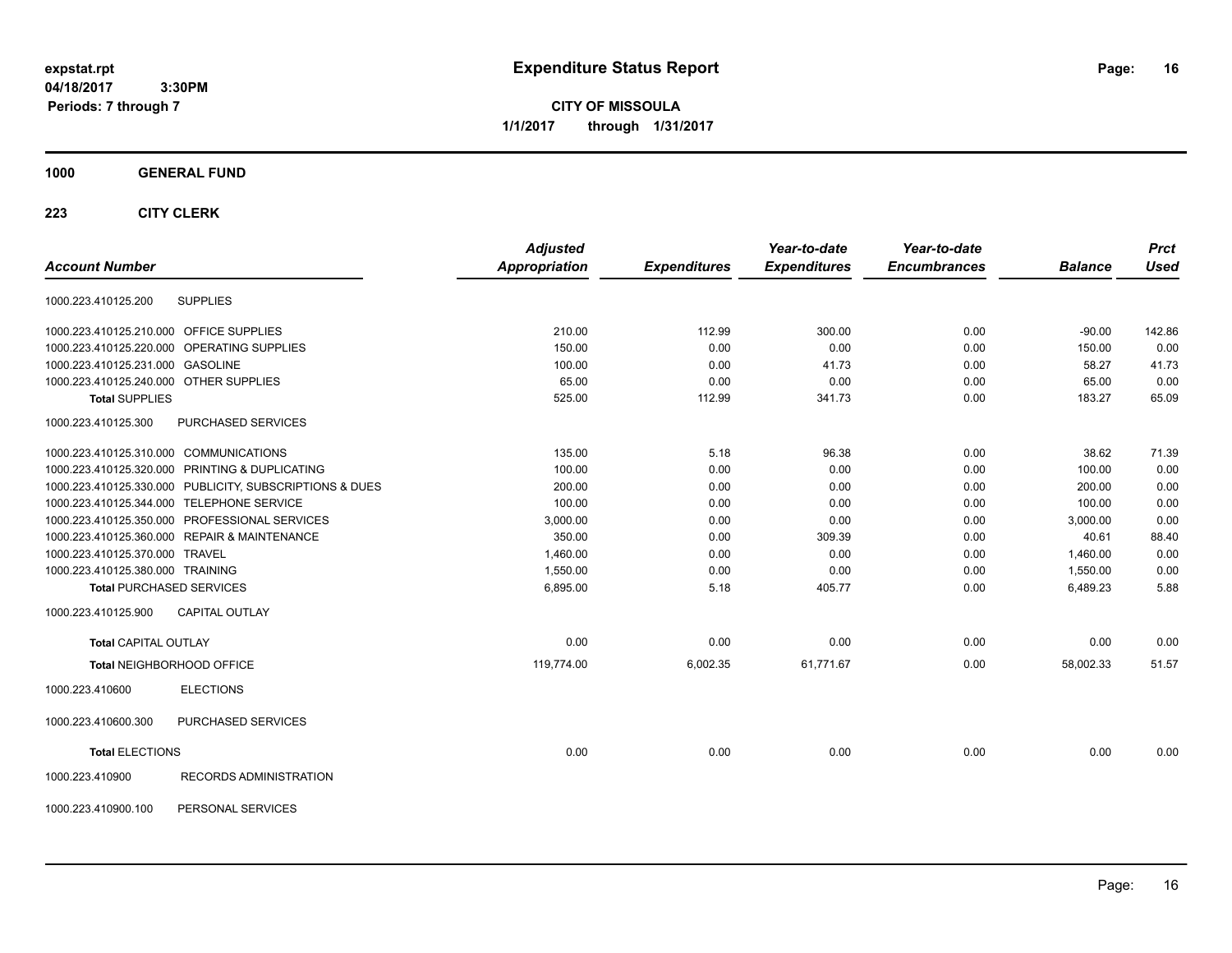**CITY OF MISSOULA 1/1/2017 through 1/31/2017**

## **1000 GENERAL FUND**

|                                                         | <b>Adjusted</b> |                     | Year-to-date        | Year-to-date        |                | <b>Prct</b> |
|---------------------------------------------------------|-----------------|---------------------|---------------------|---------------------|----------------|-------------|
| <b>Account Number</b>                                   | Appropriation   | <b>Expenditures</b> | <b>Expenditures</b> | <b>Encumbrances</b> | <b>Balance</b> | <b>Used</b> |
| <b>SUPPLIES</b><br>1000.223.410125.200                  |                 |                     |                     |                     |                |             |
| 1000.223.410125.210.000 OFFICE SUPPLIES                 | 210.00          | 112.99              | 300.00              | 0.00                | $-90.00$       | 142.86      |
| 1000.223.410125.220.000 OPERATING SUPPLIES              | 150.00          | 0.00                | 0.00                | 0.00                | 150.00         | 0.00        |
| 1000.223.410125.231.000 GASOLINE                        | 100.00          | 0.00                | 41.73               | 0.00                | 58.27          | 41.73       |
| 1000.223.410125.240.000 OTHER SUPPLIES                  | 65.00           | 0.00                | 0.00                | 0.00                | 65.00          | 0.00        |
| <b>Total SUPPLIES</b>                                   | 525.00          | 112.99              | 341.73              | 0.00                | 183.27         | 65.09       |
| PURCHASED SERVICES<br>1000.223.410125.300               |                 |                     |                     |                     |                |             |
| 1000.223.410125.310.000 COMMUNICATIONS                  | 135.00          | 5.18                | 96.38               | 0.00                | 38.62          | 71.39       |
| 1000.223.410125.320.000 PRINTING & DUPLICATING          | 100.00          | 0.00                | 0.00                | 0.00                | 100.00         | 0.00        |
| 1000.223.410125.330.000 PUBLICITY, SUBSCRIPTIONS & DUES | 200.00          | 0.00                | 0.00                | 0.00                | 200.00         | 0.00        |
| 1000.223.410125.344.000 TELEPHONE SERVICE               | 100.00          | 0.00                | 0.00                | 0.00                | 100.00         | 0.00        |
| 1000.223.410125.350.000 PROFESSIONAL SERVICES           | 3,000.00        | 0.00                | 0.00                | 0.00                | 3,000.00       | 0.00        |
| 1000.223.410125.360.000 REPAIR & MAINTENANCE            | 350.00          | 0.00                | 309.39              | 0.00                | 40.61          | 88.40       |
| 1000.223.410125.370.000 TRAVEL                          | 1,460.00        | 0.00                | 0.00                | 0.00                | 1,460.00       | 0.00        |
| 1000.223.410125.380.000 TRAINING                        | 1,550.00        | 0.00                | 0.00                | 0.00                | 1,550.00       | 0.00        |
| <b>Total PURCHASED SERVICES</b>                         | 6,895.00        | 5.18                | 405.77              | 0.00                | 6,489.23       | 5.88        |
| <b>CAPITAL OUTLAY</b><br>1000.223.410125.900            |                 |                     |                     |                     |                |             |
| <b>Total CAPITAL OUTLAY</b>                             | 0.00            | 0.00                | 0.00                | 0.00                | 0.00           | 0.00        |
| Total NEIGHBORHOOD OFFICE                               | 119,774.00      | 6,002.35            | 61,771.67           | 0.00                | 58,002.33      | 51.57       |
| 1000.223.410600<br><b>ELECTIONS</b>                     |                 |                     |                     |                     |                |             |
| PURCHASED SERVICES<br>1000.223.410600.300               |                 |                     |                     |                     |                |             |
| <b>Total ELECTIONS</b>                                  | 0.00            | 0.00                | 0.00                | 0.00                | 0.00           | 0.00        |
| RECORDS ADMINISTRATION<br>1000.223.410900               |                 |                     |                     |                     |                |             |
| 1000.223.410900.100<br>PERSONAL SERVICES                |                 |                     |                     |                     |                |             |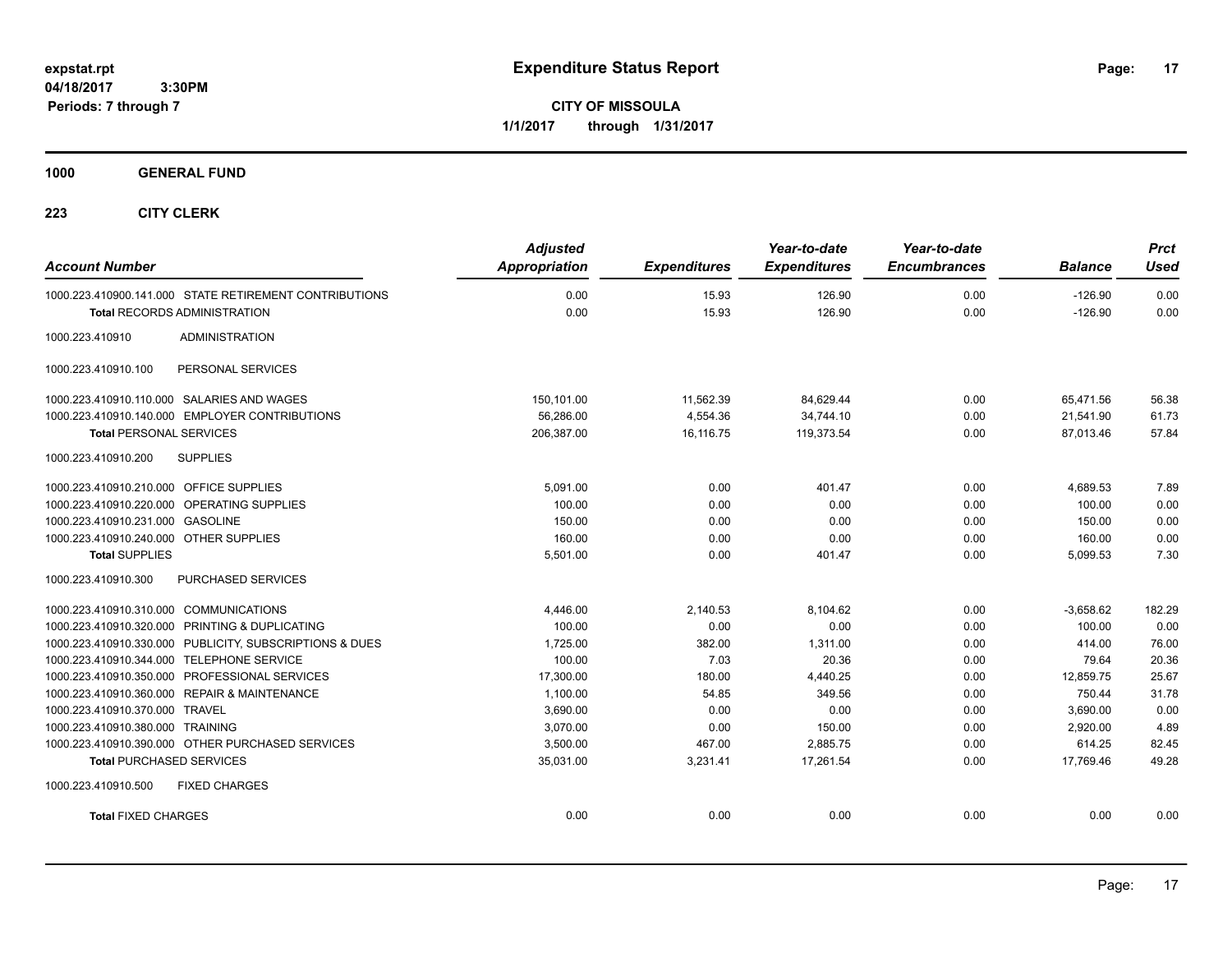**CITY OF MISSOULA 1/1/2017 through 1/31/2017**

**1000 GENERAL FUND**

| <b>Account Number</b>                                   | <b>Adjusted</b><br><b>Appropriation</b> | <b>Expenditures</b> | Year-to-date<br><b>Expenditures</b> | Year-to-date<br><b>Encumbrances</b> | <b>Balance</b> | <b>Prct</b><br><b>Used</b> |
|---------------------------------------------------------|-----------------------------------------|---------------------|-------------------------------------|-------------------------------------|----------------|----------------------------|
| 1000.223.410900.141.000 STATE RETIREMENT CONTRIBUTIONS  | 0.00                                    | 15.93               | 126.90                              | 0.00                                | $-126.90$      | 0.00                       |
| <b>Total RECORDS ADMINISTRATION</b>                     | 0.00                                    | 15.93               | 126.90                              | 0.00                                | $-126.90$      | 0.00                       |
| 1000.223.410910<br><b>ADMINISTRATION</b>                |                                         |                     |                                     |                                     |                |                            |
| PERSONAL SERVICES<br>1000.223.410910.100                |                                         |                     |                                     |                                     |                |                            |
| 1000.223.410910.110.000 SALARIES AND WAGES              | 150,101.00                              | 11,562.39           | 84,629.44                           | 0.00                                | 65,471.56      | 56.38                      |
| 1000.223.410910.140.000 EMPLOYER CONTRIBUTIONS          | 56.286.00                               | 4.554.36            | 34.744.10                           | 0.00                                | 21.541.90      | 61.73                      |
| <b>Total PERSONAL SERVICES</b>                          | 206,387.00                              | 16,116.75           | 119,373.54                          | 0.00                                | 87,013.46      | 57.84                      |
| <b>SUPPLIES</b><br>1000.223.410910.200                  |                                         |                     |                                     |                                     |                |                            |
| 1000.223.410910.210.000 OFFICE SUPPLIES                 | 5.091.00                                | 0.00                | 401.47                              | 0.00                                | 4,689.53       | 7.89                       |
| 1000.223.410910.220.000 OPERATING SUPPLIES              | 100.00                                  | 0.00                | 0.00                                | 0.00                                | 100.00         | 0.00                       |
| 1000.223.410910.231.000 GASOLINE                        | 150.00                                  | 0.00                | 0.00                                | 0.00                                | 150.00         | 0.00                       |
| 1000.223.410910.240.000 OTHER SUPPLIES                  | 160.00                                  | 0.00                | 0.00                                | 0.00                                | 160.00         | 0.00                       |
| <b>Total SUPPLIES</b>                                   | 5,501.00                                | 0.00                | 401.47                              | 0.00                                | 5,099.53       | 7.30                       |
| PURCHASED SERVICES<br>1000.223.410910.300               |                                         |                     |                                     |                                     |                |                            |
| 1000.223.410910.310.000 COMMUNICATIONS                  | 4,446.00                                | 2,140.53            | 8,104.62                            | 0.00                                | $-3,658.62$    | 182.29                     |
| 1000.223.410910.320.000 PRINTING & DUPLICATING          | 100.00                                  | 0.00                | 0.00                                | 0.00                                | 100.00         | 0.00                       |
| 1000.223.410910.330.000 PUBLICITY, SUBSCRIPTIONS & DUES | 1,725.00                                | 382.00              | 1,311.00                            | 0.00                                | 414.00         | 76.00                      |
| 1000.223.410910.344.000 TELEPHONE SERVICE               | 100.00                                  | 7.03                | 20.36                               | 0.00                                | 79.64          | 20.36                      |
| 1000.223.410910.350.000 PROFESSIONAL SERVICES           | 17,300.00                               | 180.00              | 4,440.25                            | 0.00                                | 12,859.75      | 25.67                      |
| 1000.223.410910.360.000 REPAIR & MAINTENANCE            | 1,100.00                                | 54.85               | 349.56                              | 0.00                                | 750.44         | 31.78                      |
| 1000.223.410910.370.000 TRAVEL                          | 3,690.00                                | 0.00                | 0.00                                | 0.00                                | 3,690.00       | 0.00                       |
| 1000.223.410910.380.000 TRAINING                        | 3,070.00                                | 0.00                | 150.00                              | 0.00                                | 2,920.00       | 4.89                       |
| 1000.223.410910.390.000 OTHER PURCHASED SERVICES        | 3,500.00                                | 467.00              | 2,885.75                            | 0.00                                | 614.25         | 82.45                      |
| <b>Total PURCHASED SERVICES</b>                         | 35,031.00                               | 3,231.41            | 17,261.54                           | 0.00                                | 17,769.46      | 49.28                      |
| 1000.223.410910.500<br><b>FIXED CHARGES</b>             |                                         |                     |                                     |                                     |                |                            |
| <b>Total FIXED CHARGES</b>                              | 0.00                                    | 0.00                | 0.00                                | 0.00                                | 0.00           | 0.00                       |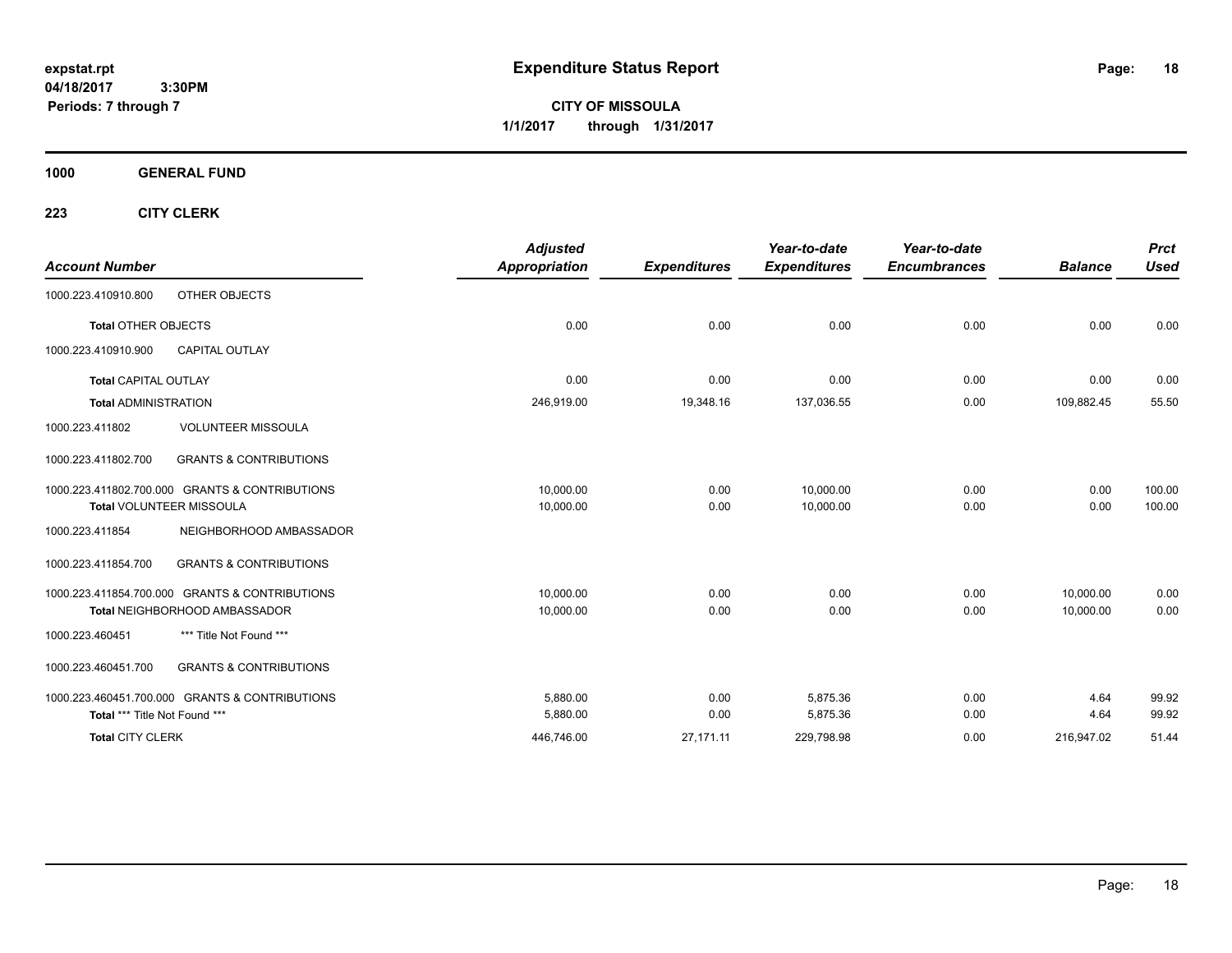**CITY OF MISSOULA 1/1/2017 through 1/31/2017**

**1000 GENERAL FUND**

| <b>Account Number</b>         |                                                | <b>Adjusted</b><br><b>Appropriation</b> | <b>Expenditures</b> | Year-to-date<br><b>Expenditures</b> | Year-to-date<br><b>Encumbrances</b> | <b>Balance</b> | <b>Prct</b><br><b>Used</b> |
|-------------------------------|------------------------------------------------|-----------------------------------------|---------------------|-------------------------------------|-------------------------------------|----------------|----------------------------|
| 1000.223.410910.800           | OTHER OBJECTS                                  |                                         |                     |                                     |                                     |                |                            |
| <b>Total OTHER OBJECTS</b>    |                                                | 0.00                                    | 0.00                | 0.00                                | 0.00                                | 0.00           | 0.00                       |
| 1000.223.410910.900           | <b>CAPITAL OUTLAY</b>                          |                                         |                     |                                     |                                     |                |                            |
| <b>Total CAPITAL OUTLAY</b>   |                                                | 0.00                                    | 0.00                | 0.00                                | 0.00                                | 0.00           | 0.00                       |
| <b>Total ADMINISTRATION</b>   |                                                | 246,919.00                              | 19,348.16           | 137,036.55                          | 0.00                                | 109,882.45     | 55.50                      |
| 1000.223.411802               | <b>VOLUNTEER MISSOULA</b>                      |                                         |                     |                                     |                                     |                |                            |
| 1000.223.411802.700           | <b>GRANTS &amp; CONTRIBUTIONS</b>              |                                         |                     |                                     |                                     |                |                            |
|                               | 1000.223.411802.700.000 GRANTS & CONTRIBUTIONS | 10.000.00                               | 0.00                | 10.000.00                           | 0.00                                | 0.00           | 100.00                     |
|                               | <b>Total VOLUNTEER MISSOULA</b>                | 10,000.00                               | 0.00                | 10,000.00                           | 0.00                                | 0.00           | 100.00                     |
| 1000.223.411854               | NEIGHBORHOOD AMBASSADOR                        |                                         |                     |                                     |                                     |                |                            |
| 1000.223.411854.700           | <b>GRANTS &amp; CONTRIBUTIONS</b>              |                                         |                     |                                     |                                     |                |                            |
|                               | 1000.223.411854.700.000 GRANTS & CONTRIBUTIONS | 10.000.00                               | 0.00                | 0.00                                | 0.00                                | 10,000.00      | 0.00                       |
|                               | <b>Total NEIGHBORHOOD AMBASSADOR</b>           | 10,000.00                               | 0.00                | 0.00                                | 0.00                                | 10,000.00      | 0.00                       |
| 1000.223.460451               | *** Title Not Found ***                        |                                         |                     |                                     |                                     |                |                            |
| 1000.223.460451.700           | <b>GRANTS &amp; CONTRIBUTIONS</b>              |                                         |                     |                                     |                                     |                |                            |
|                               | 1000.223.460451.700.000 GRANTS & CONTRIBUTIONS | 5.880.00                                | 0.00                | 5.875.36                            | 0.00                                | 4.64           | 99.92                      |
| Total *** Title Not Found *** |                                                | 5,880.00                                | 0.00                | 5,875.36                            | 0.00                                | 4.64           | 99.92                      |
| <b>Total CITY CLERK</b>       |                                                | 446,746.00                              | 27,171.11           | 229,798.98                          | 0.00                                | 216,947.02     | 51.44                      |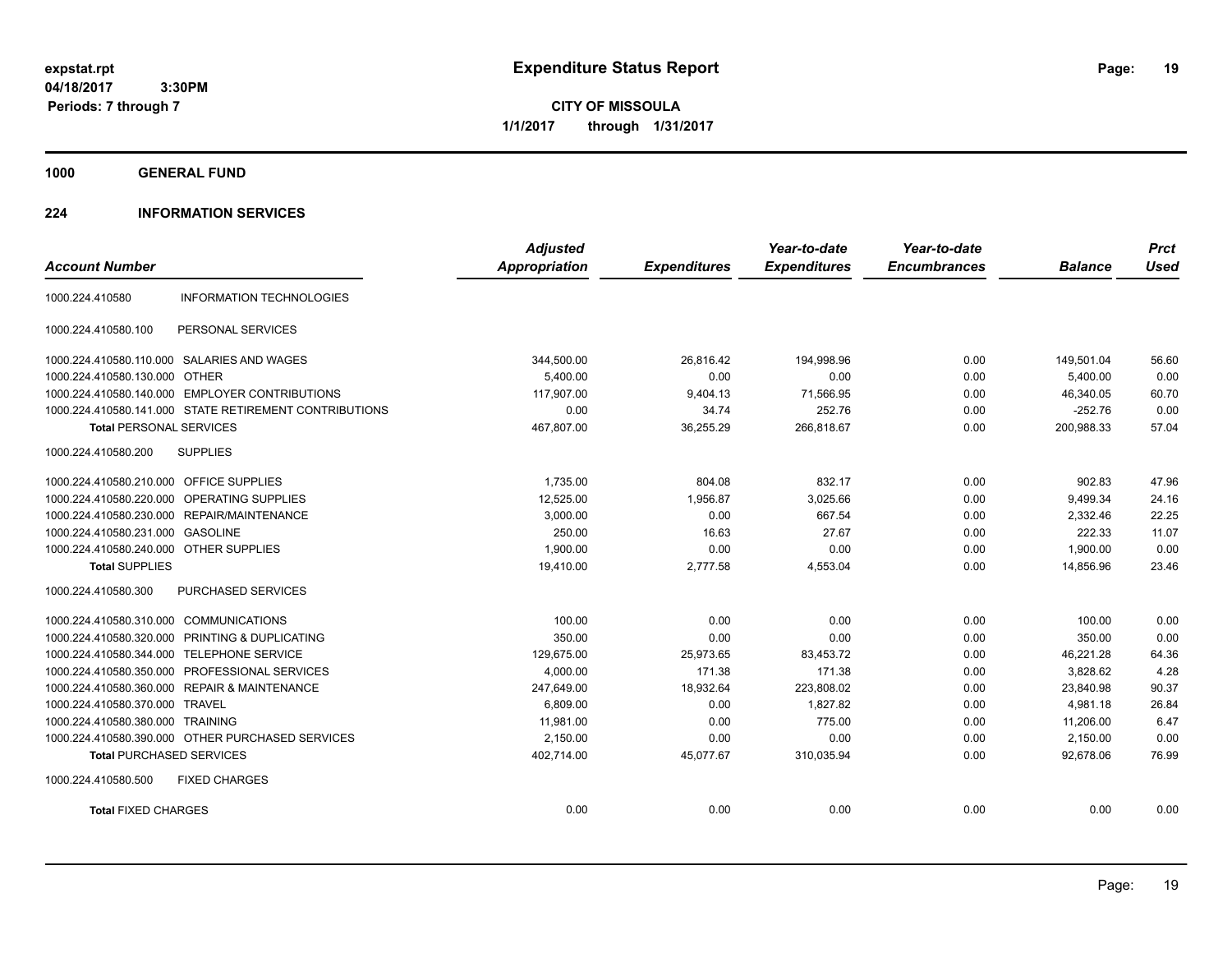**CITY OF MISSOULA 1/1/2017 through 1/31/2017**

**1000 GENERAL FUND**

## **224 INFORMATION SERVICES**

|                                            |                                                        | <b>Adjusted</b>      |                     | Year-to-date        | Year-to-date        |                | <b>Prct</b> |
|--------------------------------------------|--------------------------------------------------------|----------------------|---------------------|---------------------|---------------------|----------------|-------------|
| <b>Account Number</b>                      |                                                        | <b>Appropriation</b> | <b>Expenditures</b> | <b>Expenditures</b> | <b>Encumbrances</b> | <b>Balance</b> | <b>Used</b> |
| 1000.224.410580                            | <b>INFORMATION TECHNOLOGIES</b>                        |                      |                     |                     |                     |                |             |
| 1000.224.410580.100                        | PERSONAL SERVICES                                      |                      |                     |                     |                     |                |             |
| 1000.224.410580.110.000 SALARIES AND WAGES |                                                        | 344,500.00           | 26,816.42           | 194.998.96          | 0.00                | 149,501.04     | 56.60       |
| 1000.224.410580.130.000 OTHER              |                                                        | 5,400.00             | 0.00                | 0.00                | 0.00                | 5,400.00       | 0.00        |
|                                            | 1000.224.410580.140.000 EMPLOYER CONTRIBUTIONS         | 117.907.00           | 9,404.13            | 71,566.95           | 0.00                | 46,340.05      | 60.70       |
|                                            | 1000.224.410580.141.000 STATE RETIREMENT CONTRIBUTIONS | 0.00                 | 34.74               | 252.76              | 0.00                | $-252.76$      | 0.00        |
| <b>Total PERSONAL SERVICES</b>             |                                                        | 467,807.00           | 36,255.29           | 266,818.67          | 0.00                | 200,988.33     | 57.04       |
| 1000.224.410580.200                        | <b>SUPPLIES</b>                                        |                      |                     |                     |                     |                |             |
| 1000.224.410580.210.000 OFFICE SUPPLIES    |                                                        | 1,735.00             | 804.08              | 832.17              | 0.00                | 902.83         | 47.96       |
| 1000.224.410580.220.000 OPERATING SUPPLIES |                                                        | 12.525.00            | 1,956.87            | 3,025.66            | 0.00                | 9,499.34       | 24.16       |
| 1000.224.410580.230.000 REPAIR/MAINTENANCE |                                                        | 3,000.00             | 0.00                | 667.54              | 0.00                | 2,332.46       | 22.25       |
| 1000.224.410580.231.000 GASOLINE           |                                                        | 250.00               | 16.63               | 27.67               | 0.00                | 222.33         | 11.07       |
| 1000.224.410580.240.000 OTHER SUPPLIES     |                                                        | 1,900.00             | 0.00                | 0.00                | 0.00                | 1,900.00       | 0.00        |
| <b>Total SUPPLIES</b>                      |                                                        | 19,410.00            | 2,777.58            | 4,553.04            | 0.00                | 14,856.96      | 23.46       |
| 1000.224.410580.300                        | <b>PURCHASED SERVICES</b>                              |                      |                     |                     |                     |                |             |
| 1000.224.410580.310.000 COMMUNICATIONS     |                                                        | 100.00               | 0.00                | 0.00                | 0.00                | 100.00         | 0.00        |
|                                            | 1000.224.410580.320.000 PRINTING & DUPLICATING         | 350.00               | 0.00                | 0.00                | 0.00                | 350.00         | 0.00        |
| 1000.224.410580.344.000                    | <b>TELEPHONE SERVICE</b>                               | 129,675.00           | 25,973.65           | 83,453.72           | 0.00                | 46,221.28      | 64.36       |
|                                            | 1000.224.410580.350.000 PROFESSIONAL SERVICES          | 4,000.00             | 171.38              | 171.38              | 0.00                | 3,828.62       | 4.28        |
|                                            | 1000.224.410580.360.000 REPAIR & MAINTENANCE           | 247,649.00           | 18,932.64           | 223,808.02          | 0.00                | 23,840.98      | 90.37       |
| 1000.224.410580.370.000 TRAVEL             |                                                        | 6,809.00             | 0.00                | 1,827.82            | 0.00                | 4.981.18       | 26.84       |
| 1000.224.410580.380.000 TRAINING           |                                                        | 11,981.00            | 0.00                | 775.00              | 0.00                | 11,206.00      | 6.47        |
|                                            | 1000.224.410580.390.000 OTHER PURCHASED SERVICES       | 2,150.00             | 0.00                | 0.00                | 0.00                | 2,150.00       | 0.00        |
| <b>Total PURCHASED SERVICES</b>            |                                                        | 402,714.00           | 45,077.67           | 310,035.94          | 0.00                | 92,678.06      | 76.99       |
| 1000.224.410580.500                        | <b>FIXED CHARGES</b>                                   |                      |                     |                     |                     |                |             |
| <b>Total FIXED CHARGES</b>                 |                                                        | 0.00                 | 0.00                | 0.00                | 0.00                | 0.00           | 0.00        |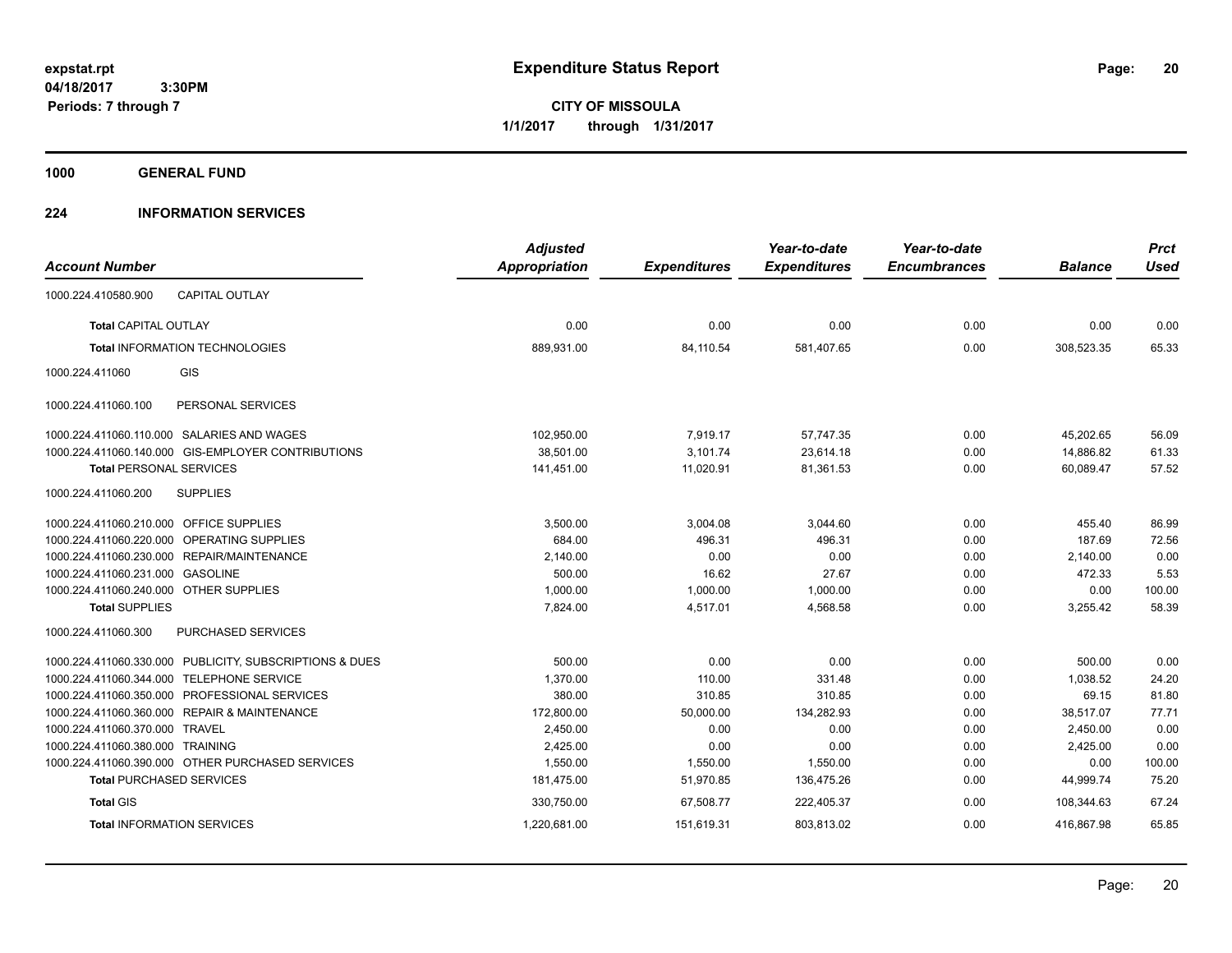**CITY OF MISSOULA 1/1/2017 through 1/31/2017**

**1000 GENERAL FUND**

## **224 INFORMATION SERVICES**

|                                         |                                                         | <b>Adjusted</b>      |                     | Year-to-date        | Year-to-date        |                | <b>Prct</b> |
|-----------------------------------------|---------------------------------------------------------|----------------------|---------------------|---------------------|---------------------|----------------|-------------|
| <b>Account Number</b>                   |                                                         | <b>Appropriation</b> | <b>Expenditures</b> | <b>Expenditures</b> | <b>Encumbrances</b> | <b>Balance</b> | <b>Used</b> |
| 1000.224.410580.900                     | <b>CAPITAL OUTLAY</b>                                   |                      |                     |                     |                     |                |             |
| <b>Total CAPITAL OUTLAY</b>             |                                                         | 0.00                 | 0.00                | 0.00                | 0.00                | 0.00           | 0.00        |
|                                         | Total INFORMATION TECHNOLOGIES                          | 889,931.00           | 84,110.54           | 581,407.65          | 0.00                | 308,523.35     | 65.33       |
| 1000.224.411060                         | GIS                                                     |                      |                     |                     |                     |                |             |
| 1000.224.411060.100                     | PERSONAL SERVICES                                       |                      |                     |                     |                     |                |             |
|                                         | 1000.224.411060.110.000 SALARIES AND WAGES              | 102,950.00           | 7,919.17            | 57,747.35           | 0.00                | 45,202.65      | 56.09       |
|                                         | 1000.224.411060.140.000 GIS-EMPLOYER CONTRIBUTIONS      | 38,501.00            | 3,101.74            | 23,614.18           | 0.00                | 14,886.82      | 61.33       |
| <b>Total PERSONAL SERVICES</b>          |                                                         | 141,451.00           | 11,020.91           | 81,361.53           | 0.00                | 60,089.47      | 57.52       |
| 1000.224.411060.200                     | <b>SUPPLIES</b>                                         |                      |                     |                     |                     |                |             |
| 1000.224.411060.210.000 OFFICE SUPPLIES |                                                         | 3,500.00             | 3,004.08            | 3.044.60            | 0.00                | 455.40         | 86.99       |
| 1000.224.411060.220.000                 | <b>OPERATING SUPPLIES</b>                               | 684.00               | 496.31              | 496.31              | 0.00                | 187.69         | 72.56       |
| 1000.224.411060.230.000                 | REPAIR/MAINTENANCE                                      | 2,140.00             | 0.00                | 0.00                | 0.00                | 2,140.00       | 0.00        |
| 1000.224.411060.231.000                 | <b>GASOLINE</b>                                         | 500.00               | 16.62               | 27.67               | 0.00                | 472.33         | 5.53        |
| 1000.224.411060.240.000 OTHER SUPPLIES  |                                                         | 1,000.00             | 1,000.00            | 1,000.00            | 0.00                | 0.00           | 100.00      |
| <b>Total SUPPLIES</b>                   |                                                         | 7,824.00             | 4,517.01            | 4,568.58            | 0.00                | 3,255.42       | 58.39       |
| 1000.224.411060.300                     | <b>PURCHASED SERVICES</b>                               |                      |                     |                     |                     |                |             |
|                                         | 1000.224.411060.330.000 PUBLICITY, SUBSCRIPTIONS & DUES | 500.00               | 0.00                | 0.00                | 0.00                | 500.00         | 0.00        |
| 1000.224.411060.344.000                 | <b>TELEPHONE SERVICE</b>                                | 1,370.00             | 110.00              | 331.48              | 0.00                | 1,038.52       | 24.20       |
|                                         | 1000.224.411060.350.000 PROFESSIONAL SERVICES           | 380.00               | 310.85              | 310.85              | 0.00                | 69.15          | 81.80       |
|                                         | 1000.224.411060.360.000 REPAIR & MAINTENANCE            | 172,800.00           | 50,000.00           | 134,282.93          | 0.00                | 38,517.07      | 77.71       |
| 1000.224.411060.370.000 TRAVEL          |                                                         | 2,450.00             | 0.00                | 0.00                | 0.00                | 2,450.00       | 0.00        |
| 1000.224.411060.380.000                 | <b>TRAINING</b>                                         | 2.425.00             | 0.00                | 0.00                | 0.00                | 2,425.00       | 0.00        |
|                                         | 1000.224.411060.390.000 OTHER PURCHASED SERVICES        | 1.550.00             | 1,550.00            | 1,550.00            | 0.00                | 0.00           | 100.00      |
| <b>Total PURCHASED SERVICES</b>         |                                                         | 181,475.00           | 51,970.85           | 136,475.26          | 0.00                | 44,999.74      | 75.20       |
| <b>Total GIS</b>                        |                                                         | 330,750.00           | 67,508.77           | 222,405.37          | 0.00                | 108.344.63     | 67.24       |
|                                         | <b>Total INFORMATION SERVICES</b>                       | 1,220,681.00         | 151,619.31          | 803,813.02          | 0.00                | 416,867.98     | 65.85       |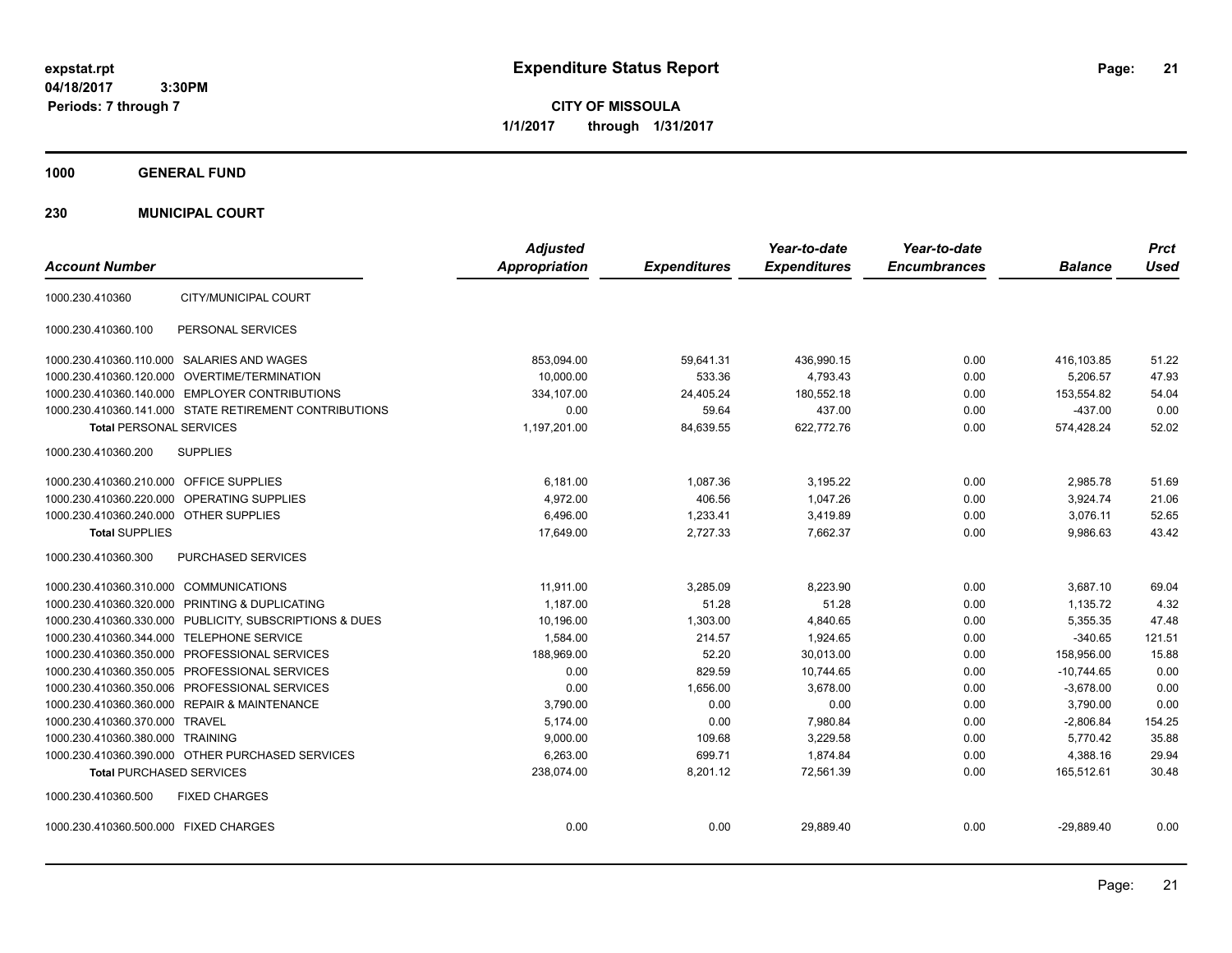**CITY OF MISSOULA 1/1/2017 through 1/31/2017**

**1000 GENERAL FUND**

**230 MUNICIPAL COURT**

| <b>Account Number</b>                                   | <b>Adjusted</b><br><b>Appropriation</b> | <b>Expenditures</b> | Year-to-date<br><b>Expenditures</b> | Year-to-date<br><b>Encumbrances</b> | <b>Balance</b> | <b>Prct</b><br><b>Used</b> |
|---------------------------------------------------------|-----------------------------------------|---------------------|-------------------------------------|-------------------------------------|----------------|----------------------------|
| CITY/MUNICIPAL COURT<br>1000.230.410360                 |                                         |                     |                                     |                                     |                |                            |
| PERSONAL SERVICES<br>1000.230.410360.100                |                                         |                     |                                     |                                     |                |                            |
| 1000.230.410360.110.000 SALARIES AND WAGES              | 853,094.00                              | 59,641.31           | 436,990.15                          | 0.00                                | 416,103.85     | 51.22                      |
| 1000.230.410360.120.000 OVERTIME/TERMINATION            | 10,000.00                               | 533.36              | 4,793.43                            | 0.00                                | 5,206.57       | 47.93                      |
| 1000.230.410360.140.000 EMPLOYER CONTRIBUTIONS          | 334,107.00                              | 24,405.24           | 180,552.18                          | 0.00                                | 153,554.82     | 54.04                      |
| 1000.230.410360.141.000 STATE RETIREMENT CONTRIBUTIONS  | 0.00                                    | 59.64               | 437.00                              | 0.00                                | $-437.00$      | 0.00                       |
| <b>Total PERSONAL SERVICES</b>                          | 1,197,201.00                            | 84,639.55           | 622,772.76                          | 0.00                                | 574,428.24     | 52.02                      |
| 1000.230.410360.200<br><b>SUPPLIES</b>                  |                                         |                     |                                     |                                     |                |                            |
| 1000.230.410360.210.000 OFFICE SUPPLIES                 | 6,181.00                                | 1,087.36            | 3,195.22                            | 0.00                                | 2,985.78       | 51.69                      |
| 1000.230.410360.220.000<br><b>OPERATING SUPPLIES</b>    | 4,972.00                                | 406.56              | 1.047.26                            | 0.00                                | 3,924.74       | 21.06                      |
| 1000.230.410360.240.000 OTHER SUPPLIES                  | 6,496.00                                | 1,233.41            | 3,419.89                            | 0.00                                | 3,076.11       | 52.65                      |
| <b>Total SUPPLIES</b>                                   | 17,649.00                               | 2,727.33            | 7.662.37                            | 0.00                                | 9,986.63       | 43.42                      |
| 1000.230.410360.300<br>PURCHASED SERVICES               |                                         |                     |                                     |                                     |                |                            |
| 1000.230.410360.310.000 COMMUNICATIONS                  | 11,911.00                               | 3,285.09            | 8,223.90                            | 0.00                                | 3,687.10       | 69.04                      |
| 1000.230.410360.320.000 PRINTING & DUPLICATING          | 1.187.00                                | 51.28               | 51.28                               | 0.00                                | 1,135.72       | 4.32                       |
| 1000.230.410360.330.000 PUBLICITY, SUBSCRIPTIONS & DUES | 10,196.00                               | 1,303.00            | 4,840.65                            | 0.00                                | 5,355.35       | 47.48                      |
| 1000.230.410360.344.000 TELEPHONE SERVICE               | 1,584.00                                | 214.57              | 1.924.65                            | 0.00                                | $-340.65$      | 121.51                     |
| 1000.230.410360.350.000 PROFESSIONAL SERVICES           | 188,969.00                              | 52.20               | 30,013.00                           | 0.00                                | 158,956.00     | 15.88                      |
| 1000.230.410360.350.005 PROFESSIONAL SERVICES           | 0.00                                    | 829.59              | 10.744.65                           | 0.00                                | $-10.744.65$   | 0.00                       |
| 1000.230.410360.350.006 PROFESSIONAL SERVICES           | 0.00                                    | 1,656.00            | 3,678.00                            | 0.00                                | $-3,678.00$    | 0.00                       |
| 1000.230.410360.360.000 REPAIR & MAINTENANCE            | 3.790.00                                | 0.00                | 0.00                                | 0.00                                | 3,790.00       | 0.00                       |
| 1000.230.410360.370.000 TRAVEL                          | 5,174.00                                | 0.00                | 7,980.84                            | 0.00                                | $-2,806.84$    | 154.25                     |
| 1000.230.410360.380.000 TRAINING                        | 9,000.00                                | 109.68              | 3,229.58                            | 0.00                                | 5.770.42       | 35.88                      |
| 1000.230.410360.390.000 OTHER PURCHASED SERVICES        | 6,263.00                                | 699.71              | 1,874.84                            | 0.00                                | 4,388.16       | 29.94                      |
| <b>Total PURCHASED SERVICES</b>                         | 238,074.00                              | 8,201.12            | 72,561.39                           | 0.00                                | 165,512.61     | 30.48                      |
| 1000.230.410360.500<br><b>FIXED CHARGES</b>             |                                         |                     |                                     |                                     |                |                            |
| 1000.230.410360.500.000 FIXED CHARGES                   | 0.00                                    | 0.00                | 29,889.40                           | 0.00                                | $-29,889.40$   | 0.00                       |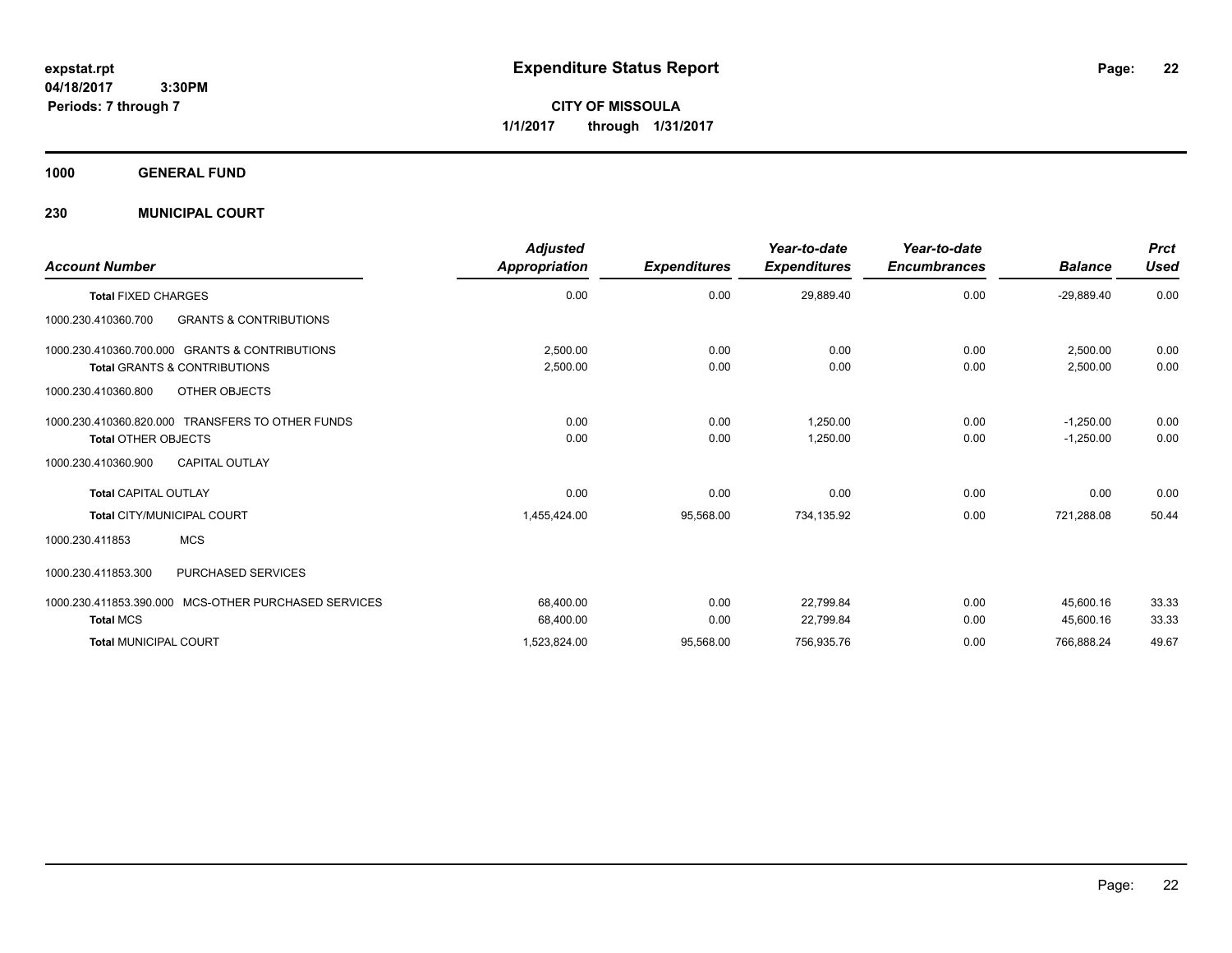**CITY OF MISSOULA 1/1/2017 through 1/31/2017**

**1000 GENERAL FUND**

**230 MUNICIPAL COURT**

| <b>Account Number</b>                                                                     | <b>Adjusted</b><br>Appropriation | <b>Expenditures</b> | Year-to-date<br><b>Expenditures</b> | Year-to-date<br><b>Encumbrances</b> | <b>Balance</b>             | <b>Prct</b><br><b>Used</b> |
|-------------------------------------------------------------------------------------------|----------------------------------|---------------------|-------------------------------------|-------------------------------------|----------------------------|----------------------------|
| <b>Total FIXED CHARGES</b>                                                                | 0.00                             | 0.00                | 29,889.40                           | 0.00                                | $-29,889.40$               | 0.00                       |
| <b>GRANTS &amp; CONTRIBUTIONS</b><br>1000.230.410360.700                                  |                                  |                     |                                     |                                     |                            |                            |
| 1000.230.410360.700.000 GRANTS & CONTRIBUTIONS<br><b>Total GRANTS &amp; CONTRIBUTIONS</b> | 2,500.00<br>2,500.00             | 0.00<br>0.00        | 0.00<br>0.00                        | 0.00<br>0.00                        | 2.500.00<br>2,500.00       | 0.00<br>0.00               |
| 1000.230.410360.800<br>OTHER OBJECTS                                                      |                                  |                     |                                     |                                     |                            |                            |
| 1000.230.410360.820.000 TRANSFERS TO OTHER FUNDS<br><b>Total OTHER OBJECTS</b>            | 0.00<br>0.00                     | 0.00<br>0.00        | 1,250.00<br>1,250.00                | 0.00<br>0.00                        | $-1,250.00$<br>$-1,250.00$ | 0.00<br>0.00               |
| 1000.230.410360.900<br><b>CAPITAL OUTLAY</b>                                              |                                  |                     |                                     |                                     |                            |                            |
| <b>Total CAPITAL OUTLAY</b>                                                               | 0.00                             | 0.00                | 0.00                                | 0.00                                | 0.00                       | 0.00                       |
| Total CITY/MUNICIPAL COURT                                                                | 1,455,424.00                     | 95,568.00           | 734,135.92                          | 0.00                                | 721,288.08                 | 50.44                      |
| <b>MCS</b><br>1000.230.411853                                                             |                                  |                     |                                     |                                     |                            |                            |
| <b>PURCHASED SERVICES</b><br>1000.230.411853.300                                          |                                  |                     |                                     |                                     |                            |                            |
| 1000.230.411853.390.000 MCS-OTHER PURCHASED SERVICES<br><b>Total MCS</b>                  | 68,400.00<br>68,400.00           | 0.00<br>0.00        | 22,799.84<br>22,799.84              | 0.00<br>0.00                        | 45.600.16<br>45,600.16     | 33.33<br>33.33             |
| <b>Total MUNICIPAL COURT</b>                                                              | 1,523,824.00                     | 95,568.00           | 756,935.76                          | 0.00                                | 766,888.24                 | 49.67                      |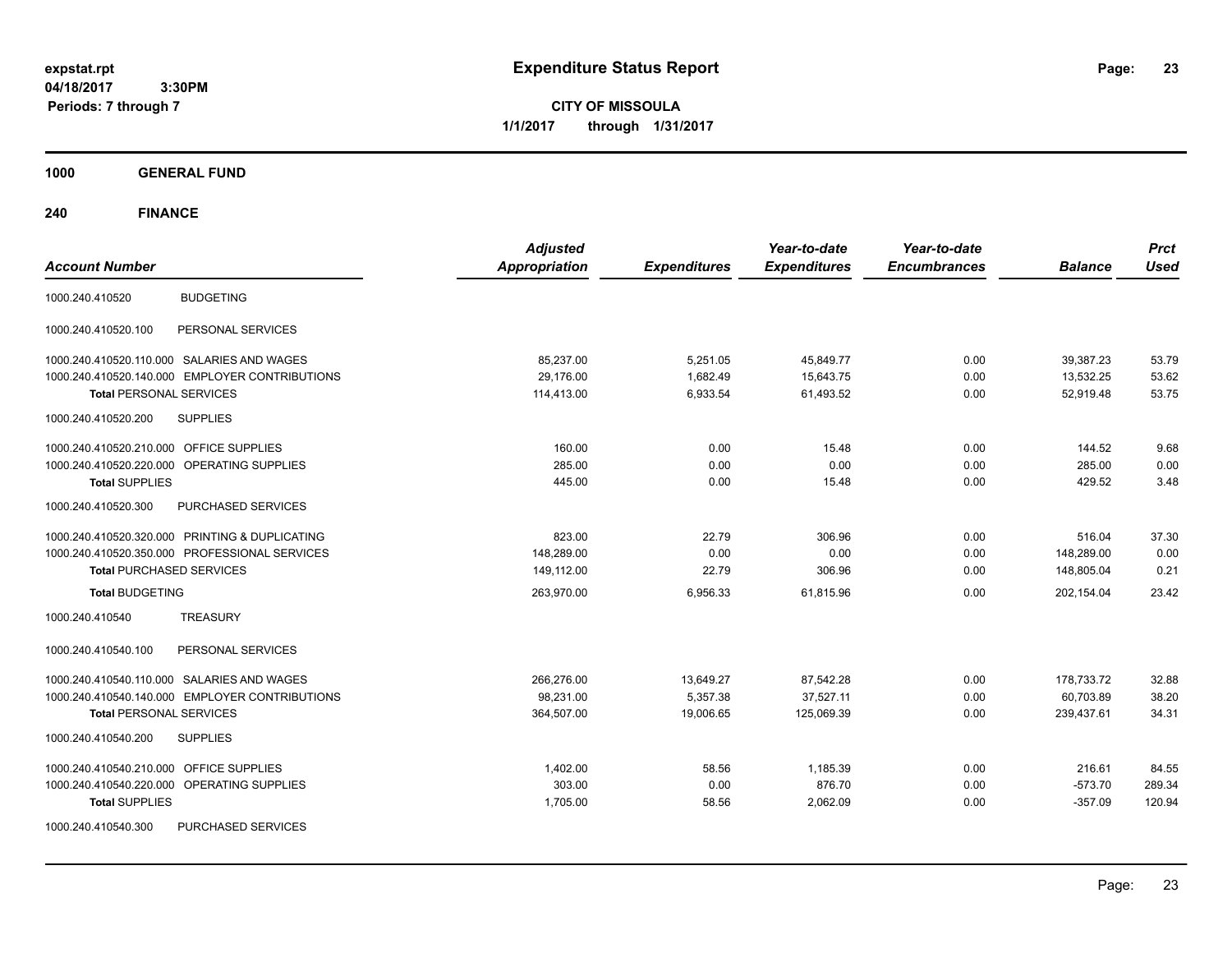**CITY OF MISSOULA 1/1/2017 through 1/31/2017**

**1000 GENERAL FUND**

| <b>Account Number</b>                             | <b>Adjusted</b><br><b>Appropriation</b> | <b>Expenditures</b> | Year-to-date<br><b>Expenditures</b> | Year-to-date<br><b>Encumbrances</b> | <b>Balance</b> | <b>Prct</b><br><b>Used</b> |
|---------------------------------------------------|-----------------------------------------|---------------------|-------------------------------------|-------------------------------------|----------------|----------------------------|
|                                                   |                                         |                     |                                     |                                     |                |                            |
| <b>BUDGETING</b><br>1000.240.410520               |                                         |                     |                                     |                                     |                |                            |
| PERSONAL SERVICES<br>1000.240.410520.100          |                                         |                     |                                     |                                     |                |                            |
| 1000.240.410520.110.000 SALARIES AND WAGES        | 85,237.00                               | 5,251.05            | 45,849.77                           | 0.00                                | 39,387.23      | 53.79                      |
| 1000.240.410520.140.000 EMPLOYER CONTRIBUTIONS    | 29,176.00                               | 1,682.49            | 15,643.75                           | 0.00                                | 13,532.25      | 53.62                      |
| <b>Total PERSONAL SERVICES</b>                    | 114,413.00                              | 6,933.54            | 61,493.52                           | 0.00                                | 52,919.48      | 53.75                      |
| 1000.240.410520.200<br><b>SUPPLIES</b>            |                                         |                     |                                     |                                     |                |                            |
| <b>OFFICE SUPPLIES</b><br>1000.240.410520.210.000 | 160.00                                  | 0.00                | 15.48                               | 0.00                                | 144.52         | 9.68                       |
| OPERATING SUPPLIES<br>1000.240.410520.220.000     | 285.00                                  | 0.00                | 0.00                                | 0.00                                | 285.00         | 0.00                       |
| <b>Total SUPPLIES</b>                             | 445.00                                  | 0.00                | 15.48                               | 0.00                                | 429.52         | 3.48                       |
| 1000.240.410520.300<br>PURCHASED SERVICES         |                                         |                     |                                     |                                     |                |                            |
| 1000.240.410520.320.000 PRINTING & DUPLICATING    | 823.00                                  | 22.79               | 306.96                              | 0.00                                | 516.04         | 37.30                      |
| 1000.240.410520.350.000 PROFESSIONAL SERVICES     | 148.289.00                              | 0.00                | 0.00                                | 0.00                                | 148.289.00     | 0.00                       |
| <b>Total PURCHASED SERVICES</b>                   | 149,112.00                              | 22.79               | 306.96                              | 0.00                                | 148,805.04     | 0.21                       |
| <b>Total BUDGETING</b>                            | 263,970.00                              | 6,956.33            | 61,815.96                           | 0.00                                | 202,154.04     | 23.42                      |
| <b>TREASURY</b><br>1000.240.410540                |                                         |                     |                                     |                                     |                |                            |
| 1000.240.410540.100<br>PERSONAL SERVICES          |                                         |                     |                                     |                                     |                |                            |
| 1000.240.410540.110.000 SALARIES AND WAGES        | 266,276.00                              | 13,649.27           | 87,542.28                           | 0.00                                | 178,733.72     | 32.88                      |
| 1000.240.410540.140.000 EMPLOYER CONTRIBUTIONS    | 98,231.00                               | 5,357.38            | 37,527.11                           | 0.00                                | 60,703.89      | 38.20                      |
| <b>Total PERSONAL SERVICES</b>                    | 364,507.00                              | 19,006.65           | 125,069.39                          | 0.00                                | 239,437.61     | 34.31                      |
| 1000.240.410540.200<br><b>SUPPLIES</b>            |                                         |                     |                                     |                                     |                |                            |
| 1000.240.410540.210.000<br><b>OFFICE SUPPLIES</b> | 1,402.00                                | 58.56               | 1,185.39                            | 0.00                                | 216.61         | 84.55                      |
| OPERATING SUPPLIES<br>1000.240.410540.220.000     | 303.00                                  | 0.00                | 876.70                              | 0.00                                | $-573.70$      | 289.34                     |
| <b>Total SUPPLIES</b>                             | 1,705.00                                | 58.56               | 2,062.09                            | 0.00                                | $-357.09$      | 120.94                     |
| PURCHASED SERVICES<br>1000.240.410540.300         |                                         |                     |                                     |                                     |                |                            |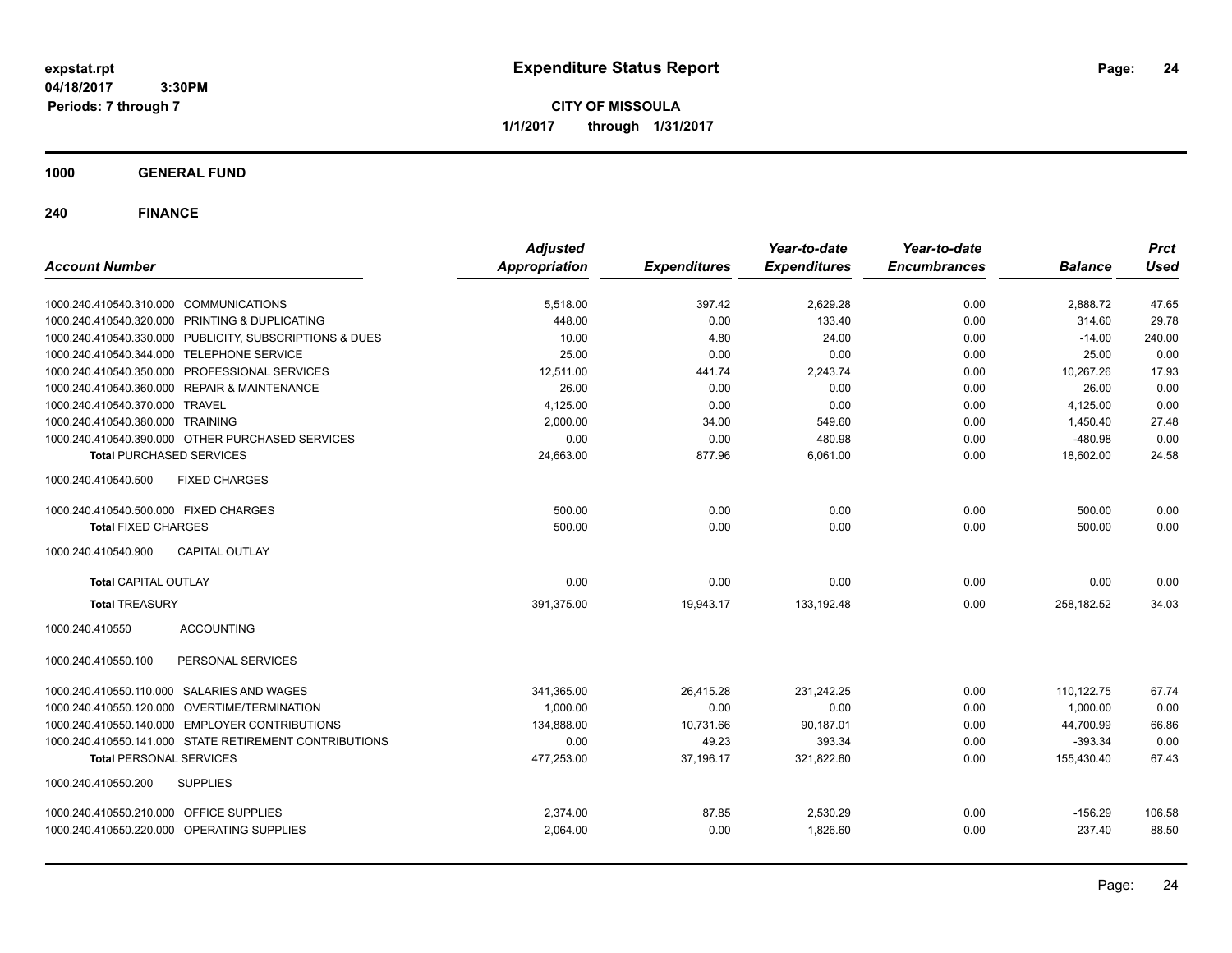**CITY OF MISSOULA 1/1/2017 through 1/31/2017**

**1000 GENERAL FUND**

| <b>Account Number</b>                                   | <b>Adjusted</b><br><b>Appropriation</b> | <b>Expenditures</b> | Year-to-date<br><b>Expenditures</b> | Year-to-date<br><b>Encumbrances</b> | <b>Balance</b> | <b>Prct</b><br><b>Used</b> |
|---------------------------------------------------------|-----------------------------------------|---------------------|-------------------------------------|-------------------------------------|----------------|----------------------------|
| 1000.240.410540.310.000 COMMUNICATIONS                  | 5,518.00                                | 397.42              | 2,629.28                            | 0.00                                | 2,888.72       | 47.65                      |
| 1000.240.410540.320.000 PRINTING & DUPLICATING          | 448.00                                  | 0.00                | 133.40                              | 0.00                                | 314.60         | 29.78                      |
| 1000.240.410540.330.000 PUBLICITY, SUBSCRIPTIONS & DUES | 10.00                                   | 4.80                | 24.00                               | 0.00                                | $-14.00$       | 240.00                     |
| 1000.240.410540.344.000 TELEPHONE SERVICE               | 25.00                                   | 0.00                | 0.00                                | 0.00                                | 25.00          | 0.00                       |
| 1000.240.410540.350.000 PROFESSIONAL SERVICES           | 12,511.00                               | 441.74              | 2,243.74                            | 0.00                                | 10,267.26      | 17.93                      |
| 1000.240.410540.360.000 REPAIR & MAINTENANCE            | 26.00                                   | 0.00                | 0.00                                | 0.00                                | 26.00          | 0.00                       |
| 1000.240.410540.370.000 TRAVEL                          | 4,125.00                                | 0.00                | 0.00                                | 0.00                                | 4,125.00       | 0.00                       |
| 1000.240.410540.380.000 TRAINING                        | 2.000.00                                | 34.00               | 549.60                              | 0.00                                | 1,450.40       | 27.48                      |
| 1000.240.410540.390.000 OTHER PURCHASED SERVICES        | 0.00                                    | 0.00                | 480.98                              | 0.00                                | $-480.98$      | 0.00                       |
| <b>Total PURCHASED SERVICES</b>                         | 24,663.00                               | 877.96              | 6,061.00                            | 0.00                                | 18,602.00      | 24.58                      |
| 1000.240.410540.500<br><b>FIXED CHARGES</b>             |                                         |                     |                                     |                                     |                |                            |
| 1000.240.410540.500.000 FIXED CHARGES                   | 500.00                                  | 0.00                | 0.00                                | 0.00                                | 500.00         | 0.00                       |
| <b>Total FIXED CHARGES</b>                              | 500.00                                  | 0.00                | 0.00                                | 0.00                                | 500.00         | 0.00                       |
| <b>CAPITAL OUTLAY</b><br>1000.240.410540.900            |                                         |                     |                                     |                                     |                |                            |
| <b>Total CAPITAL OUTLAY</b>                             | 0.00                                    | 0.00                | 0.00                                | 0.00                                | 0.00           | 0.00                       |
| <b>Total TREASURY</b>                                   | 391.375.00                              | 19,943.17           | 133,192.48                          | 0.00                                | 258.182.52     | 34.03                      |
| <b>ACCOUNTING</b><br>1000.240.410550                    |                                         |                     |                                     |                                     |                |                            |
| 1000.240.410550.100<br>PERSONAL SERVICES                |                                         |                     |                                     |                                     |                |                            |
| 1000.240.410550.110.000 SALARIES AND WAGES              | 341,365.00                              | 26,415.28           | 231.242.25                          | 0.00                                | 110,122.75     | 67.74                      |
| 1000.240.410550.120.000 OVERTIME/TERMINATION            | 1.000.00                                | 0.00                | 0.00                                | 0.00                                | 1,000.00       | 0.00                       |
| 1000.240.410550.140.000 EMPLOYER CONTRIBUTIONS          | 134,888.00                              | 10,731.66           | 90,187.01                           | 0.00                                | 44,700.99      | 66.86                      |
| 1000.240.410550.141.000 STATE RETIREMENT CONTRIBUTIONS  | 0.00                                    | 49.23               | 393.34                              | 0.00                                | $-393.34$      | 0.00                       |
| <b>Total PERSONAL SERVICES</b>                          | 477,253.00                              | 37,196.17           | 321,822.60                          | 0.00                                | 155,430.40     | 67.43                      |
| 1000.240.410550.200<br><b>SUPPLIES</b>                  |                                         |                     |                                     |                                     |                |                            |
| 1000.240.410550.210.000 OFFICE SUPPLIES                 | 2.374.00                                | 87.85               | 2,530.29                            | 0.00                                | $-156.29$      | 106.58                     |
| 1000.240.410550.220.000 OPERATING SUPPLIES              | 2,064.00                                | 0.00                | 1.826.60                            | 0.00                                | 237.40         | 88.50                      |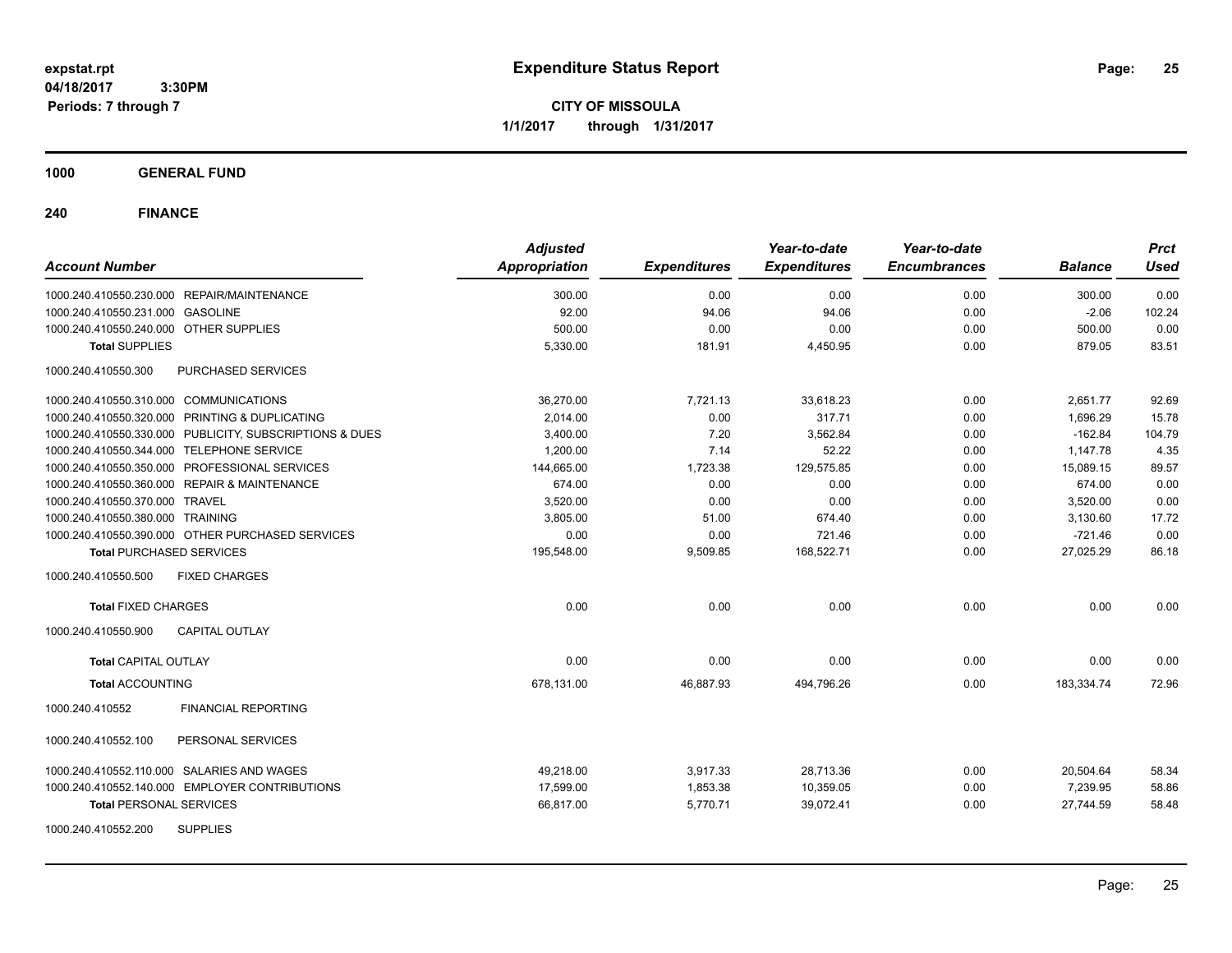**CITY OF MISSOULA 1/1/2017 through 1/31/2017**

## **1000 GENERAL FUND**

| <b>Account Number</b>                                   | <b>Adjusted</b><br><b>Appropriation</b> | <b>Expenditures</b> | Year-to-date<br><b>Expenditures</b> | Year-to-date<br><b>Encumbrances</b> | <b>Balance</b> | <b>Prct</b><br><b>Used</b> |
|---------------------------------------------------------|-----------------------------------------|---------------------|-------------------------------------|-------------------------------------|----------------|----------------------------|
| 1000.240.410550.230.000 REPAIR/MAINTENANCE              | 300.00                                  | 0.00                | 0.00                                | 0.00                                | 300.00         | 0.00                       |
| 1000.240.410550.231.000 GASOLINE                        | 92.00                                   | 94.06               | 94.06                               | 0.00                                | $-2.06$        | 102.24                     |
| 1000.240.410550.240.000 OTHER SUPPLIES                  | 500.00                                  | 0.00                | 0.00                                | 0.00                                | 500.00         | 0.00                       |
| <b>Total SUPPLIES</b>                                   | 5,330.00                                | 181.91              | 4,450.95                            | 0.00                                | 879.05         | 83.51                      |
| 1000.240.410550.300<br>PURCHASED SERVICES               |                                         |                     |                                     |                                     |                |                            |
| 1000.240.410550.310.000 COMMUNICATIONS                  | 36,270.00                               | 7,721.13            | 33,618.23                           | 0.00                                | 2,651.77       | 92.69                      |
| 1000.240.410550.320.000 PRINTING & DUPLICATING          | 2,014.00                                | 0.00                | 317.71                              | 0.00                                | 1,696.29       | 15.78                      |
| 1000.240.410550.330.000 PUBLICITY, SUBSCRIPTIONS & DUES | 3,400.00                                | 7.20                | 3,562.84                            | 0.00                                | $-162.84$      | 104.79                     |
| 1000.240.410550.344.000 TELEPHONE SERVICE               | 1,200.00                                | 7.14                | 52.22                               | 0.00                                | 1,147.78       | 4.35                       |
| 1000.240.410550.350.000 PROFESSIONAL SERVICES           | 144,665.00                              | 1,723.38            | 129,575.85                          | 0.00                                | 15.089.15      | 89.57                      |
| 1000.240.410550.360.000 REPAIR & MAINTENANCE            | 674.00                                  | 0.00                | 0.00                                | 0.00                                | 674.00         | 0.00                       |
| 1000.240.410550.370.000 TRAVEL                          | 3,520.00                                | 0.00                | 0.00                                | 0.00                                | 3,520.00       | 0.00                       |
| 1000.240.410550.380.000 TRAINING                        | 3,805.00                                | 51.00               | 674.40                              | 0.00                                | 3,130.60       | 17.72                      |
| 1000.240.410550.390.000 OTHER PURCHASED SERVICES        | 0.00                                    | 0.00                | 721.46                              | 0.00                                | $-721.46$      | 0.00                       |
| <b>Total PURCHASED SERVICES</b>                         | 195,548.00                              | 9,509.85            | 168,522.71                          | 0.00                                | 27,025.29      | 86.18                      |
| 1000.240.410550.500<br><b>FIXED CHARGES</b>             |                                         |                     |                                     |                                     |                |                            |
| <b>Total FIXED CHARGES</b>                              | 0.00                                    | 0.00                | 0.00                                | 0.00                                | 0.00           | 0.00                       |
| 1000.240.410550.900<br><b>CAPITAL OUTLAY</b>            |                                         |                     |                                     |                                     |                |                            |
| <b>Total CAPITAL OUTLAY</b>                             | 0.00                                    | 0.00                | 0.00                                | 0.00                                | 0.00           | 0.00                       |
| <b>Total ACCOUNTING</b>                                 | 678,131.00                              | 46,887.93           | 494,796.26                          | 0.00                                | 183,334.74     | 72.96                      |
| <b>FINANCIAL REPORTING</b><br>1000.240.410552           |                                         |                     |                                     |                                     |                |                            |
| PERSONAL SERVICES<br>1000.240.410552.100                |                                         |                     |                                     |                                     |                |                            |
| 1000.240.410552.110.000 SALARIES AND WAGES              | 49,218.00                               | 3,917.33            | 28,713.36                           | 0.00                                | 20,504.64      | 58.34                      |
| 1000.240.410552.140.000 EMPLOYER CONTRIBUTIONS          | 17,599.00                               | 1,853.38            | 10,359.05                           | 0.00                                | 7,239.95       | 58.86                      |
| <b>Total PERSONAL SERVICES</b>                          | 66,817.00                               | 5,770.71            | 39,072.41                           | 0.00                                | 27,744.59      | 58.48                      |
| 1000.240.410552.200<br><b>SUPPLIES</b>                  |                                         |                     |                                     |                                     |                |                            |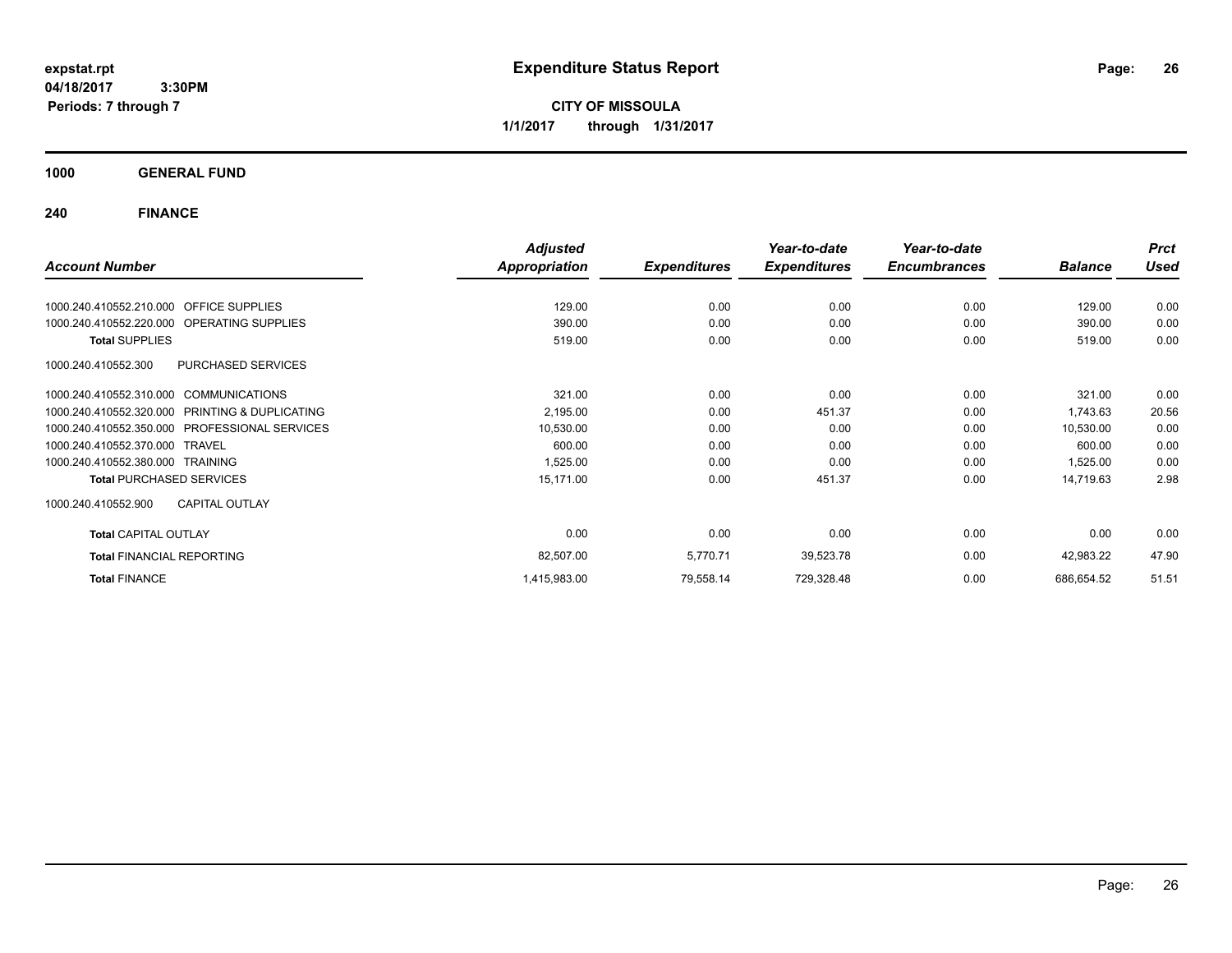**CITY OF MISSOULA 1/1/2017 through 1/31/2017**

**1000 GENERAL FUND**

|                                                   | <b>Adjusted</b> |                     | Year-to-date        | Year-to-date        |                | <b>Prct</b> |
|---------------------------------------------------|-----------------|---------------------|---------------------|---------------------|----------------|-------------|
| <b>Account Number</b>                             | Appropriation   | <b>Expenditures</b> | <b>Expenditures</b> | <b>Encumbrances</b> | <b>Balance</b> | Used        |
|                                                   |                 |                     |                     |                     |                |             |
| <b>OFFICE SUPPLIES</b><br>1000.240.410552.210.000 | 129.00          | 0.00                | 0.00                | 0.00                | 129.00         | 0.00        |
| 1000.240.410552.220.000<br>OPERATING SUPPLIES     | 390.00          | 0.00                | 0.00                | 0.00                | 390.00         | 0.00        |
| <b>Total SUPPLIES</b>                             | 519.00          | 0.00                | 0.00                | 0.00                | 519.00         | 0.00        |
| PURCHASED SERVICES<br>1000.240.410552.300         |                 |                     |                     |                     |                |             |
| 1000.240.410552.310.000 COMMUNICATIONS            | 321.00          | 0.00                | 0.00                | 0.00                | 321.00         | 0.00        |
| 1000.240.410552.320.000 PRINTING & DUPLICATING    | 2,195.00        | 0.00                | 451.37              | 0.00                | 1,743.63       | 20.56       |
| 1000.240.410552.350.000 PROFESSIONAL SERVICES     | 10,530.00       | 0.00                | 0.00                | 0.00                | 10,530.00      | 0.00        |
| 1000.240.410552.370.000 TRAVEL                    | 600.00          | 0.00                | 0.00                | 0.00                | 600.00         | 0.00        |
| 1000.240.410552.380.000 TRAINING                  | 1,525.00        | 0.00                | 0.00                | 0.00                | 1,525.00       | 0.00        |
| <b>Total PURCHASED SERVICES</b>                   | 15,171.00       | 0.00                | 451.37              | 0.00                | 14,719.63      | 2.98        |
| <b>CAPITAL OUTLAY</b><br>1000.240.410552.900      |                 |                     |                     |                     |                |             |
| <b>Total CAPITAL OUTLAY</b>                       | 0.00            | 0.00                | 0.00                | 0.00                | 0.00           | 0.00        |
| <b>Total FINANCIAL REPORTING</b>                  | 82,507.00       | 5,770.71            | 39,523.78           | 0.00                | 42,983.22      | 47.90       |
| <b>Total FINANCE</b>                              | 1,415,983.00    | 79,558.14           | 729,328.48          | 0.00                | 686,654.52     | 51.51       |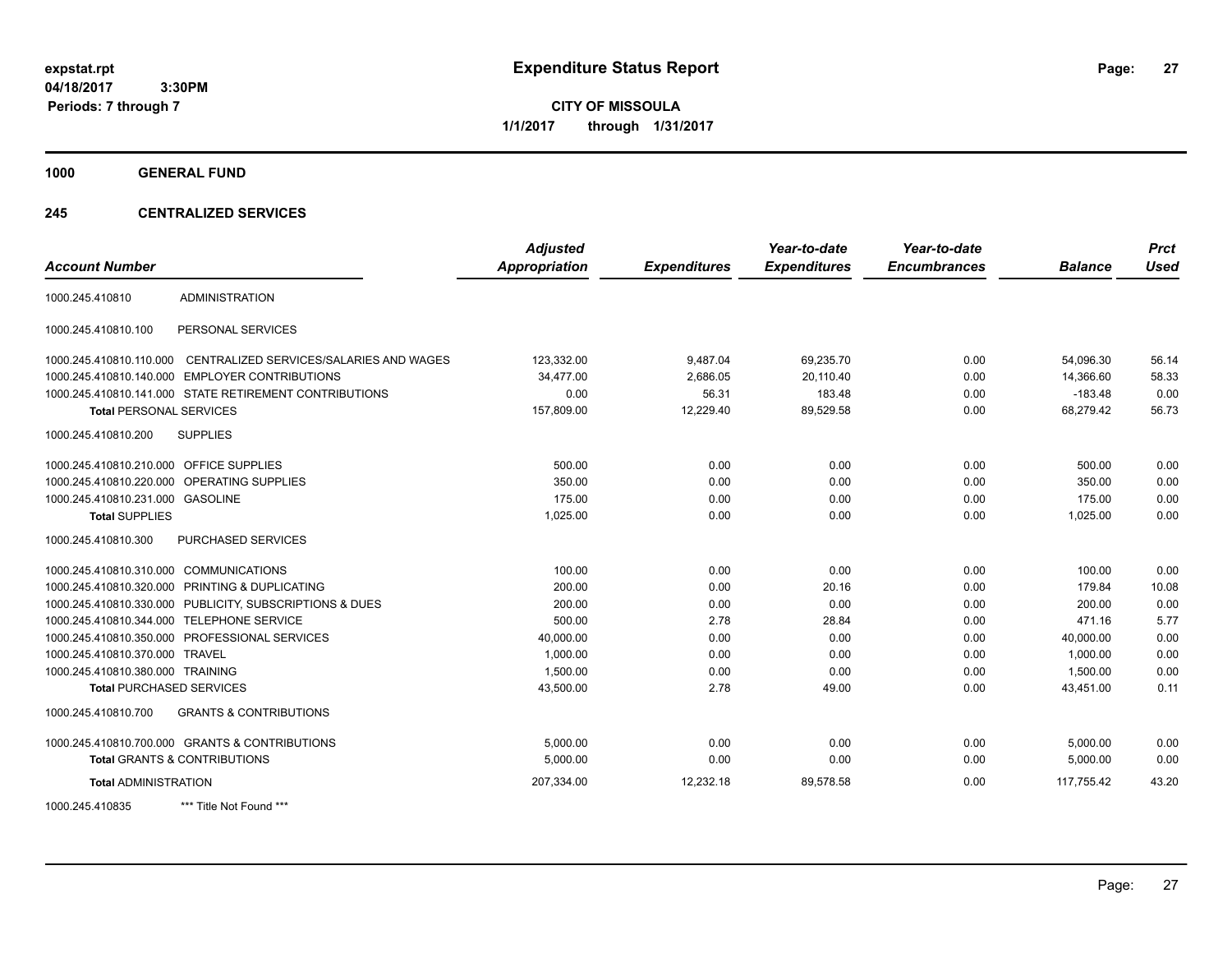**CITY OF MISSOULA 1/1/2017 through 1/31/2017**

**1000 GENERAL FUND**

## **245 CENTRALIZED SERVICES**

| <b>Account Number</b>                   |                                                         | <b>Adjusted</b><br><b>Appropriation</b> | <b>Expenditures</b> | Year-to-date<br><b>Expenditures</b> | Year-to-date<br><b>Encumbrances</b> | <b>Balance</b> | <b>Prct</b><br><b>Used</b> |
|-----------------------------------------|---------------------------------------------------------|-----------------------------------------|---------------------|-------------------------------------|-------------------------------------|----------------|----------------------------|
|                                         |                                                         |                                         |                     |                                     |                                     |                |                            |
| 1000.245.410810                         | <b>ADMINISTRATION</b>                                   |                                         |                     |                                     |                                     |                |                            |
| 1000.245.410810.100                     | PERSONAL SERVICES                                       |                                         |                     |                                     |                                     |                |                            |
| 1000.245.410810.110.000                 | CENTRALIZED SERVICES/SALARIES AND WAGES                 | 123,332.00                              | 9,487.04            | 69,235.70                           | 0.00                                | 54,096.30      | 56.14                      |
| 1000.245.410810.140.000                 | <b>EMPLOYER CONTRIBUTIONS</b>                           | 34,477.00                               | 2,686.05            | 20,110.40                           | 0.00                                | 14,366.60      | 58.33                      |
|                                         | 1000.245.410810.141.000 STATE RETIREMENT CONTRIBUTIONS  | 0.00                                    | 56.31               | 183.48                              | 0.00                                | $-183.48$      | 0.00                       |
| <b>Total PERSONAL SERVICES</b>          |                                                         | 157,809.00                              | 12,229.40           | 89,529.58                           | 0.00                                | 68,279.42      | 56.73                      |
| 1000.245.410810.200                     | <b>SUPPLIES</b>                                         |                                         |                     |                                     |                                     |                |                            |
| 1000.245.410810.210.000 OFFICE SUPPLIES |                                                         | 500.00                                  | 0.00                | 0.00                                | 0.00                                | 500.00         | 0.00                       |
|                                         | 1000.245.410810.220.000 OPERATING SUPPLIES              | 350.00                                  | 0.00                | 0.00                                | 0.00                                | 350.00         | 0.00                       |
| 1000.245.410810.231.000 GASOLINE        |                                                         | 175.00                                  | 0.00                | 0.00                                | 0.00                                | 175.00         | 0.00                       |
| <b>Total SUPPLIES</b>                   |                                                         | 1,025.00                                | 0.00                | 0.00                                | 0.00                                | 1,025.00       | 0.00                       |
| 1000.245.410810.300                     | <b>PURCHASED SERVICES</b>                               |                                         |                     |                                     |                                     |                |                            |
| 1000.245.410810.310.000 COMMUNICATIONS  |                                                         | 100.00                                  | 0.00                | 0.00                                | 0.00                                | 100.00         | 0.00                       |
|                                         | 1000.245.410810.320.000 PRINTING & DUPLICATING          | 200.00                                  | 0.00                | 20.16                               | 0.00                                | 179.84         | 10.08                      |
|                                         | 1000.245.410810.330.000 PUBLICITY, SUBSCRIPTIONS & DUES | 200.00                                  | 0.00                | 0.00                                | 0.00                                | 200.00         | 0.00                       |
|                                         | 1000.245.410810.344.000 TELEPHONE SERVICE               | 500.00                                  | 2.78                | 28.84                               | 0.00                                | 471.16         | 5.77                       |
|                                         | 1000.245.410810.350.000 PROFESSIONAL SERVICES           | 40,000.00                               | 0.00                | 0.00                                | 0.00                                | 40,000.00      | 0.00                       |
| 1000.245.410810.370.000 TRAVEL          |                                                         | 1,000.00                                | 0.00                | 0.00                                | 0.00                                | 1,000.00       | 0.00                       |
| 1000.245.410810.380.000 TRAINING        |                                                         | 1,500.00                                | 0.00                | 0.00                                | 0.00                                | 1,500.00       | 0.00                       |
| <b>Total PURCHASED SERVICES</b>         |                                                         | 43,500.00                               | 2.78                | 49.00                               | 0.00                                | 43.451.00      | 0.11                       |
| 1000.245.410810.700                     | <b>GRANTS &amp; CONTRIBUTIONS</b>                       |                                         |                     |                                     |                                     |                |                            |
|                                         | 1000.245.410810.700.000 GRANTS & CONTRIBUTIONS          | 5.000.00                                | 0.00                | 0.00                                | 0.00                                | 5,000.00       | 0.00                       |
|                                         | <b>Total GRANTS &amp; CONTRIBUTIONS</b>                 | 5,000.00                                | 0.00                | 0.00                                | 0.00                                | 5,000.00       | 0.00                       |
| <b>Total ADMINISTRATION</b>             |                                                         | 207,334.00                              | 12,232.18           | 89,578.58                           | 0.00                                | 117,755.42     | 43.20                      |
| 1000.245.410835                         | *** Title Not Found ***                                 |                                         |                     |                                     |                                     |                |                            |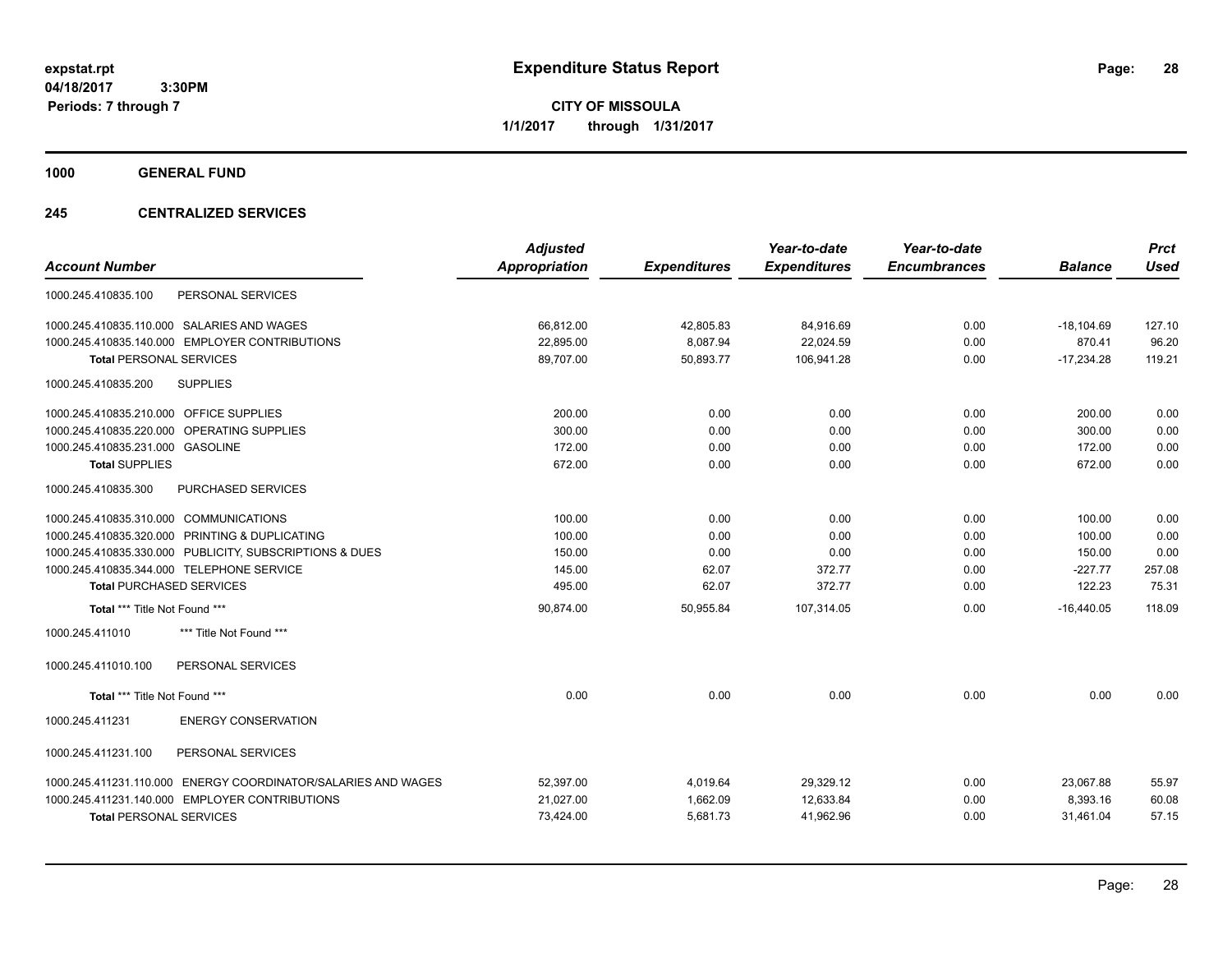**CITY OF MISSOULA 1/1/2017 through 1/31/2017**

**1000 GENERAL FUND**

## **245 CENTRALIZED SERVICES**

| <b>Account Number</b>                                         | <b>Adjusted</b><br><b>Appropriation</b> | <b>Expenditures</b> | Year-to-date<br><b>Expenditures</b> | Year-to-date<br><b>Encumbrances</b> | <b>Balance</b> | <b>Prct</b><br><b>Used</b> |
|---------------------------------------------------------------|-----------------------------------------|---------------------|-------------------------------------|-------------------------------------|----------------|----------------------------|
| PERSONAL SERVICES<br>1000.245.410835.100                      |                                         |                     |                                     |                                     |                |                            |
| 1000.245.410835.110.000 SALARIES AND WAGES                    | 66,812.00                               | 42,805.83           | 84,916.69                           | 0.00                                | $-18,104.69$   | 127.10                     |
| 1000.245.410835.140.000 EMPLOYER CONTRIBUTIONS                | 22,895.00                               | 8,087.94            | 22,024.59                           | 0.00                                | 870.41         | 96.20                      |
| <b>Total PERSONAL SERVICES</b>                                | 89,707.00                               | 50,893.77           | 106,941.28                          | 0.00                                | $-17,234.28$   | 119.21                     |
| <b>SUPPLIES</b><br>1000.245.410835.200                        |                                         |                     |                                     |                                     |                |                            |
| 1000.245.410835.210.000 OFFICE SUPPLIES                       | 200.00                                  | 0.00                | 0.00                                | 0.00                                | 200.00         | 0.00                       |
| 1000.245.410835.220.000<br><b>OPERATING SUPPLIES</b>          | 300.00                                  | 0.00                | 0.00                                | 0.00                                | 300.00         | 0.00                       |
| 1000.245.410835.231.000 GASOLINE                              | 172.00                                  | 0.00                | 0.00                                | 0.00                                | 172.00         | 0.00                       |
| <b>Total SUPPLIES</b>                                         | 672.00                                  | 0.00                | 0.00                                | 0.00                                | 672.00         | 0.00                       |
| PURCHASED SERVICES<br>1000.245.410835.300                     |                                         |                     |                                     |                                     |                |                            |
| 1000.245.410835.310.000 COMMUNICATIONS                        | 100.00                                  | 0.00                | 0.00                                | 0.00                                | 100.00         | 0.00                       |
| 1000.245.410835.320.000 PRINTING & DUPLICATING                | 100.00                                  | 0.00                | 0.00                                | 0.00                                | 100.00         | 0.00                       |
| 1000.245.410835.330.000 PUBLICITY, SUBSCRIPTIONS & DUES       | 150.00                                  | 0.00                | 0.00                                | 0.00                                | 150.00         | 0.00                       |
| 1000.245.410835.344.000 TELEPHONE SERVICE                     | 145.00                                  | 62.07               | 372.77                              | 0.00                                | $-227.77$      | 257.08                     |
| <b>Total PURCHASED SERVICES</b>                               | 495.00                                  | 62.07               | 372.77                              | 0.00                                | 122.23         | 75.31                      |
| Total *** Title Not Found ***                                 | 90,874.00                               | 50,955.84           | 107,314.05                          | 0.00                                | $-16,440.05$   | 118.09                     |
| *** Title Not Found ***<br>1000.245.411010                    |                                         |                     |                                     |                                     |                |                            |
| PERSONAL SERVICES<br>1000.245.411010.100                      |                                         |                     |                                     |                                     |                |                            |
| Total *** Title Not Found ***                                 | 0.00                                    | 0.00                | 0.00                                | 0.00                                | 0.00           | 0.00                       |
| <b>ENERGY CONSERVATION</b><br>1000.245.411231                 |                                         |                     |                                     |                                     |                |                            |
| 1000.245.411231.100<br>PERSONAL SERVICES                      |                                         |                     |                                     |                                     |                |                            |
| 1000.245.411231.110.000 ENERGY COORDINATOR/SALARIES AND WAGES | 52,397.00                               | 4,019.64            | 29,329.12                           | 0.00                                | 23,067.88      | 55.97                      |
| 1000.245.411231.140.000 EMPLOYER CONTRIBUTIONS                | 21,027.00                               | 1,662.09            | 12,633.84                           | 0.00                                | 8,393.16       | 60.08                      |
| <b>Total PERSONAL SERVICES</b>                                | 73,424.00                               | 5,681.73            | 41,962.96                           | 0.00                                | 31,461.04      | 57.15                      |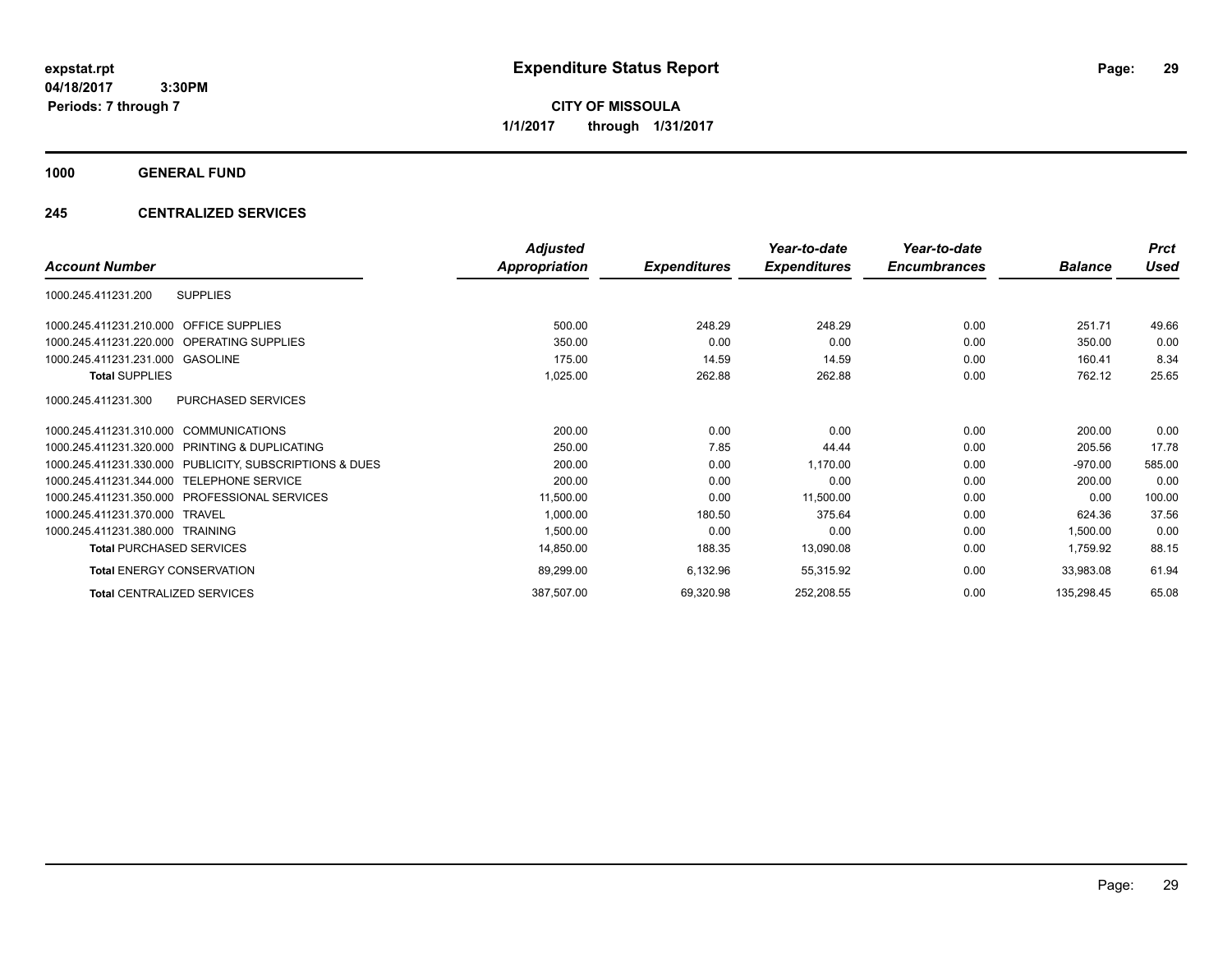**CITY OF MISSOULA 1/1/2017 through 1/31/2017**

## **1000 GENERAL FUND**

## **245 CENTRALIZED SERVICES**

|                                                              | <b>Adjusted</b>      |                     | Year-to-date        | Year-to-date        |                | <b>Prct</b> |
|--------------------------------------------------------------|----------------------|---------------------|---------------------|---------------------|----------------|-------------|
| <b>Account Number</b>                                        | <b>Appropriation</b> | <b>Expenditures</b> | <b>Expenditures</b> | <b>Encumbrances</b> | <b>Balance</b> | <b>Used</b> |
| <b>SUPPLIES</b><br>1000.245.411231.200                       |                      |                     |                     |                     |                |             |
| 1000.245.411231.210.000 OFFICE SUPPLIES                      | 500.00               | 248.29              | 248.29              | 0.00                | 251.71         | 49.66       |
| 1000.245.411231.220.000 OPERATING SUPPLIES                   | 350.00               | 0.00                | 0.00                | 0.00                | 350.00         | 0.00        |
| 1000.245.411231.231.000 GASOLINE                             | 175.00               | 14.59               | 14.59               | 0.00                | 160.41         | 8.34        |
| <b>Total SUPPLIES</b>                                        | 1,025.00             | 262.88              | 262.88              | 0.00                | 762.12         | 25.65       |
| PURCHASED SERVICES<br>1000.245.411231.300                    |                      |                     |                     |                     |                |             |
| 1000.245.411231.310.000 COMMUNICATIONS                       | 200.00               | 0.00                | 0.00                | 0.00                | 200.00         | 0.00        |
| <b>PRINTING &amp; DUPLICATING</b><br>1000.245.411231.320.000 | 250.00               | 7.85                | 44.44               | 0.00                | 205.56         | 17.78       |
| 1000.245.411231.330.000 PUBLICITY, SUBSCRIPTIONS & DUES      | 200.00               | 0.00                | 1,170.00            | 0.00                | $-970.00$      | 585.00      |
| 1000.245.411231.344.000<br><b>TELEPHONE SERVICE</b>          | 200.00               | 0.00                | 0.00                | 0.00                | 200.00         | 0.00        |
| 1000.245.411231.350.000 PROFESSIONAL SERVICES                | 11,500.00            | 0.00                | 11,500.00           | 0.00                | 0.00           | 100.00      |
| 1000.245.411231.370.000<br>TRAVEL                            | 1,000.00             | 180.50              | 375.64              | 0.00                | 624.36         | 37.56       |
| 1000.245.411231.380.000 TRAINING                             | 1,500.00             | 0.00                | 0.00                | 0.00                | 1,500.00       | 0.00        |
| <b>Total PURCHASED SERVICES</b>                              | 14,850.00            | 188.35              | 13,090.08           | 0.00                | 1,759.92       | 88.15       |
| <b>Total ENERGY CONSERVATION</b>                             | 89,299.00            | 6,132.96            | 55,315.92           | 0.00                | 33,983.08      | 61.94       |
| <b>Total CENTRALIZED SERVICES</b>                            | 387,507.00           | 69,320.98           | 252,208.55          | 0.00                | 135,298.45     | 65.08       |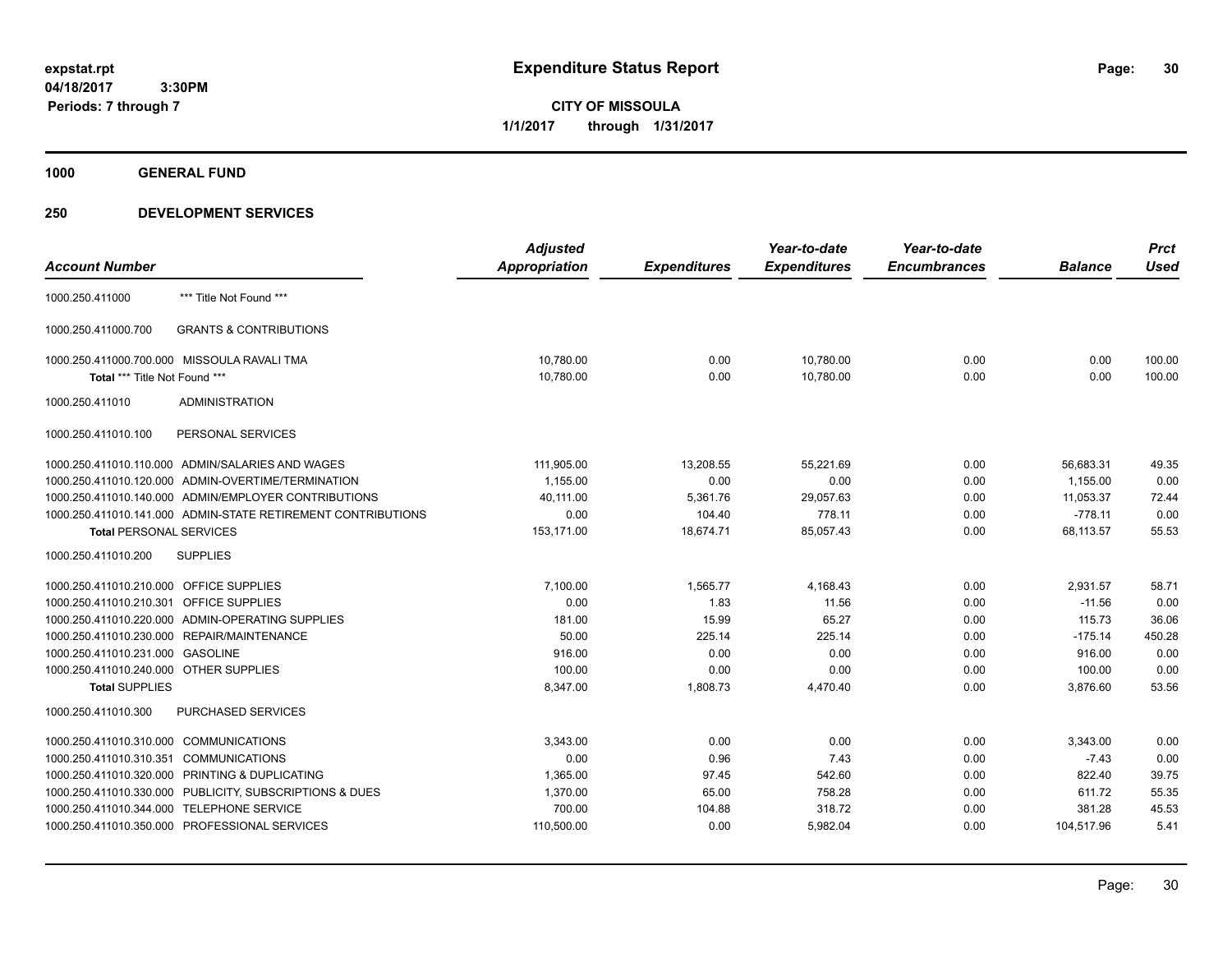**CITY OF MISSOULA 1/1/2017 through 1/31/2017**

**1000 GENERAL FUND**

|                                                              | <b>Adjusted</b> |                     | Year-to-date        | Year-to-date        |                | <b>Prct</b> |
|--------------------------------------------------------------|-----------------|---------------------|---------------------|---------------------|----------------|-------------|
| <b>Account Number</b>                                        | Appropriation   | <b>Expenditures</b> | <b>Expenditures</b> | <b>Encumbrances</b> | <b>Balance</b> | <b>Used</b> |
| *** Title Not Found ***<br>1000.250.411000                   |                 |                     |                     |                     |                |             |
| <b>GRANTS &amp; CONTRIBUTIONS</b><br>1000.250.411000.700     |                 |                     |                     |                     |                |             |
| 1000.250.411000.700.000 MISSOULA RAVALI TMA                  | 10,780.00       | 0.00                | 10,780.00           | 0.00                | 0.00           | 100.00      |
| Total *** Title Not Found ***                                | 10,780.00       | 0.00                | 10,780.00           | 0.00                | 0.00           | 100.00      |
| 1000.250.411010<br><b>ADMINISTRATION</b>                     |                 |                     |                     |                     |                |             |
| PERSONAL SERVICES<br>1000.250.411010.100                     |                 |                     |                     |                     |                |             |
| 1000.250.411010.110.000 ADMIN/SALARIES AND WAGES             | 111,905.00      | 13,208.55           | 55,221.69           | 0.00                | 56,683.31      | 49.35       |
| 1000.250.411010.120.000 ADMIN-OVERTIME/TERMINATION           | 1,155.00        | 0.00                | 0.00                | 0.00                | 1.155.00       | 0.00        |
| 1000.250.411010.140.000 ADMIN/EMPLOYER CONTRIBUTIONS         | 40,111.00       | 5,361.76            | 29,057.63           | 0.00                | 11,053.37      | 72.44       |
| 1000.250.411010.141.000 ADMIN-STATE RETIREMENT CONTRIBUTIONS | 0.00            | 104.40              | 778.11              | 0.00                | $-778.11$      | 0.00        |
| <b>Total PERSONAL SERVICES</b>                               | 153,171.00      | 18,674.71           | 85,057.43           | 0.00                | 68,113.57      | 55.53       |
| 1000.250.411010.200<br><b>SUPPLIES</b>                       |                 |                     |                     |                     |                |             |
| 1000.250.411010.210.000 OFFICE SUPPLIES                      | 7,100.00        | 1,565.77            | 4,168.43            | 0.00                | 2,931.57       | 58.71       |
| 1000.250.411010.210.301 OFFICE SUPPLIES                      | 0.00            | 1.83                | 11.56               | 0.00                | $-11.56$       | 0.00        |
| 1000.250.411010.220.000 ADMIN-OPERATING SUPPLIES             | 181.00          | 15.99               | 65.27               | 0.00                | 115.73         | 36.06       |
| 1000.250.411010.230.000 REPAIR/MAINTENANCE                   | 50.00           | 225.14              | 225.14              | 0.00                | $-175.14$      | 450.28      |
| 1000.250.411010.231.000 GASOLINE                             | 916.00          | 0.00                | 0.00                | 0.00                | 916.00         | 0.00        |
| 1000.250.411010.240.000 OTHER SUPPLIES                       | 100.00          | 0.00                | 0.00                | 0.00                | 100.00         | 0.00        |
| <b>Total SUPPLIES</b>                                        | 8,347.00        | 1,808.73            | 4,470.40            | 0.00                | 3,876.60       | 53.56       |
| <b>PURCHASED SERVICES</b><br>1000.250.411010.300             |                 |                     |                     |                     |                |             |
| 1000.250.411010.310.000 COMMUNICATIONS                       | 3,343.00        | 0.00                | 0.00                | 0.00                | 3,343.00       | 0.00        |
| 1000.250.411010.310.351 COMMUNICATIONS                       | 0.00            | 0.96                | 7.43                | 0.00                | $-7.43$        | 0.00        |
| 1000.250.411010.320.000 PRINTING & DUPLICATING               | 1,365.00        | 97.45               | 542.60              | 0.00                | 822.40         | 39.75       |
| 1000.250.411010.330.000 PUBLICITY, SUBSCRIPTIONS & DUES      | 1,370.00        | 65.00               | 758.28              | 0.00                | 611.72         | 55.35       |
| 1000.250.411010.344.000 TELEPHONE SERVICE                    | 700.00          | 104.88              | 318.72              | 0.00                | 381.28         | 45.53       |
| 1000.250.411010.350.000 PROFESSIONAL SERVICES                | 110,500.00      | 0.00                | 5,982.04            | 0.00                | 104,517.96     | 5.41        |
|                                                              |                 |                     |                     |                     |                |             |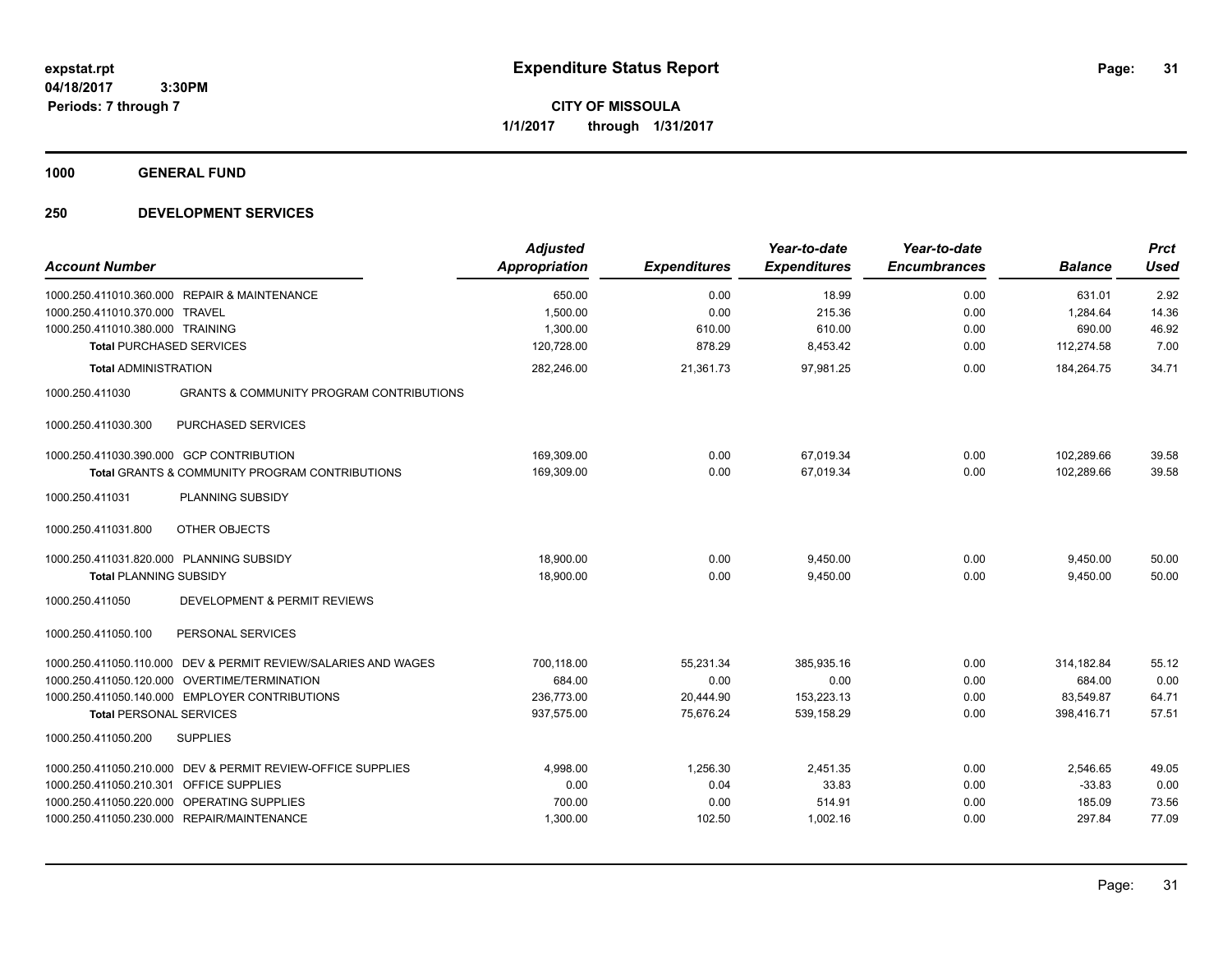**CITY OF MISSOULA 1/1/2017 through 1/31/2017**

**1000 GENERAL FUND**

| <b>Account Number</b>                                                     |                                                                                                                                                                  | <b>Adjusted</b><br><b>Appropriation</b>          | <b>Expenditures</b>                         | Year-to-date<br><b>Expenditures</b>            | Year-to-date<br><b>Encumbrances</b> | <b>Balance</b>                                  | <b>Prct</b><br><b>Used</b>      |
|---------------------------------------------------------------------------|------------------------------------------------------------------------------------------------------------------------------------------------------------------|--------------------------------------------------|---------------------------------------------|------------------------------------------------|-------------------------------------|-------------------------------------------------|---------------------------------|
| 1000.250.411010.370.000 TRAVEL                                            | 1000.250.411010.360.000 REPAIR & MAINTENANCE                                                                                                                     | 650.00<br>1,500.00                               | 0.00<br>0.00                                | 18.99<br>215.36                                | 0.00<br>0.00                        | 631.01<br>1,284.64                              | 2.92<br>14.36                   |
| 1000.250.411010.380.000 TRAINING                                          |                                                                                                                                                                  | 1,300.00                                         | 610.00                                      | 610.00                                         | 0.00                                | 690.00                                          | 46.92                           |
| <b>Total PURCHASED SERVICES</b>                                           |                                                                                                                                                                  | 120,728.00                                       | 878.29                                      | 8,453.42                                       | 0.00                                | 112,274.58                                      | 7.00                            |
| <b>Total ADMINISTRATION</b><br>1000.250.411030                            | <b>GRANTS &amp; COMMUNITY PROGRAM CONTRIBUTIONS</b>                                                                                                              | 282,246.00                                       | 21,361.73                                   | 97,981.25                                      | 0.00                                | 184,264.75                                      | 34.71                           |
| 1000.250.411030.300                                                       | <b>PURCHASED SERVICES</b>                                                                                                                                        |                                                  |                                             |                                                |                                     |                                                 |                                 |
|                                                                           | 1000.250.411030.390.000 GCP CONTRIBUTION<br>Total GRANTS & COMMUNITY PROGRAM CONTRIBUTIONS                                                                       | 169,309.00<br>169,309.00                         | 0.00<br>0.00                                | 67,019.34<br>67,019.34                         | 0.00<br>0.00                        | 102,289.66<br>102,289.66                        | 39.58<br>39.58                  |
| 1000.250.411031                                                           | PLANNING SUBSIDY                                                                                                                                                 |                                                  |                                             |                                                |                                     |                                                 |                                 |
| 1000.250.411031.800                                                       | OTHER OBJECTS                                                                                                                                                    |                                                  |                                             |                                                |                                     |                                                 |                                 |
| 1000.250.411031.820.000 PLANNING SUBSIDY<br><b>Total PLANNING SUBSIDY</b> |                                                                                                                                                                  | 18,900.00<br>18,900.00                           | 0.00<br>0.00                                | 9,450.00<br>9,450.00                           | 0.00<br>0.00                        | 9,450.00<br>9,450.00                            | 50.00<br>50.00                  |
| 1000.250.411050                                                           | DEVELOPMENT & PERMIT REVIEWS                                                                                                                                     |                                                  |                                             |                                                |                                     |                                                 |                                 |
| 1000.250.411050.100                                                       | PERSONAL SERVICES                                                                                                                                                |                                                  |                                             |                                                |                                     |                                                 |                                 |
| <b>Total PERSONAL SERVICES</b>                                            | 1000.250.411050.110.000 DEV & PERMIT REVIEW/SALARIES AND WAGES<br>1000.250.411050.120.000 OVERTIME/TERMINATION<br>1000.250.411050.140.000 EMPLOYER CONTRIBUTIONS | 700,118.00<br>684.00<br>236,773.00<br>937,575.00 | 55,231.34<br>0.00<br>20,444.90<br>75,676.24 | 385,935.16<br>0.00<br>153,223.13<br>539,158.29 | 0.00<br>0.00<br>0.00<br>0.00        | 314,182.84<br>684.00<br>83,549.87<br>398.416.71 | 55.12<br>0.00<br>64.71<br>57.51 |
| 1000.250.411050.200                                                       | <b>SUPPLIES</b>                                                                                                                                                  |                                                  |                                             |                                                |                                     |                                                 |                                 |
| 1000.250.411050.210.301 OFFICE SUPPLIES                                   | 1000.250.411050.210.000 DEV & PERMIT REVIEW-OFFICE SUPPLIES<br>1000.250.411050.220.000 OPERATING SUPPLIES<br>1000.250.411050.230.000 REPAIR/MAINTENANCE          | 4,998.00<br>0.00<br>700.00<br>1,300.00           | 1.256.30<br>0.04<br>0.00<br>102.50          | 2,451.35<br>33.83<br>514.91<br>1,002.16        | 0.00<br>0.00<br>0.00<br>0.00        | 2,546.65<br>$-33.83$<br>185.09<br>297.84        | 49.05<br>0.00<br>73.56<br>77.09 |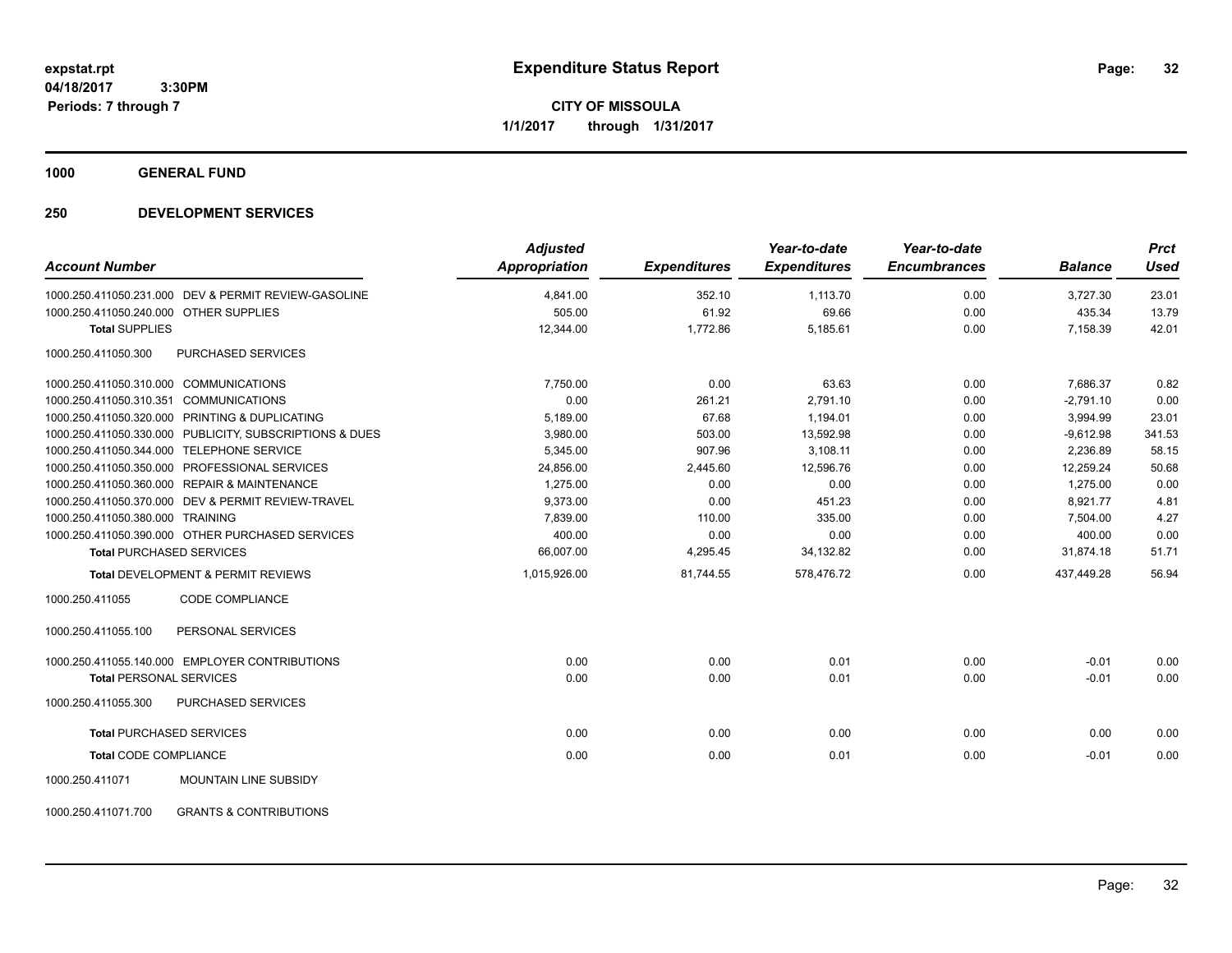**CITY OF MISSOULA 1/1/2017 through 1/31/2017**

**1000 GENERAL FUND**

| <b>Account Number</b>                  |                                                         | <b>Adjusted</b><br><b>Appropriation</b> | <b>Expenditures</b> | Year-to-date<br><b>Expenditures</b> | Year-to-date<br><b>Encumbrances</b> | <b>Balance</b> | <b>Prct</b><br><b>Used</b> |
|----------------------------------------|---------------------------------------------------------|-----------------------------------------|---------------------|-------------------------------------|-------------------------------------|----------------|----------------------------|
|                                        | 1000.250.411050.231.000 DEV & PERMIT REVIEW-GASOLINE    | 4,841.00                                | 352.10              | 1,113.70                            | 0.00                                | 3,727.30       | 23.01                      |
| 1000.250.411050.240.000 OTHER SUPPLIES |                                                         | 505.00                                  | 61.92               | 69.66                               | 0.00                                | 435.34         | 13.79                      |
| <b>Total SUPPLIES</b>                  |                                                         | 12,344.00                               | 1,772.86            | 5,185.61                            | 0.00                                | 7,158.39       | 42.01                      |
| 1000.250.411050.300                    | <b>PURCHASED SERVICES</b>                               |                                         |                     |                                     |                                     |                |                            |
|                                        | 1000.250.411050.310.000 COMMUNICATIONS                  | 7,750.00                                | 0.00                | 63.63                               | 0.00                                | 7,686.37       | 0.82                       |
|                                        | 1000.250.411050.310.351 COMMUNICATIONS                  | 0.00                                    | 261.21              | 2.791.10                            | 0.00                                | $-2.791.10$    | 0.00                       |
|                                        | 1000.250.411050.320.000 PRINTING & DUPLICATING          | 5,189.00                                | 67.68               | 1,194.01                            | 0.00                                | 3,994.99       | 23.01                      |
|                                        | 1000.250.411050.330.000 PUBLICITY, SUBSCRIPTIONS & DUES | 3,980.00                                | 503.00              | 13,592.98                           | 0.00                                | $-9,612.98$    | 341.53                     |
|                                        | 1000.250.411050.344.000 TELEPHONE SERVICE               | 5,345.00                                | 907.96              | 3,108.11                            | 0.00                                | 2,236.89       | 58.15                      |
|                                        | 1000.250.411050.350.000 PROFESSIONAL SERVICES           | 24,856.00                               | 2,445.60            | 12.596.76                           | 0.00                                | 12,259.24      | 50.68                      |
|                                        | 1000.250.411050.360.000 REPAIR & MAINTENANCE            | 1,275.00                                | 0.00                | 0.00                                | 0.00                                | 1,275.00       | 0.00                       |
|                                        | 1000.250.411050.370.000 DEV & PERMIT REVIEW-TRAVEL      | 9,373.00                                | 0.00                | 451.23                              | 0.00                                | 8,921.77       | 4.81                       |
| 1000.250.411050.380.000 TRAINING       |                                                         | 7,839.00                                | 110.00              | 335.00                              | 0.00                                | 7,504.00       | 4.27                       |
|                                        | 1000.250.411050.390.000 OTHER PURCHASED SERVICES        | 400.00                                  | 0.00                | 0.00                                | 0.00                                | 400.00         | 0.00                       |
|                                        | <b>Total PURCHASED SERVICES</b>                         | 66,007.00                               | 4,295.45            | 34,132.82                           | 0.00                                | 31,874.18      | 51.71                      |
|                                        | <b>Total DEVELOPMENT &amp; PERMIT REVIEWS</b>           | 1,015,926.00                            | 81,744.55           | 578.476.72                          | 0.00                                | 437.449.28     | 56.94                      |
| 1000.250.411055                        | <b>CODE COMPLIANCE</b>                                  |                                         |                     |                                     |                                     |                |                            |
| 1000.250.411055.100                    | PERSONAL SERVICES                                       |                                         |                     |                                     |                                     |                |                            |
|                                        | 1000.250.411055.140.000 EMPLOYER CONTRIBUTIONS          | 0.00                                    | 0.00                | 0.01                                | 0.00                                | $-0.01$        | 0.00                       |
| <b>Total PERSONAL SERVICES</b>         |                                                         | 0.00                                    | 0.00                | 0.01                                | 0.00                                | $-0.01$        | 0.00                       |
| 1000.250.411055.300                    | PURCHASED SERVICES                                      |                                         |                     |                                     |                                     |                |                            |
|                                        | <b>Total PURCHASED SERVICES</b>                         | 0.00                                    | 0.00                | 0.00                                | 0.00                                | 0.00           | 0.00                       |
| <b>Total CODE COMPLIANCE</b>           |                                                         | 0.00                                    | 0.00                | 0.01                                | 0.00                                | $-0.01$        | 0.00                       |
| 1000.250.411071                        | <b>MOUNTAIN LINE SUBSIDY</b>                            |                                         |                     |                                     |                                     |                |                            |
| 1000.250.411071.700                    | <b>GRANTS &amp; CONTRIBUTIONS</b>                       |                                         |                     |                                     |                                     |                |                            |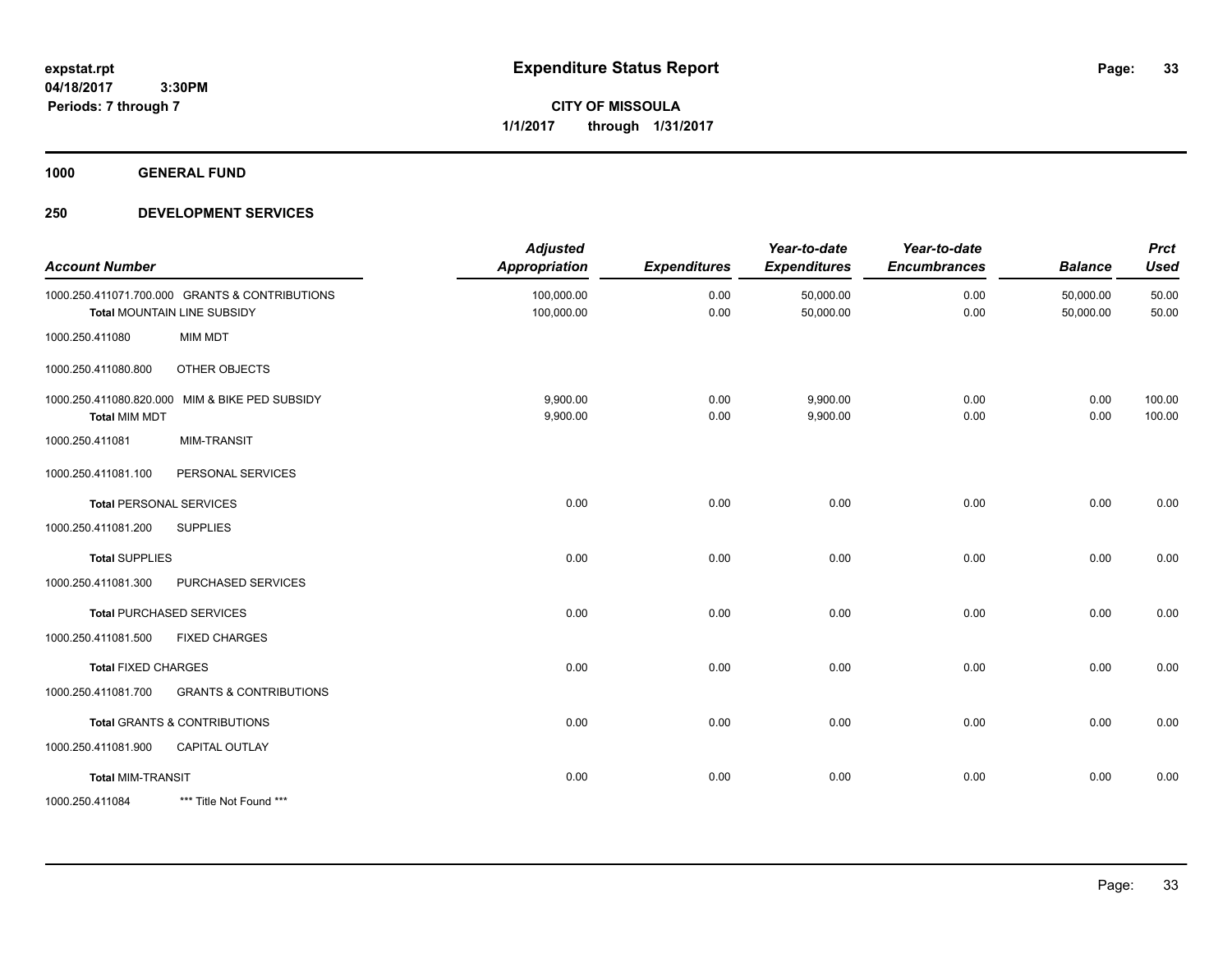**CITY OF MISSOULA 1/1/2017 through 1/31/2017**

**1000 GENERAL FUND**

| <b>Account Number</b>      |                                                                               | <b>Adjusted</b><br><b>Appropriation</b> | <b>Expenditures</b> | Year-to-date<br><b>Expenditures</b> | Year-to-date<br><b>Encumbrances</b> | <b>Balance</b>         | <b>Prct</b><br><b>Used</b> |
|----------------------------|-------------------------------------------------------------------------------|-----------------------------------------|---------------------|-------------------------------------|-------------------------------------|------------------------|----------------------------|
|                            | 1000.250.411071.700.000 GRANTS & CONTRIBUTIONS<br>Total MOUNTAIN LINE SUBSIDY | 100,000.00<br>100,000.00                | 0.00<br>0.00        | 50,000.00<br>50,000.00              | 0.00<br>0.00                        | 50,000.00<br>50,000.00 | 50.00<br>50.00             |
| 1000.250.411080            | <b>MIM MDT</b>                                                                |                                         |                     |                                     |                                     |                        |                            |
| 1000.250.411080.800        | OTHER OBJECTS                                                                 |                                         |                     |                                     |                                     |                        |                            |
| <b>Total MIM MDT</b>       | 1000.250.411080.820.000 MIM & BIKE PED SUBSIDY                                | 9,900.00<br>9,900.00                    | 0.00<br>0.00        | 9,900.00<br>9,900.00                | 0.00<br>0.00                        | 0.00<br>0.00           | 100.00<br>100.00           |
| 1000.250.411081            | <b>MIM-TRANSIT</b>                                                            |                                         |                     |                                     |                                     |                        |                            |
| 1000.250.411081.100        | PERSONAL SERVICES                                                             |                                         |                     |                                     |                                     |                        |                            |
|                            | <b>Total PERSONAL SERVICES</b>                                                | 0.00                                    | 0.00                | 0.00                                | 0.00                                | 0.00                   | 0.00                       |
| 1000.250.411081.200        | <b>SUPPLIES</b>                                                               |                                         |                     |                                     |                                     |                        |                            |
| <b>Total SUPPLIES</b>      |                                                                               | 0.00                                    | 0.00                | 0.00                                | 0.00                                | 0.00                   | 0.00                       |
| 1000.250.411081.300        | PURCHASED SERVICES                                                            |                                         |                     |                                     |                                     |                        |                            |
|                            | <b>Total PURCHASED SERVICES</b>                                               | 0.00                                    | 0.00                | 0.00                                | 0.00                                | 0.00                   | 0.00                       |
| 1000.250.411081.500        | <b>FIXED CHARGES</b>                                                          |                                         |                     |                                     |                                     |                        |                            |
| <b>Total FIXED CHARGES</b> |                                                                               | 0.00                                    | 0.00                | 0.00                                | 0.00                                | 0.00                   | 0.00                       |
| 1000.250.411081.700        | <b>GRANTS &amp; CONTRIBUTIONS</b>                                             |                                         |                     |                                     |                                     |                        |                            |
|                            | <b>Total GRANTS &amp; CONTRIBUTIONS</b>                                       | 0.00                                    | 0.00                | 0.00                                | 0.00                                | 0.00                   | 0.00                       |
| 1000.250.411081.900        | <b>CAPITAL OUTLAY</b>                                                         |                                         |                     |                                     |                                     |                        |                            |
| <b>Total MIM-TRANSIT</b>   |                                                                               | 0.00                                    | 0.00                | 0.00                                | 0.00                                | 0.00                   | 0.00                       |
| 1000.250.411084            | *** Title Not Found ***                                                       |                                         |                     |                                     |                                     |                        |                            |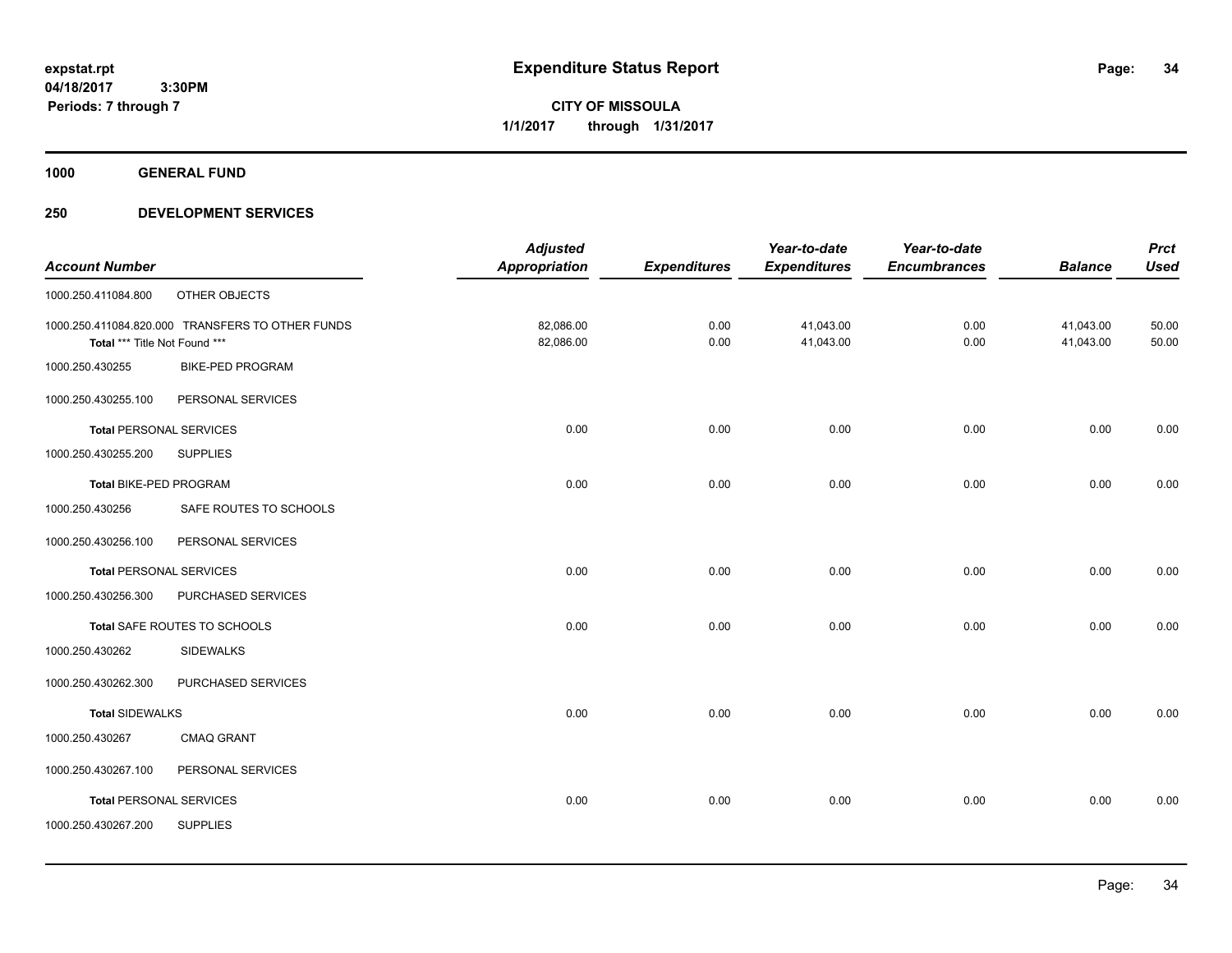**CITY OF MISSOULA 1/1/2017 through 1/31/2017**

**1000 GENERAL FUND**

|                                |                                                  | <b>Adjusted</b>      |                     | Year-to-date        | Year-to-date        |                | <b>Prct</b> |
|--------------------------------|--------------------------------------------------|----------------------|---------------------|---------------------|---------------------|----------------|-------------|
| <b>Account Number</b>          |                                                  | <b>Appropriation</b> | <b>Expenditures</b> | <b>Expenditures</b> | <b>Encumbrances</b> | <b>Balance</b> | <b>Used</b> |
| 1000.250.411084.800            | OTHER OBJECTS                                    |                      |                     |                     |                     |                |             |
|                                | 1000.250.411084.820.000 TRANSFERS TO OTHER FUNDS | 82,086.00            | 0.00                | 41,043.00           | 0.00                | 41,043.00      | 50.00       |
| Total *** Title Not Found ***  |                                                  | 82,086.00            | 0.00                | 41,043.00           | 0.00                | 41,043.00      | 50.00       |
| 1000.250.430255                | <b>BIKE-PED PROGRAM</b>                          |                      |                     |                     |                     |                |             |
| 1000.250.430255.100            | PERSONAL SERVICES                                |                      |                     |                     |                     |                |             |
| <b>Total PERSONAL SERVICES</b> |                                                  | 0.00                 | 0.00                | 0.00                | 0.00                | 0.00           | 0.00        |
| 1000.250.430255.200            | <b>SUPPLIES</b>                                  |                      |                     |                     |                     |                |             |
| Total BIKE-PED PROGRAM         |                                                  | 0.00                 | 0.00                | 0.00                | 0.00                | 0.00           | 0.00        |
| 1000.250.430256                | SAFE ROUTES TO SCHOOLS                           |                      |                     |                     |                     |                |             |
| 1000.250.430256.100            | PERSONAL SERVICES                                |                      |                     |                     |                     |                |             |
| <b>Total PERSONAL SERVICES</b> |                                                  | 0.00                 | 0.00                | 0.00                | 0.00                | 0.00           | 0.00        |
| 1000.250.430256.300            | PURCHASED SERVICES                               |                      |                     |                     |                     |                |             |
|                                | Total SAFE ROUTES TO SCHOOLS                     | 0.00                 | 0.00                | 0.00                | 0.00                | 0.00           | 0.00        |
| 1000.250.430262                | <b>SIDEWALKS</b>                                 |                      |                     |                     |                     |                |             |
| 1000.250.430262.300            | PURCHASED SERVICES                               |                      |                     |                     |                     |                |             |
| <b>Total SIDEWALKS</b>         |                                                  | 0.00                 | 0.00                | 0.00                | 0.00                | 0.00           | 0.00        |
| 1000.250.430267                | <b>CMAQ GRANT</b>                                |                      |                     |                     |                     |                |             |
| 1000.250.430267.100            | PERSONAL SERVICES                                |                      |                     |                     |                     |                |             |
| <b>Total PERSONAL SERVICES</b> |                                                  | 0.00                 | 0.00                | 0.00                | 0.00                | 0.00           | 0.00        |
| 1000.250.430267.200            | <b>SUPPLIES</b>                                  |                      |                     |                     |                     |                |             |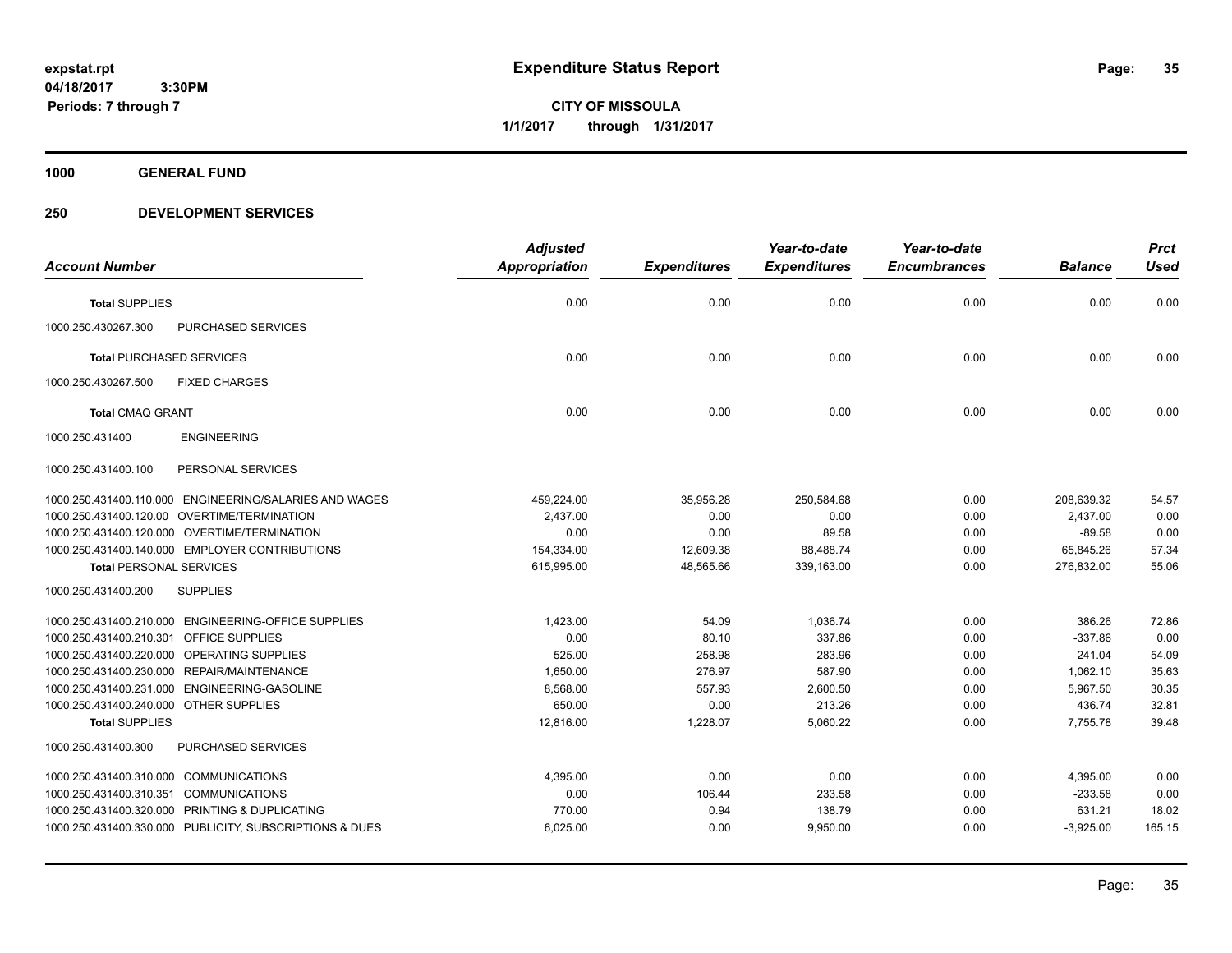**CITY OF MISSOULA 1/1/2017 through 1/31/2017**

**1000 GENERAL FUND**

|                                         |                                                         | <b>Adjusted</b> |                     | Year-to-date        | Year-to-date        |                | <b>Prct</b> |
|-----------------------------------------|---------------------------------------------------------|-----------------|---------------------|---------------------|---------------------|----------------|-------------|
| <b>Account Number</b>                   |                                                         | Appropriation   | <b>Expenditures</b> | <b>Expenditures</b> | <b>Encumbrances</b> | <b>Balance</b> | <b>Used</b> |
| <b>Total SUPPLIES</b>                   |                                                         | 0.00            | 0.00                | 0.00                | 0.00                | 0.00           | 0.00        |
| 1000.250.430267.300                     | <b>PURCHASED SERVICES</b>                               |                 |                     |                     |                     |                |             |
| <b>Total PURCHASED SERVICES</b>         |                                                         | 0.00            | 0.00                | 0.00                | 0.00                | 0.00           | 0.00        |
| 1000.250.430267.500                     | <b>FIXED CHARGES</b>                                    |                 |                     |                     |                     |                |             |
| <b>Total CMAQ GRANT</b>                 |                                                         | 0.00            | 0.00                | 0.00                | 0.00                | 0.00           | 0.00        |
| 1000.250.431400                         | <b>ENGINEERING</b>                                      |                 |                     |                     |                     |                |             |
| 1000.250.431400.100                     | PERSONAL SERVICES                                       |                 |                     |                     |                     |                |             |
|                                         | 1000.250.431400.110.000 ENGINEERING/SALARIES AND WAGES  | 459,224.00      | 35,956.28           | 250,584.68          | 0.00                | 208,639.32     | 54.57       |
|                                         | 1000.250.431400.120.00 OVERTIME/TERMINATION             | 2,437.00        | 0.00                | 0.00                | 0.00                | 2,437.00       | 0.00        |
|                                         | 1000.250.431400.120.000 OVERTIME/TERMINATION            | 0.00            | 0.00                | 89.58               | 0.00                | $-89.58$       | 0.00        |
|                                         | 1000.250.431400.140.000 EMPLOYER CONTRIBUTIONS          | 154,334.00      | 12,609.38           | 88,488.74           | 0.00                | 65,845.26      | 57.34       |
| <b>Total PERSONAL SERVICES</b>          |                                                         | 615,995.00      | 48,565.66           | 339,163.00          | 0.00                | 276,832.00     | 55.06       |
| 1000.250.431400.200                     | <b>SUPPLIES</b>                                         |                 |                     |                     |                     |                |             |
|                                         | 1000.250.431400.210.000 ENGINEERING-OFFICE SUPPLIES     | 1,423.00        | 54.09               | 1,036.74            | 0.00                | 386.26         | 72.86       |
| 1000.250.431400.210.301 OFFICE SUPPLIES |                                                         | 0.00            | 80.10               | 337.86              | 0.00                | $-337.86$      | 0.00        |
|                                         | 1000.250.431400.220.000 OPERATING SUPPLIES              | 525.00          | 258.98              | 283.96              | 0.00                | 241.04         | 54.09       |
|                                         | 1000.250.431400.230.000 REPAIR/MAINTENANCE              | 1,650.00        | 276.97              | 587.90              | 0.00                | 1,062.10       | 35.63       |
|                                         | 1000.250.431400.231.000 ENGINEERING-GASOLINE            | 8,568.00        | 557.93              | 2,600.50            | 0.00                | 5,967.50       | 30.35       |
| 1000.250.431400.240.000 OTHER SUPPLIES  |                                                         | 650.00          | 0.00                | 213.26              | 0.00                | 436.74         | 32.81       |
| <b>Total SUPPLIES</b>                   |                                                         | 12,816.00       | 1,228.07            | 5,060.22            | 0.00                | 7,755.78       | 39.48       |
| 1000.250.431400.300                     | PURCHASED SERVICES                                      |                 |                     |                     |                     |                |             |
| 1000.250.431400.310.000 COMMUNICATIONS  |                                                         | 4,395.00        | 0.00                | 0.00                | 0.00                | 4,395.00       | 0.00        |
| 1000.250.431400.310.351                 | <b>COMMUNICATIONS</b>                                   | 0.00            | 106.44              | 233.58              | 0.00                | $-233.58$      | 0.00        |
|                                         | 1000.250.431400.320.000 PRINTING & DUPLICATING          | 770.00          | 0.94                | 138.79              | 0.00                | 631.21         | 18.02       |
|                                         | 1000.250.431400.330.000 PUBLICITY, SUBSCRIPTIONS & DUES | 6,025.00        | 0.00                | 9,950.00            | 0.00                | $-3,925.00$    | 165.15      |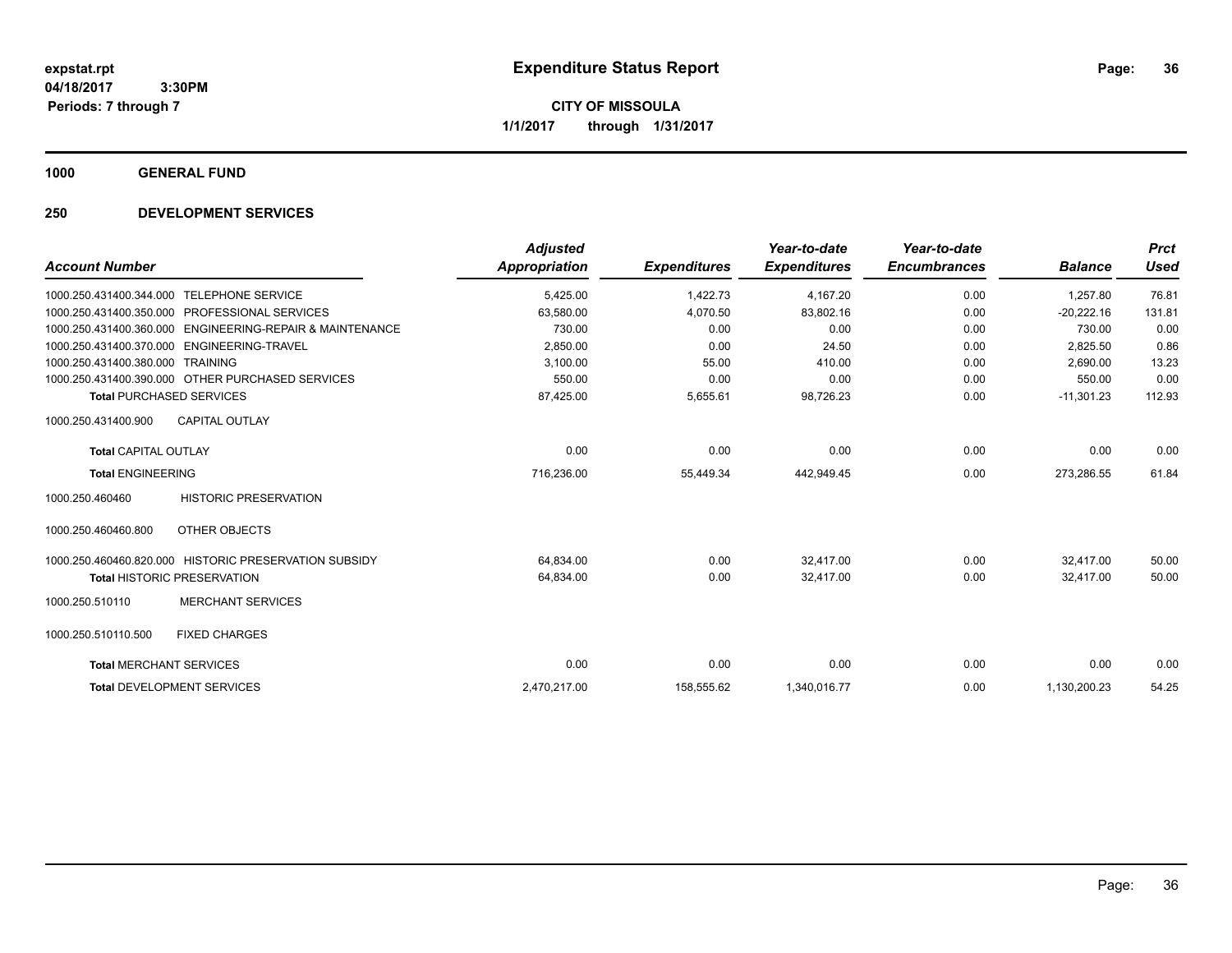**CITY OF MISSOULA 1/1/2017 through 1/31/2017**

**1000 GENERAL FUND**

|                                 |                                                       | <b>Adjusted</b> |                     | Year-to-date        | Year-to-date        |                | <b>Prct</b> |
|---------------------------------|-------------------------------------------------------|-----------------|---------------------|---------------------|---------------------|----------------|-------------|
| <b>Account Number</b>           |                                                       | Appropriation   | <b>Expenditures</b> | <b>Expenditures</b> | <b>Encumbrances</b> | <b>Balance</b> | <b>Used</b> |
| 1000.250.431400.344.000         | <b>TELEPHONE SERVICE</b>                              | 5,425.00        | 1,422.73            | 4,167.20            | 0.00                | 1,257.80       | 76.81       |
| 1000.250.431400.350.000         | PROFESSIONAL SERVICES                                 | 63,580.00       | 4,070.50            | 83,802.16           | 0.00                | $-20,222.16$   | 131.81      |
| 1000.250.431400.360.000         | ENGINEERING-REPAIR & MAINTENANCE                      | 730.00          | 0.00                | 0.00                | 0.00                | 730.00         | 0.00        |
| 1000.250.431400.370.000         | ENGINEERING-TRAVEL                                    | 2,850.00        | 0.00                | 24.50               | 0.00                | 2,825.50       | 0.86        |
| 1000.250.431400.380.000         | <b>TRAINING</b>                                       | 3.100.00        | 55.00               | 410.00              | 0.00                | 2.690.00       | 13.23       |
|                                 | 1000.250.431400.390.000 OTHER PURCHASED SERVICES      | 550.00          | 0.00                | 0.00                | 0.00                | 550.00         | 0.00        |
| <b>Total PURCHASED SERVICES</b> |                                                       | 87,425.00       | 5,655.61            | 98,726.23           | 0.00                | $-11,301.23$   | 112.93      |
| 1000.250.431400.900             | <b>CAPITAL OUTLAY</b>                                 |                 |                     |                     |                     |                |             |
| <b>Total CAPITAL OUTLAY</b>     |                                                       | 0.00            | 0.00                | 0.00                | 0.00                | 0.00           | 0.00        |
| <b>Total ENGINEERING</b>        |                                                       | 716,236.00      | 55,449.34           | 442,949.45          | 0.00                | 273,286.55     | 61.84       |
| 1000.250.460460                 | <b>HISTORIC PRESERVATION</b>                          |                 |                     |                     |                     |                |             |
| 1000.250.460460.800             | OTHER OBJECTS                                         |                 |                     |                     |                     |                |             |
|                                 | 1000.250.460460.820.000 HISTORIC PRESERVATION SUBSIDY | 64,834.00       | 0.00                | 32.417.00           | 0.00                | 32.417.00      | 50.00       |
|                                 | <b>Total HISTORIC PRESERVATION</b>                    | 64,834.00       | 0.00                | 32,417.00           | 0.00                | 32.417.00      | 50.00       |
| 1000.250.510110                 | <b>MERCHANT SERVICES</b>                              |                 |                     |                     |                     |                |             |
| 1000.250.510110.500             | <b>FIXED CHARGES</b>                                  |                 |                     |                     |                     |                |             |
| <b>Total MERCHANT SERVICES</b>  |                                                       | 0.00            | 0.00                | 0.00                | 0.00                | 0.00           | 0.00        |
|                                 | <b>Total DEVELOPMENT SERVICES</b>                     | 2,470,217.00    | 158,555.62          | 1,340,016.77        | 0.00                | 1,130,200.23   | 54.25       |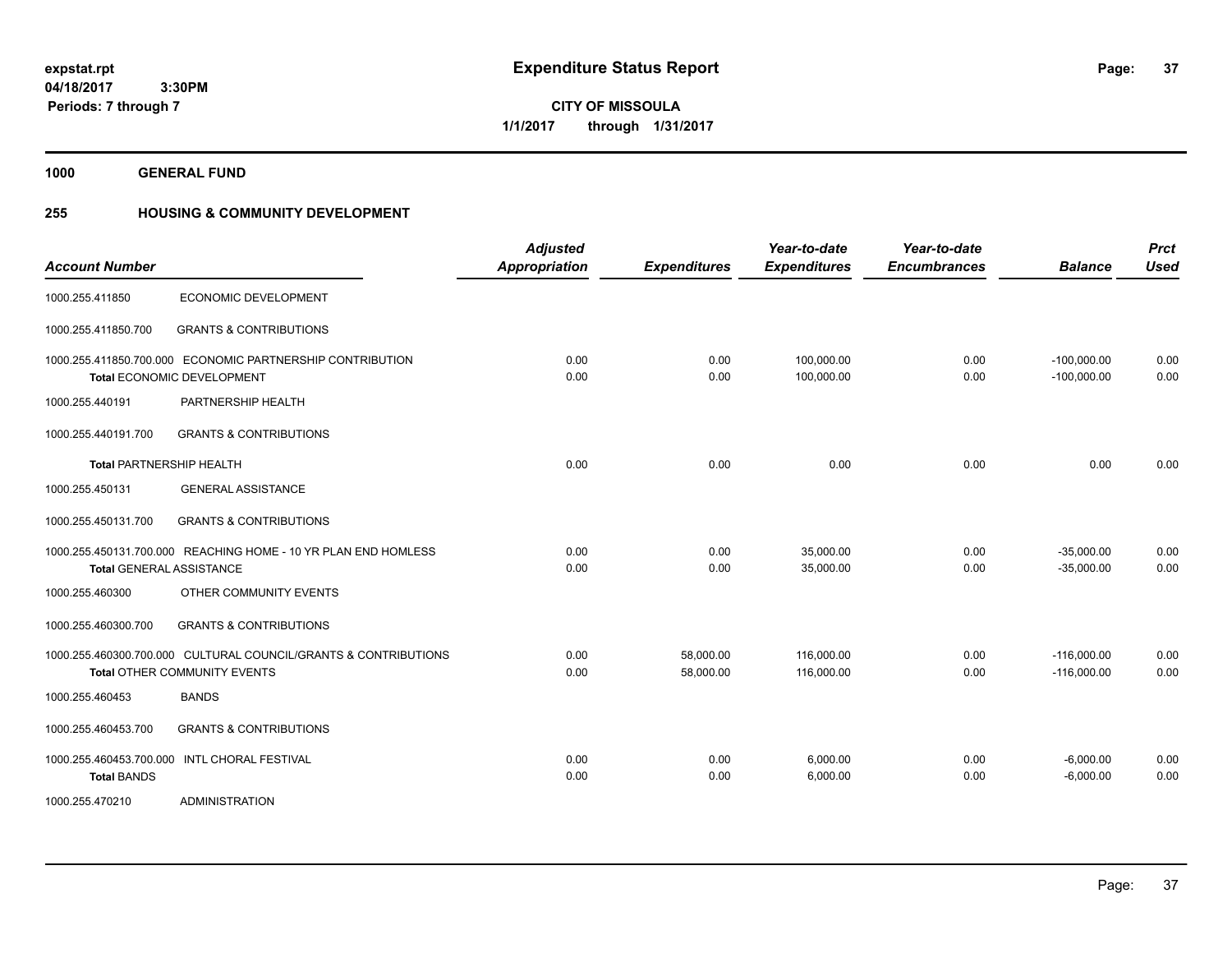**37**

**04/18/2017 3:30PM Periods: 7 through 7**

**CITY OF MISSOULA 1/1/2017 through 1/31/2017**

**1000 GENERAL FUND**

### **255 HOUSING & COMMUNITY DEVELOPMENT**

| <b>Account Number</b>                         |                                                                                                        | <b>Adjusted</b><br><b>Appropriation</b> | <b>Expenditures</b>    | Year-to-date<br><b>Expenditures</b> | Year-to-date<br><b>Encumbrances</b> | <b>Balance</b>                 | <b>Prct</b><br><b>Used</b> |
|-----------------------------------------------|--------------------------------------------------------------------------------------------------------|-----------------------------------------|------------------------|-------------------------------------|-------------------------------------|--------------------------------|----------------------------|
| 1000.255.411850                               | ECONOMIC DEVELOPMENT                                                                                   |                                         |                        |                                     |                                     |                                |                            |
| 1000.255.411850.700                           | <b>GRANTS &amp; CONTRIBUTIONS</b>                                                                      |                                         |                        |                                     |                                     |                                |                            |
|                                               | 1000.255.411850.700.000 ECONOMIC PARTNERSHIP CONTRIBUTION<br><b>Total ECONOMIC DEVELOPMENT</b>         | 0.00<br>0.00                            | 0.00<br>0.00           | 100.000.00<br>100,000.00            | 0.00<br>0.00                        | $-100,000.00$<br>$-100,000.00$ | 0.00<br>0.00               |
| 1000.255.440191                               | PARTNERSHIP HEALTH                                                                                     |                                         |                        |                                     |                                     |                                |                            |
| 1000.255.440191.700                           | <b>GRANTS &amp; CONTRIBUTIONS</b>                                                                      |                                         |                        |                                     |                                     |                                |                            |
| <b>Total PARTNERSHIP HEALTH</b>               |                                                                                                        | 0.00                                    | 0.00                   | 0.00                                | 0.00                                | 0.00                           | 0.00                       |
| 1000.255.450131                               | <b>GENERAL ASSISTANCE</b>                                                                              |                                         |                        |                                     |                                     |                                |                            |
| 1000.255.450131.700                           | <b>GRANTS &amp; CONTRIBUTIONS</b>                                                                      |                                         |                        |                                     |                                     |                                |                            |
|                                               | 1000.255.450131.700.000 REACHING HOME - 10 YR PLAN END HOMLESS<br><b>Total GENERAL ASSISTANCE</b>      | 0.00<br>0.00                            | 0.00<br>0.00           | 35,000.00<br>35,000.00              | 0.00<br>0.00                        | $-35,000.00$<br>$-35,000.00$   | 0.00<br>0.00               |
| 1000.255.460300                               | OTHER COMMUNITY EVENTS                                                                                 |                                         |                        |                                     |                                     |                                |                            |
| 1000.255.460300.700                           | <b>GRANTS &amp; CONTRIBUTIONS</b>                                                                      |                                         |                        |                                     |                                     |                                |                            |
|                                               | 1000.255.460300.700.000 CULTURAL COUNCIL/GRANTS & CONTRIBUTIONS<br><b>Total OTHER COMMUNITY EVENTS</b> | 0.00<br>0.00                            | 58,000.00<br>58,000.00 | 116,000.00<br>116,000.00            | 0.00<br>0.00                        | $-116,000.00$<br>$-116,000.00$ | 0.00<br>0.00               |
| 1000.255.460453                               | <b>BANDS</b>                                                                                           |                                         |                        |                                     |                                     |                                |                            |
| 1000.255.460453.700                           | <b>GRANTS &amp; CONTRIBUTIONS</b>                                                                      |                                         |                        |                                     |                                     |                                |                            |
| 1000.255.460453.700.000<br><b>Total BANDS</b> | <b>INTL CHORAL FESTIVAL</b>                                                                            | 0.00<br>0.00                            | 0.00<br>0.00           | 6,000.00<br>6,000.00                | 0.00<br>0.00                        | $-6,000.00$<br>$-6,000.00$     | 0.00<br>0.00               |
| 1000.255.470210                               | <b>ADMINISTRATION</b>                                                                                  |                                         |                        |                                     |                                     |                                |                            |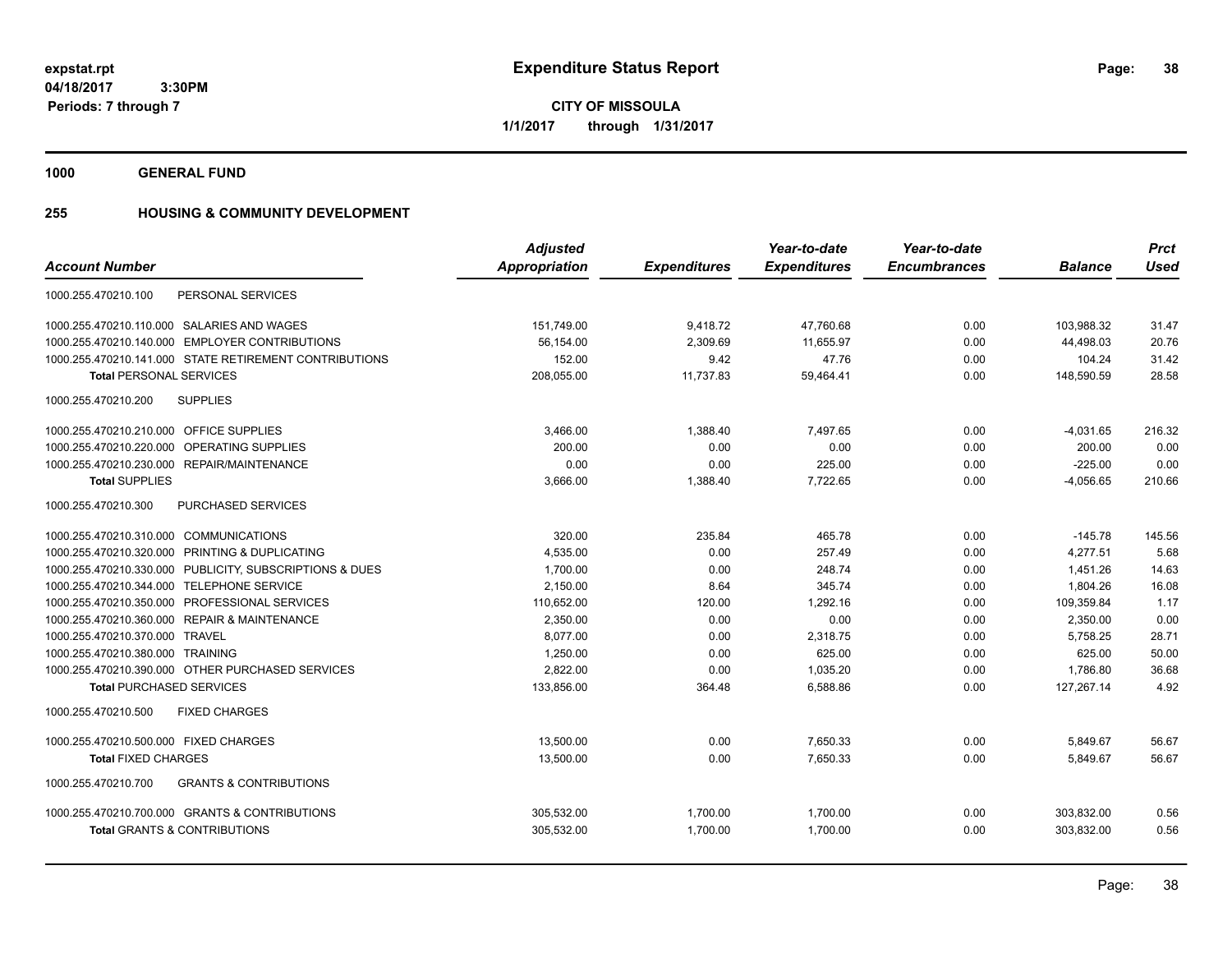**CITY OF MISSOULA 1/1/2017 through 1/31/2017**

**1000 GENERAL FUND**

### **255 HOUSING & COMMUNITY DEVELOPMENT**

|                                                          | <b>Adjusted</b>      |                     | Year-to-date        | Year-to-date        |                | <b>Prct</b> |
|----------------------------------------------------------|----------------------|---------------------|---------------------|---------------------|----------------|-------------|
| <b>Account Number</b>                                    | <b>Appropriation</b> | <b>Expenditures</b> | <b>Expenditures</b> | <b>Encumbrances</b> | <b>Balance</b> | <b>Used</b> |
| PERSONAL SERVICES<br>1000.255.470210.100                 |                      |                     |                     |                     |                |             |
| 1000.255.470210.110.000 SALARIES AND WAGES               | 151,749.00           | 9,418.72            | 47,760.68           | 0.00                | 103,988.32     | 31.47       |
| 1000.255.470210.140.000 EMPLOYER CONTRIBUTIONS           | 56,154.00            | 2,309.69            | 11,655.97           | 0.00                | 44,498.03      | 20.76       |
| 1000.255.470210.141.000 STATE RETIREMENT CONTRIBUTIONS   | 152.00               | 9.42                | 47.76               | 0.00                | 104.24         | 31.42       |
| <b>Total PERSONAL SERVICES</b>                           | 208,055.00           | 11,737.83           | 59,464.41           | 0.00                | 148,590.59     | 28.58       |
| <b>SUPPLIES</b><br>1000.255.470210.200                   |                      |                     |                     |                     |                |             |
| 1000.255.470210.210.000 OFFICE SUPPLIES                  | 3,466.00             | 1,388.40            | 7,497.65            | 0.00                | $-4,031.65$    | 216.32      |
| 1000.255.470210.220.000 OPERATING SUPPLIES               | 200.00               | 0.00                | 0.00                | 0.00                | 200.00         | 0.00        |
| 1000.255.470210.230.000 REPAIR/MAINTENANCE               | 0.00                 | 0.00                | 225.00              | 0.00                | $-225.00$      | 0.00        |
| <b>Total SUPPLIES</b>                                    | 3,666.00             | 1,388.40            | 7,722.65            | 0.00                | $-4,056.65$    | 210.66      |
| 1000.255.470210.300<br><b>PURCHASED SERVICES</b>         |                      |                     |                     |                     |                |             |
| 1000.255.470210.310.000 COMMUNICATIONS                   | 320.00               | 235.84              | 465.78              | 0.00                | $-145.78$      | 145.56      |
| 1000.255.470210.320.000 PRINTING & DUPLICATING           | 4,535.00             | 0.00                | 257.49              | 0.00                | 4.277.51       | 5.68        |
| 1000.255.470210.330.000 PUBLICITY, SUBSCRIPTIONS & DUES  | 1,700.00             | 0.00                | 248.74              | 0.00                | 1,451.26       | 14.63       |
| 1000.255.470210.344.000 TELEPHONE SERVICE                | 2,150.00             | 8.64                | 345.74              | 0.00                | 1,804.26       | 16.08       |
| 1000.255.470210.350.000 PROFESSIONAL SERVICES            | 110,652.00           | 120.00              | 1.292.16            | 0.00                | 109,359.84     | 1.17        |
| 1000.255.470210.360.000 REPAIR & MAINTENANCE             | 2,350.00             | 0.00                | 0.00                | 0.00                | 2,350.00       | 0.00        |
| 1000.255.470210.370.000 TRAVEL                           | 8.077.00             | 0.00                | 2.318.75            | 0.00                | 5,758.25       | 28.71       |
| 1000.255.470210.380.000 TRAINING                         | 1,250.00             | 0.00                | 625.00              | 0.00                | 625.00         | 50.00       |
| 1000.255.470210.390.000 OTHER PURCHASED SERVICES         | 2,822.00             | 0.00                | 1,035.20            | 0.00                | 1,786.80       | 36.68       |
| <b>Total PURCHASED SERVICES</b>                          | 133,856.00           | 364.48              | 6,588.86            | 0.00                | 127,267.14     | 4.92        |
| 1000.255.470210.500<br><b>FIXED CHARGES</b>              |                      |                     |                     |                     |                |             |
| 1000.255.470210.500.000 FIXED CHARGES                    | 13,500.00            | 0.00                | 7,650.33            | 0.00                | 5,849.67       | 56.67       |
| <b>Total FIXED CHARGES</b>                               | 13,500.00            | 0.00                | 7,650.33            | 0.00                | 5,849.67       | 56.67       |
| <b>GRANTS &amp; CONTRIBUTIONS</b><br>1000.255.470210.700 |                      |                     |                     |                     |                |             |
| 1000.255.470210.700.000 GRANTS & CONTRIBUTIONS           | 305,532.00           | 1,700.00            | 1,700.00            | 0.00                | 303,832.00     | 0.56        |
| <b>Total GRANTS &amp; CONTRIBUTIONS</b>                  | 305,532.00           | 1.700.00            | 1.700.00            | 0.00                | 303.832.00     | 0.56        |
|                                                          |                      |                     |                     |                     |                |             |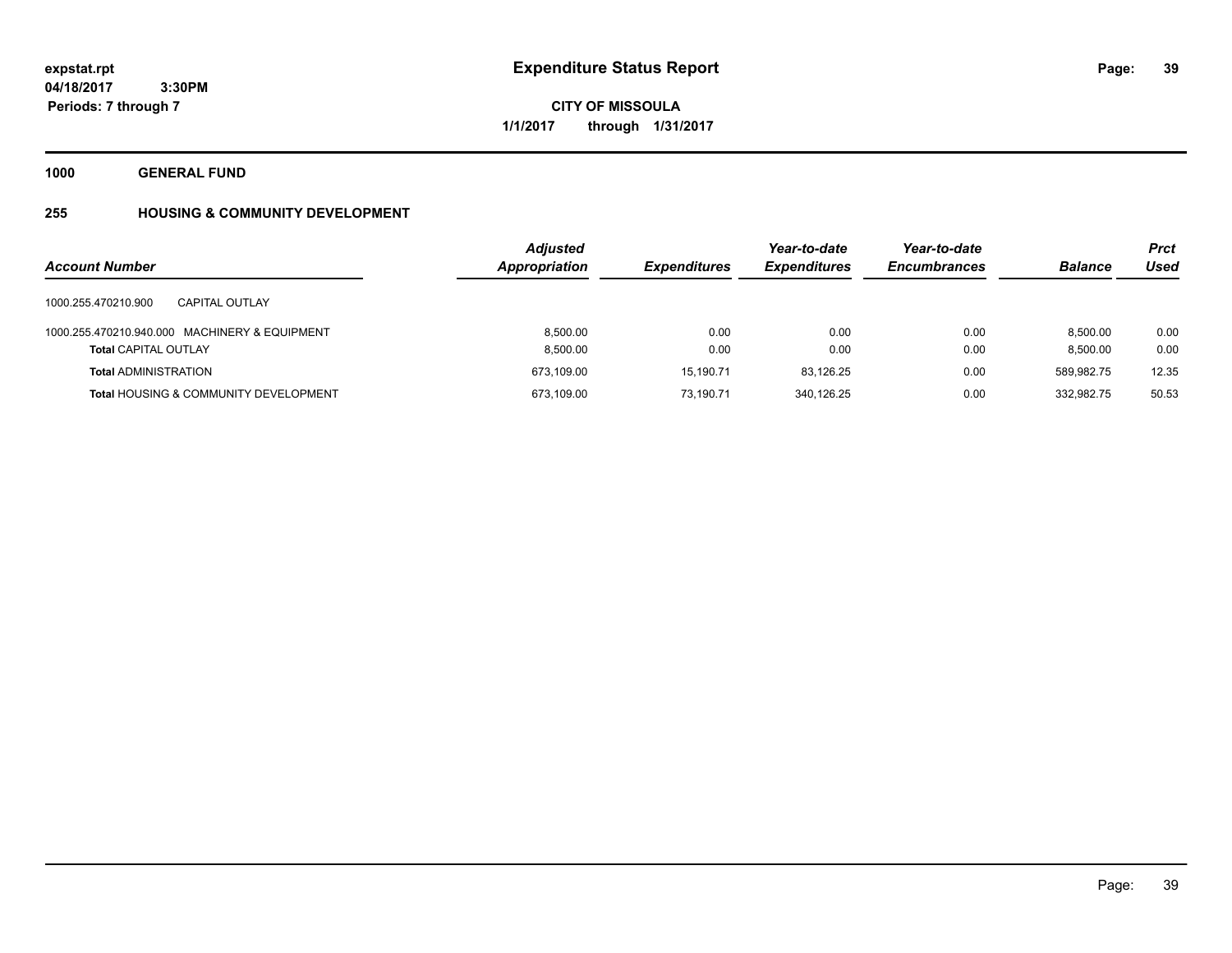# **CITY OF MISSOULA 1/1/2017 through 1/31/2017**

**1000 GENERAL FUND**

## **255 HOUSING & COMMUNITY DEVELOPMENT**

| <b>Account Number</b>                                                        | <b>Adjusted</b><br>Appropriation | <b>Expenditures</b> | Year-to-date<br><b>Expenditures</b> | Year-to-date<br><b>Encumbrances</b> | <b>Balance</b>       | <b>Prct</b><br>Used |
|------------------------------------------------------------------------------|----------------------------------|---------------------|-------------------------------------|-------------------------------------|----------------------|---------------------|
| 1000.255.470210.900<br><b>CAPITAL OUTLAY</b>                                 |                                  |                     |                                     |                                     |                      |                     |
| 1000.255.470210.940.000 MACHINERY & EQUIPMENT<br><b>Total CAPITAL OUTLAY</b> | 8.500.00<br>8,500.00             | 0.00<br>0.00        | 0.00<br>0.00                        | 0.00<br>0.00                        | 8.500.00<br>8,500.00 | 0.00<br>0.00        |
| <b>Total ADMINISTRATION</b>                                                  | 673,109.00                       | 15.190.71           | 83.126.25                           | 0.00                                | 589,982.75           | 12.35               |
| <b>Total HOUSING &amp; COMMUNITY DEVELOPMENT</b>                             | 673,109.00                       | 73.190.71           | 340.126.25                          | 0.00                                | 332.982.75           | 50.53               |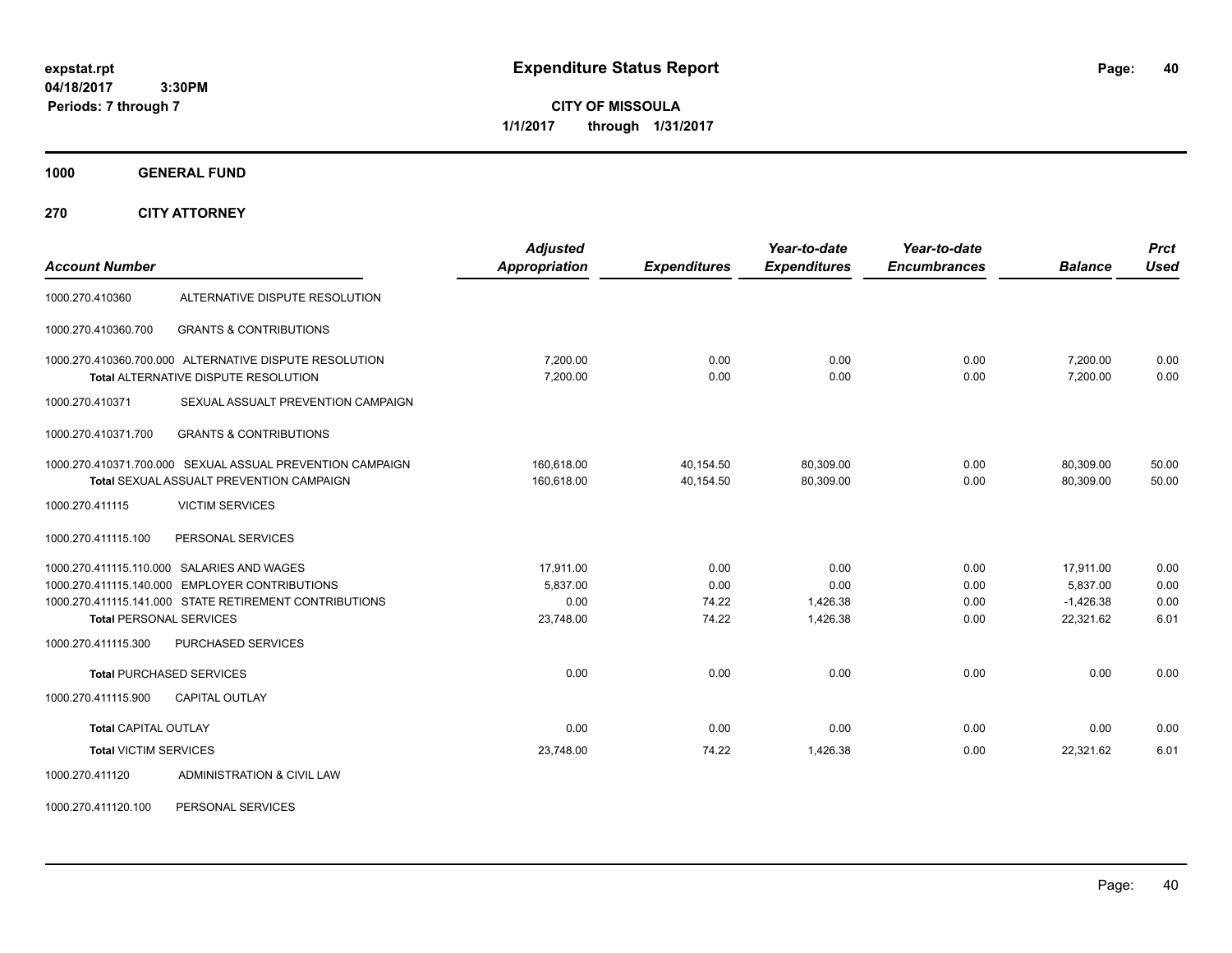**CITY OF MISSOULA 1/1/2017 through 1/31/2017**

**1000 GENERAL FUND**

**270 CITY ATTORNEY**

| <b>Account Number</b>          |                                                                                                       | <b>Adjusted</b><br><b>Appropriation</b> | <b>Expenditures</b>    | Year-to-date<br><b>Expenditures</b> | Year-to-date<br><b>Encumbrances</b> | <b>Balance</b>          | <b>Prct</b><br><b>Used</b> |
|--------------------------------|-------------------------------------------------------------------------------------------------------|-----------------------------------------|------------------------|-------------------------------------|-------------------------------------|-------------------------|----------------------------|
| 1000.270.410360                | ALTERNATIVE DISPUTE RESOLUTION                                                                        |                                         |                        |                                     |                                     |                         |                            |
| 1000.270.410360.700            | <b>GRANTS &amp; CONTRIBUTIONS</b>                                                                     |                                         |                        |                                     |                                     |                         |                            |
|                                | 1000.270.410360.700.000 ALTERNATIVE DISPUTE RESOLUTION<br><b>Total ALTERNATIVE DISPUTE RESOLUTION</b> | 7,200.00<br>7,200.00                    | 0.00<br>0.00           | 0.00<br>0.00                        | 0.00<br>0.00                        | 7,200.00<br>7,200.00    | 0.00<br>0.00               |
| 1000.270.410371                | SEXUAL ASSUALT PREVENTION CAMPAIGN                                                                    |                                         |                        |                                     |                                     |                         |                            |
| 1000.270.410371.700            | <b>GRANTS &amp; CONTRIBUTIONS</b>                                                                     |                                         |                        |                                     |                                     |                         |                            |
|                                | 1000.270.410371.700.000 SEXUAL ASSUAL PREVENTION CAMPAIGN<br>Total SEXUAL ASSUALT PREVENTION CAMPAIGN | 160.618.00<br>160,618.00                | 40.154.50<br>40,154.50 | 80,309.00<br>80.309.00              | 0.00<br>0.00                        | 80.309.00<br>80.309.00  | 50.00<br>50.00             |
| 1000.270.411115                | <b>VICTIM SERVICES</b>                                                                                |                                         |                        |                                     |                                     |                         |                            |
| 1000.270.411115.100            | PERSONAL SERVICES                                                                                     |                                         |                        |                                     |                                     |                         |                            |
|                                | 1000.270.411115.110.000 SALARIES AND WAGES<br>1000.270.411115.140.000 EMPLOYER CONTRIBUTIONS          | 17,911.00                               | 0.00                   | 0.00                                | 0.00                                | 17,911.00               | 0.00                       |
|                                | 1000.270.411115.141.000 STATE RETIREMENT CONTRIBUTIONS                                                | 5,837.00<br>0.00                        | 0.00<br>74.22          | 0.00<br>1,426.38                    | 0.00<br>0.00                        | 5,837.00<br>$-1,426.38$ | 0.00<br>0.00               |
| <b>Total PERSONAL SERVICES</b> |                                                                                                       | 23,748.00                               | 74.22                  | 1,426.38                            | 0.00                                | 22.321.62               | 6.01                       |
| 1000.270.411115.300            | PURCHASED SERVICES                                                                                    |                                         |                        |                                     |                                     |                         |                            |
|                                | <b>Total PURCHASED SERVICES</b>                                                                       | 0.00                                    | 0.00                   | 0.00                                | 0.00                                | 0.00                    | 0.00                       |
| 1000.270.411115.900            | <b>CAPITAL OUTLAY</b>                                                                                 |                                         |                        |                                     |                                     |                         |                            |
| <b>Total CAPITAL OUTLAY</b>    |                                                                                                       | 0.00                                    | 0.00                   | 0.00                                | 0.00                                | 0.00                    | 0.00                       |
| <b>Total VICTIM SERVICES</b>   |                                                                                                       | 23,748.00                               | 74.22                  | 1,426.38                            | 0.00                                | 22,321.62               | 6.01                       |
| 1000.270.411120                | ADMINISTRATION & CIVIL LAW                                                                            |                                         |                        |                                     |                                     |                         |                            |

1000.270.411120.100 PERSONAL SERVICES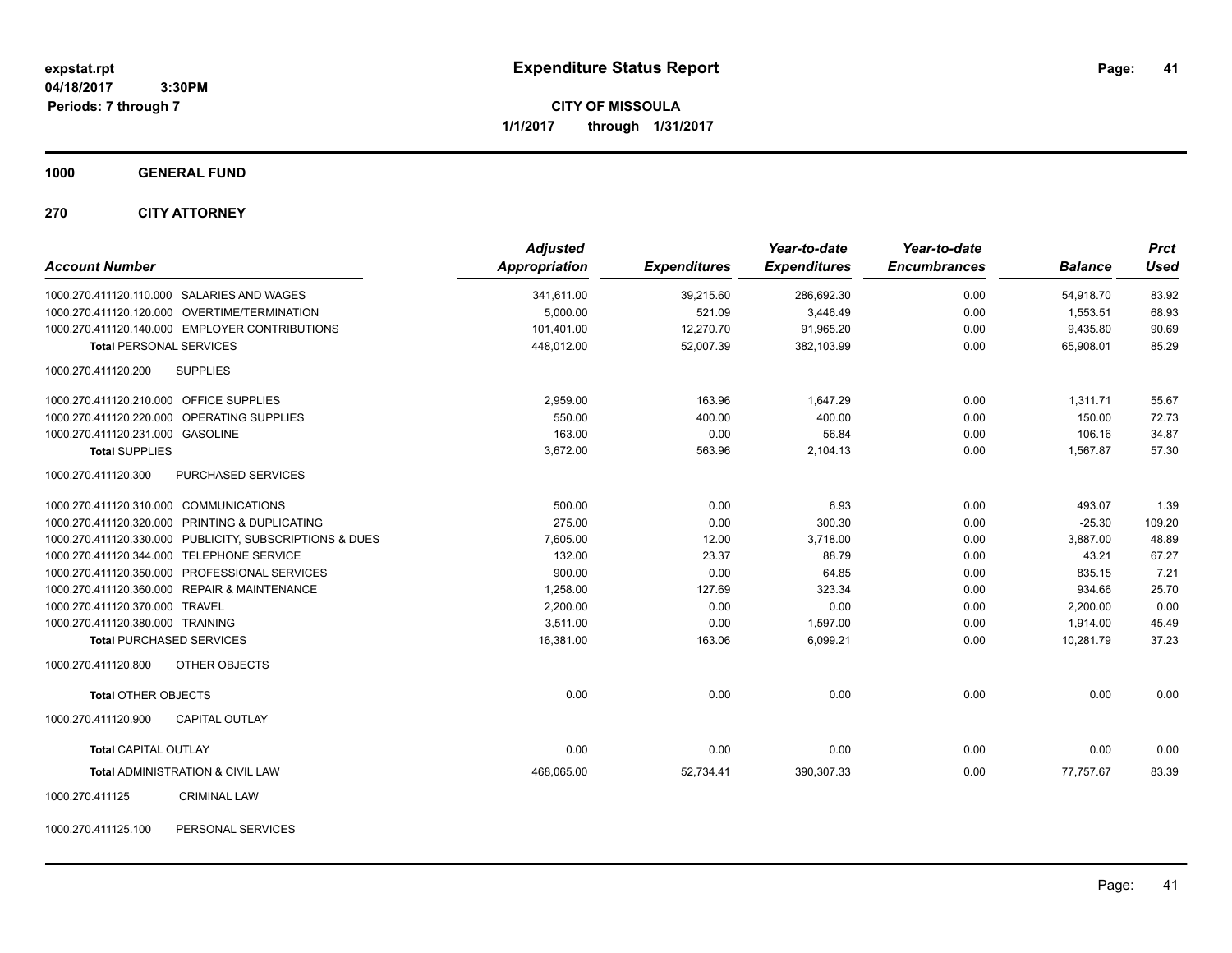**CITY OF MISSOULA 1/1/2017 through 1/31/2017**

**1000 GENERAL FUND**

**270 CITY ATTORNEY**

| <b>Account Number</b>                                   | <b>Adjusted</b><br>Appropriation | <b>Expenditures</b> | Year-to-date<br><b>Expenditures</b> | Year-to-date<br><b>Encumbrances</b> | <b>Balance</b> | <b>Prct</b><br><b>Used</b> |
|---------------------------------------------------------|----------------------------------|---------------------|-------------------------------------|-------------------------------------|----------------|----------------------------|
| 1000.270.411120.110.000 SALARIES AND WAGES              | 341,611.00                       | 39,215.60           | 286,692.30                          | 0.00                                | 54,918.70      | 83.92                      |
| 1000.270.411120.120.000 OVERTIME/TERMINATION            | 5.000.00                         | 521.09              | 3.446.49                            | 0.00                                | 1.553.51       | 68.93                      |
| 1000.270.411120.140.000 EMPLOYER CONTRIBUTIONS          | 101,401.00                       | 12,270.70           | 91,965.20                           | 0.00                                | 9,435.80       | 90.69                      |
| <b>Total PERSONAL SERVICES</b>                          | 448,012.00                       | 52,007.39           | 382,103.99                          | 0.00                                | 65,908.01      | 85.29                      |
| <b>SUPPLIES</b><br>1000.270.411120.200                  |                                  |                     |                                     |                                     |                |                            |
| 1000.270.411120.210.000 OFFICE SUPPLIES                 | 2,959.00                         | 163.96              | 1,647.29                            | 0.00                                | 1.311.71       | 55.67                      |
| 1000.270.411120.220.000 OPERATING SUPPLIES              | 550.00                           | 400.00              | 400.00                              | 0.00                                | 150.00         | 72.73                      |
| 1000.270.411120.231.000 GASOLINE                        | 163.00                           | 0.00                | 56.84                               | 0.00                                | 106.16         | 34.87                      |
| <b>Total SUPPLIES</b>                                   | 3,672.00                         | 563.96              | 2,104.13                            | 0.00                                | 1,567.87       | 57.30                      |
| 1000.270.411120.300<br>PURCHASED SERVICES               |                                  |                     |                                     |                                     |                |                            |
| 1000.270.411120.310.000 COMMUNICATIONS                  | 500.00                           | 0.00                | 6.93                                | 0.00                                | 493.07         | 1.39                       |
| 1000.270.411120.320.000 PRINTING & DUPLICATING          | 275.00                           | 0.00                | 300.30                              | 0.00                                | $-25.30$       | 109.20                     |
| 1000.270.411120.330.000 PUBLICITY, SUBSCRIPTIONS & DUES | 7,605.00                         | 12.00               | 3,718.00                            | 0.00                                | 3,887.00       | 48.89                      |
| 1000.270.411120.344.000 TELEPHONE SERVICE               | 132.00                           | 23.37               | 88.79                               | 0.00                                | 43.21          | 67.27                      |
| 1000.270.411120.350.000 PROFESSIONAL SERVICES           | 900.00                           | 0.00                | 64.85                               | 0.00                                | 835.15         | 7.21                       |
| 1000.270.411120.360.000 REPAIR & MAINTENANCE            | 1,258.00                         | 127.69              | 323.34                              | 0.00                                | 934.66         | 25.70                      |
| 1000.270.411120.370.000 TRAVEL                          | 2,200.00                         | 0.00                | 0.00                                | 0.00                                | 2,200.00       | 0.00                       |
| 1000.270.411120.380.000 TRAINING                        | 3,511.00                         | 0.00                | 1,597.00                            | 0.00                                | 1,914.00       | 45.49                      |
| <b>Total PURCHASED SERVICES</b>                         | 16,381.00                        | 163.06              | 6,099.21                            | 0.00                                | 10,281.79      | 37.23                      |
| 1000.270.411120.800<br><b>OTHER OBJECTS</b>             |                                  |                     |                                     |                                     |                |                            |
| <b>Total OTHER OBJECTS</b>                              | 0.00                             | 0.00                | 0.00                                | 0.00                                | 0.00           | 0.00                       |
| 1000.270.411120.900<br><b>CAPITAL OUTLAY</b>            |                                  |                     |                                     |                                     |                |                            |
| <b>Total CAPITAL OUTLAY</b>                             | 0.00                             | 0.00                | 0.00                                | 0.00                                | 0.00           | 0.00                       |
| Total ADMINISTRATION & CIVIL LAW                        | 468,065.00                       | 52,734.41           | 390,307.33                          | 0.00                                | 77,757.67      | 83.39                      |
| 1000.270.411125<br><b>CRIMINAL LAW</b>                  |                                  |                     |                                     |                                     |                |                            |

1000.270.411125.100 PERSONAL SERVICES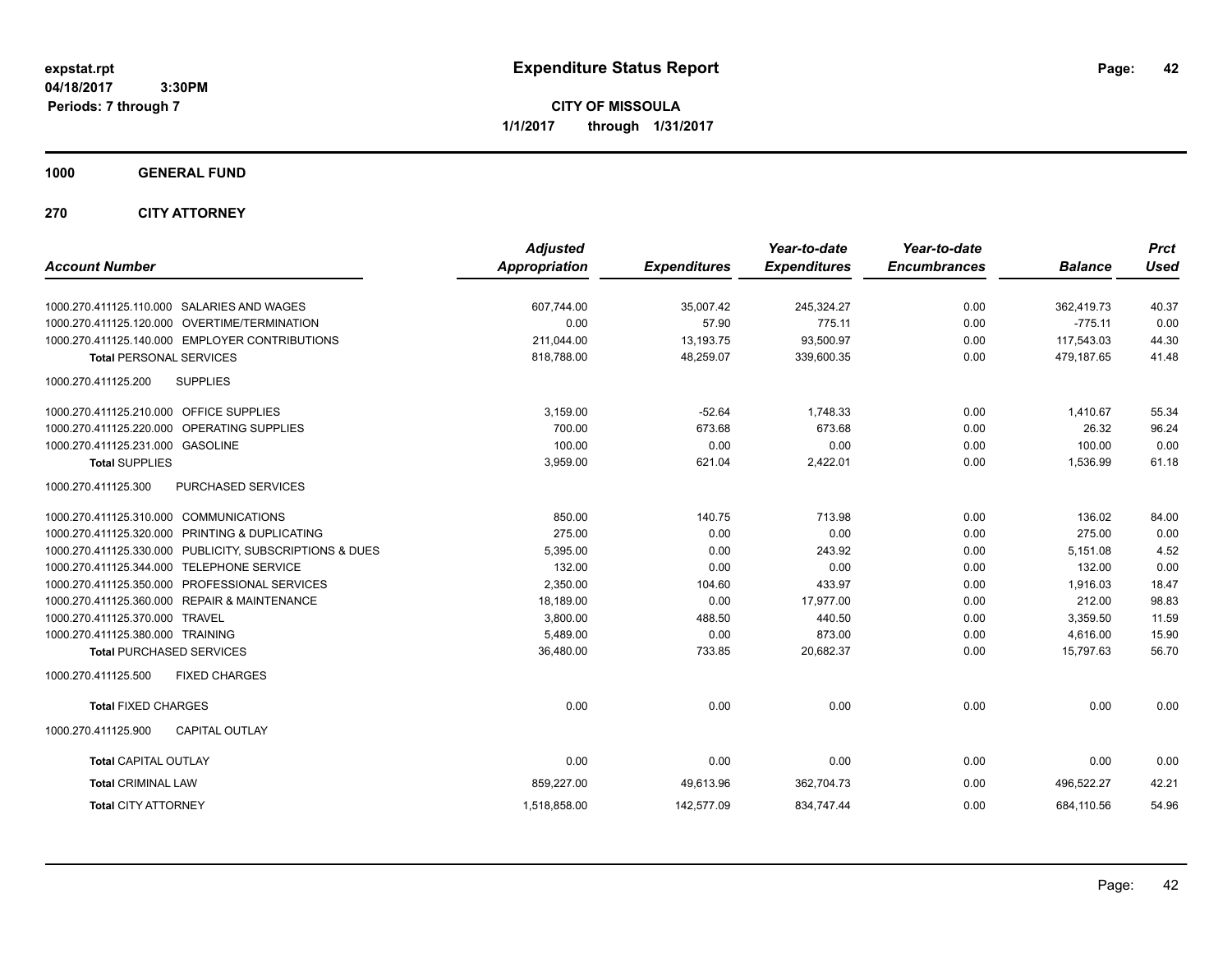**CITY OF MISSOULA 1/1/2017 through 1/31/2017**

### **1000 GENERAL FUND**

### **270 CITY ATTORNEY**

|                                                            | <b>Adjusted</b> |                     | Year-to-date        | Year-to-date        |                | <b>Prct</b> |
|------------------------------------------------------------|-----------------|---------------------|---------------------|---------------------|----------------|-------------|
| <b>Account Number</b>                                      | Appropriation   | <b>Expenditures</b> | <b>Expenditures</b> | <b>Encumbrances</b> | <b>Balance</b> | <b>Used</b> |
| 1000.270.411125.110.000 SALARIES AND WAGES                 | 607,744.00      | 35.007.42           | 245,324.27          | 0.00                | 362.419.73     | 40.37       |
| 1000.270.411125.120.000 OVERTIME/TERMINATION               | 0.00            | 57.90               | 775.11              | 0.00                | $-775.11$      | 0.00        |
| 1000.270.411125.140.000 EMPLOYER CONTRIBUTIONS             | 211,044.00      | 13,193.75           | 93,500.97           | 0.00                | 117,543.03     | 44.30       |
| <b>Total PERSONAL SERVICES</b>                             | 818,788.00      | 48,259.07           | 339,600.35          | 0.00                | 479,187.65     | 41.48       |
| <b>SUPPLIES</b><br>1000.270.411125.200                     |                 |                     |                     |                     |                |             |
| 1000.270.411125.210.000 OFFICE SUPPLIES                    | 3,159.00        | $-52.64$            | 1,748.33            | 0.00                | 1,410.67       | 55.34       |
| 1000.270.411125.220.000 OPERATING SUPPLIES                 | 700.00          | 673.68              | 673.68              | 0.00                | 26.32          | 96.24       |
| 1000.270.411125.231.000 GASOLINE                           | 100.00          | 0.00                | 0.00                | 0.00                | 100.00         | 0.00        |
| <b>Total SUPPLIES</b>                                      | 3,959.00        | 621.04              | 2,422.01            | 0.00                | 1,536.99       | 61.18       |
| 1000.270.411125.300<br>PURCHASED SERVICES                  |                 |                     |                     |                     |                |             |
| 1000.270.411125.310.000 COMMUNICATIONS                     | 850.00          | 140.75              | 713.98              | 0.00                | 136.02         | 84.00       |
| 1000.270.411125.320.000 PRINTING & DUPLICATING             | 275.00          | 0.00                | 0.00                | 0.00                | 275.00         | 0.00        |
| 1000.270.411125.330.000 PUBLICITY, SUBSCRIPTIONS & DUES    | 5,395.00        | 0.00                | 243.92              | 0.00                | 5,151.08       | 4.52        |
| 1000.270.411125.344.000 TELEPHONE SERVICE                  | 132.00          | 0.00                | 0.00                | 0.00                | 132.00         | 0.00        |
| 1000.270.411125.350.000 PROFESSIONAL SERVICES              | 2,350.00        | 104.60              | 433.97              | 0.00                | 1,916.03       | 18.47       |
| <b>REPAIR &amp; MAINTENANCE</b><br>1000.270.411125.360.000 | 18,189.00       | 0.00                | 17,977.00           | 0.00                | 212.00         | 98.83       |
| 1000.270.411125.370.000 TRAVEL                             | 3,800.00        | 488.50              | 440.50              | 0.00                | 3,359.50       | 11.59       |
| 1000.270.411125.380.000 TRAINING                           | 5,489.00        | 0.00                | 873.00              | 0.00                | 4,616.00       | 15.90       |
| <b>Total PURCHASED SERVICES</b>                            | 36,480.00       | 733.85              | 20,682.37           | 0.00                | 15,797.63      | 56.70       |
| 1000.270.411125.500<br><b>FIXED CHARGES</b>                |                 |                     |                     |                     |                |             |
| <b>Total FIXED CHARGES</b>                                 | 0.00            | 0.00                | 0.00                | 0.00                | 0.00           | 0.00        |
| <b>CAPITAL OUTLAY</b><br>1000.270.411125.900               |                 |                     |                     |                     |                |             |
| <b>Total CAPITAL OUTLAY</b>                                | 0.00            | 0.00                | 0.00                | 0.00                | 0.00           | 0.00        |
| <b>Total CRIMINAL LAW</b>                                  | 859,227.00      | 49,613.96           | 362,704.73          | 0.00                | 496.522.27     | 42.21       |
| <b>Total CITY ATTORNEY</b>                                 | 1,518,858.00    | 142,577.09          | 834,747.44          | 0.00                | 684,110.56     | 54.96       |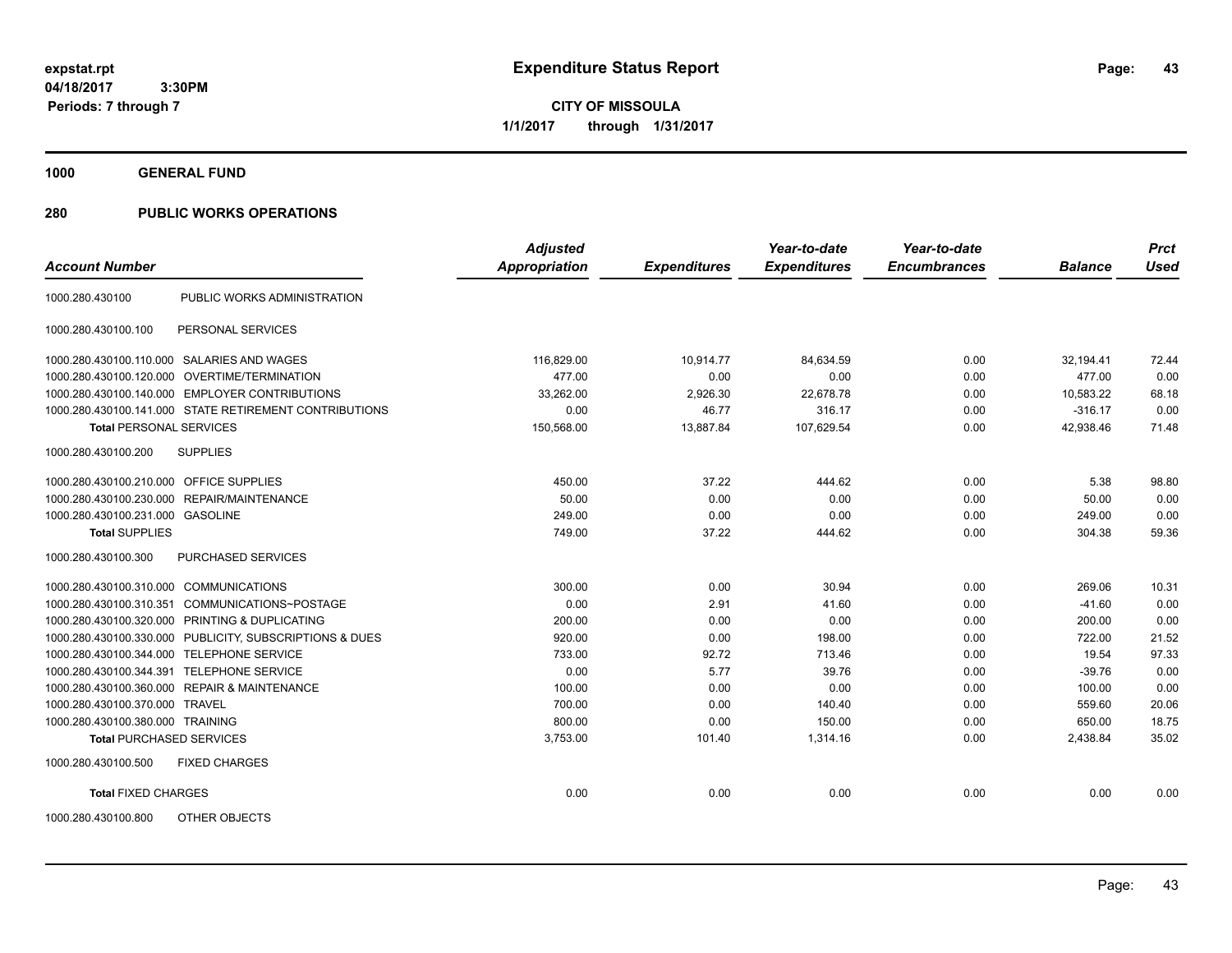**CITY OF MISSOULA 1/1/2017 through 1/31/2017**

**1000 GENERAL FUND**

| <b>Account Number</b>                   |                                                         | <b>Adjusted</b><br>Appropriation | <b>Expenditures</b> | Year-to-date<br><b>Expenditures</b> | Year-to-date<br><b>Encumbrances</b> | <b>Balance</b> | <b>Prct</b><br><b>Used</b> |
|-----------------------------------------|---------------------------------------------------------|----------------------------------|---------------------|-------------------------------------|-------------------------------------|----------------|----------------------------|
|                                         |                                                         |                                  |                     |                                     |                                     |                |                            |
| 1000.280.430100                         | PUBLIC WORKS ADMINISTRATION                             |                                  |                     |                                     |                                     |                |                            |
| 1000.280.430100.100                     | PERSONAL SERVICES                                       |                                  |                     |                                     |                                     |                |                            |
|                                         | 1000.280.430100.110.000 SALARIES AND WAGES              | 116,829.00                       | 10,914.77           | 84,634.59                           | 0.00                                | 32,194.41      | 72.44                      |
| 1000.280.430100.120.000                 | OVERTIME/TERMINATION                                    | 477.00                           | 0.00                | 0.00                                | 0.00                                | 477.00         | 0.00                       |
|                                         | 1000.280.430100.140.000 EMPLOYER CONTRIBUTIONS          | 33,262.00                        | 2.926.30            | 22,678.78                           | 0.00                                | 10.583.22      | 68.18                      |
|                                         | 1000.280.430100.141.000 STATE RETIREMENT CONTRIBUTIONS  | 0.00                             | 46.77               | 316.17                              | 0.00                                | $-316.17$      | 0.00                       |
| <b>Total PERSONAL SERVICES</b>          |                                                         | 150,568.00                       | 13,887.84           | 107,629.54                          | 0.00                                | 42,938.46      | 71.48                      |
| 1000.280.430100.200                     | <b>SUPPLIES</b>                                         |                                  |                     |                                     |                                     |                |                            |
| 1000.280.430100.210.000 OFFICE SUPPLIES |                                                         | 450.00                           | 37.22               | 444.62                              | 0.00                                | 5.38           | 98.80                      |
|                                         | 1000.280.430100.230.000 REPAIR/MAINTENANCE              | 50.00                            | 0.00                | 0.00                                | 0.00                                | 50.00          | 0.00                       |
| 1000.280.430100.231.000 GASOLINE        |                                                         | 249.00                           | 0.00                | 0.00                                | 0.00                                | 249.00         | 0.00                       |
| <b>Total SUPPLIES</b>                   |                                                         | 749.00                           | 37.22               | 444.62                              | 0.00                                | 304.38         | 59.36                      |
| 1000.280.430100.300                     | PURCHASED SERVICES                                      |                                  |                     |                                     |                                     |                |                            |
| 1000.280.430100.310.000                 | <b>COMMUNICATIONS</b>                                   | 300.00                           | 0.00                | 30.94                               | 0.00                                | 269.06         | 10.31                      |
| 1000.280.430100.310.351                 | COMMUNICATIONS~POSTAGE                                  | 0.00                             | 2.91                | 41.60                               | 0.00                                | $-41.60$       | 0.00                       |
| 1000.280.430100.320.000                 | PRINTING & DUPLICATING                                  | 200.00                           | 0.00                | 0.00                                | 0.00                                | 200.00         | 0.00                       |
|                                         | 1000.280.430100.330.000 PUBLICITY, SUBSCRIPTIONS & DUES | 920.00                           | 0.00                | 198.00                              | 0.00                                | 722.00         | 21.52                      |
| 1000.280.430100.344.000                 | <b>TELEPHONE SERVICE</b>                                | 733.00                           | 92.72               | 713.46                              | 0.00                                | 19.54          | 97.33                      |
| 1000.280.430100.344.391                 | <b>TELEPHONE SERVICE</b>                                | 0.00                             | 5.77                | 39.76                               | 0.00                                | $-39.76$       | 0.00                       |
|                                         | 1000.280.430100.360.000 REPAIR & MAINTENANCE            | 100.00                           | 0.00                | 0.00                                | 0.00                                | 100.00         | 0.00                       |
| 1000.280.430100.370.000 TRAVEL          |                                                         | 700.00                           | 0.00                | 140.40                              | 0.00                                | 559.60         | 20.06                      |
| 1000.280.430100.380.000 TRAINING        |                                                         | 800.00                           | 0.00                | 150.00                              | 0.00                                | 650.00         | 18.75                      |
| <b>Total PURCHASED SERVICES</b>         |                                                         | 3,753.00                         | 101.40              | 1,314.16                            | 0.00                                | 2,438.84       | 35.02                      |
| 1000.280.430100.500                     | <b>FIXED CHARGES</b>                                    |                                  |                     |                                     |                                     |                |                            |
| <b>Total FIXED CHARGES</b>              |                                                         | 0.00                             | 0.00                | 0.00                                | 0.00                                | 0.00           | 0.00                       |
| 1000.280.430100.800                     | OTHER OBJECTS                                           |                                  |                     |                                     |                                     |                |                            |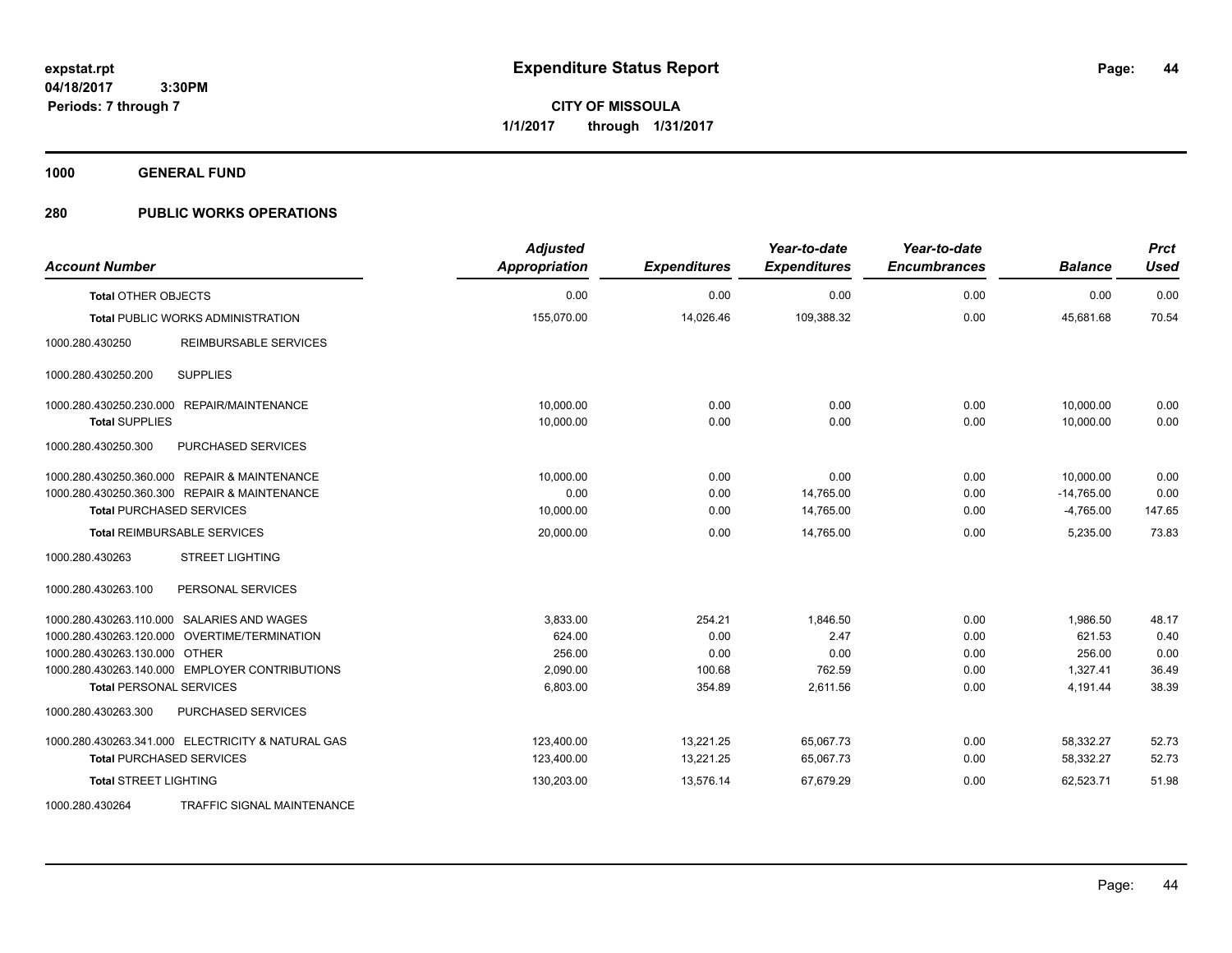**CITY OF MISSOULA 1/1/2017 through 1/31/2017**

**1000 GENERAL FUND**

| <b>Account Number</b>                             | <b>Adjusted</b><br>Appropriation | <b>Expenditures</b> | Year-to-date<br><b>Expenditures</b> | Year-to-date<br><b>Encumbrances</b> | <b>Balance</b> | <b>Prct</b><br><b>Used</b> |
|---------------------------------------------------|----------------------------------|---------------------|-------------------------------------|-------------------------------------|----------------|----------------------------|
| <b>Total OTHER OBJECTS</b>                        | 0.00                             | 0.00                | 0.00                                | 0.00                                | 0.00           | 0.00                       |
| Total PUBLIC WORKS ADMINISTRATION                 | 155,070.00                       | 14,026.46           | 109,388.32                          | 0.00                                | 45,681.68      | 70.54                      |
| 1000.280.430250<br>REIMBURSABLE SERVICES          |                                  |                     |                                     |                                     |                |                            |
| <b>SUPPLIES</b><br>1000.280.430250.200            |                                  |                     |                                     |                                     |                |                            |
| 1000.280.430250.230.000 REPAIR/MAINTENANCE        | 10.000.00                        | 0.00                | 0.00                                | 0.00                                | 10,000.00      | 0.00                       |
| <b>Total SUPPLIES</b>                             | 10,000.00                        | 0.00                | 0.00                                | 0.00                                | 10,000.00      | 0.00                       |
| PURCHASED SERVICES<br>1000.280.430250.300         |                                  |                     |                                     |                                     |                |                            |
| 1000.280.430250.360.000 REPAIR & MAINTENANCE      | 10,000.00                        | 0.00                | 0.00                                | 0.00                                | 10,000.00      | 0.00                       |
| 1000.280.430250.360.300 REPAIR & MAINTENANCE      | 0.00                             | 0.00                | 14,765.00                           | 0.00                                | $-14,765.00$   | 0.00                       |
| <b>Total PURCHASED SERVICES</b>                   | 10,000.00                        | 0.00                | 14,765.00                           | 0.00                                | $-4,765.00$    | 147.65                     |
| <b>Total REIMBURSABLE SERVICES</b>                | 20,000.00                        | 0.00                | 14,765.00                           | 0.00                                | 5,235.00       | 73.83                      |
| 1000.280.430263<br><b>STREET LIGHTING</b>         |                                  |                     |                                     |                                     |                |                            |
| 1000.280.430263.100<br>PERSONAL SERVICES          |                                  |                     |                                     |                                     |                |                            |
| 1000.280.430263.110.000 SALARIES AND WAGES        | 3.833.00                         | 254.21              | 1.846.50                            | 0.00                                | 1.986.50       | 48.17                      |
| 1000.280.430263.120.000 OVERTIME/TERMINATION      | 624.00                           | 0.00                | 2.47                                | 0.00                                | 621.53         | 0.40                       |
| 1000.280.430263.130.000 OTHER                     | 256.00                           | 0.00                | 0.00                                | 0.00                                | 256.00         | 0.00                       |
| 1000.280.430263.140.000 EMPLOYER CONTRIBUTIONS    | 2,090.00                         | 100.68              | 762.59                              | 0.00                                | 1,327.41       | 36.49                      |
| <b>Total PERSONAL SERVICES</b>                    | 6,803.00                         | 354.89              | 2,611.56                            | 0.00                                | 4,191.44       | 38.39                      |
| 1000.280.430263.300<br>PURCHASED SERVICES         |                                  |                     |                                     |                                     |                |                            |
| 1000.280.430263.341.000 ELECTRICITY & NATURAL GAS | 123,400.00                       | 13,221.25           | 65,067.73                           | 0.00                                | 58,332.27      | 52.73                      |
| <b>Total PURCHASED SERVICES</b>                   | 123,400.00                       | 13,221.25           | 65,067.73                           | 0.00                                | 58,332.27      | 52.73                      |
| <b>Total STREET LIGHTING</b>                      | 130,203.00                       | 13,576.14           | 67,679.29                           | 0.00                                | 62,523.71      | 51.98                      |
| 1000.280.430264<br>TRAFFIC SIGNAL MAINTENANCE     |                                  |                     |                                     |                                     |                |                            |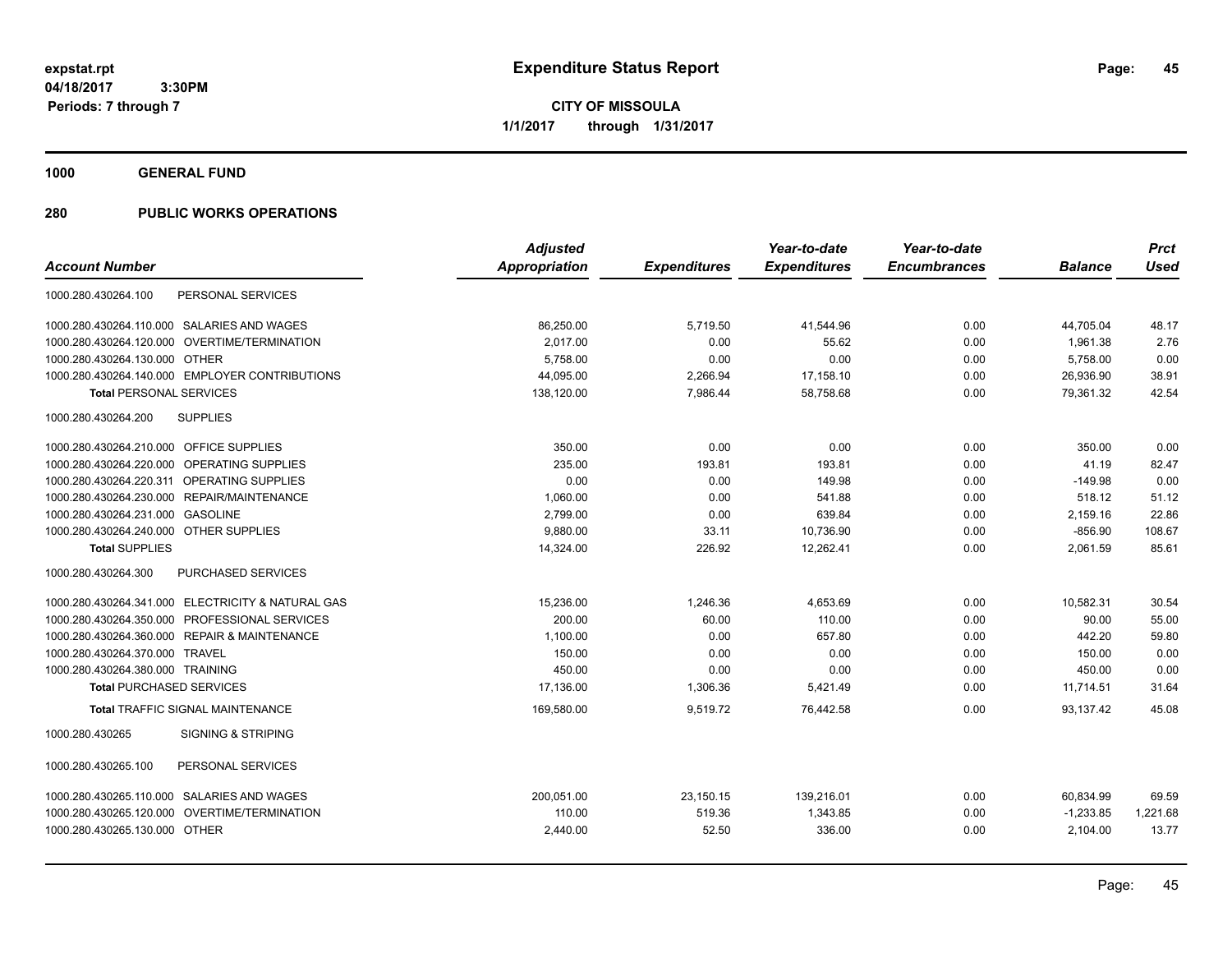**CITY OF MISSOULA 1/1/2017 through 1/31/2017**

**1000 GENERAL FUND**

|                                                   | <b>Adjusted</b> |                     | Year-to-date        | Year-to-date        |                | <b>Prct</b> |
|---------------------------------------------------|-----------------|---------------------|---------------------|---------------------|----------------|-------------|
| <b>Account Number</b>                             | Appropriation   | <b>Expenditures</b> | <b>Expenditures</b> | <b>Encumbrances</b> | <b>Balance</b> | <b>Used</b> |
| 1000.280.430264.100<br>PERSONAL SERVICES          |                 |                     |                     |                     |                |             |
| 1000.280.430264.110.000 SALARIES AND WAGES        | 86,250.00       | 5,719.50            | 41,544.96           | 0.00                | 44,705.04      | 48.17       |
| 1000.280.430264.120.000 OVERTIME/TERMINATION      | 2.017.00        | 0.00                | 55.62               | 0.00                | 1,961.38       | 2.76        |
| 1000.280.430264.130.000 OTHER                     | 5.758.00        | 0.00                | 0.00                | 0.00                | 5.758.00       | 0.00        |
| 1000.280.430264.140.000 EMPLOYER CONTRIBUTIONS    | 44,095.00       | 2,266.94            | 17,158.10           | 0.00                | 26,936.90      | 38.91       |
| <b>Total PERSONAL SERVICES</b>                    | 138,120.00      | 7,986.44            | 58,758.68           | 0.00                | 79,361.32      | 42.54       |
| 1000.280.430264.200<br><b>SUPPLIES</b>            |                 |                     |                     |                     |                |             |
| 1000.280.430264.210.000 OFFICE SUPPLIES           | 350.00          | 0.00                | 0.00                | 0.00                | 350.00         | 0.00        |
| 1000.280.430264.220.000 OPERATING SUPPLIES        | 235.00          | 193.81              | 193.81              | 0.00                | 41.19          | 82.47       |
| 1000.280.430264.220.311 OPERATING SUPPLIES        | 0.00            | 0.00                | 149.98              | 0.00                | $-149.98$      | 0.00        |
| 1000.280.430264.230.000<br>REPAIR/MAINTENANCE     | 1,060.00        | 0.00                | 541.88              | 0.00                | 518.12         | 51.12       |
| 1000.280.430264.231.000<br><b>GASOLINE</b>        | 2,799.00        | 0.00                | 639.84              | 0.00                | 2,159.16       | 22.86       |
| 1000.280.430264.240.000 OTHER SUPPLIES            | 9,880.00        | 33.11               | 10,736.90           | 0.00                | $-856.90$      | 108.67      |
| <b>Total SUPPLIES</b>                             | 14,324.00       | 226.92              | 12,262.41           | 0.00                | 2,061.59       | 85.61       |
| PURCHASED SERVICES<br>1000.280.430264.300         |                 |                     |                     |                     |                |             |
| 1000.280.430264.341.000 ELECTRICITY & NATURAL GAS | 15,236.00       | 1,246.36            | 4,653.69            | 0.00                | 10,582.31      | 30.54       |
| 1000.280.430264.350.000 PROFESSIONAL SERVICES     | 200.00          | 60.00               | 110.00              | 0.00                | 90.00          | 55.00       |
| 1000.280.430264.360.000 REPAIR & MAINTENANCE      | 1.100.00        | 0.00                | 657.80              | 0.00                | 442.20         | 59.80       |
| 1000.280.430264.370.000 TRAVEL                    | 150.00          | 0.00                | 0.00                | 0.00                | 150.00         | 0.00        |
| 1000.280.430264.380.000 TRAINING                  | 450.00          | 0.00                | 0.00                | 0.00                | 450.00         | 0.00        |
| <b>Total PURCHASED SERVICES</b>                   | 17,136.00       | 1,306.36            | 5,421.49            | 0.00                | 11,714.51      | 31.64       |
| <b>Total TRAFFIC SIGNAL MAINTENANCE</b>           | 169,580.00      | 9.519.72            | 76.442.58           | 0.00                | 93.137.42      | 45.08       |
| 1000.280.430265<br><b>SIGNING &amp; STRIPING</b>  |                 |                     |                     |                     |                |             |
| 1000.280.430265.100<br>PERSONAL SERVICES          |                 |                     |                     |                     |                |             |
| 1000.280.430265.110.000 SALARIES AND WAGES        | 200,051.00      | 23,150.15           | 139,216.01          | 0.00                | 60,834.99      | 69.59       |
| 1000.280.430265.120.000<br>OVERTIME/TERMINATION   | 110.00          | 519.36              | 1,343.85            | 0.00                | $-1,233.85$    | 1,221.68    |
| 1000.280.430265.130.000 OTHER                     | 2,440.00        | 52.50               | 336.00              | 0.00                | 2,104.00       | 13.77       |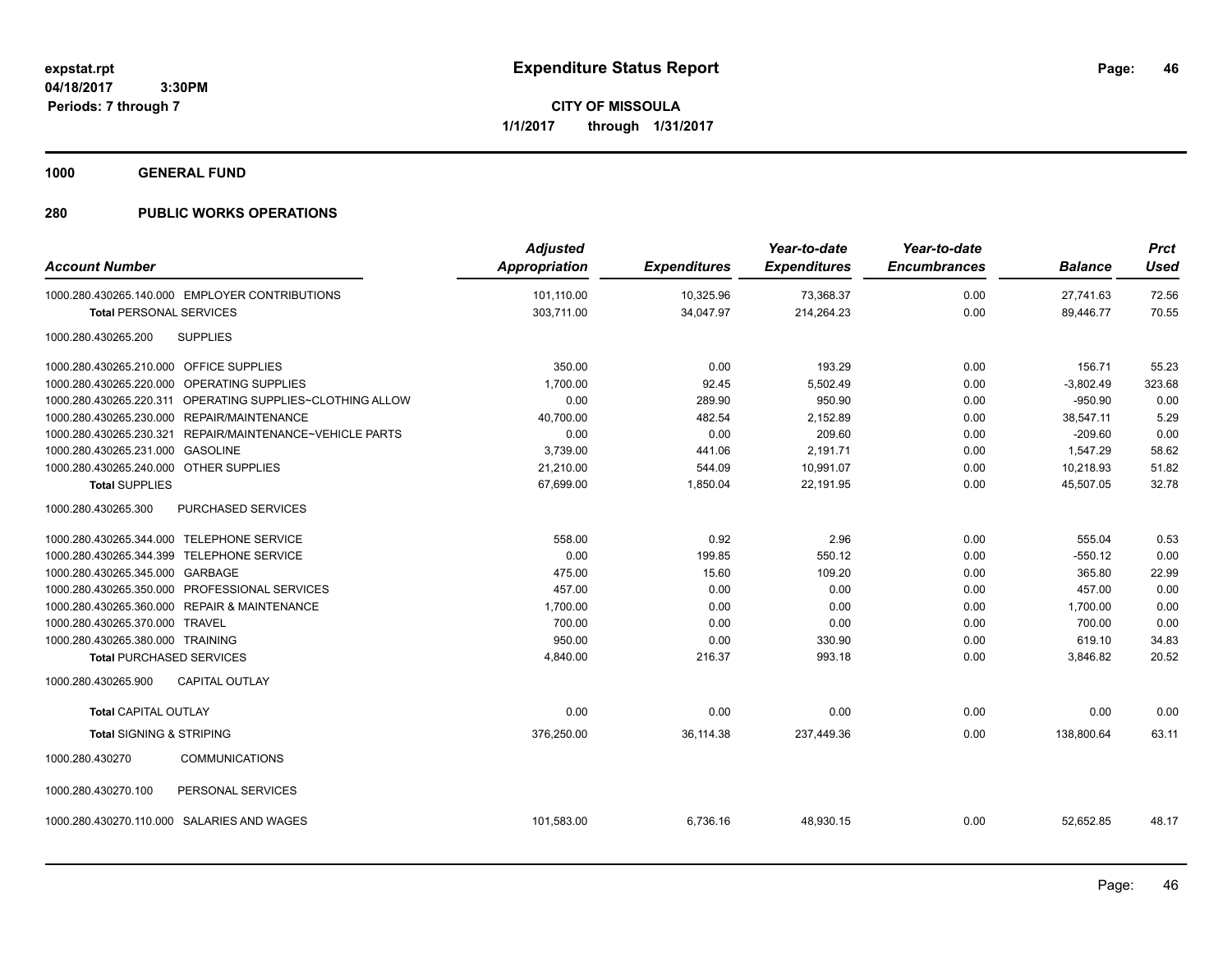**CITY OF MISSOULA 1/1/2017 through 1/31/2017**

**1000 GENERAL FUND**

| <b>Account Number</b>                     |                                                           | <b>Adjusted</b><br>Appropriation | <b>Expenditures</b> | Year-to-date<br><b>Expenditures</b> | Year-to-date<br><b>Encumbrances</b> | <b>Balance</b> | <b>Prct</b><br><b>Used</b> |
|-------------------------------------------|-----------------------------------------------------------|----------------------------------|---------------------|-------------------------------------|-------------------------------------|----------------|----------------------------|
|                                           | 1000.280.430265.140.000 EMPLOYER CONTRIBUTIONS            | 101,110.00                       | 10,325.96           | 73,368.37                           | 0.00                                | 27,741.63      | 72.56                      |
| <b>Total PERSONAL SERVICES</b>            |                                                           | 303,711.00                       | 34,047.97           | 214,264.23                          | 0.00                                | 89,446.77      | 70.55                      |
| 1000.280.430265.200                       | <b>SUPPLIES</b>                                           |                                  |                     |                                     |                                     |                |                            |
| 1000.280.430265.210.000 OFFICE SUPPLIES   |                                                           | 350.00                           | 0.00                | 193.29                              | 0.00                                | 156.71         | 55.23                      |
|                                           | 1000.280.430265.220.000 OPERATING SUPPLIES                | 1,700.00                         | 92.45               | 5,502.49                            | 0.00                                | $-3,802.49$    | 323.68                     |
|                                           | 1000.280.430265.220.311 OPERATING SUPPLIES~CLOTHING ALLOW | 0.00                             | 289.90              | 950.90                              | 0.00                                | $-950.90$      | 0.00                       |
|                                           | 1000.280.430265.230.000 REPAIR/MAINTENANCE                | 40,700.00                        | 482.54              | 2,152.89                            | 0.00                                | 38,547.11      | 5.29                       |
| 1000.280.430265.230.321                   | REPAIR/MAINTENANCE~VEHICLE PARTS                          | 0.00                             | 0.00                | 209.60                              | 0.00                                | $-209.60$      | 0.00                       |
| 1000.280.430265.231.000 GASOLINE          |                                                           | 3,739.00                         | 441.06              | 2,191.71                            | 0.00                                | 1,547.29       | 58.62                      |
| 1000.280.430265.240.000 OTHER SUPPLIES    |                                                           | 21,210.00                        | 544.09              | 10,991.07                           | 0.00                                | 10,218.93      | 51.82                      |
| <b>Total SUPPLIES</b>                     |                                                           | 67,699.00                        | 1,850.04            | 22,191.95                           | 0.00                                | 45,507.05      | 32.78                      |
| 1000.280.430265.300                       | <b>PURCHASED SERVICES</b>                                 |                                  |                     |                                     |                                     |                |                            |
| 1000.280.430265.344.000 TELEPHONE SERVICE |                                                           | 558.00                           | 0.92                | 2.96                                | 0.00                                | 555.04         | 0.53                       |
| 1000.280.430265.344.399 TELEPHONE SERVICE |                                                           | 0.00                             | 199.85              | 550.12                              | 0.00                                | $-550.12$      | 0.00                       |
| 1000.280.430265.345.000 GARBAGE           |                                                           | 475.00                           | 15.60               | 109.20                              | 0.00                                | 365.80         | 22.99                      |
|                                           | 1000.280.430265.350.000 PROFESSIONAL SERVICES             | 457.00                           | 0.00                | 0.00                                | 0.00                                | 457.00         | 0.00                       |
|                                           | 1000.280.430265.360.000 REPAIR & MAINTENANCE              | 1,700.00                         | 0.00                | 0.00                                | 0.00                                | 1,700.00       | 0.00                       |
| 1000.280.430265.370.000                   | <b>TRAVEL</b>                                             | 700.00                           | 0.00                | 0.00                                | 0.00                                | 700.00         | 0.00                       |
| 1000.280.430265.380.000 TRAINING          |                                                           | 950.00                           | 0.00                | 330.90                              | 0.00                                | 619.10         | 34.83                      |
| <b>Total PURCHASED SERVICES</b>           |                                                           | 4,840.00                         | 216.37              | 993.18                              | 0.00                                | 3,846.82       | 20.52                      |
| 1000.280.430265.900                       | <b>CAPITAL OUTLAY</b>                                     |                                  |                     |                                     |                                     |                |                            |
| <b>Total CAPITAL OUTLAY</b>               |                                                           | 0.00                             | 0.00                | 0.00                                | 0.00                                | 0.00           | 0.00                       |
| <b>Total SIGNING &amp; STRIPING</b>       |                                                           | 376,250.00                       | 36,114.38           | 237,449.36                          | 0.00                                | 138,800.64     | 63.11                      |
| 1000.280.430270                           | <b>COMMUNICATIONS</b>                                     |                                  |                     |                                     |                                     |                |                            |
| 1000.280.430270.100                       | PERSONAL SERVICES                                         |                                  |                     |                                     |                                     |                |                            |
|                                           | 1000.280.430270.110.000 SALARIES AND WAGES                | 101,583.00                       | 6,736.16            | 48,930.15                           | 0.00                                | 52,652.85      | 48.17                      |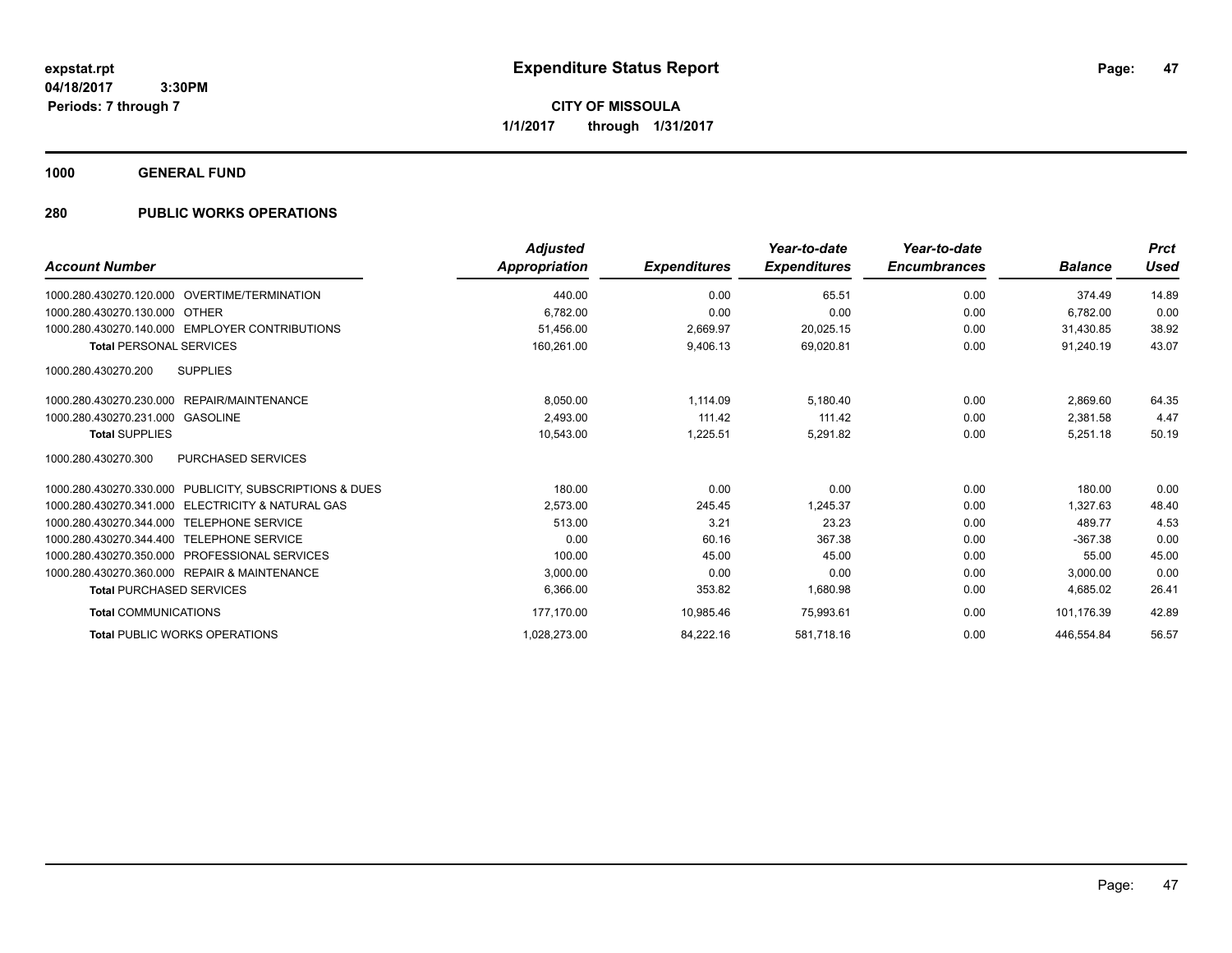**Periods: 7 through 7**

**47**

**CITY OF MISSOULA 1/1/2017 through 1/31/2017**

**1000 GENERAL FUND**

### **280 PUBLIC WORKS OPERATIONS**

 **3:30PM**

| <b>Account Number</b>                                      | <b>Adjusted</b><br>Appropriation | <b>Expenditures</b> | Year-to-date<br><b>Expenditures</b> | Year-to-date<br><b>Encumbrances</b> | <b>Balance</b> | <b>Prct</b><br><b>Used</b> |
|------------------------------------------------------------|----------------------------------|---------------------|-------------------------------------|-------------------------------------|----------------|----------------------------|
| 1000.280.430270.120.000 OVERTIME/TERMINATION               | 440.00                           | 0.00                | 65.51                               | 0.00                                | 374.49         | 14.89                      |
| 1000.280.430270.130.000 OTHER                              | 6.782.00                         | 0.00                | 0.00                                | 0.00                                | 6.782.00       | 0.00                       |
| 1000.280.430270.140.000 EMPLOYER CONTRIBUTIONS             | 51.456.00                        | 2.669.97            | 20.025.15                           | 0.00                                | 31.430.85      | 38.92                      |
| <b>Total PERSONAL SERVICES</b>                             | 160,261.00                       | 9,406.13            | 69,020.81                           | 0.00                                | 91.240.19      | 43.07                      |
| 1000.280.430270.200<br><b>SUPPLIES</b>                     |                                  |                     |                                     |                                     |                |                            |
| 1000.280.430270.230.000 REPAIR/MAINTENANCE                 | 8,050.00                         | 1,114.09            | 5,180.40                            | 0.00                                | 2,869.60       | 64.35                      |
| 1000.280.430270.231.000<br><b>GASOLINE</b>                 | 2.493.00                         | 111.42              | 111.42                              | 0.00                                | 2,381.58       | 4.47                       |
| <b>Total SUPPLIES</b>                                      | 10,543.00                        | 1,225.51            | 5,291.82                            | 0.00                                | 5,251.18       | 50.19                      |
| <b>PURCHASED SERVICES</b><br>1000.280.430270.300           |                                  |                     |                                     |                                     |                |                            |
| PUBLICITY, SUBSCRIPTIONS & DUES<br>1000.280.430270.330.000 | 180.00                           | 0.00                | 0.00                                | 0.00                                | 180.00         | 0.00                       |
| 1000.280.430270.341.000 ELECTRICITY & NATURAL GAS          | 2,573.00                         | 245.45              | 1.245.37                            | 0.00                                | 1.327.63       | 48.40                      |
| 1000.280.430270.344.000<br><b>TELEPHONE SERVICE</b>        | 513.00                           | 3.21                | 23.23                               | 0.00                                | 489.77         | 4.53                       |
| 1000.280.430270.344.400<br><b>TELEPHONE SERVICE</b>        | 0.00                             | 60.16               | 367.38                              | 0.00                                | $-367.38$      | 0.00                       |
| 1000.280.430270.350.000<br>PROFESSIONAL SERVICES           | 100.00                           | 45.00               | 45.00                               | 0.00                                | 55.00          | 45.00                      |
| 1000.280.430270.360.000 REPAIR & MAINTENANCE               | 3,000.00                         | 0.00                | 0.00                                | 0.00                                | 3,000.00       | 0.00                       |
| <b>Total PURCHASED SERVICES</b>                            | 6.366.00                         | 353.82              | 1,680.98                            | 0.00                                | 4,685.02       | 26.41                      |
| <b>Total COMMUNICATIONS</b>                                | 177,170.00                       | 10,985.46           | 75,993.61                           | 0.00                                | 101,176.39     | 42.89                      |
| <b>Total PUBLIC WORKS OPERATIONS</b>                       | 1,028,273.00                     | 84,222.16           | 581,718.16                          | 0.00                                | 446.554.84     | 56.57                      |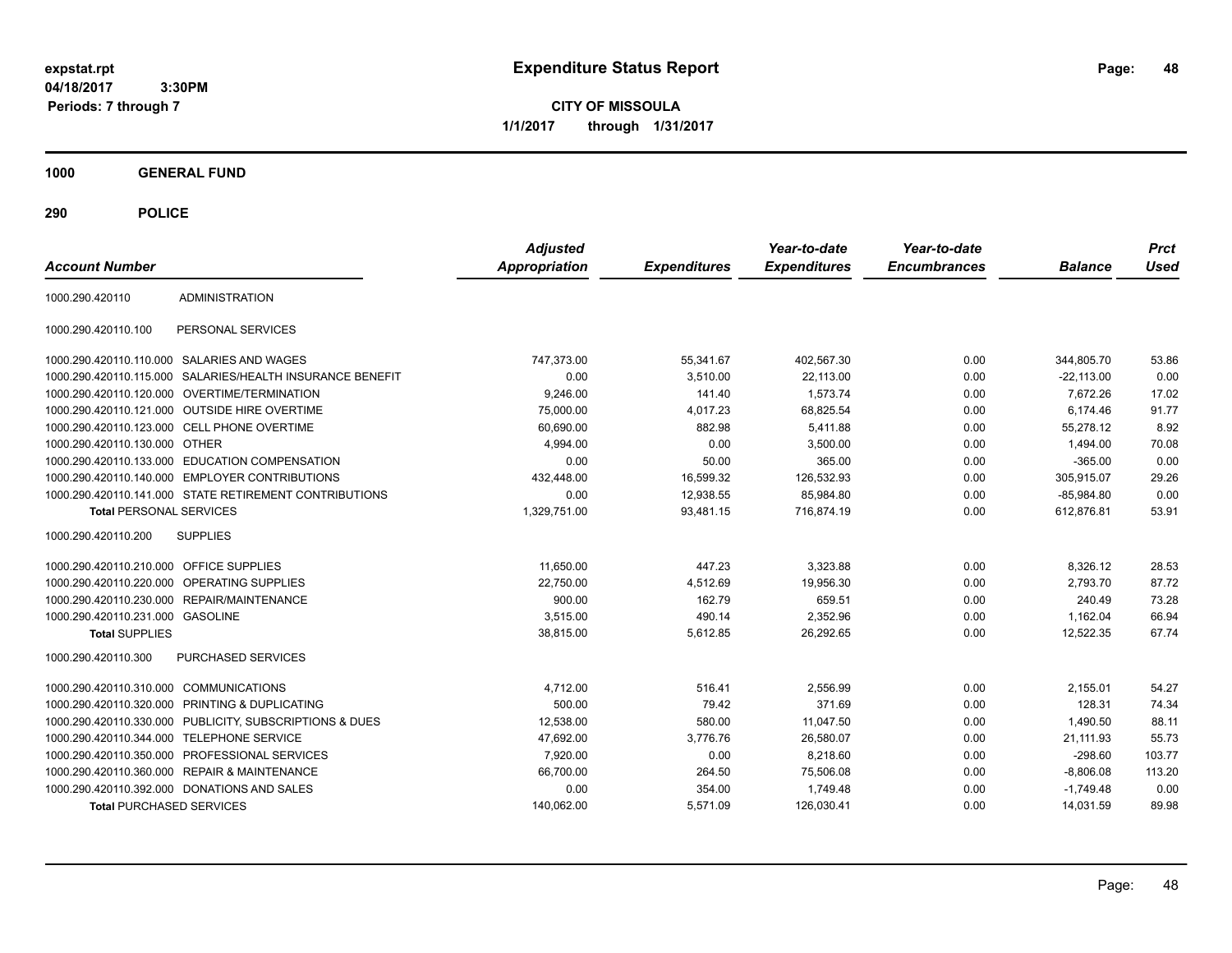**CITY OF MISSOULA 1/1/2017 through 1/31/2017**

**1000 GENERAL FUND**

| <b>Account Number</b>                   |                                                         | <b>Adjusted</b><br>Appropriation | <b>Expenditures</b> | Year-to-date<br><b>Expenditures</b> | Year-to-date<br><b>Encumbrances</b> | <b>Balance</b> | <b>Prct</b><br><b>Used</b> |
|-----------------------------------------|---------------------------------------------------------|----------------------------------|---------------------|-------------------------------------|-------------------------------------|----------------|----------------------------|
| 1000.290.420110                         | <b>ADMINISTRATION</b>                                   |                                  |                     |                                     |                                     |                |                            |
| 1000.290.420110.100                     | PERSONAL SERVICES                                       |                                  |                     |                                     |                                     |                |                            |
|                                         | 1000.290.420110.110.000 SALARIES AND WAGES              | 747,373.00                       | 55,341.67           | 402,567.30                          | 0.00                                | 344,805.70     | 53.86                      |
| 1000.290.420110.115.000                 | SALARIES/HEALTH INSURANCE BENEFIT                       | 0.00                             | 3,510.00            | 22,113.00                           | 0.00                                | $-22,113.00$   | 0.00                       |
|                                         | 1000.290.420110.120.000 OVERTIME/TERMINATION            | 9,246.00                         | 141.40              | 1.573.74                            | 0.00                                | 7.672.26       | 17.02                      |
|                                         | 1000.290.420110.121.000 OUTSIDE HIRE OVERTIME           | 75,000.00                        | 4,017.23            | 68,825.54                           | 0.00                                | 6.174.46       | 91.77                      |
| 1000.290.420110.123.000                 | <b>CELL PHONE OVERTIME</b>                              | 60,690.00                        | 882.98              | 5.411.88                            | 0.00                                | 55,278.12      | 8.92                       |
| 1000.290.420110.130.000 OTHER           |                                                         | 4,994.00                         | 0.00                | 3,500.00                            | 0.00                                | 1,494.00       | 70.08                      |
|                                         | 1000.290.420110.133.000 EDUCATION COMPENSATION          | 0.00                             | 50.00               | 365.00                              | 0.00                                | $-365.00$      | 0.00                       |
|                                         | 1000.290.420110.140.000 EMPLOYER CONTRIBUTIONS          | 432,448.00                       | 16,599.32           | 126,532.93                          | 0.00                                | 305,915.07     | 29.26                      |
|                                         | 1000.290.420110.141.000 STATE RETIREMENT CONTRIBUTIONS  | 0.00                             | 12.938.55           | 85.984.80                           | 0.00                                | $-85,984.80$   | 0.00                       |
| <b>Total PERSONAL SERVICES</b>          |                                                         | 1,329,751.00                     | 93,481.15           | 716,874.19                          | 0.00                                | 612,876.81     | 53.91                      |
| 1000.290.420110.200                     | <b>SUPPLIES</b>                                         |                                  |                     |                                     |                                     |                |                            |
| 1000.290.420110.210.000 OFFICE SUPPLIES |                                                         | 11.650.00                        | 447.23              | 3,323.88                            | 0.00                                | 8,326.12       | 28.53                      |
| 1000.290.420110.220.000                 | OPERATING SUPPLIES                                      | 22,750.00                        | 4,512.69            | 19,956.30                           | 0.00                                | 2,793.70       | 87.72                      |
| 1000.290.420110.230.000                 | REPAIR/MAINTENANCE                                      | 900.00                           | 162.79              | 659.51                              | 0.00                                | 240.49         | 73.28                      |
| 1000.290.420110.231.000 GASOLINE        |                                                         | 3,515.00                         | 490.14              | 2,352.96                            | 0.00                                | 1,162.04       | 66.94                      |
| <b>Total SUPPLIES</b>                   |                                                         | 38,815.00                        | 5,612.85            | 26,292.65                           | 0.00                                | 12,522.35      | 67.74                      |
| 1000.290.420110.300                     | PURCHASED SERVICES                                      |                                  |                     |                                     |                                     |                |                            |
| 1000.290.420110.310.000                 | <b>COMMUNICATIONS</b>                                   | 4,712.00                         | 516.41              | 2,556.99                            | 0.00                                | 2,155.01       | 54.27                      |
| 1000.290.420110.320.000                 | PRINTING & DUPLICATING                                  | 500.00                           | 79.42               | 371.69                              | 0.00                                | 128.31         | 74.34                      |
|                                         | 1000.290.420110.330.000 PUBLICITY, SUBSCRIPTIONS & DUES | 12,538.00                        | 580.00              | 11,047.50                           | 0.00                                | 1,490.50       | 88.11                      |
| 1000.290.420110.344.000                 | <b>TELEPHONE SERVICE</b>                                | 47,692.00                        | 3,776.76            | 26,580.07                           | 0.00                                | 21,111.93      | 55.73                      |
| 1000.290.420110.350.000                 | PROFESSIONAL SERVICES                                   | 7,920.00                         | 0.00                | 8,218.60                            | 0.00                                | $-298.60$      | 103.77                     |
|                                         | 1000.290.420110.360.000 REPAIR & MAINTENANCE            | 66,700.00                        | 264.50              | 75,506.08                           | 0.00                                | $-8,806.08$    | 113.20                     |
|                                         | 1000.290.420110.392.000 DONATIONS AND SALES             | 0.00                             | 354.00              | 1,749.48                            | 0.00                                | $-1.749.48$    | 0.00                       |
| <b>Total PURCHASED SERVICES</b>         |                                                         | 140,062.00                       | 5,571.09            | 126,030.41                          | 0.00                                | 14,031.59      | 89.98                      |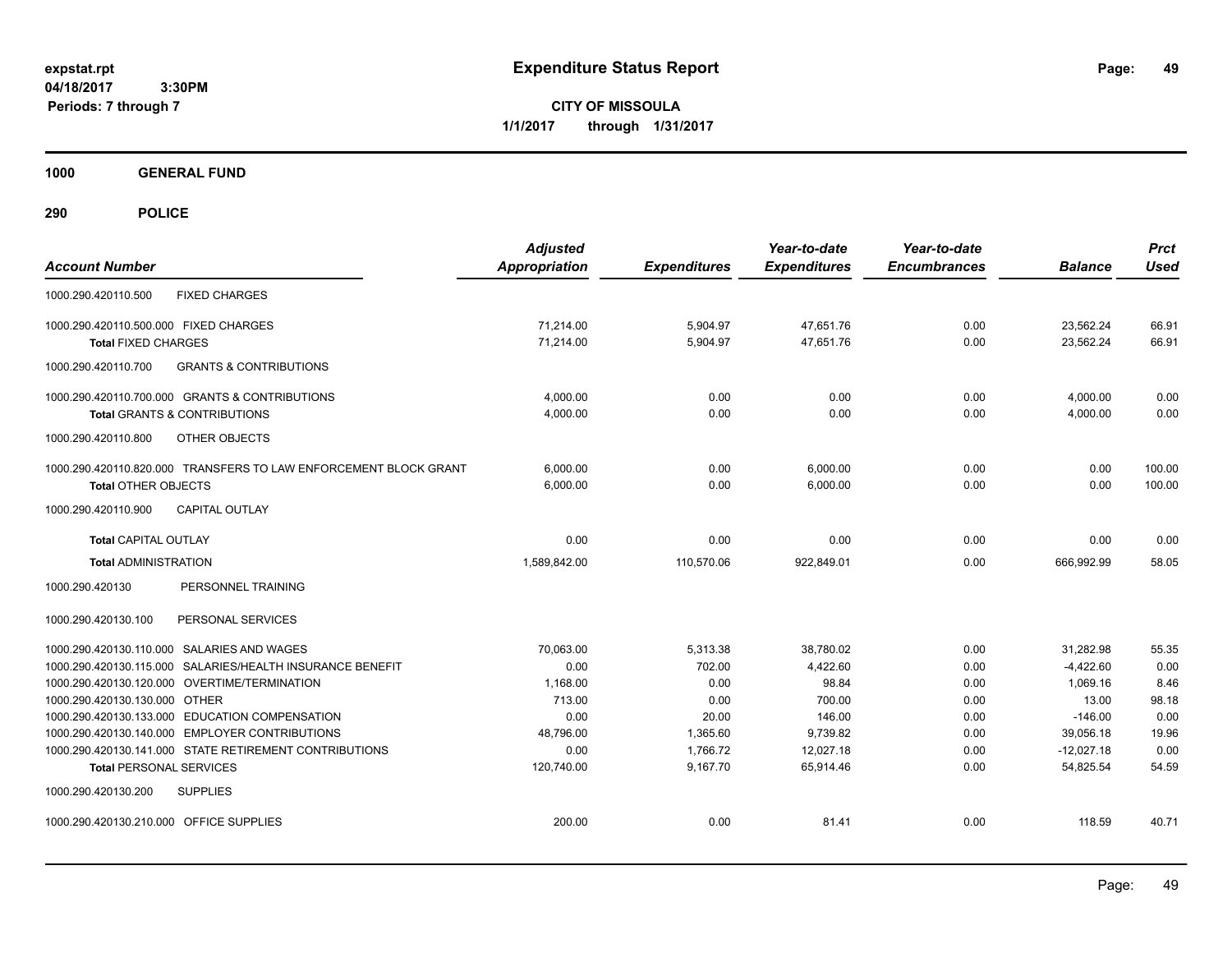**CITY OF MISSOULA 1/1/2017 through 1/31/2017**

**1000 GENERAL FUND**

| <b>Account Number</b>                                                                            | <b>Adjusted</b><br><b>Appropriation</b> | <b>Expenditures</b> | Year-to-date<br><b>Expenditures</b> | Year-to-date<br><b>Encumbrances</b> | <b>Balance</b>         | <b>Prct</b><br><b>Used</b> |
|--------------------------------------------------------------------------------------------------|-----------------------------------------|---------------------|-------------------------------------|-------------------------------------|------------------------|----------------------------|
| <b>FIXED CHARGES</b><br>1000.290.420110.500                                                      |                                         |                     |                                     |                                     |                        |                            |
| 1000.290.420110.500.000 FIXED CHARGES                                                            | 71.214.00                               | 5,904.97            | 47,651.76                           | 0.00                                | 23,562.24              | 66.91                      |
| <b>Total FIXED CHARGES</b>                                                                       | 71,214.00                               | 5,904.97            | 47,651.76                           | 0.00                                | 23,562.24              | 66.91                      |
| <b>GRANTS &amp; CONTRIBUTIONS</b><br>1000.290.420110.700                                         |                                         |                     |                                     |                                     |                        |                            |
| 1000.290.420110.700.000 GRANTS & CONTRIBUTIONS                                                   | 4,000.00                                | 0.00                | 0.00                                | 0.00                                | 4,000.00               | 0.00                       |
| <b>Total GRANTS &amp; CONTRIBUTIONS</b>                                                          | 4,000.00                                | 0.00                | 0.00                                | 0.00                                | 4,000.00               | 0.00                       |
| 1000.290.420110.800<br><b>OTHER OBJECTS</b>                                                      |                                         |                     |                                     |                                     |                        |                            |
| 1000.290.420110.820.000 TRANSFERS TO LAW ENFORCEMENT BLOCK GRANT                                 | 6,000.00                                | 0.00                | 6,000.00                            | 0.00                                | 0.00                   | 100.00                     |
| <b>Total OTHER OBJECTS</b>                                                                       | 6,000.00                                | 0.00                | 6,000.00                            | 0.00                                | 0.00                   | 100.00                     |
| <b>CAPITAL OUTLAY</b><br>1000.290.420110.900                                                     |                                         |                     |                                     |                                     |                        |                            |
| <b>Total CAPITAL OUTLAY</b>                                                                      | 0.00                                    | 0.00                | 0.00                                | 0.00                                | 0.00                   | 0.00                       |
| <b>Total ADMINISTRATION</b>                                                                      | 1.589.842.00                            | 110.570.06          | 922.849.01                          | 0.00                                | 666.992.99             | 58.05                      |
| 1000.290.420130<br>PERSONNEL TRAINING                                                            |                                         |                     |                                     |                                     |                        |                            |
| 1000.290.420130.100<br>PERSONAL SERVICES                                                         |                                         |                     |                                     |                                     |                        |                            |
| 1000.290.420130.110.000 SALARIES AND WAGES                                                       | 70.063.00                               | 5,313.38            | 38,780.02                           | 0.00                                | 31.282.98              | 55.35                      |
| 1000.290.420130.115.000 SALARIES/HEALTH INSURANCE BENEFIT                                        | 0.00                                    | 702.00              | 4,422.60                            | 0.00                                | $-4,422.60$            | 0.00                       |
| 1000.290.420130.120.000 OVERTIME/TERMINATION                                                     | 1,168.00                                | 0.00                | 98.84                               | 0.00                                | 1,069.16               | 8.46                       |
| 1000.290.420130.130.000 OTHER                                                                    | 713.00                                  | 0.00                | 700.00                              | 0.00                                | 13.00                  | 98.18                      |
| 1000.290.420130.133.000 EDUCATION COMPENSATION<br>1000.290.420130.140.000 EMPLOYER CONTRIBUTIONS | 0.00<br>48,796.00                       | 20.00<br>1.365.60   | 146.00<br>9,739.82                  | 0.00<br>0.00                        | $-146.00$<br>39,056.18 | 0.00<br>19.96              |
| 1000.290.420130.141.000 STATE RETIREMENT CONTRIBUTIONS                                           | 0.00                                    | 1,766.72            | 12,027.18                           | 0.00                                | $-12,027.18$           | 0.00                       |
| <b>Total PERSONAL SERVICES</b>                                                                   | 120,740.00                              | 9,167.70            | 65,914.46                           | 0.00                                | 54,825.54              | 54.59                      |
| 1000.290.420130.200<br><b>SUPPLIES</b>                                                           |                                         |                     |                                     |                                     |                        |                            |
| 1000.290.420130.210.000 OFFICE SUPPLIES                                                          | 200.00                                  | 0.00                | 81.41                               | 0.00                                | 118.59                 | 40.71                      |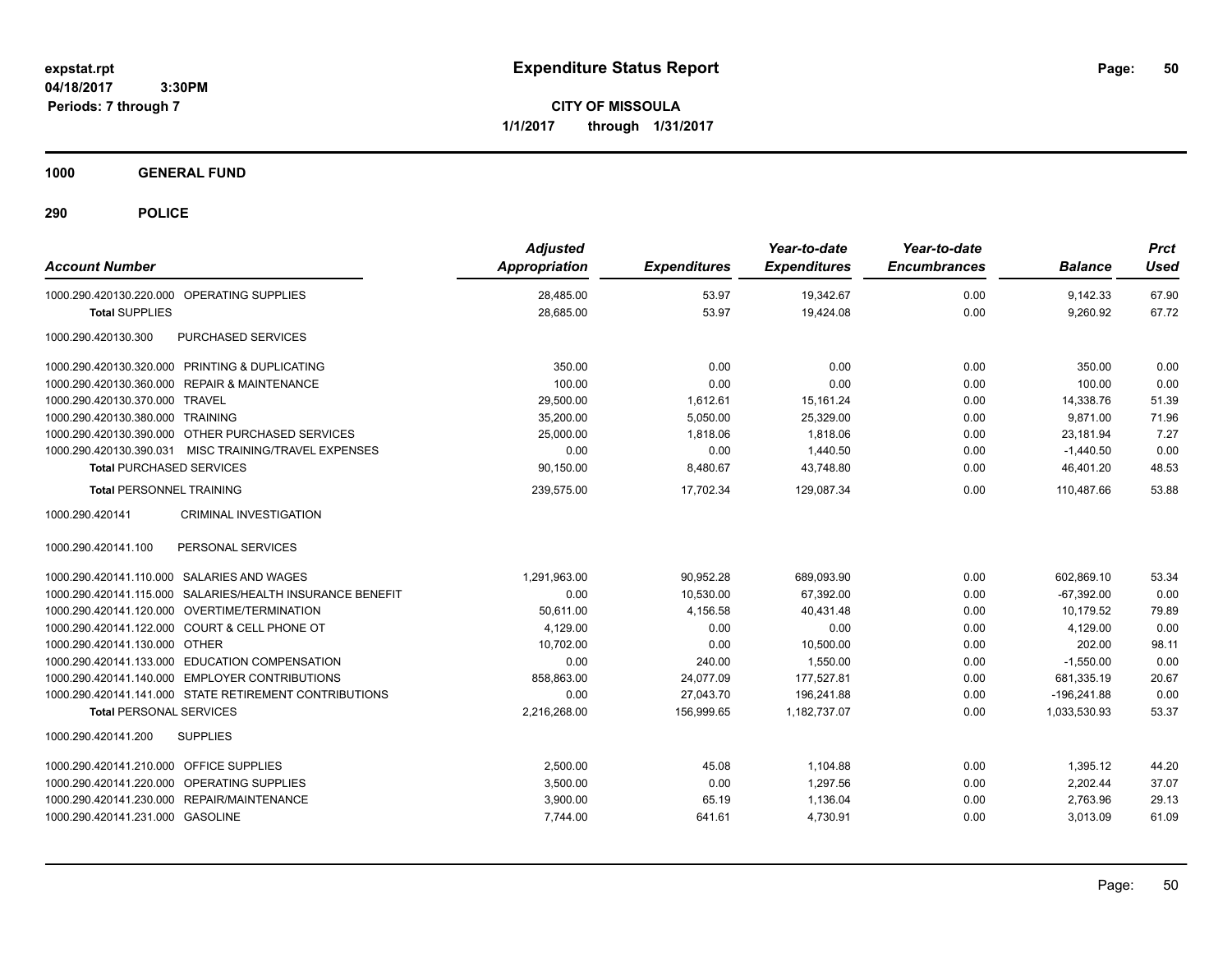**CITY OF MISSOULA 1/1/2017 through 1/31/2017**

**1000 GENERAL FUND**

| <b>Account Number</b>                                     | <b>Adjusted</b><br><b>Appropriation</b> | <b>Expenditures</b> | Year-to-date<br><b>Expenditures</b> | Year-to-date<br><b>Encumbrances</b> | <b>Balance</b> | <b>Prct</b><br><b>Used</b> |
|-----------------------------------------------------------|-----------------------------------------|---------------------|-------------------------------------|-------------------------------------|----------------|----------------------------|
| 1000.290.420130.220.000 OPERATING SUPPLIES                | 28,485.00                               | 53.97               | 19,342.67                           | 0.00                                | 9,142.33       | 67.90                      |
| <b>Total SUPPLIES</b>                                     | 28,685.00                               | 53.97               | 19,424.08                           | 0.00                                | 9,260.92       | 67.72                      |
| 1000.290.420130.300<br><b>PURCHASED SERVICES</b>          |                                         |                     |                                     |                                     |                |                            |
| 1000.290.420130.320.000 PRINTING & DUPLICATING            | 350.00                                  | 0.00                | 0.00                                | 0.00                                | 350.00         | 0.00                       |
| 1000.290.420130.360.000 REPAIR & MAINTENANCE              | 100.00                                  | 0.00                | 0.00                                | 0.00                                | 100.00         | 0.00                       |
| 1000.290.420130.370.000 TRAVEL                            | 29,500.00                               | 1,612.61            | 15, 161.24                          | 0.00                                | 14,338.76      | 51.39                      |
| 1000.290.420130.380.000 TRAINING                          | 35,200.00                               | 5,050.00            | 25,329.00                           | 0.00                                | 9,871.00       | 71.96                      |
| 1000.290.420130.390.000 OTHER PURCHASED SERVICES          | 25,000.00                               | 1,818.06            | 1,818.06                            | 0.00                                | 23,181.94      | 7.27                       |
| 1000.290.420130.390.031 MISC TRAINING/TRAVEL EXPENSES     | 0.00                                    | 0.00                | 1,440.50                            | 0.00                                | $-1,440.50$    | 0.00                       |
| <b>Total PURCHASED SERVICES</b>                           | 90,150.00                               | 8,480.67            | 43,748.80                           | 0.00                                | 46,401.20      | 48.53                      |
| <b>Total PERSONNEL TRAINING</b>                           | 239,575.00                              | 17,702.34           | 129,087.34                          | 0.00                                | 110,487.66     | 53.88                      |
| 1000.290.420141<br><b>CRIMINAL INVESTIGATION</b>          |                                         |                     |                                     |                                     |                |                            |
| PERSONAL SERVICES<br>1000.290.420141.100                  |                                         |                     |                                     |                                     |                |                            |
| 1000.290.420141.110.000 SALARIES AND WAGES                | 1,291,963.00                            | 90,952.28           | 689,093.90                          | 0.00                                | 602,869.10     | 53.34                      |
| 1000.290.420141.115.000 SALARIES/HEALTH INSURANCE BENEFIT | 0.00                                    | 10,530.00           | 67,392.00                           | 0.00                                | $-67,392.00$   | 0.00                       |
| 1000.290.420141.120.000 OVERTIME/TERMINATION              | 50.611.00                               | 4,156.58            | 40.431.48                           | 0.00                                | 10.179.52      | 79.89                      |
| 1000.290.420141.122.000 COURT & CELL PHONE OT             | 4,129.00                                | 0.00                | 0.00                                | 0.00                                | 4,129.00       | 0.00                       |
| 1000.290.420141.130.000 OTHER                             | 10,702.00                               | 0.00                | 10,500.00                           | 0.00                                | 202.00         | 98.11                      |
| 1000.290.420141.133.000 EDUCATION COMPENSATION            | 0.00                                    | 240.00              | 1,550.00                            | 0.00                                | $-1,550.00$    | 0.00                       |
| 1000.290.420141.140.000 EMPLOYER CONTRIBUTIONS            | 858.863.00                              | 24.077.09           | 177,527.81                          | 0.00                                | 681,335.19     | 20.67                      |
| 1000.290.420141.141.000 STATE RETIREMENT CONTRIBUTIONS    | 0.00                                    | 27,043.70           | 196,241.88                          | 0.00                                | $-196,241.88$  | 0.00                       |
| <b>Total PERSONAL SERVICES</b>                            | 2,216,268.00                            | 156,999.65          | 1,182,737.07                        | 0.00                                | 1,033,530.93   | 53.37                      |
| <b>SUPPLIES</b><br>1000.290.420141.200                    |                                         |                     |                                     |                                     |                |                            |
| 1000.290.420141.210.000 OFFICE SUPPLIES                   | 2,500.00                                | 45.08               | 1,104.88                            | 0.00                                | 1,395.12       | 44.20                      |
| 1000.290.420141.220.000 OPERATING SUPPLIES                | 3,500.00                                | 0.00                | 1,297.56                            | 0.00                                | 2,202.44       | 37.07                      |
| 1000.290.420141.230.000 REPAIR/MAINTENANCE                | 3,900.00                                | 65.19               | 1,136.04                            | 0.00                                | 2,763.96       | 29.13                      |
| 1000.290.420141.231.000 GASOLINE                          | 7,744.00                                | 641.61              | 4,730.91                            | 0.00                                | 3,013.09       | 61.09                      |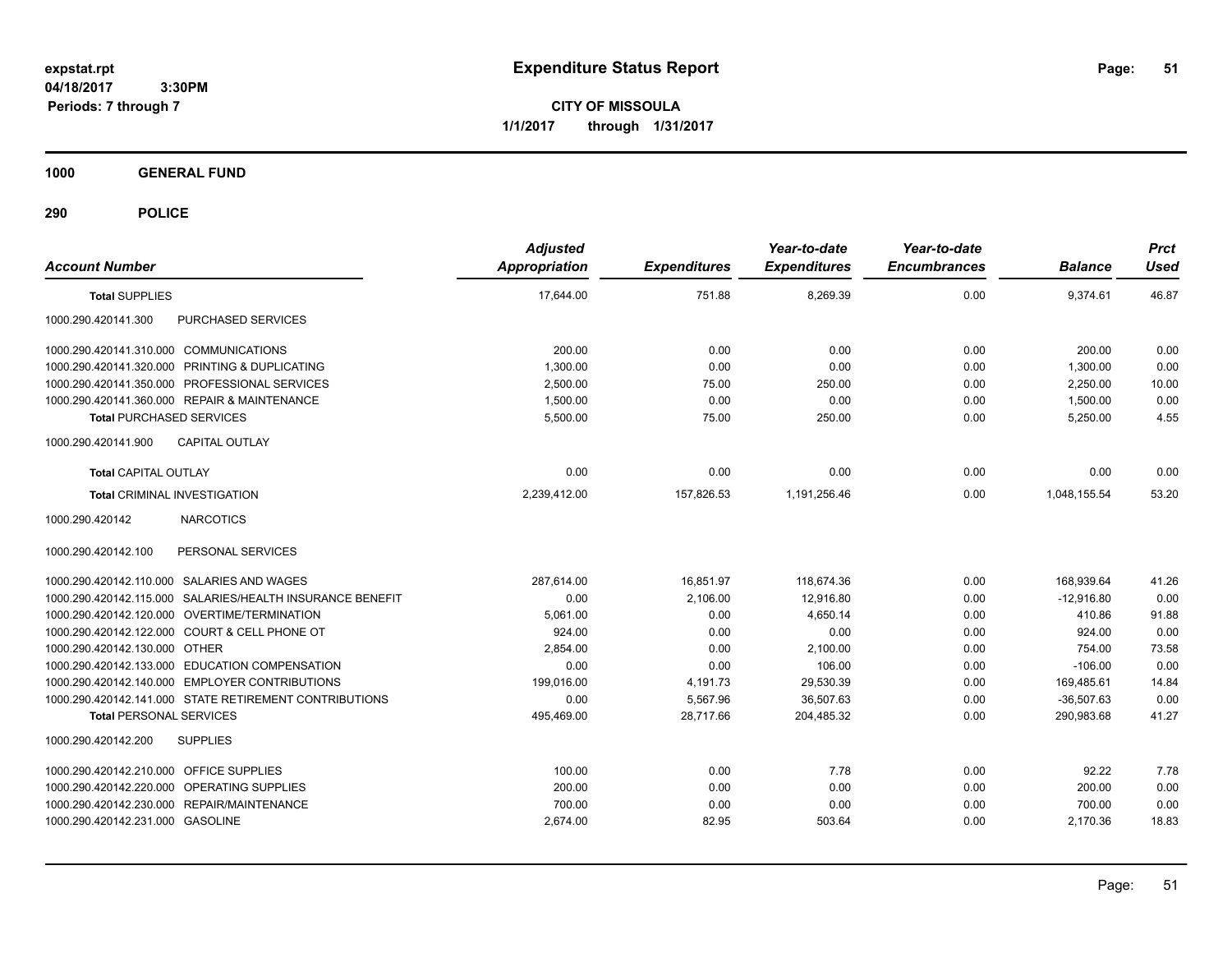**CITY OF MISSOULA 1/1/2017 through 1/31/2017**

**1000 GENERAL FUND**

| <b>Account Number</b>                                     | <b>Adjusted</b><br><b>Appropriation</b> | <b>Expenditures</b> | Year-to-date<br><b>Expenditures</b> | Year-to-date<br><b>Encumbrances</b> | <b>Balance</b> | <b>Prct</b><br><b>Used</b> |
|-----------------------------------------------------------|-----------------------------------------|---------------------|-------------------------------------|-------------------------------------|----------------|----------------------------|
| <b>Total SUPPLIES</b>                                     | 17,644.00                               | 751.88              | 8,269.39                            | 0.00                                | 9,374.61       | 46.87                      |
| 1000.290.420141.300<br>PURCHASED SERVICES                 |                                         |                     |                                     |                                     |                |                            |
| 1000.290.420141.310.000 COMMUNICATIONS                    | 200.00                                  | 0.00                | 0.00                                | 0.00                                | 200.00         | 0.00                       |
| 1000.290.420141.320.000 PRINTING & DUPLICATING            | 1,300.00                                | 0.00                | 0.00                                | 0.00                                | 1,300.00       | 0.00                       |
| 1000.290.420141.350.000 PROFESSIONAL SERVICES             | 2,500.00                                | 75.00               | 250.00                              | 0.00                                | 2,250.00       | 10.00                      |
| 1000.290.420141.360.000 REPAIR & MAINTENANCE              | 1,500.00                                | 0.00                | 0.00                                | 0.00                                | 1,500.00       | 0.00                       |
| <b>Total PURCHASED SERVICES</b>                           | 5,500.00                                | 75.00               | 250.00                              | 0.00                                | 5,250.00       | 4.55                       |
| 1000.290.420141.900<br><b>CAPITAL OUTLAY</b>              |                                         |                     |                                     |                                     |                |                            |
| <b>Total CAPITAL OUTLAY</b>                               | 0.00                                    | 0.00                | 0.00                                | 0.00                                | 0.00           | 0.00                       |
| <b>Total CRIMINAL INVESTIGATION</b>                       | 2,239,412.00                            | 157,826.53          | 1,191,256.46                        | 0.00                                | 1,048,155.54   | 53.20                      |
| <b>NARCOTICS</b><br>1000.290.420142                       |                                         |                     |                                     |                                     |                |                            |
| 1000.290.420142.100<br>PERSONAL SERVICES                  |                                         |                     |                                     |                                     |                |                            |
| 1000.290.420142.110.000 SALARIES AND WAGES                | 287.614.00                              | 16,851.97           | 118.674.36                          | 0.00                                | 168,939.64     | 41.26                      |
| 1000.290.420142.115.000 SALARIES/HEALTH INSURANCE BENEFIT | 0.00                                    | 2,106.00            | 12,916.80                           | 0.00                                | $-12.916.80$   | 0.00                       |
| 1000.290.420142.120.000 OVERTIME/TERMINATION              | 5,061.00                                | 0.00                | 4.650.14                            | 0.00                                | 410.86         | 91.88                      |
| 1000.290.420142.122.000 COURT & CELL PHONE OT             | 924.00                                  | 0.00                | 0.00                                | 0.00                                | 924.00         | 0.00                       |
| 1000.290.420142.130.000 OTHER                             | 2.854.00                                | 0.00                | 2,100.00                            | 0.00                                | 754.00         | 73.58                      |
| 1000.290.420142.133.000 EDUCATION COMPENSATION            | 0.00                                    | 0.00                | 106.00                              | 0.00                                | $-106.00$      | 0.00                       |
| 1000.290.420142.140.000 EMPLOYER CONTRIBUTIONS            | 199,016.00                              | 4,191.73            | 29,530.39                           | 0.00                                | 169,485.61     | 14.84                      |
| 1000.290.420142.141.000 STATE RETIREMENT CONTRIBUTIONS    | 0.00                                    | 5,567.96            | 36,507.63                           | 0.00                                | $-36,507.63$   | 0.00                       |
| <b>Total PERSONAL SERVICES</b>                            | 495,469.00                              | 28,717.66           | 204,485.32                          | 0.00                                | 290,983.68     | 41.27                      |
| 1000.290.420142.200<br><b>SUPPLIES</b>                    |                                         |                     |                                     |                                     |                |                            |
| 1000.290.420142.210.000 OFFICE SUPPLIES                   | 100.00                                  | 0.00                | 7.78                                | 0.00                                | 92.22          | 7.78                       |
| 1000.290.420142.220.000 OPERATING SUPPLIES                | 200.00                                  | 0.00                | 0.00                                | 0.00                                | 200.00         | 0.00                       |
| 1000.290.420142.230.000 REPAIR/MAINTENANCE                | 700.00                                  | 0.00                | 0.00                                | 0.00                                | 700.00         | 0.00                       |
| 1000.290.420142.231.000 GASOLINE                          | 2,674.00                                | 82.95               | 503.64                              | 0.00                                | 2,170.36       | 18.83                      |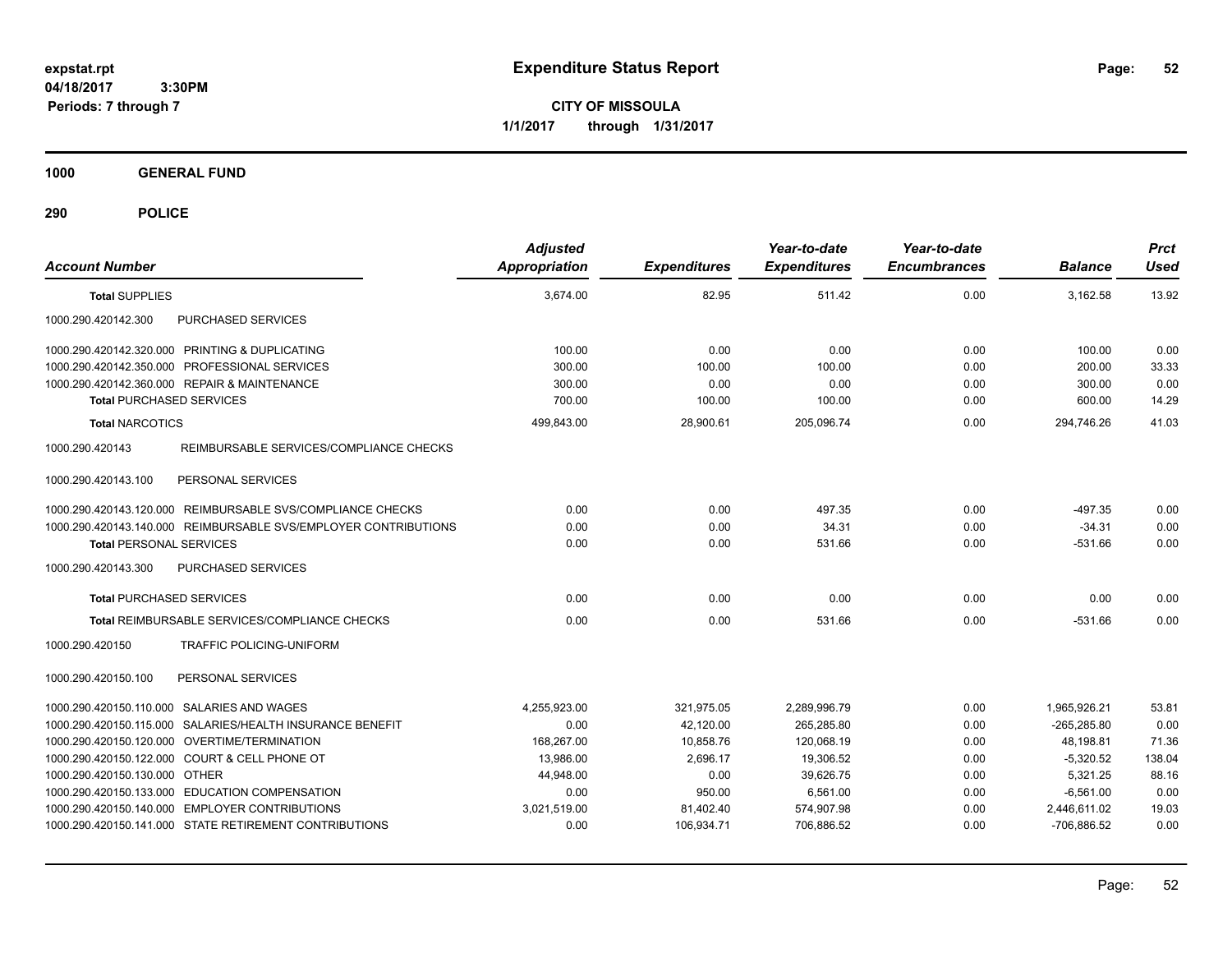**CITY OF MISSOULA 1/1/2017 through 1/31/2017**

**1000 GENERAL FUND**

| <b>Account Number</b>                                           | <b>Adjusted</b><br><b>Appropriation</b> | <b>Expenditures</b> | Year-to-date<br><b>Expenditures</b> | Year-to-date<br><b>Encumbrances</b> | <b>Balance</b> | <b>Prct</b><br><b>Used</b> |
|-----------------------------------------------------------------|-----------------------------------------|---------------------|-------------------------------------|-------------------------------------|----------------|----------------------------|
| <b>Total SUPPLIES</b>                                           | 3,674.00                                | 82.95               | 511.42                              | 0.00                                | 3,162.58       | 13.92                      |
| 1000.290.420142.300<br>PURCHASED SERVICES                       |                                         |                     |                                     |                                     |                |                            |
| 1000.290.420142.320.000 PRINTING & DUPLICATING                  | 100.00                                  | 0.00                | 0.00                                | 0.00                                | 100.00         | 0.00                       |
| 1000.290.420142.350.000 PROFESSIONAL SERVICES                   | 300.00                                  | 100.00              | 100.00                              | 0.00                                | 200.00         | 33.33                      |
| 1000.290.420142.360.000 REPAIR & MAINTENANCE                    | 300.00                                  | 0.00                | 0.00                                | 0.00                                | 300.00         | 0.00                       |
| <b>Total PURCHASED SERVICES</b>                                 | 700.00                                  | 100.00              | 100.00                              | 0.00                                | 600.00         | 14.29                      |
| <b>Total NARCOTICS</b>                                          | 499,843.00                              | 28,900.61           | 205,096.74                          | 0.00                                | 294,746.26     | 41.03                      |
| REIMBURSABLE SERVICES/COMPLIANCE CHECKS<br>1000.290.420143      |                                         |                     |                                     |                                     |                |                            |
| 1000.290.420143.100<br>PERSONAL SERVICES                        |                                         |                     |                                     |                                     |                |                            |
| 1000.290.420143.120.000 REIMBURSABLE SVS/COMPLIANCE CHECKS      | 0.00                                    | 0.00                | 497.35                              | 0.00                                | $-497.35$      | 0.00                       |
| 1000.290.420143.140.000 REIMBURSABLE SVS/EMPLOYER CONTRIBUTIONS | 0.00                                    | 0.00                | 34.31                               | 0.00                                | $-34.31$       | 0.00                       |
| <b>Total PERSONAL SERVICES</b>                                  | 0.00                                    | 0.00                | 531.66                              | 0.00                                | $-531.66$      | 0.00                       |
| PURCHASED SERVICES<br>1000.290.420143.300                       |                                         |                     |                                     |                                     |                |                            |
| <b>Total PURCHASED SERVICES</b>                                 | 0.00                                    | 0.00                | 0.00                                | 0.00                                | 0.00           | 0.00                       |
| <b>Total REIMBURSABLE SERVICES/COMPLIANCE CHECKS</b>            | 0.00                                    | 0.00                | 531.66                              | 0.00                                | $-531.66$      | 0.00                       |
| 1000.290.420150<br>TRAFFIC POLICING-UNIFORM                     |                                         |                     |                                     |                                     |                |                            |
| 1000.290.420150.100<br>PERSONAL SERVICES                        |                                         |                     |                                     |                                     |                |                            |
| 1000.290.420150.110.000 SALARIES AND WAGES                      | 4,255,923.00                            | 321,975.05          | 2,289,996.79                        | 0.00                                | 1.965.926.21   | 53.81                      |
| 1000.290.420150.115.000 SALARIES/HEALTH INSURANCE BENEFIT       | 0.00                                    | 42,120.00           | 265,285.80                          | 0.00                                | $-265,285.80$  | 0.00                       |
| 1000.290.420150.120.000 OVERTIME/TERMINATION                    | 168,267.00                              | 10,858.76           | 120,068.19                          | 0.00                                | 48,198.81      | 71.36                      |
| 1000.290.420150.122.000 COURT & CELL PHONE OT                   | 13,986.00                               | 2,696.17            | 19,306.52                           | 0.00                                | $-5,320.52$    | 138.04                     |
| 1000.290.420150.130.000 OTHER                                   | 44.948.00                               | 0.00                | 39.626.75                           | 0.00                                | 5.321.25       | 88.16                      |
| 1000.290.420150.133.000 EDUCATION COMPENSATION                  | 0.00                                    | 950.00              | 6,561.00                            | 0.00                                | $-6,561.00$    | 0.00                       |
| 1000.290.420150.140.000 EMPLOYER CONTRIBUTIONS                  | 3,021,519.00                            | 81,402.40           | 574,907.98                          | 0.00                                | 2,446,611.02   | 19.03                      |
| 1000.290.420150.141.000 STATE RETIREMENT CONTRIBUTIONS          | 0.00                                    | 106,934.71          | 706.886.52                          | 0.00                                | -706.886.52    | 0.00                       |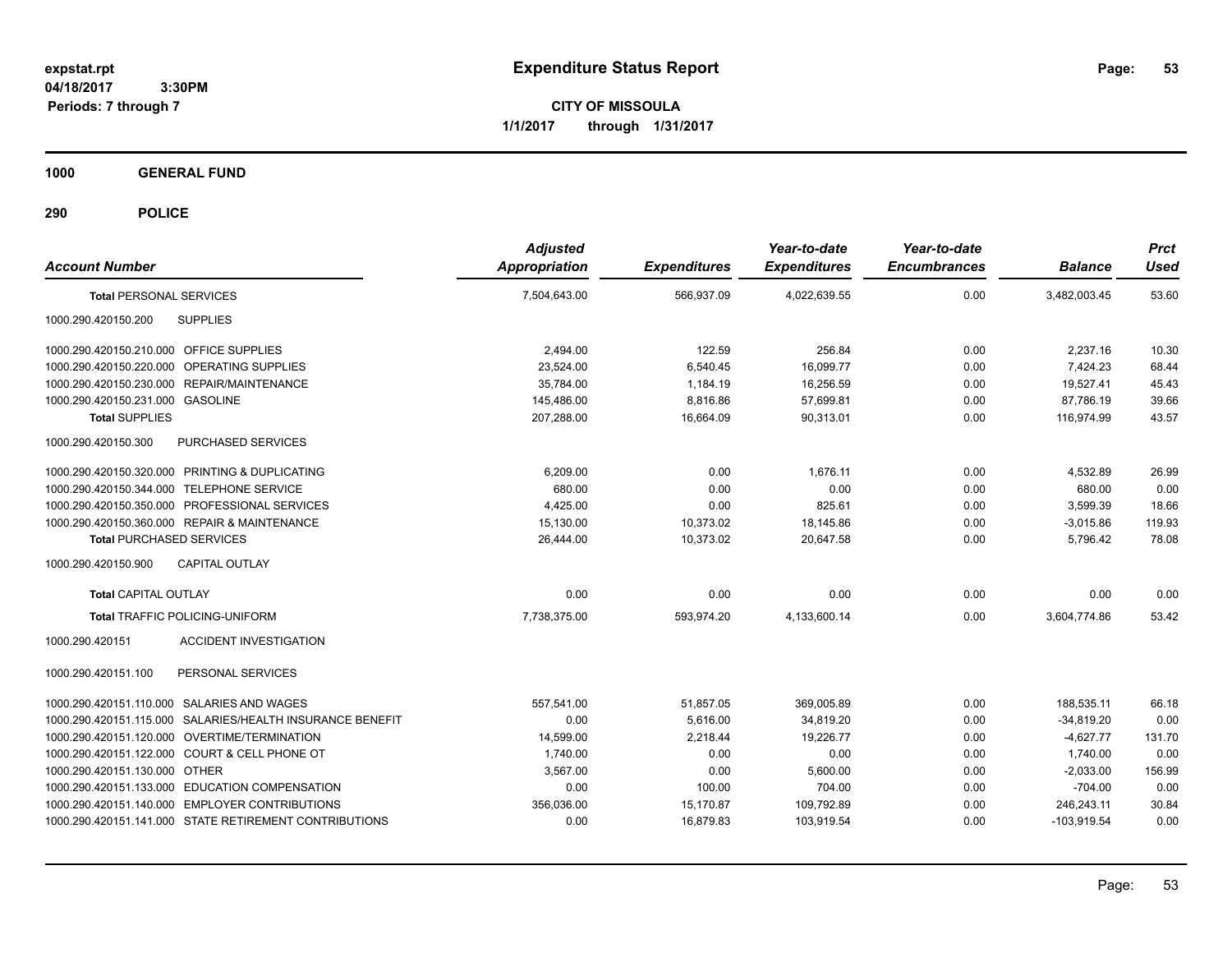**CITY OF MISSOULA 1/1/2017 through 1/31/2017**

**1000 GENERAL FUND**

| <b>Account Number</b>                                     | <b>Adjusted</b><br><b>Appropriation</b> | <b>Expenditures</b> | Year-to-date<br><b>Expenditures</b> | Year-to-date<br><b>Encumbrances</b> | <b>Balance</b> | <b>Prct</b><br><b>Used</b> |
|-----------------------------------------------------------|-----------------------------------------|---------------------|-------------------------------------|-------------------------------------|----------------|----------------------------|
| <b>Total PERSONAL SERVICES</b>                            | 7,504,643.00                            | 566,937.09          | 4,022,639.55                        | 0.00                                | 3,482,003.45   | 53.60                      |
| 1000.290.420150.200<br><b>SUPPLIES</b>                    |                                         |                     |                                     |                                     |                |                            |
| 1000.290.420150.210.000 OFFICE SUPPLIES                   | 2,494.00                                | 122.59              | 256.84                              | 0.00                                | 2,237.16       | 10.30                      |
| 1000.290.420150.220.000 OPERATING SUPPLIES                | 23,524.00                               | 6,540.45            | 16,099.77                           | 0.00                                | 7,424.23       | 68.44                      |
| 1000.290.420150.230.000 REPAIR/MAINTENANCE                | 35,784.00                               | 1,184.19            | 16,256.59                           | 0.00                                | 19,527.41      | 45.43                      |
| 1000.290.420150.231.000 GASOLINE                          | 145,486.00                              | 8,816.86            | 57.699.81                           | 0.00                                | 87,786.19      | 39.66                      |
| <b>Total SUPPLIES</b>                                     | 207,288.00                              | 16.664.09           | 90.313.01                           | 0.00                                | 116,974.99     | 43.57                      |
| 1000.290.420150.300<br>PURCHASED SERVICES                 |                                         |                     |                                     |                                     |                |                            |
| 1000.290.420150.320.000 PRINTING & DUPLICATING            | 6,209.00                                | 0.00                | 1.676.11                            | 0.00                                | 4,532.89       | 26.99                      |
| 1000.290.420150.344.000 TELEPHONE SERVICE                 | 680.00                                  | 0.00                | 0.00                                | 0.00                                | 680.00         | 0.00                       |
| 1000.290.420150.350.000 PROFESSIONAL SERVICES             | 4.425.00                                | 0.00                | 825.61                              | 0.00                                | 3,599.39       | 18.66                      |
| 1000.290.420150.360.000 REPAIR & MAINTENANCE              | 15,130.00                               | 10,373.02           | 18,145.86                           | 0.00                                | $-3,015.86$    | 119.93                     |
| <b>Total PURCHASED SERVICES</b>                           | 26.444.00                               | 10.373.02           | 20.647.58                           | 0.00                                | 5,796.42       | 78.08                      |
| CAPITAL OUTLAY<br>1000.290.420150.900                     |                                         |                     |                                     |                                     |                |                            |
| <b>Total CAPITAL OUTLAY</b>                               | 0.00                                    | 0.00                | 0.00                                | 0.00                                | 0.00           | 0.00                       |
| <b>Total TRAFFIC POLICING-UNIFORM</b>                     | 7,738,375.00                            | 593,974.20          | 4,133,600.14                        | 0.00                                | 3,604,774.86   | 53.42                      |
| <b>ACCIDENT INVESTIGATION</b><br>1000.290.420151          |                                         |                     |                                     |                                     |                |                            |
| 1000.290.420151.100<br>PERSONAL SERVICES                  |                                         |                     |                                     |                                     |                |                            |
| 1000.290.420151.110.000 SALARIES AND WAGES                | 557.541.00                              | 51,857.05           | 369,005.89                          | 0.00                                | 188.535.11     | 66.18                      |
| 1000.290.420151.115.000 SALARIES/HEALTH INSURANCE BENEFIT | 0.00                                    | 5.616.00            | 34.819.20                           | 0.00                                | $-34.819.20$   | 0.00                       |
| 1000.290.420151.120.000 OVERTIME/TERMINATION              | 14,599.00                               | 2,218.44            | 19,226.77                           | 0.00                                | $-4,627.77$    | 131.70                     |
| 1000.290.420151.122.000 COURT & CELL PHONE OT             | 1,740.00                                | 0.00                | 0.00                                | 0.00                                | 1,740.00       | 0.00                       |
| 1000.290.420151.130.000 OTHER                             | 3,567.00                                | 0.00                | 5,600.00                            | 0.00                                | $-2,033.00$    | 156.99                     |
| 1000.290.420151.133.000 EDUCATION COMPENSATION            | 0.00                                    | 100.00              | 704.00                              | 0.00                                | $-704.00$      | 0.00                       |
| 1000.290.420151.140.000 EMPLOYER CONTRIBUTIONS            | 356,036.00                              | 15,170.87           | 109,792.89                          | 0.00                                | 246,243.11     | 30.84                      |
| 1000.290.420151.141.000 STATE RETIREMENT CONTRIBUTIONS    | 0.00                                    | 16,879.83           | 103,919.54                          | 0.00                                | $-103,919.54$  | 0.00                       |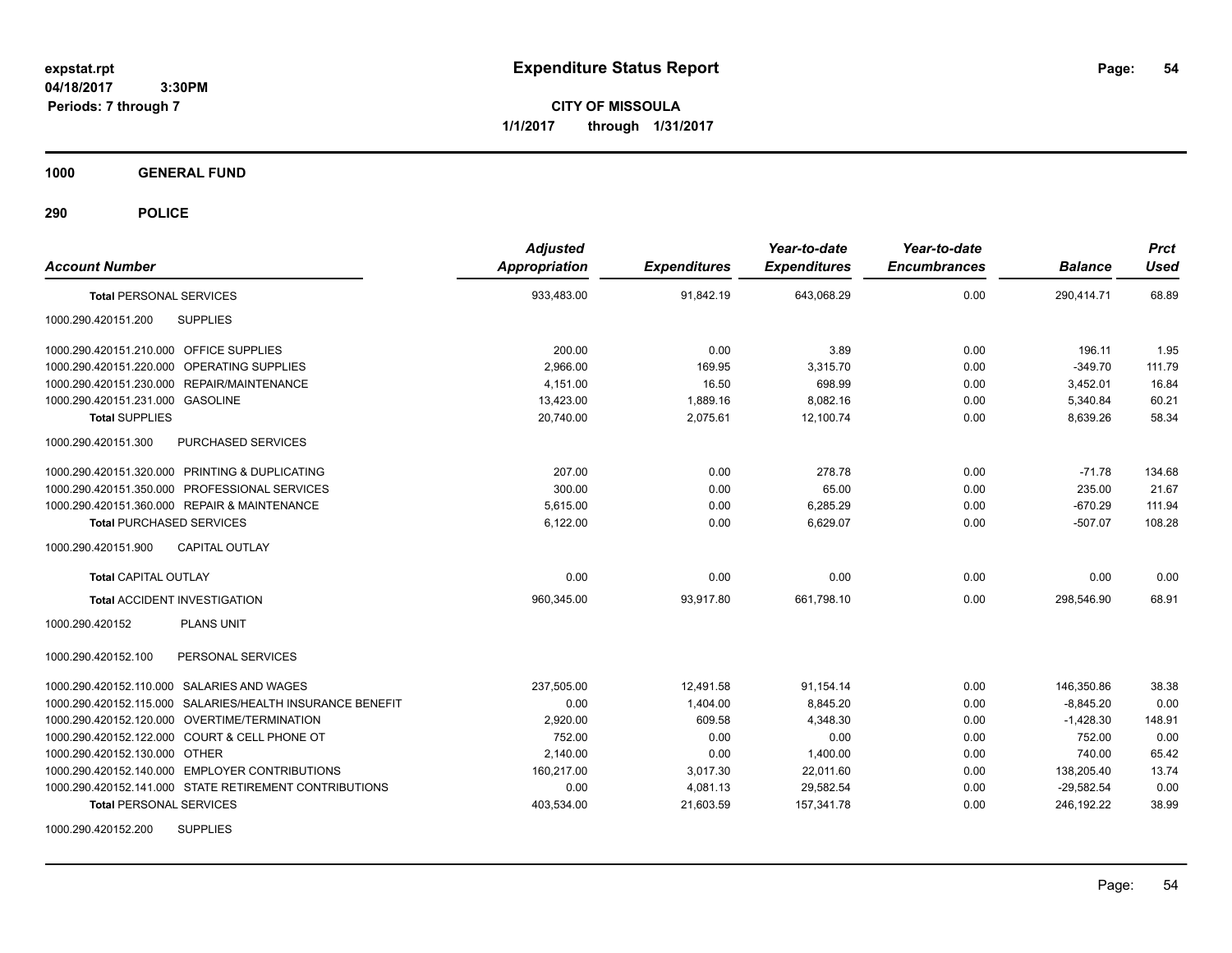**CITY OF MISSOULA 1/1/2017 through 1/31/2017**

**1000 GENERAL FUND**

| <b>Account Number</b>                                     | <b>Adjusted</b><br><b>Appropriation</b> | <b>Expenditures</b> | Year-to-date<br><b>Expenditures</b> | Year-to-date<br><b>Encumbrances</b> | <b>Balance</b> | <b>Prct</b><br><b>Used</b> |
|-----------------------------------------------------------|-----------------------------------------|---------------------|-------------------------------------|-------------------------------------|----------------|----------------------------|
| <b>Total PERSONAL SERVICES</b>                            | 933,483.00                              | 91,842.19           | 643,068.29                          | 0.00                                | 290,414.71     | 68.89                      |
| <b>SUPPLIES</b><br>1000.290.420151.200                    |                                         |                     |                                     |                                     |                |                            |
| 1000.290.420151.210.000 OFFICE SUPPLIES                   | 200.00                                  | 0.00                | 3.89                                | 0.00                                | 196.11         | 1.95                       |
| <b>OPERATING SUPPLIES</b><br>1000.290.420151.220.000      | 2,966.00                                | 169.95              | 3,315.70                            | 0.00                                | $-349.70$      | 111.79                     |
| 1000.290.420151.230.000 REPAIR/MAINTENANCE                | 4.151.00                                | 16.50               | 698.99                              | 0.00                                | 3,452.01       | 16.84                      |
| 1000.290.420151.231.000 GASOLINE                          | 13,423.00                               | 1,889.16            | 8,082.16                            | 0.00                                | 5,340.84       | 60.21                      |
| <b>Total SUPPLIES</b>                                     | 20,740.00                               | 2,075.61            | 12,100.74                           | 0.00                                | 8,639.26       | 58.34                      |
| 1000.290.420151.300<br>PURCHASED SERVICES                 |                                         |                     |                                     |                                     |                |                            |
| 1000.290.420151.320.000 PRINTING & DUPLICATING            | 207.00                                  | 0.00                | 278.78                              | 0.00                                | $-71.78$       | 134.68                     |
| 1000.290.420151.350.000 PROFESSIONAL SERVICES             | 300.00                                  | 0.00                | 65.00                               | 0.00                                | 235.00         | 21.67                      |
| 1000.290.420151.360.000 REPAIR & MAINTENANCE              | 5,615.00                                | 0.00                | 6,285.29                            | 0.00                                | $-670.29$      | 111.94                     |
| <b>Total PURCHASED SERVICES</b>                           | 6,122.00                                | 0.00                | 6,629.07                            | 0.00                                | $-507.07$      | 108.28                     |
| 1000.290.420151.900<br><b>CAPITAL OUTLAY</b>              |                                         |                     |                                     |                                     |                |                            |
| Total CAPITAL OUTLAY                                      | 0.00                                    | 0.00                | 0.00                                | 0.00                                | 0.00           | 0.00                       |
| <b>Total ACCIDENT INVESTIGATION</b>                       | 960.345.00                              | 93.917.80           | 661.798.10                          | 0.00                                | 298.546.90     | 68.91                      |
| <b>PLANS UNIT</b><br>1000.290.420152                      |                                         |                     |                                     |                                     |                |                            |
| 1000.290.420152.100<br>PERSONAL SERVICES                  |                                         |                     |                                     |                                     |                |                            |
| 1000.290.420152.110.000 SALARIES AND WAGES                | 237,505.00                              | 12,491.58           | 91,154.14                           | 0.00                                | 146,350.86     | 38.38                      |
| 1000.290.420152.115.000 SALARIES/HEALTH INSURANCE BENEFIT | 0.00                                    | 1,404.00            | 8,845.20                            | 0.00                                | $-8,845.20$    | 0.00                       |
| 1000.290.420152.120.000 OVERTIME/TERMINATION              | 2,920.00                                | 609.58              | 4,348.30                            | 0.00                                | $-1,428.30$    | 148.91                     |
| 1000.290.420152.122.000 COURT & CELL PHONE OT             | 752.00                                  | 0.00                | 0.00                                | 0.00                                | 752.00         | 0.00                       |
| 1000.290.420152.130.000 OTHER                             | 2.140.00                                | 0.00                | 1,400.00                            | 0.00                                | 740.00         | 65.42                      |
| 1000.290.420152.140.000 EMPLOYER CONTRIBUTIONS            | 160,217.00                              | 3,017.30            | 22,011.60                           | 0.00                                | 138,205.40     | 13.74                      |
| 1000.290.420152.141.000 STATE RETIREMENT CONTRIBUTIONS    | 0.00                                    | 4,081.13            | 29,582.54                           | 0.00                                | $-29,582.54$   | 0.00                       |
| <b>Total PERSONAL SERVICES</b>                            | 403,534.00                              | 21,603.59           | 157,341.78                          | 0.00                                | 246,192.22     | 38.99                      |
| <b>SUPPLIES</b><br>1000.290.420152.200                    |                                         |                     |                                     |                                     |                |                            |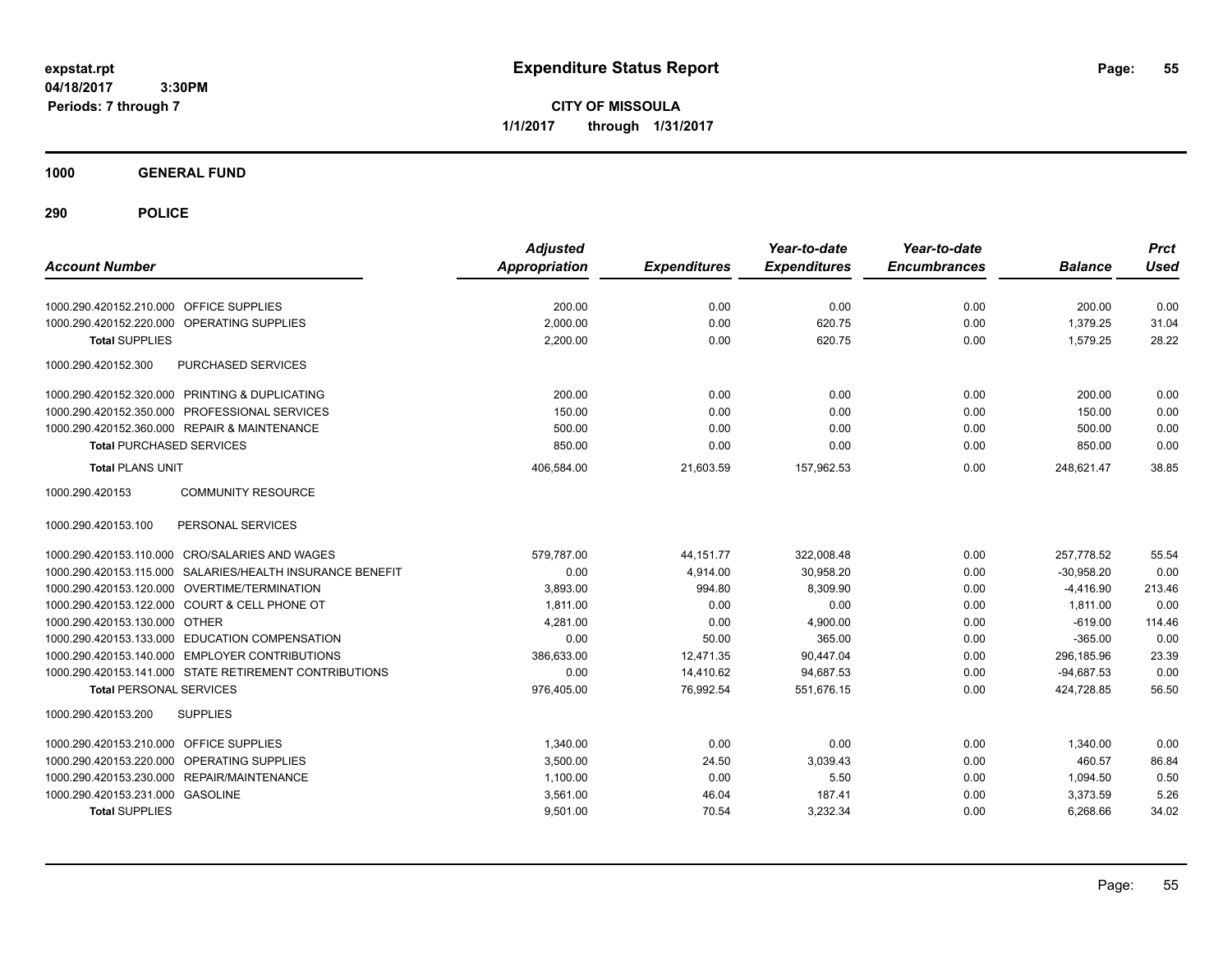**CITY OF MISSOULA 1/1/2017 through 1/31/2017**

**1000 GENERAL FUND**

| <b>Account Number</b>                                     | <b>Adjusted</b><br>Appropriation | <b>Expenditures</b> | Year-to-date<br><b>Expenditures</b> | Year-to-date<br><b>Encumbrances</b> | <b>Balance</b> | <b>Prct</b><br><b>Used</b> |
|-----------------------------------------------------------|----------------------------------|---------------------|-------------------------------------|-------------------------------------|----------------|----------------------------|
| 1000.290.420152.210.000 OFFICE SUPPLIES                   | 200.00                           | 0.00                | 0.00                                | 0.00                                | 200.00         | 0.00                       |
| OPERATING SUPPLIES<br>1000.290.420152.220.000             | 2,000.00                         | 0.00                | 620.75                              | 0.00                                | 1,379.25       | 31.04                      |
| <b>Total SUPPLIES</b>                                     | 2,200.00                         | 0.00                | 620.75                              | 0.00                                | 1,579.25       | 28.22                      |
| 1000.290.420152.300<br>PURCHASED SERVICES                 |                                  |                     |                                     |                                     |                |                            |
| 1000.290.420152.320.000 PRINTING & DUPLICATING            | 200.00                           | 0.00                | 0.00                                | 0.00                                | 200.00         | 0.00                       |
| 1000.290.420152.350.000 PROFESSIONAL SERVICES             | 150.00                           | 0.00                | 0.00                                | 0.00                                | 150.00         | 0.00                       |
| 1000.290.420152.360.000 REPAIR & MAINTENANCE              | 500.00                           | 0.00                | 0.00                                | 0.00                                | 500.00         | 0.00                       |
| <b>Total PURCHASED SERVICES</b>                           | 850.00                           | 0.00                | 0.00                                | 0.00                                | 850.00         | 0.00                       |
| <b>Total PLANS UNIT</b>                                   | 406,584.00                       | 21,603.59           | 157,962.53                          | 0.00                                | 248,621.47     | 38.85                      |
| 1000.290.420153<br><b>COMMUNITY RESOURCE</b>              |                                  |                     |                                     |                                     |                |                            |
| 1000.290.420153.100<br>PERSONAL SERVICES                  |                                  |                     |                                     |                                     |                |                            |
| 1000.290.420153.110.000 CRO/SALARIES AND WAGES            | 579.787.00                       | 44, 151.77          | 322,008.48                          | 0.00                                | 257,778.52     | 55.54                      |
| 1000.290.420153.115.000 SALARIES/HEALTH INSURANCE BENEFIT | 0.00                             | 4,914.00            | 30,958.20                           | 0.00                                | $-30,958.20$   | 0.00                       |
| 1000.290.420153.120.000 OVERTIME/TERMINATION              | 3.893.00                         | 994.80              | 8.309.90                            | 0.00                                | $-4,416.90$    | 213.46                     |
| 1000.290.420153.122.000 COURT & CELL PHONE OT             | 1,811.00                         | 0.00                | 0.00                                | 0.00                                | 1,811.00       | 0.00                       |
| 1000.290.420153.130.000 OTHER                             | 4,281.00                         | 0.00                | 4,900.00                            | 0.00                                | $-619.00$      | 114.46                     |
| 1000.290.420153.133.000 EDUCATION COMPENSATION            | 0.00                             | 50.00               | 365.00                              | 0.00                                | $-365.00$      | 0.00                       |
| 1000.290.420153.140.000 EMPLOYER CONTRIBUTIONS            | 386.633.00                       | 12,471.35           | 90,447.04                           | 0.00                                | 296.185.96     | 23.39                      |
| 1000.290.420153.141.000 STATE RETIREMENT CONTRIBUTIONS    | 0.00                             | 14,410.62           | 94,687.53                           | 0.00                                | $-94,687.53$   | 0.00                       |
| <b>Total PERSONAL SERVICES</b>                            | 976,405.00                       | 76,992.54           | 551,676.15                          | 0.00                                | 424,728.85     | 56.50                      |
| 1000.290.420153.200<br><b>SUPPLIES</b>                    |                                  |                     |                                     |                                     |                |                            |
| 1000.290.420153.210.000<br><b>OFFICE SUPPLIES</b>         | 1,340.00                         | 0.00                | 0.00                                | 0.00                                | 1,340.00       | 0.00                       |
| <b>OPERATING SUPPLIES</b><br>1000.290.420153.220.000      | 3,500.00                         | 24.50               | 3,039.43                            | 0.00                                | 460.57         | 86.84                      |
| 1000.290.420153.230.000 REPAIR/MAINTENANCE                | 1,100.00                         | 0.00                | 5.50                                | 0.00                                | 1,094.50       | 0.50                       |
| 1000.290.420153.231.000 GASOLINE                          | 3,561.00                         | 46.04               | 187.41                              | 0.00                                | 3,373.59       | 5.26                       |
| <b>Total SUPPLIES</b>                                     | 9,501.00                         | 70.54               | 3,232.34                            | 0.00                                | 6,268.66       | 34.02                      |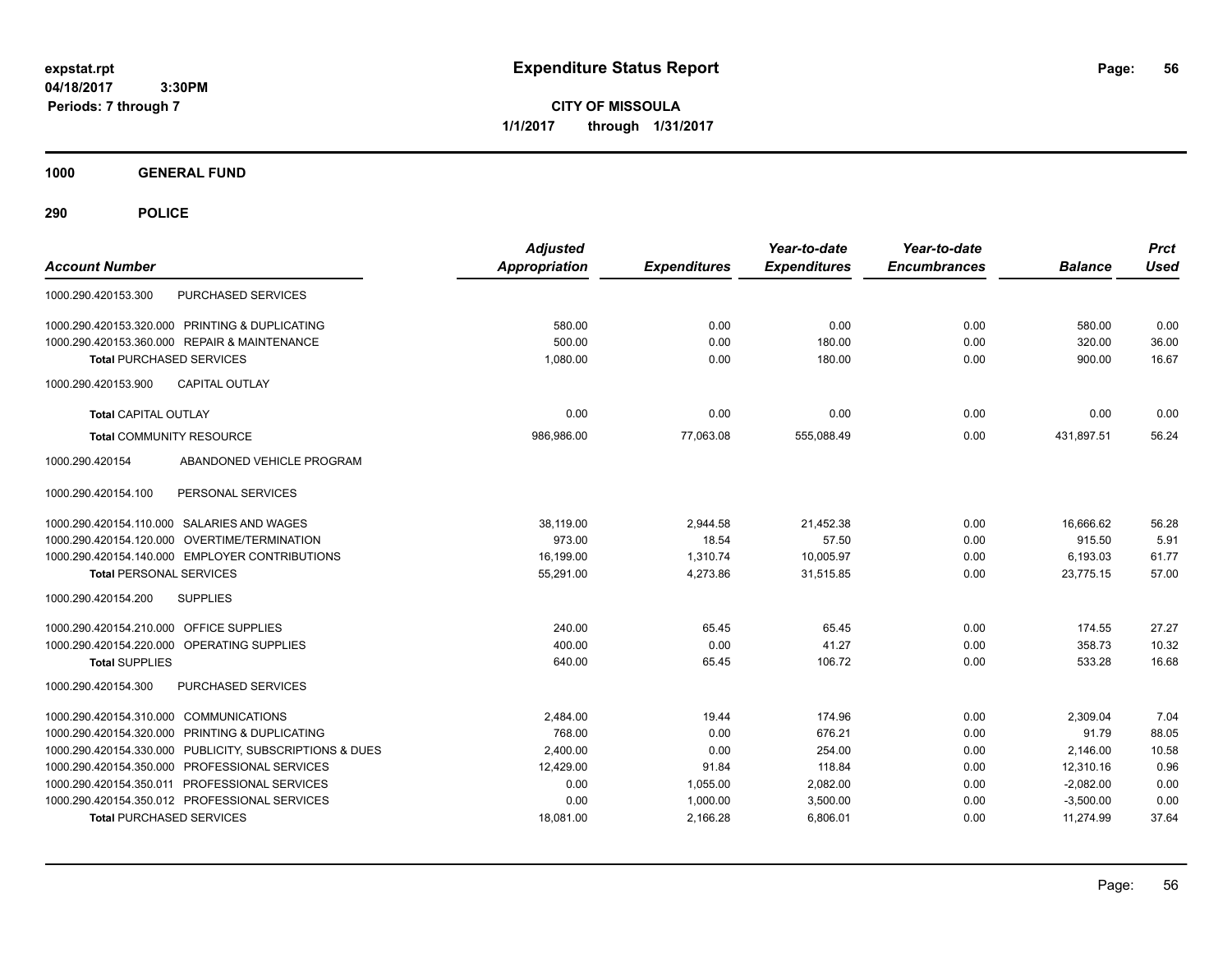**CITY OF MISSOULA 1/1/2017 through 1/31/2017**

**1000 GENERAL FUND**

| <b>Account Number</b>                                   | <b>Adjusted</b><br><b>Appropriation</b> | <b>Expenditures</b> | Year-to-date<br><b>Expenditures</b> | Year-to-date<br><b>Encumbrances</b> | <b>Balance</b> | <b>Prct</b><br><b>Used</b> |
|---------------------------------------------------------|-----------------------------------------|---------------------|-------------------------------------|-------------------------------------|----------------|----------------------------|
| <b>PURCHASED SERVICES</b><br>1000.290.420153.300        |                                         |                     |                                     |                                     |                |                            |
| 1000.290.420153.320.000 PRINTING & DUPLICATING          | 580.00                                  | 0.00                | 0.00                                | 0.00                                | 580.00         | 0.00                       |
| 1000.290.420153.360.000 REPAIR & MAINTENANCE            | 500.00                                  | 0.00                | 180.00                              | 0.00                                | 320.00         | 36.00                      |
| <b>Total PURCHASED SERVICES</b>                         | 1,080.00                                | 0.00                | 180.00                              | 0.00                                | 900.00         | 16.67                      |
| <b>CAPITAL OUTLAY</b><br>1000.290.420153.900            |                                         |                     |                                     |                                     |                |                            |
| <b>Total CAPITAL OUTLAY</b>                             | 0.00                                    | 0.00                | 0.00                                | 0.00                                | 0.00           | 0.00                       |
| <b>Total COMMUNITY RESOURCE</b>                         | 986,986.00                              | 77,063.08           | 555,088.49                          | 0.00                                | 431,897.51     | 56.24                      |
| 1000.290.420154<br>ABANDONED VEHICLE PROGRAM            |                                         |                     |                                     |                                     |                |                            |
| 1000.290.420154.100<br>PERSONAL SERVICES                |                                         |                     |                                     |                                     |                |                            |
| 1000.290.420154.110.000 SALARIES AND WAGES              | 38,119.00                               | 2,944.58            | 21,452.38                           | 0.00                                | 16.666.62      | 56.28                      |
| 1000.290.420154.120.000 OVERTIME/TERMINATION            | 973.00                                  | 18.54               | 57.50                               | 0.00                                | 915.50         | 5.91                       |
| 1000.290.420154.140.000 EMPLOYER CONTRIBUTIONS          | 16,199.00                               | 1,310.74            | 10,005.97                           | 0.00                                | 6,193.03       | 61.77                      |
| <b>Total PERSONAL SERVICES</b>                          | 55,291.00                               | 4,273.86            | 31,515.85                           | 0.00                                | 23,775.15      | 57.00                      |
| 1000.290.420154.200<br><b>SUPPLIES</b>                  |                                         |                     |                                     |                                     |                |                            |
| 1000.290.420154.210.000 OFFICE SUPPLIES                 | 240.00                                  | 65.45               | 65.45                               | 0.00                                | 174.55         | 27.27                      |
| 1000.290.420154.220.000 OPERATING SUPPLIES              | 400.00                                  | 0.00                | 41.27                               | 0.00                                | 358.73         | 10.32                      |
| <b>Total SUPPLIES</b>                                   | 640.00                                  | 65.45               | 106.72                              | 0.00                                | 533.28         | 16.68                      |
| PURCHASED SERVICES<br>1000.290.420154.300               |                                         |                     |                                     |                                     |                |                            |
| 1000.290.420154.310.000 COMMUNICATIONS                  | 2,484.00                                | 19.44               | 174.96                              | 0.00                                | 2,309.04       | 7.04                       |
| 1000.290.420154.320.000 PRINTING & DUPLICATING          | 768.00                                  | 0.00                | 676.21                              | 0.00                                | 91.79          | 88.05                      |
| 1000.290.420154.330.000 PUBLICITY, SUBSCRIPTIONS & DUES | 2,400.00                                | 0.00                | 254.00                              | 0.00                                | 2,146.00       | 10.58                      |
| 1000.290.420154.350.000 PROFESSIONAL SERVICES           | 12,429.00                               | 91.84               | 118.84                              | 0.00                                | 12,310.16      | 0.96                       |
| 1000.290.420154.350.011 PROFESSIONAL SERVICES           | 0.00                                    | 1,055.00            | 2,082.00                            | 0.00                                | $-2,082.00$    | 0.00                       |
| 1000.290.420154.350.012 PROFESSIONAL SERVICES           | 0.00                                    | 1,000.00            | 3,500.00                            | 0.00                                | $-3,500.00$    | 0.00                       |
| <b>Total PURCHASED SERVICES</b>                         | 18,081.00                               | 2,166.28            | 6,806.01                            | 0.00                                | 11,274.99      | 37.64                      |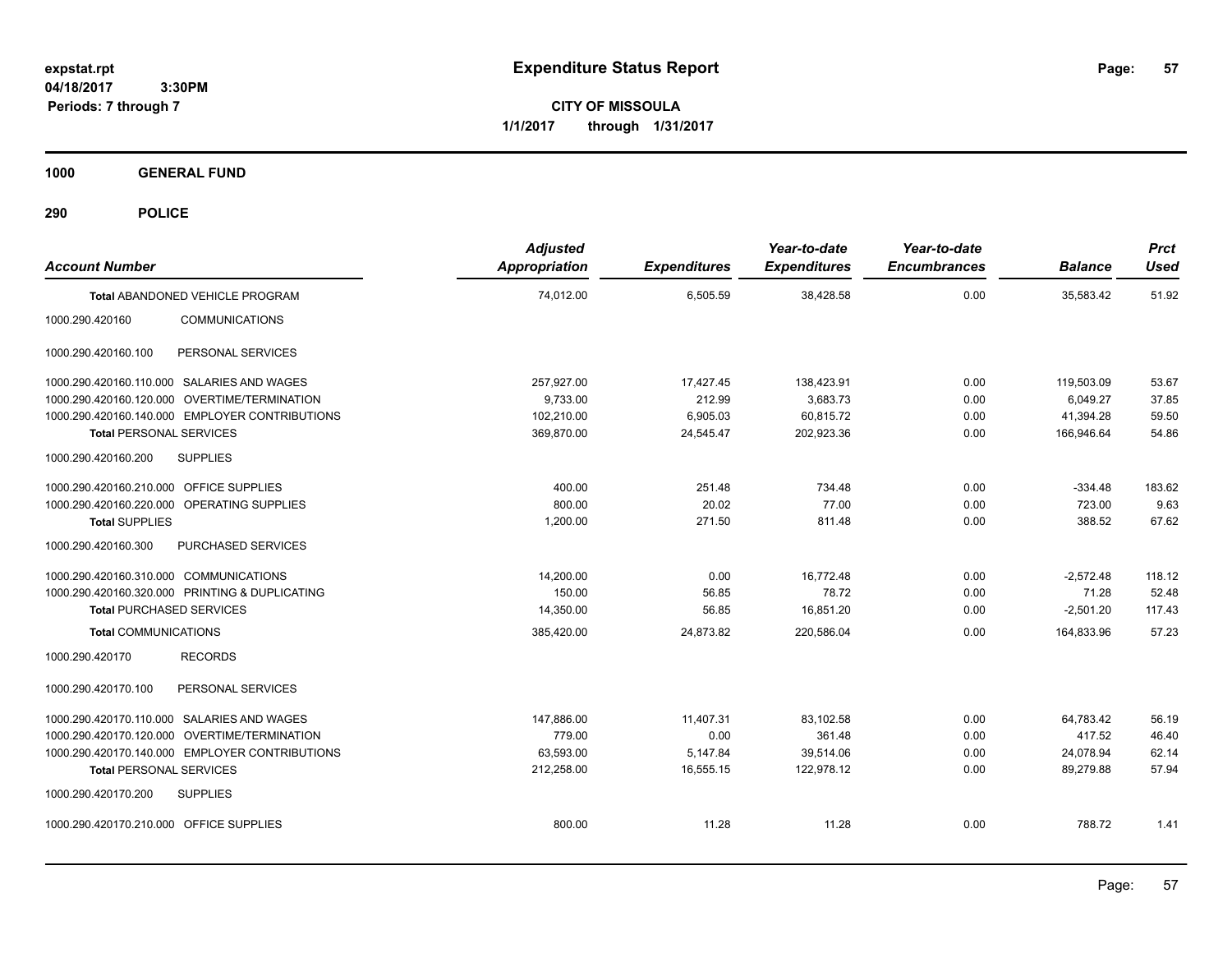**CITY OF MISSOULA 1/1/2017 through 1/31/2017**

**1000 GENERAL FUND**

| <b>Account Number</b>                          | <b>Adjusted</b><br>Appropriation | <b>Expenditures</b> | Year-to-date<br><b>Expenditures</b> | Year-to-date<br><b>Encumbrances</b> | <b>Balance</b> | <b>Prct</b><br><b>Used</b> |
|------------------------------------------------|----------------------------------|---------------------|-------------------------------------|-------------------------------------|----------------|----------------------------|
| Total ABANDONED VEHICLE PROGRAM                | 74.012.00                        | 6,505.59            | 38.428.58                           | 0.00                                | 35.583.42      | 51.92                      |
| <b>COMMUNICATIONS</b><br>1000.290.420160       |                                  |                     |                                     |                                     |                |                            |
| PERSONAL SERVICES<br>1000.290.420160.100       |                                  |                     |                                     |                                     |                |                            |
| 1000.290.420160.110.000 SALARIES AND WAGES     | 257,927.00                       | 17,427.45           | 138,423.91                          | 0.00                                | 119,503.09     | 53.67                      |
| 1000.290.420160.120.000 OVERTIME/TERMINATION   | 9,733.00                         | 212.99              | 3,683.73                            | 0.00                                | 6.049.27       | 37.85                      |
| 1000.290.420160.140.000 EMPLOYER CONTRIBUTIONS | 102,210.00                       | 6,905.03            | 60,815.72                           | 0.00                                | 41,394.28      | 59.50                      |
| <b>Total PERSONAL SERVICES</b>                 | 369,870.00                       | 24,545.47           | 202,923.36                          | 0.00                                | 166,946.64     | 54.86                      |
| 1000.290.420160.200<br><b>SUPPLIES</b>         |                                  |                     |                                     |                                     |                |                            |
| OFFICE SUPPLIES<br>1000.290.420160.210.000     | 400.00                           | 251.48              | 734.48                              | 0.00                                | $-334.48$      | 183.62                     |
| 1000.290.420160.220.000<br>OPERATING SUPPLIES  | 800.00                           | 20.02               | 77.00                               | 0.00                                | 723.00         | 9.63                       |
| <b>Total SUPPLIES</b>                          | 1,200.00                         | 271.50              | 811.48                              | 0.00                                | 388.52         | 67.62                      |
| 1000.290.420160.300<br>PURCHASED SERVICES      |                                  |                     |                                     |                                     |                |                            |
| 1000.290.420160.310.000 COMMUNICATIONS         | 14,200.00                        | 0.00                | 16,772.48                           | 0.00                                | $-2,572.48$    | 118.12                     |
| 1000.290.420160.320.000 PRINTING & DUPLICATING | 150.00                           | 56.85               | 78.72                               | 0.00                                | 71.28          | 52.48                      |
| <b>Total PURCHASED SERVICES</b>                | 14,350.00                        | 56.85               | 16,851.20                           | 0.00                                | $-2,501.20$    | 117.43                     |
| <b>Total COMMUNICATIONS</b>                    | 385,420.00                       | 24,873.82           | 220,586.04                          | 0.00                                | 164,833.96     | 57.23                      |
| <b>RECORDS</b><br>1000.290.420170              |                                  |                     |                                     |                                     |                |                            |
| PERSONAL SERVICES<br>1000.290.420170.100       |                                  |                     |                                     |                                     |                |                            |
| 1000.290.420170.110.000 SALARIES AND WAGES     | 147,886.00                       | 11,407.31           | 83,102.58                           | 0.00                                | 64,783.42      | 56.19                      |
| 1000.290.420170.120.000 OVERTIME/TERMINATION   | 779.00                           | 0.00                | 361.48                              | 0.00                                | 417.52         | 46.40                      |
| 1000.290.420170.140.000 EMPLOYER CONTRIBUTIONS | 63,593.00                        | 5,147.84            | 39,514.06                           | 0.00                                | 24,078.94      | 62.14                      |
| <b>Total PERSONAL SERVICES</b>                 | 212,258.00                       | 16,555.15           | 122,978.12                          | 0.00                                | 89,279.88      | 57.94                      |
| 1000.290.420170.200<br><b>SUPPLIES</b>         |                                  |                     |                                     |                                     |                |                            |
| 1000.290.420170.210.000 OFFICE SUPPLIES        | 800.00                           | 11.28               | 11.28                               | 0.00                                | 788.72         | 1.41                       |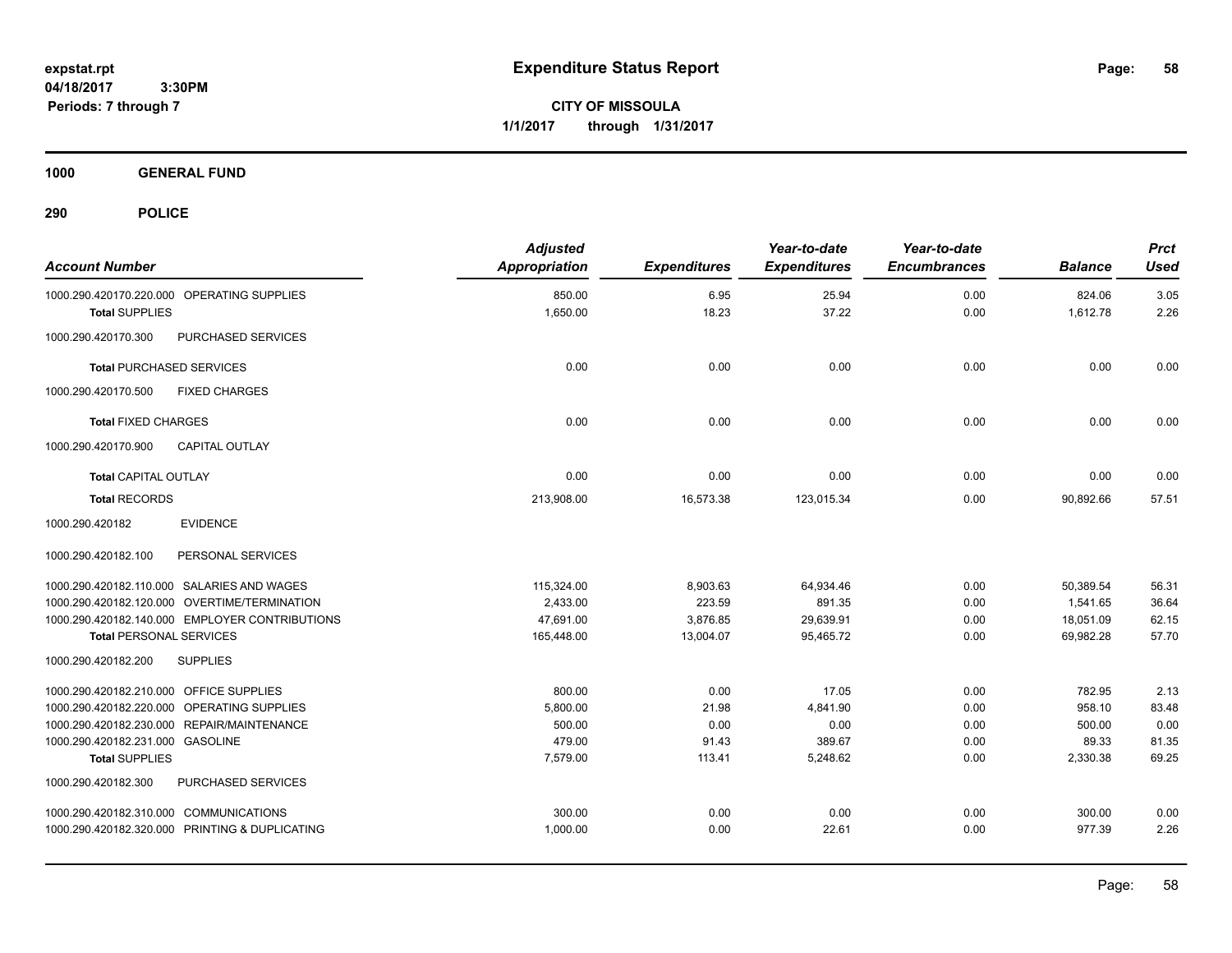**CITY OF MISSOULA 1/1/2017 through 1/31/2017**

**1000 GENERAL FUND**

| <b>Account Number</b>                          | <b>Adjusted</b><br><b>Appropriation</b> | <b>Expenditures</b> | Year-to-date<br><b>Expenditures</b> | Year-to-date<br><b>Encumbrances</b> | <b>Balance</b> | <b>Prct</b><br><b>Used</b> |
|------------------------------------------------|-----------------------------------------|---------------------|-------------------------------------|-------------------------------------|----------------|----------------------------|
| 1000.290.420170.220.000 OPERATING SUPPLIES     | 850.00                                  | 6.95                | 25.94                               | 0.00                                | 824.06         | 3.05                       |
| <b>Total SUPPLIES</b>                          | 1,650.00                                | 18.23               | 37.22                               | 0.00                                | 1,612.78       | 2.26                       |
| PURCHASED SERVICES<br>1000.290.420170.300      |                                         |                     |                                     |                                     |                |                            |
| <b>Total PURCHASED SERVICES</b>                | 0.00                                    | 0.00                | 0.00                                | 0.00                                | 0.00           | 0.00                       |
| 1000.290.420170.500<br><b>FIXED CHARGES</b>    |                                         |                     |                                     |                                     |                |                            |
| <b>Total FIXED CHARGES</b>                     | 0.00                                    | 0.00                | 0.00                                | 0.00                                | 0.00           | 0.00                       |
| <b>CAPITAL OUTLAY</b><br>1000.290.420170.900   |                                         |                     |                                     |                                     |                |                            |
| <b>Total CAPITAL OUTLAY</b>                    | 0.00                                    | 0.00                | 0.00                                | 0.00                                | 0.00           | 0.00                       |
| <b>Total RECORDS</b>                           | 213,908.00                              | 16,573.38           | 123,015.34                          | 0.00                                | 90,892.66      | 57.51                      |
| 1000.290.420182<br><b>EVIDENCE</b>             |                                         |                     |                                     |                                     |                |                            |
| 1000.290.420182.100<br>PERSONAL SERVICES       |                                         |                     |                                     |                                     |                |                            |
| 1000.290.420182.110.000 SALARIES AND WAGES     | 115,324.00                              | 8,903.63            | 64,934.46                           | 0.00                                | 50,389.54      | 56.31                      |
| 1000.290.420182.120.000 OVERTIME/TERMINATION   | 2,433.00                                | 223.59              | 891.35                              | 0.00                                | 1,541.65       | 36.64                      |
| 1000.290.420182.140.000 EMPLOYER CONTRIBUTIONS | 47,691.00                               | 3,876.85            | 29,639.91                           | 0.00                                | 18,051.09      | 62.15                      |
| <b>Total PERSONAL SERVICES</b>                 | 165,448.00                              | 13,004.07           | 95,465.72                           | 0.00                                | 69,982.28      | 57.70                      |
| 1000.290.420182.200<br><b>SUPPLIES</b>         |                                         |                     |                                     |                                     |                |                            |
| 1000.290.420182.210.000 OFFICE SUPPLIES        | 800.00                                  | 0.00                | 17.05                               | 0.00                                | 782.95         | 2.13                       |
| 1000.290.420182.220.000 OPERATING SUPPLIES     | 5,800.00                                | 21.98               | 4,841.90                            | 0.00                                | 958.10         | 83.48                      |
| 1000.290.420182.230.000 REPAIR/MAINTENANCE     | 500.00                                  | 0.00                | 0.00                                | 0.00                                | 500.00         | 0.00                       |
| 1000.290.420182.231.000 GASOLINE               | 479.00                                  | 91.43               | 389.67                              | 0.00                                | 89.33          | 81.35                      |
| <b>Total SUPPLIES</b>                          | 7,579.00                                | 113.41              | 5,248.62                            | 0.00                                | 2,330.38       | 69.25                      |
| 1000.290.420182.300<br>PURCHASED SERVICES      |                                         |                     |                                     |                                     |                |                            |
| 1000.290.420182.310.000 COMMUNICATIONS         | 300.00                                  | 0.00                | 0.00                                | 0.00                                | 300.00         | 0.00                       |
| 1000.290.420182.320.000 PRINTING & DUPLICATING | 1,000.00                                | 0.00                | 22.61                               | 0.00                                | 977.39         | 2.26                       |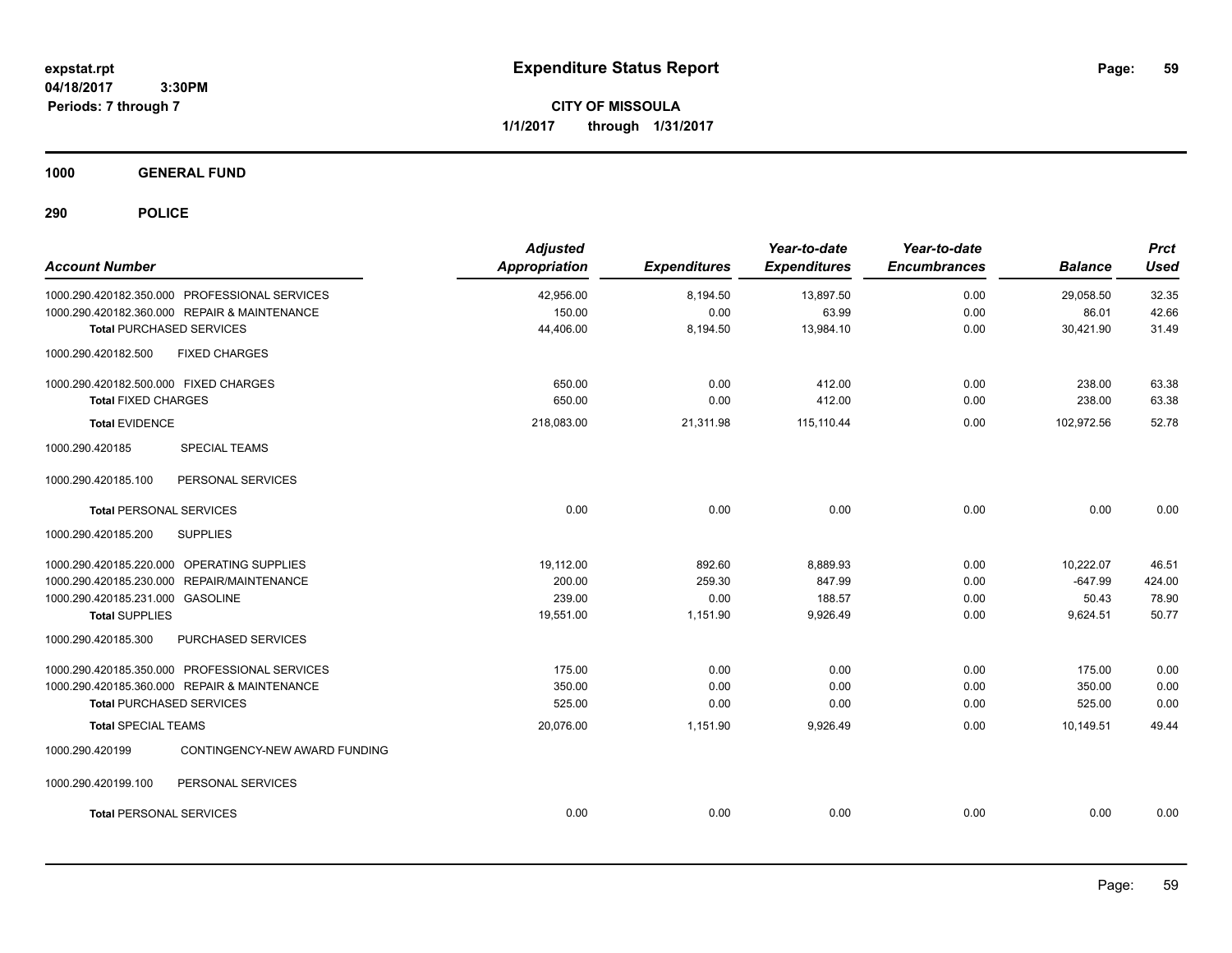**CITY OF MISSOULA 1/1/2017 through 1/31/2017**

**1000 GENERAL FUND**

| <b>Account Number</b>                            | <b>Adjusted</b><br>Appropriation | <b>Expenditures</b> | Year-to-date<br><b>Expenditures</b> | Year-to-date<br><b>Encumbrances</b> | <b>Balance</b> | <b>Prct</b><br><b>Used</b> |
|--------------------------------------------------|----------------------------------|---------------------|-------------------------------------|-------------------------------------|----------------|----------------------------|
| 1000.290.420182.350.000 PROFESSIONAL SERVICES    | 42,956.00                        | 8,194.50            | 13,897.50                           | 0.00                                | 29,058.50      | 32.35                      |
| 1000.290.420182.360.000 REPAIR & MAINTENANCE     | 150.00                           | 0.00                | 63.99                               | 0.00                                | 86.01          | 42.66                      |
| <b>Total PURCHASED SERVICES</b>                  | 44,406.00                        | 8,194.50            | 13,984.10                           | 0.00                                | 30,421.90      | 31.49                      |
| <b>FIXED CHARGES</b><br>1000.290.420182.500      |                                  |                     |                                     |                                     |                |                            |
| 1000.290.420182.500.000 FIXED CHARGES            | 650.00                           | 0.00                | 412.00                              | 0.00                                | 238.00         | 63.38                      |
| <b>Total FIXED CHARGES</b>                       | 650.00                           | 0.00                | 412.00                              | 0.00                                | 238.00         | 63.38                      |
| <b>Total EVIDENCE</b>                            | 218,083.00                       | 21,311.98           | 115,110.44                          | 0.00                                | 102,972.56     | 52.78                      |
| <b>SPECIAL TEAMS</b><br>1000.290.420185          |                                  |                     |                                     |                                     |                |                            |
| 1000.290.420185.100<br>PERSONAL SERVICES         |                                  |                     |                                     |                                     |                |                            |
| <b>Total PERSONAL SERVICES</b>                   | 0.00                             | 0.00                | 0.00                                | 0.00                                | 0.00           | 0.00                       |
| 1000.290.420185.200<br><b>SUPPLIES</b>           |                                  |                     |                                     |                                     |                |                            |
| 1000.290.420185.220.000 OPERATING SUPPLIES       | 19,112.00                        | 892.60              | 8,889.93                            | 0.00                                | 10,222.07      | 46.51                      |
| 1000.290.420185.230.000 REPAIR/MAINTENANCE       | 200.00                           | 259.30              | 847.99                              | 0.00                                | $-647.99$      | 424.00                     |
| 1000.290.420185.231.000 GASOLINE                 | 239.00                           | 0.00                | 188.57                              | 0.00                                | 50.43          | 78.90                      |
| <b>Total SUPPLIES</b>                            | 19,551.00                        | 1,151.90            | 9,926.49                            | 0.00                                | 9,624.51       | 50.77                      |
| PURCHASED SERVICES<br>1000.290.420185.300        |                                  |                     |                                     |                                     |                |                            |
| 1000.290.420185.350.000 PROFESSIONAL SERVICES    | 175.00                           | 0.00                | 0.00                                | 0.00                                | 175.00         | 0.00                       |
| 1000.290.420185.360.000 REPAIR & MAINTENANCE     | 350.00                           | 0.00                | 0.00                                | 0.00                                | 350.00         | 0.00                       |
| <b>Total PURCHASED SERVICES</b>                  | 525.00                           | 0.00                | 0.00                                | 0.00                                | 525.00         | 0.00                       |
| <b>Total SPECIAL TEAMS</b>                       | 20,076.00                        | 1,151.90            | 9,926.49                            | 0.00                                | 10,149.51      | 49.44                      |
| 1000.290.420199<br>CONTINGENCY-NEW AWARD FUNDING |                                  |                     |                                     |                                     |                |                            |
| 1000.290.420199.100<br>PERSONAL SERVICES         |                                  |                     |                                     |                                     |                |                            |
| <b>Total PERSONAL SERVICES</b>                   | 0.00                             | 0.00                | 0.00                                | 0.00                                | 0.00           | 0.00                       |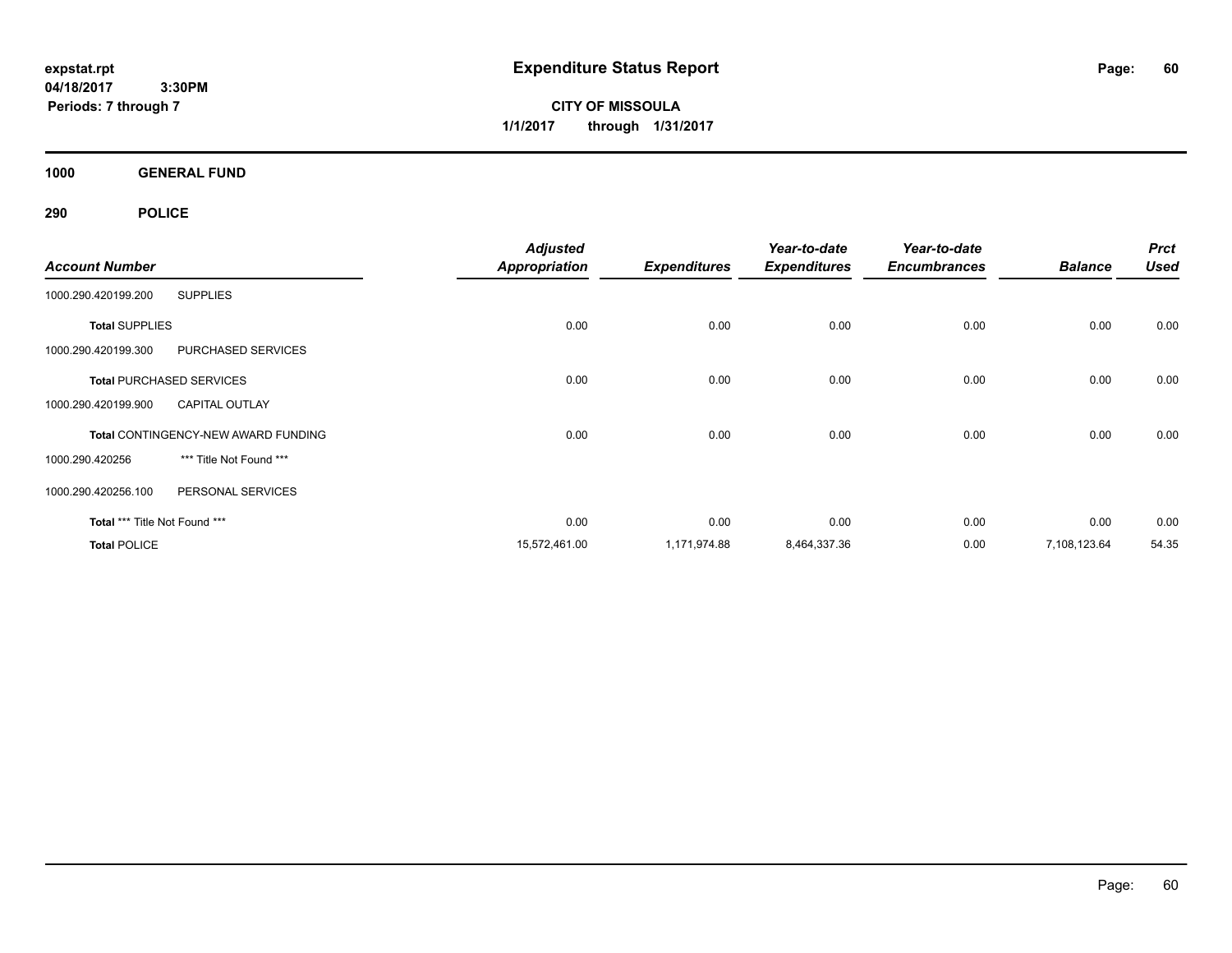**CITY OF MISSOULA 1/1/2017 through 1/31/2017**

**1000 GENERAL FUND**

|                               |                                            | <b>Adjusted</b>      |                     |                     | Year-to-date        |                | <b>Prct</b> |
|-------------------------------|--------------------------------------------|----------------------|---------------------|---------------------|---------------------|----------------|-------------|
| <b>Account Number</b>         |                                            | <b>Appropriation</b> | <b>Expenditures</b> | <b>Expenditures</b> | <b>Encumbrances</b> | <b>Balance</b> | <b>Used</b> |
| 1000.290.420199.200           | <b>SUPPLIES</b>                            |                      |                     |                     |                     |                |             |
| <b>Total SUPPLIES</b>         |                                            | 0.00                 | 0.00                | 0.00                | 0.00                | 0.00           | 0.00        |
| 1000.290.420199.300           | PURCHASED SERVICES                         |                      |                     |                     |                     |                |             |
|                               | <b>Total PURCHASED SERVICES</b>            | 0.00                 | 0.00                | 0.00                | 0.00                | 0.00           | 0.00        |
| 1000.290.420199.900           | <b>CAPITAL OUTLAY</b>                      |                      |                     |                     |                     |                |             |
|                               | <b>Total CONTINGENCY-NEW AWARD FUNDING</b> | 0.00                 | 0.00                | 0.00                | 0.00                | 0.00           | 0.00        |
| 1000.290.420256               | *** Title Not Found ***                    |                      |                     |                     |                     |                |             |
| 1000.290.420256.100           | PERSONAL SERVICES                          |                      |                     |                     |                     |                |             |
| Total *** Title Not Found *** |                                            | 0.00                 | 0.00                | 0.00                | 0.00                | 0.00           | 0.00        |
| <b>Total POLICE</b>           |                                            | 15,572,461.00        | 1,171,974.88        | 8,464,337.36        | 0.00                | 7,108,123.64   | 54.35       |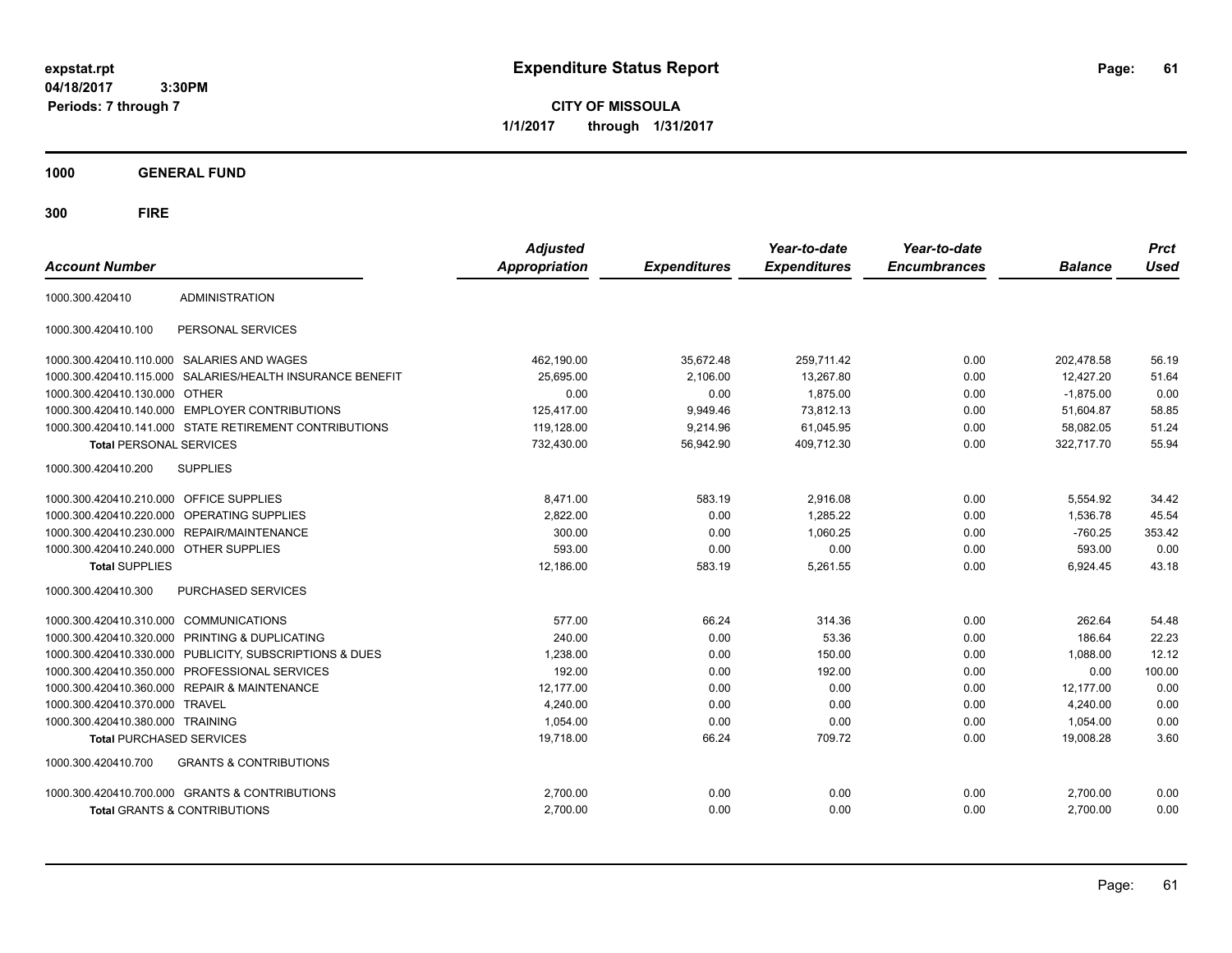**CITY OF MISSOULA 1/1/2017 through 1/31/2017**

**1000 GENERAL FUND**

| <b>Account Number</b>                   |                                                         | <b>Adjusted</b><br><b>Appropriation</b> | <b>Expenditures</b> | Year-to-date<br><b>Expenditures</b> | Year-to-date<br><b>Encumbrances</b> | <b>Balance</b> | <b>Prct</b><br><b>Used</b> |
|-----------------------------------------|---------------------------------------------------------|-----------------------------------------|---------------------|-------------------------------------|-------------------------------------|----------------|----------------------------|
| 1000.300.420410                         | <b>ADMINISTRATION</b>                                   |                                         |                     |                                     |                                     |                |                            |
| 1000.300.420410.100                     | PERSONAL SERVICES                                       |                                         |                     |                                     |                                     |                |                            |
|                                         | 1000.300.420410.110.000 SALARIES AND WAGES              | 462,190.00                              | 35,672.48           | 259.711.42                          | 0.00                                | 202.478.58     | 56.19                      |
| 1000.300.420410.115.000                 | SALARIES/HEALTH INSURANCE BENEFIT                       | 25,695.00                               | 2,106.00            | 13,267.80                           | 0.00                                | 12,427.20      | 51.64                      |
| 1000.300.420410.130.000                 | <b>OTHER</b>                                            | 0.00                                    | 0.00                | 1,875.00                            | 0.00                                | $-1,875.00$    | 0.00                       |
| 1000.300.420410.140.000                 | <b>EMPLOYER CONTRIBUTIONS</b>                           | 125,417.00                              | 9,949.46            | 73,812.13                           | 0.00                                | 51,604.87      | 58.85                      |
|                                         | 1000.300.420410.141.000 STATE RETIREMENT CONTRIBUTIONS  | 119,128.00                              | 9,214.96            | 61,045.95                           | 0.00                                | 58,082.05      | 51.24                      |
| <b>Total PERSONAL SERVICES</b>          |                                                         | 732,430.00                              | 56,942.90           | 409,712.30                          | 0.00                                | 322,717.70     | 55.94                      |
| 1000.300.420410.200                     | <b>SUPPLIES</b>                                         |                                         |                     |                                     |                                     |                |                            |
| 1000.300.420410.210.000 OFFICE SUPPLIES |                                                         | 8.471.00                                | 583.19              | 2.916.08                            | 0.00                                | 5.554.92       | 34.42                      |
| 1000.300.420410.220.000                 | OPERATING SUPPLIES                                      | 2,822.00                                | 0.00                | 1.285.22                            | 0.00                                | 1,536.78       | 45.54                      |
| 1000.300.420410.230.000                 | REPAIR/MAINTENANCE                                      | 300.00                                  | 0.00                | 1.060.25                            | 0.00                                | $-760.25$      | 353.42                     |
| 1000.300.420410.240.000 OTHER SUPPLIES  |                                                         | 593.00                                  | 0.00                | 0.00                                | 0.00                                | 593.00         | 0.00                       |
| <b>Total SUPPLIES</b>                   |                                                         | 12,186.00                               | 583.19              | 5,261.55                            | 0.00                                | 6,924.45       | 43.18                      |
| 1000.300.420410.300                     | <b>PURCHASED SERVICES</b>                               |                                         |                     |                                     |                                     |                |                            |
| 1000.300.420410.310.000 COMMUNICATIONS  |                                                         | 577.00                                  | 66.24               | 314.36                              | 0.00                                | 262.64         | 54.48                      |
| 1000.300.420410.320.000                 | <b>PRINTING &amp; DUPLICATING</b>                       | 240.00                                  | 0.00                | 53.36                               | 0.00                                | 186.64         | 22.23                      |
|                                         | 1000.300.420410.330.000 PUBLICITY, SUBSCRIPTIONS & DUES | 1,238.00                                | 0.00                | 150.00                              | 0.00                                | 1,088.00       | 12.12                      |
|                                         | 1000.300.420410.350.000 PROFESSIONAL SERVICES           | 192.00                                  | 0.00                | 192.00                              | 0.00                                | 0.00           | 100.00                     |
|                                         | 1000.300.420410.360.000 REPAIR & MAINTENANCE            | 12,177.00                               | 0.00                | 0.00                                | 0.00                                | 12,177.00      | 0.00                       |
| 1000.300.420410.370.000                 | <b>TRAVEL</b>                                           | 4.240.00                                | 0.00                | 0.00                                | 0.00                                | 4,240.00       | 0.00                       |
| 1000.300.420410.380.000 TRAINING        |                                                         | 1,054.00                                | 0.00                | 0.00                                | 0.00                                | 1,054.00       | 0.00                       |
| <b>Total PURCHASED SERVICES</b>         |                                                         | 19,718.00                               | 66.24               | 709.72                              | 0.00                                | 19,008.28      | 3.60                       |
| 1000.300.420410.700                     | <b>GRANTS &amp; CONTRIBUTIONS</b>                       |                                         |                     |                                     |                                     |                |                            |
|                                         | 1000.300.420410.700.000 GRANTS & CONTRIBUTIONS          | 2,700.00                                | 0.00                | 0.00                                | 0.00                                | 2,700.00       | 0.00                       |
|                                         | <b>Total GRANTS &amp; CONTRIBUTIONS</b>                 | 2,700.00                                | 0.00                | 0.00                                | 0.00                                | 2,700.00       | 0.00                       |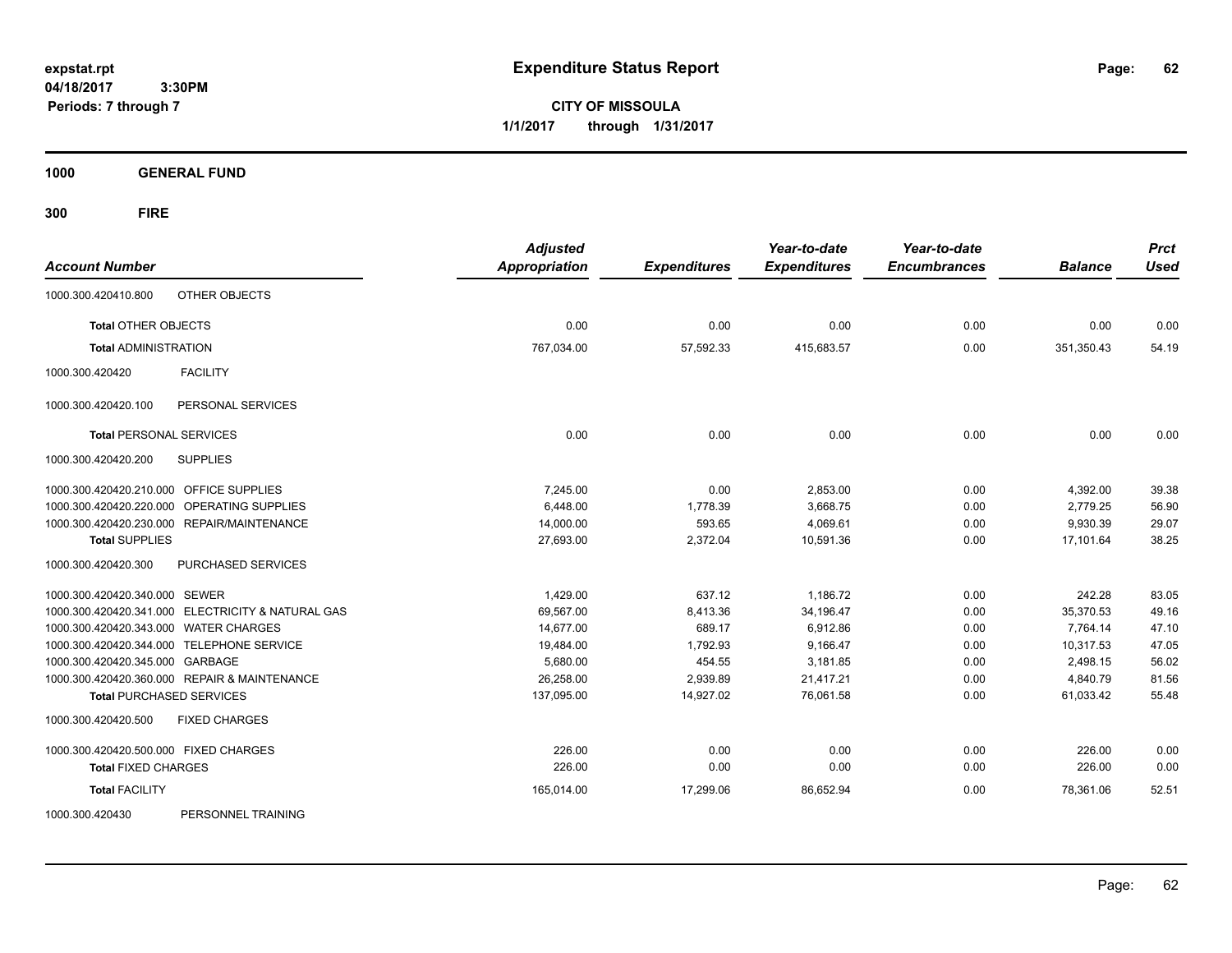**CITY OF MISSOULA 1/1/2017 through 1/31/2017**

**1000 GENERAL FUND**

**300 FIRE**

| <b>Account Number</b>                             | <b>Adjusted</b><br><b>Appropriation</b> | <b>Expenditures</b> | Year-to-date<br><b>Expenditures</b> | Year-to-date<br><b>Encumbrances</b> | <b>Balance</b> | <b>Prct</b><br><b>Used</b> |
|---------------------------------------------------|-----------------------------------------|---------------------|-------------------------------------|-------------------------------------|----------------|----------------------------|
|                                                   |                                         |                     |                                     |                                     |                |                            |
| OTHER OBJECTS<br>1000.300.420410.800              |                                         |                     |                                     |                                     |                |                            |
| <b>Total OTHER OBJECTS</b>                        | 0.00                                    | 0.00                | 0.00                                | 0.00                                | 0.00           | 0.00                       |
| <b>Total ADMINISTRATION</b>                       | 767,034.00                              | 57,592.33           | 415,683.57                          | 0.00                                | 351,350.43     | 54.19                      |
| 1000.300.420420<br><b>FACILITY</b>                |                                         |                     |                                     |                                     |                |                            |
| 1000.300.420420.100<br>PERSONAL SERVICES          |                                         |                     |                                     |                                     |                |                            |
| <b>Total PERSONAL SERVICES</b>                    | 0.00                                    | 0.00                | 0.00                                | 0.00                                | 0.00           | 0.00                       |
| 1000.300.420420.200<br><b>SUPPLIES</b>            |                                         |                     |                                     |                                     |                |                            |
| 1000.300.420420.210.000 OFFICE SUPPLIES           | 7.245.00                                | 0.00                | 2,853.00                            | 0.00                                | 4,392.00       | 39.38                      |
| 1000.300.420420.220.000 OPERATING SUPPLIES        | 6.448.00                                | 1,778.39            | 3,668.75                            | 0.00                                | 2,779.25       | 56.90                      |
| 1000.300.420420.230.000 REPAIR/MAINTENANCE        | 14,000.00                               | 593.65              | 4,069.61                            | 0.00                                | 9,930.39       | 29.07                      |
| <b>Total SUPPLIES</b>                             | 27,693.00                               | 2,372.04            | 10,591.36                           | 0.00                                | 17,101.64      | 38.25                      |
| 1000.300.420420.300<br>PURCHASED SERVICES         |                                         |                     |                                     |                                     |                |                            |
| 1000.300.420420.340.000 SEWER                     | 1,429.00                                | 637.12              | 1,186.72                            | 0.00                                | 242.28         | 83.05                      |
| 1000.300.420420.341.000 ELECTRICITY & NATURAL GAS | 69,567.00                               | 8,413.36            | 34,196.47                           | 0.00                                | 35,370.53      | 49.16                      |
| 1000.300.420420.343.000 WATER CHARGES             | 14,677.00                               | 689.17              | 6,912.86                            | 0.00                                | 7,764.14       | 47.10                      |
| 1000.300.420420.344.000 TELEPHONE SERVICE         | 19,484.00                               | 1,792.93            | 9,166.47                            | 0.00                                | 10,317.53      | 47.05                      |
| 1000.300.420420.345.000 GARBAGE                   | 5,680.00                                | 454.55              | 3,181.85                            | 0.00                                | 2,498.15       | 56.02                      |
| 1000.300.420420.360.000 REPAIR & MAINTENANCE      | 26,258.00                               | 2,939.89            | 21.417.21                           | 0.00                                | 4,840.79       | 81.56                      |
| <b>Total PURCHASED SERVICES</b>                   | 137,095.00                              | 14,927.02           | 76,061.58                           | 0.00                                | 61,033.42      | 55.48                      |
| 1000.300.420420.500<br><b>FIXED CHARGES</b>       |                                         |                     |                                     |                                     |                |                            |
| 1000.300.420420.500.000 FIXED CHARGES             | 226.00                                  | 0.00                | 0.00                                | 0.00                                | 226.00         | 0.00                       |
| <b>Total FIXED CHARGES</b>                        | 226.00                                  | 0.00                | 0.00                                | 0.00                                | 226.00         | 0.00                       |
| <b>Total FACILITY</b>                             | 165,014.00                              | 17.299.06           | 86.652.94                           | 0.00                                | 78.361.06      | 52.51                      |
| DEDCAMMEL TRAINING<br>1000 300 120130             |                                         |                     |                                     |                                     |                |                            |

1000.300.420430 PERSONNEL TRAINING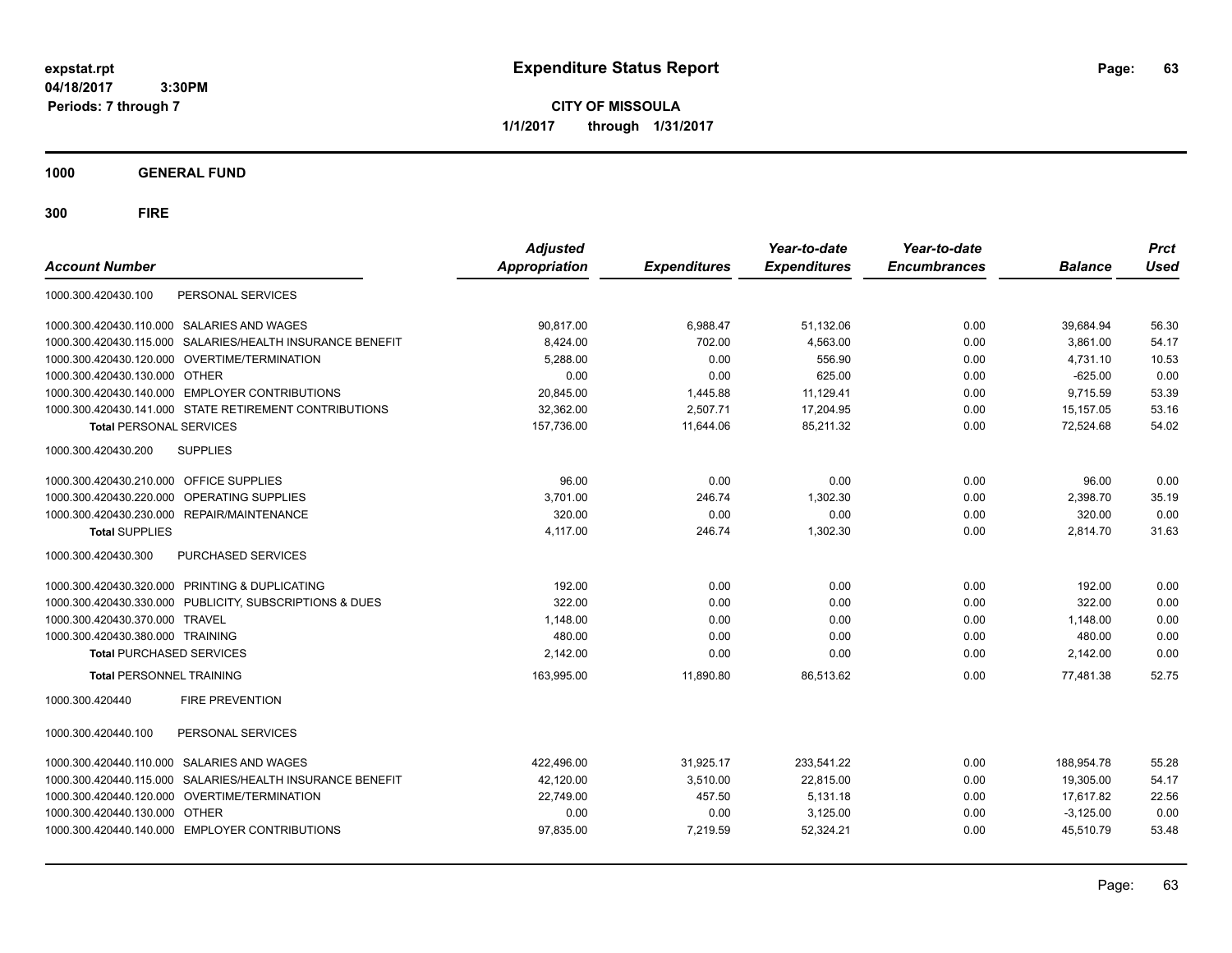**CITY OF MISSOULA 1/1/2017 through 1/31/2017**

**1000 GENERAL FUND**

| <b>Account Number</b>                                        | <b>Adjusted</b><br><b>Appropriation</b> | <b>Expenditures</b> | Year-to-date<br><b>Expenditures</b> | Year-to-date<br><b>Encumbrances</b> | <b>Balance</b> | <b>Prct</b><br><b>Used</b> |
|--------------------------------------------------------------|-----------------------------------------|---------------------|-------------------------------------|-------------------------------------|----------------|----------------------------|
| 1000.300.420430.100<br>PERSONAL SERVICES                     |                                         |                     |                                     |                                     |                |                            |
| 1000.300.420430.110.000 SALARIES AND WAGES                   | 90.817.00                               | 6,988.47            | 51,132.06                           | 0.00                                | 39,684.94      | 56.30                      |
| SALARIES/HEALTH INSURANCE BENEFIT<br>1000.300.420430.115.000 | 8,424.00                                | 702.00              | 4,563.00                            | 0.00                                | 3,861.00       | 54.17                      |
| 1000.300.420430.120.000 OVERTIME/TERMINATION                 | 5,288.00                                | 0.00                | 556.90                              | 0.00                                | 4,731.10       | 10.53                      |
| 1000.300.420430.130.000 OTHER                                | 0.00                                    | 0.00                | 625.00                              | 0.00                                | $-625.00$      | 0.00                       |
| 1000.300.420430.140.000 EMPLOYER CONTRIBUTIONS               | 20,845.00                               | 1,445.88            | 11,129.41                           | 0.00                                | 9,715.59       | 53.39                      |
| 1000.300.420430.141.000 STATE RETIREMENT CONTRIBUTIONS       | 32,362.00                               | 2,507.71            | 17,204.95                           | 0.00                                | 15,157.05      | 53.16                      |
| <b>Total PERSONAL SERVICES</b>                               | 157.736.00                              | 11,644.06           | 85,211.32                           | 0.00                                | 72,524.68      | 54.02                      |
| 1000.300.420430.200<br><b>SUPPLIES</b>                       |                                         |                     |                                     |                                     |                |                            |
| OFFICE SUPPLIES<br>1000.300.420430.210.000                   | 96.00                                   | 0.00                | 0.00                                | 0.00                                | 96.00          | 0.00                       |
| 1000.300.420430.220.000<br>OPERATING SUPPLIES                | 3,701.00                                | 246.74              | 1,302.30                            | 0.00                                | 2,398.70       | 35.19                      |
| 1000.300.420430.230.000<br>REPAIR/MAINTENANCE                | 320.00                                  | 0.00                | 0.00                                | 0.00                                | 320.00         | 0.00                       |
| <b>Total SUPPLIES</b>                                        | 4,117.00                                | 246.74              | 1,302.30                            | 0.00                                | 2,814.70       | 31.63                      |
| <b>PURCHASED SERVICES</b><br>1000.300.420430.300             |                                         |                     |                                     |                                     |                |                            |
| 1000.300.420430.320.000 PRINTING & DUPLICATING               | 192.00                                  | 0.00                | 0.00                                | 0.00                                | 192.00         | 0.00                       |
| 1000.300.420430.330.000 PUBLICITY, SUBSCRIPTIONS & DUES      | 322.00                                  | 0.00                | 0.00                                | 0.00                                | 322.00         | 0.00                       |
| 1000.300.420430.370.000 TRAVEL                               | 1,148.00                                | 0.00                | 0.00                                | 0.00                                | 1,148.00       | 0.00                       |
| 1000.300.420430.380.000 TRAINING                             | 480.00                                  | 0.00                | 0.00                                | 0.00                                | 480.00         | 0.00                       |
| <b>Total PURCHASED SERVICES</b>                              | 2,142.00                                | 0.00                | 0.00                                | 0.00                                | 2,142.00       | 0.00                       |
| <b>Total PERSONNEL TRAINING</b>                              | 163,995.00                              | 11,890.80           | 86,513.62                           | 0.00                                | 77.481.38      | 52.75                      |
| <b>FIRE PREVENTION</b><br>1000.300.420440                    |                                         |                     |                                     |                                     |                |                            |
| PERSONAL SERVICES<br>1000.300.420440.100                     |                                         |                     |                                     |                                     |                |                            |
| SALARIES AND WAGES<br>1000.300.420440.110.000                | 422,496.00                              | 31,925.17           | 233,541.22                          | 0.00                                | 188,954.78     | 55.28                      |
| SALARIES/HEALTH INSURANCE BENEFIT<br>1000.300.420440.115.000 | 42,120.00                               | 3.510.00            | 22,815.00                           | 0.00                                | 19,305.00      | 54.17                      |
| OVERTIME/TERMINATION<br>1000.300.420440.120.000              | 22,749.00                               | 457.50              | 5,131.18                            | 0.00                                | 17,617.82      | 22.56                      |
| 1000.300.420440.130.000<br><b>OTHER</b>                      | 0.00                                    | 0.00                | 3,125.00                            | 0.00                                | $-3,125.00$    | 0.00                       |
| 1000.300.420440.140.000 EMPLOYER CONTRIBUTIONS               | 97,835.00                               | 7,219.59            | 52,324.21                           | 0.00                                | 45,510.79      | 53.48                      |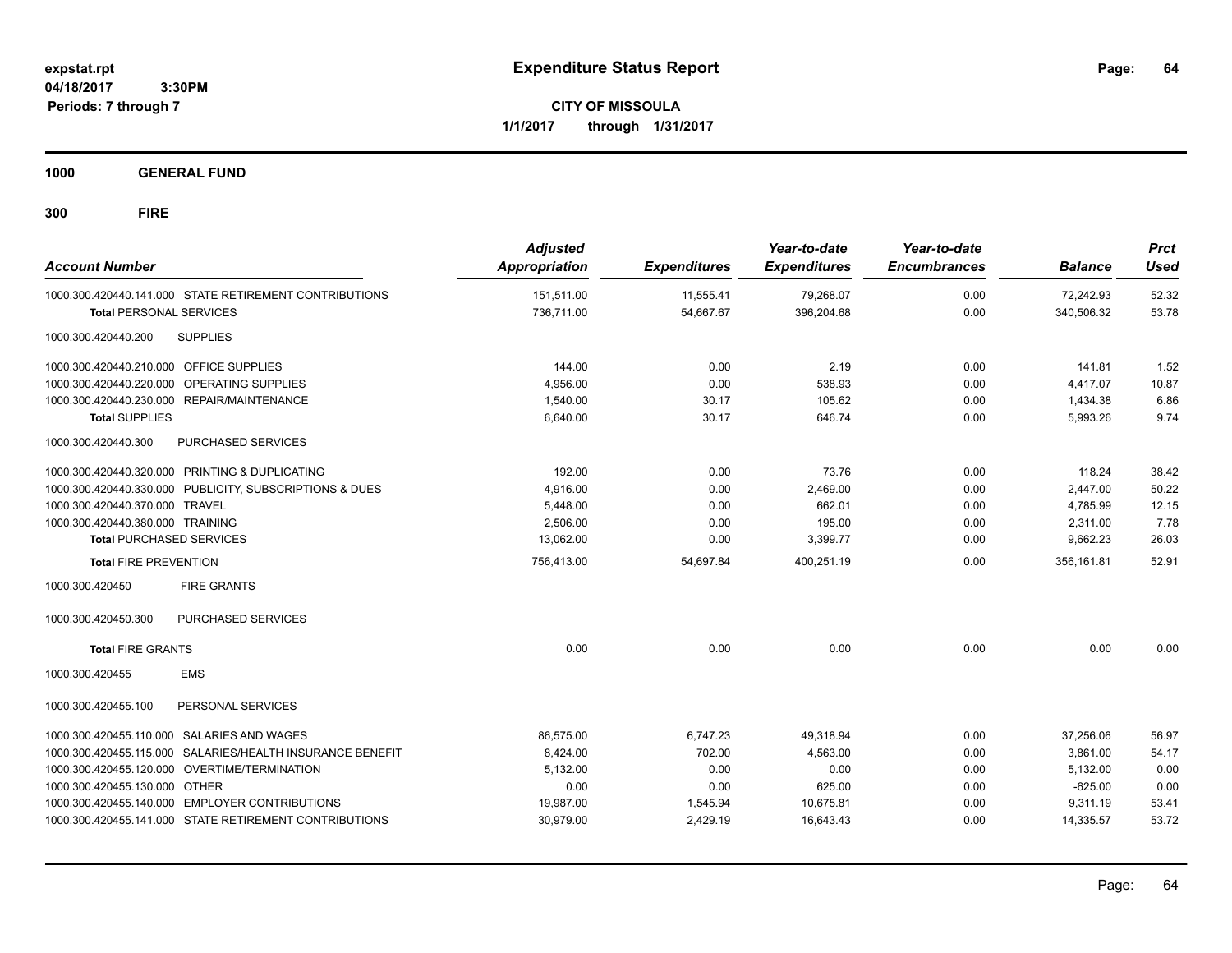**CITY OF MISSOULA 1/1/2017 through 1/31/2017**

**1000 GENERAL FUND**

| <b>Account Number</b>                                                                    | <b>Adjusted</b><br>Appropriation | <b>Expenditures</b>    | Year-to-date<br><b>Expenditures</b> | Year-to-date<br><b>Encumbrances</b> | <b>Balance</b>          | <b>Prct</b><br><b>Used</b> |
|------------------------------------------------------------------------------------------|----------------------------------|------------------------|-------------------------------------|-------------------------------------|-------------------------|----------------------------|
| 1000.300.420440.141.000 STATE RETIREMENT CONTRIBUTIONS<br><b>Total PERSONAL SERVICES</b> | 151,511.00<br>736.711.00         | 11,555.41<br>54,667.67 | 79,268.07<br>396,204.68             | 0.00<br>0.00                        | 72,242.93<br>340,506.32 | 52.32<br>53.78             |
| 1000.300.420440.200<br><b>SUPPLIES</b>                                                   |                                  |                        |                                     |                                     |                         |                            |
| 1000.300.420440.210.000 OFFICE SUPPLIES                                                  | 144.00                           | 0.00                   | 2.19                                | 0.00                                | 141.81                  | 1.52                       |
| 1000.300.420440.220.000 OPERATING SUPPLIES                                               | 4,956.00                         | 0.00                   | 538.93                              | 0.00                                | 4,417.07                | 10.87                      |
| 1000.300.420440.230.000 REPAIR/MAINTENANCE                                               | 1,540.00                         | 30.17                  | 105.62                              | 0.00                                | 1,434.38                | 6.86                       |
| <b>Total SUPPLIES</b>                                                                    | 6,640.00                         | 30.17                  | 646.74                              | 0.00                                | 5,993.26                | 9.74                       |
| PURCHASED SERVICES<br>1000.300.420440.300                                                |                                  |                        |                                     |                                     |                         |                            |
| 1000.300.420440.320.000 PRINTING & DUPLICATING                                           | 192.00                           | 0.00                   | 73.76                               | 0.00                                | 118.24                  | 38.42                      |
| 1000.300.420440.330.000 PUBLICITY, SUBSCRIPTIONS & DUES                                  | 4,916.00                         | 0.00                   | 2,469.00                            | 0.00                                | 2,447.00                | 50.22                      |
| 1000.300.420440.370.000 TRAVEL                                                           | 5,448.00                         | 0.00                   | 662.01                              | 0.00                                | 4,785.99                | 12.15                      |
| 1000.300.420440.380.000 TRAINING                                                         | 2.506.00                         | 0.00                   | 195.00                              | 0.00                                | 2.311.00                | 7.78                       |
| <b>Total PURCHASED SERVICES</b>                                                          | 13,062.00                        | 0.00                   | 3,399.77                            | 0.00                                | 9,662.23                | 26.03                      |
| <b>Total FIRE PREVENTION</b>                                                             | 756,413.00                       | 54,697.84              | 400,251.19                          | 0.00                                | 356,161.81              | 52.91                      |
| 1000.300.420450<br><b>FIRE GRANTS</b>                                                    |                                  |                        |                                     |                                     |                         |                            |
| 1000.300.420450.300<br>PURCHASED SERVICES                                                |                                  |                        |                                     |                                     |                         |                            |
| <b>Total FIRE GRANTS</b>                                                                 | 0.00                             | 0.00                   | 0.00                                | 0.00                                | 0.00                    | 0.00                       |
| 1000.300.420455<br><b>EMS</b>                                                            |                                  |                        |                                     |                                     |                         |                            |
| 1000.300.420455.100<br>PERSONAL SERVICES                                                 |                                  |                        |                                     |                                     |                         |                            |
| 1000.300.420455.110.000 SALARIES AND WAGES                                               | 86,575.00                        | 6,747.23               | 49,318.94                           | 0.00                                | 37,256.06               | 56.97                      |
| 1000.300.420455.115.000 SALARIES/HEALTH INSURANCE BENEFIT                                | 8,424.00                         | 702.00                 | 4,563.00                            | 0.00                                | 3,861.00                | 54.17                      |
| 1000.300.420455.120.000 OVERTIME/TERMINATION                                             | 5,132.00                         | 0.00                   | 0.00                                | 0.00                                | 5,132.00                | 0.00                       |
| 1000.300.420455.130.000 OTHER                                                            | 0.00                             | 0.00                   | 625.00                              | 0.00                                | $-625.00$               | 0.00                       |
| 1000.300.420455.140.000 EMPLOYER CONTRIBUTIONS                                           | 19,987.00                        | 1,545.94               | 10,675.81                           | 0.00                                | 9,311.19                | 53.41                      |
| 1000.300.420455.141.000 STATE RETIREMENT CONTRIBUTIONS                                   | 30,979.00                        | 2,429.19               | 16.643.43                           | 0.00                                | 14,335.57               | 53.72                      |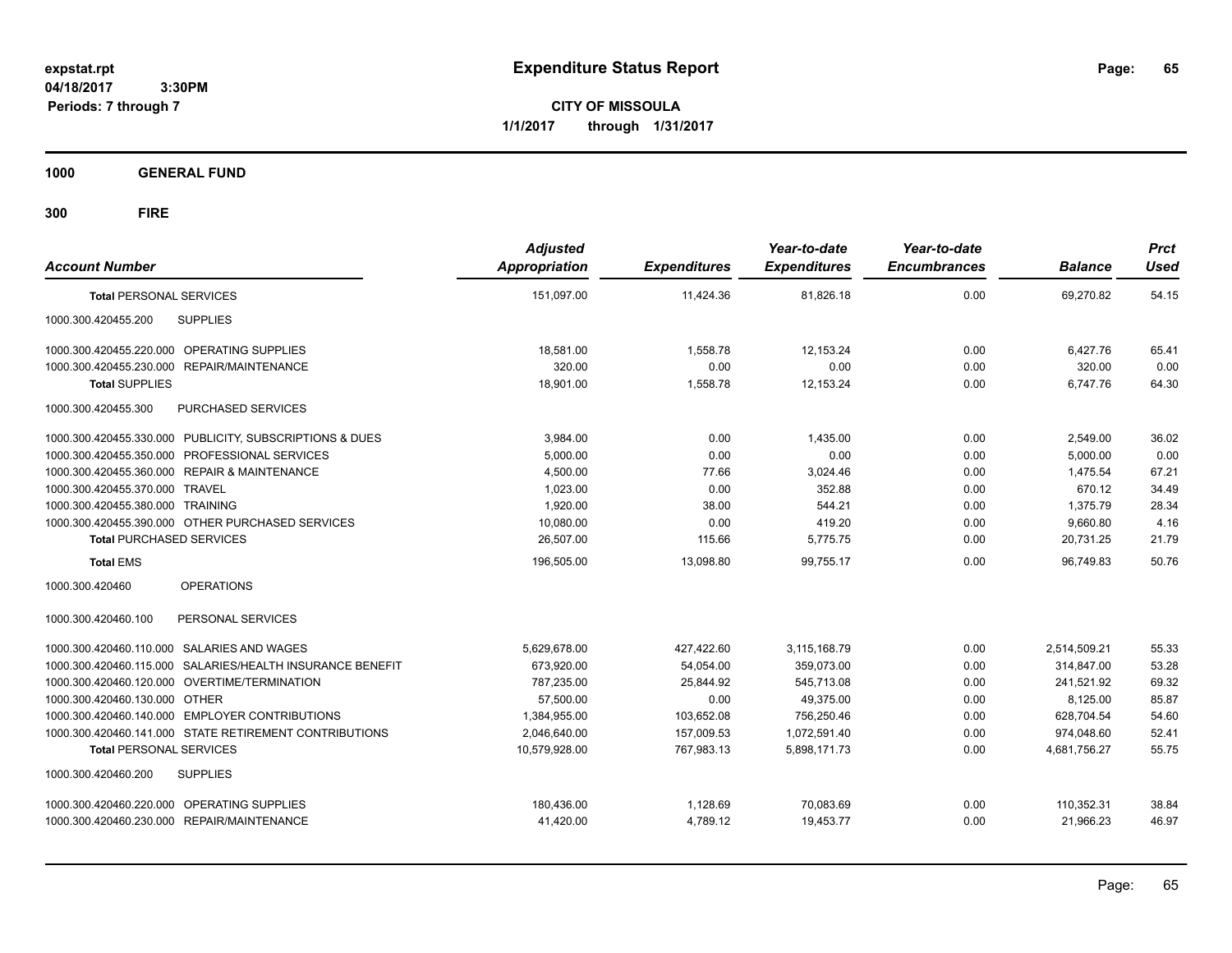**CITY OF MISSOULA 1/1/2017 through 1/31/2017**

**1000 GENERAL FUND**

| <b>Account Number</b>                                     | <b>Adjusted</b><br>Appropriation | <b>Expenditures</b> | Year-to-date<br><b>Expenditures</b> | Year-to-date<br><b>Encumbrances</b> | <b>Balance</b> | <b>Prct</b><br><b>Used</b> |
|-----------------------------------------------------------|----------------------------------|---------------------|-------------------------------------|-------------------------------------|----------------|----------------------------|
| <b>Total PERSONAL SERVICES</b>                            | 151,097.00                       | 11,424.36           | 81,826.18                           | 0.00                                | 69,270.82      | 54.15                      |
| 1000.300.420455.200<br><b>SUPPLIES</b>                    |                                  |                     |                                     |                                     |                |                            |
| 1000.300.420455.220.000 OPERATING SUPPLIES                | 18,581.00                        | 1,558.78            | 12.153.24                           | 0.00                                | 6,427.76       | 65.41                      |
| 1000.300.420455.230.000 REPAIR/MAINTENANCE                | 320.00                           | 0.00                | 0.00                                | 0.00                                | 320.00         | 0.00                       |
| <b>Total SUPPLIES</b>                                     | 18,901.00                        | 1,558.78            | 12,153.24                           | 0.00                                | 6,747.76       | 64.30                      |
| PURCHASED SERVICES<br>1000.300.420455.300                 |                                  |                     |                                     |                                     |                |                            |
| 1000.300.420455.330.000 PUBLICITY, SUBSCRIPTIONS & DUES   | 3.984.00                         | 0.00                | 1.435.00                            | 0.00                                | 2,549.00       | 36.02                      |
| 1000.300.420455.350.000 PROFESSIONAL SERVICES             | 5,000.00                         | 0.00                | 0.00                                | 0.00                                | 5,000.00       | 0.00                       |
| 1000.300.420455.360.000 REPAIR & MAINTENANCE              | 4,500.00                         | 77.66               | 3,024.46                            | 0.00                                | 1,475.54       | 67.21                      |
| 1000.300.420455.370.000 TRAVEL                            | 1,023.00                         | 0.00                | 352.88                              | 0.00                                | 670.12         | 34.49                      |
| 1000.300.420455.380.000 TRAINING                          | 1,920.00                         | 38.00               | 544.21                              | 0.00                                | 1,375.79       | 28.34                      |
| 1000.300.420455.390.000 OTHER PURCHASED SERVICES          | 10,080.00                        | 0.00                | 419.20                              | 0.00                                | 9,660.80       | 4.16                       |
| <b>Total PURCHASED SERVICES</b>                           | 26.507.00                        | 115.66              | 5,775.75                            | 0.00                                | 20.731.25      | 21.79                      |
| <b>Total EMS</b>                                          | 196,505.00                       | 13,098.80           | 99.755.17                           | 0.00                                | 96.749.83      | 50.76                      |
| 1000.300.420460<br><b>OPERATIONS</b>                      |                                  |                     |                                     |                                     |                |                            |
| 1000.300.420460.100<br>PERSONAL SERVICES                  |                                  |                     |                                     |                                     |                |                            |
| 1000.300.420460.110.000 SALARIES AND WAGES                | 5,629,678.00                     | 427,422.60          | 3,115,168.79                        | 0.00                                | 2,514,509.21   | 55.33                      |
| 1000.300.420460.115.000 SALARIES/HEALTH INSURANCE BENEFIT | 673.920.00                       | 54,054.00           | 359.073.00                          | 0.00                                | 314.847.00     | 53.28                      |
| 1000.300.420460.120.000 OVERTIME/TERMINATION              | 787,235.00                       | 25,844.92           | 545,713.08                          | 0.00                                | 241,521.92     | 69.32                      |
| 1000.300.420460.130.000 OTHER                             | 57,500.00                        | 0.00                | 49,375.00                           | 0.00                                | 8,125.00       | 85.87                      |
| 1000.300.420460.140.000 EMPLOYER CONTRIBUTIONS            | 1.384.955.00                     | 103.652.08          | 756.250.46                          | 0.00                                | 628.704.54     | 54.60                      |
| 1000.300.420460.141.000 STATE RETIREMENT CONTRIBUTIONS    | 2,046,640.00                     | 157,009.53          | 1,072,591.40                        | 0.00                                | 974,048.60     | 52.41                      |
| <b>Total PERSONAL SERVICES</b>                            | 10,579,928.00                    | 767,983.13          | 5,898,171.73                        | 0.00                                | 4,681,756.27   | 55.75                      |
| 1000.300.420460.200<br><b>SUPPLIES</b>                    |                                  |                     |                                     |                                     |                |                            |
| 1000.300.420460.220.000 OPERATING SUPPLIES                | 180.436.00                       | 1,128.69            | 70,083.69                           | 0.00                                | 110,352.31     | 38.84                      |
| 1000.300.420460.230.000 REPAIR/MAINTENANCE                | 41,420.00                        | 4,789.12            | 19.453.77                           | 0.00                                | 21.966.23      | 46.97                      |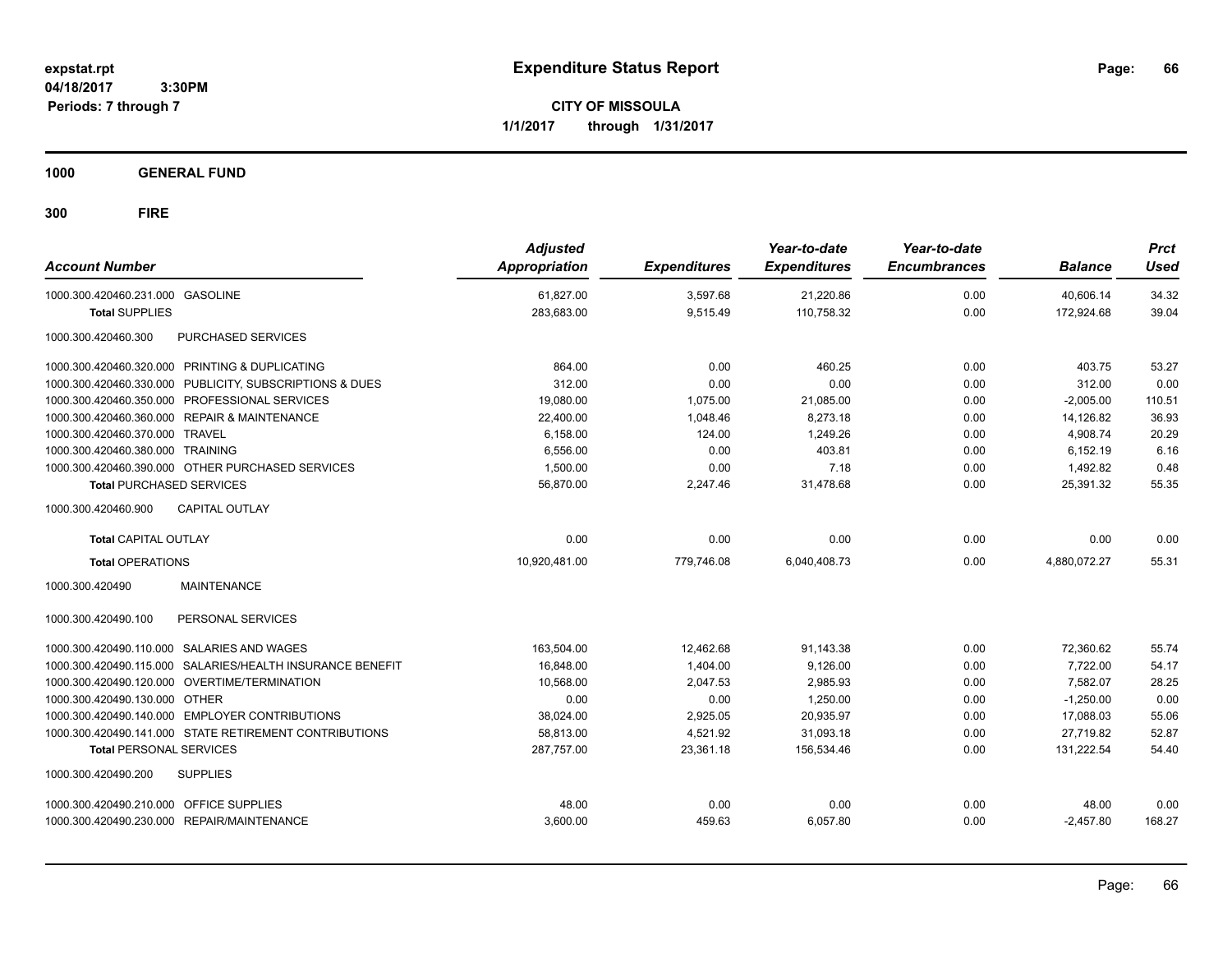**CITY OF MISSOULA 1/1/2017 through 1/31/2017**

**1000 GENERAL FUND**

| <b>Account Number</b>                                        | <b>Adjusted</b><br>Appropriation | <b>Expenditures</b> | Year-to-date<br><b>Expenditures</b> | Year-to-date<br><b>Encumbrances</b> | <b>Balance</b> | <b>Prct</b><br><b>Used</b> |
|--------------------------------------------------------------|----------------------------------|---------------------|-------------------------------------|-------------------------------------|----------------|----------------------------|
| 1000.300.420460.231.000 GASOLINE                             | 61,827.00                        | 3,597.68            | 21,220.86                           | 0.00                                | 40,606.14      | 34.32                      |
| <b>Total SUPPLIES</b>                                        | 283,683.00                       | 9,515.49            | 110,758.32                          | 0.00                                | 172,924.68     | 39.04                      |
| <b>PURCHASED SERVICES</b><br>1000.300.420460.300             |                                  |                     |                                     |                                     |                |                            |
| 1000.300.420460.320.000 PRINTING & DUPLICATING               | 864.00                           | 0.00                | 460.25                              | 0.00                                | 403.75         | 53.27                      |
| 1000.300.420460.330.000 PUBLICITY, SUBSCRIPTIONS & DUES      | 312.00                           | 0.00                | 0.00                                | 0.00                                | 312.00         | 0.00                       |
| 1000.300.420460.350.000 PROFESSIONAL SERVICES                | 19,080.00                        | 1,075.00            | 21,085.00                           | 0.00                                | $-2.005.00$    | 110.51                     |
| 1000.300.420460.360.000 REPAIR & MAINTENANCE                 | 22,400.00                        | 1,048.46            | 8,273.18                            | 0.00                                | 14,126.82      | 36.93                      |
| 1000.300.420460.370.000 TRAVEL                               | 6,158.00                         | 124.00              | 1,249.26                            | 0.00                                | 4,908.74       | 20.29                      |
| 1000.300.420460.380.000 TRAINING                             | 6,556.00                         | 0.00                | 403.81                              | 0.00                                | 6,152.19       | 6.16                       |
| 1000.300.420460.390.000 OTHER PURCHASED SERVICES             | 1,500.00                         | 0.00                | 7.18                                | 0.00                                | 1,492.82       | 0.48                       |
| <b>Total PURCHASED SERVICES</b>                              | 56,870.00                        | 2,247.46            | 31,478.68                           | 0.00                                | 25,391.32      | 55.35                      |
| 1000.300.420460.900<br><b>CAPITAL OUTLAY</b>                 |                                  |                     |                                     |                                     |                |                            |
| <b>Total CAPITAL OUTLAY</b>                                  | 0.00                             | 0.00                | 0.00                                | 0.00                                | 0.00           | 0.00                       |
| <b>Total OPERATIONS</b>                                      | 10,920,481.00                    | 779,746.08          | 6,040,408.73                        | 0.00                                | 4,880,072.27   | 55.31                      |
| <b>MAINTENANCE</b><br>1000.300.420490                        |                                  |                     |                                     |                                     |                |                            |
| 1000.300.420490.100<br>PERSONAL SERVICES                     |                                  |                     |                                     |                                     |                |                            |
| 1000.300.420490.110.000 SALARIES AND WAGES                   | 163,504.00                       | 12.462.68           | 91,143.38                           | 0.00                                | 72,360.62      | 55.74                      |
| SALARIES/HEALTH INSURANCE BENEFIT<br>1000.300.420490.115.000 | 16.848.00                        | 1.404.00            | 9,126.00                            | 0.00                                | 7.722.00       | 54.17                      |
| 1000.300.420490.120.000 OVERTIME/TERMINATION                 | 10,568.00                        | 2,047.53            | 2,985.93                            | 0.00                                | 7,582.07       | 28.25                      |
| 1000.300.420490.130.000 OTHER                                | 0.00                             | 0.00                | 1,250.00                            | 0.00                                | $-1,250.00$    | 0.00                       |
| 1000.300.420490.140.000 EMPLOYER CONTRIBUTIONS               | 38,024.00                        | 2,925.05            | 20,935.97                           | 0.00                                | 17,088.03      | 55.06                      |
| 1000.300.420490.141.000 STATE RETIREMENT CONTRIBUTIONS       | 58,813.00                        | 4,521.92            | 31,093.18                           | 0.00                                | 27.719.82      | 52.87                      |
| <b>Total PERSONAL SERVICES</b>                               | 287,757.00                       | 23,361.18           | 156,534.46                          | 0.00                                | 131,222.54     | 54.40                      |
| <b>SUPPLIES</b><br>1000.300.420490.200                       |                                  |                     |                                     |                                     |                |                            |
| 1000.300.420490.210.000 OFFICE SUPPLIES                      | 48.00                            | 0.00                | 0.00                                | 0.00                                | 48.00          | 0.00                       |
| 1000.300.420490.230.000 REPAIR/MAINTENANCE                   | 3,600.00                         | 459.63              | 6,057.80                            | 0.00                                | $-2,457.80$    | 168.27                     |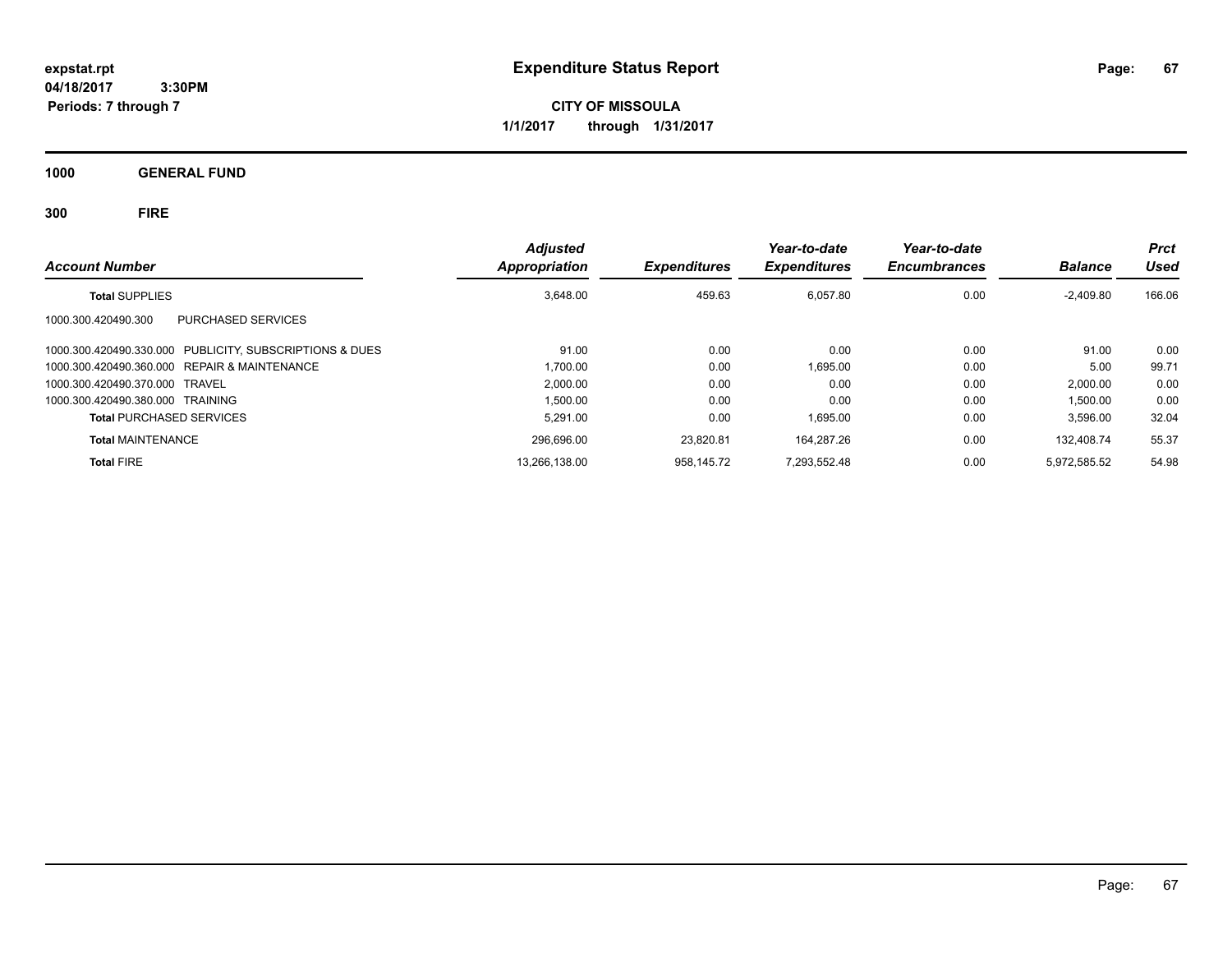**CITY OF MISSOULA 1/1/2017 through 1/31/2017**

**1000 GENERAL FUND**

| <b>Account Number</b>                                   | <b>Adjusted</b><br>Appropriation | <b>Expenditures</b> | Year-to-date<br><b>Expenditures</b> | Year-to-date<br><b>Encumbrances</b> | <b>Balance</b> | <b>Prct</b><br>Used |
|---------------------------------------------------------|----------------------------------|---------------------|-------------------------------------|-------------------------------------|----------------|---------------------|
| <b>Total SUPPLIES</b>                                   | 3,648.00                         | 459.63              | 6,057.80                            | 0.00                                | $-2,409.80$    | 166.06              |
| <b>PURCHASED SERVICES</b><br>1000.300.420490.300        |                                  |                     |                                     |                                     |                |                     |
| 1000.300.420490.330.000 PUBLICITY, SUBSCRIPTIONS & DUES | 91.00                            | 0.00                | 0.00                                | 0.00                                | 91.00          | 0.00                |
| 1000.300.420490.360.000 REPAIR & MAINTENANCE            | 1.700.00                         | 0.00                | 1.695.00                            | 0.00                                | 5.00           | 99.71               |
| 1000.300.420490.370.000 TRAVEL                          | 2,000.00                         | 0.00                | 0.00                                | 0.00                                | 2.000.00       | 0.00                |
| 1000.300.420490.380.000 TRAINING                        | 1.500.00                         | 0.00                | 0.00                                | 0.00                                | 1,500.00       | 0.00                |
| <b>Total PURCHASED SERVICES</b>                         | 5,291.00                         | 0.00                | 1.695.00                            | 0.00                                | 3,596.00       | 32.04               |
| <b>Total MAINTENANCE</b>                                | 296,696.00                       | 23.820.81           | 164.287.26                          | 0.00                                | 132.408.74     | 55.37               |
| <b>Total FIRE</b>                                       | 13,266,138.00                    | 958.145.72          | 7.293.552.48                        | 0.00                                | 5.972.585.52   | 54.98               |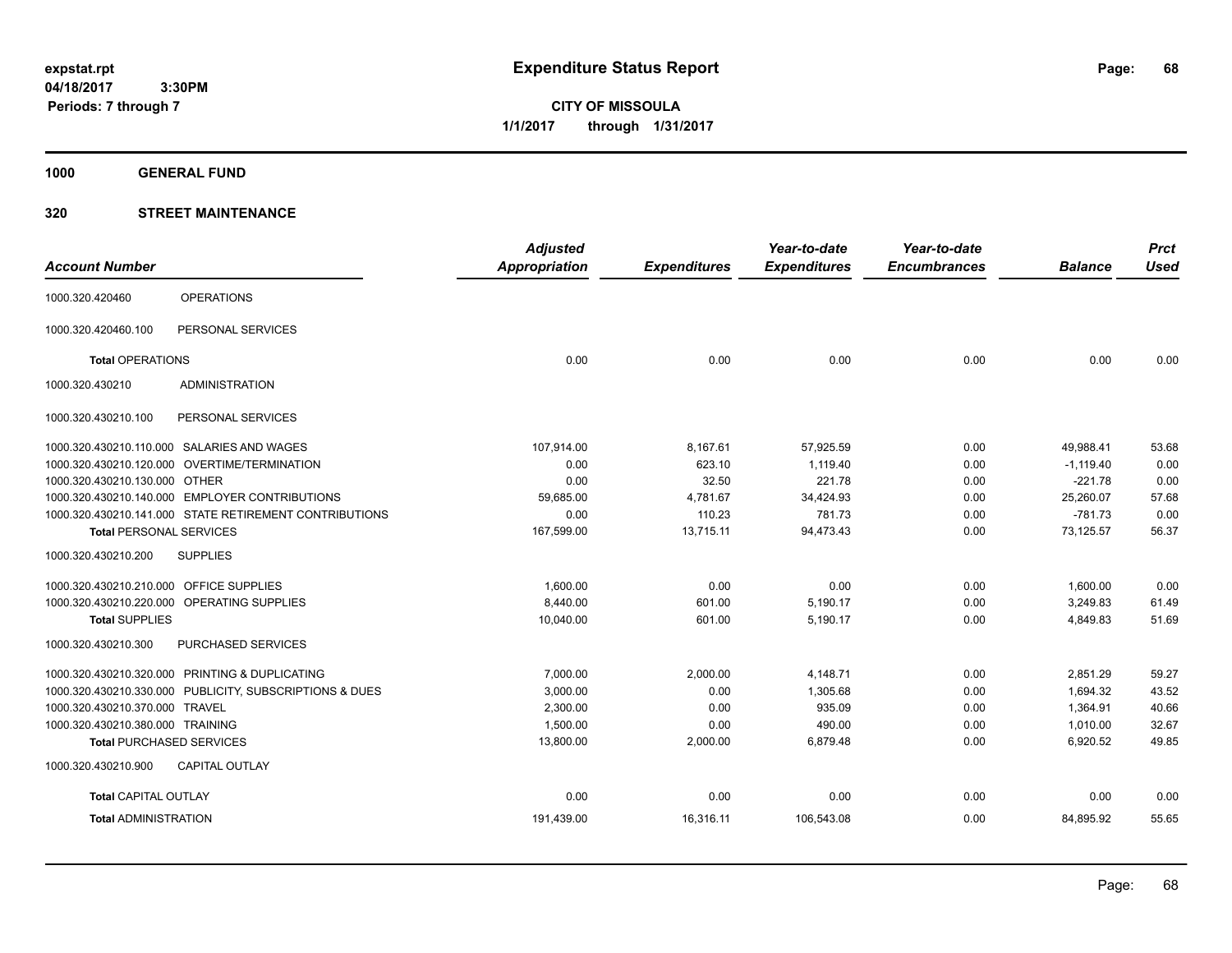**CITY OF MISSOULA 1/1/2017 through 1/31/2017**

**1000 GENERAL FUND**

|                                         |                                                        | <b>Adjusted</b> |                     | Year-to-date        | Year-to-date        |                | <b>Prct</b> |
|-----------------------------------------|--------------------------------------------------------|-----------------|---------------------|---------------------|---------------------|----------------|-------------|
| <b>Account Number</b>                   |                                                        | Appropriation   | <b>Expenditures</b> | <b>Expenditures</b> | <b>Encumbrances</b> | <b>Balance</b> | <b>Used</b> |
| 1000.320.420460                         | <b>OPERATIONS</b>                                      |                 |                     |                     |                     |                |             |
| 1000.320.420460.100                     | PERSONAL SERVICES                                      |                 |                     |                     |                     |                |             |
| <b>Total OPERATIONS</b>                 |                                                        | 0.00            | 0.00                | 0.00                | 0.00                | 0.00           | 0.00        |
| 1000.320.430210                         | <b>ADMINISTRATION</b>                                  |                 |                     |                     |                     |                |             |
| 1000.320.430210.100                     | PERSONAL SERVICES                                      |                 |                     |                     |                     |                |             |
|                                         | 1000.320.430210.110.000 SALARIES AND WAGES             | 107,914.00      | 8,167.61            | 57,925.59           | 0.00                | 49,988.41      | 53.68       |
|                                         | 1000.320.430210.120.000 OVERTIME/TERMINATION           | 0.00            | 623.10              | 1,119.40            | 0.00                | $-1.119.40$    | 0.00        |
| 1000.320.430210.130.000 OTHER           |                                                        | 0.00            | 32.50               | 221.78              | 0.00                | $-221.78$      | 0.00        |
|                                         | 1000.320.430210.140.000 EMPLOYER CONTRIBUTIONS         | 59,685.00       | 4,781.67            | 34,424.93           | 0.00                | 25,260.07      | 57.68       |
|                                         | 1000.320.430210.141.000 STATE RETIREMENT CONTRIBUTIONS | 0.00            | 110.23              | 781.73              | 0.00                | $-781.73$      | 0.00        |
| <b>Total PERSONAL SERVICES</b>          |                                                        | 167,599.00      | 13,715.11           | 94,473.43           | 0.00                | 73,125.57      | 56.37       |
| 1000.320.430210.200                     | <b>SUPPLIES</b>                                        |                 |                     |                     |                     |                |             |
| 1000.320.430210.210.000 OFFICE SUPPLIES |                                                        | 1,600.00        | 0.00                | 0.00                | 0.00                | 1,600.00       | 0.00        |
|                                         | 1000.320.430210.220.000 OPERATING SUPPLIES             | 8.440.00        | 601.00              | 5,190.17            | 0.00                | 3,249.83       | 61.49       |
| <b>Total SUPPLIES</b>                   |                                                        | 10,040.00       | 601.00              | 5,190.17            | 0.00                | 4,849.83       | 51.69       |
| 1000.320.430210.300                     | PURCHASED SERVICES                                     |                 |                     |                     |                     |                |             |
|                                         | 1000.320.430210.320.000 PRINTING & DUPLICATING         | 7,000.00        | 2,000.00            | 4,148.71            | 0.00                | 2,851.29       | 59.27       |
| 1000.320.430210.330.000                 | PUBLICITY, SUBSCRIPTIONS & DUES                        | 3,000.00        | 0.00                | 1,305.68            | 0.00                | 1,694.32       | 43.52       |
| 1000.320.430210.370.000                 | <b>TRAVEL</b>                                          | 2,300.00        | 0.00                | 935.09              | 0.00                | 1,364.91       | 40.66       |
| 1000.320.430210.380.000 TRAINING        |                                                        | 1,500.00        | 0.00                | 490.00              | 0.00                | 1,010.00       | 32.67       |
|                                         | <b>Total PURCHASED SERVICES</b>                        | 13,800.00       | 2,000.00            | 6,879.48            | 0.00                | 6,920.52       | 49.85       |
| 1000.320.430210.900                     | <b>CAPITAL OUTLAY</b>                                  |                 |                     |                     |                     |                |             |
| <b>Total CAPITAL OUTLAY</b>             |                                                        | 0.00            | 0.00                | 0.00                | 0.00                | 0.00           | 0.00        |
| <b>Total ADMINISTRATION</b>             |                                                        | 191,439.00      | 16,316.11           | 106,543.08          | 0.00                | 84,895.92      | 55.65       |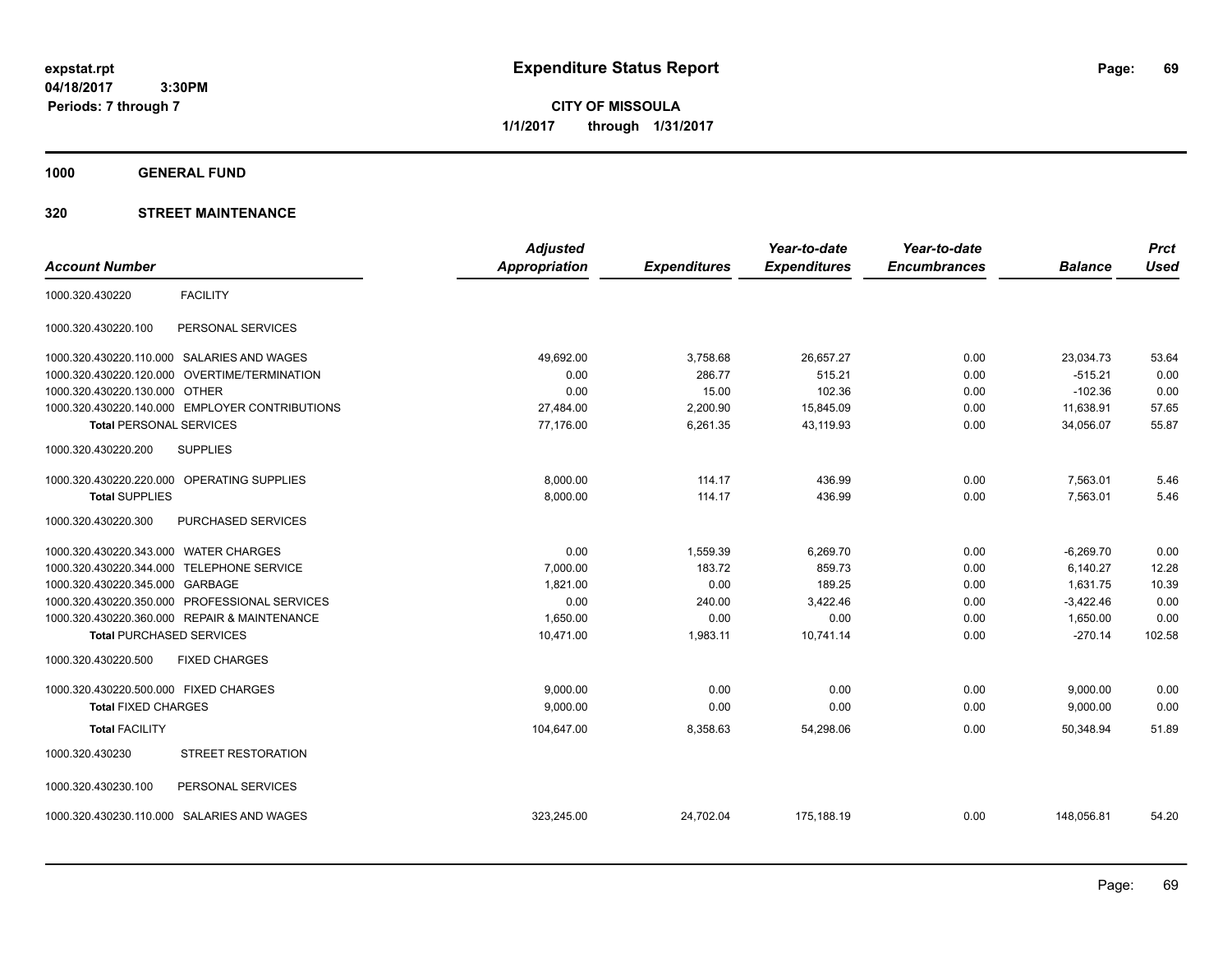**CITY OF MISSOULA 1/1/2017 through 1/31/2017**

**1000 GENERAL FUND**

|                                       |                                                | <b>Adjusted</b> |                     | Year-to-date        | Year-to-date        |                | <b>Prct</b> |
|---------------------------------------|------------------------------------------------|-----------------|---------------------|---------------------|---------------------|----------------|-------------|
| <b>Account Number</b>                 |                                                | Appropriation   | <b>Expenditures</b> | <b>Expenditures</b> | <b>Encumbrances</b> | <b>Balance</b> | <b>Used</b> |
| 1000.320.430220                       | <b>FACILITY</b>                                |                 |                     |                     |                     |                |             |
| 1000.320.430220.100                   | PERSONAL SERVICES                              |                 |                     |                     |                     |                |             |
|                                       | 1000.320.430220.110.000 SALARIES AND WAGES     | 49,692.00       | 3,758.68            | 26,657.27           | 0.00                | 23,034.73      | 53.64       |
| 1000.320.430220.120.000               | OVERTIME/TERMINATION                           | 0.00            | 286.77              | 515.21              | 0.00                | $-515.21$      | 0.00        |
| 1000.320.430220.130.000 OTHER         |                                                | 0.00            | 15.00               | 102.36              | 0.00                | $-102.36$      | 0.00        |
|                                       | 1000.320.430220.140.000 EMPLOYER CONTRIBUTIONS | 27,484.00       | 2,200.90            | 15,845.09           | 0.00                | 11,638.91      | 57.65       |
| <b>Total PERSONAL SERVICES</b>        |                                                | 77.176.00       | 6,261.35            | 43,119.93           | 0.00                | 34,056.07      | 55.87       |
| 1000.320.430220.200                   | <b>SUPPLIES</b>                                |                 |                     |                     |                     |                |             |
| 1000.320.430220.220.000               | OPERATING SUPPLIES                             | 8,000.00        | 114.17              | 436.99              | 0.00                | 7,563.01       | 5.46        |
| <b>Total SUPPLIES</b>                 |                                                | 8,000.00        | 114.17              | 436.99              | 0.00                | 7,563.01       | 5.46        |
| 1000.320.430220.300                   | PURCHASED SERVICES                             |                 |                     |                     |                     |                |             |
| 1000.320.430220.343.000 WATER CHARGES |                                                | 0.00            | 1,559.39            | 6,269.70            | 0.00                | $-6,269.70$    | 0.00        |
| 1000.320.430220.344.000               | <b>TELEPHONE SERVICE</b>                       | 7,000.00        | 183.72              | 859.73              | 0.00                | 6,140.27       | 12.28       |
| 1000.320.430220.345.000 GARBAGE       |                                                | 1,821.00        | 0.00                | 189.25              | 0.00                | 1,631.75       | 10.39       |
| 1000.320.430220.350.000               | PROFESSIONAL SERVICES                          | 0.00            | 240.00              | 3,422.46            | 0.00                | $-3,422.46$    | 0.00        |
|                                       | 1000.320.430220.360.000 REPAIR & MAINTENANCE   | 1.650.00        | 0.00                | 0.00                | 0.00                | 1,650.00       | 0.00        |
| <b>Total PURCHASED SERVICES</b>       |                                                | 10,471.00       | 1,983.11            | 10,741.14           | 0.00                | $-270.14$      | 102.58      |
| 1000.320.430220.500                   | <b>FIXED CHARGES</b>                           |                 |                     |                     |                     |                |             |
| 1000.320.430220.500.000 FIXED CHARGES |                                                | 9.000.00        | 0.00                | 0.00                | 0.00                | 9,000.00       | 0.00        |
| <b>Total FIXED CHARGES</b>            |                                                | 9,000.00        | 0.00                | 0.00                | 0.00                | 9,000.00       | 0.00        |
| <b>Total FACILITY</b>                 |                                                | 104,647.00      | 8,358.63            | 54,298.06           | 0.00                | 50.348.94      | 51.89       |
| 1000.320.430230                       | STREET RESTORATION                             |                 |                     |                     |                     |                |             |
| 1000.320.430230.100                   | PERSONAL SERVICES                              |                 |                     |                     |                     |                |             |
|                                       | 1000.320.430230.110.000 SALARIES AND WAGES     | 323.245.00      | 24.702.04           | 175,188.19          | 0.00                | 148.056.81     | 54.20       |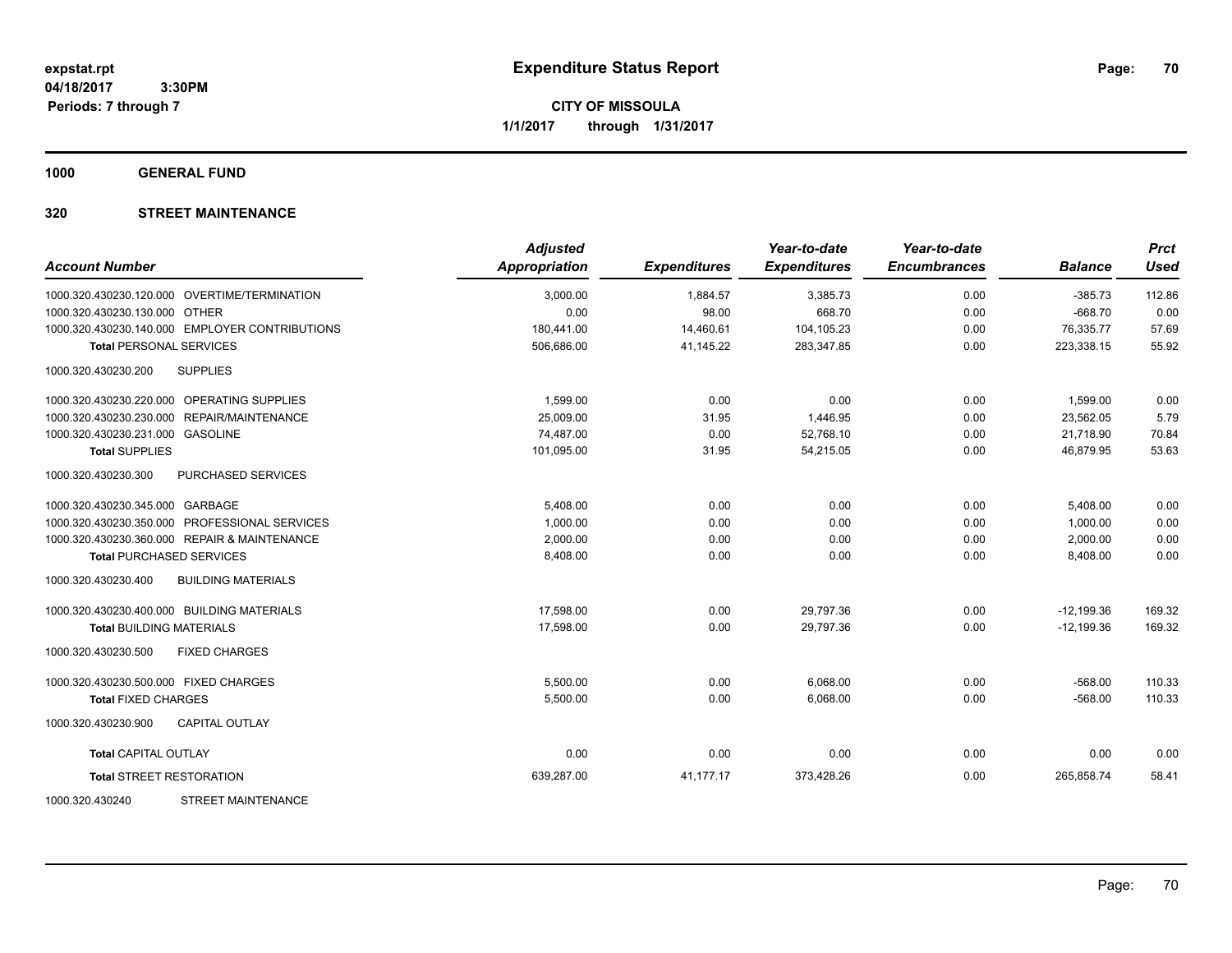**CITY OF MISSOULA 1/1/2017 through 1/31/2017**

**1000 GENERAL FUND**

| <b>Account Number</b>                            | <b>Adjusted</b><br><b>Appropriation</b> | <b>Expenditures</b> | Year-to-date<br><b>Expenditures</b> | Year-to-date<br><b>Encumbrances</b> | <b>Balance</b> | <b>Prct</b><br><b>Used</b> |
|--------------------------------------------------|-----------------------------------------|---------------------|-------------------------------------|-------------------------------------|----------------|----------------------------|
| 1000.320.430230.120.000 OVERTIME/TERMINATION     | 3,000.00                                | 1,884.57            | 3,385.73                            | 0.00                                | $-385.73$      | 112.86                     |
| 1000.320.430230.130.000 OTHER                    | 0.00                                    | 98.00               | 668.70                              | 0.00                                | $-668.70$      | 0.00                       |
| 1000.320.430230.140.000 EMPLOYER CONTRIBUTIONS   | 180,441.00                              | 14,460.61           | 104,105.23                          | 0.00                                | 76,335.77      | 57.69                      |
| <b>Total PERSONAL SERVICES</b>                   | 506,686.00                              | 41,145.22           | 283,347.85                          | 0.00                                | 223,338.15     | 55.92                      |
| 1000.320.430230.200<br><b>SUPPLIES</b>           |                                         |                     |                                     |                                     |                |                            |
| 1000.320.430230.220.000 OPERATING SUPPLIES       | 1,599.00                                | 0.00                | 0.00                                | 0.00                                | 1,599.00       | 0.00                       |
| 1000.320.430230.230.000 REPAIR/MAINTENANCE       | 25,009.00                               | 31.95               | 1,446.95                            | 0.00                                | 23,562.05      | 5.79                       |
| 1000.320.430230.231.000 GASOLINE                 | 74,487.00                               | 0.00                | 52.768.10                           | 0.00                                | 21,718.90      | 70.84                      |
| <b>Total SUPPLIES</b>                            | 101,095.00                              | 31.95               | 54.215.05                           | 0.00                                | 46.879.95      | 53.63                      |
| 1000.320.430230.300<br>PURCHASED SERVICES        |                                         |                     |                                     |                                     |                |                            |
| 1000.320.430230.345.000 GARBAGE                  | 5,408.00                                | 0.00                | 0.00                                | 0.00                                | 5,408.00       | 0.00                       |
| 1000.320.430230.350.000 PROFESSIONAL SERVICES    | 1,000.00                                | 0.00                | 0.00                                | 0.00                                | 1,000.00       | 0.00                       |
| 1000.320.430230.360.000 REPAIR & MAINTENANCE     | 2,000.00                                | 0.00                | 0.00                                | 0.00                                | 2,000.00       | 0.00                       |
| <b>Total PURCHASED SERVICES</b>                  | 8,408.00                                | 0.00                | 0.00                                | 0.00                                | 8,408.00       | 0.00                       |
| 1000.320.430230.400<br><b>BUILDING MATERIALS</b> |                                         |                     |                                     |                                     |                |                            |
| 1000.320.430230.400.000 BUILDING MATERIALS       | 17,598.00                               | 0.00                | 29,797.36                           | 0.00                                | $-12,199.36$   | 169.32                     |
| <b>Total BUILDING MATERIALS</b>                  | 17,598.00                               | 0.00                | 29,797.36                           | 0.00                                | $-12,199.36$   | 169.32                     |
| 1000.320.430230.500<br><b>FIXED CHARGES</b>      |                                         |                     |                                     |                                     |                |                            |
| 1000.320.430230.500.000 FIXED CHARGES            | 5,500.00                                | 0.00                | 6,068.00                            | 0.00                                | $-568.00$      | 110.33                     |
| <b>Total FIXED CHARGES</b>                       | 5,500.00                                | 0.00                | 6,068.00                            | 0.00                                | $-568.00$      | 110.33                     |
| <b>CAPITAL OUTLAY</b><br>1000.320.430230.900     |                                         |                     |                                     |                                     |                |                            |
| <b>Total CAPITAL OUTLAY</b>                      | 0.00                                    | 0.00                | 0.00                                | 0.00                                | 0.00           | 0.00                       |
| <b>Total STREET RESTORATION</b>                  | 639,287.00                              | 41,177.17           | 373,428.26                          | 0.00                                | 265,858.74     | 58.41                      |
| <b>STREET MAINTENANCE</b><br>1000.320.430240     |                                         |                     |                                     |                                     |                |                            |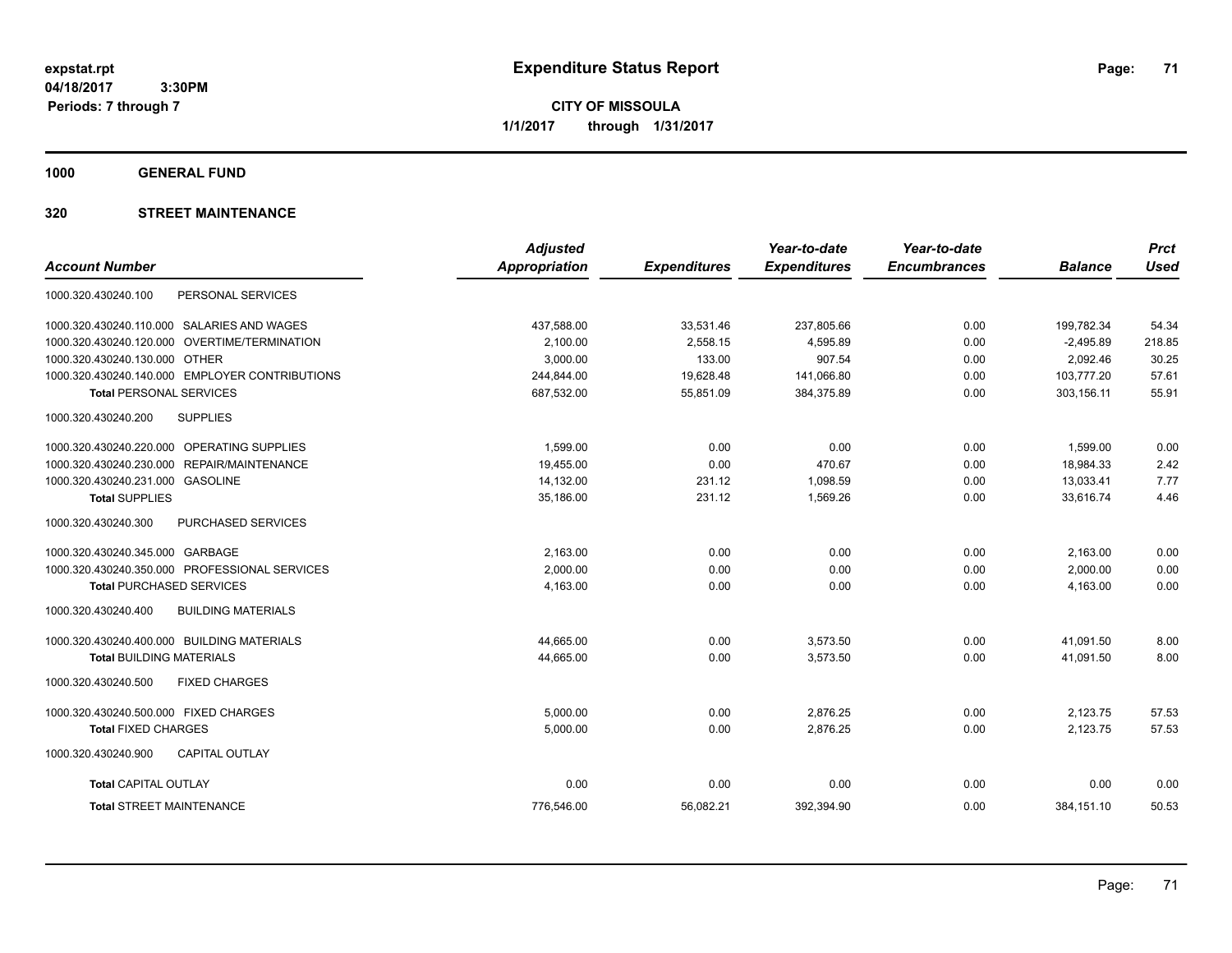**CITY OF MISSOULA 1/1/2017 through 1/31/2017**

**1000 GENERAL FUND**

|                                                  | <b>Adjusted</b>      |                     | Year-to-date        | Year-to-date        |                | <b>Prct</b> |
|--------------------------------------------------|----------------------|---------------------|---------------------|---------------------|----------------|-------------|
| <b>Account Number</b>                            | <b>Appropriation</b> | <b>Expenditures</b> | <b>Expenditures</b> | <b>Encumbrances</b> | <b>Balance</b> | <b>Used</b> |
| PERSONAL SERVICES<br>1000.320.430240.100         |                      |                     |                     |                     |                |             |
| 1000.320.430240.110.000 SALARIES AND WAGES       | 437,588.00           | 33,531.46           | 237,805.66          | 0.00                | 199,782.34     | 54.34       |
| OVERTIME/TERMINATION<br>1000.320.430240.120.000  | 2,100.00             | 2,558.15            | 4,595.89            | 0.00                | $-2,495.89$    | 218.85      |
| 1000.320.430240.130.000 OTHER                    | 3,000.00             | 133.00              | 907.54              | 0.00                | 2,092.46       | 30.25       |
| 1000.320.430240.140.000 EMPLOYER CONTRIBUTIONS   | 244,844.00           | 19,628.48           | 141,066.80          | 0.00                | 103,777.20     | 57.61       |
| <b>Total PERSONAL SERVICES</b>                   | 687,532.00           | 55,851.09           | 384,375.89          | 0.00                | 303,156.11     | 55.91       |
| 1000.320.430240.200<br><b>SUPPLIES</b>           |                      |                     |                     |                     |                |             |
| 1000.320.430240.220.000 OPERATING SUPPLIES       | 1,599.00             | 0.00                | 0.00                | 0.00                | 1,599.00       | 0.00        |
| 1000.320.430240.230.000<br>REPAIR/MAINTENANCE    | 19,455.00            | 0.00                | 470.67              | 0.00                | 18,984.33      | 2.42        |
| 1000.320.430240.231.000 GASOLINE                 | 14,132.00            | 231.12              | 1,098.59            | 0.00                | 13,033.41      | 7.77        |
| <b>Total SUPPLIES</b>                            | 35,186.00            | 231.12              | 1,569.26            | 0.00                | 33,616.74      | 4.46        |
| PURCHASED SERVICES<br>1000.320.430240.300        |                      |                     |                     |                     |                |             |
| 1000.320.430240.345.000 GARBAGE                  | 2,163.00             | 0.00                | 0.00                | 0.00                | 2,163.00       | 0.00        |
| 1000.320.430240.350.000 PROFESSIONAL SERVICES    | 2,000.00             | 0.00                | 0.00                | 0.00                | 2,000.00       | 0.00        |
| <b>Total PURCHASED SERVICES</b>                  | 4,163.00             | 0.00                | 0.00                | 0.00                | 4,163.00       | 0.00        |
| <b>BUILDING MATERIALS</b><br>1000.320.430240.400 |                      |                     |                     |                     |                |             |
| 1000.320.430240.400.000 BUILDING MATERIALS       | 44,665.00            | 0.00                | 3,573.50            | 0.00                | 41,091.50      | 8.00        |
| <b>Total BUILDING MATERIALS</b>                  | 44,665.00            | 0.00                | 3,573.50            | 0.00                | 41,091.50      | 8.00        |
| 1000.320.430240.500<br><b>FIXED CHARGES</b>      |                      |                     |                     |                     |                |             |
| 1000.320.430240.500.000 FIXED CHARGES            | 5,000.00             | 0.00                | 2,876.25            | 0.00                | 2,123.75       | 57.53       |
| <b>Total FIXED CHARGES</b>                       | 5,000.00             | 0.00                | 2,876.25            | 0.00                | 2,123.75       | 57.53       |
| 1000.320.430240.900<br><b>CAPITAL OUTLAY</b>     |                      |                     |                     |                     |                |             |
| <b>Total CAPITAL OUTLAY</b>                      | 0.00                 | 0.00                | 0.00                | 0.00                | 0.00           | 0.00        |
| <b>Total STREET MAINTENANCE</b>                  | 776.546.00           | 56,082.21           | 392.394.90          | 0.00                | 384,151.10     | 50.53       |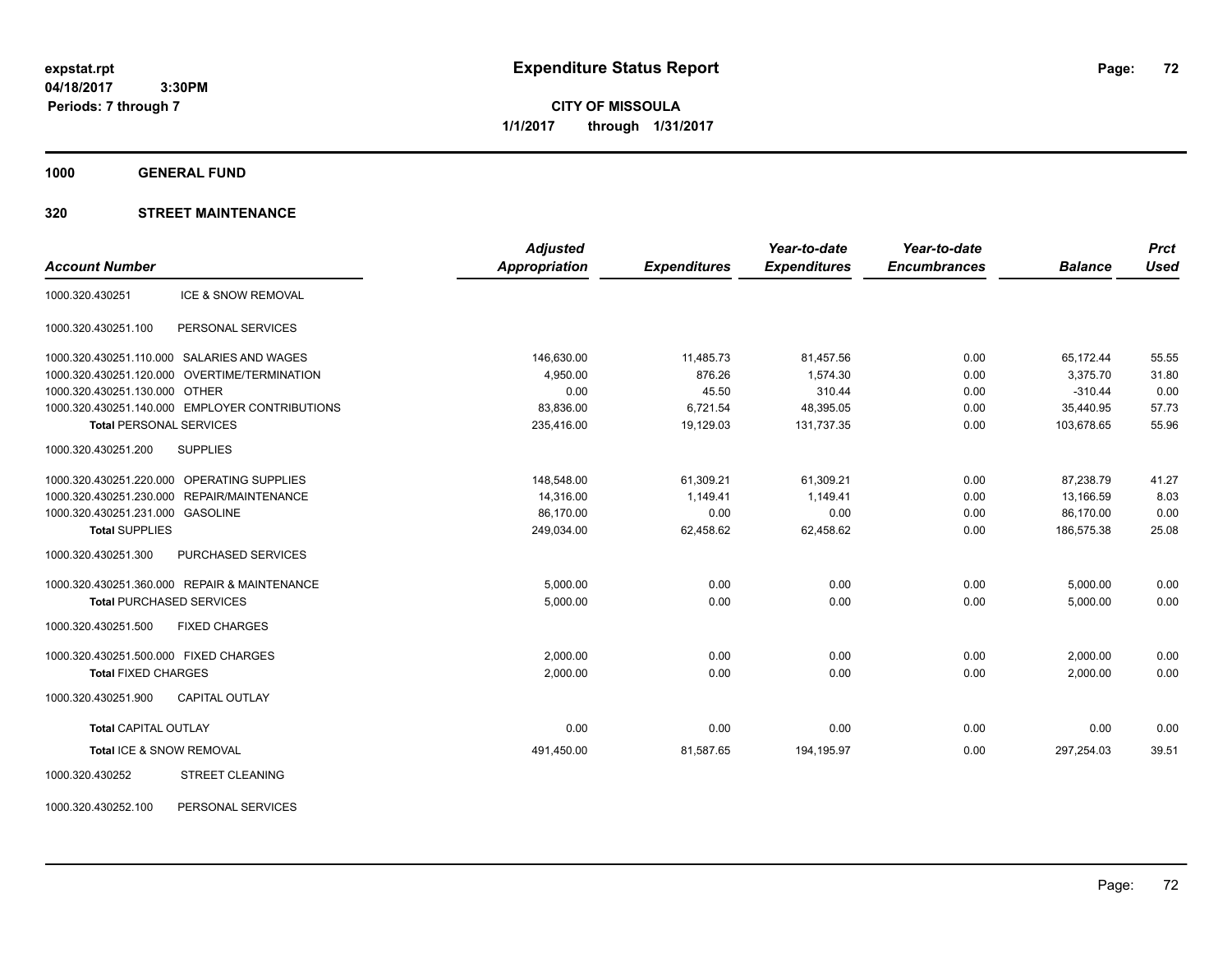**CITY OF MISSOULA 1/1/2017 through 1/31/2017**

**1000 GENERAL FUND**

### **320 STREET MAINTENANCE**

|                                                | <b>Adjusted</b>      |                     | Year-to-date        | Year-to-date        |                | <b>Prct</b> |
|------------------------------------------------|----------------------|---------------------|---------------------|---------------------|----------------|-------------|
| <b>Account Number</b>                          | <b>Appropriation</b> | <b>Expenditures</b> | <b>Expenditures</b> | <b>Encumbrances</b> | <b>Balance</b> | <b>Used</b> |
| ICE & SNOW REMOVAL<br>1000.320.430251          |                      |                     |                     |                     |                |             |
| PERSONAL SERVICES<br>1000.320.430251.100       |                      |                     |                     |                     |                |             |
| 1000.320.430251.110.000 SALARIES AND WAGES     | 146,630.00           | 11,485.73           | 81,457.56           | 0.00                | 65,172.44      | 55.55       |
| 1000.320.430251.120.000 OVERTIME/TERMINATION   | 4,950.00             | 876.26              | 1,574.30            | 0.00                | 3,375.70       | 31.80       |
| 1000.320.430251.130.000 OTHER                  | 0.00                 | 45.50               | 310.44              | 0.00                | $-310.44$      | 0.00        |
| 1000.320.430251.140.000 EMPLOYER CONTRIBUTIONS | 83,836.00            | 6,721.54            | 48,395.05           | 0.00                | 35,440.95      | 57.73       |
| <b>Total PERSONAL SERVICES</b>                 | 235,416.00           | 19,129.03           | 131,737.35          | 0.00                | 103,678.65     | 55.96       |
| 1000.320.430251.200<br><b>SUPPLIES</b>         |                      |                     |                     |                     |                |             |
| 1000.320.430251.220.000 OPERATING SUPPLIES     | 148,548.00           | 61,309.21           | 61,309.21           | 0.00                | 87,238.79      | 41.27       |
| 1000.320.430251.230.000 REPAIR/MAINTENANCE     | 14,316.00            | 1,149.41            | 1,149.41            | 0.00                | 13,166.59      | 8.03        |
| 1000.320.430251.231.000 GASOLINE               | 86,170.00            | 0.00                | 0.00                | 0.00                | 86,170.00      | 0.00        |
| <b>Total SUPPLIES</b>                          | 249,034.00           | 62,458.62           | 62,458.62           | 0.00                | 186,575.38     | 25.08       |
| PURCHASED SERVICES<br>1000.320.430251.300      |                      |                     |                     |                     |                |             |
| 1000.320.430251.360.000 REPAIR & MAINTENANCE   | 5,000.00             | 0.00                | 0.00                | 0.00                | 5,000.00       | 0.00        |
| <b>Total PURCHASED SERVICES</b>                | 5,000.00             | 0.00                | 0.00                | 0.00                | 5,000.00       | 0.00        |
| 1000.320.430251.500<br><b>FIXED CHARGES</b>    |                      |                     |                     |                     |                |             |
| 1000.320.430251.500.000 FIXED CHARGES          | 2,000.00             | 0.00                | 0.00                | 0.00                | 2,000.00       | 0.00        |
| <b>Total FIXED CHARGES</b>                     | 2,000.00             | 0.00                | 0.00                | 0.00                | 2,000.00       | 0.00        |
| 1000.320.430251.900<br><b>CAPITAL OUTLAY</b>   |                      |                     |                     |                     |                |             |
| <b>Total CAPITAL OUTLAY</b>                    | 0.00                 | 0.00                | 0.00                | 0.00                | 0.00           | 0.00        |
| Total ICE & SNOW REMOVAL                       | 491,450.00           | 81,587.65           | 194,195.97          | 0.00                | 297,254.03     | 39.51       |
| <b>STREET CLEANING</b><br>1000.320.430252      |                      |                     |                     |                     |                |             |

1000.320.430252.100 PERSONAL SERVICES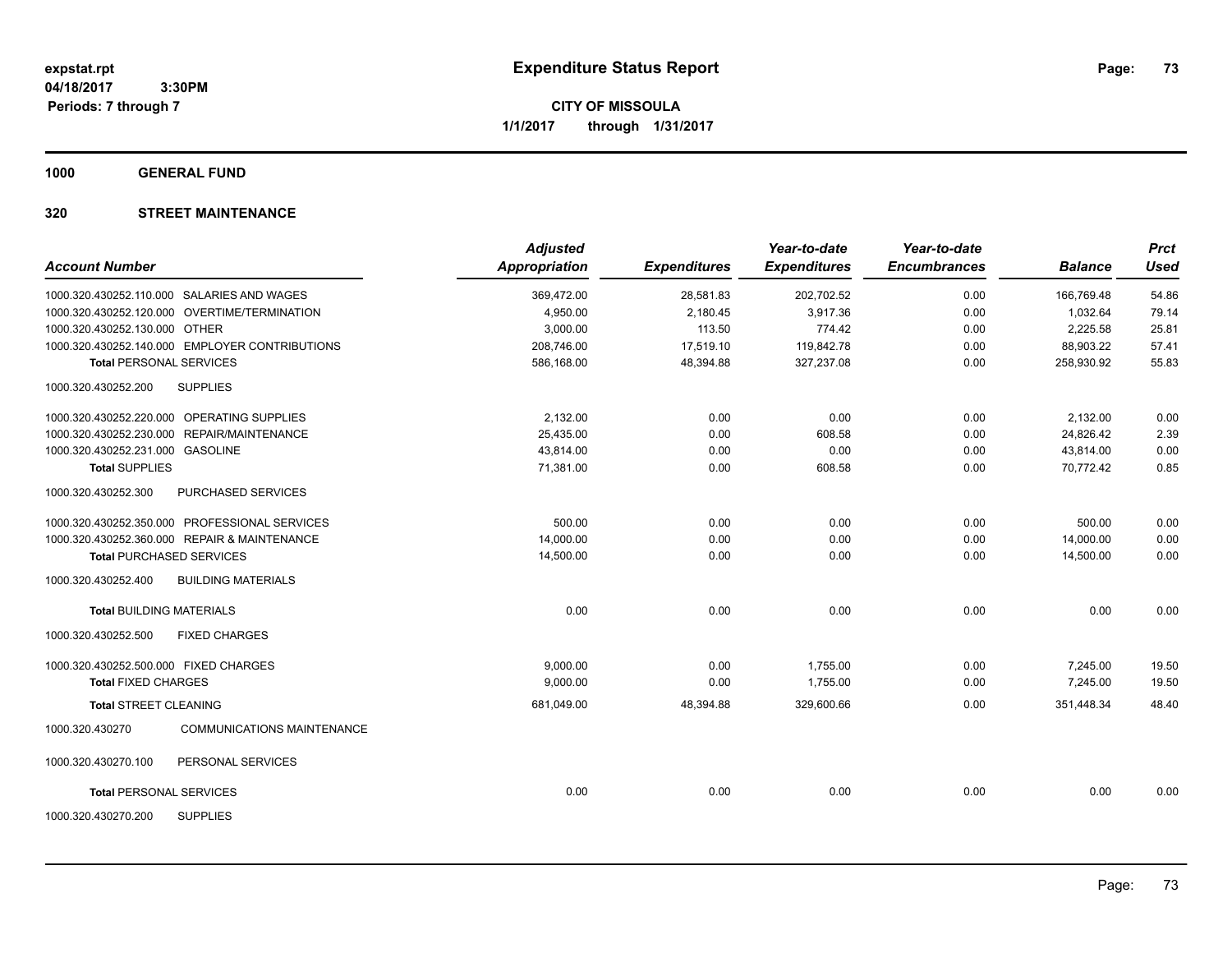**CITY OF MISSOULA 1/1/2017 through 1/31/2017**

**1000 GENERAL FUND**

## **320 STREET MAINTENANCE**

| <b>Account Number</b>                 |                                                | <b>Adjusted</b><br><b>Appropriation</b> | <b>Expenditures</b> | Year-to-date<br><b>Expenditures</b> | Year-to-date<br><b>Encumbrances</b> | <b>Balance</b> | <b>Prct</b><br><b>Used</b> |
|---------------------------------------|------------------------------------------------|-----------------------------------------|---------------------|-------------------------------------|-------------------------------------|----------------|----------------------------|
|                                       | 1000.320.430252.110.000 SALARIES AND WAGES     | 369,472.00                              | 28,581.83           | 202,702.52                          | 0.00                                | 166,769.48     | 54.86                      |
|                                       | 1000.320.430252.120.000 OVERTIME/TERMINATION   | 4,950.00                                | 2,180.45            | 3,917.36                            | 0.00                                | 1,032.64       | 79.14                      |
| 1000.320.430252.130.000 OTHER         |                                                | 3,000.00                                | 113.50              | 774.42                              | 0.00                                | 2,225.58       | 25.81                      |
|                                       | 1000.320.430252.140.000 EMPLOYER CONTRIBUTIONS | 208,746.00                              | 17,519.10           | 119,842.78                          | 0.00                                | 88,903.22      | 57.41                      |
| <b>Total PERSONAL SERVICES</b>        |                                                | 586,168.00                              | 48,394.88           | 327,237.08                          | 0.00                                | 258,930.92     | 55.83                      |
| 1000.320.430252.200                   | <b>SUPPLIES</b>                                |                                         |                     |                                     |                                     |                |                            |
|                                       | 1000.320.430252.220.000 OPERATING SUPPLIES     | 2,132.00                                | 0.00                | 0.00                                | 0.00                                | 2,132.00       | 0.00                       |
|                                       | 1000.320.430252.230.000 REPAIR/MAINTENANCE     | 25,435.00                               | 0.00                | 608.58                              | 0.00                                | 24.826.42      | 2.39                       |
| 1000.320.430252.231.000 GASOLINE      |                                                | 43,814.00                               | 0.00                | 0.00                                | 0.00                                | 43,814.00      | 0.00                       |
| <b>Total SUPPLIES</b>                 |                                                | 71,381.00                               | 0.00                | 608.58                              | 0.00                                | 70,772.42      | 0.85                       |
| 1000.320.430252.300                   | PURCHASED SERVICES                             |                                         |                     |                                     |                                     |                |                            |
|                                       | 1000.320.430252.350.000 PROFESSIONAL SERVICES  | 500.00                                  | 0.00                | 0.00                                | 0.00                                | 500.00         | 0.00                       |
|                                       | 1000.320.430252.360.000 REPAIR & MAINTENANCE   | 14,000.00                               | 0.00                | 0.00                                | 0.00                                | 14,000.00      | 0.00                       |
|                                       | <b>Total PURCHASED SERVICES</b>                | 14,500.00                               | 0.00                | 0.00                                | 0.00                                | 14,500.00      | 0.00                       |
| 1000.320.430252.400                   | <b>BUILDING MATERIALS</b>                      |                                         |                     |                                     |                                     |                |                            |
| <b>Total BUILDING MATERIALS</b>       |                                                | 0.00                                    | 0.00                | 0.00                                | 0.00                                | 0.00           | 0.00                       |
| 1000.320.430252.500                   | <b>FIXED CHARGES</b>                           |                                         |                     |                                     |                                     |                |                            |
| 1000.320.430252.500.000 FIXED CHARGES |                                                | 9,000.00                                | 0.00                | 1,755.00                            | 0.00                                | 7,245.00       | 19.50                      |
| <b>Total FIXED CHARGES</b>            |                                                | 9,000.00                                | 0.00                | 1,755.00                            | 0.00                                | 7,245.00       | 19.50                      |
| Total STREET CLEANING                 |                                                | 681,049.00                              | 48,394.88           | 329,600.66                          | 0.00                                | 351.448.34     | 48.40                      |
| 1000.320.430270                       | <b>COMMUNICATIONS MAINTENANCE</b>              |                                         |                     |                                     |                                     |                |                            |
| 1000.320.430270.100                   | PERSONAL SERVICES                              |                                         |                     |                                     |                                     |                |                            |
| <b>Total PERSONAL SERVICES</b>        |                                                | 0.00                                    | 0.00                | 0.00                                | 0.00                                | 0.00           | 0.00                       |
| 1000.320.430270.200                   | <b>SUPPLIES</b>                                |                                         |                     |                                     |                                     |                |                            |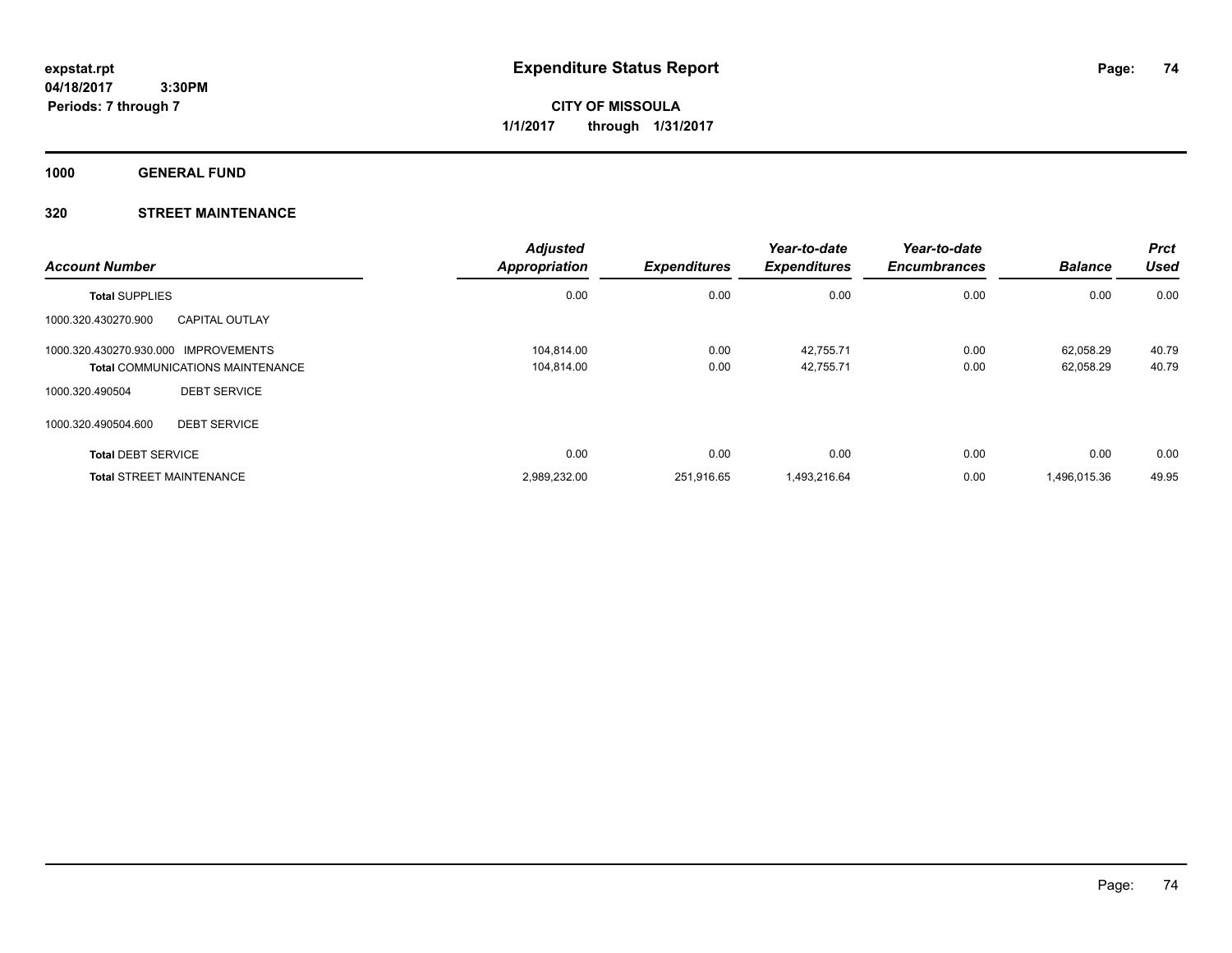**CITY OF MISSOULA 1/1/2017 through 1/31/2017**

**1000 GENERAL FUND**

## **320 STREET MAINTENANCE**

| <b>Account Number</b>                        | <b>Adjusted</b><br><b>Appropriation</b> | <b>Expenditures</b> | Year-to-date<br><b>Expenditures</b> | Year-to-date<br><b>Encumbrances</b> | <b>Balance</b> | <b>Prct</b><br><b>Used</b> |
|----------------------------------------------|-----------------------------------------|---------------------|-------------------------------------|-------------------------------------|----------------|----------------------------|
| <b>Total SUPPLIES</b>                        | 0.00                                    | 0.00                | 0.00                                | 0.00                                | 0.00           | 0.00                       |
| 1000.320.430270.900<br><b>CAPITAL OUTLAY</b> |                                         |                     |                                     |                                     |                |                            |
| 1000.320.430270.930.000 IMPROVEMENTS         | 104.814.00                              | 0.00                | 42,755.71                           | 0.00                                | 62.058.29      | 40.79                      |
| <b>Total COMMUNICATIONS MAINTENANCE</b>      | 104,814.00                              | 0.00                | 42,755.71                           | 0.00                                | 62,058.29      | 40.79                      |
| <b>DEBT SERVICE</b><br>1000.320.490504       |                                         |                     |                                     |                                     |                |                            |
| <b>DEBT SERVICE</b><br>1000.320.490504.600   |                                         |                     |                                     |                                     |                |                            |
| <b>Total DEBT SERVICE</b>                    | 0.00                                    | 0.00                | 0.00                                | 0.00                                | 0.00           | 0.00                       |
| <b>Total STREET MAINTENANCE</b>              | 2,989,232.00                            | 251.916.65          | 1.493.216.64                        | 0.00                                | 1.496.015.36   | 49.95                      |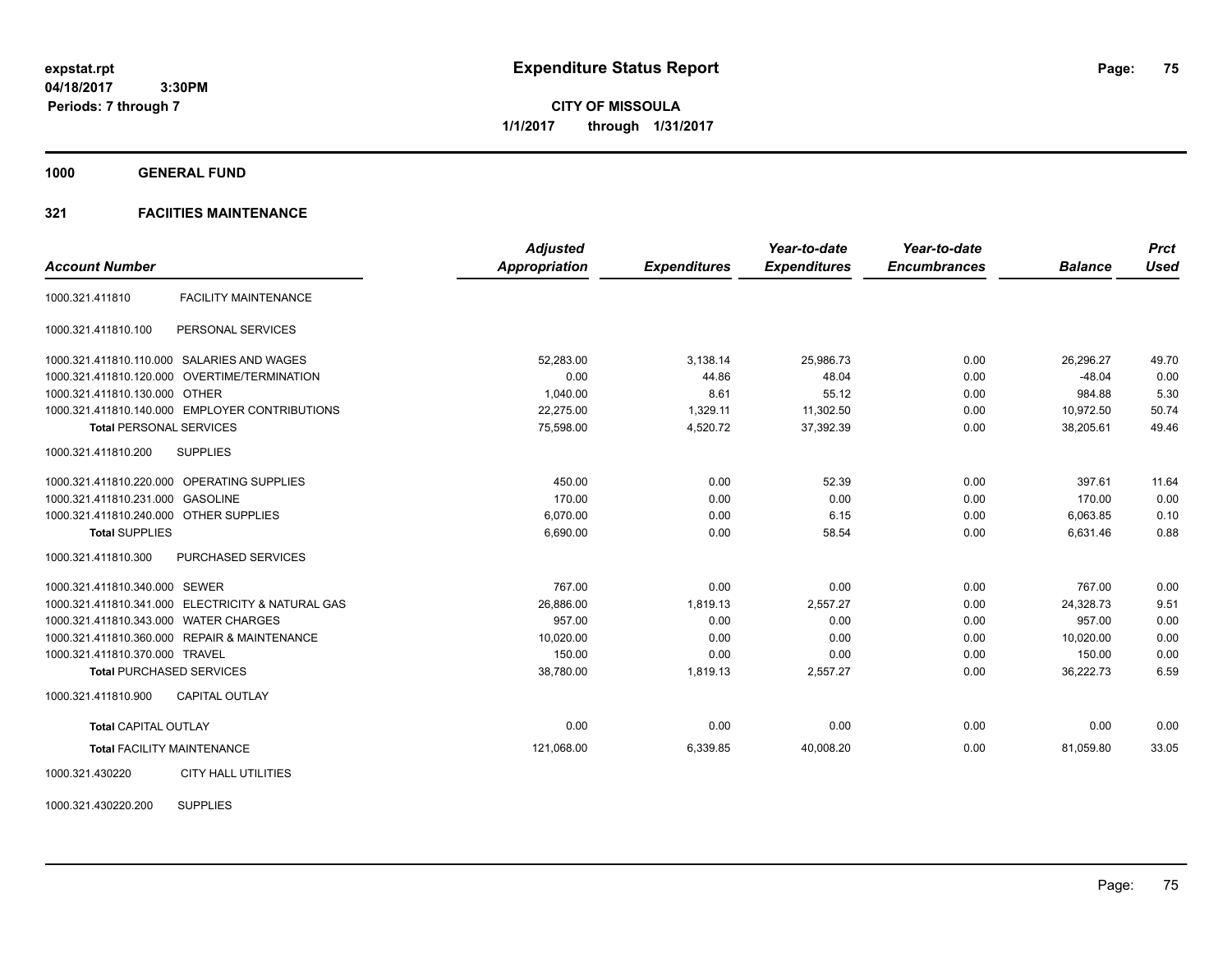**CITY OF MISSOULA 1/1/2017 through 1/31/2017**

**1000 GENERAL FUND**

## **321 FACIITIES MAINTENANCE**

|                                        |                                                   | <b>Adjusted</b>      |                     | Year-to-date        | Year-to-date        |                | <b>Prct</b> |
|----------------------------------------|---------------------------------------------------|----------------------|---------------------|---------------------|---------------------|----------------|-------------|
| <b>Account Number</b>                  |                                                   | <b>Appropriation</b> | <b>Expenditures</b> | <b>Expenditures</b> | <b>Encumbrances</b> | <b>Balance</b> | <b>Used</b> |
| 1000.321.411810                        | <b>FACILITY MAINTENANCE</b>                       |                      |                     |                     |                     |                |             |
| 1000.321.411810.100                    | PERSONAL SERVICES                                 |                      |                     |                     |                     |                |             |
|                                        | 1000.321.411810.110.000 SALARIES AND WAGES        | 52.283.00            | 3,138.14            | 25,986.73           | 0.00                | 26,296.27      | 49.70       |
|                                        | 1000.321.411810.120.000 OVERTIME/TERMINATION      | 0.00                 | 44.86               | 48.04               | 0.00                | $-48.04$       | 0.00        |
| 1000.321.411810.130.000 OTHER          |                                                   | 1.040.00             | 8.61                | 55.12               | 0.00                | 984.88         | 5.30        |
|                                        | 1000.321.411810.140.000 EMPLOYER CONTRIBUTIONS    | 22,275.00            | 1,329.11            | 11,302.50           | 0.00                | 10,972.50      | 50.74       |
| <b>Total PERSONAL SERVICES</b>         |                                                   | 75,598.00            | 4,520.72            | 37,392.39           | 0.00                | 38,205.61      | 49.46       |
| 1000.321.411810.200                    | <b>SUPPLIES</b>                                   |                      |                     |                     |                     |                |             |
|                                        | 1000.321.411810.220.000 OPERATING SUPPLIES        | 450.00               | 0.00                | 52.39               | 0.00                | 397.61         | 11.64       |
| 1000.321.411810.231.000 GASOLINE       |                                                   | 170.00               | 0.00                | 0.00                | 0.00                | 170.00         | 0.00        |
| 1000.321.411810.240.000 OTHER SUPPLIES |                                                   | 6,070.00             | 0.00                | 6.15                | 0.00                | 6,063.85       | 0.10        |
| <b>Total SUPPLIES</b>                  |                                                   | 6,690.00             | 0.00                | 58.54               | 0.00                | 6,631.46       | 0.88        |
| 1000.321.411810.300                    | <b>PURCHASED SERVICES</b>                         |                      |                     |                     |                     |                |             |
| 1000.321.411810.340.000 SEWER          |                                                   | 767.00               | 0.00                | 0.00                | 0.00                | 767.00         | 0.00        |
|                                        | 1000.321.411810.341.000 ELECTRICITY & NATURAL GAS | 26,886.00            | 1.819.13            | 2.557.27            | 0.00                | 24.328.73      | 9.51        |
| 1000.321.411810.343.000 WATER CHARGES  |                                                   | 957.00               | 0.00                | 0.00                | 0.00                | 957.00         | 0.00        |
|                                        | 1000.321.411810.360.000 REPAIR & MAINTENANCE      | 10,020.00            | 0.00                | 0.00                | 0.00                | 10,020.00      | 0.00        |
| 1000.321.411810.370.000 TRAVEL         |                                                   | 150.00               | 0.00                | 0.00                | 0.00                | 150.00         | 0.00        |
|                                        | <b>Total PURCHASED SERVICES</b>                   | 38,780.00            | 1,819.13            | 2,557.27            | 0.00                | 36,222.73      | 6.59        |
| 1000.321.411810.900                    | <b>CAPITAL OUTLAY</b>                             |                      |                     |                     |                     |                |             |
| <b>Total CAPITAL OUTLAY</b>            |                                                   | 0.00                 | 0.00                | 0.00                | 0.00                | 0.00           | 0.00        |
|                                        | <b>Total FACILITY MAINTENANCE</b>                 | 121,068.00           | 6,339.85            | 40,008.20           | 0.00                | 81,059.80      | 33.05       |
| 1000.321.430220                        | <b>CITY HALL UTILITIES</b>                        |                      |                     |                     |                     |                |             |

1000.321.430220.200 SUPPLIES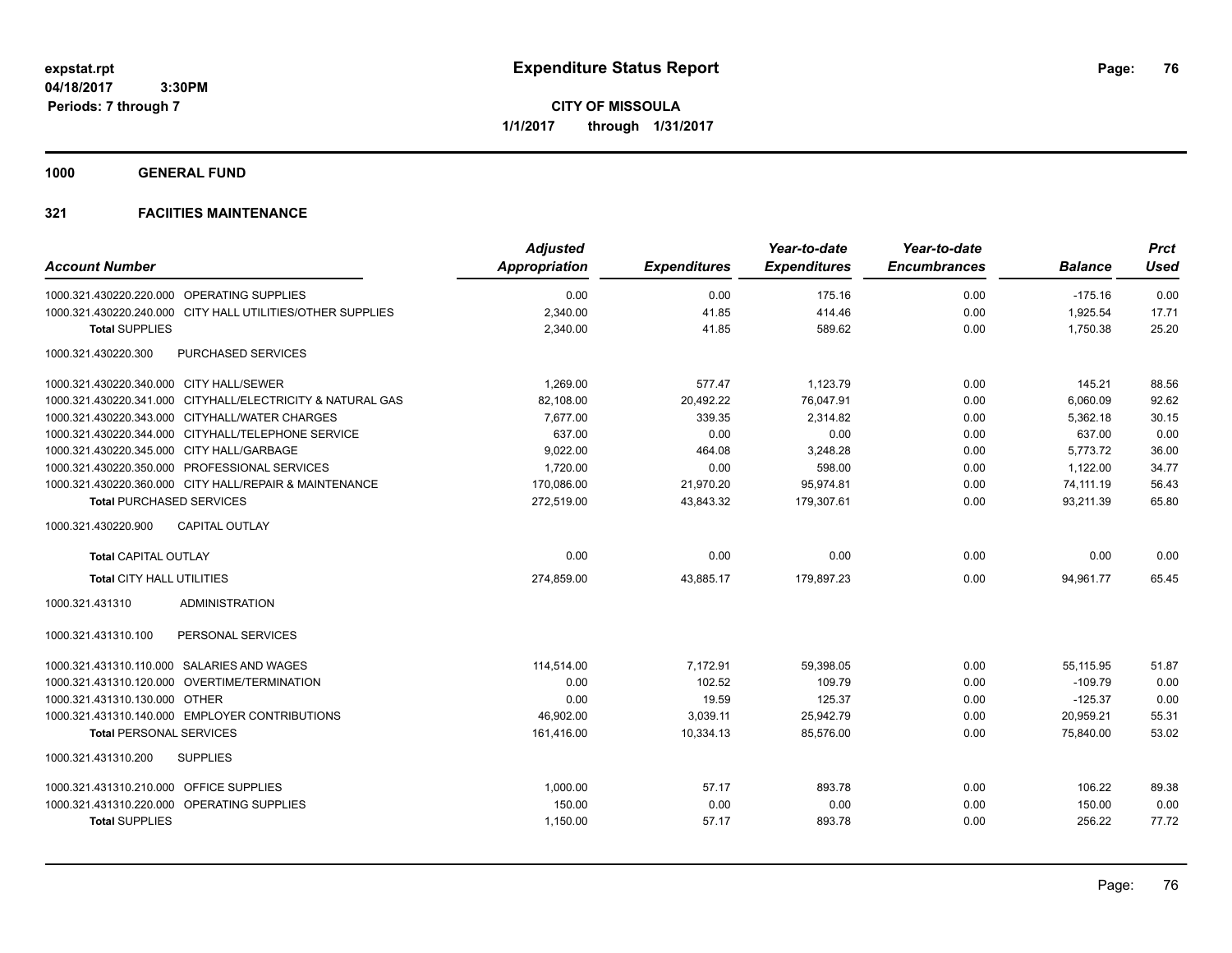**CITY OF MISSOULA 1/1/2017 through 1/31/2017**

**1000 GENERAL FUND**

| <b>Account Number</b>                                      | <b>Adjusted</b><br><b>Appropriation</b> | <b>Expenditures</b> | Year-to-date<br><b>Expenditures</b> | Year-to-date<br><b>Encumbrances</b> | <b>Balance</b> | <b>Prct</b><br><b>Used</b> |
|------------------------------------------------------------|-----------------------------------------|---------------------|-------------------------------------|-------------------------------------|----------------|----------------------------|
| 1000.321.430220.220.000 OPERATING SUPPLIES                 | 0.00                                    | 0.00                | 175.16                              | 0.00                                | $-175.16$      | 0.00                       |
| 1000.321.430220.240.000 CITY HALL UTILITIES/OTHER SUPPLIES | 2,340.00                                | 41.85               | 414.46                              | 0.00                                | 1,925.54       | 17.71                      |
| <b>Total SUPPLIES</b>                                      | 2,340.00                                | 41.85               | 589.62                              | 0.00                                | 1,750.38       | 25.20                      |
| 1000.321.430220.300<br>PURCHASED SERVICES                  |                                         |                     |                                     |                                     |                |                            |
| 1000.321.430220.340.000 CITY HALL/SEWER                    | 1,269.00                                | 577.47              | 1,123.79                            | 0.00                                | 145.21         | 88.56                      |
| 1000.321.430220.341.000 CITYHALL/ELECTRICITY & NATURAL GAS | 82,108.00                               | 20,492.22           | 76,047.91                           | 0.00                                | 6,060.09       | 92.62                      |
| 1000.321.430220.343.000 CITYHALL/WATER CHARGES             | 7,677.00                                | 339.35              | 2,314.82                            | 0.00                                | 5,362.18       | 30.15                      |
| 1000.321.430220.344.000 CITYHALL/TELEPHONE SERVICE         | 637.00                                  | 0.00                | 0.00                                | 0.00                                | 637.00         | 0.00                       |
| 1000.321.430220.345.000 CITY HALL/GARBAGE                  | 9,022.00                                | 464.08              | 3,248.28                            | 0.00                                | 5,773.72       | 36.00                      |
| 1000.321.430220.350.000 PROFESSIONAL SERVICES              | 1,720.00                                | 0.00                | 598.00                              | 0.00                                | 1,122.00       | 34.77                      |
| 1000.321.430220.360.000 CITY HALL/REPAIR & MAINTENANCE     | 170,086.00                              | 21,970.20           | 95,974.81                           | 0.00                                | 74,111.19      | 56.43                      |
| <b>Total PURCHASED SERVICES</b>                            | 272,519.00                              | 43,843.32           | 179,307.61                          | 0.00                                | 93,211.39      | 65.80                      |
| <b>CAPITAL OUTLAY</b><br>1000.321.430220.900               |                                         |                     |                                     |                                     |                |                            |
| <b>Total CAPITAL OUTLAY</b>                                | 0.00                                    | 0.00                | 0.00                                | 0.00                                | 0.00           | 0.00                       |
| <b>Total CITY HALL UTILITIES</b>                           | 274,859.00                              | 43,885.17           | 179.897.23                          | 0.00                                | 94,961.77      | 65.45                      |
| 1000.321.431310<br><b>ADMINISTRATION</b>                   |                                         |                     |                                     |                                     |                |                            |
| PERSONAL SERVICES<br>1000.321.431310.100                   |                                         |                     |                                     |                                     |                |                            |
| 1000.321.431310.110.000 SALARIES AND WAGES                 | 114,514.00                              | 7,172.91            | 59,398.05                           | 0.00                                | 55,115.95      | 51.87                      |
| 1000.321.431310.120.000 OVERTIME/TERMINATION               | 0.00                                    | 102.52              | 109.79                              | 0.00                                | $-109.79$      | 0.00                       |
| 1000.321.431310.130.000 OTHER                              | 0.00                                    | 19.59               | 125.37                              | 0.00                                | $-125.37$      | 0.00                       |
| 1000.321.431310.140.000 EMPLOYER CONTRIBUTIONS             | 46,902.00                               | 3,039.11            | 25,942.79                           | 0.00                                | 20,959.21      | 55.31                      |
| <b>Total PERSONAL SERVICES</b>                             | 161,416.00                              | 10,334.13           | 85,576.00                           | 0.00                                | 75,840.00      | 53.02                      |
| 1000.321.431310.200<br><b>SUPPLIES</b>                     |                                         |                     |                                     |                                     |                |                            |
| 1000.321.431310.210.000 OFFICE SUPPLIES                    | 1,000.00                                | 57.17               | 893.78                              | 0.00                                | 106.22         | 89.38                      |
| 1000.321.431310.220.000 OPERATING SUPPLIES                 | 150.00                                  | 0.00                | 0.00                                | 0.00                                | 150.00         | 0.00                       |
| <b>Total SUPPLIES</b>                                      | 1,150.00                                | 57.17               | 893.78                              | 0.00                                | 256.22         | 77.72                      |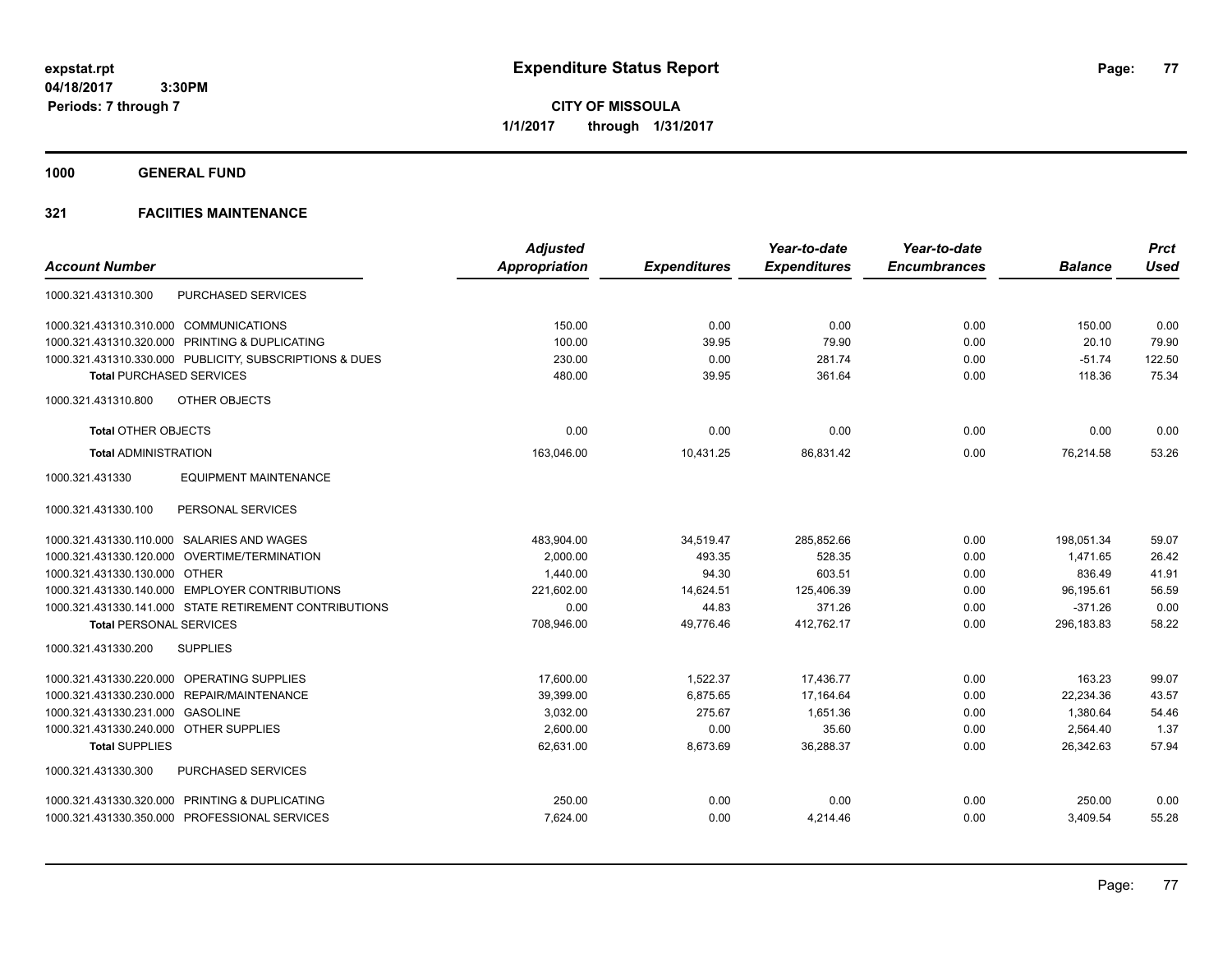**Periods: 7 through 7**

**CITY OF MISSOULA 1/1/2017 through 1/31/2017**

**1000 GENERAL FUND**

|                                                         | <b>Adjusted</b> |                     | Year-to-date        | Year-to-date        |                | <b>Prct</b> |
|---------------------------------------------------------|-----------------|---------------------|---------------------|---------------------|----------------|-------------|
| <b>Account Number</b>                                   | Appropriation   | <b>Expenditures</b> | <b>Expenditures</b> | <b>Encumbrances</b> | <b>Balance</b> | <b>Used</b> |
| PURCHASED SERVICES<br>1000.321.431310.300               |                 |                     |                     |                     |                |             |
| 1000.321.431310.310.000 COMMUNICATIONS                  | 150.00          | 0.00                | 0.00                | 0.00                | 150.00         | 0.00        |
| PRINTING & DUPLICATING<br>1000.321.431310.320.000       | 100.00          | 39.95               | 79.90               | 0.00                | 20.10          | 79.90       |
| 1000.321.431310.330.000 PUBLICITY, SUBSCRIPTIONS & DUES | 230.00          | 0.00                | 281.74              | 0.00                | $-51.74$       | 122.50      |
| <b>Total PURCHASED SERVICES</b>                         | 480.00          | 39.95               | 361.64              | 0.00                | 118.36         | 75.34       |
| OTHER OBJECTS<br>1000.321.431310.800                    |                 |                     |                     |                     |                |             |
| <b>Total OTHER OBJECTS</b>                              | 0.00            | 0.00                | 0.00                | 0.00                | 0.00           | 0.00        |
| <b>Total ADMINISTRATION</b>                             | 163.046.00      | 10,431.25           | 86.831.42           | 0.00                | 76,214.58      | 53.26       |
| <b>EQUIPMENT MAINTENANCE</b><br>1000.321.431330         |                 |                     |                     |                     |                |             |
| 1000.321.431330.100<br>PERSONAL SERVICES                |                 |                     |                     |                     |                |             |
| 1000.321.431330.110.000 SALARIES AND WAGES              | 483,904.00      | 34,519.47           | 285,852.66          | 0.00                | 198,051.34     | 59.07       |
| 1000.321.431330.120.000 OVERTIME/TERMINATION            | 2.000.00        | 493.35              | 528.35              | 0.00                | 1.471.65       | 26.42       |
| 1000.321.431330.130.000 OTHER                           | 1,440.00        | 94.30               | 603.51              | 0.00                | 836.49         | 41.91       |
| 1000.321.431330.140.000 EMPLOYER CONTRIBUTIONS          | 221,602.00      | 14,624.51           | 125,406.39          | 0.00                | 96,195.61      | 56.59       |
| 1000.321.431330.141.000 STATE RETIREMENT CONTRIBUTIONS  | 0.00            | 44.83               | 371.26              | 0.00                | $-371.26$      | 0.00        |
| <b>Total PERSONAL SERVICES</b>                          | 708,946.00      | 49.776.46           | 412,762.17          | 0.00                | 296.183.83     | 58.22       |
| 1000.321.431330.200<br><b>SUPPLIES</b>                  |                 |                     |                     |                     |                |             |
| 1000.321.431330.220.000 OPERATING SUPPLIES              | 17,600.00       | 1,522.37            | 17,436.77           | 0.00                | 163.23         | 99.07       |
| REPAIR/MAINTENANCE<br>1000.321.431330.230.000           | 39,399.00       | 6,875.65            | 17,164.64           | 0.00                | 22,234.36      | 43.57       |
| 1000.321.431330.231.000 GASOLINE                        | 3,032.00        | 275.67              | 1,651.36            | 0.00                | 1,380.64       | 54.46       |
| 1000.321.431330.240.000 OTHER SUPPLIES                  | 2,600.00        | 0.00                | 35.60               | 0.00                | 2,564.40       | 1.37        |
| <b>Total SUPPLIES</b>                                   | 62,631.00       | 8,673.69            | 36,288.37           | 0.00                | 26,342.63      | 57.94       |
| PURCHASED SERVICES<br>1000.321.431330.300               |                 |                     |                     |                     |                |             |
| 1000.321.431330.320.000 PRINTING & DUPLICATING          | 250.00          | 0.00                | 0.00                | 0.00                | 250.00         | 0.00        |
| 1000.321.431330.350.000 PROFESSIONAL SERVICES           | 7,624.00        | 0.00                | 4,214.46            | 0.00                | 3,409.54       | 55.28       |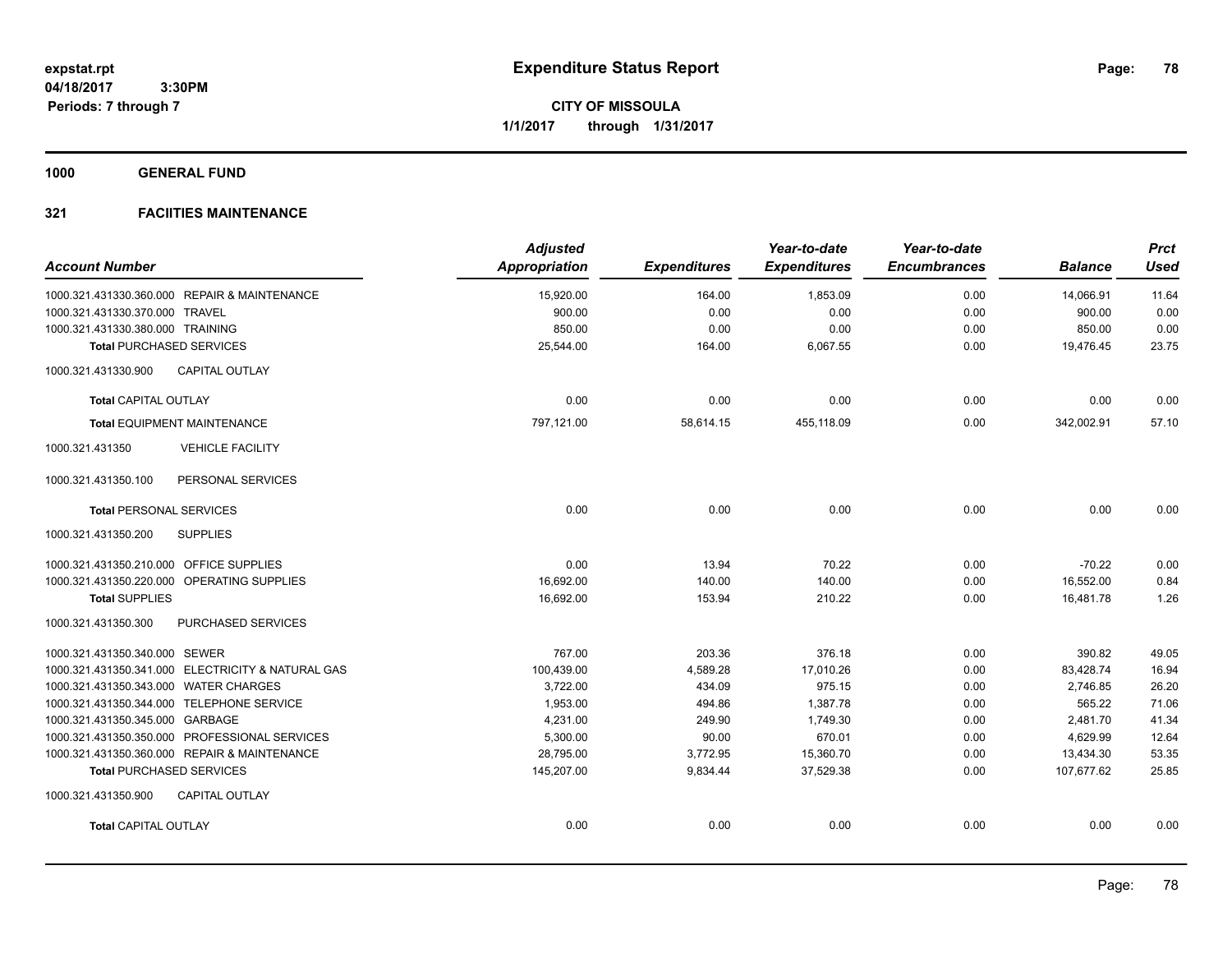**CITY OF MISSOULA 1/1/2017 through 1/31/2017**

**1000 GENERAL FUND**

| <b>Account Number</b>                             | <b>Adjusted</b><br><b>Appropriation</b> | <b>Expenditures</b> | Year-to-date<br><b>Expenditures</b> | Year-to-date<br><b>Encumbrances</b> | <b>Balance</b> | <b>Prct</b><br><b>Used</b> |
|---------------------------------------------------|-----------------------------------------|---------------------|-------------------------------------|-------------------------------------|----------------|----------------------------|
| 1000.321.431330.360.000 REPAIR & MAINTENANCE      | 15,920.00                               | 164.00              | 1,853.09                            | 0.00                                | 14,066.91      | 11.64                      |
| 1000.321.431330.370.000 TRAVEL                    | 900.00                                  | 0.00                | 0.00                                | 0.00                                | 900.00         | 0.00                       |
| 1000.321.431330.380.000 TRAINING                  | 850.00                                  | 0.00                | 0.00                                | 0.00                                | 850.00         | 0.00                       |
| <b>Total PURCHASED SERVICES</b>                   | 25,544.00                               | 164.00              | 6,067.55                            | 0.00                                | 19,476.45      | 23.75                      |
| <b>CAPITAL OUTLAY</b><br>1000.321.431330.900      |                                         |                     |                                     |                                     |                |                            |
| <b>Total CAPITAL OUTLAY</b>                       | 0.00                                    | 0.00                | 0.00                                | 0.00                                | 0.00           | 0.00                       |
| <b>Total EQUIPMENT MAINTENANCE</b>                | 797,121.00                              | 58,614.15           | 455,118.09                          | 0.00                                | 342,002.91     | 57.10                      |
| 1000.321.431350<br><b>VEHICLE FACILITY</b>        |                                         |                     |                                     |                                     |                |                            |
| 1000.321.431350.100<br>PERSONAL SERVICES          |                                         |                     |                                     |                                     |                |                            |
| <b>Total PERSONAL SERVICES</b>                    | 0.00                                    | 0.00                | 0.00                                | 0.00                                | 0.00           | 0.00                       |
| 1000.321.431350.200<br><b>SUPPLIES</b>            |                                         |                     |                                     |                                     |                |                            |
| 1000.321.431350.210.000 OFFICE SUPPLIES           | 0.00                                    | 13.94               | 70.22                               | 0.00                                | $-70.22$       | 0.00                       |
| 1000.321.431350.220.000 OPERATING SUPPLIES        | 16,692.00                               | 140.00              | 140.00                              | 0.00                                | 16,552.00      | 0.84                       |
| <b>Total SUPPLIES</b>                             | 16,692.00                               | 153.94              | 210.22                              | 0.00                                | 16,481.78      | 1.26                       |
| 1000.321.431350.300<br><b>PURCHASED SERVICES</b>  |                                         |                     |                                     |                                     |                |                            |
| 1000.321.431350.340.000 SEWER                     | 767.00                                  | 203.36              | 376.18                              | 0.00                                | 390.82         | 49.05                      |
| 1000.321.431350.341.000 ELECTRICITY & NATURAL GAS | 100,439.00                              | 4,589.28            | 17,010.26                           | 0.00                                | 83,428.74      | 16.94                      |
| 1000.321.431350.343.000 WATER CHARGES             | 3,722.00                                | 434.09              | 975.15                              | 0.00                                | 2,746.85       | 26.20                      |
| 1000.321.431350.344.000 TELEPHONE SERVICE         | 1,953.00                                | 494.86              | 1,387.78                            | 0.00                                | 565.22         | 71.06                      |
| 1000.321.431350.345.000 GARBAGE                   | 4,231.00                                | 249.90              | 1,749.30                            | 0.00                                | 2,481.70       | 41.34                      |
| 1000.321.431350.350.000 PROFESSIONAL SERVICES     | 5,300.00                                | 90.00               | 670.01                              | 0.00                                | 4,629.99       | 12.64                      |
| 1000.321.431350.360.000 REPAIR & MAINTENANCE      | 28.795.00                               | 3,772.95            | 15,360.70                           | 0.00                                | 13,434.30      | 53.35                      |
| <b>Total PURCHASED SERVICES</b>                   | 145,207.00                              | 9,834.44            | 37,529.38                           | 0.00                                | 107,677.62     | 25.85                      |
| 1000.321.431350.900<br><b>CAPITAL OUTLAY</b>      |                                         |                     |                                     |                                     |                |                            |
| <b>Total CAPITAL OUTLAY</b>                       | 0.00                                    | 0.00                | 0.00                                | 0.00                                | 0.00           | 0.00                       |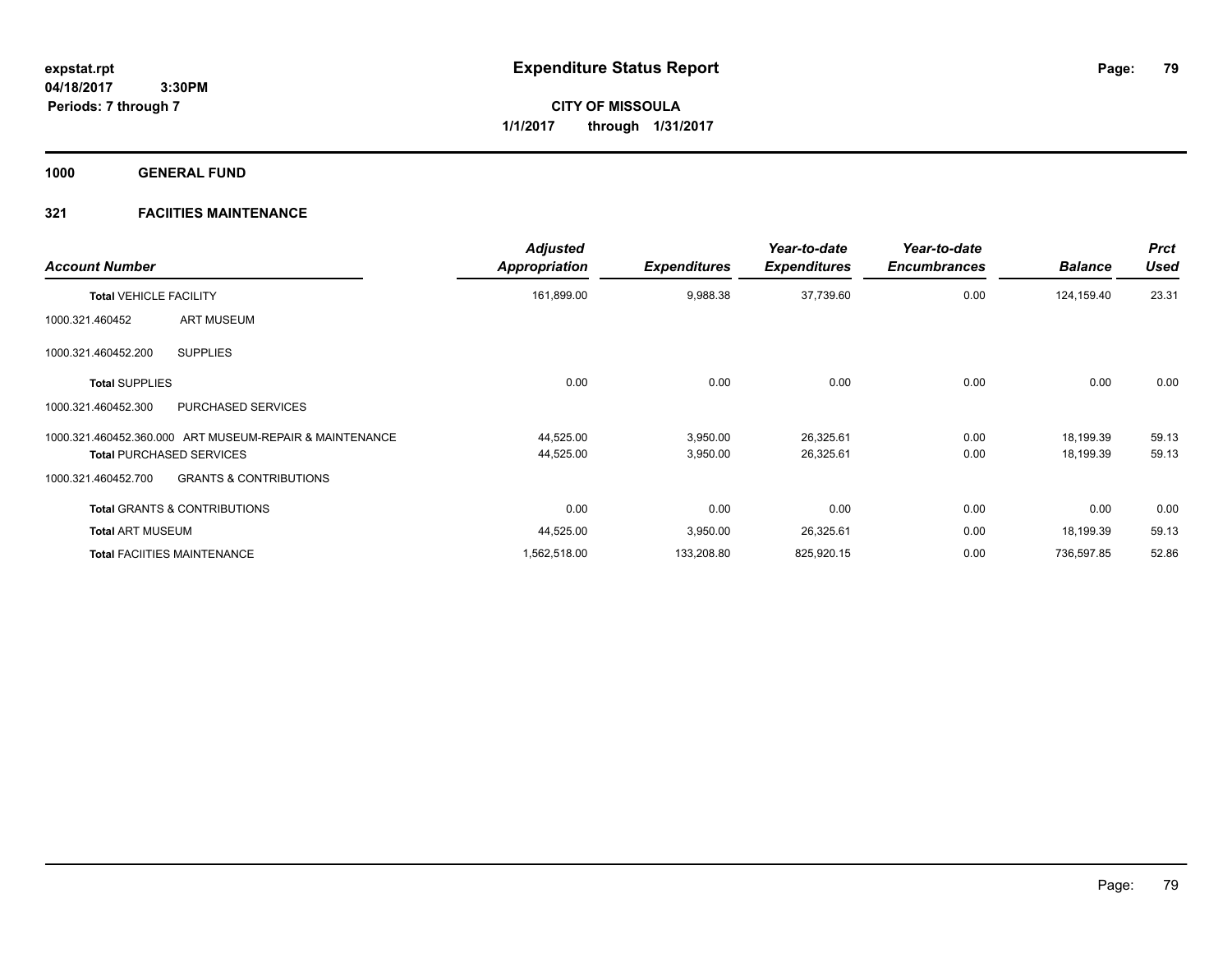**Periods: 7 through 7**

**CITY OF MISSOULA 1/1/2017 through 1/31/2017**

**1000 GENERAL FUND**

| <b>Account Number</b>                                    | <b>Adjusted</b><br><b>Appropriation</b> | <b>Expenditures</b> | Year-to-date<br><b>Expenditures</b> | Year-to-date<br><b>Encumbrances</b> | <b>Balance</b> | <b>Prct</b><br><b>Used</b> |
|----------------------------------------------------------|-----------------------------------------|---------------------|-------------------------------------|-------------------------------------|----------------|----------------------------|
| <b>Total VEHICLE FACILITY</b>                            | 161,899.00                              | 9,988.38            | 37,739.60                           | 0.00                                | 124,159.40     | 23.31                      |
| <b>ART MUSEUM</b><br>1000.321.460452                     |                                         |                     |                                     |                                     |                |                            |
| <b>SUPPLIES</b><br>1000.321.460452.200                   |                                         |                     |                                     |                                     |                |                            |
| <b>Total SUPPLIES</b>                                    | 0.00                                    | 0.00                | 0.00                                | 0.00                                | 0.00           | 0.00                       |
| <b>PURCHASED SERVICES</b><br>1000.321.460452.300         |                                         |                     |                                     |                                     |                |                            |
| 1000.321.460452.360.000 ART MUSEUM-REPAIR & MAINTENANCE  | 44,525.00                               | 3,950.00            | 26,325.61                           | 0.00                                | 18,199.39      | 59.13                      |
| <b>Total PURCHASED SERVICES</b>                          | 44,525.00                               | 3,950.00            | 26,325.61                           | 0.00                                | 18,199.39      | 59.13                      |
| <b>GRANTS &amp; CONTRIBUTIONS</b><br>1000.321.460452.700 |                                         |                     |                                     |                                     |                |                            |
| <b>Total GRANTS &amp; CONTRIBUTIONS</b>                  | 0.00                                    | 0.00                | 0.00                                | 0.00                                | 0.00           | 0.00                       |
| <b>Total ART MUSEUM</b>                                  | 44,525.00                               | 3,950.00            | 26,325.61                           | 0.00                                | 18,199.39      | 59.13                      |
| <b>Total FACIITIES MAINTENANCE</b>                       | 1,562,518.00                            | 133,208.80          | 825,920.15                          | 0.00                                | 736,597.85     | 52.86                      |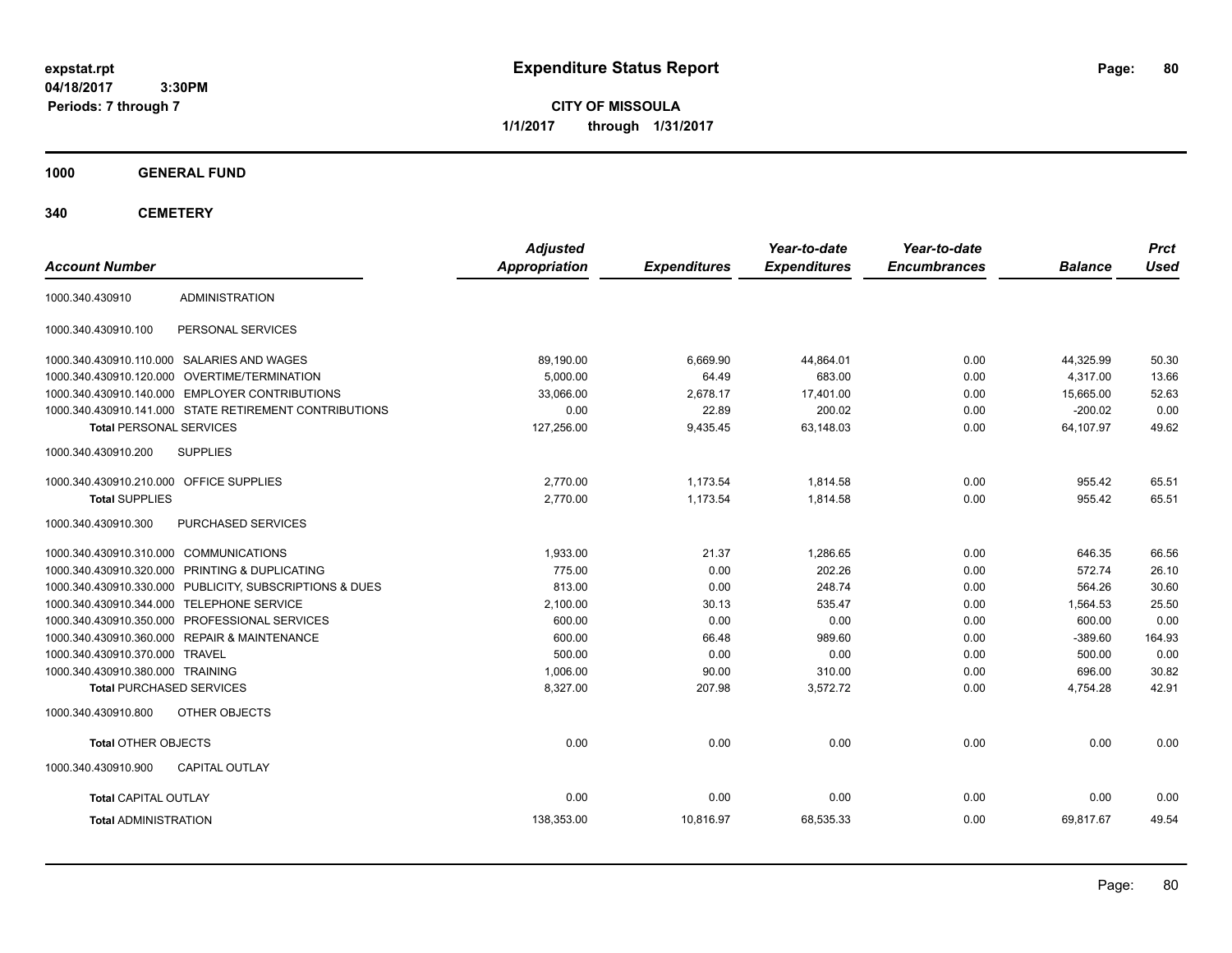**CITY OF MISSOULA 1/1/2017 through 1/31/2017**

**1000 GENERAL FUND**

**340 CEMETERY**

| <b>Account Number</b>                                   | <b>Adjusted</b><br><b>Appropriation</b> | <b>Expenditures</b> | Year-to-date<br><b>Expenditures</b> | Year-to-date<br><b>Encumbrances</b> | <b>Balance</b> | <b>Prct</b><br><b>Used</b> |
|---------------------------------------------------------|-----------------------------------------|---------------------|-------------------------------------|-------------------------------------|----------------|----------------------------|
| <b>ADMINISTRATION</b><br>1000.340.430910                |                                         |                     |                                     |                                     |                |                            |
| 1000.340.430910.100<br>PERSONAL SERVICES                |                                         |                     |                                     |                                     |                |                            |
| 1000.340.430910.110.000 SALARIES AND WAGES              | 89.190.00                               | 6,669.90            | 44.864.01                           | 0.00                                | 44,325.99      | 50.30                      |
| 1000.340.430910.120.000 OVERTIME/TERMINATION            | 5.000.00                                | 64.49               | 683.00                              | 0.00                                | 4.317.00       | 13.66                      |
| 1000.340.430910.140.000 EMPLOYER CONTRIBUTIONS          | 33.066.00                               | 2.678.17            | 17.401.00                           | 0.00                                | 15.665.00      | 52.63                      |
| 1000.340.430910.141.000 STATE RETIREMENT CONTRIBUTIONS  | 0.00                                    | 22.89               | 200.02                              | 0.00                                | $-200.02$      | 0.00                       |
| <b>Total PERSONAL SERVICES</b>                          | 127,256.00                              | 9,435.45            | 63,148.03                           | 0.00                                | 64.107.97      | 49.62                      |
| 1000.340.430910.200<br><b>SUPPLIES</b>                  |                                         |                     |                                     |                                     |                |                            |
| 1000.340.430910.210.000 OFFICE SUPPLIES                 | 2,770.00                                | 1,173.54            | 1,814.58                            | 0.00                                | 955.42         | 65.51                      |
| <b>Total SUPPLIES</b>                                   | 2,770.00                                | 1,173.54            | 1,814.58                            | 0.00                                | 955.42         | 65.51                      |
| 1000.340.430910.300<br><b>PURCHASED SERVICES</b>        |                                         |                     |                                     |                                     |                |                            |
| 1000.340.430910.310.000 COMMUNICATIONS                  | 1,933.00                                | 21.37               | 1.286.65                            | 0.00                                | 646.35         | 66.56                      |
| 1000.340.430910.320.000 PRINTING & DUPLICATING          | 775.00                                  | 0.00                | 202.26                              | 0.00                                | 572.74         | 26.10                      |
| 1000.340.430910.330.000 PUBLICITY, SUBSCRIPTIONS & DUES | 813.00                                  | 0.00                | 248.74                              | 0.00                                | 564.26         | 30.60                      |
| 1000.340.430910.344.000 TELEPHONE SERVICE               | 2,100.00                                | 30.13               | 535.47                              | 0.00                                | 1,564.53       | 25.50                      |
| 1000.340.430910.350.000 PROFESSIONAL SERVICES           | 600.00                                  | 0.00                | 0.00                                | 0.00                                | 600.00         | 0.00                       |
| 1000.340.430910.360.000 REPAIR & MAINTENANCE            | 600.00                                  | 66.48               | 989.60                              | 0.00                                | $-389.60$      | 164.93                     |
| 1000.340.430910.370.000 TRAVEL                          | 500.00                                  | 0.00                | 0.00                                | 0.00                                | 500.00         | 0.00                       |
| 1000.340.430910.380.000 TRAINING                        | 1,006.00                                | 90.00               | 310.00                              | 0.00                                | 696.00         | 30.82                      |
| <b>Total PURCHASED SERVICES</b>                         | 8,327.00                                | 207.98              | 3,572.72                            | 0.00                                | 4,754.28       | 42.91                      |
| 1000.340.430910.800<br>OTHER OBJECTS                    |                                         |                     |                                     |                                     |                |                            |
| <b>Total OTHER OBJECTS</b>                              | 0.00                                    | 0.00                | 0.00                                | 0.00                                | 0.00           | 0.00                       |
| 1000.340.430910.900<br><b>CAPITAL OUTLAY</b>            |                                         |                     |                                     |                                     |                |                            |
| <b>Total CAPITAL OUTLAY</b>                             | 0.00                                    | 0.00                | 0.00                                | 0.00                                | 0.00           | 0.00                       |
| <b>Total ADMINISTRATION</b>                             | 138,353.00                              | 10,816.97           | 68,535.33                           | 0.00                                | 69,817.67      | 49.54                      |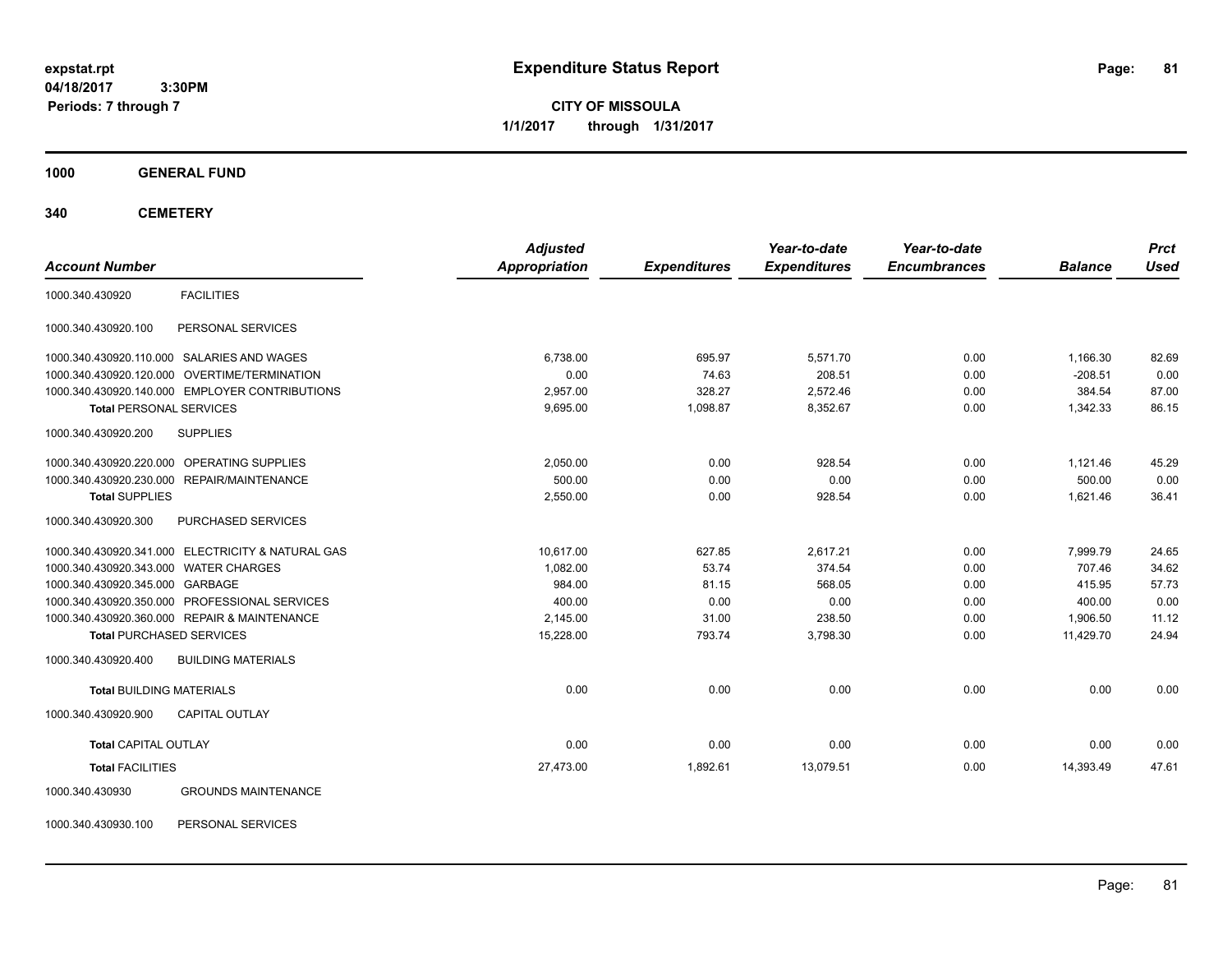**CITY OF MISSOULA 1/1/2017 through 1/31/2017**

#### **1000 GENERAL FUND**

**340 CEMETERY**

|                                                   | <b>Adjusted</b> |                     | Year-to-date        | Year-to-date        |                | <b>Prct</b> |
|---------------------------------------------------|-----------------|---------------------|---------------------|---------------------|----------------|-------------|
| <b>Account Number</b>                             | Appropriation   | <b>Expenditures</b> | <b>Expenditures</b> | <b>Encumbrances</b> | <b>Balance</b> | <b>Used</b> |
| <b>FACILITIES</b><br>1000.340.430920              |                 |                     |                     |                     |                |             |
| PERSONAL SERVICES<br>1000.340.430920.100          |                 |                     |                     |                     |                |             |
| 1000.340.430920.110.000 SALARIES AND WAGES        | 6,738.00        | 695.97              | 5,571.70            | 0.00                | 1,166.30       | 82.69       |
| 1000.340.430920.120.000 OVERTIME/TERMINATION      | 0.00            | 74.63               | 208.51              | 0.00                | $-208.51$      | 0.00        |
| 1000.340.430920.140.000 EMPLOYER CONTRIBUTIONS    | 2,957.00        | 328.27              | 2,572.46            | 0.00                | 384.54         | 87.00       |
| <b>Total PERSONAL SERVICES</b>                    | 9,695.00        | 1,098.87            | 8,352.67            | 0.00                | 1,342.33       | 86.15       |
| <b>SUPPLIES</b><br>1000.340.430920.200            |                 |                     |                     |                     |                |             |
| 1000.340.430920.220.000 OPERATING SUPPLIES        | 2,050.00        | 0.00                | 928.54              | 0.00                | 1,121.46       | 45.29       |
| 1000.340.430920.230.000 REPAIR/MAINTENANCE        | 500.00          | 0.00                | 0.00                | 0.00                | 500.00         | 0.00        |
| <b>Total SUPPLIES</b>                             | 2,550.00        | 0.00                | 928.54              | 0.00                | 1,621.46       | 36.41       |
| PURCHASED SERVICES<br>1000.340.430920.300         |                 |                     |                     |                     |                |             |
| 1000.340.430920.341.000 ELECTRICITY & NATURAL GAS | 10,617.00       | 627.85              | 2,617.21            | 0.00                | 7,999.79       | 24.65       |
| 1000.340.430920.343.000 WATER CHARGES             | 1,082.00        | 53.74               | 374.54              | 0.00                | 707.46         | 34.62       |
| 1000.340.430920.345.000 GARBAGE                   | 984.00          | 81.15               | 568.05              | 0.00                | 415.95         | 57.73       |
| 1000.340.430920.350.000 PROFESSIONAL SERVICES     | 400.00          | 0.00                | 0.00                | 0.00                | 400.00         | 0.00        |
| 1000.340.430920.360.000 REPAIR & MAINTENANCE      | 2,145.00        | 31.00               | 238.50              | 0.00                | 1,906.50       | 11.12       |
| <b>Total PURCHASED SERVICES</b>                   | 15,228.00       | 793.74              | 3,798.30            | 0.00                | 11,429.70      | 24.94       |
| 1000.340.430920.400<br><b>BUILDING MATERIALS</b>  |                 |                     |                     |                     |                |             |
| <b>Total BUILDING MATERIALS</b>                   | 0.00            | 0.00                | 0.00                | 0.00                | 0.00           | 0.00        |
| 1000.340.430920.900<br><b>CAPITAL OUTLAY</b>      |                 |                     |                     |                     |                |             |
| <b>Total CAPITAL OUTLAY</b>                       | 0.00            | 0.00                | 0.00                | 0.00                | 0.00           | 0.00        |
| <b>Total FACILITIES</b>                           | 27,473.00       | 1,892.61            | 13,079.51           | 0.00                | 14,393.49      | 47.61       |
| 1000.340.430930<br><b>GROUNDS MAINTENANCE</b>     |                 |                     |                     |                     |                |             |

1000.340.430930.100 PERSONAL SERVICES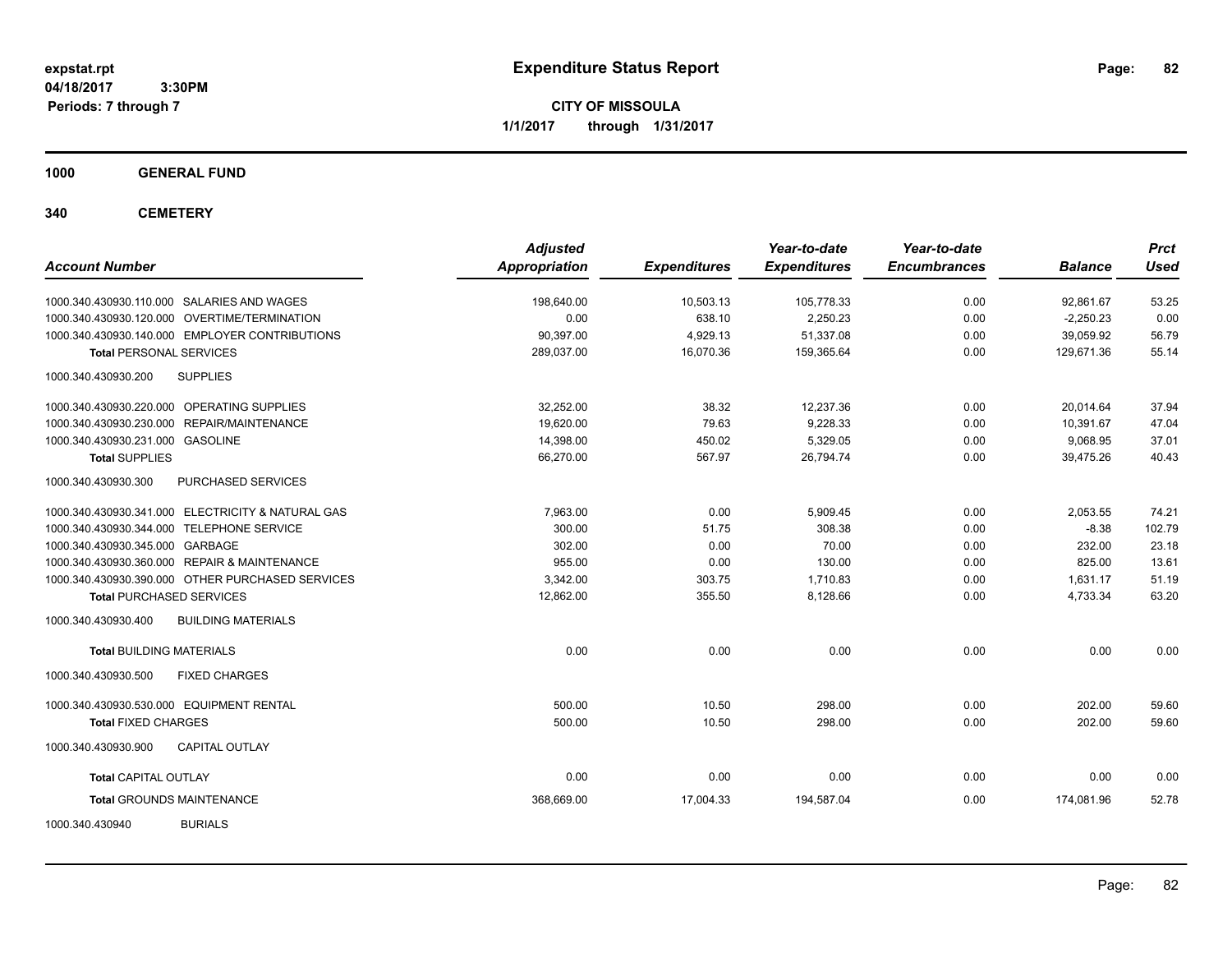**CITY OF MISSOULA 1/1/2017 through 1/31/2017**

## **1000 GENERAL FUND**

## **340 CEMETERY**

|                                                   | <b>Adjusted</b>      |                     | Year-to-date        | Year-to-date        |                | <b>Prct</b> |
|---------------------------------------------------|----------------------|---------------------|---------------------|---------------------|----------------|-------------|
| <b>Account Number</b>                             | <b>Appropriation</b> | <b>Expenditures</b> | <b>Expenditures</b> | <b>Encumbrances</b> | <b>Balance</b> | Used        |
| 1000.340.430930.110.000 SALARIES AND WAGES        | 198,640.00           | 10,503.13           | 105,778.33          | 0.00                | 92,861.67      | 53.25       |
| 1000.340.430930.120.000 OVERTIME/TERMINATION      | 0.00                 | 638.10              | 2,250.23            | 0.00                | $-2,250.23$    | 0.00        |
| 1000.340.430930.140.000 EMPLOYER CONTRIBUTIONS    | 90,397.00            | 4,929.13            | 51,337.08           | 0.00                | 39,059.92      | 56.79       |
| <b>Total PERSONAL SERVICES</b>                    | 289,037.00           | 16,070.36           | 159,365.64          | 0.00                | 129,671.36     | 55.14       |
| 1000.340.430930.200<br><b>SUPPLIES</b>            |                      |                     |                     |                     |                |             |
| 1000.340.430930.220.000 OPERATING SUPPLIES        | 32,252.00            | 38.32               | 12,237.36           | 0.00                | 20,014.64      | 37.94       |
| 1000.340.430930.230.000 REPAIR/MAINTENANCE        | 19,620.00            | 79.63               | 9,228.33            | 0.00                | 10,391.67      | 47.04       |
| 1000.340.430930.231.000 GASOLINE                  | 14,398.00            | 450.02              | 5,329.05            | 0.00                | 9,068.95       | 37.01       |
| <b>Total SUPPLIES</b>                             | 66,270.00            | 567.97              | 26,794.74           | 0.00                | 39.475.26      | 40.43       |
| 1000.340.430930.300<br>PURCHASED SERVICES         |                      |                     |                     |                     |                |             |
| 1000.340.430930.341.000 ELECTRICITY & NATURAL GAS | 7,963.00             | 0.00                | 5,909.45            | 0.00                | 2,053.55       | 74.21       |
| 1000.340.430930.344.000 TELEPHONE SERVICE         | 300.00               | 51.75               | 308.38              | 0.00                | $-8.38$        | 102.79      |
| 1000.340.430930.345.000 GARBAGE                   | 302.00               | 0.00                | 70.00               | 0.00                | 232.00         | 23.18       |
| 1000.340.430930.360.000 REPAIR & MAINTENANCE      | 955.00               | 0.00                | 130.00              | 0.00                | 825.00         | 13.61       |
| 1000.340.430930.390.000 OTHER PURCHASED SERVICES  | 3,342.00             | 303.75              | 1,710.83            | 0.00                | 1,631.17       | 51.19       |
| <b>Total PURCHASED SERVICES</b>                   | 12,862.00            | 355.50              | 8,128.66            | 0.00                | 4,733.34       | 63.20       |
| 1000.340.430930.400<br><b>BUILDING MATERIALS</b>  |                      |                     |                     |                     |                |             |
| <b>Total BUILDING MATERIALS</b>                   | 0.00                 | 0.00                | 0.00                | 0.00                | 0.00           | 0.00        |
| <b>FIXED CHARGES</b><br>1000.340.430930.500       |                      |                     |                     |                     |                |             |
| 1000.340.430930.530.000 EQUIPMENT RENTAL          | 500.00               | 10.50               | 298.00              | 0.00                | 202.00         | 59.60       |
| <b>Total FIXED CHARGES</b>                        | 500.00               | 10.50               | 298.00              | 0.00                | 202.00         | 59.60       |
| 1000.340.430930.900<br><b>CAPITAL OUTLAY</b>      |                      |                     |                     |                     |                |             |
| <b>Total CAPITAL OUTLAY</b>                       | 0.00                 | 0.00                | 0.00                | 0.00                | 0.00           | 0.00        |
| <b>Total GROUNDS MAINTENANCE</b>                  | 368,669.00           | 17,004.33           | 194,587.04          | 0.00                | 174,081.96     | 52.78       |
| <b>BURIALS</b><br>1000.340.430940                 |                      |                     |                     |                     |                |             |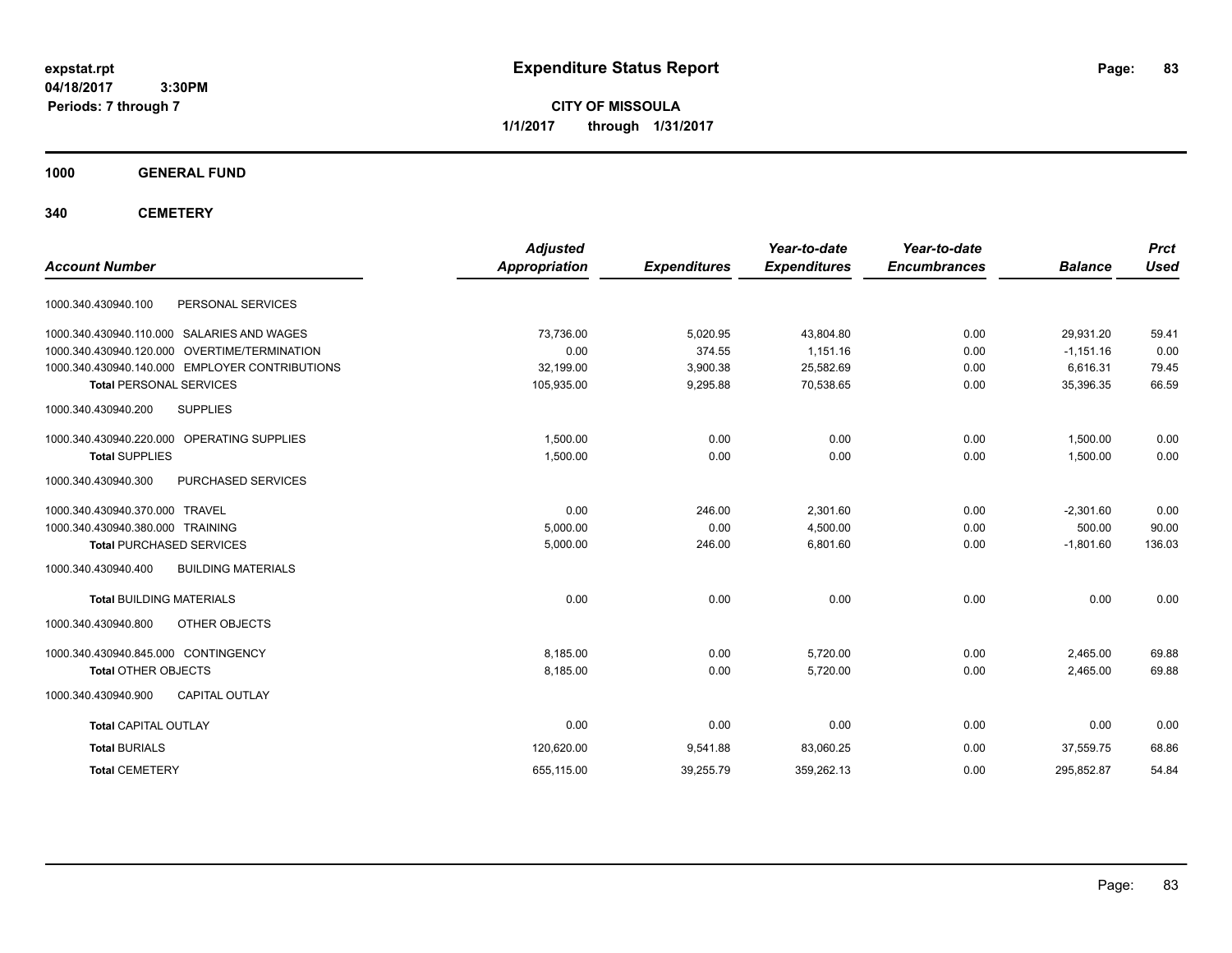**CITY OF MISSOULA 1/1/2017 through 1/31/2017**

## **1000 GENERAL FUND**

## **340 CEMETERY**

|                                                  | <b>Adjusted</b>      |                     | Year-to-date        | Year-to-date        |                | <b>Prct</b> |
|--------------------------------------------------|----------------------|---------------------|---------------------|---------------------|----------------|-------------|
| <b>Account Number</b>                            | <b>Appropriation</b> | <b>Expenditures</b> | <b>Expenditures</b> | <b>Encumbrances</b> | <b>Balance</b> | <b>Used</b> |
| PERSONAL SERVICES<br>1000.340.430940.100         |                      |                     |                     |                     |                |             |
| 1000.340.430940.110.000 SALARIES AND WAGES       | 73,736.00            | 5,020.95            | 43,804.80           | 0.00                | 29,931.20      | 59.41       |
| 1000.340.430940.120.000 OVERTIME/TERMINATION     | 0.00                 | 374.55              | 1,151.16            | 0.00                | $-1,151.16$    | 0.00        |
| 1000.340.430940.140.000 EMPLOYER CONTRIBUTIONS   | 32,199.00            | 3,900.38            | 25,582.69           | 0.00                | 6,616.31       | 79.45       |
| <b>Total PERSONAL SERVICES</b>                   | 105,935.00           | 9,295.88            | 70,538.65           | 0.00                | 35,396.35      | 66.59       |
| 1000.340.430940.200<br><b>SUPPLIES</b>           |                      |                     |                     |                     |                |             |
| 1000.340.430940.220.000 OPERATING SUPPLIES       | 1,500.00             | 0.00                | 0.00                | 0.00                | 1,500.00       | 0.00        |
| <b>Total SUPPLIES</b>                            | 1,500.00             | 0.00                | 0.00                | 0.00                | 1,500.00       | 0.00        |
| PURCHASED SERVICES<br>1000.340.430940.300        |                      |                     |                     |                     |                |             |
| 1000.340.430940.370.000 TRAVEL                   | 0.00                 | 246.00              | 2.301.60            | 0.00                | $-2,301.60$    | 0.00        |
| 1000.340.430940.380.000 TRAINING                 | 5,000.00             | 0.00                | 4,500.00            | 0.00                | 500.00         | 90.00       |
| <b>Total PURCHASED SERVICES</b>                  | 5,000.00             | 246.00              | 6,801.60            | 0.00                | $-1,801.60$    | 136.03      |
| 1000.340.430940.400<br><b>BUILDING MATERIALS</b> |                      |                     |                     |                     |                |             |
| <b>Total BUILDING MATERIALS</b>                  | 0.00                 | 0.00                | 0.00                | 0.00                | 0.00           | 0.00        |
| OTHER OBJECTS<br>1000.340.430940.800             |                      |                     |                     |                     |                |             |
| 1000.340.430940.845.000 CONTINGENCY              | 8,185.00             | 0.00                | 5,720.00            | 0.00                | 2,465.00       | 69.88       |
| <b>Total OTHER OBJECTS</b>                       | 8,185.00             | 0.00                | 5,720.00            | 0.00                | 2,465.00       | 69.88       |
| 1000.340.430940.900<br><b>CAPITAL OUTLAY</b>     |                      |                     |                     |                     |                |             |
| <b>Total CAPITAL OUTLAY</b>                      | 0.00                 | 0.00                | 0.00                | 0.00                | 0.00           | 0.00        |
| <b>Total BURIALS</b>                             | 120,620.00           | 9,541.88            | 83,060.25           | 0.00                | 37,559.75      | 68.86       |
| <b>Total CEMETERY</b>                            | 655,115.00           | 39,255.79           | 359,262.13          | 0.00                | 295,852.87     | 54.84       |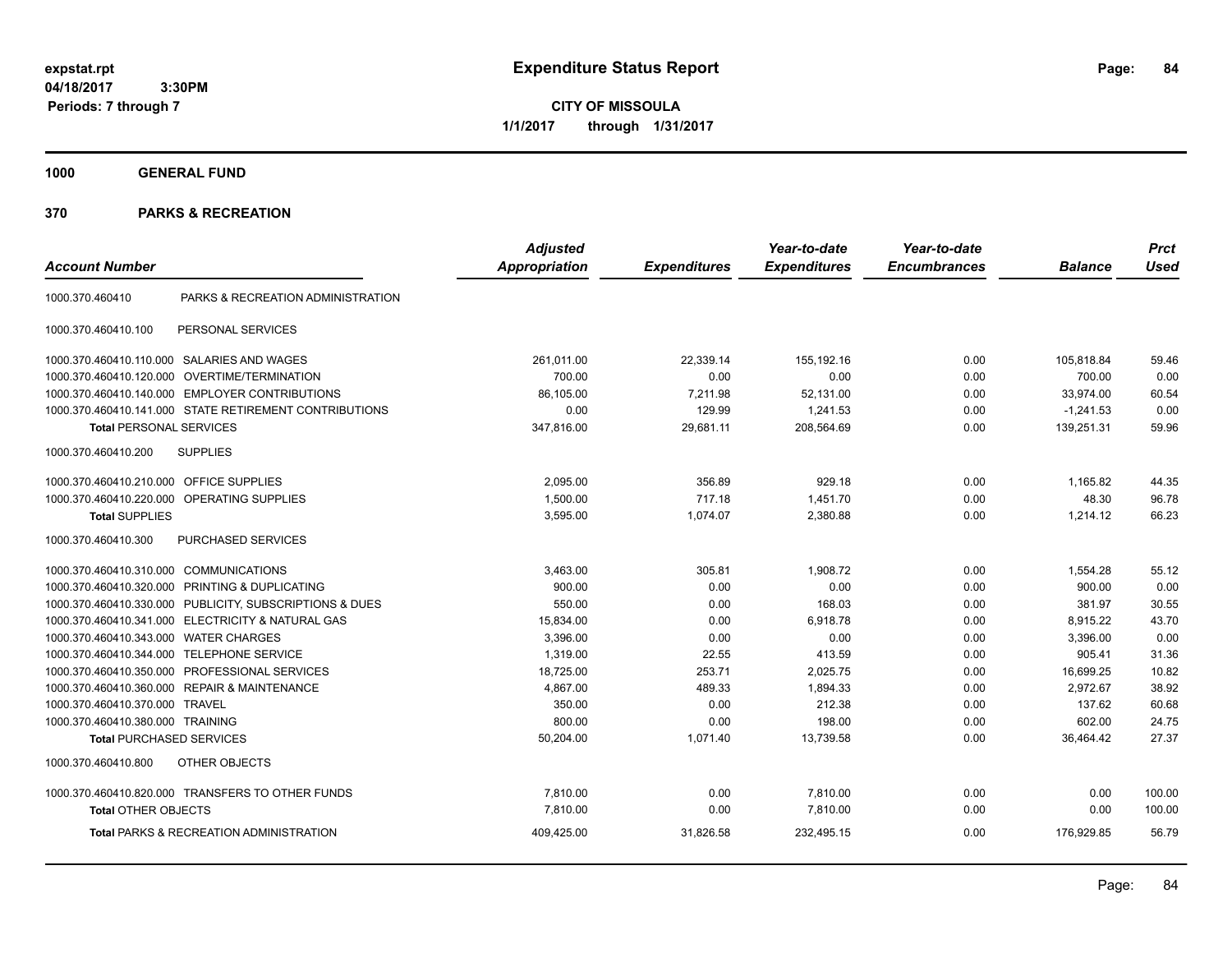**CITY OF MISSOULA 1/1/2017 through 1/31/2017**

**1000 GENERAL FUND**

|                                         |                                                         | <b>Adjusted</b>      |                     | Year-to-date        | Year-to-date        |                | <b>Prct</b> |
|-----------------------------------------|---------------------------------------------------------|----------------------|---------------------|---------------------|---------------------|----------------|-------------|
| <b>Account Number</b>                   |                                                         | <b>Appropriation</b> | <b>Expenditures</b> | <b>Expenditures</b> | <b>Encumbrances</b> | <b>Balance</b> | <b>Used</b> |
| 1000.370.460410                         | PARKS & RECREATION ADMINISTRATION                       |                      |                     |                     |                     |                |             |
| 1000.370.460410.100                     | PERSONAL SERVICES                                       |                      |                     |                     |                     |                |             |
|                                         | 1000.370.460410.110.000 SALARIES AND WAGES              | 261,011.00           | 22,339.14           | 155,192.16          | 0.00                | 105,818.84     | 59.46       |
| 1000.370.460410.120.000                 | <b>OVERTIME/TERMINATION</b>                             | 700.00               | 0.00                | 0.00                | 0.00                | 700.00         | 0.00        |
|                                         | 1000.370.460410.140.000 EMPLOYER CONTRIBUTIONS          | 86,105.00            | 7,211.98            | 52,131.00           | 0.00                | 33,974.00      | 60.54       |
|                                         | 1000.370.460410.141.000 STATE RETIREMENT CONTRIBUTIONS  | 0.00                 | 129.99              | 1,241.53            | 0.00                | $-1,241.53$    | 0.00        |
| <b>Total PERSONAL SERVICES</b>          |                                                         | 347,816.00           | 29,681.11           | 208,564.69          | 0.00                | 139,251.31     | 59.96       |
| 1000.370.460410.200                     | <b>SUPPLIES</b>                                         |                      |                     |                     |                     |                |             |
| 1000.370.460410.210.000 OFFICE SUPPLIES |                                                         | 2,095.00             | 356.89              | 929.18              | 0.00                | 1,165.82       | 44.35       |
|                                         | 1000.370.460410.220.000 OPERATING SUPPLIES              | 1,500.00             | 717.18              | 1,451.70            | 0.00                | 48.30          | 96.78       |
| <b>Total SUPPLIES</b>                   |                                                         | 3,595.00             | 1,074.07            | 2,380.88            | 0.00                | 1,214.12       | 66.23       |
| 1000.370.460410.300                     | PURCHASED SERVICES                                      |                      |                     |                     |                     |                |             |
| 1000.370.460410.310.000 COMMUNICATIONS  |                                                         | 3,463.00             | 305.81              | 1,908.72            | 0.00                | 1,554.28       | 55.12       |
| 1000.370.460410.320.000                 | PRINTING & DUPLICATING                                  | 900.00               | 0.00                | 0.00                | 0.00                | 900.00         | 0.00        |
|                                         | 1000.370.460410.330.000 PUBLICITY, SUBSCRIPTIONS & DUES | 550.00               | 0.00                | 168.03              | 0.00                | 381.97         | 30.55       |
|                                         | 1000.370.460410.341.000 ELECTRICITY & NATURAL GAS       | 15,834.00            | 0.00                | 6,918.78            | 0.00                | 8,915.22       | 43.70       |
| 1000.370.460410.343.000                 | <b>WATER CHARGES</b>                                    | 3,396.00             | 0.00                | 0.00                | 0.00                | 3,396.00       | 0.00        |
| 1000.370.460410.344.000                 | <b>TELEPHONE SERVICE</b>                                | 1,319.00             | 22.55               | 413.59              | 0.00                | 905.41         | 31.36       |
| 1000.370.460410.350.000                 | PROFESSIONAL SERVICES                                   | 18,725.00            | 253.71              | 2,025.75            | 0.00                | 16,699.25      | 10.82       |
|                                         | 1000.370.460410.360.000 REPAIR & MAINTENANCE            | 4,867.00             | 489.33              | 1,894.33            | 0.00                | 2,972.67       | 38.92       |
| 1000.370.460410.370.000 TRAVEL          |                                                         | 350.00               | 0.00                | 212.38              | 0.00                | 137.62         | 60.68       |
| 1000.370.460410.380.000 TRAINING        |                                                         | 800.00               | 0.00                | 198.00              | 0.00                | 602.00         | 24.75       |
| <b>Total PURCHASED SERVICES</b>         |                                                         | 50,204.00            | 1,071.40            | 13,739.58           | 0.00                | 36,464.42      | 27.37       |
| 1000.370.460410.800                     | OTHER OBJECTS                                           |                      |                     |                     |                     |                |             |
|                                         | 1000.370.460410.820.000 TRANSFERS TO OTHER FUNDS        | 7,810.00             | 0.00                | 7,810.00            | 0.00                | 0.00           | 100.00      |
| <b>Total OTHER OBJECTS</b>              |                                                         | 7,810.00             | 0.00                | 7,810.00            | 0.00                | 0.00           | 100.00      |
|                                         | <b>Total PARKS &amp; RECREATION ADMINISTRATION</b>      | 409,425.00           | 31,826.58           | 232,495.15          | 0.00                | 176,929.85     | 56.79       |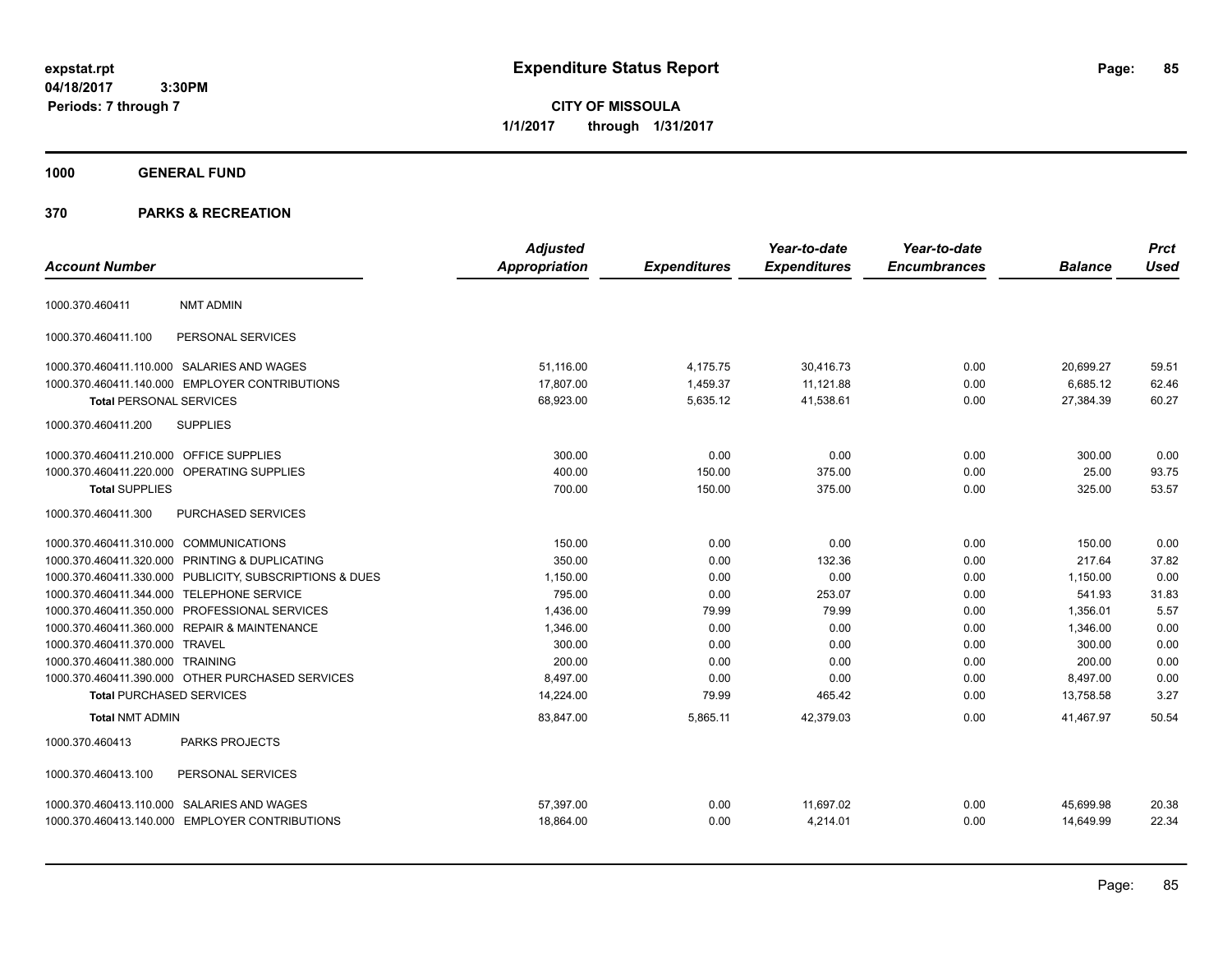**CITY OF MISSOULA 1/1/2017 through 1/31/2017**

## **1000 GENERAL FUND**

|                                         |                                                         | <b>Adjusted</b> |                     | Year-to-date        | Year-to-date        |                | <b>Prct</b> |
|-----------------------------------------|---------------------------------------------------------|-----------------|---------------------|---------------------|---------------------|----------------|-------------|
| <b>Account Number</b>                   |                                                         | Appropriation   | <b>Expenditures</b> | <b>Expenditures</b> | <b>Encumbrances</b> | <b>Balance</b> | <b>Used</b> |
| 1000.370.460411                         | <b>NMT ADMIN</b>                                        |                 |                     |                     |                     |                |             |
| 1000.370.460411.100                     | PERSONAL SERVICES                                       |                 |                     |                     |                     |                |             |
|                                         | 1000.370.460411.110.000 SALARIES AND WAGES              | 51.116.00       | 4,175.75            | 30,416.73           | 0.00                | 20,699.27      | 59.51       |
|                                         | 1000.370.460411.140.000 EMPLOYER CONTRIBUTIONS          | 17,807.00       | 1,459.37            | 11,121.88           | 0.00                | 6,685.12       | 62.46       |
| <b>Total PERSONAL SERVICES</b>          |                                                         | 68,923.00       | 5,635.12            | 41,538.61           | 0.00                | 27,384.39      | 60.27       |
| 1000.370.460411.200                     | <b>SUPPLIES</b>                                         |                 |                     |                     |                     |                |             |
| 1000.370.460411.210.000 OFFICE SUPPLIES |                                                         | 300.00          | 0.00                | 0.00                | 0.00                | 300.00         | 0.00        |
|                                         | 1000.370.460411.220.000 OPERATING SUPPLIES              | 400.00          | 150.00              | 375.00              | 0.00                | 25.00          | 93.75       |
| <b>Total SUPPLIES</b>                   |                                                         | 700.00          | 150.00              | 375.00              | 0.00                | 325.00         | 53.57       |
| 1000.370.460411.300                     | <b>PURCHASED SERVICES</b>                               |                 |                     |                     |                     |                |             |
| 1000.370.460411.310.000 COMMUNICATIONS  |                                                         | 150.00          | 0.00                | 0.00                | 0.00                | 150.00         | 0.00        |
|                                         | 1000.370.460411.320.000 PRINTING & DUPLICATING          | 350.00          | 0.00                | 132.36              | 0.00                | 217.64         | 37.82       |
|                                         | 1000.370.460411.330.000 PUBLICITY, SUBSCRIPTIONS & DUES | 1,150.00        | 0.00                | 0.00                | 0.00                | 1,150.00       | 0.00        |
|                                         | 1000.370.460411.344.000 TELEPHONE SERVICE               | 795.00          | 0.00                | 253.07              | 0.00                | 541.93         | 31.83       |
|                                         | 1000.370.460411.350.000 PROFESSIONAL SERVICES           | 1,436.00        | 79.99               | 79.99               | 0.00                | 1,356.01       | 5.57        |
|                                         | 1000.370.460411.360.000 REPAIR & MAINTENANCE            | 1,346.00        | 0.00                | 0.00                | 0.00                | 1,346.00       | 0.00        |
| 1000.370.460411.370.000 TRAVEL          |                                                         | 300.00          | 0.00                | 0.00                | 0.00                | 300.00         | 0.00        |
| 1000.370.460411.380.000 TRAINING        |                                                         | 200.00          | 0.00                | 0.00                | 0.00                | 200.00         | 0.00        |
|                                         | 1000.370.460411.390.000 OTHER PURCHASED SERVICES        | 8,497.00        | 0.00                | 0.00                | 0.00                | 8,497.00       | 0.00        |
| <b>Total PURCHASED SERVICES</b>         |                                                         | 14,224.00       | 79.99               | 465.42              | 0.00                | 13,758.58      | 3.27        |
| <b>Total NMT ADMIN</b>                  |                                                         | 83,847.00       | 5,865.11            | 42,379.03           | 0.00                | 41.467.97      | 50.54       |
| 1000.370.460413                         | PARKS PROJECTS                                          |                 |                     |                     |                     |                |             |
| 1000.370.460413.100                     | PERSONAL SERVICES                                       |                 |                     |                     |                     |                |             |
|                                         | 1000.370.460413.110.000 SALARIES AND WAGES              | 57,397.00       | 0.00                | 11,697.02           | 0.00                | 45,699.98      | 20.38       |
|                                         | 1000.370.460413.140.000 EMPLOYER CONTRIBUTIONS          | 18,864.00       | 0.00                | 4,214.01            | 0.00                | 14,649.99      | 22.34       |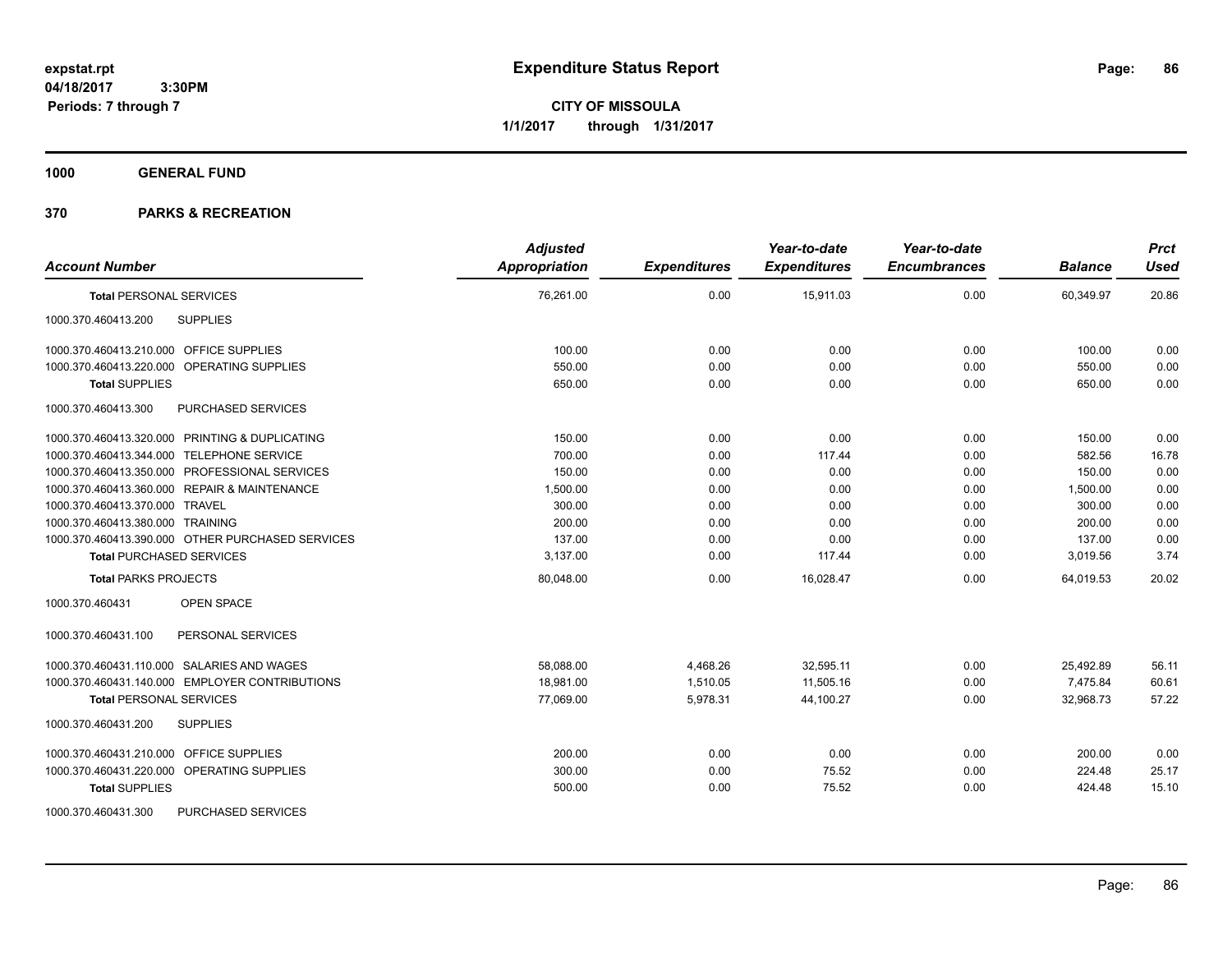**CITY OF MISSOULA 1/1/2017 through 1/31/2017**

**1000 GENERAL FUND**

| <b>Account Number</b>                            | <b>Adjusted</b><br><b>Appropriation</b> | <b>Expenditures</b> | Year-to-date<br><b>Expenditures</b> | Year-to-date<br><b>Encumbrances</b> | <b>Balance</b> | <b>Prct</b><br><b>Used</b> |
|--------------------------------------------------|-----------------------------------------|---------------------|-------------------------------------|-------------------------------------|----------------|----------------------------|
| <b>Total PERSONAL SERVICES</b>                   | 76,261.00                               | 0.00                | 15,911.03                           | 0.00                                | 60,349.97      | 20.86                      |
| <b>SUPPLIES</b><br>1000.370.460413.200           |                                         |                     |                                     |                                     |                |                            |
| 1000.370.460413.210.000 OFFICE SUPPLIES          | 100.00                                  | 0.00                | 0.00                                | 0.00                                | 100.00         | 0.00                       |
| 1000.370.460413.220.000 OPERATING SUPPLIES       | 550.00                                  | 0.00                | 0.00                                | 0.00                                | 550.00         | 0.00                       |
| <b>Total SUPPLIES</b>                            | 650.00                                  | 0.00                | 0.00                                | 0.00                                | 650.00         | 0.00                       |
| 1000.370.460413.300<br>PURCHASED SERVICES        |                                         |                     |                                     |                                     |                |                            |
| 1000.370.460413.320.000 PRINTING & DUPLICATING   | 150.00                                  | 0.00                | 0.00                                | 0.00                                | 150.00         | 0.00                       |
| 1000.370.460413.344.000 TELEPHONE SERVICE        | 700.00                                  | 0.00                | 117.44                              | 0.00                                | 582.56         | 16.78                      |
| 1000.370.460413.350.000 PROFESSIONAL SERVICES    | 150.00                                  | 0.00                | 0.00                                | 0.00                                | 150.00         | 0.00                       |
| 1000.370.460413.360.000 REPAIR & MAINTENANCE     | 1,500.00                                | 0.00                | 0.00                                | 0.00                                | 1,500.00       | 0.00                       |
| 1000.370.460413.370.000 TRAVEL                   | 300.00                                  | 0.00                | 0.00                                | 0.00                                | 300.00         | 0.00                       |
| 1000.370.460413.380.000 TRAINING                 | 200.00                                  | 0.00                | 0.00                                | 0.00                                | 200.00         | 0.00                       |
| 1000.370.460413.390.000 OTHER PURCHASED SERVICES | 137.00                                  | 0.00                | 0.00                                | 0.00                                | 137.00         | 0.00                       |
| <b>Total PURCHASED SERVICES</b>                  | 3,137.00                                | 0.00                | 117.44                              | 0.00                                | 3,019.56       | 3.74                       |
| <b>Total PARKS PROJECTS</b>                      | 80,048.00                               | 0.00                | 16,028.47                           | 0.00                                | 64,019.53      | 20.02                      |
| 1000.370.460431<br><b>OPEN SPACE</b>             |                                         |                     |                                     |                                     |                |                            |
| 1000.370.460431.100<br>PERSONAL SERVICES         |                                         |                     |                                     |                                     |                |                            |
| 1000.370.460431.110.000 SALARIES AND WAGES       | 58,088.00                               | 4,468.26            | 32,595.11                           | 0.00                                | 25,492.89      | 56.11                      |
| 1000.370.460431.140.000 EMPLOYER CONTRIBUTIONS   | 18,981.00                               | 1,510.05            | 11,505.16                           | 0.00                                | 7,475.84       | 60.61                      |
| <b>Total PERSONAL SERVICES</b>                   | 77,069.00                               | 5,978.31            | 44,100.27                           | 0.00                                | 32,968.73      | 57.22                      |
| 1000.370.460431.200<br><b>SUPPLIES</b>           |                                         |                     |                                     |                                     |                |                            |
| 1000.370.460431.210.000 OFFICE SUPPLIES          | 200.00                                  | 0.00                | 0.00                                | 0.00                                | 200.00         | 0.00                       |
| 1000.370.460431.220.000 OPERATING SUPPLIES       | 300.00                                  | 0.00                | 75.52                               | 0.00                                | 224.48         | 25.17                      |
| <b>Total SUPPLIES</b>                            | 500.00                                  | 0.00                | 75.52                               | 0.00                                | 424.48         | 15.10                      |
| 1000.370.460431.300<br><b>PURCHASED SERVICES</b> |                                         |                     |                                     |                                     |                |                            |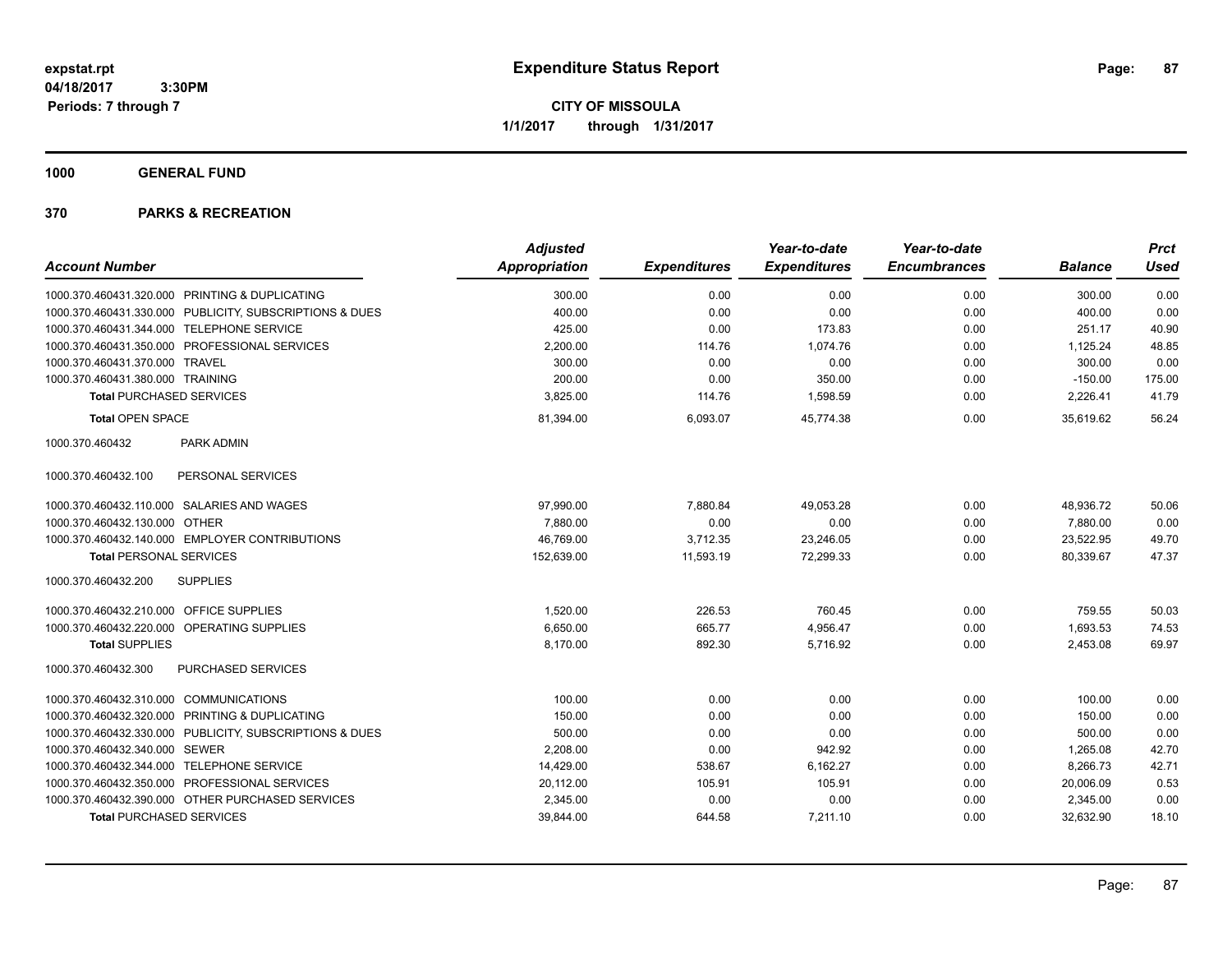**CITY OF MISSOULA 1/1/2017 through 1/31/2017**

**1000 GENERAL FUND**

|                                                         | <b>Adjusted</b> |                     | Year-to-date        | Year-to-date        |                | <b>Prct</b> |
|---------------------------------------------------------|-----------------|---------------------|---------------------|---------------------|----------------|-------------|
| <b>Account Number</b>                                   | Appropriation   | <b>Expenditures</b> | <b>Expenditures</b> | <b>Encumbrances</b> | <b>Balance</b> | <b>Used</b> |
| 1000.370.460431.320.000 PRINTING & DUPLICATING          | 300.00          | 0.00                | 0.00                | 0.00                | 300.00         | 0.00        |
| 1000.370.460431.330.000 PUBLICITY, SUBSCRIPTIONS & DUES | 400.00          | 0.00                | 0.00                | 0.00                | 400.00         | 0.00        |
| 1000.370.460431.344.000 TELEPHONE SERVICE               | 425.00          | 0.00                | 173.83              | 0.00                | 251.17         | 40.90       |
| 1000.370.460431.350.000 PROFESSIONAL SERVICES           | 2,200.00        | 114.76              | 1,074.76            | 0.00                | 1,125.24       | 48.85       |
| 1000.370.460431.370.000 TRAVEL                          | 300.00          | 0.00                | 0.00                | 0.00                | 300.00         | 0.00        |
| 1000.370.460431.380.000 TRAINING                        | 200.00          | 0.00                | 350.00              | 0.00                | $-150.00$      | 175.00      |
| <b>Total PURCHASED SERVICES</b>                         | 3,825.00        | 114.76              | 1,598.59            | 0.00                | 2,226.41       | 41.79       |
| <b>Total OPEN SPACE</b>                                 | 81,394.00       | 6,093.07            | 45.774.38           | 0.00                | 35,619.62      | 56.24       |
| 1000.370.460432<br>PARK ADMIN                           |                 |                     |                     |                     |                |             |
| PERSONAL SERVICES<br>1000.370.460432.100                |                 |                     |                     |                     |                |             |
| 1000.370.460432.110.000 SALARIES AND WAGES              | 97,990.00       | 7,880.84            | 49,053.28           | 0.00                | 48,936.72      | 50.06       |
| <b>OTHER</b><br>1000.370.460432.130.000                 | 7,880.00        | 0.00                | 0.00                | 0.00                | 7,880.00       | 0.00        |
| 1000.370.460432.140.000 EMPLOYER CONTRIBUTIONS          | 46,769.00       | 3,712.35            | 23,246.05           | 0.00                | 23,522.95      | 49.70       |
| <b>Total PERSONAL SERVICES</b>                          | 152,639.00      | 11,593.19           | 72,299.33           | 0.00                | 80,339.67      | 47.37       |
| 1000.370.460432.200<br><b>SUPPLIES</b>                  |                 |                     |                     |                     |                |             |
| 1000.370.460432.210.000 OFFICE SUPPLIES                 | 1,520.00        | 226.53              | 760.45              | 0.00                | 759.55         | 50.03       |
| 1000.370.460432.220.000 OPERATING SUPPLIES              | 6,650.00        | 665.77              | 4,956.47            | 0.00                | 1,693.53       | 74.53       |
| <b>Total SUPPLIES</b>                                   | 8,170.00        | 892.30              | 5,716.92            | 0.00                | 2,453.08       | 69.97       |
| PURCHASED SERVICES<br>1000.370.460432.300               |                 |                     |                     |                     |                |             |
| 1000.370.460432.310.000 COMMUNICATIONS                  | 100.00          | 0.00                | 0.00                | 0.00                | 100.00         | 0.00        |
| 1000.370.460432.320.000 PRINTING & DUPLICATING          | 150.00          | 0.00                | 0.00                | 0.00                | 150.00         | 0.00        |
| 1000.370.460432.330.000 PUBLICITY, SUBSCRIPTIONS & DUES | 500.00          | 0.00                | 0.00                | 0.00                | 500.00         | 0.00        |
| 1000.370.460432.340.000 SEWER                           | 2,208.00        | 0.00                | 942.92              | 0.00                | 1,265.08       | 42.70       |
| 1000.370.460432.344.000 TELEPHONE SERVICE               | 14,429.00       | 538.67              | 6,162.27            | 0.00                | 8,266.73       | 42.71       |
| 1000.370.460432.350.000 PROFESSIONAL SERVICES           | 20,112.00       | 105.91              | 105.91              | 0.00                | 20,006.09      | 0.53        |
| 1000.370.460432.390.000 OTHER PURCHASED SERVICES        | 2,345.00        | 0.00                | 0.00                | 0.00                | 2,345.00       | 0.00        |
| <b>Total PURCHASED SERVICES</b>                         | 39,844.00       | 644.58              | 7,211.10            | 0.00                | 32,632.90      | 18.10       |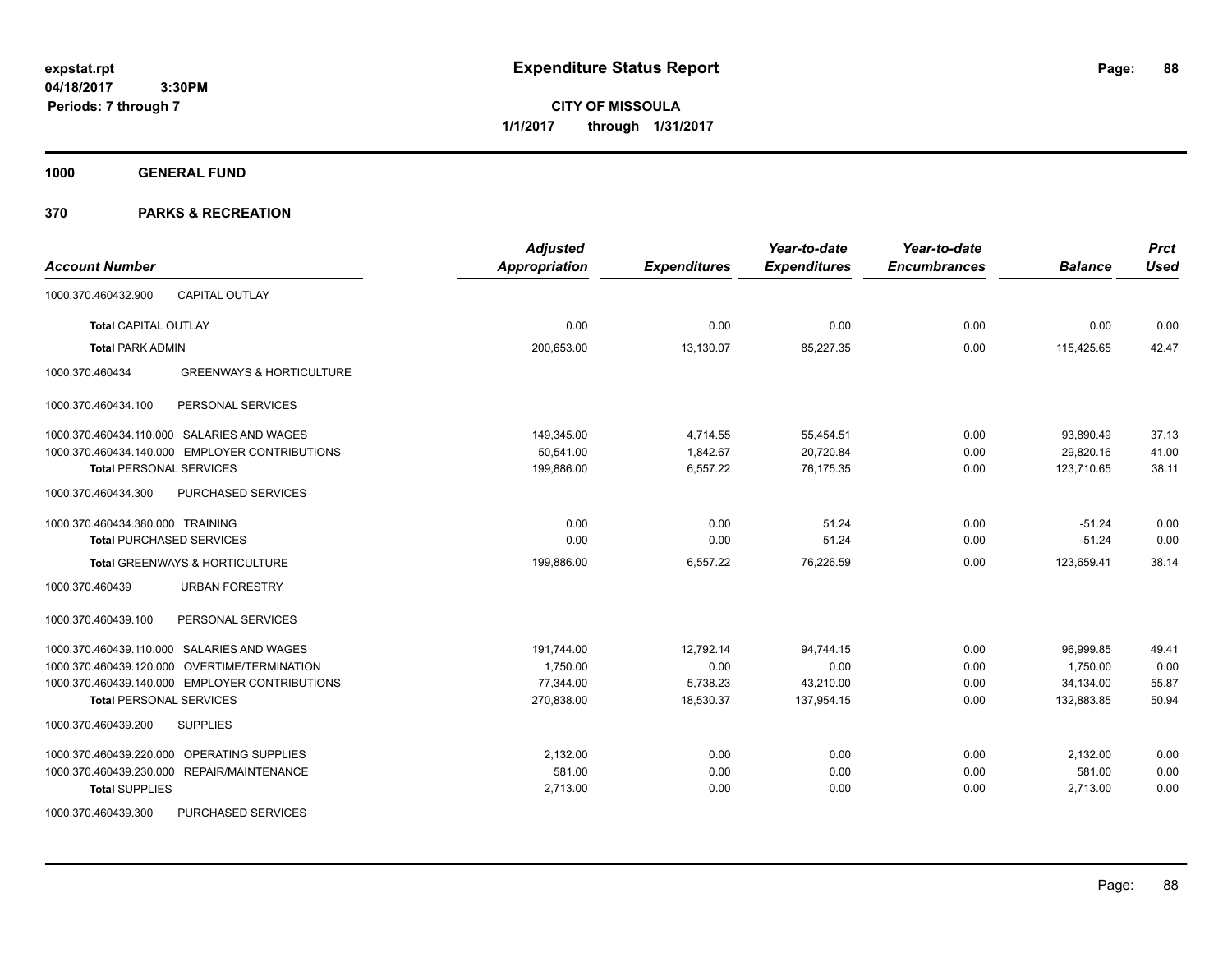**CITY OF MISSOULA 1/1/2017 through 1/31/2017**

**1000 GENERAL FUND**

| <b>Account Number</b>                                  | <b>Adjusted</b><br><b>Appropriation</b> | <b>Expenditures</b> | Year-to-date<br><b>Expenditures</b> | Year-to-date<br><b>Encumbrances</b> | <b>Balance</b> | <b>Prct</b><br><b>Used</b> |
|--------------------------------------------------------|-----------------------------------------|---------------------|-------------------------------------|-------------------------------------|----------------|----------------------------|
| <b>CAPITAL OUTLAY</b><br>1000.370.460432.900           |                                         |                     |                                     |                                     |                |                            |
| <b>Total CAPITAL OUTLAY</b>                            | 0.00                                    | 0.00                | 0.00                                | 0.00                                | 0.00           | 0.00                       |
| <b>Total PARK ADMIN</b>                                | 200,653.00                              | 13,130.07           | 85,227.35                           | 0.00                                | 115,425.65     | 42.47                      |
| 1000.370.460434<br><b>GREENWAYS &amp; HORTICULTURE</b> |                                         |                     |                                     |                                     |                |                            |
| PERSONAL SERVICES<br>1000.370.460434.100               |                                         |                     |                                     |                                     |                |                            |
| 1000.370.460434.110.000 SALARIES AND WAGES             | 149,345.00                              | 4,714.55            | 55,454.51                           | 0.00                                | 93,890.49      | 37.13                      |
| 1000.370.460434.140.000 EMPLOYER CONTRIBUTIONS         | 50,541.00                               | 1,842.67            | 20,720.84                           | 0.00                                | 29,820.16      | 41.00                      |
| <b>Total PERSONAL SERVICES</b>                         | 199,886.00                              | 6,557.22            | 76.175.35                           | 0.00                                | 123,710.65     | 38.11                      |
| 1000.370.460434.300<br>PURCHASED SERVICES              |                                         |                     |                                     |                                     |                |                            |
| 1000.370.460434.380.000 TRAINING                       | 0.00                                    | 0.00                | 51.24                               | 0.00                                | $-51.24$       | 0.00                       |
| <b>Total PURCHASED SERVICES</b>                        | 0.00                                    | 0.00                | 51.24                               | 0.00                                | $-51.24$       | 0.00                       |
| Total GREENWAYS & HORTICULTURE                         | 199,886.00                              | 6,557.22            | 76,226.59                           | 0.00                                | 123,659.41     | 38.14                      |
| <b>URBAN FORESTRY</b><br>1000.370.460439               |                                         |                     |                                     |                                     |                |                            |
| PERSONAL SERVICES<br>1000.370.460439.100               |                                         |                     |                                     |                                     |                |                            |
| 1000.370.460439.110.000 SALARIES AND WAGES             | 191,744.00                              | 12,792.14           | 94,744.15                           | 0.00                                | 96,999.85      | 49.41                      |
| 1000.370.460439.120.000 OVERTIME/TERMINATION           | 1,750.00                                | 0.00                | 0.00                                | 0.00                                | 1,750.00       | 0.00                       |
| 1000.370.460439.140.000 EMPLOYER CONTRIBUTIONS         | 77,344.00                               | 5,738.23            | 43,210.00                           | 0.00                                | 34,134.00      | 55.87                      |
| <b>Total PERSONAL SERVICES</b>                         | 270,838.00                              | 18,530.37           | 137,954.15                          | 0.00                                | 132,883.85     | 50.94                      |
| 1000.370.460439.200<br><b>SUPPLIES</b>                 |                                         |                     |                                     |                                     |                |                            |
| OPERATING SUPPLIES<br>1000.370.460439.220.000          | 2,132.00                                | 0.00                | 0.00                                | 0.00                                | 2,132.00       | 0.00                       |
| 1000.370.460439.230.000 REPAIR/MAINTENANCE             | 581.00                                  | 0.00                | 0.00                                | 0.00                                | 581.00         | 0.00                       |
| <b>Total SUPPLIES</b>                                  | 2,713.00                                | 0.00                | 0.00                                | 0.00                                | 2,713.00       | 0.00                       |
| PURCHASED SERVICES<br>1000.370.460439.300              |                                         |                     |                                     |                                     |                |                            |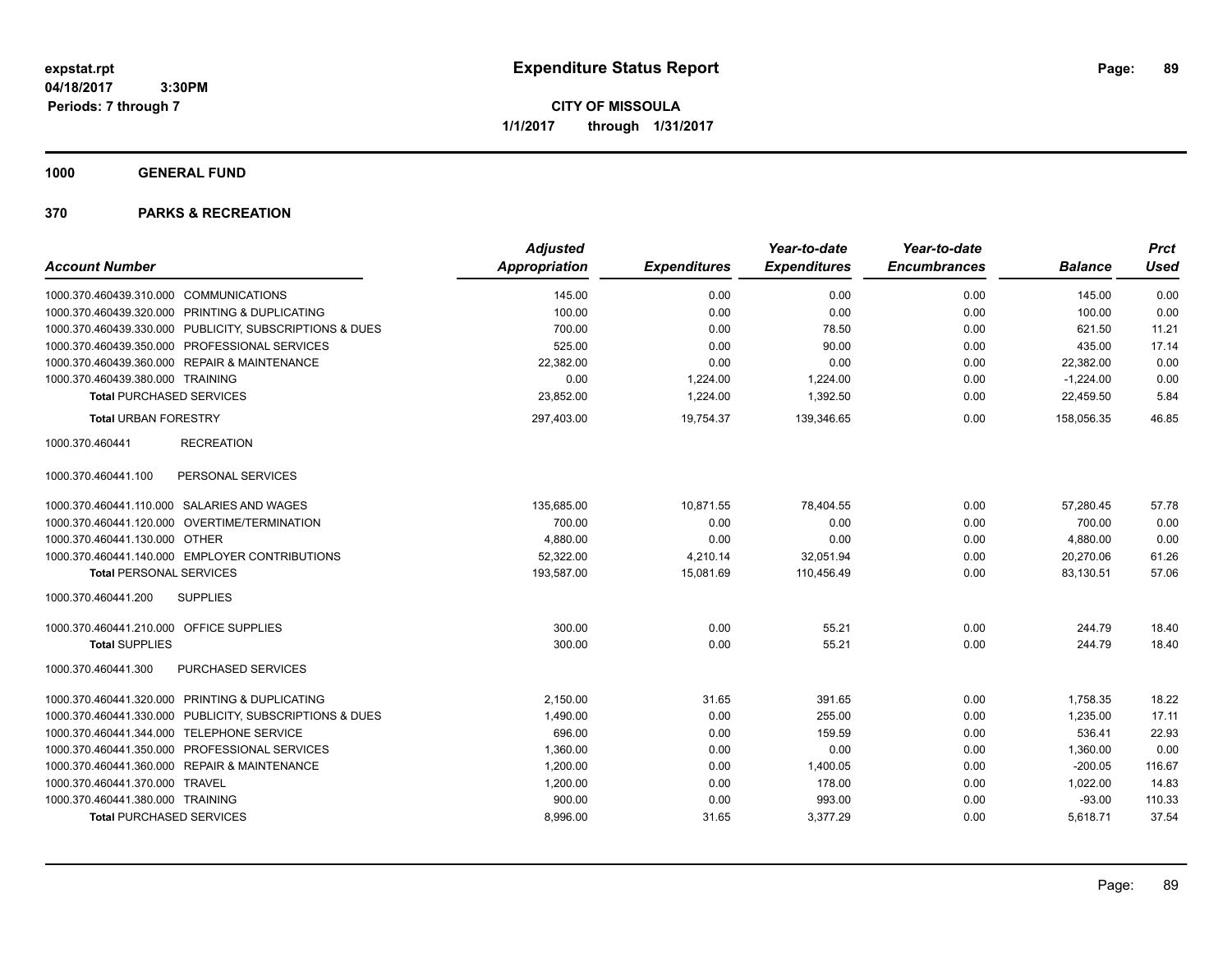**CITY OF MISSOULA 1/1/2017 through 1/31/2017**

**1000 GENERAL FUND**

|                                                         | <b>Adjusted</b>      |                     | Year-to-date        | Year-to-date        |                | <b>Prct</b> |
|---------------------------------------------------------|----------------------|---------------------|---------------------|---------------------|----------------|-------------|
| <b>Account Number</b>                                   | <b>Appropriation</b> | <b>Expenditures</b> | <b>Expenditures</b> | <b>Encumbrances</b> | <b>Balance</b> | <b>Used</b> |
| 1000.370.460439.310.000<br><b>COMMUNICATIONS</b>        | 145.00               | 0.00                | 0.00                | 0.00                | 145.00         | 0.00        |
| 1000.370.460439.320.000 PRINTING & DUPLICATING          | 100.00               | 0.00                | 0.00                | 0.00                | 100.00         | 0.00        |
| 1000.370.460439.330.000 PUBLICITY, SUBSCRIPTIONS & DUES | 700.00               | 0.00                | 78.50               | 0.00                | 621.50         | 11.21       |
| 1000.370.460439.350.000 PROFESSIONAL SERVICES           | 525.00               | 0.00                | 90.00               | 0.00                | 435.00         | 17.14       |
| 1000.370.460439.360.000 REPAIR & MAINTENANCE            | 22,382.00            | 0.00                | 0.00                | 0.00                | 22,382.00      | 0.00        |
| 1000.370.460439.380.000 TRAINING                        | 0.00                 | 1,224.00            | 1,224.00            | 0.00                | $-1,224.00$    | 0.00        |
| <b>Total PURCHASED SERVICES</b>                         | 23,852.00            | 1,224.00            | 1,392.50            | 0.00                | 22,459.50      | 5.84        |
| <b>Total URBAN FORESTRY</b>                             | 297,403.00           | 19,754.37           | 139,346.65          | 0.00                | 158,056.35     | 46.85       |
| 1000.370.460441<br><b>RECREATION</b>                    |                      |                     |                     |                     |                |             |
| PERSONAL SERVICES<br>1000.370.460441.100                |                      |                     |                     |                     |                |             |
| 1000.370.460441.110.000 SALARIES AND WAGES              | 135,685.00           | 10,871.55           | 78,404.55           | 0.00                | 57,280.45      | 57.78       |
| 1000.370.460441.120.000 OVERTIME/TERMINATION            | 700.00               | 0.00                | 0.00                | 0.00                | 700.00         | 0.00        |
| 1000.370.460441.130.000 OTHER                           | 4,880.00             | 0.00                | 0.00                | 0.00                | 4,880.00       | 0.00        |
| 1000.370.460441.140.000 EMPLOYER CONTRIBUTIONS          | 52,322.00            | 4,210.14            | 32,051.94           | 0.00                | 20,270.06      | 61.26       |
| <b>Total PERSONAL SERVICES</b>                          | 193,587.00           | 15,081.69           | 110,456.49          | 0.00                | 83,130.51      | 57.06       |
| <b>SUPPLIES</b><br>1000.370.460441.200                  |                      |                     |                     |                     |                |             |
| 1000.370.460441.210.000 OFFICE SUPPLIES                 | 300.00               | 0.00                | 55.21               | 0.00                | 244.79         | 18.40       |
| <b>Total SUPPLIES</b>                                   | 300.00               | 0.00                | 55.21               | 0.00                | 244.79         | 18.40       |
| 1000.370.460441.300<br>PURCHASED SERVICES               |                      |                     |                     |                     |                |             |
| 1000.370.460441.320.000 PRINTING & DUPLICATING          | 2,150.00             | 31.65               | 391.65              | 0.00                | 1,758.35       | 18.22       |
| 1000.370.460441.330.000 PUBLICITY, SUBSCRIPTIONS & DUES | 1,490.00             | 0.00                | 255.00              | 0.00                | 1,235.00       | 17.11       |
| 1000.370.460441.344.000 TELEPHONE SERVICE               | 696.00               | 0.00                | 159.59              | 0.00                | 536.41         | 22.93       |
| 1000.370.460441.350.000 PROFESSIONAL SERVICES           | 1,360.00             | 0.00                | 0.00                | 0.00                | 1,360.00       | 0.00        |
| 1000.370.460441.360.000 REPAIR & MAINTENANCE            | 1,200.00             | 0.00                | 1,400.05            | 0.00                | $-200.05$      | 116.67      |
| 1000.370.460441.370.000 TRAVEL                          | 1,200.00             | 0.00                | 178.00              | 0.00                | 1,022.00       | 14.83       |
| 1000.370.460441.380.000 TRAINING                        | 900.00               | 0.00                | 993.00              | 0.00                | $-93.00$       | 110.33      |
| <b>Total PURCHASED SERVICES</b>                         | 8,996.00             | 31.65               | 3,377.29            | 0.00                | 5,618.71       | 37.54       |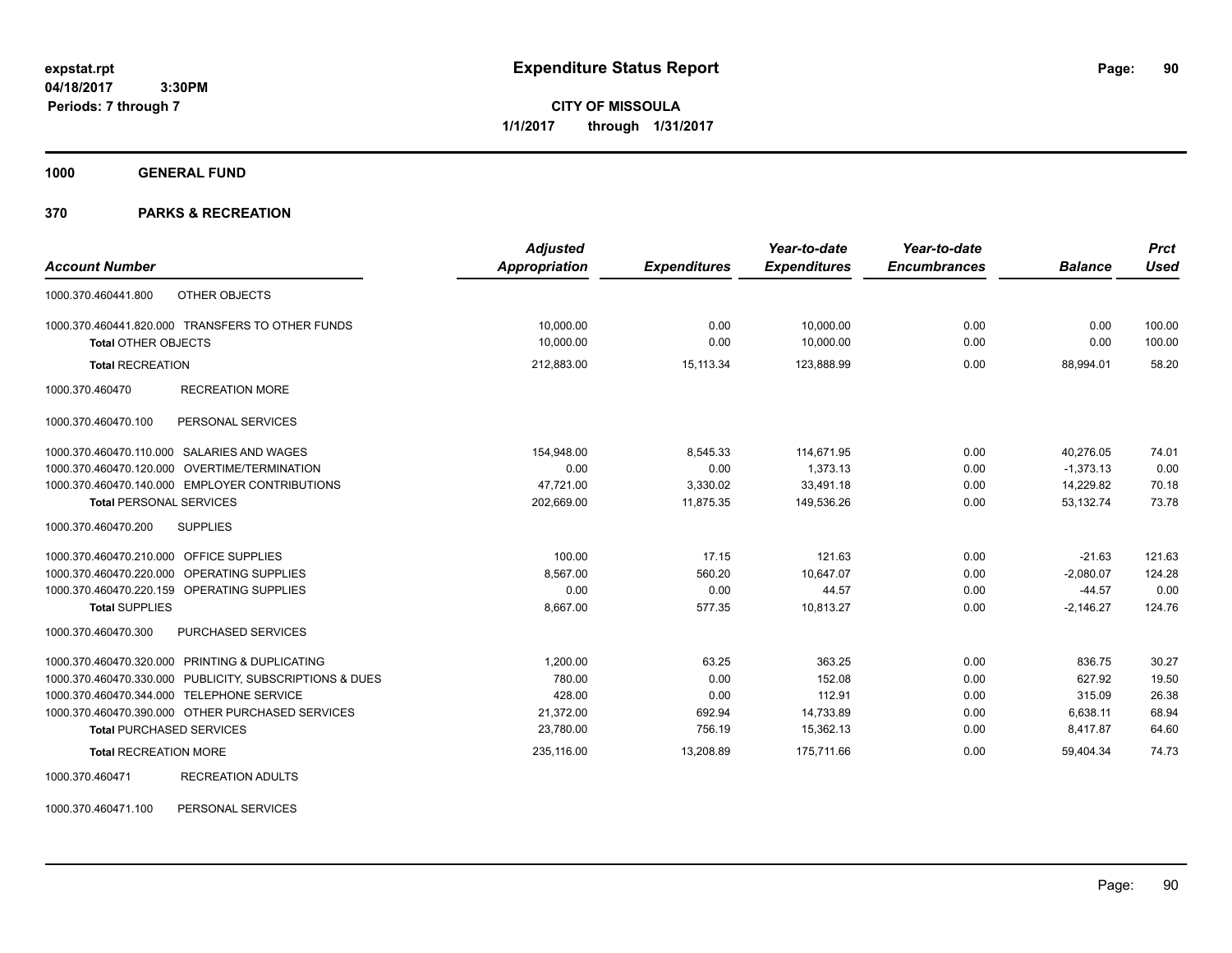**CITY OF MISSOULA 1/1/2017 through 1/31/2017**

**1000 GENERAL FUND**

## **370 PARKS & RECREATION**

|                                         |                                                         | <b>Adjusted</b>      |                     | Year-to-date        | Year-to-date        |                | <b>Prct</b> |
|-----------------------------------------|---------------------------------------------------------|----------------------|---------------------|---------------------|---------------------|----------------|-------------|
| <b>Account Number</b>                   |                                                         | <b>Appropriation</b> | <b>Expenditures</b> | <b>Expenditures</b> | <b>Encumbrances</b> | <b>Balance</b> | <b>Used</b> |
| 1000.370.460441.800                     | OTHER OBJECTS                                           |                      |                     |                     |                     |                |             |
|                                         | 1000.370.460441.820.000 TRANSFERS TO OTHER FUNDS        | 10,000.00            | 0.00                | 10,000.00           | 0.00                | 0.00           | 100.00      |
| <b>Total OTHER OBJECTS</b>              |                                                         | 10,000.00            | 0.00                | 10,000.00           | 0.00                | 0.00           | 100.00      |
| <b>Total RECREATION</b>                 |                                                         | 212,883.00           | 15.113.34           | 123,888.99          | 0.00                | 88.994.01      | 58.20       |
| 1000.370.460470                         | <b>RECREATION MORE</b>                                  |                      |                     |                     |                     |                |             |
| 1000.370.460470.100                     | PERSONAL SERVICES                                       |                      |                     |                     |                     |                |             |
|                                         | 1000.370.460470.110.000 SALARIES AND WAGES              | 154.948.00           | 8,545.33            | 114.671.95          | 0.00                | 40.276.05      | 74.01       |
|                                         | 1000.370.460470.120.000 OVERTIME/TERMINATION            | 0.00                 | 0.00                | 1,373.13            | 0.00                | $-1,373.13$    | 0.00        |
|                                         | 1000.370.460470.140.000 EMPLOYER CONTRIBUTIONS          | 47.721.00            | 3,330.02            | 33.491.18           | 0.00                | 14,229.82      | 70.18       |
| <b>Total PERSONAL SERVICES</b>          |                                                         | 202,669.00           | 11,875.35           | 149,536.26          | 0.00                | 53.132.74      | 73.78       |
| 1000.370.460470.200                     | <b>SUPPLIES</b>                                         |                      |                     |                     |                     |                |             |
| 1000.370.460470.210.000 OFFICE SUPPLIES |                                                         | 100.00               | 17.15               | 121.63              | 0.00                | $-21.63$       | 121.63      |
|                                         | 1000.370.460470.220.000 OPERATING SUPPLIES              | 8.567.00             | 560.20              | 10.647.07           | 0.00                | $-2,080.07$    | 124.28      |
|                                         | 1000.370.460470.220.159 OPERATING SUPPLIES              | 0.00                 | 0.00                | 44.57               | 0.00                | $-44.57$       | 0.00        |
| <b>Total SUPPLIES</b>                   |                                                         | 8,667.00             | 577.35              | 10,813.27           | 0.00                | $-2,146.27$    | 124.76      |
| 1000.370.460470.300                     | PURCHASED SERVICES                                      |                      |                     |                     |                     |                |             |
|                                         | 1000.370.460470.320.000 PRINTING & DUPLICATING          | 1.200.00             | 63.25               | 363.25              | 0.00                | 836.75         | 30.27       |
|                                         | 1000.370.460470.330.000 PUBLICITY, SUBSCRIPTIONS & DUES | 780.00               | 0.00                | 152.08              | 0.00                | 627.92         | 19.50       |
|                                         | 1000.370.460470.344.000 TELEPHONE SERVICE               | 428.00               | 0.00                | 112.91              | 0.00                | 315.09         | 26.38       |
|                                         | 1000.370.460470.390.000 OTHER PURCHASED SERVICES        | 21,372.00            | 692.94              | 14,733.89           | 0.00                | 6,638.11       | 68.94       |
| <b>Total PURCHASED SERVICES</b>         |                                                         | 23,780.00            | 756.19              | 15,362.13           | 0.00                | 8,417.87       | 64.60       |
| <b>Total RECREATION MORE</b>            |                                                         | 235,116.00           | 13,208.89           | 175,711.66          | 0.00                | 59,404.34      | 74.73       |
| 1000.370.460471                         | <b>RECREATION ADULTS</b>                                |                      |                     |                     |                     |                |             |

1000.370.460471.100 PERSONAL SERVICES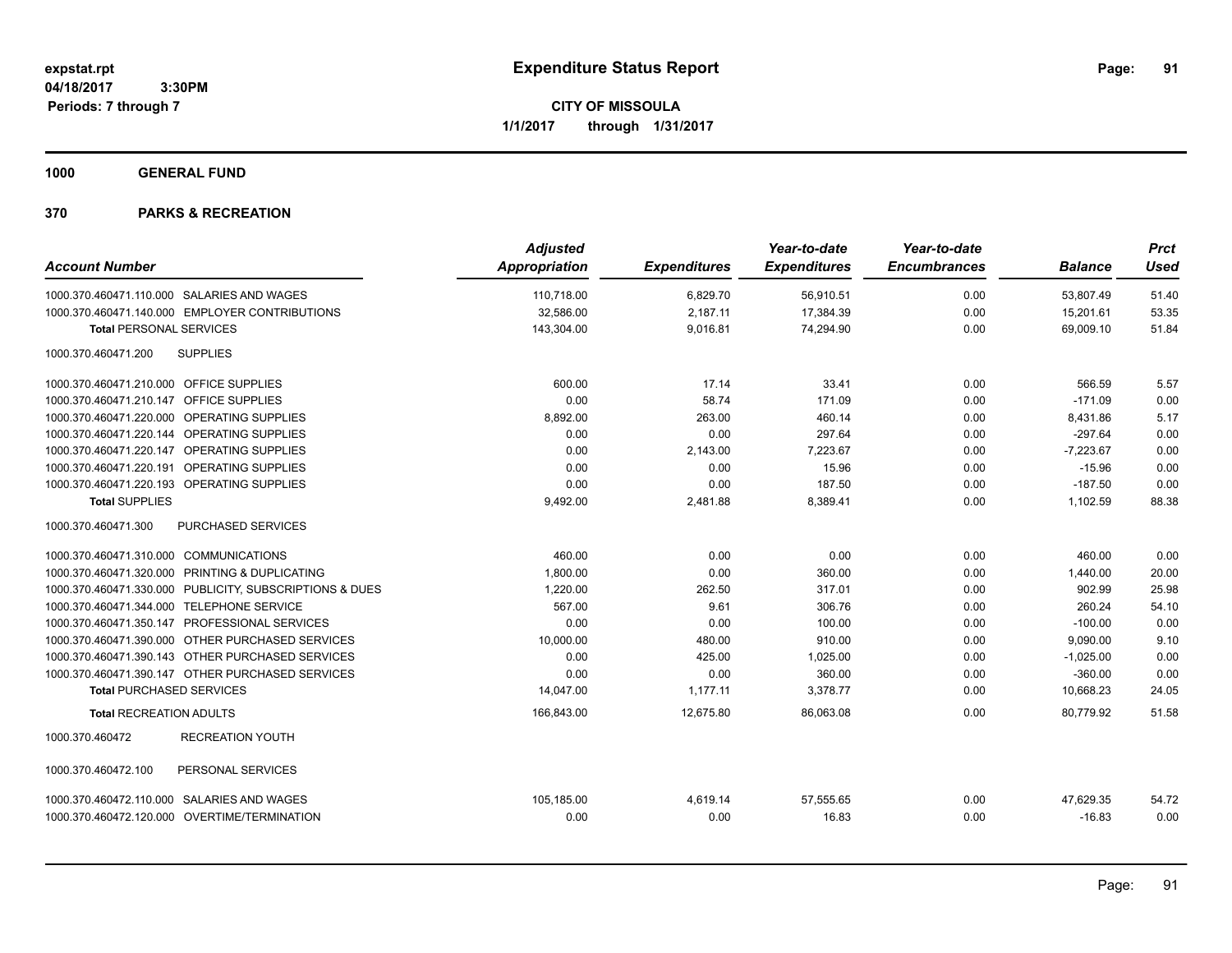**CITY OF MISSOULA 1/1/2017 through 1/31/2017**

**1000 GENERAL FUND**

| <b>Account Number</b>                                   | <b>Adjusted</b><br><b>Appropriation</b> | <b>Expenditures</b> | Year-to-date<br><b>Expenditures</b> | Year-to-date<br><b>Encumbrances</b> | <b>Balance</b> | <b>Prct</b><br><b>Used</b> |
|---------------------------------------------------------|-----------------------------------------|---------------------|-------------------------------------|-------------------------------------|----------------|----------------------------|
| 1000.370.460471.110.000 SALARIES AND WAGES              | 110,718.00                              | 6,829.70            | 56,910.51                           | 0.00                                | 53,807.49      | 51.40                      |
| 1000.370.460471.140.000 EMPLOYER CONTRIBUTIONS          | 32,586.00                               | 2,187.11            | 17,384.39                           | 0.00                                | 15,201.61      | 53.35                      |
| <b>Total PERSONAL SERVICES</b>                          | 143,304.00                              | 9,016.81            | 74,294.90                           | 0.00                                | 69,009.10      | 51.84                      |
| <b>SUPPLIES</b><br>1000.370.460471.200                  |                                         |                     |                                     |                                     |                |                            |
| 1000.370.460471.210.000 OFFICE SUPPLIES                 | 600.00                                  | 17.14               | 33.41                               | 0.00                                | 566.59         | 5.57                       |
| 1000.370.460471.210.147 OFFICE SUPPLIES                 | 0.00                                    | 58.74               | 171.09                              | 0.00                                | $-171.09$      | 0.00                       |
| 1000.370.460471.220.000 OPERATING SUPPLIES              | 8,892.00                                | 263.00              | 460.14                              | 0.00                                | 8,431.86       | 5.17                       |
| 1000.370.460471.220.144 OPERATING SUPPLIES              | 0.00                                    | 0.00                | 297.64                              | 0.00                                | $-297.64$      | 0.00                       |
| 1000.370.460471.220.147<br>OPERATING SUPPLIES           | 0.00                                    | 2,143.00            | 7,223.67                            | 0.00                                | $-7,223.67$    | 0.00                       |
| 1000.370.460471.220.191 OPERATING SUPPLIES              | 0.00                                    | 0.00                | 15.96                               | 0.00                                | $-15.96$       | 0.00                       |
| 1000.370.460471.220.193 OPERATING SUPPLIES              | 0.00                                    | 0.00                | 187.50                              | 0.00                                | $-187.50$      | 0.00                       |
| <b>Total SUPPLIES</b>                                   | 9,492.00                                | 2,481.88            | 8,389.41                            | 0.00                                | 1,102.59       | 88.38                      |
| 1000.370.460471.300<br><b>PURCHASED SERVICES</b>        |                                         |                     |                                     |                                     |                |                            |
| 1000.370.460471.310.000 COMMUNICATIONS                  | 460.00                                  | 0.00                | 0.00                                | 0.00                                | 460.00         | 0.00                       |
| 1000.370.460471.320.000 PRINTING & DUPLICATING          | 1,800.00                                | 0.00                | 360.00                              | 0.00                                | 1,440.00       | 20.00                      |
| 1000.370.460471.330.000 PUBLICITY, SUBSCRIPTIONS & DUES | 1,220.00                                | 262.50              | 317.01                              | 0.00                                | 902.99         | 25.98                      |
| 1000.370.460471.344.000 TELEPHONE SERVICE               | 567.00                                  | 9.61                | 306.76                              | 0.00                                | 260.24         | 54.10                      |
| 1000.370.460471.350.147 PROFESSIONAL SERVICES           | 0.00                                    | 0.00                | 100.00                              | 0.00                                | $-100.00$      | 0.00                       |
| 1000.370.460471.390.000 OTHER PURCHASED SERVICES        | 10,000.00                               | 480.00              | 910.00                              | 0.00                                | 9,090.00       | 9.10                       |
| 1000.370.460471.390.143 OTHER PURCHASED SERVICES        | 0.00                                    | 425.00              | 1,025.00                            | 0.00                                | $-1,025.00$    | 0.00                       |
| 1000.370.460471.390.147 OTHER PURCHASED SERVICES        | 0.00                                    | 0.00                | 360.00                              | 0.00                                | $-360.00$      | 0.00                       |
| <b>Total PURCHASED SERVICES</b>                         | 14,047.00                               | 1,177.11            | 3,378.77                            | 0.00                                | 10,668.23      | 24.05                      |
| <b>Total RECREATION ADULTS</b>                          | 166,843.00                              | 12,675.80           | 86,063.08                           | 0.00                                | 80.779.92      | 51.58                      |
| <b>RECREATION YOUTH</b><br>1000.370.460472              |                                         |                     |                                     |                                     |                |                            |
| 1000.370.460472.100<br>PERSONAL SERVICES                |                                         |                     |                                     |                                     |                |                            |
| 1000.370.460472.110.000 SALARIES AND WAGES              | 105,185.00                              | 4,619.14            | 57,555.65                           | 0.00                                | 47,629.35      | 54.72                      |
| 1000.370.460472.120.000 OVERTIME/TERMINATION            | 0.00                                    | 0.00                | 16.83                               | 0.00                                | $-16.83$       | 0.00                       |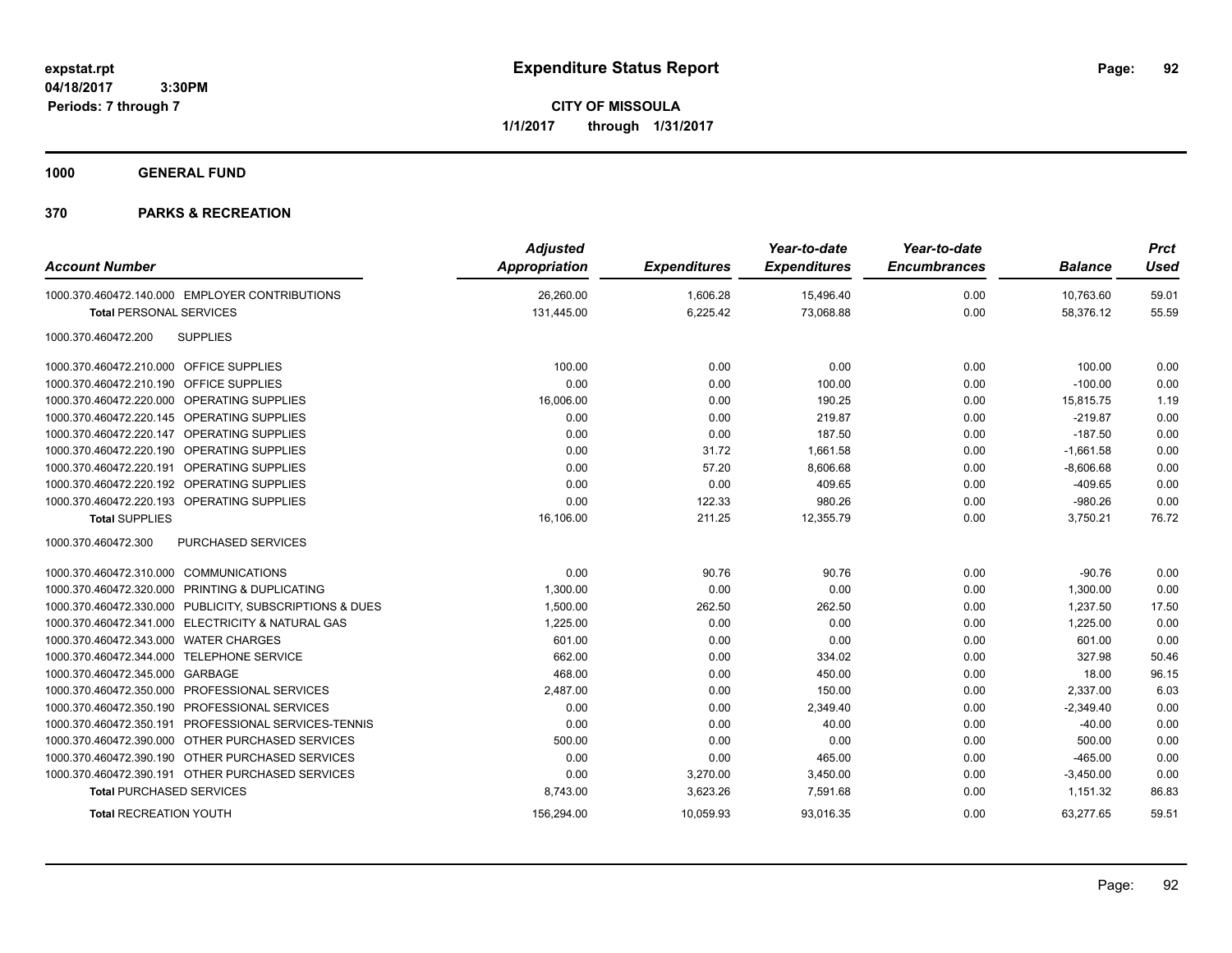**CITY OF MISSOULA 1/1/2017 through 1/31/2017**

**1000 GENERAL FUND**

| <b>Account Number</b>                                   | <b>Adjusted</b><br><b>Appropriation</b> | <b>Expenditures</b> | Year-to-date<br><b>Expenditures</b> | Year-to-date<br><b>Encumbrances</b> | <b>Balance</b> | <b>Prct</b><br><b>Used</b> |
|---------------------------------------------------------|-----------------------------------------|---------------------|-------------------------------------|-------------------------------------|----------------|----------------------------|
| 1000.370.460472.140.000 EMPLOYER CONTRIBUTIONS          | 26,260.00                               | 1,606.28            | 15,496.40                           | 0.00                                | 10,763.60      | 59.01                      |
| <b>Total PERSONAL SERVICES</b>                          | 131,445.00                              | 6,225.42            | 73,068.88                           | 0.00                                | 58,376.12      | 55.59                      |
| <b>SUPPLIES</b><br>1000.370.460472.200                  |                                         |                     |                                     |                                     |                |                            |
| 1000.370.460472.210.000 OFFICE SUPPLIES                 | 100.00                                  | 0.00                | 0.00                                | 0.00                                | 100.00         | 0.00                       |
| 1000.370.460472.210.190 OFFICE SUPPLIES                 | 0.00                                    | 0.00                | 100.00                              | 0.00                                | $-100.00$      | 0.00                       |
| 1000.370.460472.220.000 OPERATING SUPPLIES              | 16,006.00                               | 0.00                | 190.25                              | 0.00                                | 15,815.75      | 1.19                       |
| 1000.370.460472.220.145 OPERATING SUPPLIES              | 0.00                                    | 0.00                | 219.87                              | 0.00                                | $-219.87$      | 0.00                       |
| 1000.370.460472.220.147 OPERATING SUPPLIES              | 0.00                                    | 0.00                | 187.50                              | 0.00                                | $-187.50$      | 0.00                       |
| 1000.370.460472.220.190 OPERATING SUPPLIES              | 0.00                                    | 31.72               | 1,661.58                            | 0.00                                | $-1,661.58$    | 0.00                       |
| 1000.370.460472.220.191 OPERATING SUPPLIES              | 0.00                                    | 57.20               | 8,606.68                            | 0.00                                | $-8,606.68$    | 0.00                       |
| 1000.370.460472.220.192 OPERATING SUPPLIES              | 0.00                                    | 0.00                | 409.65                              | 0.00                                | $-409.65$      | 0.00                       |
| 1000.370.460472.220.193 OPERATING SUPPLIES              | 0.00                                    | 122.33              | 980.26                              | 0.00                                | $-980.26$      | 0.00                       |
| <b>Total SUPPLIES</b>                                   | 16,106.00                               | 211.25              | 12,355.79                           | 0.00                                | 3,750.21       | 76.72                      |
| 1000.370.460472.300<br>PURCHASED SERVICES               |                                         |                     |                                     |                                     |                |                            |
| 1000.370.460472.310.000 COMMUNICATIONS                  | 0.00                                    | 90.76               | 90.76                               | 0.00                                | $-90.76$       | 0.00                       |
| 1000.370.460472.320.000 PRINTING & DUPLICATING          | 1.300.00                                | 0.00                | 0.00                                | 0.00                                | 1.300.00       | 0.00                       |
| 1000.370.460472.330.000 PUBLICITY, SUBSCRIPTIONS & DUES | 1,500.00                                | 262.50              | 262.50                              | 0.00                                | 1,237.50       | 17.50                      |
| 1000.370.460472.341.000 ELECTRICITY & NATURAL GAS       | 1,225.00                                | 0.00                | 0.00                                | 0.00                                | 1,225.00       | 0.00                       |
| 1000.370.460472.343.000 WATER CHARGES                   | 601.00                                  | 0.00                | 0.00                                | 0.00                                | 601.00         | 0.00                       |
| 1000.370.460472.344.000 TELEPHONE SERVICE               | 662.00                                  | 0.00                | 334.02                              | 0.00                                | 327.98         | 50.46                      |
| 1000.370.460472.345.000 GARBAGE                         | 468.00                                  | 0.00                | 450.00                              | 0.00                                | 18.00          | 96.15                      |
| 1000.370.460472.350.000 PROFESSIONAL SERVICES           | 2,487.00                                | 0.00                | 150.00                              | 0.00                                | 2,337.00       | 6.03                       |
| 1000.370.460472.350.190 PROFESSIONAL SERVICES           | 0.00                                    | 0.00                | 2,349.40                            | 0.00                                | $-2,349.40$    | 0.00                       |
| 1000.370.460472.350.191 PROFESSIONAL SERVICES-TENNIS    | 0.00                                    | 0.00                | 40.00                               | 0.00                                | $-40.00$       | 0.00                       |
| 1000.370.460472.390.000 OTHER PURCHASED SERVICES        | 500.00                                  | 0.00                | 0.00                                | 0.00                                | 500.00         | 0.00                       |
| 1000.370.460472.390.190 OTHER PURCHASED SERVICES        | 0.00                                    | 0.00                | 465.00                              | 0.00                                | $-465.00$      | 0.00                       |
| 1000.370.460472.390.191 OTHER PURCHASED SERVICES        | 0.00                                    | 3,270.00            | 3,450.00                            | 0.00                                | $-3,450.00$    | 0.00                       |
| <b>Total PURCHASED SERVICES</b>                         | 8,743.00                                | 3,623.26            | 7,591.68                            | 0.00                                | 1,151.32       | 86.83                      |
| <b>Total RECREATION YOUTH</b>                           | 156,294.00                              | 10,059.93           | 93,016.35                           | 0.00                                | 63,277.65      | 59.51                      |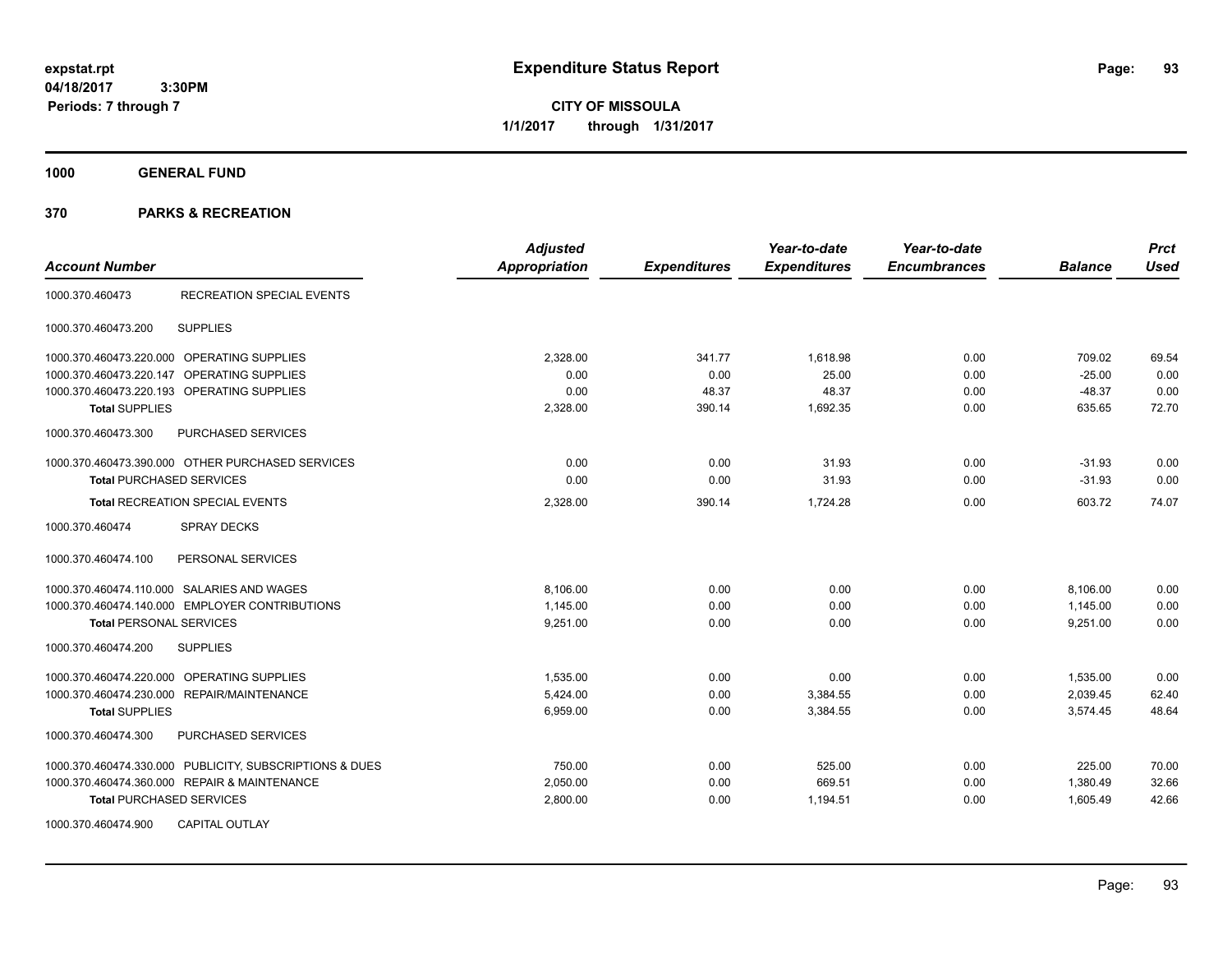**CITY OF MISSOULA 1/1/2017 through 1/31/2017**

**1000 GENERAL FUND**

| <b>Account Number</b>                                   | <b>Adjusted</b><br><b>Appropriation</b> | <b>Expenditures</b> | Year-to-date<br><b>Expenditures</b> | Year-to-date<br><b>Encumbrances</b> | <b>Balance</b> | <b>Prct</b><br><b>Used</b> |
|---------------------------------------------------------|-----------------------------------------|---------------------|-------------------------------------|-------------------------------------|----------------|----------------------------|
| 1000.370.460473<br><b>RECREATION SPECIAL EVENTS</b>     |                                         |                     |                                     |                                     |                |                            |
| <b>SUPPLIES</b><br>1000.370.460473.200                  |                                         |                     |                                     |                                     |                |                            |
| 1000.370.460473.220.000 OPERATING SUPPLIES              | 2.328.00                                | 341.77              | 1.618.98                            | 0.00                                | 709.02         | 69.54                      |
| 1000.370.460473.220.147 OPERATING SUPPLIES              | 0.00                                    | 0.00                | 25.00                               | 0.00                                | $-25.00$       | 0.00                       |
| 1000.370.460473.220.193 OPERATING SUPPLIES              | 0.00                                    | 48.37               | 48.37                               | 0.00                                | $-48.37$       | 0.00                       |
| <b>Total SUPPLIES</b>                                   | 2,328.00                                | 390.14              | 1,692.35                            | 0.00                                | 635.65         | 72.70                      |
| PURCHASED SERVICES<br>1000.370.460473.300               |                                         |                     |                                     |                                     |                |                            |
| 1000.370.460473.390.000 OTHER PURCHASED SERVICES        | 0.00                                    | 0.00                | 31.93                               | 0.00                                | $-31.93$       | 0.00                       |
| <b>Total PURCHASED SERVICES</b>                         | 0.00                                    | 0.00                | 31.93                               | 0.00                                | $-31.93$       | 0.00                       |
| <b>Total RECREATION SPECIAL EVENTS</b>                  | 2,328.00                                | 390.14              | 1,724.28                            | 0.00                                | 603.72         | 74.07                      |
| <b>SPRAY DECKS</b><br>1000.370.460474                   |                                         |                     |                                     |                                     |                |                            |
| 1000.370.460474.100<br>PERSONAL SERVICES                |                                         |                     |                                     |                                     |                |                            |
| 1000.370.460474.110.000 SALARIES AND WAGES              | 8.106.00                                | 0.00                | 0.00                                | 0.00                                | 8,106.00       | 0.00                       |
| 1000.370.460474.140.000 EMPLOYER CONTRIBUTIONS          | 1,145.00                                | 0.00                | 0.00                                | 0.00                                | 1,145.00       | 0.00                       |
| <b>Total PERSONAL SERVICES</b>                          | 9,251.00                                | 0.00                | 0.00                                | 0.00                                | 9,251.00       | 0.00                       |
| 1000.370.460474.200<br><b>SUPPLIES</b>                  |                                         |                     |                                     |                                     |                |                            |
| 1000.370.460474.220.000 OPERATING SUPPLIES              | 1,535.00                                | 0.00                | 0.00                                | 0.00                                | 1,535.00       | 0.00                       |
| 1000.370.460474.230.000 REPAIR/MAINTENANCE              | 5,424.00                                | 0.00                | 3,384.55                            | 0.00                                | 2,039.45       | 62.40                      |
| <b>Total SUPPLIES</b>                                   | 6,959.00                                | 0.00                | 3,384.55                            | 0.00                                | 3,574.45       | 48.64                      |
| PURCHASED SERVICES<br>1000.370.460474.300               |                                         |                     |                                     |                                     |                |                            |
| 1000.370.460474.330.000 PUBLICITY, SUBSCRIPTIONS & DUES | 750.00                                  | 0.00                | 525.00                              | 0.00                                | 225.00         | 70.00                      |
| 1000.370.460474.360.000 REPAIR & MAINTENANCE            | 2,050.00                                | 0.00                | 669.51                              | 0.00                                | 1,380.49       | 32.66                      |
| <b>Total PURCHASED SERVICES</b>                         | 2,800.00                                | 0.00                | 1,194.51                            | 0.00                                | 1,605.49       | 42.66                      |
| 1000.370.460474.900<br><b>CAPITAL OUTLAY</b>            |                                         |                     |                                     |                                     |                |                            |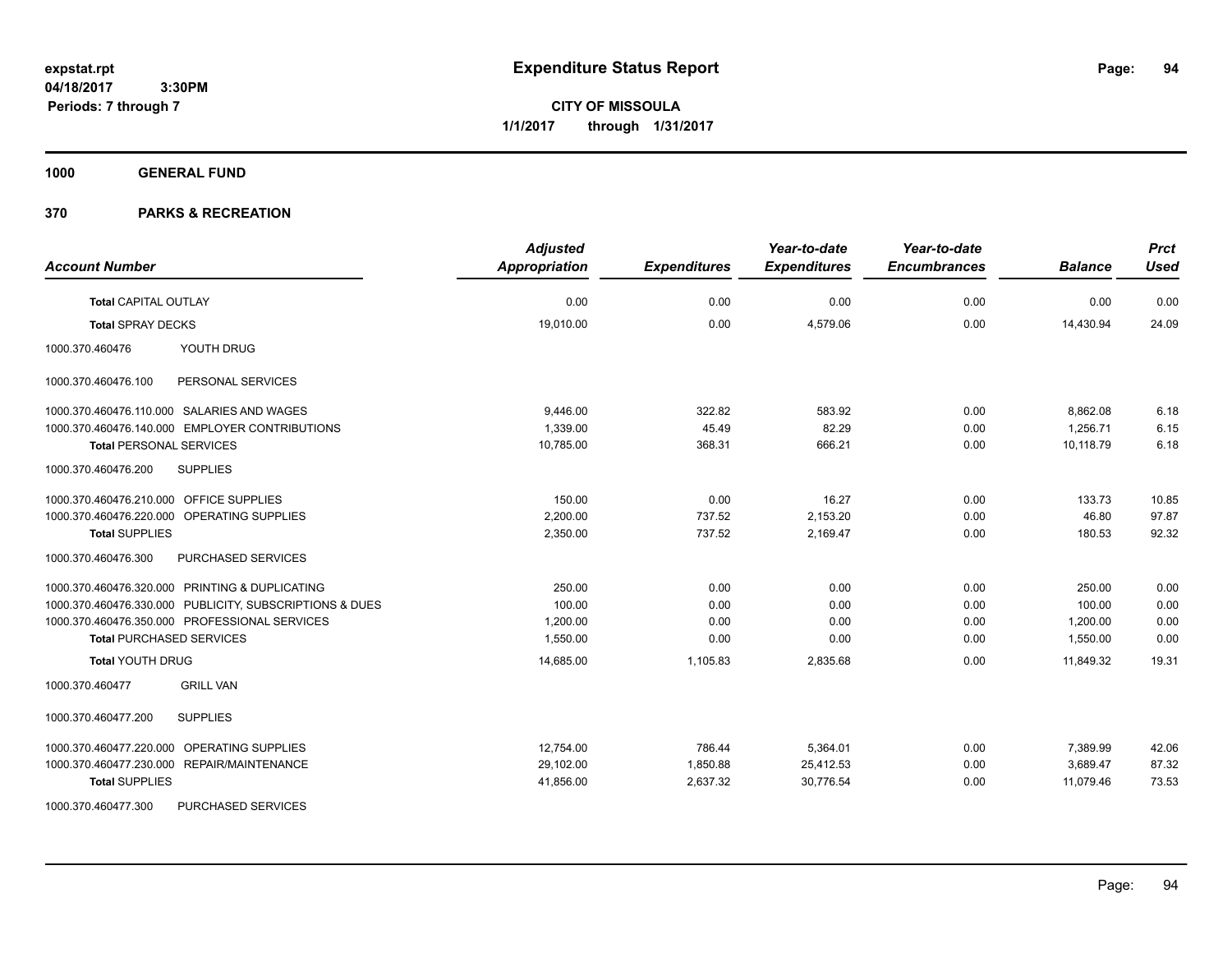**CITY OF MISSOULA 1/1/2017 through 1/31/2017**

**1000 GENERAL FUND**

| <b>Account Number</b>                                   | <b>Adjusted</b><br>Appropriation | <b>Expenditures</b> | Year-to-date<br><b>Expenditures</b> | Year-to-date<br><b>Encumbrances</b> | <b>Balance</b> | <b>Prct</b><br><b>Used</b> |
|---------------------------------------------------------|----------------------------------|---------------------|-------------------------------------|-------------------------------------|----------------|----------------------------|
| <b>Total CAPITAL OUTLAY</b>                             | 0.00                             | 0.00                | 0.00                                | 0.00                                | 0.00           | 0.00                       |
| <b>Total SPRAY DECKS</b>                                | 19,010.00                        | 0.00                | 4,579.06                            | 0.00                                | 14,430.94      | 24.09                      |
| YOUTH DRUG<br>1000.370.460476                           |                                  |                     |                                     |                                     |                |                            |
| 1000.370.460476.100<br>PERSONAL SERVICES                |                                  |                     |                                     |                                     |                |                            |
| 1000.370.460476.110.000 SALARIES AND WAGES              | 9,446.00                         | 322.82              | 583.92                              | 0.00                                | 8,862.08       | 6.18                       |
| 1000.370.460476.140.000 EMPLOYER CONTRIBUTIONS          | 1.339.00                         | 45.49               | 82.29                               | 0.00                                | 1.256.71       | 6.15                       |
| <b>Total PERSONAL SERVICES</b>                          | 10,785.00                        | 368.31              | 666.21                              | 0.00                                | 10,118.79      | 6.18                       |
| 1000.370.460476.200<br><b>SUPPLIES</b>                  |                                  |                     |                                     |                                     |                |                            |
| 1000.370.460476.210.000 OFFICE SUPPLIES                 | 150.00                           | 0.00                | 16.27                               | 0.00                                | 133.73         | 10.85                      |
| 1000.370.460476.220.000 OPERATING SUPPLIES              | 2,200.00                         | 737.52              | 2,153.20                            | 0.00                                | 46.80          | 97.87                      |
| <b>Total SUPPLIES</b>                                   | 2,350.00                         | 737.52              | 2,169.47                            | 0.00                                | 180.53         | 92.32                      |
| 1000.370.460476.300<br>PURCHASED SERVICES               |                                  |                     |                                     |                                     |                |                            |
| 1000.370.460476.320.000 PRINTING & DUPLICATING          | 250.00                           | 0.00                | 0.00                                | 0.00                                | 250.00         | 0.00                       |
| 1000.370.460476.330.000 PUBLICITY, SUBSCRIPTIONS & DUES | 100.00                           | 0.00                | 0.00                                | 0.00                                | 100.00         | 0.00                       |
| 1000.370.460476.350.000 PROFESSIONAL SERVICES           | 1,200.00                         | 0.00                | 0.00                                | 0.00                                | 1,200.00       | 0.00                       |
| <b>Total PURCHASED SERVICES</b>                         | 1,550.00                         | 0.00                | 0.00                                | 0.00                                | 1,550.00       | 0.00                       |
| <b>Total YOUTH DRUG</b>                                 | 14,685.00                        | 1,105.83            | 2,835.68                            | 0.00                                | 11,849.32      | 19.31                      |
| <b>GRILL VAN</b><br>1000.370.460477                     |                                  |                     |                                     |                                     |                |                            |
| <b>SUPPLIES</b><br>1000.370.460477.200                  |                                  |                     |                                     |                                     |                |                            |
| 1000.370.460477.220.000 OPERATING SUPPLIES              | 12,754.00                        | 786.44              | 5,364.01                            | 0.00                                | 7,389.99       | 42.06                      |
| 1000.370.460477.230.000 REPAIR/MAINTENANCE              | 29,102.00                        | 1,850.88            | 25,412.53                           | 0.00                                | 3,689.47       | 87.32                      |
| <b>Total SUPPLIES</b>                                   | 41,856.00                        | 2,637.32            | 30,776.54                           | 0.00                                | 11,079.46      | 73.53                      |
| 1000.370.460477.300<br><b>PURCHASED SERVICES</b>        |                                  |                     |                                     |                                     |                |                            |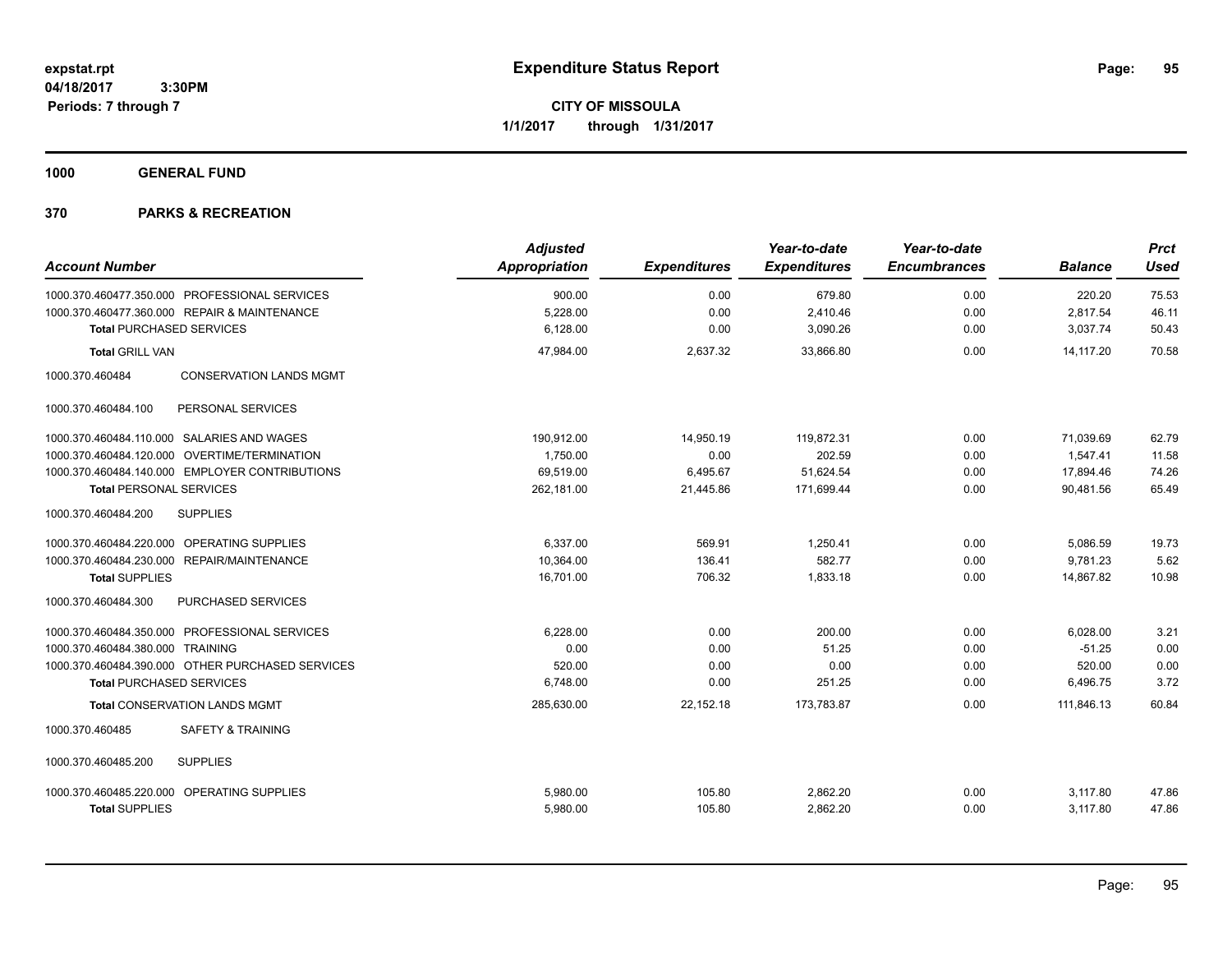**CITY OF MISSOULA 1/1/2017 through 1/31/2017**

**1000 GENERAL FUND**

| <b>Account Number</b>                             | <b>Adjusted</b><br>Appropriation | <b>Expenditures</b> | Year-to-date<br><b>Expenditures</b> | Year-to-date<br><b>Encumbrances</b> | <b>Balance</b> | <b>Prct</b><br><b>Used</b> |
|---------------------------------------------------|----------------------------------|---------------------|-------------------------------------|-------------------------------------|----------------|----------------------------|
|                                                   |                                  |                     |                                     |                                     |                |                            |
| 1000.370.460477.350.000 PROFESSIONAL SERVICES     | 900.00                           | 0.00                | 679.80                              | 0.00                                | 220.20         | 75.53                      |
| 1000.370.460477.360.000 REPAIR & MAINTENANCE      | 5,228.00                         | 0.00                | 2,410.46                            | 0.00                                | 2,817.54       | 46.11                      |
| <b>Total PURCHASED SERVICES</b>                   | 6,128.00                         | 0.00                | 3,090.26                            | 0.00                                | 3,037.74       | 50.43                      |
| <b>Total GRILL VAN</b>                            | 47,984.00                        | 2,637.32            | 33,866.80                           | 0.00                                | 14.117.20      | 70.58                      |
| 1000.370.460484<br><b>CONSERVATION LANDS MGMT</b> |                                  |                     |                                     |                                     |                |                            |
| PERSONAL SERVICES<br>1000.370.460484.100          |                                  |                     |                                     |                                     |                |                            |
| 1000.370.460484.110.000 SALARIES AND WAGES        | 190,912.00                       | 14,950.19           | 119,872.31                          | 0.00                                | 71,039.69      | 62.79                      |
| 1000.370.460484.120.000 OVERTIME/TERMINATION      | 1.750.00                         | 0.00                | 202.59                              | 0.00                                | 1.547.41       | 11.58                      |
| 1000.370.460484.140.000 EMPLOYER CONTRIBUTIONS    | 69.519.00                        | 6,495.67            | 51,624.54                           | 0.00                                | 17,894.46      | 74.26                      |
| <b>Total PERSONAL SERVICES</b>                    | 262,181.00                       | 21,445.86           | 171,699.44                          | 0.00                                | 90.481.56      | 65.49                      |
| <b>SUPPLIES</b><br>1000.370.460484.200            |                                  |                     |                                     |                                     |                |                            |
| 1000.370.460484.220.000 OPERATING SUPPLIES        | 6,337.00                         | 569.91              | 1,250.41                            | 0.00                                | 5,086.59       | 19.73                      |
| 1000.370.460484.230.000 REPAIR/MAINTENANCE        | 10,364.00                        | 136.41              | 582.77                              | 0.00                                | 9,781.23       | 5.62                       |
| <b>Total SUPPLIES</b>                             | 16,701.00                        | 706.32              | 1,833.18                            | 0.00                                | 14,867.82      | 10.98                      |
| PURCHASED SERVICES<br>1000.370.460484.300         |                                  |                     |                                     |                                     |                |                            |
| 1000.370.460484.350.000 PROFESSIONAL SERVICES     | 6,228.00                         | 0.00                | 200.00                              | 0.00                                | 6,028.00       | 3.21                       |
| 1000.370.460484.380.000 TRAINING                  | 0.00                             | 0.00                | 51.25                               | 0.00                                | $-51.25$       | 0.00                       |
| 1000.370.460484.390.000 OTHER PURCHASED SERVICES  | 520.00                           | 0.00                | 0.00                                | 0.00                                | 520.00         | 0.00                       |
| <b>Total PURCHASED SERVICES</b>                   | 6,748.00                         | 0.00                | 251.25                              | 0.00                                | 6,496.75       | 3.72                       |
| <b>Total CONSERVATION LANDS MGMT</b>              | 285,630.00                       | 22,152.18           | 173,783.87                          | 0.00                                | 111.846.13     | 60.84                      |
| 1000.370.460485<br><b>SAFETY &amp; TRAINING</b>   |                                  |                     |                                     |                                     |                |                            |
| 1000.370.460485.200<br><b>SUPPLIES</b>            |                                  |                     |                                     |                                     |                |                            |
| 1000.370.460485.220.000 OPERATING SUPPLIES        | 5,980.00                         | 105.80              | 2,862.20                            | 0.00                                | 3,117.80       | 47.86                      |
| <b>Total SUPPLIES</b>                             | 5,980.00                         | 105.80              | 2,862.20                            | 0.00                                | 3,117.80       | 47.86                      |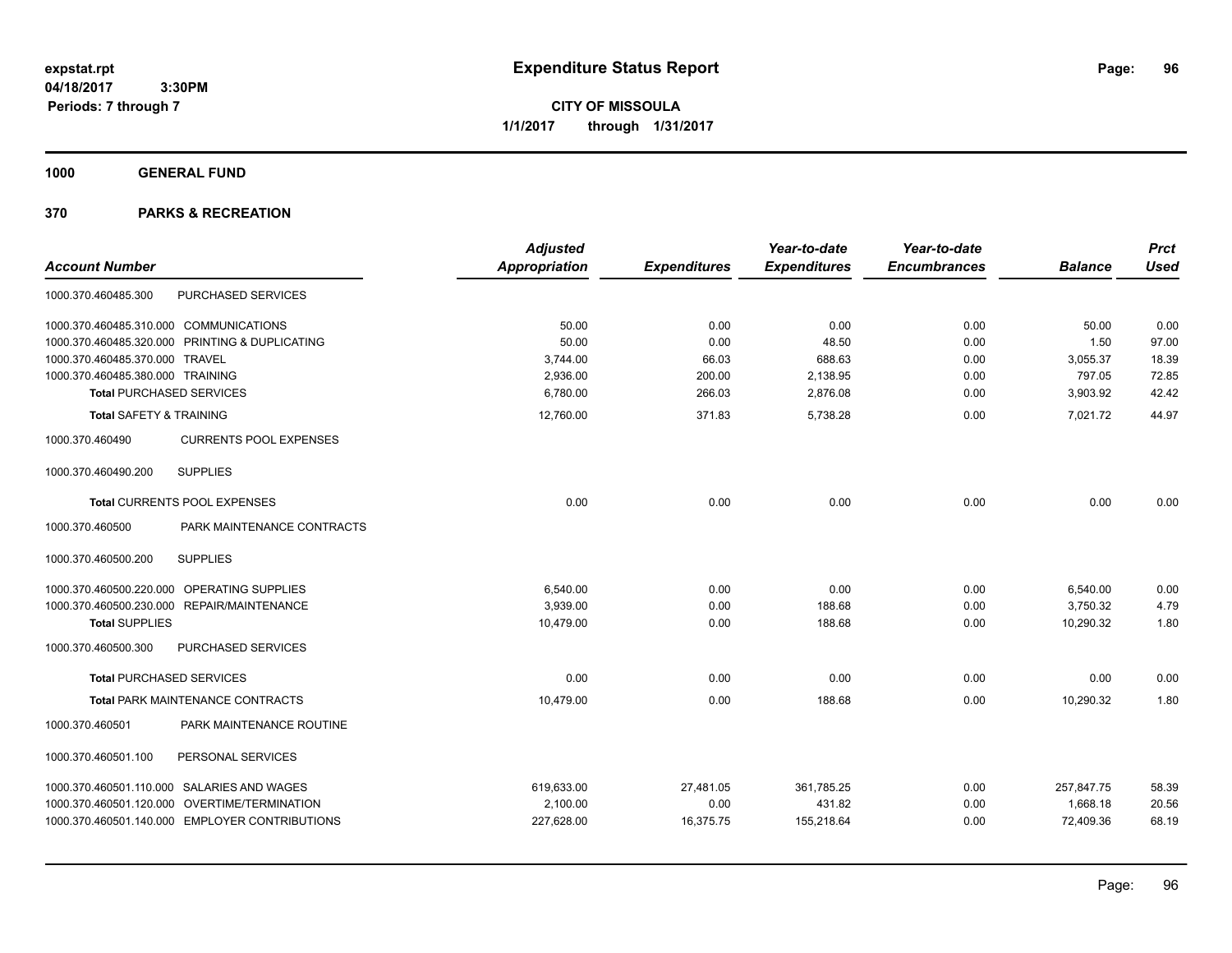**CITY OF MISSOULA 1/1/2017 through 1/31/2017**

**1000 GENERAL FUND**

|                                                   | <b>Adjusted</b>      |                     | Year-to-date        | Year-to-date        |                | <b>Prct</b> |
|---------------------------------------------------|----------------------|---------------------|---------------------|---------------------|----------------|-------------|
| <b>Account Number</b>                             | <b>Appropriation</b> | <b>Expenditures</b> | <b>Expenditures</b> | <b>Encumbrances</b> | <b>Balance</b> | <b>Used</b> |
| PURCHASED SERVICES<br>1000.370.460485.300         |                      |                     |                     |                     |                |             |
| 1000.370.460485.310.000 COMMUNICATIONS            | 50.00                | 0.00                | 0.00                | 0.00                | 50.00          | 0.00        |
| 1000.370.460485.320.000<br>PRINTING & DUPLICATING | 50.00                | 0.00                | 48.50               | 0.00                | 1.50           | 97.00       |
| 1000.370.460485.370.000 TRAVEL                    | 3,744.00             | 66.03               | 688.63              | 0.00                | 3,055.37       | 18.39       |
| 1000.370.460485.380.000 TRAINING                  | 2,936.00             | 200.00              | 2,138.95            | 0.00                | 797.05         | 72.85       |
| <b>Total PURCHASED SERVICES</b>                   | 6,780.00             | 266.03              | 2,876.08            | 0.00                | 3,903.92       | 42.42       |
| <b>Total SAFETY &amp; TRAINING</b>                | 12,760.00            | 371.83              | 5,738.28            | 0.00                | 7,021.72       | 44.97       |
| 1000.370.460490<br><b>CURRENTS POOL EXPENSES</b>  |                      |                     |                     |                     |                |             |
| <b>SUPPLIES</b><br>1000.370.460490.200            |                      |                     |                     |                     |                |             |
| Total CURRENTS POOL EXPENSES                      | 0.00                 | 0.00                | 0.00                | 0.00                | 0.00           | 0.00        |
| PARK MAINTENANCE CONTRACTS<br>1000.370.460500     |                      |                     |                     |                     |                |             |
| <b>SUPPLIES</b><br>1000.370.460500.200            |                      |                     |                     |                     |                |             |
| 1000.370.460500.220.000 OPERATING SUPPLIES        | 6,540.00             | 0.00                | 0.00                | 0.00                | 6,540.00       | 0.00        |
| 1000.370.460500.230.000 REPAIR/MAINTENANCE        | 3,939.00             | 0.00                | 188.68              | 0.00                | 3,750.32       | 4.79        |
| <b>Total SUPPLIES</b>                             | 10,479.00            | 0.00                | 188.68              | 0.00                | 10,290.32      | 1.80        |
| 1000.370.460500.300<br>PURCHASED SERVICES         |                      |                     |                     |                     |                |             |
| <b>Total PURCHASED SERVICES</b>                   | 0.00                 | 0.00                | 0.00                | 0.00                | 0.00           | 0.00        |
| <b>Total PARK MAINTENANCE CONTRACTS</b>           | 10,479.00            | 0.00                | 188.68              | 0.00                | 10,290.32      | 1.80        |
| PARK MAINTENANCE ROUTINE<br>1000.370.460501       |                      |                     |                     |                     |                |             |
| 1000.370.460501.100<br>PERSONAL SERVICES          |                      |                     |                     |                     |                |             |
| 1000.370.460501.110.000 SALARIES AND WAGES        | 619,633.00           | 27,481.05           | 361,785.25          | 0.00                | 257,847.75     | 58.39       |
| 1000.370.460501.120.000 OVERTIME/TERMINATION      | 2,100.00             | 0.00                | 431.82              | 0.00                | 1,668.18       | 20.56       |
| 1000.370.460501.140.000 EMPLOYER CONTRIBUTIONS    | 227,628.00           | 16,375.75           | 155,218.64          | 0.00                | 72,409.36      | 68.19       |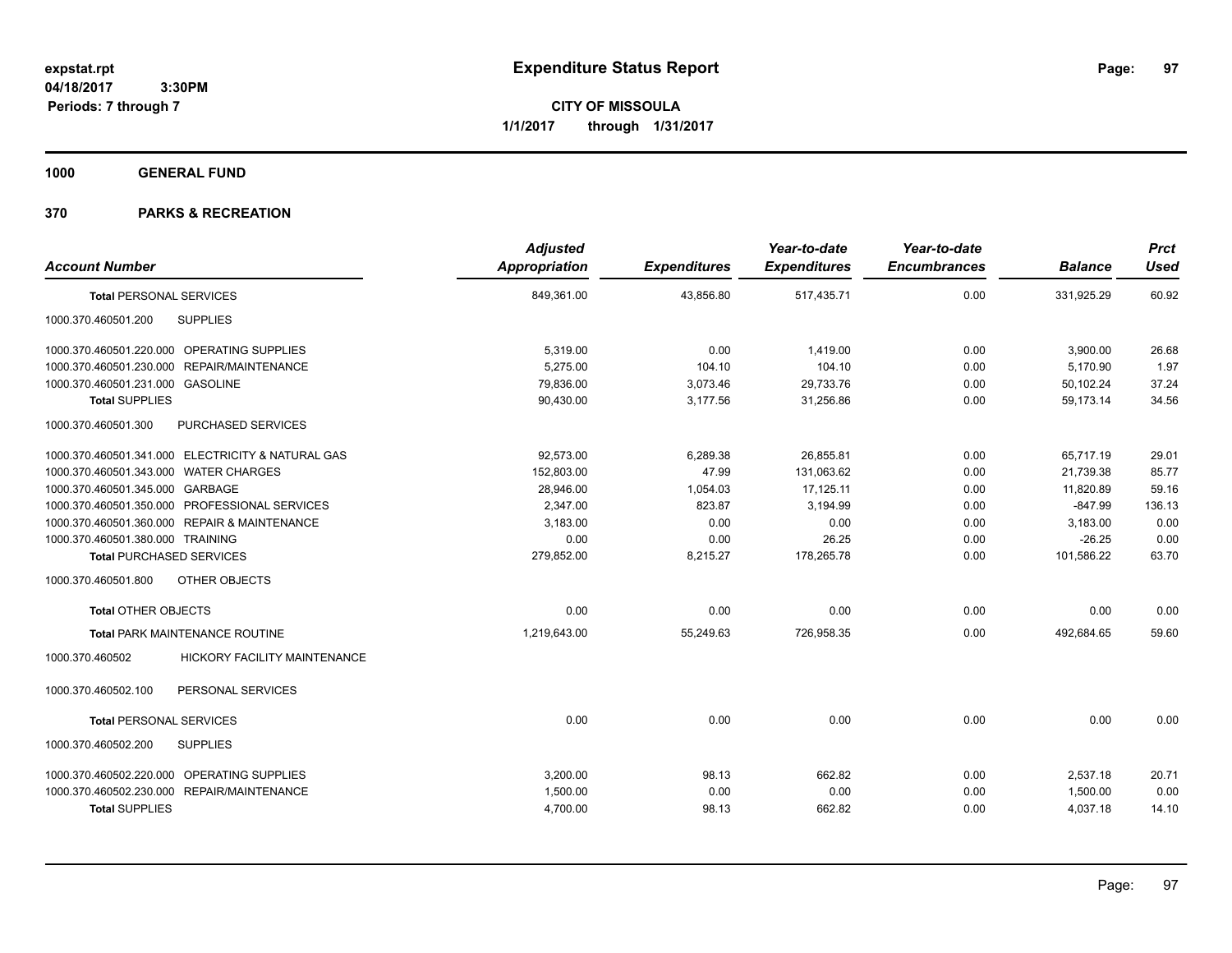**CITY OF MISSOULA 1/1/2017 through 1/31/2017**

**1000 GENERAL FUND**

| <b>Account Number</b>                                  | <b>Adjusted</b><br>Appropriation | <b>Expenditures</b> | Year-to-date<br><b>Expenditures</b> | Year-to-date<br><b>Encumbrances</b> | <b>Balance</b> | <b>Prct</b><br><b>Used</b> |
|--------------------------------------------------------|----------------------------------|---------------------|-------------------------------------|-------------------------------------|----------------|----------------------------|
| <b>Total PERSONAL SERVICES</b>                         | 849,361.00                       | 43,856.80           | 517,435.71                          | 0.00                                | 331,925.29     | 60.92                      |
| <b>SUPPLIES</b><br>1000.370.460501.200                 |                                  |                     |                                     |                                     |                |                            |
| 1000.370.460501.220.000 OPERATING SUPPLIES             | 5,319.00                         | 0.00                | 1,419.00                            | 0.00                                | 3,900.00       | 26.68                      |
| 1000.370.460501.230.000 REPAIR/MAINTENANCE             | 5.275.00                         | 104.10              | 104.10                              | 0.00                                | 5.170.90       | 1.97                       |
| 1000.370.460501.231.000 GASOLINE                       | 79,836.00                        | 3.073.46            | 29,733.76                           | 0.00                                | 50.102.24      | 37.24                      |
| <b>Total SUPPLIES</b>                                  | 90,430.00                        | 3,177.56            | 31,256.86                           | 0.00                                | 59,173.14      | 34.56                      |
| 1000.370.460501.300<br>PURCHASED SERVICES              |                                  |                     |                                     |                                     |                |                            |
| 1000.370.460501.341.000 ELECTRICITY & NATURAL GAS      | 92.573.00                        | 6.289.38            | 26,855.81                           | 0.00                                | 65,717.19      | 29.01                      |
| 1000.370.460501.343.000 WATER CHARGES                  | 152,803.00                       | 47.99               | 131,063.62                          | 0.00                                | 21,739.38      | 85.77                      |
| 1000.370.460501.345.000 GARBAGE                        | 28,946.00                        | 1,054.03            | 17,125.11                           | 0.00                                | 11,820.89      | 59.16                      |
| 1000.370.460501.350.000 PROFESSIONAL SERVICES          | 2,347.00                         | 823.87              | 3,194.99                            | 0.00                                | $-847.99$      | 136.13                     |
| 1000.370.460501.360.000 REPAIR & MAINTENANCE           | 3,183.00                         | 0.00                | 0.00                                | 0.00                                | 3,183.00       | 0.00                       |
| 1000.370.460501.380.000 TRAINING                       | 0.00                             | 0.00                | 26.25                               | 0.00                                | $-26.25$       | 0.00                       |
| <b>Total PURCHASED SERVICES</b>                        | 279,852.00                       | 8,215.27            | 178,265.78                          | 0.00                                | 101,586.22     | 63.70                      |
| 1000.370.460501.800<br>OTHER OBJECTS                   |                                  |                     |                                     |                                     |                |                            |
| <b>Total OTHER OBJECTS</b>                             | 0.00                             | 0.00                | 0.00                                | 0.00                                | 0.00           | 0.00                       |
| Total PARK MAINTENANCE ROUTINE                         | 1,219,643.00                     | 55,249.63           | 726,958.35                          | 0.00                                | 492,684.65     | 59.60                      |
| 1000.370.460502<br><b>HICKORY FACILITY MAINTENANCE</b> |                                  |                     |                                     |                                     |                |                            |
| PERSONAL SERVICES<br>1000.370.460502.100               |                                  |                     |                                     |                                     |                |                            |
| <b>Total PERSONAL SERVICES</b>                         | 0.00                             | 0.00                | 0.00                                | 0.00                                | 0.00           | 0.00                       |
| <b>SUPPLIES</b><br>1000.370.460502.200                 |                                  |                     |                                     |                                     |                |                            |
| 1000.370.460502.220.000 OPERATING SUPPLIES             | 3,200.00                         | 98.13               | 662.82                              | 0.00                                | 2,537.18       | 20.71                      |
| 1000.370.460502.230.000 REPAIR/MAINTENANCE             | 1,500.00                         | 0.00                | 0.00                                | 0.00                                | 1,500.00       | 0.00                       |
| <b>Total SUPPLIES</b>                                  | 4,700.00                         | 98.13               | 662.82                              | 0.00                                | 4,037.18       | 14.10                      |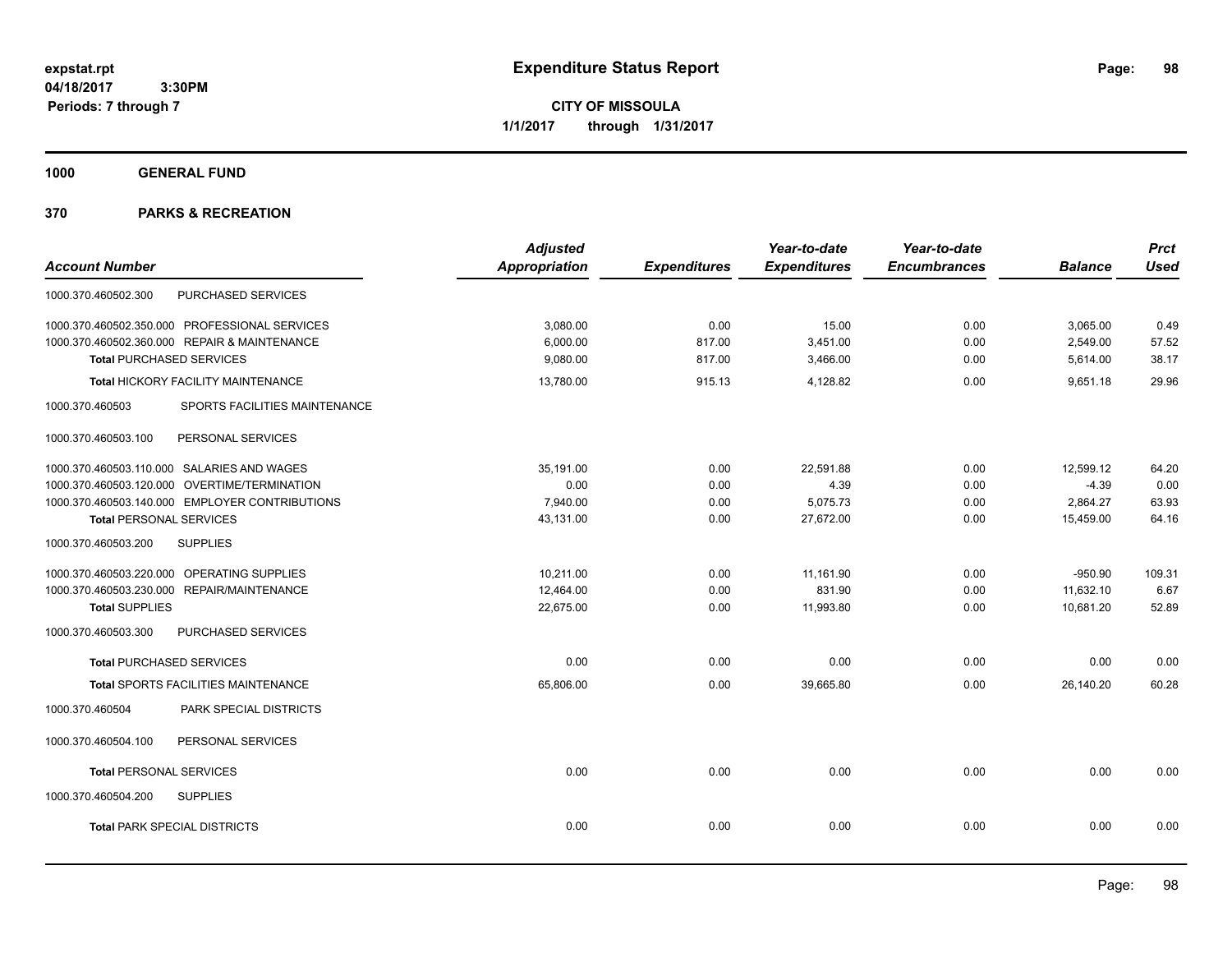**CITY OF MISSOULA 1/1/2017 through 1/31/2017**

**1000 GENERAL FUND**

|                                                  | <b>Adjusted</b>      |                     | Year-to-date        | Year-to-date        |                | <b>Prct</b> |
|--------------------------------------------------|----------------------|---------------------|---------------------|---------------------|----------------|-------------|
| <b>Account Number</b>                            | <b>Appropriation</b> | <b>Expenditures</b> | <b>Expenditures</b> | <b>Encumbrances</b> | <b>Balance</b> | <b>Used</b> |
| PURCHASED SERVICES<br>1000.370.460502.300        |                      |                     |                     |                     |                |             |
| 1000.370.460502.350.000 PROFESSIONAL SERVICES    | 3,080.00             | 0.00                | 15.00               | 0.00                | 3,065.00       | 0.49        |
| 1000.370.460502.360.000 REPAIR & MAINTENANCE     | 6.000.00             | 817.00              | 3,451.00            | 0.00                | 2,549.00       | 57.52       |
| <b>Total PURCHASED SERVICES</b>                  | 9,080.00             | 817.00              | 3,466.00            | 0.00                | 5,614.00       | 38.17       |
| <b>Total HICKORY FACILITY MAINTENANCE</b>        | 13,780.00            | 915.13              | 4,128.82            | 0.00                | 9,651.18       | 29.96       |
| SPORTS FACILITIES MAINTENANCE<br>1000.370.460503 |                      |                     |                     |                     |                |             |
| PERSONAL SERVICES<br>1000.370.460503.100         |                      |                     |                     |                     |                |             |
| 1000.370.460503.110.000 SALARIES AND WAGES       | 35,191.00            | 0.00                | 22,591.88           | 0.00                | 12,599.12      | 64.20       |
| 1000.370.460503.120.000 OVERTIME/TERMINATION     | 0.00                 | 0.00                | 4.39                | 0.00                | $-4.39$        | 0.00        |
| 1000.370.460503.140.000 EMPLOYER CONTRIBUTIONS   | 7,940.00             | 0.00                | 5,075.73            | 0.00                | 2,864.27       | 63.93       |
| <b>Total PERSONAL SERVICES</b>                   | 43,131.00            | 0.00                | 27,672.00           | 0.00                | 15,459.00      | 64.16       |
| 1000.370.460503.200<br><b>SUPPLIES</b>           |                      |                     |                     |                     |                |             |
| 1000.370.460503.220.000 OPERATING SUPPLIES       | 10,211.00            | 0.00                | 11,161.90           | 0.00                | $-950.90$      | 109.31      |
| 1000.370.460503.230.000 REPAIR/MAINTENANCE       | 12,464.00            | 0.00                | 831.90              | 0.00                | 11,632.10      | 6.67        |
| <b>Total SUPPLIES</b>                            | 22,675.00            | 0.00                | 11,993.80           | 0.00                | 10,681.20      | 52.89       |
| PURCHASED SERVICES<br>1000.370.460503.300        |                      |                     |                     |                     |                |             |
| <b>Total PURCHASED SERVICES</b>                  | 0.00                 | 0.00                | 0.00                | 0.00                | 0.00           | 0.00        |
| <b>Total SPORTS FACILITIES MAINTENANCE</b>       | 65,806.00            | 0.00                | 39,665.80           | 0.00                | 26,140.20      | 60.28       |
| PARK SPECIAL DISTRICTS<br>1000.370.460504        |                      |                     |                     |                     |                |             |
| PERSONAL SERVICES<br>1000.370.460504.100         |                      |                     |                     |                     |                |             |
| <b>Total PERSONAL SERVICES</b>                   | 0.00                 | 0.00                | 0.00                | 0.00                | 0.00           | 0.00        |
| 1000.370.460504.200<br><b>SUPPLIES</b>           |                      |                     |                     |                     |                |             |
| <b>Total PARK SPECIAL DISTRICTS</b>              | 0.00                 | 0.00                | 0.00                | 0.00                | 0.00           | 0.00        |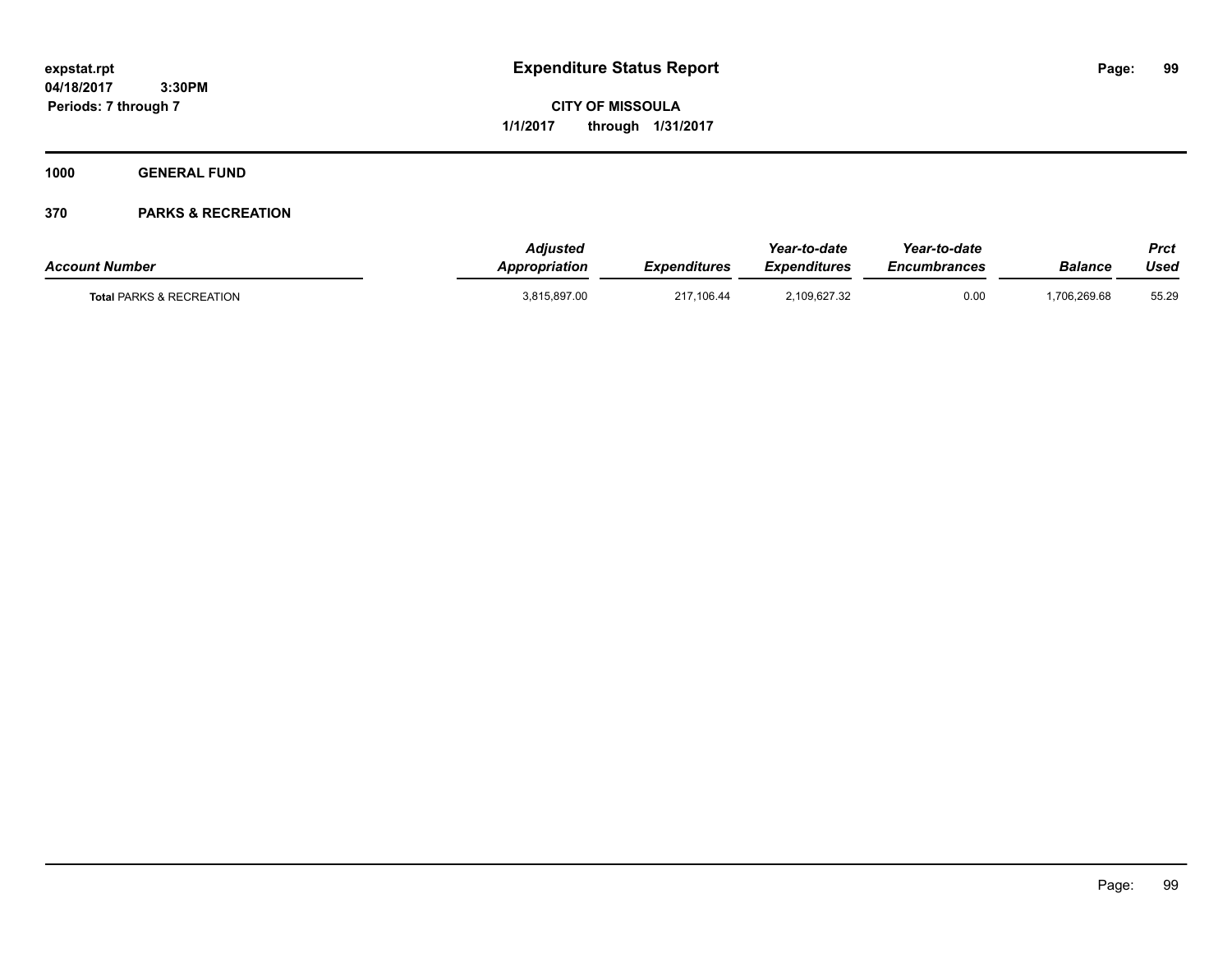**CITY OF MISSOULA 1/1/2017 through 1/31/2017**

**1000 GENERAL FUND**

| <b>Account Number</b>               | <b>Adjusted</b><br>Appropriation | <b>Expenditures</b> | Year-to-date<br><b>Expenditures</b> | Year-to-date<br><i><b>Encumbrances</b></i> | Balance      | Prct<br>Used |
|-------------------------------------|----------------------------------|---------------------|-------------------------------------|--------------------------------------------|--------------|--------------|
| <b>Total PARKS &amp; RECREATION</b> | 3,815,897.00                     | 217,106.44          | 2,109,627.32                        | 0.00                                       | 1,706,269.68 | 55.29        |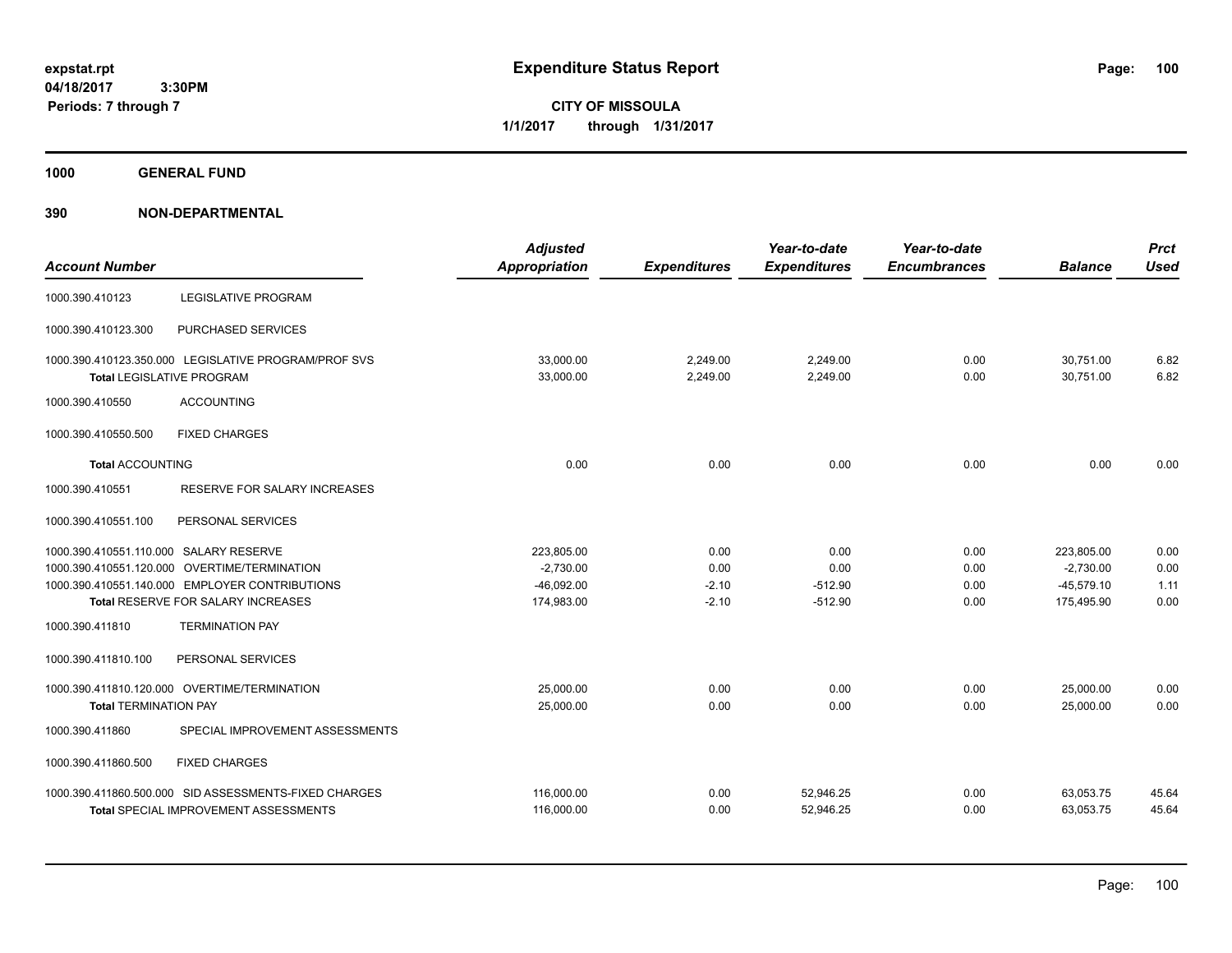**CITY OF MISSOULA 1/1/2017 through 1/31/2017**

**1000 GENERAL FUND**

| <b>Account Number</b>                  |                                                                                          | <b>Adjusted</b><br><b>Appropriation</b> | <b>Expenditures</b>  | Year-to-date<br><b>Expenditures</b> | Year-to-date<br><b>Encumbrances</b> | <b>Balance</b>         | <b>Prct</b><br><b>Used</b> |
|----------------------------------------|------------------------------------------------------------------------------------------|-----------------------------------------|----------------------|-------------------------------------|-------------------------------------|------------------------|----------------------------|
| 1000.390.410123                        | <b>LEGISLATIVE PROGRAM</b>                                                               |                                         |                      |                                     |                                     |                        |                            |
| 1000.390.410123.300                    | PURCHASED SERVICES                                                                       |                                         |                      |                                     |                                     |                        |                            |
|                                        | 1000.390.410123.350.000 LEGISLATIVE PROGRAM/PROF SVS<br><b>Total LEGISLATIVE PROGRAM</b> | 33,000.00<br>33.000.00                  | 2,249.00<br>2.249.00 | 2,249.00<br>2.249.00                | 0.00<br>0.00                        | 30,751.00<br>30.751.00 | 6.82<br>6.82               |
| 1000.390.410550                        | <b>ACCOUNTING</b>                                                                        |                                         |                      |                                     |                                     |                        |                            |
| 1000.390.410550.500                    | <b>FIXED CHARGES</b>                                                                     |                                         |                      |                                     |                                     |                        |                            |
| <b>Total ACCOUNTING</b>                |                                                                                          | 0.00                                    | 0.00                 | 0.00                                | 0.00                                | 0.00                   | 0.00                       |
| 1000.390.410551                        | <b>RESERVE FOR SALARY INCREASES</b>                                                      |                                         |                      |                                     |                                     |                        |                            |
| 1000.390.410551.100                    | PERSONAL SERVICES                                                                        |                                         |                      |                                     |                                     |                        |                            |
| 1000.390.410551.110.000 SALARY RESERVE |                                                                                          | 223,805.00                              | 0.00                 | 0.00                                | 0.00                                | 223,805.00             | 0.00                       |
|                                        | 1000.390.410551.120.000 OVERTIME/TERMINATION                                             | $-2,730.00$                             | 0.00                 | 0.00                                | 0.00                                | $-2,730.00$            | 0.00                       |
|                                        | 1000.390.410551.140.000 EMPLOYER CONTRIBUTIONS                                           | $-46,092.00$                            | $-2.10$              | $-512.90$                           | 0.00                                | $-45,579.10$           | 1.11                       |
|                                        | <b>Total RESERVE FOR SALARY INCREASES</b>                                                | 174,983.00                              | $-2.10$              | $-512.90$                           | 0.00                                | 175,495.90             | 0.00                       |
| 1000.390.411810                        | <b>TERMINATION PAY</b>                                                                   |                                         |                      |                                     |                                     |                        |                            |
| 1000.390.411810.100                    | PERSONAL SERVICES                                                                        |                                         |                      |                                     |                                     |                        |                            |
|                                        | 1000.390.411810.120.000 OVERTIME/TERMINATION                                             | 25,000.00                               | 0.00                 | 0.00                                | 0.00                                | 25,000.00              | 0.00                       |
| <b>Total TERMINATION PAY</b>           |                                                                                          | 25,000.00                               | 0.00                 | 0.00                                | 0.00                                | 25,000.00              | 0.00                       |
| 1000.390.411860                        | SPECIAL IMPROVEMENT ASSESSMENTS                                                          |                                         |                      |                                     |                                     |                        |                            |
| 1000.390.411860.500                    | <b>FIXED CHARGES</b>                                                                     |                                         |                      |                                     |                                     |                        |                            |
|                                        | 1000.390.411860.500.000 SID ASSESSMENTS-FIXED CHARGES                                    | 116,000.00                              | 0.00                 | 52,946.25                           | 0.00                                | 63,053.75              | 45.64                      |
|                                        | <b>Total SPECIAL IMPROVEMENT ASSESSMENTS</b>                                             | 116,000.00                              | 0.00                 | 52,946.25                           | 0.00                                | 63,053.75              | 45.64                      |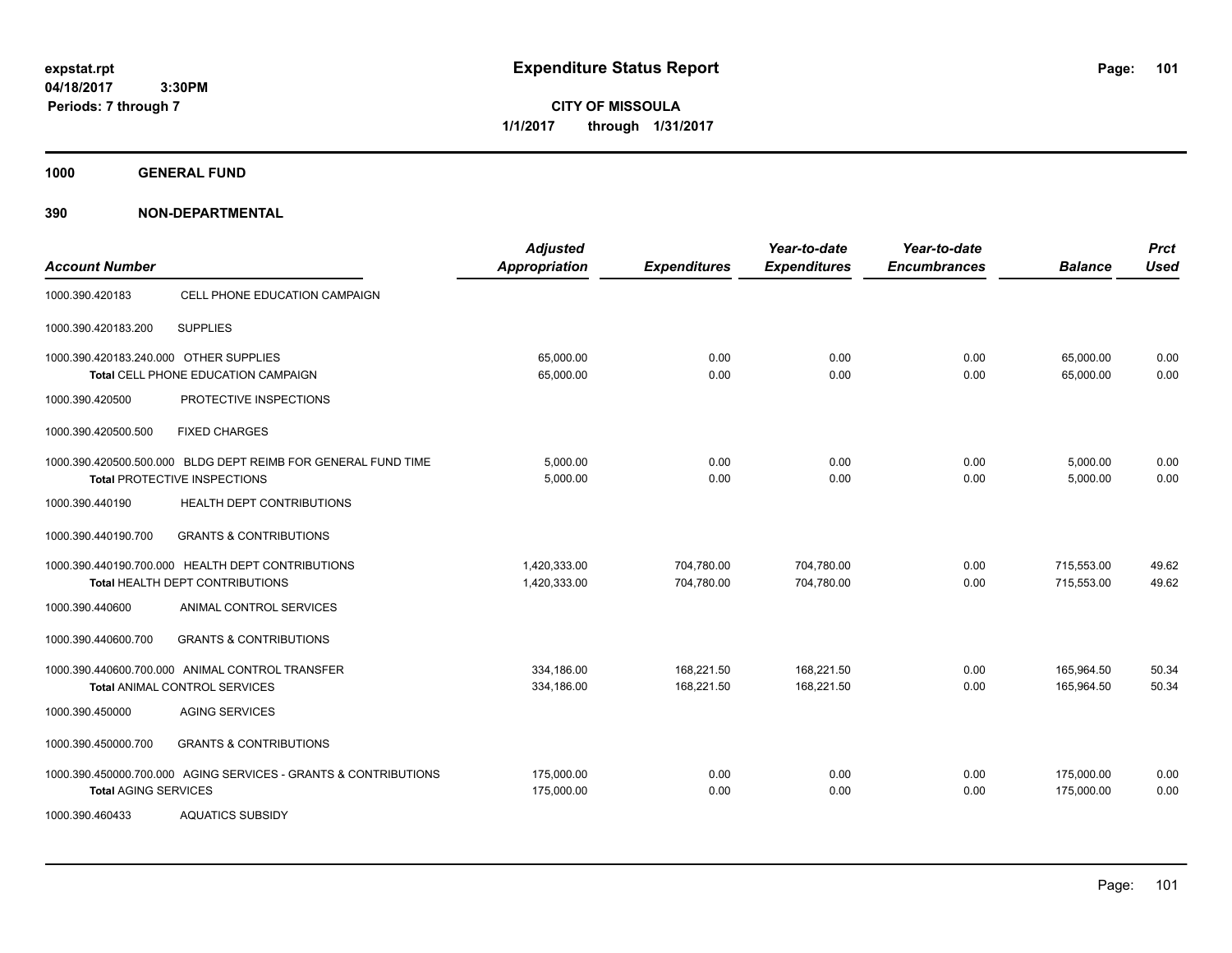**CITY OF MISSOULA 1/1/2017 through 1/31/2017**

**1000 GENERAL FUND**

| <b>Account Number</b>                  |                                                                                                      | <b>Adjusted</b><br><b>Appropriation</b> | <b>Expenditures</b>      | Year-to-date<br><b>Expenditures</b> | Year-to-date<br><b>Encumbrances</b> | <b>Balance</b>           | <b>Prct</b><br><b>Used</b> |
|----------------------------------------|------------------------------------------------------------------------------------------------------|-----------------------------------------|--------------------------|-------------------------------------|-------------------------------------|--------------------------|----------------------------|
| 1000.390.420183                        | CELL PHONE EDUCATION CAMPAIGN                                                                        |                                         |                          |                                     |                                     |                          |                            |
| 1000.390.420183.200                    | <b>SUPPLIES</b>                                                                                      |                                         |                          |                                     |                                     |                          |                            |
| 1000.390.420183.240.000 OTHER SUPPLIES | Total CELL PHONE EDUCATION CAMPAIGN                                                                  | 65,000.00<br>65,000.00                  | 0.00<br>0.00             | 0.00<br>0.00                        | 0.00<br>0.00                        | 65.000.00<br>65,000.00   | 0.00<br>0.00               |
| 1000.390.420500                        | PROTECTIVE INSPECTIONS                                                                               |                                         |                          |                                     |                                     |                          |                            |
| 1000.390.420500.500                    | <b>FIXED CHARGES</b>                                                                                 |                                         |                          |                                     |                                     |                          |                            |
|                                        | 1000.390.420500.500.000 BLDG DEPT REIMB FOR GENERAL FUND TIME<br><b>Total PROTECTIVE INSPECTIONS</b> | 5,000.00<br>5,000.00                    | 0.00<br>0.00             | 0.00<br>0.00                        | 0.00<br>0.00                        | 5,000.00<br>5,000.00     | 0.00<br>0.00               |
| 1000.390.440190                        | <b>HEALTH DEPT CONTRIBUTIONS</b>                                                                     |                                         |                          |                                     |                                     |                          |                            |
| 1000.390.440190.700                    | <b>GRANTS &amp; CONTRIBUTIONS</b>                                                                    |                                         |                          |                                     |                                     |                          |                            |
|                                        | 1000.390.440190.700.000 HEALTH DEPT CONTRIBUTIONS<br>Total HEALTH DEPT CONTRIBUTIONS                 | 1,420,333.00<br>1,420,333.00            | 704,780.00<br>704.780.00 | 704,780.00<br>704.780.00            | 0.00<br>0.00                        | 715,553.00<br>715.553.00 | 49.62<br>49.62             |
| 1000.390.440600                        | ANIMAL CONTROL SERVICES                                                                              |                                         |                          |                                     |                                     |                          |                            |
| 1000.390.440600.700                    | <b>GRANTS &amp; CONTRIBUTIONS</b>                                                                    |                                         |                          |                                     |                                     |                          |                            |
|                                        | 1000.390.440600.700.000 ANIMAL CONTROL TRANSFER<br><b>Total ANIMAL CONTROL SERVICES</b>              | 334,186.00<br>334,186.00                | 168,221.50<br>168,221.50 | 168,221.50<br>168,221.50            | 0.00<br>0.00                        | 165,964.50<br>165,964.50 | 50.34<br>50.34             |
| 1000.390.450000                        | <b>AGING SERVICES</b>                                                                                |                                         |                          |                                     |                                     |                          |                            |
| 1000.390.450000.700                    | <b>GRANTS &amp; CONTRIBUTIONS</b>                                                                    |                                         |                          |                                     |                                     |                          |                            |
| <b>Total AGING SERVICES</b>            | 1000.390.450000.700.000 AGING SERVICES - GRANTS & CONTRIBUTIONS                                      | 175,000.00<br>175,000.00                | 0.00<br>0.00             | 0.00<br>0.00                        | 0.00<br>0.00                        | 175,000.00<br>175,000.00 | 0.00<br>0.00               |
| 1000.390.460433                        | <b>AQUATICS SUBSIDY</b>                                                                              |                                         |                          |                                     |                                     |                          |                            |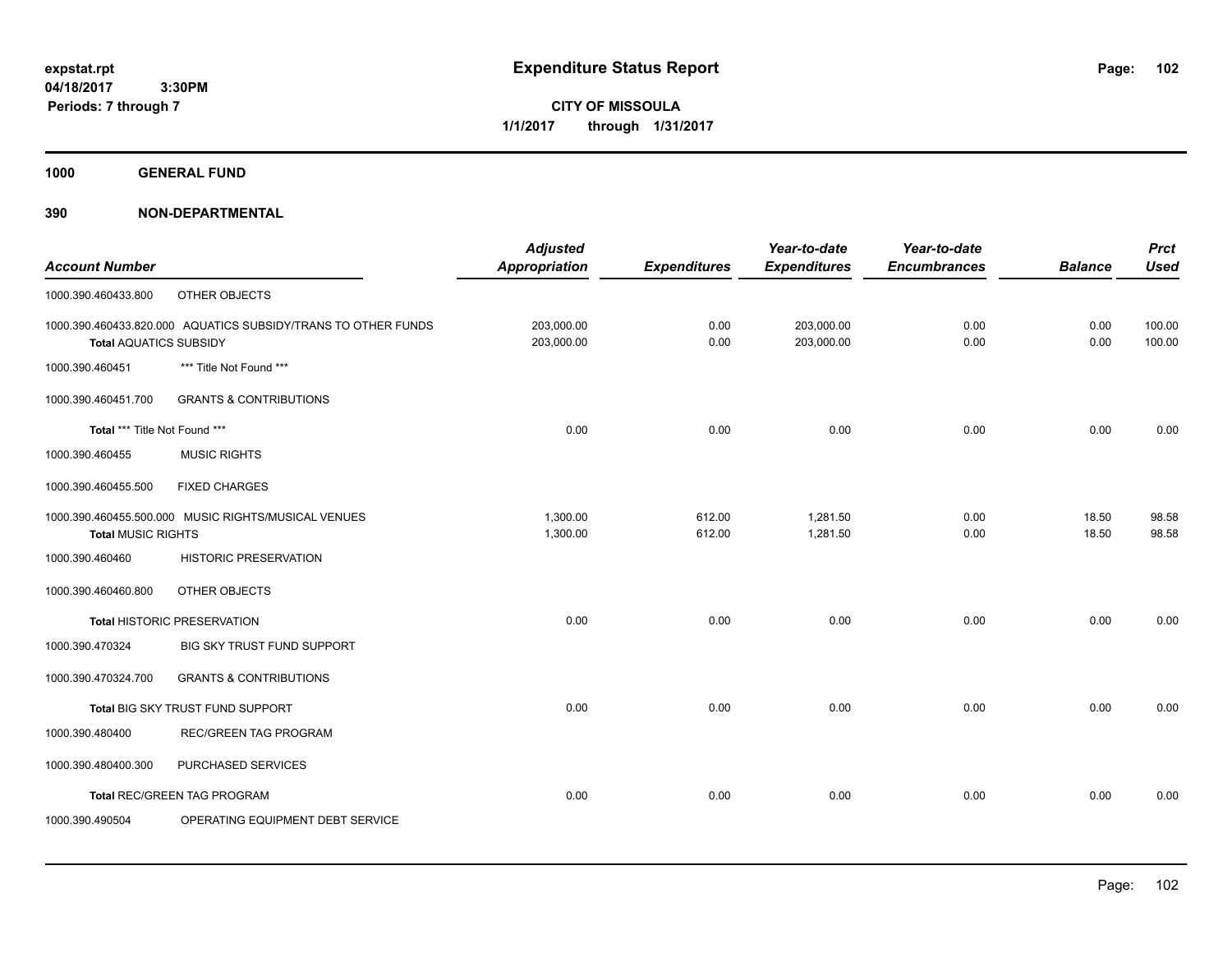**CITY OF MISSOULA 1/1/2017 through 1/31/2017**

**1000 GENERAL FUND**

|                               |                                                               | <b>Adjusted</b>      |                     | Year-to-date        | Year-to-date        |                | <b>Prct</b> |
|-------------------------------|---------------------------------------------------------------|----------------------|---------------------|---------------------|---------------------|----------------|-------------|
| <b>Account Number</b>         |                                                               | <b>Appropriation</b> | <b>Expenditures</b> | <b>Expenditures</b> | <b>Encumbrances</b> | <b>Balance</b> | <b>Used</b> |
| 1000.390.460433.800           | OTHER OBJECTS                                                 |                      |                     |                     |                     |                |             |
|                               | 1000.390.460433.820.000 AQUATICS SUBSIDY/TRANS TO OTHER FUNDS | 203,000.00           | 0.00                | 203,000.00          | 0.00                | 0.00           | 100.00      |
| <b>Total AQUATICS SUBSIDY</b> |                                                               | 203,000.00           | 0.00                | 203,000.00          | 0.00                | 0.00           | 100.00      |
| 1000.390.460451               | *** Title Not Found ***                                       |                      |                     |                     |                     |                |             |
| 1000.390.460451.700           | <b>GRANTS &amp; CONTRIBUTIONS</b>                             |                      |                     |                     |                     |                |             |
| Total *** Title Not Found *** |                                                               | 0.00                 | 0.00                | 0.00                | 0.00                | 0.00           | 0.00        |
| 1000.390.460455               | <b>MUSIC RIGHTS</b>                                           |                      |                     |                     |                     |                |             |
| 1000.390.460455.500           | <b>FIXED CHARGES</b>                                          |                      |                     |                     |                     |                |             |
|                               | 1000.390.460455.500.000 MUSIC RIGHTS/MUSICAL VENUES           | 1,300.00             | 612.00              | 1,281.50            | 0.00                | 18.50          | 98.58       |
| <b>Total MUSIC RIGHTS</b>     |                                                               | 1,300.00             | 612.00              | 1,281.50            | 0.00                | 18.50          | 98.58       |
| 1000.390.460460               | <b>HISTORIC PRESERVATION</b>                                  |                      |                     |                     |                     |                |             |
| 1000.390.460460.800           | OTHER OBJECTS                                                 |                      |                     |                     |                     |                |             |
|                               | <b>Total HISTORIC PRESERVATION</b>                            | 0.00                 | 0.00                | 0.00                | 0.00                | 0.00           | 0.00        |
| 1000.390.470324               | BIG SKY TRUST FUND SUPPORT                                    |                      |                     |                     |                     |                |             |
| 1000.390.470324.700           | <b>GRANTS &amp; CONTRIBUTIONS</b>                             |                      |                     |                     |                     |                |             |
|                               | Total BIG SKY TRUST FUND SUPPORT                              | 0.00                 | 0.00                | 0.00                | 0.00                | 0.00           | 0.00        |
| 1000.390.480400               | <b>REC/GREEN TAG PROGRAM</b>                                  |                      |                     |                     |                     |                |             |
| 1000.390.480400.300           | PURCHASED SERVICES                                            |                      |                     |                     |                     |                |             |
|                               | <b>Total REC/GREEN TAG PROGRAM</b>                            | 0.00                 | 0.00                | 0.00                | 0.00                | 0.00           | 0.00        |
| 1000.390.490504               | OPERATING EQUIPMENT DEBT SERVICE                              |                      |                     |                     |                     |                |             |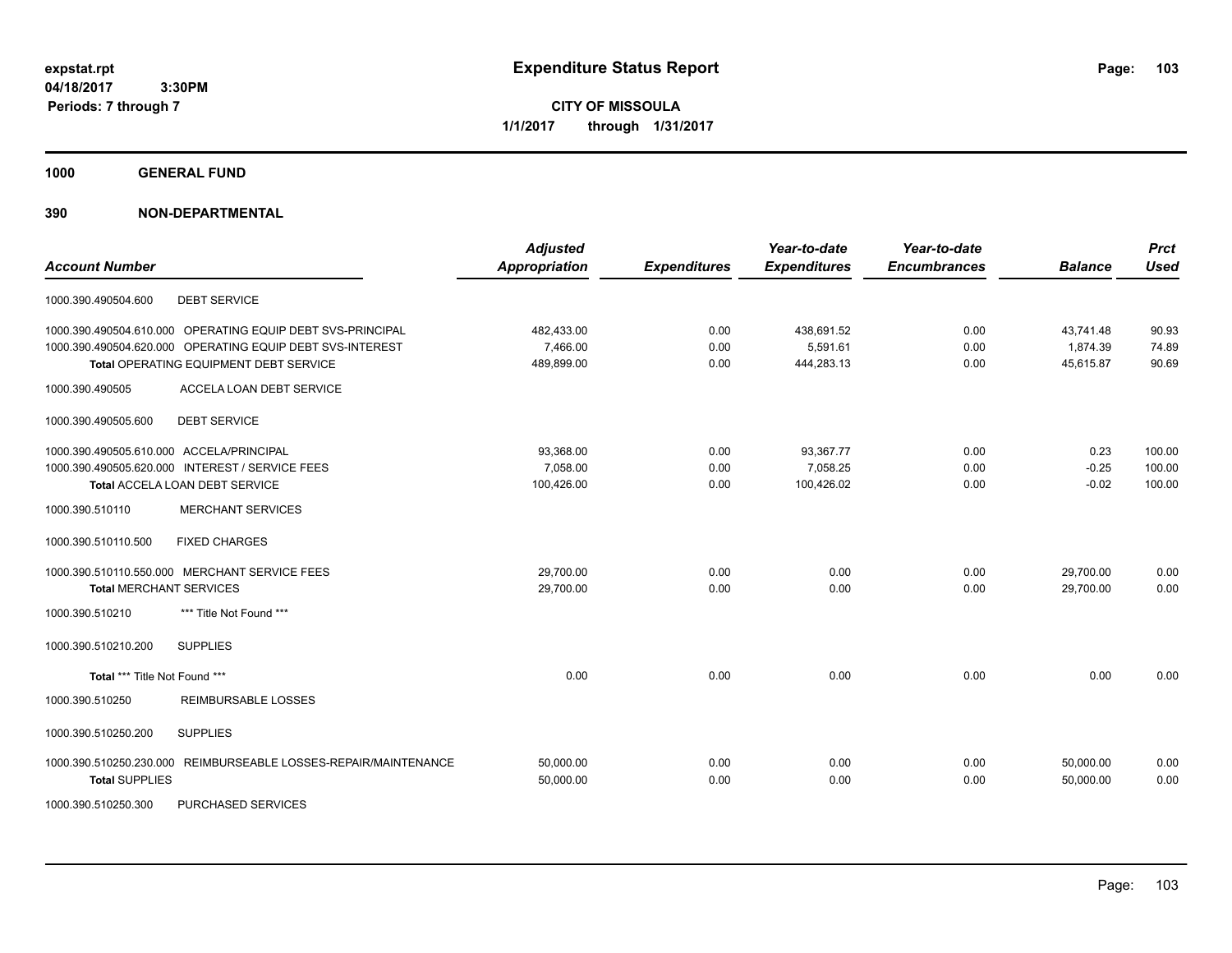**CITY OF MISSOULA 1/1/2017 through 1/31/2017**

**1000 GENERAL FUND**

## **390 NON-DEPARTMENTAL**

| <b>Account Number</b>                                              | <b>Adjusted</b><br><b>Appropriation</b> | <b>Expenditures</b> | Year-to-date<br><b>Expenditures</b> | Year-to-date<br><b>Encumbrances</b> | <b>Balance</b> | <b>Prct</b><br><b>Used</b> |
|--------------------------------------------------------------------|-----------------------------------------|---------------------|-------------------------------------|-------------------------------------|----------------|----------------------------|
|                                                                    |                                         |                     |                                     |                                     |                |                            |
| <b>DEBT SERVICE</b><br>1000.390.490504.600                         |                                         |                     |                                     |                                     |                |                            |
| 1000.390.490504.610.000 OPERATING EQUIP DEBT SVS-PRINCIPAL         | 482,433.00                              | 0.00                | 438,691.52                          | 0.00                                | 43,741.48      | 90.93                      |
| 1000.390.490504.620.000 OPERATING EQUIP DEBT SVS-INTEREST          | 7,466.00                                | 0.00                | 5,591.61                            | 0.00                                | 1,874.39       | 74.89                      |
| Total OPERATING EQUIPMENT DEBT SERVICE                             | 489,899.00                              | 0.00                | 444,283.13                          | 0.00                                | 45,615.87      | 90.69                      |
| 1000.390.490505<br>ACCELA LOAN DEBT SERVICE                        |                                         |                     |                                     |                                     |                |                            |
| 1000.390.490505.600<br><b>DEBT SERVICE</b>                         |                                         |                     |                                     |                                     |                |                            |
| 1000.390.490505.610.000 ACCELA/PRINCIPAL                           | 93,368.00                               | 0.00                | 93,367.77                           | 0.00                                | 0.23           | 100.00                     |
| 1000.390.490505.620.000 INTEREST / SERVICE FEES                    | 7,058.00                                | 0.00                | 7,058.25                            | 0.00                                | $-0.25$        | 100.00                     |
| Total ACCELA LOAN DEBT SERVICE                                     | 100,426.00                              | 0.00                | 100,426.02                          | 0.00                                | $-0.02$        | 100.00                     |
| <b>MERCHANT SERVICES</b><br>1000.390.510110                        |                                         |                     |                                     |                                     |                |                            |
| <b>FIXED CHARGES</b><br>1000.390.510110.500                        |                                         |                     |                                     |                                     |                |                            |
| 1000.390.510110.550.000 MERCHANT SERVICE FEES                      | 29,700.00                               | 0.00                | 0.00                                | 0.00                                | 29,700.00      | 0.00                       |
| <b>Total MERCHANT SERVICES</b>                                     | 29,700.00                               | 0.00                | 0.00                                | 0.00                                | 29,700.00      | 0.00                       |
| *** Title Not Found ***<br>1000.390.510210                         |                                         |                     |                                     |                                     |                |                            |
| 1000.390.510210.200<br><b>SUPPLIES</b>                             |                                         |                     |                                     |                                     |                |                            |
| Total *** Title Not Found ***                                      | 0.00                                    | 0.00                | 0.00                                | 0.00                                | 0.00           | 0.00                       |
| 1000.390.510250<br><b>REIMBURSABLE LOSSES</b>                      |                                         |                     |                                     |                                     |                |                            |
| 1000.390.510250.200<br><b>SUPPLIES</b>                             |                                         |                     |                                     |                                     |                |                            |
| 1000.390.510250.230.000<br>REIMBURSEABLE LOSSES-REPAIR/MAINTENANCE | 50,000.00                               | 0.00                | 0.00                                | 0.00                                | 50.000.00      | 0.00                       |
| <b>Total SUPPLIES</b>                                              | 50,000.00                               | 0.00                | 0.00                                | 0.00                                | 50,000.00      | 0.00                       |
|                                                                    |                                         |                     |                                     |                                     |                |                            |

1000.390.510250.300 PURCHASED SERVICES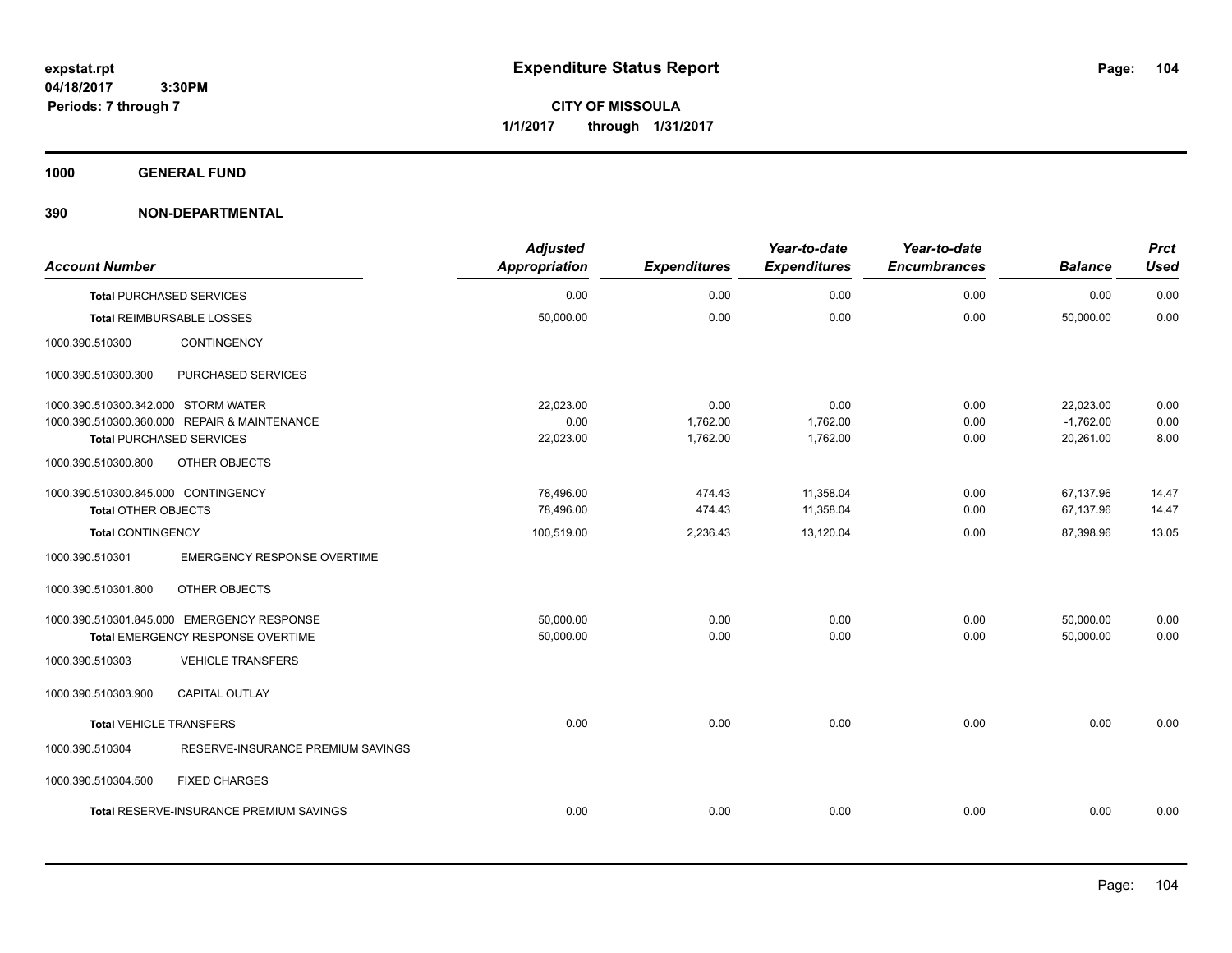**CITY OF MISSOULA 1/1/2017 through 1/31/2017**

**1000 GENERAL FUND**

| <b>Account Number</b>               |                                              | <b>Adjusted</b><br>Appropriation | <b>Expenditures</b> | Year-to-date<br><b>Expenditures</b> | Year-to-date<br><b>Encumbrances</b> | <b>Balance</b> | <b>Prct</b><br><b>Used</b> |
|-------------------------------------|----------------------------------------------|----------------------------------|---------------------|-------------------------------------|-------------------------------------|----------------|----------------------------|
|                                     | <b>Total PURCHASED SERVICES</b>              | 0.00                             | 0.00                | 0.00                                | 0.00                                | 0.00           | 0.00                       |
|                                     | <b>Total REIMBURSABLE LOSSES</b>             | 50,000.00                        | 0.00                | 0.00                                | 0.00                                | 50,000.00      | 0.00                       |
| 1000.390.510300                     | <b>CONTINGENCY</b>                           |                                  |                     |                                     |                                     |                |                            |
| 1000.390.510300.300                 | PURCHASED SERVICES                           |                                  |                     |                                     |                                     |                |                            |
| 1000.390.510300.342.000 STORM WATER |                                              | 22,023.00                        | 0.00                | 0.00                                | 0.00                                | 22,023.00      | 0.00                       |
|                                     | 1000.390.510300.360.000 REPAIR & MAINTENANCE | 0.00                             | 1,762.00            | 1,762.00                            | 0.00                                | $-1,762.00$    | 0.00                       |
|                                     | <b>Total PURCHASED SERVICES</b>              | 22,023.00                        | 1,762.00            | 1,762.00                            | 0.00                                | 20,261.00      | 8.00                       |
| 1000.390.510300.800                 | OTHER OBJECTS                                |                                  |                     |                                     |                                     |                |                            |
| 1000.390.510300.845.000 CONTINGENCY |                                              | 78,496.00                        | 474.43              | 11,358.04                           | 0.00                                | 67,137.96      | 14.47                      |
| <b>Total OTHER OBJECTS</b>          |                                              | 78,496.00                        | 474.43              | 11,358.04                           | 0.00                                | 67,137.96      | 14.47                      |
| <b>Total CONTINGENCY</b>            |                                              | 100,519.00                       | 2,236.43            | 13,120.04                           | 0.00                                | 87,398.96      | 13.05                      |
| 1000.390.510301                     | <b>EMERGENCY RESPONSE OVERTIME</b>           |                                  |                     |                                     |                                     |                |                            |
| 1000.390.510301.800                 | OTHER OBJECTS                                |                                  |                     |                                     |                                     |                |                            |
|                                     | 1000.390.510301.845.000 EMERGENCY RESPONSE   | 50,000.00                        | 0.00                | 0.00                                | 0.00                                | 50,000.00      | 0.00                       |
|                                     | Total EMERGENCY RESPONSE OVERTIME            | 50,000.00                        | 0.00                | 0.00                                | 0.00                                | 50,000.00      | 0.00                       |
| 1000.390.510303                     | <b>VEHICLE TRANSFERS</b>                     |                                  |                     |                                     |                                     |                |                            |
| 1000.390.510303.900                 | <b>CAPITAL OUTLAY</b>                        |                                  |                     |                                     |                                     |                |                            |
| <b>Total VEHICLE TRANSFERS</b>      |                                              | 0.00                             | 0.00                | 0.00                                | 0.00                                | 0.00           | 0.00                       |
| 1000.390.510304                     | RESERVE-INSURANCE PREMIUM SAVINGS            |                                  |                     |                                     |                                     |                |                            |
| 1000.390.510304.500                 | <b>FIXED CHARGES</b>                         |                                  |                     |                                     |                                     |                |                            |
|                                     | Total RESERVE-INSURANCE PREMIUM SAVINGS      | 0.00                             | 0.00                | 0.00                                | 0.00                                | 0.00           | 0.00                       |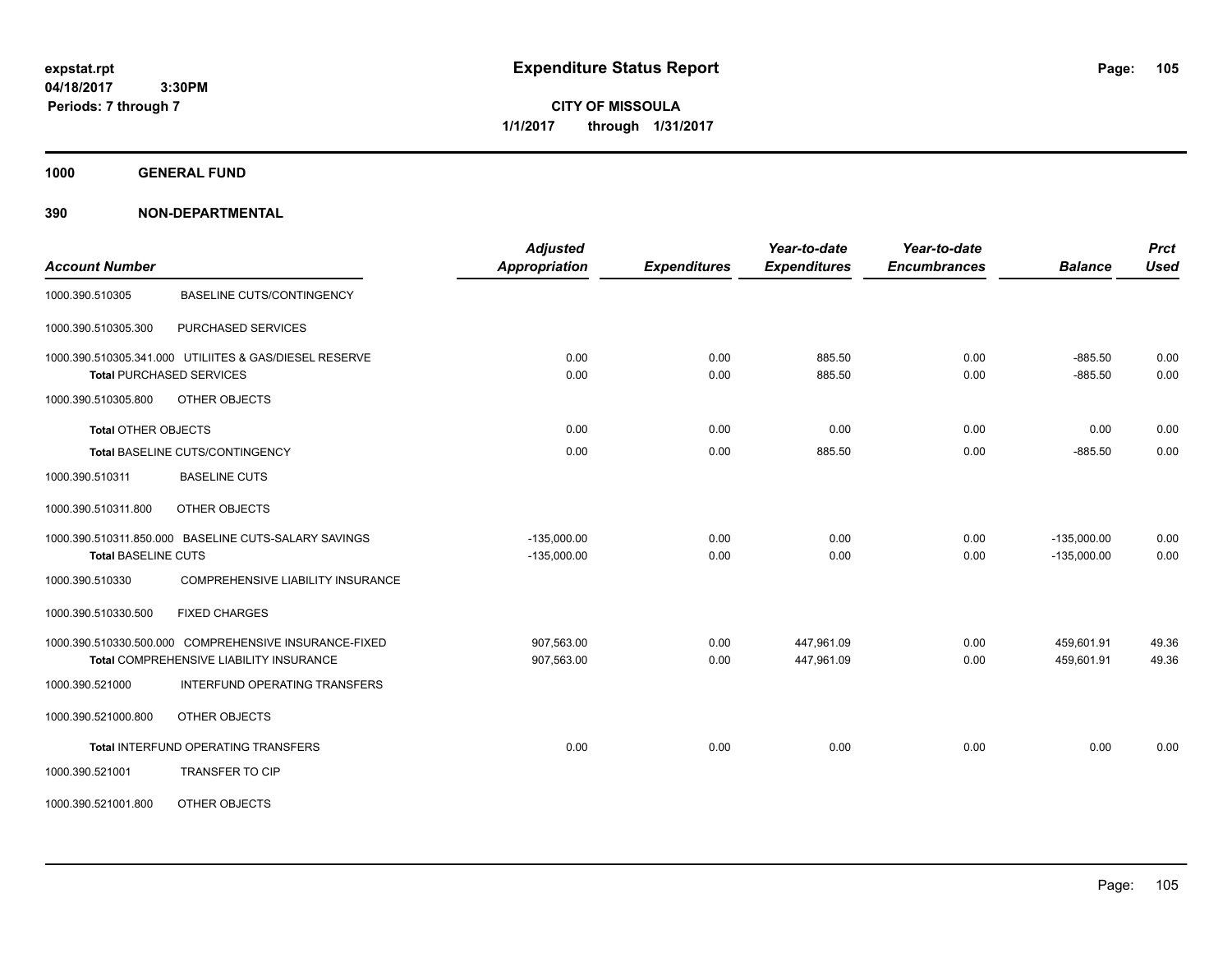**CITY OF MISSOULA 1/1/2017 through 1/31/2017**

**1000 GENERAL FUND**

| <b>Account Number</b>           |                                                                                                  | <b>Adjusted</b><br>Appropriation | <b>Expenditures</b> | Year-to-date<br><b>Expenditures</b> | Year-to-date<br><b>Encumbrances</b> | <b>Balance</b>                 | <b>Prct</b><br><b>Used</b> |
|---------------------------------|--------------------------------------------------------------------------------------------------|----------------------------------|---------------------|-------------------------------------|-------------------------------------|--------------------------------|----------------------------|
| 1000.390.510305                 | <b>BASELINE CUTS/CONTINGENCY</b>                                                                 |                                  |                     |                                     |                                     |                                |                            |
| 1000.390.510305.300             | PURCHASED SERVICES                                                                               |                                  |                     |                                     |                                     |                                |                            |
| <b>Total PURCHASED SERVICES</b> | 1000.390.510305.341.000 UTILIITES & GAS/DIESEL RESERVE                                           | 0.00<br>0.00                     | 0.00<br>0.00        | 885.50<br>885.50                    | 0.00<br>0.00                        | $-885.50$<br>$-885.50$         | 0.00<br>0.00               |
| 1000.390.510305.800             | OTHER OBJECTS                                                                                    |                                  |                     |                                     |                                     |                                |                            |
| <b>Total OTHER OBJECTS</b>      |                                                                                                  | 0.00                             | 0.00                | 0.00                                | 0.00                                | 0.00                           | 0.00                       |
|                                 | Total BASELINE CUTS/CONTINGENCY                                                                  | 0.00                             | 0.00                | 885.50                              | 0.00                                | $-885.50$                      | 0.00                       |
| 1000.390.510311                 | <b>BASELINE CUTS</b>                                                                             |                                  |                     |                                     |                                     |                                |                            |
| 1000.390.510311.800             | <b>OTHER OBJECTS</b>                                                                             |                                  |                     |                                     |                                     |                                |                            |
| <b>Total BASELINE CUTS</b>      | 1000.390.510311.850.000 BASELINE CUTS-SALARY SAVINGS                                             | $-135,000.00$<br>$-135.000.00$   | 0.00<br>0.00        | 0.00<br>0.00                        | 0.00<br>0.00                        | $-135,000.00$<br>$-135.000.00$ | 0.00<br>0.00               |
| 1000.390.510330                 | COMPREHENSIVE LIABILITY INSURANCE                                                                |                                  |                     |                                     |                                     |                                |                            |
| 1000.390.510330.500             | <b>FIXED CHARGES</b>                                                                             |                                  |                     |                                     |                                     |                                |                            |
|                                 | 1000.390.510330.500.000 COMPREHENSIVE INSURANCE-FIXED<br>Total COMPREHENSIVE LIABILITY INSURANCE | 907,563.00<br>907,563.00         | 0.00<br>0.00        | 447,961.09<br>447,961.09            | 0.00<br>0.00                        | 459,601.91<br>459,601.91       | 49.36<br>49.36             |
| 1000.390.521000                 | INTERFUND OPERATING TRANSFERS                                                                    |                                  |                     |                                     |                                     |                                |                            |
| 1000.390.521000.800             | OTHER OBJECTS                                                                                    |                                  |                     |                                     |                                     |                                |                            |
|                                 | <b>Total INTERFUND OPERATING TRANSFERS</b>                                                       | 0.00                             | 0.00                | 0.00                                | 0.00                                | 0.00                           | 0.00                       |
| 1000.390.521001                 | <b>TRANSFER TO CIP</b>                                                                           |                                  |                     |                                     |                                     |                                |                            |
| 1000.390.521001.800             | OTHER OBJECTS                                                                                    |                                  |                     |                                     |                                     |                                |                            |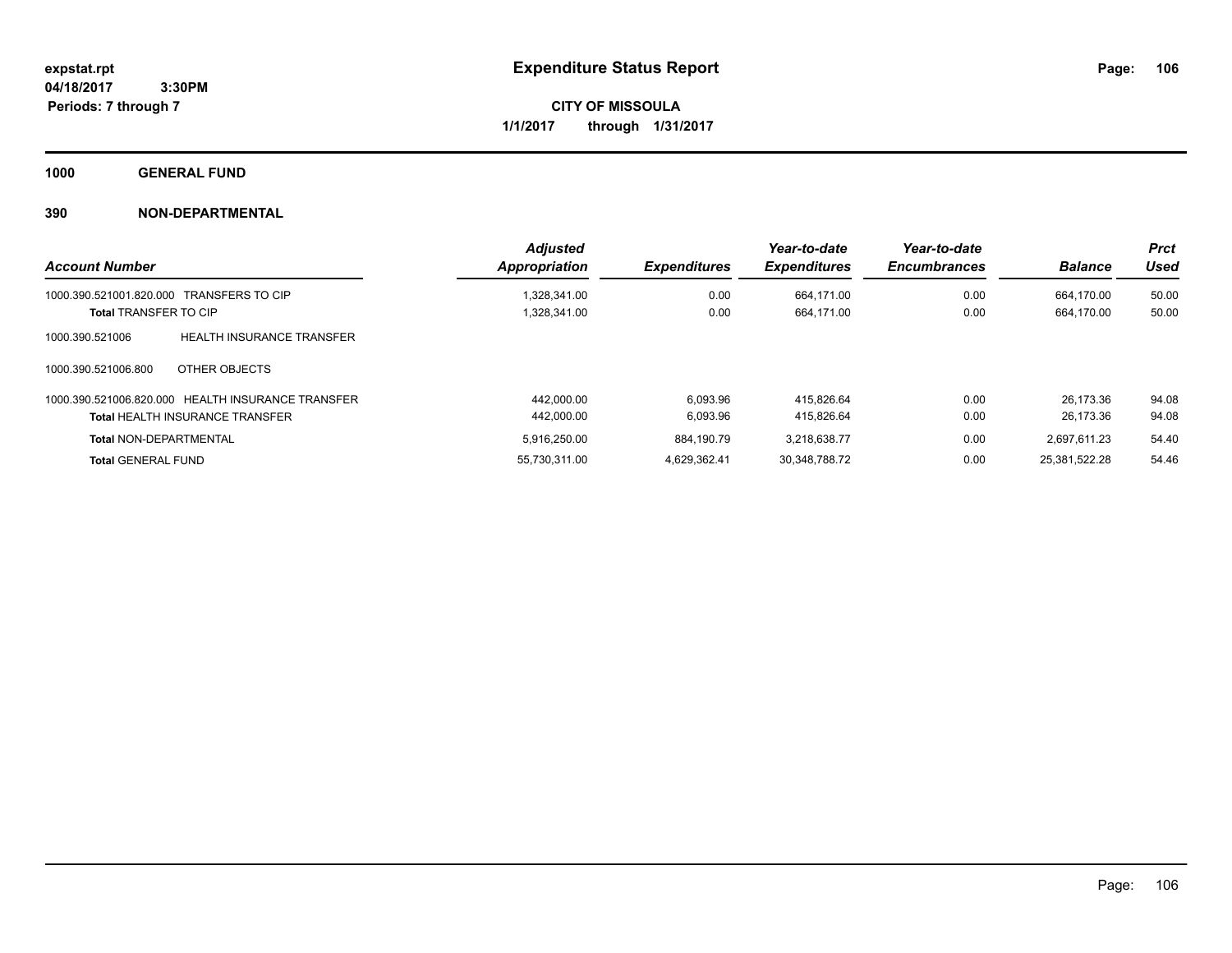**CITY OF MISSOULA 1/1/2017 through 1/31/2017**

**1000 GENERAL FUND**

| <b>Account Number</b>                               | <b>Adjusted</b><br>Appropriation | <b>Expenditures</b> | Year-to-date<br><b>Expenditures</b> | Year-to-date<br><b>Encumbrances</b> | <b>Balance</b> | <b>Prct</b><br>Used |
|-----------------------------------------------------|----------------------------------|---------------------|-------------------------------------|-------------------------------------|----------------|---------------------|
| 1000.390.521001.820.000<br><b>TRANSFERS TO CIP</b>  | 1.328.341.00                     | 0.00                | 664.171.00                          | 0.00                                | 664.170.00     | 50.00               |
| <b>Total TRANSFER TO CIP</b>                        | 1,328,341.00                     | 0.00                | 664,171.00                          | 0.00                                | 664,170.00     | 50.00               |
| <b>HEALTH INSURANCE TRANSFER</b><br>1000.390.521006 |                                  |                     |                                     |                                     |                |                     |
| OTHER OBJECTS<br>1000.390.521006.800                |                                  |                     |                                     |                                     |                |                     |
| 1000.390.521006.820.000 HEALTH INSURANCE TRANSFER   | 442.000.00                       | 6.093.96            | 415.826.64                          | 0.00                                | 26.173.36      | 94.08               |
| <b>Total HEALTH INSURANCE TRANSFER</b>              | 442,000.00                       | 6,093.96            | 415.826.64                          | 0.00                                | 26.173.36      | 94.08               |
| <b>Total NON-DEPARTMENTAL</b>                       | 5.916.250.00                     | 884.190.79          | 3.218.638.77                        | 0.00                                | 2.697.611.23   | 54.40               |
| <b>Total GENERAL FUND</b>                           | 55.730.311.00                    | 4.629.362.41        | 30.348.788.72                       | 0.00                                | 25.381.522.28  | 54.46               |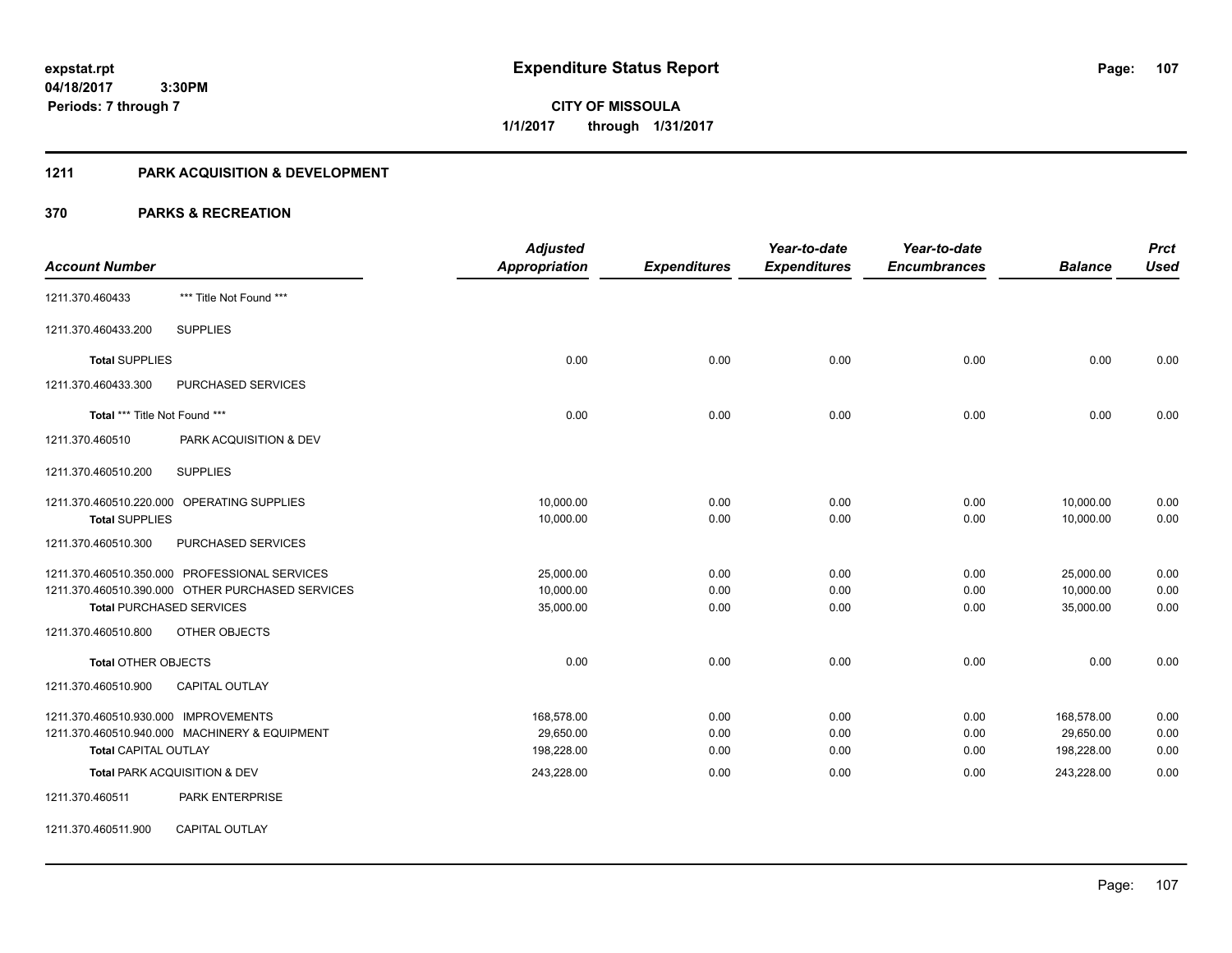**107**

**04/18/2017 3:30PM Periods: 7 through 7**

**CITY OF MISSOULA 1/1/2017 through 1/31/2017**

#### **1211 PARK ACQUISITION & DEVELOPMENT**

|                                                  | <b>Adjusted</b>      |                     | Year-to-date        | Year-to-date        |                | <b>Prct</b> |
|--------------------------------------------------|----------------------|---------------------|---------------------|---------------------|----------------|-------------|
| <b>Account Number</b>                            | <b>Appropriation</b> | <b>Expenditures</b> | <b>Expenditures</b> | <b>Encumbrances</b> | <b>Balance</b> | <b>Used</b> |
| *** Title Not Found ***<br>1211.370.460433       |                      |                     |                     |                     |                |             |
| <b>SUPPLIES</b><br>1211.370.460433.200           |                      |                     |                     |                     |                |             |
| <b>Total SUPPLIES</b>                            | 0.00                 | 0.00                | 0.00                | 0.00                | 0.00           | 0.00        |
| <b>PURCHASED SERVICES</b><br>1211.370.460433.300 |                      |                     |                     |                     |                |             |
| Total *** Title Not Found ***                    | 0.00                 | 0.00                | 0.00                | 0.00                | 0.00           | 0.00        |
| 1211.370.460510<br>PARK ACQUISITION & DEV        |                      |                     |                     |                     |                |             |
| <b>SUPPLIES</b><br>1211.370.460510.200           |                      |                     |                     |                     |                |             |
| 1211.370.460510.220.000 OPERATING SUPPLIES       | 10,000.00            | 0.00                | 0.00                | 0.00                | 10,000.00      | 0.00        |
| <b>Total SUPPLIES</b>                            | 10,000.00            | 0.00                | 0.00                | 0.00                | 10,000.00      | 0.00        |
| PURCHASED SERVICES<br>1211.370.460510.300        |                      |                     |                     |                     |                |             |
| 1211.370.460510.350.000 PROFESSIONAL SERVICES    | 25,000.00            | 0.00                | 0.00                | 0.00                | 25,000.00      | 0.00        |
| 1211.370.460510.390.000 OTHER PURCHASED SERVICES | 10,000.00            | 0.00                | 0.00                | 0.00                | 10,000.00      | 0.00        |
| <b>Total PURCHASED SERVICES</b>                  | 35,000.00            | 0.00                | 0.00                | 0.00                | 35,000.00      | 0.00        |
| OTHER OBJECTS<br>1211.370.460510.800             |                      |                     |                     |                     |                |             |
| <b>Total OTHER OBJECTS</b>                       | 0.00                 | 0.00                | 0.00                | 0.00                | 0.00           | 0.00        |
| 1211.370.460510.900<br><b>CAPITAL OUTLAY</b>     |                      |                     |                     |                     |                |             |
| 1211.370.460510.930.000 IMPROVEMENTS             | 168,578.00           | 0.00                | 0.00                | 0.00                | 168,578.00     | 0.00        |
| 1211.370.460510.940.000 MACHINERY & EQUIPMENT    | 29,650.00            | 0.00                | 0.00                | 0.00                | 29,650.00      | 0.00        |
| <b>Total CAPITAL OUTLAY</b>                      | 198,228.00           | 0.00                | 0.00                | 0.00                | 198,228.00     | 0.00        |
| Total PARK ACQUISITION & DEV                     | 243,228.00           | 0.00                | 0.00                | 0.00                | 243,228.00     | 0.00        |
| PARK ENTERPRISE<br>1211.370.460511               |                      |                     |                     |                     |                |             |
| CAPITAL OUTLAY<br>1211.370.460511.900            |                      |                     |                     |                     |                |             |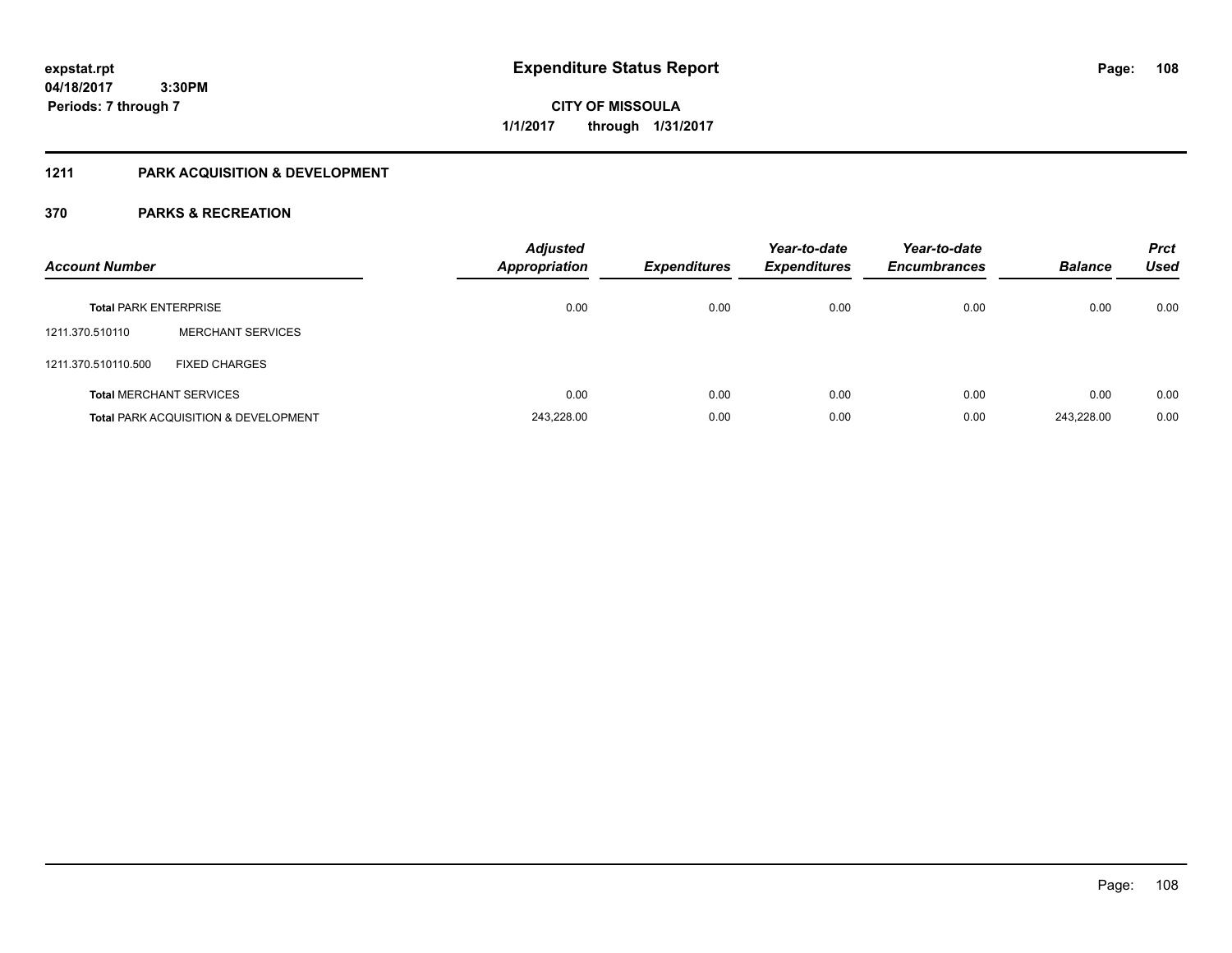# **CITY OF MISSOULA 1/1/2017 through 1/31/2017**

# **1211 PARK ACQUISITION & DEVELOPMENT**

| <b>Account Number</b>        |                                                 | <b>Adjusted</b><br><b>Appropriation</b> | <b>Expenditures</b> | Year-to-date<br><b>Expenditures</b> | Year-to-date<br><b>Encumbrances</b> | <b>Balance</b> | <b>Prct</b><br>Used |
|------------------------------|-------------------------------------------------|-----------------------------------------|---------------------|-------------------------------------|-------------------------------------|----------------|---------------------|
| <b>Total PARK ENTERPRISE</b> |                                                 | 0.00                                    | 0.00                | 0.00                                | 0.00                                | 0.00           | 0.00                |
| 1211.370.510110              | <b>MERCHANT SERVICES</b>                        |                                         |                     |                                     |                                     |                |                     |
| 1211.370.510110.500          | <b>FIXED CHARGES</b>                            |                                         |                     |                                     |                                     |                |                     |
|                              | <b>Total MERCHANT SERVICES</b>                  | 0.00                                    | 0.00                | 0.00                                | 0.00                                | 0.00           | 0.00                |
|                              | <b>Total PARK ACQUISITION &amp; DEVELOPMENT</b> | 243,228.00                              | 0.00                | 0.00                                | 0.00                                | 243.228.00     | 0.00                |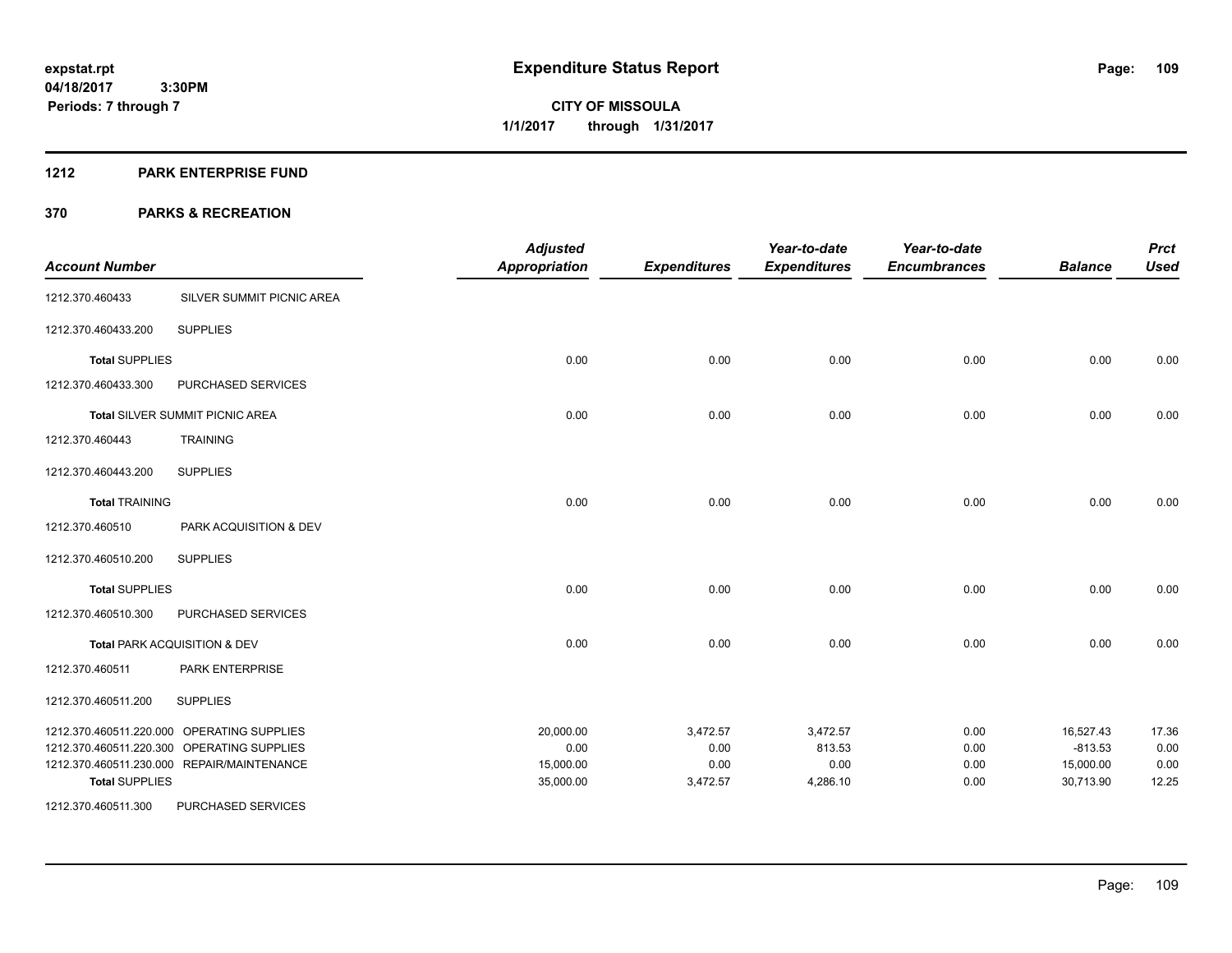**Periods: 7 through 7**

**CITY OF MISSOULA 1/1/2017 through 1/31/2017**

#### **1212 PARK ENTERPRISE FUND**

 **3:30PM**

| <b>Account Number</b> |                                            | <b>Adjusted</b><br><b>Appropriation</b> | <b>Expenditures</b> | Year-to-date<br><b>Expenditures</b> | Year-to-date<br><b>Encumbrances</b> | <b>Balance</b> | <b>Prct</b><br><b>Used</b> |
|-----------------------|--------------------------------------------|-----------------------------------------|---------------------|-------------------------------------|-------------------------------------|----------------|----------------------------|
| 1212.370.460433       | SILVER SUMMIT PICNIC AREA                  |                                         |                     |                                     |                                     |                |                            |
| 1212.370.460433.200   | <b>SUPPLIES</b>                            |                                         |                     |                                     |                                     |                |                            |
| <b>Total SUPPLIES</b> |                                            | 0.00                                    | 0.00                | 0.00                                | 0.00                                | 0.00           | 0.00                       |
| 1212.370.460433.300   | PURCHASED SERVICES                         |                                         |                     |                                     |                                     |                |                            |
|                       | <b>Total SILVER SUMMIT PICNIC AREA</b>     | 0.00                                    | 0.00                | 0.00                                | 0.00                                | 0.00           | 0.00                       |
| 1212.370.460443       | <b>TRAINING</b>                            |                                         |                     |                                     |                                     |                |                            |
| 1212.370.460443.200   | <b>SUPPLIES</b>                            |                                         |                     |                                     |                                     |                |                            |
| <b>Total TRAINING</b> |                                            | 0.00                                    | 0.00                | 0.00                                | 0.00                                | 0.00           | 0.00                       |
| 1212.370.460510       | PARK ACQUISITION & DEV                     |                                         |                     |                                     |                                     |                |                            |
| 1212.370.460510.200   | <b>SUPPLIES</b>                            |                                         |                     |                                     |                                     |                |                            |
| <b>Total SUPPLIES</b> |                                            | 0.00                                    | 0.00                | 0.00                                | 0.00                                | 0.00           | 0.00                       |
| 1212.370.460510.300   | PURCHASED SERVICES                         |                                         |                     |                                     |                                     |                |                            |
|                       | Total PARK ACQUISITION & DEV               | 0.00                                    | 0.00                | 0.00                                | 0.00                                | 0.00           | 0.00                       |
| 1212.370.460511       | PARK ENTERPRISE                            |                                         |                     |                                     |                                     |                |                            |
| 1212.370.460511.200   | <b>SUPPLIES</b>                            |                                         |                     |                                     |                                     |                |                            |
|                       | 1212.370.460511.220.000 OPERATING SUPPLIES | 20,000.00                               | 3,472.57            | 3,472.57                            | 0.00                                | 16,527.43      | 17.36                      |
|                       | 1212.370.460511.220.300 OPERATING SUPPLIES | 0.00                                    | 0.00                | 813.53                              | 0.00                                | $-813.53$      | 0.00                       |
|                       | 1212.370.460511.230.000 REPAIR/MAINTENANCE | 15,000.00                               | 0.00                | 0.00                                | 0.00                                | 15,000.00      | 0.00                       |
| <b>Total SUPPLIES</b> |                                            | 35,000.00                               | 3,472.57            | 4,286.10                            | 0.00                                | 30,713.90      | 12.25                      |
| 1212.370.460511.300   | PURCHASED SERVICES                         |                                         |                     |                                     |                                     |                |                            |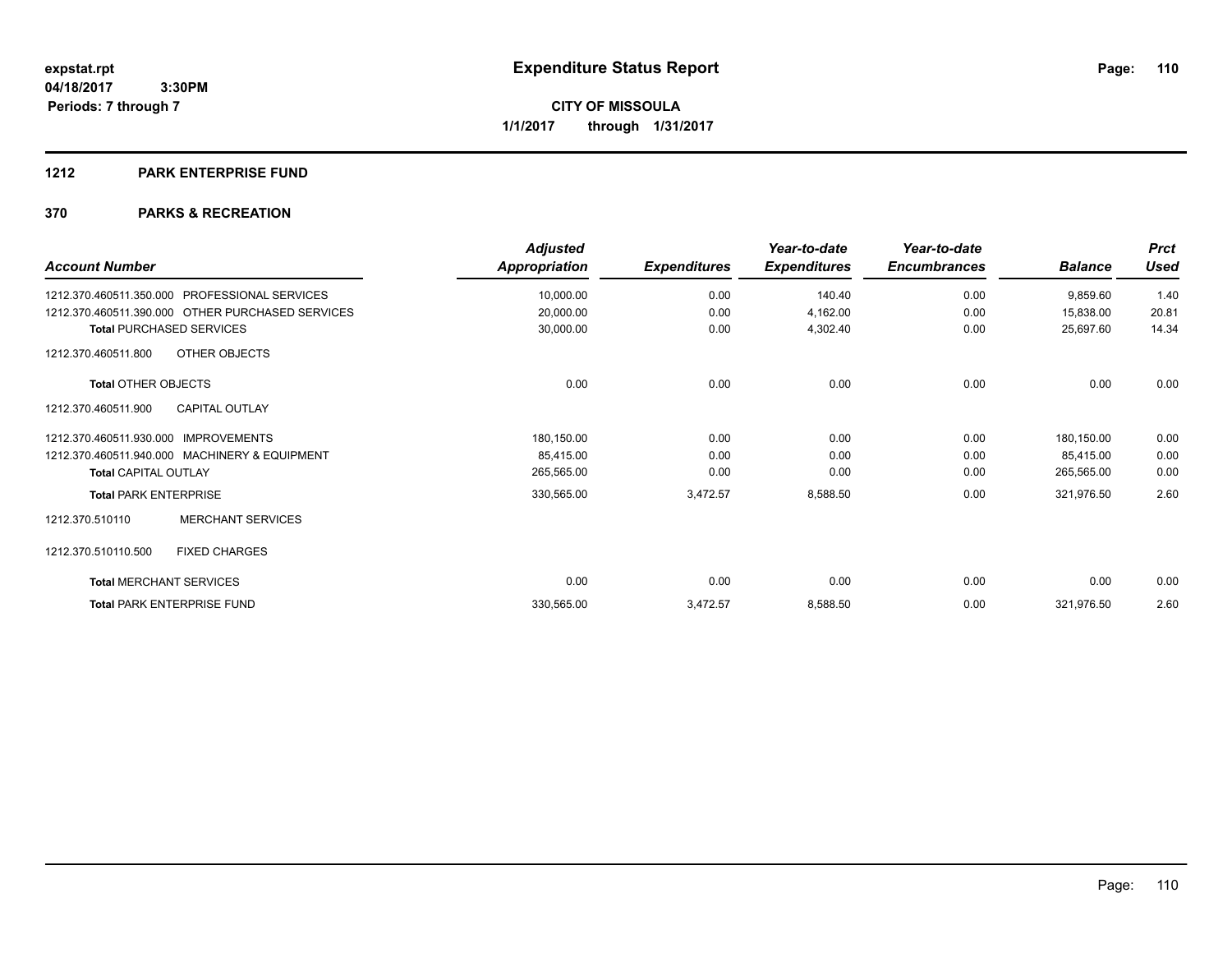#### **1212 PARK ENTERPRISE FUND**

| <b>Account Number</b>                                   | <b>Adjusted</b><br>Appropriation | <b>Expenditures</b> | Year-to-date<br><b>Expenditures</b> | Year-to-date<br><b>Encumbrances</b> | <b>Balance</b> | <b>Prct</b><br><b>Used</b> |
|---------------------------------------------------------|----------------------------------|---------------------|-------------------------------------|-------------------------------------|----------------|----------------------------|
| <b>PROFESSIONAL SERVICES</b><br>1212.370.460511.350.000 | 10,000.00                        | 0.00                | 140.40                              | 0.00                                | 9,859.60       | 1.40                       |
| 1212.370.460511.390.000 OTHER PURCHASED SERVICES        | 20,000.00                        | 0.00                | 4,162.00                            | 0.00                                | 15,838.00      | 20.81                      |
| <b>Total PURCHASED SERVICES</b>                         | 30,000.00                        | 0.00                | 4,302.40                            | 0.00                                | 25,697.60      | 14.34                      |
| OTHER OBJECTS<br>1212.370.460511.800                    |                                  |                     |                                     |                                     |                |                            |
| <b>Total OTHER OBJECTS</b>                              | 0.00                             | 0.00                | 0.00                                | 0.00                                | 0.00           | 0.00                       |
| <b>CAPITAL OUTLAY</b><br>1212.370.460511.900            |                                  |                     |                                     |                                     |                |                            |
| 1212.370.460511.930.000 IMPROVEMENTS                    | 180,150.00                       | 0.00                | 0.00                                | 0.00                                | 180,150.00     | 0.00                       |
| 1212.370.460511.940.000 MACHINERY & EQUIPMENT           | 85,415.00                        | 0.00                | 0.00                                | 0.00                                | 85,415.00      | 0.00                       |
| <b>Total CAPITAL OUTLAY</b>                             | 265,565.00                       | 0.00                | 0.00                                | 0.00                                | 265,565.00     | 0.00                       |
| <b>Total PARK ENTERPRISE</b>                            | 330,565.00                       | 3,472.57            | 8,588.50                            | 0.00                                | 321,976.50     | 2.60                       |
| <b>MERCHANT SERVICES</b><br>1212.370.510110             |                                  |                     |                                     |                                     |                |                            |
| 1212.370.510110.500<br><b>FIXED CHARGES</b>             |                                  |                     |                                     |                                     |                |                            |
| <b>Total MERCHANT SERVICES</b>                          | 0.00                             | 0.00                | 0.00                                | 0.00                                | 0.00           | 0.00                       |
| <b>Total PARK ENTERPRISE FUND</b>                       | 330,565.00                       | 3,472.57            | 8,588.50                            | 0.00                                | 321,976.50     | 2.60                       |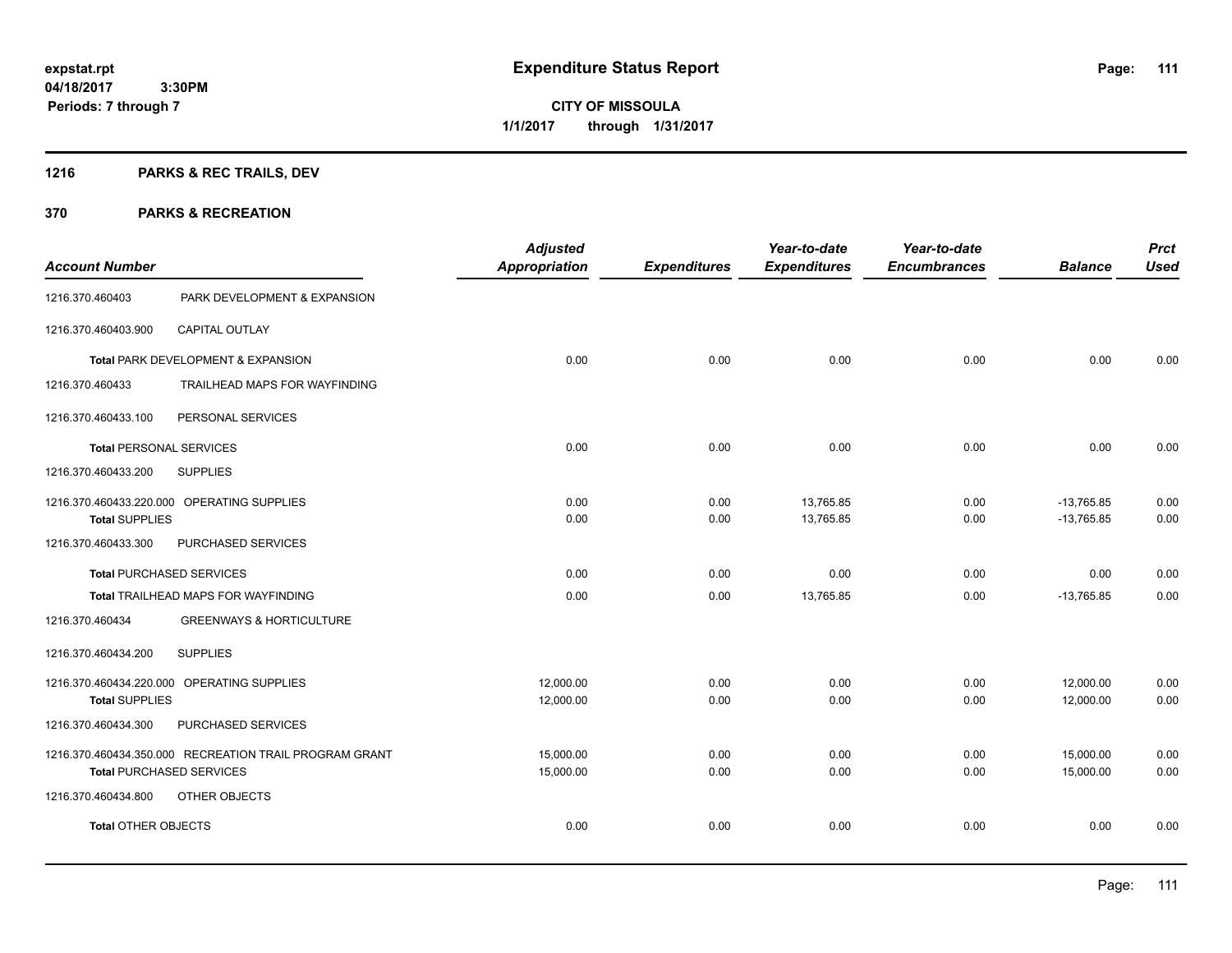**111**

**04/18/2017 3:30PM Periods: 7 through 7**

**CITY OF MISSOULA 1/1/2017 through 1/31/2017**

# **1216 PARKS & REC TRAILS, DEV**

| <b>Account Number</b>           |                                                        | <b>Adjusted</b><br><b>Appropriation</b> | <b>Expenditures</b> | Year-to-date<br><b>Expenditures</b> | Year-to-date<br><b>Encumbrances</b> | <b>Balance</b>               | <b>Prct</b><br><b>Used</b> |
|---------------------------------|--------------------------------------------------------|-----------------------------------------|---------------------|-------------------------------------|-------------------------------------|------------------------------|----------------------------|
| 1216.370.460403                 | PARK DEVELOPMENT & EXPANSION                           |                                         |                     |                                     |                                     |                              |                            |
| 1216.370.460403.900             | <b>CAPITAL OUTLAY</b>                                  |                                         |                     |                                     |                                     |                              |                            |
|                                 | Total PARK DEVELOPMENT & EXPANSION                     | 0.00                                    | 0.00                | 0.00                                | 0.00                                | 0.00                         | 0.00                       |
| 1216.370.460433                 | TRAILHEAD MAPS FOR WAYFINDING                          |                                         |                     |                                     |                                     |                              |                            |
| 1216.370.460433.100             | PERSONAL SERVICES                                      |                                         |                     |                                     |                                     |                              |                            |
| <b>Total PERSONAL SERVICES</b>  |                                                        | 0.00                                    | 0.00                | 0.00                                | 0.00                                | 0.00                         | 0.00                       |
| 1216.370.460433.200             | <b>SUPPLIES</b>                                        |                                         |                     |                                     |                                     |                              |                            |
| <b>Total SUPPLIES</b>           | 1216.370.460433.220.000 OPERATING SUPPLIES             | 0.00<br>0.00                            | 0.00<br>0.00        | 13,765.85<br>13,765.85              | 0.00<br>0.00                        | $-13,765.85$<br>$-13,765.85$ | 0.00<br>0.00               |
| 1216.370.460433.300             | PURCHASED SERVICES                                     |                                         |                     |                                     |                                     |                              |                            |
| <b>Total PURCHASED SERVICES</b> |                                                        | 0.00                                    | 0.00                | 0.00                                | 0.00                                | 0.00                         | 0.00                       |
|                                 | Total TRAILHEAD MAPS FOR WAYFINDING                    | 0.00                                    | 0.00                | 13,765.85                           | 0.00                                | $-13,765.85$                 | 0.00                       |
| 1216.370.460434                 | <b>GREENWAYS &amp; HORTICULTURE</b>                    |                                         |                     |                                     |                                     |                              |                            |
| 1216.370.460434.200             | <b>SUPPLIES</b>                                        |                                         |                     |                                     |                                     |                              |                            |
| <b>Total SUPPLIES</b>           | 1216.370.460434.220.000 OPERATING SUPPLIES             | 12,000.00<br>12,000.00                  | 0.00<br>0.00        | 0.00<br>0.00                        | 0.00<br>0.00                        | 12,000.00<br>12,000.00       | 0.00<br>0.00               |
| 1216.370.460434.300             | PURCHASED SERVICES                                     |                                         |                     |                                     |                                     |                              |                            |
| <b>Total PURCHASED SERVICES</b> | 1216.370.460434.350.000 RECREATION TRAIL PROGRAM GRANT | 15,000.00<br>15,000.00                  | 0.00<br>0.00        | 0.00<br>0.00                        | 0.00<br>0.00                        | 15,000.00<br>15,000.00       | 0.00<br>0.00               |
| 1216.370.460434.800             | OTHER OBJECTS                                          |                                         |                     |                                     |                                     |                              |                            |
| <b>Total OTHER OBJECTS</b>      |                                                        | 0.00                                    | 0.00                | 0.00                                | 0.00                                | 0.00                         | 0.00                       |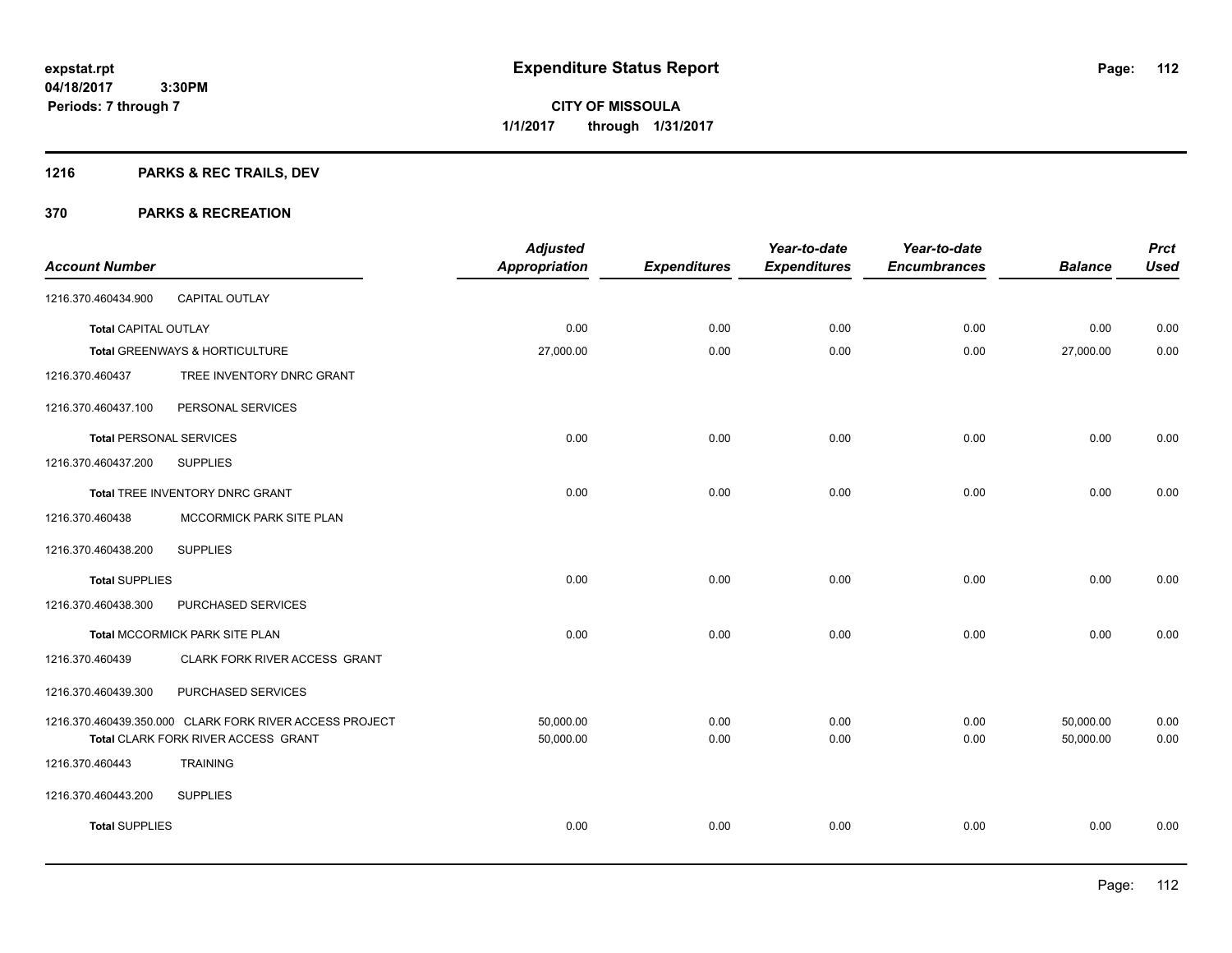# **1216 PARKS & REC TRAILS, DEV**

| <b>Account Number</b>          |                                                         | <b>Adjusted</b><br><b>Appropriation</b> | <b>Expenditures</b> | Year-to-date<br><b>Expenditures</b> | Year-to-date<br><b>Encumbrances</b> | <b>Balance</b> | <b>Prct</b><br><b>Used</b> |
|--------------------------------|---------------------------------------------------------|-----------------------------------------|---------------------|-------------------------------------|-------------------------------------|----------------|----------------------------|
| 1216.370.460434.900            | CAPITAL OUTLAY                                          |                                         |                     |                                     |                                     |                |                            |
| Total CAPITAL OUTLAY           |                                                         | 0.00                                    | 0.00                | 0.00                                | 0.00                                | 0.00           | 0.00                       |
|                                | Total GREENWAYS & HORTICULTURE                          | 27,000.00                               | 0.00                | 0.00                                | 0.00                                | 27,000.00      | 0.00                       |
| 1216.370.460437                | TREE INVENTORY DNRC GRANT                               |                                         |                     |                                     |                                     |                |                            |
| 1216.370.460437.100            | PERSONAL SERVICES                                       |                                         |                     |                                     |                                     |                |                            |
| <b>Total PERSONAL SERVICES</b> |                                                         | 0.00                                    | 0.00                | 0.00                                | 0.00                                | 0.00           | 0.00                       |
| 1216.370.460437.200            | <b>SUPPLIES</b>                                         |                                         |                     |                                     |                                     |                |                            |
|                                | Total TREE INVENTORY DNRC GRANT                         | 0.00                                    | 0.00                | 0.00                                | 0.00                                | 0.00           | 0.00                       |
| 1216.370.460438                | MCCORMICK PARK SITE PLAN                                |                                         |                     |                                     |                                     |                |                            |
| 1216.370.460438.200            | <b>SUPPLIES</b>                                         |                                         |                     |                                     |                                     |                |                            |
| <b>Total SUPPLIES</b>          |                                                         | 0.00                                    | 0.00                | 0.00                                | 0.00                                | 0.00           | 0.00                       |
| 1216.370.460438.300            | PURCHASED SERVICES                                      |                                         |                     |                                     |                                     |                |                            |
|                                | Total MCCORMICK PARK SITE PLAN                          | 0.00                                    | 0.00                | 0.00                                | 0.00                                | 0.00           | 0.00                       |
| 1216.370.460439                | CLARK FORK RIVER ACCESS GRANT                           |                                         |                     |                                     |                                     |                |                            |
| 1216.370.460439.300            | PURCHASED SERVICES                                      |                                         |                     |                                     |                                     |                |                            |
|                                | 1216.370.460439.350.000 CLARK FORK RIVER ACCESS PROJECT | 50,000.00                               | 0.00                | 0.00                                | 0.00                                | 50,000.00      | 0.00                       |
|                                | Total CLARK FORK RIVER ACCESS GRANT                     | 50,000.00                               | 0.00                | 0.00                                | 0.00                                | 50,000.00      | 0.00                       |
| 1216.370.460443                | <b>TRAINING</b>                                         |                                         |                     |                                     |                                     |                |                            |
| 1216.370.460443.200            | <b>SUPPLIES</b>                                         |                                         |                     |                                     |                                     |                |                            |
| <b>Total SUPPLIES</b>          |                                                         | 0.00                                    | 0.00                | 0.00                                | 0.00                                | 0.00           | 0.00                       |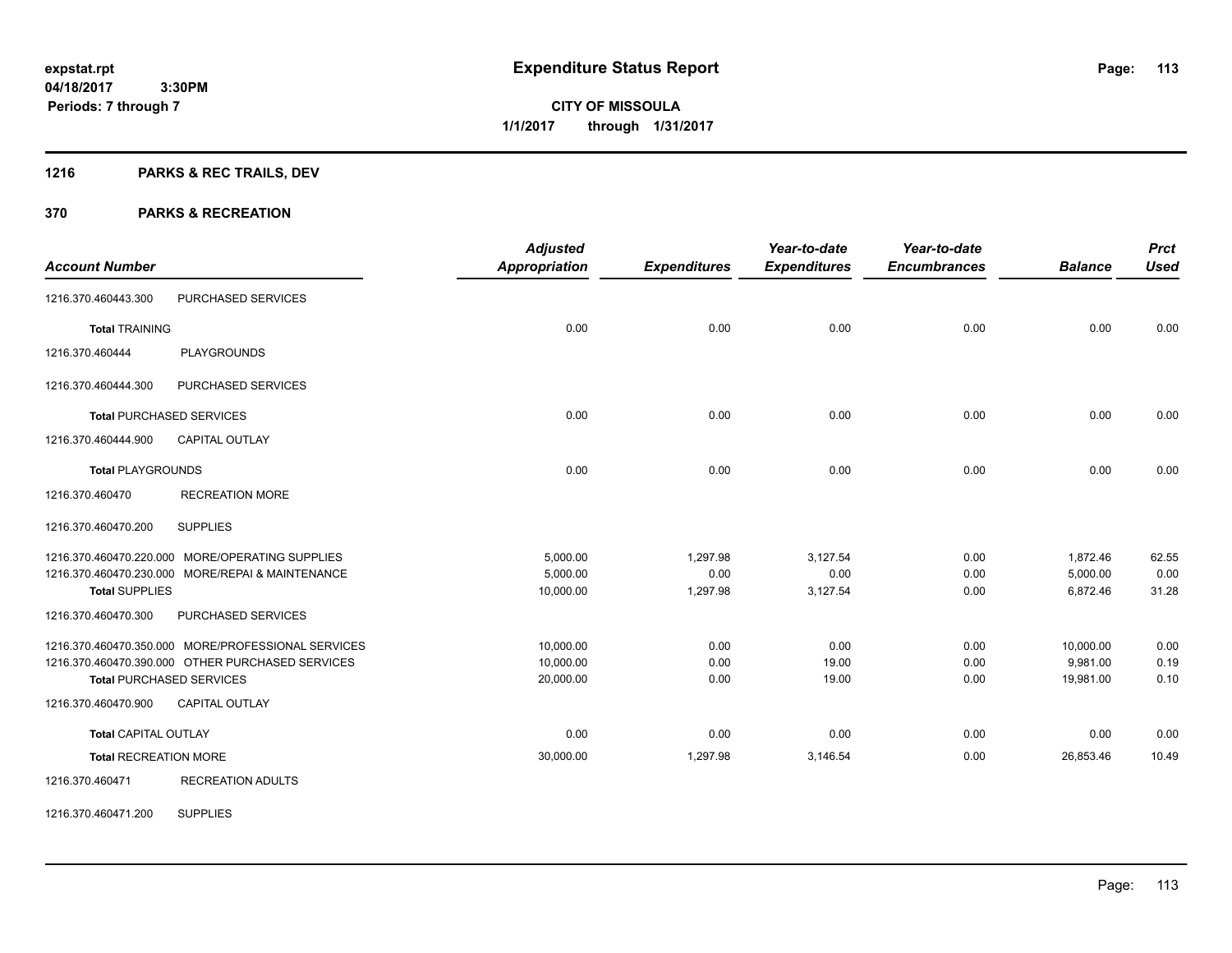**Periods: 7 through 7**

**CITY OF MISSOULA 1/1/2017 through 1/31/2017**

# **1216 PARKS & REC TRAILS, DEV**

 **3:30PM**

#### **370 PARKS & RECREATION**

| <b>Account Number</b>        |                                                    | <b>Adjusted</b><br><b>Appropriation</b> | <b>Expenditures</b> | Year-to-date<br><b>Expenditures</b> | Year-to-date<br><b>Encumbrances</b> | <b>Balance</b> | <b>Prct</b><br><b>Used</b> |
|------------------------------|----------------------------------------------------|-----------------------------------------|---------------------|-------------------------------------|-------------------------------------|----------------|----------------------------|
|                              |                                                    |                                         |                     |                                     |                                     |                |                            |
| 1216.370.460443.300          | PURCHASED SERVICES                                 |                                         |                     |                                     |                                     |                |                            |
| <b>Total TRAINING</b>        |                                                    | 0.00                                    | 0.00                | 0.00                                | 0.00                                | 0.00           | 0.00                       |
| 1216.370.460444              | <b>PLAYGROUNDS</b>                                 |                                         |                     |                                     |                                     |                |                            |
| 1216.370.460444.300          | PURCHASED SERVICES                                 |                                         |                     |                                     |                                     |                |                            |
|                              | <b>Total PURCHASED SERVICES</b>                    | 0.00                                    | 0.00                | 0.00                                | 0.00                                | 0.00           | 0.00                       |
| 1216.370.460444.900          | <b>CAPITAL OUTLAY</b>                              |                                         |                     |                                     |                                     |                |                            |
| <b>Total PLAYGROUNDS</b>     |                                                    | 0.00                                    | 0.00                | 0.00                                | 0.00                                | 0.00           | 0.00                       |
| 1216.370.460470              | <b>RECREATION MORE</b>                             |                                         |                     |                                     |                                     |                |                            |
| 1216.370.460470.200          | <b>SUPPLIES</b>                                    |                                         |                     |                                     |                                     |                |                            |
|                              | 1216.370.460470.220.000 MORE/OPERATING SUPPLIES    | 5.000.00                                | 1,297.98            | 3,127.54                            | 0.00                                | 1,872.46       | 62.55                      |
|                              | 1216.370.460470.230.000 MORE/REPAI & MAINTENANCE   | 5,000.00                                | 0.00                | 0.00                                | 0.00                                | 5,000.00       | 0.00                       |
| <b>Total SUPPLIES</b>        |                                                    | 10,000.00                               | 1,297.98            | 3,127.54                            | 0.00                                | 6,872.46       | 31.28                      |
| 1216.370.460470.300          | PURCHASED SERVICES                                 |                                         |                     |                                     |                                     |                |                            |
|                              | 1216.370.460470.350.000 MORE/PROFESSIONAL SERVICES | 10,000.00                               | 0.00                | 0.00                                | 0.00                                | 10,000.00      | 0.00                       |
|                              | 1216.370.460470.390.000 OTHER PURCHASED SERVICES   | 10.000.00                               | 0.00                | 19.00                               | 0.00                                | 9.981.00       | 0.19                       |
|                              | <b>Total PURCHASED SERVICES</b>                    | 20,000.00                               | 0.00                | 19.00                               | 0.00                                | 19,981.00      | 0.10                       |
| 1216.370.460470.900          | <b>CAPITAL OUTLAY</b>                              |                                         |                     |                                     |                                     |                |                            |
| <b>Total CAPITAL OUTLAY</b>  |                                                    | 0.00                                    | 0.00                | 0.00                                | 0.00                                | 0.00           | 0.00                       |
| <b>Total RECREATION MORE</b> |                                                    | 30,000.00                               | 1,297.98            | 3,146.54                            | 0.00                                | 26,853.46      | 10.49                      |
| 1216.370.460471              | <b>RECREATION ADULTS</b>                           |                                         |                     |                                     |                                     |                |                            |

1216.370.460471.200 SUPPLIES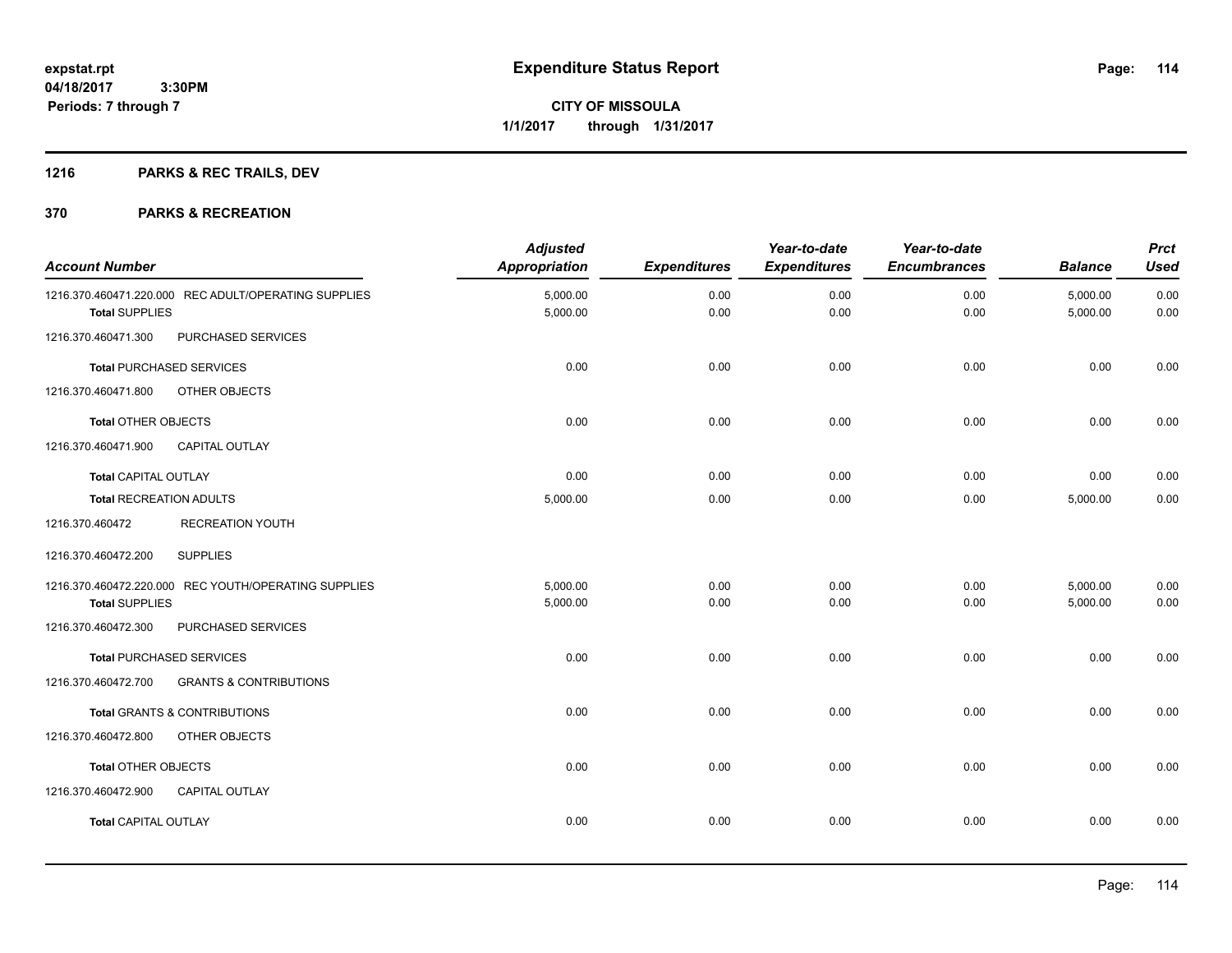# **1216 PARKS & REC TRAILS, DEV**

| <b>Account Number</b>          |                                                      | <b>Adjusted</b><br>Appropriation | <b>Expenditures</b> | Year-to-date<br><b>Expenditures</b> | Year-to-date<br><b>Encumbrances</b> | <b>Balance</b>       | <b>Prct</b><br><b>Used</b> |
|--------------------------------|------------------------------------------------------|----------------------------------|---------------------|-------------------------------------|-------------------------------------|----------------------|----------------------------|
| <b>Total SUPPLIES</b>          | 1216.370.460471.220.000 REC ADULT/OPERATING SUPPLIES | 5,000.00<br>5,000.00             | 0.00<br>0.00        | 0.00<br>0.00                        | 0.00<br>0.00                        | 5,000.00<br>5,000.00 | 0.00<br>0.00               |
| 1216.370.460471.300            | PURCHASED SERVICES                                   |                                  |                     |                                     |                                     |                      |                            |
|                                | <b>Total PURCHASED SERVICES</b>                      | 0.00                             | 0.00                | 0.00                                | 0.00                                | 0.00                 | 0.00                       |
| 1216.370.460471.800            | OTHER OBJECTS                                        |                                  |                     |                                     |                                     |                      |                            |
| <b>Total OTHER OBJECTS</b>     |                                                      | 0.00                             | 0.00                | 0.00                                | 0.00                                | 0.00                 | 0.00                       |
| 1216.370.460471.900            | <b>CAPITAL OUTLAY</b>                                |                                  |                     |                                     |                                     |                      |                            |
| <b>Total CAPITAL OUTLAY</b>    |                                                      | 0.00                             | 0.00                | 0.00                                | 0.00                                | 0.00                 | 0.00                       |
| <b>Total RECREATION ADULTS</b> |                                                      | 5,000.00                         | 0.00                | 0.00                                | 0.00                                | 5,000.00             | 0.00                       |
| 1216.370.460472                | <b>RECREATION YOUTH</b>                              |                                  |                     |                                     |                                     |                      |                            |
| 1216.370.460472.200            | <b>SUPPLIES</b>                                      |                                  |                     |                                     |                                     |                      |                            |
|                                | 1216.370.460472.220.000 REC YOUTH/OPERATING SUPPLIES | 5.000.00                         | 0.00                | 0.00                                | 0.00                                | 5,000.00             | 0.00                       |
| <b>Total SUPPLIES</b>          |                                                      | 5,000.00                         | 0.00                | 0.00                                | 0.00                                | 5,000.00             | 0.00                       |
| 1216.370.460472.300            | PURCHASED SERVICES                                   |                                  |                     |                                     |                                     |                      |                            |
|                                | <b>Total PURCHASED SERVICES</b>                      | 0.00                             | 0.00                | 0.00                                | 0.00                                | 0.00                 | 0.00                       |
| 1216.370.460472.700            | <b>GRANTS &amp; CONTRIBUTIONS</b>                    |                                  |                     |                                     |                                     |                      |                            |
|                                | Total GRANTS & CONTRIBUTIONS                         | 0.00                             | 0.00                | 0.00                                | 0.00                                | 0.00                 | 0.00                       |
| 1216.370.460472.800            | OTHER OBJECTS                                        |                                  |                     |                                     |                                     |                      |                            |
| <b>Total OTHER OBJECTS</b>     |                                                      | 0.00                             | 0.00                | 0.00                                | 0.00                                | 0.00                 | 0.00                       |
| 1216.370.460472.900            | <b>CAPITAL OUTLAY</b>                                |                                  |                     |                                     |                                     |                      |                            |
| <b>Total CAPITAL OUTLAY</b>    |                                                      | 0.00                             | 0.00                | 0.00                                | 0.00                                | 0.00                 | 0.00                       |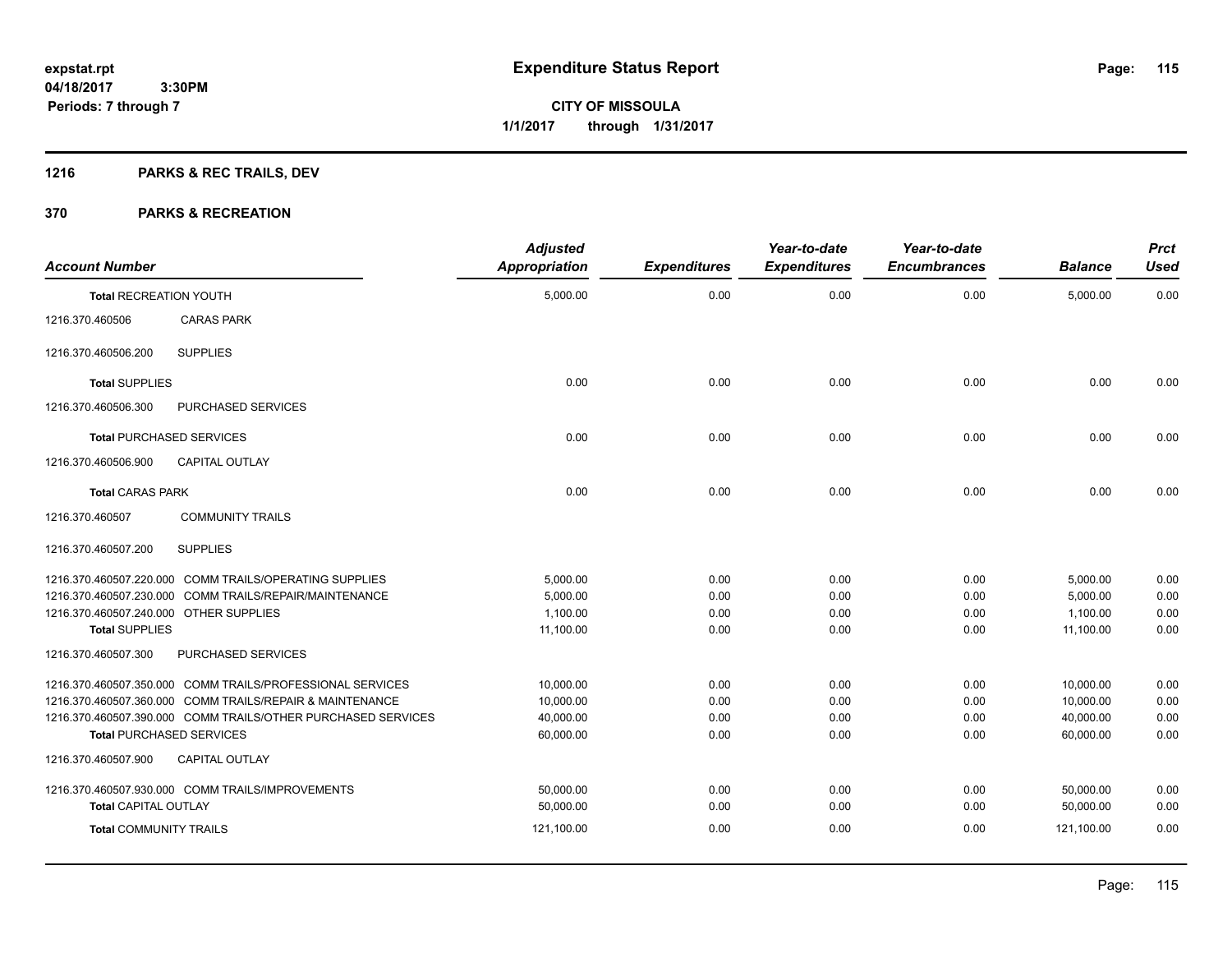**115**

**04/18/2017 3:30PM Periods: 7 through 7**

**CITY OF MISSOULA 1/1/2017 through 1/31/2017**

# **1216 PARKS & REC TRAILS, DEV**

| <b>Account Number</b>                  |                                                              | <b>Adjusted</b><br><b>Appropriation</b> | <b>Expenditures</b> | Year-to-date<br><b>Expenditures</b> | Year-to-date<br><b>Encumbrances</b> | <b>Balance</b> | <b>Prct</b><br><b>Used</b> |
|----------------------------------------|--------------------------------------------------------------|-----------------------------------------|---------------------|-------------------------------------|-------------------------------------|----------------|----------------------------|
| <b>Total RECREATION YOUTH</b>          |                                                              | 5,000.00                                | 0.00                | 0.00                                | 0.00                                | 5,000.00       | 0.00                       |
| 1216.370.460506                        | <b>CARAS PARK</b>                                            |                                         |                     |                                     |                                     |                |                            |
| 1216.370.460506.200                    | <b>SUPPLIES</b>                                              |                                         |                     |                                     |                                     |                |                            |
| <b>Total SUPPLIES</b>                  |                                                              | 0.00                                    | 0.00                | 0.00                                | 0.00                                | 0.00           | 0.00                       |
| 1216.370.460506.300                    | PURCHASED SERVICES                                           |                                         |                     |                                     |                                     |                |                            |
|                                        | <b>Total PURCHASED SERVICES</b>                              | 0.00                                    | 0.00                | 0.00                                | 0.00                                | 0.00           | 0.00                       |
| 1216.370.460506.900                    | <b>CAPITAL OUTLAY</b>                                        |                                         |                     |                                     |                                     |                |                            |
| <b>Total CARAS PARK</b>                |                                                              | 0.00                                    | 0.00                | 0.00                                | 0.00                                | 0.00           | 0.00                       |
| 1216.370.460507                        | <b>COMMUNITY TRAILS</b>                                      |                                         |                     |                                     |                                     |                |                            |
| 1216.370.460507.200                    | <b>SUPPLIES</b>                                              |                                         |                     |                                     |                                     |                |                            |
|                                        | 1216.370.460507.220.000 COMM TRAILS/OPERATING SUPPLIES       | 5,000.00                                | 0.00                | 0.00                                | 0.00                                | 5,000.00       | 0.00                       |
|                                        | 1216.370.460507.230.000 COMM TRAILS/REPAIR/MAINTENANCE       | 5,000.00                                | 0.00                | 0.00                                | 0.00                                | 5,000.00       | 0.00                       |
| 1216.370.460507.240.000 OTHER SUPPLIES |                                                              | 1,100.00                                | 0.00                | 0.00                                | 0.00                                | 1,100.00       | 0.00                       |
| <b>Total SUPPLIES</b>                  |                                                              | 11,100.00                               | 0.00                | 0.00                                | 0.00                                | 11.100.00      | 0.00                       |
| 1216.370.460507.300                    | PURCHASED SERVICES                                           |                                         |                     |                                     |                                     |                |                            |
|                                        | 1216.370.460507.350.000 COMM TRAILS/PROFESSIONAL SERVICES    | 10,000.00                               | 0.00                | 0.00                                | 0.00                                | 10,000.00      | 0.00                       |
|                                        | 1216.370.460507.360.000 COMM TRAILS/REPAIR & MAINTENANCE     | 10,000.00                               | 0.00                | 0.00                                | 0.00                                | 10,000.00      | 0.00                       |
|                                        | 1216.370.460507.390.000 COMM TRAILS/OTHER PURCHASED SERVICES | 40,000.00                               | 0.00                | 0.00                                | 0.00                                | 40,000.00      | 0.00                       |
|                                        | <b>Total PURCHASED SERVICES</b>                              | 60,000.00                               | 0.00                | 0.00                                | 0.00                                | 60,000.00      | 0.00                       |
| 1216.370.460507.900                    | CAPITAL OUTLAY                                               |                                         |                     |                                     |                                     |                |                            |
|                                        | 1216.370.460507.930.000 COMM TRAILS/IMPROVEMENTS             | 50,000.00                               | 0.00                | 0.00                                | 0.00                                | 50,000.00      | 0.00                       |
| <b>Total CAPITAL OUTLAY</b>            |                                                              | 50,000.00                               | 0.00                | 0.00                                | 0.00                                | 50,000.00      | 0.00                       |
| <b>Total COMMUNITY TRAILS</b>          |                                                              | 121,100.00                              | 0.00                | 0.00                                | 0.00                                | 121,100.00     | 0.00                       |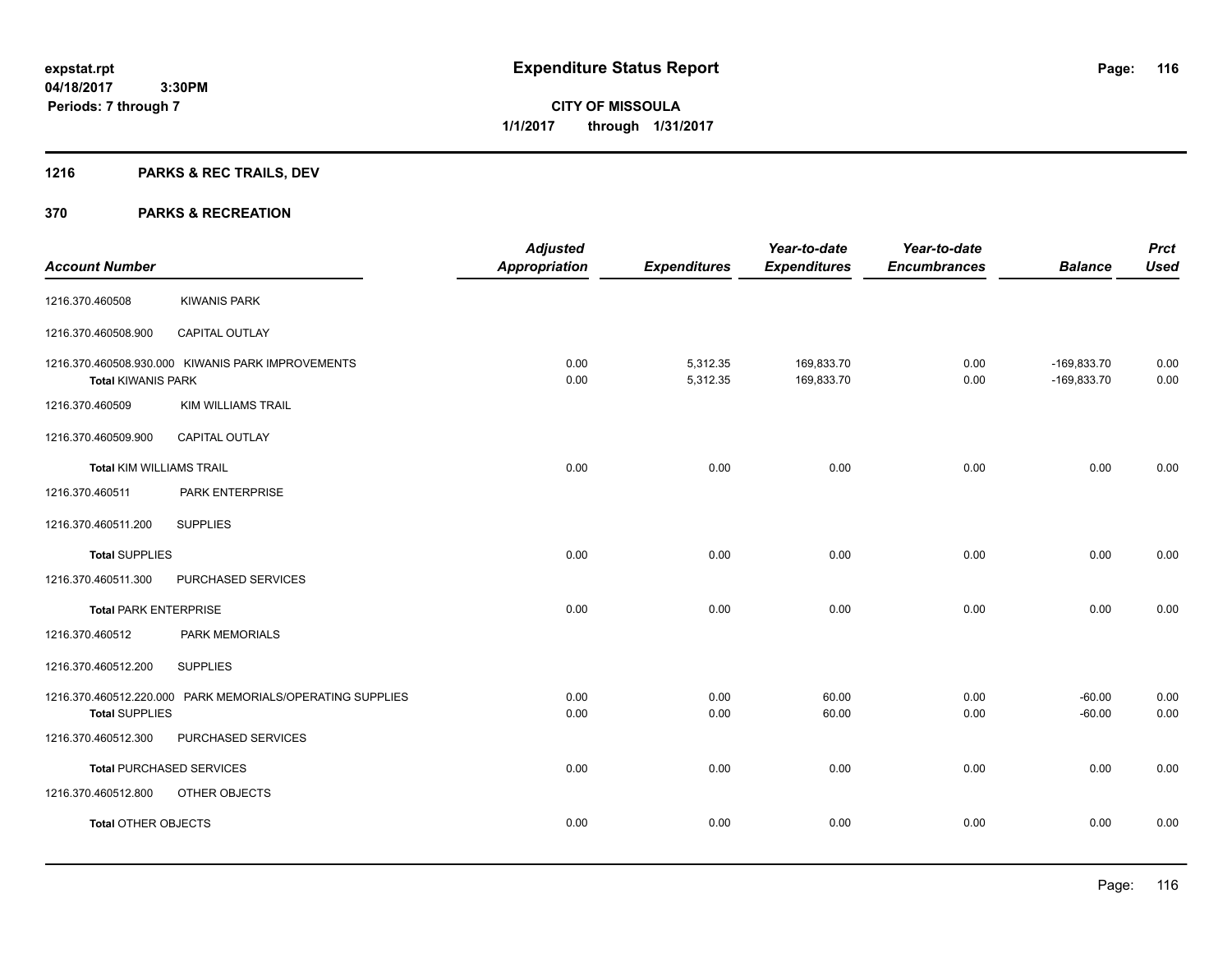# **1216 PARKS & REC TRAILS, DEV**

| <b>Account Number</b>        |                                                           | <b>Adjusted</b><br><b>Appropriation</b> | <b>Expenditures</b>  | Year-to-date<br><b>Expenditures</b> | Year-to-date<br><b>Encumbrances</b> | <b>Balance</b>                 | <b>Prct</b><br><b>Used</b> |
|------------------------------|-----------------------------------------------------------|-----------------------------------------|----------------------|-------------------------------------|-------------------------------------|--------------------------------|----------------------------|
| 1216.370.460508              | <b>KIWANIS PARK</b>                                       |                                         |                      |                                     |                                     |                                |                            |
| 1216.370.460508.900          | CAPITAL OUTLAY                                            |                                         |                      |                                     |                                     |                                |                            |
| <b>Total KIWANIS PARK</b>    | 1216.370.460508.930.000 KIWANIS PARK IMPROVEMENTS         | 0.00<br>0.00                            | 5,312.35<br>5,312.35 | 169,833.70<br>169,833.70            | 0.00<br>0.00                        | $-169,833.70$<br>$-169,833.70$ | 0.00<br>0.00               |
| 1216.370.460509              | <b>KIM WILLIAMS TRAIL</b>                                 |                                         |                      |                                     |                                     |                                |                            |
| 1216.370.460509.900          | <b>CAPITAL OUTLAY</b>                                     |                                         |                      |                                     |                                     |                                |                            |
| Total KIM WILLIAMS TRAIL     |                                                           | 0.00                                    | 0.00                 | 0.00                                | 0.00                                | 0.00                           | 0.00                       |
| 1216.370.460511              | PARK ENTERPRISE                                           |                                         |                      |                                     |                                     |                                |                            |
| 1216.370.460511.200          | <b>SUPPLIES</b>                                           |                                         |                      |                                     |                                     |                                |                            |
| <b>Total SUPPLIES</b>        |                                                           | 0.00                                    | 0.00                 | 0.00                                | 0.00                                | 0.00                           | 0.00                       |
| 1216.370.460511.300          | PURCHASED SERVICES                                        |                                         |                      |                                     |                                     |                                |                            |
| <b>Total PARK ENTERPRISE</b> |                                                           | 0.00                                    | 0.00                 | 0.00                                | 0.00                                | 0.00                           | 0.00                       |
| 1216.370.460512              | PARK MEMORIALS                                            |                                         |                      |                                     |                                     |                                |                            |
| 1216.370.460512.200          | <b>SUPPLIES</b>                                           |                                         |                      |                                     |                                     |                                |                            |
| <b>Total SUPPLIES</b>        | 1216.370.460512.220.000 PARK MEMORIALS/OPERATING SUPPLIES | 0.00<br>0.00                            | 0.00<br>0.00         | 60.00<br>60.00                      | 0.00<br>0.00                        | $-60.00$<br>$-60.00$           | 0.00<br>0.00               |
| 1216.370.460512.300          | PURCHASED SERVICES                                        |                                         |                      |                                     |                                     |                                |                            |
|                              | <b>Total PURCHASED SERVICES</b>                           | 0.00                                    | 0.00                 | 0.00                                | 0.00                                | 0.00                           | 0.00                       |
| 1216.370.460512.800          | OTHER OBJECTS                                             |                                         |                      |                                     |                                     |                                |                            |
| <b>Total OTHER OBJECTS</b>   |                                                           | 0.00                                    | 0.00                 | 0.00                                | 0.00                                | 0.00                           | 0.00                       |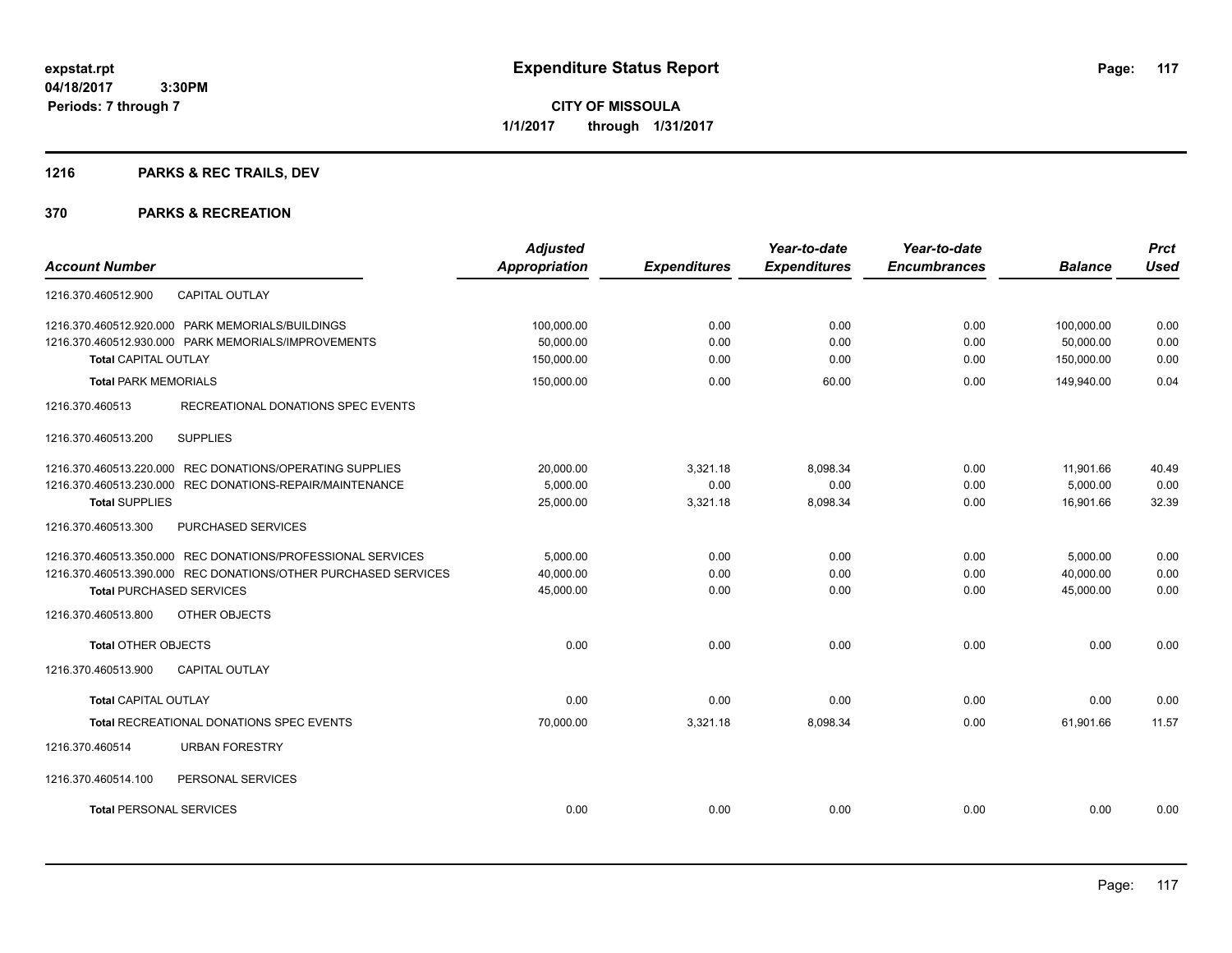# **1216 PARKS & REC TRAILS, DEV**

|                                                                | <b>Adjusted</b>      |                     | Year-to-date        | Year-to-date        |                | <b>Prct</b> |
|----------------------------------------------------------------|----------------------|---------------------|---------------------|---------------------|----------------|-------------|
| <b>Account Number</b>                                          | <b>Appropriation</b> | <b>Expenditures</b> | <b>Expenditures</b> | <b>Encumbrances</b> | <b>Balance</b> | <b>Used</b> |
| <b>CAPITAL OUTLAY</b><br>1216.370.460512.900                   |                      |                     |                     |                     |                |             |
| 1216.370.460512.920.000 PARK MEMORIALS/BUILDINGS               | 100,000.00           | 0.00                | 0.00                | 0.00                | 100,000.00     | 0.00        |
| 1216.370.460512.930.000 PARK MEMORIALS/IMPROVEMENTS            | 50,000.00            | 0.00                | 0.00                | 0.00                | 50,000.00      | 0.00        |
| <b>Total CAPITAL OUTLAY</b>                                    | 150,000.00           | 0.00                | 0.00                | 0.00                | 150,000.00     | 0.00        |
| <b>Total PARK MEMORIALS</b>                                    | 150,000.00           | 0.00                | 60.00               | 0.00                | 149,940.00     | 0.04        |
| RECREATIONAL DONATIONS SPEC EVENTS<br>1216.370.460513          |                      |                     |                     |                     |                |             |
| 1216.370.460513.200<br><b>SUPPLIES</b>                         |                      |                     |                     |                     |                |             |
| 1216.370.460513.220.000 REC DONATIONS/OPERATING SUPPLIES       | 20,000.00            | 3,321.18            | 8,098.34            | 0.00                | 11,901.66      | 40.49       |
| 1216.370.460513.230.000 REC DONATIONS-REPAIR/MAINTENANCE       | 5,000.00             | 0.00                | 0.00                | 0.00                | 5,000.00       | 0.00        |
| <b>Total SUPPLIES</b>                                          | 25,000.00            | 3,321.18            | 8,098.34            | 0.00                | 16,901.66      | 32.39       |
| 1216.370.460513.300<br>PURCHASED SERVICES                      |                      |                     |                     |                     |                |             |
| 1216.370.460513.350.000 REC DONATIONS/PROFESSIONAL SERVICES    | 5,000.00             | 0.00                | 0.00                | 0.00                | 5,000.00       | 0.00        |
| 1216.370.460513.390.000 REC DONATIONS/OTHER PURCHASED SERVICES | 40.000.00            | 0.00                | 0.00                | 0.00                | 40.000.00      | 0.00        |
| <b>Total PURCHASED SERVICES</b>                                | 45,000.00            | 0.00                | 0.00                | 0.00                | 45,000.00      | 0.00        |
| OTHER OBJECTS<br>1216.370.460513.800                           |                      |                     |                     |                     |                |             |
| <b>Total OTHER OBJECTS</b>                                     | 0.00                 | 0.00                | 0.00                | 0.00                | 0.00           | 0.00        |
| CAPITAL OUTLAY<br>1216.370.460513.900                          |                      |                     |                     |                     |                |             |
| <b>Total CAPITAL OUTLAY</b>                                    | 0.00                 | 0.00                | 0.00                | 0.00                | 0.00           | 0.00        |
| Total RECREATIONAL DONATIONS SPEC EVENTS                       | 70,000.00            | 3,321.18            | 8,098.34            | 0.00                | 61,901.66      | 11.57       |
| 1216.370.460514<br><b>URBAN FORESTRY</b>                       |                      |                     |                     |                     |                |             |
| 1216.370.460514.100<br>PERSONAL SERVICES                       |                      |                     |                     |                     |                |             |
| <b>Total PERSONAL SERVICES</b>                                 | 0.00                 | 0.00                | 0.00                | 0.00                | 0.00           | 0.00        |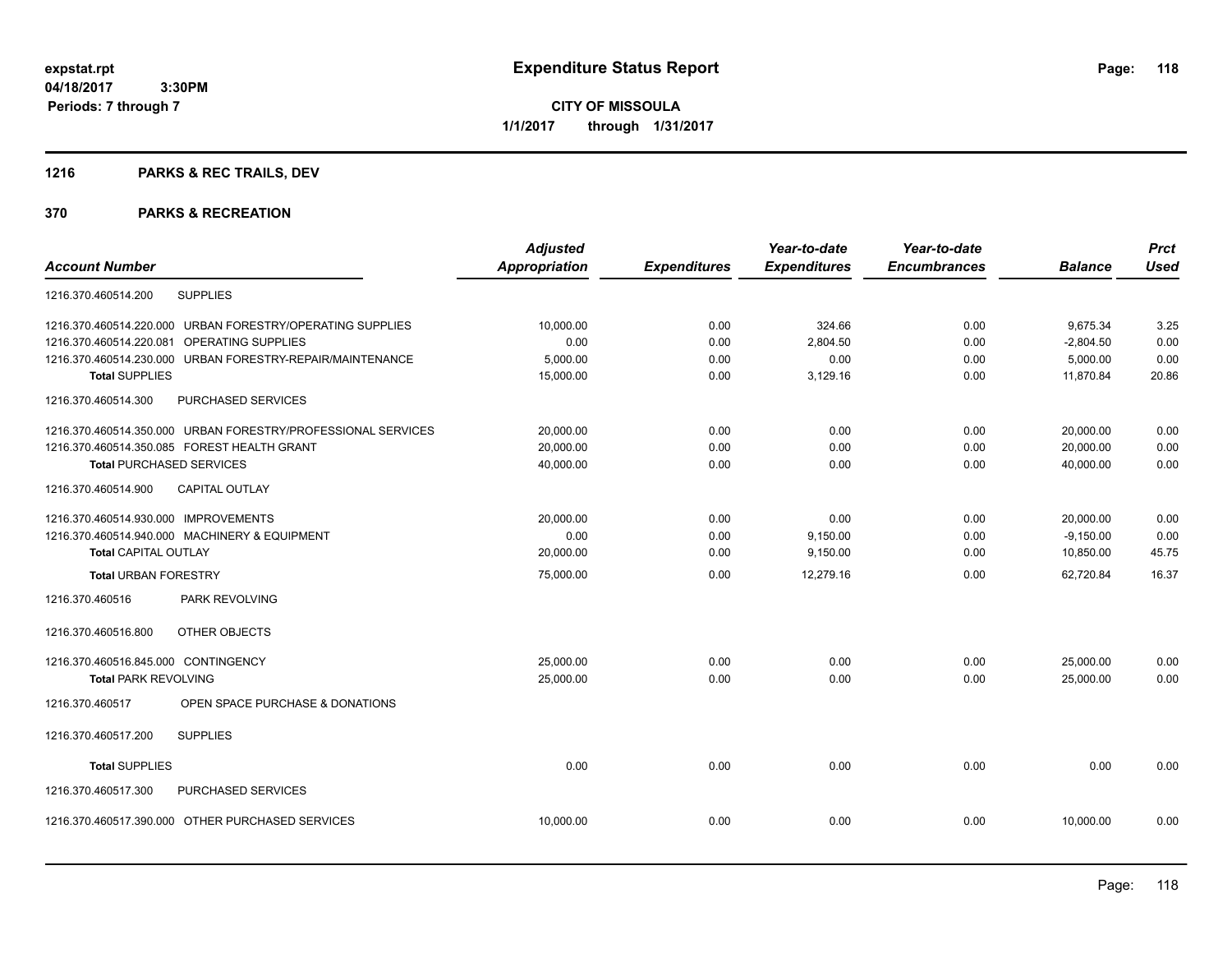**CITY OF MISSOULA 1/1/2017 through 1/31/2017**

# **1216 PARKS & REC TRAILS, DEV**

|                                                              |                                   | <b>Adjusted</b>      |                     | Year-to-date        | Year-to-date        |                | <b>Prct</b> |
|--------------------------------------------------------------|-----------------------------------|----------------------|---------------------|---------------------|---------------------|----------------|-------------|
| <b>Account Number</b>                                        |                                   | <b>Appropriation</b> | <b>Expenditures</b> | <b>Expenditures</b> | <b>Encumbrances</b> | <b>Balance</b> | <b>Used</b> |
| <b>SUPPLIES</b><br>1216.370.460514.200                       |                                   |                      |                     |                     |                     |                |             |
| 1216.370.460514.220.000 URBAN FORESTRY/OPERATING SUPPLIES    |                                   | 10,000.00            | 0.00                | 324.66              | 0.00                | 9,675.34       | 3.25        |
| OPERATING SUPPLIES<br>1216.370.460514.220.081                |                                   | 0.00                 | 0.00                | 2,804.50            | 0.00                | $-2,804.50$    | 0.00        |
| 1216.370.460514.230.000                                      | URBAN FORESTRY-REPAIR/MAINTENANCE | 5,000.00             | 0.00                | 0.00                | 0.00                | 5,000.00       | 0.00        |
| <b>Total SUPPLIES</b>                                        |                                   | 15,000.00            | 0.00                | 3,129.16            | 0.00                | 11,870.84      | 20.86       |
| 1216.370.460514.300<br>PURCHASED SERVICES                    |                                   |                      |                     |                     |                     |                |             |
| 1216.370.460514.350.000 URBAN FORESTRY/PROFESSIONAL SERVICES |                                   | 20,000.00            | 0.00                | 0.00                | 0.00                | 20,000.00      | 0.00        |
| 1216.370.460514.350.085 FOREST HEALTH GRANT                  |                                   | 20,000.00            | 0.00                | 0.00                | 0.00                | 20,000.00      | 0.00        |
| <b>Total PURCHASED SERVICES</b>                              |                                   | 40,000.00            | 0.00                | 0.00                | 0.00                | 40,000.00      | 0.00        |
| 1216.370.460514.900<br><b>CAPITAL OUTLAY</b>                 |                                   |                      |                     |                     |                     |                |             |
| 1216.370.460514.930.000 IMPROVEMENTS                         |                                   | 20,000.00            | 0.00                | 0.00                | 0.00                | 20,000.00      | 0.00        |
| 1216.370.460514.940.000 MACHINERY & EQUIPMENT                |                                   | 0.00                 | 0.00                | 9,150.00            | 0.00                | $-9,150.00$    | 0.00        |
| <b>Total CAPITAL OUTLAY</b>                                  |                                   | 20,000.00            | 0.00                | 9,150.00            | 0.00                | 10,850.00      | 45.75       |
| <b>Total URBAN FORESTRY</b>                                  |                                   | 75,000.00            | 0.00                | 12,279.16           | 0.00                | 62.720.84      | 16.37       |
| PARK REVOLVING<br>1216.370.460516                            |                                   |                      |                     |                     |                     |                |             |
| OTHER OBJECTS<br>1216.370.460516.800                         |                                   |                      |                     |                     |                     |                |             |
| 1216.370.460516.845.000 CONTINGENCY                          |                                   | 25,000.00            | 0.00                | 0.00                | 0.00                | 25,000.00      | 0.00        |
| <b>Total PARK REVOLVING</b>                                  |                                   | 25,000.00            | 0.00                | 0.00                | 0.00                | 25,000.00      | 0.00        |
| 1216.370.460517                                              | OPEN SPACE PURCHASE & DONATIONS   |                      |                     |                     |                     |                |             |
| <b>SUPPLIES</b><br>1216.370.460517.200                       |                                   |                      |                     |                     |                     |                |             |
| <b>Total SUPPLIES</b>                                        |                                   | 0.00                 | 0.00                | 0.00                | 0.00                | 0.00           | 0.00        |
| PURCHASED SERVICES<br>1216.370.460517.300                    |                                   |                      |                     |                     |                     |                |             |
| 1216.370.460517.390.000 OTHER PURCHASED SERVICES             |                                   | 10,000.00            | 0.00                | 0.00                | 0.00                | 10,000.00      | 0.00        |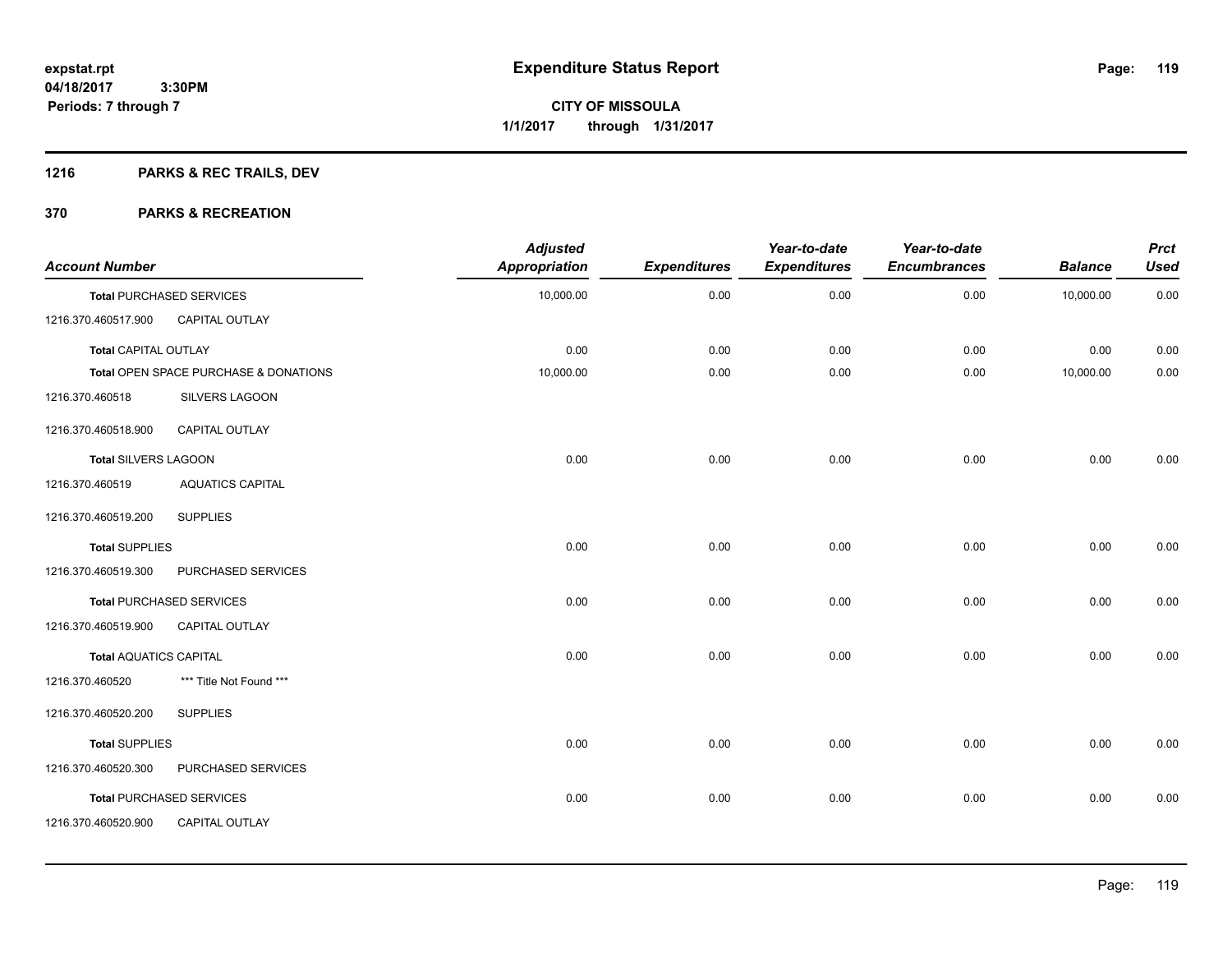# **1216 PARKS & REC TRAILS, DEV**

| <b>Account Number</b>         |                                       | <b>Adjusted</b><br><b>Appropriation</b> | <b>Expenditures</b> | Year-to-date<br><b>Expenditures</b> | Year-to-date<br><b>Encumbrances</b> | <b>Balance</b> | <b>Prct</b><br><b>Used</b> |
|-------------------------------|---------------------------------------|-----------------------------------------|---------------------|-------------------------------------|-------------------------------------|----------------|----------------------------|
|                               | <b>Total PURCHASED SERVICES</b>       | 10,000.00                               | 0.00                | 0.00                                | 0.00                                | 10,000.00      | 0.00                       |
| 1216.370.460517.900           | <b>CAPITAL OUTLAY</b>                 |                                         |                     |                                     |                                     |                |                            |
| <b>Total CAPITAL OUTLAY</b>   |                                       | 0.00                                    | 0.00                | 0.00                                | 0.00                                | 0.00           | 0.00                       |
|                               | Total OPEN SPACE PURCHASE & DONATIONS | 10,000.00                               | 0.00                | 0.00                                | 0.00                                | 10,000.00      | 0.00                       |
| 1216.370.460518               | SILVERS LAGOON                        |                                         |                     |                                     |                                     |                |                            |
| 1216.370.460518.900           | <b>CAPITAL OUTLAY</b>                 |                                         |                     |                                     |                                     |                |                            |
| <b>Total SILVERS LAGOON</b>   |                                       | 0.00                                    | 0.00                | 0.00                                | 0.00                                | 0.00           | 0.00                       |
| 1216.370.460519               | <b>AQUATICS CAPITAL</b>               |                                         |                     |                                     |                                     |                |                            |
| 1216.370.460519.200           | <b>SUPPLIES</b>                       |                                         |                     |                                     |                                     |                |                            |
| <b>Total SUPPLIES</b>         |                                       | 0.00                                    | 0.00                | 0.00                                | 0.00                                | 0.00           | 0.00                       |
| 1216.370.460519.300           | PURCHASED SERVICES                    |                                         |                     |                                     |                                     |                |                            |
|                               | <b>Total PURCHASED SERVICES</b>       | 0.00                                    | 0.00                | 0.00                                | 0.00                                | 0.00           | 0.00                       |
| 1216.370.460519.900           | CAPITAL OUTLAY                        |                                         |                     |                                     |                                     |                |                            |
| <b>Total AQUATICS CAPITAL</b> |                                       | 0.00                                    | 0.00                | 0.00                                | 0.00                                | 0.00           | 0.00                       |
| 1216.370.460520               | *** Title Not Found ***               |                                         |                     |                                     |                                     |                |                            |
| 1216.370.460520.200           | <b>SUPPLIES</b>                       |                                         |                     |                                     |                                     |                |                            |
| <b>Total SUPPLIES</b>         |                                       | 0.00                                    | 0.00                | 0.00                                | 0.00                                | 0.00           | 0.00                       |
| 1216.370.460520.300           | PURCHASED SERVICES                    |                                         |                     |                                     |                                     |                |                            |
|                               | <b>Total PURCHASED SERVICES</b>       | 0.00                                    | 0.00                | 0.00                                | 0.00                                | 0.00           | 0.00                       |
| 1216.370.460520.900           | CAPITAL OUTLAY                        |                                         |                     |                                     |                                     |                |                            |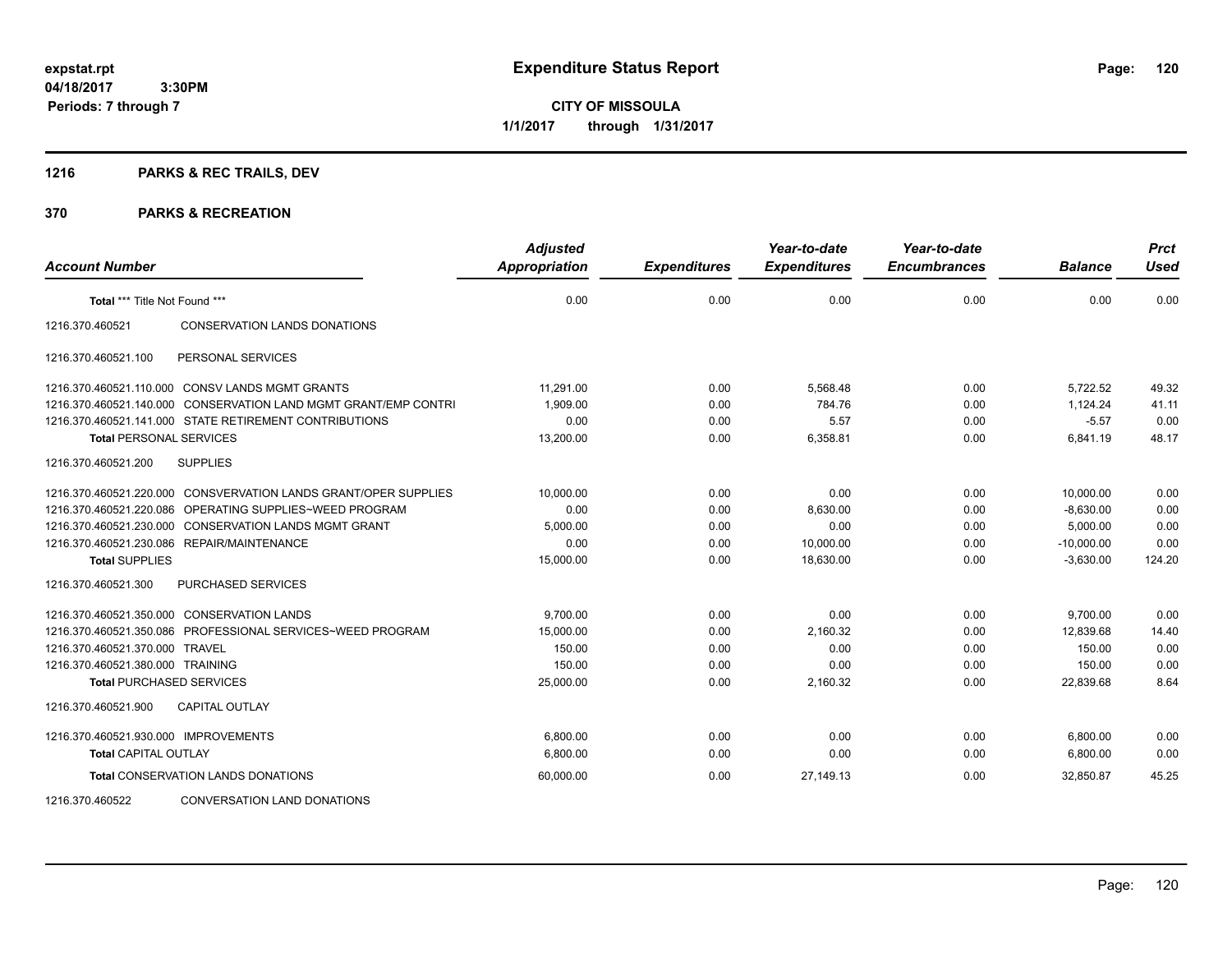**CITY OF MISSOULA 1/1/2017 through 1/31/2017**

# **1216 PARKS & REC TRAILS, DEV**

| <b>Account Number</b>                |                                                                 | <b>Adjusted</b><br><b>Appropriation</b> | <b>Expenditures</b> | Year-to-date<br><b>Expenditures</b> | Year-to-date<br><b>Encumbrances</b> | <b>Balance</b> | <b>Prct</b><br><b>Used</b> |
|--------------------------------------|-----------------------------------------------------------------|-----------------------------------------|---------------------|-------------------------------------|-------------------------------------|----------------|----------------------------|
| Total *** Title Not Found ***        |                                                                 | 0.00                                    | 0.00                | 0.00                                | 0.00                                | 0.00           | 0.00                       |
| 1216.370.460521                      | <b>CONSERVATION LANDS DONATIONS</b>                             |                                         |                     |                                     |                                     |                |                            |
| 1216.370.460521.100                  | PERSONAL SERVICES                                               |                                         |                     |                                     |                                     |                |                            |
|                                      | 1216.370.460521.110.000 CONSV LANDS MGMT GRANTS                 | 11,291.00                               | 0.00                | 5,568.48                            | 0.00                                | 5,722.52       | 49.32                      |
|                                      | 1216.370.460521.140.000 CONSERVATION LAND MGMT GRANT/EMP CONTRI | 1,909.00                                | 0.00                | 784.76                              | 0.00                                | 1,124.24       | 41.11                      |
|                                      | 1216.370.460521.141.000 STATE RETIREMENT CONTRIBUTIONS          | 0.00                                    | 0.00                | 5.57                                | 0.00                                | $-5.57$        | 0.00                       |
| <b>Total PERSONAL SERVICES</b>       |                                                                 | 13,200.00                               | 0.00                | 6,358.81                            | 0.00                                | 6,841.19       | 48.17                      |
| 1216.370.460521.200                  | <b>SUPPLIES</b>                                                 |                                         |                     |                                     |                                     |                |                            |
|                                      | 1216.370.460521.220.000 CONSVERVATION LANDS GRANT/OPER SUPPLIES | 10.000.00                               | 0.00                | 0.00                                | 0.00                                | 10.000.00      | 0.00                       |
| 1216.370.460521.220.086              | OPERATING SUPPLIES~WEED PROGRAM                                 | 0.00                                    | 0.00                | 8,630.00                            | 0.00                                | $-8,630.00$    | 0.00                       |
|                                      | 1216.370.460521.230.000 CONSERVATION LANDS MGMT GRANT           | 5,000.00                                | 0.00                | 0.00                                | 0.00                                | 5,000.00       | 0.00                       |
|                                      | 1216.370.460521.230.086 REPAIR/MAINTENANCE                      | 0.00                                    | 0.00                | 10,000.00                           | 0.00                                | $-10,000.00$   | 0.00                       |
| <b>Total SUPPLIES</b>                |                                                                 | 15,000.00                               | 0.00                | 18,630.00                           | 0.00                                | $-3,630.00$    | 124.20                     |
| 1216.370.460521.300                  | PURCHASED SERVICES                                              |                                         |                     |                                     |                                     |                |                            |
|                                      | 1216.370.460521.350.000 CONSERVATION LANDS                      | 9,700.00                                | 0.00                | 0.00                                | 0.00                                | 9,700.00       | 0.00                       |
|                                      | 1216.370.460521.350.086 PROFESSIONAL SERVICES~WEED PROGRAM      | 15,000.00                               | 0.00                | 2,160.32                            | 0.00                                | 12,839.68      | 14.40                      |
| 1216.370.460521.370.000 TRAVEL       |                                                                 | 150.00                                  | 0.00                | 0.00                                | 0.00                                | 150.00         | 0.00                       |
| 1216.370.460521.380.000 TRAINING     |                                                                 | 150.00                                  | 0.00                | 0.00                                | 0.00                                | 150.00         | 0.00                       |
| <b>Total PURCHASED SERVICES</b>      |                                                                 | 25,000.00                               | 0.00                | 2,160.32                            | 0.00                                | 22,839.68      | 8.64                       |
| 1216.370.460521.900                  | <b>CAPITAL OUTLAY</b>                                           |                                         |                     |                                     |                                     |                |                            |
| 1216.370.460521.930.000 IMPROVEMENTS |                                                                 | 6,800.00                                | 0.00                | 0.00                                | 0.00                                | 6,800.00       | 0.00                       |
| <b>Total CAPITAL OUTLAY</b>          |                                                                 | 6,800.00                                | 0.00                | 0.00                                | 0.00                                | 6,800.00       | 0.00                       |
|                                      | <b>Total CONSERVATION LANDS DONATIONS</b>                       | 60,000.00                               | 0.00                | 27.149.13                           | 0.00                                | 32.850.87      | 45.25                      |
| 1216.370.460522                      | <b>CONVERSATION LAND DONATIONS</b>                              |                                         |                     |                                     |                                     |                |                            |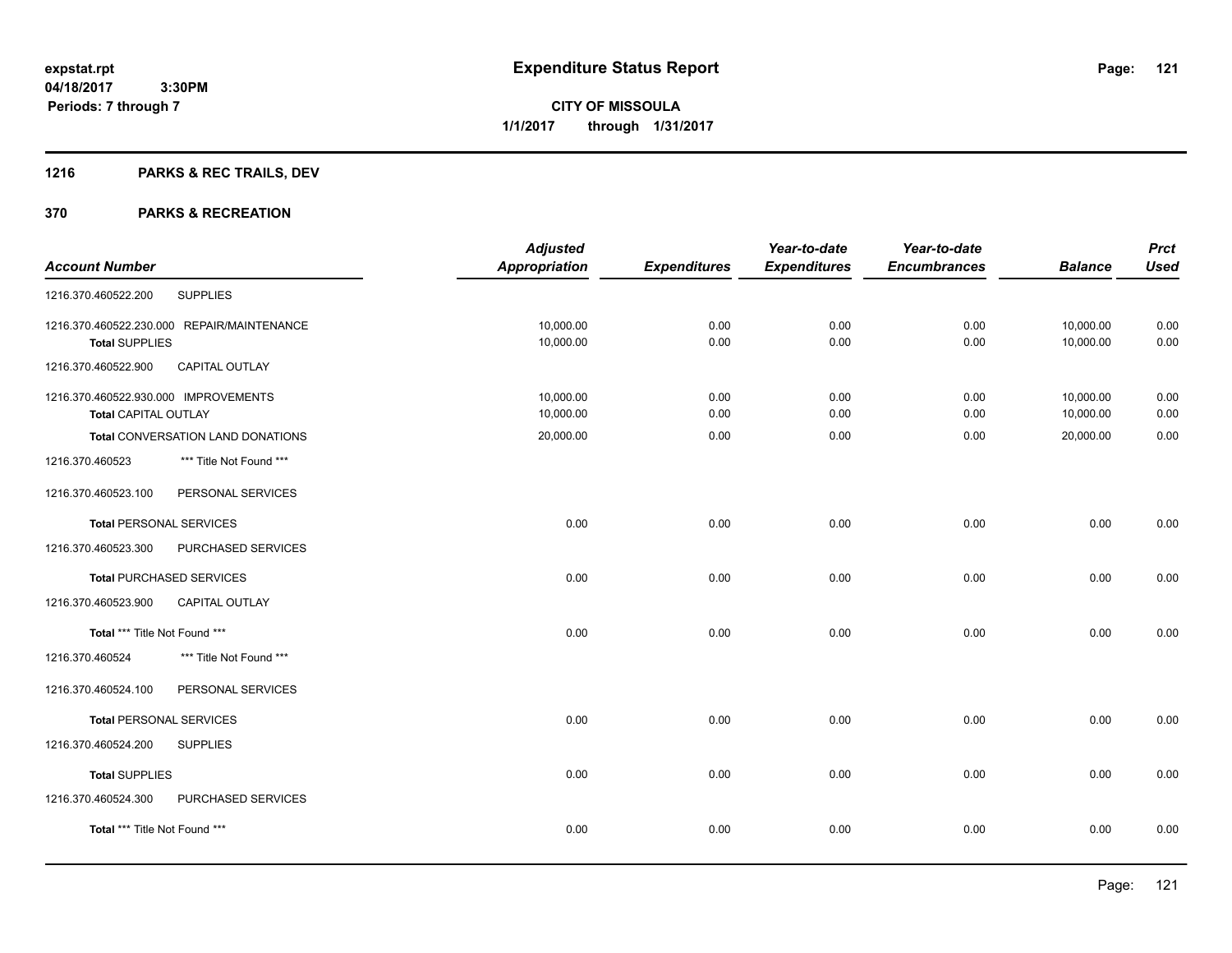# **1216 PARKS & REC TRAILS, DEV**

|                                              | <b>Adjusted</b>      |                     | Year-to-date        | Year-to-date        |                | <b>Prct</b> |
|----------------------------------------------|----------------------|---------------------|---------------------|---------------------|----------------|-------------|
| <b>Account Number</b>                        | <b>Appropriation</b> | <b>Expenditures</b> | <b>Expenditures</b> | <b>Encumbrances</b> | <b>Balance</b> | <b>Used</b> |
| <b>SUPPLIES</b><br>1216.370.460522.200       |                      |                     |                     |                     |                |             |
| 1216.370.460522.230.000 REPAIR/MAINTENANCE   | 10,000.00            | 0.00                | 0.00                | 0.00                | 10,000.00      | 0.00        |
| <b>Total SUPPLIES</b>                        | 10,000.00            | 0.00                | 0.00                | 0.00                | 10,000.00      | 0.00        |
| 1216.370.460522.900<br>CAPITAL OUTLAY        |                      |                     |                     |                     |                |             |
| 1216.370.460522.930.000 IMPROVEMENTS         | 10,000.00            | 0.00                | 0.00                | 0.00                | 10,000.00      | 0.00        |
| <b>Total CAPITAL OUTLAY</b>                  | 10,000.00            | 0.00                | 0.00                | 0.00                | 10,000.00      | 0.00        |
| Total CONVERSATION LAND DONATIONS            | 20,000.00            | 0.00                | 0.00                | 0.00                | 20,000.00      | 0.00        |
| *** Title Not Found ***<br>1216.370.460523   |                      |                     |                     |                     |                |             |
| 1216.370.460523.100<br>PERSONAL SERVICES     |                      |                     |                     |                     |                |             |
| <b>Total PERSONAL SERVICES</b>               | 0.00                 | 0.00                | 0.00                | 0.00                | 0.00           | 0.00        |
| 1216.370.460523.300<br>PURCHASED SERVICES    |                      |                     |                     |                     |                |             |
| <b>Total PURCHASED SERVICES</b>              | 0.00                 | 0.00                | 0.00                | 0.00                | 0.00           | 0.00        |
| 1216.370.460523.900<br><b>CAPITAL OUTLAY</b> |                      |                     |                     |                     |                |             |
| Total *** Title Not Found ***                | 0.00                 | 0.00                | 0.00                | 0.00                | 0.00           | 0.00        |
| 1216.370.460524<br>*** Title Not Found ***   |                      |                     |                     |                     |                |             |
| 1216.370.460524.100<br>PERSONAL SERVICES     |                      |                     |                     |                     |                |             |
| <b>Total PERSONAL SERVICES</b>               | 0.00                 | 0.00                | 0.00                | 0.00                | 0.00           | 0.00        |
| 1216.370.460524.200<br><b>SUPPLIES</b>       |                      |                     |                     |                     |                |             |
| <b>Total SUPPLIES</b>                        | 0.00                 | 0.00                | 0.00                | 0.00                | 0.00           | 0.00        |
| 1216.370.460524.300<br>PURCHASED SERVICES    |                      |                     |                     |                     |                |             |
| Total *** Title Not Found ***                | 0.00                 | 0.00                | 0.00                | 0.00                | 0.00           | 0.00        |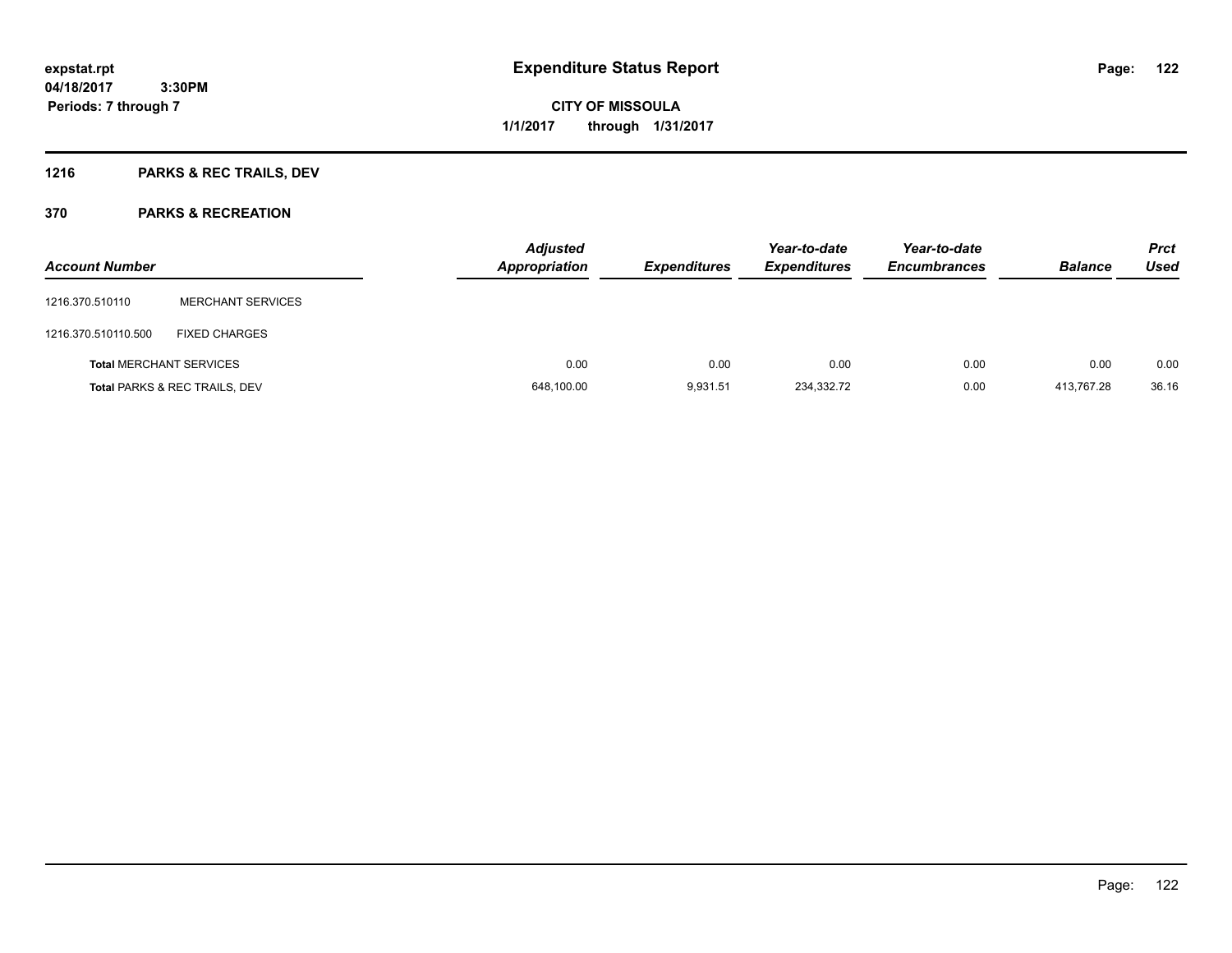**CITY OF MISSOULA 1/1/2017 through 1/31/2017**

# **1216 PARKS & REC TRAILS, DEV**

| <b>Account Number</b>          |                                          | <b>Adjusted</b><br>Appropriation | <b>Expenditures</b> | Year-to-date<br><b>Expenditures</b> | Year-to-date<br><b>Encumbrances</b> | <b>Balance</b> | <b>Prct</b><br><b>Used</b> |
|--------------------------------|------------------------------------------|----------------------------------|---------------------|-------------------------------------|-------------------------------------|----------------|----------------------------|
| 1216.370.510110                | <b>MERCHANT SERVICES</b>                 |                                  |                     |                                     |                                     |                |                            |
| 1216.370.510110.500            | <b>FIXED CHARGES</b>                     |                                  |                     |                                     |                                     |                |                            |
| <b>Total MERCHANT SERVICES</b> |                                          | 0.00                             | 0.00                | 0.00                                | 0.00                                | 0.00           | 0.00                       |
|                                | <b>Total PARKS &amp; REC TRAILS, DEV</b> | 648,100.00                       | 9,931.51            | 234,332.72                          | 0.00                                | 413.767.28     | 36.16                      |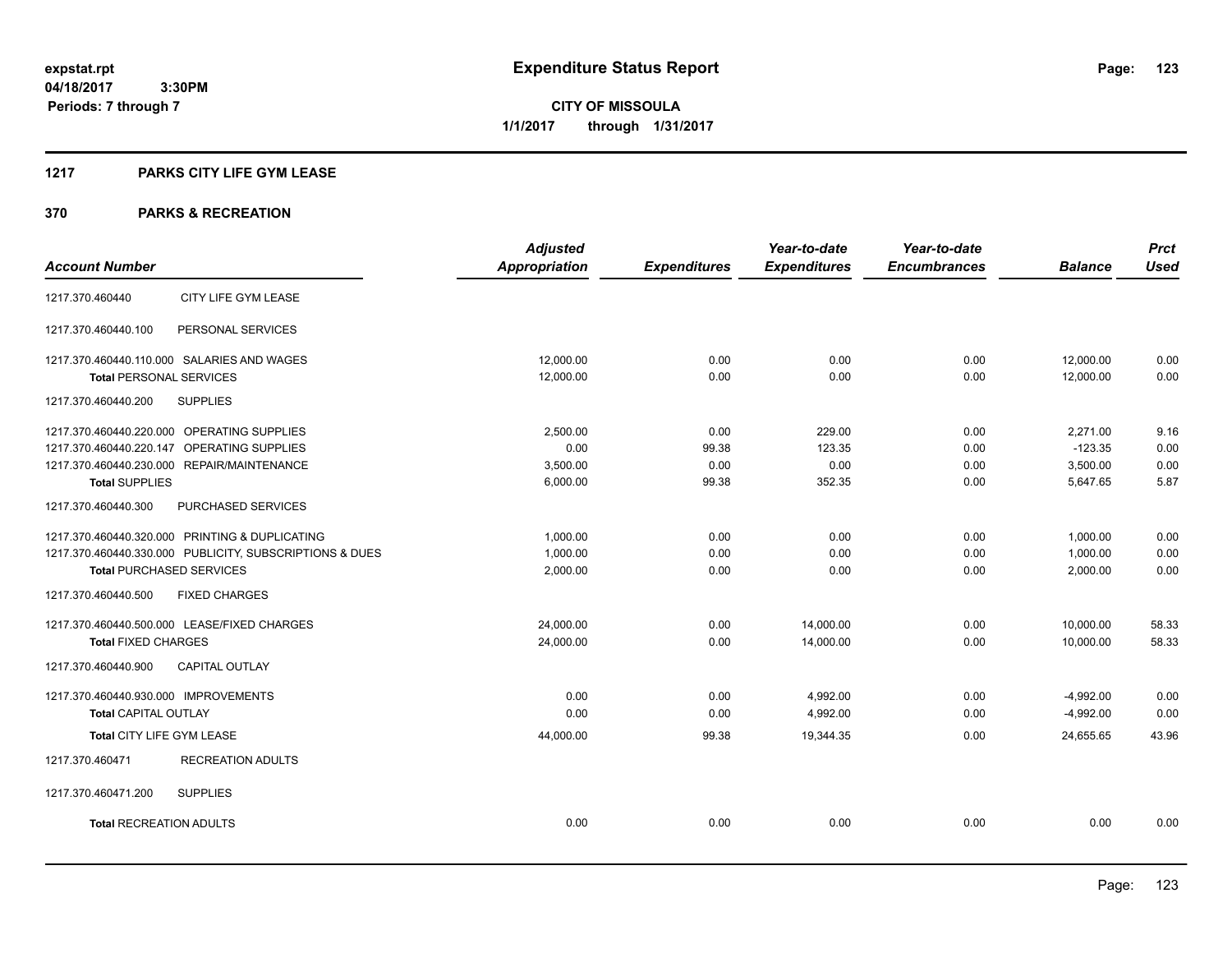**123**

**04/18/2017 3:30PM Periods: 7 through 7**

**CITY OF MISSOULA 1/1/2017 through 1/31/2017**

#### **1217 PARKS CITY LIFE GYM LEASE**

|                                                         | <b>Adjusted</b>      |                     | Year-to-date        | Year-to-date        |                | <b>Prct</b> |
|---------------------------------------------------------|----------------------|---------------------|---------------------|---------------------|----------------|-------------|
| <b>Account Number</b>                                   | <b>Appropriation</b> | <b>Expenditures</b> | <b>Expenditures</b> | <b>Encumbrances</b> | <b>Balance</b> | <b>Used</b> |
| CITY LIFE GYM LEASE<br>1217.370.460440                  |                      |                     |                     |                     |                |             |
| 1217.370.460440.100<br>PERSONAL SERVICES                |                      |                     |                     |                     |                |             |
| 1217.370.460440.110.000 SALARIES AND WAGES              | 12,000.00            | 0.00                | 0.00                | 0.00                | 12,000.00      | 0.00        |
| <b>Total PERSONAL SERVICES</b>                          | 12,000.00            | 0.00                | 0.00                | 0.00                | 12,000.00      | 0.00        |
| <b>SUPPLIES</b><br>1217.370.460440.200                  |                      |                     |                     |                     |                |             |
| 1217.370.460440.220.000 OPERATING SUPPLIES              | 2,500.00             | 0.00                | 229.00              | 0.00                | 2,271.00       | 9.16        |
| 1217.370.460440.220.147 OPERATING SUPPLIES              | 0.00                 | 99.38               | 123.35              | 0.00                | $-123.35$      | 0.00        |
| 1217.370.460440.230.000 REPAIR/MAINTENANCE              | 3,500.00             | 0.00                | 0.00                | 0.00                | 3,500.00       | 0.00        |
| <b>Total SUPPLIES</b>                                   | 6,000.00             | 99.38               | 352.35              | 0.00                | 5,647.65       | 5.87        |
| 1217.370.460440.300<br>PURCHASED SERVICES               |                      |                     |                     |                     |                |             |
| 1217.370.460440.320.000 PRINTING & DUPLICATING          | 1,000.00             | 0.00                | 0.00                | 0.00                | 1,000.00       | 0.00        |
| 1217.370.460440.330.000 PUBLICITY, SUBSCRIPTIONS & DUES | 1,000.00             | 0.00                | 0.00                | 0.00                | 1,000.00       | 0.00        |
| <b>Total PURCHASED SERVICES</b>                         | 2,000.00             | 0.00                | 0.00                | 0.00                | 2,000.00       | 0.00        |
| 1217.370.460440.500<br><b>FIXED CHARGES</b>             |                      |                     |                     |                     |                |             |
| 1217.370.460440.500.000 LEASE/FIXED CHARGES             | 24,000.00            | 0.00                | 14,000.00           | 0.00                | 10,000.00      | 58.33       |
| <b>Total FIXED CHARGES</b>                              | 24,000.00            | 0.00                | 14.000.00           | 0.00                | 10.000.00      | 58.33       |
| <b>CAPITAL OUTLAY</b><br>1217.370.460440.900            |                      |                     |                     |                     |                |             |
| 1217.370.460440.930.000 IMPROVEMENTS                    | 0.00                 | 0.00                | 4,992.00            | 0.00                | $-4,992.00$    | 0.00        |
| <b>Total CAPITAL OUTLAY</b>                             | 0.00                 | 0.00                | 4,992.00            | 0.00                | $-4,992.00$    | 0.00        |
| Total CITY LIFE GYM LEASE                               | 44,000.00            | 99.38               | 19,344.35           | 0.00                | 24,655.65      | 43.96       |
| <b>RECREATION ADULTS</b><br>1217.370.460471             |                      |                     |                     |                     |                |             |
| <b>SUPPLIES</b><br>1217.370.460471.200                  |                      |                     |                     |                     |                |             |
| <b>Total RECREATION ADULTS</b>                          | 0.00                 | 0.00                | 0.00                | 0.00                | 0.00           | 0.00        |
|                                                         |                      |                     |                     |                     |                |             |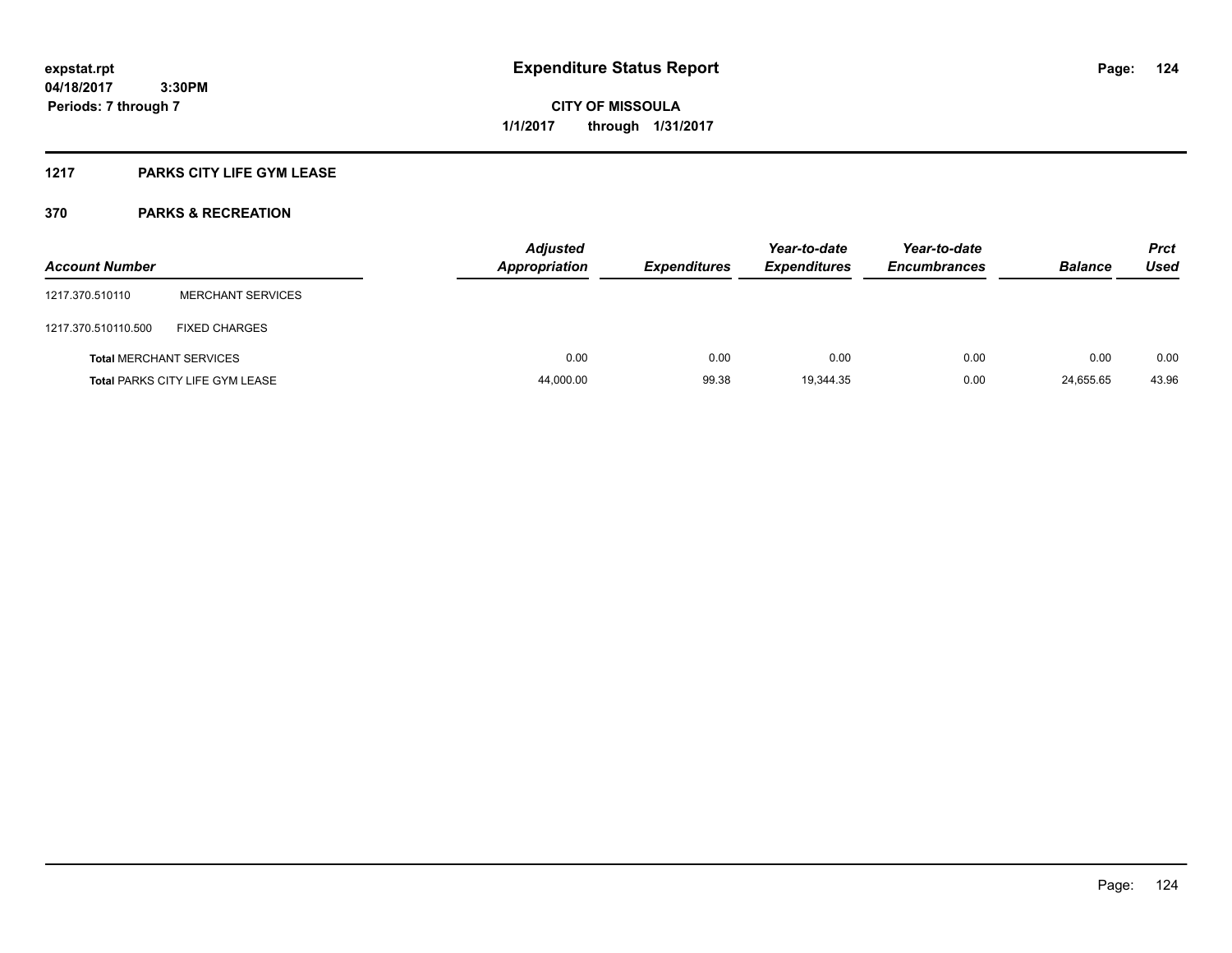## **1217 PARKS CITY LIFE GYM LEASE**

| <b>Account Number</b> |                                        | <b>Adjusted</b><br><b>Appropriation</b> | <b>Expenditures</b> | Year-to-date<br><b>Expenditures</b> | Year-to-date<br><b>Encumbrances</b> | <b>Balance</b> | <b>Prct</b><br><b>Used</b> |
|-----------------------|----------------------------------------|-----------------------------------------|---------------------|-------------------------------------|-------------------------------------|----------------|----------------------------|
| 1217.370.510110       | <b>MERCHANT SERVICES</b>               |                                         |                     |                                     |                                     |                |                            |
| 1217.370.510110.500   | <b>FIXED CHARGES</b>                   |                                         |                     |                                     |                                     |                |                            |
|                       | <b>Total MERCHANT SERVICES</b>         | 0.00                                    | 0.00                | 0.00                                | 0.00                                | 0.00           | 0.00                       |
|                       | <b>Total PARKS CITY LIFE GYM LEASE</b> | 44,000.00                               | 99.38               | 19,344.35                           | 0.00                                | 24,655.65      | 43.96                      |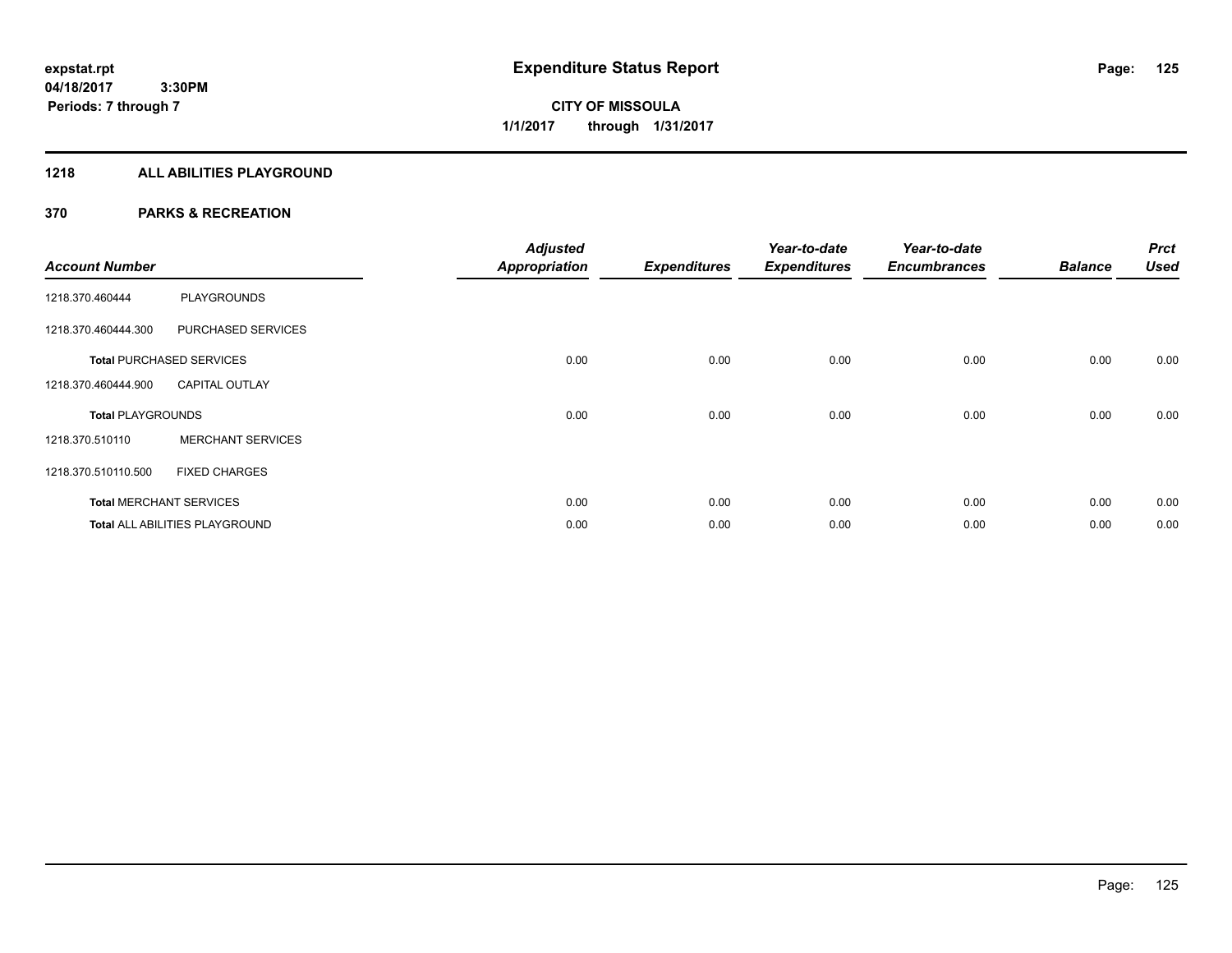## **1218 ALL ABILITIES PLAYGROUND**

| <b>Account Number</b>    |                                 | <b>Adjusted</b><br><b>Appropriation</b> | <b>Expenditures</b> | Year-to-date<br><b>Expenditures</b> | Year-to-date<br><b>Encumbrances</b> | <b>Balance</b> | <b>Prct</b><br><b>Used</b> |
|--------------------------|---------------------------------|-----------------------------------------|---------------------|-------------------------------------|-------------------------------------|----------------|----------------------------|
| 1218.370.460444          | <b>PLAYGROUNDS</b>              |                                         |                     |                                     |                                     |                |                            |
| 1218.370.460444.300      | PURCHASED SERVICES              |                                         |                     |                                     |                                     |                |                            |
|                          | <b>Total PURCHASED SERVICES</b> | 0.00                                    | 0.00                | 0.00                                | 0.00                                | 0.00           | 0.00                       |
| 1218.370.460444.900      | <b>CAPITAL OUTLAY</b>           |                                         |                     |                                     |                                     |                |                            |
| <b>Total PLAYGROUNDS</b> |                                 | 0.00                                    | 0.00                | 0.00                                | 0.00                                | 0.00           | 0.00                       |
| 1218.370.510110          | <b>MERCHANT SERVICES</b>        |                                         |                     |                                     |                                     |                |                            |
| 1218.370.510110.500      | <b>FIXED CHARGES</b>            |                                         |                     |                                     |                                     |                |                            |
|                          | <b>Total MERCHANT SERVICES</b>  | 0.00                                    | 0.00                | 0.00                                | 0.00                                | 0.00           | 0.00                       |
|                          | Total ALL ABILITIES PLAYGROUND  | 0.00                                    | 0.00                | 0.00                                | 0.00                                | 0.00           | 0.00                       |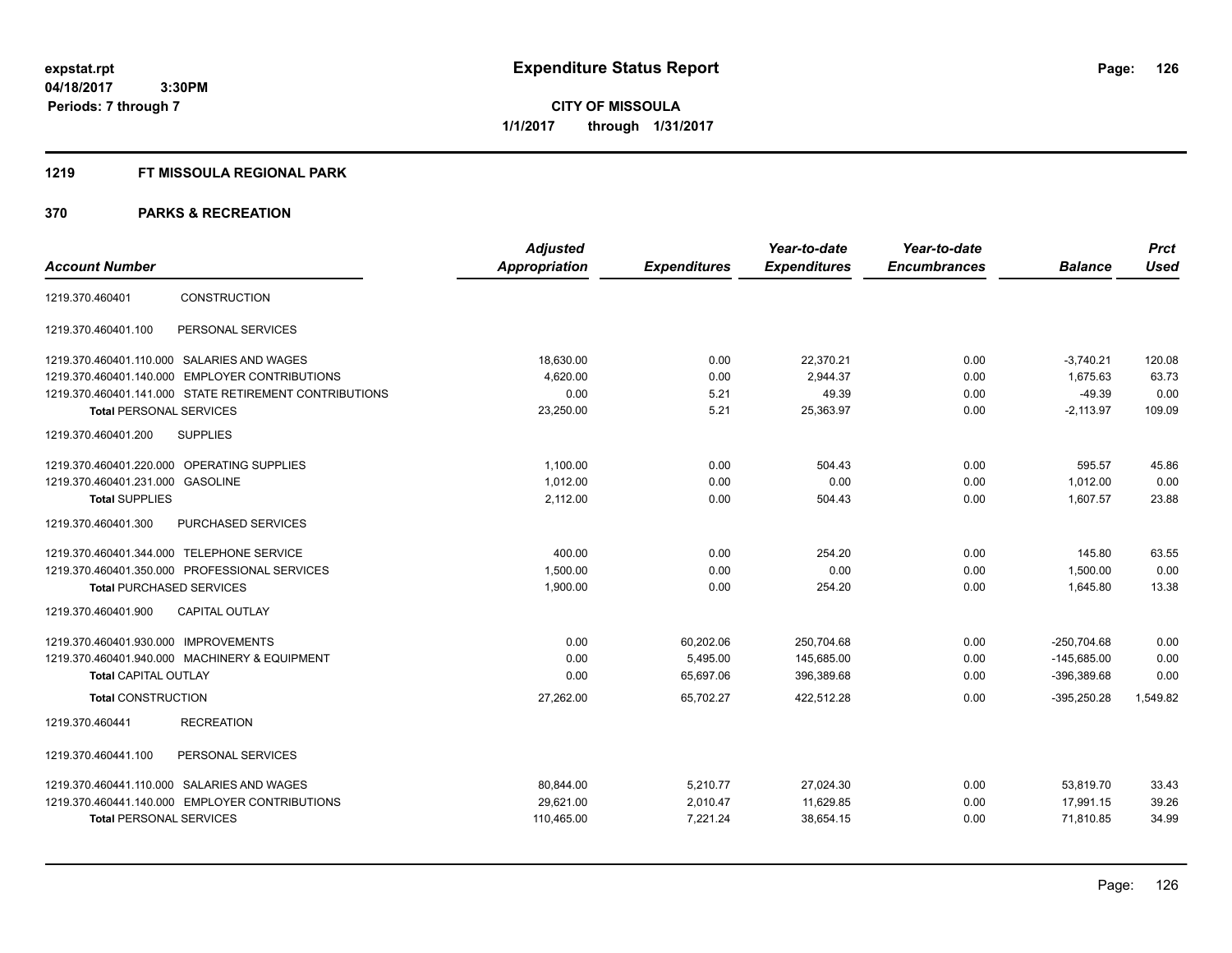## **1219 FT MISSOULA REGIONAL PARK**

|                                                        | <b>Adjusted</b> |                     | Year-to-date        | Year-to-date        |                | <b>Prct</b> |
|--------------------------------------------------------|-----------------|---------------------|---------------------|---------------------|----------------|-------------|
| <b>Account Number</b>                                  | Appropriation   | <b>Expenditures</b> | <b>Expenditures</b> | <b>Encumbrances</b> | <b>Balance</b> | <b>Used</b> |
| CONSTRUCTION<br>1219.370.460401                        |                 |                     |                     |                     |                |             |
| PERSONAL SERVICES<br>1219.370.460401.100               |                 |                     |                     |                     |                |             |
| 1219.370.460401.110.000 SALARIES AND WAGES             | 18,630.00       | 0.00                | 22,370.21           | 0.00                | $-3,740.21$    | 120.08      |
| 1219.370.460401.140.000 EMPLOYER CONTRIBUTIONS         | 4,620.00        | 0.00                | 2,944.37            | 0.00                | 1,675.63       | 63.73       |
| 1219.370.460401.141.000 STATE RETIREMENT CONTRIBUTIONS | 0.00            | 5.21                | 49.39               | 0.00                | $-49.39$       | 0.00        |
| <b>Total PERSONAL SERVICES</b>                         | 23,250.00       | 5.21                | 25,363.97           | 0.00                | $-2,113.97$    | 109.09      |
| <b>SUPPLIES</b><br>1219.370.460401.200                 |                 |                     |                     |                     |                |             |
| 1219.370.460401.220.000 OPERATING SUPPLIES             | 1,100.00        | 0.00                | 504.43              | 0.00                | 595.57         | 45.86       |
| 1219.370.460401.231.000<br><b>GASOLINE</b>             | 1.012.00        | 0.00                | 0.00                | 0.00                | 1.012.00       | 0.00        |
| <b>Total SUPPLIES</b>                                  | 2,112.00        | 0.00                | 504.43              | 0.00                | 1,607.57       | 23.88       |
| 1219.370.460401.300<br>PURCHASED SERVICES              |                 |                     |                     |                     |                |             |
| 1219.370.460401.344.000 TELEPHONE SERVICE              | 400.00          | 0.00                | 254.20              | 0.00                | 145.80         | 63.55       |
| 1219.370.460401.350.000 PROFESSIONAL SERVICES          | 1,500.00        | 0.00                | 0.00                | 0.00                | 1,500.00       | 0.00        |
| <b>Total PURCHASED SERVICES</b>                        | 1,900.00        | 0.00                | 254.20              | 0.00                | 1,645.80       | 13.38       |
| CAPITAL OUTLAY<br>1219.370.460401.900                  |                 |                     |                     |                     |                |             |
| 1219.370.460401.930.000 IMPROVEMENTS                   | 0.00            | 60,202.06           | 250,704.68          | 0.00                | $-250.704.68$  | 0.00        |
| 1219.370.460401.940.000 MACHINERY & EQUIPMENT          | 0.00            | 5,495.00            | 145,685.00          | 0.00                | $-145,685.00$  | 0.00        |
| <b>Total CAPITAL OUTLAY</b>                            | 0.00            | 65,697.06           | 396,389.68          | 0.00                | $-396,389.68$  | 0.00        |
| <b>Total CONSTRUCTION</b>                              | 27,262.00       | 65,702.27           | 422,512.28          | 0.00                | $-395,250.28$  | 1,549.82    |
| <b>RECREATION</b><br>1219.370.460441                   |                 |                     |                     |                     |                |             |
| PERSONAL SERVICES<br>1219.370.460441.100               |                 |                     |                     |                     |                |             |
| 1219.370.460441.110.000 SALARIES AND WAGES             | 80,844.00       | 5,210.77            | 27,024.30           | 0.00                | 53,819.70      | 33.43       |
| 1219.370.460441.140.000 EMPLOYER CONTRIBUTIONS         | 29,621.00       | 2,010.47            | 11,629.85           | 0.00                | 17,991.15      | 39.26       |
| <b>Total PERSONAL SERVICES</b>                         | 110,465.00      | 7,221.24            | 38,654.15           | 0.00                | 71,810.85      | 34.99       |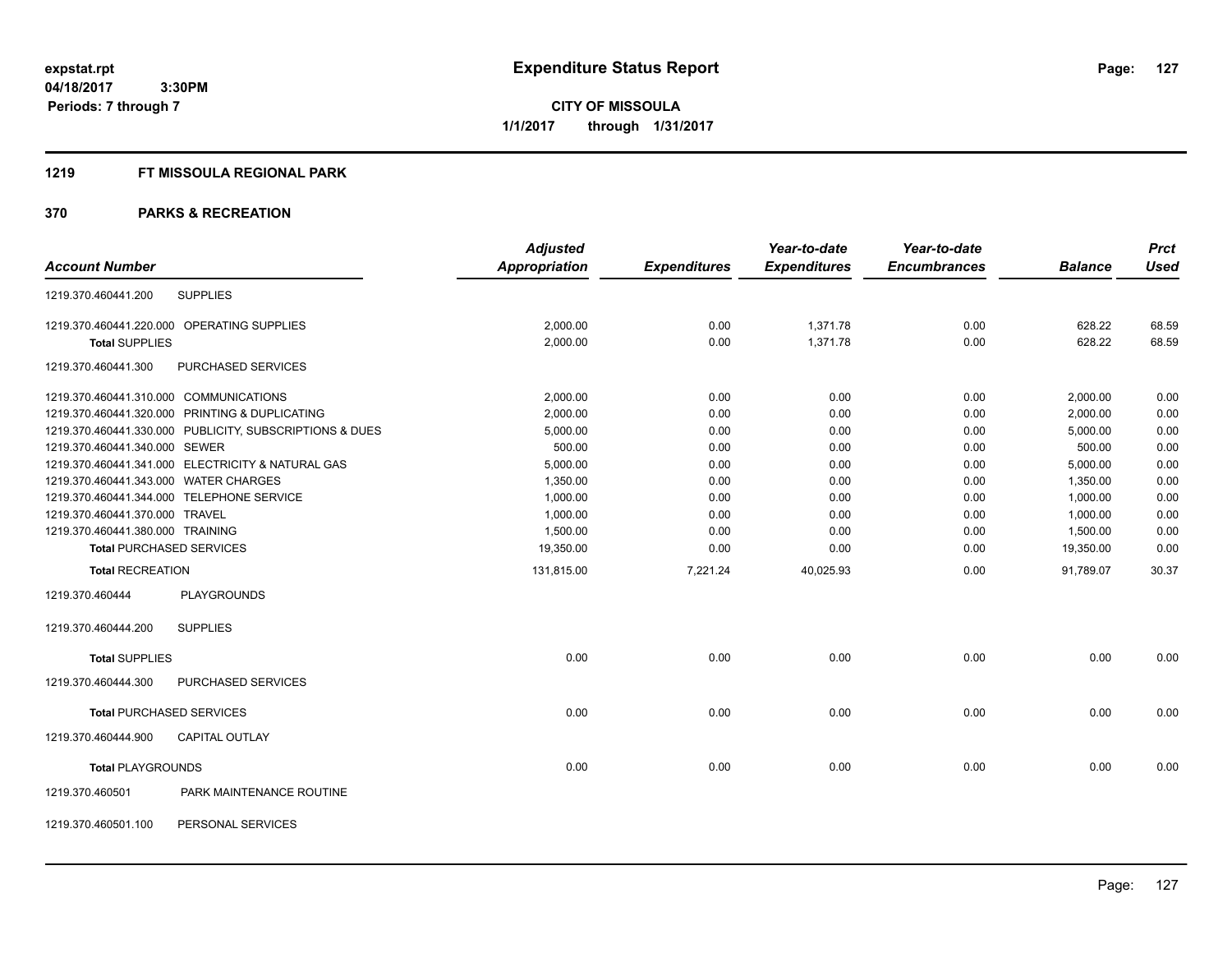**CITY OF MISSOULA 1/1/2017 through 1/31/2017**

#### **1219 FT MISSOULA REGIONAL PARK**

|                                  |                                                         | <b>Adjusted</b>      |                     | Year-to-date        | Year-to-date        |                | <b>Prct</b> |
|----------------------------------|---------------------------------------------------------|----------------------|---------------------|---------------------|---------------------|----------------|-------------|
| <b>Account Number</b>            |                                                         | <b>Appropriation</b> | <b>Expenditures</b> | <b>Expenditures</b> | <b>Encumbrances</b> | <b>Balance</b> | <b>Used</b> |
| 1219.370.460441.200              | <b>SUPPLIES</b>                                         |                      |                     |                     |                     |                |             |
|                                  | 1219.370.460441.220.000 OPERATING SUPPLIES              | 2,000.00             | 0.00                | 1,371.78            | 0.00                | 628.22         | 68.59       |
| <b>Total SUPPLIES</b>            |                                                         | 2,000.00             | 0.00                | 1,371.78            | 0.00                | 628.22         | 68.59       |
| 1219.370.460441.300              | PURCHASED SERVICES                                      |                      |                     |                     |                     |                |             |
|                                  | 1219.370.460441.310.000 COMMUNICATIONS                  | 2,000.00             | 0.00                | 0.00                | 0.00                | 2,000.00       | 0.00        |
|                                  | 1219.370.460441.320.000 PRINTING & DUPLICATING          | 2,000.00             | 0.00                | 0.00                | 0.00                | 2,000.00       | 0.00        |
|                                  | 1219.370.460441.330.000 PUBLICITY, SUBSCRIPTIONS & DUES | 5,000.00             | 0.00                | 0.00                | 0.00                | 5,000.00       | 0.00        |
| 1219.370.460441.340.000 SEWER    |                                                         | 500.00               | 0.00                | 0.00                | 0.00                | 500.00         | 0.00        |
|                                  | 1219.370.460441.341.000 ELECTRICITY & NATURAL GAS       | 5,000.00             | 0.00                | 0.00                | 0.00                | 5,000.00       | 0.00        |
|                                  | 1219.370.460441.343.000 WATER CHARGES                   | 1,350.00             | 0.00                | 0.00                | 0.00                | 1,350.00       | 0.00        |
|                                  | 1219.370.460441.344.000 TELEPHONE SERVICE               | 1,000.00             | 0.00                | 0.00                | 0.00                | 1,000.00       | 0.00        |
| 1219.370.460441.370.000 TRAVEL   |                                                         | 1,000.00             | 0.00                | 0.00                | 0.00                | 1,000.00       | 0.00        |
| 1219.370.460441.380.000 TRAINING |                                                         | 1,500.00             | 0.00                | 0.00                | 0.00                | 1,500.00       | 0.00        |
|                                  | <b>Total PURCHASED SERVICES</b>                         | 19,350.00            | 0.00                | 0.00                | 0.00                | 19,350.00      | 0.00        |
| <b>Total RECREATION</b>          |                                                         | 131,815.00           | 7,221.24            | 40,025.93           | 0.00                | 91,789.07      | 30.37       |
| 1219.370.460444                  | <b>PLAYGROUNDS</b>                                      |                      |                     |                     |                     |                |             |
| 1219.370.460444.200              | <b>SUPPLIES</b>                                         |                      |                     |                     |                     |                |             |
| <b>Total SUPPLIES</b>            |                                                         | 0.00                 | 0.00                | 0.00                | 0.00                | 0.00           | 0.00        |
| 1219.370.460444.300              | PURCHASED SERVICES                                      |                      |                     |                     |                     |                |             |
|                                  | <b>Total PURCHASED SERVICES</b>                         | 0.00                 | 0.00                | 0.00                | 0.00                | 0.00           | 0.00        |
| 1219.370.460444.900              | <b>CAPITAL OUTLAY</b>                                   |                      |                     |                     |                     |                |             |
| <b>Total PLAYGROUNDS</b>         |                                                         | 0.00                 | 0.00                | 0.00                | 0.00                | 0.00           | 0.00        |
| 1219.370.460501                  | PARK MAINTENANCE ROUTINE                                |                      |                     |                     |                     |                |             |
| 1219.370.460501.100              | PERSONAL SERVICES                                       |                      |                     |                     |                     |                |             |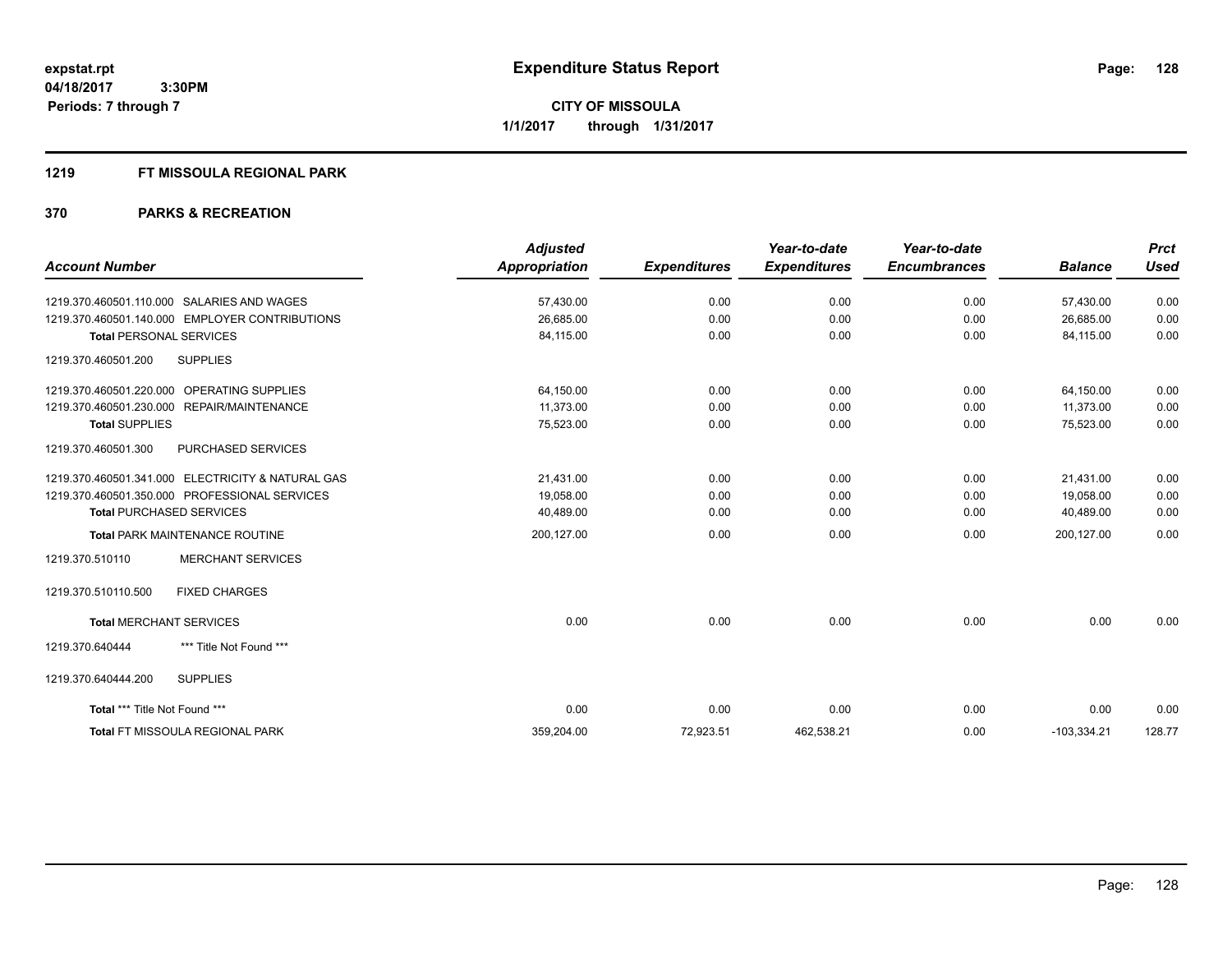## **1219 FT MISSOULA REGIONAL PARK**

|                                                   | <b>Adjusted</b>      |                     | Year-to-date        | Year-to-date        |                | <b>Prct</b> |
|---------------------------------------------------|----------------------|---------------------|---------------------|---------------------|----------------|-------------|
| <b>Account Number</b>                             | <b>Appropriation</b> | <b>Expenditures</b> | <b>Expenditures</b> | <b>Encumbrances</b> | <b>Balance</b> | <b>Used</b> |
| 1219.370.460501.110.000 SALARIES AND WAGES        | 57,430.00            | 0.00                | 0.00                | 0.00                | 57,430.00      | 0.00        |
| 1219.370.460501.140.000 EMPLOYER CONTRIBUTIONS    | 26,685.00            | 0.00                | 0.00                | 0.00                | 26,685.00      | 0.00        |
| <b>Total PERSONAL SERVICES</b>                    | 84,115.00            | 0.00                | 0.00                | 0.00                | 84,115.00      | 0.00        |
| <b>SUPPLIES</b><br>1219.370.460501.200            |                      |                     |                     |                     |                |             |
| 1219.370.460501.220.000 OPERATING SUPPLIES        | 64,150.00            | 0.00                | 0.00                | 0.00                | 64,150.00      | 0.00        |
| 1219.370.460501.230.000 REPAIR/MAINTENANCE        | 11,373.00            | 0.00                | 0.00                | 0.00                | 11,373.00      | 0.00        |
| <b>Total SUPPLIES</b>                             | 75,523.00            | 0.00                | 0.00                | 0.00                | 75,523.00      | 0.00        |
| 1219.370.460501.300<br>PURCHASED SERVICES         |                      |                     |                     |                     |                |             |
| 1219.370.460501.341.000 ELECTRICITY & NATURAL GAS | 21.431.00            | 0.00                | 0.00                | 0.00                | 21.431.00      | 0.00        |
| 1219.370.460501.350.000 PROFESSIONAL SERVICES     | 19,058.00            | 0.00                | 0.00                | 0.00                | 19,058.00      | 0.00        |
| <b>Total PURCHASED SERVICES</b>                   | 40,489.00            | 0.00                | 0.00                | 0.00                | 40,489.00      | 0.00        |
| Total PARK MAINTENANCE ROUTINE                    | 200,127.00           | 0.00                | 0.00                | 0.00                | 200,127.00     | 0.00        |
| <b>MERCHANT SERVICES</b><br>1219.370.510110       |                      |                     |                     |                     |                |             |
| <b>FIXED CHARGES</b><br>1219.370.510110.500       |                      |                     |                     |                     |                |             |
| <b>Total MERCHANT SERVICES</b>                    | 0.00                 | 0.00                | 0.00                | 0.00                | 0.00           | 0.00        |
| 1219.370.640444<br>*** Title Not Found ***        |                      |                     |                     |                     |                |             |
| <b>SUPPLIES</b><br>1219.370.640444.200            |                      |                     |                     |                     |                |             |
| Total *** Title Not Found ***                     | 0.00                 | 0.00                | 0.00                | 0.00                | 0.00           | 0.00        |
| <b>Total FT MISSOULA REGIONAL PARK</b>            | 359,204.00           | 72,923.51           | 462,538.21          | 0.00                | $-103,334.21$  | 128.77      |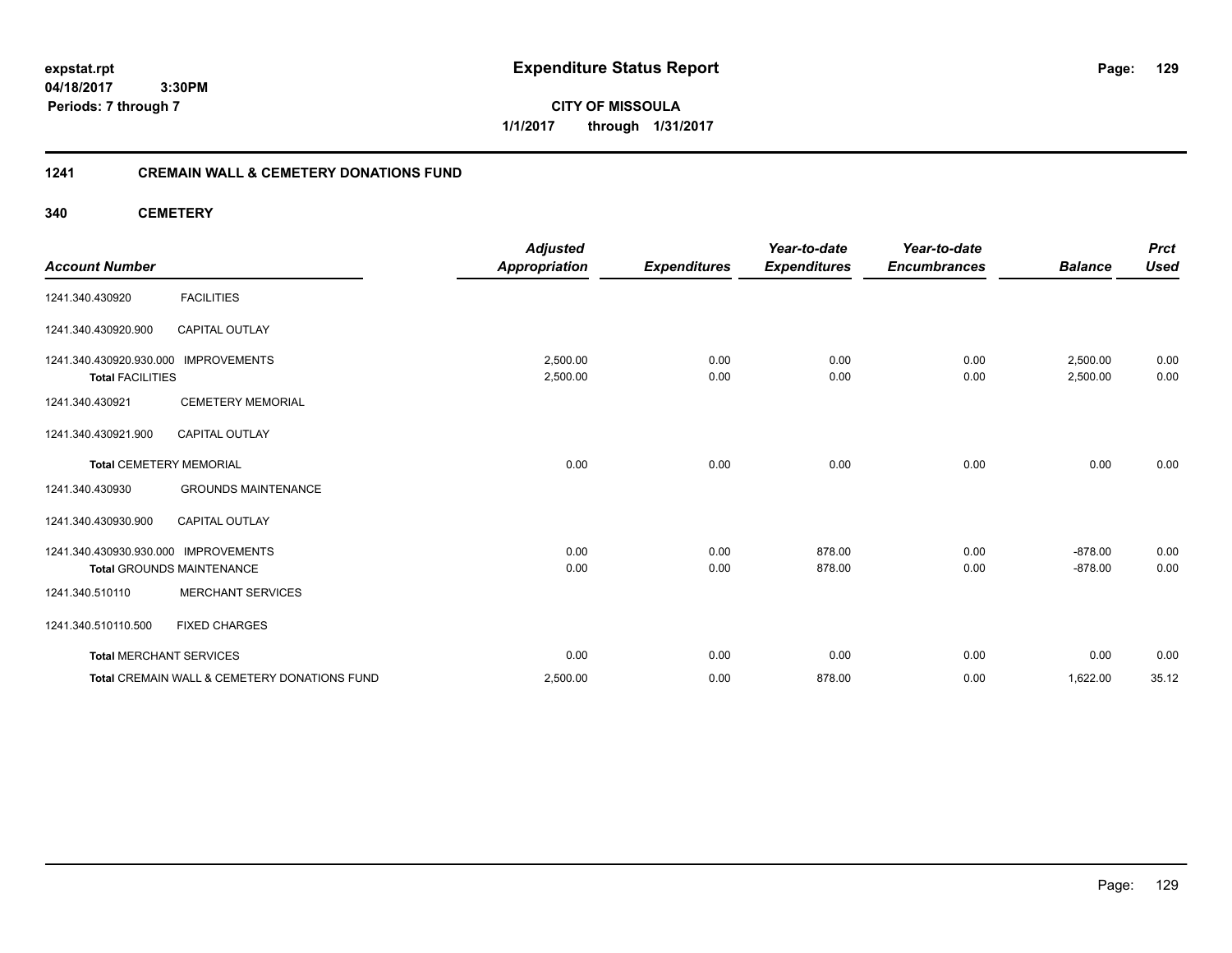**expstat.rpt Expenditure Status Report** 

**04/18/2017 3:30PM Periods: 7 through 7**

## **1241 CREMAIN WALL & CEMETERY DONATIONS FUND**

## **340 CEMETERY**

|                                                    |                                              | <b>Adjusted</b>      |                     | Year-to-date        | Year-to-date        |                      | <b>Prct</b>  |
|----------------------------------------------------|----------------------------------------------|----------------------|---------------------|---------------------|---------------------|----------------------|--------------|
| <b>Account Number</b>                              |                                              | <b>Appropriation</b> | <b>Expenditures</b> | <b>Expenditures</b> | <b>Encumbrances</b> | <b>Balance</b>       | <b>Used</b>  |
| 1241.340.430920                                    | <b>FACILITIES</b>                            |                      |                     |                     |                     |                      |              |
| 1241.340.430920.900                                | <b>CAPITAL OUTLAY</b>                        |                      |                     |                     |                     |                      |              |
| 1241.340.430920.930.000<br><b>Total FACILITIES</b> | <b>IMPROVEMENTS</b>                          | 2,500.00<br>2,500.00 | 0.00<br>0.00        | 0.00<br>0.00        | 0.00<br>0.00        | 2,500.00<br>2,500.00 | 0.00<br>0.00 |
| 1241.340.430921                                    | <b>CEMETERY MEMORIAL</b>                     |                      |                     |                     |                     |                      |              |
| 1241.340.430921.900                                | <b>CAPITAL OUTLAY</b>                        |                      |                     |                     |                     |                      |              |
| <b>Total CEMETERY MEMORIAL</b>                     |                                              | 0.00                 | 0.00                | 0.00                | 0.00                | 0.00                 | 0.00         |
| 1241.340.430930                                    | <b>GROUNDS MAINTENANCE</b>                   |                      |                     |                     |                     |                      |              |
| 1241.340.430930.900                                | <b>CAPITAL OUTLAY</b>                        |                      |                     |                     |                     |                      |              |
| 1241.340.430930.930.000                            | <b>IMPROVEMENTS</b>                          | 0.00                 | 0.00                | 878.00              | 0.00                | $-878.00$            | 0.00         |
|                                                    | <b>Total GROUNDS MAINTENANCE</b>             | 0.00                 | 0.00                | 878.00              | 0.00                | $-878.00$            | 0.00         |
| 1241.340.510110                                    | <b>MERCHANT SERVICES</b>                     |                      |                     |                     |                     |                      |              |
| 1241.340.510110.500                                | <b>FIXED CHARGES</b>                         |                      |                     |                     |                     |                      |              |
| <b>Total MERCHANT SERVICES</b>                     |                                              | 0.00                 | 0.00                | 0.00                | 0.00                | 0.00                 | 0.00         |
|                                                    | Total CREMAIN WALL & CEMETERY DONATIONS FUND | 2,500.00             | 0.00                | 878.00              | 0.00                | 1,622.00             | 35.12        |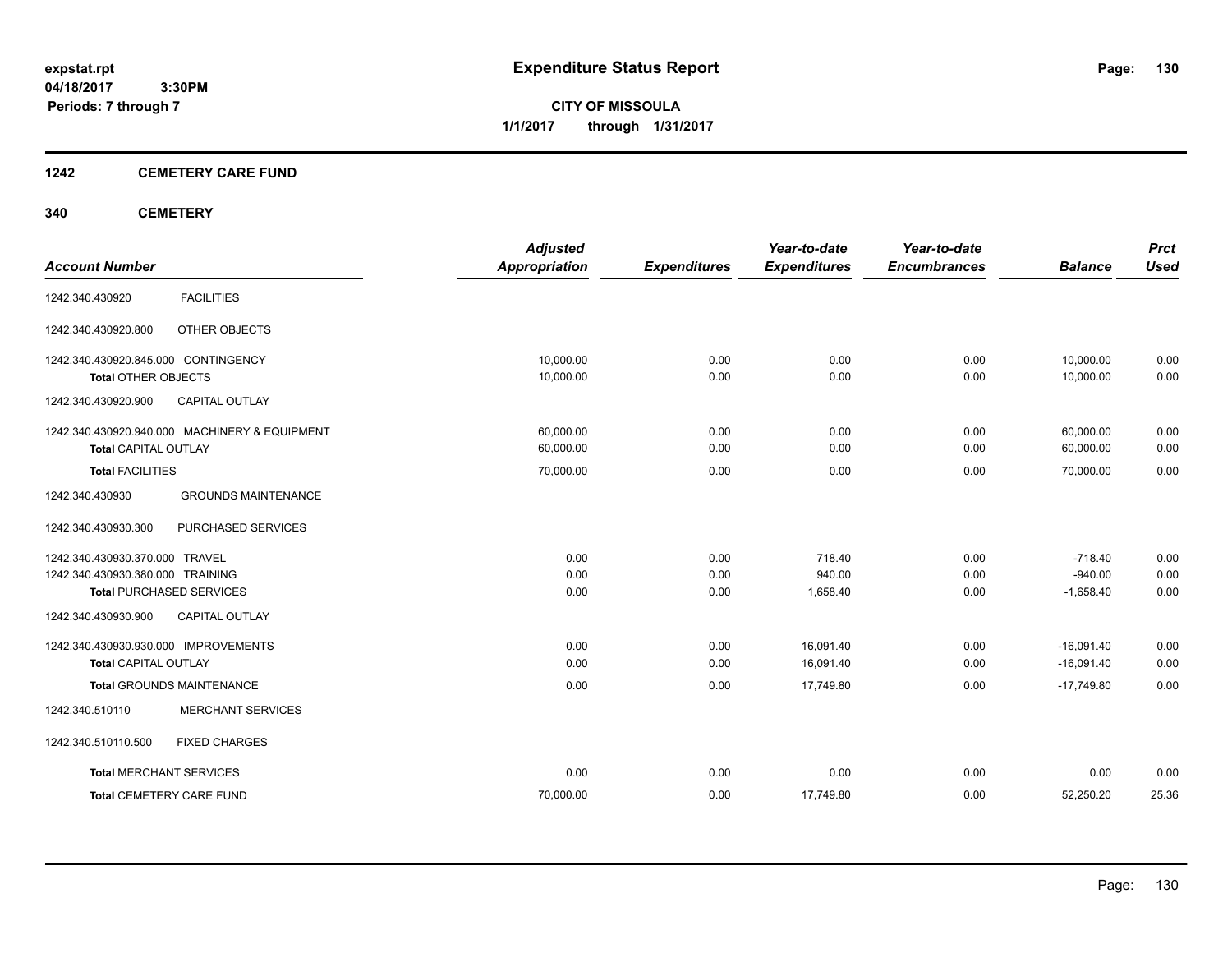**CITY OF MISSOULA 1/1/2017 through 1/31/2017**

## **1242 CEMETERY CARE FUND**

## **340 CEMETERY**

| <b>Account Number</b>                                                                                                                                 | <b>Adjusted</b><br><b>Appropriation</b> | <b>Expenditures</b>  | Year-to-date<br><b>Expenditures</b> | Year-to-date<br><b>Encumbrances</b> | <b>Balance</b>                        | <b>Prct</b><br><b>Used</b> |
|-------------------------------------------------------------------------------------------------------------------------------------------------------|-----------------------------------------|----------------------|-------------------------------------|-------------------------------------|---------------------------------------|----------------------------|
| <b>FACILITIES</b><br>1242.340.430920                                                                                                                  |                                         |                      |                                     |                                     |                                       |                            |
| 1242.340.430920.800<br>OTHER OBJECTS                                                                                                                  |                                         |                      |                                     |                                     |                                       |                            |
| 1242.340.430920.845.000 CONTINGENCY<br><b>Total OTHER OBJECTS</b>                                                                                     | 10,000.00<br>10,000.00                  | 0.00<br>0.00         | 0.00<br>0.00                        | 0.00<br>0.00                        | 10.000.00<br>10,000.00                | 0.00<br>0.00               |
| 1242.340.430920.900<br><b>CAPITAL OUTLAY</b>                                                                                                          |                                         |                      |                                     |                                     |                                       |                            |
| 1242.340.430920.940.000 MACHINERY & EQUIPMENT<br><b>Total CAPITAL OUTLAY</b>                                                                          | 60,000.00<br>60,000.00                  | 0.00<br>0.00         | 0.00<br>0.00                        | 0.00<br>0.00                        | 60,000.00<br>60,000.00                | 0.00<br>0.00               |
| <b>Total FACILITIES</b>                                                                                                                               | 70,000.00                               | 0.00                 | 0.00                                | 0.00                                | 70,000.00                             | 0.00                       |
| 1242.340.430930<br><b>GROUNDS MAINTENANCE</b>                                                                                                         |                                         |                      |                                     |                                     |                                       |                            |
| PURCHASED SERVICES<br>1242.340.430930.300                                                                                                             |                                         |                      |                                     |                                     |                                       |                            |
| 1242.340.430930.370.000 TRAVEL<br>1242.340.430930.380.000 TRAINING<br><b>Total PURCHASED SERVICES</b><br><b>CAPITAL OUTLAY</b><br>1242.340.430930.900 | 0.00<br>0.00<br>0.00                    | 0.00<br>0.00<br>0.00 | 718.40<br>940.00<br>1,658.40        | 0.00<br>0.00<br>0.00                | $-718.40$<br>$-940.00$<br>$-1,658.40$ | 0.00<br>0.00<br>0.00       |
| 1242.340.430930.930.000 IMPROVEMENTS<br><b>Total CAPITAL OUTLAY</b>                                                                                   | 0.00<br>0.00                            | 0.00<br>0.00         | 16.091.40<br>16,091.40              | 0.00<br>0.00                        | $-16.091.40$<br>$-16,091.40$          | 0.00<br>0.00               |
| <b>Total GROUNDS MAINTENANCE</b><br><b>MERCHANT SERVICES</b><br>1242.340.510110                                                                       | 0.00                                    | 0.00                 | 17,749.80                           | 0.00                                | $-17,749.80$                          | 0.00                       |
| 1242.340.510110.500<br><b>FIXED CHARGES</b>                                                                                                           |                                         |                      |                                     |                                     |                                       |                            |
| <b>Total MERCHANT SERVICES</b>                                                                                                                        | 0.00                                    | 0.00                 | 0.00                                | 0.00                                | 0.00                                  | 0.00                       |
| <b>Total CEMETERY CARE FUND</b>                                                                                                                       | 70,000.00                               | 0.00                 | 17,749.80                           | 0.00                                | 52,250.20                             | 25.36                      |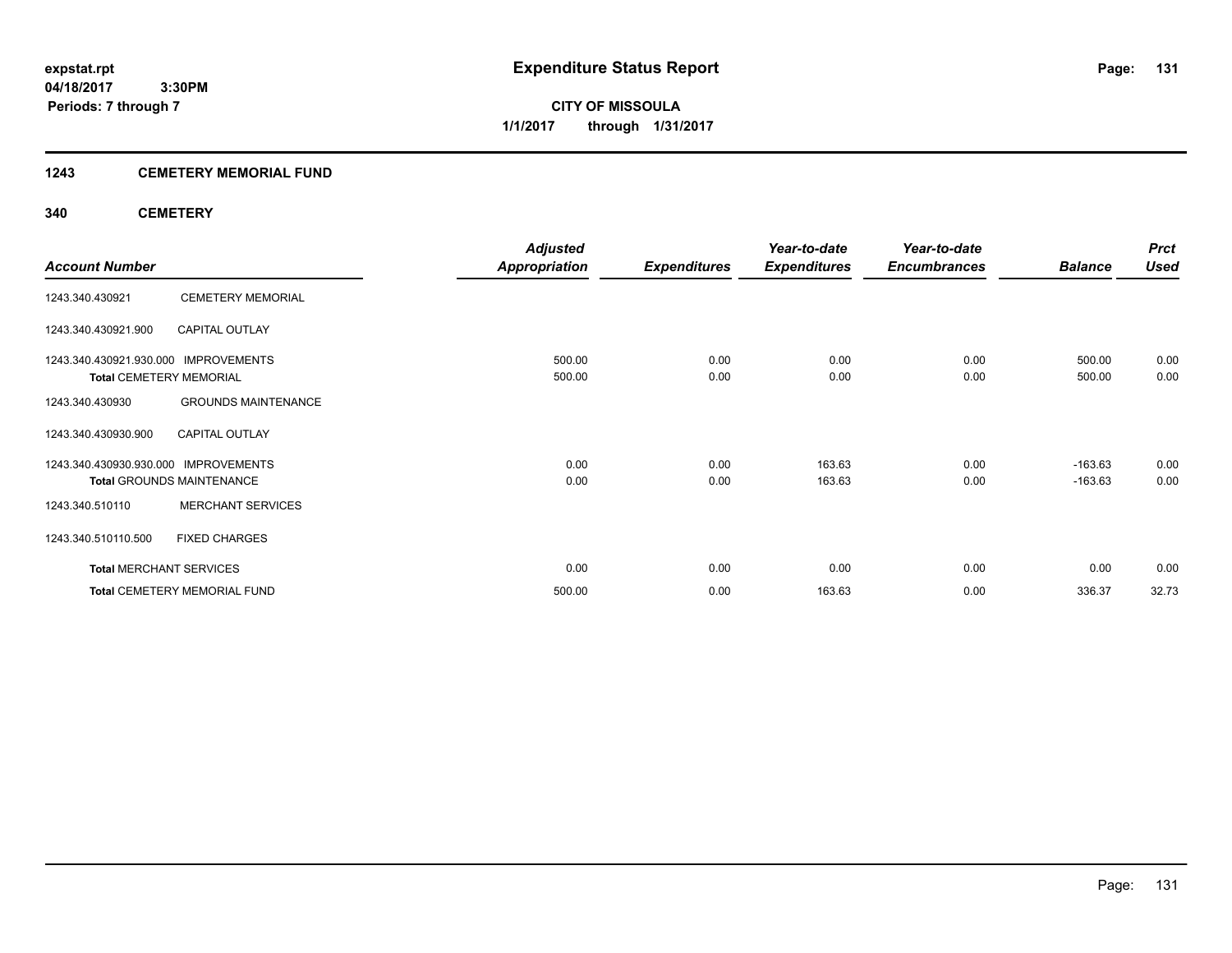**CITY OF MISSOULA 1/1/2017 through 1/31/2017**

## **1243 CEMETERY MEMORIAL FUND**

## **340 CEMETERY**

|                                      |                                     | <b>Adjusted</b>      |                     | Year-to-date        | Year-to-date        |                | <b>Prct</b> |
|--------------------------------------|-------------------------------------|----------------------|---------------------|---------------------|---------------------|----------------|-------------|
| <b>Account Number</b>                |                                     | <b>Appropriation</b> | <b>Expenditures</b> | <b>Expenditures</b> | <b>Encumbrances</b> | <b>Balance</b> | <b>Used</b> |
| 1243.340.430921                      | <b>CEMETERY MEMORIAL</b>            |                      |                     |                     |                     |                |             |
| 1243.340.430921.900                  | <b>CAPITAL OUTLAY</b>               |                      |                     |                     |                     |                |             |
| 1243.340.430921.930.000 IMPROVEMENTS |                                     | 500.00               | 0.00                | 0.00                | 0.00                | 500.00         | 0.00        |
| <b>Total CEMETERY MEMORIAL</b>       |                                     | 500.00               | 0.00                | 0.00                | 0.00                | 500.00         | 0.00        |
| 1243.340.430930                      | <b>GROUNDS MAINTENANCE</b>          |                      |                     |                     |                     |                |             |
| 1243.340.430930.900                  | <b>CAPITAL OUTLAY</b>               |                      |                     |                     |                     |                |             |
| 1243.340.430930.930.000              | <b>IMPROVEMENTS</b>                 | 0.00                 | 0.00                | 163.63              | 0.00                | $-163.63$      | 0.00        |
|                                      | <b>Total GROUNDS MAINTENANCE</b>    | 0.00                 | 0.00                | 163.63              | 0.00                | $-163.63$      | 0.00        |
| 1243.340.510110                      | <b>MERCHANT SERVICES</b>            |                      |                     |                     |                     |                |             |
| 1243.340.510110.500                  | <b>FIXED CHARGES</b>                |                      |                     |                     |                     |                |             |
| <b>Total MERCHANT SERVICES</b>       |                                     | 0.00                 | 0.00                | 0.00                | 0.00                | 0.00           | 0.00        |
|                                      | <b>Total CEMETERY MEMORIAL FUND</b> | 500.00               | 0.00                | 163.63              | 0.00                | 336.37         | 32.73       |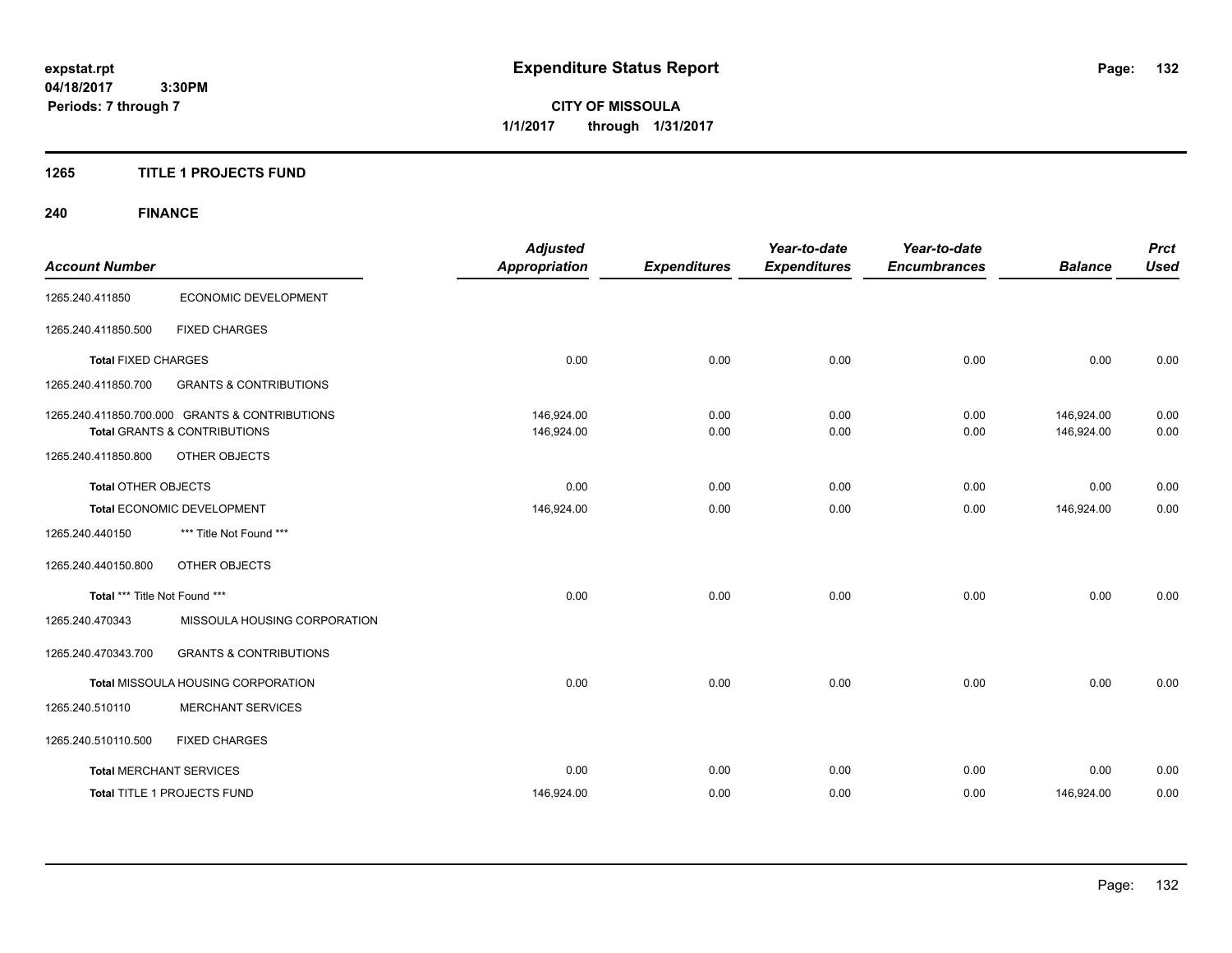**CITY OF MISSOULA 1/1/2017 through 1/31/2017**

## **1265 TITLE 1 PROJECTS FUND**

# **240 FINANCE**

| <b>Account Number</b>          |                                                                                           | <b>Adjusted</b><br><b>Appropriation</b> | <b>Expenditures</b> | Year-to-date<br><b>Expenditures</b> | Year-to-date<br><b>Encumbrances</b> | <b>Balance</b>           | <b>Prct</b><br><b>Used</b> |
|--------------------------------|-------------------------------------------------------------------------------------------|-----------------------------------------|---------------------|-------------------------------------|-------------------------------------|--------------------------|----------------------------|
| 1265.240.411850                | ECONOMIC DEVELOPMENT                                                                      |                                         |                     |                                     |                                     |                          |                            |
| 1265.240.411850.500            | <b>FIXED CHARGES</b>                                                                      |                                         |                     |                                     |                                     |                          |                            |
| <b>Total FIXED CHARGES</b>     |                                                                                           | 0.00                                    | 0.00                | 0.00                                | 0.00                                | 0.00                     | 0.00                       |
| 1265.240.411850.700            | <b>GRANTS &amp; CONTRIBUTIONS</b>                                                         |                                         |                     |                                     |                                     |                          |                            |
|                                | 1265.240.411850.700.000 GRANTS & CONTRIBUTIONS<br><b>Total GRANTS &amp; CONTRIBUTIONS</b> | 146,924.00<br>146,924.00                | 0.00<br>0.00        | 0.00<br>0.00                        | 0.00<br>0.00                        | 146,924.00<br>146,924.00 | 0.00<br>0.00               |
| 1265.240.411850.800            | OTHER OBJECTS                                                                             |                                         |                     |                                     |                                     |                          |                            |
| <b>Total OTHER OBJECTS</b>     |                                                                                           | 0.00                                    | 0.00                | 0.00                                | 0.00                                | 0.00                     | 0.00                       |
|                                | Total ECONOMIC DEVELOPMENT                                                                | 146,924.00                              | 0.00                | 0.00                                | 0.00                                | 146,924.00               | 0.00                       |
| 1265.240.440150                | *** Title Not Found ***                                                                   |                                         |                     |                                     |                                     |                          |                            |
| 1265.240.440150.800            | OTHER OBJECTS                                                                             |                                         |                     |                                     |                                     |                          |                            |
| Total *** Title Not Found ***  |                                                                                           | 0.00                                    | 0.00                | 0.00                                | 0.00                                | 0.00                     | 0.00                       |
| 1265.240.470343                | MISSOULA HOUSING CORPORATION                                                              |                                         |                     |                                     |                                     |                          |                            |
| 1265.240.470343.700            | <b>GRANTS &amp; CONTRIBUTIONS</b>                                                         |                                         |                     |                                     |                                     |                          |                            |
|                                | Total MISSOULA HOUSING CORPORATION                                                        | 0.00                                    | 0.00                | 0.00                                | 0.00                                | 0.00                     | 0.00                       |
| 1265.240.510110                | <b>MERCHANT SERVICES</b>                                                                  |                                         |                     |                                     |                                     |                          |                            |
| 1265.240.510110.500            | <b>FIXED CHARGES</b>                                                                      |                                         |                     |                                     |                                     |                          |                            |
| <b>Total MERCHANT SERVICES</b> |                                                                                           | 0.00                                    | 0.00                | 0.00                                | 0.00                                | 0.00                     | 0.00                       |
|                                | <b>Total TITLE 1 PROJECTS FUND</b>                                                        | 146,924.00                              | 0.00                | 0.00                                | 0.00                                | 146,924.00               | 0.00                       |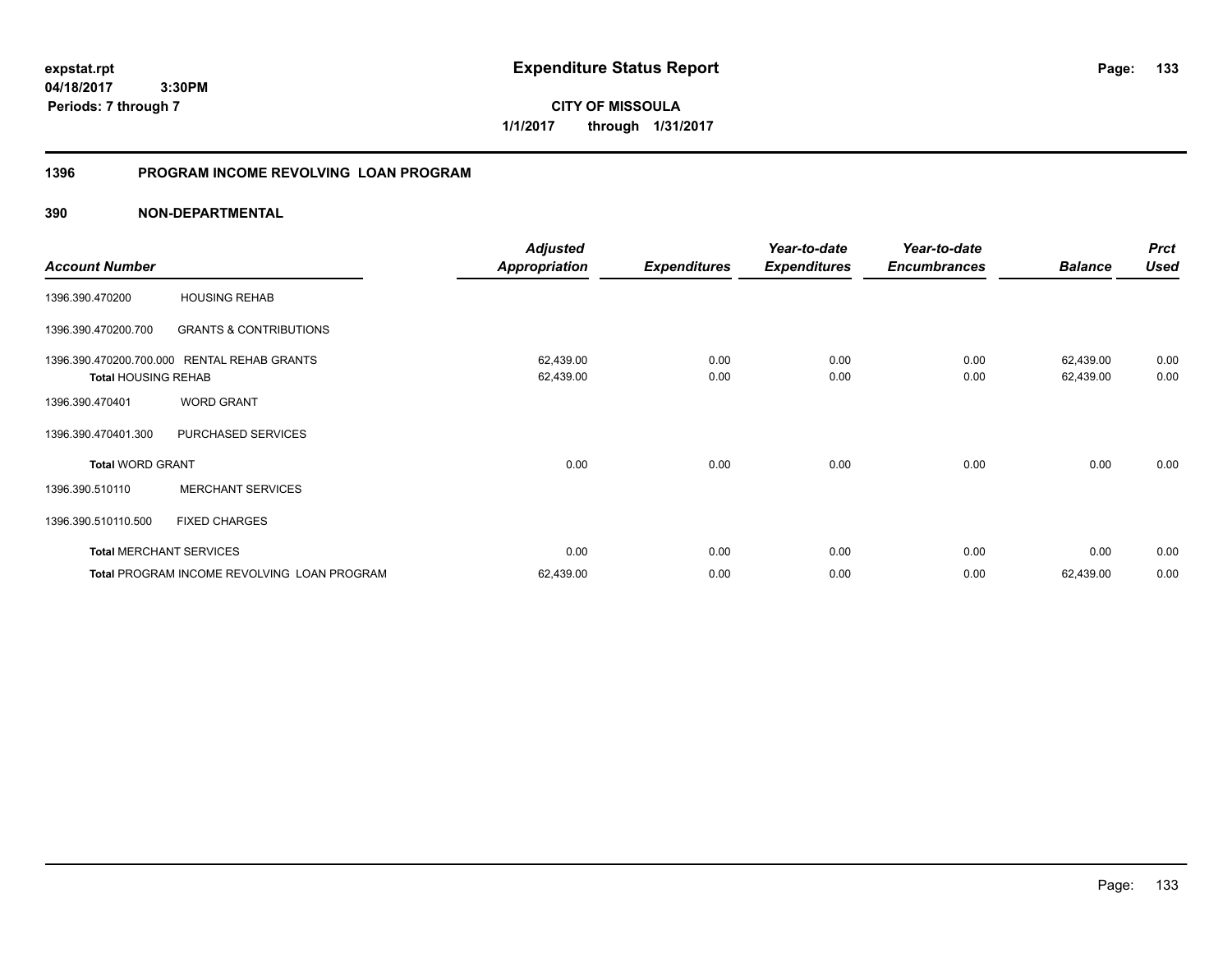**CITY OF MISSOULA 1/1/2017 through 1/31/2017**

# **1396 PROGRAM INCOME REVOLVING LOAN PROGRAM**

|                                                       |                                             | <b>Adjusted</b>        |                     | Year-to-date        | Year-to-date        |                        | <b>Prct</b>  |
|-------------------------------------------------------|---------------------------------------------|------------------------|---------------------|---------------------|---------------------|------------------------|--------------|
| <b>Account Number</b>                                 |                                             | <b>Appropriation</b>   | <b>Expenditures</b> | <b>Expenditures</b> | <b>Encumbrances</b> | <b>Balance</b>         | <b>Used</b>  |
| 1396.390.470200                                       | <b>HOUSING REHAB</b>                        |                        |                     |                     |                     |                        |              |
| 1396.390.470200.700                                   | <b>GRANTS &amp; CONTRIBUTIONS</b>           |                        |                     |                     |                     |                        |              |
| 1396.390.470200.700.000<br><b>Total HOUSING REHAB</b> | <b>RENTAL REHAB GRANTS</b>                  | 62,439.00<br>62,439.00 | 0.00<br>0.00        | 0.00<br>0.00        | 0.00<br>0.00        | 62,439.00<br>62,439.00 | 0.00<br>0.00 |
| 1396.390.470401                                       | <b>WORD GRANT</b>                           |                        |                     |                     |                     |                        |              |
| 1396.390.470401.300                                   | PURCHASED SERVICES                          |                        |                     |                     |                     |                        |              |
| <b>Total WORD GRANT</b>                               |                                             | 0.00                   | 0.00                | 0.00                | 0.00                | 0.00                   | 0.00         |
| 1396.390.510110                                       | <b>MERCHANT SERVICES</b>                    |                        |                     |                     |                     |                        |              |
| 1396.390.510110.500                                   | <b>FIXED CHARGES</b>                        |                        |                     |                     |                     |                        |              |
| <b>Total MERCHANT SERVICES</b>                        |                                             | 0.00                   | 0.00                | 0.00                | 0.00                | 0.00                   | 0.00         |
|                                                       | Total PROGRAM INCOME REVOLVING LOAN PROGRAM | 62,439.00              | 0.00                | 0.00                | 0.00                | 62,439.00              | 0.00         |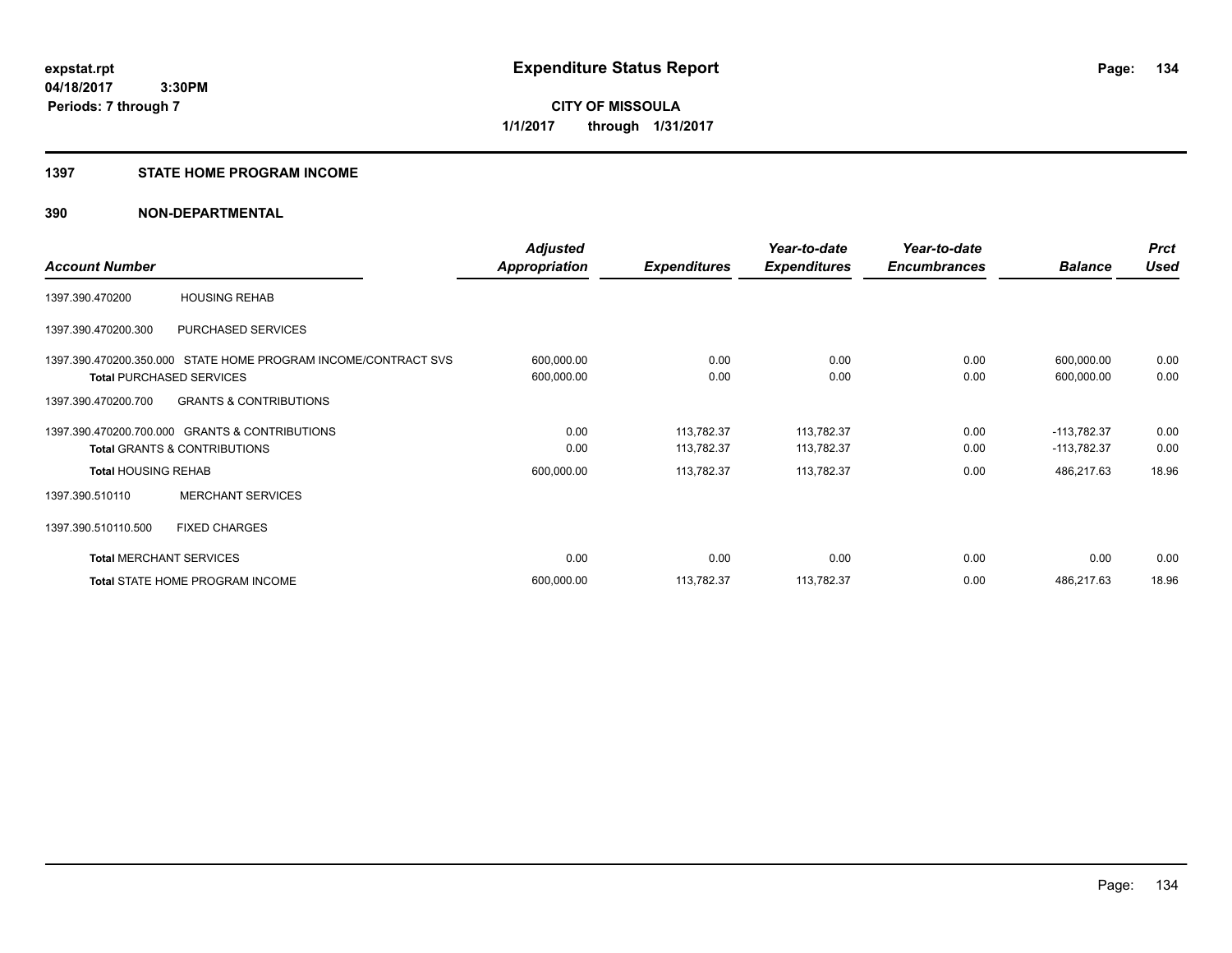#### **1397 STATE HOME PROGRAM INCOME**

|                            |                                                                | <b>Adjusted</b>      |                     | Year-to-date        | Year-to-date        |                | <b>Prct</b> |
|----------------------------|----------------------------------------------------------------|----------------------|---------------------|---------------------|---------------------|----------------|-------------|
| <b>Account Number</b>      |                                                                | <b>Appropriation</b> | <b>Expenditures</b> | <b>Expenditures</b> | <b>Encumbrances</b> | <b>Balance</b> | <b>Used</b> |
| 1397.390.470200            | <b>HOUSING REHAB</b>                                           |                      |                     |                     |                     |                |             |
| 1397.390.470200.300        | PURCHASED SERVICES                                             |                      |                     |                     |                     |                |             |
|                            | 1397.390.470200.350.000 STATE HOME PROGRAM INCOME/CONTRACT SVS | 600,000.00           | 0.00                | 0.00                | 0.00                | 600,000.00     | 0.00        |
|                            | <b>Total PURCHASED SERVICES</b>                                | 600,000.00           | 0.00                | 0.00                | 0.00                | 600,000.00     | 0.00        |
| 1397.390.470200.700        | <b>GRANTS &amp; CONTRIBUTIONS</b>                              |                      |                     |                     |                     |                |             |
|                            | 1397.390.470200.700.000 GRANTS & CONTRIBUTIONS                 | 0.00                 | 113,782.37          | 113,782.37          | 0.00                | $-113,782.37$  | 0.00        |
|                            | <b>Total GRANTS &amp; CONTRIBUTIONS</b>                        | 0.00                 | 113,782.37          | 113,782.37          | 0.00                | $-113,782.37$  | 0.00        |
| <b>Total HOUSING REHAB</b> |                                                                | 600,000.00           | 113,782.37          | 113,782.37          | 0.00                | 486,217.63     | 18.96       |
| 1397.390.510110            | <b>MERCHANT SERVICES</b>                                       |                      |                     |                     |                     |                |             |
| 1397.390.510110.500        | <b>FIXED CHARGES</b>                                           |                      |                     |                     |                     |                |             |
|                            | <b>Total MERCHANT SERVICES</b>                                 | 0.00                 | 0.00                | 0.00                | 0.00                | 0.00           | 0.00        |
|                            | Total STATE HOME PROGRAM INCOME                                | 600,000.00           | 113,782.37          | 113,782.37          | 0.00                | 486,217.63     | 18.96       |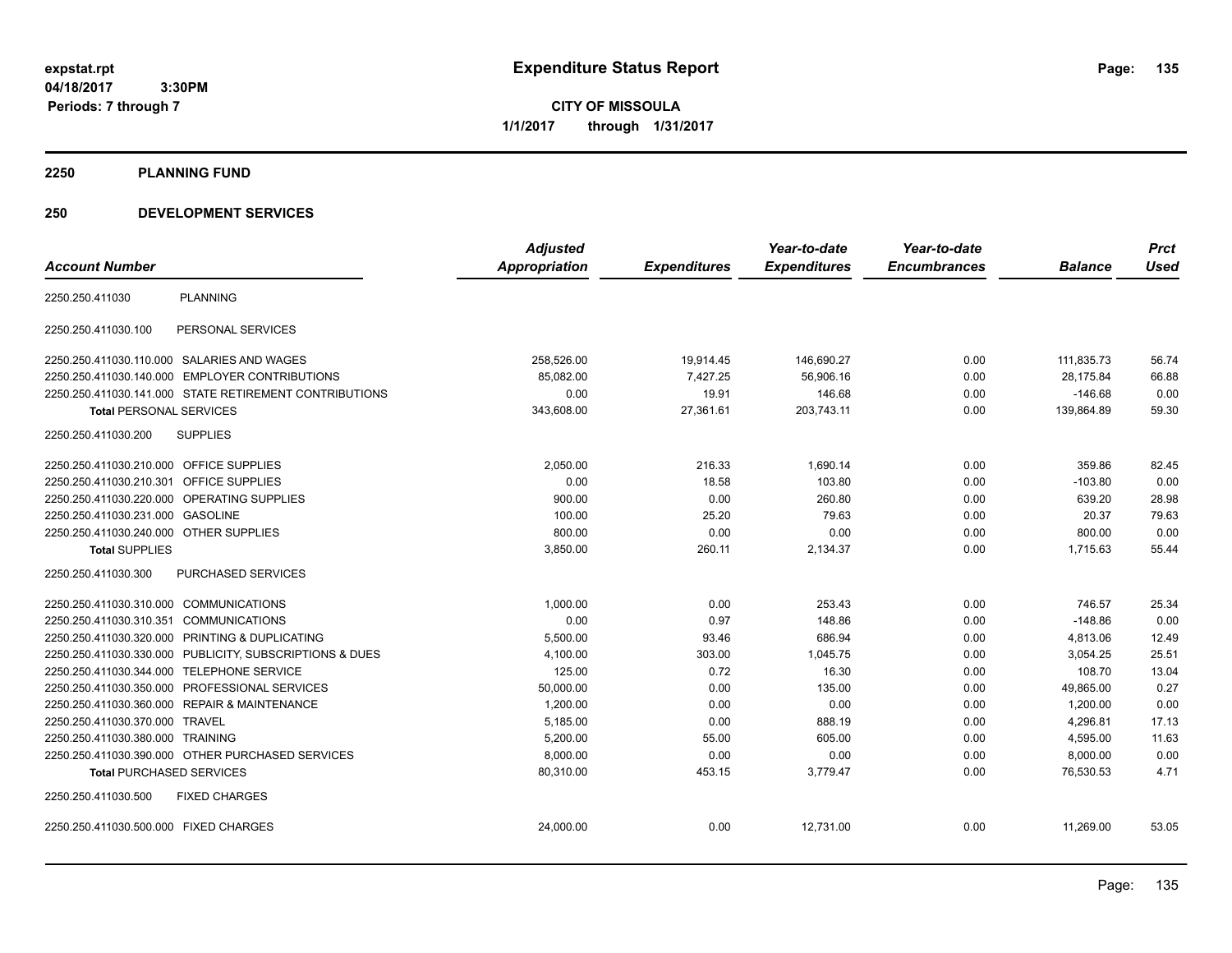**CITY OF MISSOULA 1/1/2017 through 1/31/2017**

#### **2250 PLANNING FUND**

## **250 DEVELOPMENT SERVICES**

|                                                            | <b>Adjusted</b> |                     | Year-to-date        | Year-to-date        |                | <b>Prct</b> |
|------------------------------------------------------------|-----------------|---------------------|---------------------|---------------------|----------------|-------------|
| <b>Account Number</b>                                      | Appropriation   | <b>Expenditures</b> | <b>Expenditures</b> | <b>Encumbrances</b> | <b>Balance</b> | <b>Used</b> |
| <b>PLANNING</b><br>2250.250.411030                         |                 |                     |                     |                     |                |             |
| 2250.250.411030.100<br>PERSONAL SERVICES                   |                 |                     |                     |                     |                |             |
| 2250.250.411030.110.000 SALARIES AND WAGES                 | 258,526.00      | 19,914.45           | 146,690.27          | 0.00                | 111,835.73     | 56.74       |
| <b>EMPLOYER CONTRIBUTIONS</b><br>2250.250.411030.140.000   | 85,082.00       | 7,427.25            | 56,906.16           | 0.00                | 28,175.84      | 66.88       |
| 2250.250.411030.141.000 STATE RETIREMENT CONTRIBUTIONS     | 0.00            | 19.91               | 146.68              | 0.00                | $-146.68$      | 0.00        |
| <b>Total PERSONAL SERVICES</b>                             | 343,608.00      | 27,361.61           | 203,743.11          | 0.00                | 139,864.89     | 59.30       |
| 2250.250.411030.200<br><b>SUPPLIES</b>                     |                 |                     |                     |                     |                |             |
| <b>OFFICE SUPPLIES</b><br>2250.250.411030.210.000          | 2,050.00        | 216.33              | 1,690.14            | 0.00                | 359.86         | 82.45       |
| 2250.250.411030.210.301<br>OFFICE SUPPLIES                 | 0.00            | 18.58               | 103.80              | 0.00                | $-103.80$      | 0.00        |
| 2250.250.411030.220.000<br><b>OPERATING SUPPLIES</b>       | 900.00          | 0.00                | 260.80              | 0.00                | 639.20         | 28.98       |
| 2250.250.411030.231.000<br><b>GASOLINE</b>                 | 100.00          | 25.20               | 79.63               | 0.00                | 20.37          | 79.63       |
| 2250.250.411030.240.000<br><b>OTHER SUPPLIES</b>           | 800.00          | 0.00                | 0.00                | 0.00                | 800.00         | 0.00        |
| <b>Total SUPPLIES</b>                                      | 3,850.00        | 260.11              | 2,134.37            | 0.00                | 1,715.63       | 55.44       |
| 2250.250.411030.300<br><b>PURCHASED SERVICES</b>           |                 |                     |                     |                     |                |             |
| 2250.250.411030.310.000 COMMUNICATIONS                     | 1,000.00        | 0.00                | 253.43              | 0.00                | 746.57         | 25.34       |
| 2250.250.411030.310.351<br><b>COMMUNICATIONS</b>           | 0.00            | 0.97                | 148.86              | 0.00                | $-148.86$      | 0.00        |
| PRINTING & DUPLICATING<br>2250.250.411030.320.000          | 5,500.00        | 93.46               | 686.94              | 0.00                | 4,813.06       | 12.49       |
| PUBLICITY, SUBSCRIPTIONS & DUES<br>2250.250.411030.330.000 | 4,100.00        | 303.00              | 1.045.75            | 0.00                | 3,054.25       | 25.51       |
| <b>TELEPHONE SERVICE</b><br>2250.250.411030.344.000        | 125.00          | 0.72                | 16.30               | 0.00                | 108.70         | 13.04       |
| PROFESSIONAL SERVICES<br>2250.250.411030.350.000           | 50,000.00       | 0.00                | 135.00              | 0.00                | 49,865.00      | 0.27        |
| <b>REPAIR &amp; MAINTENANCE</b><br>2250.250.411030.360.000 | 1,200.00        | 0.00                | 0.00                | 0.00                | 1,200.00       | 0.00        |
| 2250.250.411030.370.000<br>TRAVEL                          | 5,185.00        | 0.00                | 888.19              | 0.00                | 4,296.81       | 17.13       |
| 2250.250.411030.380.000 TRAINING                           | 5,200.00        | 55.00               | 605.00              | 0.00                | 4,595.00       | 11.63       |
| 2250.250.411030.390.000 OTHER PURCHASED SERVICES           | 8,000.00        | 0.00                | 0.00                | 0.00                | 8,000.00       | 0.00        |
| <b>Total PURCHASED SERVICES</b>                            | 80,310.00       | 453.15              | 3,779.47            | 0.00                | 76,530.53      | 4.71        |
| <b>FIXED CHARGES</b><br>2250.250.411030.500                |                 |                     |                     |                     |                |             |
| 2250.250.411030.500.000 FIXED CHARGES                      | 24,000.00       | 0.00                | 12,731.00           | 0.00                | 11,269.00      | 53.05       |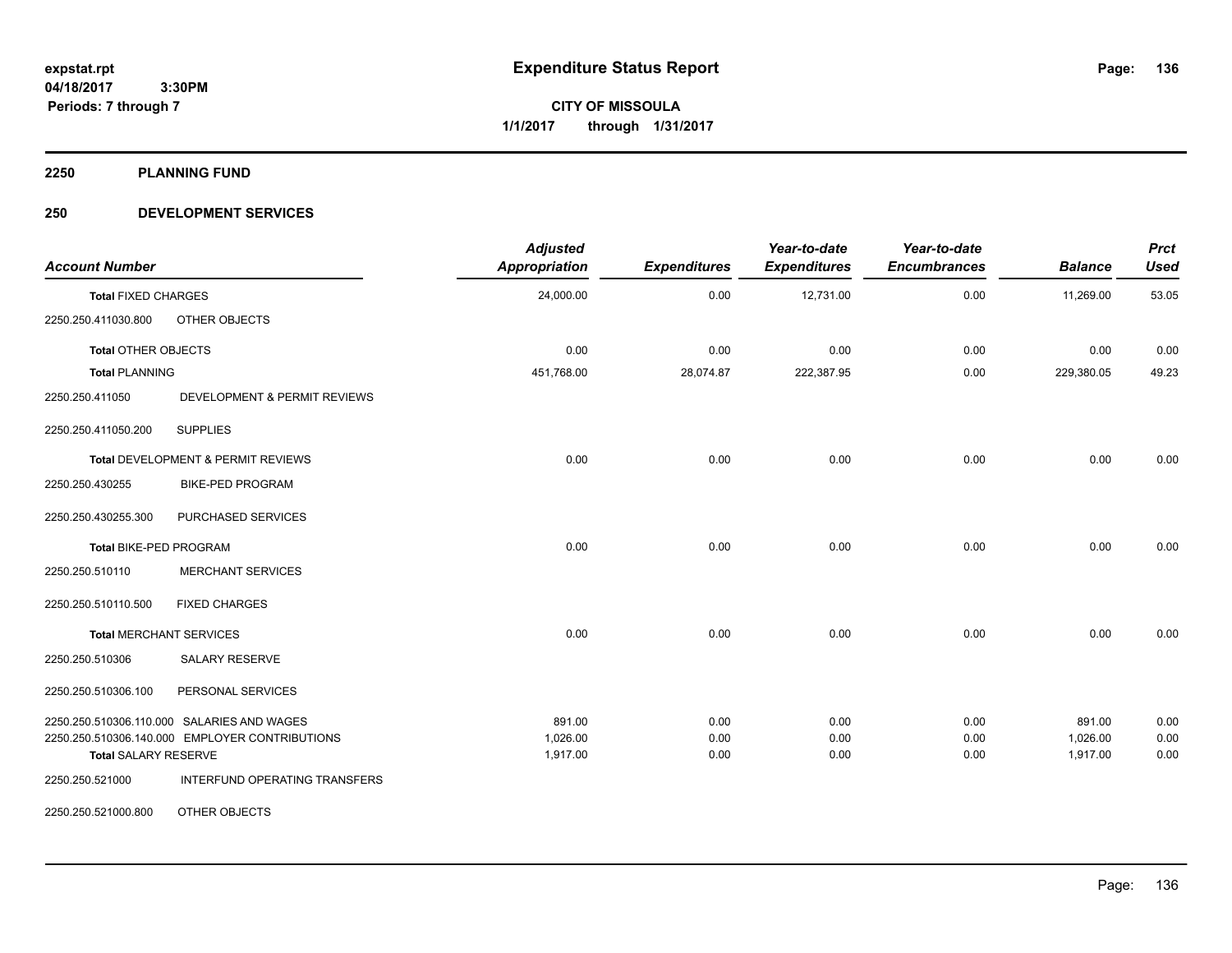**Periods: 7 through 7**

**CITY OF MISSOULA 1/1/2017 through 1/31/2017**

**2250 PLANNING FUND**

## **250 DEVELOPMENT SERVICES**

| <b>Account Number</b>                      |                                                | <b>Adjusted</b><br><b>Appropriation</b> | <b>Expenditures</b> | Year-to-date<br><b>Expenditures</b> | Year-to-date<br><b>Encumbrances</b> | <b>Balance</b> | <b>Prct</b><br><b>Used</b> |
|--------------------------------------------|------------------------------------------------|-----------------------------------------|---------------------|-------------------------------------|-------------------------------------|----------------|----------------------------|
| <b>Total FIXED CHARGES</b>                 |                                                | 24,000.00                               | 0.00                | 12,731.00                           | 0.00                                | 11,269.00      | 53.05                      |
| 2250.250.411030.800                        | OTHER OBJECTS                                  |                                         |                     |                                     |                                     |                |                            |
| <b>Total OTHER OBJECTS</b>                 |                                                | 0.00                                    | 0.00                | 0.00                                | 0.00                                | 0.00           | 0.00                       |
| <b>Total PLANNING</b>                      |                                                | 451,768.00                              | 28,074.87           | 222,387.95                          | 0.00                                | 229,380.05     | 49.23                      |
| 2250.250.411050                            | DEVELOPMENT & PERMIT REVIEWS                   |                                         |                     |                                     |                                     |                |                            |
| 2250.250.411050.200                        | <b>SUPPLIES</b>                                |                                         |                     |                                     |                                     |                |                            |
|                                            | Total DEVELOPMENT & PERMIT REVIEWS             | 0.00                                    | 0.00                | 0.00                                | 0.00                                | 0.00           | 0.00                       |
| 2250.250.430255                            | <b>BIKE-PED PROGRAM</b>                        |                                         |                     |                                     |                                     |                |                            |
| 2250.250.430255.300                        | PURCHASED SERVICES                             |                                         |                     |                                     |                                     |                |                            |
| Total BIKE-PED PROGRAM                     |                                                | 0.00                                    | 0.00                | 0.00                                | 0.00                                | 0.00           | 0.00                       |
| 2250.250.510110                            | <b>MERCHANT SERVICES</b>                       |                                         |                     |                                     |                                     |                |                            |
| 2250.250.510110.500                        | <b>FIXED CHARGES</b>                           |                                         |                     |                                     |                                     |                |                            |
| <b>Total MERCHANT SERVICES</b>             |                                                | 0.00                                    | 0.00                | 0.00                                | 0.00                                | 0.00           | 0.00                       |
| 2250.250.510306                            | <b>SALARY RESERVE</b>                          |                                         |                     |                                     |                                     |                |                            |
| 2250.250.510306.100                        | PERSONAL SERVICES                              |                                         |                     |                                     |                                     |                |                            |
| 2250.250.510306.110.000 SALARIES AND WAGES |                                                | 891.00                                  | 0.00                | 0.00                                | 0.00                                | 891.00         | 0.00                       |
|                                            | 2250.250.510306.140.000 EMPLOYER CONTRIBUTIONS | 1,026.00                                | 0.00                | 0.00                                | 0.00                                | 1,026.00       | 0.00                       |
| <b>Total SALARY RESERVE</b>                |                                                | 1,917.00                                | 0.00                | 0.00                                | 0.00                                | 1,917.00       | 0.00                       |
| 2250.250.521000                            | INTERFUND OPERATING TRANSFERS                  |                                         |                     |                                     |                                     |                |                            |
| 2250.250.521000.800                        | OTHER OBJECTS                                  |                                         |                     |                                     |                                     |                |                            |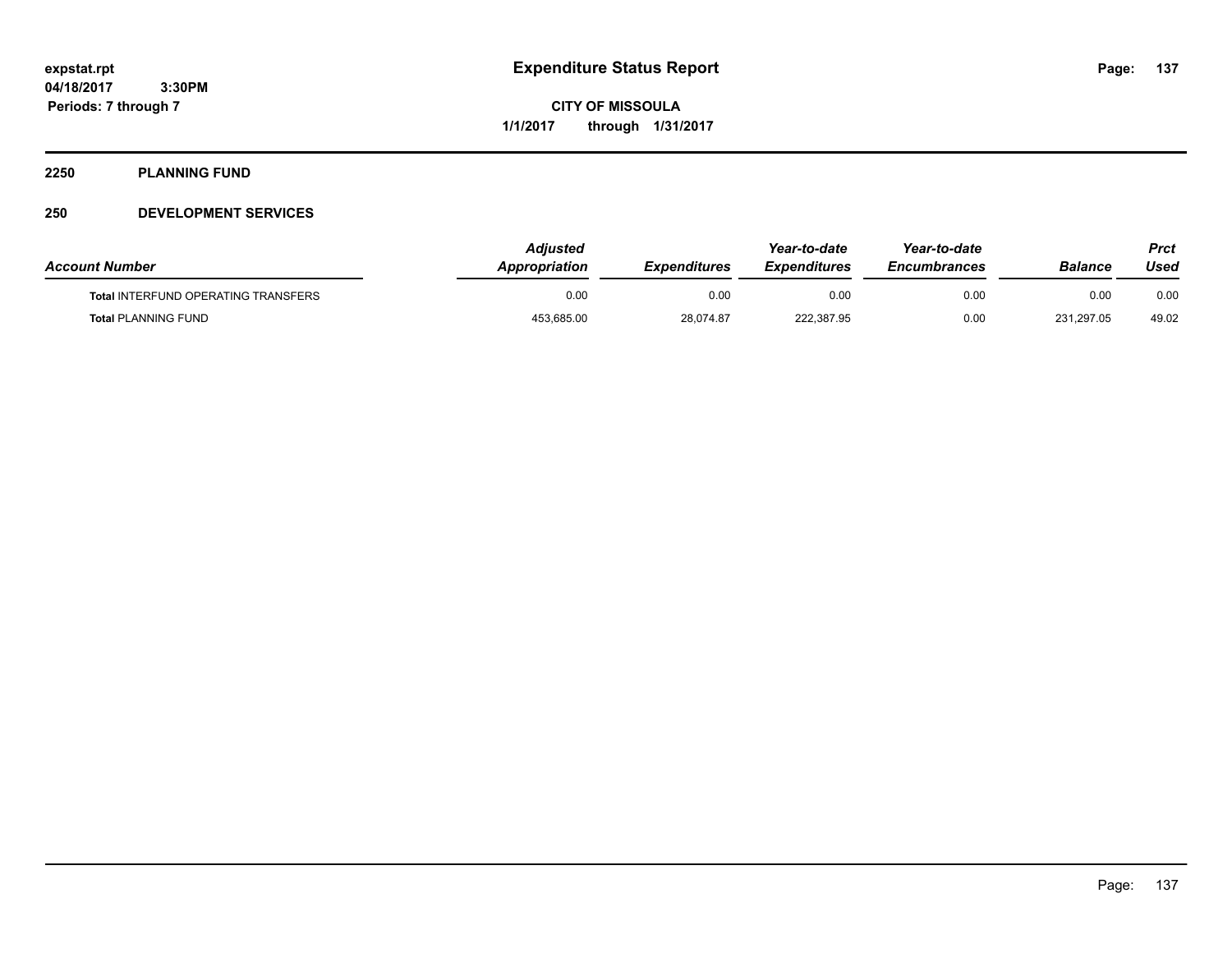**CITY OF MISSOULA 1/1/2017 through 1/31/2017**

#### **2250 PLANNING FUND**

## **250 DEVELOPMENT SERVICES**

| <b>Account Number</b>                      | Adjusted<br><b>Appropriation</b> | <i><b>Expenditures</b></i> | Year-to-date<br><b>Expenditures</b> | Year-to-date<br><b>Encumbrances</b> | <b>Balance</b> | Prct<br>Used |
|--------------------------------------------|----------------------------------|----------------------------|-------------------------------------|-------------------------------------|----------------|--------------|
| <b>Total INTERFUND OPERATING TRANSFERS</b> | 0.00                             | 0.00                       | 0.00                                | 0.00                                | 0.00           | 0.00         |
| <b>Total PLANNING FUND</b>                 | 453,685.00                       | 28,074.87                  | 222,387.95                          | 0.00                                | 231,297.05     | 49.02        |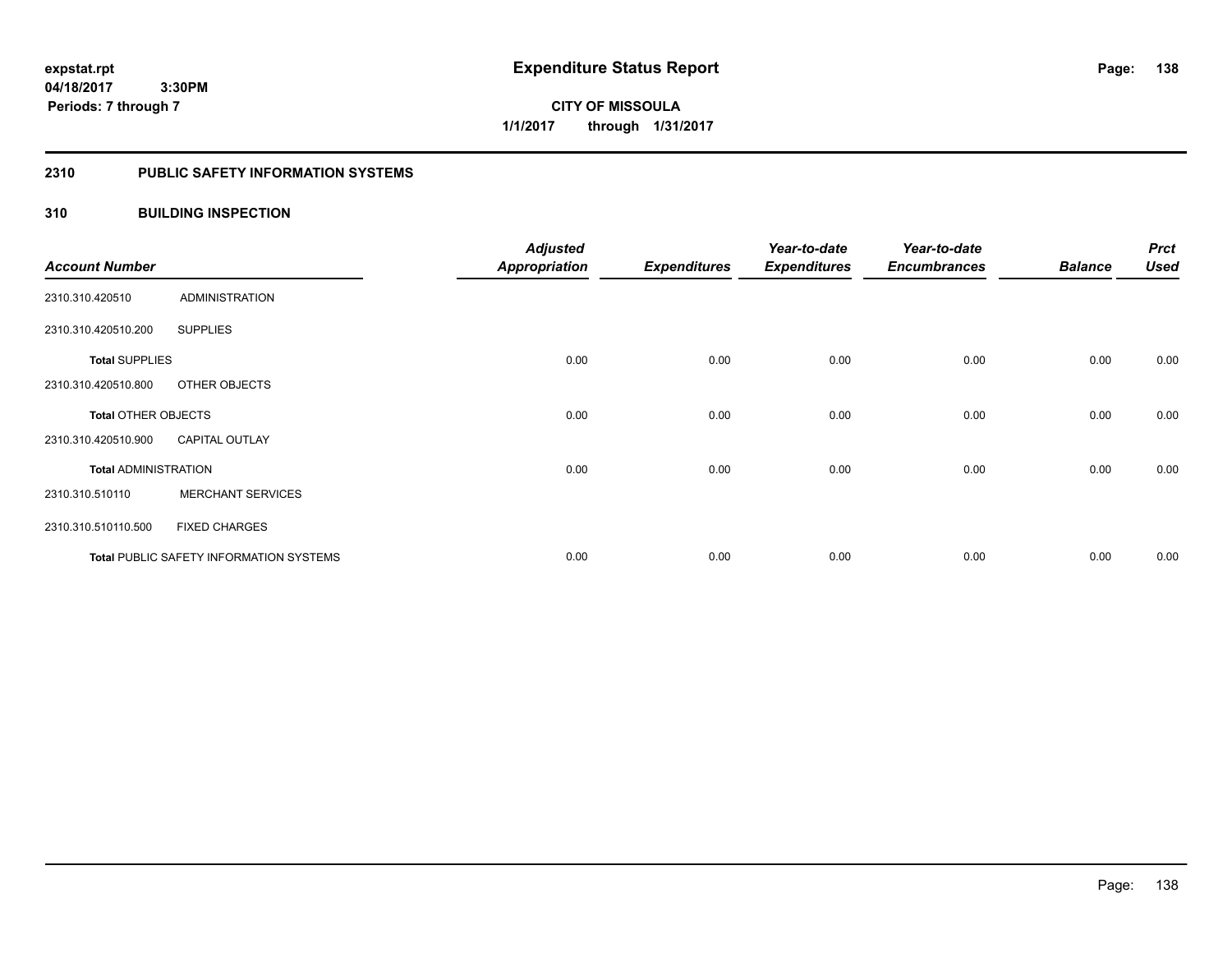**138**

**04/18/2017 3:30PM Periods: 7 through 7**

**CITY OF MISSOULA 1/1/2017 through 1/31/2017**

#### **2310 PUBLIC SAFETY INFORMATION SYSTEMS**

## **310 BUILDING INSPECTION**

| <b>Account Number</b>       |                                                | <b>Adjusted</b><br><b>Appropriation</b> | <b>Expenditures</b> | Year-to-date<br><b>Expenditures</b> | Year-to-date<br><b>Encumbrances</b> | <b>Balance</b> | <b>Prct</b><br><b>Used</b> |
|-----------------------------|------------------------------------------------|-----------------------------------------|---------------------|-------------------------------------|-------------------------------------|----------------|----------------------------|
| 2310.310.420510             | <b>ADMINISTRATION</b>                          |                                         |                     |                                     |                                     |                |                            |
| 2310.310.420510.200         | <b>SUPPLIES</b>                                |                                         |                     |                                     |                                     |                |                            |
| <b>Total SUPPLIES</b>       |                                                | 0.00                                    | 0.00                | 0.00                                | 0.00                                | 0.00           | 0.00                       |
| 2310.310.420510.800         | OTHER OBJECTS                                  |                                         |                     |                                     |                                     |                |                            |
| <b>Total OTHER OBJECTS</b>  |                                                | 0.00                                    | 0.00                | 0.00                                | 0.00                                | 0.00           | 0.00                       |
| 2310.310.420510.900         | <b>CAPITAL OUTLAY</b>                          |                                         |                     |                                     |                                     |                |                            |
| <b>Total ADMINISTRATION</b> |                                                | 0.00                                    | 0.00                | 0.00                                | 0.00                                | 0.00           | 0.00                       |
| 2310.310.510110             | <b>MERCHANT SERVICES</b>                       |                                         |                     |                                     |                                     |                |                            |
| 2310.310.510110.500         | <b>FIXED CHARGES</b>                           |                                         |                     |                                     |                                     |                |                            |
|                             | <b>Total PUBLIC SAFETY INFORMATION SYSTEMS</b> | 0.00                                    | 0.00                | 0.00                                | 0.00                                | 0.00           | 0.00                       |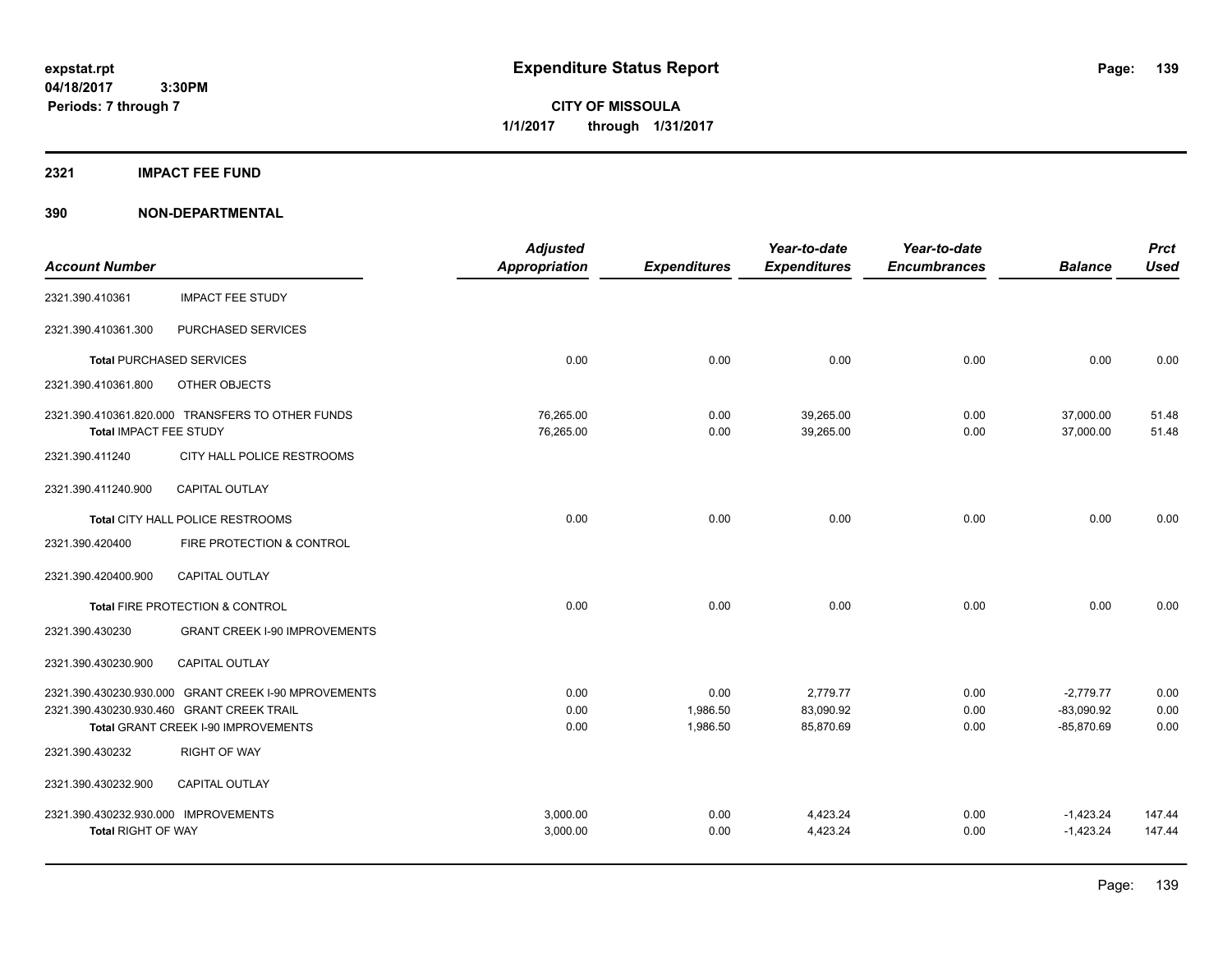**CITY OF MISSOULA 1/1/2017 through 1/31/2017**

#### **2321 IMPACT FEE FUND**

|                                                                   |                                                                                                                                          | <b>Adjusted</b>        |                              | Year-to-date                       | Year-to-date         |                                             | <b>Prct</b>          |
|-------------------------------------------------------------------|------------------------------------------------------------------------------------------------------------------------------------------|------------------------|------------------------------|------------------------------------|----------------------|---------------------------------------------|----------------------|
| <b>Account Number</b>                                             |                                                                                                                                          | <b>Appropriation</b>   | <b>Expenditures</b>          | <b>Expenditures</b>                | <b>Encumbrances</b>  | <b>Balance</b>                              | <b>Used</b>          |
| 2321.390.410361                                                   | <b>IMPACT FEE STUDY</b>                                                                                                                  |                        |                              |                                    |                      |                                             |                      |
| 2321.390.410361.300                                               | PURCHASED SERVICES                                                                                                                       |                        |                              |                                    |                      |                                             |                      |
|                                                                   | <b>Total PURCHASED SERVICES</b>                                                                                                          | 0.00                   | 0.00                         | 0.00                               | 0.00                 | 0.00                                        | 0.00                 |
| 2321.390.410361.800                                               | OTHER OBJECTS                                                                                                                            |                        |                              |                                    |                      |                                             |                      |
| Total IMPACT FEE STUDY                                            | 2321.390.410361.820.000 TRANSFERS TO OTHER FUNDS                                                                                         | 76,265.00<br>76,265.00 | 0.00<br>0.00                 | 39,265.00<br>39,265.00             | 0.00<br>0.00         | 37,000.00<br>37,000.00                      | 51.48<br>51.48       |
| 2321.390.411240                                                   | CITY HALL POLICE RESTROOMS                                                                                                               |                        |                              |                                    |                      |                                             |                      |
| 2321.390.411240.900                                               | <b>CAPITAL OUTLAY</b>                                                                                                                    |                        |                              |                                    |                      |                                             |                      |
|                                                                   | Total CITY HALL POLICE RESTROOMS                                                                                                         | 0.00                   | 0.00                         | 0.00                               | 0.00                 | 0.00                                        | 0.00                 |
| 2321.390.420400                                                   | FIRE PROTECTION & CONTROL                                                                                                                |                        |                              |                                    |                      |                                             |                      |
| 2321.390.420400.900                                               | <b>CAPITAL OUTLAY</b>                                                                                                                    |                        |                              |                                    |                      |                                             |                      |
|                                                                   | Total FIRE PROTECTION & CONTROL                                                                                                          | 0.00                   | 0.00                         | 0.00                               | 0.00                 | 0.00                                        | 0.00                 |
| 2321.390.430230                                                   | <b>GRANT CREEK I-90 IMPROVEMENTS</b>                                                                                                     |                        |                              |                                    |                      |                                             |                      |
| 2321.390.430230.900                                               | <b>CAPITAL OUTLAY</b>                                                                                                                    |                        |                              |                                    |                      |                                             |                      |
|                                                                   | 2321.390.430230.930.000 GRANT CREEK I-90 MPROVEMENTS<br>2321.390.430230.930.460 GRANT CREEK TRAIL<br>Total GRANT CREEK I-90 IMPROVEMENTS | 0.00<br>0.00<br>0.00   | 0.00<br>1,986.50<br>1,986.50 | 2,779.77<br>83,090.92<br>85,870.69 | 0.00<br>0.00<br>0.00 | $-2,779.77$<br>$-83,090.92$<br>$-85,870.69$ | 0.00<br>0.00<br>0.00 |
| 2321.390.430232                                                   | <b>RIGHT OF WAY</b>                                                                                                                      |                        |                              |                                    |                      |                                             |                      |
| 2321.390.430232.900                                               | <b>CAPITAL OUTLAY</b>                                                                                                                    |                        |                              |                                    |                      |                                             |                      |
| 2321.390.430232.930.000 IMPROVEMENTS<br><b>Total RIGHT OF WAY</b> |                                                                                                                                          | 3.000.00<br>3,000.00   | 0.00<br>0.00                 | 4,423.24<br>4,423.24               | 0.00<br>0.00         | $-1,423.24$<br>$-1,423.24$                  | 147.44<br>147.44     |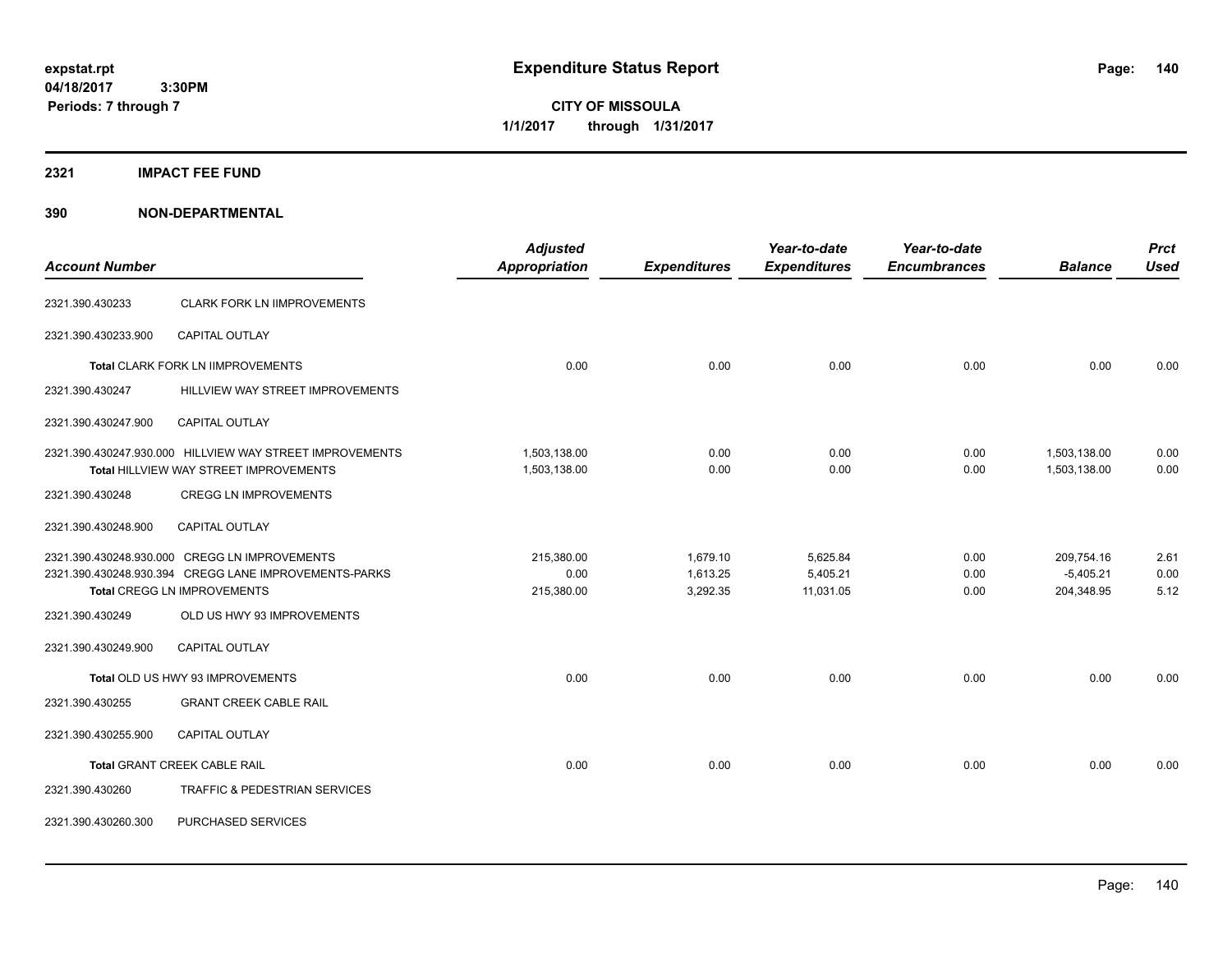**CITY OF MISSOULA 1/1/2017 through 1/31/2017**

#### **2321 IMPACT FEE FUND**

|                       |                                                                                                                                       | <b>Adjusted</b>                  |                                  | Year-to-date                      | Year-to-date         |                                         | <b>Prct</b>          |
|-----------------------|---------------------------------------------------------------------------------------------------------------------------------------|----------------------------------|----------------------------------|-----------------------------------|----------------------|-----------------------------------------|----------------------|
| <b>Account Number</b> |                                                                                                                                       | <b>Appropriation</b>             | <b>Expenditures</b>              | <b>Expenditures</b>               | <b>Encumbrances</b>  | <b>Balance</b>                          | <b>Used</b>          |
| 2321.390.430233       | <b>CLARK FORK LN IIMPROVEMENTS</b>                                                                                                    |                                  |                                  |                                   |                      |                                         |                      |
| 2321.390.430233.900   | <b>CAPITAL OUTLAY</b>                                                                                                                 |                                  |                                  |                                   |                      |                                         |                      |
|                       | <b>Total CLARK FORK LN IIMPROVEMENTS</b>                                                                                              | 0.00                             | 0.00                             | 0.00                              | 0.00                 | 0.00                                    | 0.00                 |
| 2321.390.430247       | HILLVIEW WAY STREET IMPROVEMENTS                                                                                                      |                                  |                                  |                                   |                      |                                         |                      |
| 2321.390.430247.900   | CAPITAL OUTLAY                                                                                                                        |                                  |                                  |                                   |                      |                                         |                      |
|                       | 2321.390.430247.930.000 HILLVIEW WAY STREET IMPROVEMENTS<br>Total HILLVIEW WAY STREET IMPROVEMENTS                                    | 1,503,138.00<br>1,503,138.00     | 0.00<br>0.00                     | 0.00<br>0.00                      | 0.00<br>0.00         | 1,503,138.00<br>1,503,138.00            | 0.00<br>0.00         |
| 2321.390.430248       | <b>CREGG LN IMPROVEMENTS</b>                                                                                                          |                                  |                                  |                                   |                      |                                         |                      |
| 2321.390.430248.900   | CAPITAL OUTLAY                                                                                                                        |                                  |                                  |                                   |                      |                                         |                      |
|                       | 2321.390.430248.930.000 CREGG LN IMPROVEMENTS<br>2321.390.430248.930.394 CREGG LANE IMPROVEMENTS-PARKS<br>Total CREGG LN IMPROVEMENTS | 215,380.00<br>0.00<br>215,380.00 | 1,679.10<br>1,613.25<br>3,292.35 | 5,625.84<br>5,405.21<br>11,031.05 | 0.00<br>0.00<br>0.00 | 209,754.16<br>$-5,405.21$<br>204,348.95 | 2.61<br>0.00<br>5.12 |
| 2321.390.430249       | OLD US HWY 93 IMPROVEMENTS                                                                                                            |                                  |                                  |                                   |                      |                                         |                      |
| 2321.390.430249.900   | <b>CAPITAL OUTLAY</b>                                                                                                                 |                                  |                                  |                                   |                      |                                         |                      |
|                       | Total OLD US HWY 93 IMPROVEMENTS                                                                                                      | 0.00                             | 0.00                             | 0.00                              | 0.00                 | 0.00                                    | 0.00                 |
| 2321.390.430255       | <b>GRANT CREEK CABLE RAIL</b>                                                                                                         |                                  |                                  |                                   |                      |                                         |                      |
| 2321.390.430255.900   | CAPITAL OUTLAY                                                                                                                        |                                  |                                  |                                   |                      |                                         |                      |
|                       | Total GRANT CREEK CABLE RAIL                                                                                                          | 0.00                             | 0.00                             | 0.00                              | 0.00                 | 0.00                                    | 0.00                 |
| 2321.390.430260       | TRAFFIC & PEDESTRIAN SERVICES                                                                                                         |                                  |                                  |                                   |                      |                                         |                      |
| 2321.390.430260.300   | PURCHASED SERVICES                                                                                                                    |                                  |                                  |                                   |                      |                                         |                      |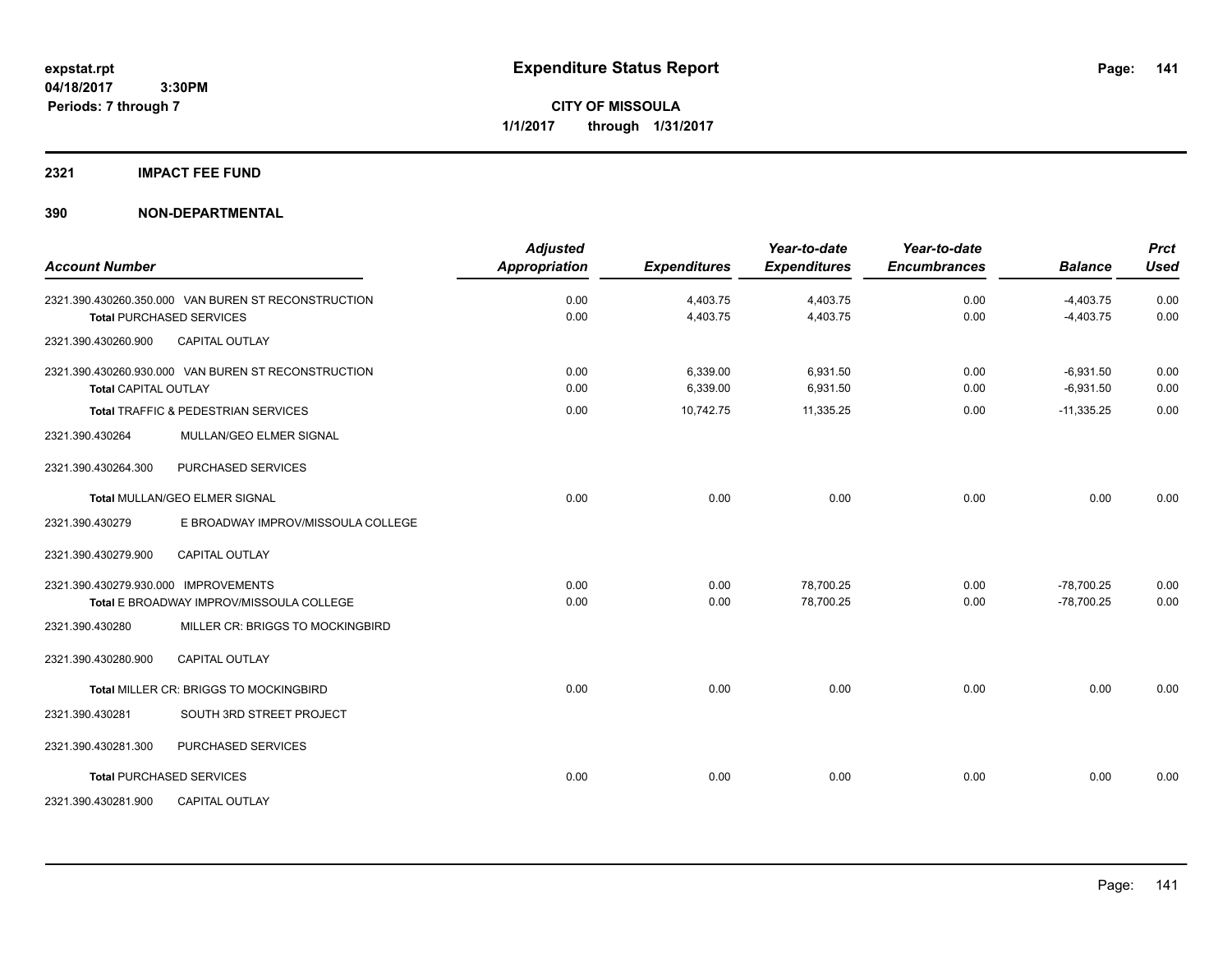## **2321 IMPACT FEE FUND**

| <b>Account Number</b>                |                                                     | <b>Adjusted</b><br><b>Appropriation</b> | <b>Expenditures</b>  | Year-to-date<br><b>Expenditures</b> | Year-to-date<br><b>Encumbrances</b> | <b>Balance</b>               | <b>Prct</b><br><b>Used</b> |
|--------------------------------------|-----------------------------------------------------|-----------------------------------------|----------------------|-------------------------------------|-------------------------------------|------------------------------|----------------------------|
| <b>Total PURCHASED SERVICES</b>      | 2321.390.430260.350.000 VAN BUREN ST RECONSTRUCTION | 0.00<br>0.00                            | 4,403.75<br>4,403.75 | 4,403.75<br>4,403.75                | 0.00<br>0.00                        | $-4,403.75$<br>$-4,403.75$   | 0.00<br>0.00               |
| 2321.390.430260.900                  | <b>CAPITAL OUTLAY</b>                               |                                         |                      |                                     |                                     |                              |                            |
| <b>Total CAPITAL OUTLAY</b>          | 2321.390.430260.930.000 VAN BUREN ST RECONSTRUCTION | 0.00<br>0.00                            | 6,339.00<br>6,339.00 | 6,931.50<br>6,931.50                | 0.00<br>0.00                        | $-6,931.50$<br>$-6,931.50$   | 0.00<br>0.00               |
|                                      | Total TRAFFIC & PEDESTRIAN SERVICES                 | 0.00                                    | 10,742.75            | 11,335.25                           | 0.00                                | $-11,335.25$                 | 0.00                       |
| 2321.390.430264                      | MULLAN/GEO ELMER SIGNAL                             |                                         |                      |                                     |                                     |                              |                            |
| 2321.390.430264.300                  | PURCHASED SERVICES                                  |                                         |                      |                                     |                                     |                              |                            |
|                                      | Total MULLAN/GEO ELMER SIGNAL                       | 0.00                                    | 0.00                 | 0.00                                | 0.00                                | 0.00                         | 0.00                       |
| 2321.390.430279                      | E BROADWAY IMPROV/MISSOULA COLLEGE                  |                                         |                      |                                     |                                     |                              |                            |
| 2321.390.430279.900                  | <b>CAPITAL OUTLAY</b>                               |                                         |                      |                                     |                                     |                              |                            |
| 2321.390.430279.930.000 IMPROVEMENTS | Total E BROADWAY IMPROV/MISSOULA COLLEGE            | 0.00<br>0.00                            | 0.00<br>0.00         | 78.700.25<br>78,700.25              | 0.00<br>0.00                        | $-78.700.25$<br>$-78,700.25$ | 0.00<br>0.00               |
| 2321.390.430280                      | MILLER CR: BRIGGS TO MOCKINGBIRD                    |                                         |                      |                                     |                                     |                              |                            |
| 2321.390.430280.900                  | <b>CAPITAL OUTLAY</b>                               |                                         |                      |                                     |                                     |                              |                            |
|                                      | Total MILLER CR: BRIGGS TO MOCKINGBIRD              | 0.00                                    | 0.00                 | 0.00                                | 0.00                                | 0.00                         | 0.00                       |
| 2321.390.430281                      | SOUTH 3RD STREET PROJECT                            |                                         |                      |                                     |                                     |                              |                            |
| 2321.390.430281.300                  | PURCHASED SERVICES                                  |                                         |                      |                                     |                                     |                              |                            |
| <b>Total PURCHASED SERVICES</b>      |                                                     | 0.00                                    | 0.00                 | 0.00                                | 0.00                                | 0.00                         | 0.00                       |
| 2321.390.430281.900                  | <b>CAPITAL OUTLAY</b>                               |                                         |                      |                                     |                                     |                              |                            |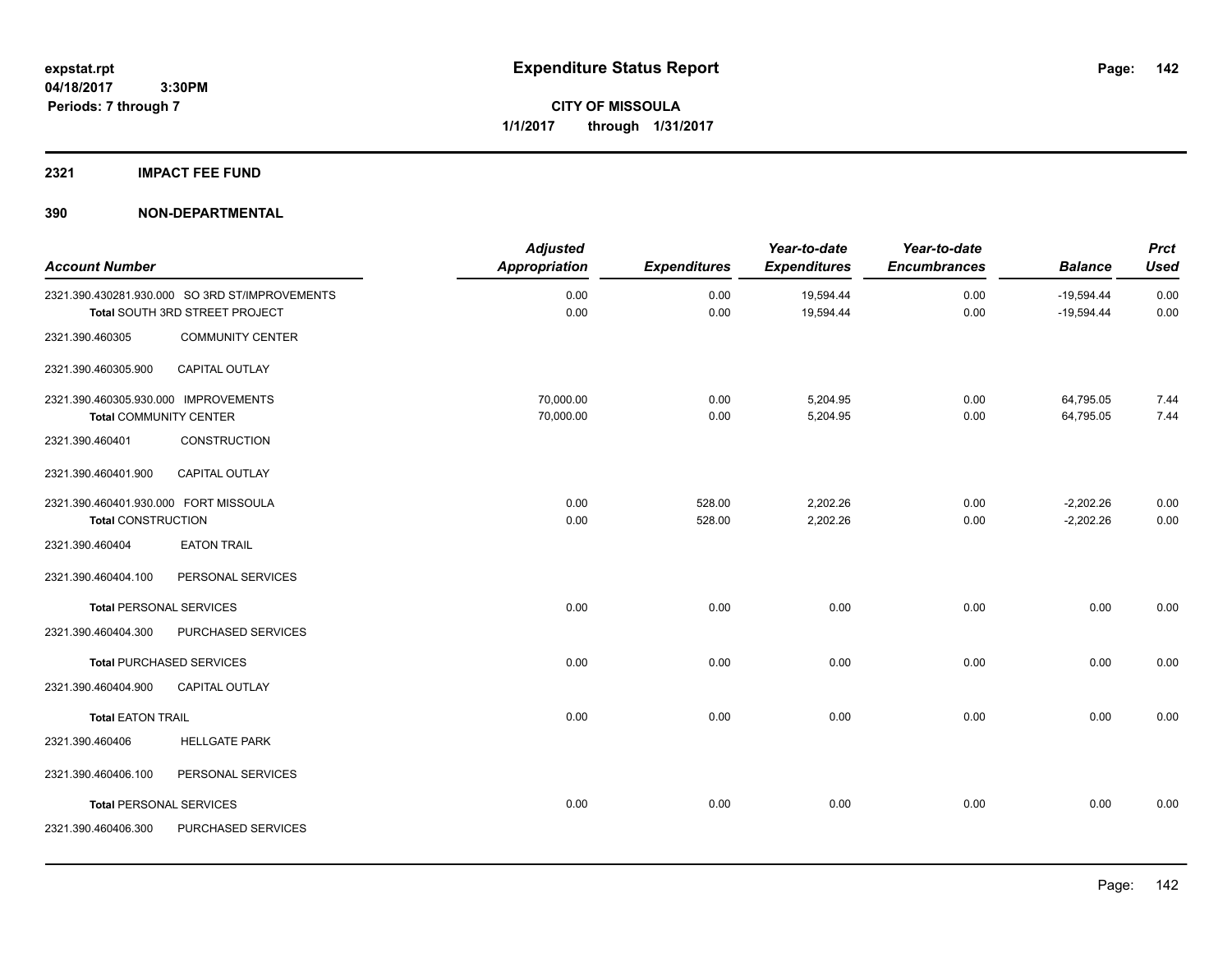## **2321 IMPACT FEE FUND**

| <b>Account Number</b>                                                 |                                                                                  | <b>Adjusted</b><br>Appropriation | <b>Expenditures</b> | Year-to-date<br><b>Expenditures</b> | Year-to-date<br><b>Encumbrances</b> | <b>Balance</b>               | <b>Prct</b><br><b>Used</b> |
|-----------------------------------------------------------------------|----------------------------------------------------------------------------------|----------------------------------|---------------------|-------------------------------------|-------------------------------------|------------------------------|----------------------------|
|                                                                       | 2321.390.430281.930.000 SO 3RD ST/IMPROVEMENTS<br>Total SOUTH 3RD STREET PROJECT | 0.00<br>0.00                     | 0.00<br>0.00        | 19,594.44<br>19,594.44              | 0.00<br>0.00                        | $-19,594.44$<br>$-19,594.44$ | 0.00<br>0.00               |
| 2321.390.460305                                                       | <b>COMMUNITY CENTER</b>                                                          |                                  |                     |                                     |                                     |                              |                            |
| 2321.390.460305.900                                                   | CAPITAL OUTLAY                                                                   |                                  |                     |                                     |                                     |                              |                            |
| 2321.390.460305.930.000 IMPROVEMENTS<br><b>Total COMMUNITY CENTER</b> |                                                                                  | 70,000.00<br>70,000.00           | 0.00<br>0.00        | 5,204.95<br>5,204.95                | 0.00<br>0.00                        | 64,795.05<br>64,795.05       | 7.44<br>7.44               |
| 2321.390.460401                                                       | <b>CONSTRUCTION</b>                                                              |                                  |                     |                                     |                                     |                              |                            |
| 2321.390.460401.900                                                   | CAPITAL OUTLAY                                                                   |                                  |                     |                                     |                                     |                              |                            |
| 2321.390.460401.930.000 FORT MISSOULA<br><b>Total CONSTRUCTION</b>    |                                                                                  | 0.00<br>0.00                     | 528.00<br>528.00    | 2,202.26<br>2,202.26                | 0.00<br>0.00                        | $-2,202.26$<br>$-2,202.26$   | 0.00<br>0.00               |
| 2321.390.460404                                                       | <b>EATON TRAIL</b>                                                               |                                  |                     |                                     |                                     |                              |                            |
| 2321.390.460404.100                                                   | PERSONAL SERVICES                                                                |                                  |                     |                                     |                                     |                              |                            |
| <b>Total PERSONAL SERVICES</b>                                        |                                                                                  | 0.00                             | 0.00                | 0.00                                | 0.00                                | 0.00                         | 0.00                       |
| 2321.390.460404.300                                                   | PURCHASED SERVICES                                                               |                                  |                     |                                     |                                     |                              |                            |
|                                                                       | <b>Total PURCHASED SERVICES</b>                                                  | 0.00                             | 0.00                | 0.00                                | 0.00                                | 0.00                         | 0.00                       |
| 2321.390.460404.900                                                   | <b>CAPITAL OUTLAY</b>                                                            |                                  |                     |                                     |                                     |                              |                            |
| <b>Total EATON TRAIL</b>                                              |                                                                                  | 0.00                             | 0.00                | 0.00                                | 0.00                                | 0.00                         | 0.00                       |
| 2321.390.460406                                                       | <b>HELLGATE PARK</b>                                                             |                                  |                     |                                     |                                     |                              |                            |
| 2321.390.460406.100                                                   | PERSONAL SERVICES                                                                |                                  |                     |                                     |                                     |                              |                            |
| <b>Total PERSONAL SERVICES</b>                                        |                                                                                  | 0.00                             | 0.00                | 0.00                                | 0.00                                | 0.00                         | 0.00                       |
| 2321.390.460406.300                                                   | PURCHASED SERVICES                                                               |                                  |                     |                                     |                                     |                              |                            |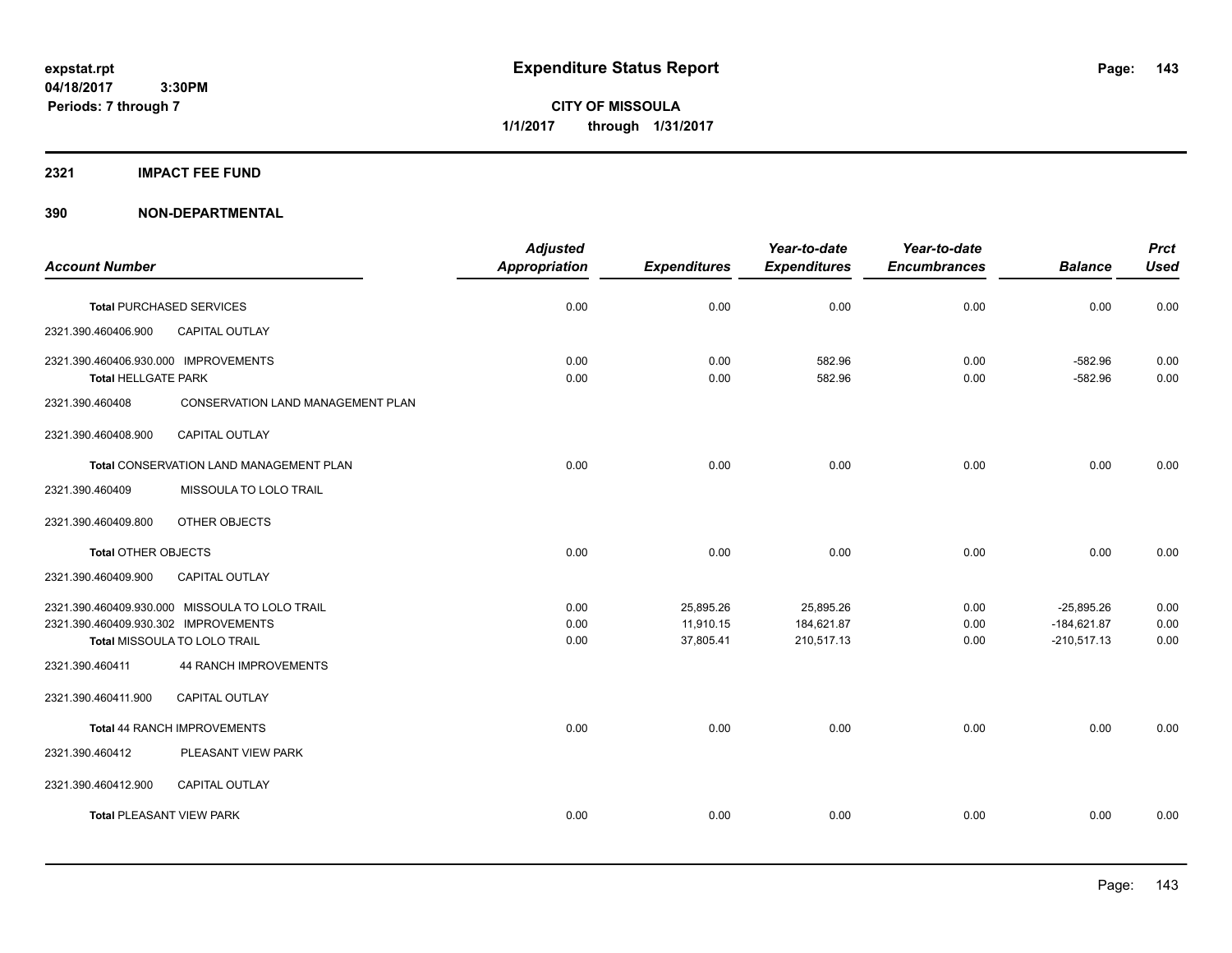**CITY OF MISSOULA 1/1/2017 through 1/31/2017**

#### **2321 IMPACT FEE FUND**

|                                                |                                         | <b>Adjusted</b> |                     | Year-to-date        | Year-to-date        |                | <b>Prct</b> |
|------------------------------------------------|-----------------------------------------|-----------------|---------------------|---------------------|---------------------|----------------|-------------|
| <b>Account Number</b>                          |                                         | Appropriation   | <b>Expenditures</b> | <b>Expenditures</b> | <b>Encumbrances</b> | <b>Balance</b> | <b>Used</b> |
| <b>Total PURCHASED SERVICES</b>                |                                         | 0.00            | 0.00                | 0.00                | 0.00                | 0.00           | 0.00        |
| 2321.390.460406.900                            | <b>CAPITAL OUTLAY</b>                   |                 |                     |                     |                     |                |             |
| 2321.390.460406.930.000 IMPROVEMENTS           |                                         | 0.00            | 0.00                | 582.96              | 0.00                | $-582.96$      | 0.00        |
| <b>Total HELLGATE PARK</b>                     |                                         | 0.00            | 0.00                | 582.96              | 0.00                | $-582.96$      | 0.00        |
| 2321.390.460408                                | CONSERVATION LAND MANAGEMENT PLAN       |                 |                     |                     |                     |                |             |
| 2321.390.460408.900                            | <b>CAPITAL OUTLAY</b>                   |                 |                     |                     |                     |                |             |
|                                                | Total CONSERVATION LAND MANAGEMENT PLAN | 0.00            | 0.00                | 0.00                | 0.00                | 0.00           | 0.00        |
| 2321.390.460409                                | MISSOULA TO LOLO TRAIL                  |                 |                     |                     |                     |                |             |
| 2321.390.460409.800                            | OTHER OBJECTS                           |                 |                     |                     |                     |                |             |
| <b>Total OTHER OBJECTS</b>                     |                                         | 0.00            | 0.00                | 0.00                | 0.00                | 0.00           | 0.00        |
| 2321.390.460409.900                            | <b>CAPITAL OUTLAY</b>                   |                 |                     |                     |                     |                |             |
| 2321.390.460409.930.000 MISSOULA TO LOLO TRAIL |                                         | 0.00            | 25,895.26           | 25,895.26           | 0.00                | $-25,895.26$   | 0.00        |
| 2321.390.460409.930.302 IMPROVEMENTS           |                                         | 0.00            | 11,910.15           | 184,621.87          | 0.00                | $-184,621.87$  | 0.00        |
| Total MISSOULA TO LOLO TRAIL                   |                                         | 0.00            | 37,805.41           | 210,517.13          | 0.00                | $-210,517.13$  | 0.00        |
| 2321.390.460411                                | <b>44 RANCH IMPROVEMENTS</b>            |                 |                     |                     |                     |                |             |
| 2321.390.460411.900                            | CAPITAL OUTLAY                          |                 |                     |                     |                     |                |             |
| Total 44 RANCH IMPROVEMENTS                    |                                         | 0.00            | 0.00                | 0.00                | 0.00                | 0.00           | 0.00        |
| 2321.390.460412                                | PLEASANT VIEW PARK                      |                 |                     |                     |                     |                |             |
| 2321.390.460412.900                            | <b>CAPITAL OUTLAY</b>                   |                 |                     |                     |                     |                |             |
| <b>Total PLEASANT VIEW PARK</b>                |                                         | 0.00            | 0.00                | 0.00                | 0.00                | 0.00           | 0.00        |
|                                                |                                         |                 |                     |                     |                     |                |             |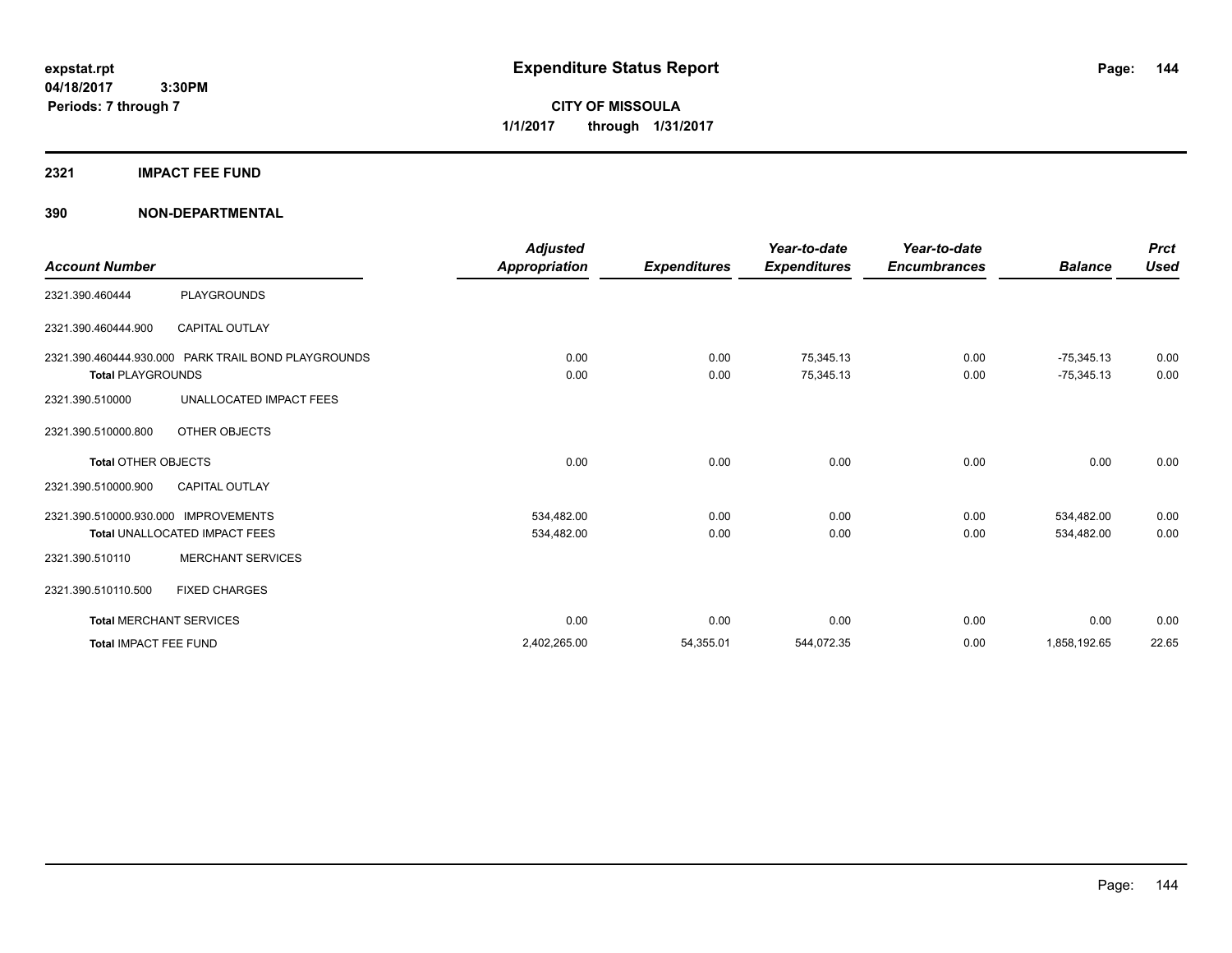**CITY OF MISSOULA 1/1/2017 through 1/31/2017**

## **2321 IMPACT FEE FUND**

| <b>Account Number</b>                |                                                     | <b>Adjusted</b><br>Appropriation | <b>Expenditures</b> | Year-to-date<br><b>Expenditures</b> | Year-to-date<br><b>Encumbrances</b> | <b>Balance</b>               | <b>Prct</b><br><b>Used</b> |
|--------------------------------------|-----------------------------------------------------|----------------------------------|---------------------|-------------------------------------|-------------------------------------|------------------------------|----------------------------|
| 2321.390.460444                      | <b>PLAYGROUNDS</b>                                  |                                  |                     |                                     |                                     |                              |                            |
| 2321.390.460444.900                  | CAPITAL OUTLAY                                      |                                  |                     |                                     |                                     |                              |                            |
| <b>Total PLAYGROUNDS</b>             | 2321.390.460444.930.000 PARK TRAIL BOND PLAYGROUNDS | 0.00<br>0.00                     | 0.00<br>0.00        | 75,345.13<br>75,345.13              | 0.00<br>0.00                        | $-75,345.13$<br>$-75,345.13$ | 0.00<br>0.00               |
| 2321.390.510000                      | UNALLOCATED IMPACT FEES                             |                                  |                     |                                     |                                     |                              |                            |
| 2321.390.510000.800                  | OTHER OBJECTS                                       |                                  |                     |                                     |                                     |                              |                            |
| Total OTHER OBJECTS                  |                                                     | 0.00                             | 0.00                | 0.00                                | 0.00                                | 0.00                         | 0.00                       |
| 2321.390.510000.900                  | <b>CAPITAL OUTLAY</b>                               |                                  |                     |                                     |                                     |                              |                            |
| 2321.390.510000.930.000 IMPROVEMENTS |                                                     | 534,482.00                       | 0.00                | 0.00                                | 0.00                                | 534,482.00                   | 0.00                       |
|                                      | Total UNALLOCATED IMPACT FEES                       | 534,482.00                       | 0.00                | 0.00                                | 0.00                                | 534,482.00                   | 0.00                       |
| 2321.390.510110                      | <b>MERCHANT SERVICES</b>                            |                                  |                     |                                     |                                     |                              |                            |
| 2321.390.510110.500                  | <b>FIXED CHARGES</b>                                |                                  |                     |                                     |                                     |                              |                            |
|                                      | <b>Total MERCHANT SERVICES</b>                      | 0.00                             | 0.00                | 0.00                                | 0.00                                | 0.00                         | 0.00                       |
| <b>Total IMPACT FEE FUND</b>         |                                                     | 2,402,265.00                     | 54,355.01           | 544,072.35                          | 0.00                                | 1,858,192.65                 | 22.65                      |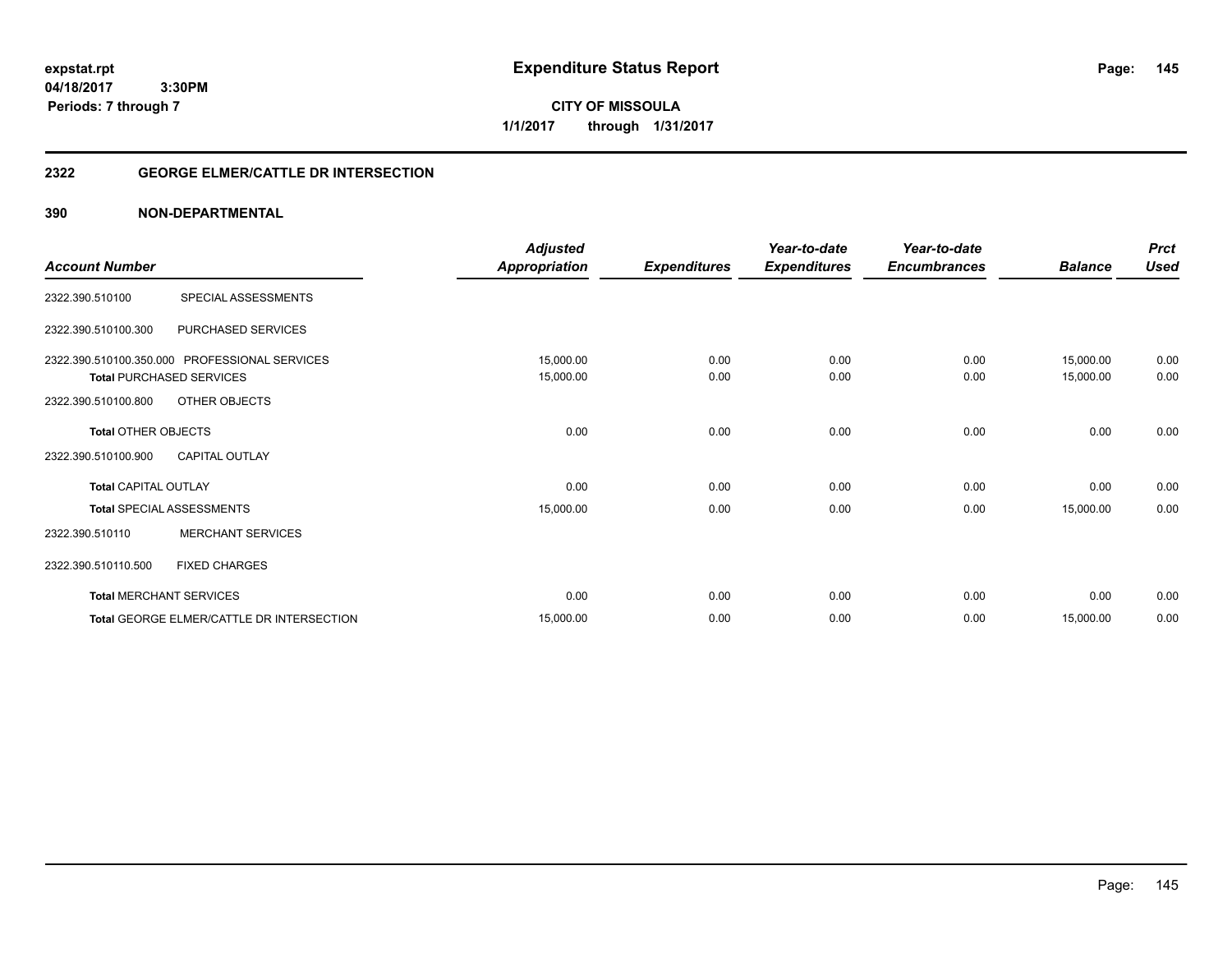**expstat.rpt Expenditure Status Report** 

**04/18/2017 3:30PM Periods: 7 through 7**

# **2322 GEORGE ELMER/CATTLE DR INTERSECTION**

| <b>Account Number</b>       |                                               | <b>Adjusted</b><br><b>Appropriation</b> | <b>Expenditures</b> | Year-to-date<br><b>Expenditures</b> | Year-to-date<br><b>Encumbrances</b> | <b>Balance</b> | <b>Prct</b><br><b>Used</b> |
|-----------------------------|-----------------------------------------------|-----------------------------------------|---------------------|-------------------------------------|-------------------------------------|----------------|----------------------------|
|                             |                                               |                                         |                     |                                     |                                     |                |                            |
| 2322.390.510100             | SPECIAL ASSESSMENTS                           |                                         |                     |                                     |                                     |                |                            |
| 2322.390.510100.300         | PURCHASED SERVICES                            |                                         |                     |                                     |                                     |                |                            |
|                             | 2322.390.510100.350.000 PROFESSIONAL SERVICES | 15,000.00                               | 0.00                | 0.00                                | 0.00                                | 15,000.00      | 0.00                       |
|                             | <b>Total PURCHASED SERVICES</b>               | 15,000.00                               | 0.00                | 0.00                                | 0.00                                | 15,000.00      | 0.00                       |
| 2322.390.510100.800         | OTHER OBJECTS                                 |                                         |                     |                                     |                                     |                |                            |
| <b>Total OTHER OBJECTS</b>  |                                               | 0.00                                    | 0.00                | 0.00                                | 0.00                                | 0.00           | 0.00                       |
| 2322.390.510100.900         | <b>CAPITAL OUTLAY</b>                         |                                         |                     |                                     |                                     |                |                            |
| <b>Total CAPITAL OUTLAY</b> |                                               | 0.00                                    | 0.00                | 0.00                                | 0.00                                | 0.00           | 0.00                       |
|                             | <b>Total SPECIAL ASSESSMENTS</b>              | 15,000.00                               | 0.00                | 0.00                                | 0.00                                | 15,000.00      | 0.00                       |
| 2322.390.510110             | <b>MERCHANT SERVICES</b>                      |                                         |                     |                                     |                                     |                |                            |
| 2322.390.510110.500         | <b>FIXED CHARGES</b>                          |                                         |                     |                                     |                                     |                |                            |
|                             | <b>Total MERCHANT SERVICES</b>                | 0.00                                    | 0.00                | 0.00                                | 0.00                                | 0.00           | 0.00                       |
|                             | Total GEORGE ELMER/CATTLE DR INTERSECTION     | 15,000.00                               | 0.00                | 0.00                                | 0.00                                | 15,000.00      | 0.00                       |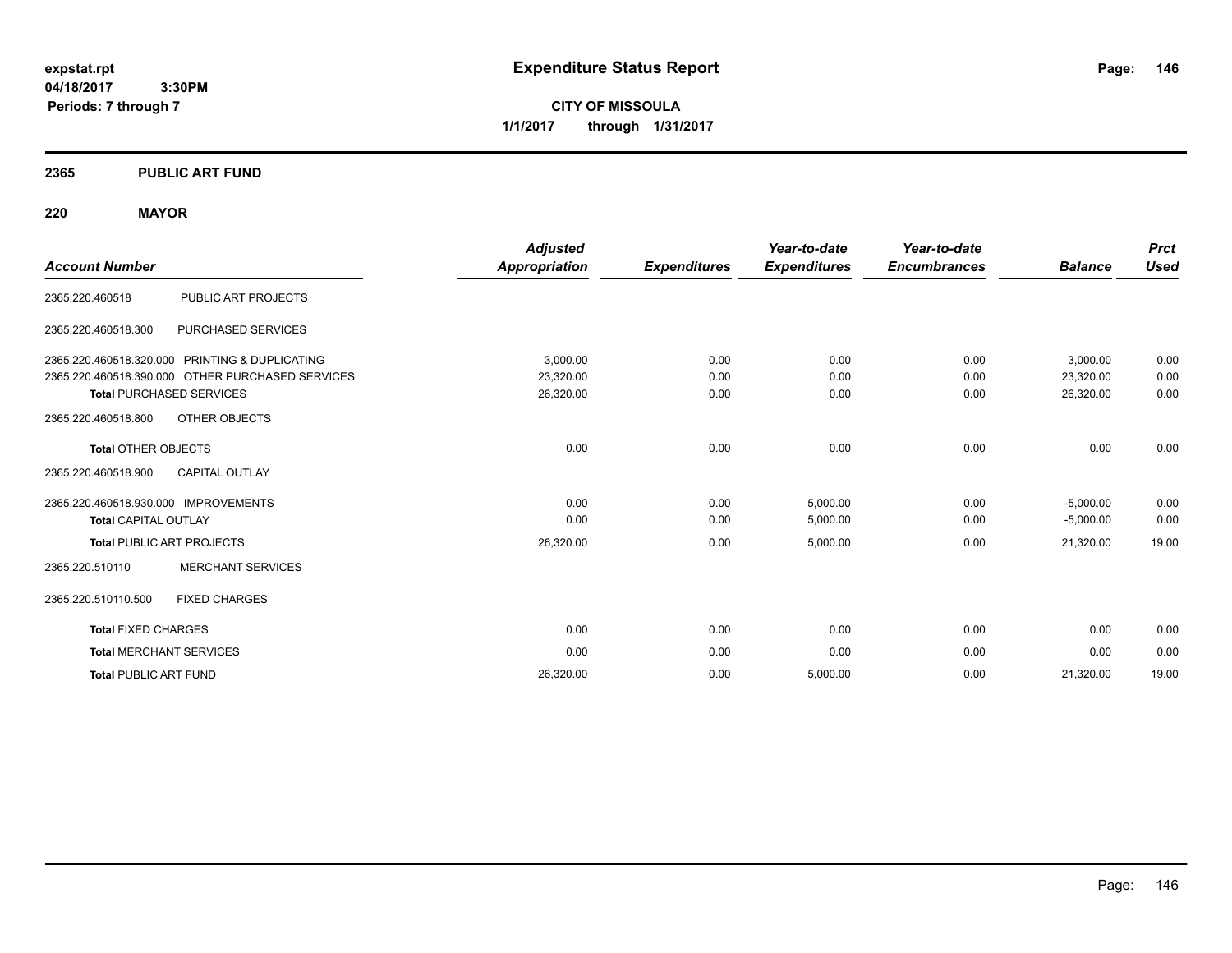**CITY OF MISSOULA 1/1/2017 through 1/31/2017**

## **2365 PUBLIC ART FUND**

## **220 MAYOR**

|                                                  | <b>Adjusted</b>      |                     | Year-to-date        | Year-to-date        |                | <b>Prct</b> |
|--------------------------------------------------|----------------------|---------------------|---------------------|---------------------|----------------|-------------|
| <b>Account Number</b>                            | <b>Appropriation</b> | <b>Expenditures</b> | <b>Expenditures</b> | <b>Encumbrances</b> | <b>Balance</b> | Used        |
| PUBLIC ART PROJECTS<br>2365.220.460518           |                      |                     |                     |                     |                |             |
| PURCHASED SERVICES<br>2365.220.460518.300        |                      |                     |                     |                     |                |             |
| 2365.220.460518.320.000 PRINTING & DUPLICATING   | 3,000.00             | 0.00                | 0.00                | 0.00                | 3,000.00       | 0.00        |
| 2365.220.460518.390.000 OTHER PURCHASED SERVICES | 23,320.00            | 0.00                | 0.00                | 0.00                | 23,320.00      | 0.00        |
| <b>Total PURCHASED SERVICES</b>                  | 26,320.00            | 0.00                | 0.00                | 0.00                | 26,320.00      | 0.00        |
| OTHER OBJECTS<br>2365.220.460518.800             |                      |                     |                     |                     |                |             |
| <b>Total OTHER OBJECTS</b>                       | 0.00                 | 0.00                | 0.00                | 0.00                | 0.00           | 0.00        |
| 2365.220.460518.900<br><b>CAPITAL OUTLAY</b>     |                      |                     |                     |                     |                |             |
| 2365.220.460518.930.000 IMPROVEMENTS             | 0.00                 | 0.00                | 5,000.00            | 0.00                | $-5,000.00$    | 0.00        |
| <b>Total CAPITAL OUTLAY</b>                      | 0.00                 | 0.00                | 5,000.00            | 0.00                | $-5,000.00$    | 0.00        |
| <b>Total PUBLIC ART PROJECTS</b>                 | 26,320.00            | 0.00                | 5,000.00            | 0.00                | 21,320.00      | 19.00       |
| <b>MERCHANT SERVICES</b><br>2365.220.510110      |                      |                     |                     |                     |                |             |
| 2365.220.510110.500<br><b>FIXED CHARGES</b>      |                      |                     |                     |                     |                |             |
| <b>Total FIXED CHARGES</b>                       | 0.00                 | 0.00                | 0.00                | 0.00                | 0.00           | 0.00        |
| <b>Total MERCHANT SERVICES</b>                   | 0.00                 | 0.00                | 0.00                | 0.00                | 0.00           | 0.00        |
| <b>Total PUBLIC ART FUND</b>                     | 26,320.00            | 0.00                | 5,000.00            | 0.00                | 21,320.00      | 19.00       |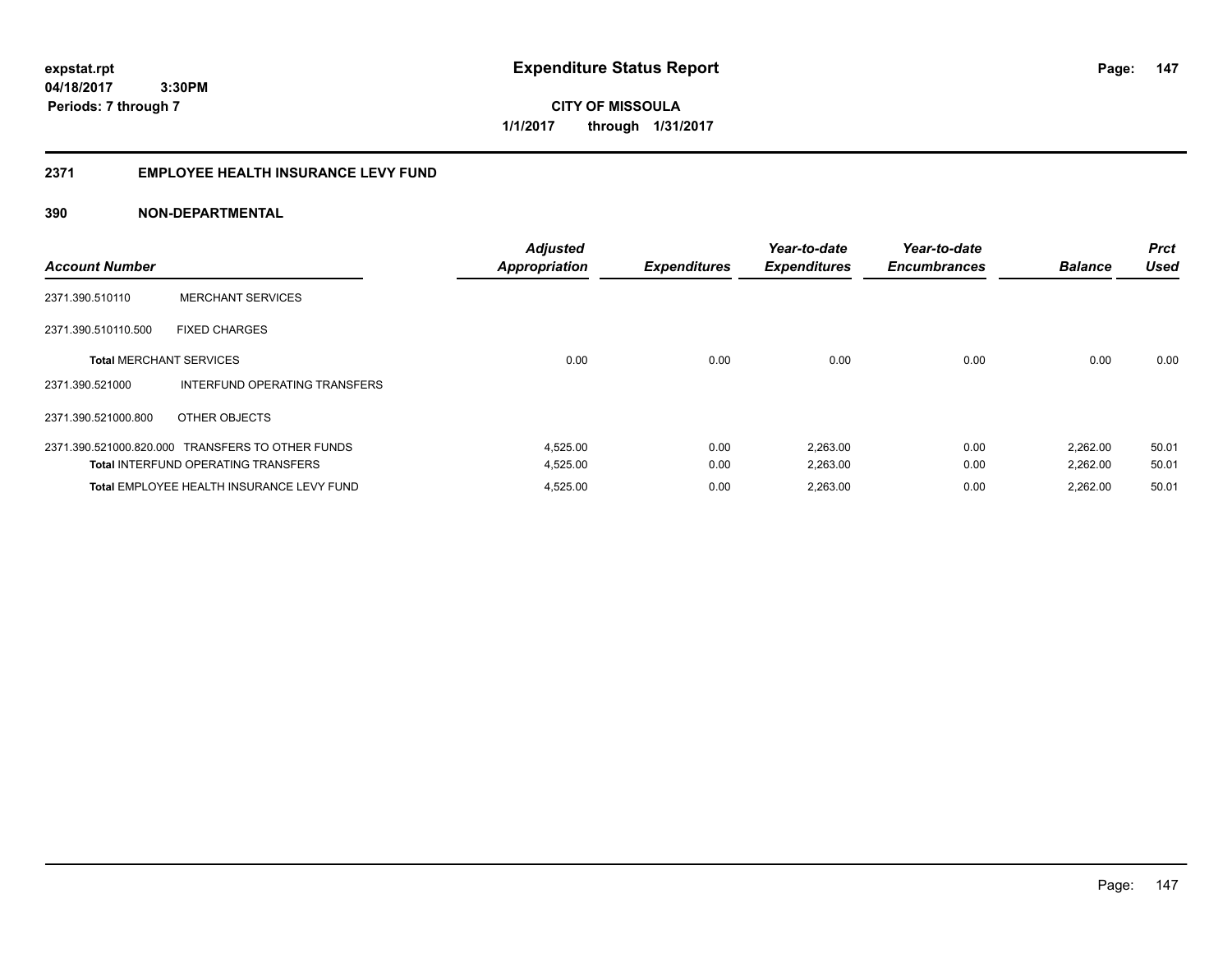**147**

**04/18/2017 3:30PM Periods: 7 through 7**

**CITY OF MISSOULA 1/1/2017 through 1/31/2017**

#### **2371 EMPLOYEE HEALTH INSURANCE LEVY FUND**

| <b>Account Number</b>          |                                                  | <b>Adjusted</b><br><b>Appropriation</b> | <b>Expenditures</b> | Year-to-date<br><b>Expenditures</b> | Year-to-date<br><b>Encumbrances</b> | <b>Balance</b> | <b>Prct</b><br><b>Used</b> |
|--------------------------------|--------------------------------------------------|-----------------------------------------|---------------------|-------------------------------------|-------------------------------------|----------------|----------------------------|
| 2371.390.510110                | <b>MERCHANT SERVICES</b>                         |                                         |                     |                                     |                                     |                |                            |
| 2371.390.510110.500            | <b>FIXED CHARGES</b>                             |                                         |                     |                                     |                                     |                |                            |
| <b>Total MERCHANT SERVICES</b> |                                                  | 0.00                                    | 0.00                | 0.00                                | 0.00                                | 0.00           | 0.00                       |
| 2371.390.521000                | INTERFUND OPERATING TRANSFERS                    |                                         |                     |                                     |                                     |                |                            |
| 2371.390.521000.800            | OTHER OBJECTS                                    |                                         |                     |                                     |                                     |                |                            |
|                                | 2371.390.521000.820.000 TRANSFERS TO OTHER FUNDS | 4,525.00                                | 0.00                | 2,263.00                            | 0.00                                | 2,262.00       | 50.01                      |
|                                | <b>Total INTERFUND OPERATING TRANSFERS</b>       | 4,525.00                                | 0.00                | 2,263.00                            | 0.00                                | 2,262.00       | 50.01                      |
|                                | Total EMPLOYEE HEALTH INSURANCE LEVY FUND        | 4,525.00                                | 0.00                | 2,263.00                            | 0.00                                | 2.262.00       | 50.01                      |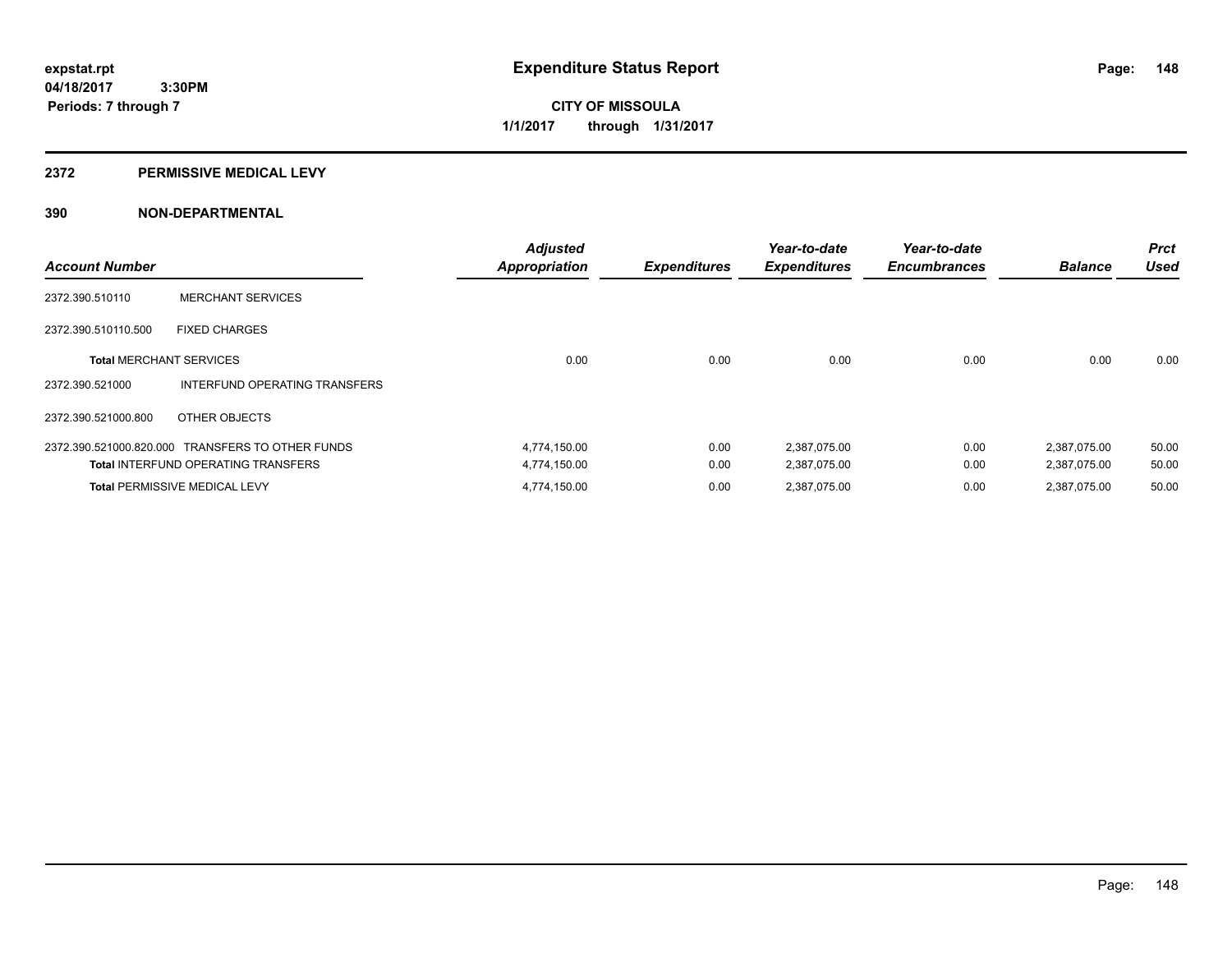**Periods: 7 through 7**

**CITY OF MISSOULA 1/1/2017 through 1/31/2017**

#### **2372 PERMISSIVE MEDICAL LEVY**

 **3:30PM**

| <b>Account Number</b>          |                                                  | <b>Adjusted</b><br><b>Appropriation</b> | <b>Expenditures</b> | Year-to-date<br><b>Expenditures</b> | Year-to-date<br><b>Encumbrances</b> | <b>Balance</b> | <b>Prct</b><br><b>Used</b> |
|--------------------------------|--------------------------------------------------|-----------------------------------------|---------------------|-------------------------------------|-------------------------------------|----------------|----------------------------|
| 2372.390.510110                | <b>MERCHANT SERVICES</b>                         |                                         |                     |                                     |                                     |                |                            |
| 2372.390.510110.500            | <b>FIXED CHARGES</b>                             |                                         |                     |                                     |                                     |                |                            |
| <b>Total MERCHANT SERVICES</b> |                                                  | 0.00                                    | 0.00                | 0.00                                | 0.00                                | 0.00           | 0.00                       |
| 2372.390.521000                | INTERFUND OPERATING TRANSFERS                    |                                         |                     |                                     |                                     |                |                            |
| 2372.390.521000.800            | OTHER OBJECTS                                    |                                         |                     |                                     |                                     |                |                            |
|                                | 2372.390.521000.820.000 TRANSFERS TO OTHER FUNDS | 4,774,150.00                            | 0.00                | 2,387,075.00                        | 0.00                                | 2,387,075.00   | 50.00                      |
|                                | <b>Total INTERFUND OPERATING TRANSFERS</b>       | 4,774,150.00                            | 0.00                | 2,387,075.00                        | 0.00                                | 2,387,075.00   | 50.00                      |
|                                | <b>Total PERMISSIVE MEDICAL LEVY</b>             | 4,774,150.00                            | 0.00                | 2.387.075.00                        | 0.00                                | 2.387.075.00   | 50.00                      |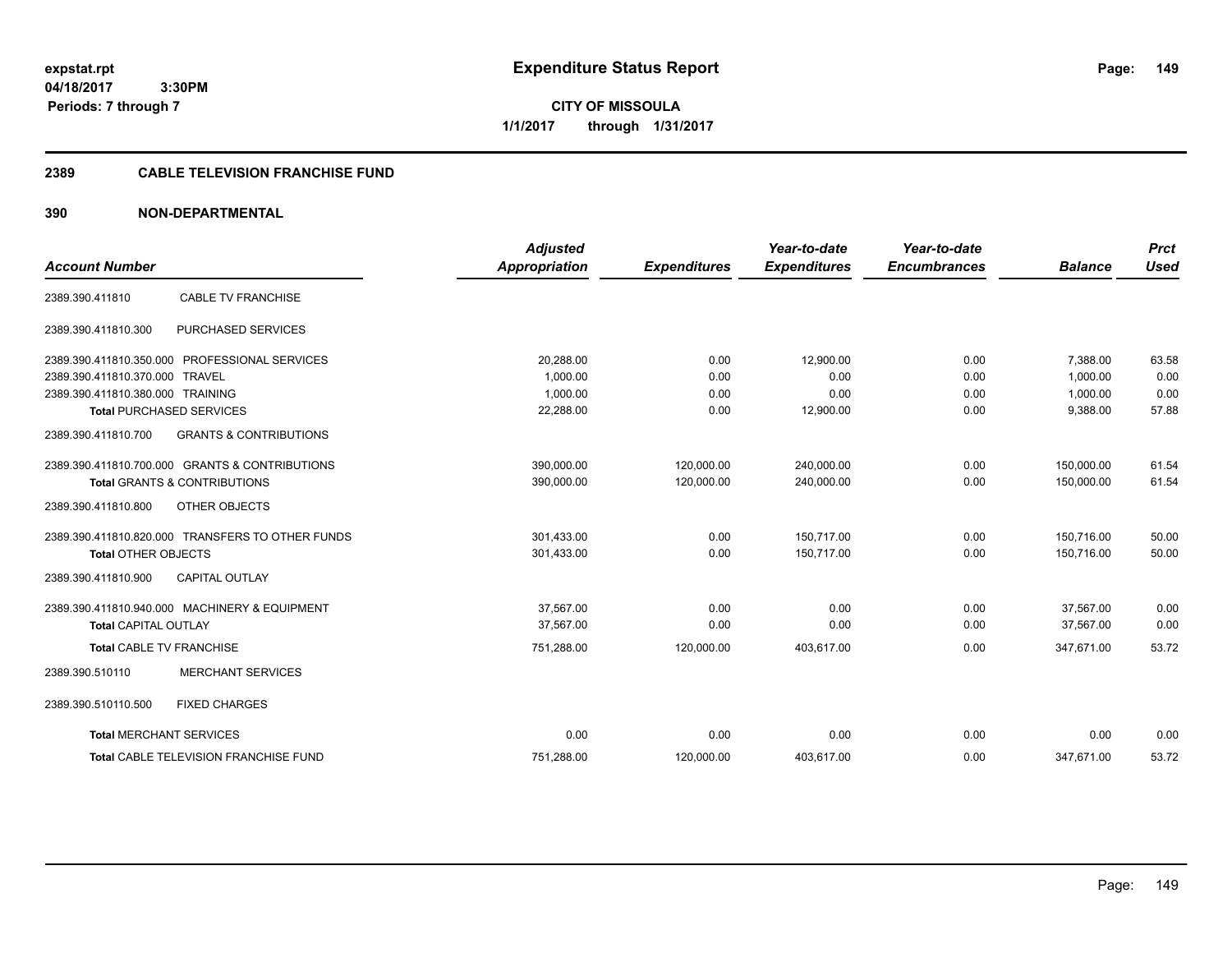**CITY OF MISSOULA 1/1/2017 through 1/31/2017**

## **2389 CABLE TELEVISION FRANCHISE FUND**

|                                  |                                                  | <b>Adjusted</b>      |                     | Year-to-date        | Year-to-date        |                | <b>Prct</b> |
|----------------------------------|--------------------------------------------------|----------------------|---------------------|---------------------|---------------------|----------------|-------------|
| <b>Account Number</b>            |                                                  | <b>Appropriation</b> | <b>Expenditures</b> | <b>Expenditures</b> | <b>Encumbrances</b> | <b>Balance</b> | <b>Used</b> |
| 2389.390.411810                  | <b>CABLE TV FRANCHISE</b>                        |                      |                     |                     |                     |                |             |
| 2389.390.411810.300              | PURCHASED SERVICES                               |                      |                     |                     |                     |                |             |
|                                  | 2389.390.411810.350.000 PROFESSIONAL SERVICES    | 20,288.00            | 0.00                | 12,900.00           | 0.00                | 7,388.00       | 63.58       |
| 2389.390.411810.370.000          | TRAVEL                                           | 1.000.00             | 0.00                | 0.00                | 0.00                | 1.000.00       | 0.00        |
| 2389.390.411810.380.000 TRAINING |                                                  | 1,000.00             | 0.00                | 0.00                | 0.00                | 1,000.00       | 0.00        |
|                                  | <b>Total PURCHASED SERVICES</b>                  | 22,288.00            | 0.00                | 12,900.00           | 0.00                | 9,388.00       | 57.88       |
| 2389.390.411810.700              | <b>GRANTS &amp; CONTRIBUTIONS</b>                |                      |                     |                     |                     |                |             |
|                                  | 2389.390.411810.700.000 GRANTS & CONTRIBUTIONS   | 390,000.00           | 120,000.00          | 240,000.00          | 0.00                | 150,000.00     | 61.54       |
|                                  | <b>Total GRANTS &amp; CONTRIBUTIONS</b>          | 390,000.00           | 120,000.00          | 240,000.00          | 0.00                | 150.000.00     | 61.54       |
| 2389.390.411810.800              | OTHER OBJECTS                                    |                      |                     |                     |                     |                |             |
|                                  | 2389.390.411810.820.000 TRANSFERS TO OTHER FUNDS | 301,433.00           | 0.00                | 150.717.00          | 0.00                | 150.716.00     | 50.00       |
| <b>Total OTHER OBJECTS</b>       |                                                  | 301,433.00           | 0.00                | 150,717.00          | 0.00                | 150,716.00     | 50.00       |
| 2389.390.411810.900              | <b>CAPITAL OUTLAY</b>                            |                      |                     |                     |                     |                |             |
|                                  | 2389.390.411810.940.000 MACHINERY & EQUIPMENT    | 37.567.00            | 0.00                | 0.00                | 0.00                | 37.567.00      | 0.00        |
| <b>Total CAPITAL OUTLAY</b>      |                                                  | 37,567.00            | 0.00                | 0.00                | 0.00                | 37,567.00      | 0.00        |
| <b>Total CABLE TV FRANCHISE</b>  |                                                  | 751,288.00           | 120,000.00          | 403,617.00          | 0.00                | 347,671.00     | 53.72       |
| 2389.390.510110                  | <b>MERCHANT SERVICES</b>                         |                      |                     |                     |                     |                |             |
| 2389.390.510110.500              | <b>FIXED CHARGES</b>                             |                      |                     |                     |                     |                |             |
| <b>Total MERCHANT SERVICES</b>   |                                                  | 0.00                 | 0.00                | 0.00                | 0.00                | 0.00           | 0.00        |
|                                  | <b>Total CABLE TELEVISION FRANCHISE FUND</b>     | 751,288.00           | 120,000.00          | 403,617.00          | 0.00                | 347,671.00     | 53.72       |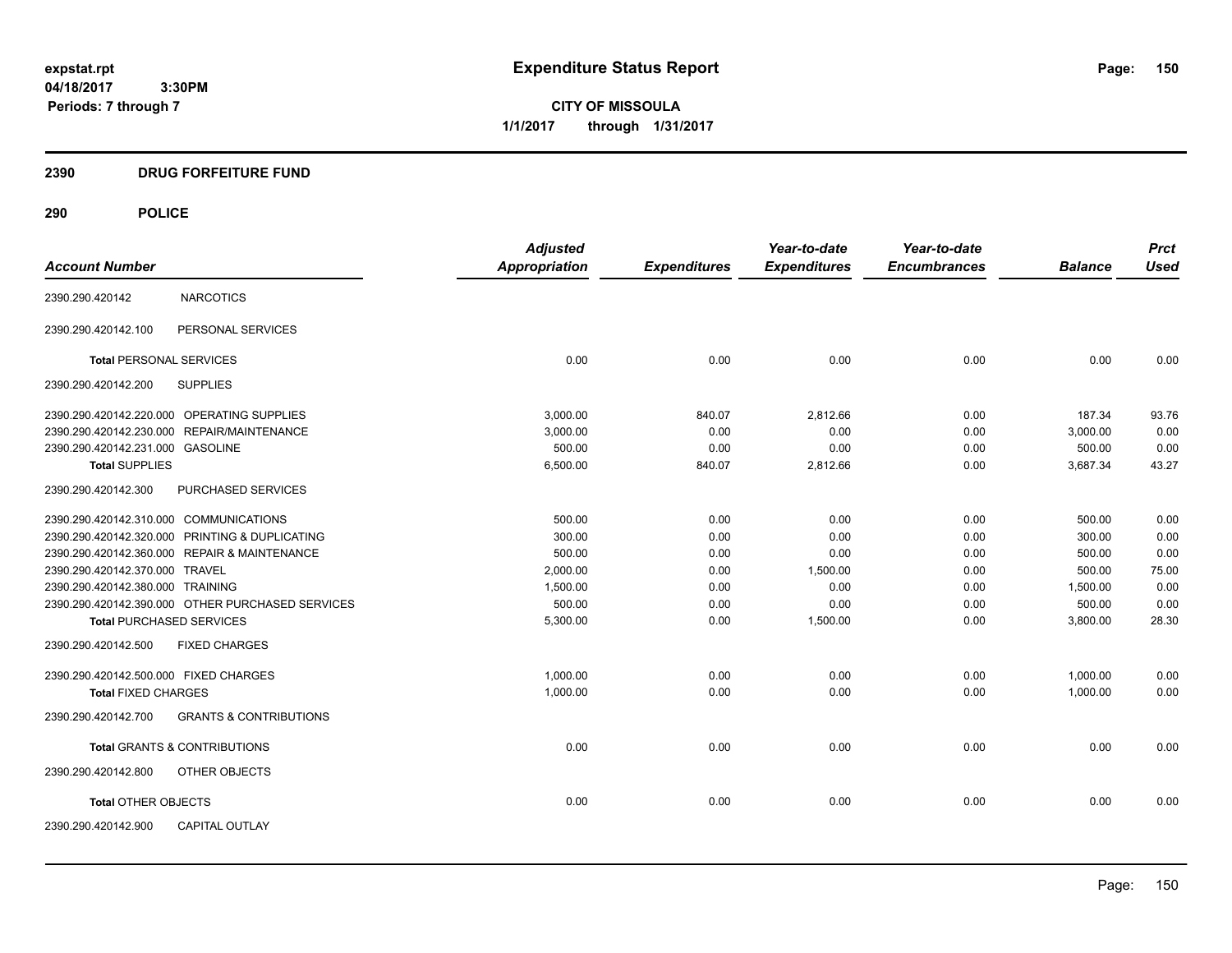**CITY OF MISSOULA 1/1/2017 through 1/31/2017**

## **2390 DRUG FORFEITURE FUND**

| <b>Account Number</b>                  |                                                  | <b>Adjusted</b><br><b>Appropriation</b> | <b>Expenditures</b> | Year-to-date<br><b>Expenditures</b> | Year-to-date<br><b>Encumbrances</b> | <b>Balance</b> | <b>Prct</b><br><b>Used</b> |
|----------------------------------------|--------------------------------------------------|-----------------------------------------|---------------------|-------------------------------------|-------------------------------------|----------------|----------------------------|
|                                        |                                                  |                                         |                     |                                     |                                     |                |                            |
| 2390.290.420142                        | <b>NARCOTICS</b>                                 |                                         |                     |                                     |                                     |                |                            |
| 2390.290.420142.100                    | PERSONAL SERVICES                                |                                         |                     |                                     |                                     |                |                            |
| <b>Total PERSONAL SERVICES</b>         |                                                  | 0.00                                    | 0.00                | 0.00                                | 0.00                                | 0.00           | 0.00                       |
| 2390.290.420142.200                    | <b>SUPPLIES</b>                                  |                                         |                     |                                     |                                     |                |                            |
|                                        | 2390.290.420142.220.000 OPERATING SUPPLIES       | 3.000.00                                | 840.07              | 2,812.66                            | 0.00                                | 187.34         | 93.76                      |
|                                        | 2390.290.420142.230.000 REPAIR/MAINTENANCE       | 3,000.00                                | 0.00                | 0.00                                | 0.00                                | 3,000.00       | 0.00                       |
| 2390.290.420142.231.000 GASOLINE       |                                                  | 500.00                                  | 0.00                | 0.00                                | 0.00                                | 500.00         | 0.00                       |
| <b>Total SUPPLIES</b>                  |                                                  | 6,500.00                                | 840.07              | 2,812.66                            | 0.00                                | 3,687.34       | 43.27                      |
| 2390.290.420142.300                    | PURCHASED SERVICES                               |                                         |                     |                                     |                                     |                |                            |
| 2390.290.420142.310.000 COMMUNICATIONS |                                                  | 500.00                                  | 0.00                | 0.00                                | 0.00                                | 500.00         | 0.00                       |
|                                        | 2390.290.420142.320.000 PRINTING & DUPLICATING   | 300.00                                  | 0.00                | 0.00                                | 0.00                                | 300.00         | 0.00                       |
|                                        | 2390.290.420142.360.000 REPAIR & MAINTENANCE     | 500.00                                  | 0.00                | 0.00                                | 0.00                                | 500.00         | 0.00                       |
| 2390.290.420142.370.000 TRAVEL         |                                                  | 2,000.00                                | 0.00                | 1,500.00                            | 0.00                                | 500.00         | 75.00                      |
| 2390.290.420142.380.000 TRAINING       |                                                  | 1,500.00                                | 0.00                | 0.00                                | 0.00                                | 1,500.00       | 0.00                       |
|                                        | 2390.290.420142.390.000 OTHER PURCHASED SERVICES | 500.00                                  | 0.00                | 0.00                                | 0.00                                | 500.00         | 0.00                       |
| <b>Total PURCHASED SERVICES</b>        |                                                  | 5,300.00                                | 0.00                | 1,500.00                            | 0.00                                | 3,800.00       | 28.30                      |
| 2390.290.420142.500                    | <b>FIXED CHARGES</b>                             |                                         |                     |                                     |                                     |                |                            |
| 2390.290.420142.500.000 FIXED CHARGES  |                                                  | 1,000.00                                | 0.00                | 0.00                                | 0.00                                | 1,000.00       | 0.00                       |
| <b>Total FIXED CHARGES</b>             |                                                  | 1,000.00                                | 0.00                | 0.00                                | 0.00                                | 1,000.00       | 0.00                       |
| 2390.290.420142.700                    | <b>GRANTS &amp; CONTRIBUTIONS</b>                |                                         |                     |                                     |                                     |                |                            |
|                                        | <b>Total GRANTS &amp; CONTRIBUTIONS</b>          | 0.00                                    | 0.00                | 0.00                                | 0.00                                | 0.00           | 0.00                       |
| 2390.290.420142.800                    | OTHER OBJECTS                                    |                                         |                     |                                     |                                     |                |                            |
| <b>Total OTHER OBJECTS</b>             |                                                  | 0.00                                    | 0.00                | 0.00                                | 0.00                                | 0.00           | 0.00                       |
| 2390.290.420142.900                    | <b>CAPITAL OUTLAY</b>                            |                                         |                     |                                     |                                     |                |                            |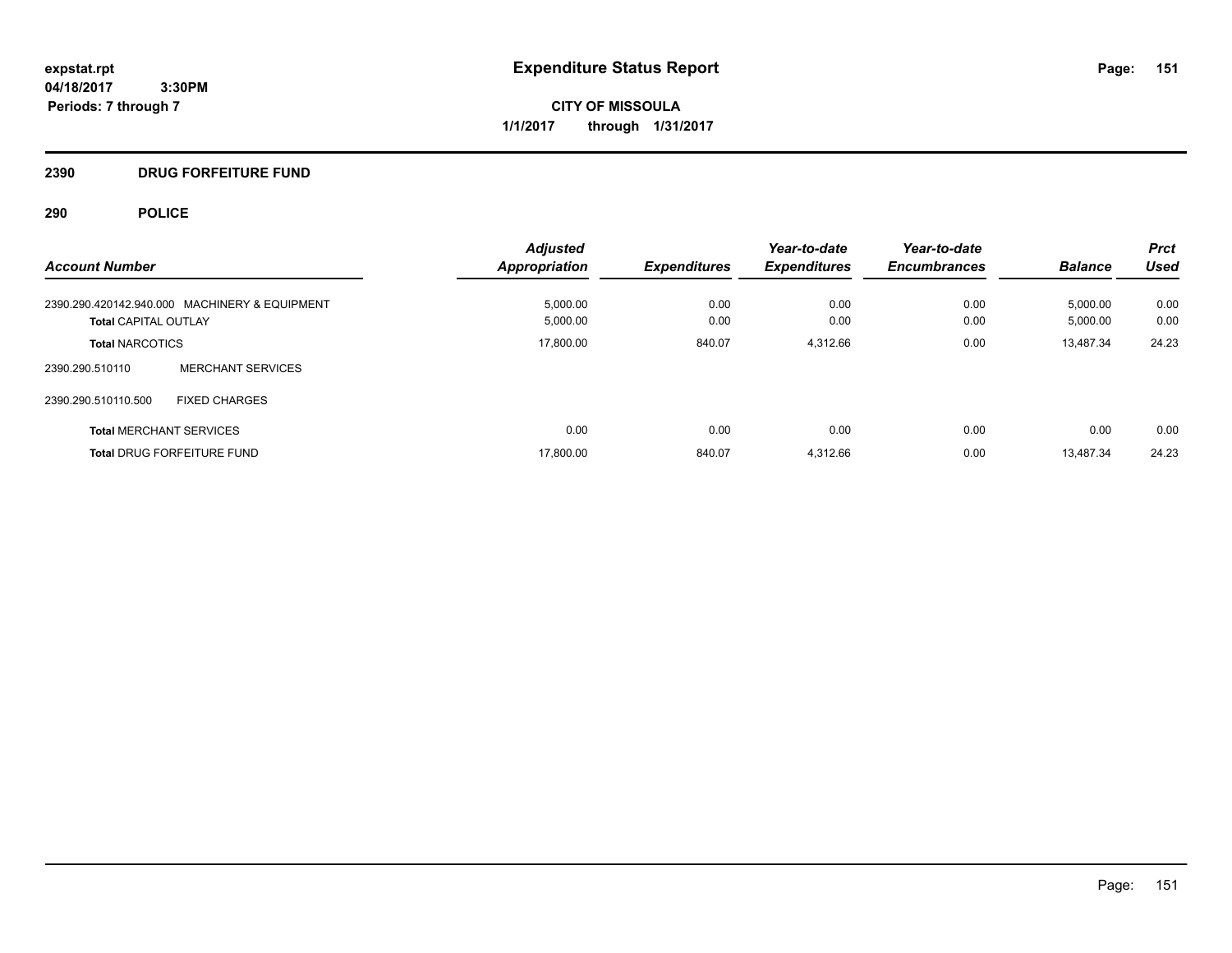**CITY OF MISSOULA 1/1/2017 through 1/31/2017**

## **2390 DRUG FORFEITURE FUND**

| <b>Account Number</b>                         | <b>Adjusted</b>      |                     | Year-to-date        | Year-to-date<br><b>Encumbrances</b> | <b>Balance</b> | <b>Prct</b><br>Used |
|-----------------------------------------------|----------------------|---------------------|---------------------|-------------------------------------|----------------|---------------------|
|                                               | <b>Appropriation</b> | <b>Expenditures</b> | <b>Expenditures</b> |                                     |                |                     |
| 2390.290.420142.940.000 MACHINERY & EQUIPMENT | 5,000.00             | 0.00                | 0.00                | 0.00                                | 5,000.00       | 0.00                |
| <b>Total CAPITAL OUTLAY</b>                   | 5,000.00             | 0.00                | 0.00                | 0.00                                | 5,000.00       | 0.00                |
| <b>Total NARCOTICS</b>                        | 17,800.00            | 840.07              | 4.312.66            | 0.00                                | 13,487.34      | 24.23               |
| <b>MERCHANT SERVICES</b><br>2390.290.510110   |                      |                     |                     |                                     |                |                     |
| 2390.290.510110.500<br><b>FIXED CHARGES</b>   |                      |                     |                     |                                     |                |                     |
| <b>Total MERCHANT SERVICES</b>                | 0.00                 | 0.00                | 0.00                | 0.00                                | 0.00           | 0.00                |
| <b>Total DRUG FORFEITURE FUND</b>             | 17,800.00            | 840.07              | 4,312.66            | 0.00                                | 13.487.34      | 24.23               |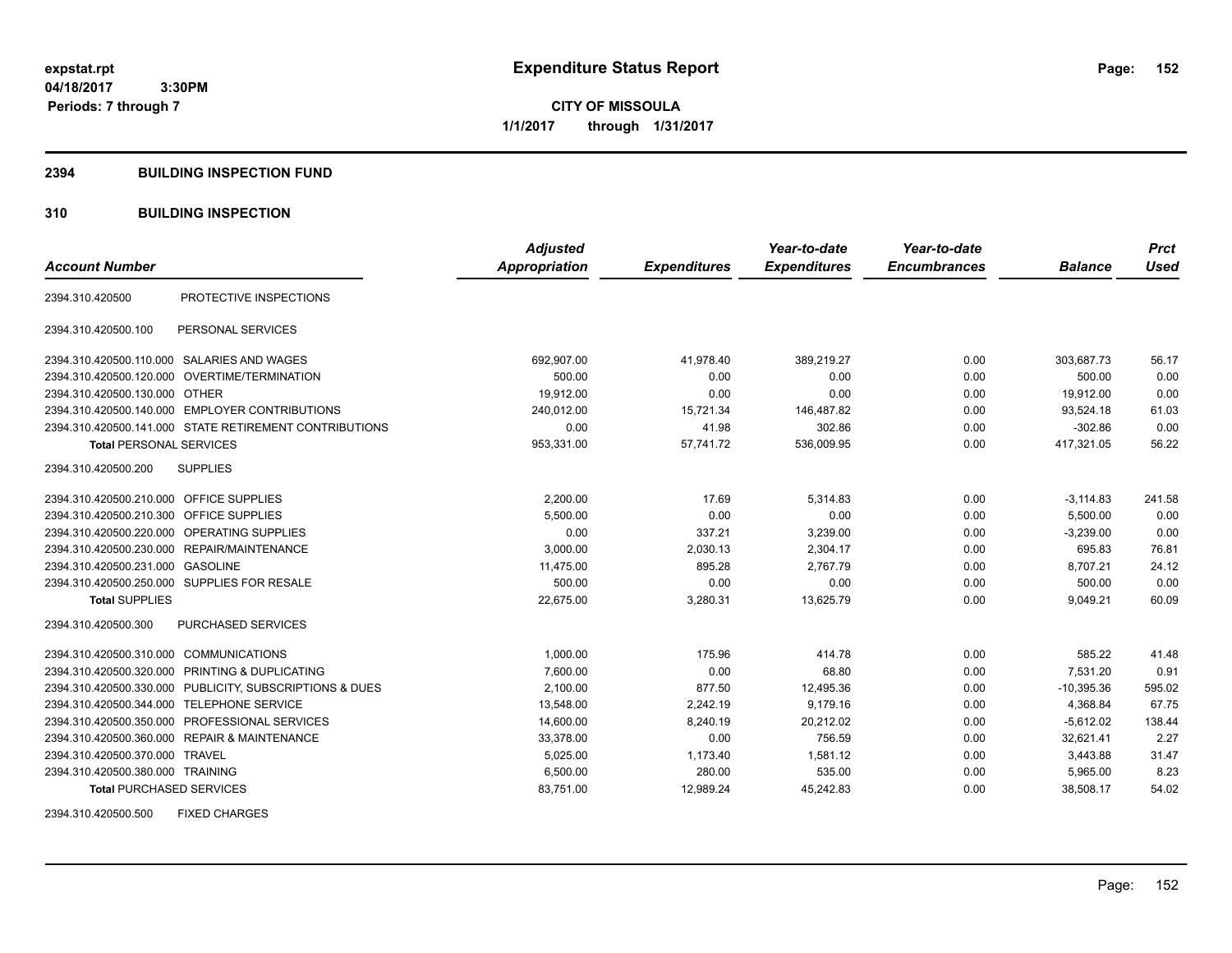**CITY OF MISSOULA 1/1/2017 through 1/31/2017**

#### **2394 BUILDING INSPECTION FUND**

## **310 BUILDING INSPECTION**

|                                           |                                                         | <b>Adjusted</b>      |                     | Year-to-date        | Year-to-date        |                | <b>Prct</b> |
|-------------------------------------------|---------------------------------------------------------|----------------------|---------------------|---------------------|---------------------|----------------|-------------|
| <b>Account Number</b>                     |                                                         | <b>Appropriation</b> | <b>Expenditures</b> | <b>Expenditures</b> | <b>Encumbrances</b> | <b>Balance</b> | <b>Used</b> |
| 2394.310.420500                           | PROTECTIVE INSPECTIONS                                  |                      |                     |                     |                     |                |             |
| 2394.310.420500.100                       | PERSONAL SERVICES                                       |                      |                     |                     |                     |                |             |
|                                           | 2394.310.420500.110.000 SALARIES AND WAGES              | 692,907.00           | 41,978.40           | 389,219.27          | 0.00                | 303,687.73     | 56.17       |
|                                           | 2394.310.420500.120.000 OVERTIME/TERMINATION            | 500.00               | 0.00                | 0.00                | 0.00                | 500.00         | 0.00        |
| 2394.310.420500.130.000 OTHER             |                                                         | 19,912.00            | 0.00                | 0.00                | 0.00                | 19,912.00      | 0.00        |
|                                           | 2394.310.420500.140.000 EMPLOYER CONTRIBUTIONS          | 240,012.00           | 15,721.34           | 146,487.82          | 0.00                | 93,524.18      | 61.03       |
|                                           | 2394.310.420500.141.000 STATE RETIREMENT CONTRIBUTIONS  | 0.00                 | 41.98               | 302.86              | 0.00                | $-302.86$      | 0.00        |
| <b>Total PERSONAL SERVICES</b>            |                                                         | 953,331.00           | 57,741.72           | 536,009.95          | 0.00                | 417,321.05     | 56.22       |
| 2394.310.420500.200                       | <b>SUPPLIES</b>                                         |                      |                     |                     |                     |                |             |
| 2394.310.420500.210.000 OFFICE SUPPLIES   |                                                         | 2,200.00             | 17.69               | 5,314.83            | 0.00                | $-3,114.83$    | 241.58      |
| 2394.310.420500.210.300 OFFICE SUPPLIES   |                                                         | 5,500.00             | 0.00                | 0.00                | 0.00                | 5,500.00       | 0.00        |
|                                           | 2394.310.420500.220.000 OPERATING SUPPLIES              | 0.00                 | 337.21              | 3,239.00            | 0.00                | $-3.239.00$    | 0.00        |
|                                           | 2394.310.420500.230.000 REPAIR/MAINTENANCE              | 3.000.00             | 2,030.13            | 2,304.17            | 0.00                | 695.83         | 76.81       |
| 2394.310.420500.231.000 GASOLINE          |                                                         | 11,475.00            | 895.28              | 2,767.79            | 0.00                | 8,707.21       | 24.12       |
|                                           | 2394.310.420500.250.000 SUPPLIES FOR RESALE             | 500.00               | 0.00                | 0.00                | 0.00                | 500.00         | 0.00        |
| <b>Total SUPPLIES</b>                     |                                                         | 22,675.00            | 3,280.31            | 13,625.79           | 0.00                | 9,049.21       | 60.09       |
| 2394.310.420500.300                       | <b>PURCHASED SERVICES</b>                               |                      |                     |                     |                     |                |             |
| 2394.310.420500.310.000 COMMUNICATIONS    |                                                         | 1,000.00             | 175.96              | 414.78              | 0.00                | 585.22         | 41.48       |
|                                           | 2394.310.420500.320.000 PRINTING & DUPLICATING          | 7,600.00             | 0.00                | 68.80               | 0.00                | 7,531.20       | 0.91        |
|                                           | 2394.310.420500.330.000 PUBLICITY, SUBSCRIPTIONS & DUES | 2,100.00             | 877.50              | 12,495.36           | 0.00                | $-10,395.36$   | 595.02      |
| 2394.310.420500.344.000 TELEPHONE SERVICE |                                                         | 13,548.00            | 2,242.19            | 9,179.16            | 0.00                | 4,368.84       | 67.75       |
|                                           | 2394.310.420500.350.000 PROFESSIONAL SERVICES           | 14,600.00            | 8,240.19            | 20,212.02           | 0.00                | $-5,612.02$    | 138.44      |
|                                           | 2394.310.420500.360.000 REPAIR & MAINTENANCE            | 33,378.00            | 0.00                | 756.59              | 0.00                | 32,621.41      | 2.27        |
| 2394.310.420500.370.000 TRAVEL            |                                                         | 5,025.00             | 1,173.40            | 1,581.12            | 0.00                | 3,443.88       | 31.47       |
| 2394.310.420500.380.000 TRAINING          |                                                         | 6,500.00             | 280.00              | 535.00              | 0.00                | 5,965.00       | 8.23        |
| <b>Total PURCHASED SERVICES</b>           |                                                         | 83,751.00            | 12,989.24           | 45,242.83           | 0.00                | 38,508.17      | 54.02       |

2394.310.420500.500 FIXED CHARGES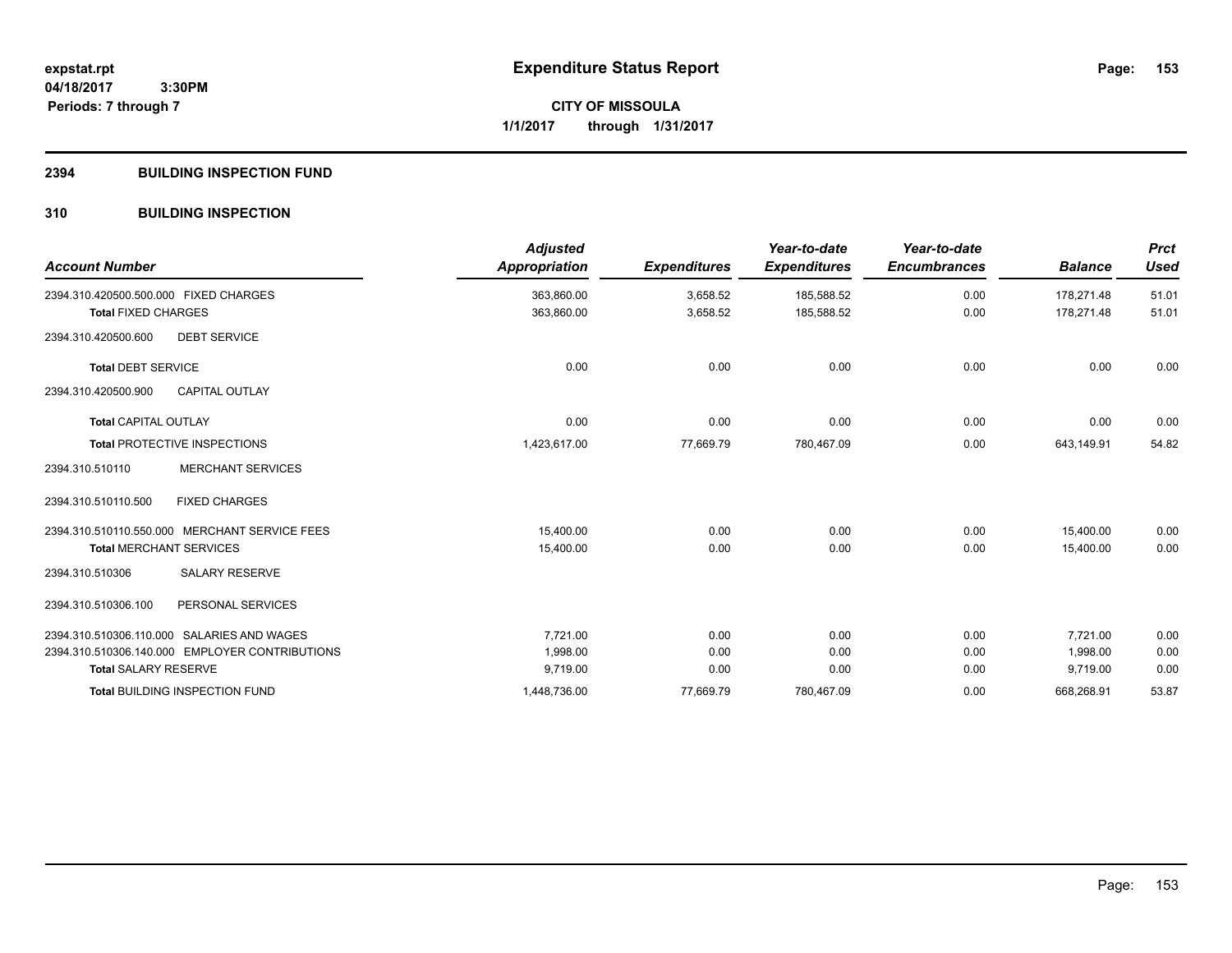**CITY OF MISSOULA 1/1/2017 through 1/31/2017**

#### **2394 BUILDING INSPECTION FUND**

## **310 BUILDING INSPECTION**

| <b>Account Number</b>                          |                          | <b>Adjusted</b><br><b>Appropriation</b> | <b>Expenditures</b> | Year-to-date<br><b>Expenditures</b> | Year-to-date<br><b>Encumbrances</b> | <b>Balance</b> | <b>Prct</b><br><b>Used</b> |
|------------------------------------------------|--------------------------|-----------------------------------------|---------------------|-------------------------------------|-------------------------------------|----------------|----------------------------|
| 2394.310.420500.500.000 FIXED CHARGES          |                          | 363,860.00                              | 3,658.52            | 185,588.52                          | 0.00                                | 178,271.48     | 51.01                      |
| <b>Total FIXED CHARGES</b>                     |                          | 363,860.00                              | 3,658.52            | 185,588.52                          | 0.00                                | 178,271.48     | 51.01                      |
| 2394.310.420500.600                            | <b>DEBT SERVICE</b>      |                                         |                     |                                     |                                     |                |                            |
| <b>Total DEBT SERVICE</b>                      |                          | 0.00                                    | 0.00                | 0.00                                | 0.00                                | 0.00           | 0.00                       |
| 2394.310.420500.900                            | CAPITAL OUTLAY           |                                         |                     |                                     |                                     |                |                            |
| <b>Total CAPITAL OUTLAY</b>                    |                          | 0.00                                    | 0.00                | 0.00                                | 0.00                                | 0.00           | 0.00                       |
| <b>Total PROTECTIVE INSPECTIONS</b>            |                          | 1,423,617.00                            | 77,669.79           | 780,467.09                          | 0.00                                | 643,149.91     | 54.82                      |
| 2394.310.510110                                | <b>MERCHANT SERVICES</b> |                                         |                     |                                     |                                     |                |                            |
| 2394.310.510110.500                            | <b>FIXED CHARGES</b>     |                                         |                     |                                     |                                     |                |                            |
| 2394.310.510110.550.000 MERCHANT SERVICE FEES  |                          | 15,400.00                               | 0.00                | 0.00                                | 0.00                                | 15,400.00      | 0.00                       |
| <b>Total MERCHANT SERVICES</b>                 |                          | 15,400.00                               | 0.00                | 0.00                                | 0.00                                | 15,400.00      | 0.00                       |
| 2394.310.510306                                | <b>SALARY RESERVE</b>    |                                         |                     |                                     |                                     |                |                            |
| 2394.310.510306.100                            | PERSONAL SERVICES        |                                         |                     |                                     |                                     |                |                            |
| 2394.310.510306.110.000 SALARIES AND WAGES     |                          | 7,721.00                                | 0.00                | 0.00                                | 0.00                                | 7.721.00       | 0.00                       |
| 2394.310.510306.140.000 EMPLOYER CONTRIBUTIONS |                          | 1.998.00                                | 0.00                | 0.00                                | 0.00                                | 1.998.00       | 0.00                       |
| <b>Total SALARY RESERVE</b>                    |                          | 9,719.00                                | 0.00                | 0.00                                | 0.00                                | 9,719.00       | 0.00                       |
| <b>Total BUILDING INSPECTION FUND</b>          |                          | 1,448,736.00                            | 77,669.79           | 780,467.09                          | 0.00                                | 668,268.91     | 53.87                      |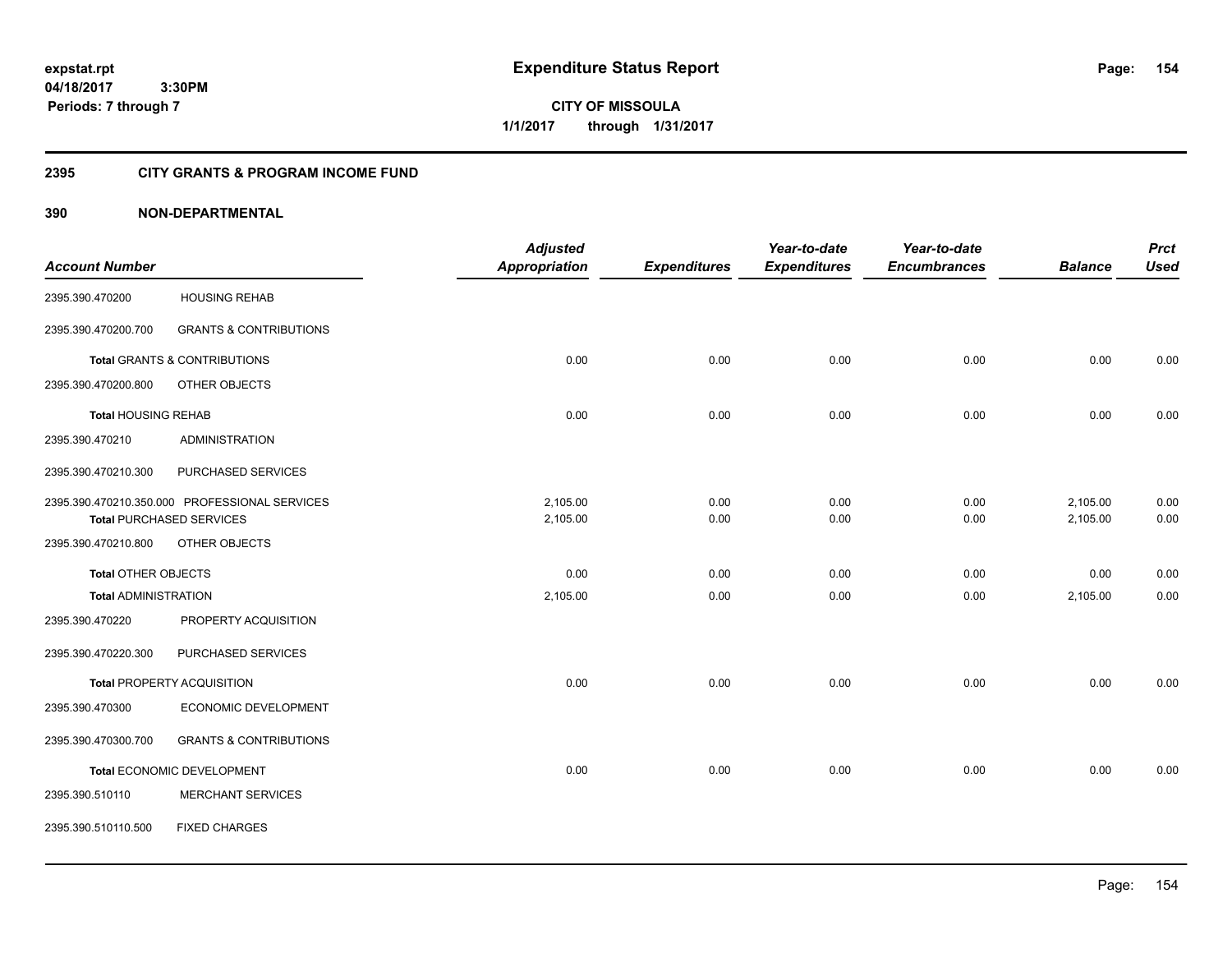**CITY OF MISSOULA 1/1/2017 through 1/31/2017**

## **2395 CITY GRANTS & PROGRAM INCOME FUND**

|                             |                                               | <b>Adjusted</b>      |                     | Year-to-date        | Year-to-date        |                | <b>Prct</b> |
|-----------------------------|-----------------------------------------------|----------------------|---------------------|---------------------|---------------------|----------------|-------------|
| <b>Account Number</b>       |                                               | <b>Appropriation</b> | <b>Expenditures</b> | <b>Expenditures</b> | <b>Encumbrances</b> | <b>Balance</b> | <b>Used</b> |
| 2395.390.470200             | <b>HOUSING REHAB</b>                          |                      |                     |                     |                     |                |             |
| 2395.390.470200.700         | <b>GRANTS &amp; CONTRIBUTIONS</b>             |                      |                     |                     |                     |                |             |
|                             | <b>Total GRANTS &amp; CONTRIBUTIONS</b>       | 0.00                 | 0.00                | 0.00                | 0.00                | 0.00           | 0.00        |
| 2395.390.470200.800         | OTHER OBJECTS                                 |                      |                     |                     |                     |                |             |
| <b>Total HOUSING REHAB</b>  |                                               | 0.00                 | 0.00                | 0.00                | 0.00                | 0.00           | 0.00        |
| 2395.390.470210             | <b>ADMINISTRATION</b>                         |                      |                     |                     |                     |                |             |
| 2395.390.470210.300         | PURCHASED SERVICES                            |                      |                     |                     |                     |                |             |
|                             | 2395.390.470210.350.000 PROFESSIONAL SERVICES | 2,105.00             | 0.00                | 0.00                | 0.00                | 2,105.00       | 0.00        |
|                             | <b>Total PURCHASED SERVICES</b>               | 2,105.00             | 0.00                | 0.00                | 0.00                | 2,105.00       | 0.00        |
| 2395.390.470210.800         | OTHER OBJECTS                                 |                      |                     |                     |                     |                |             |
| Total OTHER OBJECTS         |                                               | 0.00                 | 0.00                | 0.00                | 0.00                | 0.00           | 0.00        |
| <b>Total ADMINISTRATION</b> |                                               | 2,105.00             | 0.00                | 0.00                | 0.00                | 2,105.00       | 0.00        |
| 2395.390.470220             | PROPERTY ACQUISITION                          |                      |                     |                     |                     |                |             |
| 2395.390.470220.300         | PURCHASED SERVICES                            |                      |                     |                     |                     |                |             |
|                             | Total PROPERTY ACQUISITION                    | 0.00                 | 0.00                | 0.00                | 0.00                | 0.00           | 0.00        |
| 2395.390.470300             | ECONOMIC DEVELOPMENT                          |                      |                     |                     |                     |                |             |
| 2395.390.470300.700         | <b>GRANTS &amp; CONTRIBUTIONS</b>             |                      |                     |                     |                     |                |             |
|                             | <b>Total ECONOMIC DEVELOPMENT</b>             | 0.00                 | 0.00                | 0.00                | 0.00                | 0.00           | 0.00        |
| 2395.390.510110             | <b>MERCHANT SERVICES</b>                      |                      |                     |                     |                     |                |             |
| 2395.390.510110.500         | <b>FIXED CHARGES</b>                          |                      |                     |                     |                     |                |             |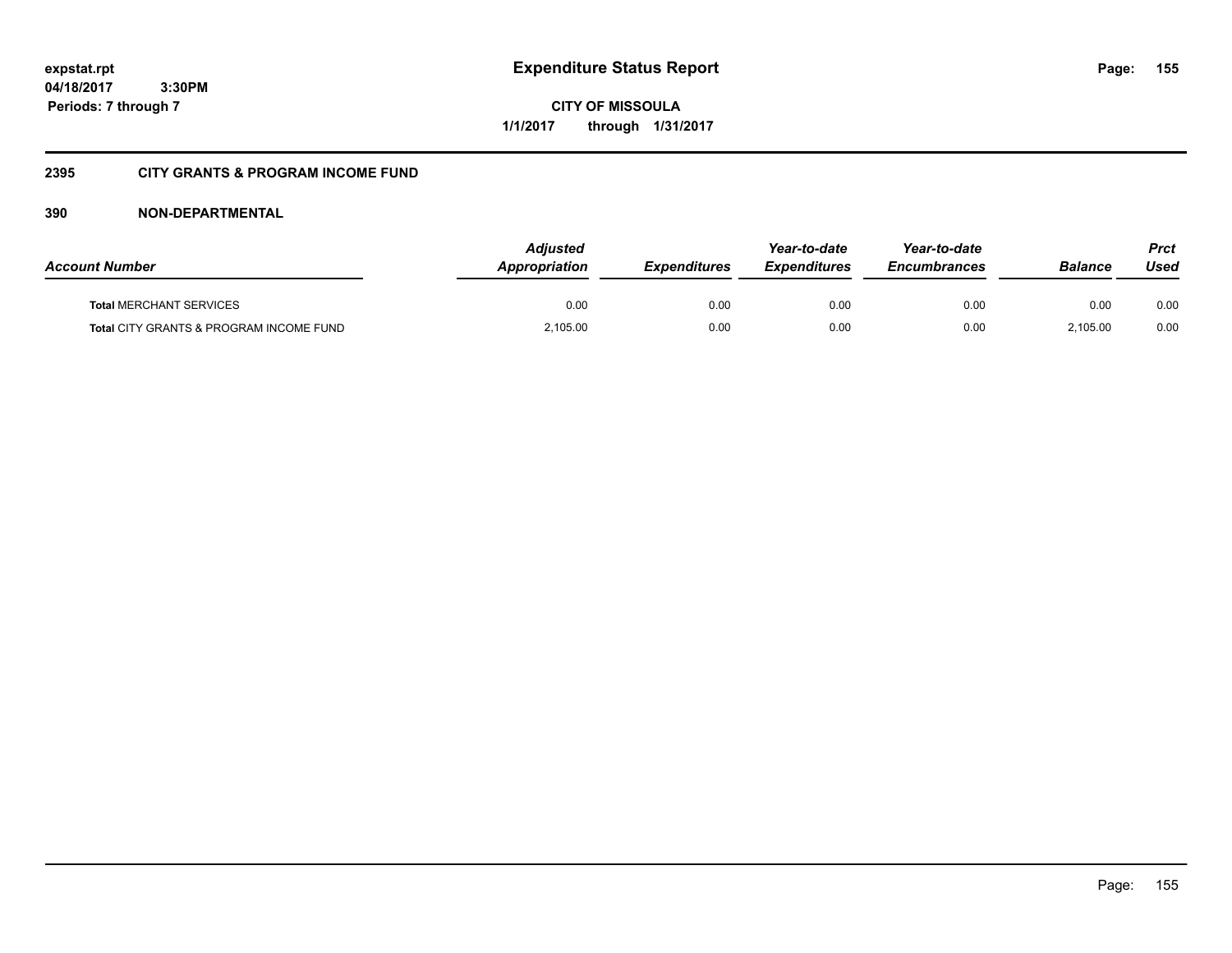**CITY OF MISSOULA 1/1/2017 through 1/31/2017**

## **2395 CITY GRANTS & PROGRAM INCOME FUND**

| <b>Account Number</b>                   | <b>Adjusted</b><br>Appropriation | <i><b>Expenditures</b></i> | Year-to-date<br><i><b>Expenditures</b></i> | Year-to-date<br><b>Encumbrances</b> | <b>Balance</b> | <b>Prct</b><br>Used |
|-----------------------------------------|----------------------------------|----------------------------|--------------------------------------------|-------------------------------------|----------------|---------------------|
| <b>Total MERCHANT SERVICES</b>          | 0.00                             | 0.00                       | 0.00                                       | 0.00                                | 0.00           | 0.00                |
| Total CITY GRANTS & PROGRAM INCOME FUND | 2,105.00                         | 0.00                       | 0.00                                       | 0.00                                | 2.105.00       | 0.00                |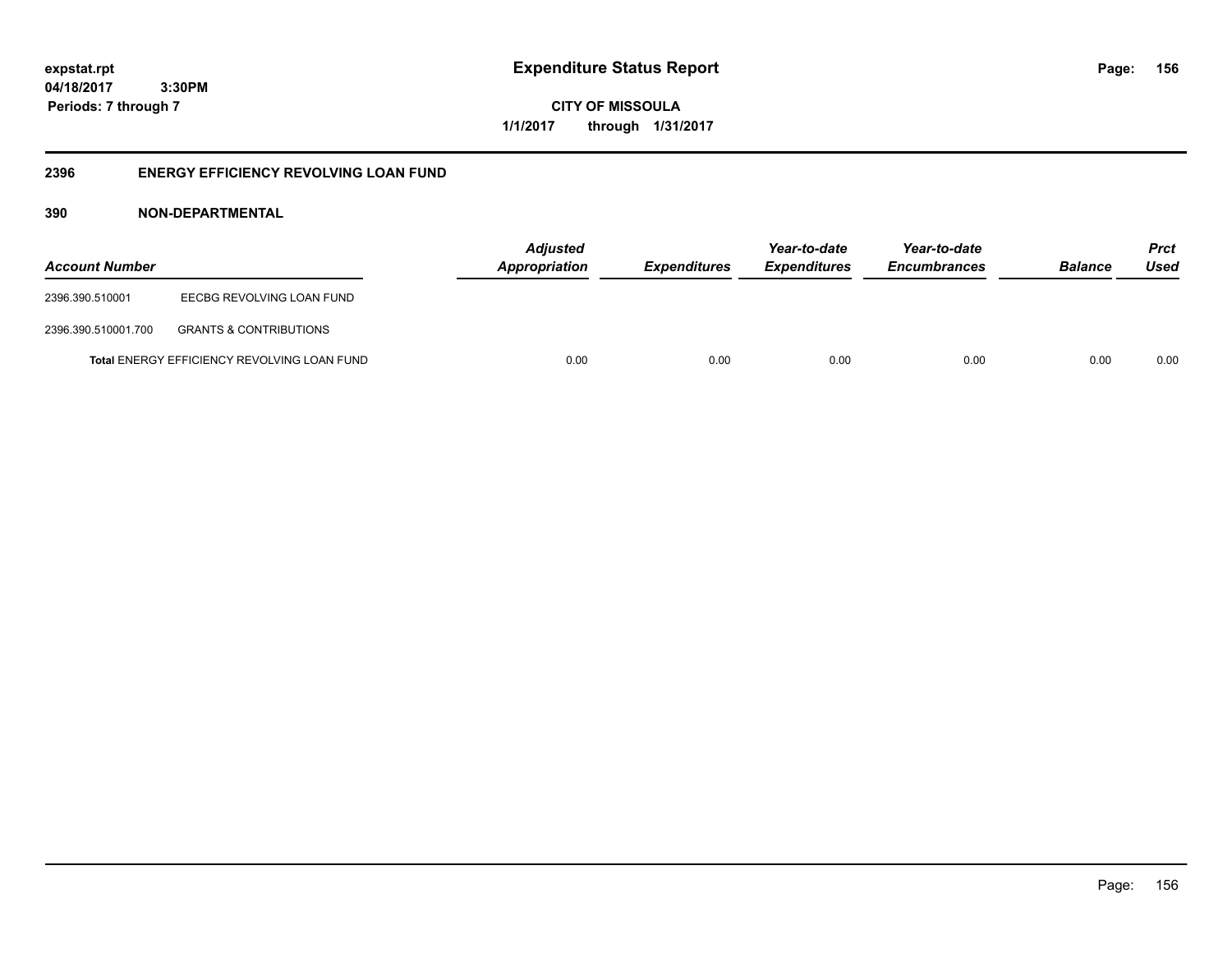**156**

**04/18/2017 3:30PM Periods: 7 through 7**

**CITY OF MISSOULA 1/1/2017 through 1/31/2017**

## **2396 ENERGY EFFICIENCY REVOLVING LOAN FUND**

| <b>Account Number</b> |                                                    | <b>Adjusted</b><br><b>Appropriation</b> | <b>Expenditures</b> | Year-to-date<br><b>Expenditures</b> | Year-to-date<br><b>Encumbrances</b> | <b>Balance</b> | <b>Prct</b><br>Used |
|-----------------------|----------------------------------------------------|-----------------------------------------|---------------------|-------------------------------------|-------------------------------------|----------------|---------------------|
| 2396.390.510001       | EECBG REVOLVING LOAN FUND                          |                                         |                     |                                     |                                     |                |                     |
| 2396.390.510001.700   | <b>GRANTS &amp; CONTRIBUTIONS</b>                  |                                         |                     |                                     |                                     |                |                     |
|                       | <b>Total ENERGY EFFICIENCY REVOLVING LOAN FUND</b> | 0.00                                    | 0.00                | 0.00                                | 0.00                                | 0.00           | 0.00                |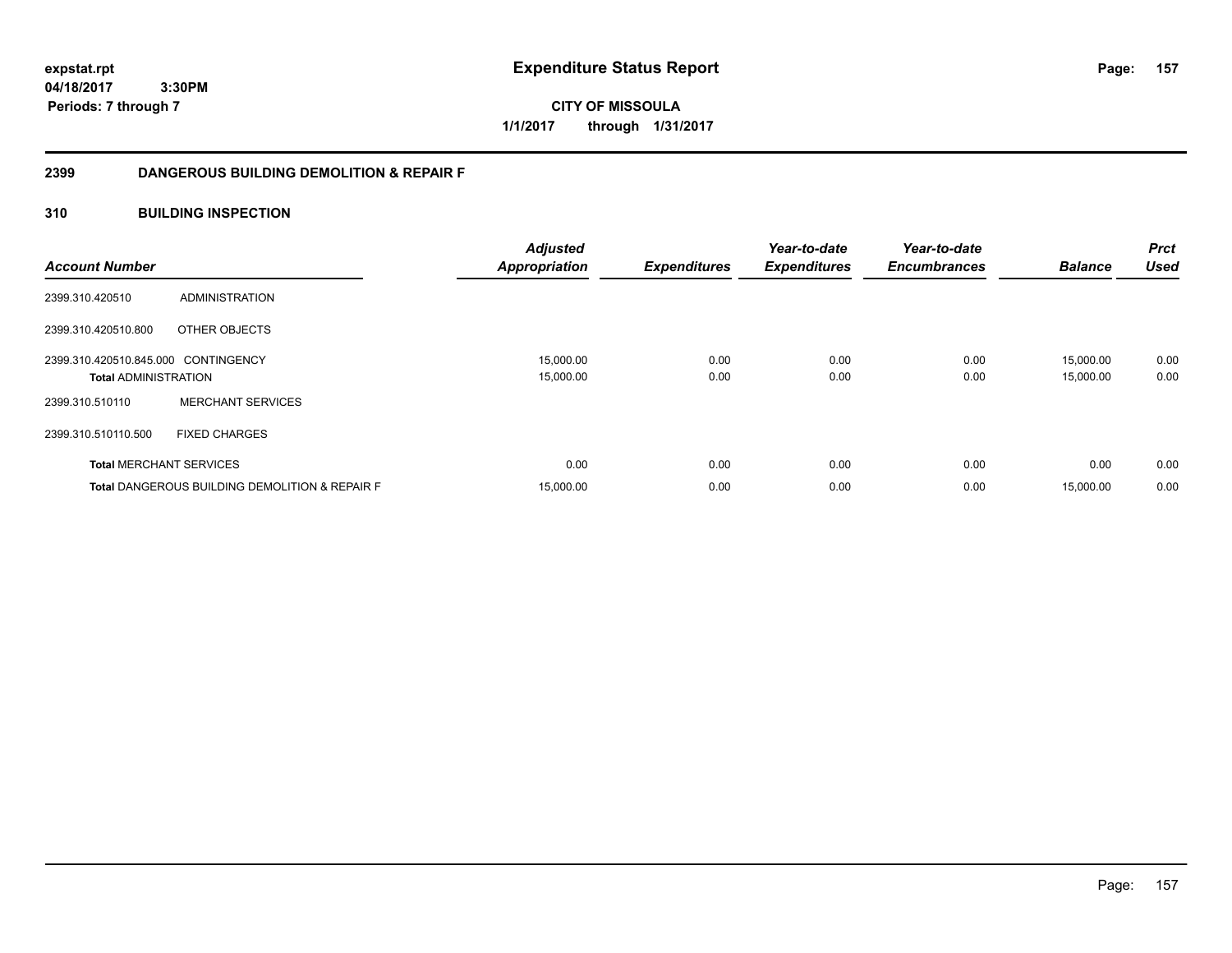**CITY OF MISSOULA 1/1/2017 through 1/31/2017**

## **2399 DANGEROUS BUILDING DEMOLITION & REPAIR F**

## **310 BUILDING INSPECTION**

| <b>Account Number</b>               |                                                           | <b>Adjusted</b><br><b>Appropriation</b> | <b>Expenditures</b> | Year-to-date<br><b>Expenditures</b> | Year-to-date<br><b>Encumbrances</b> | <b>Balance</b> | <b>Prct</b><br><b>Used</b> |
|-------------------------------------|-----------------------------------------------------------|-----------------------------------------|---------------------|-------------------------------------|-------------------------------------|----------------|----------------------------|
| 2399.310.420510                     | ADMINISTRATION                                            |                                         |                     |                                     |                                     |                |                            |
| 2399.310.420510.800                 | OTHER OBJECTS                                             |                                         |                     |                                     |                                     |                |                            |
| 2399.310.420510.845.000 CONTINGENCY |                                                           | 15,000.00                               | 0.00                | 0.00                                | 0.00                                | 15,000.00      | 0.00                       |
| <b>Total ADMINISTRATION</b>         |                                                           | 15,000.00                               | 0.00                | 0.00                                | 0.00                                | 15,000.00      | 0.00                       |
| 2399.310.510110                     | <b>MERCHANT SERVICES</b>                                  |                                         |                     |                                     |                                     |                |                            |
| 2399.310.510110.500                 | <b>FIXED CHARGES</b>                                      |                                         |                     |                                     |                                     |                |                            |
|                                     | <b>Total MERCHANT SERVICES</b>                            | 0.00                                    | 0.00                | 0.00                                | 0.00                                | 0.00           | 0.00                       |
|                                     | <b>Total DANGEROUS BUILDING DEMOLITION &amp; REPAIR F</b> | 15,000.00                               | 0.00                | 0.00                                | 0.00                                | 15,000.00      | 0.00                       |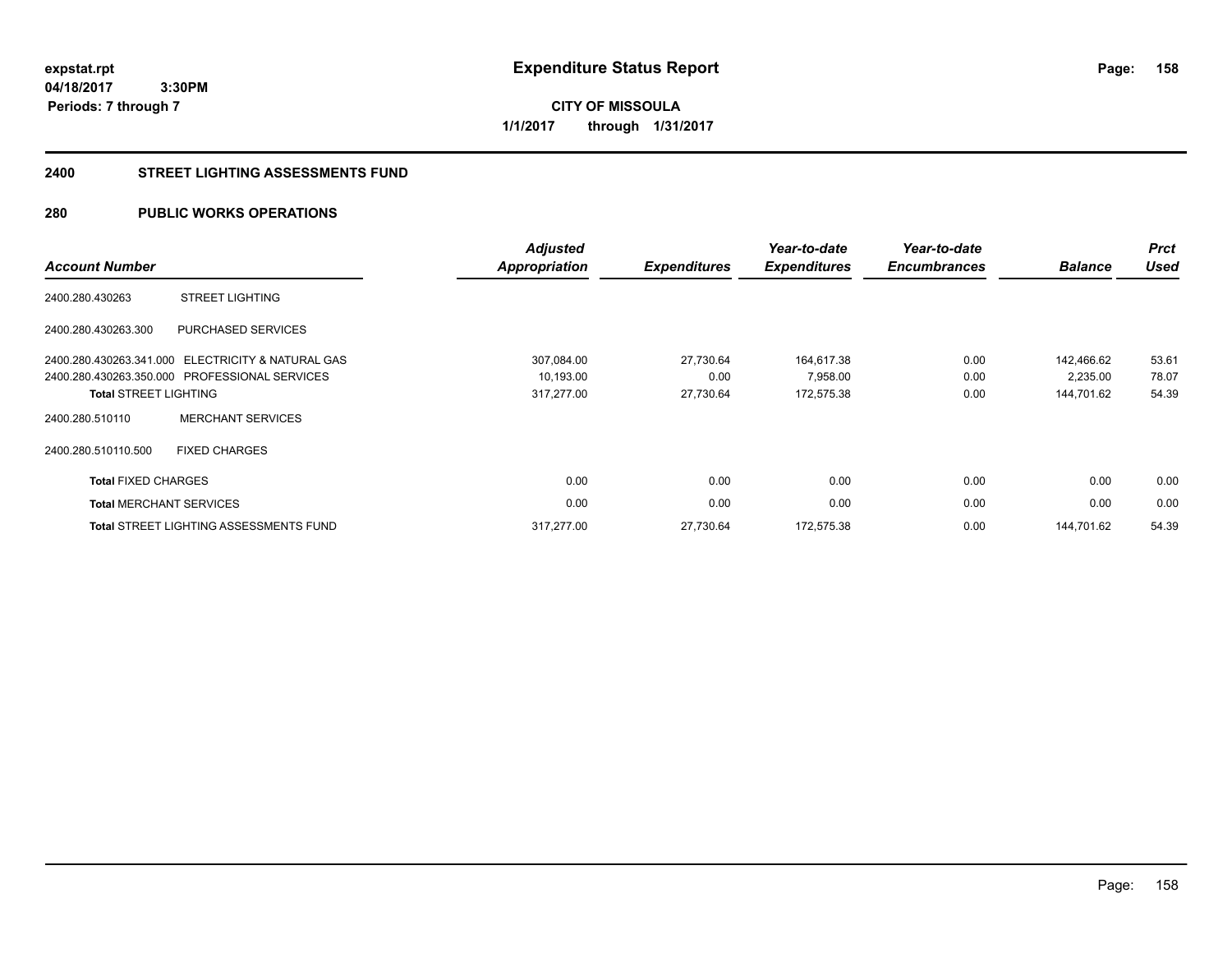**CITY OF MISSOULA 1/1/2017 through 1/31/2017**

#### **2400 STREET LIGHTING ASSESSMENTS FUND**

## **280 PUBLIC WORKS OPERATIONS**

| <b>Account Number</b>          |                                                   | <b>Adjusted</b><br><b>Appropriation</b> | <b>Expenditures</b> | Year-to-date<br><b>Expenditures</b> | Year-to-date<br><b>Encumbrances</b> | <b>Balance</b> | <b>Prct</b><br><b>Used</b> |
|--------------------------------|---------------------------------------------------|-----------------------------------------|---------------------|-------------------------------------|-------------------------------------|----------------|----------------------------|
| 2400.280.430263                | <b>STREET LIGHTING</b>                            |                                         |                     |                                     |                                     |                |                            |
| 2400.280.430263.300            | PURCHASED SERVICES                                |                                         |                     |                                     |                                     |                |                            |
|                                | 2400.280.430263.341.000 ELECTRICITY & NATURAL GAS | 307,084.00                              | 27,730.64           | 164,617.38                          | 0.00                                | 142,466.62     | 53.61                      |
|                                | 2400.280.430263.350.000 PROFESSIONAL SERVICES     | 10,193.00                               | 0.00                | 7,958.00                            | 0.00                                | 2,235.00       | 78.07                      |
| <b>Total STREET LIGHTING</b>   |                                                   | 317,277.00                              | 27,730.64           | 172,575.38                          | 0.00                                | 144,701.62     | 54.39                      |
| 2400.280.510110                | <b>MERCHANT SERVICES</b>                          |                                         |                     |                                     |                                     |                |                            |
| 2400.280.510110.500            | <b>FIXED CHARGES</b>                              |                                         |                     |                                     |                                     |                |                            |
| <b>Total FIXED CHARGES</b>     |                                                   | 0.00                                    | 0.00                | 0.00                                | 0.00                                | 0.00           | 0.00                       |
| <b>Total MERCHANT SERVICES</b> |                                                   | 0.00                                    | 0.00                | 0.00                                | 0.00                                | 0.00           | 0.00                       |
|                                | <b>Total STREET LIGHTING ASSESSMENTS FUND</b>     | 317,277.00                              | 27,730.64           | 172,575.38                          | 0.00                                | 144.701.62     | 54.39                      |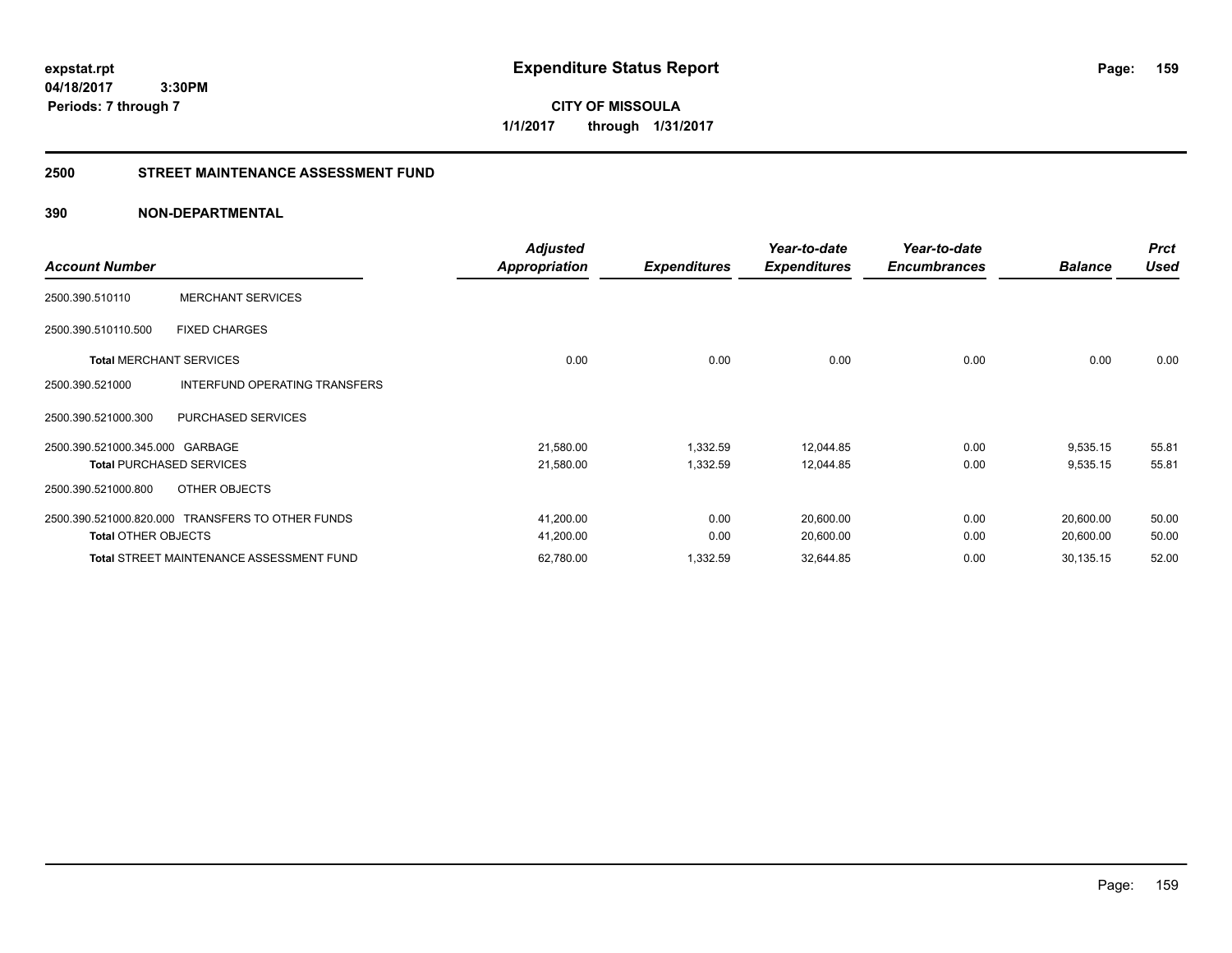**CITY OF MISSOULA 1/1/2017 through 1/31/2017**

#### **2500 STREET MAINTENANCE ASSESSMENT FUND**

| <b>Account Number</b>           |                                                  | <b>Adjusted</b><br>Appropriation | <b>Expenditures</b> | Year-to-date<br><b>Expenditures</b> | Year-to-date<br><b>Encumbrances</b> | <b>Balance</b> | <b>Prct</b><br><b>Used</b> |
|---------------------------------|--------------------------------------------------|----------------------------------|---------------------|-------------------------------------|-------------------------------------|----------------|----------------------------|
| 2500.390.510110                 | <b>MERCHANT SERVICES</b>                         |                                  |                     |                                     |                                     |                |                            |
| 2500.390.510110.500             | <b>FIXED CHARGES</b>                             |                                  |                     |                                     |                                     |                |                            |
| <b>Total MERCHANT SERVICES</b>  |                                                  | 0.00                             | 0.00                | 0.00                                | 0.00                                | 0.00           | 0.00                       |
| 2500.390.521000                 | INTERFUND OPERATING TRANSFERS                    |                                  |                     |                                     |                                     |                |                            |
| 2500.390.521000.300             | PURCHASED SERVICES                               |                                  |                     |                                     |                                     |                |                            |
| 2500.390.521000.345.000 GARBAGE |                                                  | 21,580.00                        | 1,332.59            | 12,044.85                           | 0.00                                | 9,535.15       | 55.81                      |
|                                 | <b>Total PURCHASED SERVICES</b>                  | 21,580.00                        | 1,332.59            | 12,044.85                           | 0.00                                | 9,535.15       | 55.81                      |
| 2500.390.521000.800             | OTHER OBJECTS                                    |                                  |                     |                                     |                                     |                |                            |
|                                 | 2500.390.521000.820.000 TRANSFERS TO OTHER FUNDS | 41,200.00                        | 0.00                | 20,600.00                           | 0.00                                | 20,600.00      | 50.00                      |
| <b>Total OTHER OBJECTS</b>      |                                                  | 41,200.00                        | 0.00                | 20,600.00                           | 0.00                                | 20,600.00      | 50.00                      |
|                                 | <b>Total STREET MAINTENANCE ASSESSMENT FUND</b>  | 62,780.00                        | 1,332.59            | 32,644.85                           | 0.00                                | 30,135.15      | 52.00                      |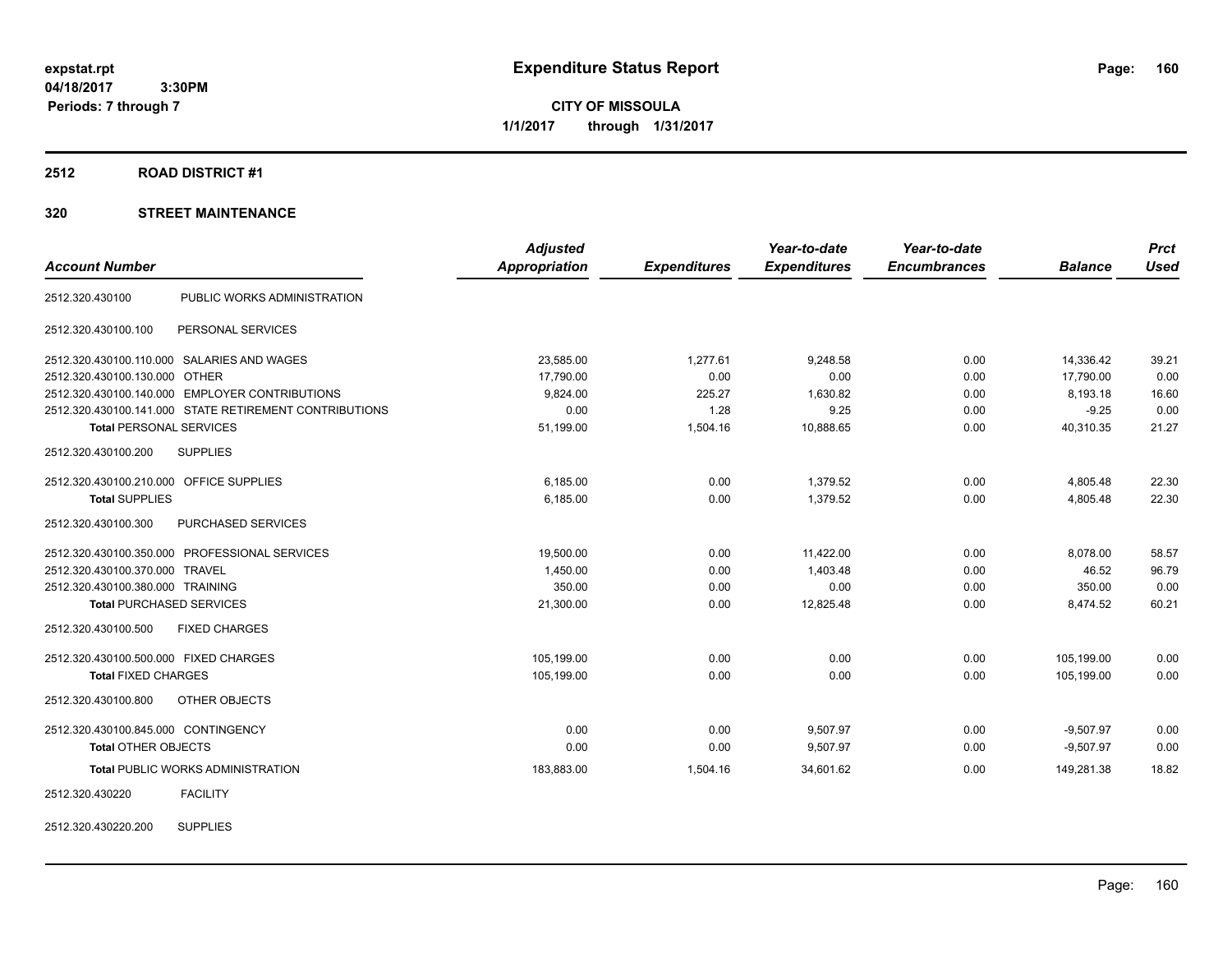**CITY OF MISSOULA 1/1/2017 through 1/31/2017**

#### **2512 ROAD DISTRICT #1**

| <b>Account Number</b>                                  | <b>Adjusted</b><br>Appropriation | <b>Expenditures</b> | Year-to-date<br><b>Expenditures</b> | Year-to-date<br><b>Encumbrances</b> | <b>Balance</b> | <b>Prct</b><br><b>Used</b> |
|--------------------------------------------------------|----------------------------------|---------------------|-------------------------------------|-------------------------------------|----------------|----------------------------|
| PUBLIC WORKS ADMINISTRATION<br>2512.320.430100         |                                  |                     |                                     |                                     |                |                            |
| PERSONAL SERVICES<br>2512.320.430100.100               |                                  |                     |                                     |                                     |                |                            |
| 2512.320.430100.110.000 SALARIES AND WAGES             | 23,585.00                        | 1,277.61            | 9,248.58                            | 0.00                                | 14,336.42      | 39.21                      |
| 2512.320.430100.130.000 OTHER                          | 17,790.00                        | 0.00                | 0.00                                | 0.00                                | 17,790.00      | 0.00                       |
| 2512.320.430100.140.000 EMPLOYER CONTRIBUTIONS         | 9,824.00                         | 225.27              | 1,630.82                            | 0.00                                | 8,193.18       | 16.60                      |
| 2512.320.430100.141.000 STATE RETIREMENT CONTRIBUTIONS | 0.00                             | 1.28                | 9.25                                | 0.00                                | $-9.25$        | 0.00                       |
| <b>Total PERSONAL SERVICES</b>                         | 51,199.00                        | 1,504.16            | 10,888.65                           | 0.00                                | 40,310.35      | 21.27                      |
| 2512.320.430100.200<br><b>SUPPLIES</b>                 |                                  |                     |                                     |                                     |                |                            |
| 2512.320.430100.210.000 OFFICE SUPPLIES                | 6.185.00                         | 0.00                | 1.379.52                            | 0.00                                | 4,805.48       | 22.30                      |
| <b>Total SUPPLIES</b>                                  | 6,185.00                         | 0.00                | 1,379.52                            | 0.00                                | 4,805.48       | 22.30                      |
| 2512.320.430100.300<br>PURCHASED SERVICES              |                                  |                     |                                     |                                     |                |                            |
| 2512.320.430100.350.000 PROFESSIONAL SERVICES          | 19,500.00                        | 0.00                | 11,422.00                           | 0.00                                | 8,078.00       | 58.57                      |
| 2512.320.430100.370.000 TRAVEL                         | 1,450.00                         | 0.00                | 1,403.48                            | 0.00                                | 46.52          | 96.79                      |
| 2512.320.430100.380.000 TRAINING                       | 350.00                           | 0.00                | 0.00                                | 0.00                                | 350.00         | 0.00                       |
| <b>Total PURCHASED SERVICES</b>                        | 21,300.00                        | 0.00                | 12,825.48                           | 0.00                                | 8,474.52       | 60.21                      |
| <b>FIXED CHARGES</b><br>2512.320.430100.500            |                                  |                     |                                     |                                     |                |                            |
| 2512.320.430100.500.000 FIXED CHARGES                  | 105,199.00                       | 0.00                | 0.00                                | 0.00                                | 105,199.00     | 0.00                       |
| <b>Total FIXED CHARGES</b>                             | 105,199.00                       | 0.00                | 0.00                                | 0.00                                | 105,199.00     | 0.00                       |
| 2512.320.430100.800<br>OTHER OBJECTS                   |                                  |                     |                                     |                                     |                |                            |
| 2512.320.430100.845.000 CONTINGENCY                    | 0.00                             | 0.00                | 9,507.97                            | 0.00                                | $-9,507.97$    | 0.00                       |
| <b>Total OTHER OBJECTS</b>                             | 0.00                             | 0.00                | 9,507.97                            | 0.00                                | $-9,507.97$    | 0.00                       |
| <b>Total PUBLIC WORKS ADMINISTRATION</b>               | 183,883.00                       | 1,504.16            | 34,601.62                           | 0.00                                | 149,281.38     | 18.82                      |
| <b>FACILITY</b><br>2512.320.430220                     |                                  |                     |                                     |                                     |                |                            |
| <b>SUPPLIES</b><br>2512.320.430220.200                 |                                  |                     |                                     |                                     |                |                            |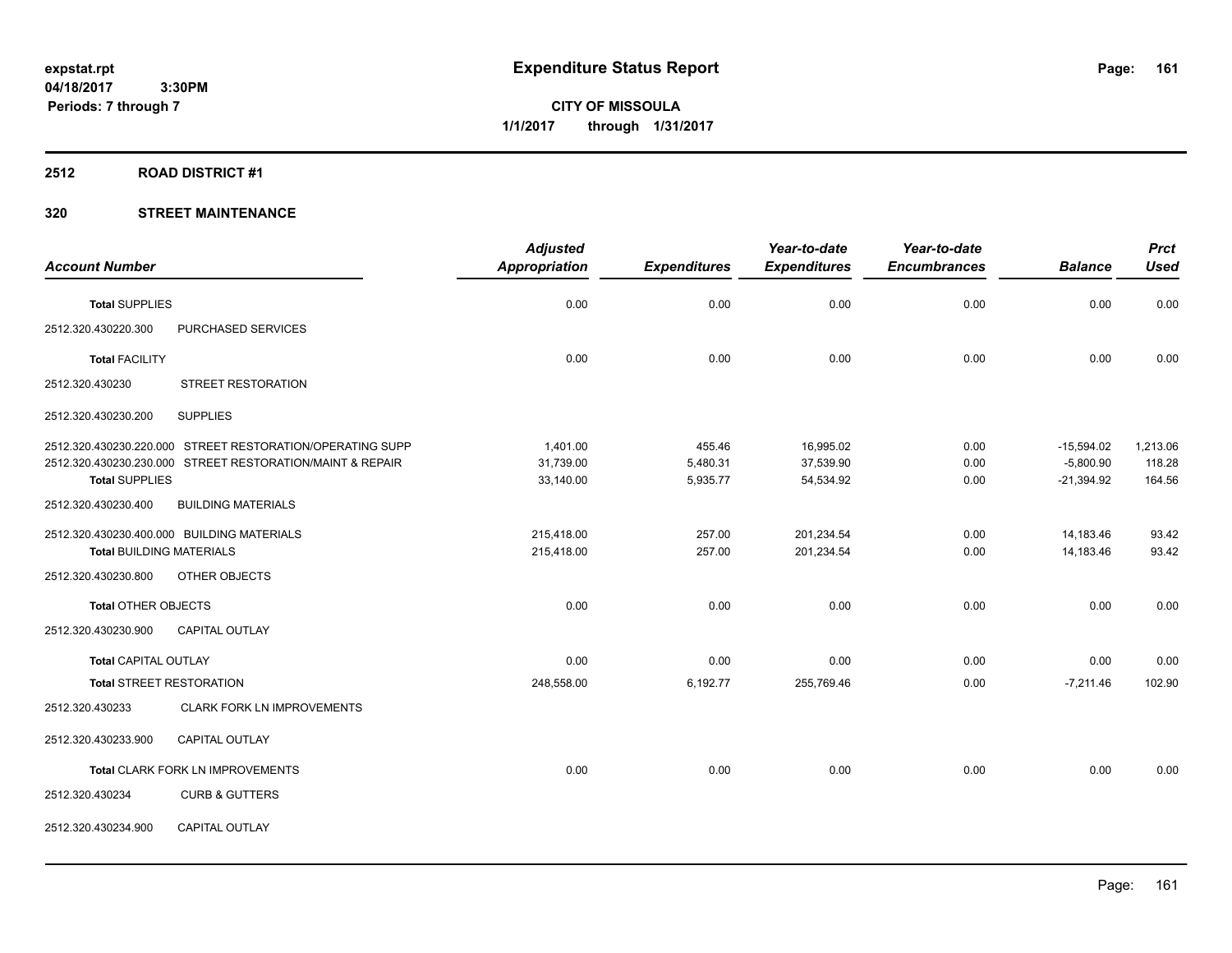**CITY OF MISSOULA 1/1/2017 through 1/31/2017**

#### **2512 ROAD DISTRICT #1**

|                                 |                                                           | <b>Adjusted</b> |                     | Year-to-date        | Year-to-date        |                | <b>Prct</b> |
|---------------------------------|-----------------------------------------------------------|-----------------|---------------------|---------------------|---------------------|----------------|-------------|
| <b>Account Number</b>           |                                                           | Appropriation   | <b>Expenditures</b> | <b>Expenditures</b> | <b>Encumbrances</b> | <b>Balance</b> | <b>Used</b> |
| <b>Total SUPPLIES</b>           |                                                           | 0.00            | 0.00                | 0.00                | 0.00                | 0.00           | 0.00        |
| 2512.320.430220.300             | PURCHASED SERVICES                                        |                 |                     |                     |                     |                |             |
| <b>Total FACILITY</b>           |                                                           | 0.00            | 0.00                | 0.00                | 0.00                | 0.00           | 0.00        |
| 2512.320.430230                 | <b>STREET RESTORATION</b>                                 |                 |                     |                     |                     |                |             |
| 2512.320.430230.200             | <b>SUPPLIES</b>                                           |                 |                     |                     |                     |                |             |
|                                 | 2512.320.430230.220.000 STREET RESTORATION/OPERATING SUPP | 1.401.00        | 455.46              | 16,995.02           | 0.00                | $-15,594.02$   | 1,213.06    |
|                                 | 2512.320.430230.230.000 STREET RESTORATION/MAINT & REPAIR | 31,739.00       | 5,480.31            | 37,539.90           | 0.00                | $-5,800.90$    | 118.28      |
| <b>Total SUPPLIES</b>           |                                                           | 33,140.00       | 5,935.77            | 54,534.92           | 0.00                | $-21,394.92$   | 164.56      |
| 2512.320.430230.400             | <b>BUILDING MATERIALS</b>                                 |                 |                     |                     |                     |                |             |
|                                 | 2512.320.430230.400.000 BUILDING MATERIALS                | 215,418.00      | 257.00              | 201,234.54          | 0.00                | 14,183.46      | 93.42       |
| <b>Total BUILDING MATERIALS</b> |                                                           | 215,418.00      | 257.00              | 201,234.54          | 0.00                | 14,183.46      | 93.42       |
| 2512.320.430230.800             | OTHER OBJECTS                                             |                 |                     |                     |                     |                |             |
| <b>Total OTHER OBJECTS</b>      |                                                           | 0.00            | 0.00                | 0.00                | 0.00                | 0.00           | 0.00        |
| 2512.320.430230.900             | <b>CAPITAL OUTLAY</b>                                     |                 |                     |                     |                     |                |             |
| <b>Total CAPITAL OUTLAY</b>     |                                                           | 0.00            | 0.00                | 0.00                | 0.00                | 0.00           | 0.00        |
|                                 | <b>Total STREET RESTORATION</b>                           | 248,558.00      | 6,192.77            | 255,769.46          | 0.00                | $-7,211.46$    | 102.90      |
| 2512.320.430233                 | <b>CLARK FORK LN IMPROVEMENTS</b>                         |                 |                     |                     |                     |                |             |
| 2512.320.430233.900             | CAPITAL OUTLAY                                            |                 |                     |                     |                     |                |             |
|                                 | Total CLARK FORK LN IMPROVEMENTS                          | 0.00            | 0.00                | 0.00                | 0.00                | 0.00           | 0.00        |
| 2512.320.430234                 | <b>CURB &amp; GUTTERS</b>                                 |                 |                     |                     |                     |                |             |
| 2512.320.430234.900             | CAPITAL OUTLAY                                            |                 |                     |                     |                     |                |             |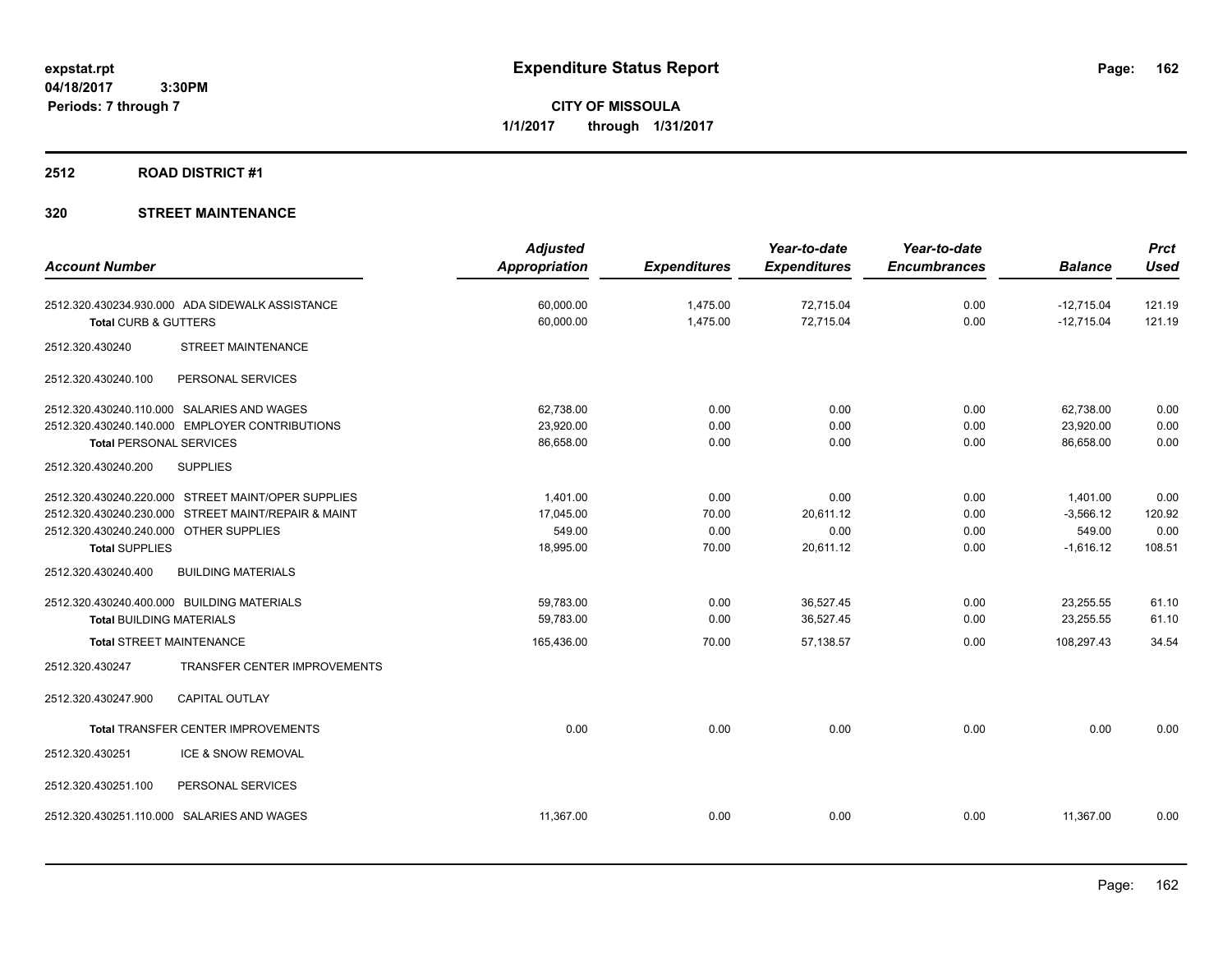**CITY OF MISSOULA 1/1/2017 through 1/31/2017**

## **2512 ROAD DISTRICT #1**

|                                                     |                              | <b>Adjusted</b>      |                     | Year-to-date        | Year-to-date        |                | <b>Prct</b> |
|-----------------------------------------------------|------------------------------|----------------------|---------------------|---------------------|---------------------|----------------|-------------|
| <b>Account Number</b>                               |                              | <b>Appropriation</b> | <b>Expenditures</b> | <b>Expenditures</b> | <b>Encumbrances</b> | <b>Balance</b> | <b>Used</b> |
| 2512.320.430234.930.000 ADA SIDEWALK ASSISTANCE     |                              | 60,000.00            | 1,475.00            | 72,715.04           | 0.00                | $-12,715.04$   | 121.19      |
| <b>Total CURB &amp; GUTTERS</b>                     |                              | 60,000.00            | 1,475.00            | 72,715.04           | 0.00                | $-12,715.04$   | 121.19      |
| 2512.320.430240                                     | <b>STREET MAINTENANCE</b>    |                      |                     |                     |                     |                |             |
| 2512.320.430240.100                                 | PERSONAL SERVICES            |                      |                     |                     |                     |                |             |
| 2512.320.430240.110.000 SALARIES AND WAGES          |                              | 62,738.00            | 0.00                | 0.00                | 0.00                | 62,738.00      | 0.00        |
| 2512.320.430240.140.000 EMPLOYER CONTRIBUTIONS      |                              | 23,920.00            | 0.00                | 0.00                | 0.00                | 23,920.00      | 0.00        |
| <b>Total PERSONAL SERVICES</b>                      |                              | 86,658.00            | 0.00                | 0.00                | 0.00                | 86,658.00      | 0.00        |
| 2512.320.430240.200<br><b>SUPPLIES</b>              |                              |                      |                     |                     |                     |                |             |
| 2512.320.430240.220.000 STREET MAINT/OPER SUPPLIES  |                              | 1.401.00             | 0.00                | 0.00                | 0.00                | 1,401.00       | 0.00        |
| 2512.320.430240.230.000 STREET MAINT/REPAIR & MAINT |                              | 17,045.00            | 70.00               | 20.611.12           | 0.00                | $-3,566.12$    | 120.92      |
| 2512.320.430240.240.000 OTHER SUPPLIES              |                              | 549.00               | 0.00                | 0.00                | 0.00                | 549.00         | 0.00        |
| <b>Total SUPPLIES</b>                               |                              | 18,995.00            | 70.00               | 20,611.12           | 0.00                | $-1,616.12$    | 108.51      |
| 2512.320.430240.400                                 | <b>BUILDING MATERIALS</b>    |                      |                     |                     |                     |                |             |
| 2512.320.430240.400.000 BUILDING MATERIALS          |                              | 59,783.00            | 0.00                | 36,527.45           | 0.00                | 23,255.55      | 61.10       |
| <b>Total BUILDING MATERIALS</b>                     |                              | 59,783.00            | 0.00                | 36,527.45           | 0.00                | 23,255.55      | 61.10       |
| <b>Total STREET MAINTENANCE</b>                     |                              | 165,436.00           | 70.00               | 57,138.57           | 0.00                | 108,297.43     | 34.54       |
| 2512.320.430247                                     | TRANSFER CENTER IMPROVEMENTS |                      |                     |                     |                     |                |             |
| <b>CAPITAL OUTLAY</b><br>2512.320.430247.900        |                              |                      |                     |                     |                     |                |             |
| Total TRANSFER CENTER IMPROVEMENTS                  |                              | 0.00                 | 0.00                | 0.00                | 0.00                | 0.00           | 0.00        |
| 2512.320.430251                                     | ICE & SNOW REMOVAL           |                      |                     |                     |                     |                |             |
| 2512.320.430251.100                                 | PERSONAL SERVICES            |                      |                     |                     |                     |                |             |
| 2512.320.430251.110.000 SALARIES AND WAGES          |                              | 11,367.00            | 0.00                | 0.00                | 0.00                | 11,367.00      | 0.00        |
|                                                     |                              |                      |                     |                     |                     |                |             |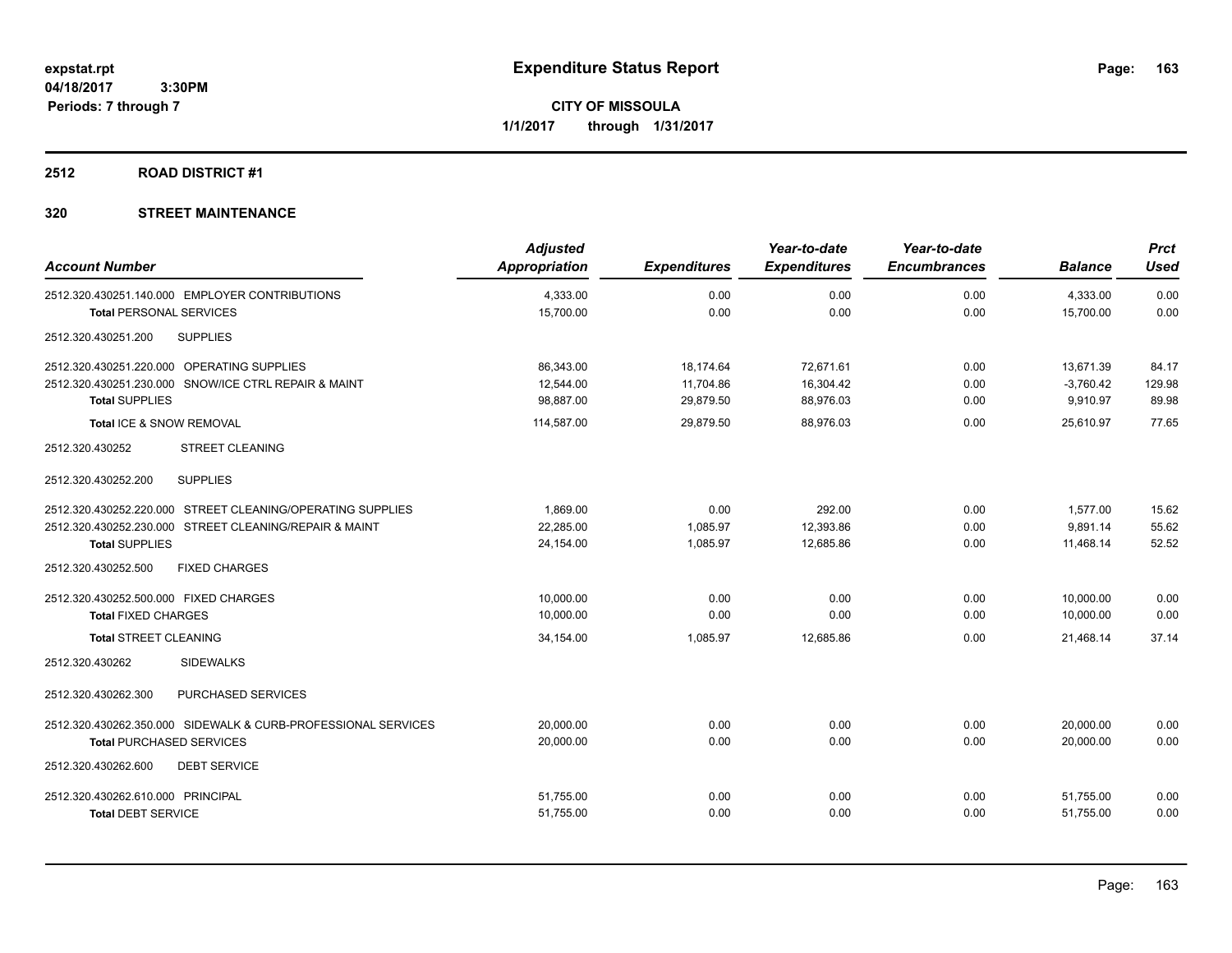**CITY OF MISSOULA 1/1/2017 through 1/31/2017**

## **2512 ROAD DISTRICT #1**

| <b>Account Number</b>                                         | <b>Adjusted</b><br><b>Appropriation</b> | <b>Expenditures</b> | Year-to-date<br><b>Expenditures</b> | Year-to-date<br><b>Encumbrances</b> | <b>Balance</b> | <b>Prct</b><br><b>Used</b> |
|---------------------------------------------------------------|-----------------------------------------|---------------------|-------------------------------------|-------------------------------------|----------------|----------------------------|
| 2512.320.430251.140.000 EMPLOYER CONTRIBUTIONS                | 4,333.00                                | 0.00                | 0.00                                | 0.00                                | 4,333.00       | 0.00                       |
| <b>Total PERSONAL SERVICES</b>                                | 15,700.00                               | 0.00                | 0.00                                | 0.00                                | 15,700.00      | 0.00                       |
| <b>SUPPLIES</b><br>2512.320.430251.200                        |                                         |                     |                                     |                                     |                |                            |
| 2512.320.430251.220.000 OPERATING SUPPLIES                    | 86,343.00                               | 18,174.64           | 72,671.61                           | 0.00                                | 13,671.39      | 84.17                      |
| 2512.320.430251.230.000 SNOW/ICE CTRL REPAIR & MAINT          | 12,544.00                               | 11,704.86           | 16,304.42                           | 0.00                                | $-3,760.42$    | 129.98                     |
| <b>Total SUPPLIES</b>                                         | 98,887.00                               | 29,879.50           | 88,976.03                           | 0.00                                | 9,910.97       | 89.98                      |
| Total ICE & SNOW REMOVAL                                      | 114,587.00                              | 29,879.50           | 88,976.03                           | 0.00                                | 25,610.97      | 77.65                      |
| <b>STREET CLEANING</b><br>2512.320.430252                     |                                         |                     |                                     |                                     |                |                            |
| 2512.320.430252.200<br><b>SUPPLIES</b>                        |                                         |                     |                                     |                                     |                |                            |
| 2512.320.430252.220.000 STREET CLEANING/OPERATING SUPPLIES    | 1,869.00                                | 0.00                | 292.00                              | 0.00                                | 1,577.00       | 15.62                      |
| 2512.320.430252.230.000 STREET CLEANING/REPAIR & MAINT        | 22,285.00                               | 1,085.97            | 12,393.86                           | 0.00                                | 9,891.14       | 55.62                      |
| <b>Total SUPPLIES</b>                                         | 24,154.00                               | 1,085.97            | 12,685.86                           | 0.00                                | 11,468.14      | 52.52                      |
| 2512.320.430252.500<br><b>FIXED CHARGES</b>                   |                                         |                     |                                     |                                     |                |                            |
| 2512.320.430252.500.000 FIXED CHARGES                         | 10.000.00                               | 0.00                | 0.00                                | 0.00                                | 10.000.00      | 0.00                       |
| <b>Total FIXED CHARGES</b>                                    | 10,000.00                               | 0.00                | 0.00                                | 0.00                                | 10,000.00      | 0.00                       |
| <b>Total STREET CLEANING</b>                                  | 34,154.00                               | 1,085.97            | 12,685.86                           | 0.00                                | 21,468.14      | 37.14                      |
| <b>SIDEWALKS</b><br>2512.320.430262                           |                                         |                     |                                     |                                     |                |                            |
| 2512.320.430262.300<br>PURCHASED SERVICES                     |                                         |                     |                                     |                                     |                |                            |
| 2512.320.430262.350.000 SIDEWALK & CURB-PROFESSIONAL SERVICES | 20,000.00                               | 0.00                | 0.00                                | 0.00                                | 20,000.00      | 0.00                       |
| <b>Total PURCHASED SERVICES</b>                               | 20,000.00                               | 0.00                | 0.00                                | 0.00                                | 20,000.00      | 0.00                       |
| 2512.320.430262.600<br><b>DEBT SERVICE</b>                    |                                         |                     |                                     |                                     |                |                            |
| 2512.320.430262.610.000 PRINCIPAL                             | 51,755.00                               | 0.00                | 0.00                                | 0.00                                | 51,755.00      | 0.00                       |
| <b>Total DEBT SERVICE</b>                                     | 51,755.00                               | 0.00                | 0.00                                | 0.00                                | 51,755.00      | 0.00                       |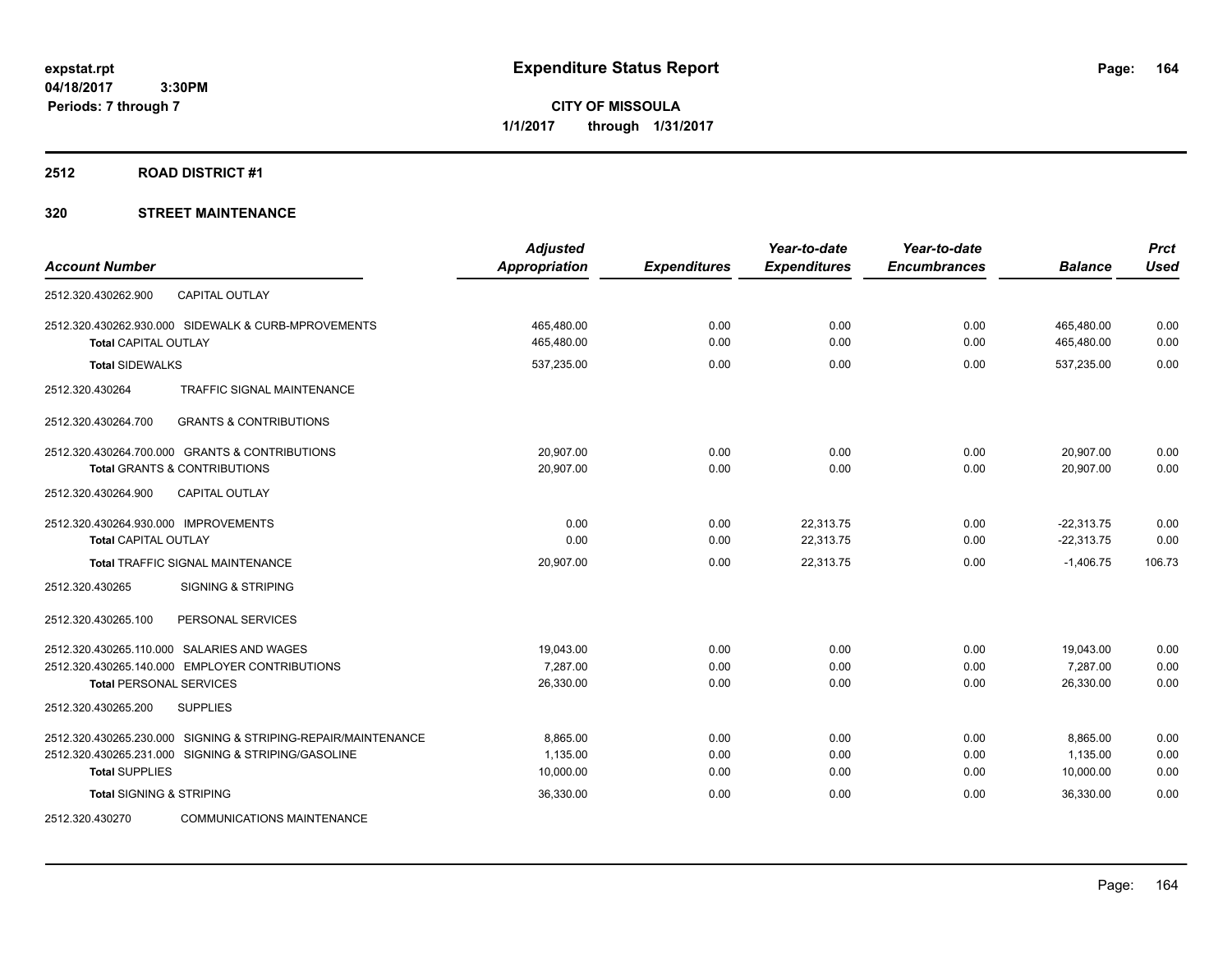**CITY OF MISSOULA 1/1/2017 through 1/31/2017**

## **2512 ROAD DISTRICT #1**

| <b>Account Number</b>                                         | <b>Adjusted</b><br><b>Appropriation</b> | <b>Expenditures</b> | Year-to-date<br><b>Expenditures</b> | Year-to-date<br><b>Encumbrances</b> | <b>Balance</b> | <b>Prct</b><br><b>Used</b> |
|---------------------------------------------------------------|-----------------------------------------|---------------------|-------------------------------------|-------------------------------------|----------------|----------------------------|
| 2512.320.430262.900<br><b>CAPITAL OUTLAY</b>                  |                                         |                     |                                     |                                     |                |                            |
| 2512.320.430262.930.000 SIDEWALK & CURB-MPROVEMENTS           | 465,480.00                              | 0.00                | 0.00                                | 0.00                                | 465,480.00     | 0.00                       |
| <b>Total CAPITAL OUTLAY</b>                                   | 465,480.00                              | 0.00                | 0.00                                | 0.00                                | 465,480.00     | 0.00                       |
| <b>Total SIDEWALKS</b>                                        | 537,235.00                              | 0.00                | 0.00                                | 0.00                                | 537,235.00     | 0.00                       |
| 2512.320.430264<br>TRAFFIC SIGNAL MAINTENANCE                 |                                         |                     |                                     |                                     |                |                            |
| 2512.320.430264.700<br><b>GRANTS &amp; CONTRIBUTIONS</b>      |                                         |                     |                                     |                                     |                |                            |
| 2512.320.430264.700.000 GRANTS & CONTRIBUTIONS                | 20,907.00                               | 0.00                | 0.00                                | 0.00                                | 20,907.00      | 0.00                       |
| <b>Total GRANTS &amp; CONTRIBUTIONS</b>                       | 20,907.00                               | 0.00                | 0.00                                | 0.00                                | 20,907.00      | 0.00                       |
| 2512.320.430264.900<br><b>CAPITAL OUTLAY</b>                  |                                         |                     |                                     |                                     |                |                            |
| 2512.320.430264.930.000 IMPROVEMENTS                          | 0.00                                    | 0.00                | 22,313.75                           | 0.00                                | $-22,313.75$   | 0.00                       |
| <b>Total CAPITAL OUTLAY</b>                                   | 0.00                                    | 0.00                | 22,313.75                           | 0.00                                | $-22,313.75$   | 0.00                       |
| <b>Total TRAFFIC SIGNAL MAINTENANCE</b>                       | 20,907.00                               | 0.00                | 22,313.75                           | 0.00                                | $-1,406.75$    | 106.73                     |
| 2512.320.430265<br><b>SIGNING &amp; STRIPING</b>              |                                         |                     |                                     |                                     |                |                            |
| 2512.320.430265.100<br>PERSONAL SERVICES                      |                                         |                     |                                     |                                     |                |                            |
| 2512.320.430265.110.000 SALARIES AND WAGES                    | 19,043.00                               | 0.00                | 0.00                                | 0.00                                | 19,043.00      | 0.00                       |
| 2512.320.430265.140.000 EMPLOYER CONTRIBUTIONS                | 7.287.00                                | 0.00                | 0.00                                | 0.00                                | 7.287.00       | 0.00                       |
| <b>Total PERSONAL SERVICES</b>                                | 26,330.00                               | 0.00                | 0.00                                | 0.00                                | 26,330.00      | 0.00                       |
| 2512.320.430265.200<br><b>SUPPLIES</b>                        |                                         |                     |                                     |                                     |                |                            |
| 2512.320.430265.230.000 SIGNING & STRIPING-REPAIR/MAINTENANCE | 8.865.00                                | 0.00                | 0.00                                | 0.00                                | 8,865.00       | 0.00                       |
| 2512.320.430265.231.000 SIGNING & STRIPING/GASOLINE           | 1,135.00                                | 0.00                | 0.00                                | 0.00                                | 1,135.00       | 0.00                       |
| <b>Total SUPPLIES</b>                                         | 10,000.00                               | 0.00                | 0.00                                | 0.00                                | 10,000.00      | 0.00                       |
| <b>Total SIGNING &amp; STRIPING</b>                           | 36,330.00                               | 0.00                | 0.00                                | 0.00                                | 36,330.00      | 0.00                       |
| <b>COMMUNICATIONS MAINTENANCE</b><br>2512.320.430270          |                                         |                     |                                     |                                     |                |                            |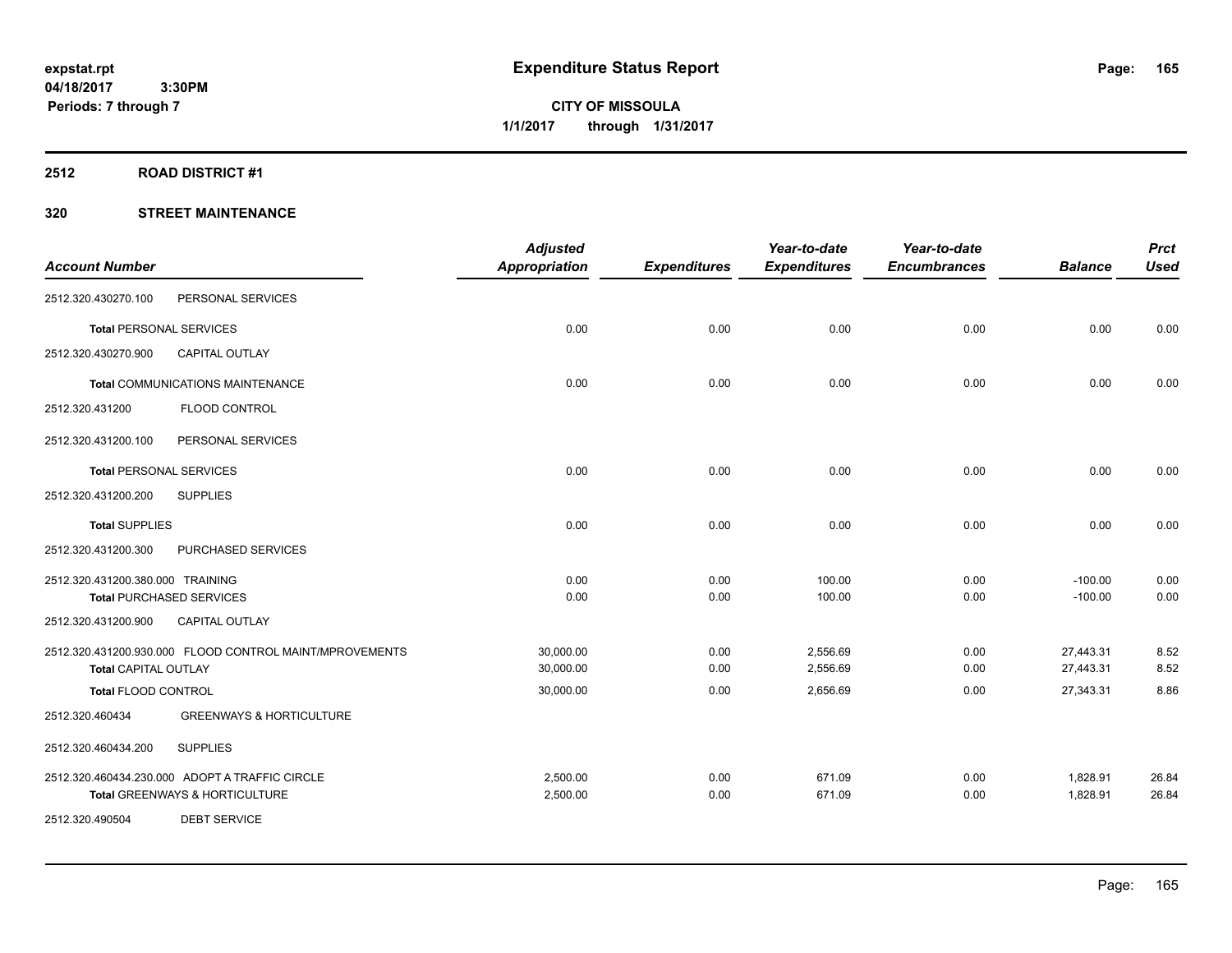**CITY OF MISSOULA 1/1/2017 through 1/31/2017**

#### **2512 ROAD DISTRICT #1**

|                                  |                                                         | <b>Adjusted</b>      |                     | Year-to-date        | Year-to-date        |                | <b>Prct</b> |
|----------------------------------|---------------------------------------------------------|----------------------|---------------------|---------------------|---------------------|----------------|-------------|
| <b>Account Number</b>            |                                                         | <b>Appropriation</b> | <b>Expenditures</b> | <b>Expenditures</b> | <b>Encumbrances</b> | <b>Balance</b> | <b>Used</b> |
| 2512.320.430270.100              | PERSONAL SERVICES                                       |                      |                     |                     |                     |                |             |
| <b>Total PERSONAL SERVICES</b>   |                                                         | 0.00                 | 0.00                | 0.00                | 0.00                | 0.00           | 0.00        |
| 2512.320.430270.900              | CAPITAL OUTLAY                                          |                      |                     |                     |                     |                |             |
|                                  | <b>Total COMMUNICATIONS MAINTENANCE</b>                 | 0.00                 | 0.00                | 0.00                | 0.00                | 0.00           | 0.00        |
| 2512.320.431200                  | FLOOD CONTROL                                           |                      |                     |                     |                     |                |             |
| 2512.320.431200.100              | PERSONAL SERVICES                                       |                      |                     |                     |                     |                |             |
| <b>Total PERSONAL SERVICES</b>   |                                                         | 0.00                 | 0.00                | 0.00                | 0.00                | 0.00           | 0.00        |
| 2512.320.431200.200              | <b>SUPPLIES</b>                                         |                      |                     |                     |                     |                |             |
| <b>Total SUPPLIES</b>            |                                                         | 0.00                 | 0.00                | 0.00                | 0.00                | 0.00           | 0.00        |
| 2512.320.431200.300              | PURCHASED SERVICES                                      |                      |                     |                     |                     |                |             |
| 2512.320.431200.380.000 TRAINING |                                                         | 0.00                 | 0.00                | 100.00              | 0.00                | $-100.00$      | 0.00        |
|                                  | <b>Total PURCHASED SERVICES</b>                         | 0.00                 | 0.00                | 100.00              | 0.00                | $-100.00$      | 0.00        |
| 2512.320.431200.900              | <b>CAPITAL OUTLAY</b>                                   |                      |                     |                     |                     |                |             |
|                                  | 2512.320.431200.930.000 FLOOD CONTROL MAINT/MPROVEMENTS | 30,000.00            | 0.00                | 2,556.69            | 0.00                | 27,443.31      | 8.52        |
| <b>Total CAPITAL OUTLAY</b>      |                                                         | 30,000.00            | 0.00                | 2,556.69            | 0.00                | 27,443.31      | 8.52        |
| <b>Total FLOOD CONTROL</b>       |                                                         | 30,000.00            | 0.00                | 2,656.69            | 0.00                | 27,343.31      | 8.86        |
| 2512.320.460434                  | <b>GREENWAYS &amp; HORTICULTURE</b>                     |                      |                     |                     |                     |                |             |
| 2512.320.460434.200              | <b>SUPPLIES</b>                                         |                      |                     |                     |                     |                |             |
|                                  | 2512.320.460434.230.000 ADOPT A TRAFFIC CIRCLE          | 2,500.00             | 0.00                | 671.09              | 0.00                | 1,828.91       | 26.84       |
|                                  | Total GREENWAYS & HORTICULTURE                          | 2,500.00             | 0.00                | 671.09              | 0.00                | 1,828.91       | 26.84       |
| 2512.320.490504                  | <b>DEBT SERVICE</b>                                     |                      |                     |                     |                     |                |             |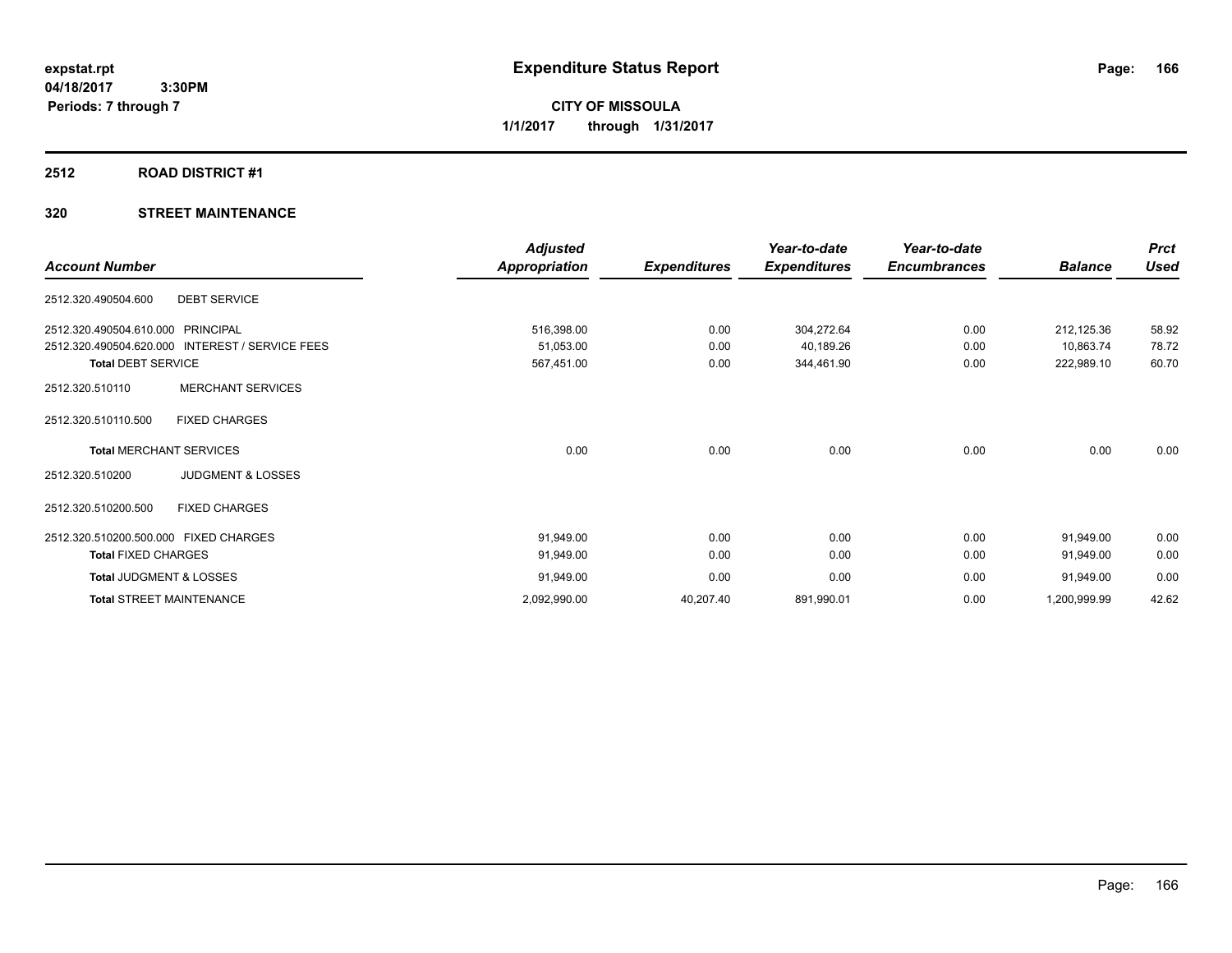**CITY OF MISSOULA 1/1/2017 through 1/31/2017**

#### **2512 ROAD DISTRICT #1**

|                                                           | <b>Adjusted</b>      |                     | Year-to-date        | Year-to-date        |                | <b>Prct</b> |
|-----------------------------------------------------------|----------------------|---------------------|---------------------|---------------------|----------------|-------------|
| <b>Account Number</b>                                     | <b>Appropriation</b> | <b>Expenditures</b> | <b>Expenditures</b> | <b>Encumbrances</b> | <b>Balance</b> | <b>Used</b> |
| <b>DEBT SERVICE</b><br>2512.320.490504.600                |                      |                     |                     |                     |                |             |
| PRINCIPAL<br>2512.320.490504.610.000                      | 516,398.00           | 0.00                | 304,272.64          | 0.00                | 212,125.36     | 58.92       |
| 2512.320.490504.620.000<br><b>INTEREST / SERVICE FEES</b> | 51,053.00            | 0.00                | 40,189.26           | 0.00                | 10,863.74      | 78.72       |
| <b>Total DEBT SERVICE</b>                                 | 567,451.00           | 0.00                | 344,461.90          | 0.00                | 222,989.10     | 60.70       |
| <b>MERCHANT SERVICES</b><br>2512.320.510110               |                      |                     |                     |                     |                |             |
| 2512.320.510110.500<br><b>FIXED CHARGES</b>               |                      |                     |                     |                     |                |             |
| <b>Total MERCHANT SERVICES</b>                            | 0.00                 | 0.00                | 0.00                | 0.00                | 0.00           | 0.00        |
| <b>JUDGMENT &amp; LOSSES</b><br>2512.320.510200           |                      |                     |                     |                     |                |             |
| 2512.320.510200.500<br><b>FIXED CHARGES</b>               |                      |                     |                     |                     |                |             |
| 2512.320.510200.500.000 FIXED CHARGES                     | 91,949.00            | 0.00                | 0.00                | 0.00                | 91,949.00      | 0.00        |
| <b>Total FIXED CHARGES</b>                                | 91,949.00            | 0.00                | 0.00                | 0.00                | 91,949.00      | 0.00        |
| Total JUDGMENT & LOSSES                                   | 91,949.00            | 0.00                | 0.00                | 0.00                | 91,949.00      | 0.00        |
| <b>Total STREET MAINTENANCE</b>                           | 2,092,990.00         | 40,207.40           | 891,990.01          | 0.00                | 1,200,999.99   | 42.62       |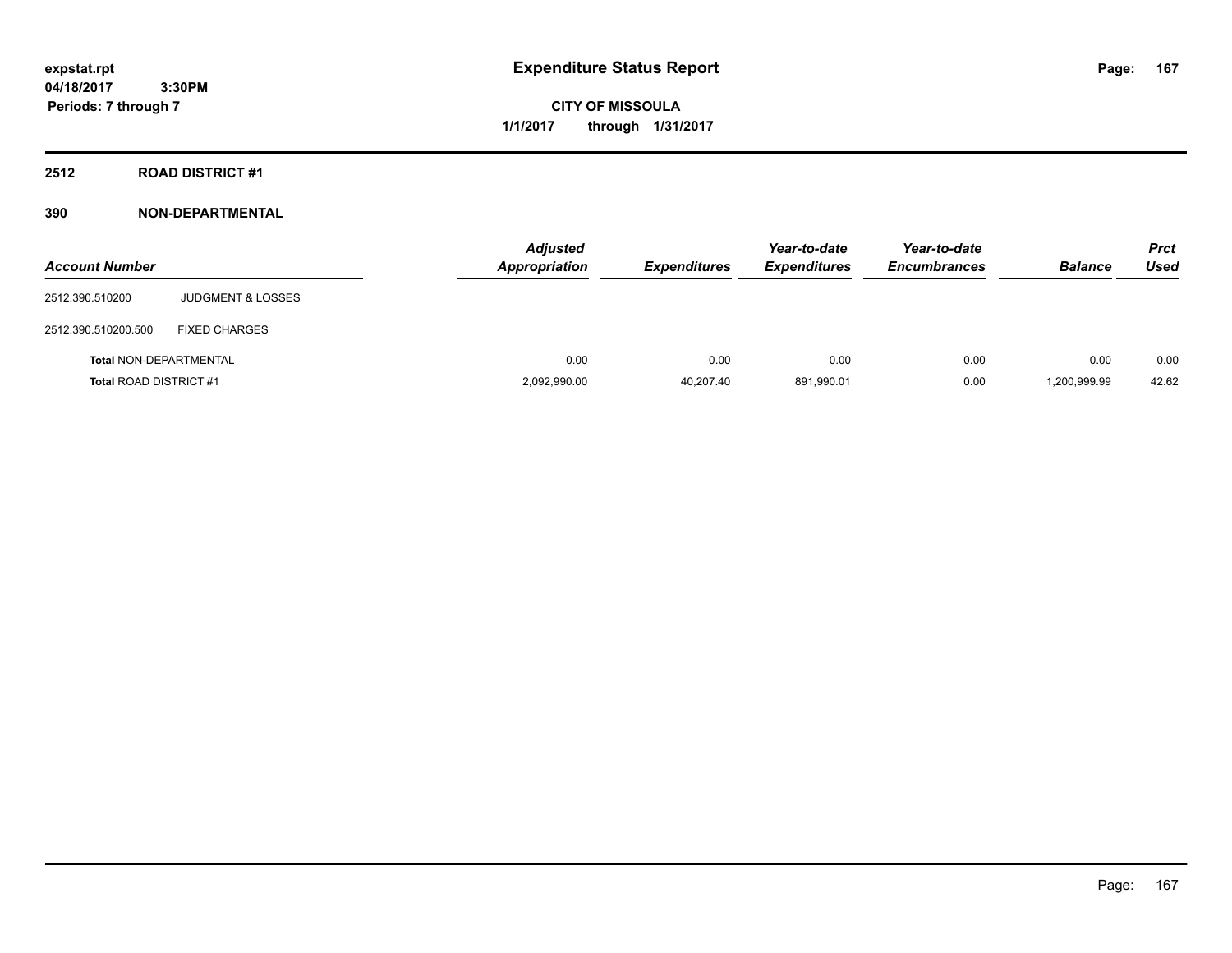**CITY OF MISSOULA 1/1/2017 through 1/31/2017**

**2512 ROAD DISTRICT #1**

| <b>Account Number</b>         |                              | <b>Adjusted</b><br><b>Appropriation</b> | <b>Expenditures</b> | Year-to-date<br><b>Expenditures</b> | Year-to-date<br><b>Encumbrances</b> | <b>Balance</b> | <b>Prct</b><br>Used |
|-------------------------------|------------------------------|-----------------------------------------|---------------------|-------------------------------------|-------------------------------------|----------------|---------------------|
| 2512.390.510200               | <b>JUDGMENT &amp; LOSSES</b> |                                         |                     |                                     |                                     |                |                     |
| 2512.390.510200.500           | <b>FIXED CHARGES</b>         |                                         |                     |                                     |                                     |                |                     |
| <b>Total NON-DEPARTMENTAL</b> |                              |                                         | 0.00<br>0.00        | 0.00                                | 0.00                                | 0.00           | 0.00                |
| <b>Total ROAD DISTRICT #1</b> |                              | 2,092,990.00                            | 40.207.40           | 891.990.01                          | 0.00                                | 1,200,999.99   | 42.62               |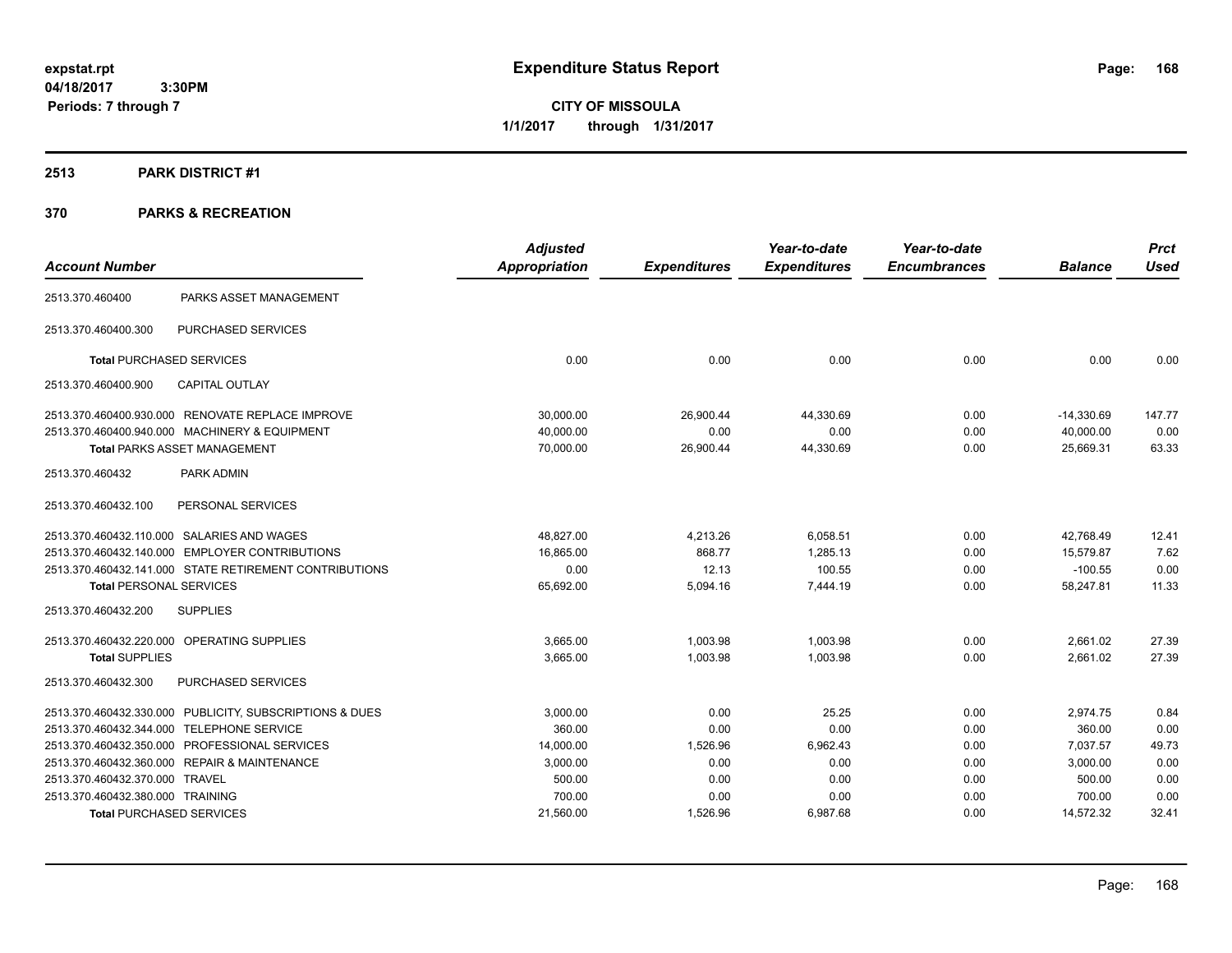**CITY OF MISSOULA 1/1/2017 through 1/31/2017**

## **2513 PARK DISTRICT #1**

| <b>Account Number</b>            |                                                         | <b>Adjusted</b><br><b>Appropriation</b> | <b>Expenditures</b> | Year-to-date<br><b>Expenditures</b> | Year-to-date<br><b>Encumbrances</b> | <b>Balance</b> | <b>Prct</b><br><b>Used</b> |
|----------------------------------|---------------------------------------------------------|-----------------------------------------|---------------------|-------------------------------------|-------------------------------------|----------------|----------------------------|
| 2513.370.460400                  | PARKS ASSET MANAGEMENT                                  |                                         |                     |                                     |                                     |                |                            |
| 2513.370.460400.300              | PURCHASED SERVICES                                      |                                         |                     |                                     |                                     |                |                            |
|                                  | <b>Total PURCHASED SERVICES</b>                         | 0.00                                    | 0.00                | 0.00                                | 0.00                                | 0.00           | 0.00                       |
| 2513.370.460400.900              | <b>CAPITAL OUTLAY</b>                                   |                                         |                     |                                     |                                     |                |                            |
|                                  | 2513.370.460400.930.000 RENOVATE REPLACE IMPROVE        | 30,000.00                               | 26,900.44           | 44,330.69                           | 0.00                                | $-14,330.69$   | 147.77                     |
|                                  | 2513.370.460400.940.000 MACHINERY & EQUIPMENT           | 40,000.00                               | 0.00                | 0.00                                | 0.00                                | 40,000.00      | 0.00                       |
|                                  | Total PARKS ASSET MANAGEMENT                            | 70,000.00                               | 26,900.44           | 44,330.69                           | 0.00                                | 25,669.31      | 63.33                      |
| 2513.370.460432                  | PARK ADMIN                                              |                                         |                     |                                     |                                     |                |                            |
| 2513.370.460432.100              | PERSONAL SERVICES                                       |                                         |                     |                                     |                                     |                |                            |
|                                  | 2513.370.460432.110.000 SALARIES AND WAGES              | 48,827.00                               | 4,213.26            | 6,058.51                            | 0.00                                | 42,768.49      | 12.41                      |
|                                  | 2513.370.460432.140.000 EMPLOYER CONTRIBUTIONS          | 16,865.00                               | 868.77              | 1,285.13                            | 0.00                                | 15,579.87      | 7.62                       |
|                                  | 2513.370.460432.141.000 STATE RETIREMENT CONTRIBUTIONS  | 0.00                                    | 12.13               | 100.55                              | 0.00                                | $-100.55$      | 0.00                       |
| <b>Total PERSONAL SERVICES</b>   |                                                         | 65,692.00                               | 5,094.16            | 7.444.19                            | 0.00                                | 58,247.81      | 11.33                      |
| 2513.370.460432.200              | <b>SUPPLIES</b>                                         |                                         |                     |                                     |                                     |                |                            |
|                                  | 2513.370.460432.220.000 OPERATING SUPPLIES              | 3,665.00                                | 1,003.98            | 1,003.98                            | 0.00                                | 2,661.02       | 27.39                      |
| <b>Total SUPPLIES</b>            |                                                         | 3,665.00                                | 1,003.98            | 1.003.98                            | 0.00                                | 2,661.02       | 27.39                      |
| 2513.370.460432.300              | PURCHASED SERVICES                                      |                                         |                     |                                     |                                     |                |                            |
|                                  | 2513.370.460432.330.000 PUBLICITY, SUBSCRIPTIONS & DUES | 3,000.00                                | 0.00                | 25.25                               | 0.00                                | 2,974.75       | 0.84                       |
|                                  | 2513.370.460432.344.000 TELEPHONE SERVICE               | 360.00                                  | 0.00                | 0.00                                | 0.00                                | 360.00         | 0.00                       |
|                                  | 2513.370.460432.350.000 PROFESSIONAL SERVICES           | 14,000.00                               | 1,526.96            | 6,962.43                            | 0.00                                | 7,037.57       | 49.73                      |
|                                  | 2513.370.460432.360.000 REPAIR & MAINTENANCE            | 3,000.00                                | 0.00                | 0.00                                | 0.00                                | 3,000.00       | 0.00                       |
| 2513.370.460432.370.000 TRAVEL   |                                                         | 500.00                                  | 0.00                | 0.00                                | 0.00                                | 500.00         | 0.00                       |
| 2513.370.460432.380.000 TRAINING |                                                         | 700.00                                  | 0.00                | 0.00                                | 0.00                                | 700.00         | 0.00                       |
|                                  | <b>Total PURCHASED SERVICES</b>                         | 21,560.00                               | 1,526.96            | 6,987.68                            | 0.00                                | 14,572.32      | 32.41                      |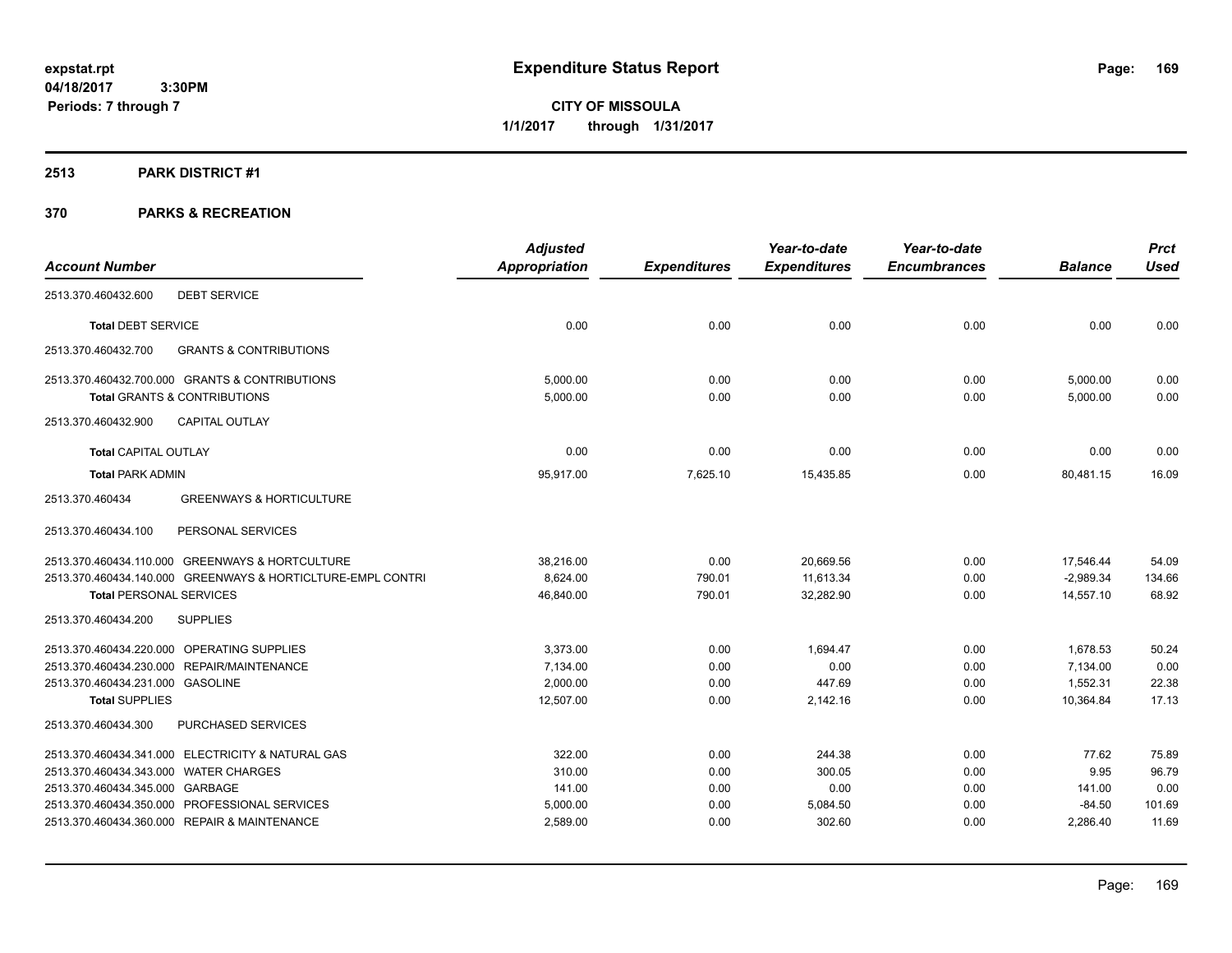**CITY OF MISSOULA 1/1/2017 through 1/31/2017**

## **2513 PARK DISTRICT #1**

|                                                             | <b>Adjusted</b> |                     | Year-to-date        | Year-to-date        |                | <b>Prct</b> |
|-------------------------------------------------------------|-----------------|---------------------|---------------------|---------------------|----------------|-------------|
| <b>Account Number</b>                                       | Appropriation   | <b>Expenditures</b> | <b>Expenditures</b> | <b>Encumbrances</b> | <b>Balance</b> | <b>Used</b> |
| <b>DEBT SERVICE</b><br>2513.370.460432.600                  |                 |                     |                     |                     |                |             |
| <b>Total DEBT SERVICE</b>                                   | 0.00            | 0.00                | 0.00                | 0.00                | 0.00           | 0.00        |
| 2513.370.460432.700<br><b>GRANTS &amp; CONTRIBUTIONS</b>    |                 |                     |                     |                     |                |             |
| 2513.370.460432.700.000 GRANTS & CONTRIBUTIONS              | 5,000.00        | 0.00                | 0.00                | 0.00                | 5,000.00       | 0.00        |
| <b>Total GRANTS &amp; CONTRIBUTIONS</b>                     | 5,000.00        | 0.00                | 0.00                | 0.00                | 5,000.00       | 0.00        |
| <b>CAPITAL OUTLAY</b><br>2513.370.460432.900                |                 |                     |                     |                     |                |             |
| <b>Total CAPITAL OUTLAY</b>                                 | 0.00            | 0.00                | 0.00                | 0.00                | 0.00           | 0.00        |
| <b>Total PARK ADMIN</b>                                     | 95,917.00       | 7,625.10            | 15,435.85           | 0.00                | 80,481.15      | 16.09       |
| 2513.370.460434<br><b>GREENWAYS &amp; HORTICULTURE</b>      |                 |                     |                     |                     |                |             |
| PERSONAL SERVICES<br>2513.370.460434.100                    |                 |                     |                     |                     |                |             |
| 2513.370.460434.110.000 GREENWAYS & HORTCULTURE             | 38,216.00       | 0.00                | 20,669.56           | 0.00                | 17,546.44      | 54.09       |
| 2513.370.460434.140.000 GREENWAYS & HORTICLTURE-EMPL CONTRI | 8,624.00        | 790.01              | 11,613.34           | 0.00                | $-2,989.34$    | 134.66      |
| <b>Total PERSONAL SERVICES</b>                              | 46,840.00       | 790.01              | 32,282.90           | 0.00                | 14,557.10      | 68.92       |
| <b>SUPPLIES</b><br>2513.370.460434.200                      |                 |                     |                     |                     |                |             |
| 2513.370.460434.220.000 OPERATING SUPPLIES                  | 3,373.00        | 0.00                | 1.694.47            | 0.00                | 1,678.53       | 50.24       |
| 2513.370.460434.230.000 REPAIR/MAINTENANCE                  | 7,134.00        | 0.00                | 0.00                | 0.00                | 7,134.00       | 0.00        |
| 2513.370.460434.231.000 GASOLINE                            | 2,000.00        | 0.00                | 447.69              | 0.00                | 1,552.31       | 22.38       |
| <b>Total SUPPLIES</b>                                       | 12,507.00       | 0.00                | 2,142.16            | 0.00                | 10,364.84      | 17.13       |
| 2513.370.460434.300<br>PURCHASED SERVICES                   |                 |                     |                     |                     |                |             |
| 2513.370.460434.341.000 ELECTRICITY & NATURAL GAS           | 322.00          | 0.00                | 244.38              | 0.00                | 77.62          | 75.89       |
| 2513.370.460434.343.000 WATER CHARGES                       | 310.00          | 0.00                | 300.05              | 0.00                | 9.95           | 96.79       |
| 2513.370.460434.345.000 GARBAGE                             | 141.00          | 0.00                | 0.00                | 0.00                | 141.00         | 0.00        |
| 2513.370.460434.350.000 PROFESSIONAL SERVICES               | 5,000.00        | 0.00                | 5,084.50            | 0.00                | $-84.50$       | 101.69      |
| 2513.370.460434.360.000 REPAIR & MAINTENANCE                | 2,589.00        | 0.00                | 302.60              | 0.00                | 2,286.40       | 11.69       |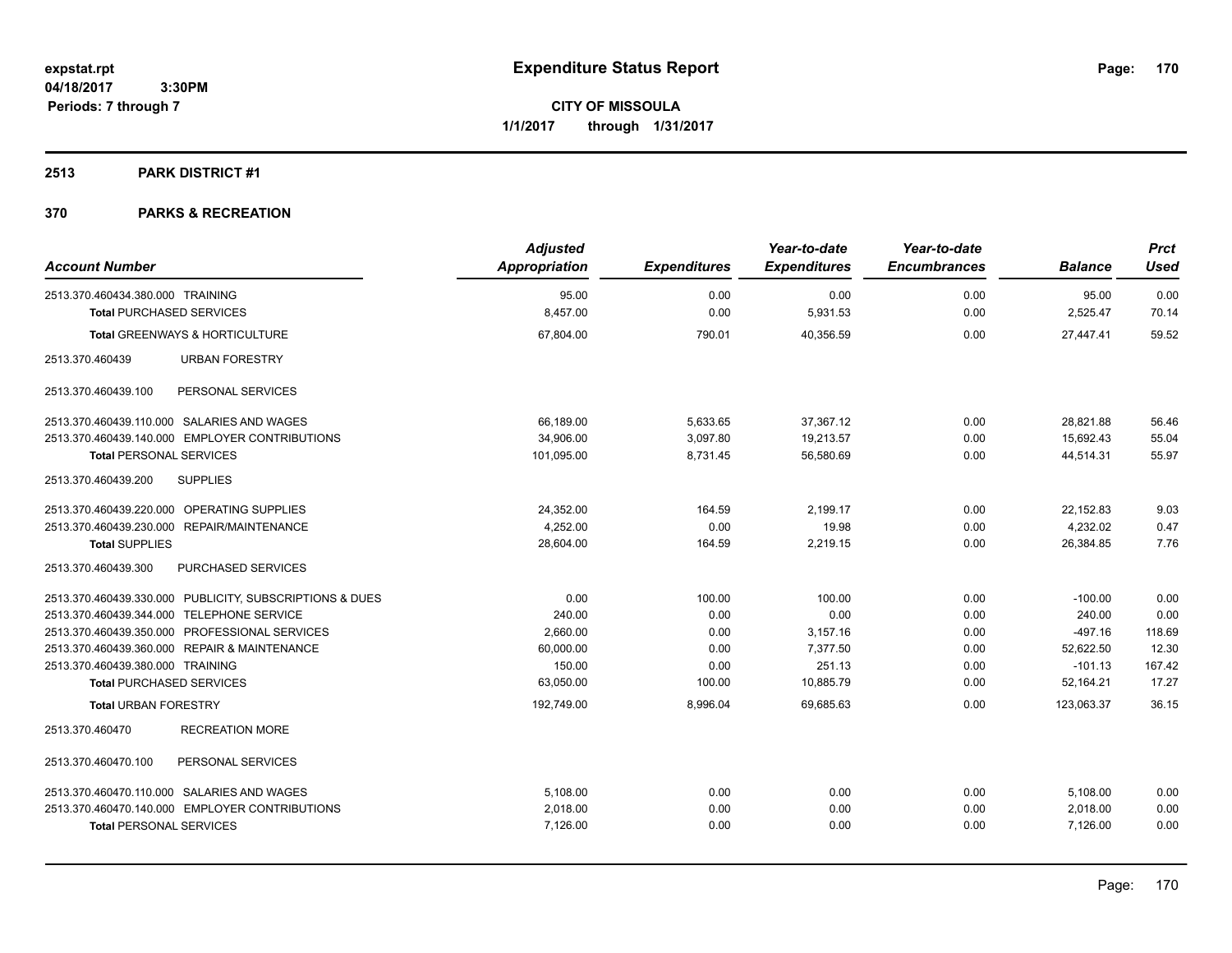**CITY OF MISSOULA 1/1/2017 through 1/31/2017**

#### **2513 PARK DISTRICT #1**

| <b>Account Number</b>                                   | <b>Adjusted</b><br><b>Appropriation</b> | <b>Expenditures</b> | Year-to-date<br><b>Expenditures</b> | Year-to-date<br><b>Encumbrances</b> | <b>Balance</b> | <b>Prct</b><br><b>Used</b> |
|---------------------------------------------------------|-----------------------------------------|---------------------|-------------------------------------|-------------------------------------|----------------|----------------------------|
| 2513.370.460434.380.000 TRAINING                        | 95.00                                   | 0.00                | 0.00                                | 0.00                                | 95.00          | 0.00                       |
| <b>Total PURCHASED SERVICES</b>                         | 8,457.00                                | 0.00                | 5,931.53                            | 0.00                                | 2,525.47       | 70.14                      |
| <b>Total GREENWAYS &amp; HORTICULTURE</b>               | 67,804.00                               | 790.01              | 40,356.59                           | 0.00                                | 27.447.41      | 59.52                      |
|                                                         |                                         |                     |                                     |                                     |                |                            |
| 2513.370.460439<br><b>URBAN FORESTRY</b>                |                                         |                     |                                     |                                     |                |                            |
| PERSONAL SERVICES<br>2513.370.460439.100                |                                         |                     |                                     |                                     |                |                            |
| 2513.370.460439.110.000 SALARIES AND WAGES              | 66.189.00                               | 5,633.65            | 37,367.12                           | 0.00                                | 28.821.88      | 56.46                      |
| 2513.370.460439.140.000 EMPLOYER CONTRIBUTIONS          | 34,906.00                               | 3,097.80            | 19,213.57                           | 0.00                                | 15,692.43      | 55.04                      |
| <b>Total PERSONAL SERVICES</b>                          | 101,095.00                              | 8,731.45            | 56,580.69                           | 0.00                                | 44,514.31      | 55.97                      |
| 2513.370.460439.200<br><b>SUPPLIES</b>                  |                                         |                     |                                     |                                     |                |                            |
| 2513.370.460439.220.000 OPERATING SUPPLIES              | 24,352.00                               | 164.59              | 2,199.17                            | 0.00                                | 22,152.83      | 9.03                       |
| 2513.370.460439.230.000 REPAIR/MAINTENANCE              | 4.252.00                                | 0.00                | 19.98                               | 0.00                                | 4.232.02       | 0.47                       |
| <b>Total SUPPLIES</b>                                   | 28,604.00                               | 164.59              | 2,219.15                            | 0.00                                | 26,384.85      | 7.76                       |
| PURCHASED SERVICES<br>2513.370.460439.300               |                                         |                     |                                     |                                     |                |                            |
| 2513.370.460439.330.000 PUBLICITY, SUBSCRIPTIONS & DUES | 0.00                                    | 100.00              | 100.00                              | 0.00                                | $-100.00$      | 0.00                       |
| 2513.370.460439.344.000 TELEPHONE SERVICE               | 240.00                                  | 0.00                | 0.00                                | 0.00                                | 240.00         | 0.00                       |
| 2513.370.460439.350.000 PROFESSIONAL SERVICES           | 2.660.00                                | 0.00                | 3,157.16                            | 0.00                                | $-497.16$      | 118.69                     |
| 2513.370.460439.360.000 REPAIR & MAINTENANCE            | 60,000.00                               | 0.00                | 7,377.50                            | 0.00                                | 52,622.50      | 12.30                      |
| 2513.370.460439.380.000 TRAINING                        | 150.00                                  | 0.00                | 251.13                              | 0.00                                | $-101.13$      | 167.42                     |
| <b>Total PURCHASED SERVICES</b>                         | 63,050.00                               | 100.00              | 10,885.79                           | 0.00                                | 52,164.21      | 17.27                      |
| <b>Total URBAN FORESTRY</b>                             | 192,749.00                              | 8,996.04            | 69.685.63                           | 0.00                                | 123.063.37     | 36.15                      |
| <b>RECREATION MORE</b><br>2513.370.460470               |                                         |                     |                                     |                                     |                |                            |
| PERSONAL SERVICES<br>2513.370.460470.100                |                                         |                     |                                     |                                     |                |                            |
| 2513.370.460470.110.000 SALARIES AND WAGES              | 5,108.00                                | 0.00                | 0.00                                | 0.00                                | 5,108.00       | 0.00                       |
| 2513.370.460470.140.000 EMPLOYER CONTRIBUTIONS          | 2,018.00                                | 0.00                | 0.00                                | 0.00                                | 2,018.00       | 0.00                       |
| <b>Total PERSONAL SERVICES</b>                          | 7,126.00                                | 0.00                | 0.00                                | 0.00                                | 7,126.00       | 0.00                       |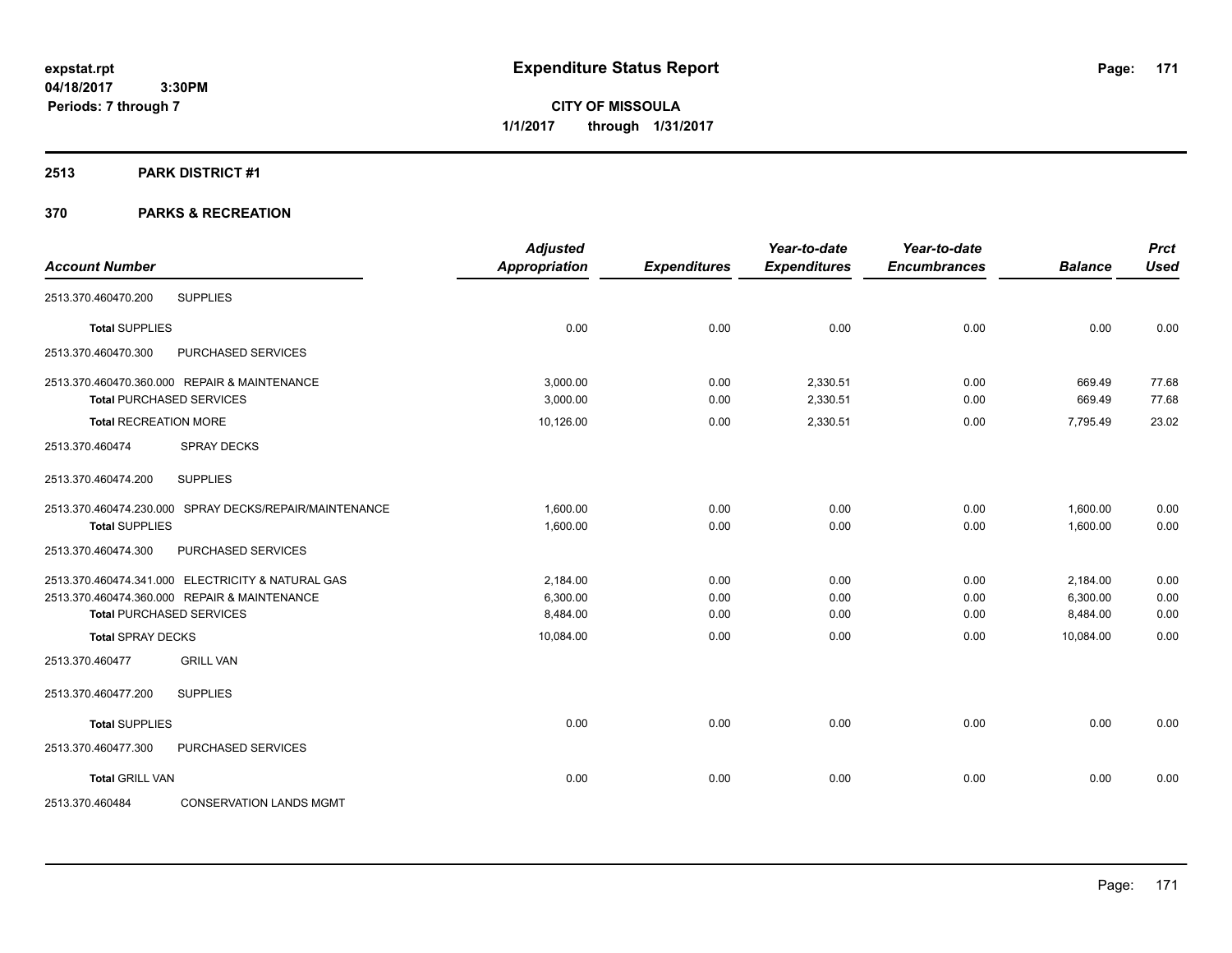**CITY OF MISSOULA 1/1/2017 through 1/31/2017**

#### **2513 PARK DISTRICT #1**

| <b>Account Number</b>                                  | <b>Adjusted</b><br><b>Appropriation</b> | <b>Expenditures</b> | Year-to-date<br><b>Expenditures</b> | Year-to-date<br><b>Encumbrances</b> | <b>Balance</b> | <b>Prct</b><br><b>Used</b> |
|--------------------------------------------------------|-----------------------------------------|---------------------|-------------------------------------|-------------------------------------|----------------|----------------------------|
|                                                        |                                         |                     |                                     |                                     |                |                            |
| <b>SUPPLIES</b><br>2513.370.460470.200                 |                                         |                     |                                     |                                     |                |                            |
| <b>Total SUPPLIES</b>                                  | 0.00                                    | 0.00                | 0.00                                | 0.00                                | 0.00           | 0.00                       |
| 2513.370.460470.300<br>PURCHASED SERVICES              |                                         |                     |                                     |                                     |                |                            |
| 2513.370.460470.360.000 REPAIR & MAINTENANCE           | 3,000.00                                | 0.00                | 2,330.51                            | 0.00                                | 669.49         | 77.68                      |
| <b>Total PURCHASED SERVICES</b>                        | 3,000.00                                | 0.00                | 2,330.51                            | 0.00                                | 669.49         | 77.68                      |
| <b>Total RECREATION MORE</b>                           | 10,126.00                               | 0.00                | 2,330.51                            | 0.00                                | 7,795.49       | 23.02                      |
| <b>SPRAY DECKS</b><br>2513.370.460474                  |                                         |                     |                                     |                                     |                |                            |
| <b>SUPPLIES</b><br>2513.370.460474.200                 |                                         |                     |                                     |                                     |                |                            |
| 2513.370.460474.230.000 SPRAY DECKS/REPAIR/MAINTENANCE | 1,600.00                                | 0.00                | 0.00                                | 0.00                                | 1,600.00       | 0.00                       |
| <b>Total SUPPLIES</b>                                  | 1,600.00                                | 0.00                | 0.00                                | 0.00                                | 1,600.00       | 0.00                       |
| 2513.370.460474.300<br>PURCHASED SERVICES              |                                         |                     |                                     |                                     |                |                            |
| 2513.370.460474.341.000 ELECTRICITY & NATURAL GAS      | 2,184.00                                | 0.00                | 0.00                                | 0.00                                | 2,184.00       | 0.00                       |
| 2513.370.460474.360.000 REPAIR & MAINTENANCE           | 6,300.00                                | 0.00                | 0.00                                | 0.00                                | 6,300.00       | 0.00                       |
| <b>Total PURCHASED SERVICES</b>                        | 8,484.00                                | 0.00                | 0.00                                | 0.00                                | 8,484.00       | 0.00                       |
| <b>Total SPRAY DECKS</b>                               | 10,084.00                               | 0.00                | 0.00                                | 0.00                                | 10,084.00      | 0.00                       |
| <b>GRILL VAN</b><br>2513.370.460477                    |                                         |                     |                                     |                                     |                |                            |
| <b>SUPPLIES</b><br>2513.370.460477.200                 |                                         |                     |                                     |                                     |                |                            |
| <b>Total SUPPLIES</b>                                  | 0.00                                    | 0.00                | 0.00                                | 0.00                                | 0.00           | 0.00                       |
| 2513.370.460477.300<br>PURCHASED SERVICES              |                                         |                     |                                     |                                     |                |                            |
| <b>Total GRILL VAN</b>                                 | 0.00                                    | 0.00                | 0.00                                | 0.00                                | 0.00           | 0.00                       |
| <b>CONSERVATION LANDS MGMT</b><br>2513.370.460484      |                                         |                     |                                     |                                     |                |                            |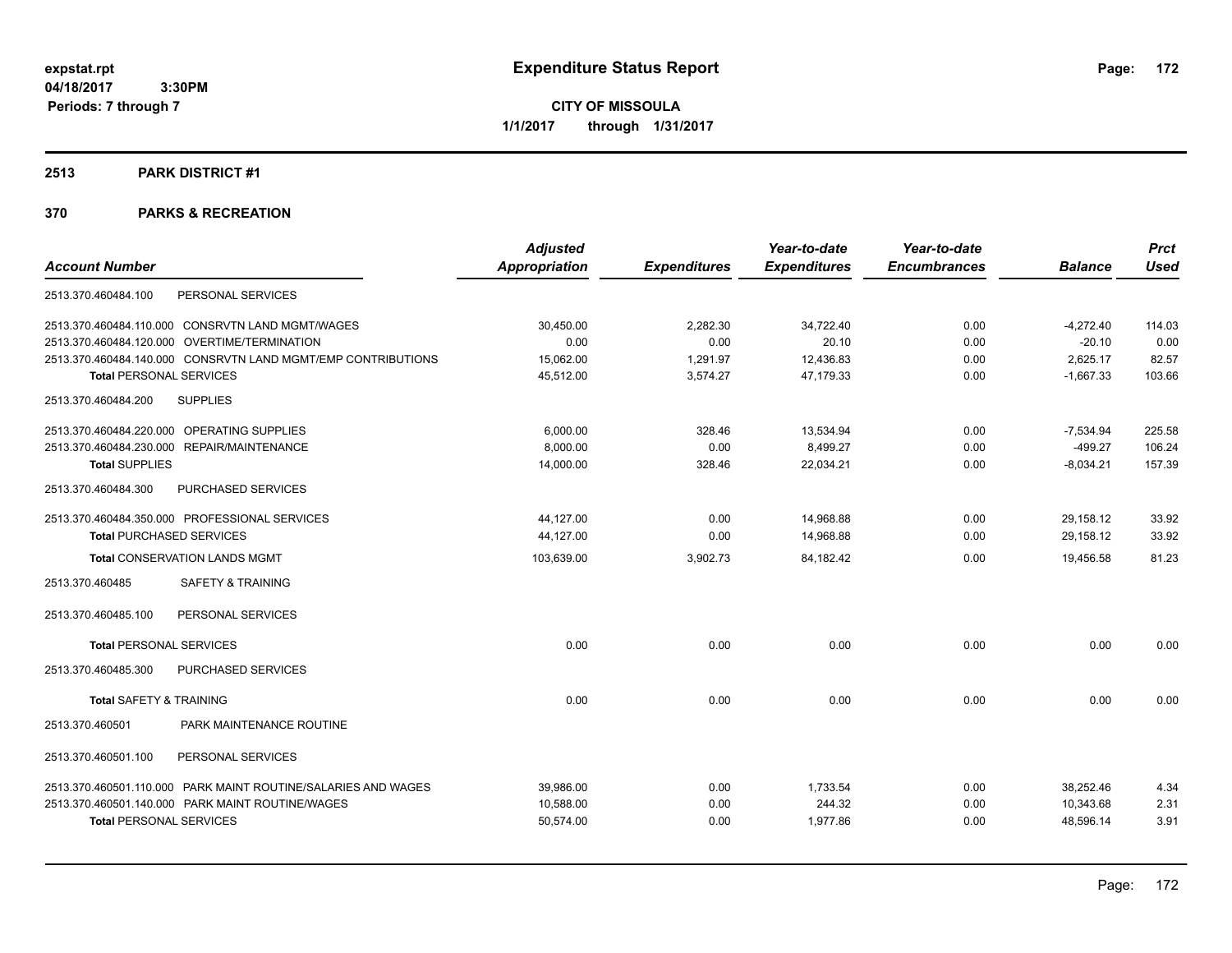**CITY OF MISSOULA 1/1/2017 through 1/31/2017**

## **2513 PARK DISTRICT #1**

|                                                               | <b>Adjusted</b>      |                     | Year-to-date        | Year-to-date        |                | <b>Prct</b> |
|---------------------------------------------------------------|----------------------|---------------------|---------------------|---------------------|----------------|-------------|
| <b>Account Number</b>                                         | <b>Appropriation</b> | <b>Expenditures</b> | <b>Expenditures</b> | <b>Encumbrances</b> | <b>Balance</b> | <b>Used</b> |
| PERSONAL SERVICES<br>2513.370.460484.100                      |                      |                     |                     |                     |                |             |
| 2513.370.460484.110.000 CONSRVTN LAND MGMT/WAGES              | 30,450.00            | 2,282.30            | 34,722.40           | 0.00                | $-4,272.40$    | 114.03      |
| OVERTIME/TERMINATION<br>2513.370.460484.120.000               | 0.00                 | 0.00                | 20.10               | 0.00                | $-20.10$       | 0.00        |
| 2513.370.460484.140.000 CONSRVTN LAND MGMT/EMP CONTRIBUTIONS  | 15,062.00            | 1,291.97            | 12,436.83           | 0.00                | 2,625.17       | 82.57       |
| <b>Total PERSONAL SERVICES</b>                                | 45,512.00            | 3,574.27            | 47,179.33           | 0.00                | $-1,667.33$    | 103.66      |
| <b>SUPPLIES</b><br>2513.370.460484.200                        |                      |                     |                     |                     |                |             |
| 2513.370.460484.220.000 OPERATING SUPPLIES                    | 6.000.00             | 328.46              | 13,534.94           | 0.00                | $-7,534.94$    | 225.58      |
| 2513.370.460484.230.000 REPAIR/MAINTENANCE                    | 8.000.00             | 0.00                | 8,499.27            | 0.00                | $-499.27$      | 106.24      |
| <b>Total SUPPLIES</b>                                         | 14,000.00            | 328.46              | 22,034.21           | 0.00                | $-8,034.21$    | 157.39      |
| PURCHASED SERVICES<br>2513.370.460484.300                     |                      |                     |                     |                     |                |             |
| 2513.370.460484.350.000 PROFESSIONAL SERVICES                 | 44,127.00            | 0.00                | 14,968.88           | 0.00                | 29,158.12      | 33.92       |
| <b>Total PURCHASED SERVICES</b>                               | 44,127.00            | 0.00                | 14,968.88           | 0.00                | 29,158.12      | 33.92       |
| <b>Total CONSERVATION LANDS MGMT</b>                          | 103,639.00           | 3,902.73            | 84,182.42           | 0.00                | 19,456.58      | 81.23       |
| <b>SAFETY &amp; TRAINING</b><br>2513.370.460485               |                      |                     |                     |                     |                |             |
| PERSONAL SERVICES<br>2513.370.460485.100                      |                      |                     |                     |                     |                |             |
| <b>Total PERSONAL SERVICES</b>                                | 0.00                 | 0.00                | 0.00                | 0.00                | 0.00           | 0.00        |
| 2513.370.460485.300<br>PURCHASED SERVICES                     |                      |                     |                     |                     |                |             |
| <b>Total SAFETY &amp; TRAINING</b>                            | 0.00                 | 0.00                | 0.00                | 0.00                | 0.00           | 0.00        |
| PARK MAINTENANCE ROUTINE<br>2513.370.460501                   |                      |                     |                     |                     |                |             |
| 2513.370.460501.100<br>PERSONAL SERVICES                      |                      |                     |                     |                     |                |             |
| 2513.370.460501.110.000 PARK MAINT ROUTINE/SALARIES AND WAGES | 39,986.00            | 0.00                | 1,733.54            | 0.00                | 38,252.46      | 4.34        |
| 2513.370.460501.140.000 PARK MAINT ROUTINE/WAGES              | 10.588.00            | 0.00                | 244.32              | 0.00                | 10.343.68      | 2.31        |
| <b>Total PERSONAL SERVICES</b>                                | 50,574.00            | 0.00                | 1,977.86            | 0.00                | 48,596.14      | 3.91        |
|                                                               |                      |                     |                     |                     |                |             |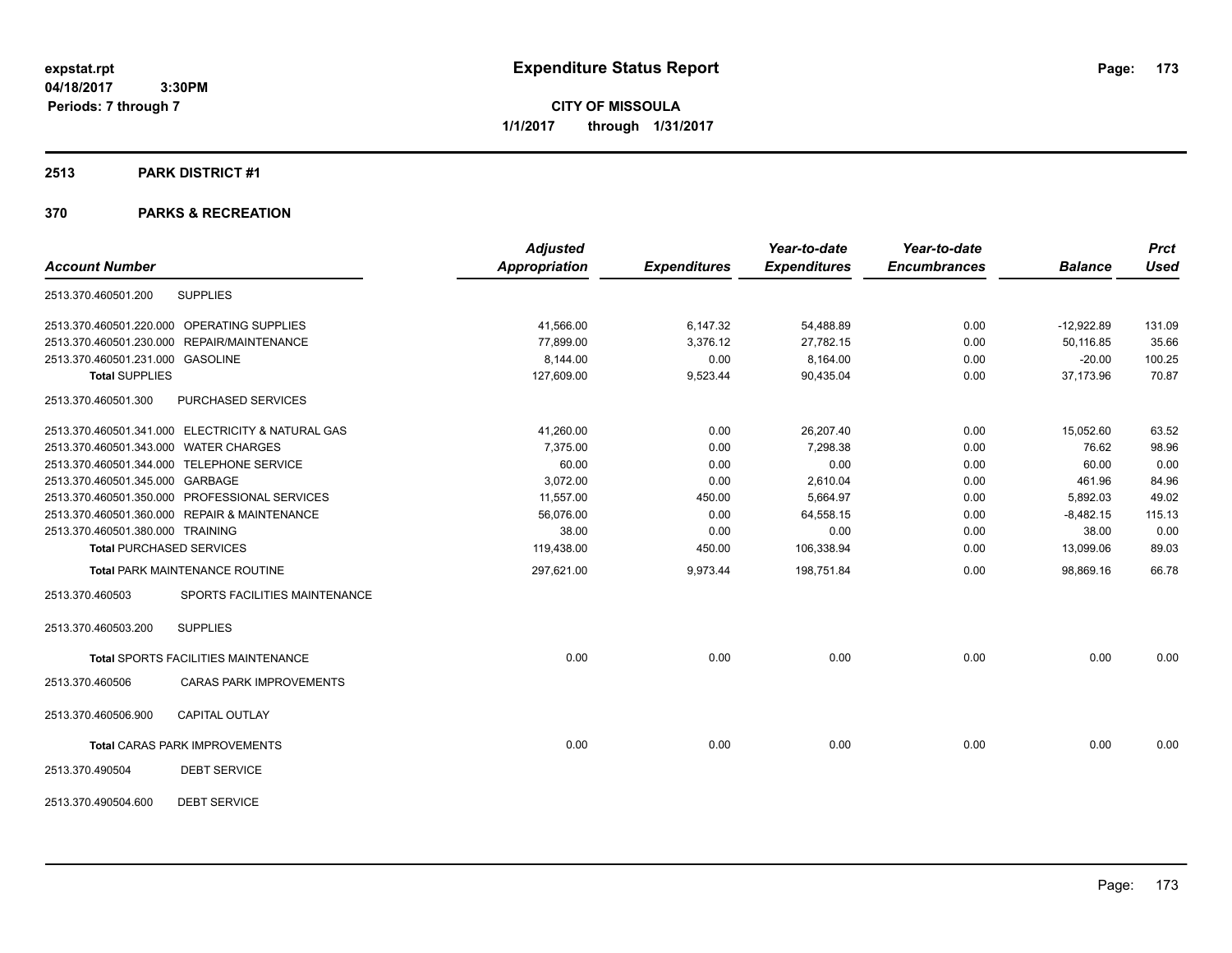**CITY OF MISSOULA 1/1/2017 through 1/31/2017**

## **2513 PARK DISTRICT #1**

| <b>Account Number</b>                 |                                                   | <b>Adjusted</b><br><b>Appropriation</b> | <b>Expenditures</b> | Year-to-date<br><b>Expenditures</b> | Year-to-date<br><b>Encumbrances</b> | <b>Balance</b> | <b>Prct</b><br><b>Used</b> |
|---------------------------------------|---------------------------------------------------|-----------------------------------------|---------------------|-------------------------------------|-------------------------------------|----------------|----------------------------|
|                                       |                                                   |                                         |                     |                                     |                                     |                |                            |
| 2513.370.460501.200                   | <b>SUPPLIES</b>                                   |                                         |                     |                                     |                                     |                |                            |
|                                       | 2513.370.460501.220.000 OPERATING SUPPLIES        | 41,566.00                               | 6,147.32            | 54,488.89                           | 0.00                                | $-12,922.89$   | 131.09                     |
|                                       | 2513.370.460501.230.000 REPAIR/MAINTENANCE        | 77,899.00                               | 3,376.12            | 27,782.15                           | 0.00                                | 50,116.85      | 35.66                      |
| 2513.370.460501.231.000 GASOLINE      |                                                   | 8,144.00                                | 0.00                | 8,164.00                            | 0.00                                | $-20.00$       | 100.25                     |
| <b>Total SUPPLIES</b>                 |                                                   | 127,609.00                              | 9,523.44            | 90,435.04                           | 0.00                                | 37,173.96      | 70.87                      |
| 2513.370.460501.300                   | PURCHASED SERVICES                                |                                         |                     |                                     |                                     |                |                            |
|                                       | 2513.370.460501.341.000 ELECTRICITY & NATURAL GAS | 41,260.00                               | 0.00                | 26,207.40                           | 0.00                                | 15,052.60      | 63.52                      |
| 2513.370.460501.343.000 WATER CHARGES |                                                   | 7,375.00                                | 0.00                | 7,298.38                            | 0.00                                | 76.62          | 98.96                      |
|                                       | 2513.370.460501.344.000 TELEPHONE SERVICE         | 60.00                                   | 0.00                | 0.00                                | 0.00                                | 60.00          | 0.00                       |
| 2513.370.460501.345.000 GARBAGE       |                                                   | 3,072.00                                | 0.00                | 2,610.04                            | 0.00                                | 461.96         | 84.96                      |
|                                       | 2513.370.460501.350.000 PROFESSIONAL SERVICES     | 11.557.00                               | 450.00              | 5,664.97                            | 0.00                                | 5,892.03       | 49.02                      |
|                                       | 2513.370.460501.360.000 REPAIR & MAINTENANCE      | 56,076.00                               | 0.00                | 64,558.15                           | 0.00                                | $-8,482.15$    | 115.13                     |
| 2513.370.460501.380.000 TRAINING      |                                                   | 38.00                                   | 0.00                | 0.00                                | 0.00                                | 38.00          | 0.00                       |
|                                       | <b>Total PURCHASED SERVICES</b>                   | 119,438.00                              | 450.00              | 106,338.94                          | 0.00                                | 13,099.06      | 89.03                      |
|                                       | <b>Total PARK MAINTENANCE ROUTINE</b>             | 297,621.00                              | 9,973.44            | 198,751.84                          | 0.00                                | 98,869.16      | 66.78                      |
| 2513.370.460503                       | SPORTS FACILITIES MAINTENANCE                     |                                         |                     |                                     |                                     |                |                            |
| 2513.370.460503.200                   | <b>SUPPLIES</b>                                   |                                         |                     |                                     |                                     |                |                            |
|                                       | <b>Total SPORTS FACILITIES MAINTENANCE</b>        | 0.00                                    | 0.00                | 0.00                                | 0.00                                | 0.00           | 0.00                       |
| 2513.370.460506                       | <b>CARAS PARK IMPROVEMENTS</b>                    |                                         |                     |                                     |                                     |                |                            |
| 2513.370.460506.900                   | <b>CAPITAL OUTLAY</b>                             |                                         |                     |                                     |                                     |                |                            |
|                                       | <b>Total CARAS PARK IMPROVEMENTS</b>              | 0.00                                    | 0.00                | 0.00                                | 0.00                                | 0.00           | 0.00                       |
| 2513.370.490504                       | <b>DEBT SERVICE</b>                               |                                         |                     |                                     |                                     |                |                            |
| 2513.370.490504.600                   | <b>DEBT SERVICE</b>                               |                                         |                     |                                     |                                     |                |                            |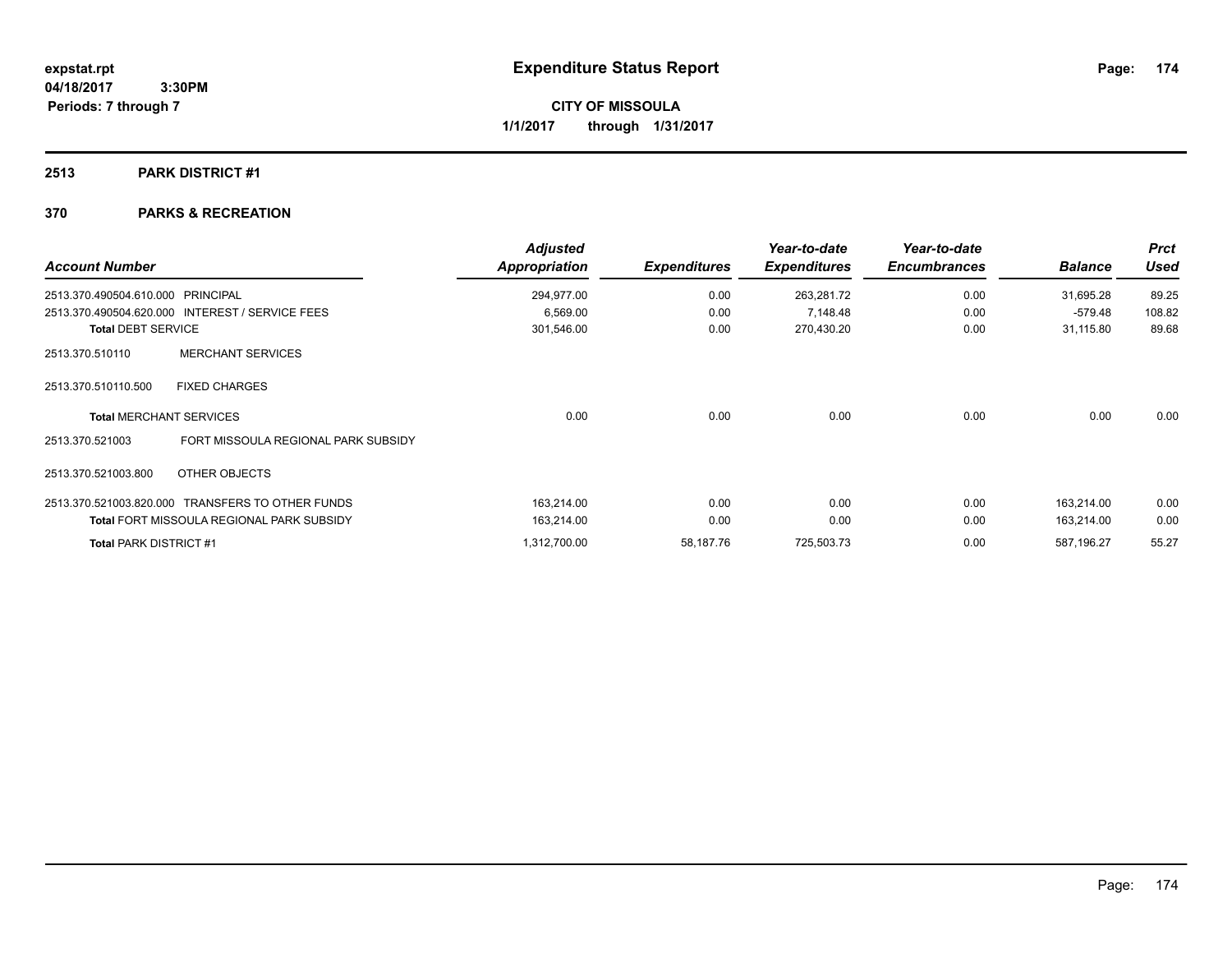**Periods: 7 through 7**

**CITY OF MISSOULA 1/1/2017 through 1/31/2017**

## **2513 PARK DISTRICT #1**

## **370 PARKS & RECREATION**

 **3:30PM**

| <b>Account Number</b>             |                                                  | <b>Adjusted</b><br>Appropriation | <b>Expenditures</b> | Year-to-date<br><b>Expenditures</b> | Year-to-date<br><b>Encumbrances</b> | <b>Balance</b> | <b>Prct</b><br><b>Used</b> |
|-----------------------------------|--------------------------------------------------|----------------------------------|---------------------|-------------------------------------|-------------------------------------|----------------|----------------------------|
| 2513.370.490504.610.000 PRINCIPAL |                                                  | 294,977.00                       | 0.00                | 263,281.72                          | 0.00                                | 31,695.28      | 89.25                      |
|                                   | 2513.370.490504.620.000 INTEREST / SERVICE FEES  | 6,569.00                         | 0.00                | 7,148.48                            | 0.00                                | $-579.48$      | 108.82                     |
| <b>Total DEBT SERVICE</b>         |                                                  | 301,546.00                       | 0.00                | 270,430.20                          | 0.00                                | 31,115.80      | 89.68                      |
| 2513.370.510110                   | <b>MERCHANT SERVICES</b>                         |                                  |                     |                                     |                                     |                |                            |
| 2513.370.510110.500               | <b>FIXED CHARGES</b>                             |                                  |                     |                                     |                                     |                |                            |
|                                   | <b>Total MERCHANT SERVICES</b>                   | 0.00                             | 0.00                | 0.00                                | 0.00                                | 0.00           | 0.00                       |
| 2513.370.521003                   | FORT MISSOULA REGIONAL PARK SUBSIDY              |                                  |                     |                                     |                                     |                |                            |
| 2513.370.521003.800               | OTHER OBJECTS                                    |                                  |                     |                                     |                                     |                |                            |
|                                   | 2513.370.521003.820.000 TRANSFERS TO OTHER FUNDS | 163,214.00                       | 0.00                | 0.00                                | 0.00                                | 163.214.00     | 0.00                       |
|                                   | <b>Total FORT MISSOULA REGIONAL PARK SUBSIDY</b> | 163,214.00                       | 0.00                | 0.00                                | 0.00                                | 163,214.00     | 0.00                       |
| <b>Total PARK DISTRICT #1</b>     |                                                  | 1,312,700.00                     | 58,187.76           | 725,503.73                          | 0.00                                | 587,196.27     | 55.27                      |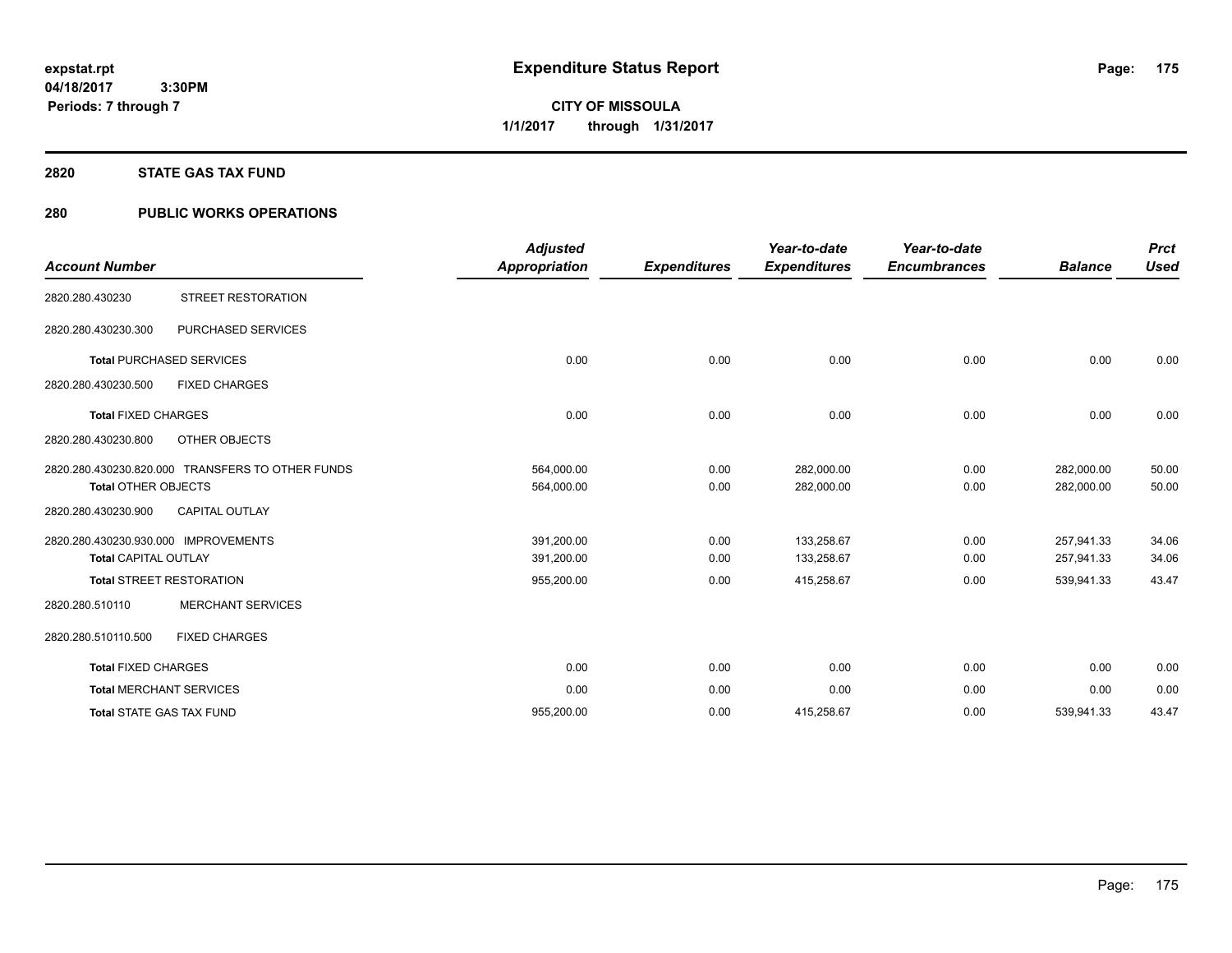**175**

**04/18/2017 3:30PM Periods: 7 through 7**

**CITY OF MISSOULA 1/1/2017 through 1/31/2017**

#### **2820 STATE GAS TAX FUND**

## **280 PUBLIC WORKS OPERATIONS**

| <b>Account Number</b>                                               |                                                  | <b>Adjusted</b><br><b>Appropriation</b> | <b>Expenditures</b> | Year-to-date<br><b>Expenditures</b> | Year-to-date<br><b>Encumbrances</b> | <b>Balance</b>           | <b>Prct</b><br><b>Used</b> |
|---------------------------------------------------------------------|--------------------------------------------------|-----------------------------------------|---------------------|-------------------------------------|-------------------------------------|--------------------------|----------------------------|
| 2820.280.430230                                                     | <b>STREET RESTORATION</b>                        |                                         |                     |                                     |                                     |                          |                            |
| 2820.280.430230.300                                                 | PURCHASED SERVICES                               |                                         |                     |                                     |                                     |                          |                            |
|                                                                     | <b>Total PURCHASED SERVICES</b>                  | 0.00                                    | 0.00                | 0.00                                | 0.00                                | 0.00                     | 0.00                       |
| 2820.280.430230.500                                                 | <b>FIXED CHARGES</b>                             |                                         |                     |                                     |                                     |                          |                            |
| <b>Total FIXED CHARGES</b>                                          |                                                  | 0.00                                    | 0.00                | 0.00                                | 0.00                                | 0.00                     | 0.00                       |
| 2820.280.430230.800                                                 | OTHER OBJECTS                                    |                                         |                     |                                     |                                     |                          |                            |
| <b>Total OTHER OBJECTS</b>                                          | 2820.280.430230.820.000 TRANSFERS TO OTHER FUNDS | 564,000.00<br>564,000.00                | 0.00<br>0.00        | 282,000.00<br>282,000.00            | 0.00<br>0.00                        | 282,000.00<br>282,000.00 | 50.00<br>50.00             |
| 2820.280.430230.900                                                 | <b>CAPITAL OUTLAY</b>                            |                                         |                     |                                     |                                     |                          |                            |
| 2820.280.430230.930.000 IMPROVEMENTS<br><b>Total CAPITAL OUTLAY</b> |                                                  | 391,200.00<br>391,200.00                | 0.00<br>0.00        | 133,258.67<br>133,258.67            | 0.00<br>0.00                        | 257,941.33<br>257,941.33 | 34.06<br>34.06             |
|                                                                     | <b>Total STREET RESTORATION</b>                  | 955,200.00                              | 0.00                | 415,258.67                          | 0.00                                | 539,941.33               | 43.47                      |
| 2820.280.510110                                                     | <b>MERCHANT SERVICES</b>                         |                                         |                     |                                     |                                     |                          |                            |
| 2820.280.510110.500                                                 | <b>FIXED CHARGES</b>                             |                                         |                     |                                     |                                     |                          |                            |
| <b>Total FIXED CHARGES</b>                                          |                                                  | 0.00                                    | 0.00                | 0.00                                | 0.00                                | 0.00                     | 0.00                       |
|                                                                     | <b>Total MERCHANT SERVICES</b>                   | 0.00                                    | 0.00                | 0.00                                | 0.00                                | 0.00                     | 0.00                       |
| <b>Total STATE GAS TAX FUND</b>                                     |                                                  | 955.200.00                              | 0.00                | 415.258.67                          | 0.00                                | 539.941.33               | 43.47                      |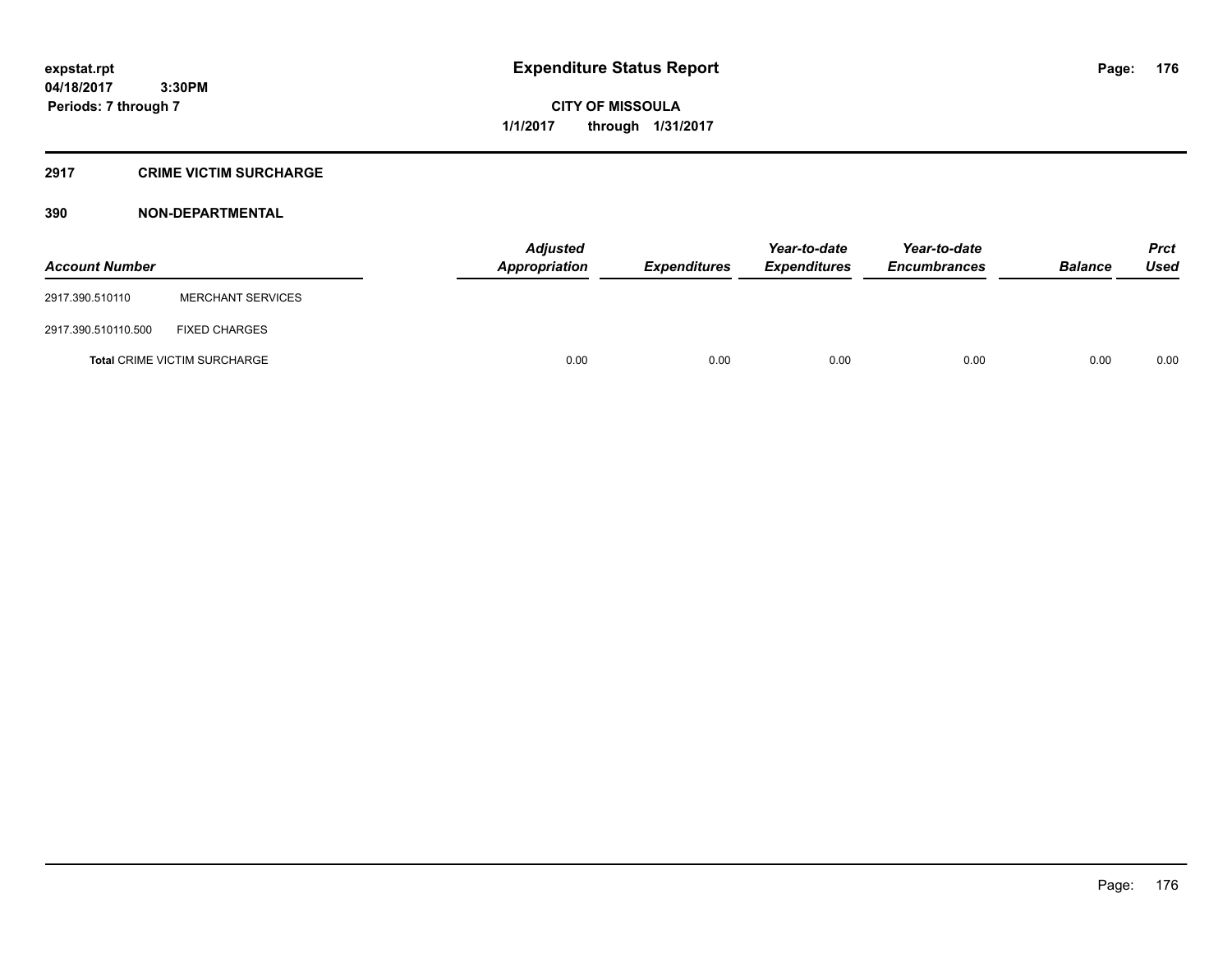**CITY OF MISSOULA 1/1/2017 through 1/31/2017**

## **2917 CRIME VICTIM SURCHARGE**

| <b>Account Number</b> |                                     | Adjusted<br>Appropriation | <b>Expenditures</b> | Year-to-date<br><b>Expenditures</b> | Year-to-date<br><b>Encumbrances</b> | <b>Balance</b> | <b>Prct</b><br>Used |
|-----------------------|-------------------------------------|---------------------------|---------------------|-------------------------------------|-------------------------------------|----------------|---------------------|
| 2917.390.510110       | <b>MERCHANT SERVICES</b>            |                           |                     |                                     |                                     |                |                     |
| 2917.390.510110.500   | <b>FIXED CHARGES</b>                |                           |                     |                                     |                                     |                |                     |
|                       | <b>Total CRIME VICTIM SURCHARGE</b> | 0.00                      | 0.00                | 0.00                                | 0.00                                | 0.00           | 0.00                |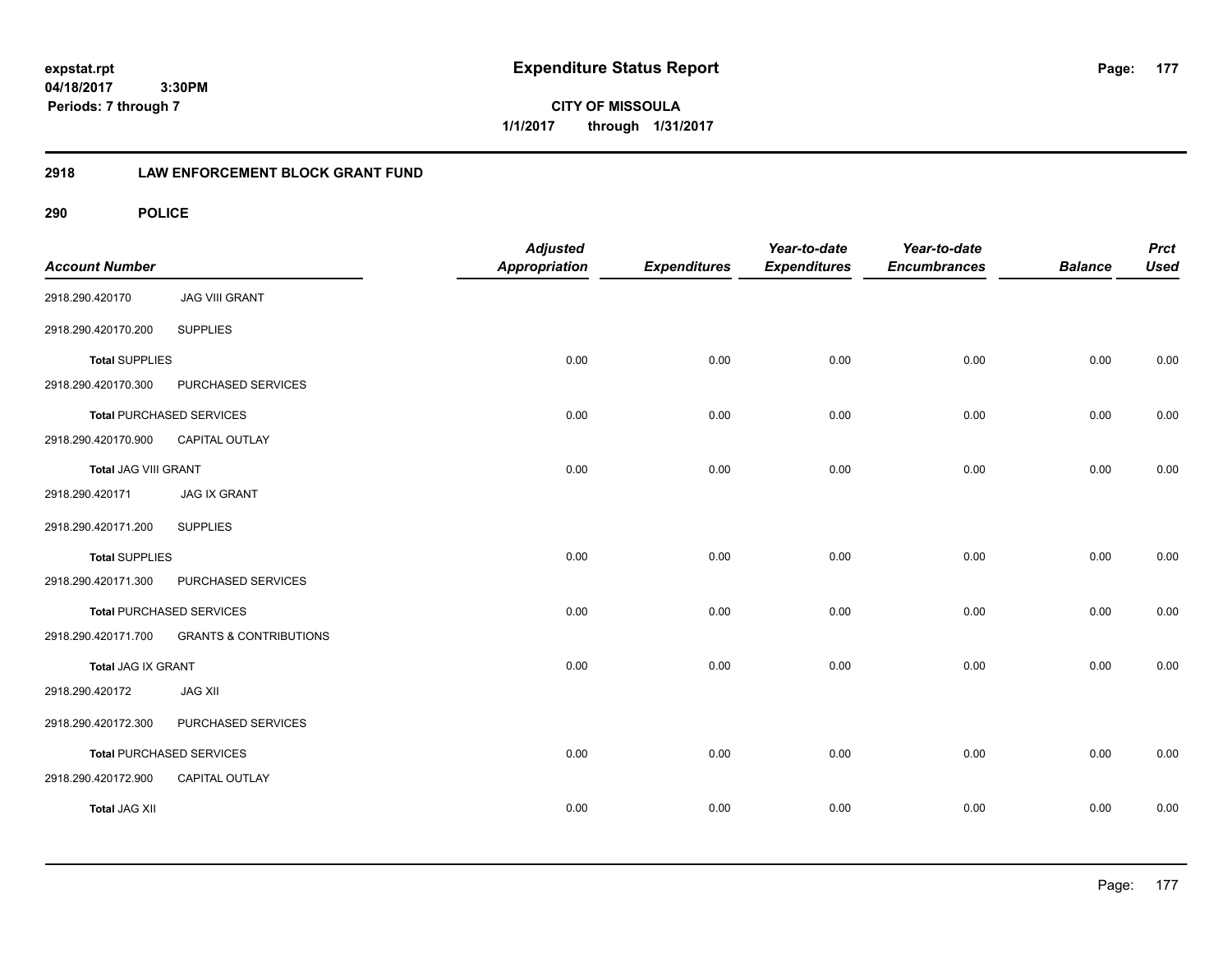**CITY OF MISSOULA 1/1/2017 through 1/31/2017**

## **2918 LAW ENFORCEMENT BLOCK GRANT FUND**

| <b>Account Number</b> |                                   | <b>Adjusted</b><br>Appropriation | <b>Expenditures</b> | Year-to-date<br><b>Expenditures</b> | Year-to-date<br><b>Encumbrances</b> | <b>Balance</b> | <b>Prct</b><br><b>Used</b> |
|-----------------------|-----------------------------------|----------------------------------|---------------------|-------------------------------------|-------------------------------------|----------------|----------------------------|
| 2918.290.420170       | <b>JAG VIII GRANT</b>             |                                  |                     |                                     |                                     |                |                            |
| 2918.290.420170.200   | <b>SUPPLIES</b>                   |                                  |                     |                                     |                                     |                |                            |
| <b>Total SUPPLIES</b> |                                   | 0.00                             | 0.00                | 0.00                                | 0.00                                | 0.00           | 0.00                       |
| 2918.290.420170.300   | PURCHASED SERVICES                |                                  |                     |                                     |                                     |                |                            |
|                       | <b>Total PURCHASED SERVICES</b>   | 0.00                             | 0.00                | 0.00                                | 0.00                                | 0.00           | 0.00                       |
| 2918.290.420170.900   | CAPITAL OUTLAY                    |                                  |                     |                                     |                                     |                |                            |
| Total JAG VIII GRANT  |                                   | 0.00                             | 0.00                | 0.00                                | 0.00                                | 0.00           | 0.00                       |
| 2918.290.420171       | <b>JAG IX GRANT</b>               |                                  |                     |                                     |                                     |                |                            |
| 2918.290.420171.200   | <b>SUPPLIES</b>                   |                                  |                     |                                     |                                     |                |                            |
| <b>Total SUPPLIES</b> |                                   | 0.00                             | 0.00                | 0.00                                | 0.00                                | 0.00           | 0.00                       |
| 2918.290.420171.300   | PURCHASED SERVICES                |                                  |                     |                                     |                                     |                |                            |
|                       | <b>Total PURCHASED SERVICES</b>   | 0.00                             | 0.00                | 0.00                                | 0.00                                | 0.00           | 0.00                       |
| 2918.290.420171.700   | <b>GRANTS &amp; CONTRIBUTIONS</b> |                                  |                     |                                     |                                     |                |                            |
| Total JAG IX GRANT    |                                   | 0.00                             | 0.00                | 0.00                                | 0.00                                | 0.00           | 0.00                       |
| 2918.290.420172       | <b>JAG XII</b>                    |                                  |                     |                                     |                                     |                |                            |
| 2918.290.420172.300   | PURCHASED SERVICES                |                                  |                     |                                     |                                     |                |                            |
|                       | Total PURCHASED SERVICES          | 0.00                             | 0.00                | 0.00                                | 0.00                                | 0.00           | 0.00                       |
| 2918.290.420172.900   | CAPITAL OUTLAY                    |                                  |                     |                                     |                                     |                |                            |
| <b>Total JAG XII</b>  |                                   | 0.00                             | 0.00                | 0.00                                | 0.00                                | 0.00           | 0.00                       |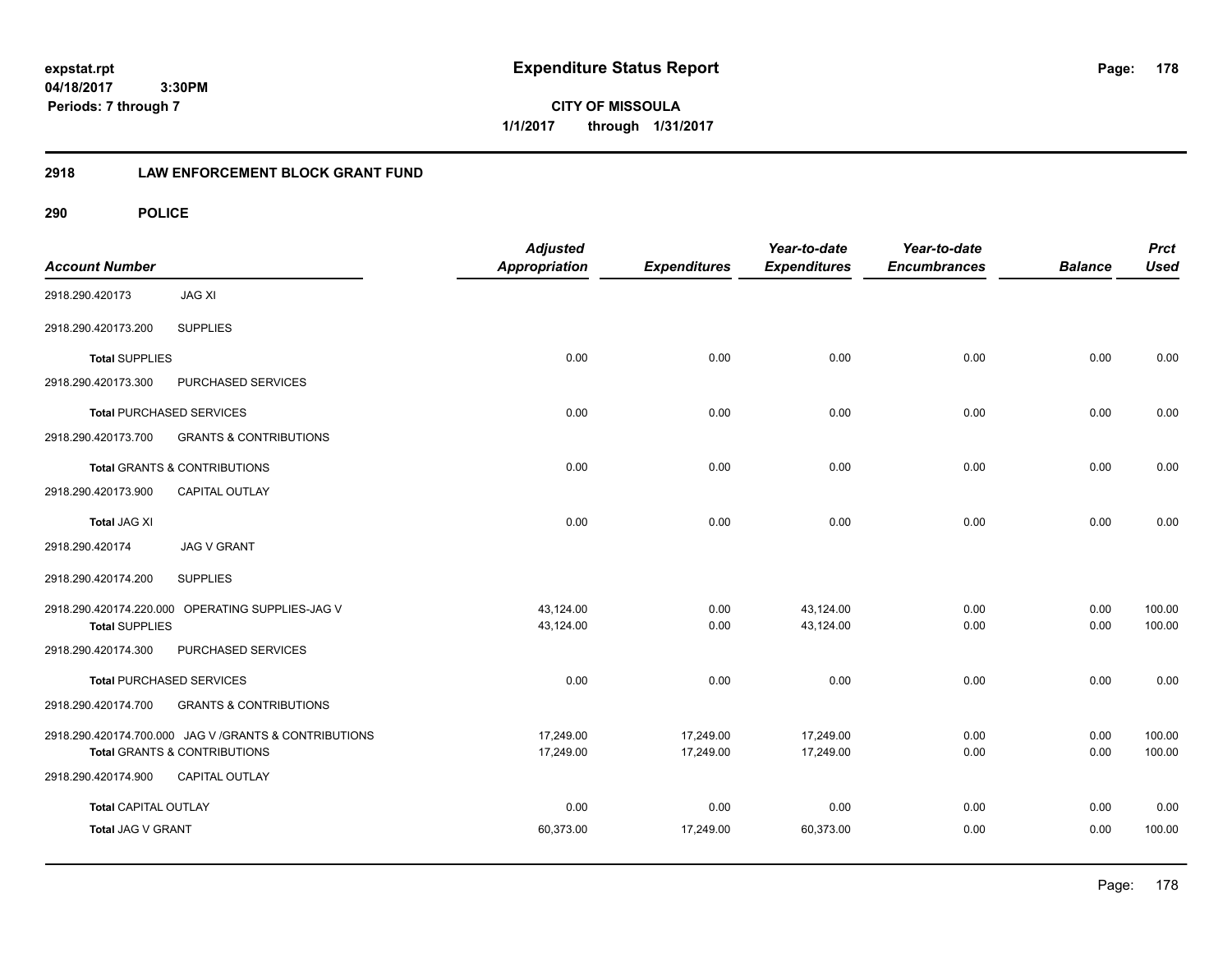**CITY OF MISSOULA 1/1/2017 through 1/31/2017**

## **2918 LAW ENFORCEMENT BLOCK GRANT FUND**

| <b>Account Number</b>       |                                                        | <b>Adjusted</b><br><b>Appropriation</b> | <b>Expenditures</b> | Year-to-date<br><b>Expenditures</b> | Year-to-date<br><b>Encumbrances</b> | <b>Balance</b> | <b>Prct</b><br><b>Used</b> |
|-----------------------------|--------------------------------------------------------|-----------------------------------------|---------------------|-------------------------------------|-------------------------------------|----------------|----------------------------|
| 2918.290.420173             | <b>JAG XI</b>                                          |                                         |                     |                                     |                                     |                |                            |
| 2918.290.420173.200         | <b>SUPPLIES</b>                                        |                                         |                     |                                     |                                     |                |                            |
| <b>Total SUPPLIES</b>       |                                                        | 0.00                                    | 0.00                | 0.00                                | 0.00                                | 0.00           | 0.00                       |
| 2918.290.420173.300         | PURCHASED SERVICES                                     |                                         |                     |                                     |                                     |                |                            |
|                             | <b>Total PURCHASED SERVICES</b>                        | 0.00                                    | 0.00                | 0.00                                | 0.00                                | 0.00           | 0.00                       |
| 2918.290.420173.700         | <b>GRANTS &amp; CONTRIBUTIONS</b>                      |                                         |                     |                                     |                                     |                |                            |
|                             | Total GRANTS & CONTRIBUTIONS                           | 0.00                                    | 0.00                | 0.00                                | 0.00                                | 0.00           | 0.00                       |
| 2918.290.420173.900         | CAPITAL OUTLAY                                         |                                         |                     |                                     |                                     |                |                            |
| <b>Total JAG XI</b>         |                                                        | 0.00                                    | 0.00                | 0.00                                | 0.00                                | 0.00           | 0.00                       |
| 2918.290.420174             | <b>JAG V GRANT</b>                                     |                                         |                     |                                     |                                     |                |                            |
| 2918.290.420174.200         | <b>SUPPLIES</b>                                        |                                         |                     |                                     |                                     |                |                            |
|                             | 2918.290.420174.220.000 OPERATING SUPPLIES-JAG V       | 43,124.00                               | 0.00                | 43,124.00                           | 0.00                                | 0.00           | 100.00                     |
| <b>Total SUPPLIES</b>       |                                                        | 43,124.00                               | 0.00                | 43,124.00                           | 0.00                                | 0.00           | 100.00                     |
| 2918.290.420174.300         | PURCHASED SERVICES                                     |                                         |                     |                                     |                                     |                |                            |
|                             | <b>Total PURCHASED SERVICES</b>                        | 0.00                                    | 0.00                | 0.00                                | 0.00                                | 0.00           | 0.00                       |
| 2918.290.420174.700         | <b>GRANTS &amp; CONTRIBUTIONS</b>                      |                                         |                     |                                     |                                     |                |                            |
|                             | 2918.290.420174.700.000 JAG V / GRANTS & CONTRIBUTIONS | 17,249.00                               | 17,249.00           | 17,249.00                           | 0.00                                | 0.00           | 100.00                     |
|                             | <b>Total GRANTS &amp; CONTRIBUTIONS</b>                | 17,249.00                               | 17,249.00           | 17,249.00                           | 0.00                                | 0.00           | 100.00                     |
| 2918.290.420174.900         | CAPITAL OUTLAY                                         |                                         |                     |                                     |                                     |                |                            |
| <b>Total CAPITAL OUTLAY</b> |                                                        | 0.00                                    | 0.00                | 0.00                                | 0.00                                | 0.00           | 0.00                       |
| Total JAG V GRANT           |                                                        | 60,373.00                               | 17,249.00           | 60,373.00                           | 0.00                                | 0.00           | 100.00                     |
|                             |                                                        |                                         |                     |                                     |                                     |                |                            |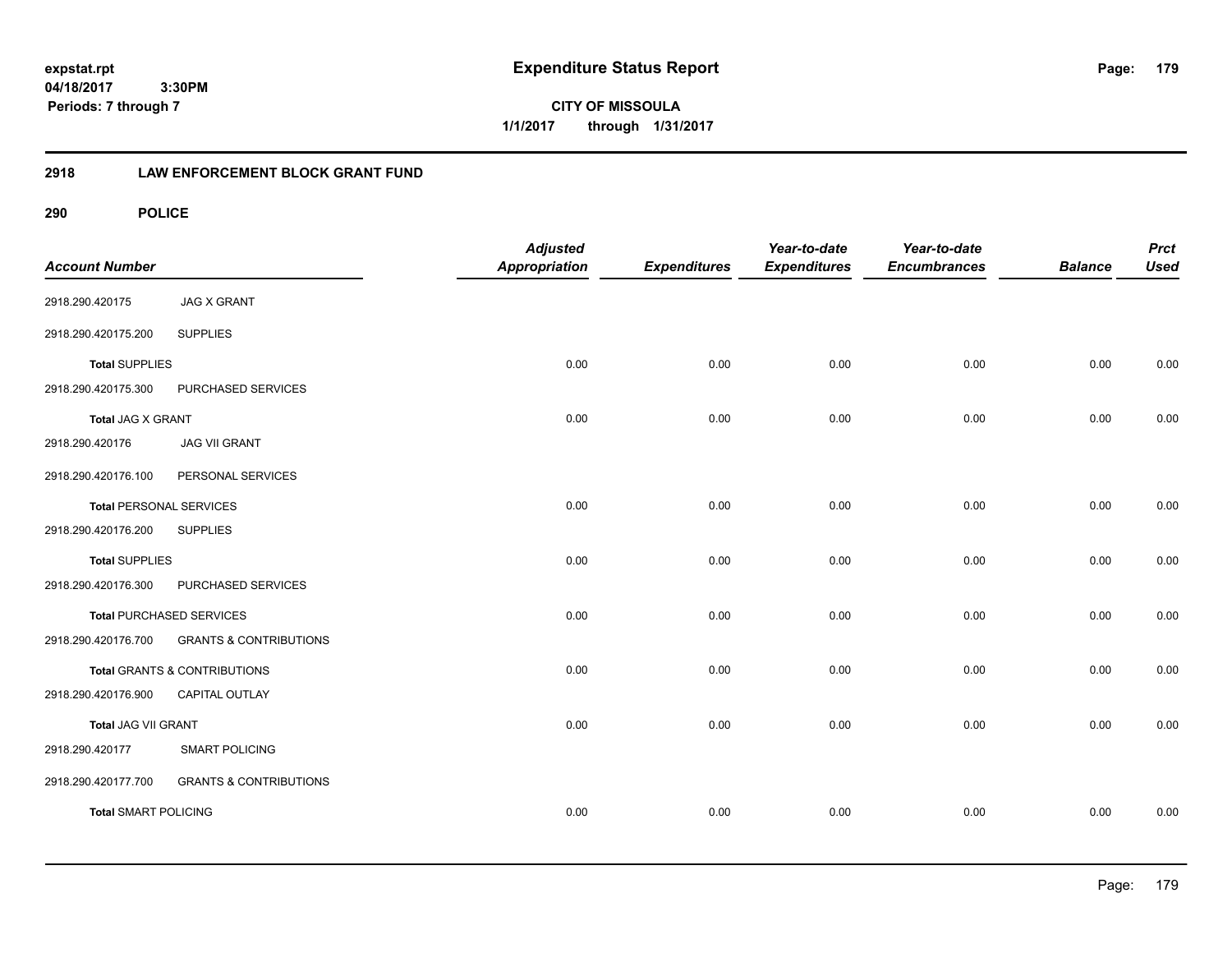**CITY OF MISSOULA 1/1/2017 through 1/31/2017**

## **2918 LAW ENFORCEMENT BLOCK GRANT FUND**

| <b>Account Number</b>          |                                   | <b>Adjusted</b><br><b>Appropriation</b> | <b>Expenditures</b> | Year-to-date<br><b>Expenditures</b> | Year-to-date<br><b>Encumbrances</b> | <b>Balance</b> | <b>Prct</b><br><b>Used</b> |
|--------------------------------|-----------------------------------|-----------------------------------------|---------------------|-------------------------------------|-------------------------------------|----------------|----------------------------|
| 2918.290.420175                | <b>JAG X GRANT</b>                |                                         |                     |                                     |                                     |                |                            |
| 2918.290.420175.200            | <b>SUPPLIES</b>                   |                                         |                     |                                     |                                     |                |                            |
| <b>Total SUPPLIES</b>          |                                   | 0.00                                    | 0.00                | 0.00                                | 0.00                                | 0.00           | 0.00                       |
| 2918.290.420175.300            | PURCHASED SERVICES                |                                         |                     |                                     |                                     |                |                            |
| <b>Total JAG X GRANT</b>       |                                   | 0.00                                    | 0.00                | 0.00                                | 0.00                                | 0.00           | 0.00                       |
| 2918.290.420176                | <b>JAG VII GRANT</b>              |                                         |                     |                                     |                                     |                |                            |
| 2918.290.420176.100            | PERSONAL SERVICES                 |                                         |                     |                                     |                                     |                |                            |
| <b>Total PERSONAL SERVICES</b> |                                   | 0.00                                    | 0.00                | 0.00                                | 0.00                                | 0.00           | 0.00                       |
| 2918.290.420176.200            | <b>SUPPLIES</b>                   |                                         |                     |                                     |                                     |                |                            |
| <b>Total SUPPLIES</b>          |                                   | 0.00                                    | 0.00                | 0.00                                | 0.00                                | 0.00           | 0.00                       |
| 2918.290.420176.300            | PURCHASED SERVICES                |                                         |                     |                                     |                                     |                |                            |
|                                | Total PURCHASED SERVICES          | 0.00                                    | 0.00                | 0.00                                | 0.00                                | 0.00           | 0.00                       |
| 2918.290.420176.700            | <b>GRANTS &amp; CONTRIBUTIONS</b> |                                         |                     |                                     |                                     |                |                            |
|                                | Total GRANTS & CONTRIBUTIONS      | 0.00                                    | 0.00                | 0.00                                | 0.00                                | 0.00           | 0.00                       |
| 2918.290.420176.900            | CAPITAL OUTLAY                    |                                         |                     |                                     |                                     |                |                            |
| <b>Total JAG VII GRANT</b>     |                                   | 0.00                                    | 0.00                | 0.00                                | 0.00                                | 0.00           | 0.00                       |
| 2918.290.420177                | <b>SMART POLICING</b>             |                                         |                     |                                     |                                     |                |                            |
| 2918.290.420177.700            | <b>GRANTS &amp; CONTRIBUTIONS</b> |                                         |                     |                                     |                                     |                |                            |
| <b>Total SMART POLICING</b>    |                                   | 0.00                                    | 0.00                | 0.00                                | 0.00                                | 0.00           | 0.00                       |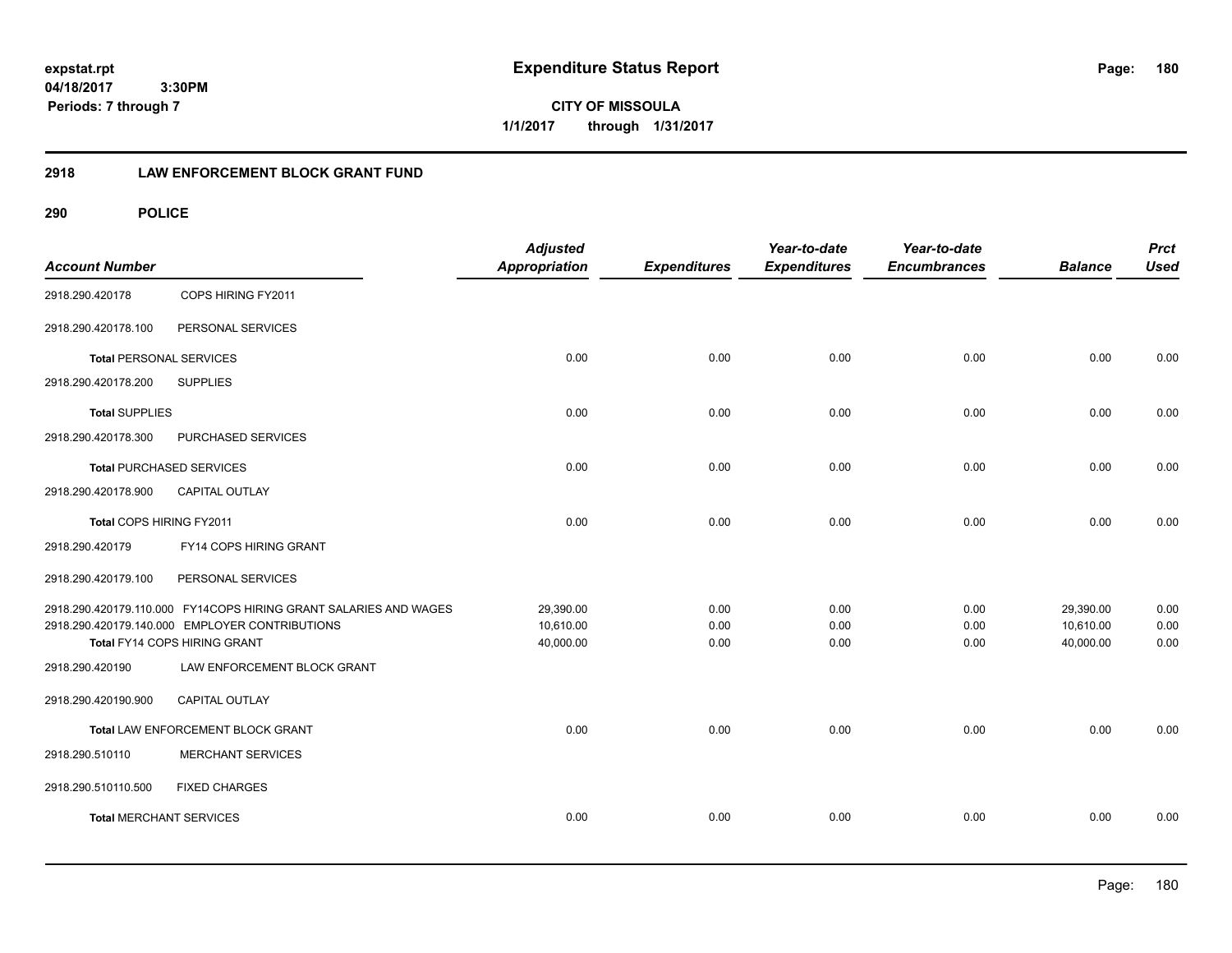**CITY OF MISSOULA 1/1/2017 through 1/31/2017**

## **2918 LAW ENFORCEMENT BLOCK GRANT FUND**

| <b>Account Number</b>           |                                                                  | <b>Adjusted</b><br><b>Appropriation</b> | <b>Expenditures</b> | Year-to-date<br><b>Expenditures</b> | Year-to-date<br><b>Encumbrances</b> | <b>Balance</b> | <b>Prct</b><br><b>Used</b> |
|---------------------------------|------------------------------------------------------------------|-----------------------------------------|---------------------|-------------------------------------|-------------------------------------|----------------|----------------------------|
| 2918.290.420178                 | COPS HIRING FY2011                                               |                                         |                     |                                     |                                     |                |                            |
| 2918.290.420178.100             | PERSONAL SERVICES                                                |                                         |                     |                                     |                                     |                |                            |
| <b>Total PERSONAL SERVICES</b>  |                                                                  | 0.00                                    | 0.00                | 0.00                                | 0.00                                | 0.00           | 0.00                       |
| 2918.290.420178.200             | <b>SUPPLIES</b>                                                  |                                         |                     |                                     |                                     |                |                            |
| <b>Total SUPPLIES</b>           |                                                                  | 0.00                                    | 0.00                | 0.00                                | 0.00                                | 0.00           | 0.00                       |
| 2918.290.420178.300             | PURCHASED SERVICES                                               |                                         |                     |                                     |                                     |                |                            |
| <b>Total PURCHASED SERVICES</b> |                                                                  | 0.00                                    | 0.00                | 0.00                                | 0.00                                | 0.00           | 0.00                       |
| 2918.290.420178.900             | <b>CAPITAL OUTLAY</b>                                            |                                         |                     |                                     |                                     |                |                            |
| Total COPS HIRING FY2011        |                                                                  | 0.00                                    | 0.00                | 0.00                                | 0.00                                | 0.00           | 0.00                       |
| 2918.290.420179                 | FY14 COPS HIRING GRANT                                           |                                         |                     |                                     |                                     |                |                            |
| 2918.290.420179.100             | PERSONAL SERVICES                                                |                                         |                     |                                     |                                     |                |                            |
|                                 | 2918.290.420179.110.000 FY14COPS HIRING GRANT SALARIES AND WAGES | 29,390.00                               | 0.00                | 0.00                                | 0.00                                | 29,390.00      | 0.00                       |
|                                 | 2918.290.420179.140.000 EMPLOYER CONTRIBUTIONS                   | 10,610.00                               | 0.00                | 0.00                                | 0.00                                | 10,610.00      | 0.00                       |
|                                 | Total FY14 COPS HIRING GRANT                                     | 40,000.00                               | 0.00                | 0.00                                | 0.00                                | 40,000.00      | 0.00                       |
| 2918.290.420190                 | LAW ENFORCEMENT BLOCK GRANT                                      |                                         |                     |                                     |                                     |                |                            |
| 2918.290.420190.900             | CAPITAL OUTLAY                                                   |                                         |                     |                                     |                                     |                |                            |
|                                 | Total LAW ENFORCEMENT BLOCK GRANT                                | 0.00                                    | 0.00                | 0.00                                | 0.00                                | 0.00           | 0.00                       |
| 2918.290.510110                 | <b>MERCHANT SERVICES</b>                                         |                                         |                     |                                     |                                     |                |                            |
| 2918.290.510110.500             | <b>FIXED CHARGES</b>                                             |                                         |                     |                                     |                                     |                |                            |
| <b>Total MERCHANT SERVICES</b>  |                                                                  | 0.00                                    | 0.00                | 0.00                                | 0.00                                | 0.00           | 0.00                       |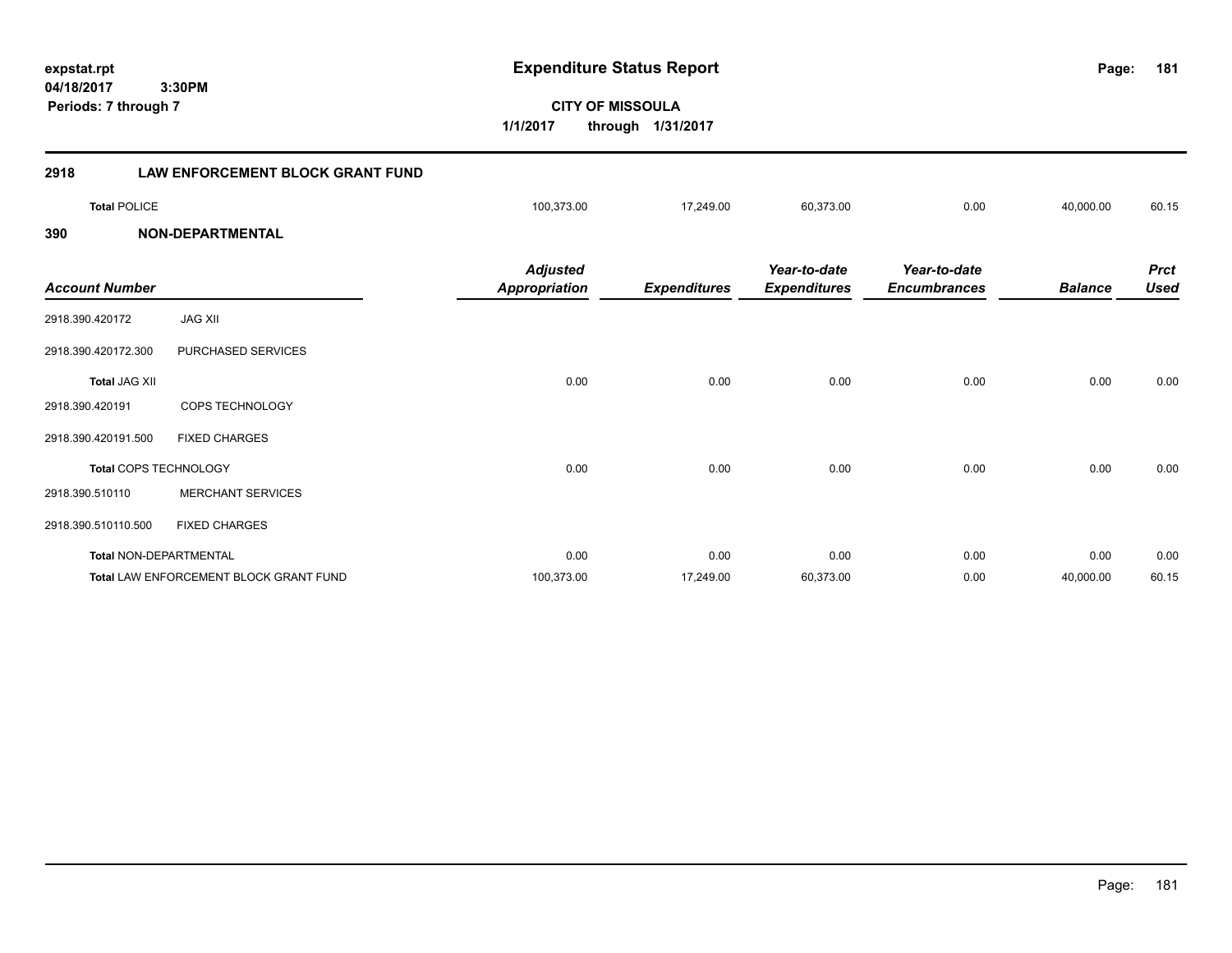**04/18/2017 3:30PM**

**Periods: 7 through 7**

**181**

**CITY OF MISSOULA 1/1/2017 through 1/31/2017**

| 2918                  | <b>LAW ENFORCEMENT BLOCK GRANT FUND</b> |                                         |                     |                                     |                                     |                |                            |
|-----------------------|-----------------------------------------|-----------------------------------------|---------------------|-------------------------------------|-------------------------------------|----------------|----------------------------|
| <b>Total POLICE</b>   |                                         | 100,373.00                              | 17,249.00           | 60,373.00                           | 0.00                                | 40,000.00      | 60.15                      |
| 390                   | <b>NON-DEPARTMENTAL</b>                 |                                         |                     |                                     |                                     |                |                            |
| <b>Account Number</b> |                                         | <b>Adjusted</b><br><b>Appropriation</b> | <b>Expenditures</b> | Year-to-date<br><b>Expenditures</b> | Year-to-date<br><b>Encumbrances</b> | <b>Balance</b> | <b>Prct</b><br><b>Used</b> |
| 2918.390.420172       | <b>JAG XII</b>                          |                                         |                     |                                     |                                     |                |                            |
| 2918.390.420172.300   | PURCHASED SERVICES                      |                                         |                     |                                     |                                     |                |                            |
| <b>Total JAG XII</b>  |                                         | 0.00                                    | 0.00                | 0.00                                | 0.00                                | 0.00           | 0.00                       |
| 2918.390.420191       | COPS TECHNOLOGY                         |                                         |                     |                                     |                                     |                |                            |
| 2918.390.420191.500   | <b>FIXED CHARGES</b>                    |                                         |                     |                                     |                                     |                |                            |
|                       | Total COPS TECHNOLOGY                   | 0.00                                    | 0.00                | 0.00                                | 0.00                                | 0.00           | 0.00                       |
| 2918.390.510110       | <b>MERCHANT SERVICES</b>                |                                         |                     |                                     |                                     |                |                            |
| 2918.390.510110.500   | <b>FIXED CHARGES</b>                    |                                         |                     |                                     |                                     |                |                            |
|                       | <b>Total NON-DEPARTMENTAL</b>           | 0.00                                    | 0.00                | 0.00                                | 0.00                                | 0.00           | 0.00                       |

**Total** LAW ENFORCEMENT BLOCK GRANT FUND 100,373.00 17,249.00 60,373.00 0.00 40,000.00 60.15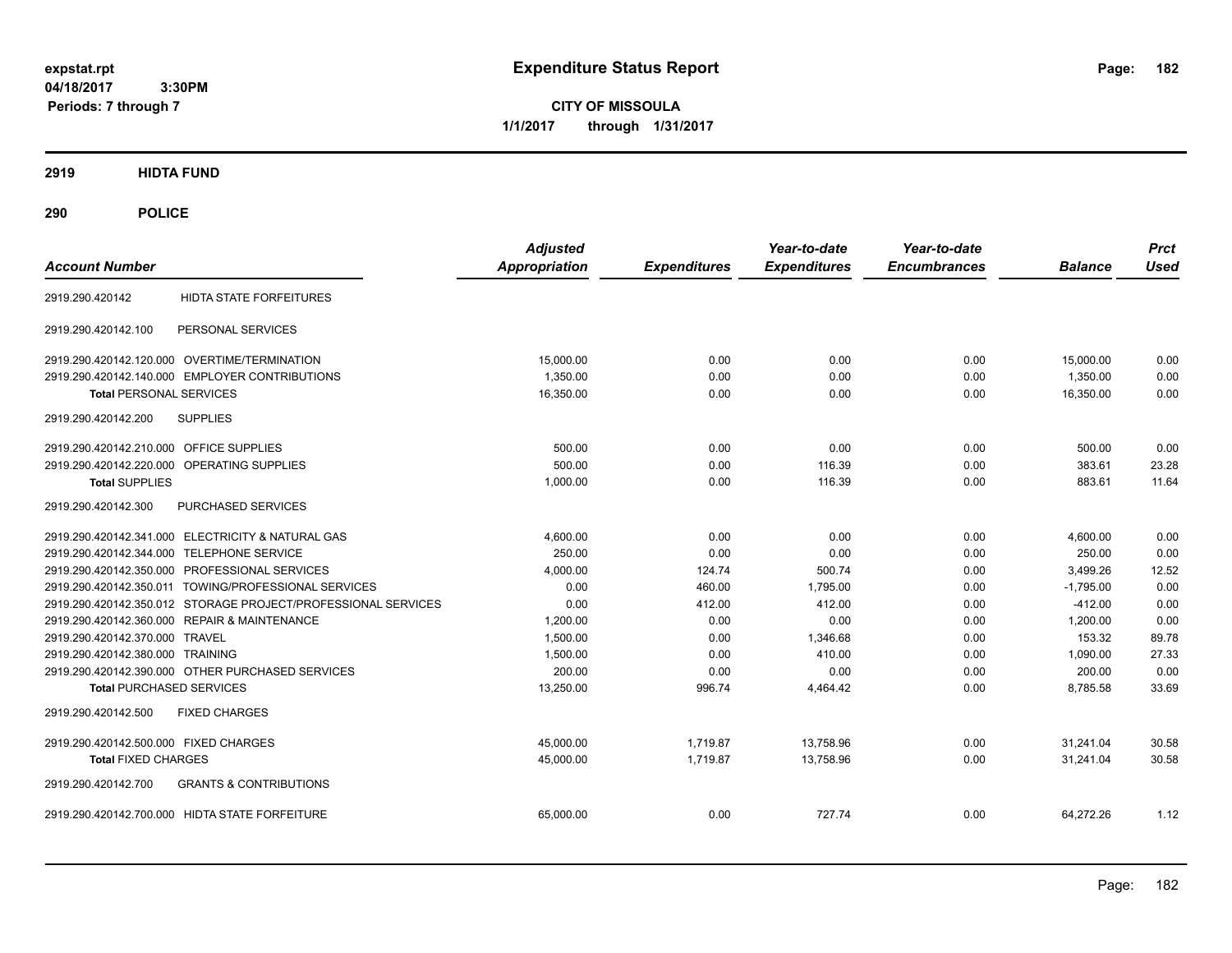**CITY OF MISSOULA 1/1/2017 through 1/31/2017**

## **2919 HIDTA FUND**

# **290 POLICE**

| <b>Account Number</b>                                         | <b>Adjusted</b><br><b>Appropriation</b> | <b>Expenditures</b> | Year-to-date<br><b>Expenditures</b> | Year-to-date<br><b>Encumbrances</b> | <b>Balance</b> | <b>Prct</b><br>Used |
|---------------------------------------------------------------|-----------------------------------------|---------------------|-------------------------------------|-------------------------------------|----------------|---------------------|
| <b>HIDTA STATE FORFEITURES</b><br>2919.290.420142             |                                         |                     |                                     |                                     |                |                     |
| PERSONAL SERVICES<br>2919.290.420142.100                      |                                         |                     |                                     |                                     |                |                     |
| 2919.290.420142.120.000 OVERTIME/TERMINATION                  | 15,000.00                               | 0.00                | 0.00                                | 0.00                                | 15,000.00      | 0.00                |
| 2919.290.420142.140.000 EMPLOYER CONTRIBUTIONS                | 1,350.00                                | 0.00                | 0.00                                | 0.00                                | 1,350.00       | 0.00                |
| <b>Total PERSONAL SERVICES</b>                                | 16,350.00                               | 0.00                | 0.00                                | 0.00                                | 16.350.00      | 0.00                |
| 2919.290.420142.200<br><b>SUPPLIES</b>                        |                                         |                     |                                     |                                     |                |                     |
| <b>OFFICE SUPPLIES</b><br>2919.290.420142.210.000             | 500.00                                  | 0.00                | 0.00                                | 0.00                                | 500.00         | 0.00                |
| OPERATING SUPPLIES<br>2919.290.420142.220.000                 | 500.00                                  | 0.00                | 116.39                              | 0.00                                | 383.61         | 23.28               |
| <b>Total SUPPLIES</b>                                         | 1,000.00                                | 0.00                | 116.39                              | 0.00                                | 883.61         | 11.64               |
| PURCHASED SERVICES<br>2919.290.420142.300                     |                                         |                     |                                     |                                     |                |                     |
| 2919.290.420142.341.000 ELECTRICITY & NATURAL GAS             | 4,600.00                                | 0.00                | 0.00                                | 0.00                                | 4,600.00       | 0.00                |
| 2919.290.420142.344.000 TELEPHONE SERVICE                     | 250.00                                  | 0.00                | 0.00                                | 0.00                                | 250.00         | 0.00                |
| 2919.290.420142.350.000 PROFESSIONAL SERVICES                 | 4,000.00                                | 124.74              | 500.74                              | 0.00                                | 3,499.26       | 12.52               |
| 2919.290.420142.350.011 TOWING/PROFESSIONAL SERVICES          | 0.00                                    | 460.00              | 1,795.00                            | 0.00                                | $-1,795.00$    | 0.00                |
| 2919.290.420142.350.012 STORAGE PROJECT/PROFESSIONAL SERVICES | 0.00                                    | 412.00              | 412.00                              | 0.00                                | $-412.00$      | 0.00                |
| 2919.290.420142.360.000 REPAIR & MAINTENANCE                  | 1,200.00                                | 0.00                | 0.00                                | 0.00                                | 1,200.00       | 0.00                |
| 2919.290.420142.370.000 TRAVEL                                | 1,500.00                                | 0.00                | 1,346.68                            | 0.00                                | 153.32         | 89.78               |
| 2919.290.420142.380.000 TRAINING                              | 1,500.00                                | 0.00                | 410.00                              | 0.00                                | 1.090.00       | 27.33               |
| 2919.290.420142.390.000 OTHER PURCHASED SERVICES              | 200.00                                  | 0.00                | 0.00                                | 0.00                                | 200.00         | 0.00                |
| <b>Total PURCHASED SERVICES</b>                               | 13,250.00                               | 996.74              | 4,464.42                            | 0.00                                | 8,785.58       | 33.69               |
| 2919.290.420142.500<br><b>FIXED CHARGES</b>                   |                                         |                     |                                     |                                     |                |                     |
| 2919.290.420142.500.000 FIXED CHARGES                         | 45,000.00                               | 1,719.87            | 13,758.96                           | 0.00                                | 31,241.04      | 30.58               |
| <b>Total FIXED CHARGES</b>                                    | 45,000.00                               | 1,719.87            | 13,758.96                           | 0.00                                | 31,241.04      | 30.58               |
| <b>GRANTS &amp; CONTRIBUTIONS</b><br>2919.290.420142.700      |                                         |                     |                                     |                                     |                |                     |
| 2919.290.420142.700.000 HIDTA STATE FORFEITURE                | 65.000.00                               | 0.00                | 727.74                              | 0.00                                | 64.272.26      | 1.12                |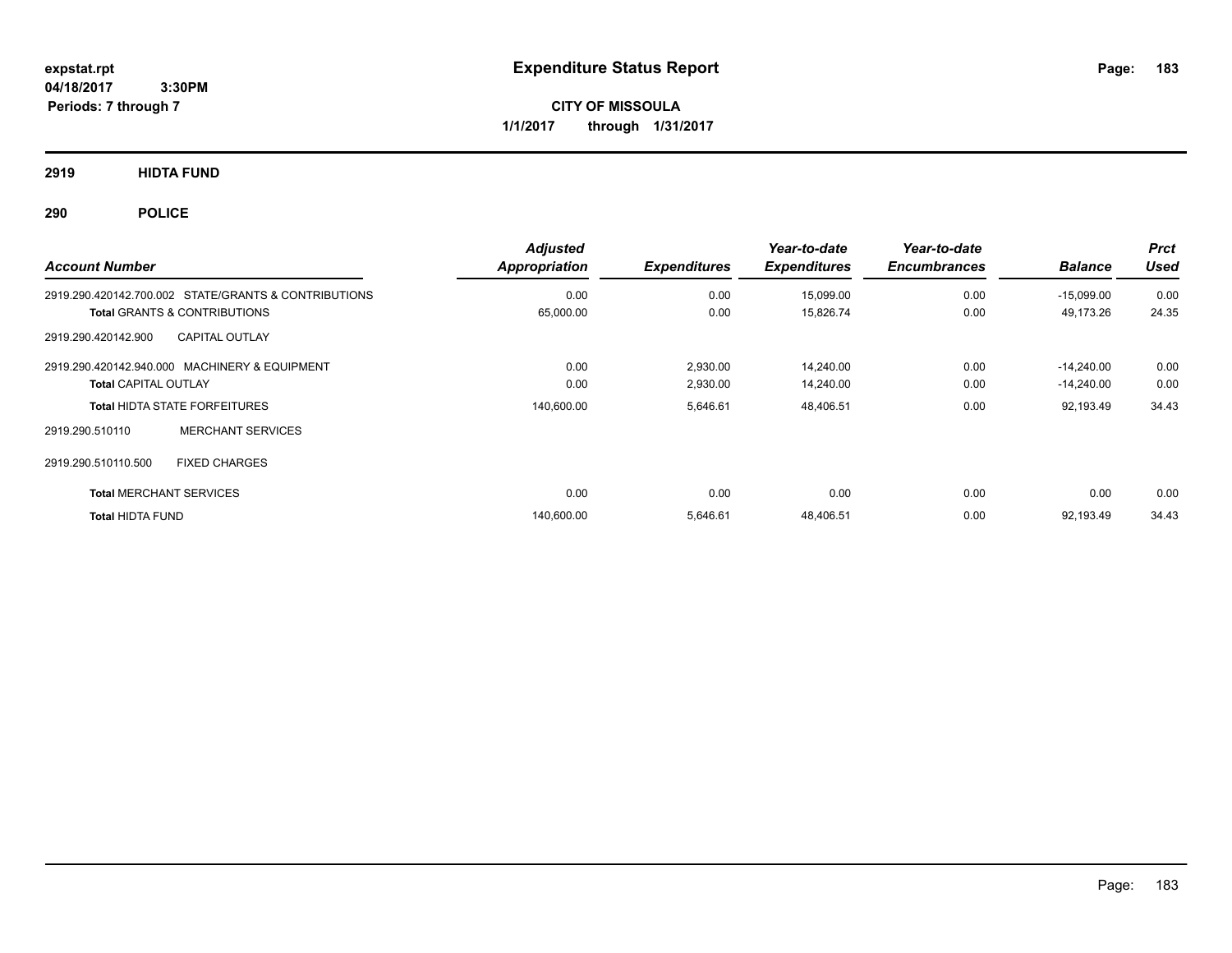**CITY OF MISSOULA 1/1/2017 through 1/31/2017**

**2919 HIDTA FUND**

**290 POLICE**

| <b>Account Number</b>                                            | <b>Adjusted</b><br>Appropriation | <b>Expenditures</b> | Year-to-date<br><b>Expenditures</b> | Year-to-date<br><b>Encumbrances</b> | <b>Balance</b> | <b>Prct</b><br><b>Used</b> |
|------------------------------------------------------------------|----------------------------------|---------------------|-------------------------------------|-------------------------------------|----------------|----------------------------|
| 2919.290.420142.700.002 STATE/GRANTS & CONTRIBUTIONS             | 0.00                             | 0.00                | 15,099.00                           | 0.00                                | $-15.099.00$   | 0.00                       |
| <b>Total GRANTS &amp; CONTRIBUTIONS</b><br><b>CAPITAL OUTLAY</b> | 65,000.00                        | 0.00                | 15,826.74                           | 0.00                                | 49,173.26      | 24.35                      |
| 2919.290.420142.900                                              |                                  |                     |                                     |                                     |                |                            |
| 2919.290.420142.940.000 MACHINERY & EQUIPMENT                    | 0.00                             | 2,930.00            | 14,240.00                           | 0.00                                | $-14.240.00$   | 0.00                       |
| <b>Total CAPITAL OUTLAY</b>                                      | 0.00                             | 2,930.00            | 14,240.00                           | 0.00                                | $-14,240.00$   | 0.00                       |
| <b>Total HIDTA STATE FORFEITURES</b>                             | 140,600.00                       | 5,646.61            | 48,406.51                           | 0.00                                | 92,193.49      | 34.43                      |
| <b>MERCHANT SERVICES</b><br>2919.290.510110                      |                                  |                     |                                     |                                     |                |                            |
| 2919.290.510110.500<br><b>FIXED CHARGES</b>                      |                                  |                     |                                     |                                     |                |                            |
| <b>Total MERCHANT SERVICES</b>                                   | 0.00                             | 0.00                | 0.00                                | 0.00                                | 0.00           | 0.00                       |
| <b>Total HIDTA FUND</b>                                          | 140,600.00                       | 5,646.61            | 48,406.51                           | 0.00                                | 92,193.49      | 34.43                      |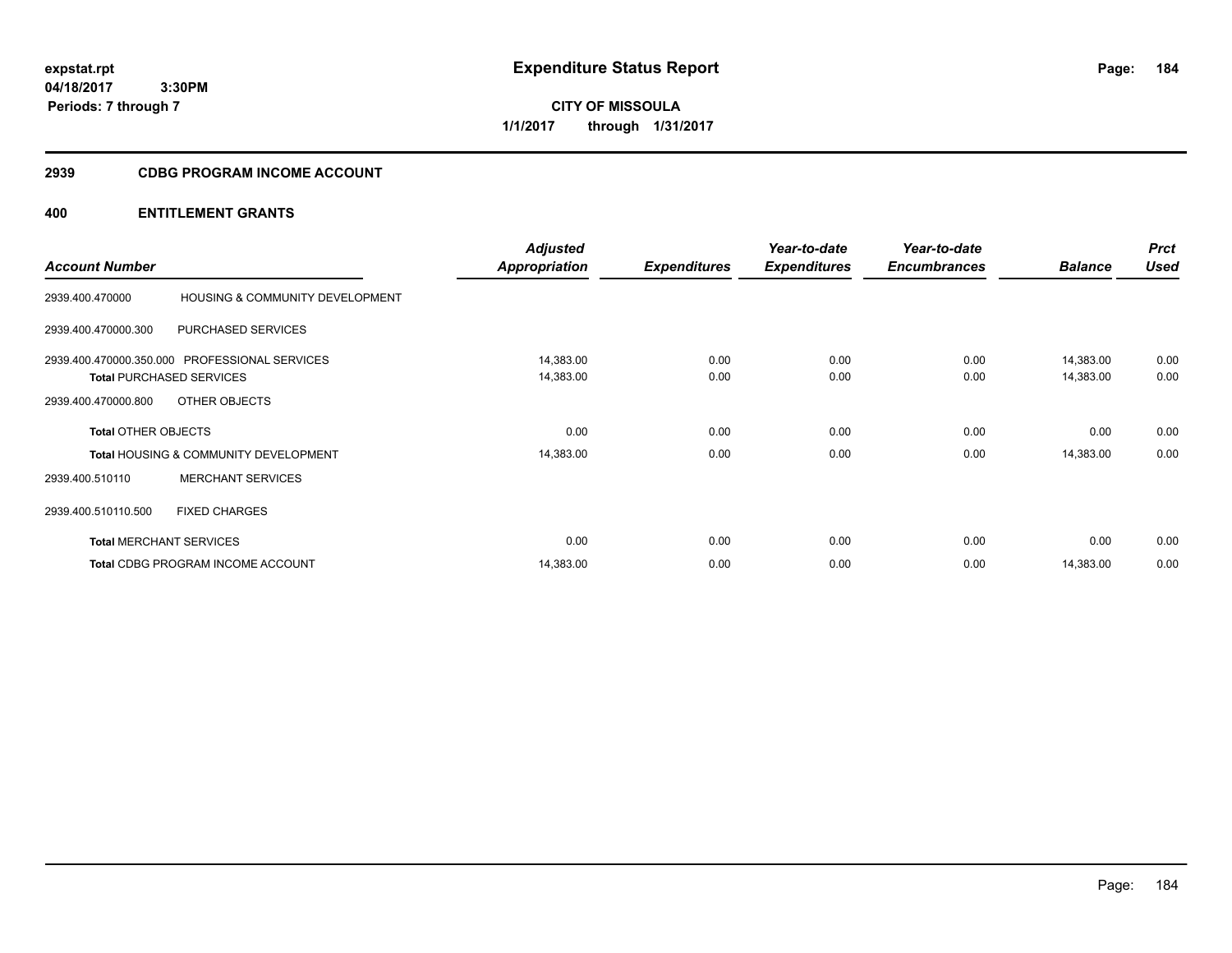**CITY OF MISSOULA 1/1/2017 through 1/31/2017**

## **2939 CDBG PROGRAM INCOME ACCOUNT**

| <b>Account Number</b>      |                                                                                  | <b>Adjusted</b><br><b>Appropriation</b> | <b>Expenditures</b> | Year-to-date<br><b>Expenditures</b> | Year-to-date<br><b>Encumbrances</b> | <b>Balance</b>         | <b>Prct</b><br><b>Used</b> |
|----------------------------|----------------------------------------------------------------------------------|-----------------------------------------|---------------------|-------------------------------------|-------------------------------------|------------------------|----------------------------|
| 2939.400.470000            | HOUSING & COMMUNITY DEVELOPMENT                                                  |                                         |                     |                                     |                                     |                        |                            |
| 2939.400.470000.300        | <b>PURCHASED SERVICES</b>                                                        |                                         |                     |                                     |                                     |                        |                            |
|                            | 2939.400.470000.350.000 PROFESSIONAL SERVICES<br><b>Total PURCHASED SERVICES</b> | 14,383.00<br>14,383.00                  | 0.00<br>0.00        | 0.00<br>0.00                        | 0.00<br>0.00                        | 14,383.00<br>14,383.00 | 0.00<br>0.00               |
| 2939.400.470000.800        | OTHER OBJECTS                                                                    |                                         |                     |                                     |                                     |                        |                            |
| <b>Total OTHER OBJECTS</b> |                                                                                  | 0.00                                    | 0.00                | 0.00                                | 0.00                                | 0.00                   | 0.00                       |
|                            | <b>Total HOUSING &amp; COMMUNITY DEVELOPMENT</b>                                 | 14,383.00                               | 0.00                | 0.00                                | 0.00                                | 14,383.00              | 0.00                       |
| 2939.400.510110            | <b>MERCHANT SERVICES</b>                                                         |                                         |                     |                                     |                                     |                        |                            |
| 2939.400.510110.500        | <b>FIXED CHARGES</b>                                                             |                                         |                     |                                     |                                     |                        |                            |
|                            | <b>Total MERCHANT SERVICES</b>                                                   | 0.00                                    | 0.00                | 0.00                                | 0.00                                | 0.00                   | 0.00                       |
|                            | Total CDBG PROGRAM INCOME ACCOUNT                                                | 14,383.00                               | 0.00                | 0.00                                | 0.00                                | 14,383.00              | 0.00                       |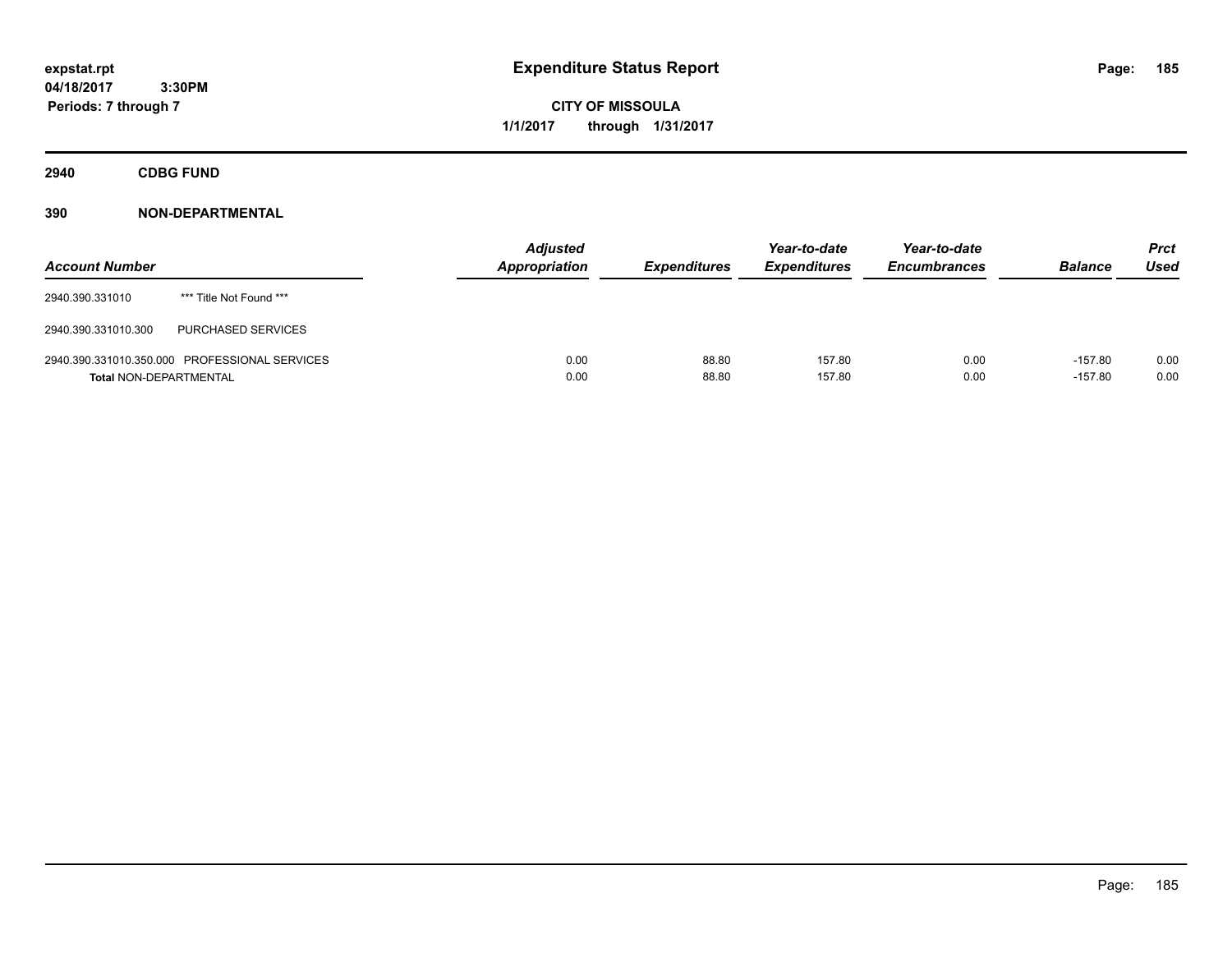**CITY OF MISSOULA 1/1/2017 through 1/31/2017**

**2940 CDBG FUND**

| <b>Account Number</b>         |                                               | <b>Adjusted</b><br>Appropriation | <b>Expenditures</b> | Year-to-date<br><b>Expenditures</b> | Year-to-date<br><b>Encumbrances</b> | <b>Balance</b>         | <b>Prct</b><br><b>Used</b> |
|-------------------------------|-----------------------------------------------|----------------------------------|---------------------|-------------------------------------|-------------------------------------|------------------------|----------------------------|
| 2940.390.331010               | *** Title Not Found ***                       |                                  |                     |                                     |                                     |                        |                            |
| 2940.390.331010.300           | PURCHASED SERVICES                            |                                  |                     |                                     |                                     |                        |                            |
| <b>Total NON-DEPARTMENTAL</b> | 2940.390.331010.350.000 PROFESSIONAL SERVICES | 0.00<br>0.00                     | 88.80<br>88.80      | 157.80<br>157.80                    | 0.00<br>0.00                        | $-157.80$<br>$-157.80$ | 0.00<br>0.00               |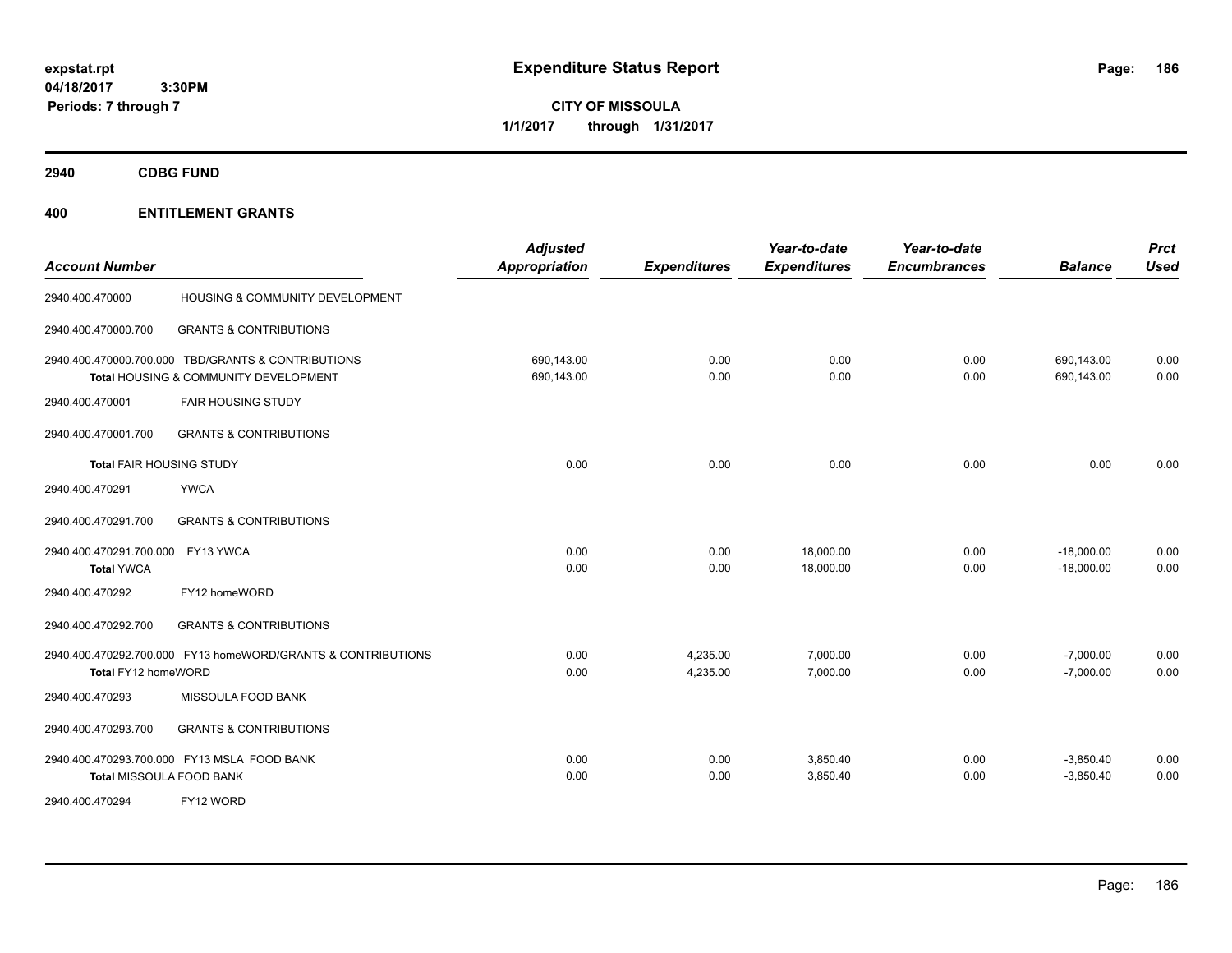**CITY OF MISSOULA 1/1/2017 through 1/31/2017**

**2940 CDBG FUND**

| <b>Account Number</b>                                  |                                                                                             | <b>Adjusted</b><br><b>Appropriation</b> | <b>Expenditures</b>  | Year-to-date<br><b>Expenditures</b> | Year-to-date<br><b>Encumbrances</b> | <b>Balance</b>               | <b>Prct</b><br>Used |
|--------------------------------------------------------|---------------------------------------------------------------------------------------------|-----------------------------------------|----------------------|-------------------------------------|-------------------------------------|------------------------------|---------------------|
| 2940.400.470000                                        | HOUSING & COMMUNITY DEVELOPMENT                                                             |                                         |                      |                                     |                                     |                              |                     |
| 2940.400.470000.700                                    | <b>GRANTS &amp; CONTRIBUTIONS</b>                                                           |                                         |                      |                                     |                                     |                              |                     |
|                                                        | 2940.400.470000.700.000 TBD/GRANTS & CONTRIBUTIONS<br>Total HOUSING & COMMUNITY DEVELOPMENT | 690.143.00<br>690,143.00                | 0.00<br>0.00         | 0.00<br>0.00                        | 0.00<br>0.00                        | 690.143.00<br>690,143.00     | 0.00<br>0.00        |
| 2940.400.470001                                        | <b>FAIR HOUSING STUDY</b>                                                                   |                                         |                      |                                     |                                     |                              |                     |
| 2940.400.470001.700                                    | <b>GRANTS &amp; CONTRIBUTIONS</b>                                                           |                                         |                      |                                     |                                     |                              |                     |
| <b>Total FAIR HOUSING STUDY</b>                        |                                                                                             | 0.00                                    | 0.00                 | 0.00                                | 0.00                                | 0.00                         | 0.00                |
| 2940.400.470291                                        | <b>YWCA</b>                                                                                 |                                         |                      |                                     |                                     |                              |                     |
| 2940.400.470291.700                                    | <b>GRANTS &amp; CONTRIBUTIONS</b>                                                           |                                         |                      |                                     |                                     |                              |                     |
| 2940.400.470291.700.000 FY13 YWCA<br><b>Total YWCA</b> |                                                                                             | 0.00<br>0.00                            | 0.00<br>0.00         | 18,000.00<br>18,000.00              | 0.00<br>0.00                        | $-18,000.00$<br>$-18,000.00$ | 0.00<br>0.00        |
| 2940.400.470292                                        | FY12 homeWORD                                                                               |                                         |                      |                                     |                                     |                              |                     |
| 2940.400.470292.700                                    | <b>GRANTS &amp; CONTRIBUTIONS</b>                                                           |                                         |                      |                                     |                                     |                              |                     |
| Total FY12 homeWORD                                    | 2940.400.470292.700.000 FY13 homeWORD/GRANTS & CONTRIBUTIONS                                | 0.00<br>0.00                            | 4,235.00<br>4,235.00 | 7,000.00<br>7,000.00                | 0.00<br>0.00                        | $-7,000.00$<br>$-7,000.00$   | 0.00<br>0.00        |
| 2940.400.470293                                        | MISSOULA FOOD BANK                                                                          |                                         |                      |                                     |                                     |                              |                     |
| 2940.400.470293.700                                    | <b>GRANTS &amp; CONTRIBUTIONS</b>                                                           |                                         |                      |                                     |                                     |                              |                     |
|                                                        | 2940.400.470293.700.000 FY13 MSLA FOOD BANK<br>Total MISSOULA FOOD BANK                     | 0.00<br>0.00                            | 0.00<br>0.00         | 3,850.40<br>3,850.40                | 0.00<br>0.00                        | $-3,850.40$<br>$-3,850.40$   | 0.00<br>0.00        |
| 2940.400.470294                                        | FY12 WORD                                                                                   |                                         |                      |                                     |                                     |                              |                     |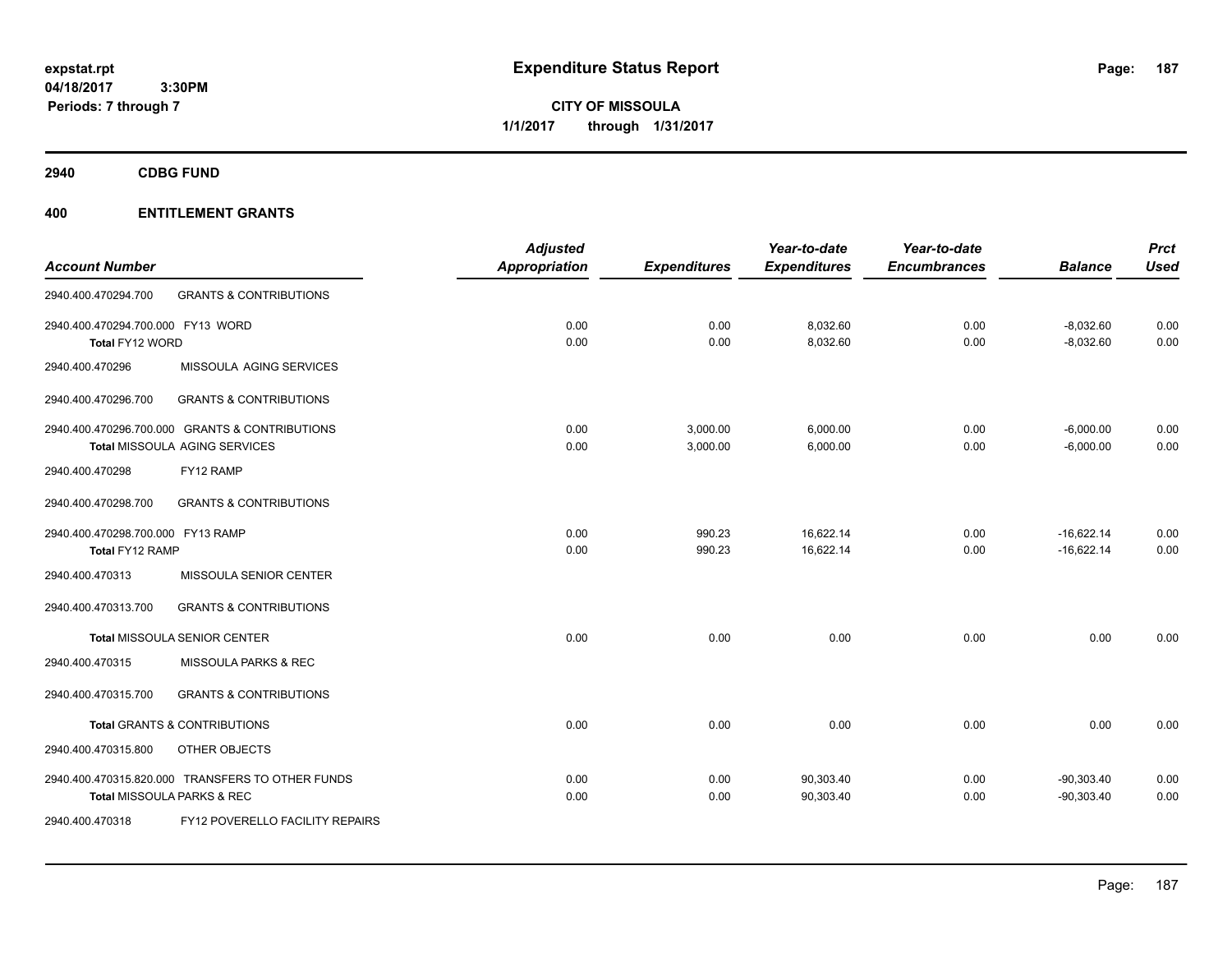**CITY OF MISSOULA 1/1/2017 through 1/31/2017**

**2940 CDBG FUND**

|                                   |                                                  | <b>Adjusted</b> |                     | Year-to-date        | Year-to-date        |                | <b>Prct</b> |
|-----------------------------------|--------------------------------------------------|-----------------|---------------------|---------------------|---------------------|----------------|-------------|
| <b>Account Number</b>             |                                                  | Appropriation   | <b>Expenditures</b> | <b>Expenditures</b> | <b>Encumbrances</b> | <b>Balance</b> | <b>Used</b> |
| 2940.400.470294.700               | <b>GRANTS &amp; CONTRIBUTIONS</b>                |                 |                     |                     |                     |                |             |
| 2940.400.470294.700.000 FY13 WORD |                                                  | 0.00            | 0.00                | 8,032.60            | 0.00                | $-8,032.60$    | 0.00        |
| Total FY12 WORD                   |                                                  | 0.00            | 0.00                | 8,032.60            | 0.00                | $-8,032.60$    | 0.00        |
| 2940.400.470296                   | MISSOULA AGING SERVICES                          |                 |                     |                     |                     |                |             |
| 2940.400.470296.700               | <b>GRANTS &amp; CONTRIBUTIONS</b>                |                 |                     |                     |                     |                |             |
|                                   | 2940.400.470296.700.000 GRANTS & CONTRIBUTIONS   | 0.00            | 3,000.00            | 6,000.00            | 0.00                | $-6,000.00$    | 0.00        |
|                                   | Total MISSOULA AGING SERVICES                    | 0.00            | 3,000.00            | 6,000.00            | 0.00                | $-6,000.00$    | 0.00        |
| 2940.400.470298                   | FY12 RAMP                                        |                 |                     |                     |                     |                |             |
| 2940.400.470298.700               | <b>GRANTS &amp; CONTRIBUTIONS</b>                |                 |                     |                     |                     |                |             |
| 2940.400.470298.700.000 FY13 RAMP |                                                  | 0.00            | 990.23              | 16,622.14           | 0.00                | $-16,622.14$   | 0.00        |
| Total FY12 RAMP                   |                                                  | 0.00            | 990.23              | 16,622.14           | 0.00                | $-16,622.14$   | 0.00        |
| 2940.400.470313                   | MISSOULA SENIOR CENTER                           |                 |                     |                     |                     |                |             |
| 2940.400.470313.700               | <b>GRANTS &amp; CONTRIBUTIONS</b>                |                 |                     |                     |                     |                |             |
|                                   | <b>Total MISSOULA SENIOR CENTER</b>              | 0.00            | 0.00                | 0.00                | 0.00                | 0.00           | 0.00        |
| 2940.400.470315                   | MISSOULA PARKS & REC                             |                 |                     |                     |                     |                |             |
| 2940.400.470315.700               | <b>GRANTS &amp; CONTRIBUTIONS</b>                |                 |                     |                     |                     |                |             |
|                                   | <b>Total GRANTS &amp; CONTRIBUTIONS</b>          | 0.00            | 0.00                | 0.00                | 0.00                | 0.00           | 0.00        |
| 2940.400.470315.800               | OTHER OBJECTS                                    |                 |                     |                     |                     |                |             |
|                                   | 2940.400.470315.820.000 TRANSFERS TO OTHER FUNDS | 0.00            | 0.00                | 90,303.40           | 0.00                | $-90,303.40$   | 0.00        |
|                                   | Total MISSOULA PARKS & REC                       | 0.00            | 0.00                | 90,303.40           | 0.00                | $-90,303.40$   | 0.00        |
| 2940.400.470318                   | FY12 POVERELLO FACILITY REPAIRS                  |                 |                     |                     |                     |                |             |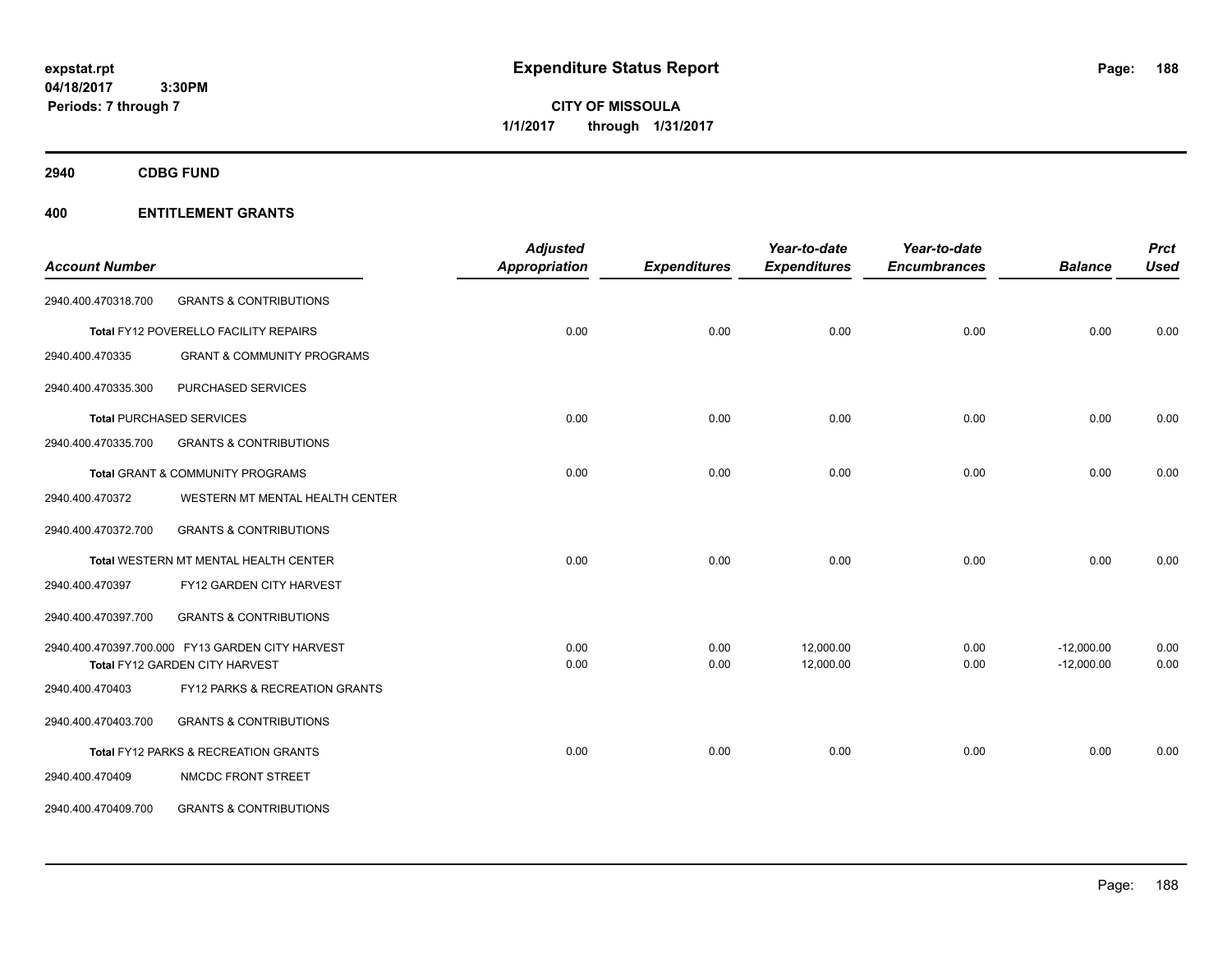**CITY OF MISSOULA 1/1/2017 through 1/31/2017**

**2940 CDBG FUND**

|                       |                                                  | <b>Adjusted</b>      |                     | Year-to-date        | Year-to-date        |                | <b>Prct</b> |
|-----------------------|--------------------------------------------------|----------------------|---------------------|---------------------|---------------------|----------------|-------------|
| <b>Account Number</b> |                                                  | <b>Appropriation</b> | <b>Expenditures</b> | <b>Expenditures</b> | <b>Encumbrances</b> | <b>Balance</b> | <b>Used</b> |
| 2940.400.470318.700   | <b>GRANTS &amp; CONTRIBUTIONS</b>                |                      |                     |                     |                     |                |             |
|                       | Total FY12 POVERELLO FACILITY REPAIRS            | 0.00                 | 0.00                | 0.00                | 0.00                | 0.00           | 0.00        |
| 2940.400.470335       | <b>GRANT &amp; COMMUNITY PROGRAMS</b>            |                      |                     |                     |                     |                |             |
| 2940.400.470335.300   | PURCHASED SERVICES                               |                      |                     |                     |                     |                |             |
|                       | <b>Total PURCHASED SERVICES</b>                  | 0.00                 | 0.00                | 0.00                | 0.00                | 0.00           | 0.00        |
| 2940.400.470335.700   | <b>GRANTS &amp; CONTRIBUTIONS</b>                |                      |                     |                     |                     |                |             |
|                       | Total GRANT & COMMUNITY PROGRAMS                 | 0.00                 | 0.00                | 0.00                | 0.00                | 0.00           | 0.00        |
| 2940.400.470372       | WESTERN MT MENTAL HEALTH CENTER                  |                      |                     |                     |                     |                |             |
| 2940.400.470372.700   | <b>GRANTS &amp; CONTRIBUTIONS</b>                |                      |                     |                     |                     |                |             |
|                       | Total WESTERN MT MENTAL HEALTH CENTER            | 0.00                 | 0.00                | 0.00                | 0.00                | 0.00           | 0.00        |
| 2940.400.470397       | FY12 GARDEN CITY HARVEST                         |                      |                     |                     |                     |                |             |
| 2940.400.470397.700   | <b>GRANTS &amp; CONTRIBUTIONS</b>                |                      |                     |                     |                     |                |             |
|                       | 2940.400.470397.700.000 FY13 GARDEN CITY HARVEST | 0.00                 | 0.00                | 12,000.00           | 0.00                | $-12,000.00$   | 0.00        |
|                       | Total FY12 GARDEN CITY HARVEST                   | 0.00                 | 0.00                | 12,000.00           | 0.00                | $-12,000.00$   | 0.00        |
| 2940.400.470403       | FY12 PARKS & RECREATION GRANTS                   |                      |                     |                     |                     |                |             |
| 2940.400.470403.700   | <b>GRANTS &amp; CONTRIBUTIONS</b>                |                      |                     |                     |                     |                |             |
|                       | Total FY12 PARKS & RECREATION GRANTS             | 0.00                 | 0.00                | 0.00                | 0.00                | 0.00           | 0.00        |
| 2940.400.470409       | NMCDC FRONT STREET                               |                      |                     |                     |                     |                |             |
| 2940.400.470409.700   | <b>GRANTS &amp; CONTRIBUTIONS</b>                |                      |                     |                     |                     |                |             |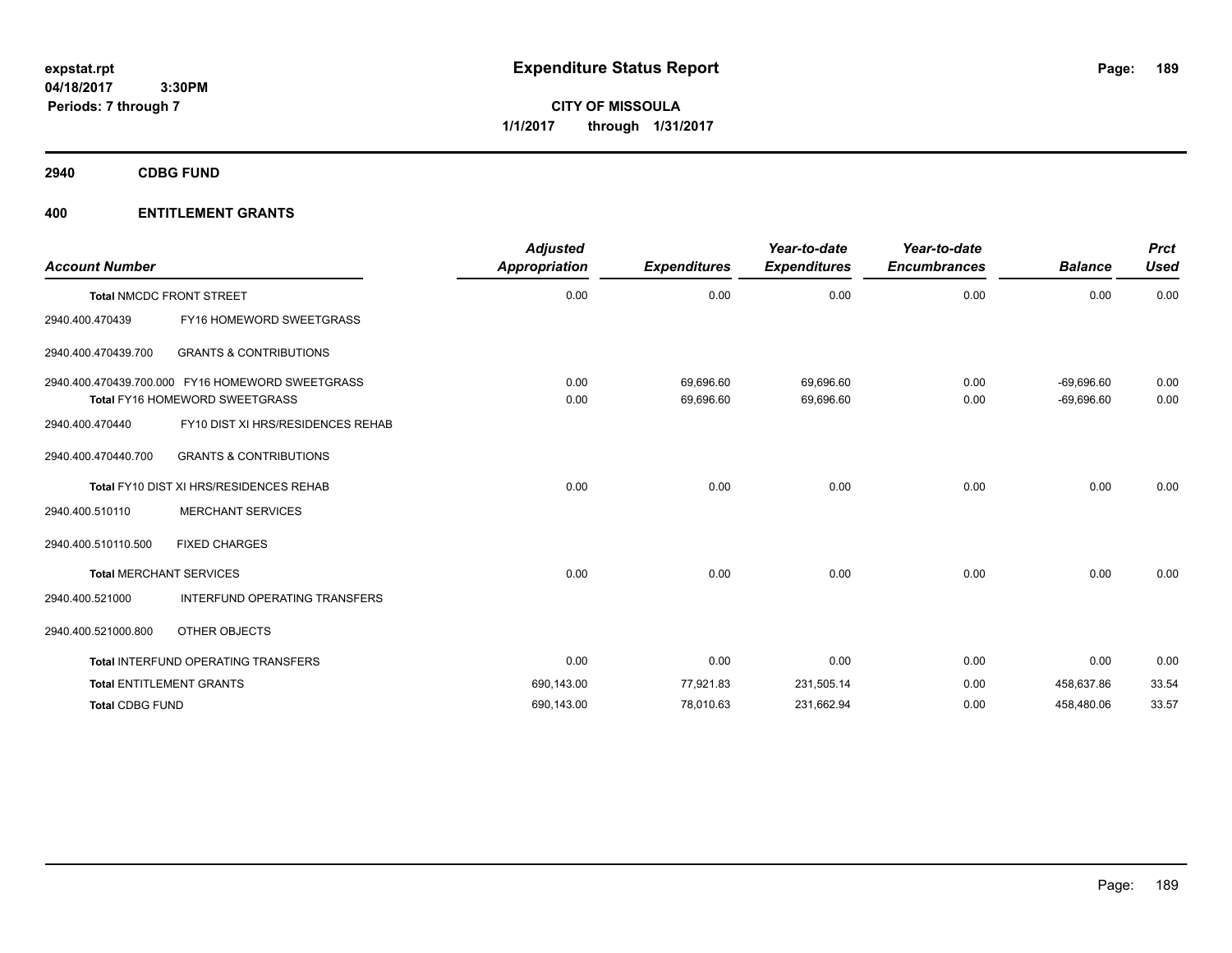**CITY OF MISSOULA 1/1/2017 through 1/31/2017**

**2940 CDBG FUND**

| <b>Account Number</b>  |                                                                                    | <b>Adjusted</b><br><b>Appropriation</b> | <b>Expenditures</b>    | Year-to-date<br><b>Expenditures</b> | Year-to-date<br><b>Encumbrances</b> | <b>Balance</b>               | <b>Prct</b><br><b>Used</b> |
|------------------------|------------------------------------------------------------------------------------|-----------------------------------------|------------------------|-------------------------------------|-------------------------------------|------------------------------|----------------------------|
|                        | <b>Total NMCDC FRONT STREET</b>                                                    | 0.00                                    | 0.00                   | 0.00                                | 0.00                                | 0.00                         | 0.00                       |
| 2940.400.470439        | FY16 HOMEWORD SWEETGRASS                                                           |                                         |                        |                                     |                                     |                              |                            |
| 2940.400.470439.700    | <b>GRANTS &amp; CONTRIBUTIONS</b>                                                  |                                         |                        |                                     |                                     |                              |                            |
|                        | 2940.400.470439.700.000 FY16 HOMEWORD SWEETGRASS<br>Total FY16 HOMEWORD SWEETGRASS | 0.00<br>0.00                            | 69.696.60<br>69,696.60 | 69.696.60<br>69,696.60              | 0.00<br>0.00                        | $-69.696.60$<br>$-69,696.60$ | 0.00<br>0.00               |
| 2940.400.470440        | FY10 DIST XI HRS/RESIDENCES REHAB                                                  |                                         |                        |                                     |                                     |                              |                            |
| 2940.400.470440.700    | <b>GRANTS &amp; CONTRIBUTIONS</b>                                                  |                                         |                        |                                     |                                     |                              |                            |
|                        | Total FY10 DIST XI HRS/RESIDENCES REHAB                                            | 0.00                                    | 0.00                   | 0.00                                | 0.00                                | 0.00                         | 0.00                       |
| 2940.400.510110        | <b>MERCHANT SERVICES</b>                                                           |                                         |                        |                                     |                                     |                              |                            |
| 2940.400.510110.500    | <b>FIXED CHARGES</b>                                                               |                                         |                        |                                     |                                     |                              |                            |
|                        | <b>Total MERCHANT SERVICES</b>                                                     | 0.00                                    | 0.00                   | 0.00                                | 0.00                                | 0.00                         | 0.00                       |
| 2940.400.521000        | <b>INTERFUND OPERATING TRANSFERS</b>                                               |                                         |                        |                                     |                                     |                              |                            |
| 2940.400.521000.800    | OTHER OBJECTS                                                                      |                                         |                        |                                     |                                     |                              |                            |
|                        | <b>Total INTERFUND OPERATING TRANSFERS</b>                                         | 0.00                                    | 0.00                   | 0.00                                | 0.00                                | 0.00                         | 0.00                       |
|                        | <b>Total ENTITLEMENT GRANTS</b>                                                    | 690,143.00                              | 77,921.83              | 231,505.14                          | 0.00                                | 458,637.86                   | 33.54                      |
| <b>Total CDBG FUND</b> |                                                                                    | 690,143.00                              | 78,010.63              | 231,662.94                          | 0.00                                | 458,480.06                   | 33.57                      |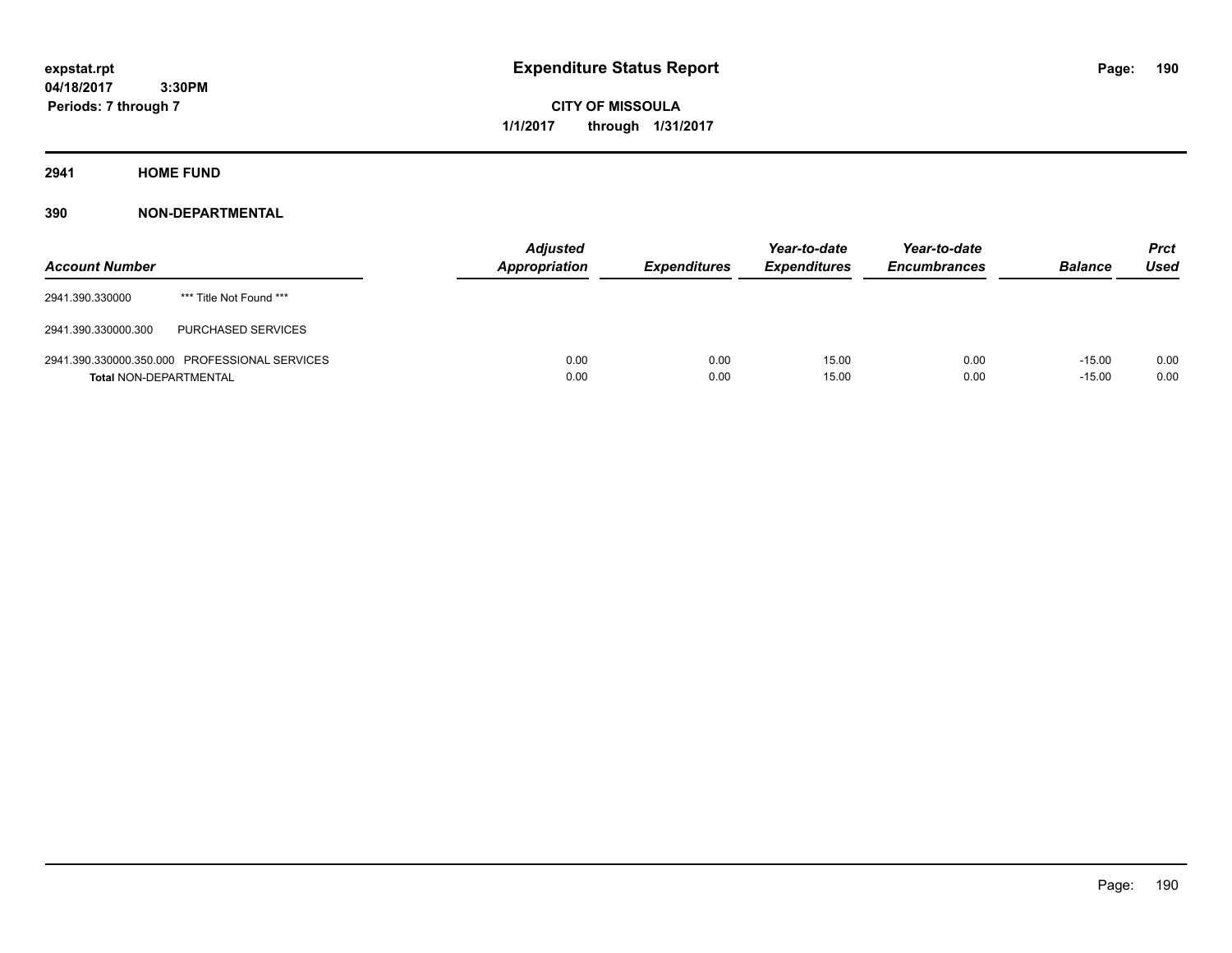**CITY OF MISSOULA 1/1/2017 through 1/31/2017**

**2941 HOME FUND**

| <b>Account Number</b>         |                                               | <b>Adjusted</b><br>Appropriation | <b>Expenditures</b> | Year-to-date<br><b>Expenditures</b> | Year-to-date<br><b>Encumbrances</b> | <b>Balance</b>       | <b>Prct</b><br>Used |
|-------------------------------|-----------------------------------------------|----------------------------------|---------------------|-------------------------------------|-------------------------------------|----------------------|---------------------|
| 2941.390.330000               | *** Title Not Found ***                       |                                  |                     |                                     |                                     |                      |                     |
| 2941.390.330000.300           | <b>PURCHASED SERVICES</b>                     |                                  |                     |                                     |                                     |                      |                     |
| <b>Total NON-DEPARTMENTAL</b> | 2941.390.330000.350.000 PROFESSIONAL SERVICES | 0.00<br>0.00                     | 0.00<br>0.00        | 15.00<br>15.00                      | 0.00<br>0.00                        | $-15.00$<br>$-15.00$ | 0.00<br>0.00        |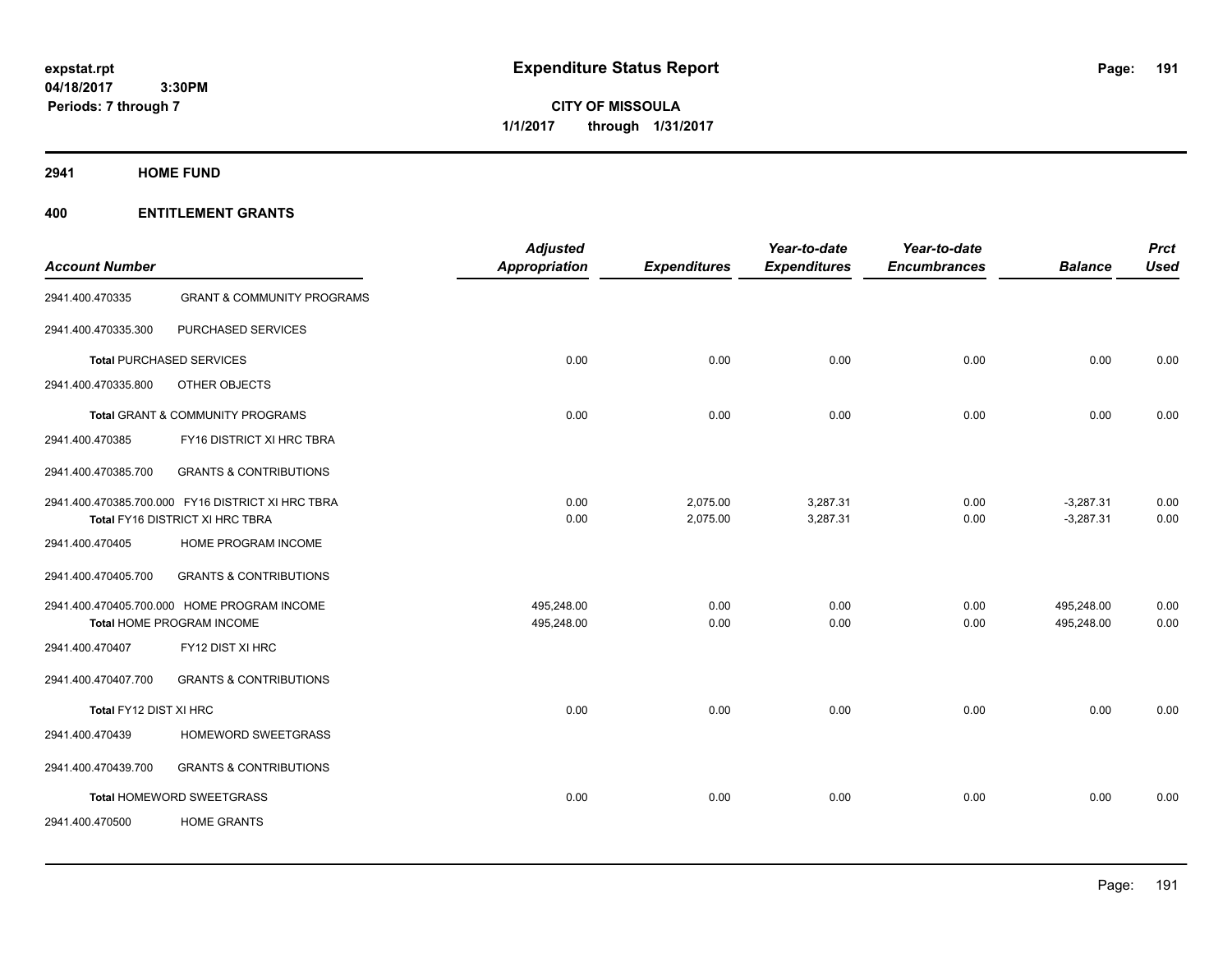**CITY OF MISSOULA 1/1/2017 through 1/31/2017**

**2941 HOME FUND**

| <b>Account Number</b>           |                                                                                      | <b>Adjusted</b><br><b>Appropriation</b> | <b>Expenditures</b>  | Year-to-date<br><b>Expenditures</b> | Year-to-date<br><b>Encumbrances</b> | <b>Balance</b>             | <b>Prct</b><br><b>Used</b> |
|---------------------------------|--------------------------------------------------------------------------------------|-----------------------------------------|----------------------|-------------------------------------|-------------------------------------|----------------------------|----------------------------|
| 2941.400.470335                 | <b>GRANT &amp; COMMUNITY PROGRAMS</b>                                                |                                         |                      |                                     |                                     |                            |                            |
| 2941.400.470335.300             | PURCHASED SERVICES                                                                   |                                         |                      |                                     |                                     |                            |                            |
| <b>Total PURCHASED SERVICES</b> |                                                                                      | 0.00                                    | 0.00                 | 0.00                                | 0.00                                | 0.00                       | 0.00                       |
| 2941.400.470335.800             | OTHER OBJECTS                                                                        |                                         |                      |                                     |                                     |                            |                            |
|                                 | Total GRANT & COMMUNITY PROGRAMS                                                     | 0.00                                    | 0.00                 | 0.00                                | 0.00                                | 0.00                       | 0.00                       |
| 2941.400.470385                 | FY16 DISTRICT XI HRC TBRA                                                            |                                         |                      |                                     |                                     |                            |                            |
| 2941.400.470385.700             | <b>GRANTS &amp; CONTRIBUTIONS</b>                                                    |                                         |                      |                                     |                                     |                            |                            |
|                                 | 2941.400.470385.700.000 FY16 DISTRICT XI HRC TBRA<br>Total FY16 DISTRICT XI HRC TBRA | 0.00<br>0.00                            | 2,075.00<br>2,075.00 | 3,287.31<br>3,287.31                | 0.00<br>0.00                        | $-3,287.31$<br>$-3,287.31$ | 0.00<br>0.00               |
| 2941.400.470405                 | HOME PROGRAM INCOME                                                                  |                                         |                      |                                     |                                     |                            |                            |
| 2941.400.470405.700             | <b>GRANTS &amp; CONTRIBUTIONS</b>                                                    |                                         |                      |                                     |                                     |                            |                            |
|                                 | 2941.400.470405.700.000 HOME PROGRAM INCOME<br>Total HOME PROGRAM INCOME             | 495,248.00<br>495,248.00                | 0.00<br>0.00         | 0.00<br>0.00                        | 0.00<br>0.00                        | 495,248.00<br>495,248.00   | 0.00<br>0.00               |
| 2941.400.470407                 | FY12 DIST XI HRC                                                                     |                                         |                      |                                     |                                     |                            |                            |
| 2941.400.470407.700             | <b>GRANTS &amp; CONTRIBUTIONS</b>                                                    |                                         |                      |                                     |                                     |                            |                            |
| Total FY12 DIST XI HRC          |                                                                                      | 0.00                                    | 0.00                 | 0.00                                | 0.00                                | 0.00                       | 0.00                       |
| 2941.400.470439                 | HOMEWORD SWEETGRASS                                                                  |                                         |                      |                                     |                                     |                            |                            |
| 2941.400.470439.700             | <b>GRANTS &amp; CONTRIBUTIONS</b>                                                    |                                         |                      |                                     |                                     |                            |                            |
|                                 | Total HOMEWORD SWEETGRASS                                                            | 0.00                                    | 0.00                 | 0.00                                | 0.00                                | 0.00                       | 0.00                       |
| 2941.400.470500                 | <b>HOME GRANTS</b>                                                                   |                                         |                      |                                     |                                     |                            |                            |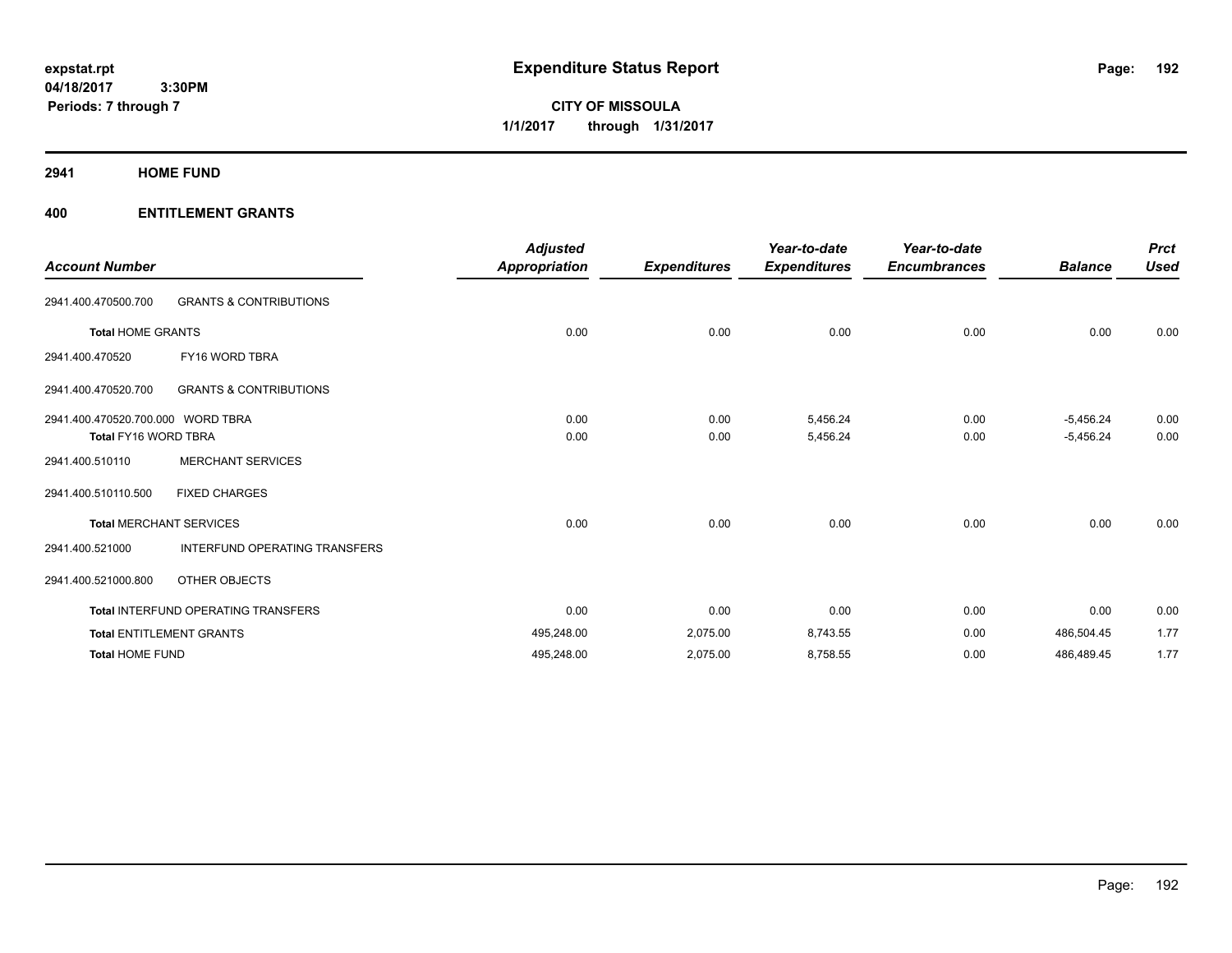**CITY OF MISSOULA 1/1/2017 through 1/31/2017**

**2941 HOME FUND**

| <b>Account Number</b>             |                                            | <b>Adjusted</b><br><b>Appropriation</b> | <b>Expenditures</b> | Year-to-date<br><b>Expenditures</b> | Year-to-date<br><b>Encumbrances</b> | <b>Balance</b> | <b>Prct</b><br><b>Used</b> |
|-----------------------------------|--------------------------------------------|-----------------------------------------|---------------------|-------------------------------------|-------------------------------------|----------------|----------------------------|
| 2941.400.470500.700               | <b>GRANTS &amp; CONTRIBUTIONS</b>          |                                         |                     |                                     |                                     |                |                            |
| <b>Total HOME GRANTS</b>          |                                            | 0.00                                    | 0.00                | 0.00                                | 0.00                                | 0.00           | 0.00                       |
| 2941.400.470520                   | FY16 WORD TBRA                             |                                         |                     |                                     |                                     |                |                            |
| 2941.400.470520.700               | <b>GRANTS &amp; CONTRIBUTIONS</b>          |                                         |                     |                                     |                                     |                |                            |
| 2941.400.470520.700.000 WORD TBRA |                                            | 0.00                                    | 0.00                | 5,456.24                            | 0.00                                | $-5,456.24$    | 0.00                       |
| <b>Total FY16 WORD TBRA</b>       |                                            | 0.00                                    | 0.00                | 5,456.24                            | 0.00                                | $-5,456.24$    | 0.00                       |
| 2941.400.510110                   | <b>MERCHANT SERVICES</b>                   |                                         |                     |                                     |                                     |                |                            |
| 2941.400.510110.500               | <b>FIXED CHARGES</b>                       |                                         |                     |                                     |                                     |                |                            |
|                                   | <b>Total MERCHANT SERVICES</b>             | 0.00                                    | 0.00                | 0.00                                | 0.00                                | 0.00           | 0.00                       |
| 2941.400.521000                   | INTERFUND OPERATING TRANSFERS              |                                         |                     |                                     |                                     |                |                            |
| 2941.400.521000.800               | OTHER OBJECTS                              |                                         |                     |                                     |                                     |                |                            |
|                                   | <b>Total INTERFUND OPERATING TRANSFERS</b> | 0.00                                    | 0.00                | 0.00                                | 0.00                                | 0.00           | 0.00                       |
|                                   | <b>Total ENTITLEMENT GRANTS</b>            | 495,248.00                              | 2,075.00            | 8,743.55                            | 0.00                                | 486,504.45     | 1.77                       |
| <b>Total HOME FUND</b>            |                                            | 495,248.00                              | 2,075.00            | 8,758.55                            | 0.00                                | 486,489.45     | 1.77                       |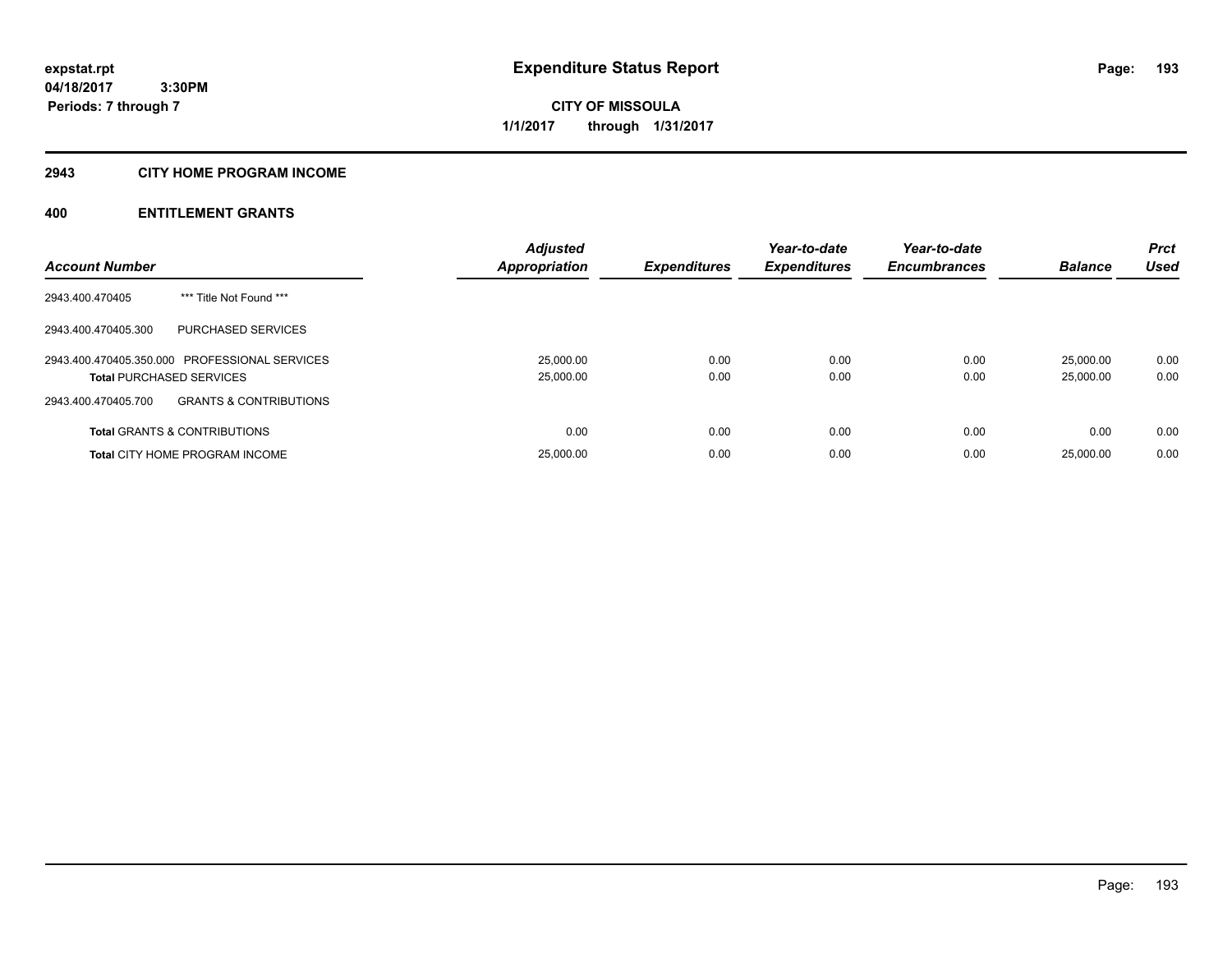**CITY OF MISSOULA 1/1/2017 through 1/31/2017**

#### **2943 CITY HOME PROGRAM INCOME**

| <b>Account Number</b>                                                            | <b>Adjusted</b><br><b>Appropriation</b> | <b>Expenditures</b> | Year-to-date<br><b>Expenditures</b> | Year-to-date<br><b>Encumbrances</b> | <b>Balance</b>         | <b>Prct</b><br><b>Used</b> |
|----------------------------------------------------------------------------------|-----------------------------------------|---------------------|-------------------------------------|-------------------------------------|------------------------|----------------------------|
| *** Title Not Found ***<br>2943.400.470405                                       |                                         |                     |                                     |                                     |                        |                            |
| 2943.400.470405.300<br>PURCHASED SERVICES                                        |                                         |                     |                                     |                                     |                        |                            |
| 2943.400.470405.350.000 PROFESSIONAL SERVICES<br><b>Total PURCHASED SERVICES</b> | 25,000.00<br>25,000.00                  | 0.00<br>0.00        | 0.00<br>0.00                        | 0.00<br>0.00                        | 25.000.00<br>25,000.00 | 0.00<br>0.00               |
| <b>GRANTS &amp; CONTRIBUTIONS</b><br>2943.400.470405.700                         |                                         |                     |                                     |                                     |                        |                            |
| <b>Total GRANTS &amp; CONTRIBUTIONS</b>                                          | 0.00                                    | 0.00                | 0.00                                | 0.00                                | 0.00                   | 0.00                       |
| <b>Total CITY HOME PROGRAM INCOME</b>                                            | 25,000.00                               | 0.00                | 0.00                                | 0.00                                | 25,000.00              | 0.00                       |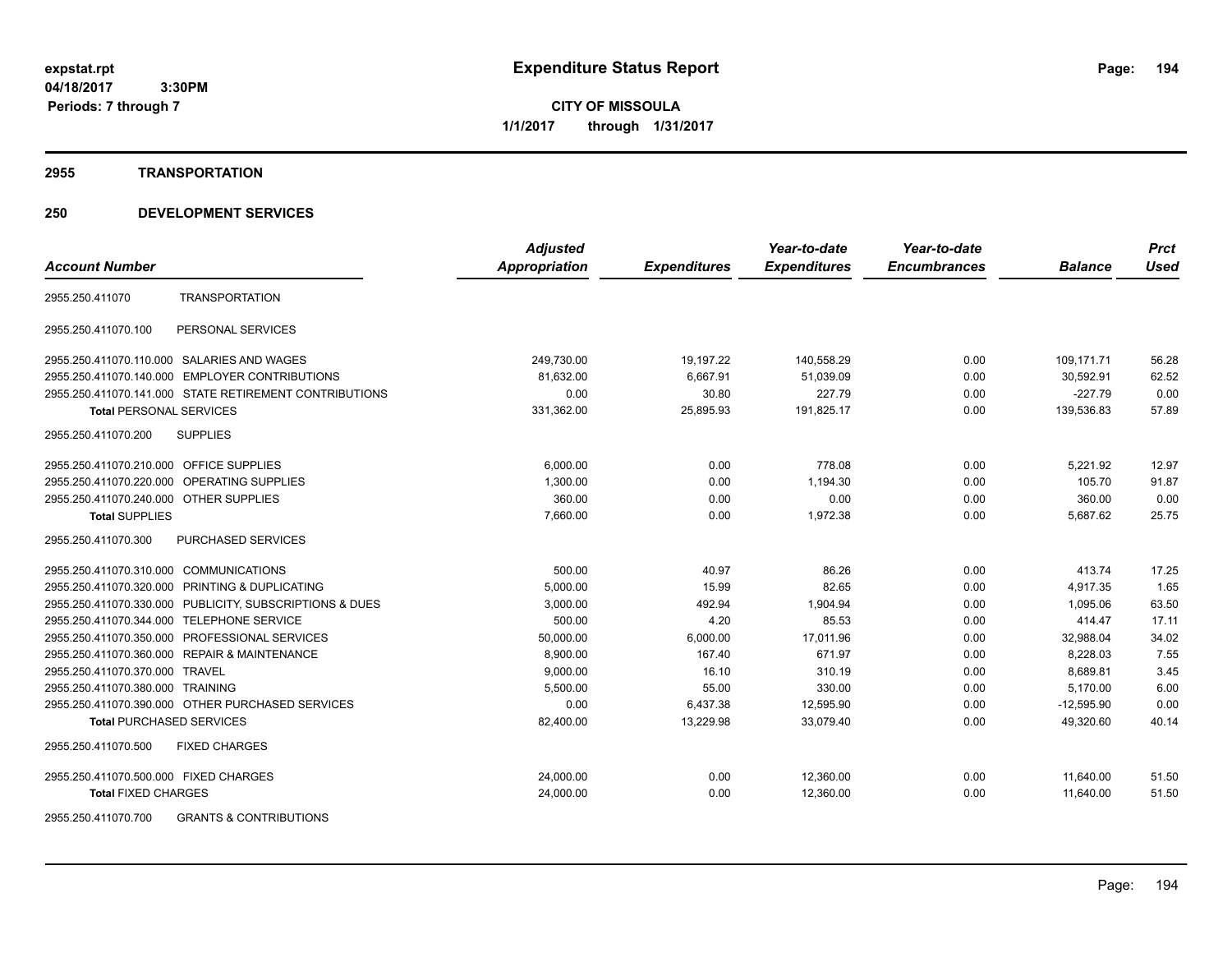**CITY OF MISSOULA 1/1/2017 through 1/31/2017**

#### **2955 TRANSPORTATION**

## **250 DEVELOPMENT SERVICES**

|                                                          | <b>Adjusted</b>      |                     | Year-to-date        | Year-to-date        |                | <b>Prct</b> |
|----------------------------------------------------------|----------------------|---------------------|---------------------|---------------------|----------------|-------------|
| <b>Account Number</b>                                    | <b>Appropriation</b> | <b>Expenditures</b> | <b>Expenditures</b> | <b>Encumbrances</b> | <b>Balance</b> | <b>Used</b> |
| <b>TRANSPORTATION</b><br>2955.250.411070                 |                      |                     |                     |                     |                |             |
| 2955.250.411070.100<br>PERSONAL SERVICES                 |                      |                     |                     |                     |                |             |
| 2955.250.411070.110.000 SALARIES AND WAGES               | 249,730.00           | 19,197.22           | 140.558.29          | 0.00                | 109.171.71     | 56.28       |
| <b>EMPLOYER CONTRIBUTIONS</b><br>2955.250.411070.140.000 | 81,632.00            | 6,667.91            | 51,039.09           | 0.00                | 30,592.91      | 62.52       |
| 2955.250.411070.141.000 STATE RETIREMENT CONTRIBUTIONS   | 0.00                 | 30.80               | 227.79              | 0.00                | $-227.79$      | 0.00        |
| <b>Total PERSONAL SERVICES</b>                           | 331,362.00           | 25,895.93           | 191,825.17          | 0.00                | 139,536.83     | 57.89       |
| 2955.250.411070.200<br><b>SUPPLIES</b>                   |                      |                     |                     |                     |                |             |
| 2955.250.411070.210.000 OFFICE SUPPLIES                  | 6,000.00             | 0.00                | 778.08              | 0.00                | 5,221.92       | 12.97       |
| 2955.250.411070.220.000 OPERATING SUPPLIES               | 1,300.00             | 0.00                | 1,194.30            | 0.00                | 105.70         | 91.87       |
| 2955.250.411070.240.000 OTHER SUPPLIES                   | 360.00               | 0.00                | 0.00                | 0.00                | 360.00         | 0.00        |
| <b>Total SUPPLIES</b>                                    | 7,660.00             | 0.00                | 1,972.38            | 0.00                | 5,687.62       | 25.75       |
| 2955.250.411070.300<br>PURCHASED SERVICES                |                      |                     |                     |                     |                |             |
| 2955.250.411070.310.000 COMMUNICATIONS                   | 500.00               | 40.97               | 86.26               | 0.00                | 413.74         | 17.25       |
| 2955.250.411070.320.000 PRINTING & DUPLICATING           | 5,000.00             | 15.99               | 82.65               | 0.00                | 4,917.35       | 1.65        |
| 2955.250.411070.330.000 PUBLICITY, SUBSCRIPTIONS & DUES  | 3,000.00             | 492.94              | 1,904.94            | 0.00                | 1,095.06       | 63.50       |
| 2955.250.411070.344.000 TELEPHONE SERVICE                | 500.00               | 4.20                | 85.53               | 0.00                | 414.47         | 17.11       |
| PROFESSIONAL SERVICES<br>2955.250.411070.350.000         | 50,000.00            | 6,000.00            | 17,011.96           | 0.00                | 32,988.04      | 34.02       |
| 2955.250.411070.360.000 REPAIR & MAINTENANCE             | 8,900.00             | 167.40              | 671.97              | 0.00                | 8,228.03       | 7.55        |
| 2955.250.411070.370.000<br>TRAVEL                        | 9,000.00             | 16.10               | 310.19              | 0.00                | 8,689.81       | 3.45        |
| 2955.250.411070.380.000 TRAINING                         | 5,500.00             | 55.00               | 330.00              | 0.00                | 5.170.00       | 6.00        |
| 2955.250.411070.390.000 OTHER PURCHASED SERVICES         | 0.00                 | 6,437.38            | 12,595.90           | 0.00                | $-12,595.90$   | 0.00        |
| <b>Total PURCHASED SERVICES</b>                          | 82,400.00            | 13,229.98           | 33,079.40           | 0.00                | 49,320.60      | 40.14       |
| 2955.250.411070.500<br><b>FIXED CHARGES</b>              |                      |                     |                     |                     |                |             |
| 2955.250.411070.500.000 FIXED CHARGES                    | 24,000.00            | 0.00                | 12,360.00           | 0.00                | 11,640.00      | 51.50       |
| <b>Total FIXED CHARGES</b>                               | 24,000.00            | 0.00                | 12,360.00           | 0.00                | 11,640.00      | 51.50       |
|                                                          |                      |                     |                     |                     |                |             |

2955.250.411070.700 GRANTS & CONTRIBUTIONS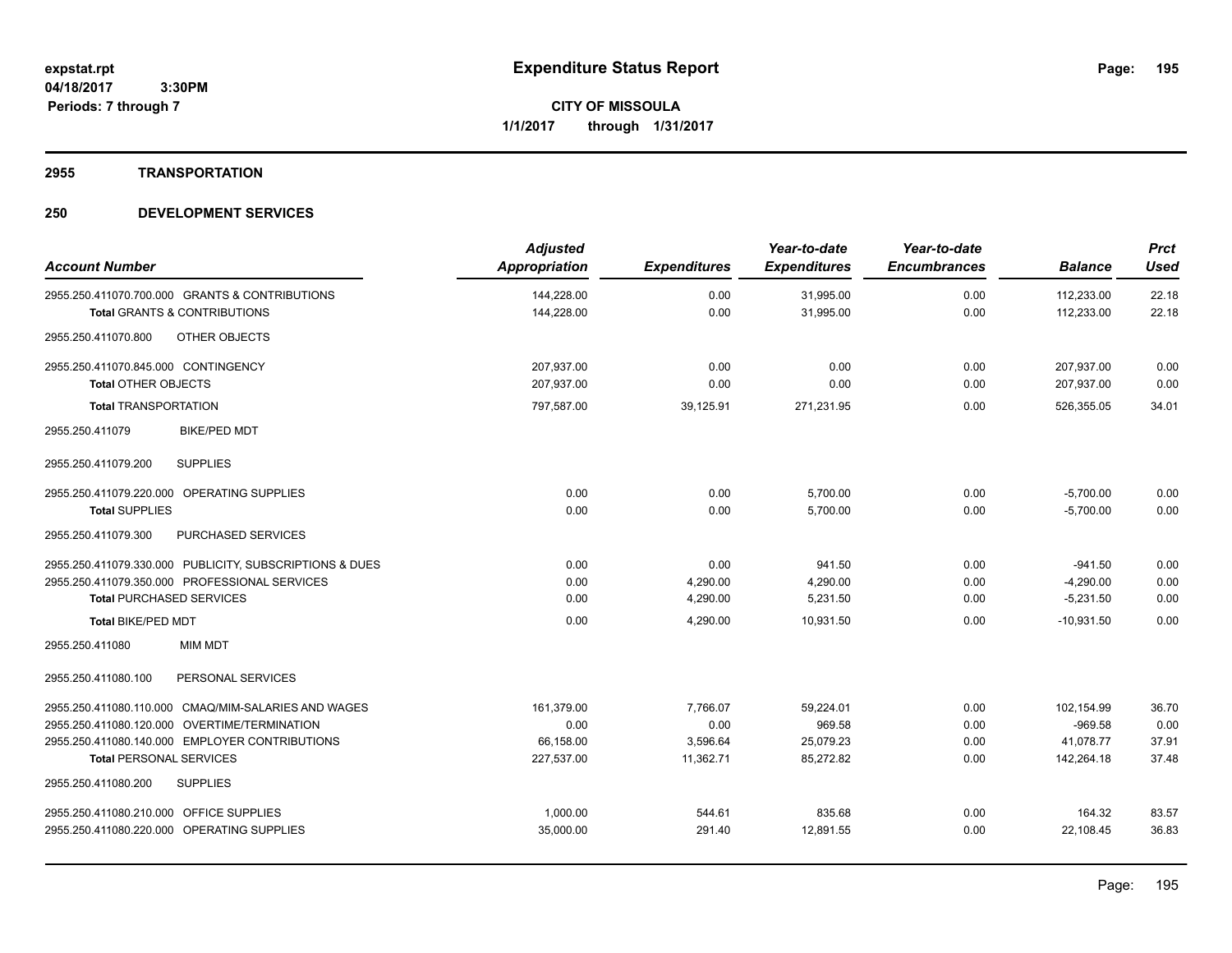#### **2955 TRANSPORTATION**

| <b>Account Number</b>                                                                     | <b>Adjusted</b><br>Appropriation | <b>Expenditures</b> | Year-to-date<br><b>Expenditures</b> | Year-to-date<br><b>Encumbrances</b> | <b>Balance</b>           | <b>Prct</b><br><b>Used</b> |
|-------------------------------------------------------------------------------------------|----------------------------------|---------------------|-------------------------------------|-------------------------------------|--------------------------|----------------------------|
| 2955.250.411070.700.000 GRANTS & CONTRIBUTIONS<br><b>Total GRANTS &amp; CONTRIBUTIONS</b> | 144,228.00<br>144,228.00         | 0.00<br>0.00        | 31,995.00<br>31,995.00              | 0.00<br>0.00                        | 112,233.00<br>112,233.00 | 22.18<br>22.18             |
| 2955.250.411070.800<br>OTHER OBJECTS                                                      |                                  |                     |                                     |                                     |                          |                            |
| 2955.250.411070.845.000 CONTINGENCY                                                       | 207,937.00                       | 0.00                | 0.00                                | 0.00                                | 207,937.00               | 0.00                       |
| <b>Total OTHER OBJECTS</b>                                                                | 207,937.00                       | 0.00                | 0.00                                | 0.00                                | 207,937.00               | 0.00                       |
| <b>Total TRANSPORTATION</b>                                                               | 797,587.00                       | 39,125.91           | 271,231.95                          | 0.00                                | 526,355.05               | 34.01                      |
| 2955.250.411079<br><b>BIKE/PED MDT</b>                                                    |                                  |                     |                                     |                                     |                          |                            |
| <b>SUPPLIES</b><br>2955.250.411079.200                                                    |                                  |                     |                                     |                                     |                          |                            |
| 2955.250.411079.220.000 OPERATING SUPPLIES                                                | 0.00                             | 0.00                | 5,700.00                            | 0.00                                | $-5,700.00$              | 0.00                       |
| <b>Total SUPPLIES</b>                                                                     | 0.00                             | 0.00                | 5,700.00                            | 0.00                                | $-5,700.00$              | 0.00                       |
| 2955.250.411079.300<br>PURCHASED SERVICES                                                 |                                  |                     |                                     |                                     |                          |                            |
| 2955.250.411079.330.000 PUBLICITY, SUBSCRIPTIONS & DUES                                   | 0.00                             | 0.00                | 941.50                              | 0.00                                | $-941.50$                | 0.00                       |
| 2955.250.411079.350.000 PROFESSIONAL SERVICES                                             | 0.00                             | 4,290.00            | 4,290.00                            | 0.00                                | $-4,290.00$              | 0.00                       |
| <b>Total PURCHASED SERVICES</b>                                                           | 0.00                             | 4,290.00            | 5,231.50                            | 0.00                                | $-5,231.50$              | 0.00                       |
| Total BIKE/PED MDT                                                                        | 0.00                             | 4,290.00            | 10,931.50                           | 0.00                                | $-10,931.50$             | 0.00                       |
| <b>MIM MDT</b><br>2955.250.411080                                                         |                                  |                     |                                     |                                     |                          |                            |
| 2955.250.411080.100<br>PERSONAL SERVICES                                                  |                                  |                     |                                     |                                     |                          |                            |
| 2955.250.411080.110.000 CMAQ/MIM-SALARIES AND WAGES                                       | 161.379.00                       | 7.766.07            | 59.224.01                           | 0.00                                | 102.154.99               | 36.70                      |
| 2955.250.411080.120.000 OVERTIME/TERMINATION                                              | 0.00                             | 0.00                | 969.58                              | 0.00                                | $-969.58$                | 0.00                       |
| 2955.250.411080.140.000 EMPLOYER CONTRIBUTIONS                                            | 66,158.00                        | 3,596.64            | 25,079.23                           | 0.00                                | 41,078.77                | 37.91                      |
| <b>Total PERSONAL SERVICES</b>                                                            | 227,537.00                       | 11,362.71           | 85,272.82                           | 0.00                                | 142,264.18               | 37.48                      |
| 2955.250.411080.200<br><b>SUPPLIES</b>                                                    |                                  |                     |                                     |                                     |                          |                            |
| 2955.250.411080.210.000 OFFICE SUPPLIES                                                   | 1,000.00                         | 544.61              | 835.68                              | 0.00                                | 164.32                   | 83.57                      |
| 2955.250.411080.220.000 OPERATING SUPPLIES                                                | 35,000.00                        | 291.40              | 12,891.55                           | 0.00                                | 22,108.45                | 36.83                      |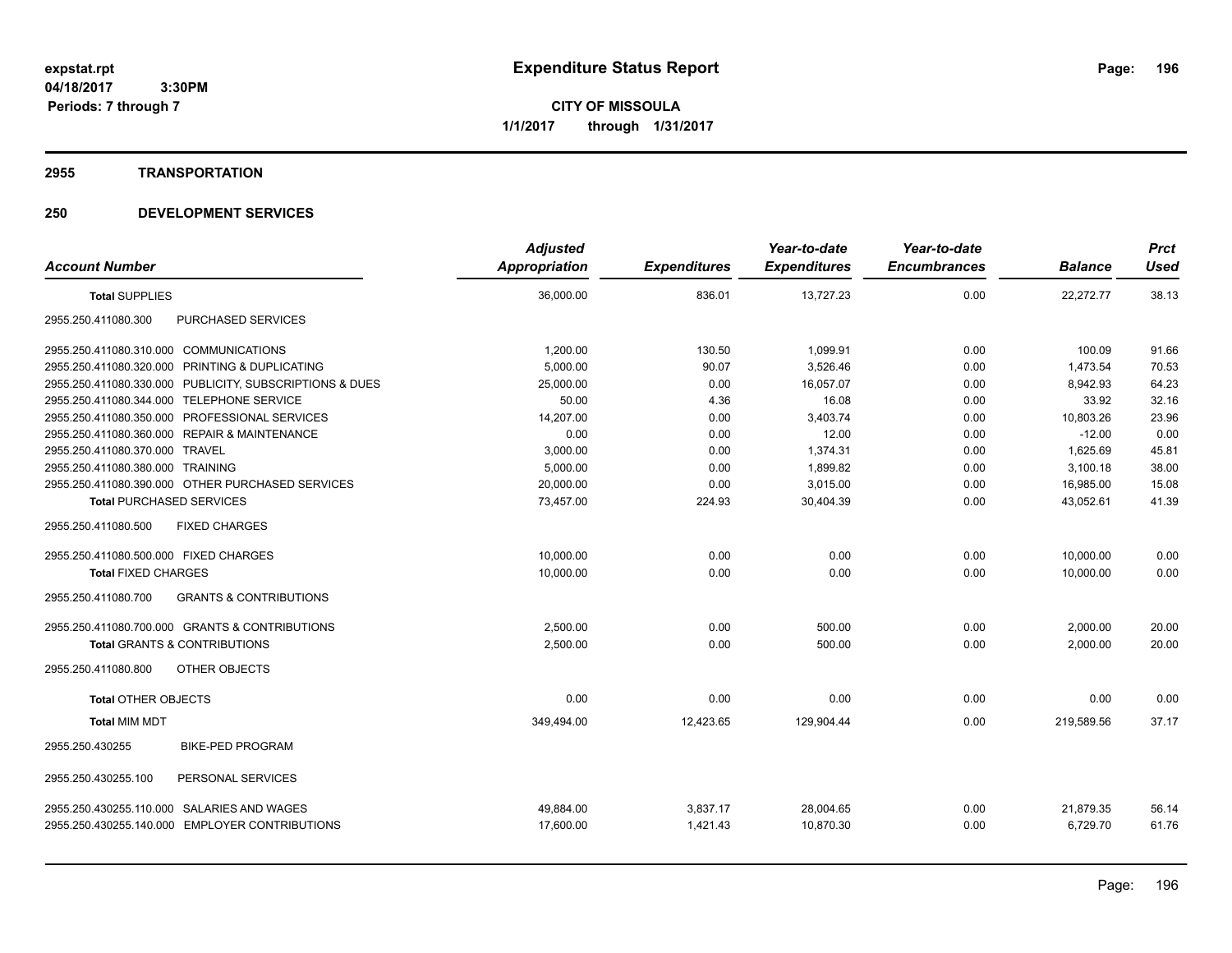**CITY OF MISSOULA 1/1/2017 through 1/31/2017**

#### **2955 TRANSPORTATION**

| <b>Account Number</b>                                    | <b>Adjusted</b><br>Appropriation | <b>Expenditures</b> | Year-to-date<br><b>Expenditures</b> | Year-to-date<br><b>Encumbrances</b> | <b>Balance</b> | <b>Prct</b><br><b>Used</b> |
|----------------------------------------------------------|----------------------------------|---------------------|-------------------------------------|-------------------------------------|----------------|----------------------------|
| <b>Total SUPPLIES</b>                                    | 36,000.00                        | 836.01              | 13,727.23                           | 0.00                                | 22,272.77      | 38.13                      |
|                                                          |                                  |                     |                                     |                                     |                |                            |
| PURCHASED SERVICES<br>2955.250.411080.300                |                                  |                     |                                     |                                     |                |                            |
| 2955.250.411080.310.000 COMMUNICATIONS                   | 1,200.00                         | 130.50              | 1,099.91                            | 0.00                                | 100.09         | 91.66                      |
| 2955.250.411080.320.000<br>PRINTING & DUPLICATING        | 5,000.00                         | 90.07               | 3,526.46                            | 0.00                                | 1,473.54       | 70.53                      |
| 2955.250.411080.330.000 PUBLICITY, SUBSCRIPTIONS & DUES  | 25,000.00                        | 0.00                | 16,057.07                           | 0.00                                | 8,942.93       | 64.23                      |
| 2955.250.411080.344.000 TELEPHONE SERVICE                | 50.00                            | 4.36                | 16.08                               | 0.00                                | 33.92          | 32.16                      |
| 2955.250.411080.350.000 PROFESSIONAL SERVICES            | 14,207.00                        | 0.00                | 3,403.74                            | 0.00                                | 10,803.26      | 23.96                      |
| 2955.250.411080.360.000 REPAIR & MAINTENANCE             | 0.00                             | 0.00                | 12.00                               | 0.00                                | $-12.00$       | 0.00                       |
| 2955.250.411080.370.000 TRAVEL                           | 3,000.00                         | 0.00                | 1,374.31                            | 0.00                                | 1,625.69       | 45.81                      |
| 2955.250.411080.380.000 TRAINING                         | 5,000.00                         | 0.00                | 1,899.82                            | 0.00                                | 3,100.18       | 38.00                      |
| 2955.250.411080.390.000 OTHER PURCHASED SERVICES         | 20,000.00                        | 0.00                | 3.015.00                            | 0.00                                | 16,985.00      | 15.08                      |
| <b>Total PURCHASED SERVICES</b>                          | 73,457.00                        | 224.93              | 30,404.39                           | 0.00                                | 43,052.61      | 41.39                      |
| 2955.250.411080.500<br><b>FIXED CHARGES</b>              |                                  |                     |                                     |                                     |                |                            |
| 2955.250.411080.500.000 FIXED CHARGES                    | 10,000.00                        | 0.00                | 0.00                                | 0.00                                | 10,000.00      | 0.00                       |
| <b>Total FIXED CHARGES</b>                               | 10,000.00                        | 0.00                | 0.00                                | 0.00                                | 10,000.00      | 0.00                       |
| 2955.250.411080.700<br><b>GRANTS &amp; CONTRIBUTIONS</b> |                                  |                     |                                     |                                     |                |                            |
| 2955.250.411080.700.000 GRANTS & CONTRIBUTIONS           | 2,500.00                         | 0.00                | 500.00                              | 0.00                                | 2,000.00       | 20.00                      |
| <b>Total GRANTS &amp; CONTRIBUTIONS</b>                  | 2,500.00                         | 0.00                | 500.00                              | 0.00                                | 2,000.00       | 20.00                      |
| 2955.250.411080.800<br>OTHER OBJECTS                     |                                  |                     |                                     |                                     |                |                            |
| <b>Total OTHER OBJECTS</b>                               | 0.00                             | 0.00                | 0.00                                | 0.00                                | 0.00           | 0.00                       |
| <b>Total MIM MDT</b>                                     | 349,494.00                       | 12,423.65           | 129,904.44                          | 0.00                                | 219,589.56     | 37.17                      |
| 2955.250.430255<br><b>BIKE-PED PROGRAM</b>               |                                  |                     |                                     |                                     |                |                            |
| PERSONAL SERVICES<br>2955.250.430255.100                 |                                  |                     |                                     |                                     |                |                            |
| 2955.250.430255.110.000 SALARIES AND WAGES               | 49,884.00                        | 3,837.17            | 28,004.65                           | 0.00                                | 21,879.35      | 56.14                      |
| 2955.250.430255.140.000 EMPLOYER CONTRIBUTIONS           | 17,600.00                        | 1,421.43            | 10,870.30                           | 0.00                                | 6,729.70       | 61.76                      |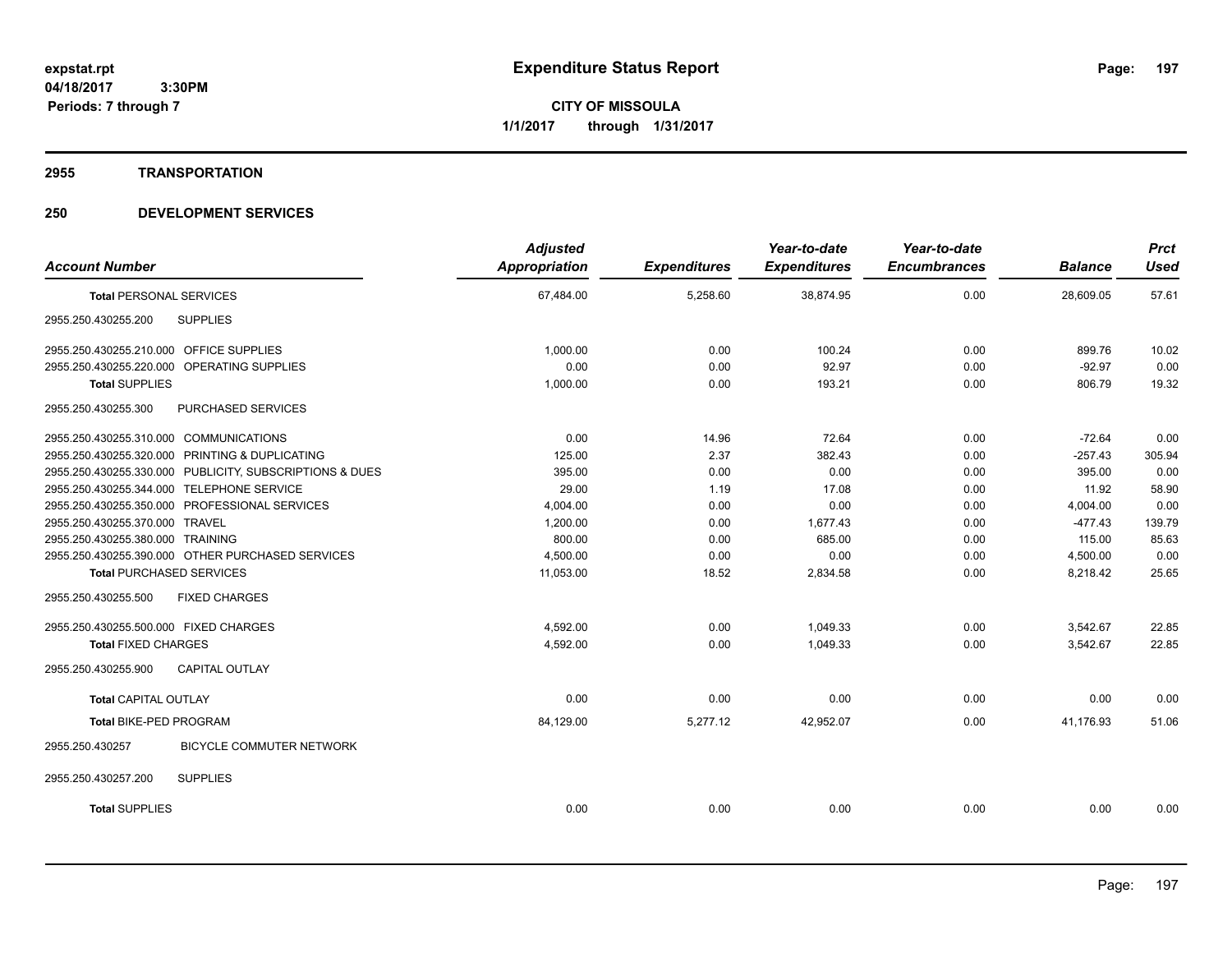**CITY OF MISSOULA 1/1/2017 through 1/31/2017**

#### **2955 TRANSPORTATION**

| <b>Account Number</b>                                   | <b>Adjusted</b><br>Appropriation | <b>Expenditures</b> | Year-to-date<br><b>Expenditures</b> | Year-to-date<br><b>Encumbrances</b> | <b>Balance</b> | <b>Prct</b><br><b>Used</b> |
|---------------------------------------------------------|----------------------------------|---------------------|-------------------------------------|-------------------------------------|----------------|----------------------------|
| <b>Total PERSONAL SERVICES</b>                          | 67,484.00                        | 5,258.60            | 38,874.95                           | 0.00                                | 28,609.05      | 57.61                      |
|                                                         |                                  |                     |                                     |                                     |                |                            |
| <b>SUPPLIES</b><br>2955.250.430255.200                  |                                  |                     |                                     |                                     |                |                            |
| 2955.250.430255.210.000 OFFICE SUPPLIES                 | 1.000.00                         | 0.00                | 100.24                              | 0.00                                | 899.76         | 10.02                      |
| 2955.250.430255.220.000 OPERATING SUPPLIES              | 0.00                             | 0.00                | 92.97                               | 0.00                                | $-92.97$       | 0.00                       |
| <b>Total SUPPLIES</b>                                   | 1,000.00                         | 0.00                | 193.21                              | 0.00                                | 806.79         | 19.32                      |
| 2955.250.430255.300<br><b>PURCHASED SERVICES</b>        |                                  |                     |                                     |                                     |                |                            |
| 2955.250.430255.310.000 COMMUNICATIONS                  | 0.00                             | 14.96               | 72.64                               | 0.00                                | $-72.64$       | 0.00                       |
| 2955.250.430255.320.000 PRINTING & DUPLICATING          | 125.00                           | 2.37                | 382.43                              | 0.00                                | $-257.43$      | 305.94                     |
| 2955.250.430255.330.000 PUBLICITY, SUBSCRIPTIONS & DUES | 395.00                           | 0.00                | 0.00                                | 0.00                                | 395.00         | 0.00                       |
| 2955.250.430255.344.000 TELEPHONE SERVICE               | 29.00                            | 1.19                | 17.08                               | 0.00                                | 11.92          | 58.90                      |
| 2955.250.430255.350.000 PROFESSIONAL SERVICES           | 4,004.00                         | 0.00                | 0.00                                | 0.00                                | 4,004.00       | 0.00                       |
| 2955.250.430255.370.000 TRAVEL                          | 1,200.00                         | 0.00                | 1,677.43                            | 0.00                                | $-477.43$      | 139.79                     |
| 2955.250.430255.380.000 TRAINING                        | 800.00                           | 0.00                | 685.00                              | 0.00                                | 115.00         | 85.63                      |
| 2955.250.430255.390.000 OTHER PURCHASED SERVICES        | 4,500.00                         | 0.00                | 0.00                                | 0.00                                | 4,500.00       | 0.00                       |
| <b>Total PURCHASED SERVICES</b>                         | 11,053.00                        | 18.52               | 2,834.58                            | 0.00                                | 8,218.42       | 25.65                      |
| <b>FIXED CHARGES</b><br>2955.250.430255.500             |                                  |                     |                                     |                                     |                |                            |
| 2955.250.430255.500.000 FIXED CHARGES                   | 4.592.00                         | 0.00                | 1.049.33                            | 0.00                                | 3,542.67       | 22.85                      |
| <b>Total FIXED CHARGES</b>                              | 4,592.00                         | 0.00                | 1,049.33                            | 0.00                                | 3,542.67       | 22.85                      |
| 2955.250.430255.900<br>CAPITAL OUTLAY                   |                                  |                     |                                     |                                     |                |                            |
| <b>Total CAPITAL OUTLAY</b>                             | 0.00                             | 0.00                | 0.00                                | 0.00                                | 0.00           | 0.00                       |
| <b>Total BIKE-PED PROGRAM</b>                           | 84,129.00                        | 5,277.12            | 42,952.07                           | 0.00                                | 41.176.93      | 51.06                      |
| BICYCLE COMMUTER NETWORK<br>2955.250.430257             |                                  |                     |                                     |                                     |                |                            |
| 2955.250.430257.200<br><b>SUPPLIES</b>                  |                                  |                     |                                     |                                     |                |                            |
| <b>Total SUPPLIES</b>                                   | 0.00                             | 0.00                | 0.00                                | 0.00                                | 0.00           | 0.00                       |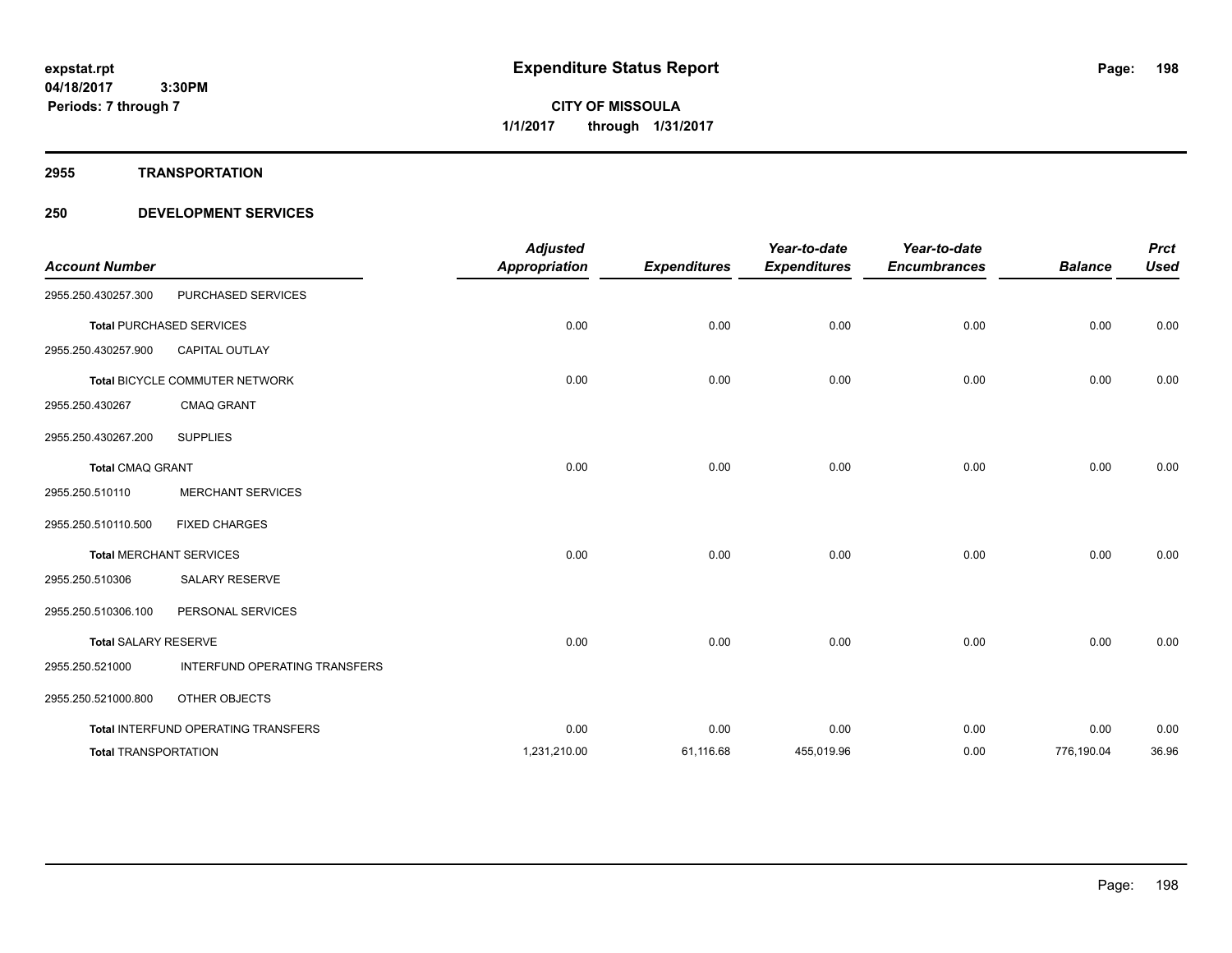#### **2955 TRANSPORTATION**

| <b>Account Number</b>       |                                      | <b>Adjusted</b><br><b>Appropriation</b> | <b>Expenditures</b> | Year-to-date<br><b>Expenditures</b> | Year-to-date<br><b>Encumbrances</b> | <b>Balance</b> | <b>Prct</b><br><b>Used</b> |
|-----------------------------|--------------------------------------|-----------------------------------------|---------------------|-------------------------------------|-------------------------------------|----------------|----------------------------|
| 2955.250.430257.300         | PURCHASED SERVICES                   |                                         |                     |                                     |                                     |                |                            |
|                             | <b>Total PURCHASED SERVICES</b>      | 0.00                                    | 0.00                | 0.00                                | 0.00                                | 0.00           | 0.00                       |
| 2955.250.430257.900         | <b>CAPITAL OUTLAY</b>                |                                         |                     |                                     |                                     |                |                            |
|                             | Total BICYCLE COMMUTER NETWORK       | 0.00                                    | 0.00                | 0.00                                | 0.00                                | 0.00           | 0.00                       |
| 2955.250.430267             | <b>CMAQ GRANT</b>                    |                                         |                     |                                     |                                     |                |                            |
| 2955.250.430267.200         | <b>SUPPLIES</b>                      |                                         |                     |                                     |                                     |                |                            |
| <b>Total CMAQ GRANT</b>     |                                      | 0.00                                    | 0.00                | 0.00                                | 0.00                                | 0.00           | 0.00                       |
| 2955.250.510110             | <b>MERCHANT SERVICES</b>             |                                         |                     |                                     |                                     |                |                            |
| 2955.250.510110.500         | <b>FIXED CHARGES</b>                 |                                         |                     |                                     |                                     |                |                            |
|                             | <b>Total MERCHANT SERVICES</b>       | 0.00                                    | 0.00                | 0.00                                | 0.00                                | 0.00           | 0.00                       |
| 2955.250.510306             | <b>SALARY RESERVE</b>                |                                         |                     |                                     |                                     |                |                            |
| 2955.250.510306.100         | PERSONAL SERVICES                    |                                         |                     |                                     |                                     |                |                            |
| <b>Total SALARY RESERVE</b> |                                      | 0.00                                    | 0.00                | 0.00                                | 0.00                                | 0.00           | 0.00                       |
| 2955.250.521000             | <b>INTERFUND OPERATING TRANSFERS</b> |                                         |                     |                                     |                                     |                |                            |
| 2955.250.521000.800         | OTHER OBJECTS                        |                                         |                     |                                     |                                     |                |                            |
|                             | Total INTERFUND OPERATING TRANSFERS  | 0.00                                    | 0.00                | 0.00                                | 0.00                                | 0.00           | 0.00                       |
| <b>Total TRANSPORTATION</b> |                                      | 1,231,210.00                            | 61,116.68           | 455,019.96                          | 0.00                                | 776,190.04     | 36.96                      |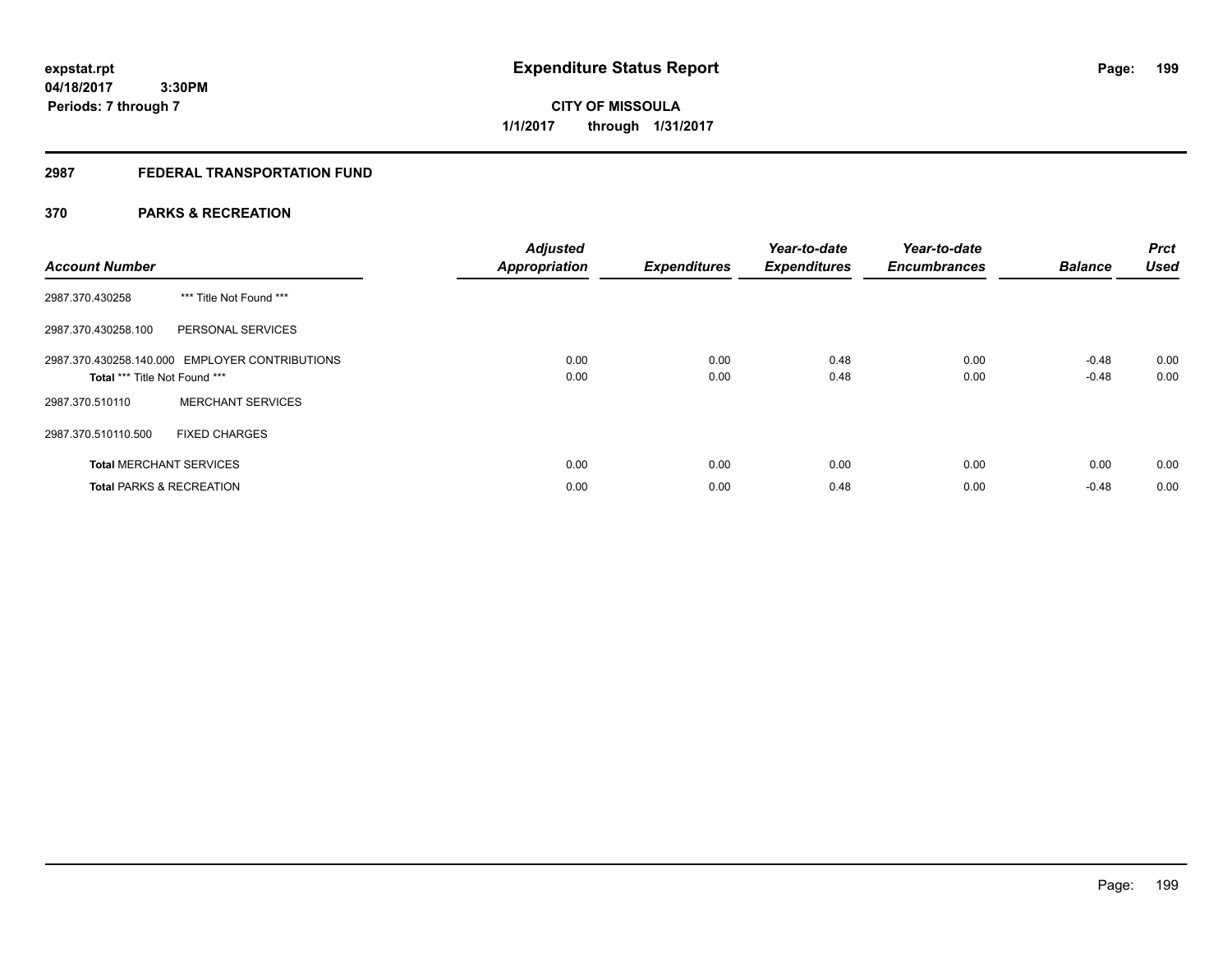Page: 199

**04/18/2017 3:30PM Periods: 7 through 7**

**CITY OF MISSOULA 1/1/2017 through 1/31/2017**

## **2987 FEDERAL TRANSPORTATION FUND**

## **370 PARKS & RECREATION**

| <b>Account Number</b>               |                                                | <b>Adjusted</b><br><b>Appropriation</b> | <b>Expenditures</b> | Year-to-date<br><b>Expenditures</b> | Year-to-date<br><b>Encumbrances</b> | <b>Balance</b>     | <b>Prct</b><br><b>Used</b> |
|-------------------------------------|------------------------------------------------|-----------------------------------------|---------------------|-------------------------------------|-------------------------------------|--------------------|----------------------------|
| 2987.370.430258                     | *** Title Not Found ***                        |                                         |                     |                                     |                                     |                    |                            |
| 2987.370.430258.100                 | PERSONAL SERVICES                              |                                         |                     |                                     |                                     |                    |                            |
| Total *** Title Not Found ***       | 2987.370.430258.140.000 EMPLOYER CONTRIBUTIONS | 0.00<br>0.00                            | 0.00<br>0.00        | 0.48<br>0.48                        | 0.00<br>0.00                        | $-0.48$<br>$-0.48$ | 0.00<br>0.00               |
| 2987.370.510110                     | <b>MERCHANT SERVICES</b>                       |                                         |                     |                                     |                                     |                    |                            |
| 2987.370.510110.500                 | <b>FIXED CHARGES</b>                           |                                         |                     |                                     |                                     |                    |                            |
| <b>Total MERCHANT SERVICES</b>      |                                                | 0.00                                    | 0.00                | 0.00                                | 0.00                                | 0.00               | 0.00                       |
| <b>Total PARKS &amp; RECREATION</b> |                                                | 0.00                                    | 0.00                | 0.48                                | 0.00                                | $-0.48$            | 0.00                       |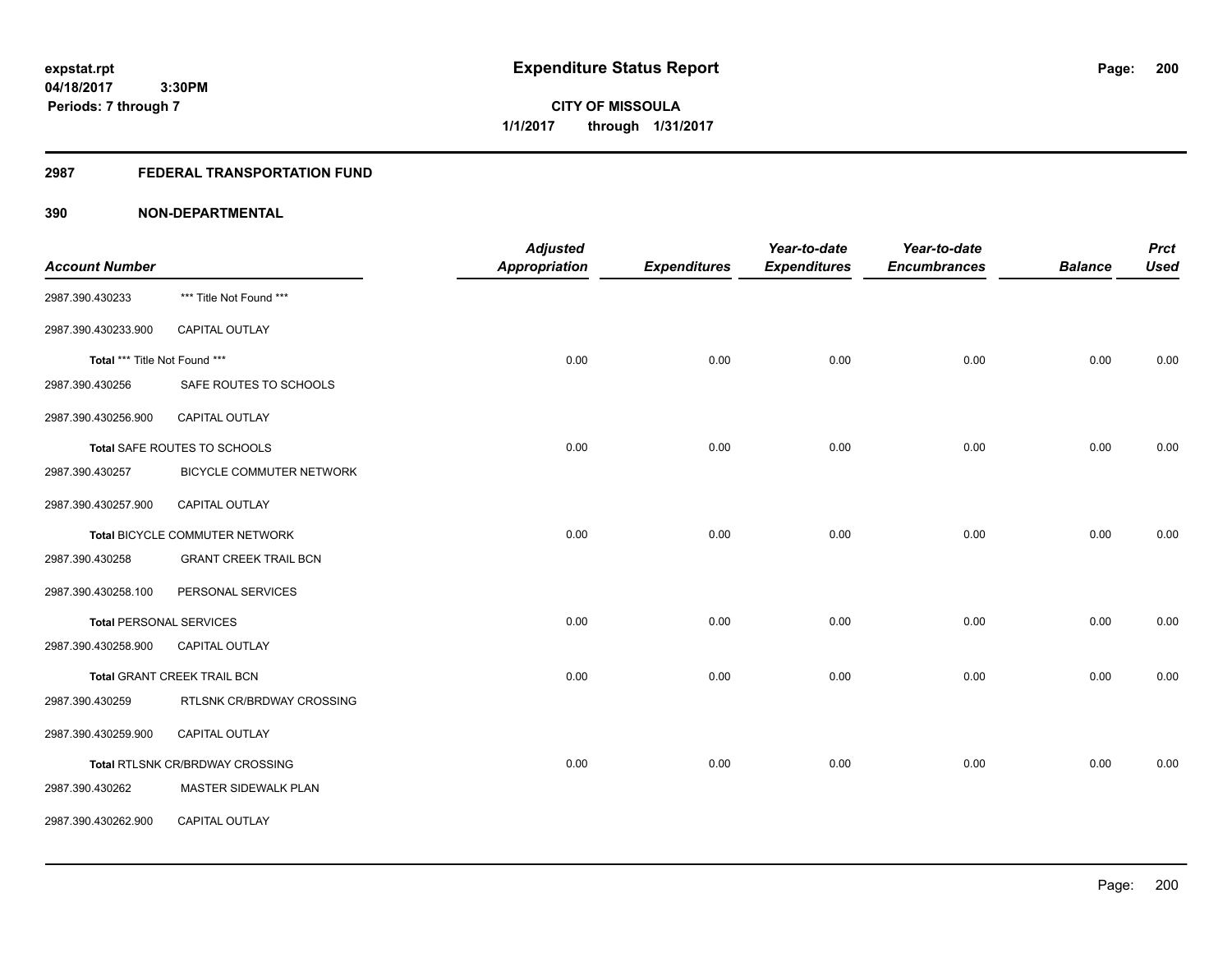**3:30PM Periods: 7 through 7**

**CITY OF MISSOULA 1/1/2017 through 1/31/2017**

#### **2987 FEDERAL TRANSPORTATION FUND**

|                                |                                        | <b>Adjusted</b>      |                     | Year-to-date        | Year-to-date        |                | <b>Prct</b> |
|--------------------------------|----------------------------------------|----------------------|---------------------|---------------------|---------------------|----------------|-------------|
| <b>Account Number</b>          |                                        | <b>Appropriation</b> | <b>Expenditures</b> | <b>Expenditures</b> | <b>Encumbrances</b> | <b>Balance</b> | <b>Used</b> |
| 2987.390.430233                | *** Title Not Found ***                |                      |                     |                     |                     |                |             |
| 2987.390.430233.900            | <b>CAPITAL OUTLAY</b>                  |                      |                     |                     |                     |                |             |
| Total *** Title Not Found ***  |                                        | 0.00                 | 0.00                | 0.00                | 0.00                | 0.00           | 0.00        |
| 2987.390.430256                | SAFE ROUTES TO SCHOOLS                 |                      |                     |                     |                     |                |             |
| 2987.390.430256.900            | CAPITAL OUTLAY                         |                      |                     |                     |                     |                |             |
|                                | Total SAFE ROUTES TO SCHOOLS           | 0.00                 | 0.00                | 0.00                | 0.00                | 0.00           | 0.00        |
| 2987.390.430257                | BICYCLE COMMUTER NETWORK               |                      |                     |                     |                     |                |             |
| 2987.390.430257.900            | CAPITAL OUTLAY                         |                      |                     |                     |                     |                |             |
|                                | Total BICYCLE COMMUTER NETWORK         | 0.00                 | 0.00                | 0.00                | 0.00                | 0.00           | 0.00        |
| 2987.390.430258                | <b>GRANT CREEK TRAIL BCN</b>           |                      |                     |                     |                     |                |             |
| 2987.390.430258.100            | PERSONAL SERVICES                      |                      |                     |                     |                     |                |             |
| <b>Total PERSONAL SERVICES</b> |                                        | 0.00                 | 0.00                | 0.00                | 0.00                | 0.00           | 0.00        |
| 2987.390.430258.900            | <b>CAPITAL OUTLAY</b>                  |                      |                     |                     |                     |                |             |
|                                | Total GRANT CREEK TRAIL BCN            | 0.00                 | 0.00                | 0.00                | 0.00                | 0.00           | 0.00        |
| 2987.390.430259                | RTLSNK CR/BRDWAY CROSSING              |                      |                     |                     |                     |                |             |
| 2987.390.430259.900            | CAPITAL OUTLAY                         |                      |                     |                     |                     |                |             |
|                                | <b>Total RTLSNK CR/BRDWAY CROSSING</b> | 0.00                 | 0.00                | 0.00                | 0.00                | 0.00           | 0.00        |
| 2987.390.430262                | MASTER SIDEWALK PLAN                   |                      |                     |                     |                     |                |             |
| 2987.390.430262.900            | CAPITAL OUTLAY                         |                      |                     |                     |                     |                |             |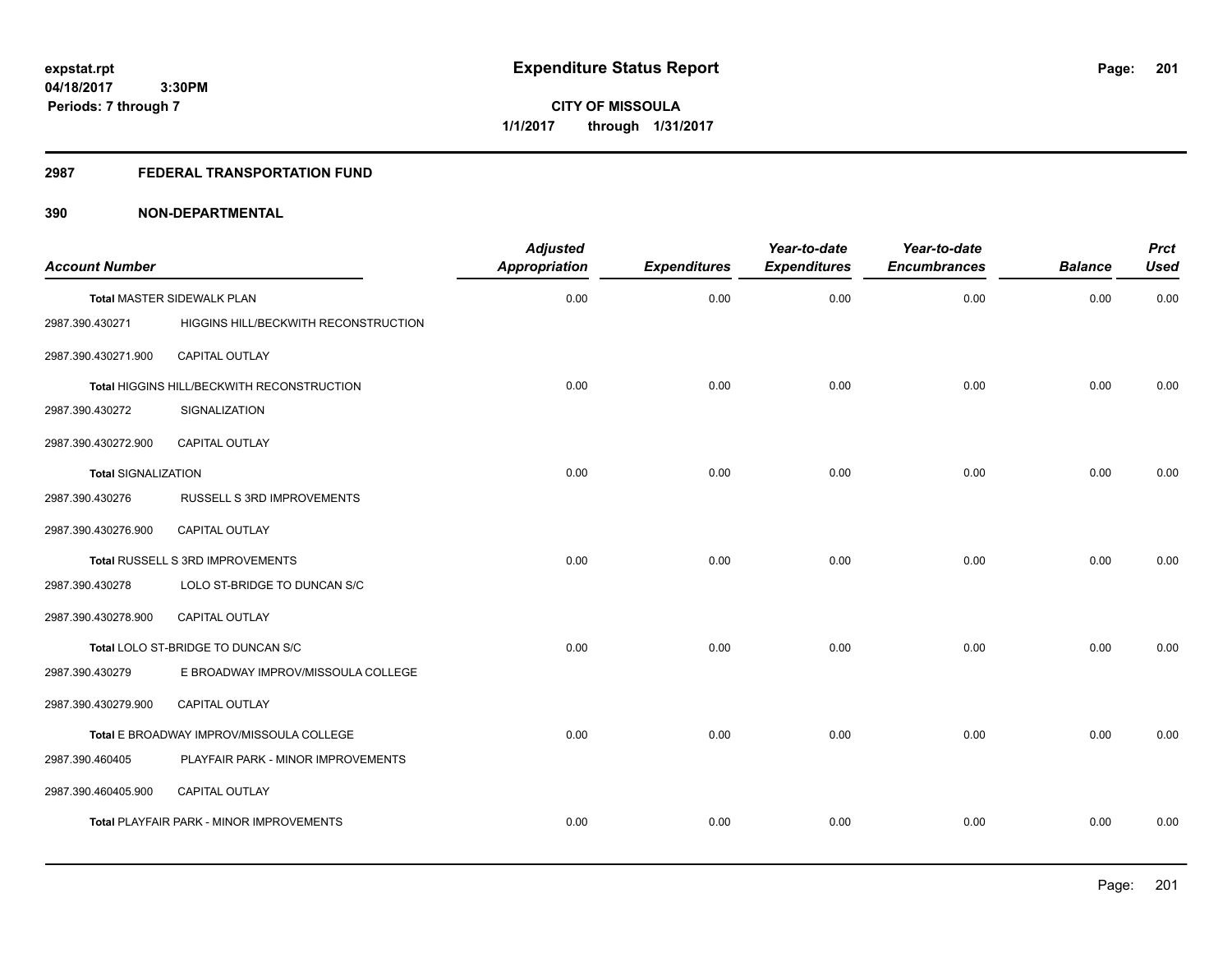**CITY OF MISSOULA 1/1/2017 through 1/31/2017**

#### **2987 FEDERAL TRANSPORTATION FUND**

| <b>Account Number</b>      |                                                 | <b>Adjusted</b><br><b>Appropriation</b> | <b>Expenditures</b> | Year-to-date<br><b>Expenditures</b> | Year-to-date<br><b>Encumbrances</b> | <b>Balance</b> | <b>Prct</b><br><b>Used</b> |
|----------------------------|-------------------------------------------------|-----------------------------------------|---------------------|-------------------------------------|-------------------------------------|----------------|----------------------------|
|                            | <b>Total MASTER SIDEWALK PLAN</b>               | 0.00                                    | 0.00                | 0.00                                | 0.00                                | 0.00           | 0.00                       |
| 2987.390.430271            | HIGGINS HILL/BECKWITH RECONSTRUCTION            |                                         |                     |                                     |                                     |                |                            |
| 2987.390.430271.900        | <b>CAPITAL OUTLAY</b>                           |                                         |                     |                                     |                                     |                |                            |
|                            | Total HIGGINS HILL/BECKWITH RECONSTRUCTION      | 0.00                                    | 0.00                | 0.00                                | 0.00                                | 0.00           | 0.00                       |
| 2987.390.430272            | SIGNALIZATION                                   |                                         |                     |                                     |                                     |                |                            |
| 2987.390.430272.900        | <b>CAPITAL OUTLAY</b>                           |                                         |                     |                                     |                                     |                |                            |
| <b>Total SIGNALIZATION</b> |                                                 | 0.00                                    | 0.00                | 0.00                                | 0.00                                | 0.00           | 0.00                       |
| 2987.390.430276            | RUSSELL S 3RD IMPROVEMENTS                      |                                         |                     |                                     |                                     |                |                            |
| 2987.390.430276.900        | CAPITAL OUTLAY                                  |                                         |                     |                                     |                                     |                |                            |
|                            | Total RUSSELL S 3RD IMPROVEMENTS                | 0.00                                    | 0.00                | 0.00                                | 0.00                                | 0.00           | 0.00                       |
| 2987.390.430278            | LOLO ST-BRIDGE TO DUNCAN S/C                    |                                         |                     |                                     |                                     |                |                            |
| 2987.390.430278.900        | CAPITAL OUTLAY                                  |                                         |                     |                                     |                                     |                |                            |
|                            | Total LOLO ST-BRIDGE TO DUNCAN S/C              | 0.00                                    | 0.00                | 0.00                                | 0.00                                | 0.00           | 0.00                       |
| 2987.390.430279            | E BROADWAY IMPROV/MISSOULA COLLEGE              |                                         |                     |                                     |                                     |                |                            |
| 2987.390.430279.900        | <b>CAPITAL OUTLAY</b>                           |                                         |                     |                                     |                                     |                |                            |
|                            | Total E BROADWAY IMPROV/MISSOULA COLLEGE        | 0.00                                    | 0.00                | 0.00                                | 0.00                                | 0.00           | 0.00                       |
| 2987.390.460405            | PLAYFAIR PARK - MINOR IMPROVEMENTS              |                                         |                     |                                     |                                     |                |                            |
| 2987.390.460405.900        | <b>CAPITAL OUTLAY</b>                           |                                         |                     |                                     |                                     |                |                            |
|                            | <b>Total PLAYFAIR PARK - MINOR IMPROVEMENTS</b> | 0.00                                    | 0.00                | 0.00                                | 0.00                                | 0.00           | 0.00                       |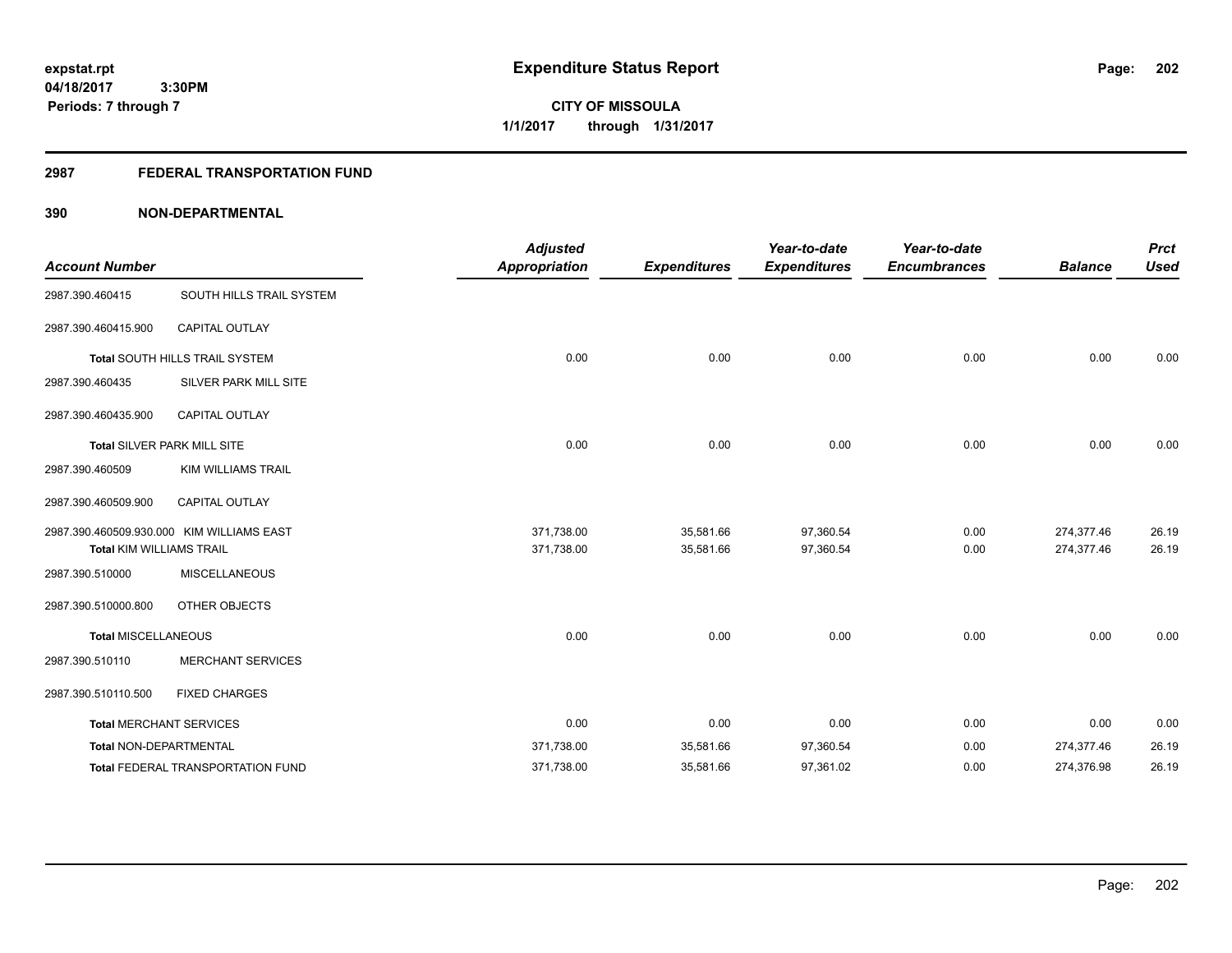## **2987 FEDERAL TRANSPORTATION FUND**

|                                 |                                           | <b>Adjusted</b>      |                     | Year-to-date        | Year-to-date        |                | <b>Prct</b> |
|---------------------------------|-------------------------------------------|----------------------|---------------------|---------------------|---------------------|----------------|-------------|
| <b>Account Number</b>           |                                           | <b>Appropriation</b> | <b>Expenditures</b> | <b>Expenditures</b> | <b>Encumbrances</b> | <b>Balance</b> | <b>Used</b> |
| 2987.390.460415                 | SOUTH HILLS TRAIL SYSTEM                  |                      |                     |                     |                     |                |             |
| 2987.390.460415.900             | <b>CAPITAL OUTLAY</b>                     |                      |                     |                     |                     |                |             |
|                                 | Total SOUTH HILLS TRAIL SYSTEM            | 0.00                 | 0.00                | 0.00                | 0.00                | 0.00           | 0.00        |
| 2987.390.460435                 | SILVER PARK MILL SITE                     |                      |                     |                     |                     |                |             |
| 2987.390.460435.900             | <b>CAPITAL OUTLAY</b>                     |                      |                     |                     |                     |                |             |
|                                 | Total SILVER PARK MILL SITE               | 0.00                 | 0.00                | 0.00                | 0.00                | 0.00           | 0.00        |
| 2987.390.460509                 | <b>KIM WILLIAMS TRAIL</b>                 |                      |                     |                     |                     |                |             |
| 2987.390.460509.900             | <b>CAPITAL OUTLAY</b>                     |                      |                     |                     |                     |                |             |
|                                 | 2987.390.460509.930.000 KIM WILLIAMS EAST | 371,738.00           | 35,581.66           | 97,360.54           | 0.00                | 274,377.46     | 26.19       |
| <b>Total KIM WILLIAMS TRAIL</b> |                                           | 371,738.00           | 35,581.66           | 97,360.54           | 0.00                | 274,377.46     | 26.19       |
| 2987.390.510000                 | <b>MISCELLANEOUS</b>                      |                      |                     |                     |                     |                |             |
| 2987.390.510000.800             | OTHER OBJECTS                             |                      |                     |                     |                     |                |             |
| <b>Total MISCELLANEOUS</b>      |                                           | 0.00                 | 0.00                | 0.00                | 0.00                | 0.00           | 0.00        |
| 2987.390.510110                 | <b>MERCHANT SERVICES</b>                  |                      |                     |                     |                     |                |             |
| 2987.390.510110.500             | <b>FIXED CHARGES</b>                      |                      |                     |                     |                     |                |             |
|                                 | <b>Total MERCHANT SERVICES</b>            | 0.00                 | 0.00                | 0.00                | 0.00                | 0.00           | 0.00        |
| Total NON-DEPARTMENTAL          |                                           | 371,738.00           | 35,581.66           | 97,360.54           | 0.00                | 274,377.46     | 26.19       |
|                                 | Total FEDERAL TRANSPORTATION FUND         | 371,738.00           | 35,581.66           | 97,361.02           | 0.00                | 274,376.98     | 26.19       |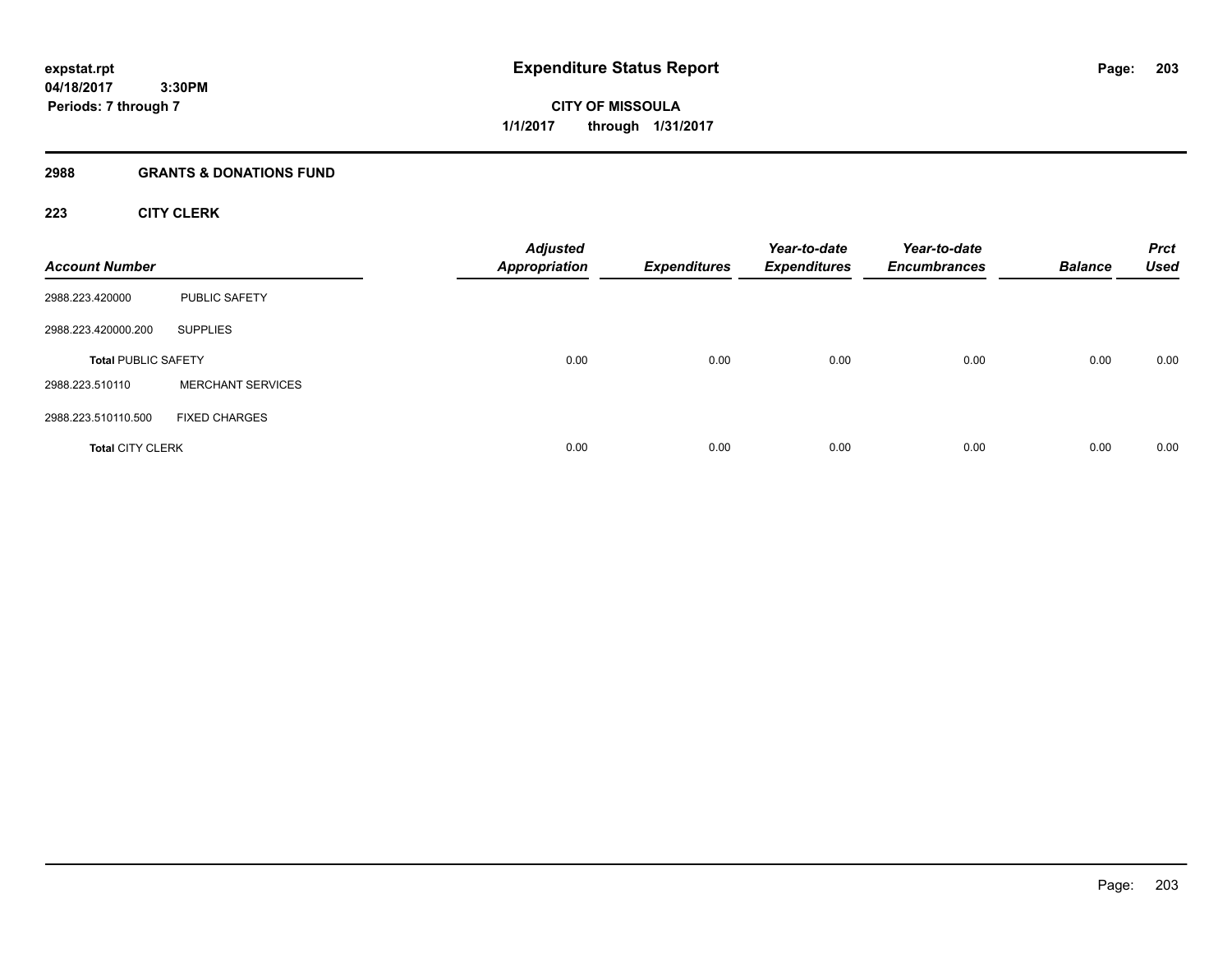## **2988 GRANTS & DONATIONS FUND**

## **223 CITY CLERK**

| <b>Account Number</b>      |                          | <b>Adjusted</b><br><b>Appropriation</b> | <b>Expenditures</b> | Year-to-date<br><b>Expenditures</b> | Year-to-date<br><b>Encumbrances</b> | <b>Balance</b> | <b>Prct</b><br><b>Used</b> |
|----------------------------|--------------------------|-----------------------------------------|---------------------|-------------------------------------|-------------------------------------|----------------|----------------------------|
| 2988.223.420000            | <b>PUBLIC SAFETY</b>     |                                         |                     |                                     |                                     |                |                            |
| 2988.223.420000.200        | <b>SUPPLIES</b>          |                                         |                     |                                     |                                     |                |                            |
| <b>Total PUBLIC SAFETY</b> |                          | 0.00                                    | 0.00                | 0.00                                | 0.00                                | 0.00           | 0.00                       |
| 2988.223.510110            | <b>MERCHANT SERVICES</b> |                                         |                     |                                     |                                     |                |                            |
| 2988.223.510110.500        | <b>FIXED CHARGES</b>     |                                         |                     |                                     |                                     |                |                            |
| <b>Total CITY CLERK</b>    |                          | 0.00                                    | 0.00                | 0.00                                | 0.00                                | 0.00           | 0.00                       |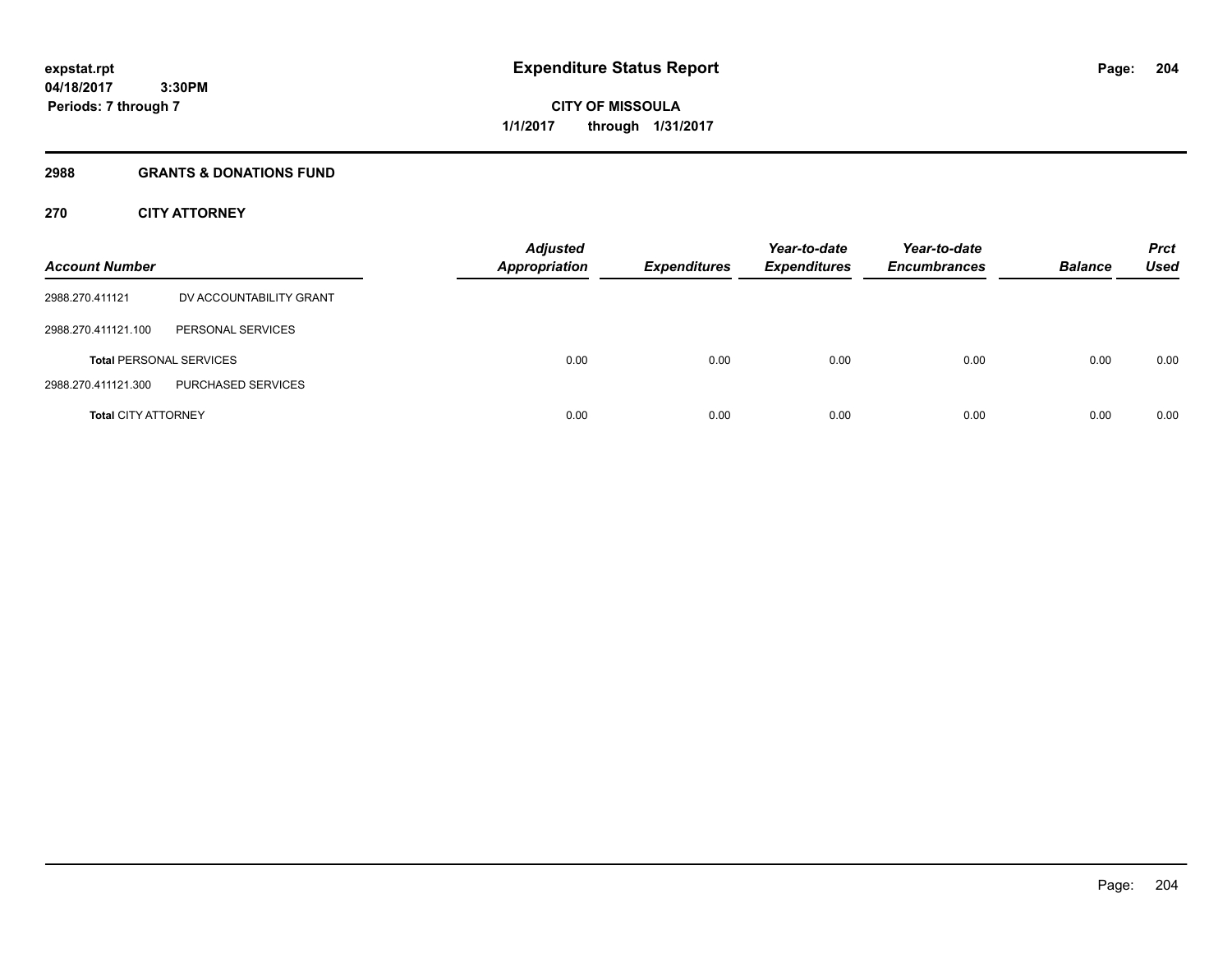**Periods: 7 through 7**

**CITY OF MISSOULA 1/1/2017 through 1/31/2017**

#### **2988 GRANTS & DONATIONS FUND**

 **3:30PM**

## **270 CITY ATTORNEY**

| <b>Account Number</b>          |                         | <b>Adjusted</b><br><b>Appropriation</b> | <b>Expenditures</b> | Year-to-date<br><b>Expenditures</b> | Year-to-date<br><b>Encumbrances</b> | <b>Balance</b> | <b>Prct</b><br><b>Used</b> |
|--------------------------------|-------------------------|-----------------------------------------|---------------------|-------------------------------------|-------------------------------------|----------------|----------------------------|
| 2988.270.411121                | DV ACCOUNTABILITY GRANT |                                         |                     |                                     |                                     |                |                            |
| 2988.270.411121.100            | PERSONAL SERVICES       |                                         |                     |                                     |                                     |                |                            |
| <b>Total PERSONAL SERVICES</b> |                         | 0.00                                    | 0.00                | 0.00                                | 0.00                                | 0.00           | 0.00                       |
| 2988.270.411121.300            | PURCHASED SERVICES      |                                         |                     |                                     |                                     |                |                            |
| <b>Total CITY ATTORNEY</b>     |                         | 0.00                                    | 0.00                | 0.00                                | 0.00                                | 0.00           | 0.00                       |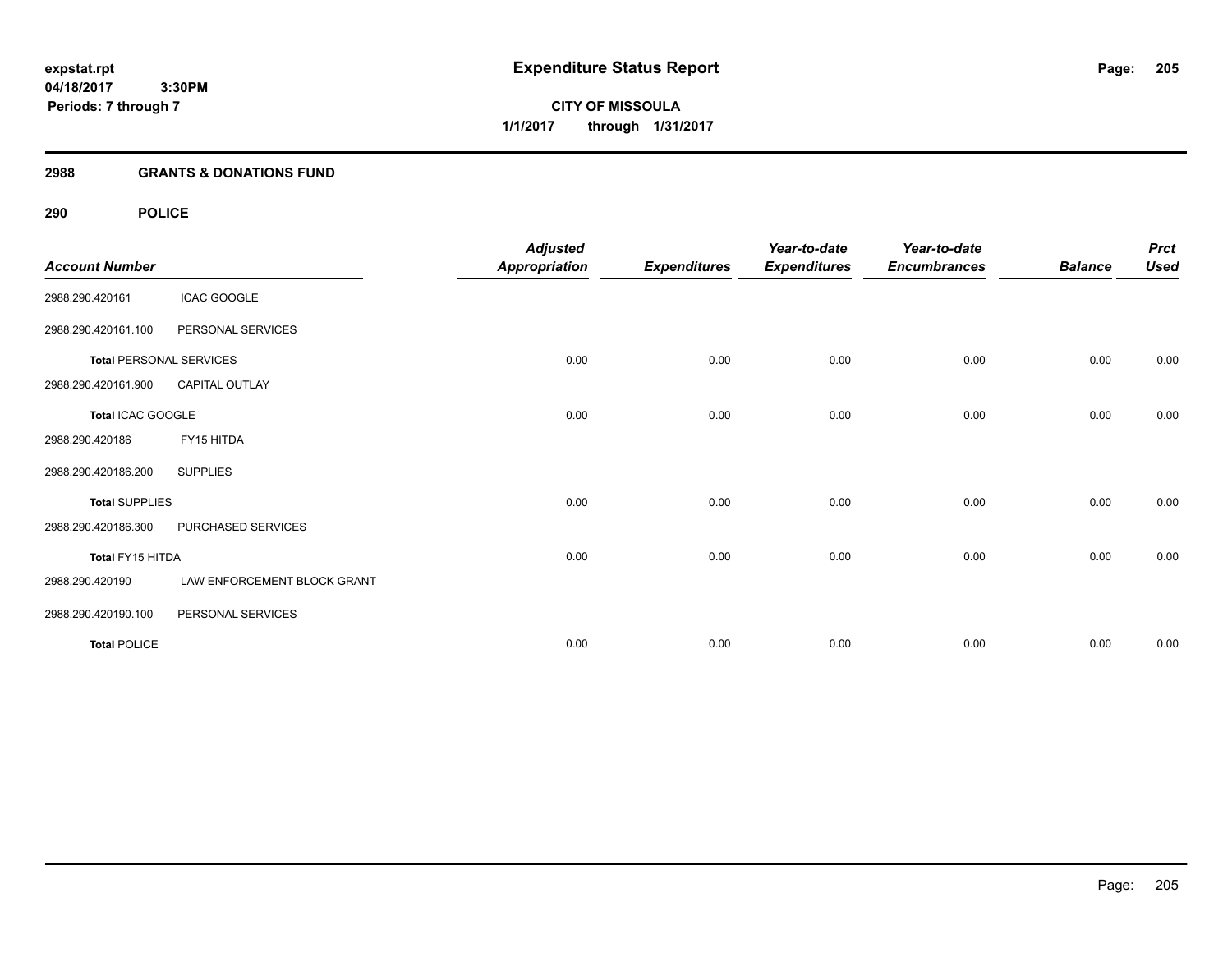## **2988 GRANTS & DONATIONS FUND**

## **290 POLICE**

| <b>Account Number</b> |                                | <b>Adjusted</b><br><b>Appropriation</b> | <b>Expenditures</b> | Year-to-date<br><b>Expenditures</b> | Year-to-date<br><b>Encumbrances</b> | <b>Balance</b> | <b>Prct</b><br><b>Used</b> |
|-----------------------|--------------------------------|-----------------------------------------|---------------------|-------------------------------------|-------------------------------------|----------------|----------------------------|
| 2988.290.420161       | <b>ICAC GOOGLE</b>             |                                         |                     |                                     |                                     |                |                            |
| 2988.290.420161.100   | PERSONAL SERVICES              |                                         |                     |                                     |                                     |                |                            |
|                       | <b>Total PERSONAL SERVICES</b> | 0.00                                    | 0.00                | 0.00                                | 0.00                                | 0.00           | 0.00                       |
| 2988.290.420161.900   | CAPITAL OUTLAY                 |                                         |                     |                                     |                                     |                |                            |
| Total ICAC GOOGLE     |                                | 0.00                                    | 0.00                | 0.00                                | 0.00                                | 0.00           | 0.00                       |
| 2988.290.420186       | FY15 HITDA                     |                                         |                     |                                     |                                     |                |                            |
| 2988.290.420186.200   | <b>SUPPLIES</b>                |                                         |                     |                                     |                                     |                |                            |
| <b>Total SUPPLIES</b> |                                | 0.00                                    | 0.00                | 0.00                                | 0.00                                | 0.00           | 0.00                       |
| 2988.290.420186.300   | PURCHASED SERVICES             |                                         |                     |                                     |                                     |                |                            |
| Total FY15 HITDA      |                                | 0.00                                    | 0.00                | 0.00                                | 0.00                                | 0.00           | 0.00                       |
| 2988.290.420190       | LAW ENFORCEMENT BLOCK GRANT    |                                         |                     |                                     |                                     |                |                            |
| 2988.290.420190.100   | PERSONAL SERVICES              |                                         |                     |                                     |                                     |                |                            |
| <b>Total POLICE</b>   |                                | 0.00                                    | 0.00                | 0.00                                | 0.00                                | 0.00           | 0.00                       |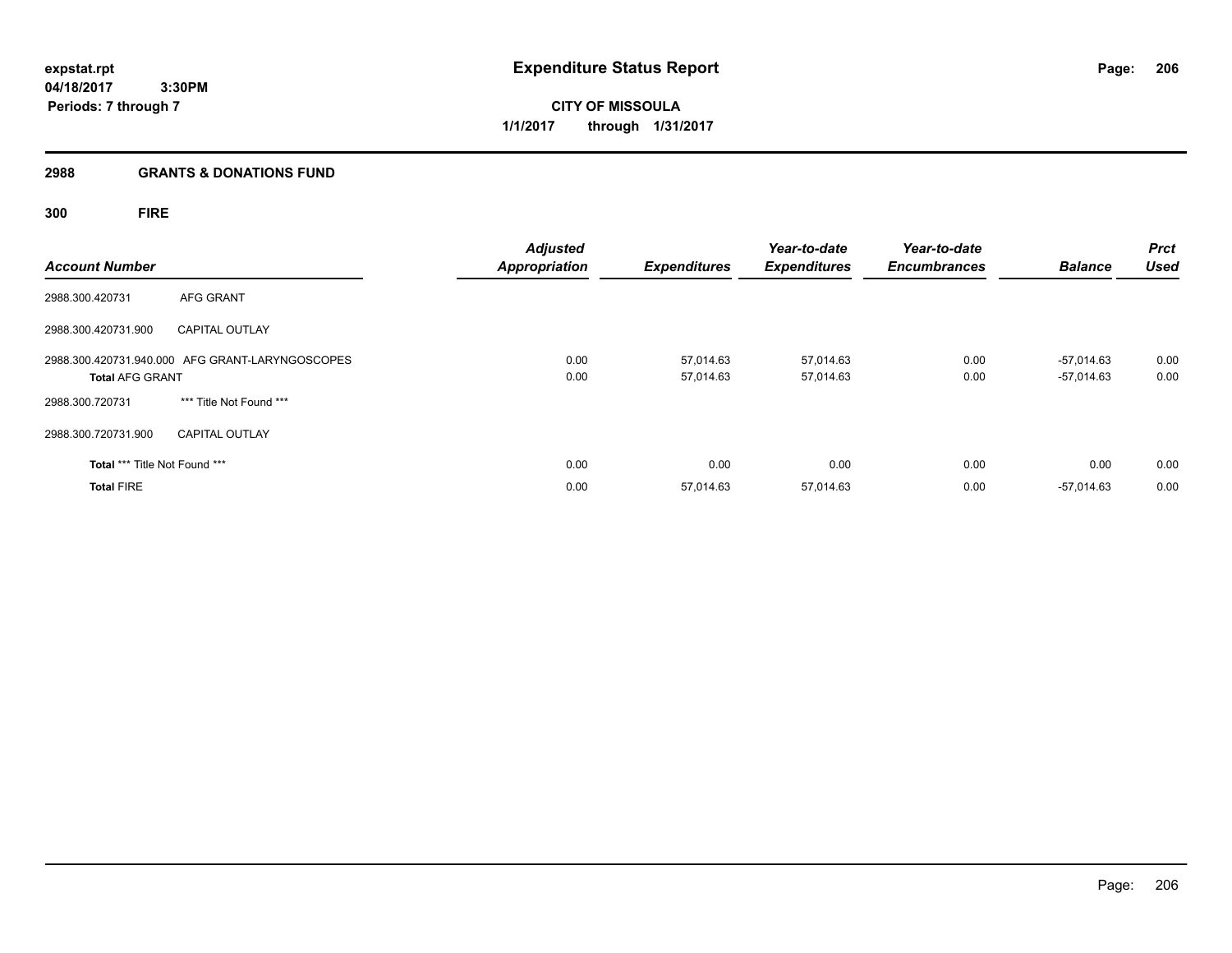**CITY OF MISSOULA 1/1/2017 through 1/31/2017**

## **2988 GRANTS & DONATIONS FUND**

**300 FIRE**

| <b>Account Number</b>         |                                                 | <b>Adjusted</b><br><b>Appropriation</b> | <b>Expenditures</b>    | Year-to-date<br><b>Expenditures</b> | Year-to-date<br><b>Encumbrances</b> | <b>Balance</b>               | <b>Prct</b><br><b>Used</b> |
|-------------------------------|-------------------------------------------------|-----------------------------------------|------------------------|-------------------------------------|-------------------------------------|------------------------------|----------------------------|
| 2988.300.420731               | AFG GRANT                                       |                                         |                        |                                     |                                     |                              |                            |
| 2988.300.420731.900           | <b>CAPITAL OUTLAY</b>                           |                                         |                        |                                     |                                     |                              |                            |
| <b>Total AFG GRANT</b>        | 2988.300.420731.940.000 AFG GRANT-LARYNGOSCOPES | 0.00<br>0.00                            | 57,014.63<br>57,014.63 | 57,014.63<br>57,014.63              | 0.00<br>0.00                        | $-57,014.63$<br>$-57,014.63$ | 0.00<br>0.00               |
| 2988.300.720731               | *** Title Not Found ***                         |                                         |                        |                                     |                                     |                              |                            |
| 2988.300.720731.900           | <b>CAPITAL OUTLAY</b>                           |                                         |                        |                                     |                                     |                              |                            |
| Total *** Title Not Found *** |                                                 | 0.00                                    | 0.00                   | 0.00                                | 0.00                                | 0.00                         | 0.00                       |
| <b>Total FIRE</b>             |                                                 | 0.00                                    | 57,014.63              | 57,014.63                           | 0.00                                | $-57,014.63$                 | 0.00                       |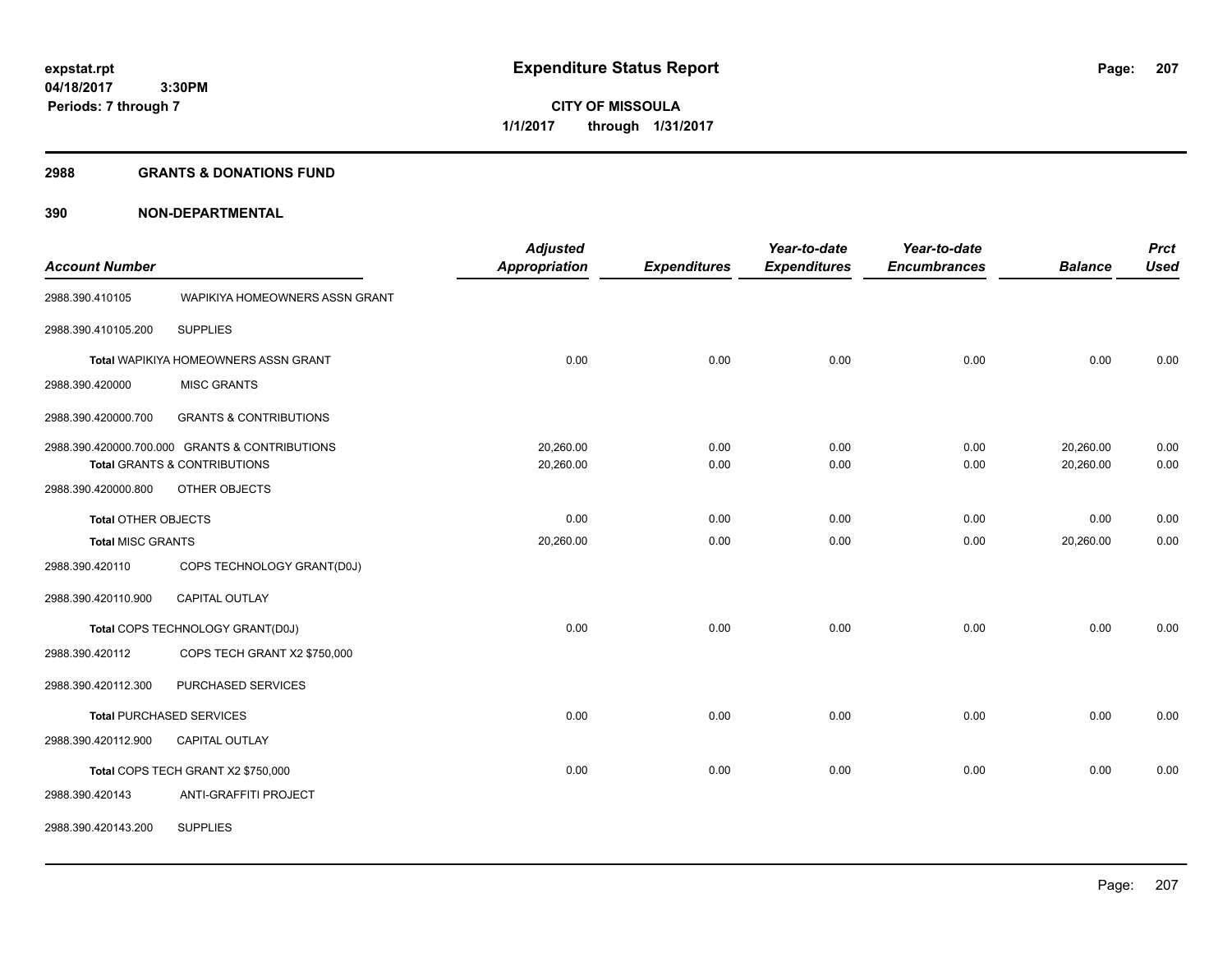#### **2988 GRANTS & DONATIONS FUND**

|                            |                                                | <b>Adjusted</b>      |                     | Year-to-date        | Year-to-date        |                | <b>Prct</b> |
|----------------------------|------------------------------------------------|----------------------|---------------------|---------------------|---------------------|----------------|-------------|
| <b>Account Number</b>      |                                                | <b>Appropriation</b> | <b>Expenditures</b> | <b>Expenditures</b> | <b>Encumbrances</b> | <b>Balance</b> | <b>Used</b> |
| 2988.390.410105            | WAPIKIYA HOMEOWNERS ASSN GRANT                 |                      |                     |                     |                     |                |             |
| 2988.390.410105.200        | <b>SUPPLIES</b>                                |                      |                     |                     |                     |                |             |
|                            | Total WAPIKIYA HOMEOWNERS ASSN GRANT           | 0.00                 | 0.00                | 0.00                | 0.00                | 0.00           | 0.00        |
| 2988.390.420000            | <b>MISC GRANTS</b>                             |                      |                     |                     |                     |                |             |
| 2988.390.420000.700        | <b>GRANTS &amp; CONTRIBUTIONS</b>              |                      |                     |                     |                     |                |             |
|                            | 2988.390.420000.700.000 GRANTS & CONTRIBUTIONS | 20,260.00            | 0.00                | 0.00                | 0.00                | 20,260.00      | 0.00        |
|                            | <b>Total GRANTS &amp; CONTRIBUTIONS</b>        | 20,260.00            | 0.00                | 0.00                | 0.00                | 20,260.00      | 0.00        |
| 2988.390.420000.800        | OTHER OBJECTS                                  |                      |                     |                     |                     |                |             |
| <b>Total OTHER OBJECTS</b> |                                                | 0.00                 | 0.00                | 0.00                | 0.00                | 0.00           | 0.00        |
| <b>Total MISC GRANTS</b>   |                                                | 20,260.00            | 0.00                | 0.00                | 0.00                | 20,260.00      | 0.00        |
| 2988.390.420110            | COPS TECHNOLOGY GRANT(D0J)                     |                      |                     |                     |                     |                |             |
| 2988.390.420110.900        | CAPITAL OUTLAY                                 |                      |                     |                     |                     |                |             |
|                            | Total COPS TECHNOLOGY GRANT(D0J)               | 0.00                 | 0.00                | 0.00                | 0.00                | 0.00           | 0.00        |
| 2988.390.420112            | COPS TECH GRANT X2 \$750,000                   |                      |                     |                     |                     |                |             |
| 2988.390.420112.300        | PURCHASED SERVICES                             |                      |                     |                     |                     |                |             |
|                            | <b>Total PURCHASED SERVICES</b>                | 0.00                 | 0.00                | 0.00                | 0.00                | 0.00           | 0.00        |
| 2988.390.420112.900        | CAPITAL OUTLAY                                 |                      |                     |                     |                     |                |             |
|                            | Total COPS TECH GRANT X2 \$750,000             | 0.00                 | 0.00                | 0.00                | 0.00                | 0.00           | 0.00        |
| 2988.390.420143            | <b>ANTI-GRAFFITI PROJECT</b>                   |                      |                     |                     |                     |                |             |
| 2988.390.420143.200        | <b>SUPPLIES</b>                                |                      |                     |                     |                     |                |             |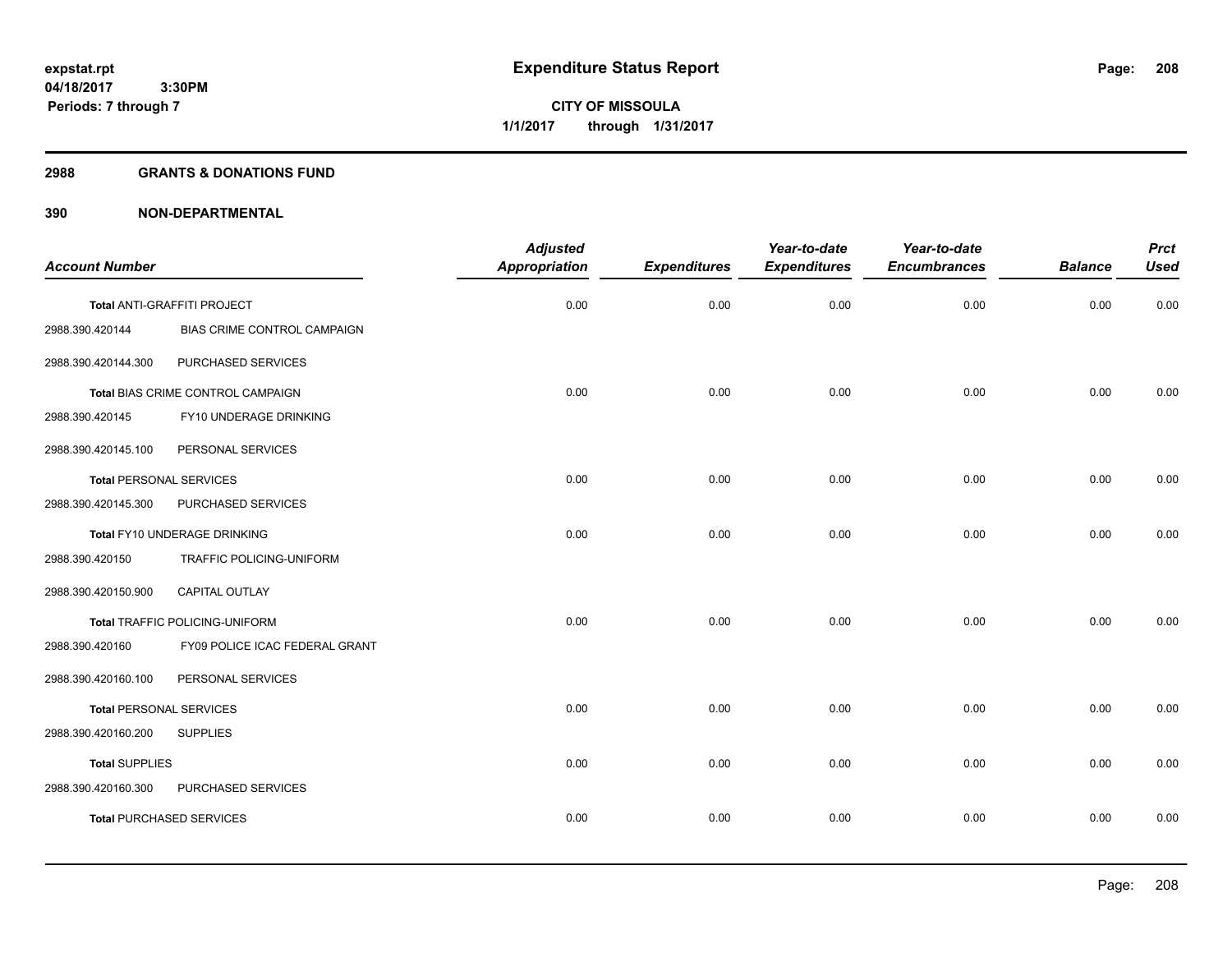#### **2988 GRANTS & DONATIONS FUND**

|                                |                                   | <b>Adjusted</b>      |                     | Year-to-date        | Year-to-date        |                | <b>Prct</b> |
|--------------------------------|-----------------------------------|----------------------|---------------------|---------------------|---------------------|----------------|-------------|
| <b>Account Number</b>          |                                   | <b>Appropriation</b> | <b>Expenditures</b> | <b>Expenditures</b> | <b>Encumbrances</b> | <b>Balance</b> | <b>Used</b> |
|                                | Total ANTI-GRAFFITI PROJECT       | 0.00                 | 0.00                | 0.00                | 0.00                | 0.00           | 0.00        |
| 2988.390.420144                | BIAS CRIME CONTROL CAMPAIGN       |                      |                     |                     |                     |                |             |
| 2988.390.420144.300            | PURCHASED SERVICES                |                      |                     |                     |                     |                |             |
|                                | Total BIAS CRIME CONTROL CAMPAIGN | 0.00                 | 0.00                | 0.00                | 0.00                | 0.00           | 0.00        |
| 2988.390.420145                | FY10 UNDERAGE DRINKING            |                      |                     |                     |                     |                |             |
| 2988.390.420145.100            | PERSONAL SERVICES                 |                      |                     |                     |                     |                |             |
| <b>Total PERSONAL SERVICES</b> |                                   | 0.00                 | 0.00                | 0.00                | 0.00                | 0.00           | 0.00        |
| 2988.390.420145.300            | PURCHASED SERVICES                |                      |                     |                     |                     |                |             |
|                                | Total FY10 UNDERAGE DRINKING      | 0.00                 | 0.00                | 0.00                | 0.00                | 0.00           | 0.00        |
| 2988.390.420150                | TRAFFIC POLICING-UNIFORM          |                      |                     |                     |                     |                |             |
| 2988.390.420150.900            | <b>CAPITAL OUTLAY</b>             |                      |                     |                     |                     |                |             |
|                                | Total TRAFFIC POLICING-UNIFORM    | 0.00                 | 0.00                | 0.00                | 0.00                | 0.00           | 0.00        |
| 2988.390.420160                | FY09 POLICE ICAC FEDERAL GRANT    |                      |                     |                     |                     |                |             |
| 2988.390.420160.100            | PERSONAL SERVICES                 |                      |                     |                     |                     |                |             |
| <b>Total PERSONAL SERVICES</b> |                                   | 0.00                 | 0.00                | 0.00                | 0.00                | 0.00           | 0.00        |
| 2988.390.420160.200            | <b>SUPPLIES</b>                   |                      |                     |                     |                     |                |             |
| <b>Total SUPPLIES</b>          |                                   | 0.00                 | 0.00                | 0.00                | 0.00                | 0.00           | 0.00        |
| 2988.390.420160.300            | PURCHASED SERVICES                |                      |                     |                     |                     |                |             |
|                                | <b>Total PURCHASED SERVICES</b>   | 0.00                 | 0.00                | 0.00                | 0.00                | 0.00           | 0.00        |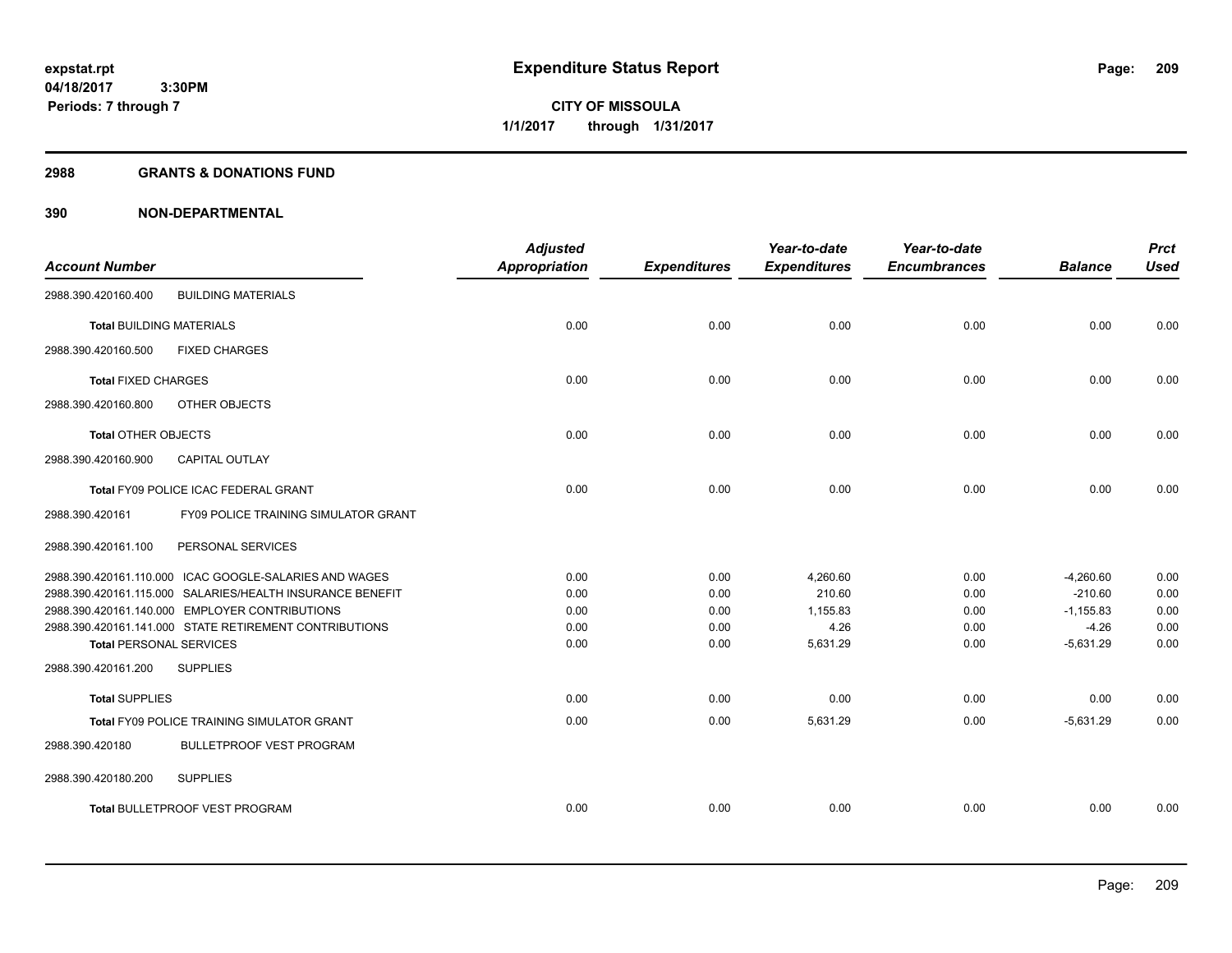**209**

**04/18/2017 3:30PM Periods: 7 through 7**

**CITY OF MISSOULA 1/1/2017 through 1/31/2017**

#### **2988 GRANTS & DONATIONS FUND**

|                                 |                                                           | <b>Adjusted</b>      |                     | Year-to-date        | Year-to-date        |                | <b>Prct</b> |
|---------------------------------|-----------------------------------------------------------|----------------------|---------------------|---------------------|---------------------|----------------|-------------|
| <b>Account Number</b>           |                                                           | <b>Appropriation</b> | <b>Expenditures</b> | <b>Expenditures</b> | <b>Encumbrances</b> | <b>Balance</b> | <b>Used</b> |
| 2988.390.420160.400             | <b>BUILDING MATERIALS</b>                                 |                      |                     |                     |                     |                |             |
| <b>Total BUILDING MATERIALS</b> |                                                           | 0.00                 | 0.00                | 0.00                | 0.00                | 0.00           | 0.00        |
| 2988.390.420160.500             | <b>FIXED CHARGES</b>                                      |                      |                     |                     |                     |                |             |
| <b>Total FIXED CHARGES</b>      |                                                           | 0.00                 | 0.00                | 0.00                | 0.00                | 0.00           | 0.00        |
| 2988.390.420160.800             | OTHER OBJECTS                                             |                      |                     |                     |                     |                |             |
| <b>Total OTHER OBJECTS</b>      |                                                           | 0.00                 | 0.00                | 0.00                | 0.00                | 0.00           | 0.00        |
| 2988.390.420160.900             | CAPITAL OUTLAY                                            |                      |                     |                     |                     |                |             |
|                                 | Total FY09 POLICE ICAC FEDERAL GRANT                      | 0.00                 | 0.00                | 0.00                | 0.00                | 0.00           | 0.00        |
| 2988.390.420161                 | <b>FY09 POLICE TRAINING SIMULATOR GRANT</b>               |                      |                     |                     |                     |                |             |
| 2988.390.420161.100             | PERSONAL SERVICES                                         |                      |                     |                     |                     |                |             |
|                                 | 2988.390.420161.110.000 ICAC GOOGLE-SALARIES AND WAGES    | 0.00                 | 0.00                | 4,260.60            | 0.00                | $-4,260.60$    | 0.00        |
|                                 | 2988.390.420161.115.000 SALARIES/HEALTH INSURANCE BENEFIT | 0.00                 | 0.00                | 210.60              | 0.00                | $-210.60$      | 0.00        |
|                                 | 2988.390.420161.140.000 EMPLOYER CONTRIBUTIONS            | 0.00                 | 0.00                | 1,155.83            | 0.00                | $-1,155.83$    | 0.00        |
|                                 | 2988.390.420161.141.000 STATE RETIREMENT CONTRIBUTIONS    | 0.00                 | 0.00                | 4.26                | 0.00                | $-4.26$        | 0.00        |
| <b>Total PERSONAL SERVICES</b>  |                                                           | 0.00                 | 0.00                | 5,631.29            | 0.00                | $-5,631.29$    | 0.00        |
| 2988.390.420161.200             | <b>SUPPLIES</b>                                           |                      |                     |                     |                     |                |             |
| <b>Total SUPPLIES</b>           |                                                           | 0.00                 | 0.00                | 0.00                | 0.00                | 0.00           | 0.00        |
|                                 | <b>Total FY09 POLICE TRAINING SIMULATOR GRANT</b>         | 0.00                 | 0.00                | 5,631.29            | 0.00                | $-5.631.29$    | 0.00        |
| 2988.390.420180                 | <b>BULLETPROOF VEST PROGRAM</b>                           |                      |                     |                     |                     |                |             |
| 2988.390.420180.200             | <b>SUPPLIES</b>                                           |                      |                     |                     |                     |                |             |
|                                 | Total BULLETPROOF VEST PROGRAM                            | 0.00                 | 0.00                | 0.00                | 0.00                | 0.00           | 0.00        |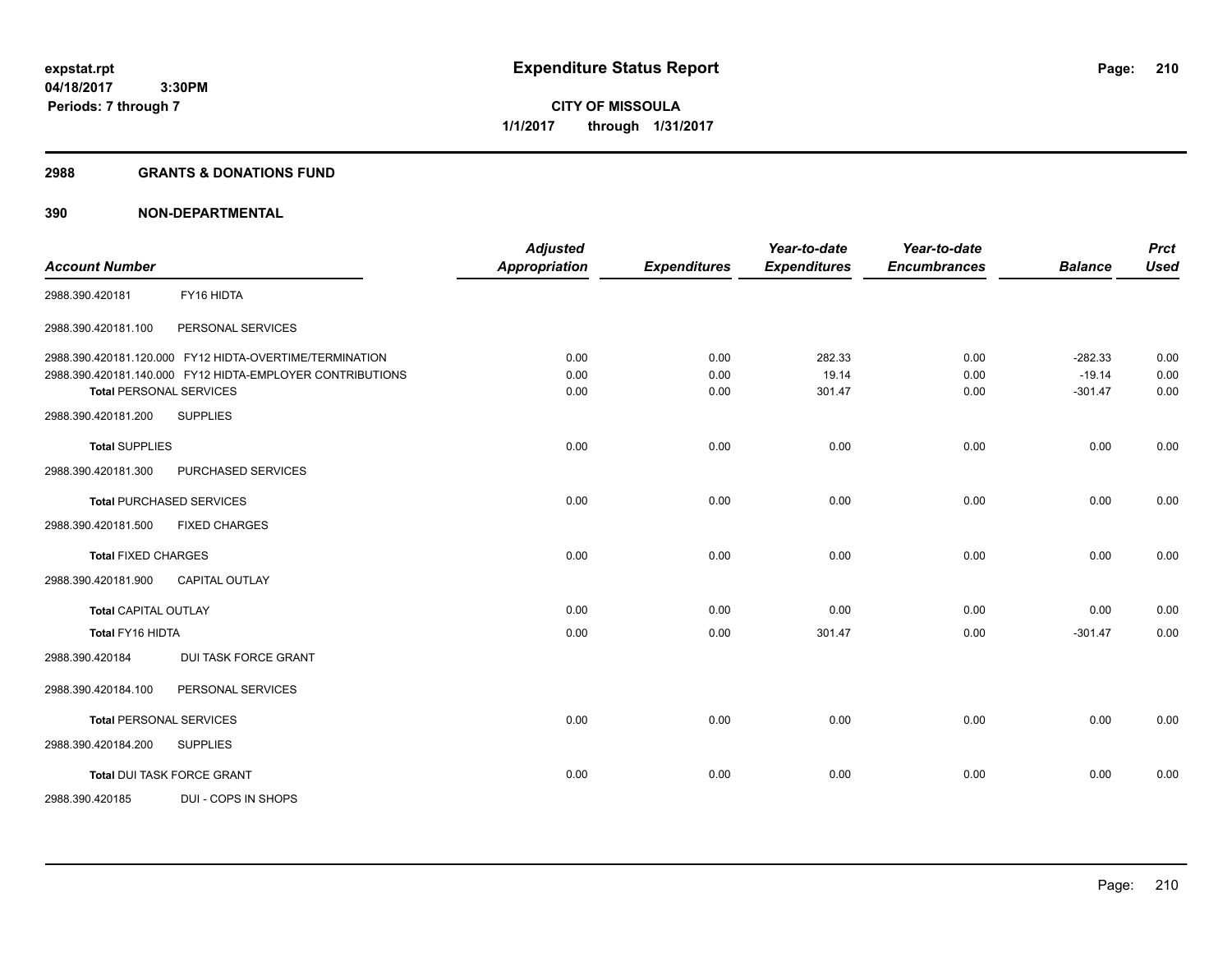#### **2988 GRANTS & DONATIONS FUND**

| <b>Account Number</b>          |                                                           | <b>Adjusted</b><br><b>Appropriation</b> |                     | Year-to-date        | Year-to-date        | <b>Balance</b> | <b>Prct</b><br><b>Used</b> |
|--------------------------------|-----------------------------------------------------------|-----------------------------------------|---------------------|---------------------|---------------------|----------------|----------------------------|
|                                |                                                           |                                         | <b>Expenditures</b> | <b>Expenditures</b> | <b>Encumbrances</b> |                |                            |
| 2988.390.420181                | FY16 HIDTA                                                |                                         |                     |                     |                     |                |                            |
| 2988.390.420181.100            | PERSONAL SERVICES                                         |                                         |                     |                     |                     |                |                            |
|                                | 2988.390.420181.120.000 FY12 HIDTA-OVERTIME/TERMINATION   | 0.00                                    | 0.00                | 282.33              | 0.00                | $-282.33$      | 0.00                       |
|                                | 2988.390.420181.140.000 FY12 HIDTA-EMPLOYER CONTRIBUTIONS | 0.00                                    | 0.00                | 19.14               | 0.00                | $-19.14$       | 0.00                       |
| <b>Total PERSONAL SERVICES</b> |                                                           | 0.00                                    | 0.00                | 301.47              | 0.00                | $-301.47$      | 0.00                       |
| 2988.390.420181.200            | <b>SUPPLIES</b>                                           |                                         |                     |                     |                     |                |                            |
| <b>Total SUPPLIES</b>          |                                                           | 0.00                                    | 0.00                | 0.00                | 0.00                | 0.00           | 0.00                       |
| 2988.390.420181.300            | PURCHASED SERVICES                                        |                                         |                     |                     |                     |                |                            |
|                                | <b>Total PURCHASED SERVICES</b>                           | 0.00                                    | 0.00                | 0.00                | 0.00                | 0.00           | 0.00                       |
| 2988.390.420181.500            | <b>FIXED CHARGES</b>                                      |                                         |                     |                     |                     |                |                            |
| <b>Total FIXED CHARGES</b>     |                                                           | 0.00                                    | 0.00                | 0.00                | 0.00                | 0.00           | 0.00                       |
| 2988.390.420181.900            | <b>CAPITAL OUTLAY</b>                                     |                                         |                     |                     |                     |                |                            |
| <b>Total CAPITAL OUTLAY</b>    |                                                           | 0.00                                    | 0.00                | 0.00                | 0.00                | 0.00           | 0.00                       |
| Total FY16 HIDTA               |                                                           | 0.00                                    | 0.00                | 301.47              | 0.00                | $-301.47$      | 0.00                       |
| 2988.390.420184                | DUI TASK FORCE GRANT                                      |                                         |                     |                     |                     |                |                            |
| 2988.390.420184.100            | PERSONAL SERVICES                                         |                                         |                     |                     |                     |                |                            |
| <b>Total PERSONAL SERVICES</b> |                                                           | 0.00                                    | 0.00                | 0.00                | 0.00                | 0.00           | 0.00                       |
| 2988.390.420184.200            | <b>SUPPLIES</b>                                           |                                         |                     |                     |                     |                |                            |
|                                | <b>Total DUI TASK FORCE GRANT</b>                         | 0.00                                    | 0.00                | 0.00                | 0.00                | 0.00           | 0.00                       |
| 2988.390.420185                | DUI - COPS IN SHOPS                                       |                                         |                     |                     |                     |                |                            |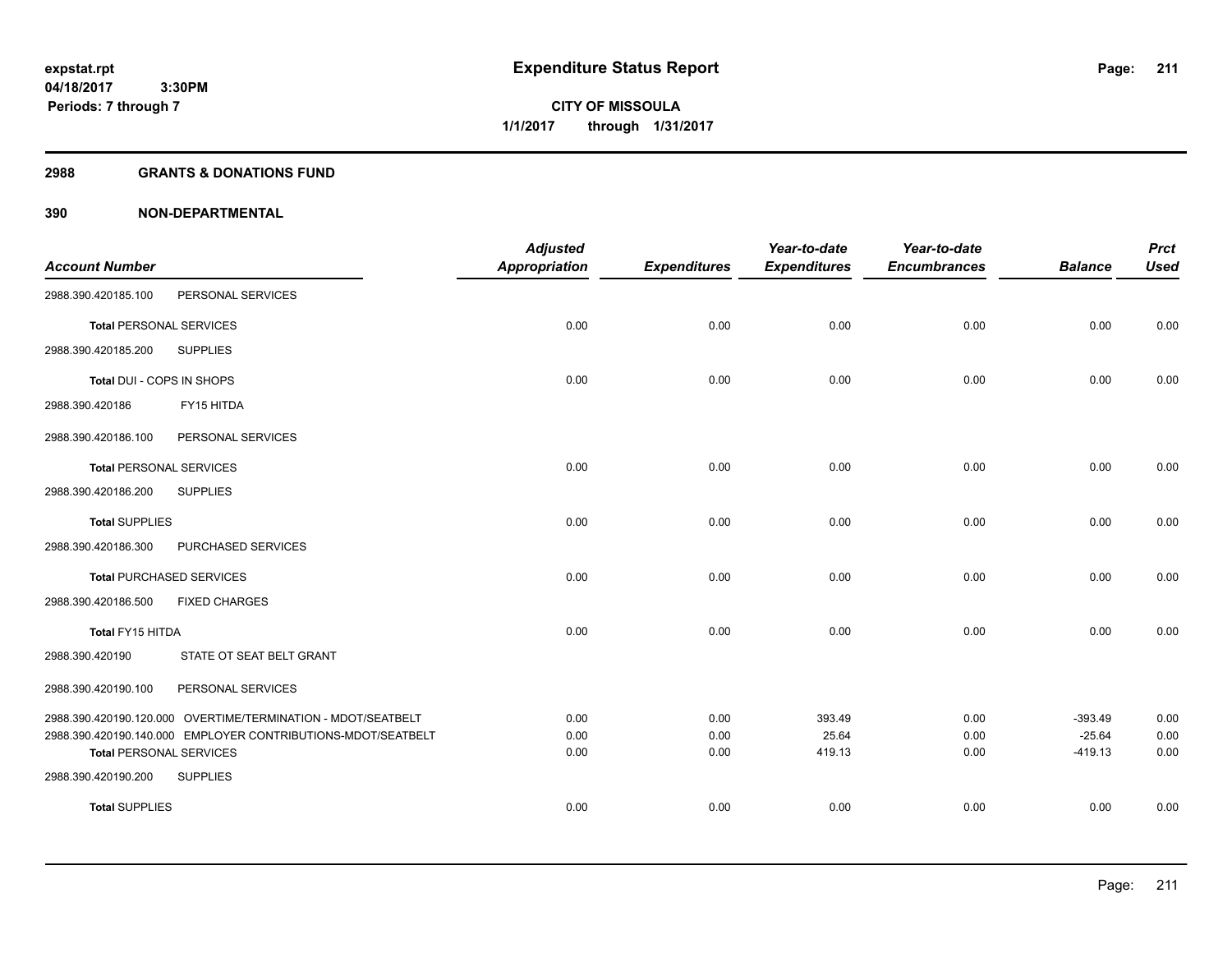#### **2988 GRANTS & DONATIONS FUND**

| <b>Account Number</b>          |                                                              | <b>Adjusted</b><br>Appropriation | <b>Expenditures</b> | Year-to-date<br><b>Expenditures</b> | Year-to-date<br><b>Encumbrances</b> | <b>Balance</b>        | <b>Prct</b><br><b>Used</b> |
|--------------------------------|--------------------------------------------------------------|----------------------------------|---------------------|-------------------------------------|-------------------------------------|-----------------------|----------------------------|
| 2988.390.420185.100            | PERSONAL SERVICES                                            |                                  |                     |                                     |                                     |                       |                            |
| <b>Total PERSONAL SERVICES</b> |                                                              | 0.00                             | 0.00                | 0.00                                | 0.00                                | 0.00                  | 0.00                       |
| 2988.390.420185.200            | <b>SUPPLIES</b>                                              |                                  |                     |                                     |                                     |                       |                            |
| Total DUI - COPS IN SHOPS      |                                                              | 0.00                             | 0.00                | 0.00                                | 0.00                                | 0.00                  | 0.00                       |
| 2988.390.420186                | FY15 HITDA                                                   |                                  |                     |                                     |                                     |                       |                            |
| 2988.390.420186.100            | PERSONAL SERVICES                                            |                                  |                     |                                     |                                     |                       |                            |
| <b>Total PERSONAL SERVICES</b> |                                                              | 0.00                             | 0.00                | 0.00                                | 0.00                                | 0.00                  | 0.00                       |
| 2988.390.420186.200            | <b>SUPPLIES</b>                                              |                                  |                     |                                     |                                     |                       |                            |
| <b>Total SUPPLIES</b>          |                                                              | 0.00                             | 0.00                | 0.00                                | 0.00                                | 0.00                  | 0.00                       |
| 2988.390.420186.300            | PURCHASED SERVICES                                           |                                  |                     |                                     |                                     |                       |                            |
|                                | <b>Total PURCHASED SERVICES</b>                              | 0.00                             | 0.00                | 0.00                                | 0.00                                | 0.00                  | 0.00                       |
| 2988.390.420186.500            | <b>FIXED CHARGES</b>                                         |                                  |                     |                                     |                                     |                       |                            |
| Total FY15 HITDA               |                                                              | 0.00                             | 0.00                | 0.00                                | 0.00                                | 0.00                  | 0.00                       |
| 2988.390.420190                | STATE OT SEAT BELT GRANT                                     |                                  |                     |                                     |                                     |                       |                            |
| 2988.390.420190.100            | PERSONAL SERVICES                                            |                                  |                     |                                     |                                     |                       |                            |
|                                | 2988.390.420190.120.000 OVERTIME/TERMINATION - MDOT/SEATBELT | 0.00                             | 0.00                | 393.49                              | 0.00                                | $-393.49$             | 0.00                       |
| <b>Total PERSONAL SERVICES</b> | 2988.390.420190.140.000 EMPLOYER CONTRIBUTIONS-MDOT/SEATBELT | 0.00<br>0.00                     | 0.00<br>0.00        | 25.64<br>419.13                     | 0.00<br>0.00                        | $-25.64$<br>$-419.13$ | 0.00<br>0.00               |
| 2988.390.420190.200            | <b>SUPPLIES</b>                                              |                                  |                     |                                     |                                     |                       |                            |
| <b>Total SUPPLIES</b>          |                                                              | 0.00                             | 0.00                | 0.00                                | 0.00                                | 0.00                  | 0.00                       |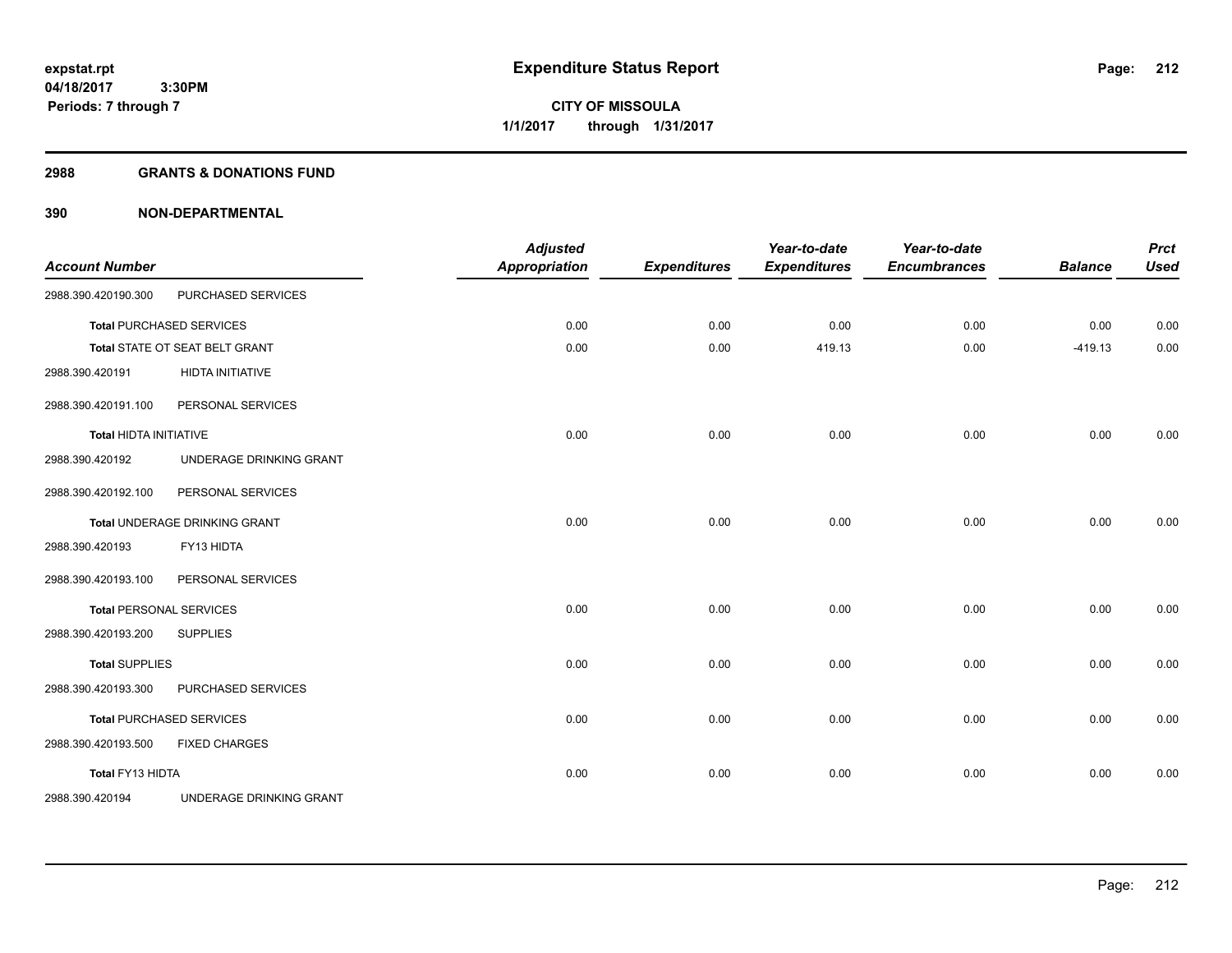#### **2988 GRANTS & DONATIONS FUND**

| <b>Account Number</b>         |                                 | <b>Adjusted</b><br><b>Appropriation</b> | <b>Expenditures</b> | Year-to-date<br><b>Expenditures</b> | Year-to-date<br><b>Encumbrances</b> | <b>Balance</b> | <b>Prct</b><br><b>Used</b> |
|-------------------------------|---------------------------------|-----------------------------------------|---------------------|-------------------------------------|-------------------------------------|----------------|----------------------------|
| 2988.390.420190.300           | PURCHASED SERVICES              |                                         |                     |                                     |                                     |                |                            |
|                               | <b>Total PURCHASED SERVICES</b> | 0.00                                    | 0.00                | 0.00                                | 0.00                                | 0.00           | 0.00                       |
|                               | Total STATE OT SEAT BELT GRANT  | 0.00                                    | 0.00                | 419.13                              | 0.00                                | $-419.13$      | 0.00                       |
| 2988.390.420191               | <b>HIDTA INITIATIVE</b>         |                                         |                     |                                     |                                     |                |                            |
| 2988.390.420191.100           | PERSONAL SERVICES               |                                         |                     |                                     |                                     |                |                            |
| <b>Total HIDTA INITIATIVE</b> |                                 | 0.00                                    | 0.00                | 0.00                                | 0.00                                | 0.00           | 0.00                       |
| 2988.390.420192               | UNDERAGE DRINKING GRANT         |                                         |                     |                                     |                                     |                |                            |
| 2988.390.420192.100           | PERSONAL SERVICES               |                                         |                     |                                     |                                     |                |                            |
|                               | Total UNDERAGE DRINKING GRANT   | 0.00                                    | 0.00                | 0.00                                | 0.00                                | 0.00           | 0.00                       |
| 2988.390.420193               | FY13 HIDTA                      |                                         |                     |                                     |                                     |                |                            |
| 2988.390.420193.100           | PERSONAL SERVICES               |                                         |                     |                                     |                                     |                |                            |
|                               | <b>Total PERSONAL SERVICES</b>  | 0.00                                    | 0.00                | 0.00                                | 0.00                                | 0.00           | 0.00                       |
| 2988.390.420193.200           | <b>SUPPLIES</b>                 |                                         |                     |                                     |                                     |                |                            |
| <b>Total SUPPLIES</b>         |                                 | 0.00                                    | 0.00                | 0.00                                | 0.00                                | 0.00           | 0.00                       |
| 2988.390.420193.300           | PURCHASED SERVICES              |                                         |                     |                                     |                                     |                |                            |
|                               | <b>Total PURCHASED SERVICES</b> | 0.00                                    | 0.00                | 0.00                                | 0.00                                | 0.00           | 0.00                       |
| 2988.390.420193.500           | <b>FIXED CHARGES</b>            |                                         |                     |                                     |                                     |                |                            |
| Total FY13 HIDTA              |                                 | 0.00                                    | 0.00                | 0.00                                | 0.00                                | 0.00           | 0.00                       |
| 2988.390.420194               | UNDERAGE DRINKING GRANT         |                                         |                     |                                     |                                     |                |                            |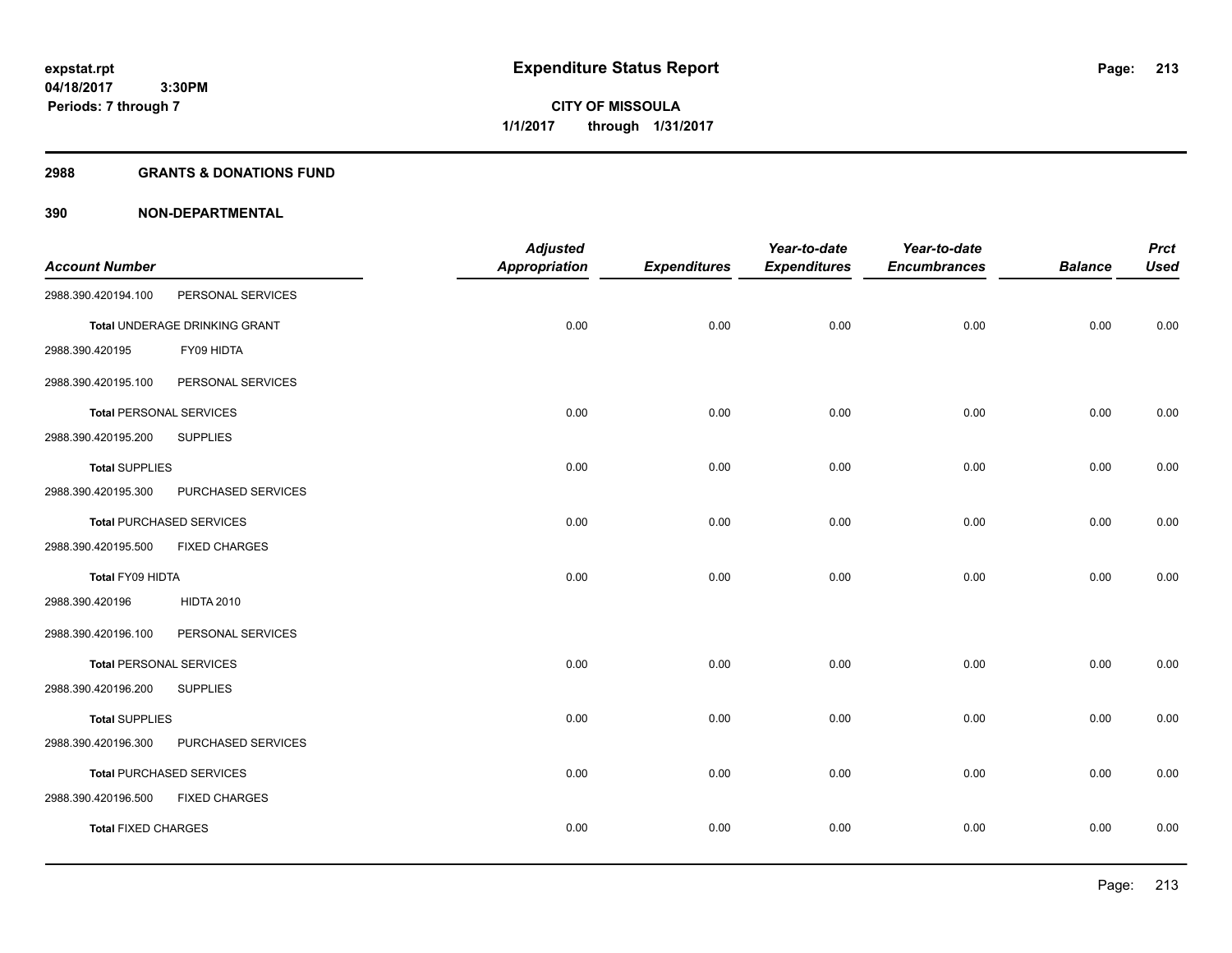**Periods: 7 through 7**

**CITY OF MISSOULA 1/1/2017 through 1/31/2017**

#### **2988 GRANTS & DONATIONS FUND**

 **3:30PM**

|                                |                                 | <b>Adjusted</b>      |                     | Year-to-date        | Year-to-date        |                | <b>Prct</b> |
|--------------------------------|---------------------------------|----------------------|---------------------|---------------------|---------------------|----------------|-------------|
| <b>Account Number</b>          |                                 | <b>Appropriation</b> | <b>Expenditures</b> | <b>Expenditures</b> | <b>Encumbrances</b> | <b>Balance</b> | <b>Used</b> |
| 2988.390.420194.100            | PERSONAL SERVICES               |                      |                     |                     |                     |                |             |
|                                | Total UNDERAGE DRINKING GRANT   | 0.00                 | 0.00                | 0.00                | 0.00                | 0.00           | 0.00        |
| 2988.390.420195                | FY09 HIDTA                      |                      |                     |                     |                     |                |             |
| 2988.390.420195.100            | PERSONAL SERVICES               |                      |                     |                     |                     |                |             |
| <b>Total PERSONAL SERVICES</b> |                                 | 0.00                 | 0.00                | 0.00                | 0.00                | 0.00           | 0.00        |
| 2988.390.420195.200            | <b>SUPPLIES</b>                 |                      |                     |                     |                     |                |             |
| <b>Total SUPPLIES</b>          |                                 | 0.00                 | 0.00                | 0.00                | 0.00                | 0.00           | 0.00        |
| 2988.390.420195.300            | PURCHASED SERVICES              |                      |                     |                     |                     |                |             |
|                                | <b>Total PURCHASED SERVICES</b> | 0.00                 | 0.00                | 0.00                | 0.00                | 0.00           | 0.00        |
| 2988.390.420195.500            | <b>FIXED CHARGES</b>            |                      |                     |                     |                     |                |             |
| Total FY09 HIDTA               |                                 | 0.00                 | 0.00                | 0.00                | 0.00                | 0.00           | 0.00        |
| 2988.390.420196                | <b>HIDTA 2010</b>               |                      |                     |                     |                     |                |             |
| 2988.390.420196.100            | PERSONAL SERVICES               |                      |                     |                     |                     |                |             |
| <b>Total PERSONAL SERVICES</b> |                                 | 0.00                 | 0.00                | 0.00                | 0.00                | 0.00           | 0.00        |
| 2988.390.420196.200            | <b>SUPPLIES</b>                 |                      |                     |                     |                     |                |             |
| <b>Total SUPPLIES</b>          |                                 | 0.00                 | 0.00                | 0.00                | 0.00                | 0.00           | 0.00        |
| 2988.390.420196.300            | PURCHASED SERVICES              |                      |                     |                     |                     |                |             |
|                                | <b>Total PURCHASED SERVICES</b> | 0.00                 | 0.00                | 0.00                | 0.00                | 0.00           | 0.00        |
| 2988.390.420196.500            | <b>FIXED CHARGES</b>            |                      |                     |                     |                     |                |             |
| <b>Total FIXED CHARGES</b>     |                                 | 0.00                 | 0.00                | 0.00                | 0.00                | 0.00           | 0.00        |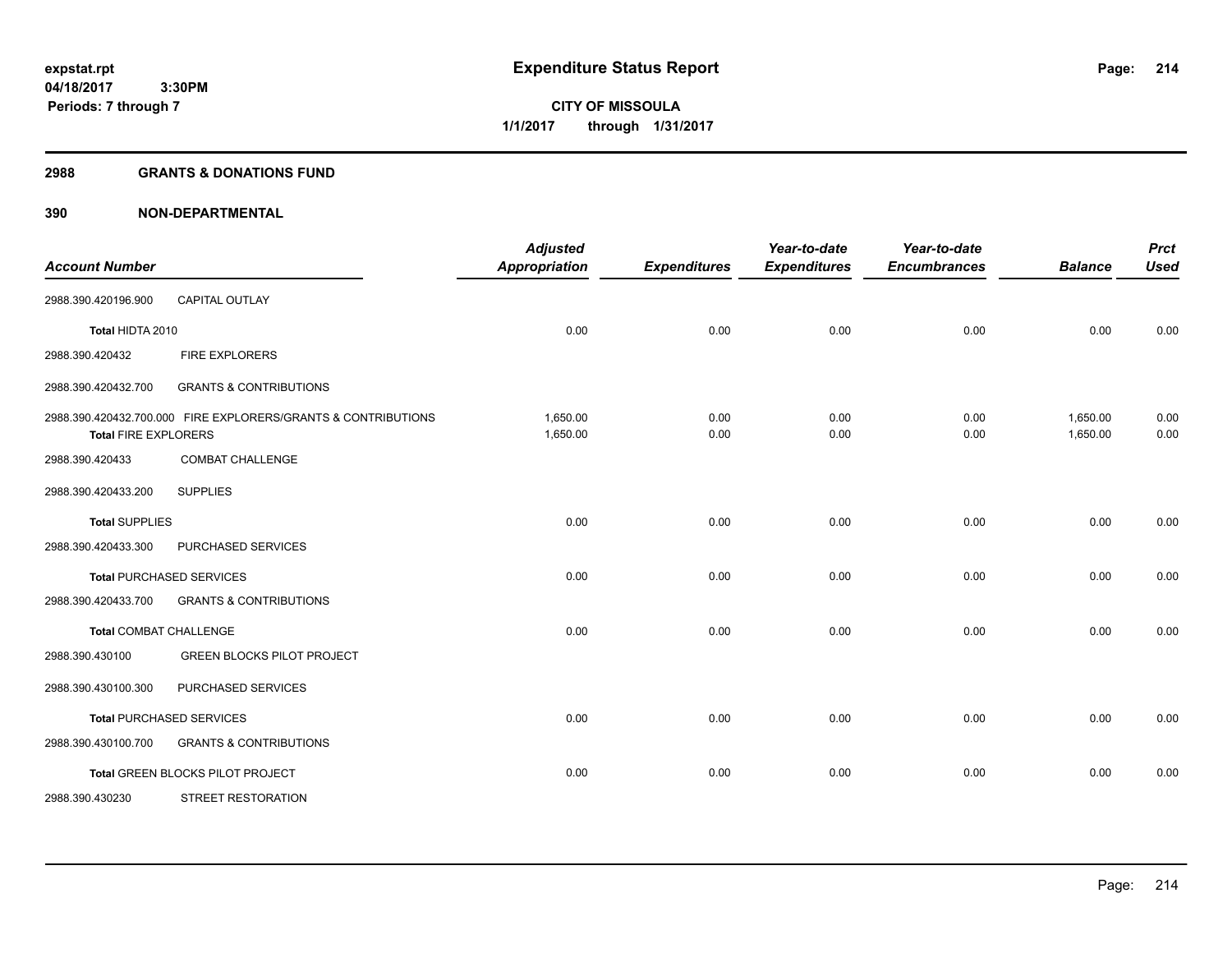**Periods: 7 through 7**

**CITY OF MISSOULA 1/1/2017 through 1/31/2017**

#### **2988 GRANTS & DONATIONS FUND**

| <b>Account Number</b>         |                                                               | <b>Adjusted</b><br><b>Appropriation</b> | <b>Expenditures</b> | Year-to-date<br><b>Expenditures</b> | Year-to-date<br><b>Encumbrances</b> | <b>Balance</b>       | <b>Prct</b><br><b>Used</b> |
|-------------------------------|---------------------------------------------------------------|-----------------------------------------|---------------------|-------------------------------------|-------------------------------------|----------------------|----------------------------|
| 2988.390.420196.900           | <b>CAPITAL OUTLAY</b>                                         |                                         |                     |                                     |                                     |                      |                            |
| Total HIDTA 2010              |                                                               | 0.00                                    | 0.00                | 0.00                                | 0.00                                | 0.00                 | 0.00                       |
| 2988.390.420432               | <b>FIRE EXPLORERS</b>                                         |                                         |                     |                                     |                                     |                      |                            |
| 2988.390.420432.700           | <b>GRANTS &amp; CONTRIBUTIONS</b>                             |                                         |                     |                                     |                                     |                      |                            |
| <b>Total FIRE EXPLORERS</b>   | 2988.390.420432.700.000 FIRE EXPLORERS/GRANTS & CONTRIBUTIONS | 1.650.00<br>1,650.00                    | 0.00<br>0.00        | 0.00<br>0.00                        | 0.00<br>0.00                        | 1,650.00<br>1,650.00 | 0.00<br>0.00               |
| 2988.390.420433               | <b>COMBAT CHALLENGE</b>                                       |                                         |                     |                                     |                                     |                      |                            |
| 2988.390.420433.200           | <b>SUPPLIES</b>                                               |                                         |                     |                                     |                                     |                      |                            |
| <b>Total SUPPLIES</b>         |                                                               | 0.00                                    | 0.00                | 0.00                                | 0.00                                | 0.00                 | 0.00                       |
| 2988.390.420433.300           | PURCHASED SERVICES                                            |                                         |                     |                                     |                                     |                      |                            |
|                               | <b>Total PURCHASED SERVICES</b>                               | 0.00                                    | 0.00                | 0.00                                | 0.00                                | 0.00                 | 0.00                       |
| 2988.390.420433.700           | <b>GRANTS &amp; CONTRIBUTIONS</b>                             |                                         |                     |                                     |                                     |                      |                            |
| <b>Total COMBAT CHALLENGE</b> |                                                               | 0.00                                    | 0.00                | 0.00                                | 0.00                                | 0.00                 | 0.00                       |
| 2988.390.430100               | <b>GREEN BLOCKS PILOT PROJECT</b>                             |                                         |                     |                                     |                                     |                      |                            |
| 2988.390.430100.300           | PURCHASED SERVICES                                            |                                         |                     |                                     |                                     |                      |                            |
|                               | <b>Total PURCHASED SERVICES</b>                               | 0.00                                    | 0.00                | 0.00                                | 0.00                                | 0.00                 | 0.00                       |
| 2988.390.430100.700           | <b>GRANTS &amp; CONTRIBUTIONS</b>                             |                                         |                     |                                     |                                     |                      |                            |
|                               | Total GREEN BLOCKS PILOT PROJECT                              | 0.00                                    | 0.00                | 0.00                                | 0.00                                | 0.00                 | 0.00                       |
| 2988.390.430230               | <b>STREET RESTORATION</b>                                     |                                         |                     |                                     |                                     |                      |                            |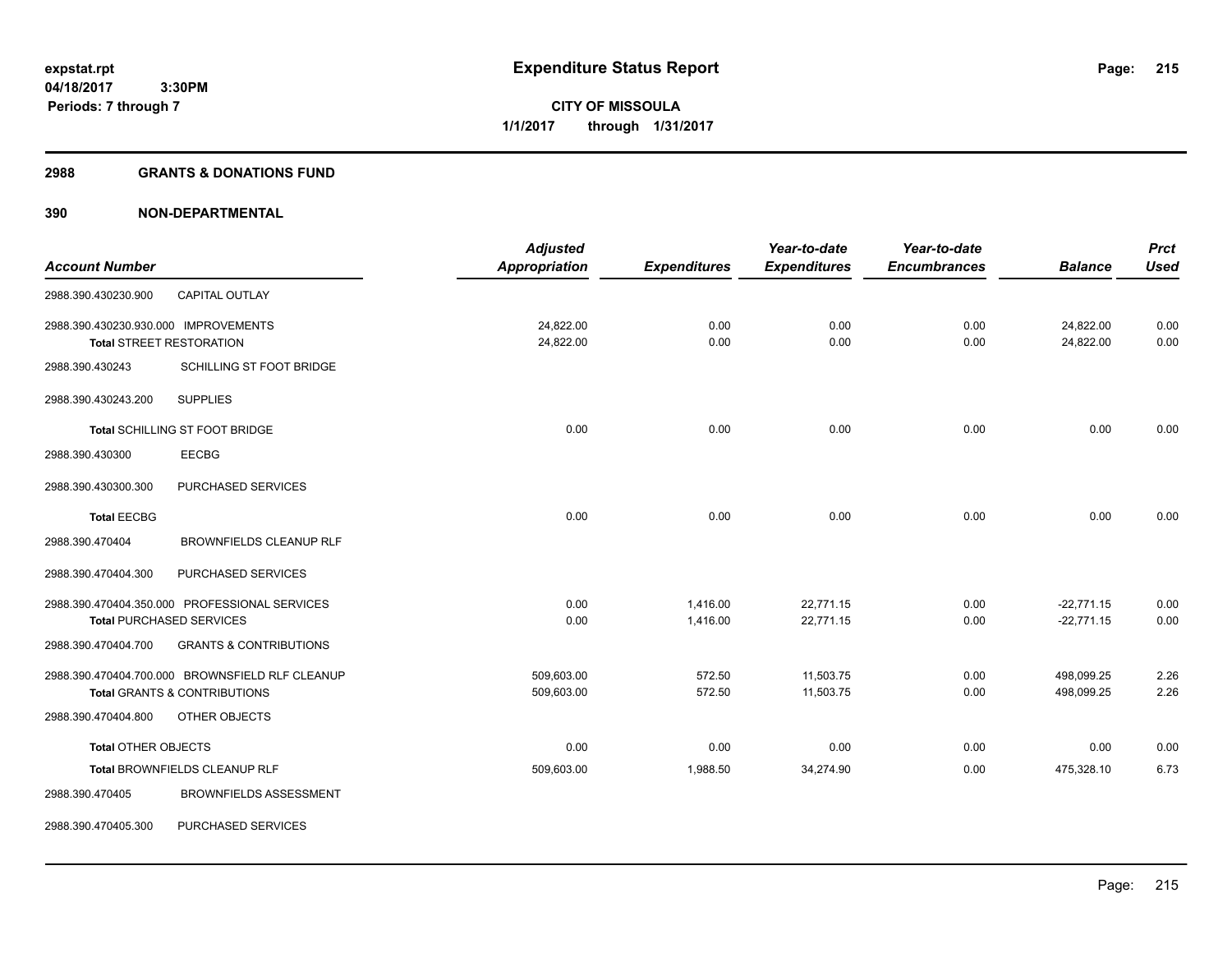#### **2988 GRANTS & DONATIONS FUND**

|                                      |                                                 | <b>Adjusted</b>      |                     | Year-to-date        | Year-to-date        |                | <b>Prct</b> |
|--------------------------------------|-------------------------------------------------|----------------------|---------------------|---------------------|---------------------|----------------|-------------|
| <b>Account Number</b>                |                                                 | <b>Appropriation</b> | <b>Expenditures</b> | <b>Expenditures</b> | <b>Encumbrances</b> | <b>Balance</b> | <b>Used</b> |
| 2988.390.430230.900                  | <b>CAPITAL OUTLAY</b>                           |                      |                     |                     |                     |                |             |
| 2988.390.430230.930.000 IMPROVEMENTS |                                                 | 24,822.00            | 0.00                | 0.00                | 0.00                | 24,822.00      | 0.00        |
|                                      | <b>Total STREET RESTORATION</b>                 | 24,822.00            | 0.00                | 0.00                | 0.00                | 24,822.00      | 0.00        |
| 2988.390.430243                      | SCHILLING ST FOOT BRIDGE                        |                      |                     |                     |                     |                |             |
| 2988.390.430243.200                  | <b>SUPPLIES</b>                                 |                      |                     |                     |                     |                |             |
|                                      | Total SCHILLING ST FOOT BRIDGE                  | 0.00                 | 0.00                | 0.00                | 0.00                | 0.00           | 0.00        |
| 2988.390.430300                      | <b>EECBG</b>                                    |                      |                     |                     |                     |                |             |
| 2988.390.430300.300                  | PURCHASED SERVICES                              |                      |                     |                     |                     |                |             |
| <b>Total EECBG</b>                   |                                                 | 0.00                 | 0.00                | 0.00                | 0.00                | 0.00           | 0.00        |
| 2988.390.470404                      | <b>BROWNFIELDS CLEANUP RLF</b>                  |                      |                     |                     |                     |                |             |
| 2988.390.470404.300                  | PURCHASED SERVICES                              |                      |                     |                     |                     |                |             |
|                                      | 2988.390.470404.350.000 PROFESSIONAL SERVICES   | 0.00                 | 1,416.00            | 22,771.15           | 0.00                | $-22,771.15$   | 0.00        |
|                                      | <b>Total PURCHASED SERVICES</b>                 | 0.00                 | 1,416.00            | 22,771.15           | 0.00                | $-22,771.15$   | 0.00        |
| 2988.390.470404.700                  | <b>GRANTS &amp; CONTRIBUTIONS</b>               |                      |                     |                     |                     |                |             |
|                                      | 2988.390.470404.700.000 BROWNSFIELD RLF CLEANUP | 509,603.00           | 572.50              | 11,503.75           | 0.00                | 498,099.25     | 2.26        |
|                                      | <b>Total GRANTS &amp; CONTRIBUTIONS</b>         | 509,603.00           | 572.50              | 11,503.75           | 0.00                | 498,099.25     | 2.26        |
| 2988.390.470404.800                  | OTHER OBJECTS                                   |                      |                     |                     |                     |                |             |
| <b>Total OTHER OBJECTS</b>           |                                                 | 0.00                 | 0.00                | 0.00                | 0.00                | 0.00           | 0.00        |
|                                      | Total BROWNFIELDS CLEANUP RLF                   | 509,603.00           | 1,988.50            | 34,274.90           | 0.00                | 475,328.10     | 6.73        |
| 2988.390.470405                      | <b>BROWNFIELDS ASSESSMENT</b>                   |                      |                     |                     |                     |                |             |
| 2988.390.470405.300                  | PURCHASED SERVICES                              |                      |                     |                     |                     |                |             |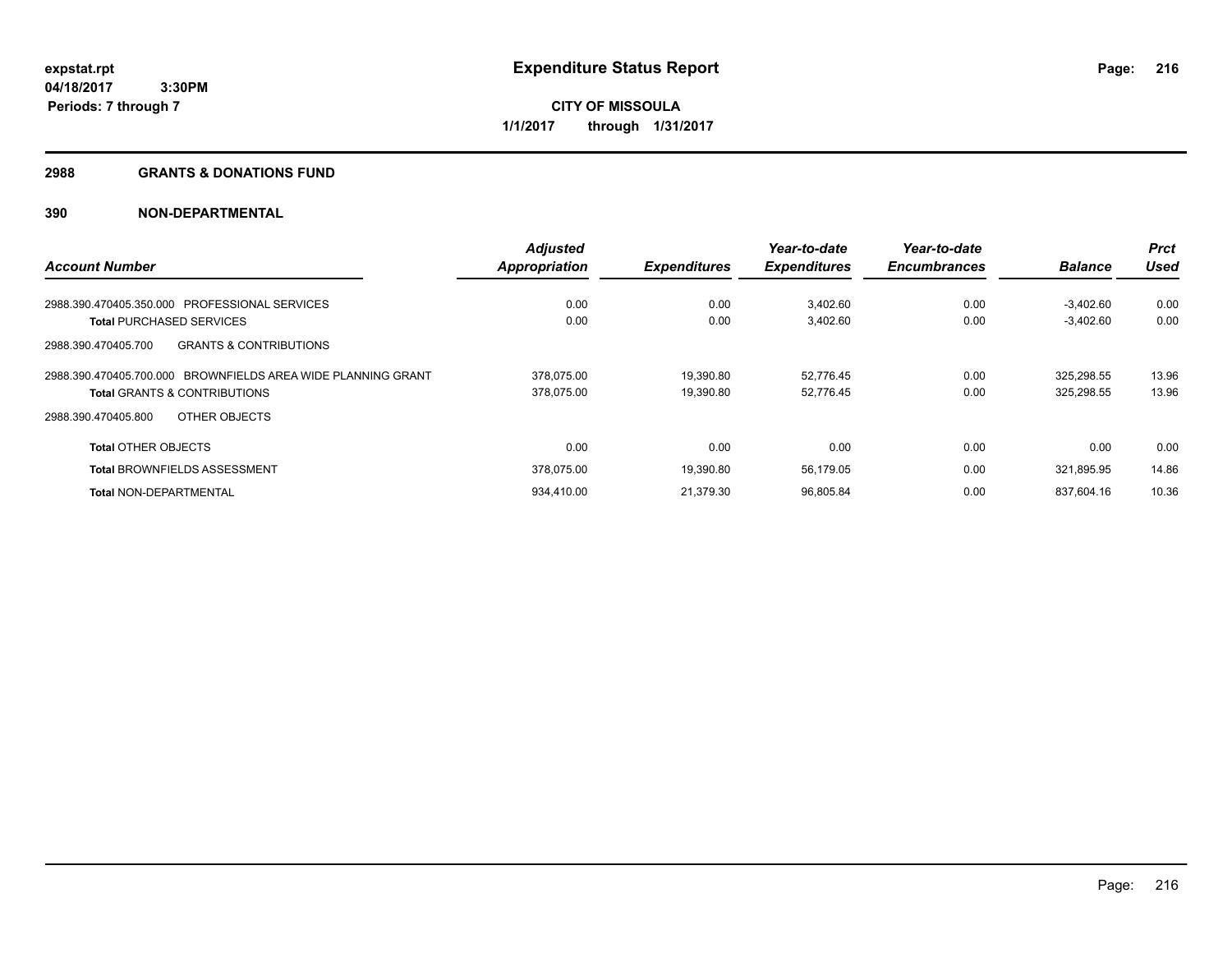**Periods: 7 through 7**

**CITY OF MISSOULA 1/1/2017 through 1/31/2017**

#### **2988 GRANTS & DONATIONS FUND**

|                                                              | <b>Adjusted</b>      |                     | Year-to-date        | Year-to-date        |                | <b>Prct</b> |
|--------------------------------------------------------------|----------------------|---------------------|---------------------|---------------------|----------------|-------------|
| <b>Account Number</b>                                        | <b>Appropriation</b> | <b>Expenditures</b> | <b>Expenditures</b> | <b>Encumbrances</b> | <b>Balance</b> | Used        |
| 2988.390.470405.350.000 PROFESSIONAL SERVICES                | 0.00                 | 0.00                | 3,402.60            | 0.00                | $-3.402.60$    | 0.00        |
| <b>Total PURCHASED SERVICES</b>                              | 0.00                 | 0.00                | 3,402.60            | 0.00                | $-3,402.60$    | 0.00        |
| <b>GRANTS &amp; CONTRIBUTIONS</b><br>2988.390.470405.700     |                      |                     |                     |                     |                |             |
| 2988.390.470405.700.000 BROWNFIELDS AREA WIDE PLANNING GRANT | 378,075.00           | 19.390.80           | 52,776.45           | 0.00                | 325,298.55     | 13.96       |
| <b>Total GRANTS &amp; CONTRIBUTIONS</b>                      | 378.075.00           | 19.390.80           | 52,776.45           | 0.00                | 325,298.55     | 13.96       |
| OTHER OBJECTS<br>2988.390.470405.800                         |                      |                     |                     |                     |                |             |
| <b>Total OTHER OBJECTS</b>                                   | 0.00                 | 0.00                | 0.00                | 0.00                | 0.00           | 0.00        |
| <b>Total BROWNFIELDS ASSESSMENT</b>                          | 378.075.00           | 19.390.80           | 56,179.05           | 0.00                | 321.895.95     | 14.86       |
| <b>Total NON-DEPARTMENTAL</b>                                | 934.410.00           | 21,379.30           | 96,805.84           | 0.00                | 837.604.16     | 10.36       |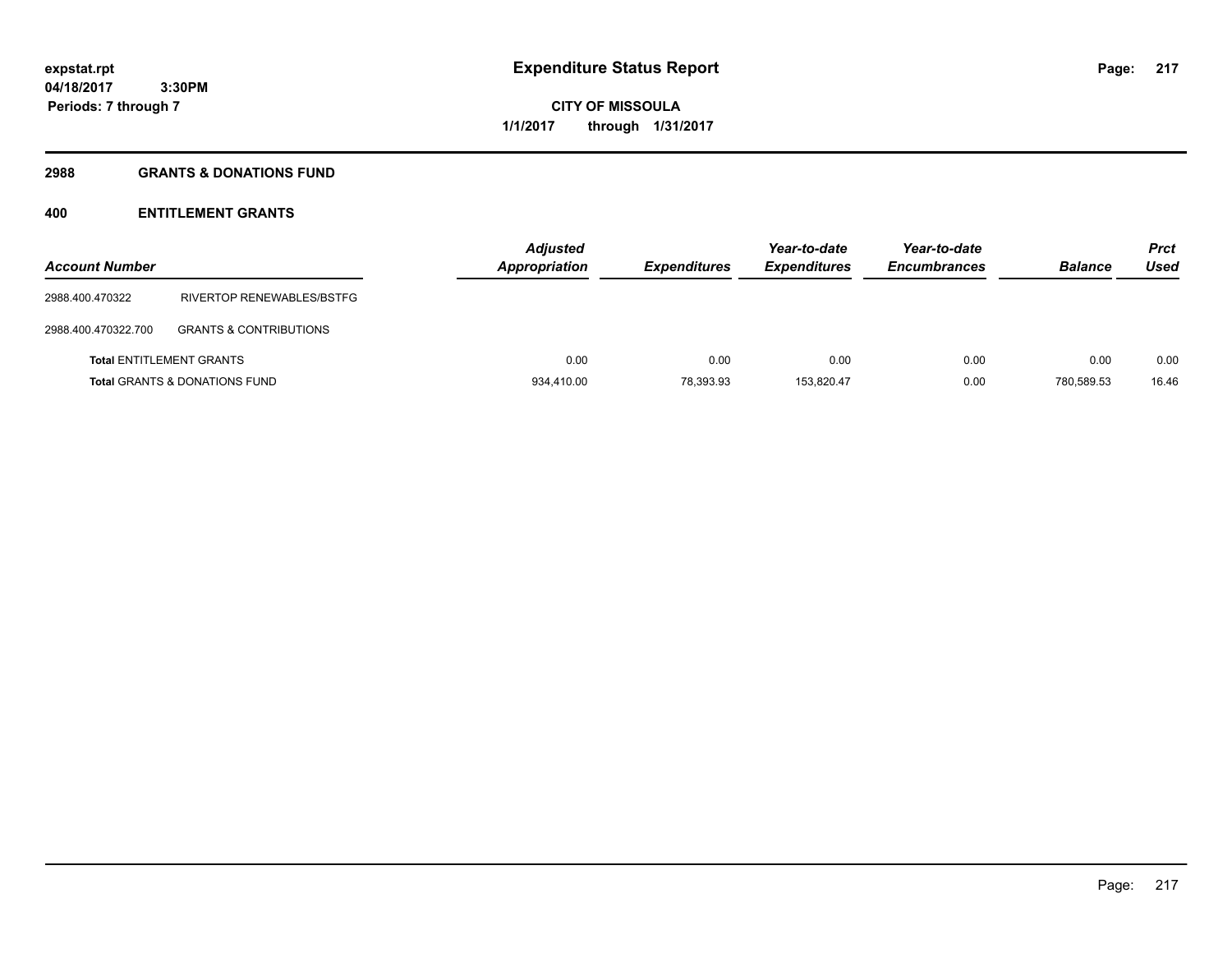**Periods: 7 through 7**

**CITY OF MISSOULA 1/1/2017 through 1/31/2017**

#### **2988 GRANTS & DONATIONS FUND**

 **3:30PM**

# **400 ENTITLEMENT GRANTS**

| <b>Account Number</b> |                                          | <b>Adjusted</b><br>Appropriation | <b>Expenditures</b> | Year-to-date<br><b>Expenditures</b> | Year-to-date<br><b>Encumbrances</b> | <b>Balance</b> | <b>Prct</b><br>Used |
|-----------------------|------------------------------------------|----------------------------------|---------------------|-------------------------------------|-------------------------------------|----------------|---------------------|
| 2988.400.470322       | RIVERTOP RENEWABLES/BSTFG                |                                  |                     |                                     |                                     |                |                     |
| 2988.400.470322.700   | <b>GRANTS &amp; CONTRIBUTIONS</b>        |                                  |                     |                                     |                                     |                |                     |
|                       | <b>Total ENTITLEMENT GRANTS</b>          | 0.00                             | 0.00                | 0.00                                | 0.00                                | 0.00           | 0.00                |
|                       | <b>Total GRANTS &amp; DONATIONS FUND</b> | 934.410.00                       | 78,393.93           | 153.820.47                          | 0.00                                | 780.589.53     | 16.46               |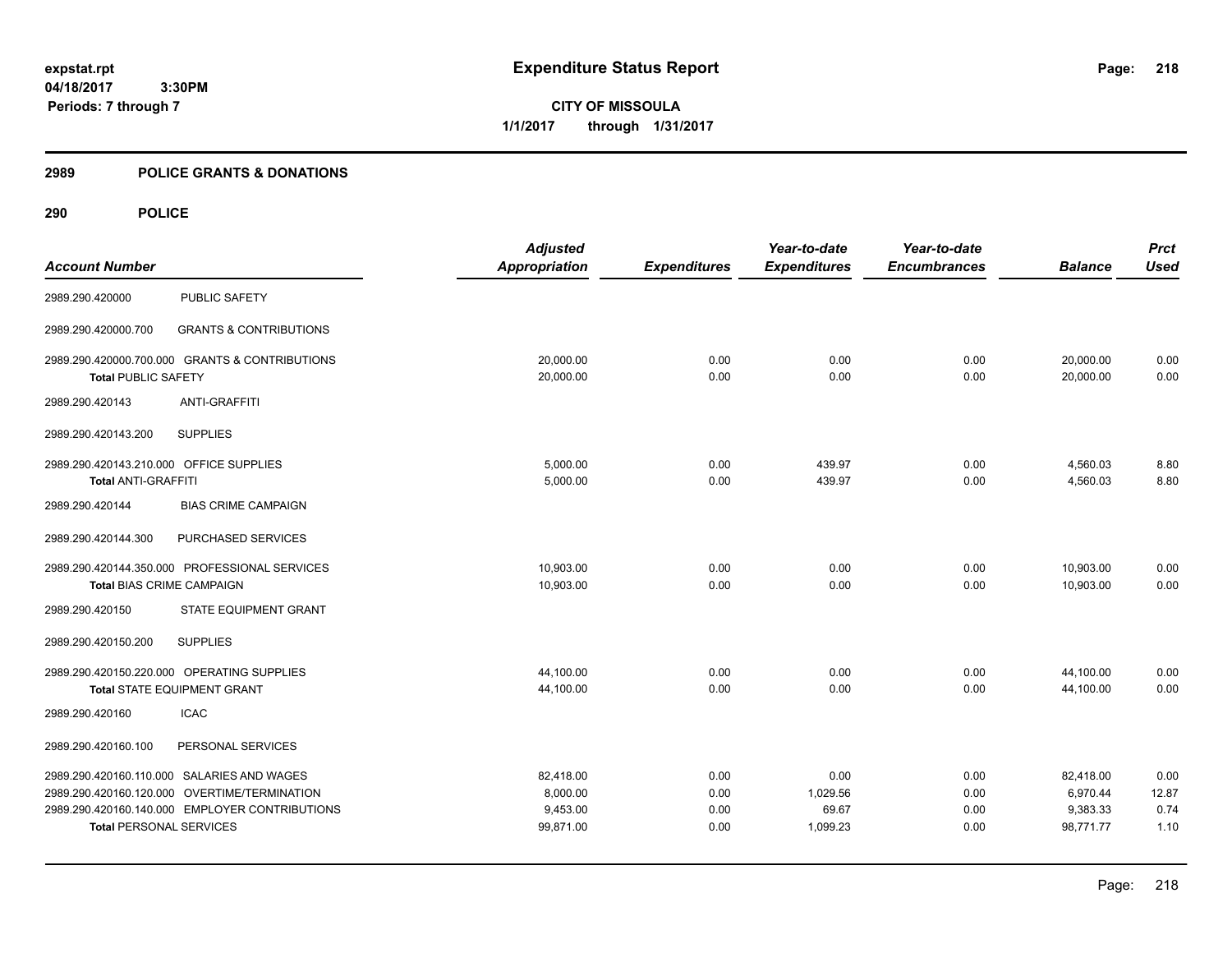**CITY OF MISSOULA 1/1/2017 through 1/31/2017**

# **2989 POLICE GRANTS & DONATIONS**

|                                         |                                                | <b>Adjusted</b>      |                     | Year-to-date        | Year-to-date        |                | <b>Prct</b> |
|-----------------------------------------|------------------------------------------------|----------------------|---------------------|---------------------|---------------------|----------------|-------------|
| <b>Account Number</b>                   |                                                | <b>Appropriation</b> | <b>Expenditures</b> | <b>Expenditures</b> | <b>Encumbrances</b> | <b>Balance</b> | <b>Used</b> |
| 2989.290.420000                         | <b>PUBLIC SAFETY</b>                           |                      |                     |                     |                     |                |             |
| 2989.290.420000.700                     | <b>GRANTS &amp; CONTRIBUTIONS</b>              |                      |                     |                     |                     |                |             |
|                                         | 2989.290.420000.700.000 GRANTS & CONTRIBUTIONS | 20,000.00            | 0.00                | 0.00                | 0.00                | 20,000.00      | 0.00        |
| <b>Total PUBLIC SAFETY</b>              |                                                | 20,000.00            | 0.00                | 0.00                | 0.00                | 20,000.00      | 0.00        |
| 2989.290.420143                         | <b>ANTI-GRAFFITI</b>                           |                      |                     |                     |                     |                |             |
| 2989.290.420143.200                     | <b>SUPPLIES</b>                                |                      |                     |                     |                     |                |             |
| 2989.290.420143.210.000 OFFICE SUPPLIES |                                                | 5,000.00             | 0.00                | 439.97              | 0.00                | 4,560.03       | 8.80        |
| <b>Total ANTI-GRAFFITI</b>              |                                                | 5,000.00             | 0.00                | 439.97              | 0.00                | 4,560.03       | 8.80        |
| 2989.290.420144                         | <b>BIAS CRIME CAMPAIGN</b>                     |                      |                     |                     |                     |                |             |
| 2989.290.420144.300                     | PURCHASED SERVICES                             |                      |                     |                     |                     |                |             |
|                                         | 2989.290.420144.350.000 PROFESSIONAL SERVICES  | 10,903.00            | 0.00                | 0.00                | 0.00                | 10,903.00      | 0.00        |
| <b>Total BIAS CRIME CAMPAIGN</b>        |                                                | 10,903.00            | 0.00                | 0.00                | 0.00                | 10,903.00      | 0.00        |
| 2989.290.420150                         | STATE EQUIPMENT GRANT                          |                      |                     |                     |                     |                |             |
| 2989.290.420150.200                     | <b>SUPPLIES</b>                                |                      |                     |                     |                     |                |             |
|                                         | 2989.290.420150.220.000 OPERATING SUPPLIES     | 44,100.00            | 0.00                | 0.00                | 0.00                | 44,100.00      | 0.00        |
|                                         | Total STATE EQUIPMENT GRANT                    | 44,100.00            | 0.00                | 0.00                | 0.00                | 44,100.00      | 0.00        |
| 2989.290.420160                         | <b>ICAC</b>                                    |                      |                     |                     |                     |                |             |
| 2989.290.420160.100                     | PERSONAL SERVICES                              |                      |                     |                     |                     |                |             |
|                                         | 2989.290.420160.110.000 SALARIES AND WAGES     | 82,418.00            | 0.00                | 0.00                | 0.00                | 82,418.00      | 0.00        |
|                                         | 2989.290.420160.120.000 OVERTIME/TERMINATION   | 8,000.00             | 0.00                | 1,029.56            | 0.00                | 6,970.44       | 12.87       |
|                                         | 2989.290.420160.140.000 EMPLOYER CONTRIBUTIONS | 9,453.00             | 0.00                | 69.67               | 0.00                | 9,383.33       | 0.74        |
| <b>Total PERSONAL SERVICES</b>          |                                                | 99,871.00            | 0.00                | 1,099.23            | 0.00                | 98,771.77      | 1.10        |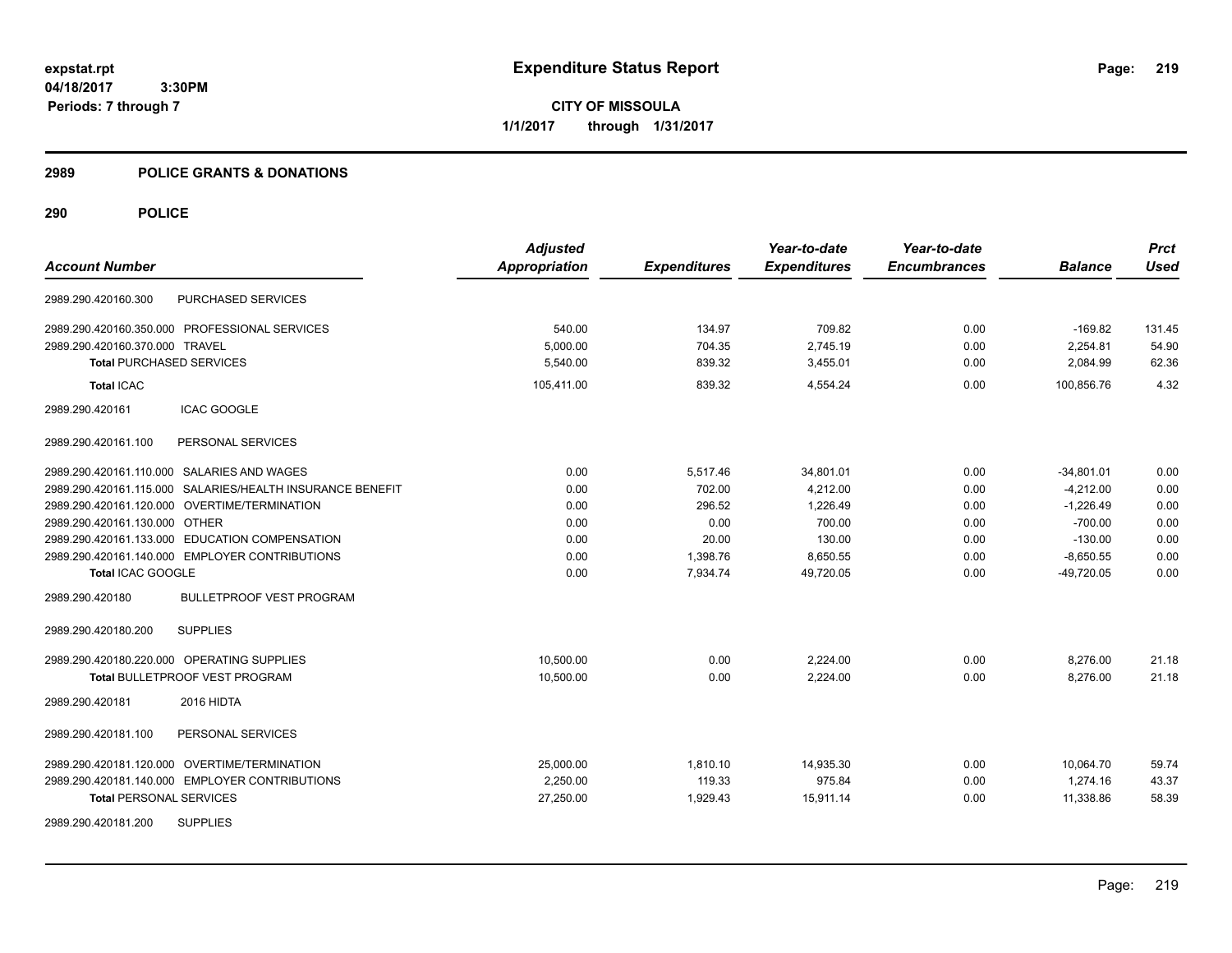**CITY OF MISSOULA 1/1/2017 through 1/31/2017**

# **2989 POLICE GRANTS & DONATIONS**

|                                                           | <b>Adjusted</b>      |                     | Year-to-date        | Year-to-date        |                | <b>Prct</b> |
|-----------------------------------------------------------|----------------------|---------------------|---------------------|---------------------|----------------|-------------|
| <b>Account Number</b>                                     | <b>Appropriation</b> | <b>Expenditures</b> | <b>Expenditures</b> | <b>Encumbrances</b> | <b>Balance</b> | <b>Used</b> |
| <b>PURCHASED SERVICES</b><br>2989.290.420160.300          |                      |                     |                     |                     |                |             |
| 2989.290.420160.350.000 PROFESSIONAL SERVICES             | 540.00               | 134.97              | 709.82              | 0.00                | $-169.82$      | 131.45      |
| 2989.290.420160.370.000 TRAVEL                            | 5,000.00             | 704.35              | 2,745.19            | 0.00                | 2,254.81       | 54.90       |
| <b>Total PURCHASED SERVICES</b>                           | 5.540.00             | 839.32              | 3,455.01            | 0.00                | 2,084.99       | 62.36       |
| <b>Total ICAC</b>                                         | 105,411.00           | 839.32              | 4.554.24            | 0.00                | 100.856.76     | 4.32        |
| 2989.290.420161<br><b>ICAC GOOGLE</b>                     |                      |                     |                     |                     |                |             |
| PERSONAL SERVICES<br>2989.290.420161.100                  |                      |                     |                     |                     |                |             |
| 2989.290.420161.110.000 SALARIES AND WAGES                | 0.00                 | 5,517.46            | 34,801.01           | 0.00                | $-34,801.01$   | 0.00        |
| 2989.290.420161.115.000 SALARIES/HEALTH INSURANCE BENEFIT | 0.00                 | 702.00              | 4.212.00            | 0.00                | $-4.212.00$    | 0.00        |
| 2989.290.420161.120.000 OVERTIME/TERMINATION              | 0.00                 | 296.52              | 1.226.49            | 0.00                | $-1,226.49$    | 0.00        |
| 2989.290.420161.130.000 OTHER                             | 0.00                 | 0.00                | 700.00              | 0.00                | $-700.00$      | 0.00        |
| 2989.290.420161.133.000 EDUCATION COMPENSATION            | 0.00                 | 20.00               | 130.00              | 0.00                | $-130.00$      | 0.00        |
| 2989.290.420161.140.000 EMPLOYER CONTRIBUTIONS            | 0.00                 | 1,398.76            | 8,650.55            | 0.00                | $-8,650.55$    | 0.00        |
| Total ICAC GOOGLE                                         | 0.00                 | 7,934.74            | 49,720.05           | 0.00                | $-49,720.05$   | 0.00        |
| <b>BULLETPROOF VEST PROGRAM</b><br>2989.290.420180        |                      |                     |                     |                     |                |             |
| <b>SUPPLIES</b><br>2989.290.420180.200                    |                      |                     |                     |                     |                |             |
| 2989.290.420180.220.000 OPERATING SUPPLIES                | 10,500.00            | 0.00                | 2,224.00            | 0.00                | 8,276.00       | 21.18       |
| Total BULLETPROOF VEST PROGRAM                            | 10,500.00            | 0.00                | 2,224.00            | 0.00                | 8,276.00       | 21.18       |
| 2989.290.420181<br>2016 HIDTA                             |                      |                     |                     |                     |                |             |
| PERSONAL SERVICES<br>2989.290.420181.100                  |                      |                     |                     |                     |                |             |
| 2989.290.420181.120.000 OVERTIME/TERMINATION              | 25,000.00            | 1,810.10            | 14,935.30           | 0.00                | 10,064.70      | 59.74       |
| 2989.290.420181.140.000 EMPLOYER CONTRIBUTIONS            | 2,250.00             | 119.33              | 975.84              | 0.00                | 1,274.16       | 43.37       |
| <b>Total PERSONAL SERVICES</b>                            | 27,250.00            | 1,929.43            | 15,911.14           | 0.00                | 11,338.86      | 58.39       |
| <b>SUPPLIES</b><br>2989.290.420181.200                    |                      |                     |                     |                     |                |             |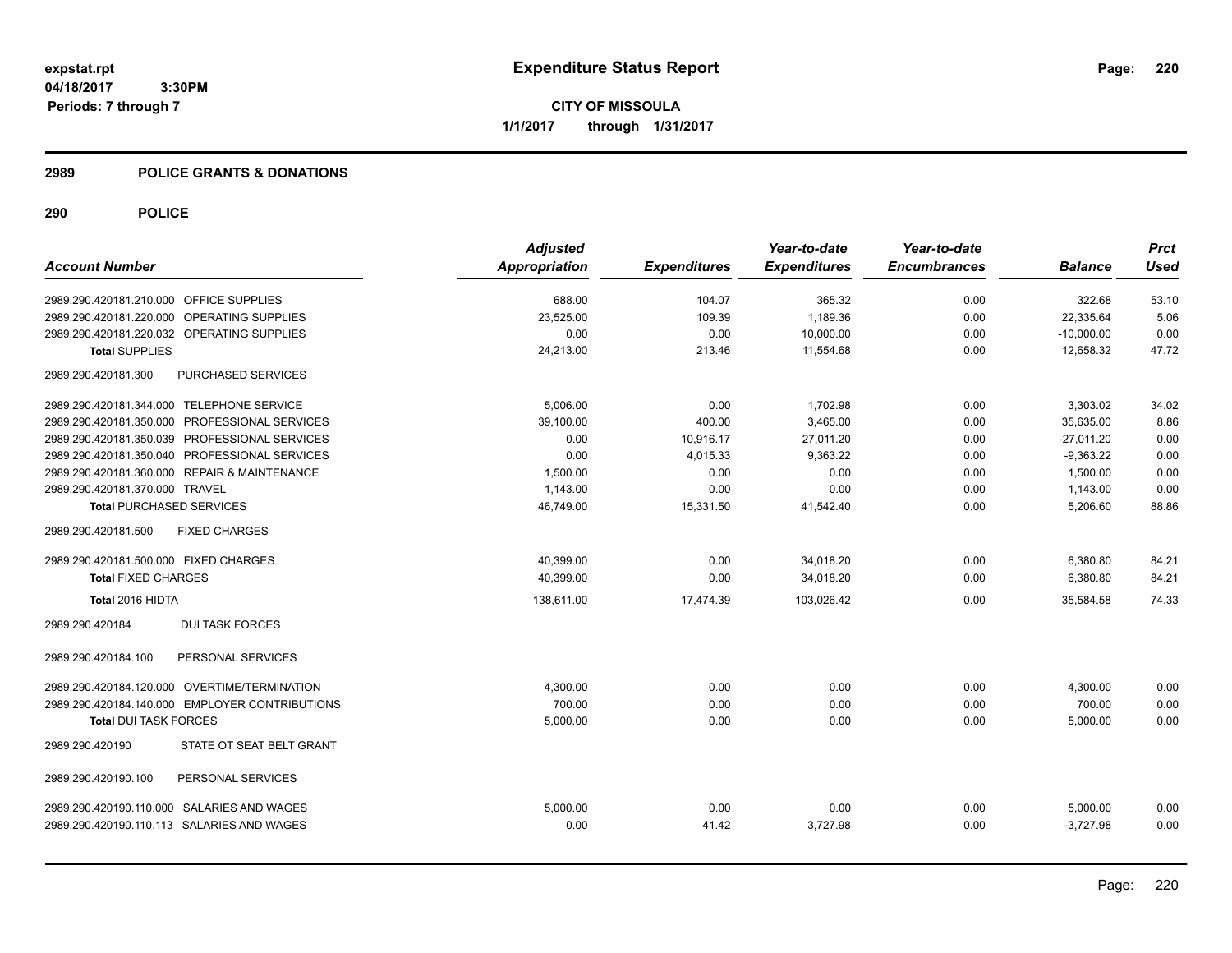**CITY OF MISSOULA 1/1/2017 through 1/31/2017**

# **2989 POLICE GRANTS & DONATIONS**

|                                                | <b>Adjusted</b>      |                     | Year-to-date        | Year-to-date        |                | <b>Prct</b> |
|------------------------------------------------|----------------------|---------------------|---------------------|---------------------|----------------|-------------|
| <b>Account Number</b>                          | <b>Appropriation</b> | <b>Expenditures</b> | <b>Expenditures</b> | <b>Encumbrances</b> | <b>Balance</b> | <b>Used</b> |
| 2989.290.420181.210.000 OFFICE SUPPLIES        | 688.00               | 104.07              | 365.32              | 0.00                | 322.68         | 53.10       |
| 2989.290.420181.220.000 OPERATING SUPPLIES     | 23,525.00            | 109.39              | 1,189.36            | 0.00                | 22,335.64      | 5.06        |
| 2989.290.420181.220.032 OPERATING SUPPLIES     | 0.00                 | 0.00                | 10,000.00           | 0.00                | $-10,000.00$   | 0.00        |
| <b>Total SUPPLIES</b>                          | 24,213.00            | 213.46              | 11,554.68           | 0.00                | 12,658.32      | 47.72       |
| PURCHASED SERVICES<br>2989.290.420181.300      |                      |                     |                     |                     |                |             |
| 2989.290.420181.344.000 TELEPHONE SERVICE      | 5.006.00             | 0.00                | 1,702.98            | 0.00                | 3,303.02       | 34.02       |
| 2989.290.420181.350.000 PROFESSIONAL SERVICES  | 39,100.00            | 400.00              | 3,465.00            | 0.00                | 35,635.00      | 8.86        |
| 2989.290.420181.350.039 PROFESSIONAL SERVICES  | 0.00                 | 10,916.17           | 27,011.20           | 0.00                | $-27,011.20$   | 0.00        |
| 2989.290.420181.350.040 PROFESSIONAL SERVICES  | 0.00                 | 4,015.33            | 9,363.22            | 0.00                | $-9,363.22$    | 0.00        |
| 2989.290.420181.360.000 REPAIR & MAINTENANCE   | 1,500.00             | 0.00                | 0.00                | 0.00                | 1,500.00       | 0.00        |
| 2989.290.420181.370.000 TRAVEL                 | 1,143.00             | 0.00                | 0.00                | 0.00                | 1,143.00       | 0.00        |
| <b>Total PURCHASED SERVICES</b>                | 46,749.00            | 15,331.50           | 41,542.40           | 0.00                | 5,206.60       | 88.86       |
| <b>FIXED CHARGES</b><br>2989.290.420181.500    |                      |                     |                     |                     |                |             |
| 2989.290.420181.500.000 FIXED CHARGES          | 40,399.00            | 0.00                | 34,018.20           | 0.00                | 6,380.80       | 84.21       |
| <b>Total FIXED CHARGES</b>                     | 40,399.00            | 0.00                | 34,018.20           | 0.00                | 6,380.80       | 84.21       |
| Total 2016 HIDTA                               | 138,611.00           | 17,474.39           | 103,026.42          | 0.00                | 35,584.58      | 74.33       |
| <b>DUI TASK FORCES</b><br>2989.290.420184      |                      |                     |                     |                     |                |             |
| PERSONAL SERVICES<br>2989.290.420184.100       |                      |                     |                     |                     |                |             |
| 2989.290.420184.120.000 OVERTIME/TERMINATION   | 4,300.00             | 0.00                | 0.00                | 0.00                | 4,300.00       | 0.00        |
| 2989.290.420184.140.000 EMPLOYER CONTRIBUTIONS | 700.00               | 0.00                | 0.00                | 0.00                | 700.00         | 0.00        |
| <b>Total DUI TASK FORCES</b>                   | 5,000.00             | 0.00                | 0.00                | 0.00                | 5,000.00       | 0.00        |
| STATE OT SEAT BELT GRANT<br>2989.290.420190    |                      |                     |                     |                     |                |             |
| 2989.290.420190.100<br>PERSONAL SERVICES       |                      |                     |                     |                     |                |             |
| 2989.290.420190.110.000 SALARIES AND WAGES     | 5,000.00             | 0.00                | 0.00                | 0.00                | 5,000.00       | 0.00        |
| 2989.290.420190.110.113 SALARIES AND WAGES     | 0.00                 | 41.42               | 3,727.98            | 0.00                | $-3.727.98$    | 0.00        |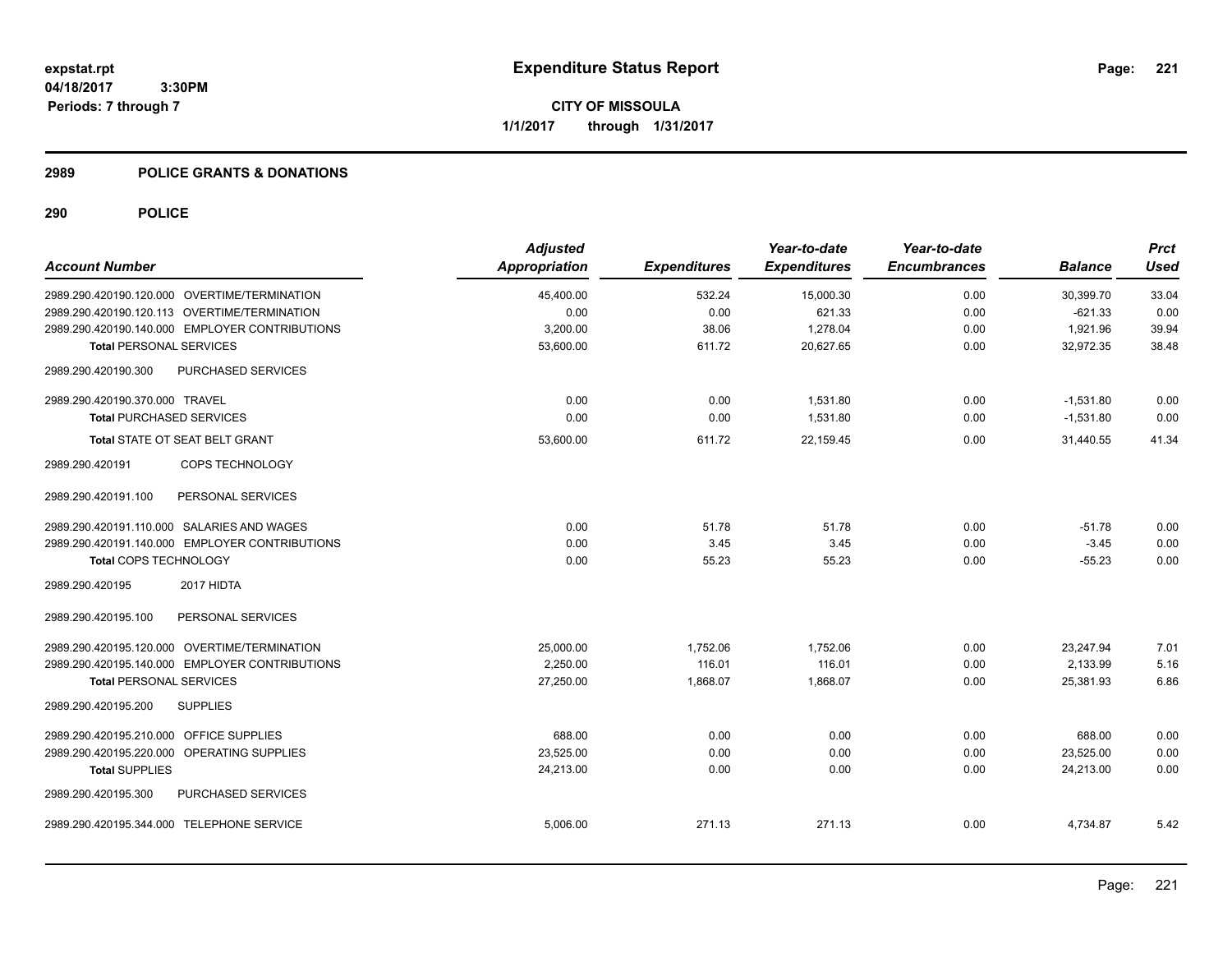**CITY OF MISSOULA 1/1/2017 through 1/31/2017**

# **2989 POLICE GRANTS & DONATIONS**

| <b>Account Number</b>                      |                                                | <b>Adjusted</b><br>Appropriation | <b>Expenditures</b> | Year-to-date<br><b>Expenditures</b> | Year-to-date<br><b>Encumbrances</b> | <b>Balance</b> | <b>Prct</b><br><b>Used</b> |
|--------------------------------------------|------------------------------------------------|----------------------------------|---------------------|-------------------------------------|-------------------------------------|----------------|----------------------------|
|                                            | 2989.290.420190.120.000 OVERTIME/TERMINATION   | 45,400.00                        | 532.24              | 15,000.30                           | 0.00                                | 30,399.70      | 33.04                      |
|                                            | 2989.290.420190.120.113 OVERTIME/TERMINATION   | 0.00                             | 0.00                | 621.33                              | 0.00                                | $-621.33$      | 0.00                       |
|                                            | 2989.290.420190.140.000 EMPLOYER CONTRIBUTIONS | 3,200.00                         | 38.06               | 1,278.04                            | 0.00                                | 1,921.96       | 39.94                      |
| <b>Total PERSONAL SERVICES</b>             |                                                | 53,600.00                        | 611.72              | 20,627.65                           | 0.00                                | 32,972.35      | 38.48                      |
| 2989.290.420190.300                        | PURCHASED SERVICES                             |                                  |                     |                                     |                                     |                |                            |
| 2989.290.420190.370.000 TRAVEL             |                                                | 0.00                             | 0.00                | 1,531.80                            | 0.00                                | $-1,531.80$    | 0.00                       |
| <b>Total PURCHASED SERVICES</b>            |                                                | 0.00                             | 0.00                | 1,531.80                            | 0.00                                | $-1,531.80$    | 0.00                       |
| Total STATE OT SEAT BELT GRANT             |                                                | 53,600.00                        | 611.72              | 22,159.45                           | 0.00                                | 31,440.55      | 41.34                      |
| 2989.290.420191                            | COPS TECHNOLOGY                                |                                  |                     |                                     |                                     |                |                            |
| 2989.290.420191.100                        | PERSONAL SERVICES                              |                                  |                     |                                     |                                     |                |                            |
| 2989.290.420191.110.000 SALARIES AND WAGES |                                                | 0.00                             | 51.78               | 51.78                               | 0.00                                | $-51.78$       | 0.00                       |
|                                            | 2989.290.420191.140.000 EMPLOYER CONTRIBUTIONS | 0.00                             | 3.45                | 3.45                                | 0.00                                | $-3.45$        | 0.00                       |
| Total COPS TECHNOLOGY                      |                                                | 0.00                             | 55.23               | 55.23                               | 0.00                                | $-55.23$       | 0.00                       |
| 2989.290.420195                            | 2017 HIDTA                                     |                                  |                     |                                     |                                     |                |                            |
| 2989.290.420195.100                        | PERSONAL SERVICES                              |                                  |                     |                                     |                                     |                |                            |
|                                            | 2989.290.420195.120.000 OVERTIME/TERMINATION   | 25,000.00                        | 1,752.06            | 1,752.06                            | 0.00                                | 23.247.94      | 7.01                       |
|                                            | 2989.290.420195.140.000 EMPLOYER CONTRIBUTIONS | 2,250.00                         | 116.01              | 116.01                              | 0.00                                | 2,133.99       | 5.16                       |
| <b>Total PERSONAL SERVICES</b>             |                                                | 27,250.00                        | 1,868.07            | 1,868.07                            | 0.00                                | 25,381.93      | 6.86                       |
| 2989.290.420195.200                        | <b>SUPPLIES</b>                                |                                  |                     |                                     |                                     |                |                            |
| 2989.290.420195.210.000 OFFICE SUPPLIES    |                                                | 688.00                           | 0.00                | 0.00                                | 0.00                                | 688.00         | 0.00                       |
| 2989.290.420195.220.000 OPERATING SUPPLIES |                                                | 23,525.00                        | 0.00                | 0.00                                | 0.00                                | 23,525.00      | 0.00                       |
| <b>Total SUPPLIES</b>                      |                                                | 24,213.00                        | 0.00                | 0.00                                | 0.00                                | 24,213.00      | 0.00                       |
| 2989.290.420195.300                        | PURCHASED SERVICES                             |                                  |                     |                                     |                                     |                |                            |
| 2989.290.420195.344.000 TELEPHONE SERVICE  |                                                | 5,006.00                         | 271.13              | 271.13                              | 0.00                                | 4,734.87       | 5.42                       |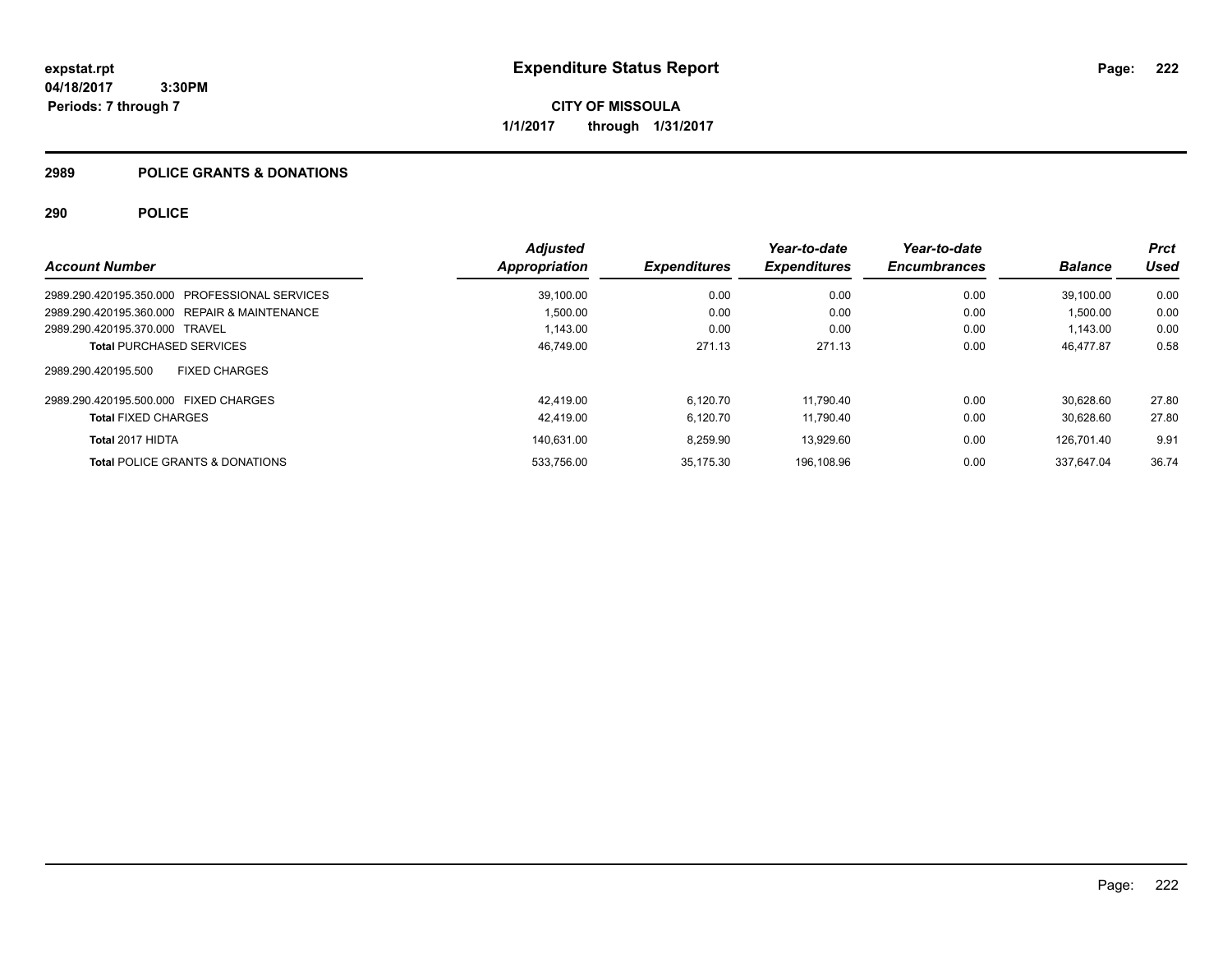**CITY OF MISSOULA 1/1/2017 through 1/31/2017**

# **2989 POLICE GRANTS & DONATIONS**

|                                               | <b>Adjusted</b> |                     | Year-to-date        | Year-to-date        |                | Prct  |
|-----------------------------------------------|-----------------|---------------------|---------------------|---------------------|----------------|-------|
| <b>Account Number</b>                         | Appropriation   | <b>Expenditures</b> | <b>Expenditures</b> | <b>Encumbrances</b> | <b>Balance</b> | Used  |
| 2989.290.420195.350.000 PROFESSIONAL SERVICES | 39.100.00       | 0.00                | 0.00                | 0.00                | 39.100.00      | 0.00  |
| 2989.290.420195.360.000 REPAIR & MAINTENANCE  | 1,500.00        | 0.00                | 0.00                | 0.00                | 1,500.00       | 0.00  |
| 2989.290.420195.370.000 TRAVEL                | 1,143.00        | 0.00                | 0.00                | 0.00                | 1,143.00       | 0.00  |
| <b>Total PURCHASED SERVICES</b>               | 46,749.00       | 271.13              | 271.13              | 0.00                | 46.477.87      | 0.58  |
| <b>FIXED CHARGES</b><br>2989.290.420195.500   |                 |                     |                     |                     |                |       |
| 2989.290.420195.500.000 FIXED CHARGES         | 42.419.00       | 6.120.70            | 11.790.40           | 0.00                | 30.628.60      | 27.80 |
| <b>Total FIXED CHARGES</b>                    | 42,419.00       | 6,120.70            | 11,790.40           | 0.00                | 30.628.60      | 27.80 |
| Total 2017 HIDTA                              | 140.631.00      | 8,259.90            | 13.929.60           | 0.00                | 126.701.40     | 9.91  |
| <b>Total POLICE GRANTS &amp; DONATIONS</b>    | 533,756.00      | 35.175.30           | 196.108.96          | 0.00                | 337.647.04     | 36.74 |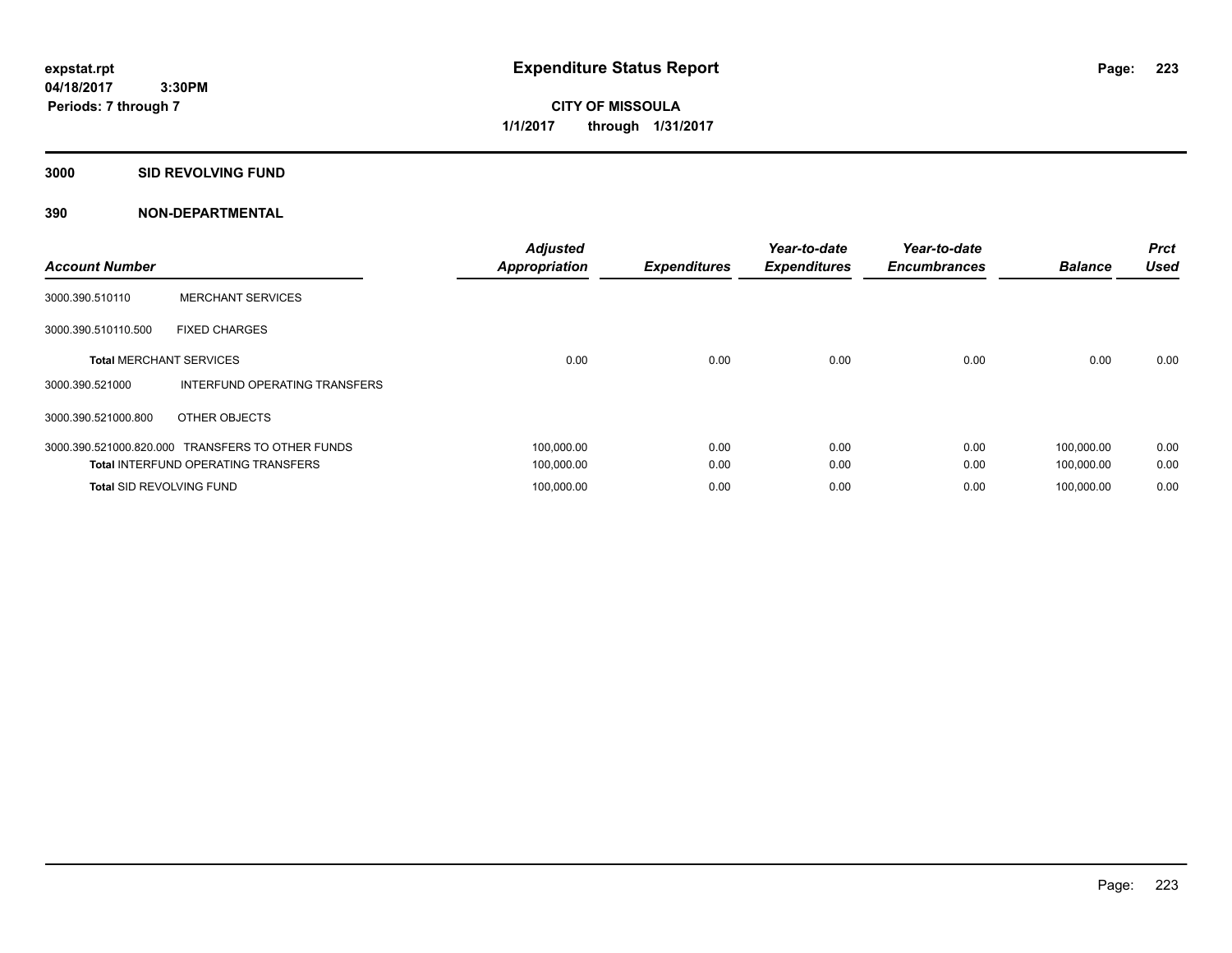**CITY OF MISSOULA 1/1/2017 through 1/31/2017**

#### **3000 SID REVOLVING FUND**

| <b>Account Number</b>           |                                            | <b>Adjusted</b><br><b>Appropriation</b> | <b>Expenditures</b> | Year-to-date<br><b>Expenditures</b> | Year-to-date<br><b>Encumbrances</b> | <b>Balance</b> | <b>Prct</b><br><b>Used</b> |
|---------------------------------|--------------------------------------------|-----------------------------------------|---------------------|-------------------------------------|-------------------------------------|----------------|----------------------------|
| 3000.390.510110                 | <b>MERCHANT SERVICES</b>                   |                                         |                     |                                     |                                     |                |                            |
| 3000.390.510110.500             | <b>FIXED CHARGES</b>                       |                                         |                     |                                     |                                     |                |                            |
| <b>Total MERCHANT SERVICES</b>  |                                            | 0.00                                    | 0.00                | 0.00                                | 0.00                                | 0.00           | 0.00                       |
| 3000.390.521000                 | INTERFUND OPERATING TRANSFERS              |                                         |                     |                                     |                                     |                |                            |
| 3000.390.521000.800             | OTHER OBJECTS                              |                                         |                     |                                     |                                     |                |                            |
| 3000.390.521000.820.000         | <b>TRANSFERS TO OTHER FUNDS</b>            | 100,000.00                              | 0.00                | 0.00                                | 0.00                                | 100.000.00     | 0.00                       |
|                                 | <b>Total INTERFUND OPERATING TRANSFERS</b> | 100,000.00                              | 0.00                | 0.00                                | 0.00                                | 100,000.00     | 0.00                       |
| <b>Total SID REVOLVING FUND</b> |                                            | 100,000.00                              | 0.00                | 0.00                                | 0.00                                | 100.000.00     | 0.00                       |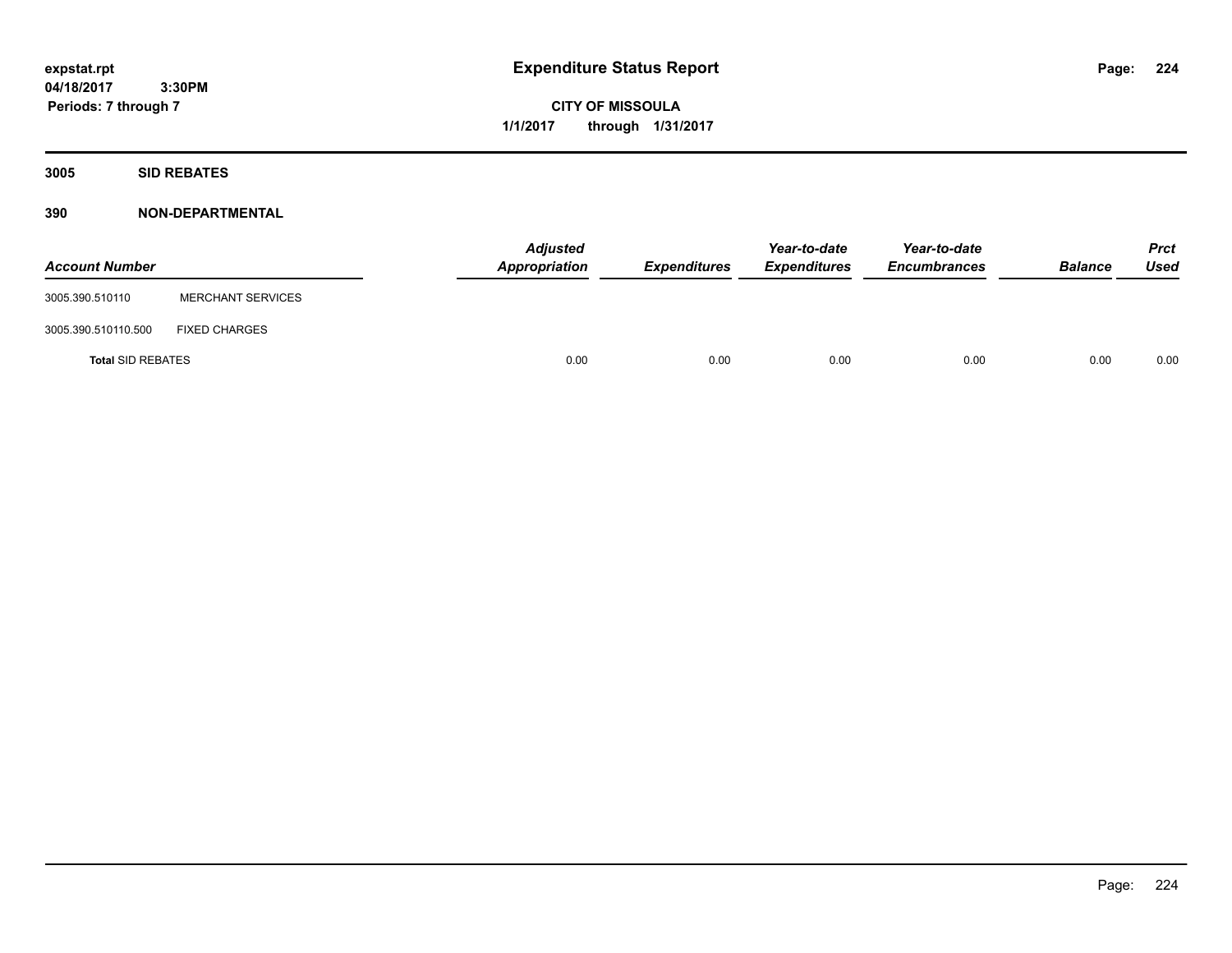**CITY OF MISSOULA 1/1/2017 through 1/31/2017**

**3005 SID REBATES**

| <b>Account Number</b>    |                          | <b>Adjusted</b><br>Appropriation | Expenditures | Year-to-date<br><b>Expenditures</b> | Year-to-date<br><b>Encumbrances</b> | <b>Balance</b> | <b>Prct</b><br>Used |
|--------------------------|--------------------------|----------------------------------|--------------|-------------------------------------|-------------------------------------|----------------|---------------------|
| 3005.390.510110          | <b>MERCHANT SERVICES</b> |                                  |              |                                     |                                     |                |                     |
| 3005.390.510110.500      | <b>FIXED CHARGES</b>     |                                  |              |                                     |                                     |                |                     |
| <b>Total SID REBATES</b> |                          | 0.00                             | 0.00         | 0.00                                | 0.00                                | 0.00           | 0.00                |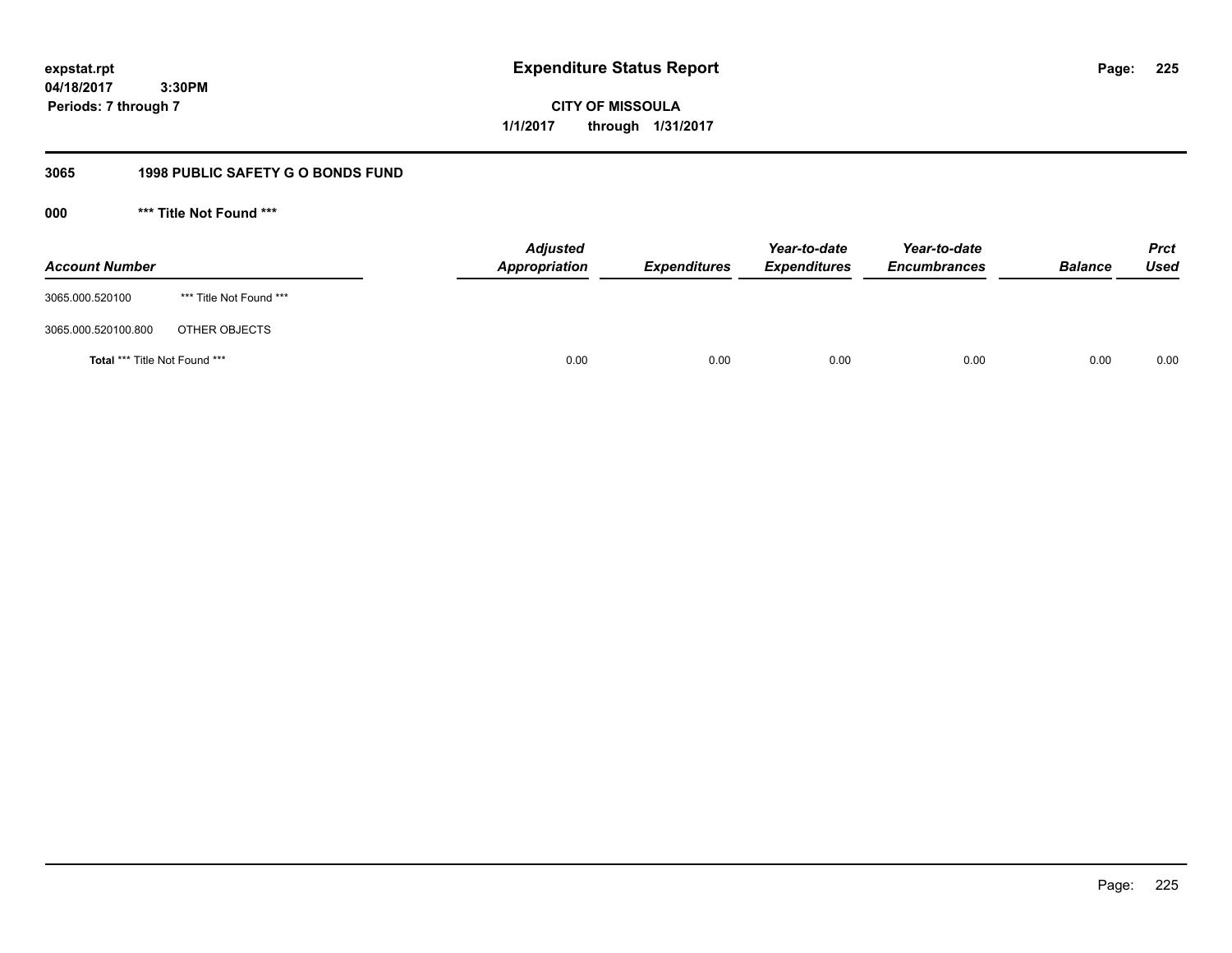**CITY OF MISSOULA 1/1/2017 through 1/31/2017**

# **3065 1998 PUBLIC SAFETY G O BONDS FUND**

**000 \*\*\* Title Not Found \*\*\***

| <b>Account Number</b>         |                         | <b>Adjusted</b><br>Appropriation | <b>Expenditures</b> | Year-to-date<br><b>Expenditures</b> | Year-to-date<br><b>Encumbrances</b> | <b>Balance</b> | <b>Prct</b><br>Used |
|-------------------------------|-------------------------|----------------------------------|---------------------|-------------------------------------|-------------------------------------|----------------|---------------------|
| 3065.000.520100               | *** Title Not Found *** |                                  |                     |                                     |                                     |                |                     |
| 3065.000.520100.800           | OTHER OBJECTS           |                                  |                     |                                     |                                     |                |                     |
| Total *** Title Not Found *** |                         | 0.00                             | 0.00                | 0.00                                | 0.00                                | 0.00           | 0.00                |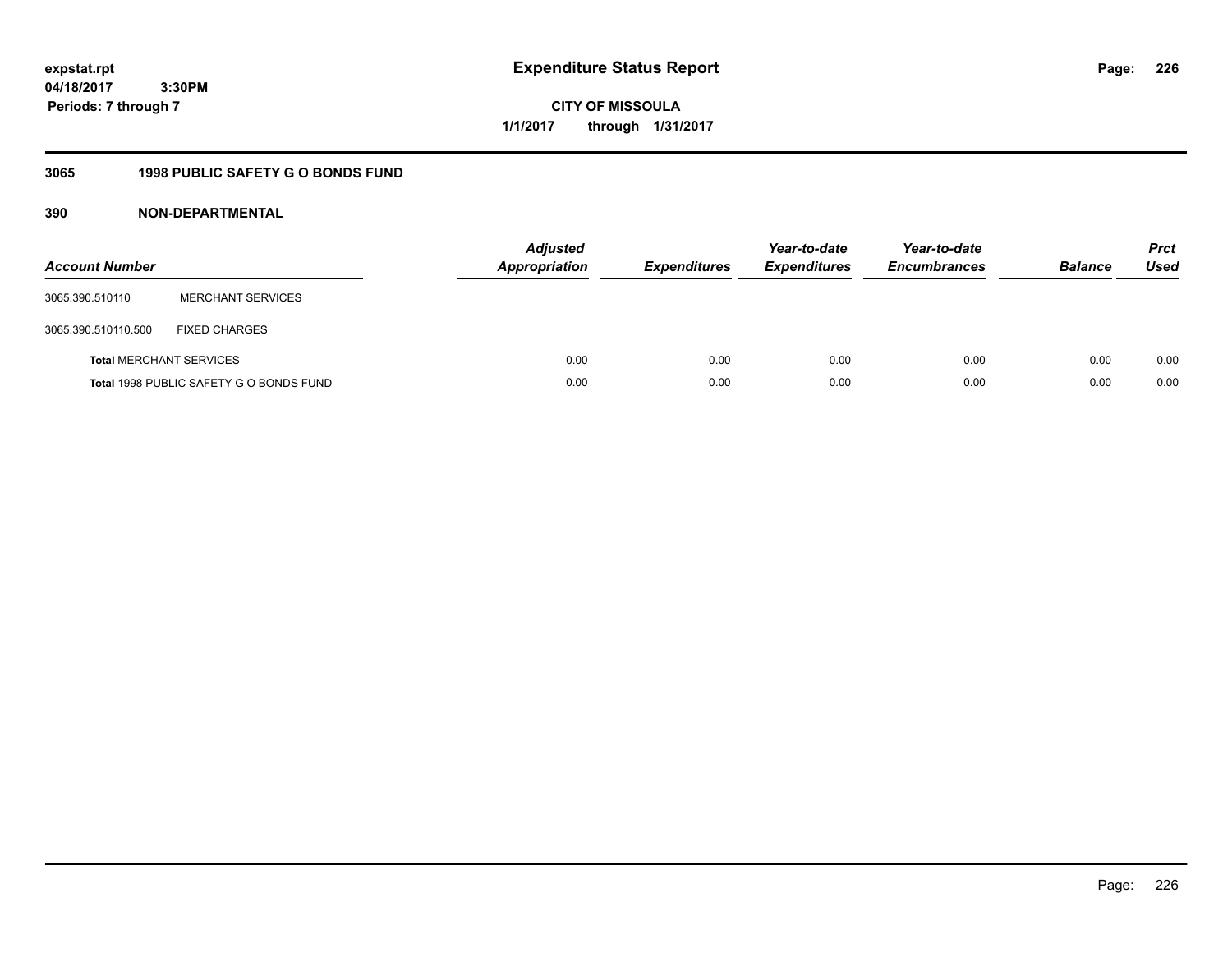**CITY OF MISSOULA 1/1/2017 through 1/31/2017**

# **3065 1998 PUBLIC SAFETY G O BONDS FUND**

| <b>Account Number</b>          |                                         | <b>Adjusted</b><br><b>Appropriation</b> | <b>Expenditures</b> | Year-to-date<br><b>Expenditures</b> | Year-to-date<br><b>Encumbrances</b> | <b>Balance</b> | <b>Prct</b><br><b>Used</b> |
|--------------------------------|-----------------------------------------|-----------------------------------------|---------------------|-------------------------------------|-------------------------------------|----------------|----------------------------|
| 3065.390.510110                | <b>MERCHANT SERVICES</b>                |                                         |                     |                                     |                                     |                |                            |
| 3065.390.510110.500            | <b>FIXED CHARGES</b>                    |                                         |                     |                                     |                                     |                |                            |
| <b>Total MERCHANT SERVICES</b> |                                         | 0.00                                    | 0.00                | 0.00                                | 0.00                                | 0.00           | 0.00                       |
|                                | Total 1998 PUBLIC SAFETY G O BONDS FUND | 0.00                                    | 0.00                | 0.00                                | 0.00                                | 0.00           | 0.00                       |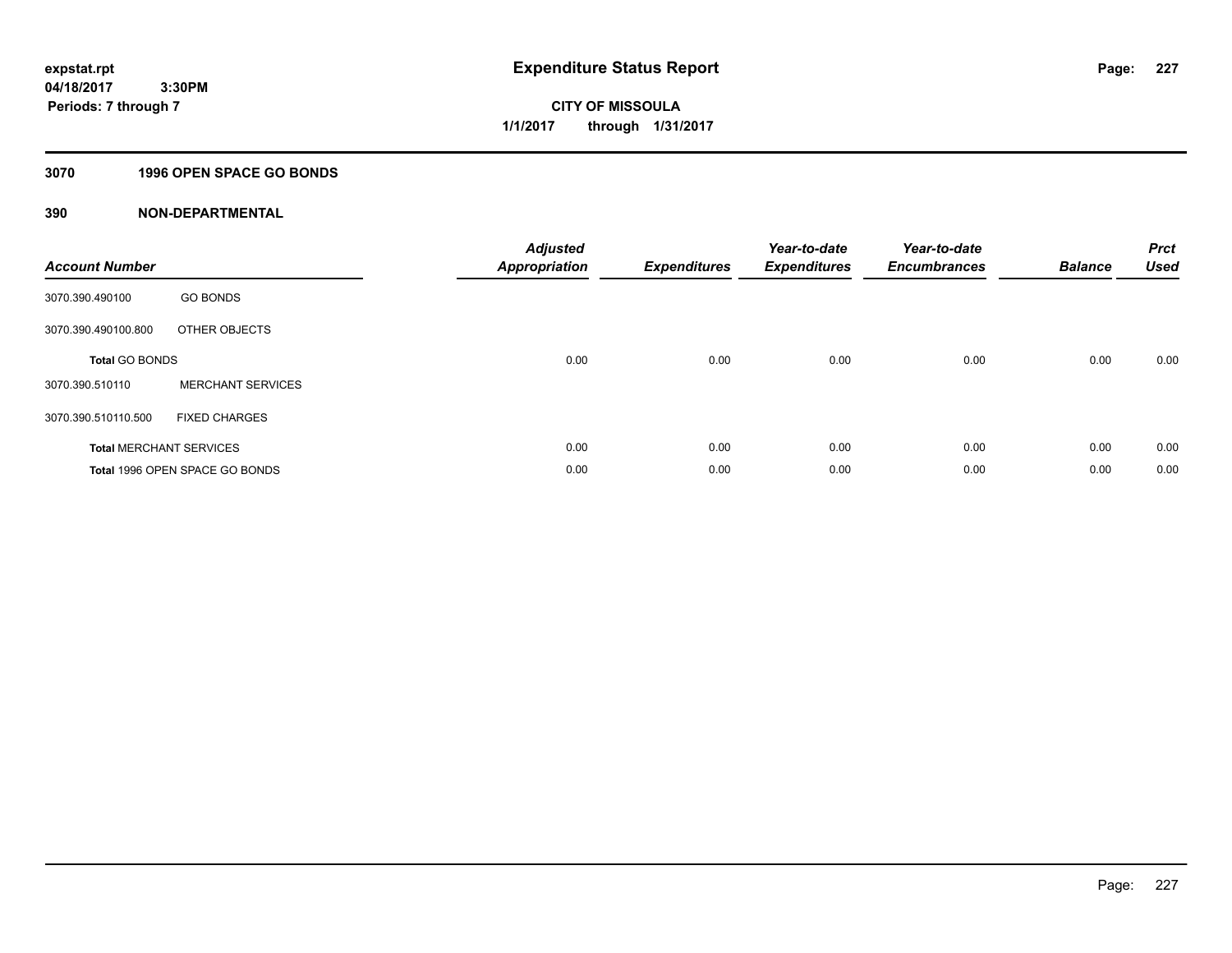# **CITY OF MISSOULA 1/1/2017 through 1/31/2017**

# **3070 1996 OPEN SPACE GO BONDS**

| <b>Account Number</b> |                                | <b>Adjusted</b><br>Appropriation | <b>Expenditures</b> | Year-to-date<br><b>Expenditures</b> | Year-to-date<br><b>Encumbrances</b> | <b>Balance</b> | <b>Prct</b><br><b>Used</b> |
|-----------------------|--------------------------------|----------------------------------|---------------------|-------------------------------------|-------------------------------------|----------------|----------------------------|
| 3070.390.490100       | <b>GO BONDS</b>                |                                  |                     |                                     |                                     |                |                            |
| 3070.390.490100.800   | OTHER OBJECTS                  |                                  |                     |                                     |                                     |                |                            |
| <b>Total GO BONDS</b> |                                | 0.00                             | 0.00                | 0.00                                | 0.00                                | 0.00           | 0.00                       |
| 3070.390.510110       | <b>MERCHANT SERVICES</b>       |                                  |                     |                                     |                                     |                |                            |
| 3070.390.510110.500   | <b>FIXED CHARGES</b>           |                                  |                     |                                     |                                     |                |                            |
|                       | <b>Total MERCHANT SERVICES</b> | 0.00                             | 0.00                | 0.00                                | 0.00                                | 0.00           | 0.00                       |
|                       | Total 1996 OPEN SPACE GO BONDS | 0.00                             | 0.00                | 0.00                                | 0.00                                | 0.00           | 0.00                       |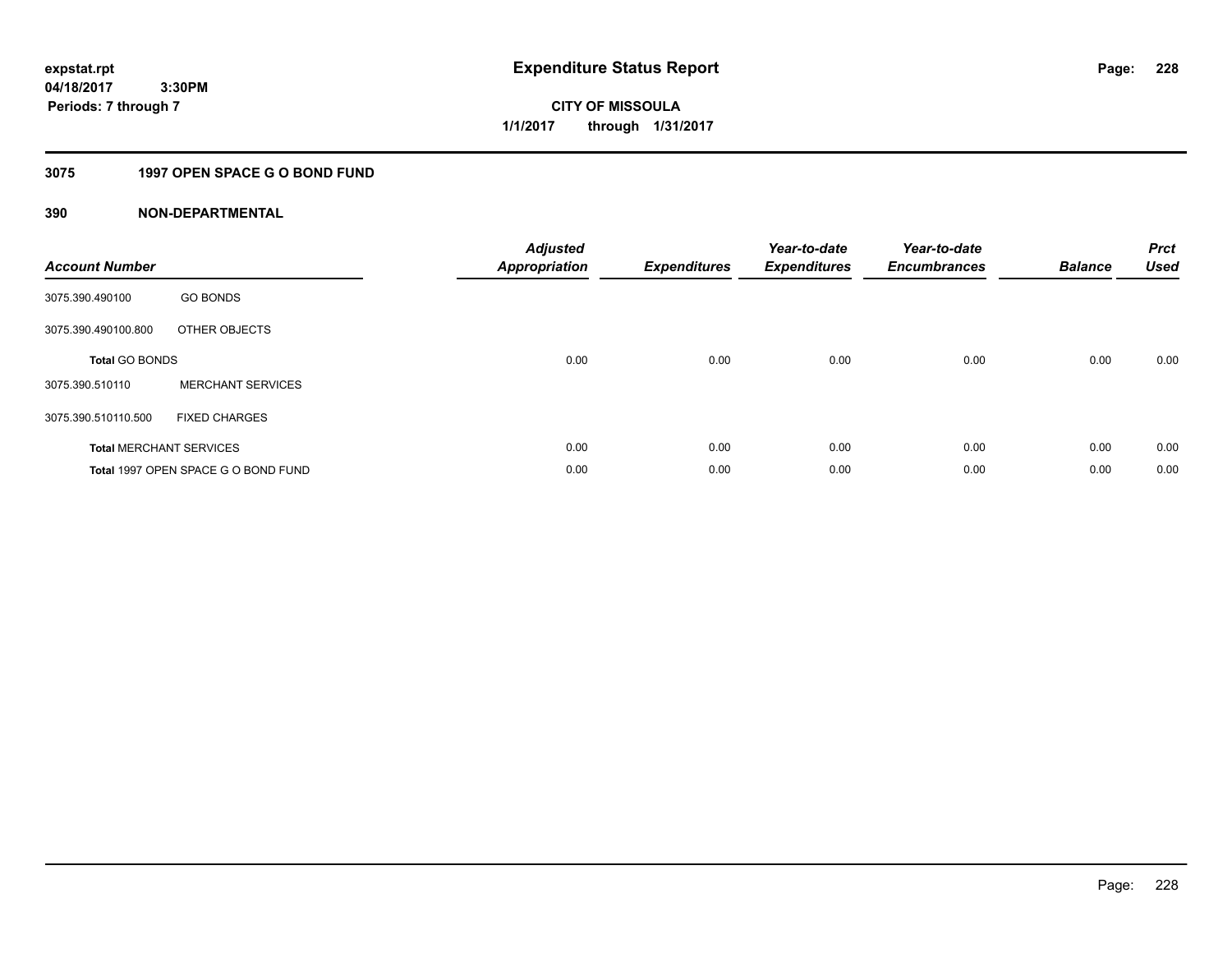**228**

**04/18/2017 3:30PM Periods: 7 through 7**

**CITY OF MISSOULA 1/1/2017 through 1/31/2017**

# **3075 1997 OPEN SPACE G O BOND FUND**

| <b>Account Number</b> |                                     | <b>Adjusted</b><br>Appropriation | <b>Expenditures</b> | Year-to-date<br><b>Expenditures</b> | Year-to-date<br><b>Encumbrances</b> | <b>Balance</b> | <b>Prct</b><br><b>Used</b> |
|-----------------------|-------------------------------------|----------------------------------|---------------------|-------------------------------------|-------------------------------------|----------------|----------------------------|
| 3075.390.490100       | <b>GO BONDS</b>                     |                                  |                     |                                     |                                     |                |                            |
| 3075.390.490100.800   | OTHER OBJECTS                       |                                  |                     |                                     |                                     |                |                            |
| <b>Total GO BONDS</b> |                                     | 0.00                             | 0.00                | 0.00                                | 0.00                                | 0.00           | 0.00                       |
| 3075.390.510110       | <b>MERCHANT SERVICES</b>            |                                  |                     |                                     |                                     |                |                            |
| 3075.390.510110.500   | <b>FIXED CHARGES</b>                |                                  |                     |                                     |                                     |                |                            |
|                       | <b>Total MERCHANT SERVICES</b>      | 0.00                             | 0.00                | 0.00                                | 0.00                                | 0.00           | 0.00                       |
|                       | Total 1997 OPEN SPACE G O BOND FUND | 0.00                             | 0.00                | 0.00                                | 0.00                                | 0.00           | 0.00                       |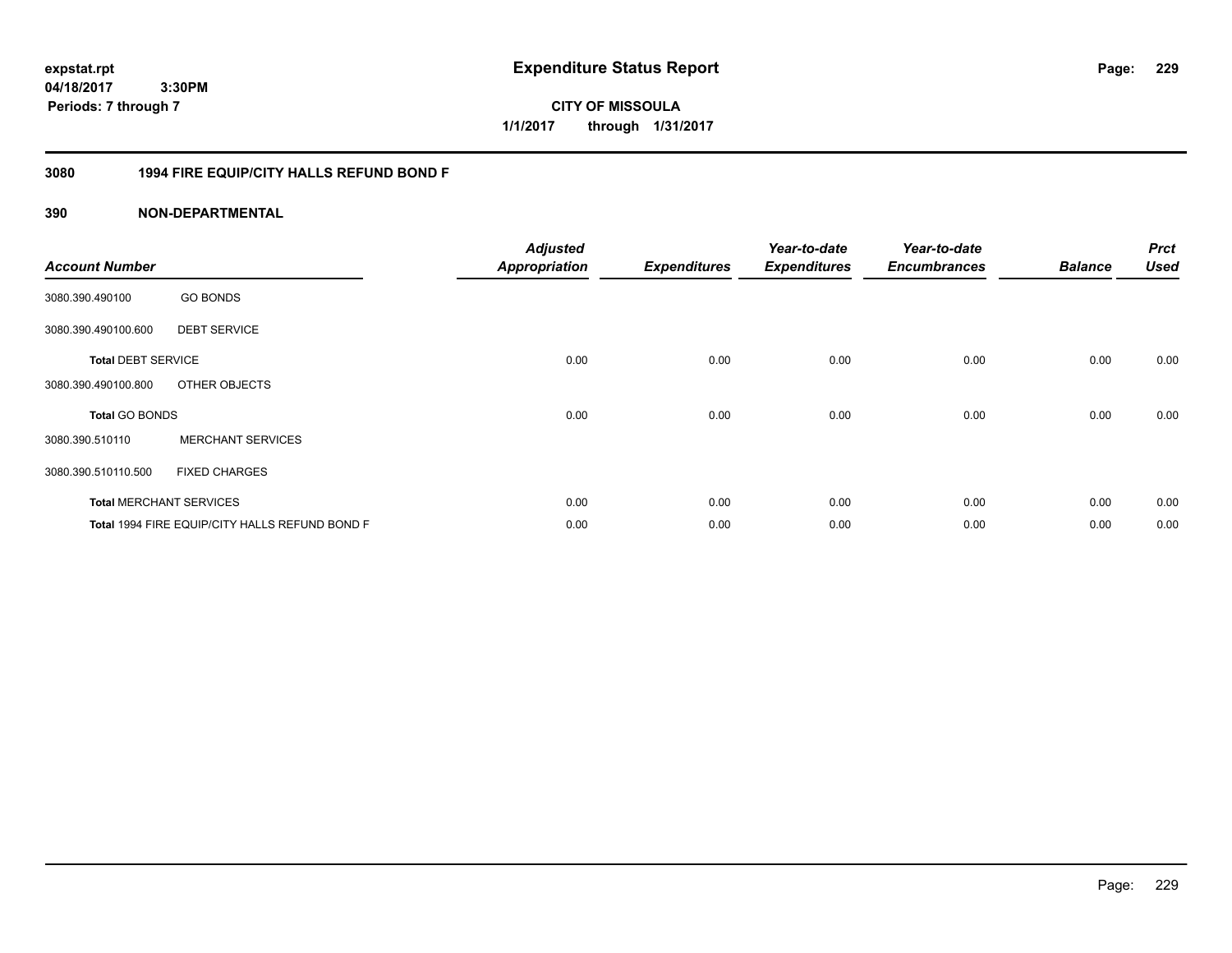**expstat.rpt Expenditure Status Report** 

**04/18/2017 3:30PM Periods: 7 through 7**

**CITY OF MISSOULA 1/1/2017 through 1/31/2017**

# **3080 1994 FIRE EQUIP/CITY HALLS REFUND BOND F**

| <b>Account Number</b>     |                                                | <b>Adjusted</b><br><b>Appropriation</b> | <b>Expenditures</b> | Year-to-date<br><b>Expenditures</b> | Year-to-date<br><b>Encumbrances</b> | <b>Balance</b> | <b>Prct</b><br><b>Used</b> |
|---------------------------|------------------------------------------------|-----------------------------------------|---------------------|-------------------------------------|-------------------------------------|----------------|----------------------------|
| 3080.390.490100           | <b>GO BONDS</b>                                |                                         |                     |                                     |                                     |                |                            |
| 3080.390.490100.600       | <b>DEBT SERVICE</b>                            |                                         |                     |                                     |                                     |                |                            |
| <b>Total DEBT SERVICE</b> |                                                | 0.00                                    | 0.00                | 0.00                                | 0.00                                | 0.00           | 0.00                       |
| 3080.390.490100.800       | OTHER OBJECTS                                  |                                         |                     |                                     |                                     |                |                            |
| <b>Total GO BONDS</b>     |                                                | 0.00                                    | 0.00                | 0.00                                | 0.00                                | 0.00           | 0.00                       |
| 3080.390.510110           | <b>MERCHANT SERVICES</b>                       |                                         |                     |                                     |                                     |                |                            |
| 3080.390.510110.500       | <b>FIXED CHARGES</b>                           |                                         |                     |                                     |                                     |                |                            |
|                           | <b>Total MERCHANT SERVICES</b>                 | 0.00                                    | 0.00                | 0.00                                | 0.00                                | 0.00           | 0.00                       |
|                           | Total 1994 FIRE EQUIP/CITY HALLS REFUND BOND F | 0.00                                    | 0.00                | 0.00                                | 0.00                                | 0.00           | 0.00                       |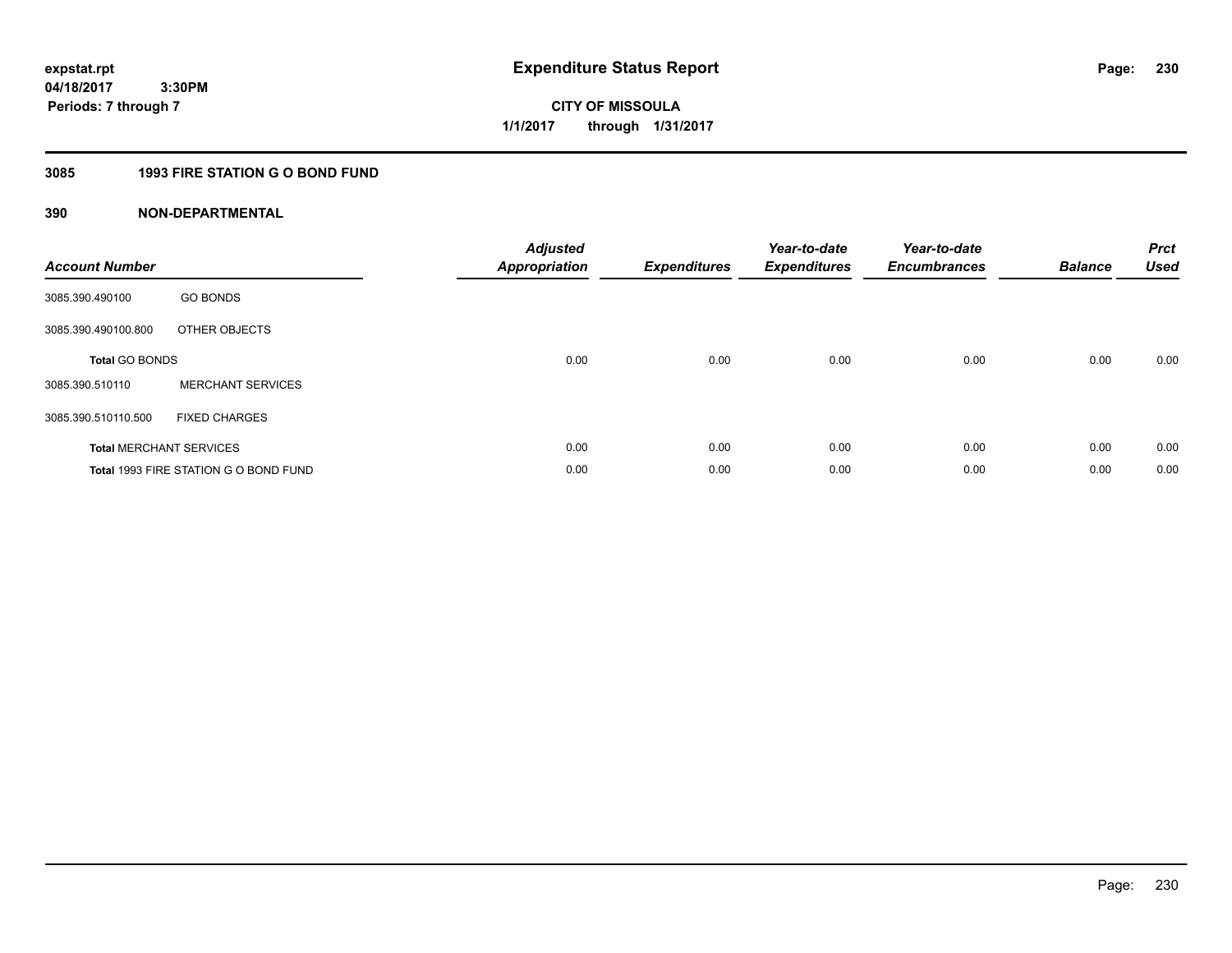**230**

**04/18/2017 3:30PM Periods: 7 through 7**

**CITY OF MISSOULA 1/1/2017 through 1/31/2017**

# **3085 1993 FIRE STATION G O BOND FUND**

| <b>Account Number</b>          |                                       | <b>Adjusted</b><br><b>Appropriation</b> | <b>Expenditures</b> | Year-to-date<br><b>Expenditures</b> | Year-to-date<br><b>Encumbrances</b> | <b>Balance</b> | <b>Prct</b><br><b>Used</b> |
|--------------------------------|---------------------------------------|-----------------------------------------|---------------------|-------------------------------------|-------------------------------------|----------------|----------------------------|
| 3085.390.490100                | <b>GO BONDS</b>                       |                                         |                     |                                     |                                     |                |                            |
| 3085.390.490100.800            | OTHER OBJECTS                         |                                         |                     |                                     |                                     |                |                            |
| <b>Total GO BONDS</b>          |                                       | 0.00                                    | 0.00                | 0.00                                | 0.00                                | 0.00           | 0.00                       |
| 3085.390.510110                | <b>MERCHANT SERVICES</b>              |                                         |                     |                                     |                                     |                |                            |
| 3085.390.510110.500            | <b>FIXED CHARGES</b>                  |                                         |                     |                                     |                                     |                |                            |
| <b>Total MERCHANT SERVICES</b> |                                       | 0.00                                    | 0.00                | 0.00                                | 0.00                                | 0.00           | 0.00                       |
|                                | Total 1993 FIRE STATION G O BOND FUND | 0.00                                    | 0.00                | 0.00                                | 0.00                                | 0.00           | 0.00                       |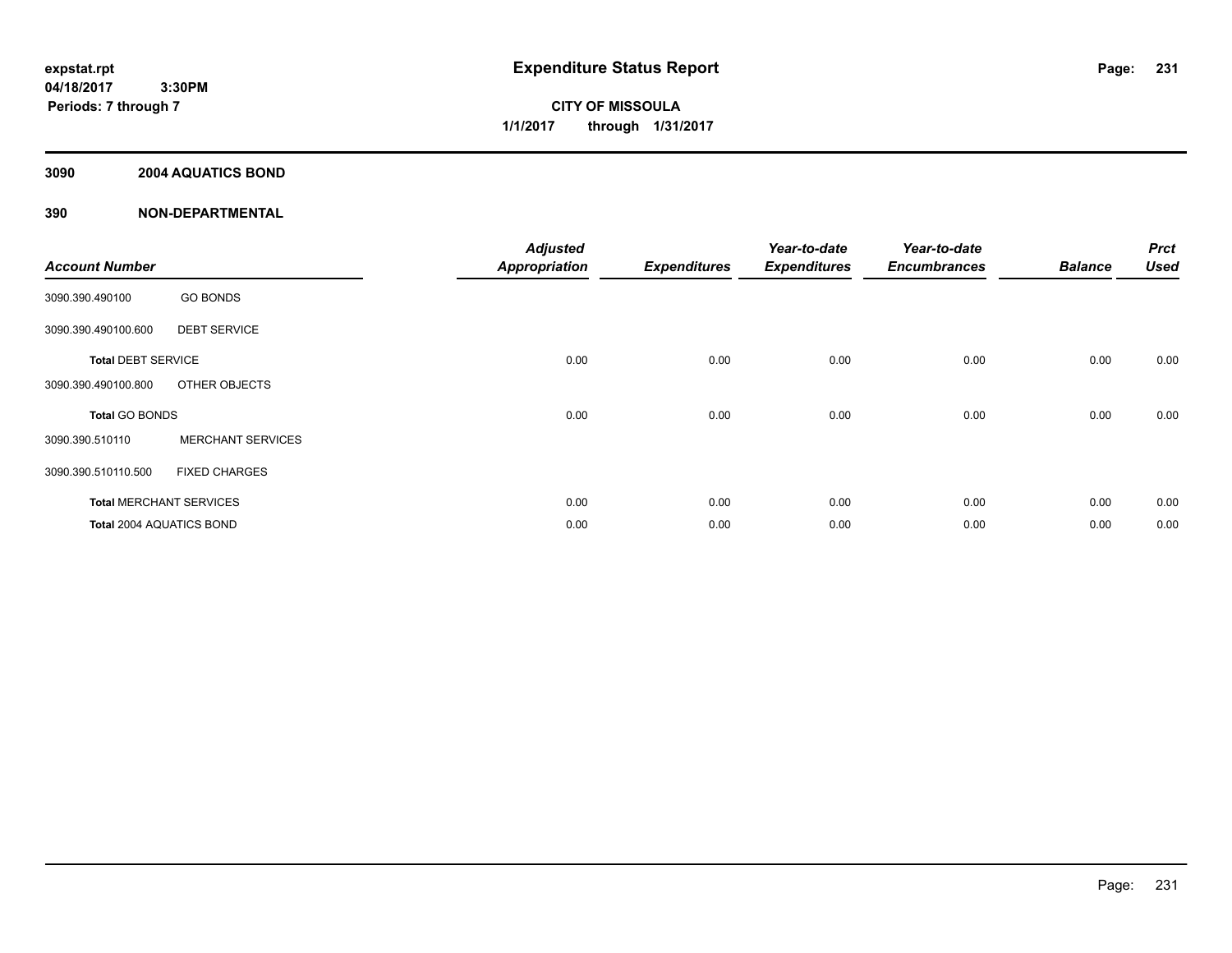**CITY OF MISSOULA 1/1/2017 through 1/31/2017**

# **3090 2004 AQUATICS BOND**

| <b>Account Number</b>          |                          | <b>Adjusted</b><br><b>Appropriation</b> | <b>Expenditures</b> | Year-to-date<br><b>Expenditures</b> | Year-to-date<br><b>Encumbrances</b> | <b>Balance</b> | <b>Prct</b><br><b>Used</b> |
|--------------------------------|--------------------------|-----------------------------------------|---------------------|-------------------------------------|-------------------------------------|----------------|----------------------------|
| 3090.390.490100                | <b>GO BONDS</b>          |                                         |                     |                                     |                                     |                |                            |
| 3090.390.490100.600            | <b>DEBT SERVICE</b>      |                                         |                     |                                     |                                     |                |                            |
| <b>Total DEBT SERVICE</b>      |                          | 0.00                                    | 0.00                | 0.00                                | 0.00                                | 0.00           | 0.00                       |
| 3090.390.490100.800            | OTHER OBJECTS            |                                         |                     |                                     |                                     |                |                            |
| <b>Total GO BONDS</b>          |                          | 0.00                                    | 0.00                | 0.00                                | 0.00                                | 0.00           | 0.00                       |
| 3090.390.510110                | <b>MERCHANT SERVICES</b> |                                         |                     |                                     |                                     |                |                            |
| 3090.390.510110.500            | <b>FIXED CHARGES</b>     |                                         |                     |                                     |                                     |                |                            |
| <b>Total MERCHANT SERVICES</b> |                          | 0.00                                    | 0.00                | 0.00                                | 0.00                                | 0.00           | 0.00                       |
| Total 2004 AQUATICS BOND       |                          | 0.00                                    | 0.00                | 0.00                                | 0.00                                | 0.00           | 0.00                       |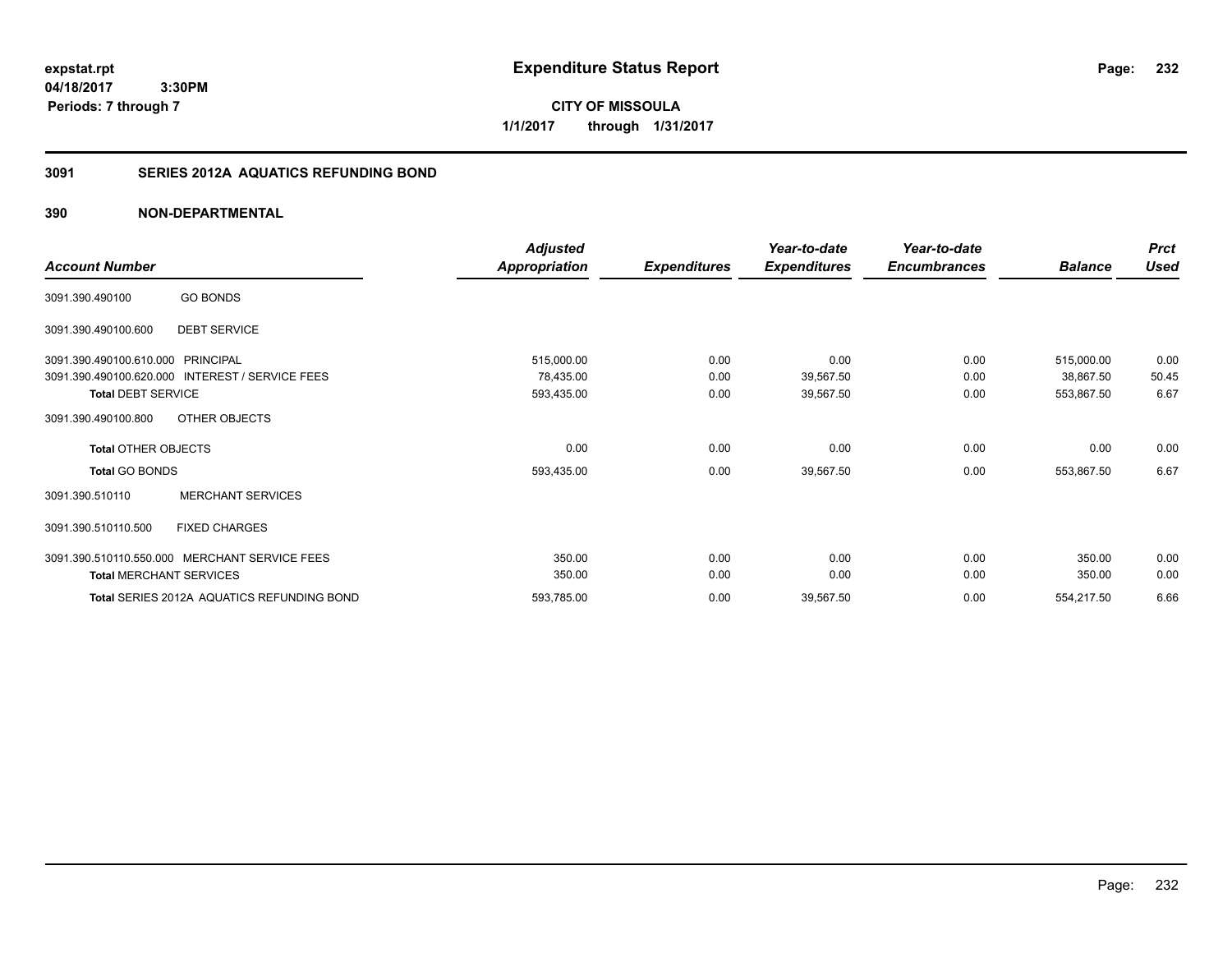**expstat.rpt Expenditure Status Report** 

**04/18/2017 3:30PM Periods: 7 through 7**

**CITY OF MISSOULA 1/1/2017 through 1/31/2017**

# **3091 SERIES 2012A AQUATICS REFUNDING BOND**

|                                                           | <b>Adjusted</b>      |                     | Year-to-date        | Year-to-date        |                | <b>Prct</b> |
|-----------------------------------------------------------|----------------------|---------------------|---------------------|---------------------|----------------|-------------|
| <b>Account Number</b>                                     | <b>Appropriation</b> | <b>Expenditures</b> | <b>Expenditures</b> | <b>Encumbrances</b> | <b>Balance</b> | <b>Used</b> |
| <b>GO BONDS</b><br>3091.390.490100                        |                      |                     |                     |                     |                |             |
| <b>DEBT SERVICE</b><br>3091.390.490100.600                |                      |                     |                     |                     |                |             |
| 3091.390.490100.610.000<br>PRINCIPAL                      | 515,000.00           | 0.00                | 0.00                | 0.00                | 515,000.00     | 0.00        |
| 3091.390.490100.620.000<br><b>INTEREST / SERVICE FEES</b> | 78,435.00            | 0.00                | 39,567.50           | 0.00                | 38,867.50      | 50.45       |
| <b>Total DEBT SERVICE</b>                                 | 593,435.00           | 0.00                | 39,567.50           | 0.00                | 553,867.50     | 6.67        |
| OTHER OBJECTS<br>3091.390.490100.800                      |                      |                     |                     |                     |                |             |
| <b>Total OTHER OBJECTS</b>                                | 0.00                 | 0.00                | 0.00                | 0.00                | 0.00           | 0.00        |
| <b>Total GO BONDS</b>                                     | 593,435.00           | 0.00                | 39,567.50           | 0.00                | 553,867.50     | 6.67        |
| <b>MERCHANT SERVICES</b><br>3091.390.510110               |                      |                     |                     |                     |                |             |
| <b>FIXED CHARGES</b><br>3091.390.510110.500               |                      |                     |                     |                     |                |             |
| MERCHANT SERVICE FEES<br>3091.390.510110.550.000          | 350.00               | 0.00                | 0.00                | 0.00                | 350.00         | 0.00        |
| <b>Total MERCHANT SERVICES</b>                            | 350.00               | 0.00                | 0.00                | 0.00                | 350.00         | 0.00        |
| Total SERIES 2012A AQUATICS REFUNDING BOND                | 593,785.00           | 0.00                | 39,567.50           | 0.00                | 554,217.50     | 6.66        |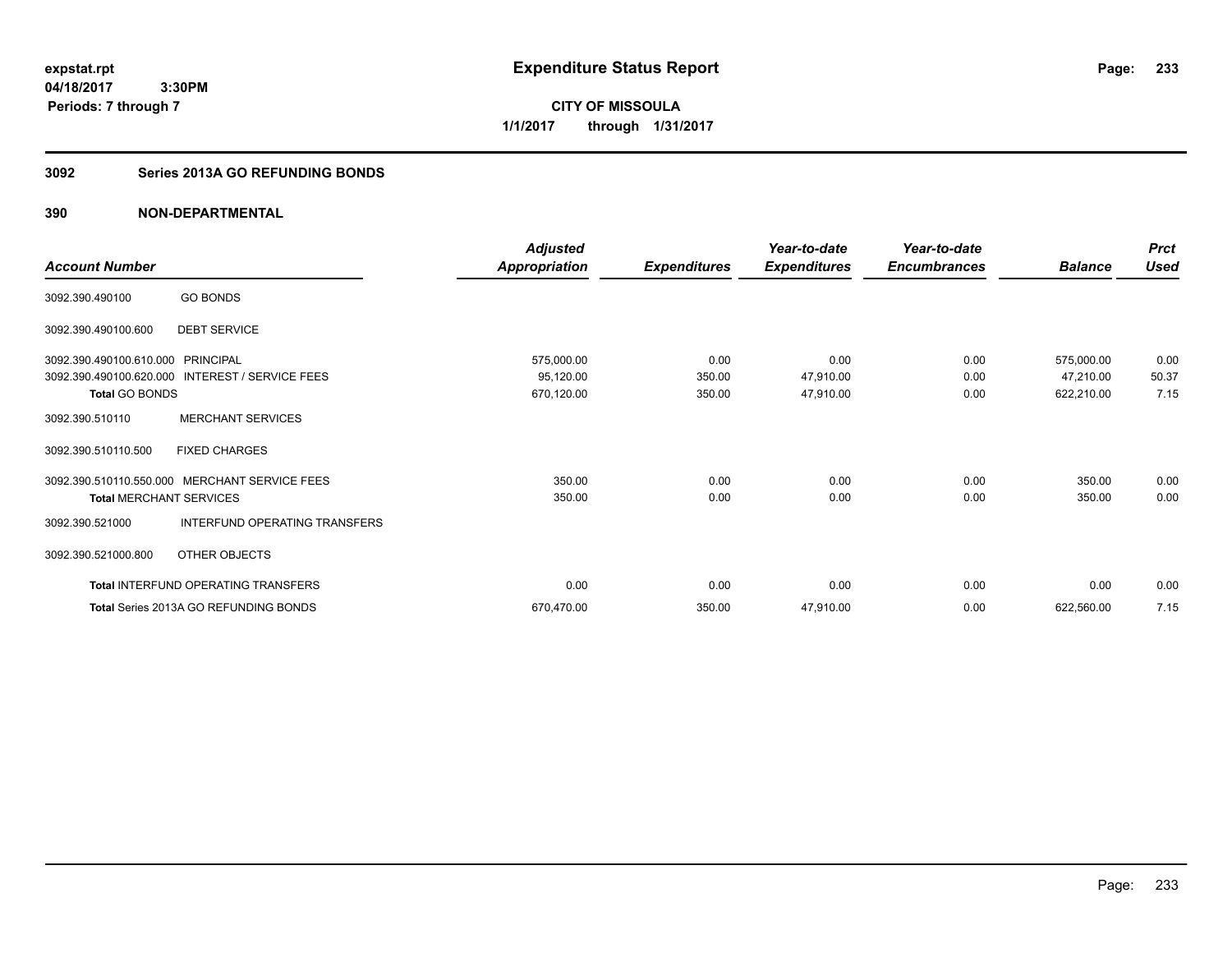**CITY OF MISSOULA 1/1/2017 through 1/31/2017**

# **3092 Series 2013A GO REFUNDING BONDS**

|                                   |                                                 | Adjusted             |                     | Year-to-date        | Year-to-date        |                | <b>Prct</b> |
|-----------------------------------|-------------------------------------------------|----------------------|---------------------|---------------------|---------------------|----------------|-------------|
| <b>Account Number</b>             |                                                 | <b>Appropriation</b> | <b>Expenditures</b> | <b>Expenditures</b> | <b>Encumbrances</b> | <b>Balance</b> | <b>Used</b> |
| 3092.390.490100                   | <b>GO BONDS</b>                                 |                      |                     |                     |                     |                |             |
| 3092.390.490100.600               | <b>DEBT SERVICE</b>                             |                      |                     |                     |                     |                |             |
| 3092.390.490100.610.000 PRINCIPAL |                                                 | 575,000.00           | 0.00                | 0.00                | 0.00                | 575,000.00     | 0.00        |
|                                   | 3092.390.490100.620.000 INTEREST / SERVICE FEES | 95,120.00            | 350.00              | 47,910.00           | 0.00                | 47,210.00      | 50.37       |
| <b>Total GO BONDS</b>             |                                                 | 670,120.00           | 350.00              | 47,910.00           | 0.00                | 622,210.00     | 7.15        |
| 3092.390.510110                   | <b>MERCHANT SERVICES</b>                        |                      |                     |                     |                     |                |             |
| 3092.390.510110.500               | <b>FIXED CHARGES</b>                            |                      |                     |                     |                     |                |             |
|                                   | 3092.390.510110.550.000 MERCHANT SERVICE FEES   | 350.00               | 0.00                | 0.00                | 0.00                | 350.00         | 0.00        |
| <b>Total MERCHANT SERVICES</b>    |                                                 | 350.00               | 0.00                | 0.00                | 0.00                | 350.00         | 0.00        |
| 3092.390.521000                   | INTERFUND OPERATING TRANSFERS                   |                      |                     |                     |                     |                |             |
| 3092.390.521000.800               | OTHER OBJECTS                                   |                      |                     |                     |                     |                |             |
|                                   | <b>Total INTERFUND OPERATING TRANSFERS</b>      | 0.00                 | 0.00                | 0.00                | 0.00                | 0.00           | 0.00        |
|                                   | Total Series 2013A GO REFUNDING BONDS           | 670,470.00           | 350.00              | 47,910.00           | 0.00                | 622,560.00     | 7.15        |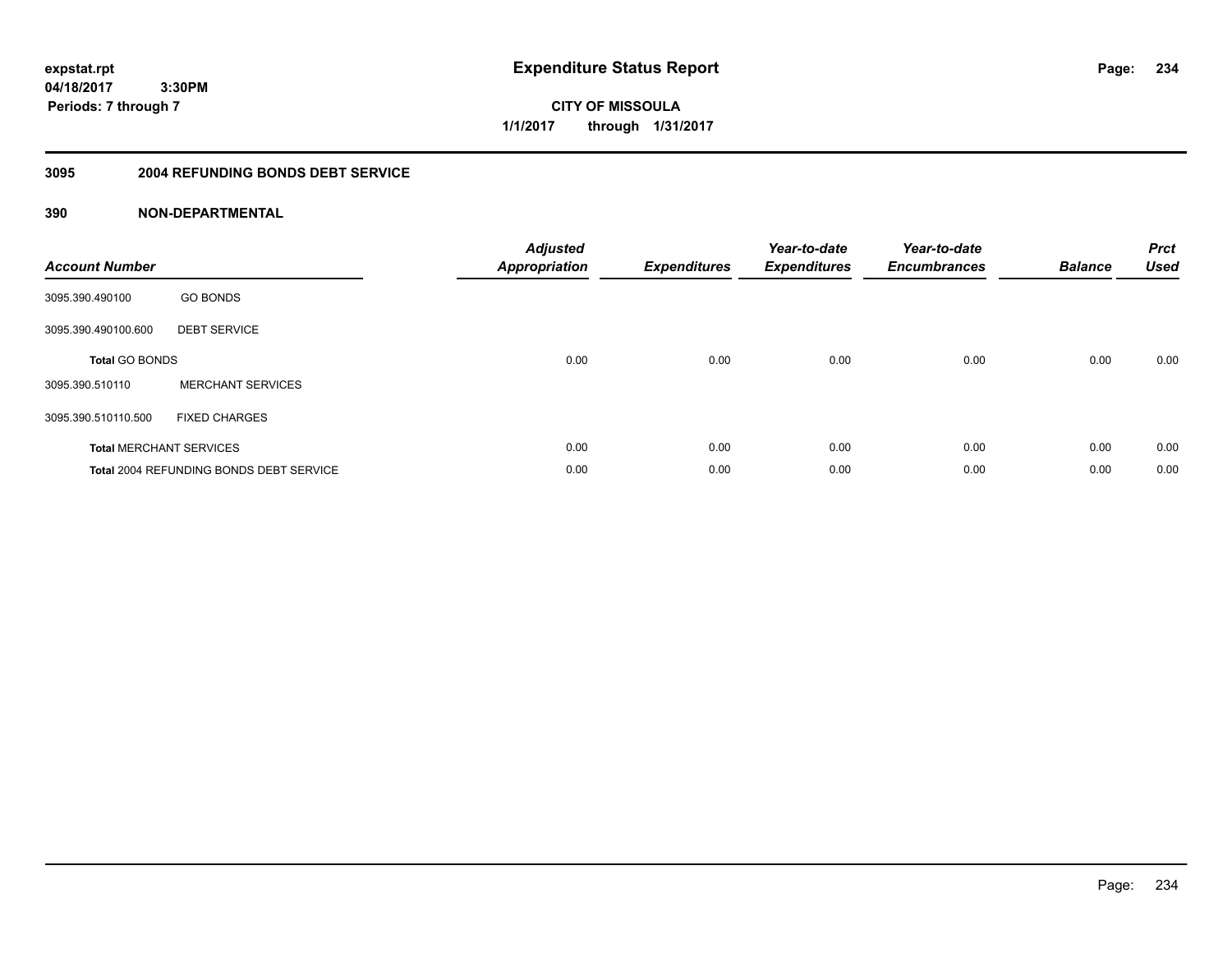**expstat.rpt Expenditure Status Report** 

**04/18/2017 3:30PM Periods: 7 through 7**

**CITY OF MISSOULA 1/1/2017 through 1/31/2017**

### **3095 2004 REFUNDING BONDS DEBT SERVICE**

| <b>Account Number</b> |                                                | <b>Adjusted</b><br>Appropriation | <b>Expenditures</b> | Year-to-date<br><b>Expenditures</b> | Year-to-date<br><b>Encumbrances</b> | <b>Balance</b> | <b>Prct</b><br><b>Used</b> |
|-----------------------|------------------------------------------------|----------------------------------|---------------------|-------------------------------------|-------------------------------------|----------------|----------------------------|
| 3095.390.490100       | <b>GO BONDS</b>                                |                                  |                     |                                     |                                     |                |                            |
| 3095.390.490100.600   | <b>DEBT SERVICE</b>                            |                                  |                     |                                     |                                     |                |                            |
| <b>Total GO BONDS</b> |                                                | 0.00                             | 0.00                | 0.00                                | 0.00                                | 0.00           | 0.00                       |
| 3095.390.510110       | <b>MERCHANT SERVICES</b>                       |                                  |                     |                                     |                                     |                |                            |
| 3095.390.510110.500   | <b>FIXED CHARGES</b>                           |                                  |                     |                                     |                                     |                |                            |
|                       | <b>Total MERCHANT SERVICES</b>                 | 0.00                             | 0.00                | 0.00                                | 0.00                                | 0.00           | 0.00                       |
|                       | <b>Total 2004 REFUNDING BONDS DEBT SERVICE</b> | 0.00                             | 0.00                | 0.00                                | 0.00                                | 0.00           | 0.00                       |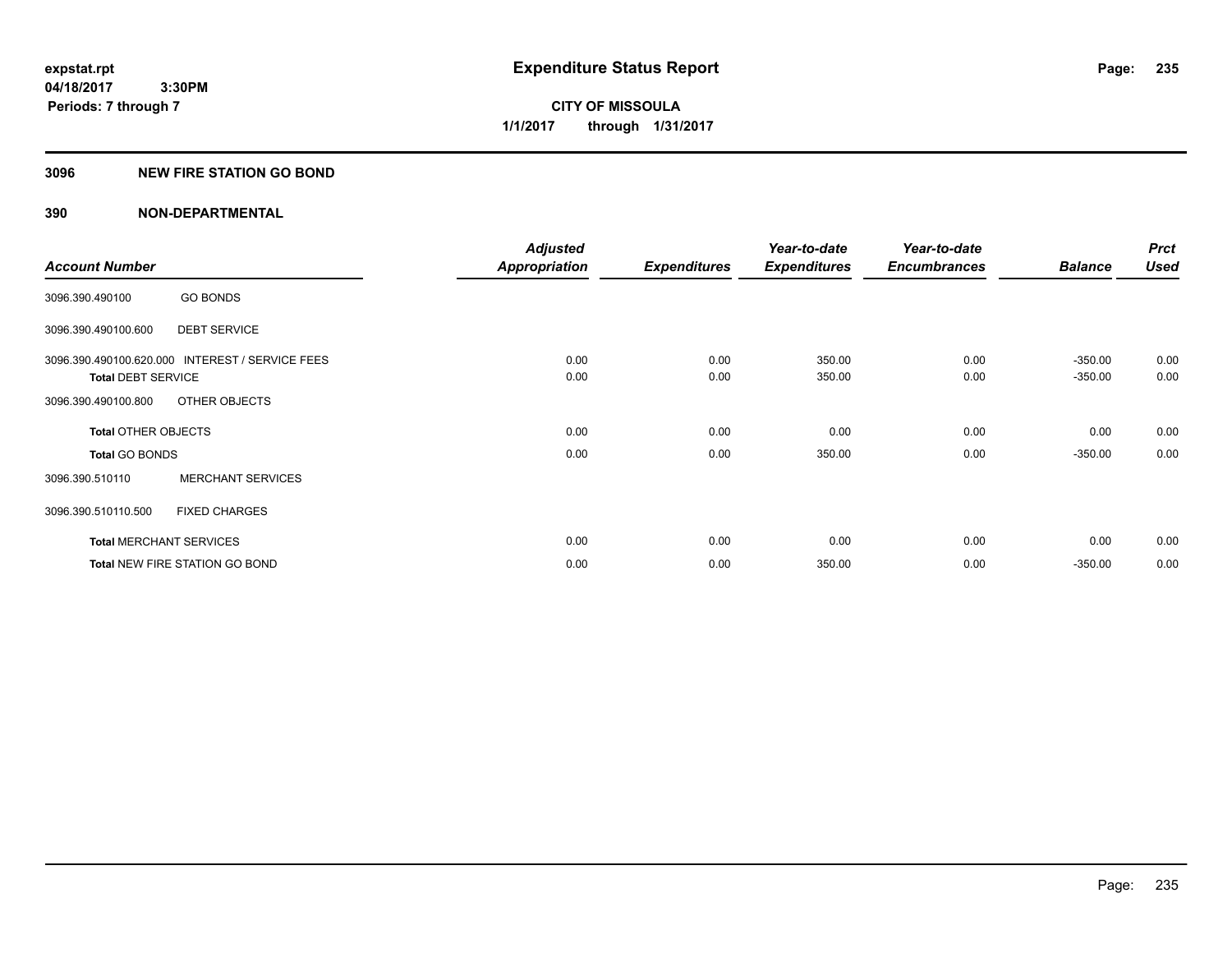# **CITY OF MISSOULA 1/1/2017 through 1/31/2017**

### **3096 NEW FIRE STATION GO BOND**

|                                                 | <b>Adjusted</b>      |                     | Year-to-date        | Year-to-date        |                | <b>Prct</b> |
|-------------------------------------------------|----------------------|---------------------|---------------------|---------------------|----------------|-------------|
| <b>Account Number</b>                           | <b>Appropriation</b> | <b>Expenditures</b> | <b>Expenditures</b> | <b>Encumbrances</b> | <b>Balance</b> | <b>Used</b> |
| <b>GO BONDS</b><br>3096.390.490100              |                      |                     |                     |                     |                |             |
| <b>DEBT SERVICE</b><br>3096.390.490100.600      |                      |                     |                     |                     |                |             |
| 3096.390.490100.620.000 INTEREST / SERVICE FEES | 0.00                 | 0.00                | 350.00              | 0.00                | $-350.00$      | 0.00        |
| <b>Total DEBT SERVICE</b>                       | 0.00                 | 0.00                | 350.00              | 0.00                | $-350.00$      | 0.00        |
| OTHER OBJECTS<br>3096.390.490100.800            |                      |                     |                     |                     |                |             |
| <b>Total OTHER OBJECTS</b>                      | 0.00                 | 0.00                | 0.00                | 0.00                | 0.00           | 0.00        |
| <b>Total GO BONDS</b>                           | 0.00                 | 0.00                | 350.00              | 0.00                | $-350.00$      | 0.00        |
| <b>MERCHANT SERVICES</b><br>3096.390.510110     |                      |                     |                     |                     |                |             |
| 3096.390.510110.500<br><b>FIXED CHARGES</b>     |                      |                     |                     |                     |                |             |
| <b>Total MERCHANT SERVICES</b>                  | 0.00                 | 0.00                | 0.00                | 0.00                | 0.00           | 0.00        |
| <b>Total NEW FIRE STATION GO BOND</b>           | 0.00                 | 0.00                | 350.00              | 0.00                | $-350.00$      | 0.00        |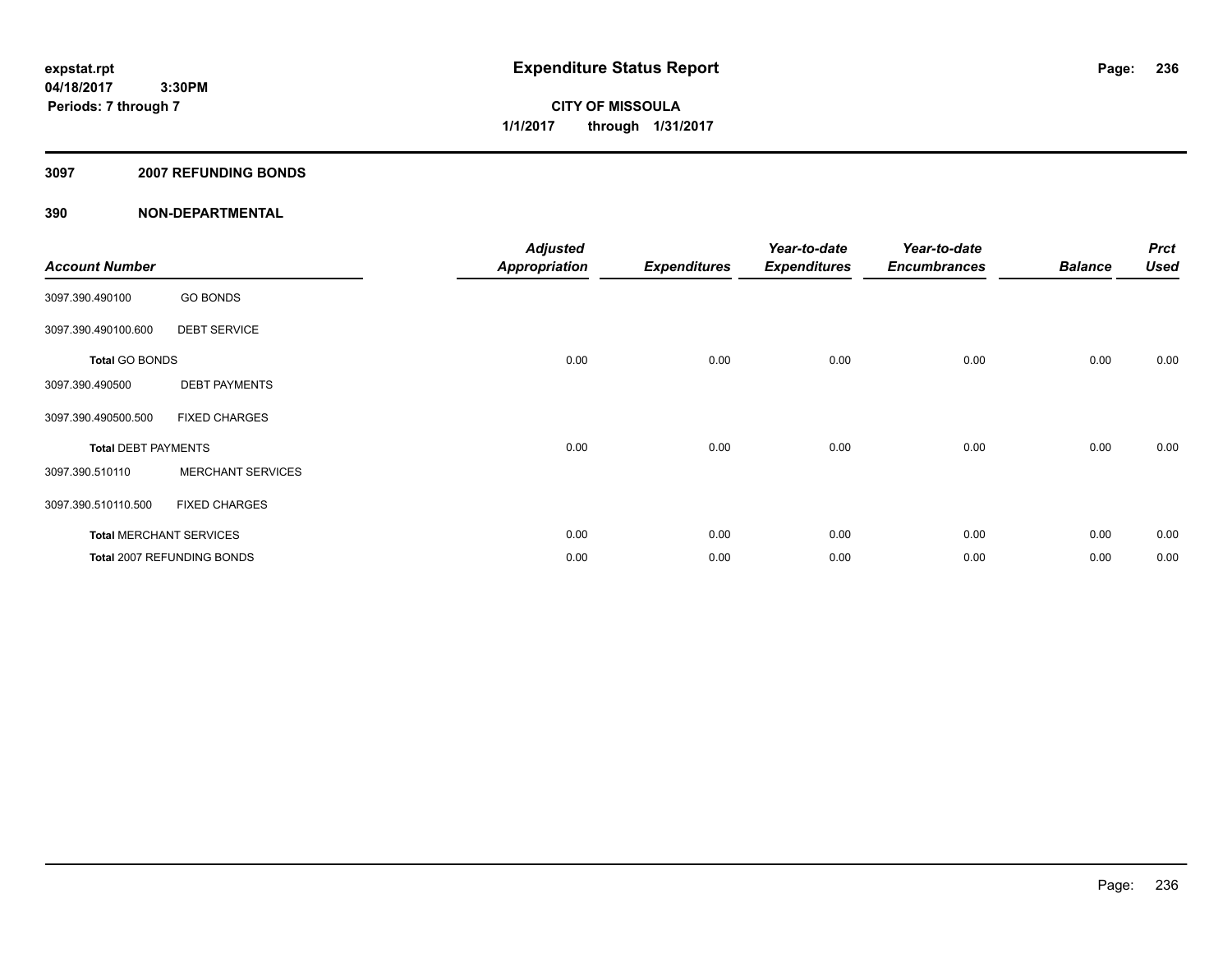**CITY OF MISSOULA 1/1/2017 through 1/31/2017**

### **3097 2007 REFUNDING BONDS**

| <b>Account Number</b>      |                                | <b>Adjusted</b><br><b>Appropriation</b> | <b>Expenditures</b> | Year-to-date<br><b>Expenditures</b> | Year-to-date<br><b>Encumbrances</b> | <b>Balance</b> | <b>Prct</b><br><b>Used</b> |
|----------------------------|--------------------------------|-----------------------------------------|---------------------|-------------------------------------|-------------------------------------|----------------|----------------------------|
| 3097.390.490100            | <b>GO BONDS</b>                |                                         |                     |                                     |                                     |                |                            |
| 3097.390.490100.600        | <b>DEBT SERVICE</b>            |                                         |                     |                                     |                                     |                |                            |
| <b>Total GO BONDS</b>      |                                | 0.00                                    | 0.00                | 0.00                                | 0.00                                | 0.00           | 0.00                       |
| 3097.390.490500            | <b>DEBT PAYMENTS</b>           |                                         |                     |                                     |                                     |                |                            |
| 3097.390.490500.500        | <b>FIXED CHARGES</b>           |                                         |                     |                                     |                                     |                |                            |
| <b>Total DEBT PAYMENTS</b> |                                | 0.00                                    | 0.00                | 0.00                                | 0.00                                | 0.00           | 0.00                       |
| 3097.390.510110            | <b>MERCHANT SERVICES</b>       |                                         |                     |                                     |                                     |                |                            |
| 3097.390.510110.500        | <b>FIXED CHARGES</b>           |                                         |                     |                                     |                                     |                |                            |
|                            | <b>Total MERCHANT SERVICES</b> | 0.00                                    | 0.00                | 0.00                                | 0.00                                | 0.00           | 0.00                       |
|                            | Total 2007 REFUNDING BONDS     | 0.00                                    | 0.00                | 0.00                                | 0.00                                | 0.00           | 0.00                       |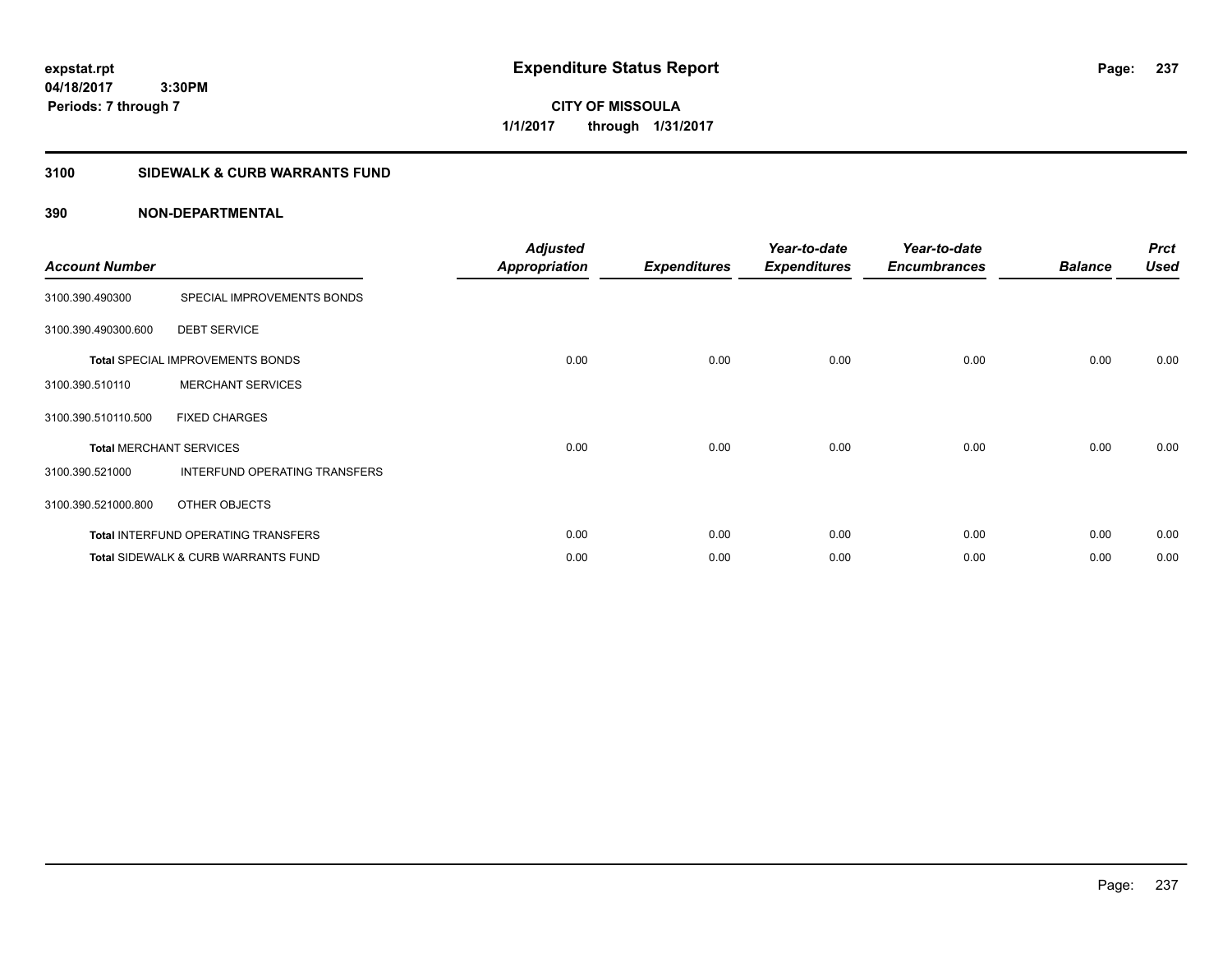**CITY OF MISSOULA 1/1/2017 through 1/31/2017**

# **3100 SIDEWALK & CURB WARRANTS FUND**

| <b>Account Number</b>          |                                                | <b>Adjusted</b><br><b>Appropriation</b> | <b>Expenditures</b> | Year-to-date<br><b>Expenditures</b> | Year-to-date<br><b>Encumbrances</b> | <b>Balance</b> | <b>Prct</b><br><b>Used</b> |
|--------------------------------|------------------------------------------------|-----------------------------------------|---------------------|-------------------------------------|-------------------------------------|----------------|----------------------------|
| 3100.390.490300                | SPECIAL IMPROVEMENTS BONDS                     |                                         |                     |                                     |                                     |                |                            |
| 3100.390.490300.600            | <b>DEBT SERVICE</b>                            |                                         |                     |                                     |                                     |                |                            |
|                                | <b>Total SPECIAL IMPROVEMENTS BONDS</b>        | 0.00                                    | 0.00                | 0.00                                | 0.00                                | 0.00           | 0.00                       |
| 3100.390.510110                | <b>MERCHANT SERVICES</b>                       |                                         |                     |                                     |                                     |                |                            |
| 3100.390.510110.500            | <b>FIXED CHARGES</b>                           |                                         |                     |                                     |                                     |                |                            |
| <b>Total MERCHANT SERVICES</b> |                                                | 0.00                                    | 0.00                | 0.00                                | 0.00                                | 0.00           | 0.00                       |
| 3100.390.521000                | INTERFUND OPERATING TRANSFERS                  |                                         |                     |                                     |                                     |                |                            |
| 3100.390.521000.800            | OTHER OBJECTS                                  |                                         |                     |                                     |                                     |                |                            |
|                                | Total INTERFUND OPERATING TRANSFERS            | 0.00                                    | 0.00                | 0.00                                | 0.00                                | 0.00           | 0.00                       |
|                                | <b>Total SIDEWALK &amp; CURB WARRANTS FUND</b> | 0.00                                    | 0.00                | 0.00                                | 0.00                                | 0.00           | 0.00                       |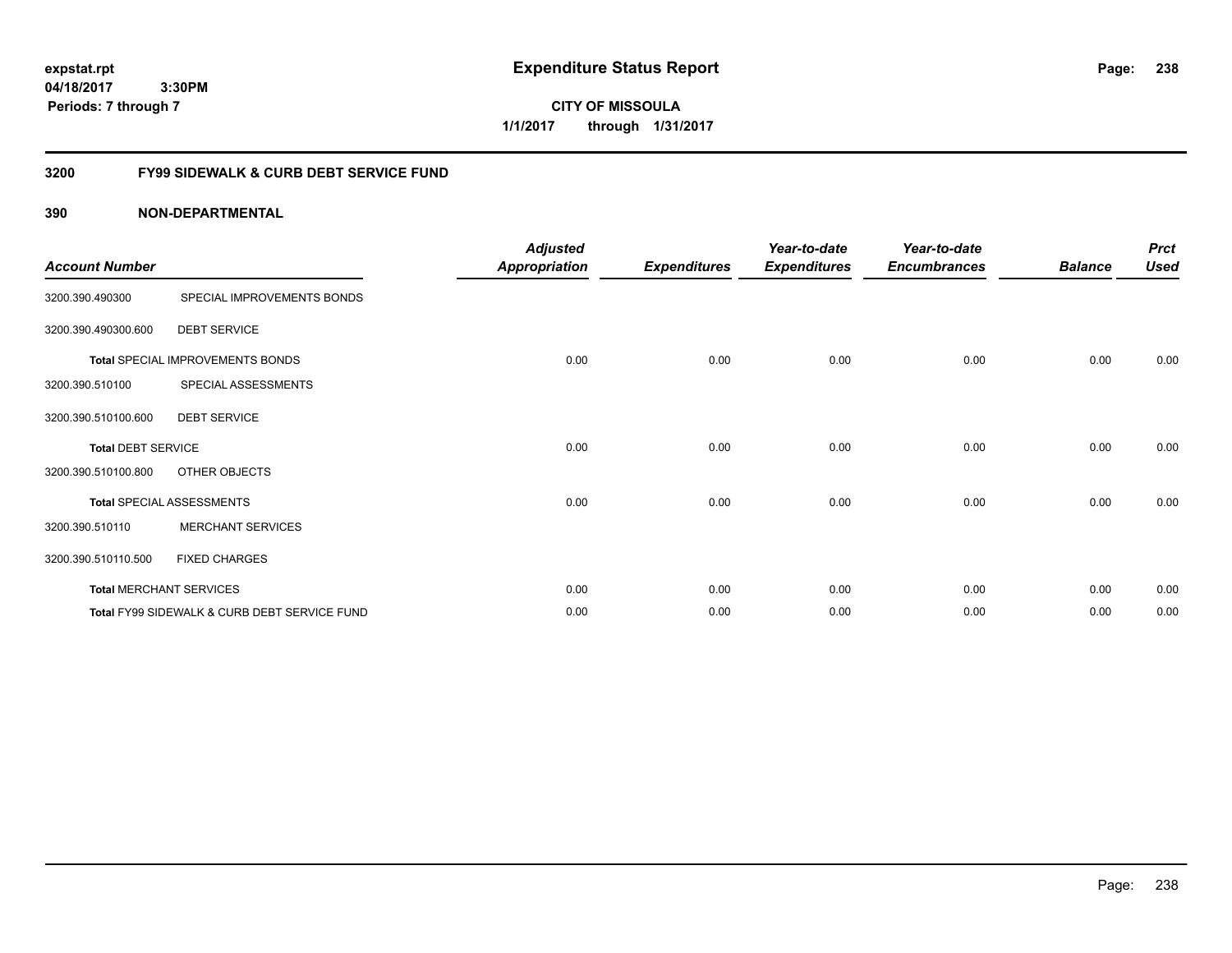**CITY OF MISSOULA 1/1/2017 through 1/31/2017**

# **3200 FY99 SIDEWALK & CURB DEBT SERVICE FUND**

| <b>Account Number</b>     |                                              | <b>Adjusted</b><br>Appropriation | <b>Expenditures</b> | Year-to-date<br><b>Expenditures</b> | Year-to-date<br><b>Encumbrances</b> | <b>Balance</b> | <b>Prct</b><br><b>Used</b> |
|---------------------------|----------------------------------------------|----------------------------------|---------------------|-------------------------------------|-------------------------------------|----------------|----------------------------|
| 3200.390.490300           | SPECIAL IMPROVEMENTS BONDS                   |                                  |                     |                                     |                                     |                |                            |
| 3200.390.490300.600       | <b>DEBT SERVICE</b>                          |                                  |                     |                                     |                                     |                |                            |
|                           | Total SPECIAL IMPROVEMENTS BONDS             | 0.00                             | 0.00                | 0.00                                | 0.00                                | 0.00           | 0.00                       |
| 3200.390.510100           | SPECIAL ASSESSMENTS                          |                                  |                     |                                     |                                     |                |                            |
| 3200.390.510100.600       | <b>DEBT SERVICE</b>                          |                                  |                     |                                     |                                     |                |                            |
| <b>Total DEBT SERVICE</b> |                                              | 0.00                             | 0.00                | 0.00                                | 0.00                                | 0.00           | 0.00                       |
| 3200.390.510100.800       | OTHER OBJECTS                                |                                  |                     |                                     |                                     |                |                            |
|                           | <b>Total SPECIAL ASSESSMENTS</b>             | 0.00                             | 0.00                | 0.00                                | 0.00                                | 0.00           | 0.00                       |
| 3200.390.510110           | <b>MERCHANT SERVICES</b>                     |                                  |                     |                                     |                                     |                |                            |
| 3200.390.510110.500       | <b>FIXED CHARGES</b>                         |                                  |                     |                                     |                                     |                |                            |
|                           | <b>Total MERCHANT SERVICES</b>               | 0.00                             | 0.00                | 0.00                                | 0.00                                | 0.00           | 0.00                       |
|                           | Total FY99 SIDEWALK & CURB DEBT SERVICE FUND | 0.00                             | 0.00                | 0.00                                | 0.00                                | 0.00           | 0.00                       |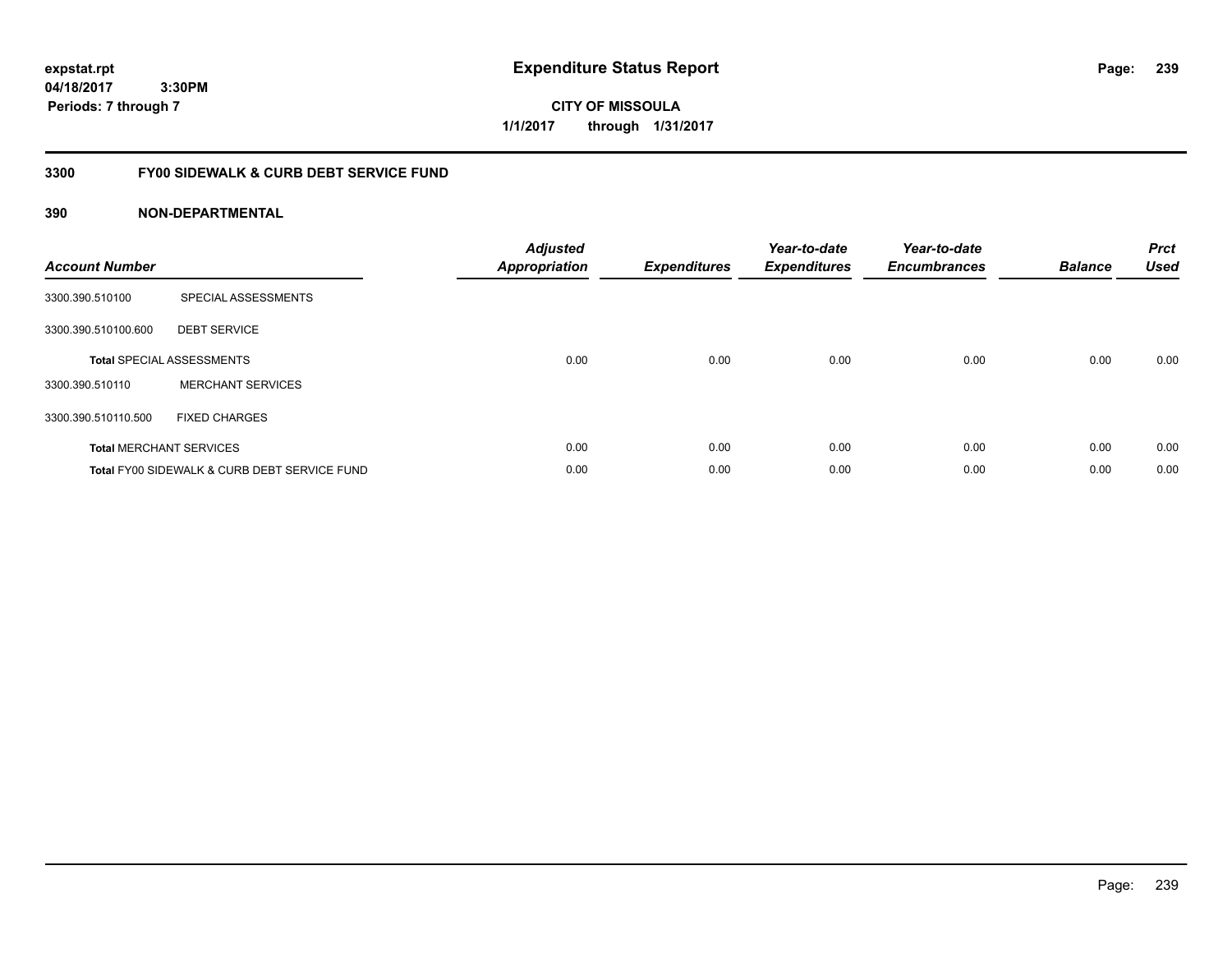**CITY OF MISSOULA 1/1/2017 through 1/31/2017**

# **3300 FY00 SIDEWALK & CURB DEBT SERVICE FUND**

| <b>Account Number</b> |                                              | <b>Adjusted</b><br><b>Appropriation</b> | <b>Expenditures</b> | Year-to-date<br><b>Expenditures</b> | Year-to-date<br><b>Encumbrances</b> | <b>Balance</b> | <b>Prct</b><br><b>Used</b> |
|-----------------------|----------------------------------------------|-----------------------------------------|---------------------|-------------------------------------|-------------------------------------|----------------|----------------------------|
| 3300.390.510100       | SPECIAL ASSESSMENTS                          |                                         |                     |                                     |                                     |                |                            |
| 3300.390.510100.600   | <b>DEBT SERVICE</b>                          |                                         |                     |                                     |                                     |                |                            |
|                       | <b>Total SPECIAL ASSESSMENTS</b>             | 0.00                                    | 0.00                | 0.00                                | 0.00                                | 0.00           | 0.00                       |
| 3300.390.510110       | <b>MERCHANT SERVICES</b>                     |                                         |                     |                                     |                                     |                |                            |
| 3300.390.510110.500   | <b>FIXED CHARGES</b>                         |                                         |                     |                                     |                                     |                |                            |
|                       | <b>Total MERCHANT SERVICES</b>               | 0.00                                    | 0.00                | 0.00                                | 0.00                                | 0.00           | 0.00                       |
|                       | Total FY00 SIDEWALK & CURB DEBT SERVICE FUND | 0.00                                    | 0.00                | 0.00                                | 0.00                                | 0.00           | 0.00                       |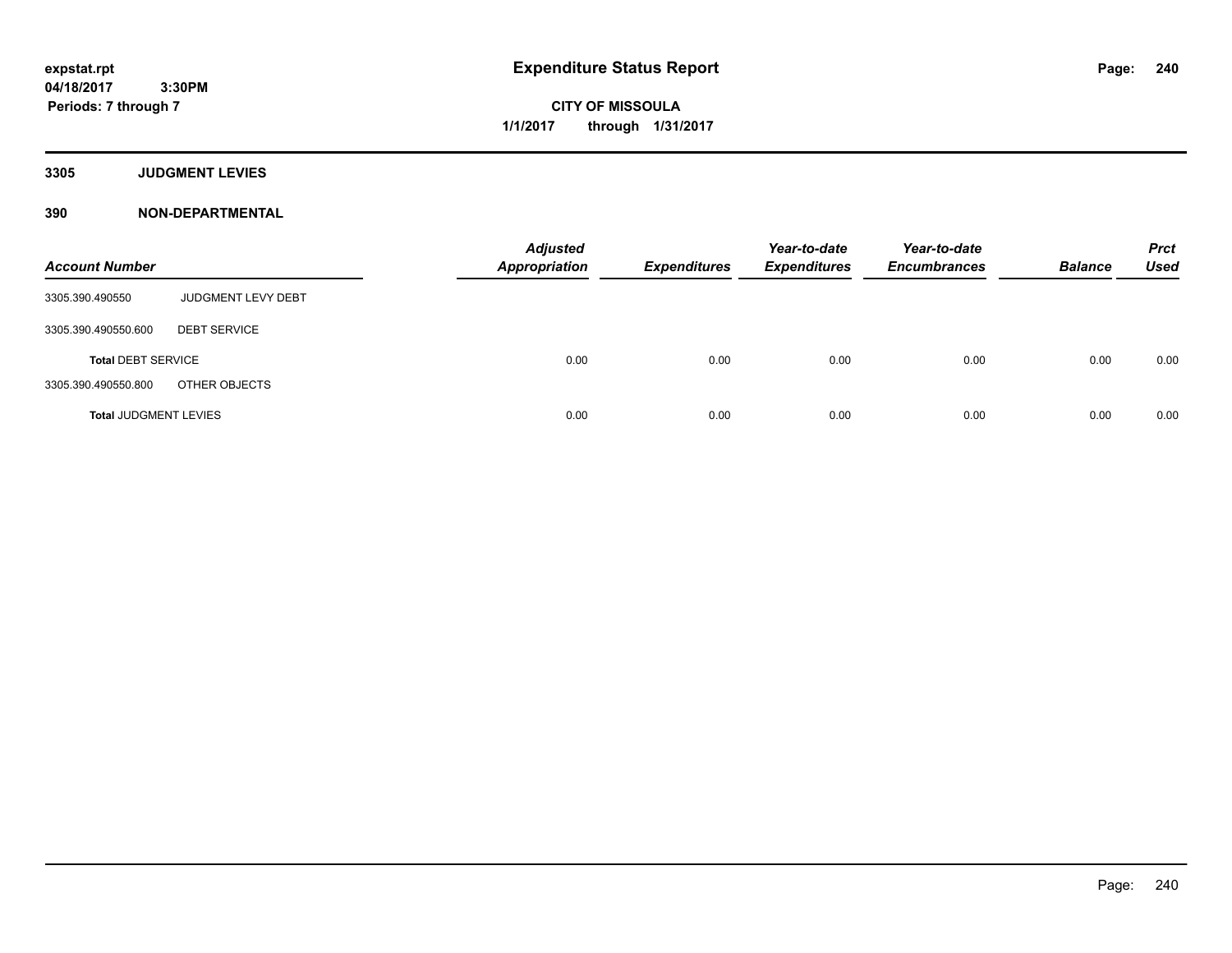**CITY OF MISSOULA 1/1/2017 through 1/31/2017**

**3305 JUDGMENT LEVIES**

| <b>Account Number</b>        |                           | <b>Adjusted</b><br><b>Appropriation</b> | <b>Expenditures</b> | Year-to-date<br><b>Expenditures</b> | Year-to-date<br><b>Encumbrances</b> | <b>Balance</b> | <b>Prct</b><br><b>Used</b> |
|------------------------------|---------------------------|-----------------------------------------|---------------------|-------------------------------------|-------------------------------------|----------------|----------------------------|
| 3305.390.490550              | <b>JUDGMENT LEVY DEBT</b> |                                         |                     |                                     |                                     |                |                            |
| 3305.390.490550.600          | <b>DEBT SERVICE</b>       |                                         |                     |                                     |                                     |                |                            |
| <b>Total DEBT SERVICE</b>    |                           | 0.00                                    | 0.00                | 0.00                                | 0.00                                | 0.00           | 0.00                       |
| 3305.390.490550.800          | OTHER OBJECTS             |                                         |                     |                                     |                                     |                |                            |
| <b>Total JUDGMENT LEVIES</b> |                           | 0.00                                    | 0.00                | 0.00                                | 0.00                                | 0.00           | 0.00                       |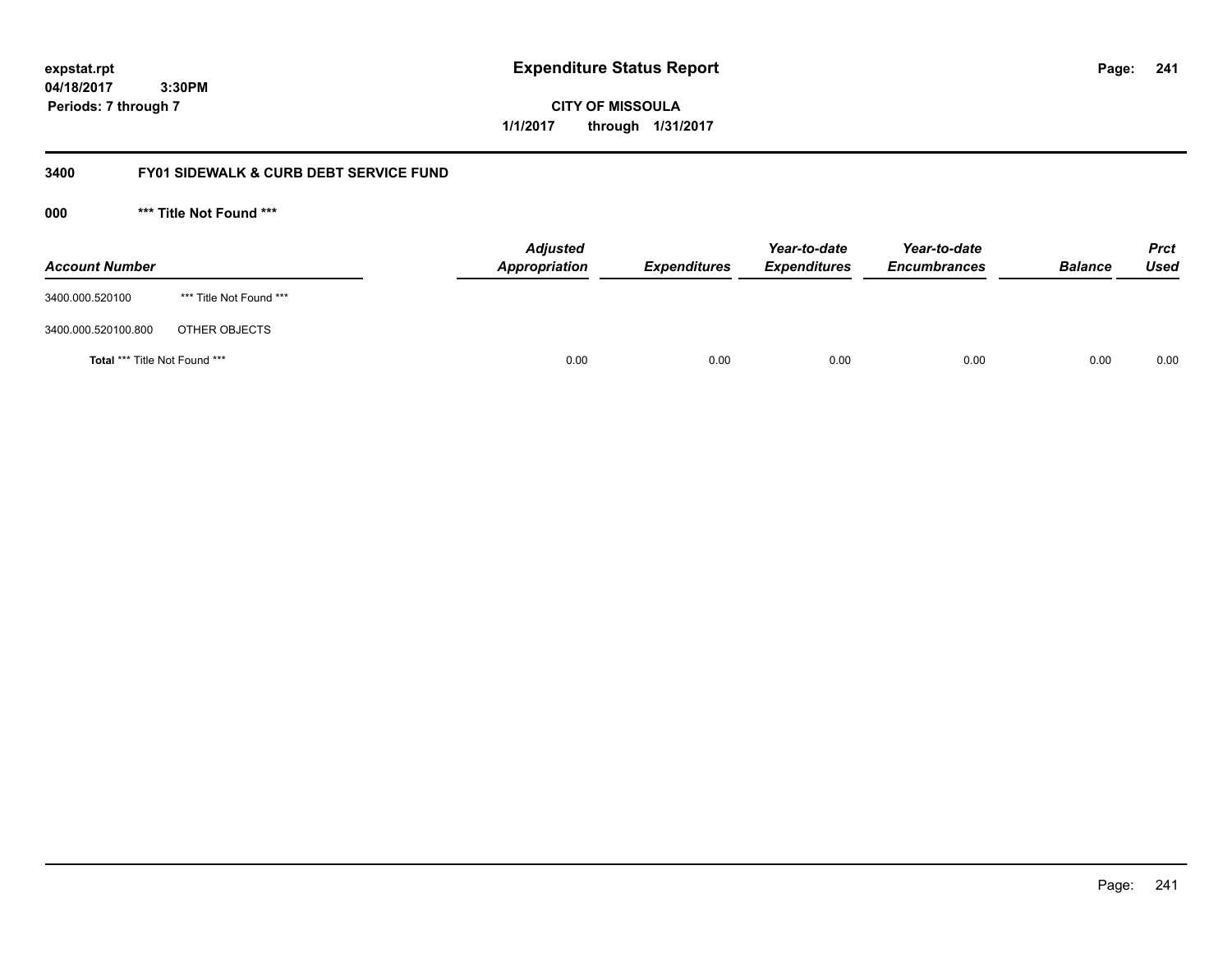**CITY OF MISSOULA 1/1/2017 through 1/31/2017**

# **3400 FY01 SIDEWALK & CURB DEBT SERVICE FUND**

**000 \*\*\* Title Not Found \*\*\***

| <b>Account Number</b>         |                         | <b>Adjusted</b><br><b>Appropriation</b> | <b>Expenditures</b> | Year-to-date<br><b>Expenditures</b> | Year-to-date<br><b>Encumbrances</b> | <b>Balance</b> | <b>Prct</b><br>Used |
|-------------------------------|-------------------------|-----------------------------------------|---------------------|-------------------------------------|-------------------------------------|----------------|---------------------|
| 3400.000.520100               | *** Title Not Found *** |                                         |                     |                                     |                                     |                |                     |
| 3400.000.520100.800           | OTHER OBJECTS           |                                         |                     |                                     |                                     |                |                     |
| Total *** Title Not Found *** |                         | 0.00                                    | 0.00                | 0.00                                | 0.00                                | 0.00           | 0.00                |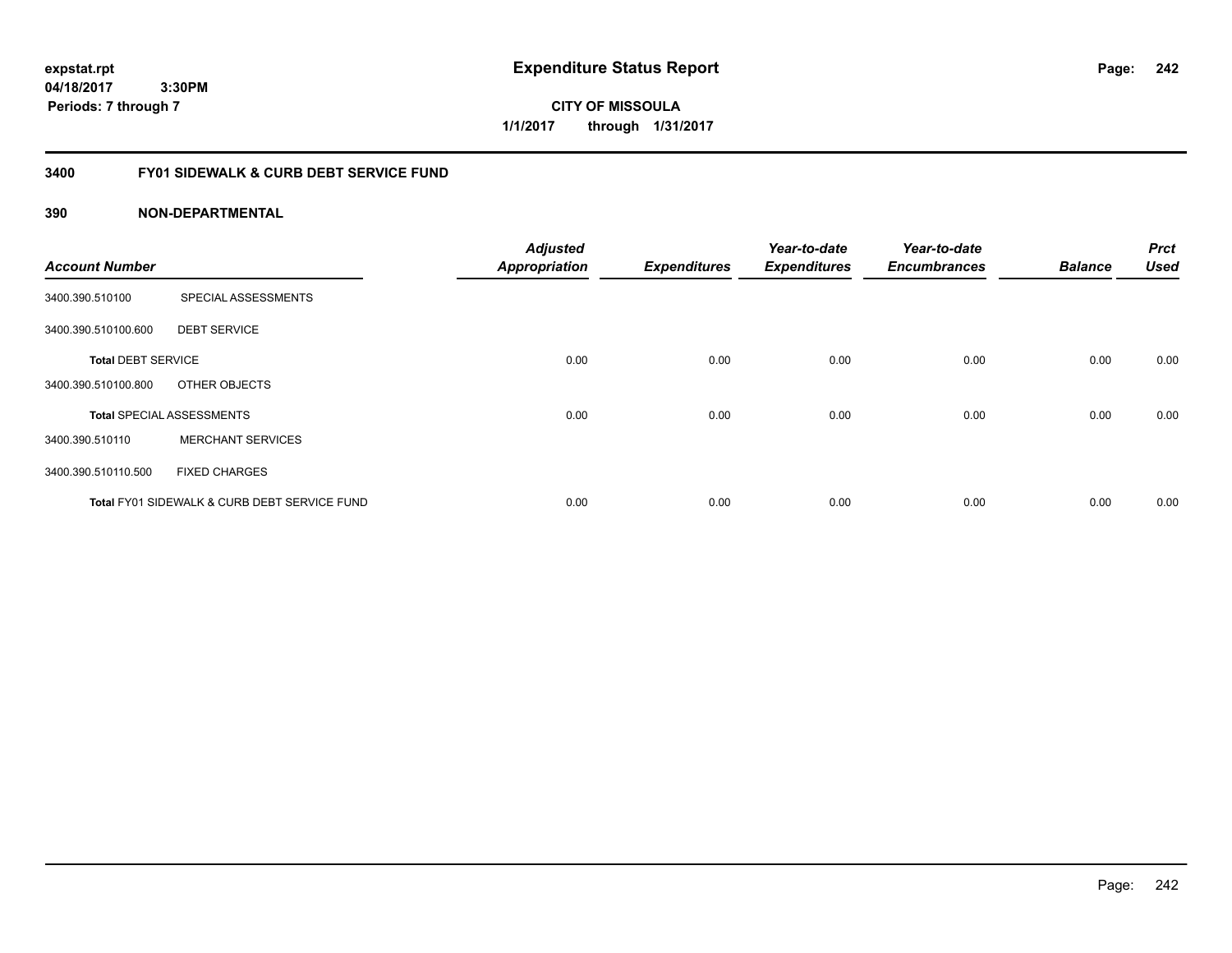**expstat.rpt Expenditure Status Report** 

**04/18/2017 3:30PM Periods: 7 through 7**

**CITY OF MISSOULA 1/1/2017 through 1/31/2017**

# **3400 FY01 SIDEWALK & CURB DEBT SERVICE FUND**

| <b>Account Number</b>     |                                              | <b>Adjusted</b><br><b>Appropriation</b> | <b>Expenditures</b> | Year-to-date<br><b>Expenditures</b> | Year-to-date<br><b>Encumbrances</b> | <b>Balance</b> | <b>Prct</b><br><b>Used</b> |
|---------------------------|----------------------------------------------|-----------------------------------------|---------------------|-------------------------------------|-------------------------------------|----------------|----------------------------|
|                           |                                              |                                         |                     |                                     |                                     |                |                            |
| 3400.390.510100           | SPECIAL ASSESSMENTS                          |                                         |                     |                                     |                                     |                |                            |
| 3400.390.510100.600       | <b>DEBT SERVICE</b>                          |                                         |                     |                                     |                                     |                |                            |
| <b>Total DEBT SERVICE</b> |                                              | 0.00                                    | 0.00                | 0.00                                | 0.00                                | 0.00           | 0.00                       |
| 3400.390.510100.800       | OTHER OBJECTS                                |                                         |                     |                                     |                                     |                |                            |
|                           | <b>Total SPECIAL ASSESSMENTS</b>             | 0.00                                    | 0.00                | 0.00                                | 0.00                                | 0.00           | 0.00                       |
| 3400.390.510110           | <b>MERCHANT SERVICES</b>                     |                                         |                     |                                     |                                     |                |                            |
| 3400.390.510110.500       | <b>FIXED CHARGES</b>                         |                                         |                     |                                     |                                     |                |                            |
|                           | Total FY01 SIDEWALK & CURB DEBT SERVICE FUND | 0.00                                    | 0.00                | 0.00                                | 0.00                                | 0.00           | 0.00                       |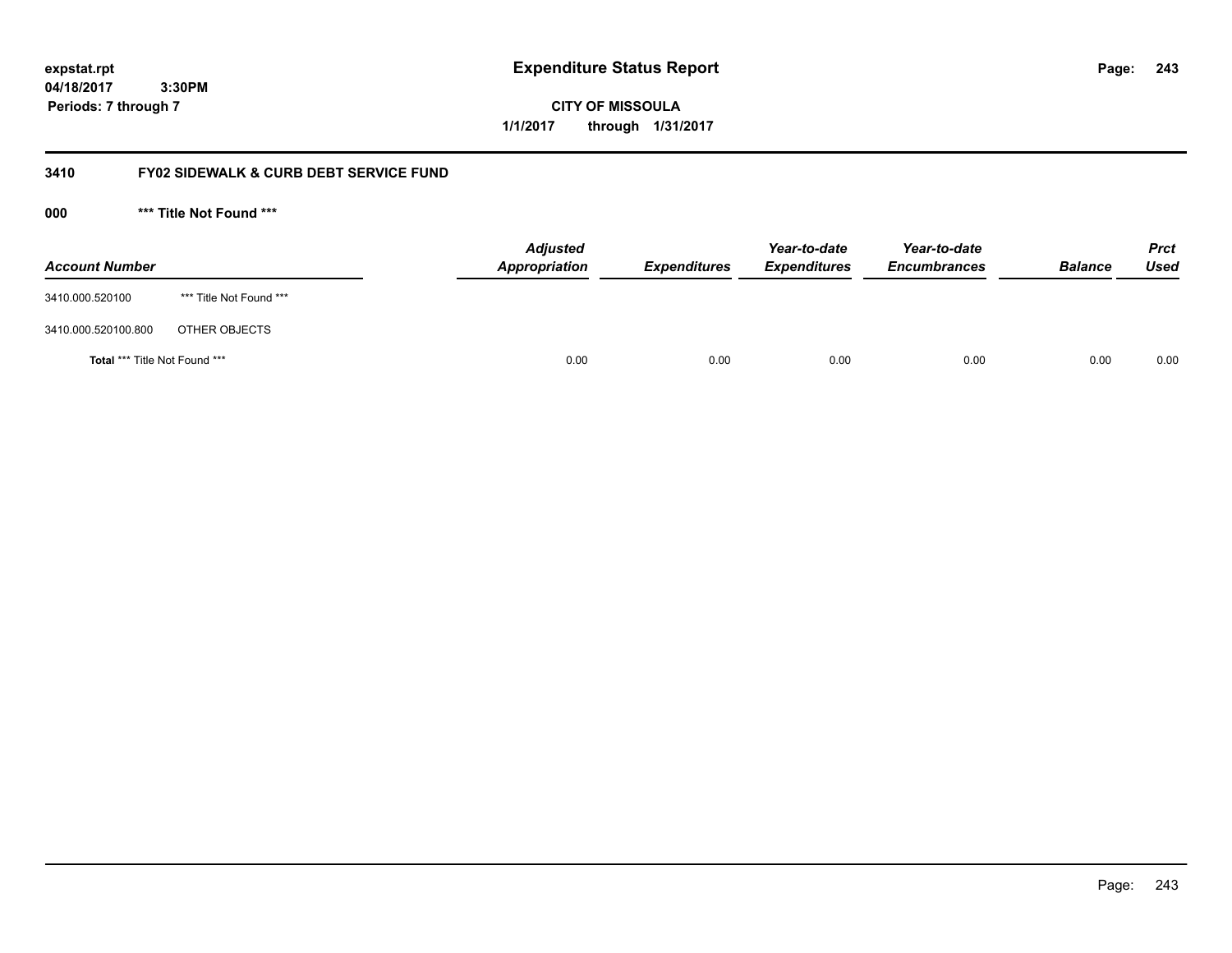**243**

**04/18/2017 3:30PM Periods: 7 through 7**

**CITY OF MISSOULA 1/1/2017 through 1/31/2017**

# **3410 FY02 SIDEWALK & CURB DEBT SERVICE FUND**

**000 \*\*\* Title Not Found \*\*\***

| <b>Account Number</b>         |                         | <b>Adjusted</b><br>Appropriation | <b>Expenditures</b> | Year-to-date<br><b>Expenditures</b> | Year-to-date<br><b>Encumbrances</b> | <b>Balance</b> | <b>Prct</b><br>Used |
|-------------------------------|-------------------------|----------------------------------|---------------------|-------------------------------------|-------------------------------------|----------------|---------------------|
| 3410.000.520100               | *** Title Not Found *** |                                  |                     |                                     |                                     |                |                     |
| 3410.000.520100.800           | OTHER OBJECTS           |                                  |                     |                                     |                                     |                |                     |
| Total *** Title Not Found *** |                         | 0.00                             | 0.00                | 0.00                                | 0.00                                | 0.00           | 0.00                |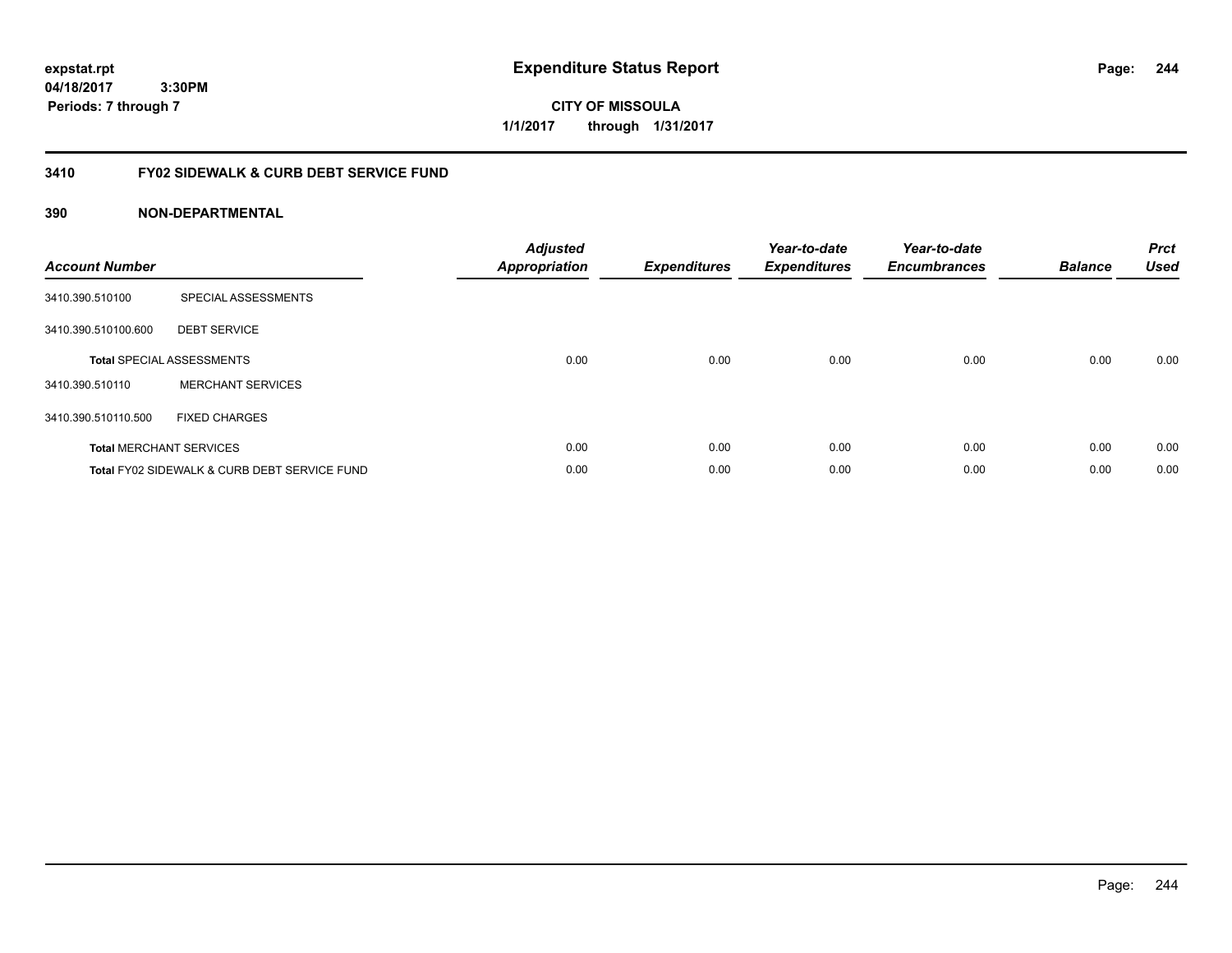**expstat.rpt Expenditure Status Report** 

**04/18/2017 3:30PM Periods: 7 through 7**

**CITY OF MISSOULA 1/1/2017 through 1/31/2017**

# **3410 FY02 SIDEWALK & CURB DEBT SERVICE FUND**

| <b>Account Number</b> |                                              | <b>Adjusted</b><br>Appropriation | <b>Expenditures</b> | Year-to-date<br><b>Expenditures</b> | Year-to-date<br><b>Encumbrances</b> | <b>Balance</b> | <b>Prct</b><br><b>Used</b> |
|-----------------------|----------------------------------------------|----------------------------------|---------------------|-------------------------------------|-------------------------------------|----------------|----------------------------|
| 3410.390.510100       | SPECIAL ASSESSMENTS                          |                                  |                     |                                     |                                     |                |                            |
| 3410.390.510100.600   | <b>DEBT SERVICE</b>                          |                                  |                     |                                     |                                     |                |                            |
|                       | <b>Total SPECIAL ASSESSMENTS</b>             | 0.00                             | 0.00                | 0.00                                | 0.00                                | 0.00           | 0.00                       |
| 3410.390.510110       | <b>MERCHANT SERVICES</b>                     |                                  |                     |                                     |                                     |                |                            |
| 3410.390.510110.500   | <b>FIXED CHARGES</b>                         |                                  |                     |                                     |                                     |                |                            |
|                       | <b>Total MERCHANT SERVICES</b>               | 0.00                             | 0.00                | 0.00                                | 0.00                                | 0.00           | 0.00                       |
|                       | Total FY02 SIDEWALK & CURB DEBT SERVICE FUND | 0.00                             | 0.00                | 0.00                                | 0.00                                | 0.00           | 0.00                       |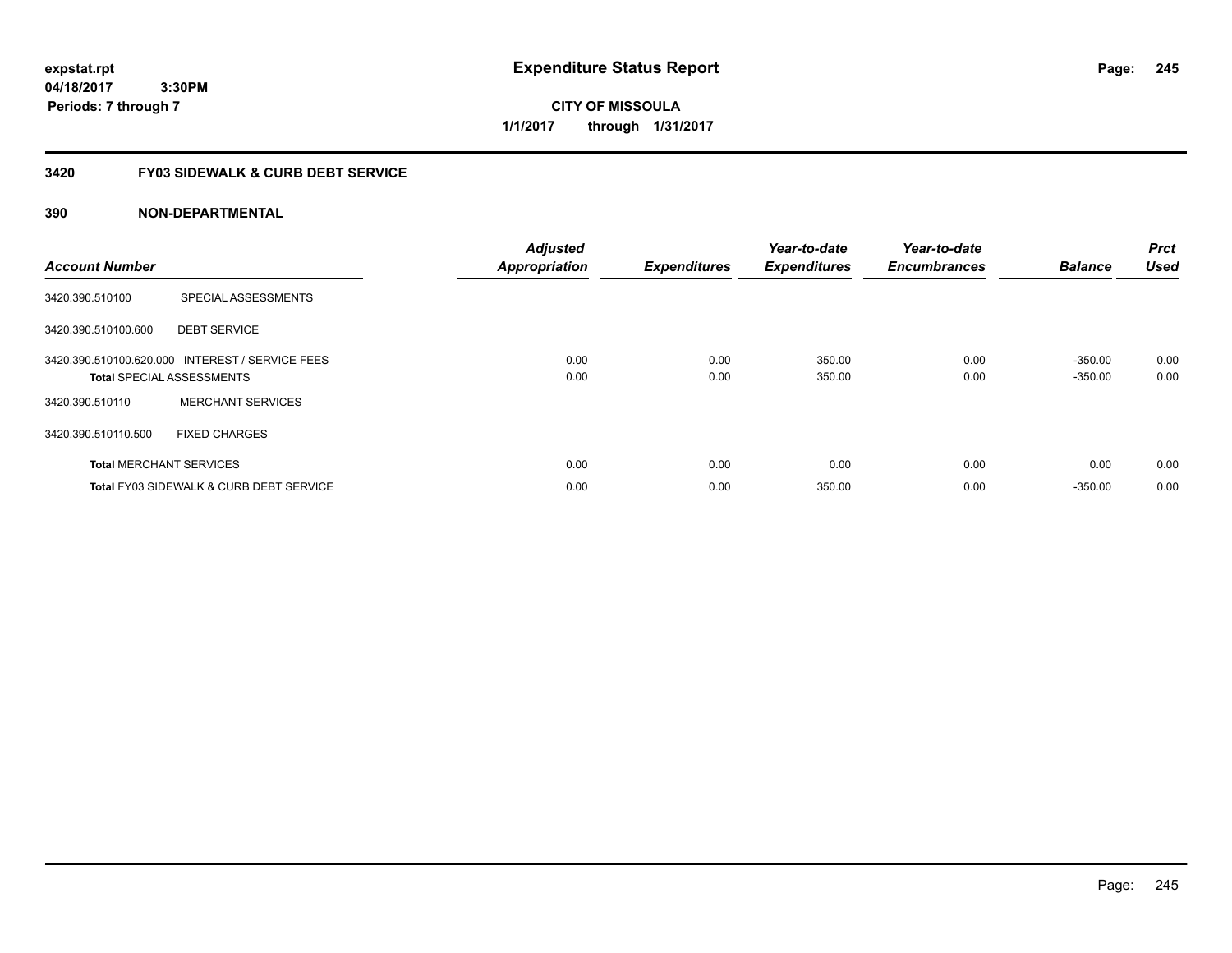**expstat.rpt Expenditure Status Report** 

**04/18/2017 3:30PM Periods: 7 through 7**

**CITY OF MISSOULA 1/1/2017 through 1/31/2017**

# **3420 FY03 SIDEWALK & CURB DEBT SERVICE**

| <b>Account Number</b> |                                                                                     | <b>Adjusted</b><br><b>Appropriation</b> | <b>Expenditures</b> | Year-to-date<br><b>Expenditures</b> | Year-to-date<br><b>Encumbrances</b> | <b>Balance</b>         | <b>Prct</b><br><b>Used</b> |
|-----------------------|-------------------------------------------------------------------------------------|-----------------------------------------|---------------------|-------------------------------------|-------------------------------------|------------------------|----------------------------|
| 3420.390.510100       | SPECIAL ASSESSMENTS                                                                 |                                         |                     |                                     |                                     |                        |                            |
| 3420.390.510100.600   | <b>DEBT SERVICE</b>                                                                 |                                         |                     |                                     |                                     |                        |                            |
|                       | 3420.390.510100.620.000 INTEREST / SERVICE FEES<br><b>Total SPECIAL ASSESSMENTS</b> | 0.00<br>0.00                            | 0.00<br>0.00        | 350.00<br>350.00                    | 0.00<br>0.00                        | $-350.00$<br>$-350.00$ | 0.00<br>0.00               |
| 3420.390.510110       | <b>MERCHANT SERVICES</b>                                                            |                                         |                     |                                     |                                     |                        |                            |
| 3420.390.510110.500   | <b>FIXED CHARGES</b>                                                                |                                         |                     |                                     |                                     |                        |                            |
|                       | <b>Total MERCHANT SERVICES</b>                                                      | 0.00                                    | 0.00                | 0.00                                | 0.00                                | 0.00                   | 0.00                       |
|                       | <b>Total FY03 SIDEWALK &amp; CURB DEBT SERVICE</b>                                  | 0.00                                    | 0.00                | 350.00                              | 0.00                                | $-350.00$              | 0.00                       |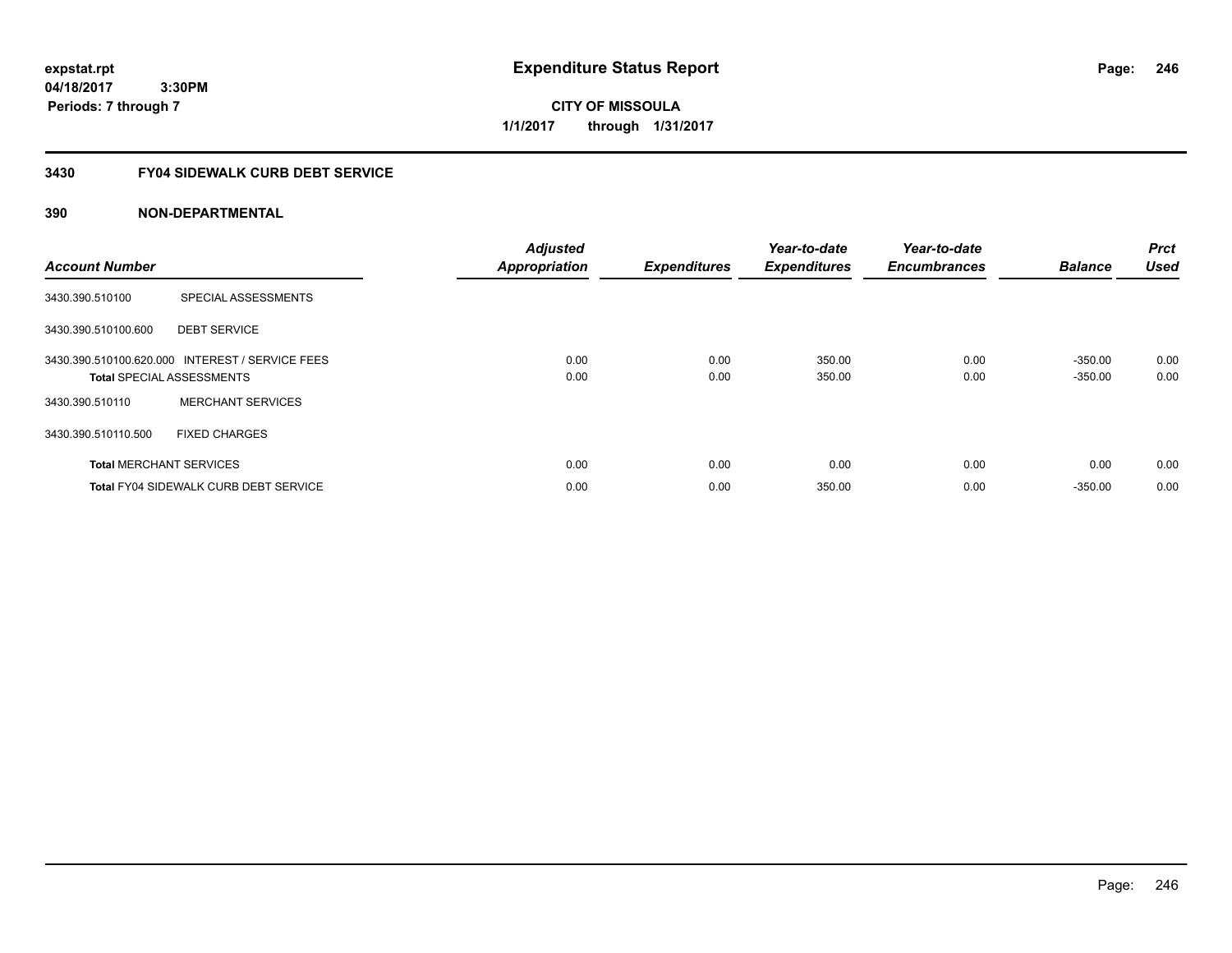**CITY OF MISSOULA 1/1/2017 through 1/31/2017**

# **3430 FY04 SIDEWALK CURB DEBT SERVICE**

| <b>Account Number</b> |                                                                                     | <b>Adjusted</b><br><b>Appropriation</b> | <b>Expenditures</b> | Year-to-date<br><b>Expenditures</b> | Year-to-date<br><b>Encumbrances</b> | <b>Balance</b>         | Prct<br><b>Used</b> |
|-----------------------|-------------------------------------------------------------------------------------|-----------------------------------------|---------------------|-------------------------------------|-------------------------------------|------------------------|---------------------|
| 3430.390.510100       | SPECIAL ASSESSMENTS                                                                 |                                         |                     |                                     |                                     |                        |                     |
| 3430.390.510100.600   | <b>DEBT SERVICE</b>                                                                 |                                         |                     |                                     |                                     |                        |                     |
|                       | 3430.390.510100.620.000 INTEREST / SERVICE FEES<br><b>Total SPECIAL ASSESSMENTS</b> | 0.00<br>0.00                            | 0.00<br>0.00        | 350.00<br>350.00                    | 0.00<br>0.00                        | $-350.00$<br>$-350.00$ | 0.00<br>0.00        |
| 3430.390.510110       | <b>MERCHANT SERVICES</b>                                                            |                                         |                     |                                     |                                     |                        |                     |
| 3430.390.510110.500   | <b>FIXED CHARGES</b>                                                                |                                         |                     |                                     |                                     |                        |                     |
|                       | <b>Total MERCHANT SERVICES</b>                                                      | 0.00                                    | 0.00                | 0.00                                | 0.00                                | 0.00                   | 0.00                |
|                       | <b>Total FY04 SIDEWALK CURB DEBT SERVICE</b>                                        | 0.00                                    | 0.00                | 350.00                              | 0.00                                | $-350.00$              | 0.00                |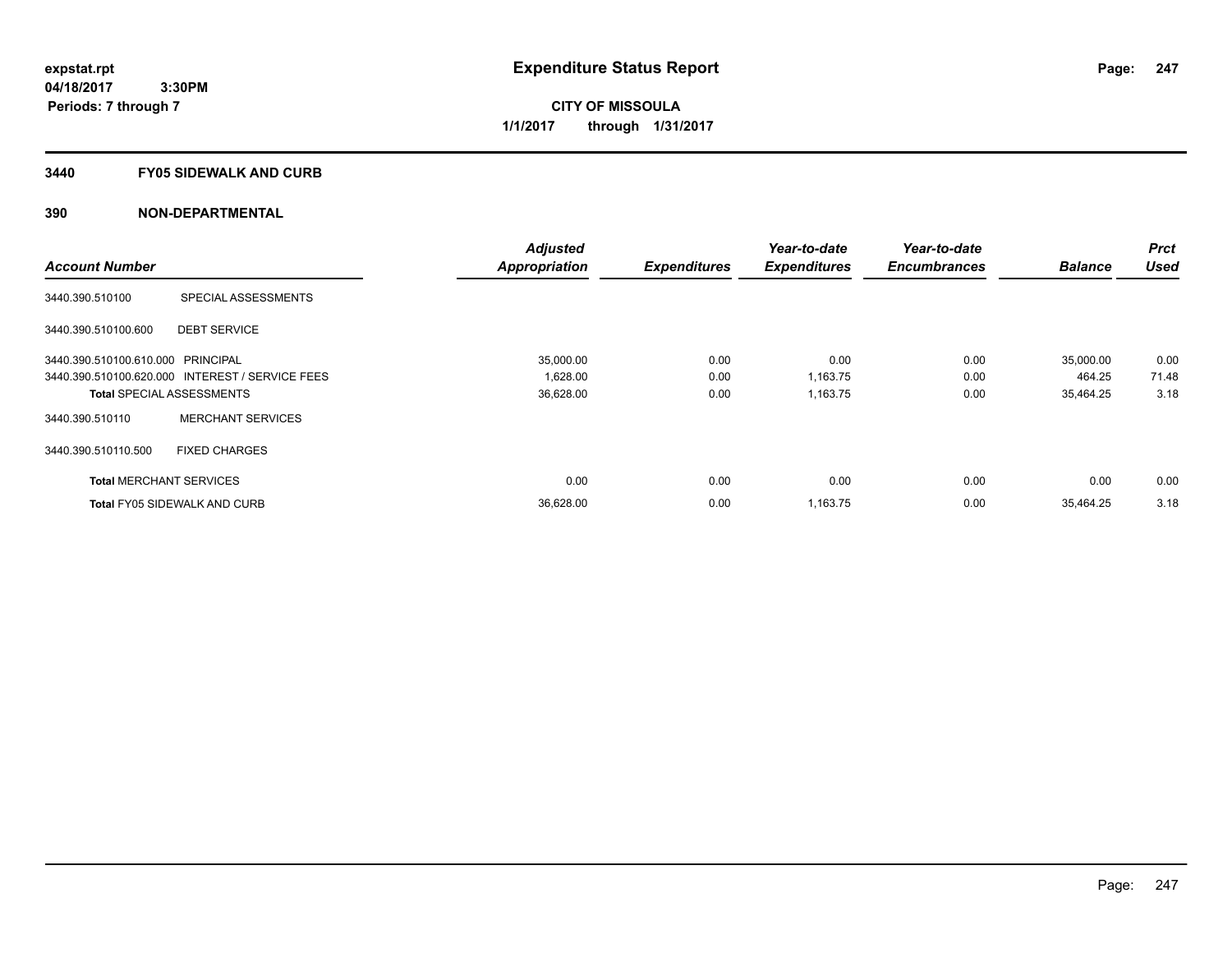**CITY OF MISSOULA 1/1/2017 through 1/31/2017**

#### **3440 FY05 SIDEWALK AND CURB**

|                                   |                                                 | <b>Adjusted</b>      |                     | Year-to-date        | Year-to-date        |                | <b>Prct</b> |
|-----------------------------------|-------------------------------------------------|----------------------|---------------------|---------------------|---------------------|----------------|-------------|
| <b>Account Number</b>             |                                                 | <b>Appropriation</b> | <b>Expenditures</b> | <b>Expenditures</b> | <b>Encumbrances</b> | <b>Balance</b> | <b>Used</b> |
| 3440.390.510100                   | <b>SPECIAL ASSESSMENTS</b>                      |                      |                     |                     |                     |                |             |
| 3440.390.510100.600               | <b>DEBT SERVICE</b>                             |                      |                     |                     |                     |                |             |
| 3440.390.510100.610.000 PRINCIPAL |                                                 | 35,000.00            | 0.00                | 0.00                | 0.00                | 35,000.00      | 0.00        |
|                                   | 3440.390.510100.620.000 INTEREST / SERVICE FEES | 1,628.00             | 0.00                | 1,163.75            | 0.00                | 464.25         | 71.48       |
| <b>Total SPECIAL ASSESSMENTS</b>  |                                                 | 36,628.00            | 0.00                | 1,163.75            | 0.00                | 35,464.25      | 3.18        |
| 3440.390.510110                   | <b>MERCHANT SERVICES</b>                        |                      |                     |                     |                     |                |             |
| 3440.390.510110.500               | <b>FIXED CHARGES</b>                            |                      |                     |                     |                     |                |             |
| <b>Total MERCHANT SERVICES</b>    |                                                 | 0.00                 | 0.00                | 0.00                | 0.00                | 0.00           | 0.00        |
|                                   | <b>Total FY05 SIDEWALK AND CURB</b>             | 36,628.00            | 0.00                | 1,163.75            | 0.00                | 35.464.25      | 3.18        |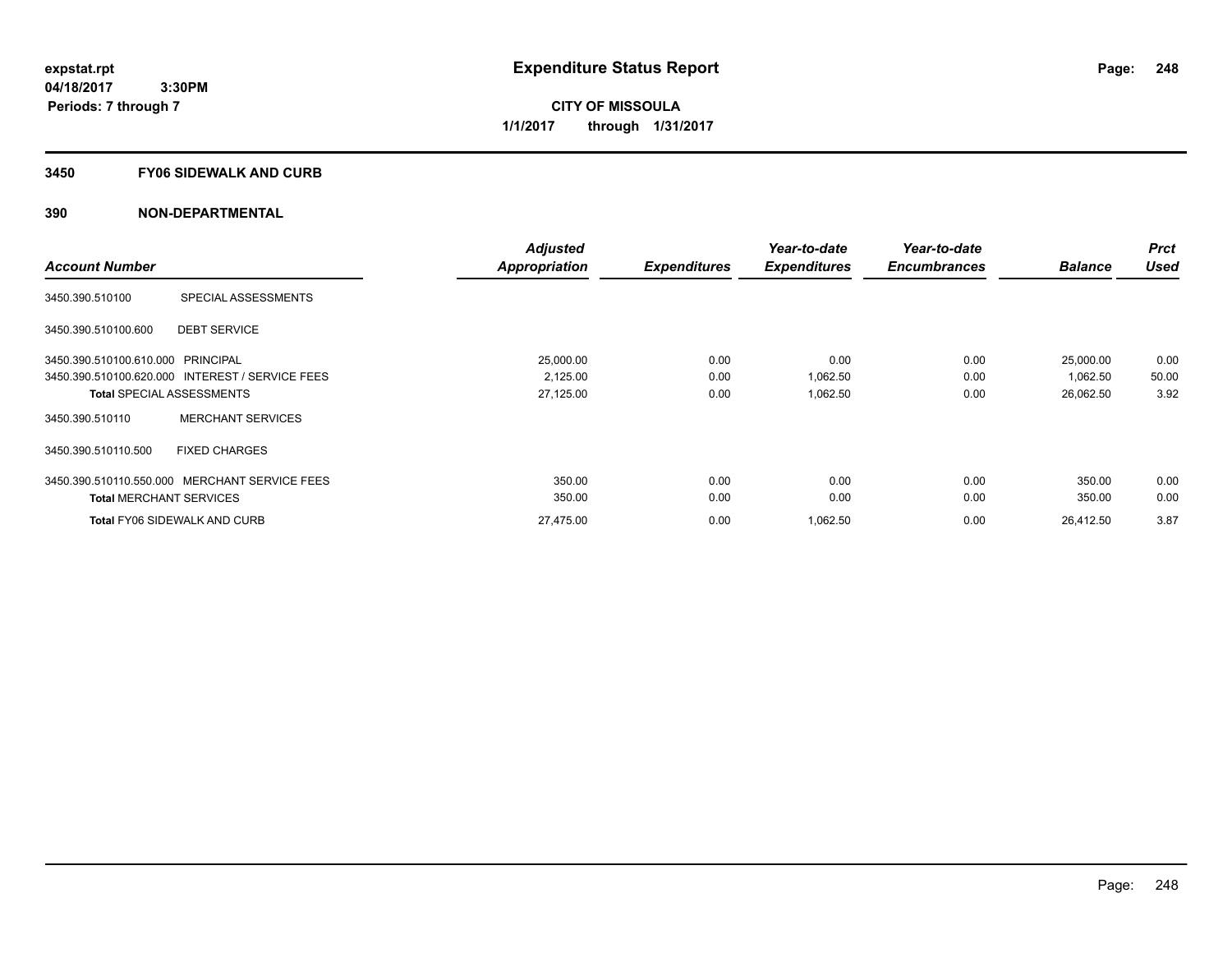**CITY OF MISSOULA 1/1/2017 through 1/31/2017**

#### **3450 FY06 SIDEWALK AND CURB**

|                                                 |                          | <b>Adjusted</b> |                     | Year-to-date        | Year-to-date        |                | <b>Prct</b> |
|-------------------------------------------------|--------------------------|-----------------|---------------------|---------------------|---------------------|----------------|-------------|
| <b>Account Number</b>                           |                          | Appropriation   | <b>Expenditures</b> | <b>Expenditures</b> | <b>Encumbrances</b> | <b>Balance</b> | <b>Used</b> |
| 3450.390.510100                                 | SPECIAL ASSESSMENTS      |                 |                     |                     |                     |                |             |
| 3450.390.510100.600                             | <b>DEBT SERVICE</b>      |                 |                     |                     |                     |                |             |
| 3450.390.510100.610.000 PRINCIPAL               |                          | 25,000.00       | 0.00                | 0.00                | 0.00                | 25,000.00      | 0.00        |
| 3450.390.510100.620.000 INTEREST / SERVICE FEES |                          | 2,125.00        | 0.00                | 1,062.50            | 0.00                | 1,062.50       | 50.00       |
| <b>Total SPECIAL ASSESSMENTS</b>                |                          | 27,125.00       | 0.00                | 1,062.50            | 0.00                | 26,062.50      | 3.92        |
| 3450.390.510110                                 | <b>MERCHANT SERVICES</b> |                 |                     |                     |                     |                |             |
| 3450.390.510110.500                             | <b>FIXED CHARGES</b>     |                 |                     |                     |                     |                |             |
| 3450.390.510110.550.000 MERCHANT SERVICE FEES   |                          | 350.00          | 0.00                | 0.00                | 0.00                | 350.00         | 0.00        |
| <b>Total MERCHANT SERVICES</b>                  |                          | 350.00          | 0.00                | 0.00                | 0.00                | 350.00         | 0.00        |
| <b>Total FY06 SIDEWALK AND CURB</b>             |                          | 27,475.00       | 0.00                | 1,062.50            | 0.00                | 26,412.50      | 3.87        |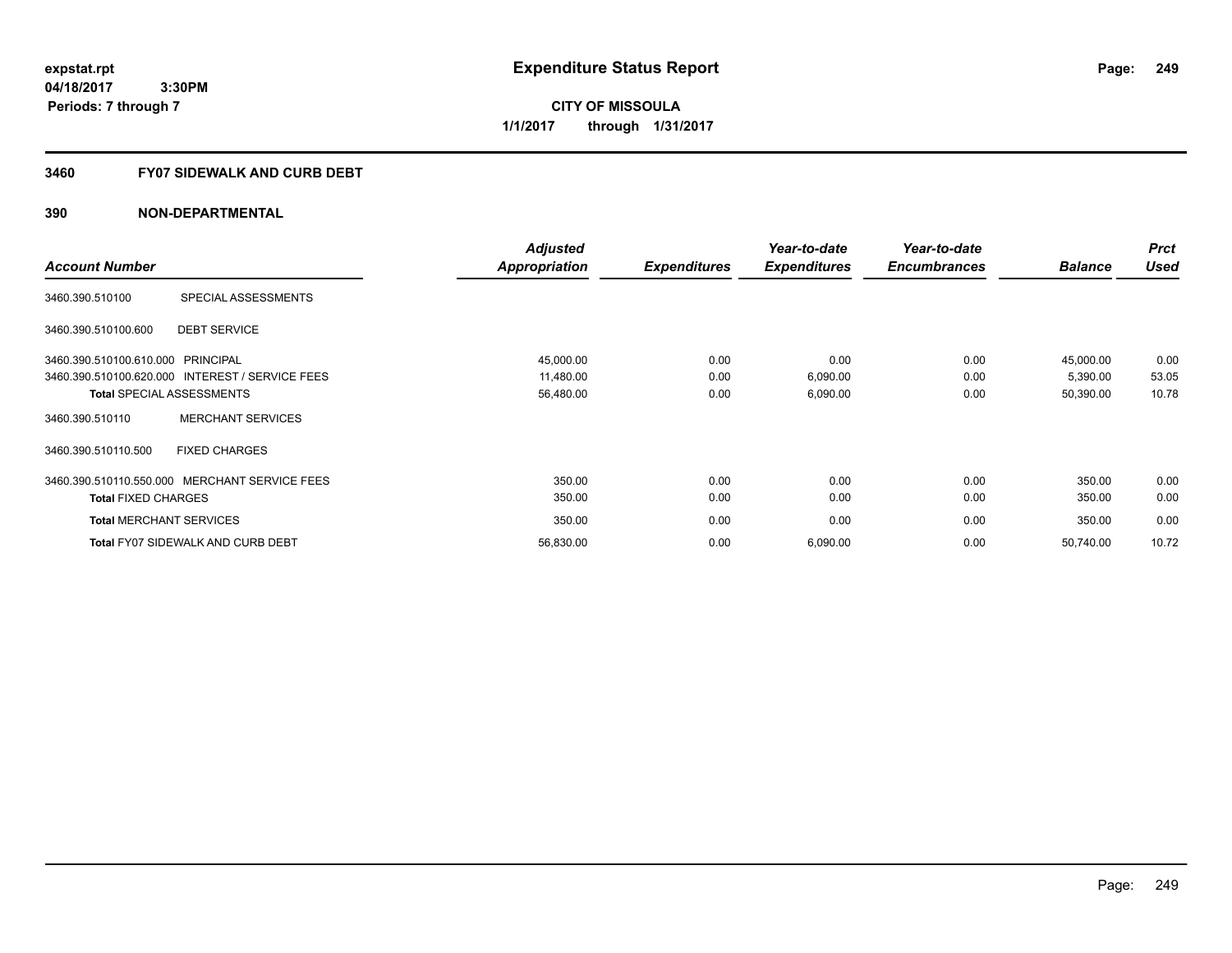**249**

**04/18/2017 3:30PM Periods: 7 through 7**

**CITY OF MISSOULA 1/1/2017 through 1/31/2017**

#### **3460 FY07 SIDEWALK AND CURB DEBT**

|                                   |                                                 | <b>Adjusted</b> |                     | Year-to-date        | Year-to-date        |                | <b>Prct</b> |
|-----------------------------------|-------------------------------------------------|-----------------|---------------------|---------------------|---------------------|----------------|-------------|
| <b>Account Number</b>             |                                                 | Appropriation   | <b>Expenditures</b> | <b>Expenditures</b> | <b>Encumbrances</b> | <b>Balance</b> | <b>Used</b> |
| 3460.390.510100                   | SPECIAL ASSESSMENTS                             |                 |                     |                     |                     |                |             |
| 3460.390.510100.600               | <b>DEBT SERVICE</b>                             |                 |                     |                     |                     |                |             |
| 3460.390.510100.610.000 PRINCIPAL |                                                 | 45,000.00       | 0.00                | 0.00                | 0.00                | 45,000.00      | 0.00        |
|                                   | 3460.390.510100.620.000 INTEREST / SERVICE FEES | 11,480.00       | 0.00                | 6,090.00            | 0.00                | 5,390.00       | 53.05       |
|                                   | <b>Total SPECIAL ASSESSMENTS</b>                | 56,480.00       | 0.00                | 6,090.00            | 0.00                | 50,390.00      | 10.78       |
| 3460.390.510110                   | <b>MERCHANT SERVICES</b>                        |                 |                     |                     |                     |                |             |
| 3460.390.510110.500               | <b>FIXED CHARGES</b>                            |                 |                     |                     |                     |                |             |
|                                   | 3460.390.510110.550.000 MERCHANT SERVICE FEES   | 350.00          | 0.00                | 0.00                | 0.00                | 350.00         | 0.00        |
| <b>Total FIXED CHARGES</b>        |                                                 | 350.00          | 0.00                | 0.00                | 0.00                | 350.00         | 0.00        |
| <b>Total MERCHANT SERVICES</b>    |                                                 | 350.00          | 0.00                | 0.00                | 0.00                | 350.00         | 0.00        |
|                                   | <b>Total FY07 SIDEWALK AND CURB DEBT</b>        | 56,830.00       | 0.00                | 6,090.00            | 0.00                | 50,740.00      | 10.72       |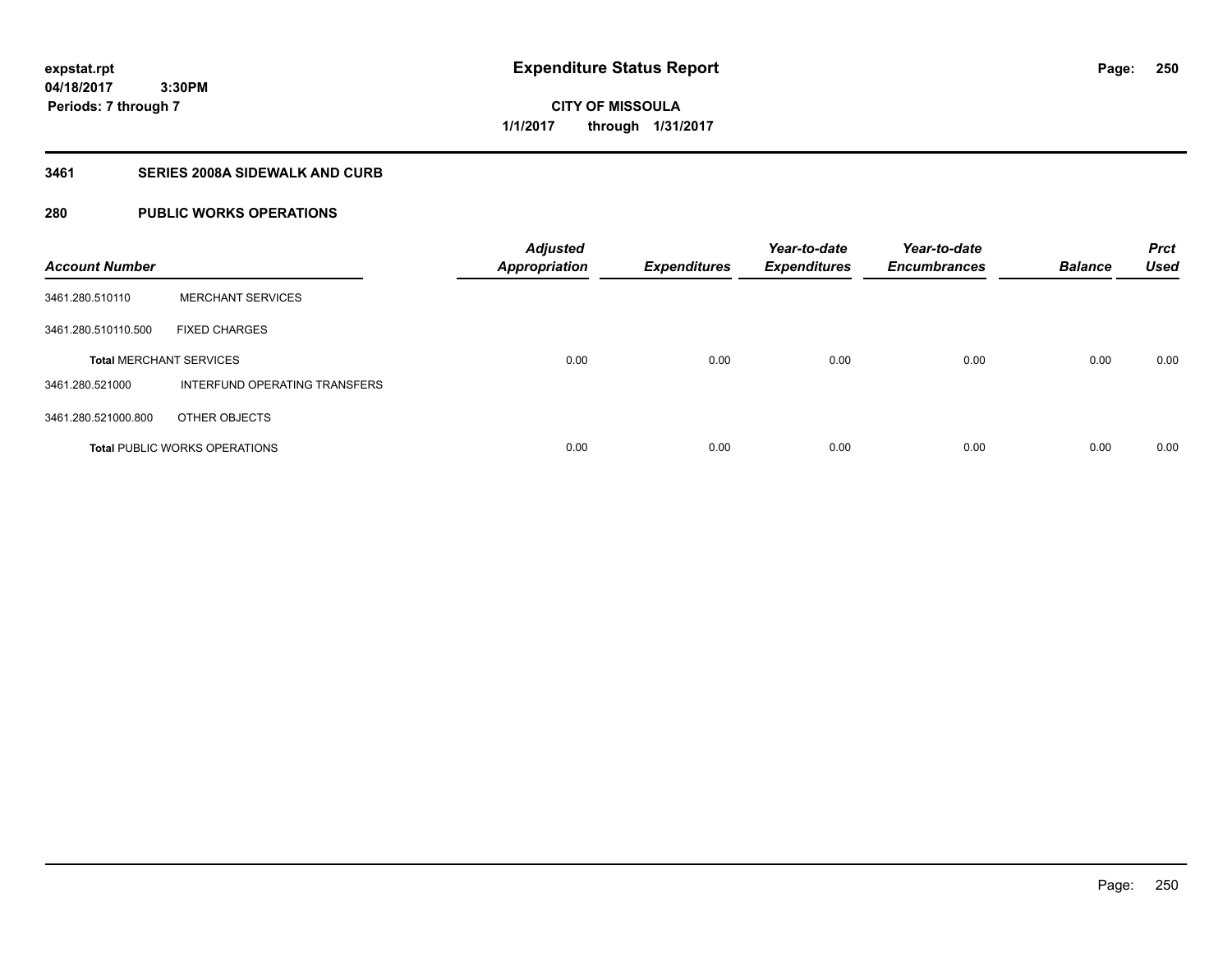# **CITY OF MISSOULA 1/1/2017 through 1/31/2017**

### **3461 SERIES 2008A SIDEWALK AND CURB**

# **280 PUBLIC WORKS OPERATIONS**

| <b>Account Number</b>          |                                      | <b>Adjusted</b><br><b>Appropriation</b> | <b>Expenditures</b> | Year-to-date<br><b>Expenditures</b> | Year-to-date<br><b>Encumbrances</b> | <b>Balance</b> | <b>Prct</b><br><b>Used</b> |
|--------------------------------|--------------------------------------|-----------------------------------------|---------------------|-------------------------------------|-------------------------------------|----------------|----------------------------|
| 3461.280.510110                | <b>MERCHANT SERVICES</b>             |                                         |                     |                                     |                                     |                |                            |
| 3461.280.510110.500            | <b>FIXED CHARGES</b>                 |                                         |                     |                                     |                                     |                |                            |
| <b>Total MERCHANT SERVICES</b> |                                      | 0.00                                    | 0.00                | 0.00                                | 0.00                                | 0.00           | 0.00                       |
| 3461.280.521000                | INTERFUND OPERATING TRANSFERS        |                                         |                     |                                     |                                     |                |                            |
| 3461.280.521000.800            | OTHER OBJECTS                        |                                         |                     |                                     |                                     |                |                            |
|                                | <b>Total PUBLIC WORKS OPERATIONS</b> | 0.00                                    | 0.00                | 0.00                                | 0.00                                | 0.00           | 0.00                       |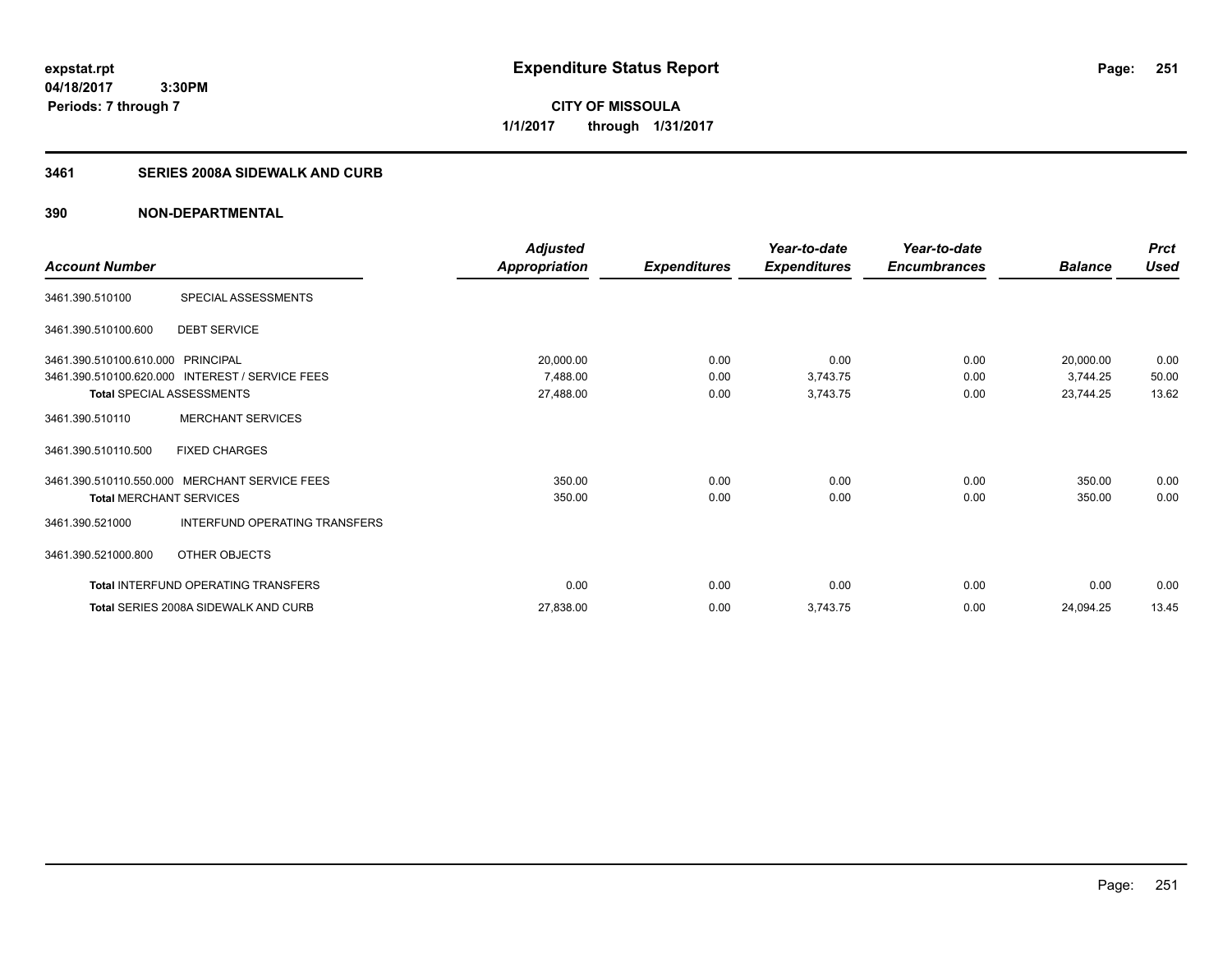**251**

**04/18/2017 3:30PM Periods: 7 through 7**

**CITY OF MISSOULA 1/1/2017 through 1/31/2017**

# **3461 SERIES 2008A SIDEWALK AND CURB**

|                                   |                                                 | <b>Adjusted</b>      |                     | Year-to-date        | Year-to-date        |                | <b>Prct</b> |
|-----------------------------------|-------------------------------------------------|----------------------|---------------------|---------------------|---------------------|----------------|-------------|
| <b>Account Number</b>             |                                                 | <b>Appropriation</b> | <b>Expenditures</b> | <b>Expenditures</b> | <b>Encumbrances</b> | <b>Balance</b> | <b>Used</b> |
| 3461.390.510100                   | SPECIAL ASSESSMENTS                             |                      |                     |                     |                     |                |             |
| 3461.390.510100.600               | <b>DEBT SERVICE</b>                             |                      |                     |                     |                     |                |             |
| 3461.390.510100.610.000 PRINCIPAL |                                                 | 20,000.00            | 0.00                | 0.00                | 0.00                | 20,000.00      | 0.00        |
|                                   | 3461.390.510100.620.000 INTEREST / SERVICE FEES | 7,488.00             | 0.00                | 3,743.75            | 0.00                | 3,744.25       | 50.00       |
| <b>Total SPECIAL ASSESSMENTS</b>  |                                                 | 27,488.00            | 0.00                | 3,743.75            | 0.00                | 23,744.25      | 13.62       |
| 3461.390.510110                   | <b>MERCHANT SERVICES</b>                        |                      |                     |                     |                     |                |             |
| 3461.390.510110.500               | <b>FIXED CHARGES</b>                            |                      |                     |                     |                     |                |             |
| 3461.390.510110.550.000           | <b>MERCHANT SERVICE FEES</b>                    | 350.00               | 0.00                | 0.00                | 0.00                | 350.00         | 0.00        |
| <b>Total MERCHANT SERVICES</b>    |                                                 | 350.00               | 0.00                | 0.00                | 0.00                | 350.00         | 0.00        |
| 3461.390.521000                   | INTERFUND OPERATING TRANSFERS                   |                      |                     |                     |                     |                |             |
| 3461.390.521000.800               | OTHER OBJECTS                                   |                      |                     |                     |                     |                |             |
|                                   | Total INTERFUND OPERATING TRANSFERS             | 0.00                 | 0.00                | 0.00                | 0.00                | 0.00           | 0.00        |
|                                   | <b>Total SERIES 2008A SIDEWALK AND CURB</b>     | 27,838.00            | 0.00                | 3,743.75            | 0.00                | 24,094.25      | 13.45       |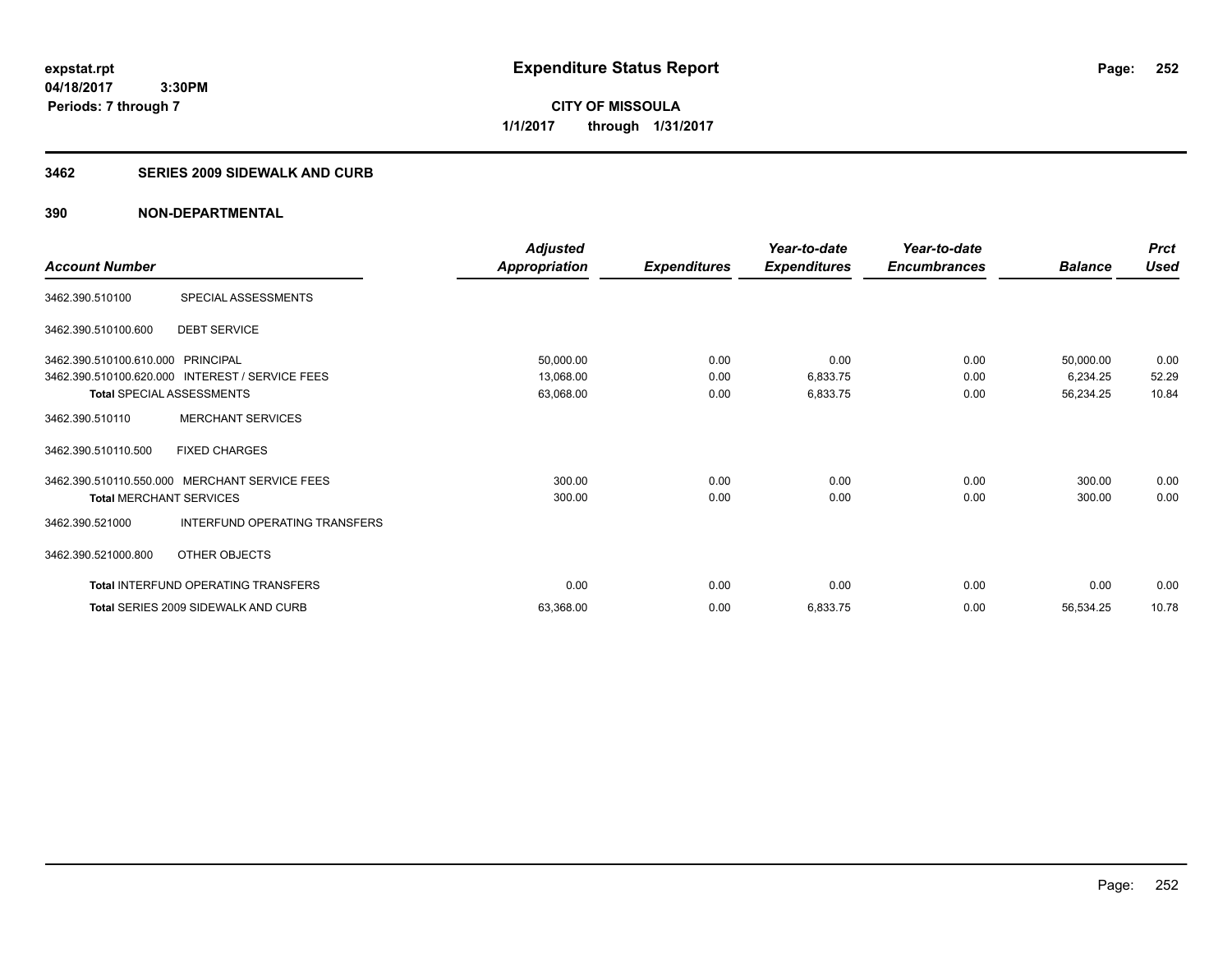**252**

**04/18/2017 3:30PM Periods: 7 through 7**

**CITY OF MISSOULA 1/1/2017 through 1/31/2017**

#### **3462 SERIES 2009 SIDEWALK AND CURB**

|                                   |                                                 | <b>Adjusted</b>      |                     | Year-to-date        | Year-to-date        |                | <b>Prct</b> |
|-----------------------------------|-------------------------------------------------|----------------------|---------------------|---------------------|---------------------|----------------|-------------|
| <b>Account Number</b>             |                                                 | <b>Appropriation</b> | <b>Expenditures</b> | <b>Expenditures</b> | <b>Encumbrances</b> | <b>Balance</b> | <b>Used</b> |
| 3462.390.510100                   | SPECIAL ASSESSMENTS                             |                      |                     |                     |                     |                |             |
| 3462.390.510100.600               | <b>DEBT SERVICE</b>                             |                      |                     |                     |                     |                |             |
| 3462.390.510100.610.000 PRINCIPAL |                                                 | 50,000.00            | 0.00                | 0.00                | 0.00                | 50,000.00      | 0.00        |
|                                   | 3462.390.510100.620.000 INTEREST / SERVICE FEES | 13,068.00            | 0.00                | 6,833.75            | 0.00                | 6,234.25       | 52.29       |
| <b>Total SPECIAL ASSESSMENTS</b>  |                                                 | 63,068.00            | 0.00                | 6,833.75            | 0.00                | 56,234.25      | 10.84       |
| 3462.390.510110                   | <b>MERCHANT SERVICES</b>                        |                      |                     |                     |                     |                |             |
| 3462.390.510110.500               | <b>FIXED CHARGES</b>                            |                      |                     |                     |                     |                |             |
| 3462.390.510110.550.000           | <b>MERCHANT SERVICE FEES</b>                    | 300.00               | 0.00                | 0.00                | 0.00                | 300.00         | 0.00        |
| <b>Total MERCHANT SERVICES</b>    |                                                 | 300.00               | 0.00                | 0.00                | 0.00                | 300.00         | 0.00        |
| 3462.390.521000                   | INTERFUND OPERATING TRANSFERS                   |                      |                     |                     |                     |                |             |
| 3462.390.521000.800               | OTHER OBJECTS                                   |                      |                     |                     |                     |                |             |
|                                   | <b>Total INTERFUND OPERATING TRANSFERS</b>      | 0.00                 | 0.00                | 0.00                | 0.00                | 0.00           | 0.00        |
|                                   | Total SERIES 2009 SIDEWALK AND CURB             | 63,368.00            | 0.00                | 6,833.75            | 0.00                | 56,534.25      | 10.78       |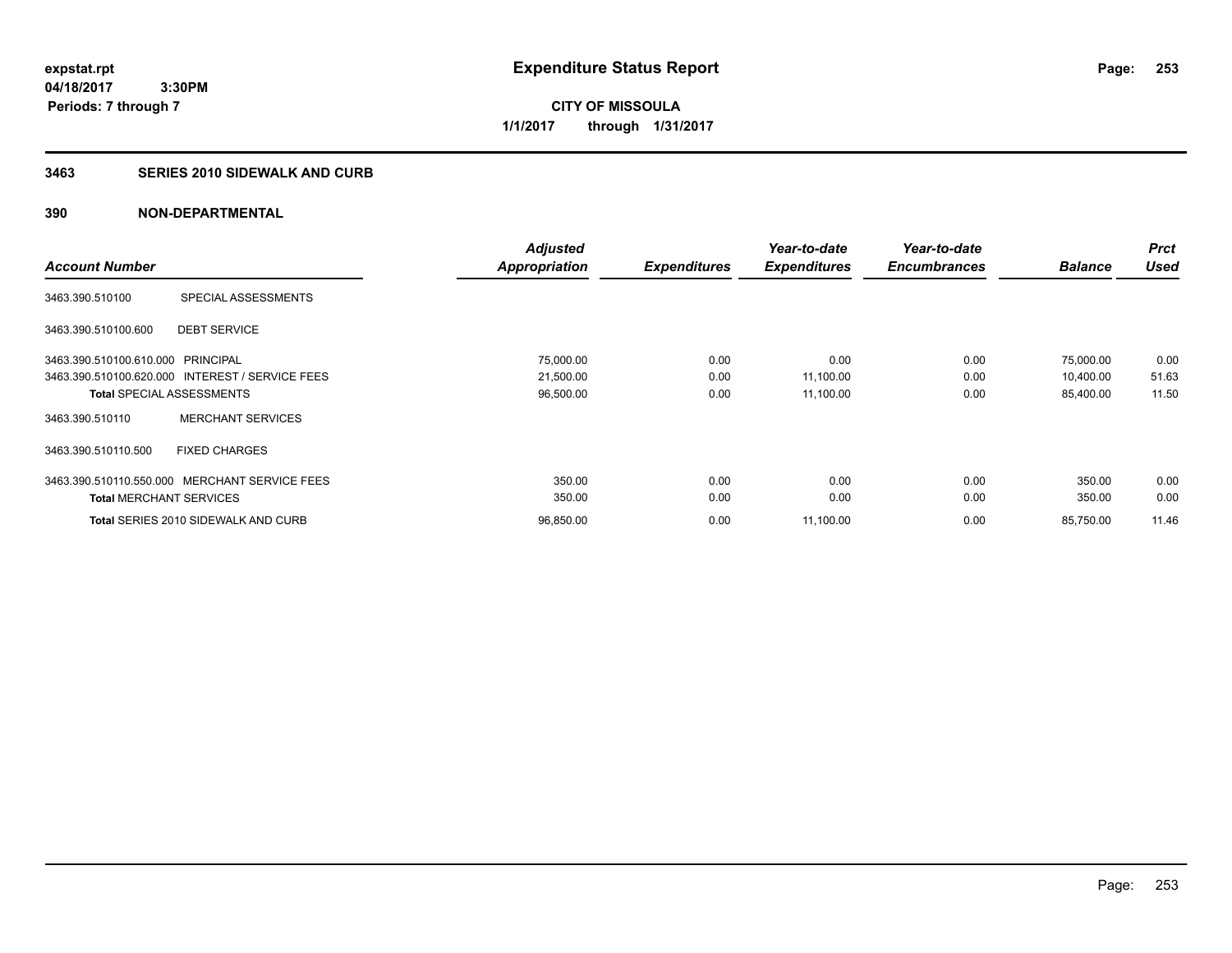**253**

**04/18/2017 3:30PM Periods: 7 through 7**

**CITY OF MISSOULA 1/1/2017 through 1/31/2017**

## **3463 SERIES 2010 SIDEWALK AND CURB**

| <b>Account Number</b>                           | <b>Adjusted</b><br><b>Appropriation</b> | <b>Expenditures</b> | Year-to-date<br><b>Expenditures</b> | Year-to-date<br><b>Encumbrances</b> | <b>Balance</b> | <b>Prct</b><br><b>Used</b> |
|-------------------------------------------------|-----------------------------------------|---------------------|-------------------------------------|-------------------------------------|----------------|----------------------------|
|                                                 |                                         |                     |                                     |                                     |                |                            |
| SPECIAL ASSESSMENTS<br>3463.390.510100          |                                         |                     |                                     |                                     |                |                            |
| 3463.390.510100.600<br><b>DEBT SERVICE</b>      |                                         |                     |                                     |                                     |                |                            |
| 3463.390.510100.610.000 PRINCIPAL               | 75,000.00                               | 0.00                | 0.00                                | 0.00                                | 75,000.00      | 0.00                       |
| 3463.390.510100.620.000 INTEREST / SERVICE FEES | 21,500.00                               | 0.00                | 11,100.00                           | 0.00                                | 10,400.00      | 51.63                      |
| <b>Total SPECIAL ASSESSMENTS</b>                | 96,500.00                               | 0.00                | 11,100.00                           | 0.00                                | 85,400.00      | 11.50                      |
| <b>MERCHANT SERVICES</b><br>3463.390.510110     |                                         |                     |                                     |                                     |                |                            |
| 3463.390.510110.500<br><b>FIXED CHARGES</b>     |                                         |                     |                                     |                                     |                |                            |
| 3463.390.510110.550.000 MERCHANT SERVICE FEES   | 350.00                                  | 0.00                | 0.00                                | 0.00                                | 350.00         | 0.00                       |
| <b>Total MERCHANT SERVICES</b>                  | 350.00                                  | 0.00                | 0.00                                | 0.00                                | 350.00         | 0.00                       |
| <b>Total SERIES 2010 SIDEWALK AND CURB</b>      | 96.850.00                               | 0.00                | 11,100.00                           | 0.00                                | 85,750.00      | 11.46                      |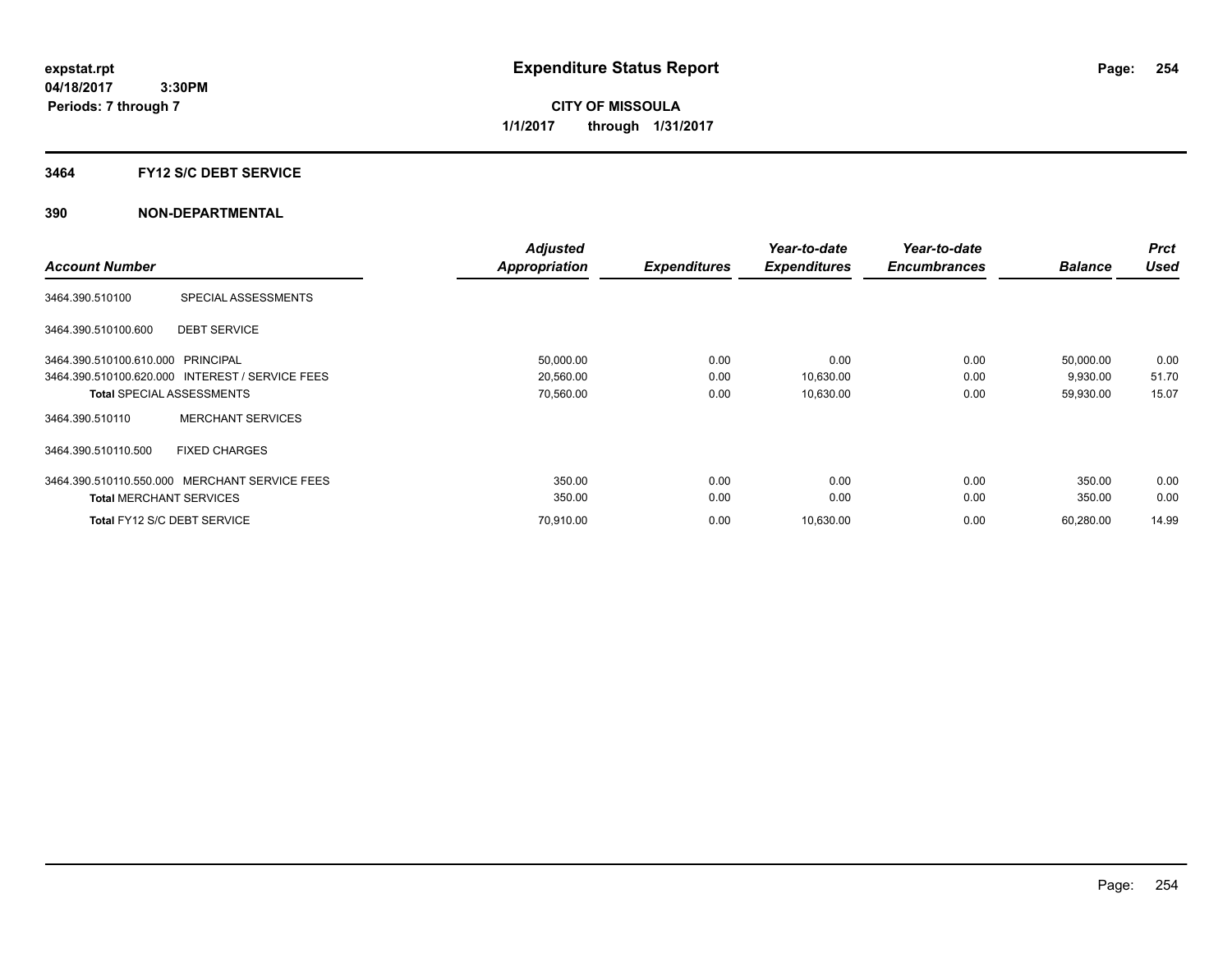### **3464 FY12 S/C DEBT SERVICE**

|                                   |                                                 | <b>Adjusted</b>      |                     | Year-to-date        | Year-to-date        |                | <b>Prct</b> |
|-----------------------------------|-------------------------------------------------|----------------------|---------------------|---------------------|---------------------|----------------|-------------|
| <b>Account Number</b>             |                                                 | <b>Appropriation</b> | <b>Expenditures</b> | <b>Expenditures</b> | <b>Encumbrances</b> | <b>Balance</b> | <b>Used</b> |
| 3464.390.510100                   | SPECIAL ASSESSMENTS                             |                      |                     |                     |                     |                |             |
| 3464.390.510100.600               | <b>DEBT SERVICE</b>                             |                      |                     |                     |                     |                |             |
| 3464.390.510100.610.000 PRINCIPAL |                                                 | 50,000.00            | 0.00                | 0.00                | 0.00                | 50,000.00      | 0.00        |
|                                   | 3464.390.510100.620.000 INTEREST / SERVICE FEES | 20,560.00            | 0.00                | 10,630.00           | 0.00                | 9,930.00       | 51.70       |
|                                   | <b>Total SPECIAL ASSESSMENTS</b>                | 70,560.00            | 0.00                | 10,630.00           | 0.00                | 59,930.00      | 15.07       |
| 3464.390.510110                   | <b>MERCHANT SERVICES</b>                        |                      |                     |                     |                     |                |             |
| 3464.390.510110.500               | <b>FIXED CHARGES</b>                            |                      |                     |                     |                     |                |             |
| 3464.390.510110.550.000           | MERCHANT SERVICE FEES                           | 350.00               | 0.00                | 0.00                | 0.00                | 350.00         | 0.00        |
| <b>Total MERCHANT SERVICES</b>    |                                                 | 350.00               | 0.00                | 0.00                | 0.00                | 350.00         | 0.00        |
|                                   | Total FY12 S/C DEBT SERVICE                     | 70,910.00            | 0.00                | 10,630.00           | 0.00                | 60,280.00      | 14.99       |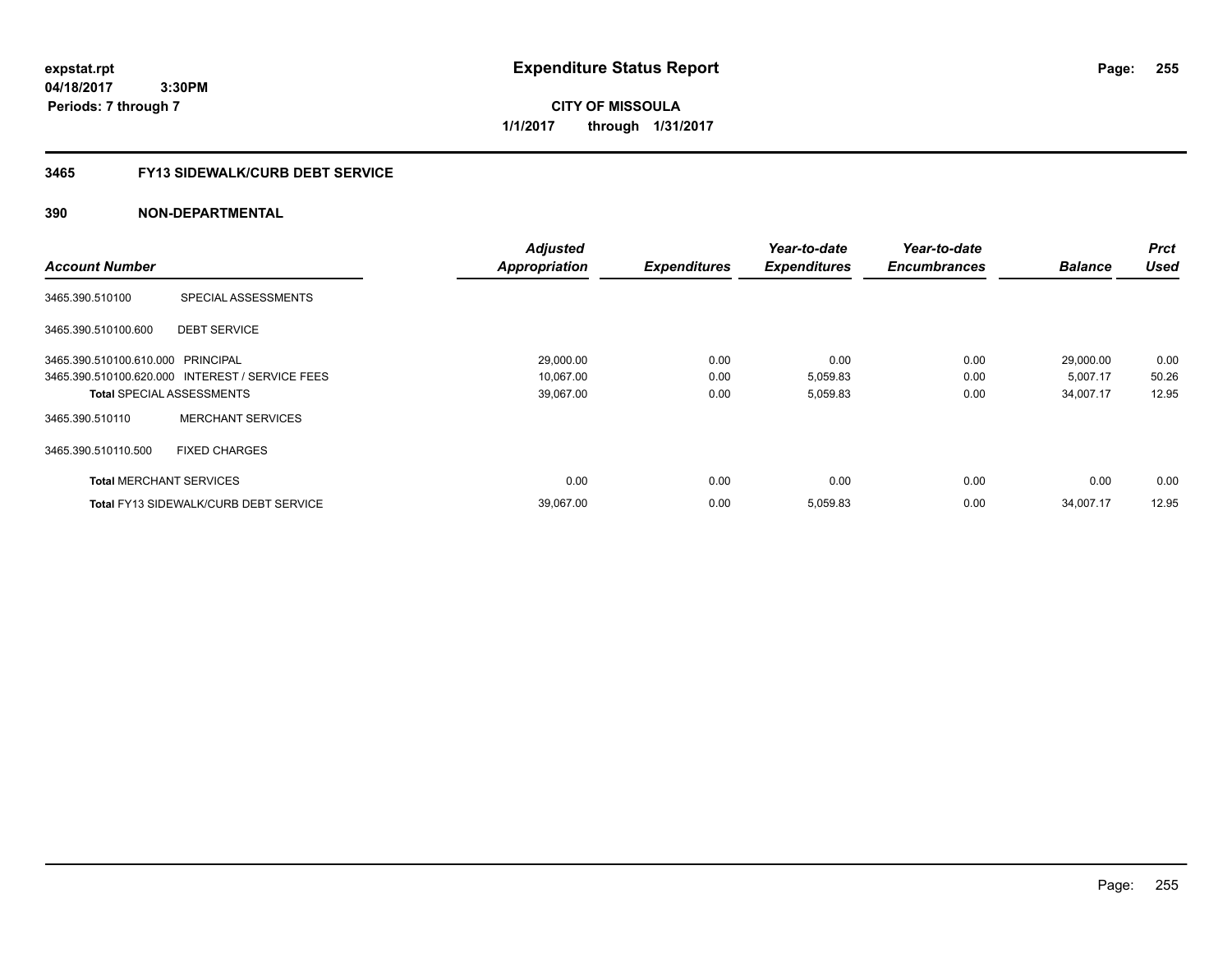**CITY OF MISSOULA 1/1/2017 through 1/31/2017**

# **3465 FY13 SIDEWALK/CURB DEBT SERVICE**

|                                   |                                                 | <b>Adjusted</b>      |                     | Year-to-date        | Year-to-date        |                | <b>Prct</b> |
|-----------------------------------|-------------------------------------------------|----------------------|---------------------|---------------------|---------------------|----------------|-------------|
| <b>Account Number</b>             |                                                 | <b>Appropriation</b> | <b>Expenditures</b> | <b>Expenditures</b> | <b>Encumbrances</b> | <b>Balance</b> | <b>Used</b> |
| 3465.390.510100                   | SPECIAL ASSESSMENTS                             |                      |                     |                     |                     |                |             |
| 3465.390.510100.600               | <b>DEBT SERVICE</b>                             |                      |                     |                     |                     |                |             |
| 3465.390.510100.610.000 PRINCIPAL |                                                 | 29,000.00            | 0.00                | 0.00                | 0.00                | 29,000.00      | 0.00        |
|                                   | 3465.390.510100.620.000 INTEREST / SERVICE FEES | 10,067.00            | 0.00                | 5,059.83            | 0.00                | 5,007.17       | 50.26       |
| <b>Total SPECIAL ASSESSMENTS</b>  |                                                 | 39,067.00            | 0.00                | 5,059.83            | 0.00                | 34,007.17      | 12.95       |
| 3465.390.510110                   | <b>MERCHANT SERVICES</b>                        |                      |                     |                     |                     |                |             |
| 3465.390.510110.500               | <b>FIXED CHARGES</b>                            |                      |                     |                     |                     |                |             |
| <b>Total MERCHANT SERVICES</b>    |                                                 | 0.00                 | 0.00                | 0.00                | 0.00                | 0.00           | 0.00        |
|                                   | <b>Total FY13 SIDEWALK/CURB DEBT SERVICE</b>    | 39,067.00            | 0.00                | 5,059.83            | 0.00                | 34,007.17      | 12.95       |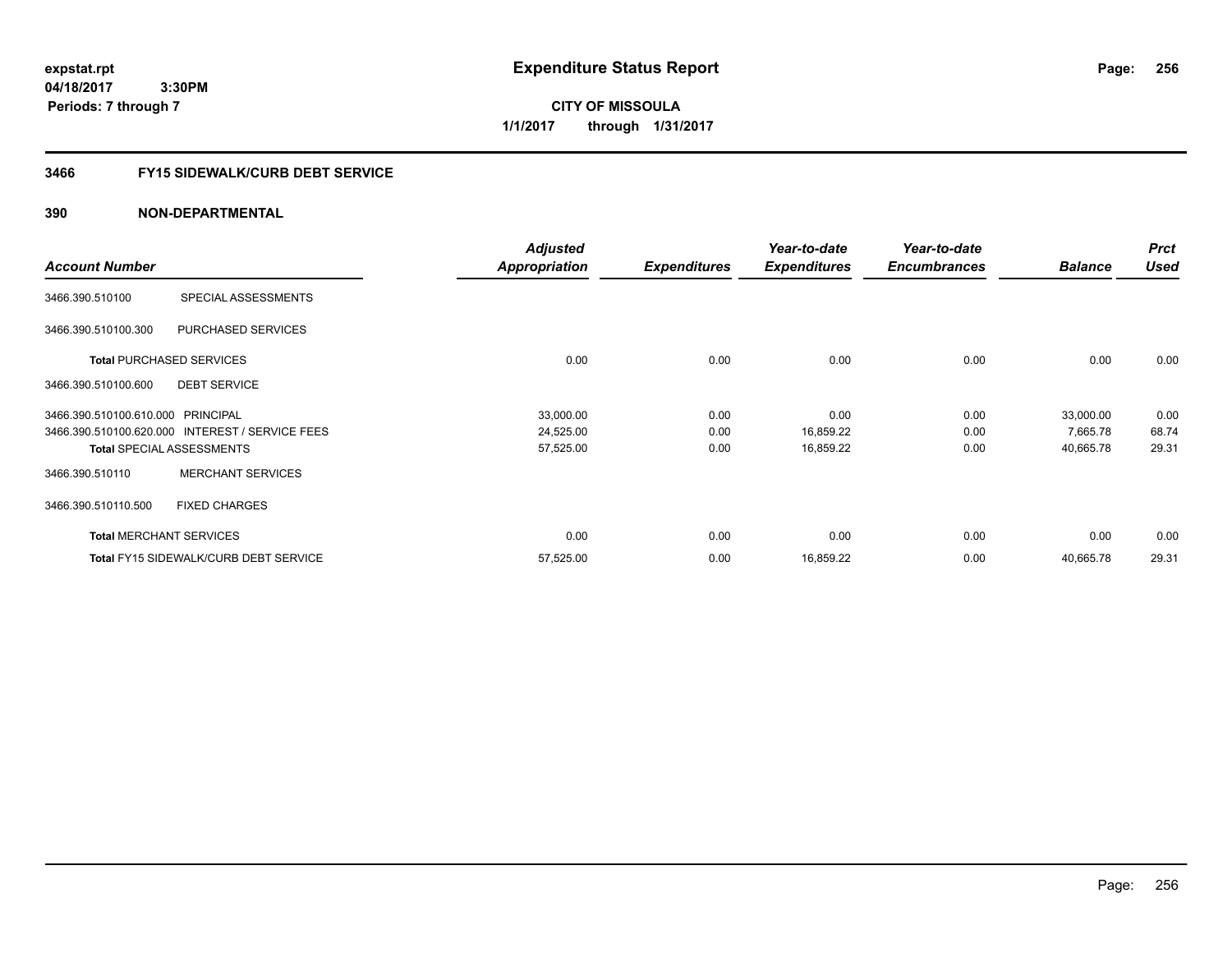**CITY OF MISSOULA 1/1/2017 through 1/31/2017**

# **3466 FY15 SIDEWALK/CURB DEBT SERVICE**

|                                   |                                                 | <b>Adjusted</b>      |                     | Year-to-date        | Year-to-date        |                | <b>Prct</b> |
|-----------------------------------|-------------------------------------------------|----------------------|---------------------|---------------------|---------------------|----------------|-------------|
| <b>Account Number</b>             |                                                 | <b>Appropriation</b> | <b>Expenditures</b> | <b>Expenditures</b> | <b>Encumbrances</b> | <b>Balance</b> | <b>Used</b> |
| 3466.390.510100                   | SPECIAL ASSESSMENTS                             |                      |                     |                     |                     |                |             |
| 3466.390.510100.300               | PURCHASED SERVICES                              |                      |                     |                     |                     |                |             |
|                                   | <b>Total PURCHASED SERVICES</b>                 | 0.00                 | 0.00                | 0.00                | 0.00                | 0.00           | 0.00        |
| 3466.390.510100.600               | <b>DEBT SERVICE</b>                             |                      |                     |                     |                     |                |             |
| 3466.390.510100.610.000 PRINCIPAL |                                                 | 33,000.00            | 0.00                | 0.00                | 0.00                | 33,000.00      | 0.00        |
|                                   | 3466.390.510100.620.000 INTEREST / SERVICE FEES | 24,525.00            | 0.00                | 16,859.22           | 0.00                | 7,665.78       | 68.74       |
|                                   | <b>Total SPECIAL ASSESSMENTS</b>                | 57,525.00            | 0.00                | 16,859.22           | 0.00                | 40,665.78      | 29.31       |
| 3466.390.510110                   | <b>MERCHANT SERVICES</b>                        |                      |                     |                     |                     |                |             |
| 3466.390.510110.500               | <b>FIXED CHARGES</b>                            |                      |                     |                     |                     |                |             |
|                                   | <b>Total MERCHANT SERVICES</b>                  | 0.00                 | 0.00                | 0.00                | 0.00                | 0.00           | 0.00        |
|                                   | <b>Total FY15 SIDEWALK/CURB DEBT SERVICE</b>    | 57,525.00            | 0.00                | 16,859.22           | 0.00                | 40,665.78      | 29.31       |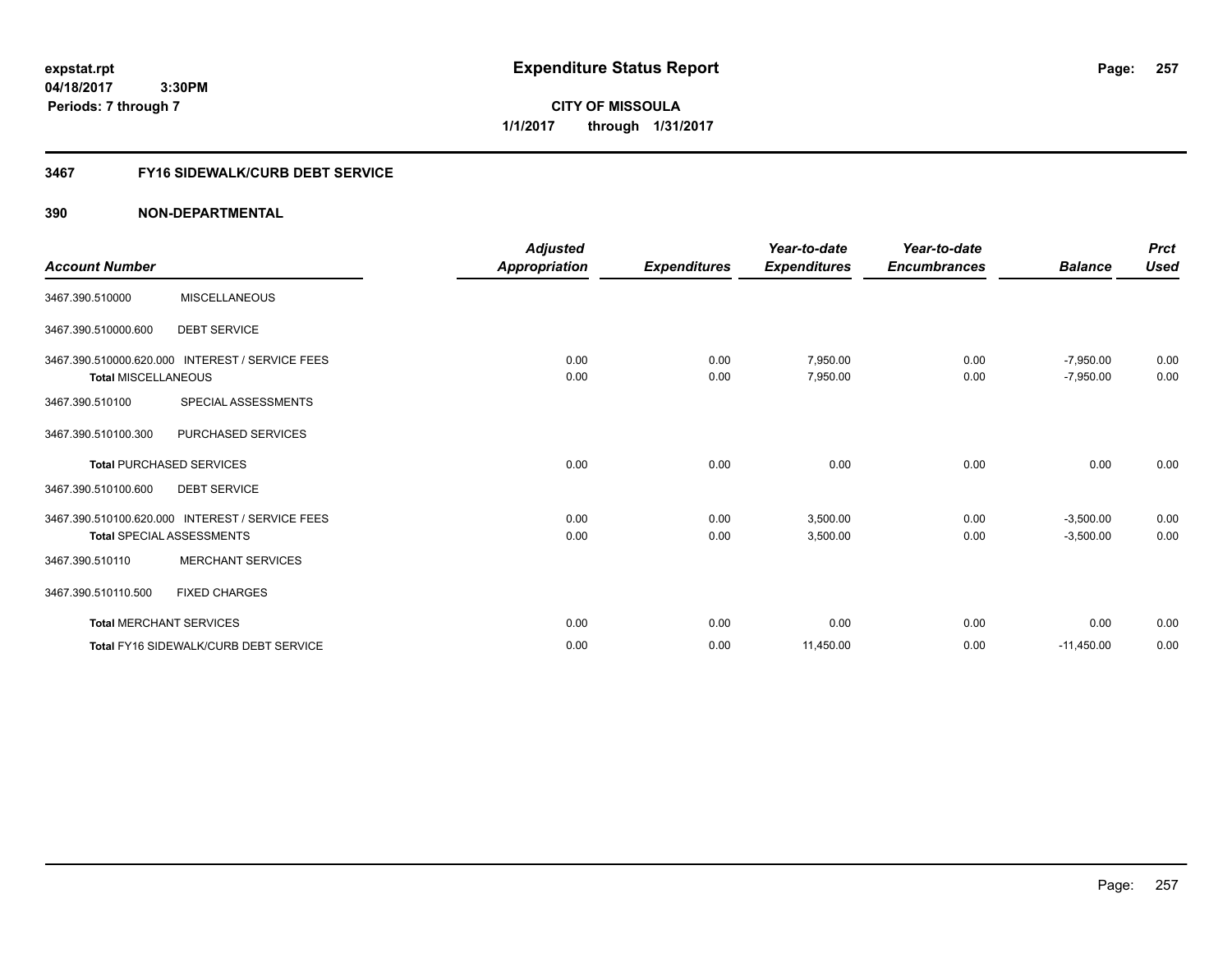**CITY OF MISSOULA 1/1/2017 through 1/31/2017**

# **3467 FY16 SIDEWALK/CURB DEBT SERVICE**

| <b>Account Number</b>          |                                                 | <b>Adjusted</b><br>Appropriation | <b>Expenditures</b> | Year-to-date<br><b>Expenditures</b> | Year-to-date<br><b>Encumbrances</b> | <b>Balance</b> | <b>Prct</b><br><b>Used</b> |
|--------------------------------|-------------------------------------------------|----------------------------------|---------------------|-------------------------------------|-------------------------------------|----------------|----------------------------|
|                                |                                                 |                                  |                     |                                     |                                     |                |                            |
| 3467.390.510000                | <b>MISCELLANEOUS</b>                            |                                  |                     |                                     |                                     |                |                            |
| 3467.390.510000.600            | <b>DEBT SERVICE</b>                             |                                  |                     |                                     |                                     |                |                            |
|                                | 3467.390.510000.620.000 INTEREST / SERVICE FEES | 0.00                             | 0.00                | 7,950.00                            | 0.00                                | $-7,950.00$    | 0.00                       |
| <b>Total MISCELLANEOUS</b>     |                                                 | 0.00                             | 0.00                | 7,950.00                            | 0.00                                | $-7,950.00$    | 0.00                       |
| 3467.390.510100                | SPECIAL ASSESSMENTS                             |                                  |                     |                                     |                                     |                |                            |
| 3467.390.510100.300            | PURCHASED SERVICES                              |                                  |                     |                                     |                                     |                |                            |
|                                | <b>Total PURCHASED SERVICES</b>                 | 0.00                             | 0.00                | 0.00                                | 0.00                                | 0.00           | 0.00                       |
| 3467.390.510100.600            | <b>DEBT SERVICE</b>                             |                                  |                     |                                     |                                     |                |                            |
|                                | 3467.390.510100.620.000 INTEREST / SERVICE FEES | 0.00                             | 0.00                | 3,500.00                            | 0.00                                | $-3,500.00$    | 0.00                       |
|                                | <b>Total SPECIAL ASSESSMENTS</b>                | 0.00                             | 0.00                | 3,500.00                            | 0.00                                | $-3,500.00$    | 0.00                       |
| 3467.390.510110                | <b>MERCHANT SERVICES</b>                        |                                  |                     |                                     |                                     |                |                            |
| 3467.390.510110.500            | <b>FIXED CHARGES</b>                            |                                  |                     |                                     |                                     |                |                            |
| <b>Total MERCHANT SERVICES</b> |                                                 | 0.00                             | 0.00                | 0.00                                | 0.00                                | 0.00           | 0.00                       |
|                                | Total FY16 SIDEWALK/CURB DEBT SERVICE           | 0.00                             | 0.00                | 11,450.00                           | 0.00                                | $-11,450.00$   | 0.00                       |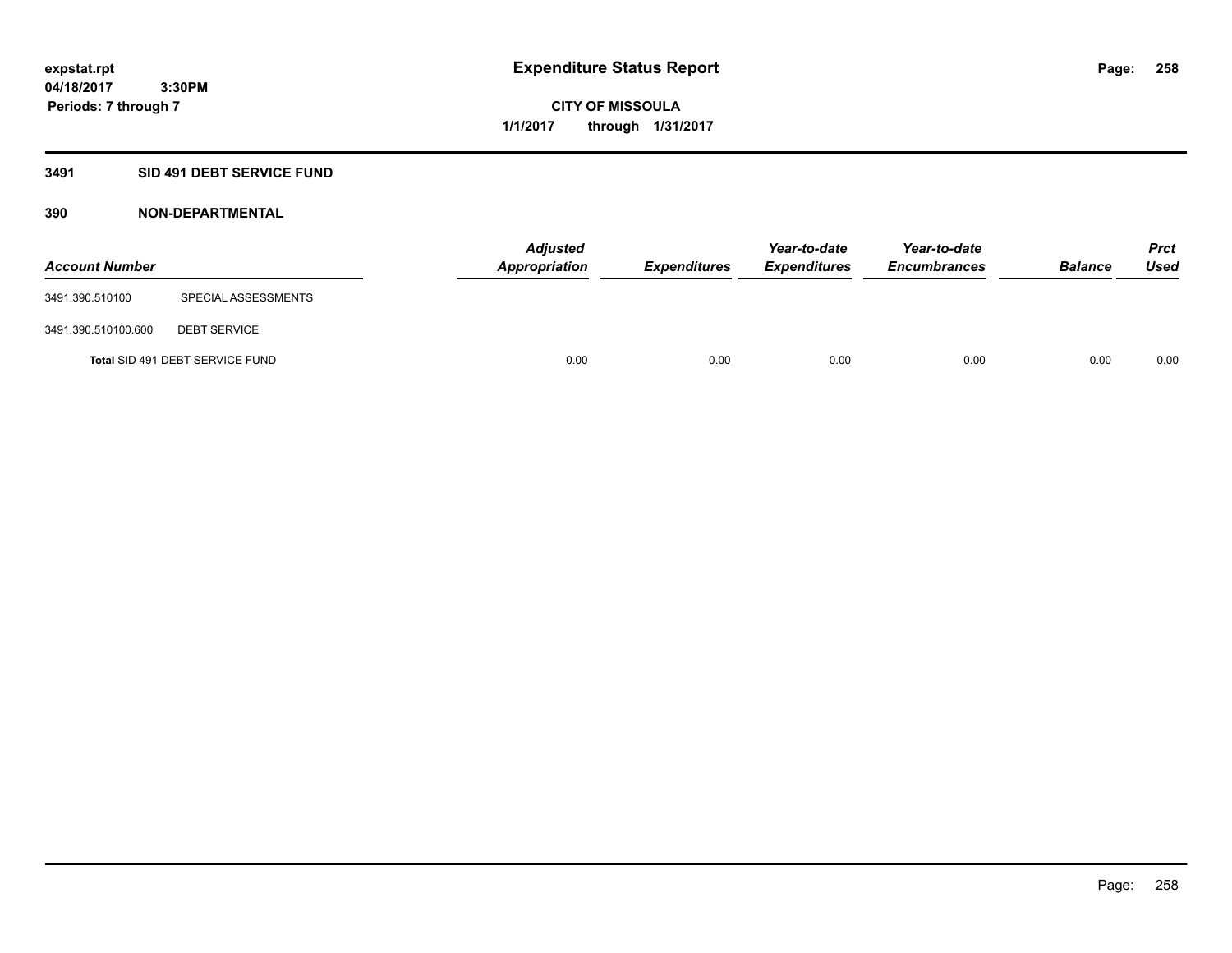**Periods: 7 through 7**

**CITY OF MISSOULA 1/1/2017 through 1/31/2017**

## **3491 SID 491 DEBT SERVICE FUND**

| <b>Account Number</b> |                                 | <b>Adjusted</b><br>Appropriation | <b>Expenditures</b> | Year-to-date<br><b>Expenditures</b> | Year-to-date<br><b>Encumbrances</b> | <b>Balance</b> | Prct<br><b>Used</b> |
|-----------------------|---------------------------------|----------------------------------|---------------------|-------------------------------------|-------------------------------------|----------------|---------------------|
| 3491.390.510100       | SPECIAL ASSESSMENTS             |                                  |                     |                                     |                                     |                |                     |
| 3491.390.510100.600   | <b>DEBT SERVICE</b>             |                                  |                     |                                     |                                     |                |                     |
|                       | Total SID 491 DEBT SERVICE FUND | 0.00                             | 0.00                | 0.00                                | 0.00                                | 0.00           | 0.00                |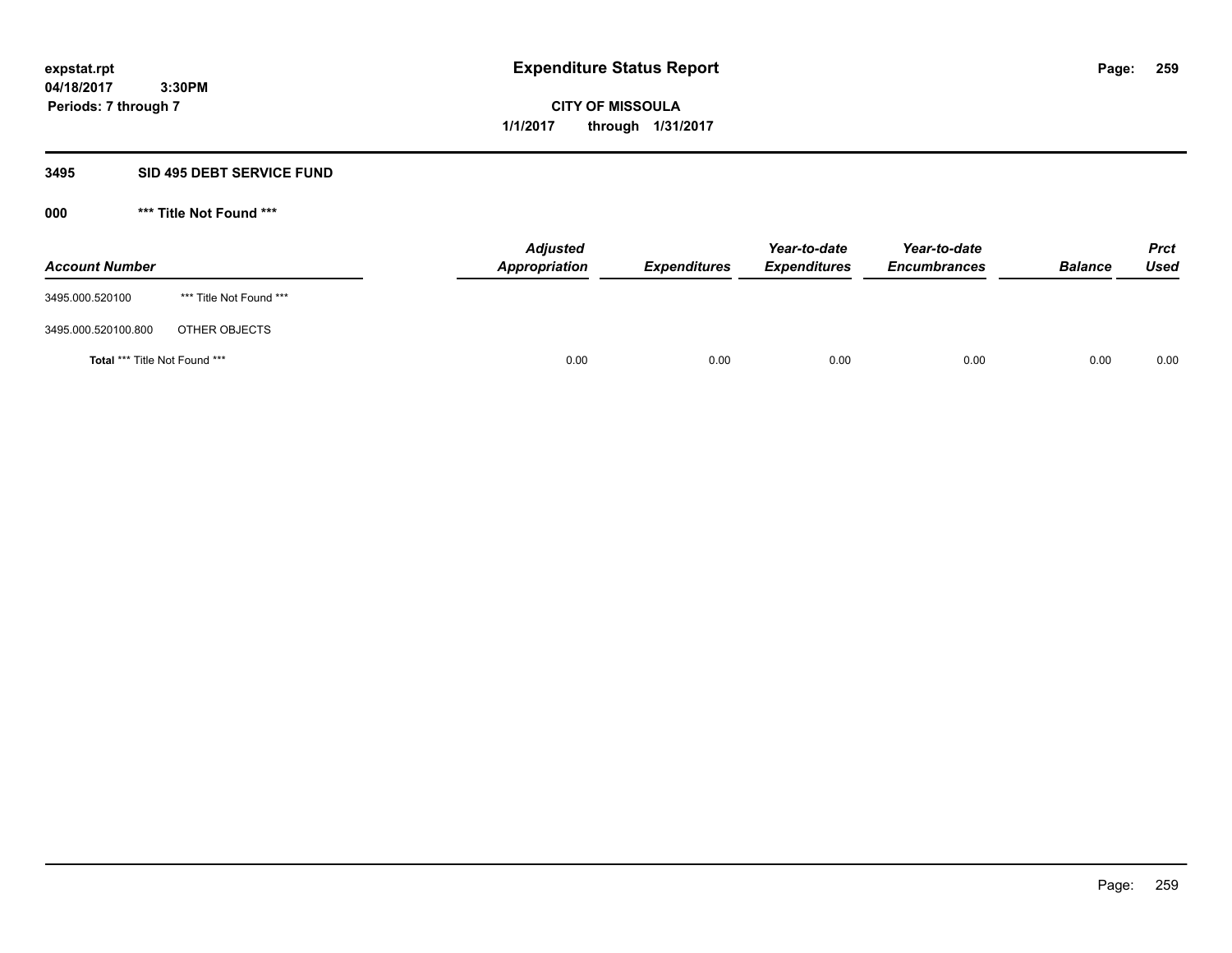**259**

**04/18/2017 3:30PM Periods: 7 through 7**

**CITY OF MISSOULA 1/1/2017 through 1/31/2017**

### **3495 SID 495 DEBT SERVICE FUND**

| <b>Account Number</b>         |                         | <b>Adjusted</b><br>Appropriation | <b>Expenditures</b> | Year-to-date<br><b>Expenditures</b> | Year-to-date<br><b>Encumbrances</b> | <b>Balance</b> | <b>Prct</b><br>Used |
|-------------------------------|-------------------------|----------------------------------|---------------------|-------------------------------------|-------------------------------------|----------------|---------------------|
| 3495.000.520100               | *** Title Not Found *** |                                  |                     |                                     |                                     |                |                     |
| 3495.000.520100.800           | OTHER OBJECTS           |                                  |                     |                                     |                                     |                |                     |
| Total *** Title Not Found *** |                         | 0.00                             | 0.00                | 0.00                                | 0.00                                | 0.00           | 0.00                |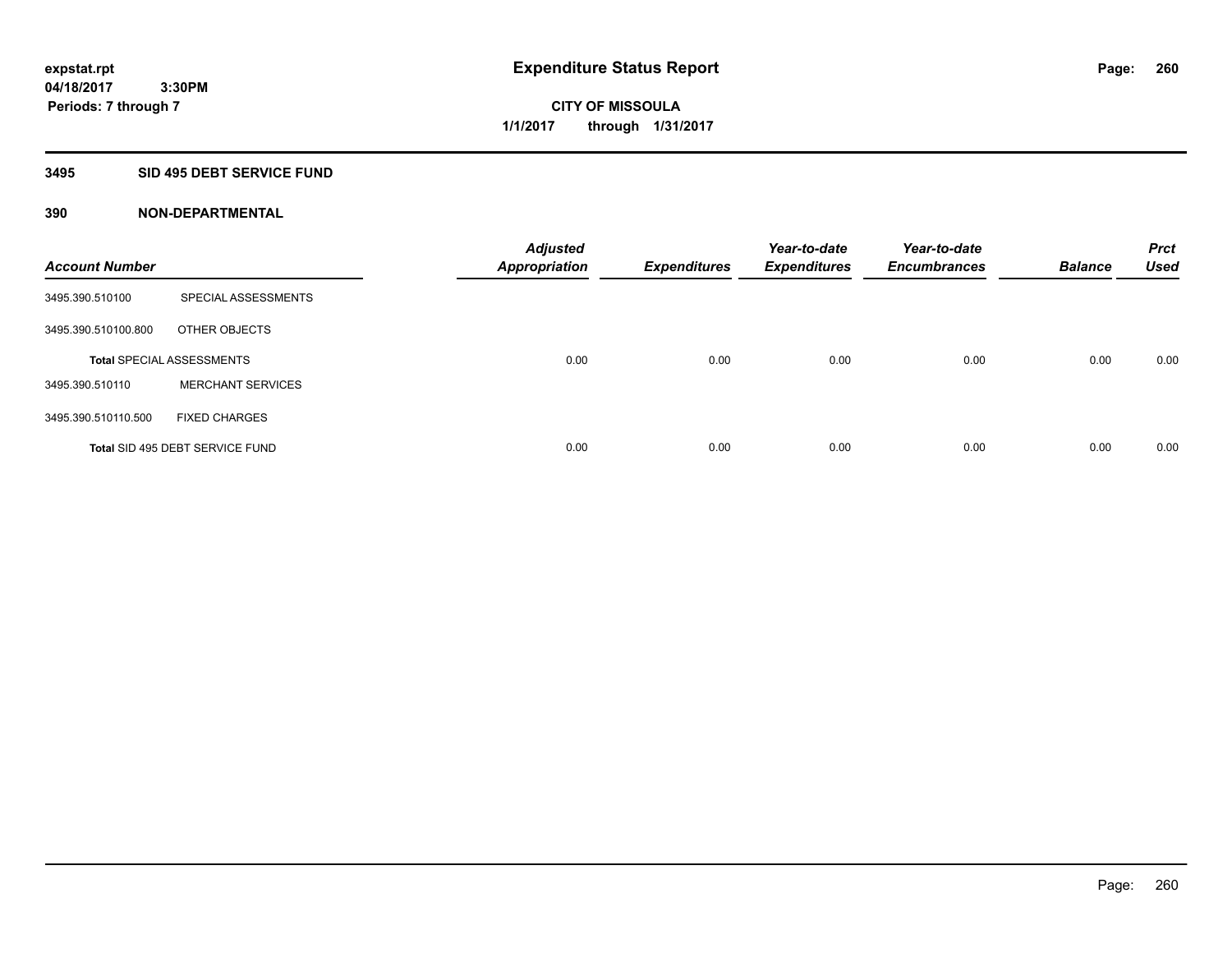### **3495 SID 495 DEBT SERVICE FUND**

| <b>Account Number</b> |                                  | <b>Adjusted</b><br><b>Appropriation</b> | <b>Expenditures</b> | Year-to-date<br><b>Expenditures</b> | Year-to-date<br><b>Encumbrances</b> | <b>Balance</b> | <b>Prct</b><br><b>Used</b> |
|-----------------------|----------------------------------|-----------------------------------------|---------------------|-------------------------------------|-------------------------------------|----------------|----------------------------|
| 3495.390.510100       | <b>SPECIAL ASSESSMENTS</b>       |                                         |                     |                                     |                                     |                |                            |
| 3495.390.510100.800   | OTHER OBJECTS                    |                                         |                     |                                     |                                     |                |                            |
|                       | <b>Total SPECIAL ASSESSMENTS</b> | 0.00                                    | 0.00                | 0.00                                | 0.00                                | 0.00           | 0.00                       |
| 3495.390.510110       | <b>MERCHANT SERVICES</b>         |                                         |                     |                                     |                                     |                |                            |
| 3495.390.510110.500   | <b>FIXED CHARGES</b>             |                                         |                     |                                     |                                     |                |                            |
|                       | Total SID 495 DEBT SERVICE FUND  | 0.00                                    | 0.00                | 0.00                                | 0.00                                | 0.00           | 0.00                       |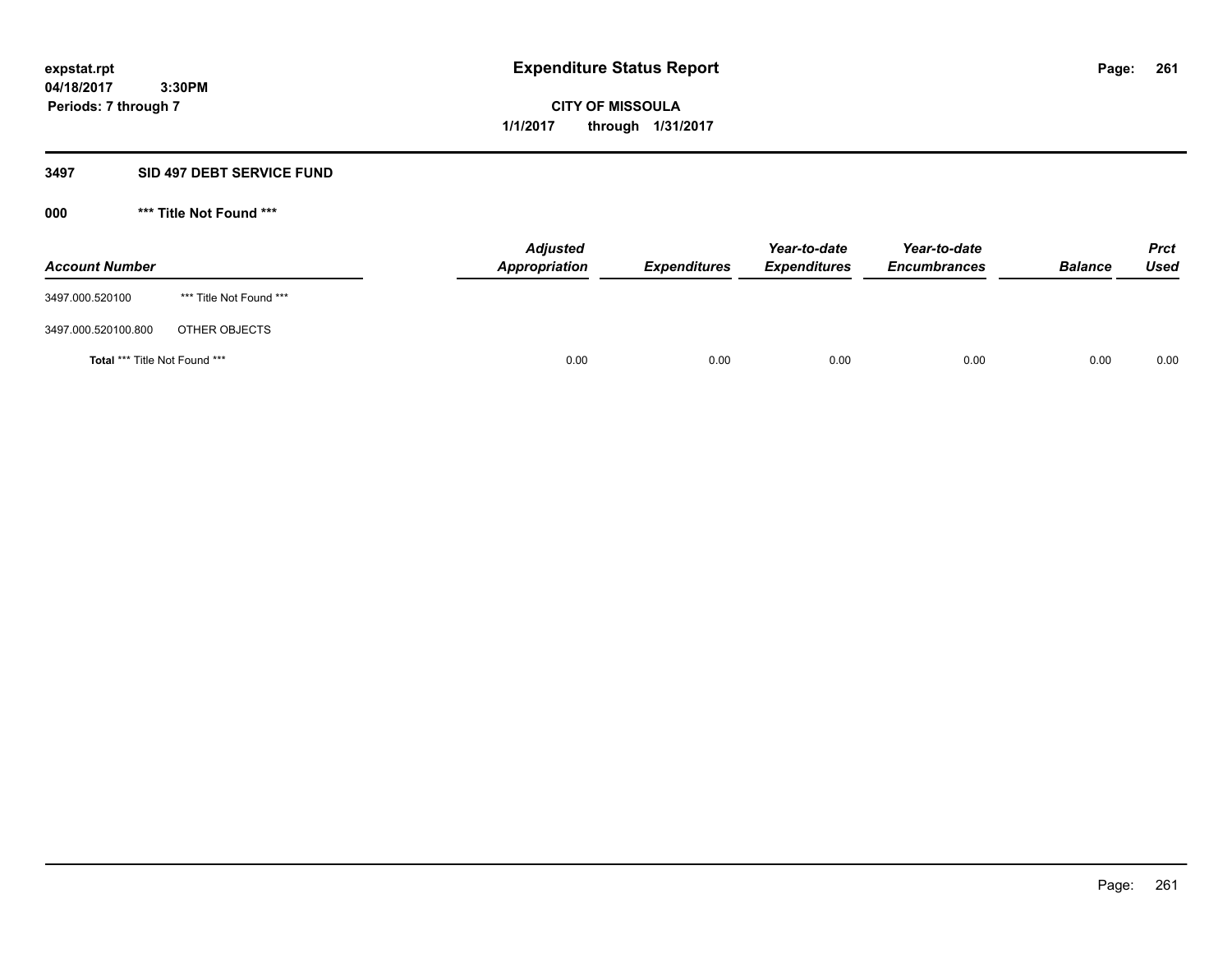**261**

**04/18/2017 3:30PM Periods: 7 through 7**

**CITY OF MISSOULA 1/1/2017 through 1/31/2017**

### **3497 SID 497 DEBT SERVICE FUND**

| <b>Account Number</b>         |                         | <b>Adjusted</b><br>Appropriation | <b>Expenditures</b> | Year-to-date<br><b>Expenditures</b> | Year-to-date<br><b>Encumbrances</b> | <b>Balance</b> | <b>Prct</b><br>Used |
|-------------------------------|-------------------------|----------------------------------|---------------------|-------------------------------------|-------------------------------------|----------------|---------------------|
| 3497.000.520100               | *** Title Not Found *** |                                  |                     |                                     |                                     |                |                     |
| 3497.000.520100.800           | OTHER OBJECTS           |                                  |                     |                                     |                                     |                |                     |
| Total *** Title Not Found *** |                         | 0.00                             | 0.00                | 0.00                                | 0.00                                | 0.00           | 0.00                |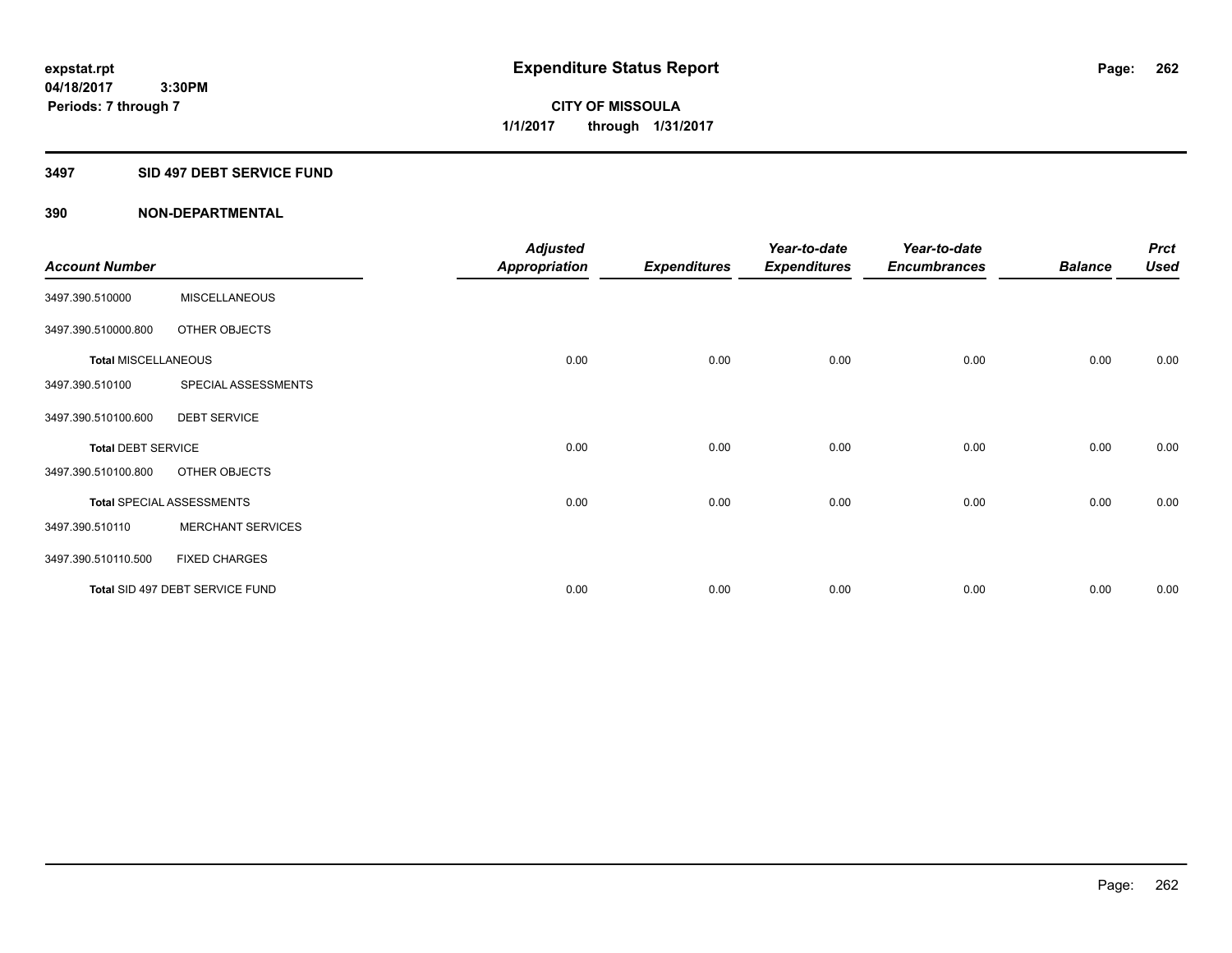**Periods: 7 through 7**

**CITY OF MISSOULA 1/1/2017 through 1/31/2017**

### **3497 SID 497 DEBT SERVICE FUND**

|                            |                                  | <b>Adjusted</b> |                     | Year-to-date        | Year-to-date        |                | <b>Prct</b> |
|----------------------------|----------------------------------|-----------------|---------------------|---------------------|---------------------|----------------|-------------|
| <b>Account Number</b>      |                                  | Appropriation   | <b>Expenditures</b> | <b>Expenditures</b> | <b>Encumbrances</b> | <b>Balance</b> | <b>Used</b> |
| 3497.390.510000            | <b>MISCELLANEOUS</b>             |                 |                     |                     |                     |                |             |
| 3497.390.510000.800        | OTHER OBJECTS                    |                 |                     |                     |                     |                |             |
| <b>Total MISCELLANEOUS</b> |                                  | 0.00            | 0.00                | 0.00                | 0.00                | 0.00           | 0.00        |
| 3497.390.510100            | SPECIAL ASSESSMENTS              |                 |                     |                     |                     |                |             |
| 3497.390.510100.600        | <b>DEBT SERVICE</b>              |                 |                     |                     |                     |                |             |
| <b>Total DEBT SERVICE</b>  |                                  | 0.00            | 0.00                | 0.00                | 0.00                | 0.00           | 0.00        |
| 3497.390.510100.800        | OTHER OBJECTS                    |                 |                     |                     |                     |                |             |
|                            | <b>Total SPECIAL ASSESSMENTS</b> | 0.00            | 0.00                | 0.00                | 0.00                | 0.00           | 0.00        |
| 3497.390.510110            | <b>MERCHANT SERVICES</b>         |                 |                     |                     |                     |                |             |
| 3497.390.510110.500        | <b>FIXED CHARGES</b>             |                 |                     |                     |                     |                |             |
|                            | Total SID 497 DEBT SERVICE FUND  | 0.00            | 0.00                | 0.00                | 0.00                | 0.00           | 0.00        |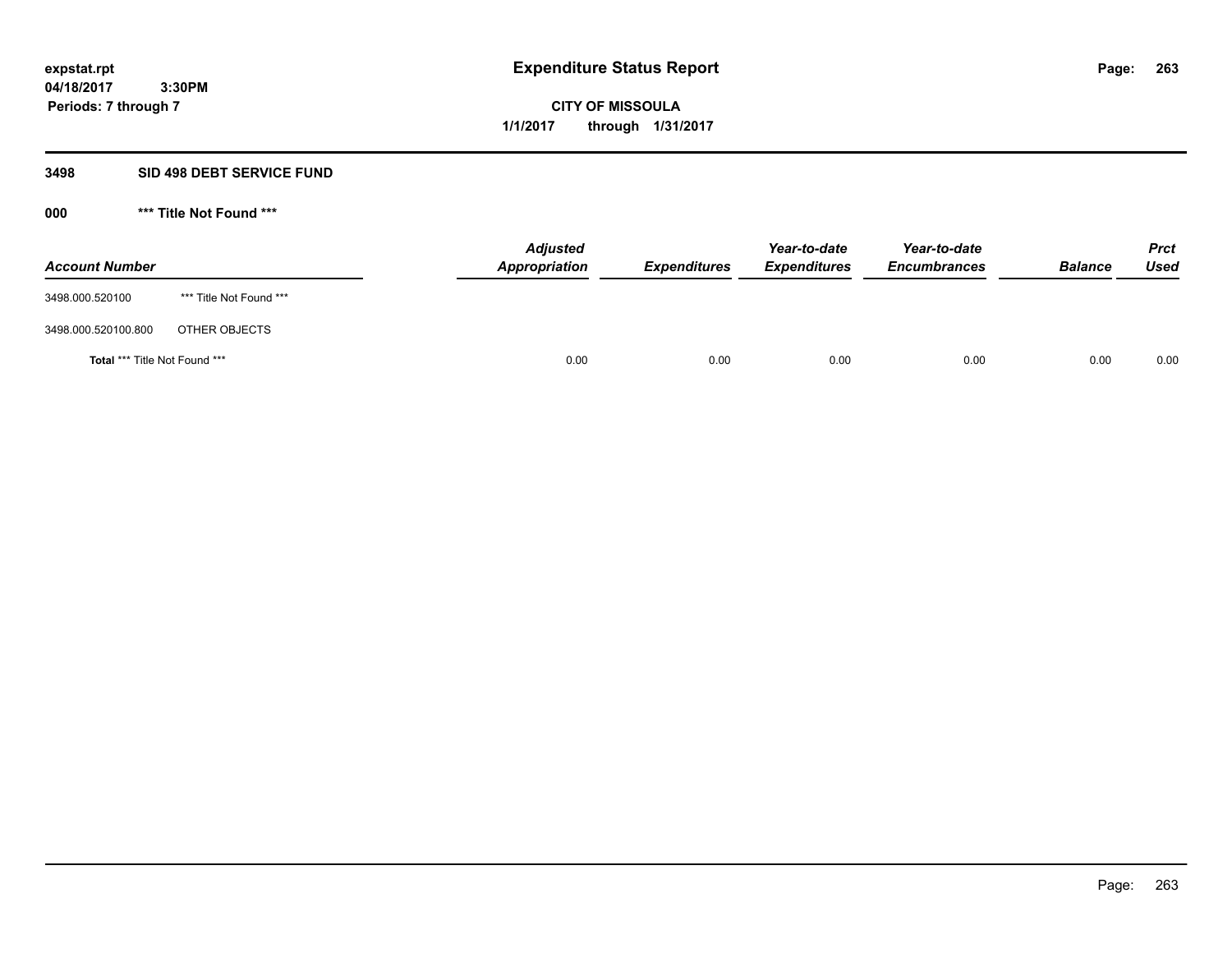**263**

**04/18/2017 3:30PM Periods: 7 through 7**

**CITY OF MISSOULA 1/1/2017 through 1/31/2017**

### **3498 SID 498 DEBT SERVICE FUND**

| <b>Account Number</b>         |                         | <b>Adjusted</b><br>Appropriation | <b>Expenditures</b> | Year-to-date<br><b>Expenditures</b> | Year-to-date<br><b>Encumbrances</b> | <b>Balance</b> | <b>Prct</b><br><b>Used</b> |
|-------------------------------|-------------------------|----------------------------------|---------------------|-------------------------------------|-------------------------------------|----------------|----------------------------|
| 3498.000.520100               | *** Title Not Found *** |                                  |                     |                                     |                                     |                |                            |
| 3498.000.520100.800           | OTHER OBJECTS           |                                  |                     |                                     |                                     |                |                            |
| Total *** Title Not Found *** |                         | 0.00                             | 0.00                | 0.00                                | 0.00                                | 0.00           | 0.00                       |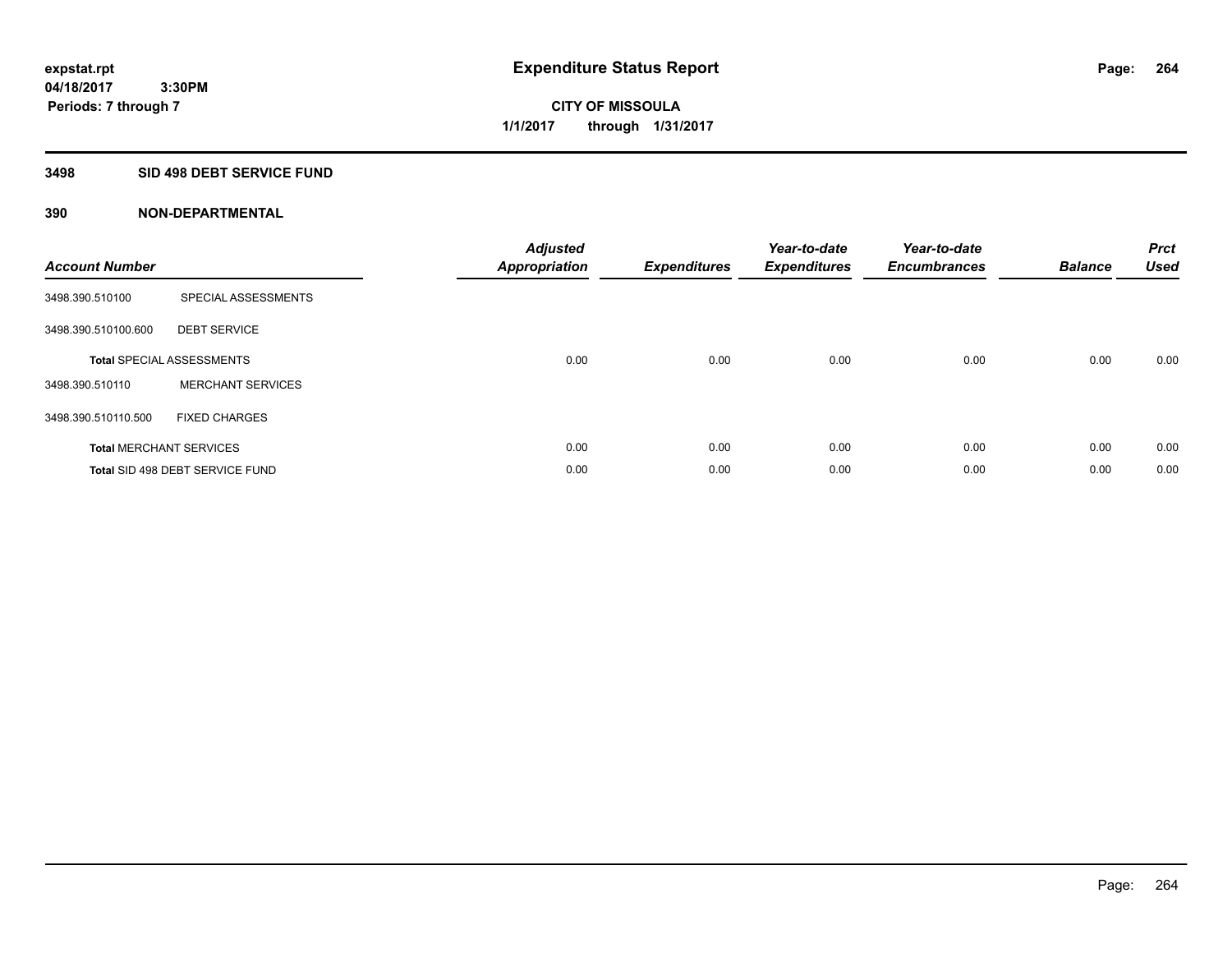**Periods: 7 through 7**

**CITY OF MISSOULA 1/1/2017 through 1/31/2017**

#### **3498 SID 498 DEBT SERVICE FUND**

 **3:30PM**

| <b>Account Number</b> |                                  | <b>Adjusted</b><br>Appropriation | <b>Expenditures</b> | Year-to-date<br><b>Expenditures</b> | Year-to-date<br><b>Encumbrances</b> | <b>Balance</b> | <b>Prct</b><br><b>Used</b> |
|-----------------------|----------------------------------|----------------------------------|---------------------|-------------------------------------|-------------------------------------|----------------|----------------------------|
| 3498.390.510100       | SPECIAL ASSESSMENTS              |                                  |                     |                                     |                                     |                |                            |
| 3498.390.510100.600   | <b>DEBT SERVICE</b>              |                                  |                     |                                     |                                     |                |                            |
|                       | <b>Total SPECIAL ASSESSMENTS</b> | 0.00                             | 0.00                | 0.00                                | 0.00                                | 0.00           | 0.00                       |
| 3498.390.510110       | <b>MERCHANT SERVICES</b>         |                                  |                     |                                     |                                     |                |                            |
| 3498.390.510110.500   | <b>FIXED CHARGES</b>             |                                  |                     |                                     |                                     |                |                            |
|                       | <b>Total MERCHANT SERVICES</b>   | 0.00                             | 0.00                | 0.00                                | 0.00                                | 0.00           | 0.00                       |
|                       | Total SID 498 DEBT SERVICE FUND  | 0.00                             | 0.00                | 0.00                                | 0.00                                | 0.00           | 0.00                       |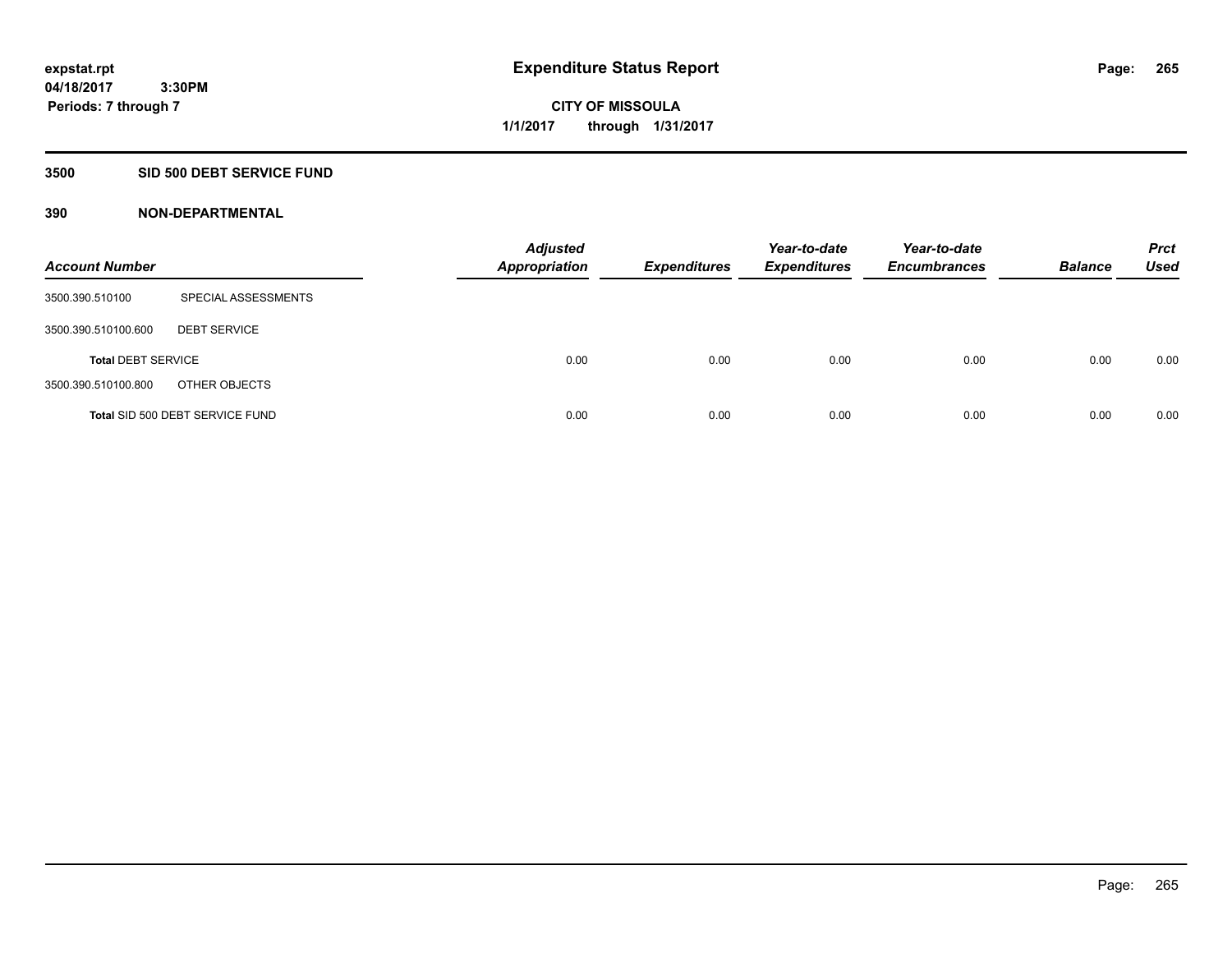**Periods: 7 through 7**

**CITY OF MISSOULA 1/1/2017 through 1/31/2017**

#### **3500 SID 500 DEBT SERVICE FUND**

 **3:30PM**

| <b>Account Number</b>     |                                 | <b>Adjusted</b><br><b>Appropriation</b> | <b>Expenditures</b> | Year-to-date<br><b>Expenditures</b> | Year-to-date<br><b>Encumbrances</b> | <b>Balance</b> | <b>Prct</b><br>Used |
|---------------------------|---------------------------------|-----------------------------------------|---------------------|-------------------------------------|-------------------------------------|----------------|---------------------|
| 3500.390.510100           | SPECIAL ASSESSMENTS             |                                         |                     |                                     |                                     |                |                     |
| 3500.390.510100.600       | <b>DEBT SERVICE</b>             |                                         |                     |                                     |                                     |                |                     |
| <b>Total DEBT SERVICE</b> |                                 | 0.00                                    | 0.00                | 0.00                                | 0.00                                | 0.00           | 0.00                |
| 3500.390.510100.800       | OTHER OBJECTS                   |                                         |                     |                                     |                                     |                |                     |
|                           | Total SID 500 DEBT SERVICE FUND | 0.00                                    | 0.00                | 0.00                                | 0.00                                | 0.00           | 0.00                |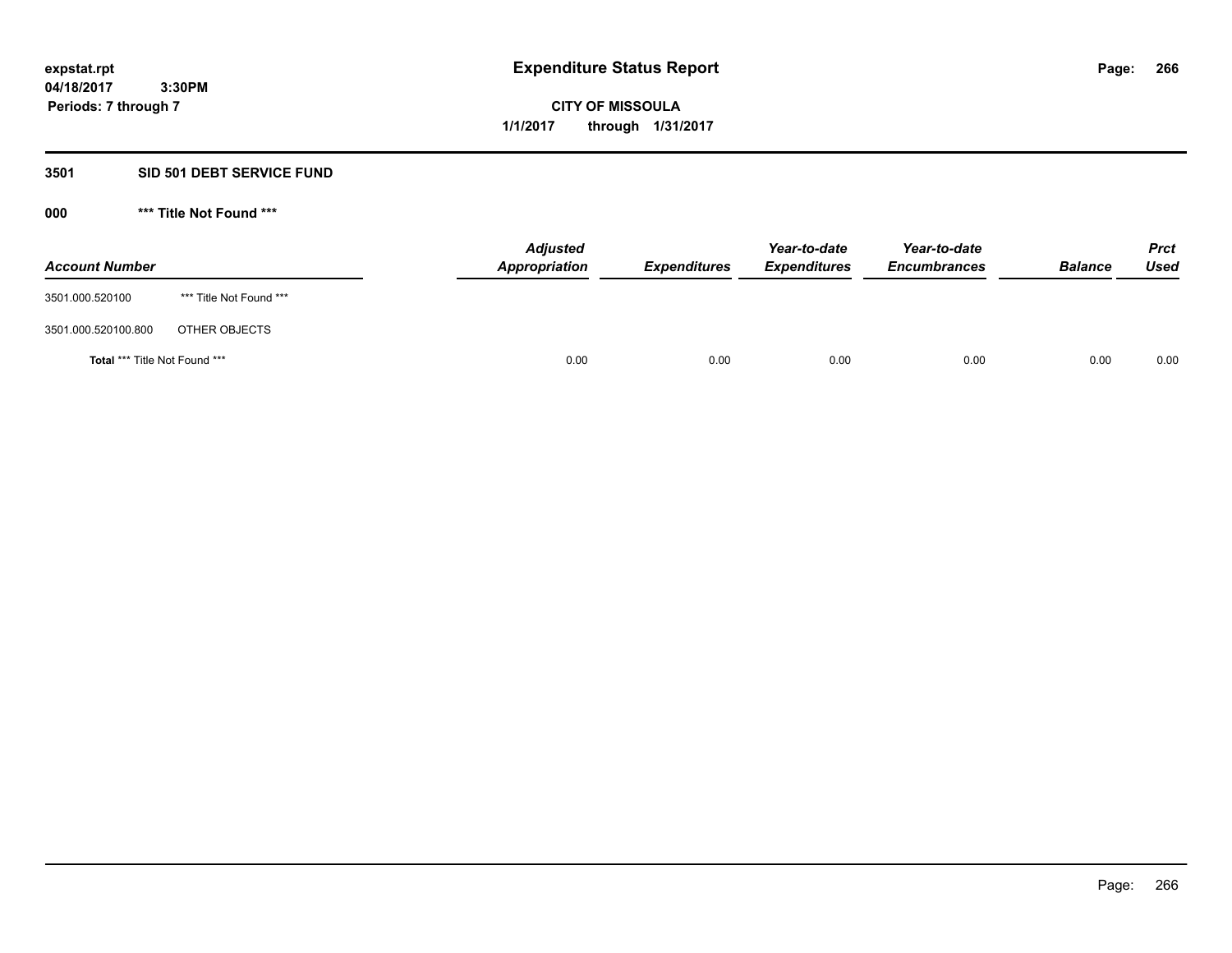**266**

**04/18/2017 3:30PM Periods: 7 through 7**

# **CITY OF MISSOULA 1/1/2017 through 1/31/2017**

# **3501 SID 501 DEBT SERVICE FUND**

| <b>Account Number</b>         |                         | <b>Adjusted</b><br>Appropriation | <b>Expenditures</b> | Year-to-date<br><b>Expenditures</b> | Year-to-date<br><b>Encumbrances</b> | <b>Balance</b> | Prct<br><b>Used</b> |
|-------------------------------|-------------------------|----------------------------------|---------------------|-------------------------------------|-------------------------------------|----------------|---------------------|
| 3501.000.520100               | *** Title Not Found *** |                                  |                     |                                     |                                     |                |                     |
| 3501.000.520100.800           | OTHER OBJECTS           |                                  |                     |                                     |                                     |                |                     |
| Total *** Title Not Found *** |                         | 0.00                             | 0.00                | 0.00                                | 0.00                                | 0.00           | 0.00                |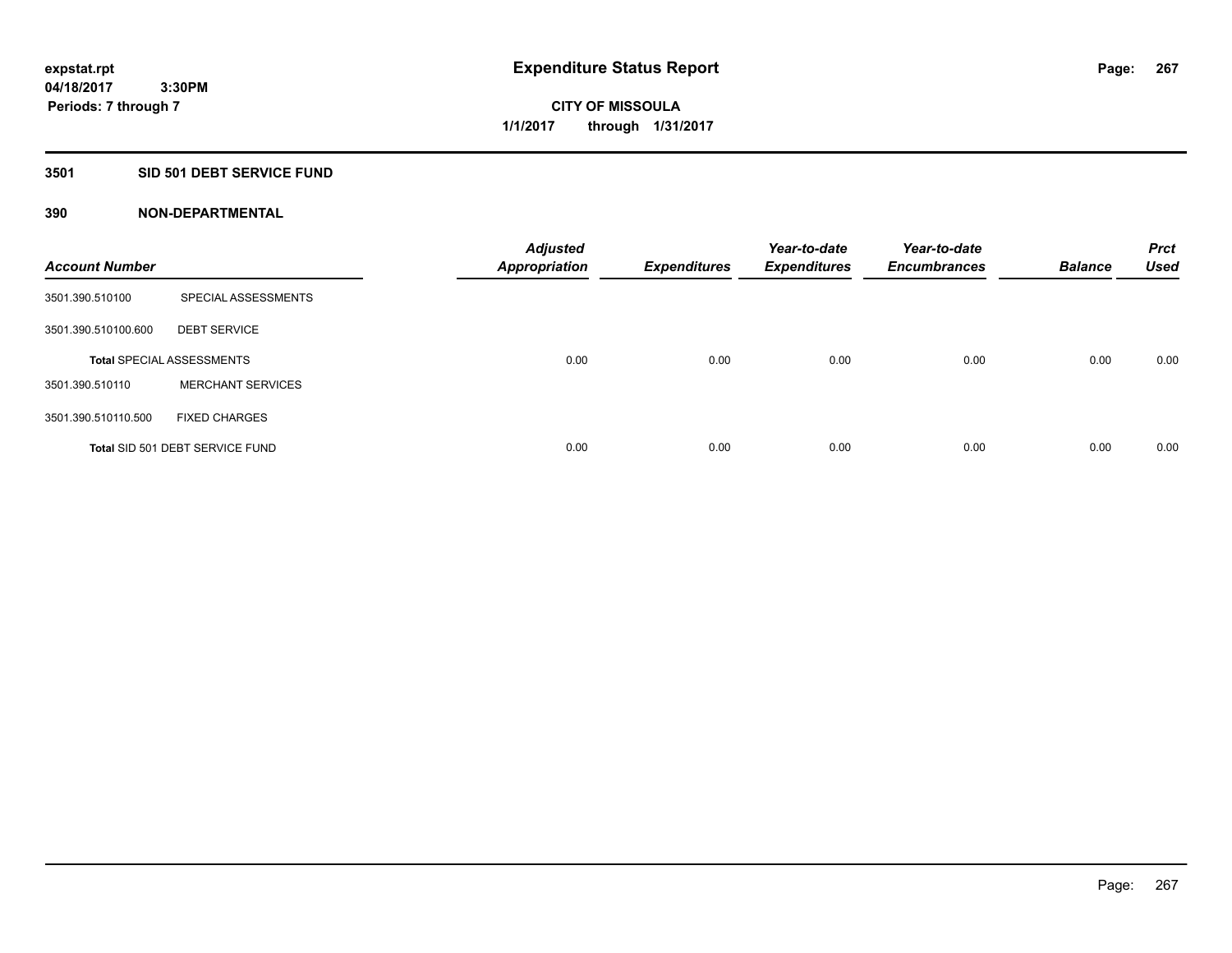## **3501 SID 501 DEBT SERVICE FUND**

| <b>Account Number</b> |                                  | <b>Adjusted</b><br><b>Appropriation</b> | <b>Expenditures</b> | Year-to-date<br><b>Expenditures</b> | Year-to-date<br><b>Encumbrances</b> | <b>Balance</b> | <b>Prct</b><br><b>Used</b> |
|-----------------------|----------------------------------|-----------------------------------------|---------------------|-------------------------------------|-------------------------------------|----------------|----------------------------|
| 3501.390.510100       | SPECIAL ASSESSMENTS              |                                         |                     |                                     |                                     |                |                            |
| 3501.390.510100.600   | <b>DEBT SERVICE</b>              |                                         |                     |                                     |                                     |                |                            |
|                       | <b>Total SPECIAL ASSESSMENTS</b> | 0.00                                    | 0.00                | 0.00                                | 0.00                                | 0.00           | 0.00                       |
| 3501.390.510110       | <b>MERCHANT SERVICES</b>         |                                         |                     |                                     |                                     |                |                            |
| 3501.390.510110.500   | <b>FIXED CHARGES</b>             |                                         |                     |                                     |                                     |                |                            |
|                       | Total SID 501 DEBT SERVICE FUND  | 0.00                                    | 0.00                | 0.00                                | 0.00                                | 0.00           | 0.00                       |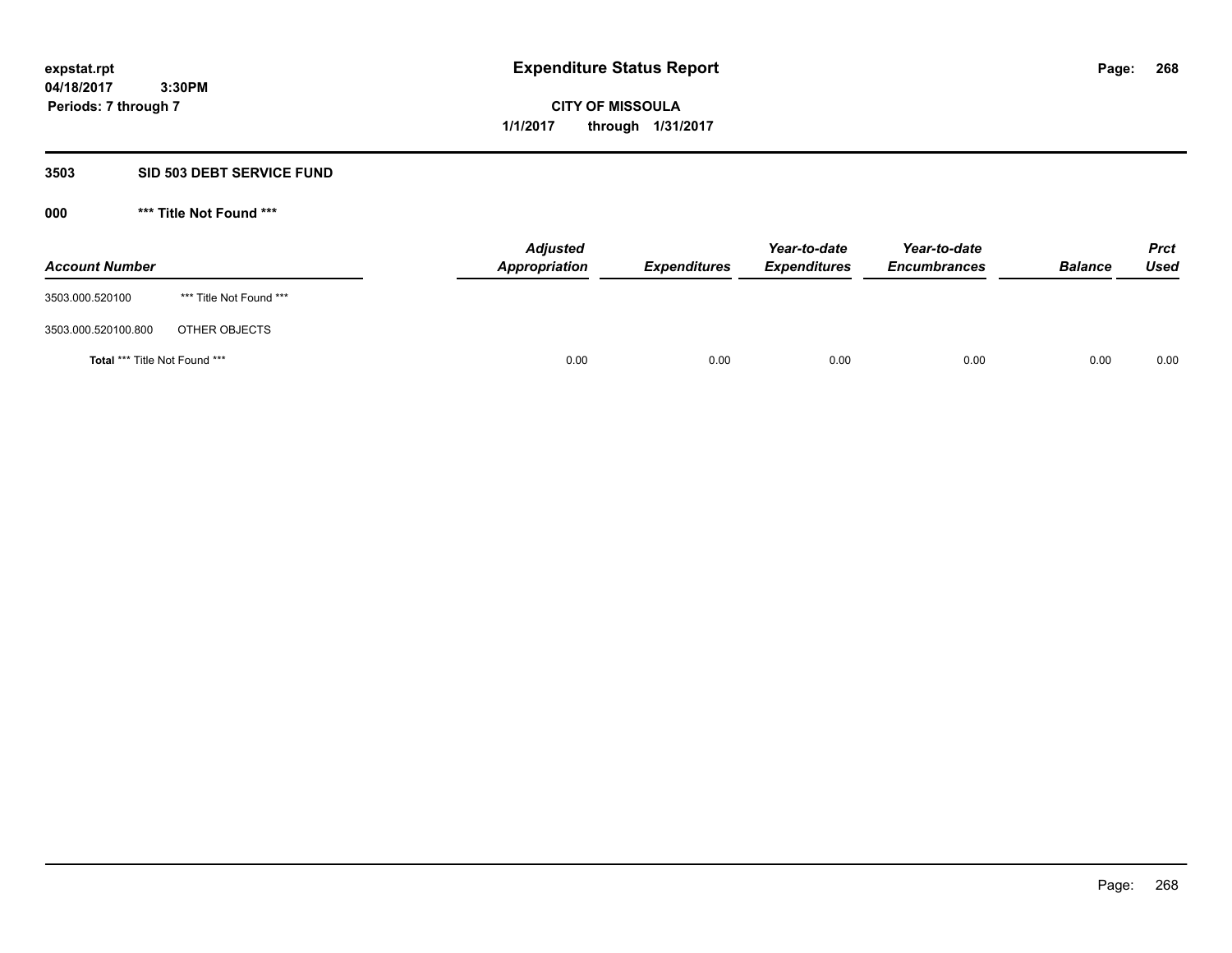**268**

**04/18/2017 3:30PM Periods: 7 through 7**

**CITY OF MISSOULA 1/1/2017 through 1/31/2017**

### **3503 SID 503 DEBT SERVICE FUND**

| <b>Account Number</b>         |                         | <b>Adjusted</b><br>Appropriation | <b>Expenditures</b> | Year-to-date<br><b>Expenditures</b> | Year-to-date<br><b>Encumbrances</b> | <b>Balance</b> | <b>Prct</b><br><b>Used</b> |
|-------------------------------|-------------------------|----------------------------------|---------------------|-------------------------------------|-------------------------------------|----------------|----------------------------|
| 3503.000.520100               | *** Title Not Found *** |                                  |                     |                                     |                                     |                |                            |
| 3503.000.520100.800           | OTHER OBJECTS           |                                  |                     |                                     |                                     |                |                            |
| Total *** Title Not Found *** |                         | 0.00                             | 0.00                | 0.00                                | 0.00                                | 0.00           | 0.00                       |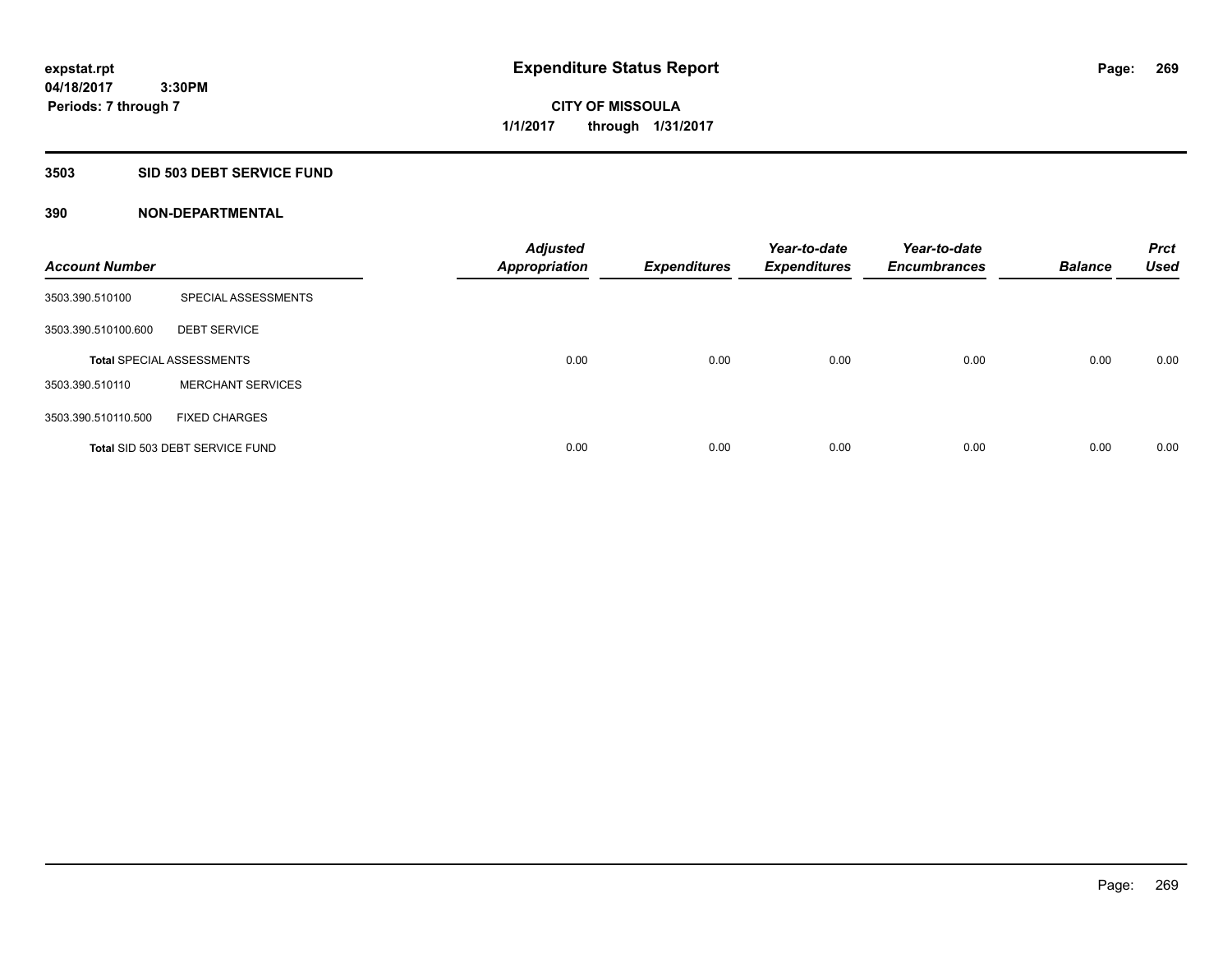## **3503 SID 503 DEBT SERVICE FUND**

| <b>Account Number</b> |                                  | <b>Adjusted</b><br><b>Appropriation</b> | <b>Expenditures</b> | Year-to-date<br><b>Expenditures</b> | Year-to-date<br><b>Encumbrances</b> | <b>Balance</b> | <b>Prct</b><br><b>Used</b> |
|-----------------------|----------------------------------|-----------------------------------------|---------------------|-------------------------------------|-------------------------------------|----------------|----------------------------|
| 3503.390.510100       | SPECIAL ASSESSMENTS              |                                         |                     |                                     |                                     |                |                            |
| 3503.390.510100.600   | <b>DEBT SERVICE</b>              |                                         |                     |                                     |                                     |                |                            |
|                       | <b>Total SPECIAL ASSESSMENTS</b> | 0.00                                    | 0.00                | 0.00                                | 0.00                                | 0.00           | 0.00                       |
| 3503.390.510110       | <b>MERCHANT SERVICES</b>         |                                         |                     |                                     |                                     |                |                            |
| 3503.390.510110.500   | <b>FIXED CHARGES</b>             |                                         |                     |                                     |                                     |                |                            |
|                       | Total SID 503 DEBT SERVICE FUND  | 0.00                                    | 0.00                | 0.00                                | 0.00                                | 0.00           | 0.00                       |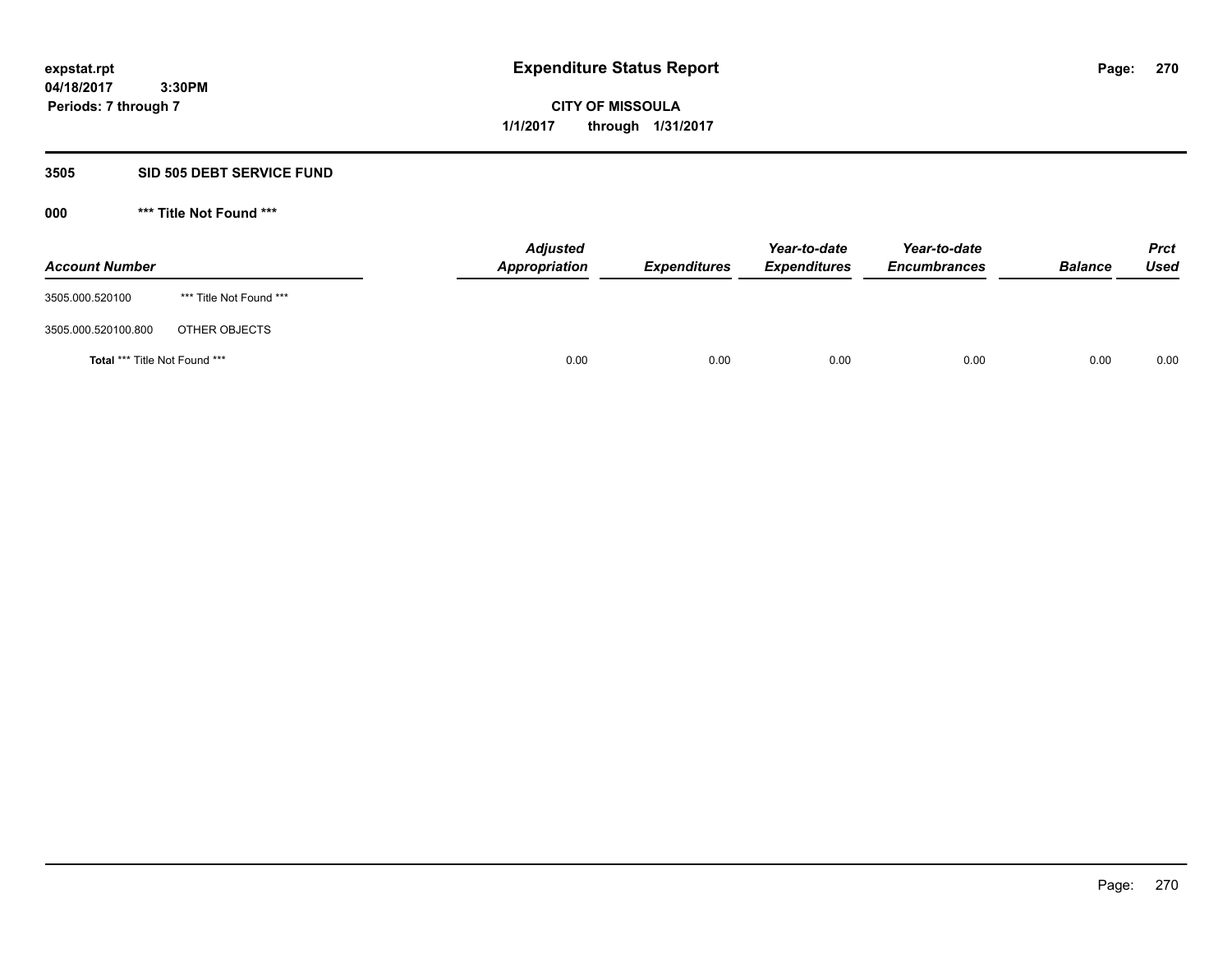# **CITY OF MISSOULA 1/1/2017 through 1/31/2017**

# **3505 SID 505 DEBT SERVICE FUND**

| <b>Account Number</b>         |                         | <b>Adjusted</b><br>Appropriation | <b>Expenditures</b> | Year-to-date<br><b>Expenditures</b> | Year-to-date<br><b>Encumbrances</b> | <b>Balance</b> | <b>Prct</b><br><b>Used</b> |
|-------------------------------|-------------------------|----------------------------------|---------------------|-------------------------------------|-------------------------------------|----------------|----------------------------|
| 3505.000.520100               | *** Title Not Found *** |                                  |                     |                                     |                                     |                |                            |
| 3505.000.520100.800           | OTHER OBJECTS           |                                  |                     |                                     |                                     |                |                            |
| Total *** Title Not Found *** |                         | 0.00                             | 0.00                | 0.00                                | 0.00                                | 0.00           | 0.00                       |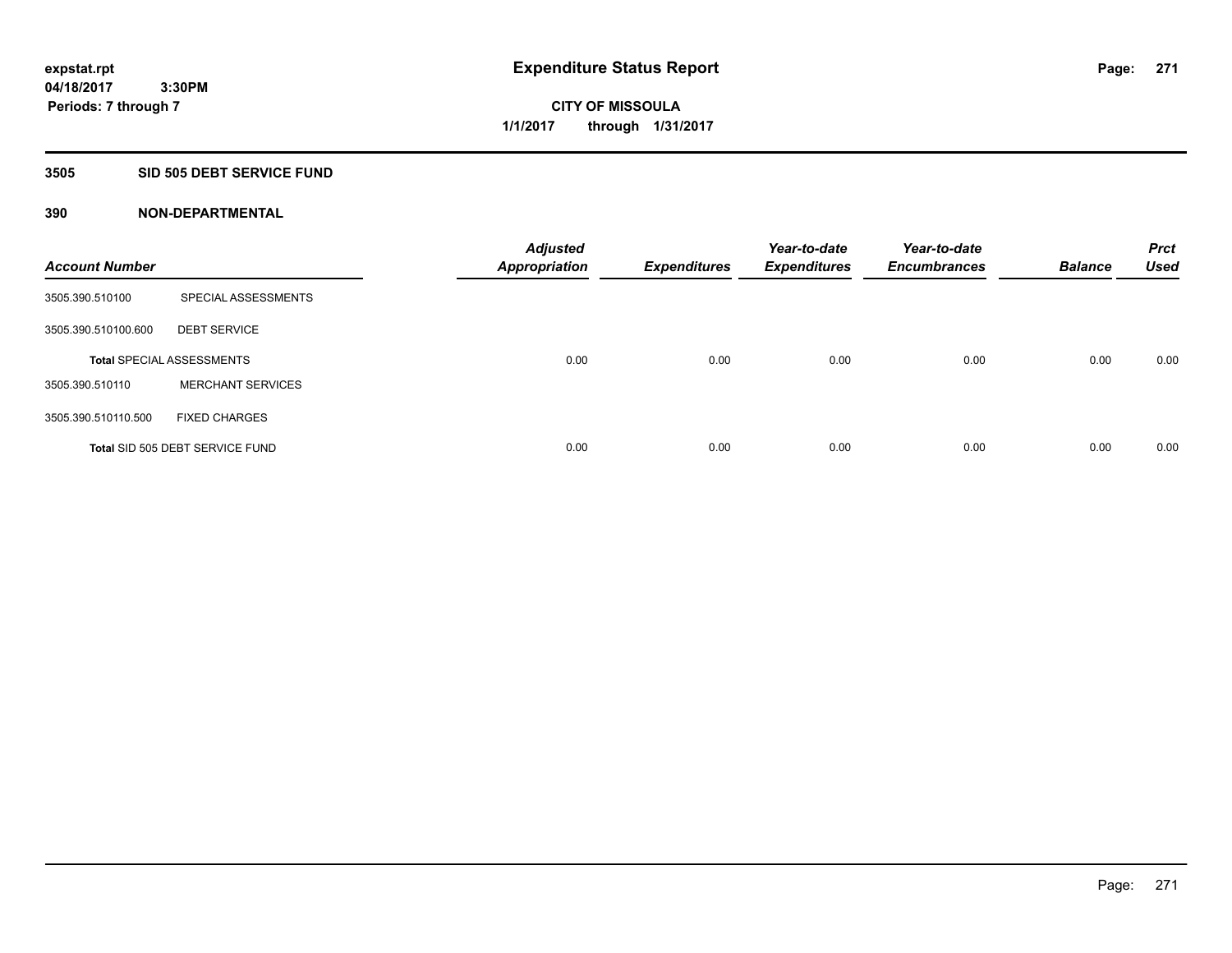### **3505 SID 505 DEBT SERVICE FUND**

| <b>Account Number</b> |                                  | <b>Adjusted</b><br><b>Appropriation</b> | <b>Expenditures</b> | Year-to-date<br><b>Expenditures</b> | Year-to-date<br><b>Encumbrances</b> | <b>Balance</b> | <b>Prct</b><br><b>Used</b> |
|-----------------------|----------------------------------|-----------------------------------------|---------------------|-------------------------------------|-------------------------------------|----------------|----------------------------|
| 3505.390.510100       | SPECIAL ASSESSMENTS              |                                         |                     |                                     |                                     |                |                            |
| 3505.390.510100.600   | <b>DEBT SERVICE</b>              |                                         |                     |                                     |                                     |                |                            |
|                       | <b>Total SPECIAL ASSESSMENTS</b> | 0.00                                    | 0.00                | 0.00                                | 0.00                                | 0.00           | 0.00                       |
| 3505.390.510110       | <b>MERCHANT SERVICES</b>         |                                         |                     |                                     |                                     |                |                            |
| 3505.390.510110.500   | <b>FIXED CHARGES</b>             |                                         |                     |                                     |                                     |                |                            |
|                       | Total SID 505 DEBT SERVICE FUND  | 0.00                                    | 0.00                | 0.00                                | 0.00                                | 0.00           | 0.00                       |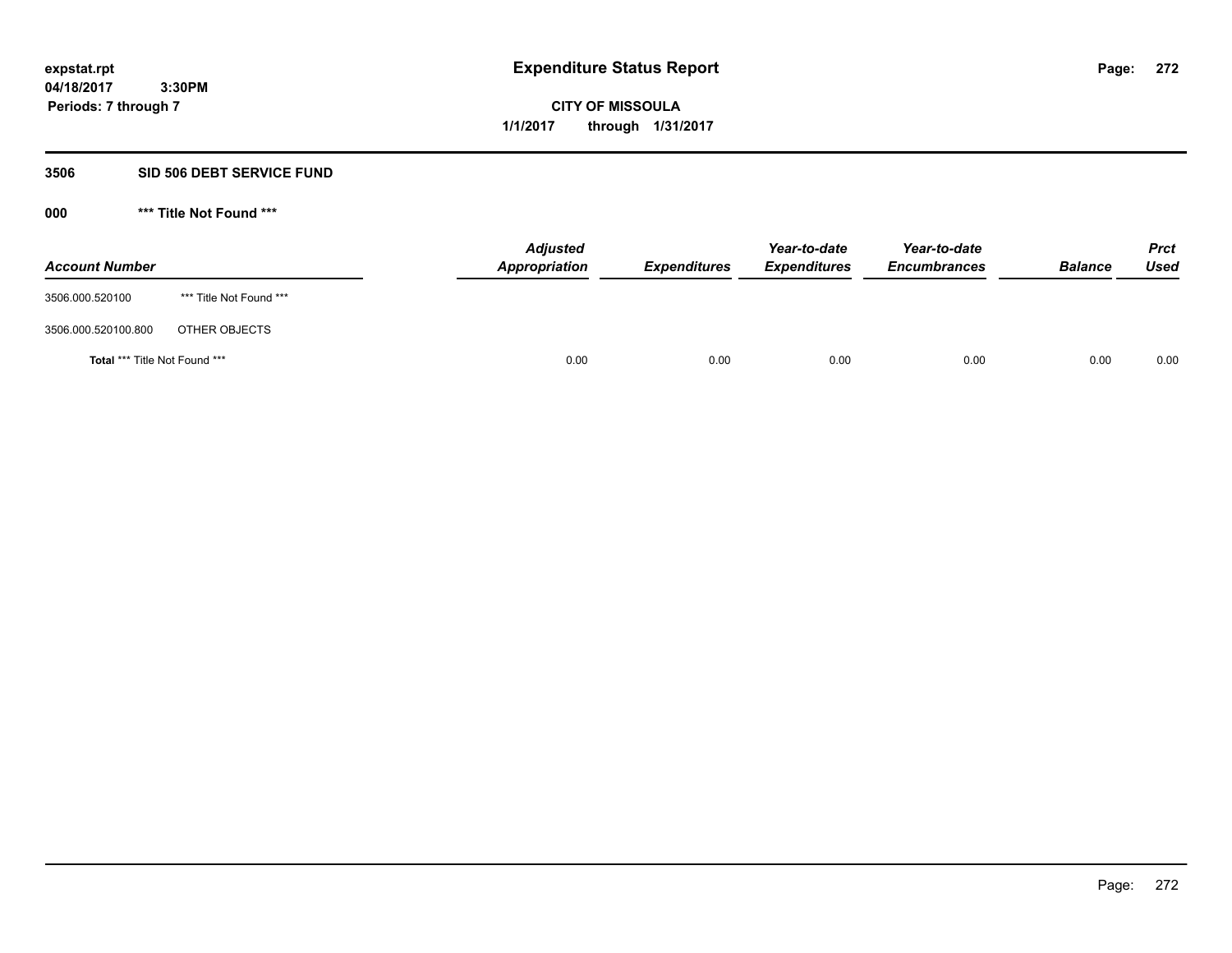# **CITY OF MISSOULA 1/1/2017 through 1/31/2017**

## **3506 SID 506 DEBT SERVICE FUND**

| <b>Account Number</b>         |                         | <b>Adjusted</b><br>Appropriation | <b>Expenditures</b> | Year-to-date<br><b>Expenditures</b> | Year-to-date<br><b>Encumbrances</b> | <b>Balance</b> | <b>Prct</b><br>Used |
|-------------------------------|-------------------------|----------------------------------|---------------------|-------------------------------------|-------------------------------------|----------------|---------------------|
| 3506.000.520100               | *** Title Not Found *** |                                  |                     |                                     |                                     |                |                     |
| 3506.000.520100.800           | OTHER OBJECTS           |                                  |                     |                                     |                                     |                |                     |
| Total *** Title Not Found *** |                         | 0.00                             | 0.00                | 0.00                                | 0.00                                | 0.00           | 0.00                |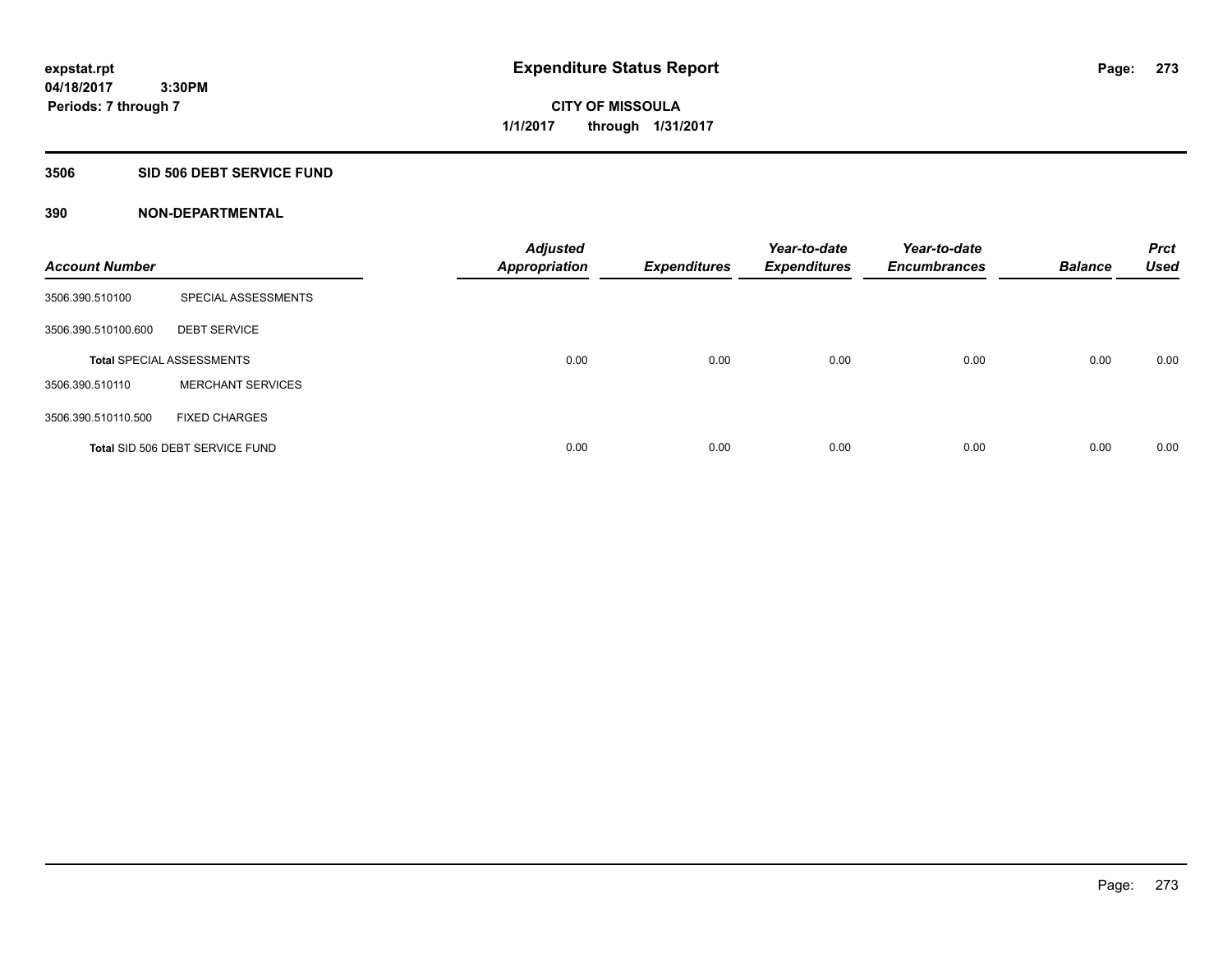**Periods: 7 through 7**

**CITY OF MISSOULA 1/1/2017 through 1/31/2017**

### **3506 SID 506 DEBT SERVICE FUND**

| <b>Account Number</b> |                                  | <b>Adjusted</b><br><b>Appropriation</b> | <b>Expenditures</b> | Year-to-date<br><b>Expenditures</b> | Year-to-date<br><b>Encumbrances</b> | <b>Balance</b> | <b>Prct</b><br><b>Used</b> |
|-----------------------|----------------------------------|-----------------------------------------|---------------------|-------------------------------------|-------------------------------------|----------------|----------------------------|
| 3506.390.510100       | SPECIAL ASSESSMENTS              |                                         |                     |                                     |                                     |                |                            |
| 3506.390.510100.600   | <b>DEBT SERVICE</b>              |                                         |                     |                                     |                                     |                |                            |
|                       | <b>Total SPECIAL ASSESSMENTS</b> | 0.00                                    | 0.00                | 0.00                                | 0.00                                | 0.00           | 0.00                       |
| 3506.390.510110       | <b>MERCHANT SERVICES</b>         |                                         |                     |                                     |                                     |                |                            |
| 3506.390.510110.500   | <b>FIXED CHARGES</b>             |                                         |                     |                                     |                                     |                |                            |
|                       | Total SID 506 DEBT SERVICE FUND  | 0.00                                    | 0.00                | 0.00                                | 0.00                                | 0.00           | 0.00                       |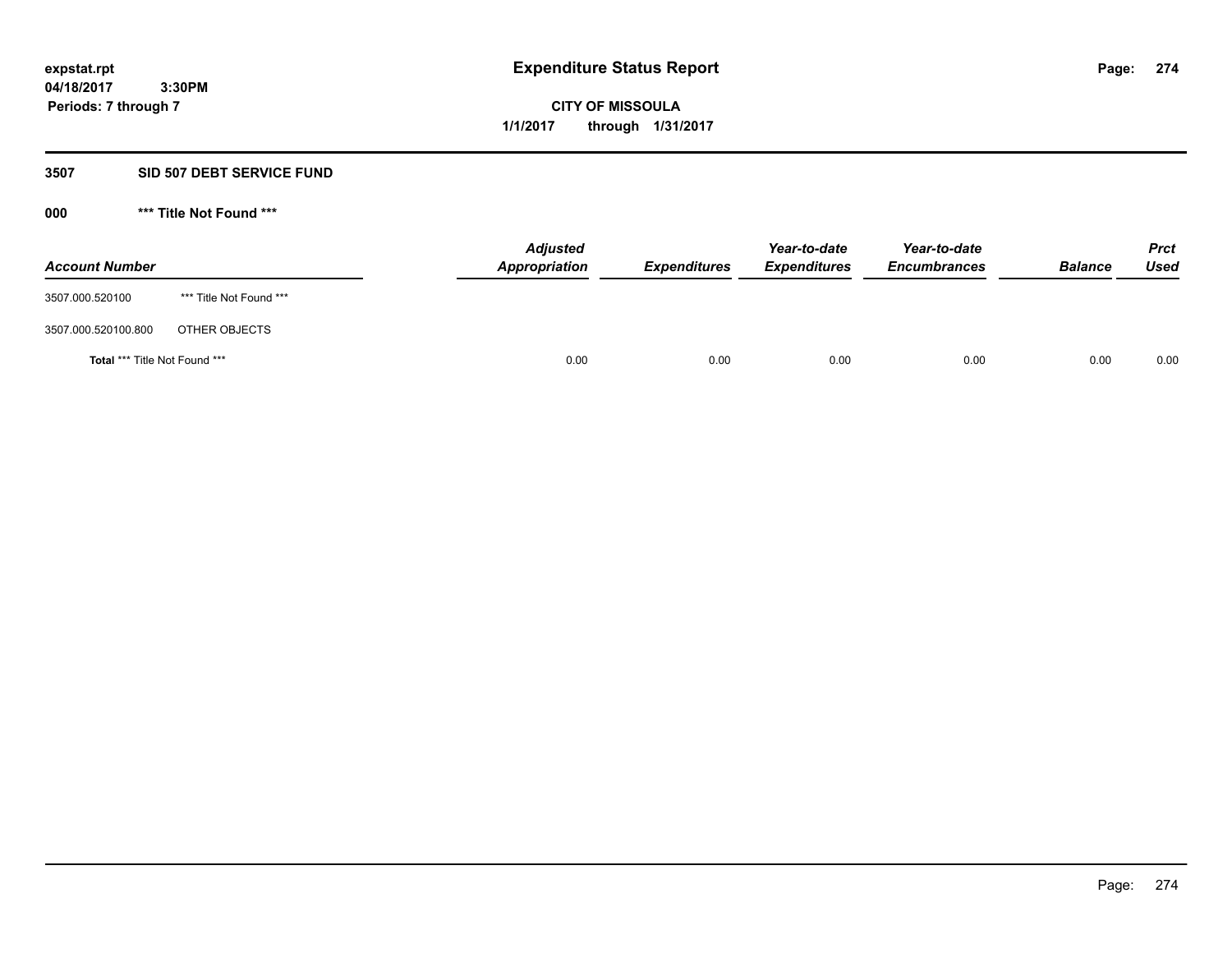**CITY OF MISSOULA 1/1/2017 through 1/31/2017**

# **3507 SID 507 DEBT SERVICE FUND**

| <b>Account Number</b>         |                         | <b>Adjusted</b><br>Appropriation | <b>Expenditures</b> | Year-to-date<br><b>Expenditures</b> | Year-to-date<br><b>Encumbrances</b> | <b>Balance</b> | <b>Prct</b><br>Used |
|-------------------------------|-------------------------|----------------------------------|---------------------|-------------------------------------|-------------------------------------|----------------|---------------------|
| 3507.000.520100               | *** Title Not Found *** |                                  |                     |                                     |                                     |                |                     |
| 3507.000.520100.800           | OTHER OBJECTS           |                                  |                     |                                     |                                     |                |                     |
| Total *** Title Not Found *** |                         | 0.00                             | 0.00                | 0.00                                | 0.00                                | 0.00           | 0.00                |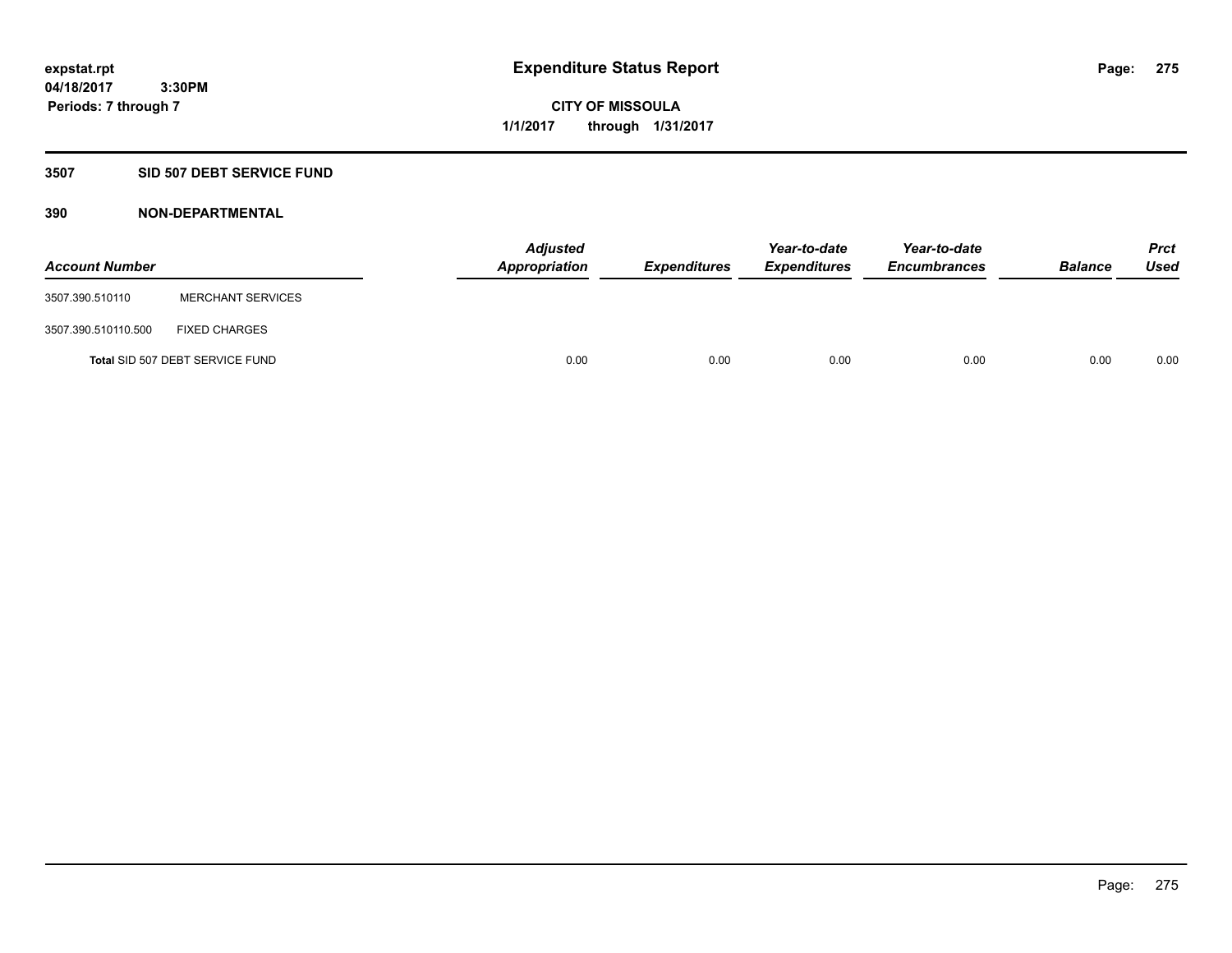**Periods: 7 through 7**

**CITY OF MISSOULA 1/1/2017 through 1/31/2017**

## **3507 SID 507 DEBT SERVICE FUND**

 **3:30PM**

| <b>Account Number</b> |                                 | <b>Adjusted</b><br>Appropriation | <b>Expenditures</b> | Year-to-date<br><b>Expenditures</b> | Year-to-date<br><b>Encumbrances</b> | <b>Balance</b> | <b>Prct</b><br><b>Used</b> |
|-----------------------|---------------------------------|----------------------------------|---------------------|-------------------------------------|-------------------------------------|----------------|----------------------------|
| 3507.390.510110       | <b>MERCHANT SERVICES</b>        |                                  |                     |                                     |                                     |                |                            |
| 3507.390.510110.500   | <b>FIXED CHARGES</b>            |                                  |                     |                                     |                                     |                |                            |
|                       | Total SID 507 DEBT SERVICE FUND | 0.00                             | 0.00                | 0.00                                | 0.00                                | 0.00           | 0.00                       |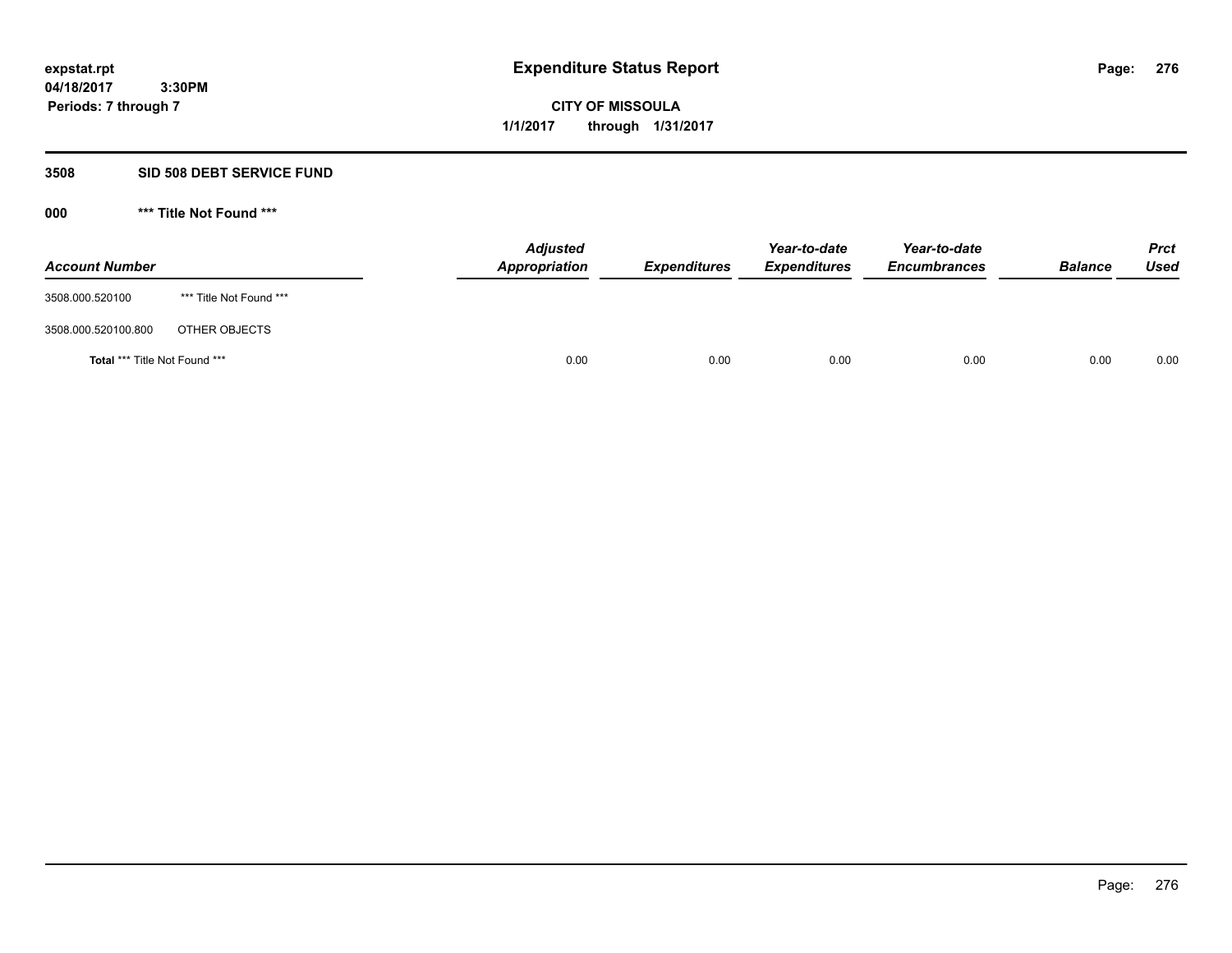# **CITY OF MISSOULA 1/1/2017 through 1/31/2017**

# **3508 SID 508 DEBT SERVICE FUND**

| <b>Account Number</b>         |                         | <b>Adjusted</b><br>Appropriation | <b>Expenditures</b> | Year-to-date<br><b>Expenditures</b> | Year-to-date<br><b>Encumbrances</b> | <b>Balance</b> | <b>Prct</b><br>Used |
|-------------------------------|-------------------------|----------------------------------|---------------------|-------------------------------------|-------------------------------------|----------------|---------------------|
| 3508.000.520100               | *** Title Not Found *** |                                  |                     |                                     |                                     |                |                     |
| 3508.000.520100.800           | OTHER OBJECTS           |                                  |                     |                                     |                                     |                |                     |
| Total *** Title Not Found *** |                         | 0.00                             | 0.00                | 0.00                                | 0.00                                | 0.00           | 0.00                |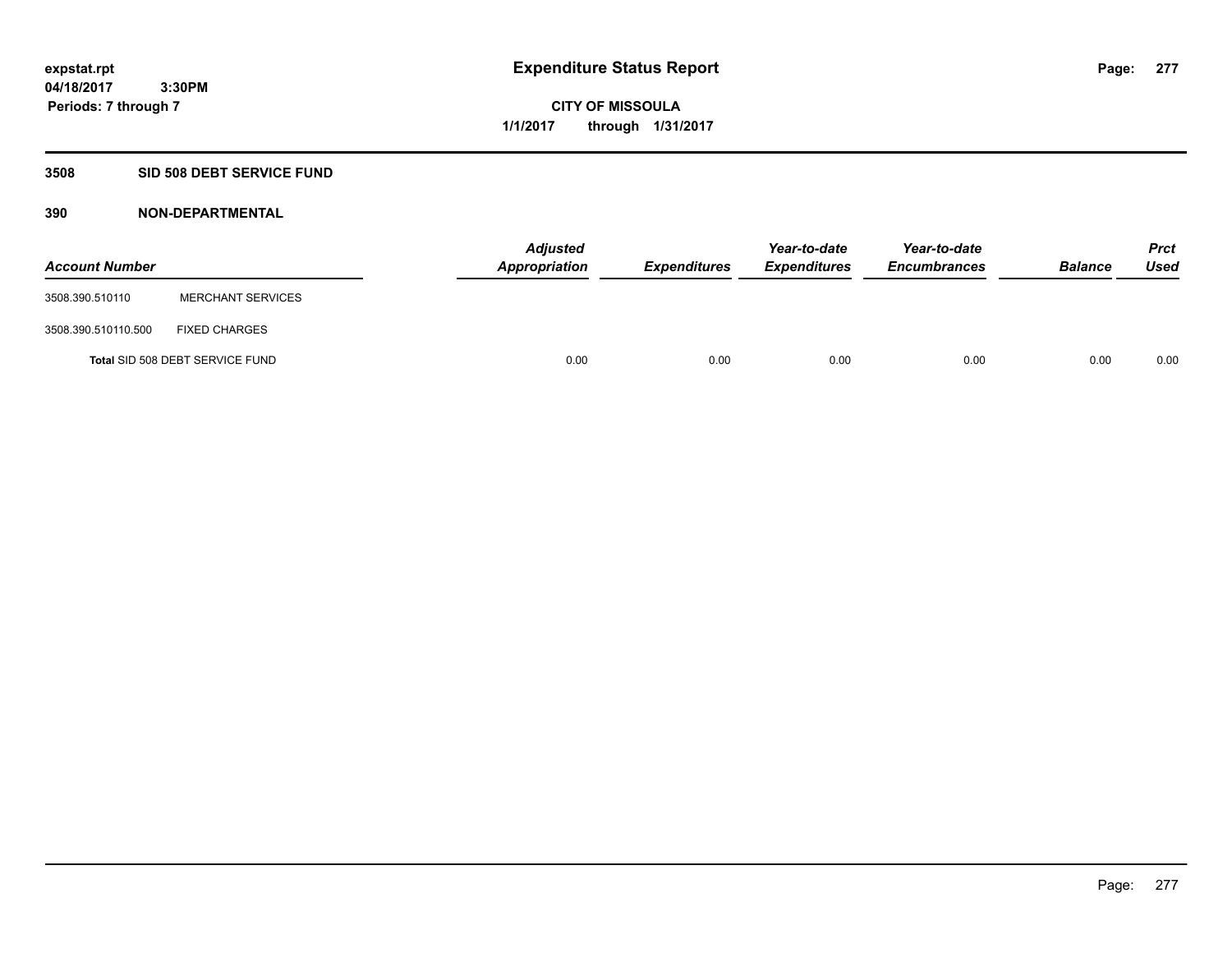**Periods: 7 through 7**

**CITY OF MISSOULA 1/1/2017 through 1/31/2017**

## **3508 SID 508 DEBT SERVICE FUND**

 **3:30PM**

| <b>Account Number</b> |                                 | <b>Adjusted</b><br><b>Appropriation</b> | <b>Expenditures</b> | Year-to-date<br><b>Expenditures</b> | Year-to-date<br><b>Encumbrances</b> | <b>Balance</b> | <b>Prct</b><br><b>Used</b> |
|-----------------------|---------------------------------|-----------------------------------------|---------------------|-------------------------------------|-------------------------------------|----------------|----------------------------|
| 3508.390.510110       | <b>MERCHANT SERVICES</b>        |                                         |                     |                                     |                                     |                |                            |
| 3508.390.510110.500   | <b>FIXED CHARGES</b>            |                                         |                     |                                     |                                     |                |                            |
|                       | Total SID 508 DEBT SERVICE FUND |                                         | 0.00<br>0.00        | 0.00                                | 0.00                                | 0.00           | 0.00                       |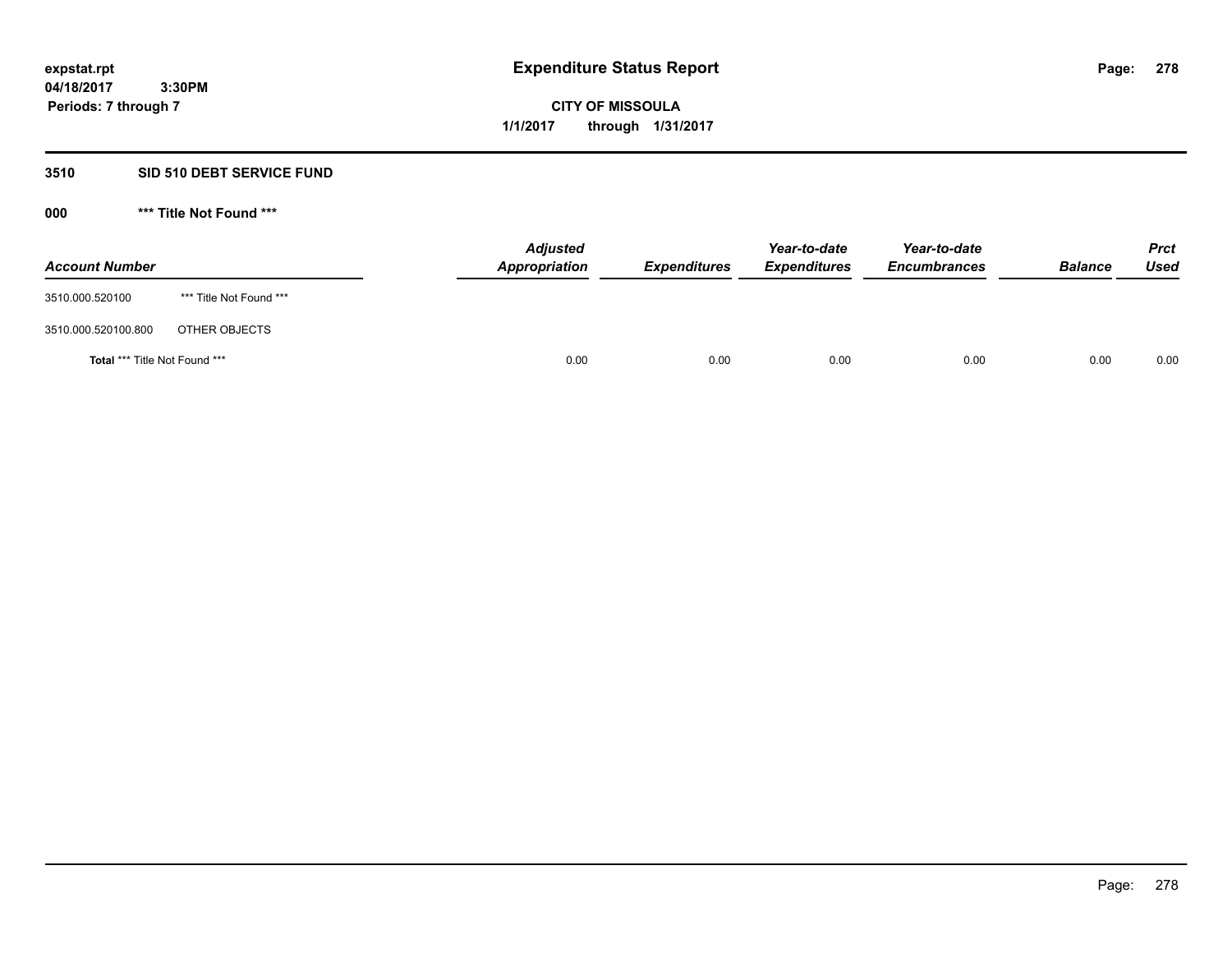**278**

**04/18/2017 3:30PM Periods: 7 through 7**

# **CITY OF MISSOULA 1/1/2017 through 1/31/2017**

# **3510 SID 510 DEBT SERVICE FUND**

| <b>Account Number</b>         |                         | <b>Adjusted</b><br>Appropriation | <b>Expenditures</b> | Year-to-date<br><b>Expenditures</b> | Year-to-date<br><b>Encumbrances</b> | <b>Balance</b> | <b>Prct</b><br><b>Used</b> |
|-------------------------------|-------------------------|----------------------------------|---------------------|-------------------------------------|-------------------------------------|----------------|----------------------------|
| 3510.000.520100               | *** Title Not Found *** |                                  |                     |                                     |                                     |                |                            |
| 3510.000.520100.800           | OTHER OBJECTS           |                                  |                     |                                     |                                     |                |                            |
| Total *** Title Not Found *** |                         | 0.00                             | 0.00                | 0.00                                | 0.00                                | 0.00           | 0.00                       |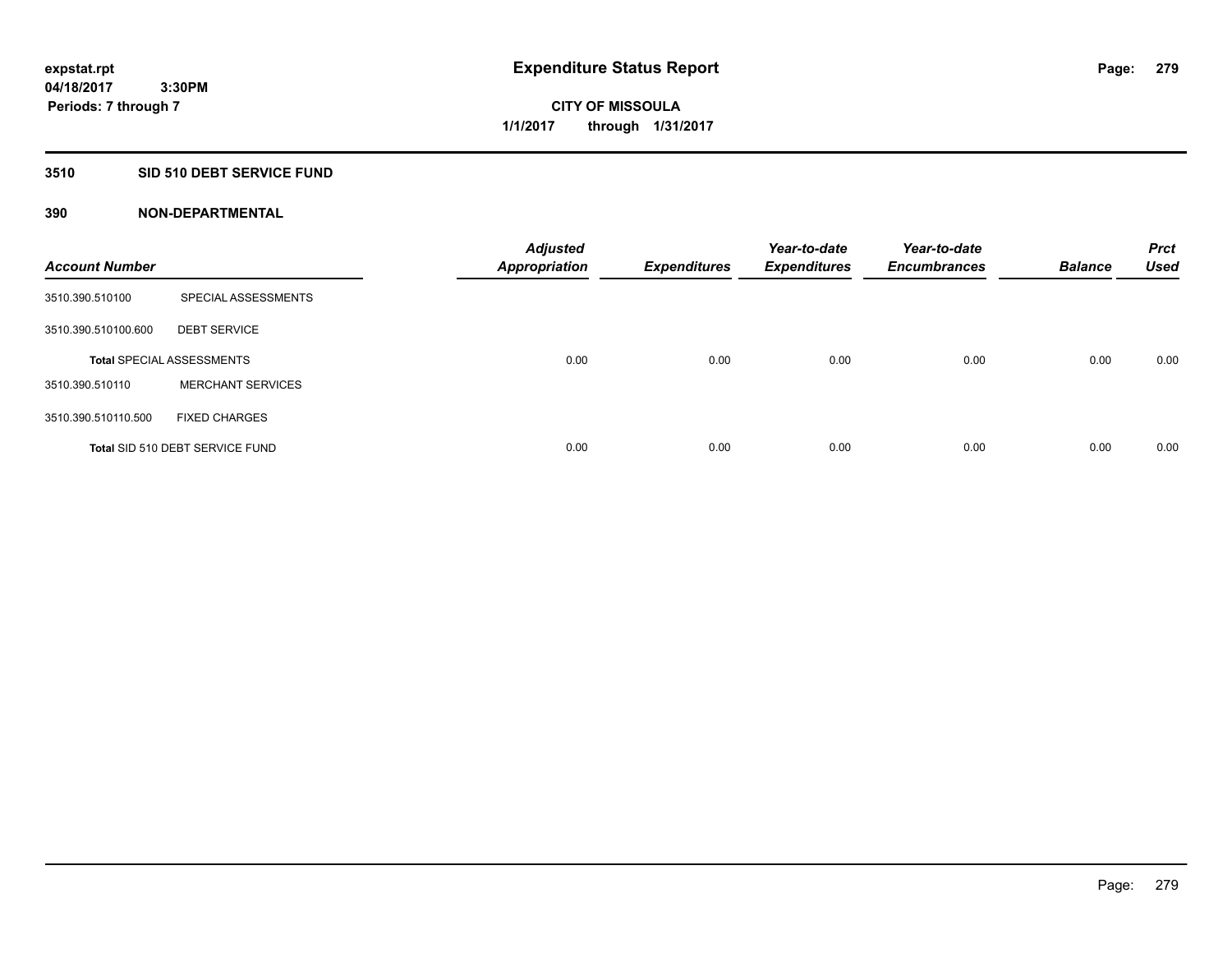# **3510 SID 510 DEBT SERVICE FUND**

| <b>Account Number</b> |                                  | <b>Adjusted</b><br><b>Appropriation</b> | <b>Expenditures</b> | Year-to-date<br><b>Expenditures</b> | Year-to-date<br><b>Encumbrances</b> | <b>Balance</b> | <b>Prct</b><br><b>Used</b> |
|-----------------------|----------------------------------|-----------------------------------------|---------------------|-------------------------------------|-------------------------------------|----------------|----------------------------|
| 3510.390.510100       | SPECIAL ASSESSMENTS              |                                         |                     |                                     |                                     |                |                            |
| 3510.390.510100.600   | <b>DEBT SERVICE</b>              |                                         |                     |                                     |                                     |                |                            |
|                       | <b>Total SPECIAL ASSESSMENTS</b> | 0.00                                    | 0.00                | 0.00                                | 0.00                                | 0.00           | 0.00                       |
| 3510.390.510110       | <b>MERCHANT SERVICES</b>         |                                         |                     |                                     |                                     |                |                            |
| 3510.390.510110.500   | <b>FIXED CHARGES</b>             |                                         |                     |                                     |                                     |                |                            |
|                       | Total SID 510 DEBT SERVICE FUND  | 0.00                                    | 0.00                | 0.00                                | 0.00                                | 0.00           | 0.00                       |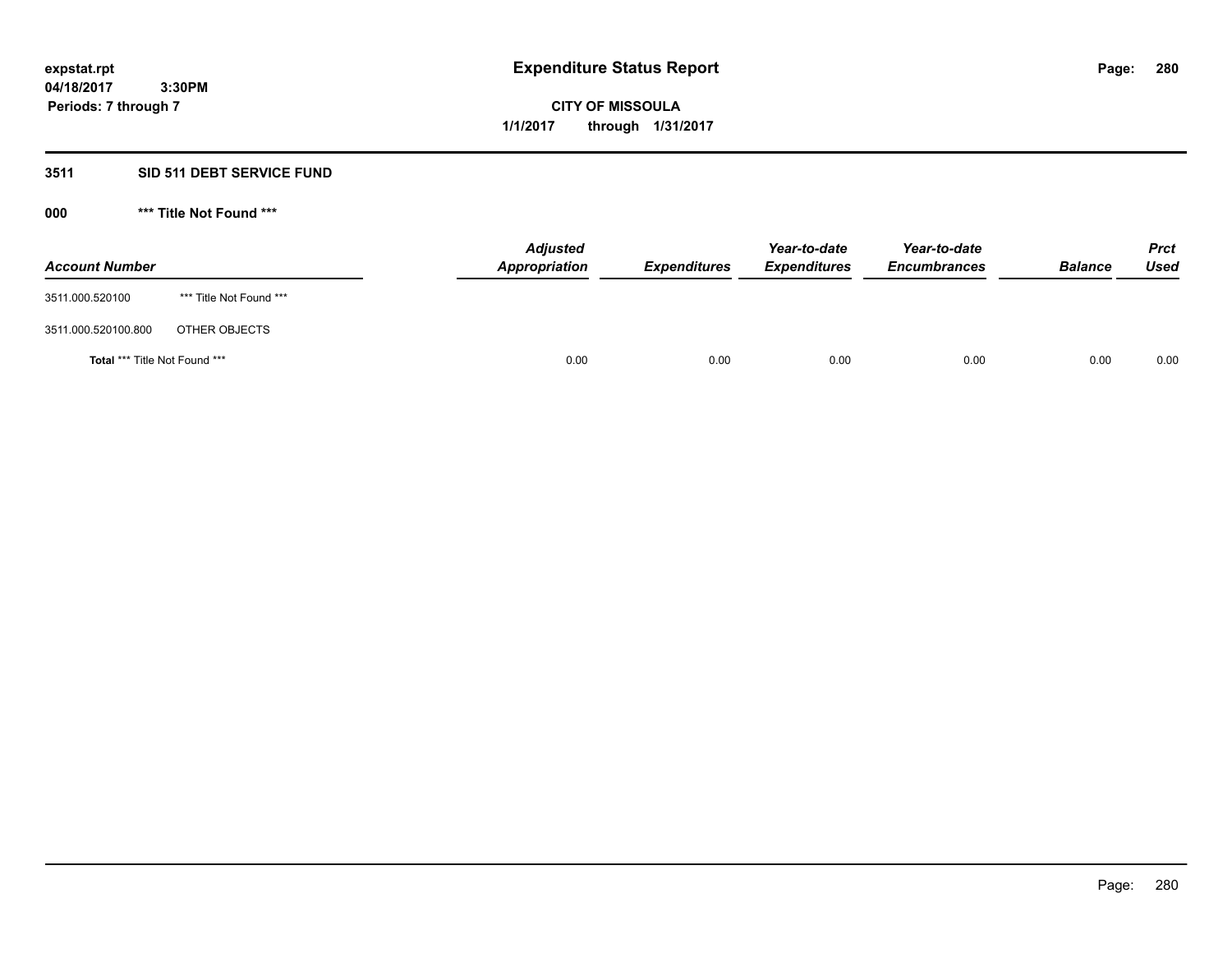# **CITY OF MISSOULA 1/1/2017 through 1/31/2017**

# **3511 SID 511 DEBT SERVICE FUND**

| <b>Account Number</b>         |                         | <b>Adjusted</b><br>Appropriation | <b>Expenditures</b> | Year-to-date<br><b>Expenditures</b> | Year-to-date<br><b>Encumbrances</b> | <b>Balance</b> | <b>Prct</b><br>Used |
|-------------------------------|-------------------------|----------------------------------|---------------------|-------------------------------------|-------------------------------------|----------------|---------------------|
| 3511.000.520100               | *** Title Not Found *** |                                  |                     |                                     |                                     |                |                     |
| 3511.000.520100.800           | OTHER OBJECTS           |                                  |                     |                                     |                                     |                |                     |
| Total *** Title Not Found *** |                         | 0.00                             | 0.00                | 0.00                                | 0.00                                | 0.00           | 0.00                |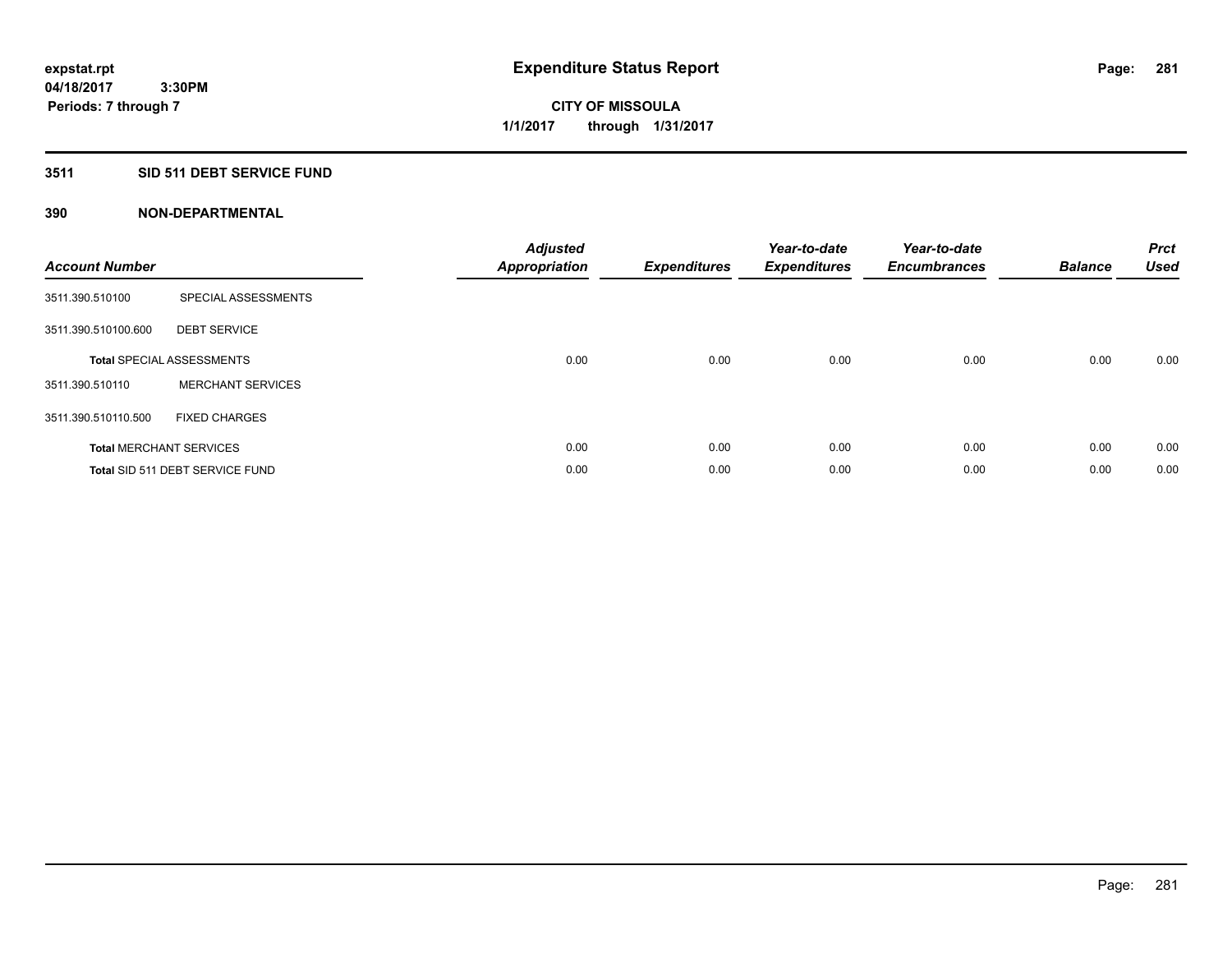# **3511 SID 511 DEBT SERVICE FUND**

| <b>Account Number</b> |                                  | <b>Adjusted</b><br>Appropriation | <b>Expenditures</b> | Year-to-date<br><b>Expenditures</b> | Year-to-date<br><b>Encumbrances</b> | <b>Balance</b> | <b>Prct</b><br>Used |
|-----------------------|----------------------------------|----------------------------------|---------------------|-------------------------------------|-------------------------------------|----------------|---------------------|
| 3511.390.510100       | SPECIAL ASSESSMENTS              |                                  |                     |                                     |                                     |                |                     |
| 3511.390.510100.600   | <b>DEBT SERVICE</b>              |                                  |                     |                                     |                                     |                |                     |
|                       | <b>Total SPECIAL ASSESSMENTS</b> | 0.00                             | 0.00                | 0.00                                | 0.00                                | 0.00           | 0.00                |
| 3511.390.510110       | <b>MERCHANT SERVICES</b>         |                                  |                     |                                     |                                     |                |                     |
| 3511.390.510110.500   | <b>FIXED CHARGES</b>             |                                  |                     |                                     |                                     |                |                     |
|                       | <b>Total MERCHANT SERVICES</b>   | 0.00                             | 0.00                | 0.00                                | 0.00                                | 0.00           | 0.00                |
|                       | Total SID 511 DEBT SERVICE FUND  | 0.00                             | 0.00                | 0.00                                | 0.00                                | 0.00           | 0.00                |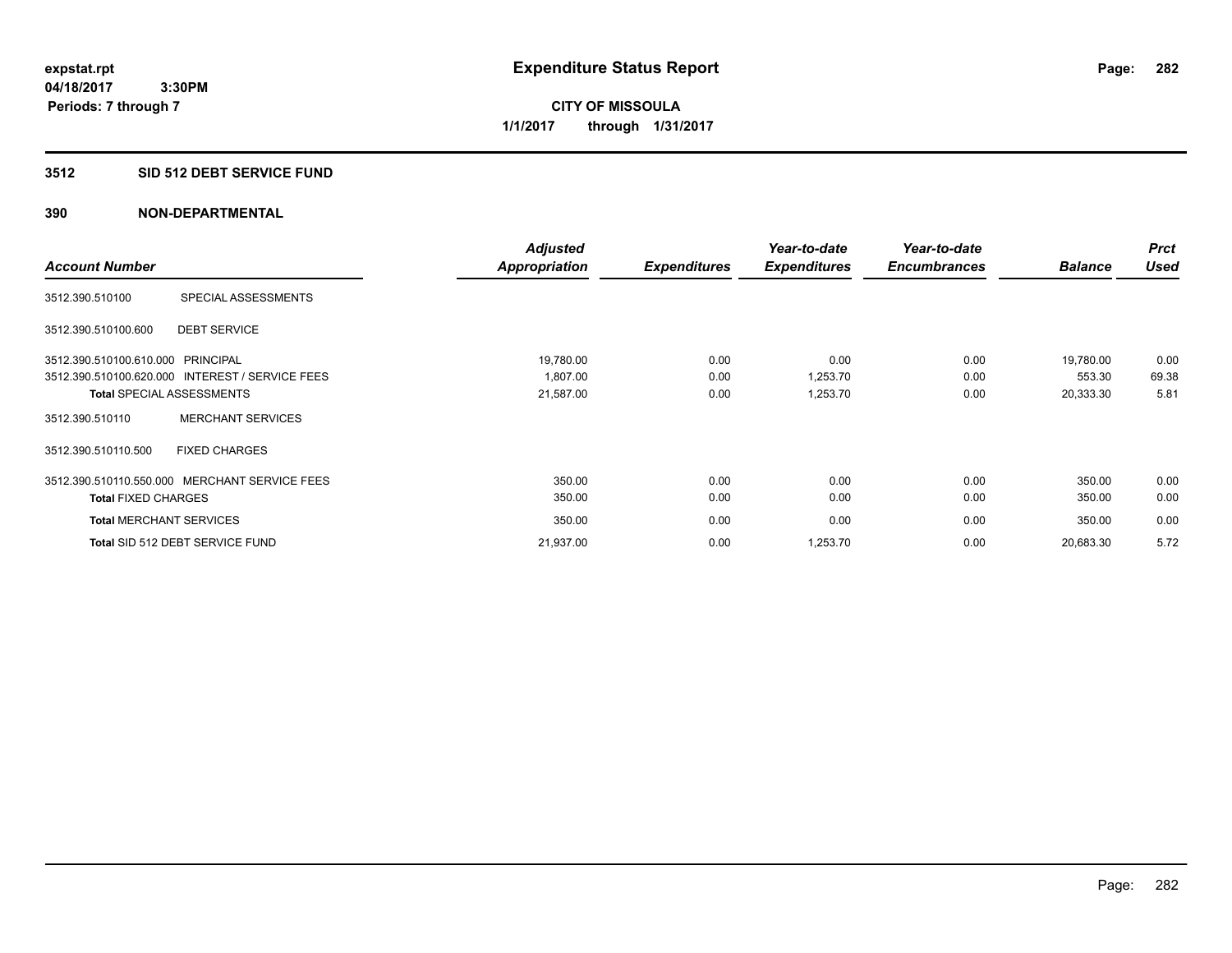**CITY OF MISSOULA 1/1/2017 through 1/31/2017**

## **3512 SID 512 DEBT SERVICE FUND**

|                                   |                                                 | <b>Adjusted</b> |                     | Year-to-date        | Year-to-date        |                | <b>Prct</b> |
|-----------------------------------|-------------------------------------------------|-----------------|---------------------|---------------------|---------------------|----------------|-------------|
| <b>Account Number</b>             |                                                 | Appropriation   | <b>Expenditures</b> | <b>Expenditures</b> | <b>Encumbrances</b> | <b>Balance</b> | <b>Used</b> |
| 3512.390.510100                   | SPECIAL ASSESSMENTS                             |                 |                     |                     |                     |                |             |
| 3512.390.510100.600               | <b>DEBT SERVICE</b>                             |                 |                     |                     |                     |                |             |
| 3512.390.510100.610.000 PRINCIPAL |                                                 | 19,780.00       | 0.00                | 0.00                | 0.00                | 19.780.00      | 0.00        |
|                                   | 3512.390.510100.620.000 INTEREST / SERVICE FEES | 1,807.00        | 0.00                | 1,253.70            | 0.00                | 553.30         | 69.38       |
|                                   | <b>Total SPECIAL ASSESSMENTS</b>                | 21,587.00       | 0.00                | 1,253.70            | 0.00                | 20,333.30      | 5.81        |
| 3512.390.510110                   | <b>MERCHANT SERVICES</b>                        |                 |                     |                     |                     |                |             |
| 3512.390.510110.500               | <b>FIXED CHARGES</b>                            |                 |                     |                     |                     |                |             |
|                                   | 3512.390.510110.550.000 MERCHANT SERVICE FEES   | 350.00          | 0.00                | 0.00                | 0.00                | 350.00         | 0.00        |
| <b>Total FIXED CHARGES</b>        |                                                 | 350.00          | 0.00                | 0.00                | 0.00                | 350.00         | 0.00        |
| <b>Total MERCHANT SERVICES</b>    |                                                 | 350.00          | 0.00                | 0.00                | 0.00                | 350.00         | 0.00        |
|                                   | Total SID 512 DEBT SERVICE FUND                 | 21,937.00       | 0.00                | 1,253.70            | 0.00                | 20,683.30      | 5.72        |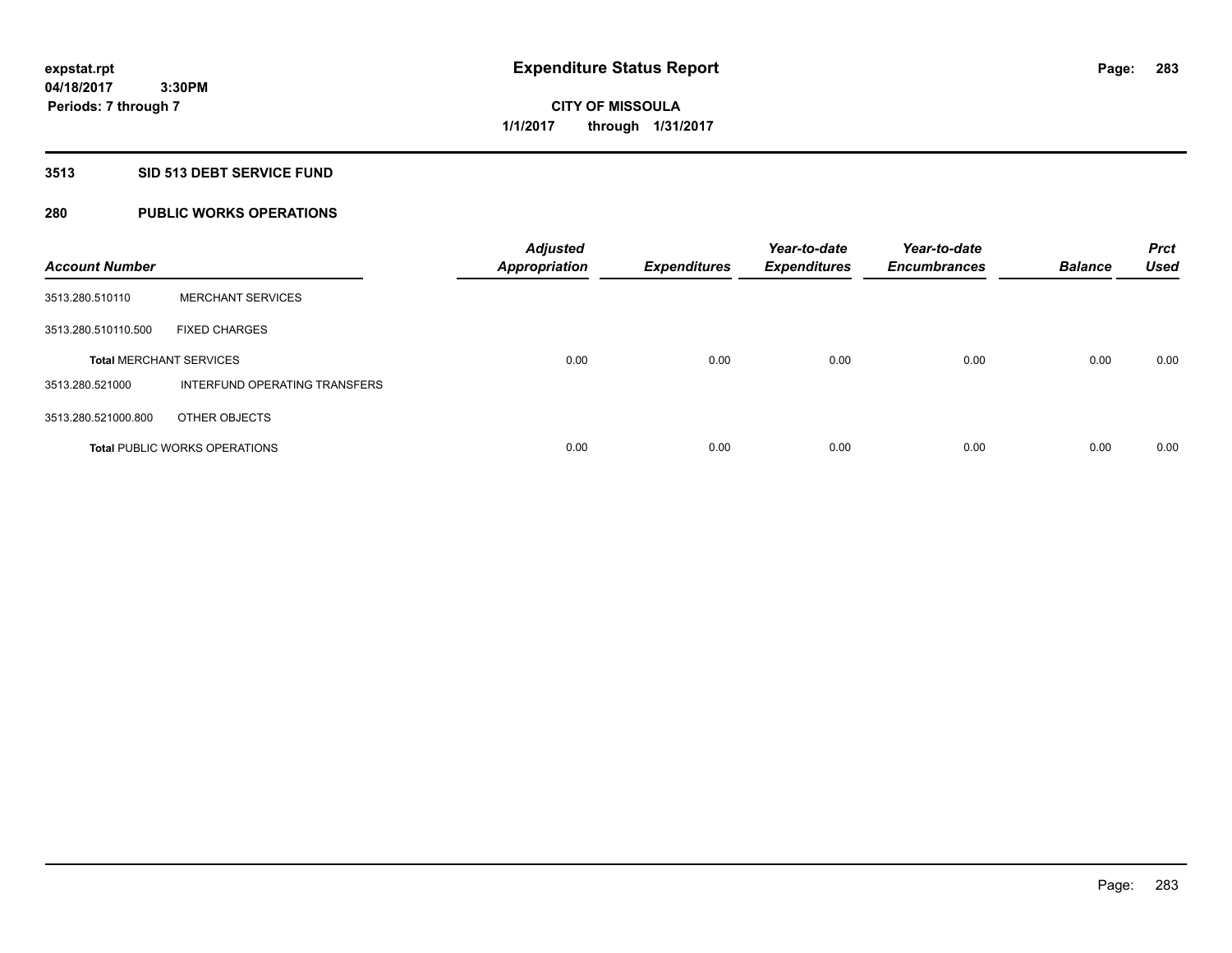**3:30PM Periods: 7 through 7**

# **CITY OF MISSOULA 1/1/2017 through 1/31/2017**

# **3513 SID 513 DEBT SERVICE FUND**

# **280 PUBLIC WORKS OPERATIONS**

| <b>Account Number</b>          |                                      | <b>Adjusted</b><br><b>Appropriation</b> | <b>Expenditures</b> | Year-to-date<br><b>Expenditures</b> | Year-to-date<br><b>Encumbrances</b> | <b>Balance</b> | <b>Prct</b><br><b>Used</b> |
|--------------------------------|--------------------------------------|-----------------------------------------|---------------------|-------------------------------------|-------------------------------------|----------------|----------------------------|
| 3513.280.510110                | <b>MERCHANT SERVICES</b>             |                                         |                     |                                     |                                     |                |                            |
| 3513.280.510110.500            | <b>FIXED CHARGES</b>                 |                                         |                     |                                     |                                     |                |                            |
| <b>Total MERCHANT SERVICES</b> |                                      | 0.00                                    | 0.00                | 0.00                                | 0.00                                | 0.00           | 0.00                       |
| 3513.280.521000                | INTERFUND OPERATING TRANSFERS        |                                         |                     |                                     |                                     |                |                            |
| 3513.280.521000.800            | OTHER OBJECTS                        |                                         |                     |                                     |                                     |                |                            |
|                                | <b>Total PUBLIC WORKS OPERATIONS</b> | 0.00                                    | 0.00                | 0.00                                | 0.00                                | 0.00           | 0.00                       |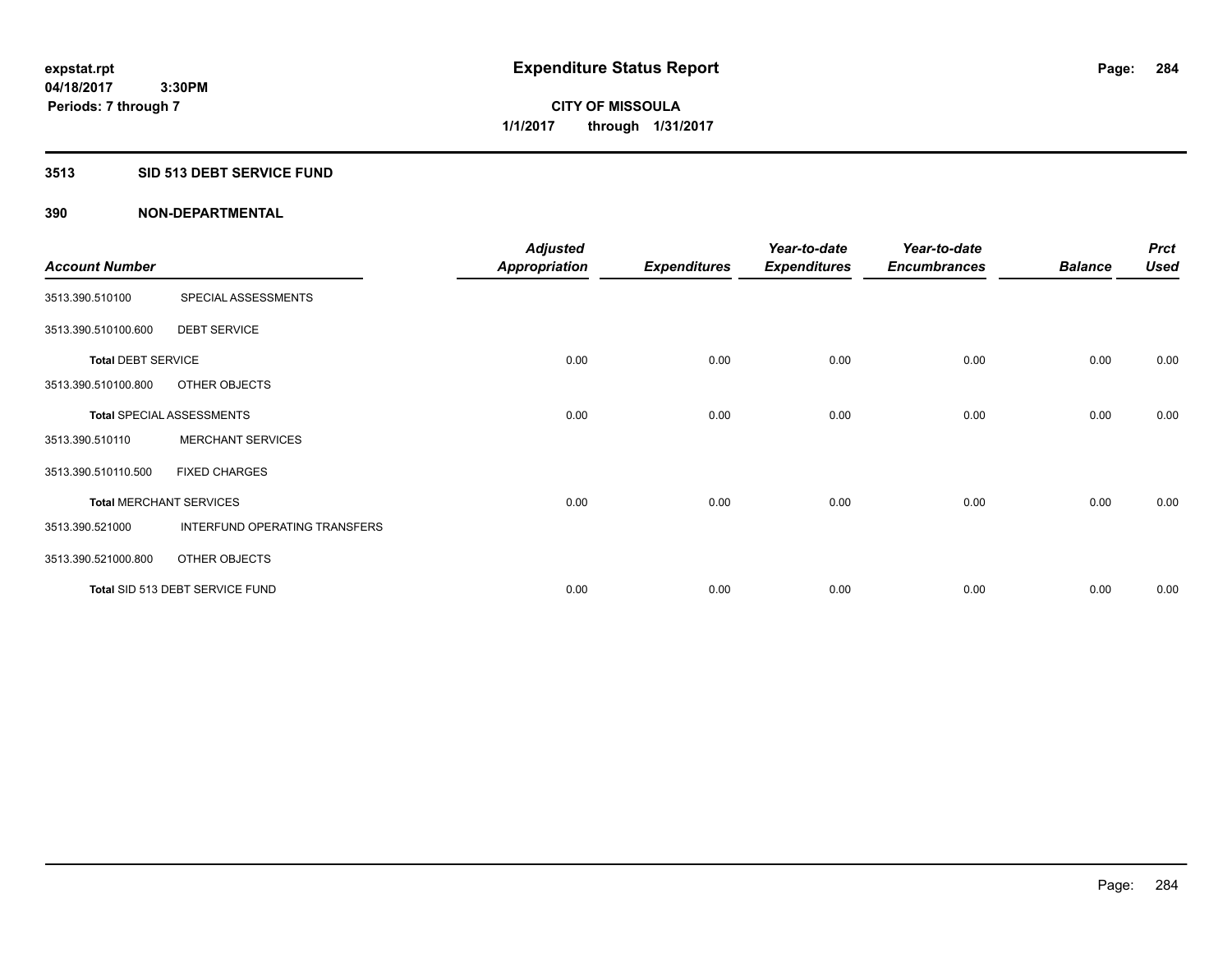## **3513 SID 513 DEBT SERVICE FUND**

|                                |                                  | <b>Adjusted</b>      |                     | Year-to-date        | Year-to-date        |                | <b>Prct</b> |
|--------------------------------|----------------------------------|----------------------|---------------------|---------------------|---------------------|----------------|-------------|
| <b>Account Number</b>          |                                  | <b>Appropriation</b> | <b>Expenditures</b> | <b>Expenditures</b> | <b>Encumbrances</b> | <b>Balance</b> | <b>Used</b> |
| 3513.390.510100                | SPECIAL ASSESSMENTS              |                      |                     |                     |                     |                |             |
| 3513.390.510100.600            | <b>DEBT SERVICE</b>              |                      |                     |                     |                     |                |             |
| <b>Total DEBT SERVICE</b>      |                                  | 0.00                 | 0.00                | 0.00                | 0.00                | 0.00           | 0.00        |
| 3513.390.510100.800            | OTHER OBJECTS                    |                      |                     |                     |                     |                |             |
|                                | <b>Total SPECIAL ASSESSMENTS</b> | 0.00                 | 0.00                | 0.00                | 0.00                | 0.00           | 0.00        |
| 3513.390.510110                | <b>MERCHANT SERVICES</b>         |                      |                     |                     |                     |                |             |
| 3513.390.510110.500            | <b>FIXED CHARGES</b>             |                      |                     |                     |                     |                |             |
| <b>Total MERCHANT SERVICES</b> |                                  | 0.00                 | 0.00                | 0.00                | 0.00                | 0.00           | 0.00        |
| 3513.390.521000                | INTERFUND OPERATING TRANSFERS    |                      |                     |                     |                     |                |             |
| 3513.390.521000.800            | OTHER OBJECTS                    |                      |                     |                     |                     |                |             |
|                                | Total SID 513 DEBT SERVICE FUND  | 0.00                 | 0.00                | 0.00                | 0.00                | 0.00           | 0.00        |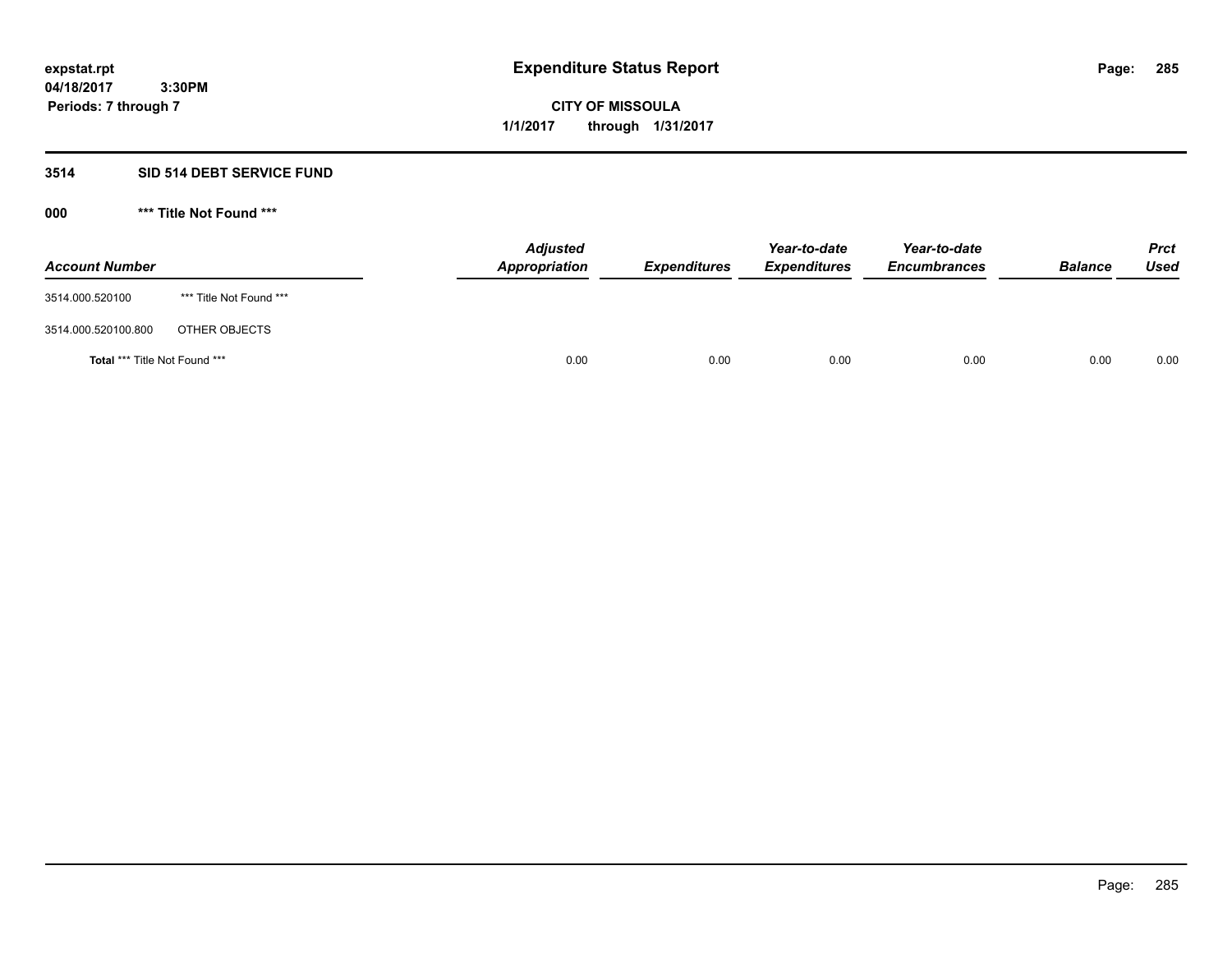**CITY OF MISSOULA 1/1/2017 through 1/31/2017**

# **3514 SID 514 DEBT SERVICE FUND**

| <b>Account Number</b>                |                         | <b>Adjusted</b><br>Appropriation | <b>Expenditures</b> | Year-to-date<br><b>Expenditures</b> | Year-to-date<br><b>Encumbrances</b> | <b>Balance</b> | <b>Prct</b><br><b>Used</b> |
|--------------------------------------|-------------------------|----------------------------------|---------------------|-------------------------------------|-------------------------------------|----------------|----------------------------|
| 3514.000.520100                      | *** Title Not Found *** |                                  |                     |                                     |                                     |                |                            |
| 3514.000.520100.800                  | OTHER OBJECTS           |                                  |                     |                                     |                                     |                |                            |
| <b>Total *** Title Not Found ***</b> |                         |                                  | 0.00<br>0.00        | 0.00                                | 0.00                                | 0.00           | 0.00                       |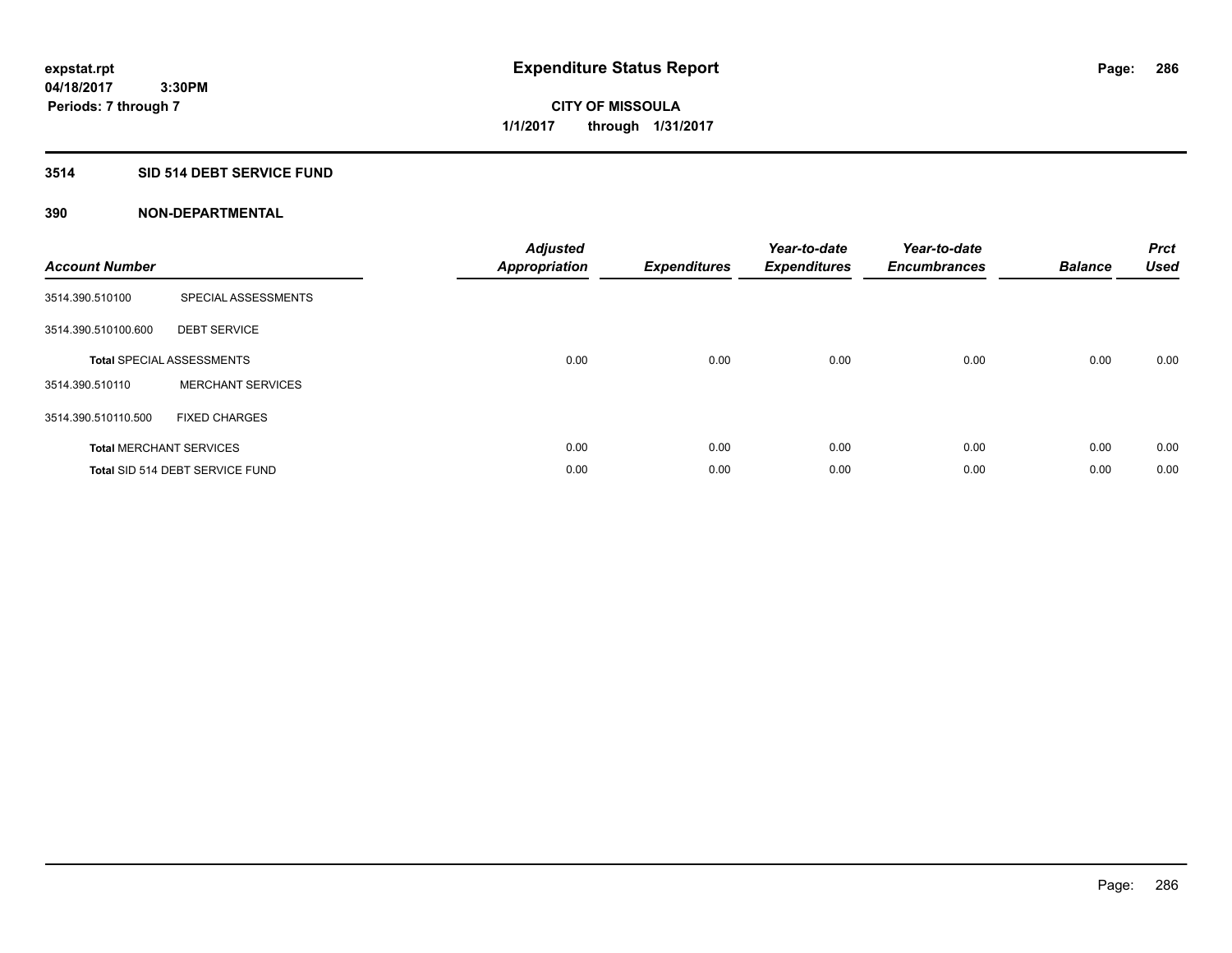# **3514 SID 514 DEBT SERVICE FUND**

| <b>Account Number</b> |                                  | <b>Adjusted</b><br><b>Appropriation</b> | <b>Expenditures</b> | Year-to-date<br><b>Expenditures</b> | Year-to-date<br><b>Encumbrances</b> | <b>Balance</b> | <b>Prct</b><br>Used |
|-----------------------|----------------------------------|-----------------------------------------|---------------------|-------------------------------------|-------------------------------------|----------------|---------------------|
| 3514.390.510100       | SPECIAL ASSESSMENTS              |                                         |                     |                                     |                                     |                |                     |
| 3514.390.510100.600   | <b>DEBT SERVICE</b>              |                                         |                     |                                     |                                     |                |                     |
|                       | <b>Total SPECIAL ASSESSMENTS</b> | 0.00                                    | 0.00                | 0.00                                | 0.00                                | 0.00           | 0.00                |
| 3514.390.510110       | <b>MERCHANT SERVICES</b>         |                                         |                     |                                     |                                     |                |                     |
| 3514.390.510110.500   | <b>FIXED CHARGES</b>             |                                         |                     |                                     |                                     |                |                     |
|                       | <b>Total MERCHANT SERVICES</b>   | 0.00                                    | 0.00                | 0.00                                | 0.00                                | 0.00           | 0.00                |
|                       | Total SID 514 DEBT SERVICE FUND  | 0.00                                    | 0.00                | 0.00                                | 0.00                                | 0.00           | 0.00                |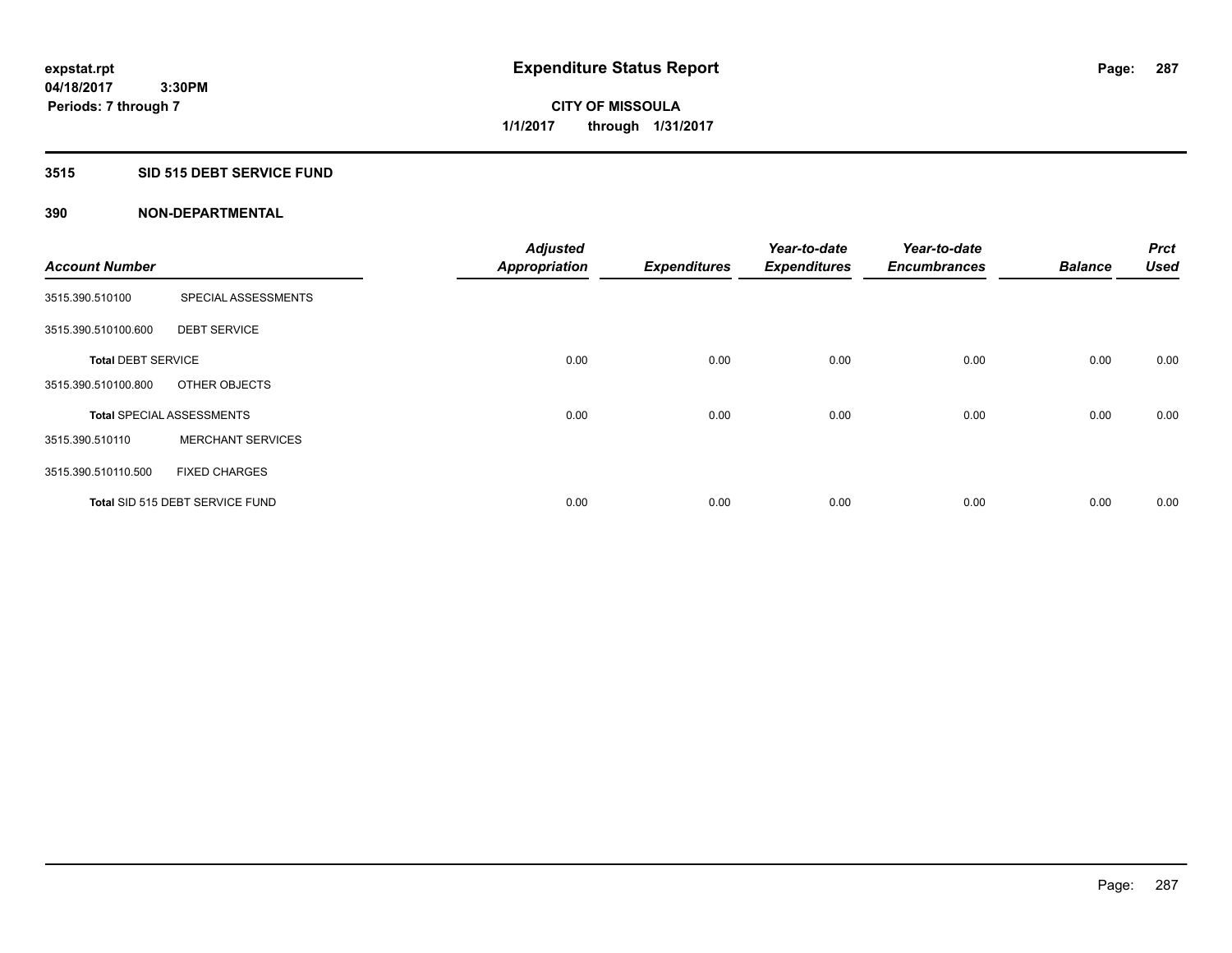# **3515 SID 515 DEBT SERVICE FUND**

|                           |                                  | <b>Adjusted</b>      |                     | Year-to-date        | Year-to-date        |                | <b>Prct</b> |
|---------------------------|----------------------------------|----------------------|---------------------|---------------------|---------------------|----------------|-------------|
| <b>Account Number</b>     |                                  | <b>Appropriation</b> | <b>Expenditures</b> | <b>Expenditures</b> | <b>Encumbrances</b> | <b>Balance</b> | <b>Used</b> |
| 3515.390.510100           | SPECIAL ASSESSMENTS              |                      |                     |                     |                     |                |             |
| 3515.390.510100.600       | <b>DEBT SERVICE</b>              |                      |                     |                     |                     |                |             |
| <b>Total DEBT SERVICE</b> |                                  | 0.00                 | 0.00                | 0.00                | 0.00                | 0.00           | 0.00        |
| 3515.390.510100.800       | OTHER OBJECTS                    |                      |                     |                     |                     |                |             |
|                           | <b>Total SPECIAL ASSESSMENTS</b> | 0.00                 | 0.00                | 0.00                | 0.00                | 0.00           | 0.00        |
| 3515.390.510110           | <b>MERCHANT SERVICES</b>         |                      |                     |                     |                     |                |             |
| 3515.390.510110.500       | <b>FIXED CHARGES</b>             |                      |                     |                     |                     |                |             |
|                           | Total SID 515 DEBT SERVICE FUND  | 0.00                 | 0.00                | 0.00                | 0.00                | 0.00           | 0.00        |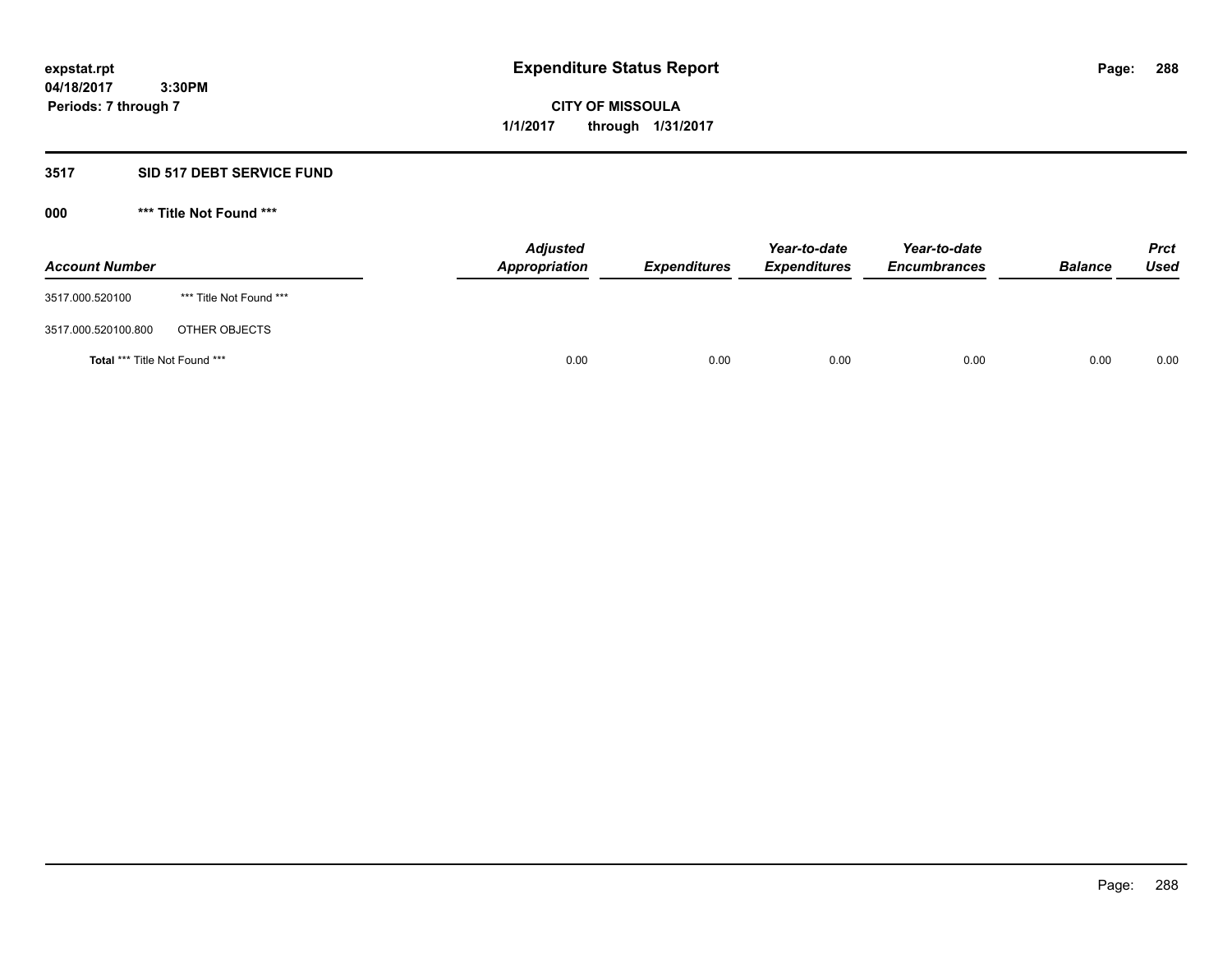# **CITY OF MISSOULA 1/1/2017 through 1/31/2017**

# **3517 SID 517 DEBT SERVICE FUND**

| <b>Account Number</b>         |                         | <b>Adjusted</b><br>Appropriation | <b>Expenditures</b> | Year-to-date<br><b>Expenditures</b> | Year-to-date<br><b>Encumbrances</b> | <b>Balance</b> | Prct<br>Used |
|-------------------------------|-------------------------|----------------------------------|---------------------|-------------------------------------|-------------------------------------|----------------|--------------|
| 3517.000.520100               | *** Title Not Found *** |                                  |                     |                                     |                                     |                |              |
| 3517.000.520100.800           | OTHER OBJECTS           |                                  |                     |                                     |                                     |                |              |
| Total *** Title Not Found *** |                         | 0.00                             | 0.00                | 0.00                                | 0.00                                | 0.00           | 0.00         |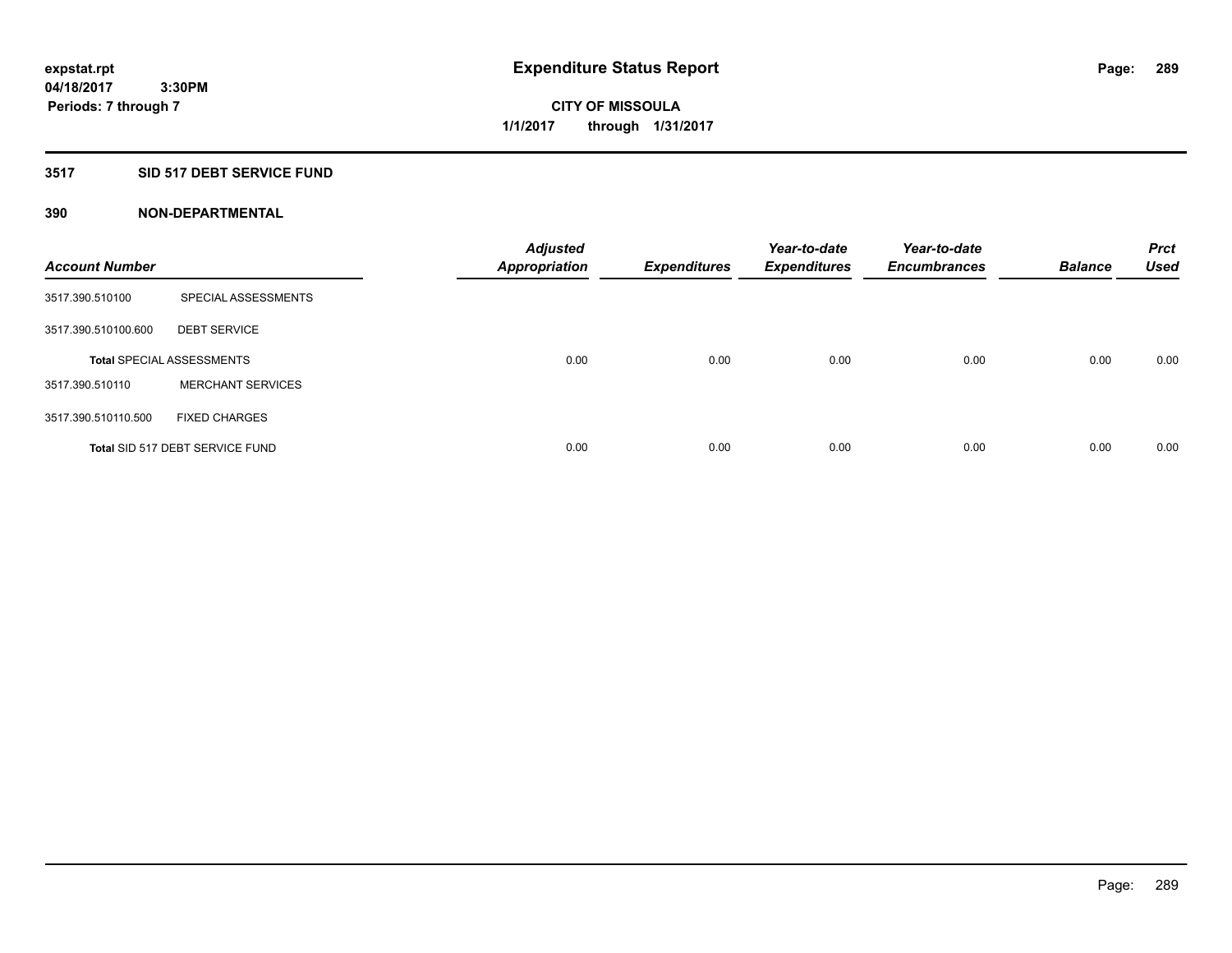# **3517 SID 517 DEBT SERVICE FUND**

| <b>Account Number</b> |                                  | <b>Adjusted</b><br><b>Appropriation</b> | <b>Expenditures</b> | Year-to-date<br><b>Expenditures</b> | Year-to-date<br><b>Encumbrances</b> | <b>Balance</b> | <b>Prct</b><br><b>Used</b> |
|-----------------------|----------------------------------|-----------------------------------------|---------------------|-------------------------------------|-------------------------------------|----------------|----------------------------|
| 3517.390.510100       | SPECIAL ASSESSMENTS              |                                         |                     |                                     |                                     |                |                            |
| 3517.390.510100.600   | <b>DEBT SERVICE</b>              |                                         |                     |                                     |                                     |                |                            |
|                       | <b>Total SPECIAL ASSESSMENTS</b> | 0.00                                    | 0.00                | 0.00                                | 0.00                                | 0.00           | 0.00                       |
| 3517.390.510110       | <b>MERCHANT SERVICES</b>         |                                         |                     |                                     |                                     |                |                            |
| 3517.390.510110.500   | <b>FIXED CHARGES</b>             |                                         |                     |                                     |                                     |                |                            |
|                       | Total SID 517 DEBT SERVICE FUND  | 0.00                                    | 0.00                | 0.00                                | 0.00                                | 0.00           | 0.00                       |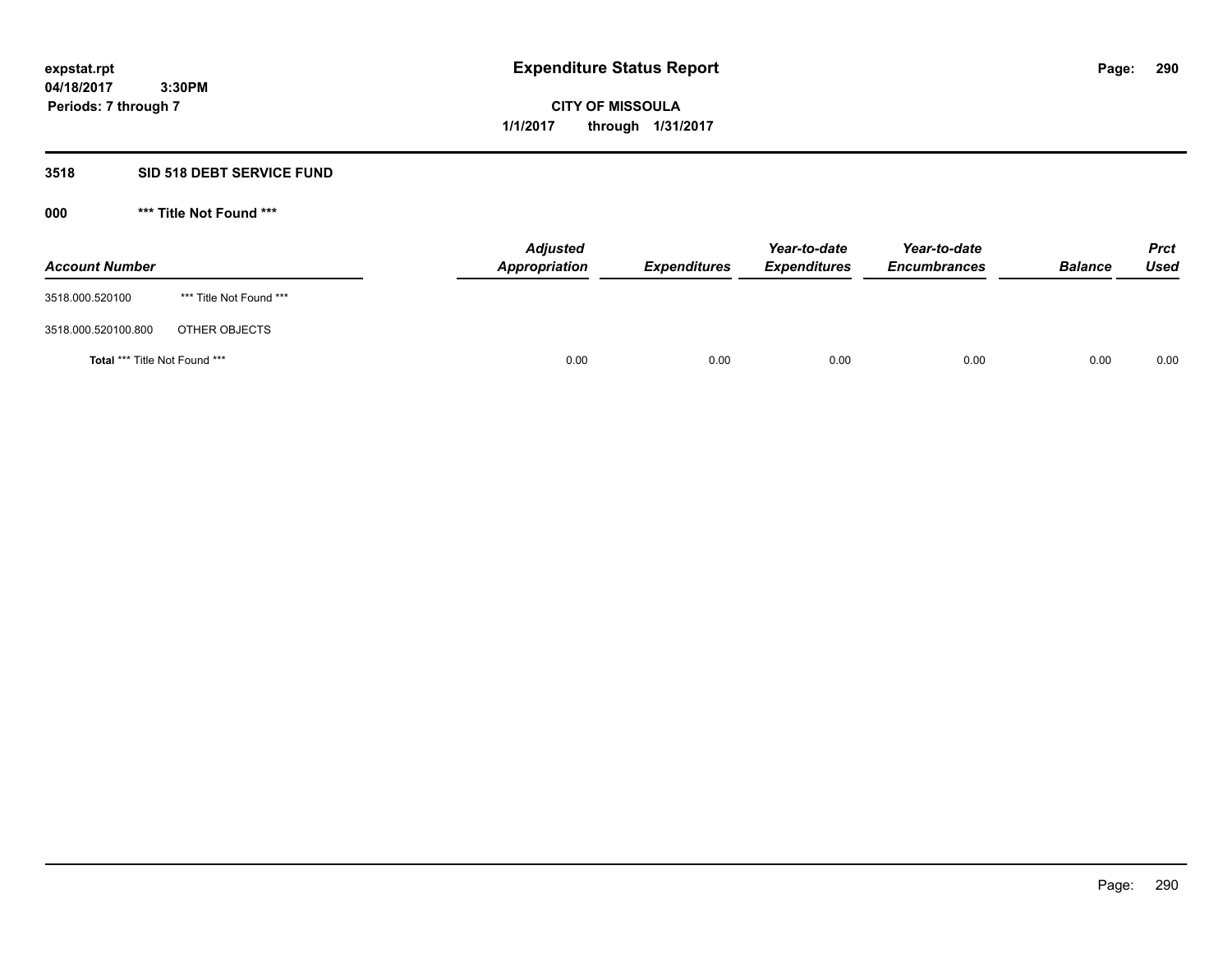# **CITY OF MISSOULA 1/1/2017 through 1/31/2017**

# **3518 SID 518 DEBT SERVICE FUND**

**000 \*\*\* Title Not Found \*\*\***

| <b>Account Number</b>         |                         | <b>Adjusted</b><br>Appropriation | <b>Expenditures</b> | Year-to-date<br><b>Expenditures</b> | Year-to-date<br><b>Encumbrances</b> | <b>Balance</b> | <b>Prct</b><br>Used |
|-------------------------------|-------------------------|----------------------------------|---------------------|-------------------------------------|-------------------------------------|----------------|---------------------|
| 3518.000.520100               | *** Title Not Found *** |                                  |                     |                                     |                                     |                |                     |
| 3518.000.520100.800           | OTHER OBJECTS           |                                  |                     |                                     |                                     |                |                     |
| Total *** Title Not Found *** |                         | 0.00                             | 0.00                | 0.00                                | 0.00                                | 0.00           | 0.00                |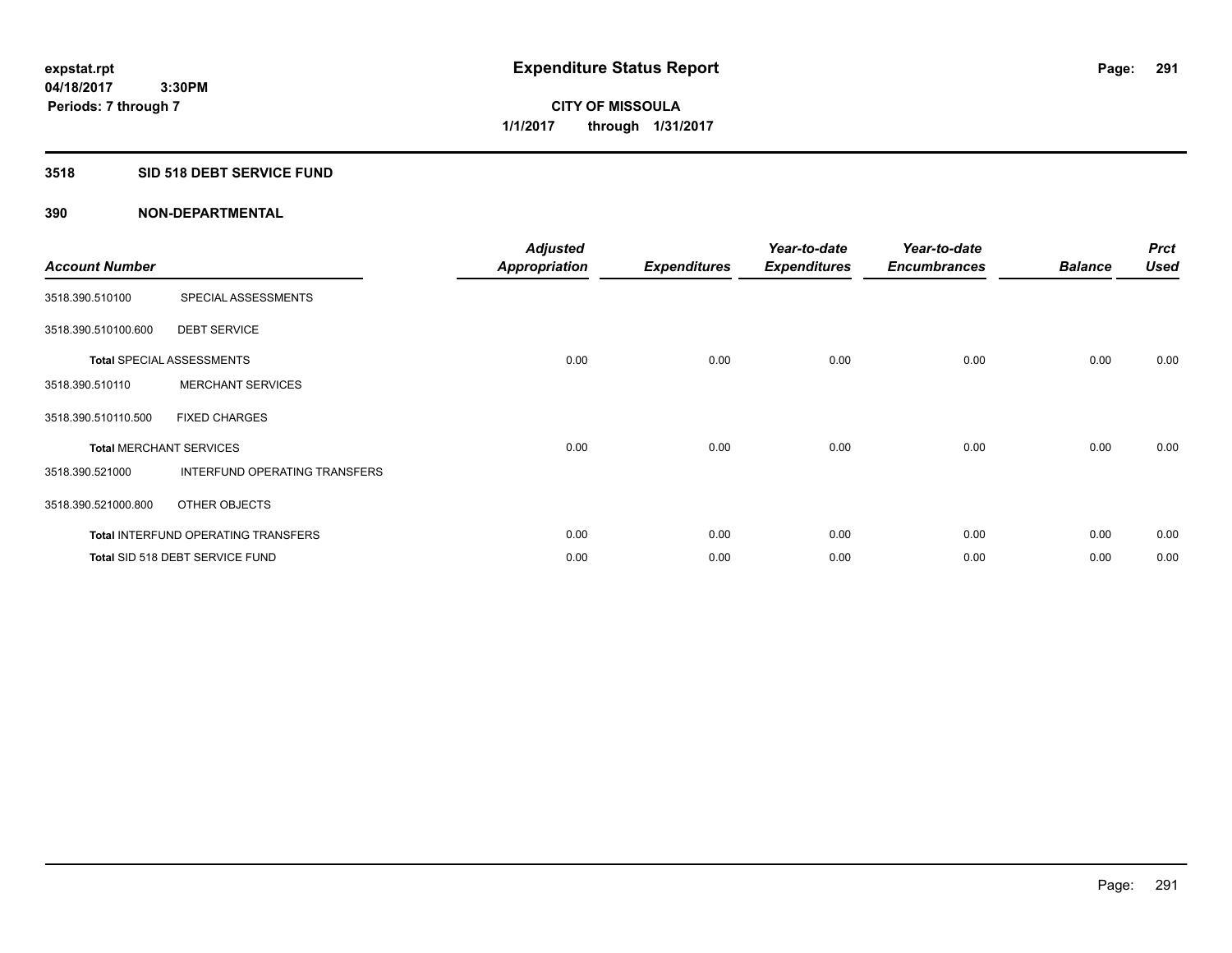#### **3518 SID 518 DEBT SERVICE FUND**

| <b>Account Number</b>          |                                            | <b>Adjusted</b><br><b>Appropriation</b> | <b>Expenditures</b> | Year-to-date<br><b>Expenditures</b> | Year-to-date<br><b>Encumbrances</b> | <b>Balance</b> | <b>Prct</b><br><b>Used</b> |
|--------------------------------|--------------------------------------------|-----------------------------------------|---------------------|-------------------------------------|-------------------------------------|----------------|----------------------------|
| 3518.390.510100                | SPECIAL ASSESSMENTS                        |                                         |                     |                                     |                                     |                |                            |
| 3518.390.510100.600            | <b>DEBT SERVICE</b>                        |                                         |                     |                                     |                                     |                |                            |
|                                | <b>Total SPECIAL ASSESSMENTS</b>           | 0.00                                    | 0.00                | 0.00                                | 0.00                                | 0.00           | 0.00                       |
| 3518.390.510110                | <b>MERCHANT SERVICES</b>                   |                                         |                     |                                     |                                     |                |                            |
| 3518.390.510110.500            | <b>FIXED CHARGES</b>                       |                                         |                     |                                     |                                     |                |                            |
| <b>Total MERCHANT SERVICES</b> |                                            | 0.00                                    | 0.00                | 0.00                                | 0.00                                | 0.00           | 0.00                       |
| 3518.390.521000                | INTERFUND OPERATING TRANSFERS              |                                         |                     |                                     |                                     |                |                            |
| 3518.390.521000.800            | OTHER OBJECTS                              |                                         |                     |                                     |                                     |                |                            |
|                                | <b>Total INTERFUND OPERATING TRANSFERS</b> | 0.00                                    | 0.00                | 0.00                                | 0.00                                | 0.00           | 0.00                       |
|                                | Total SID 518 DEBT SERVICE FUND            | 0.00                                    | 0.00                | 0.00                                | 0.00                                | 0.00           | 0.00                       |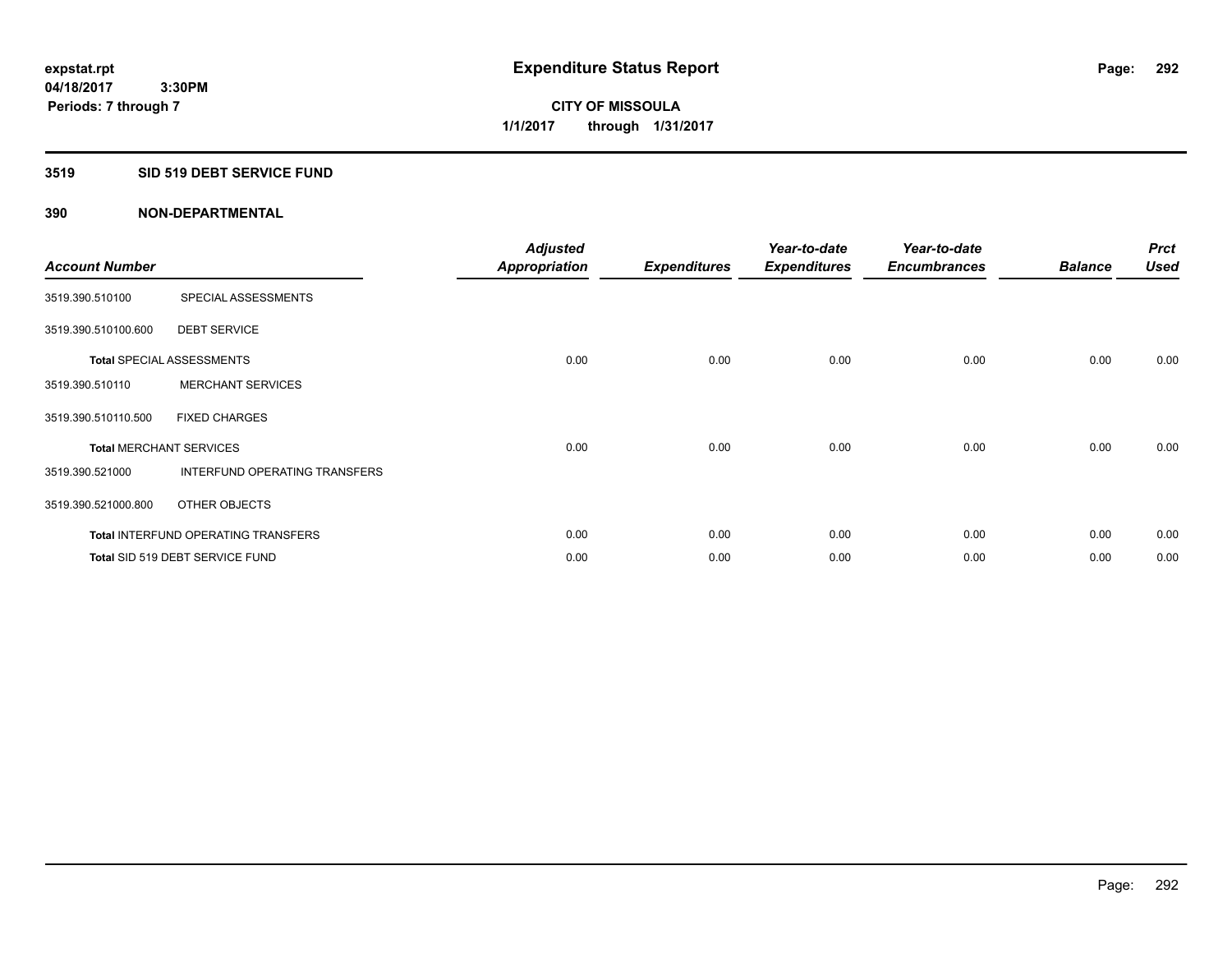#### **3519 SID 519 DEBT SERVICE FUND**

| <b>Account Number</b>          |                                            | <b>Adjusted</b><br><b>Appropriation</b> | <b>Expenditures</b> | Year-to-date<br><b>Expenditures</b> | Year-to-date<br><b>Encumbrances</b> | <b>Balance</b> | <b>Prct</b><br><b>Used</b> |
|--------------------------------|--------------------------------------------|-----------------------------------------|---------------------|-------------------------------------|-------------------------------------|----------------|----------------------------|
| 3519.390.510100                | SPECIAL ASSESSMENTS                        |                                         |                     |                                     |                                     |                |                            |
| 3519.390.510100.600            | <b>DEBT SERVICE</b>                        |                                         |                     |                                     |                                     |                |                            |
|                                | <b>Total SPECIAL ASSESSMENTS</b>           | 0.00                                    | 0.00                | 0.00                                | 0.00                                | 0.00           | 0.00                       |
| 3519.390.510110                | <b>MERCHANT SERVICES</b>                   |                                         |                     |                                     |                                     |                |                            |
| 3519.390.510110.500            | <b>FIXED CHARGES</b>                       |                                         |                     |                                     |                                     |                |                            |
| <b>Total MERCHANT SERVICES</b> |                                            | 0.00                                    | 0.00                | 0.00                                | 0.00                                | 0.00           | 0.00                       |
| 3519.390.521000                | INTERFUND OPERATING TRANSFERS              |                                         |                     |                                     |                                     |                |                            |
| 3519.390.521000.800            | OTHER OBJECTS                              |                                         |                     |                                     |                                     |                |                            |
|                                | <b>Total INTERFUND OPERATING TRANSFERS</b> | 0.00                                    | 0.00                | 0.00                                | 0.00                                | 0.00           | 0.00                       |
|                                | Total SID 519 DEBT SERVICE FUND            | 0.00                                    | 0.00                | 0.00                                | 0.00                                | 0.00           | 0.00                       |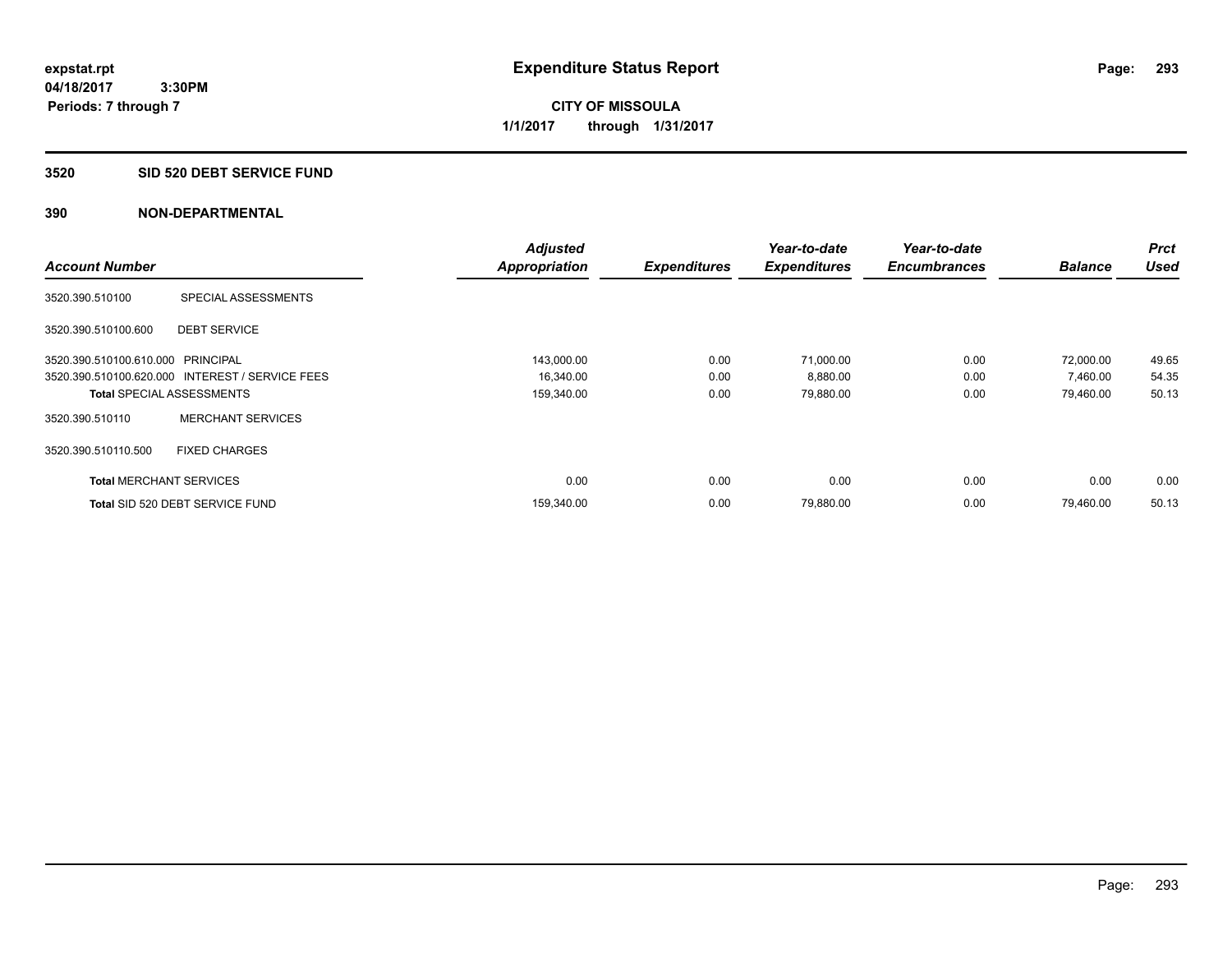#### **3520 SID 520 DEBT SERVICE FUND**

|                                   |                                                 | <b>Adjusted</b>      |                     | Year-to-date        | Year-to-date        |                | <b>Prct</b> |
|-----------------------------------|-------------------------------------------------|----------------------|---------------------|---------------------|---------------------|----------------|-------------|
| <b>Account Number</b>             |                                                 | <b>Appropriation</b> | <b>Expenditures</b> | <b>Expenditures</b> | <b>Encumbrances</b> | <b>Balance</b> | <b>Used</b> |
| 3520.390.510100                   | SPECIAL ASSESSMENTS                             |                      |                     |                     |                     |                |             |
| 3520.390.510100.600               | <b>DEBT SERVICE</b>                             |                      |                     |                     |                     |                |             |
| 3520.390.510100.610.000 PRINCIPAL |                                                 | 143,000.00           | 0.00                | 71,000.00           | 0.00                | 72,000.00      | 49.65       |
|                                   | 3520.390.510100.620.000 INTEREST / SERVICE FEES | 16,340.00            | 0.00                | 8,880.00            | 0.00                | 7,460.00       | 54.35       |
| <b>Total SPECIAL ASSESSMENTS</b>  |                                                 | 159,340.00           | 0.00                | 79,880.00           | 0.00                | 79.460.00      | 50.13       |
| 3520.390.510110                   | <b>MERCHANT SERVICES</b>                        |                      |                     |                     |                     |                |             |
| 3520.390.510110.500               | <b>FIXED CHARGES</b>                            |                      |                     |                     |                     |                |             |
| <b>Total MERCHANT SERVICES</b>    |                                                 | 0.00                 | 0.00                | 0.00                | 0.00                | 0.00           | 0.00        |
|                                   | Total SID 520 DEBT SERVICE FUND                 | 159,340.00           | 0.00                | 79,880.00           | 0.00                | 79.460.00      | 50.13       |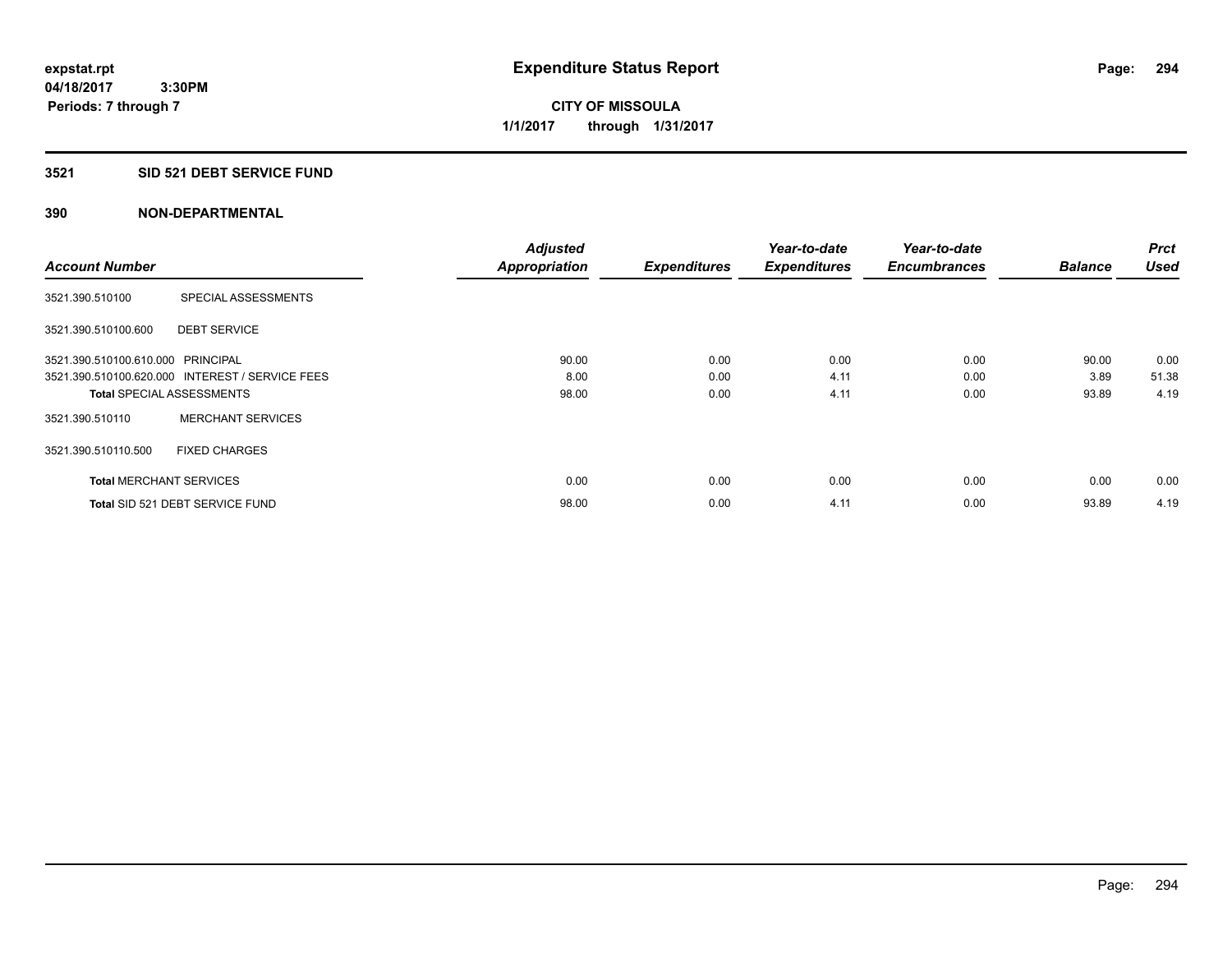# **CITY OF MISSOULA 1/1/2017 through 1/31/2017**

# **3521 SID 521 DEBT SERVICE FUND**

|                                   |                                                 | <b>Adjusted</b>      |                     | Year-to-date        | Year-to-date        |                | <b>Prct</b> |
|-----------------------------------|-------------------------------------------------|----------------------|---------------------|---------------------|---------------------|----------------|-------------|
| <b>Account Number</b>             |                                                 | <b>Appropriation</b> | <b>Expenditures</b> | <b>Expenditures</b> | <b>Encumbrances</b> | <b>Balance</b> | <b>Used</b> |
| 3521.390.510100                   | SPECIAL ASSESSMENTS                             |                      |                     |                     |                     |                |             |
| 3521.390.510100.600               | <b>DEBT SERVICE</b>                             |                      |                     |                     |                     |                |             |
| 3521.390.510100.610.000 PRINCIPAL |                                                 | 90.00                | 0.00                | 0.00                | 0.00                | 90.00          | 0.00        |
|                                   | 3521.390.510100.620.000 INTEREST / SERVICE FEES | 8.00                 | 0.00                | 4.11                | 0.00                | 3.89           | 51.38       |
| <b>Total SPECIAL ASSESSMENTS</b>  |                                                 | 98.00                | 0.00                | 4.11                | 0.00                | 93.89          | 4.19        |
| 3521.390.510110                   | <b>MERCHANT SERVICES</b>                        |                      |                     |                     |                     |                |             |
| 3521.390.510110.500               | <b>FIXED CHARGES</b>                            |                      |                     |                     |                     |                |             |
| <b>Total MERCHANT SERVICES</b>    |                                                 | 0.00                 | 0.00                | 0.00                | 0.00                | 0.00           | 0.00        |
|                                   | Total SID 521 DEBT SERVICE FUND                 | 98.00                | 0.00                | 4.11                | 0.00                | 93.89          | 4.19        |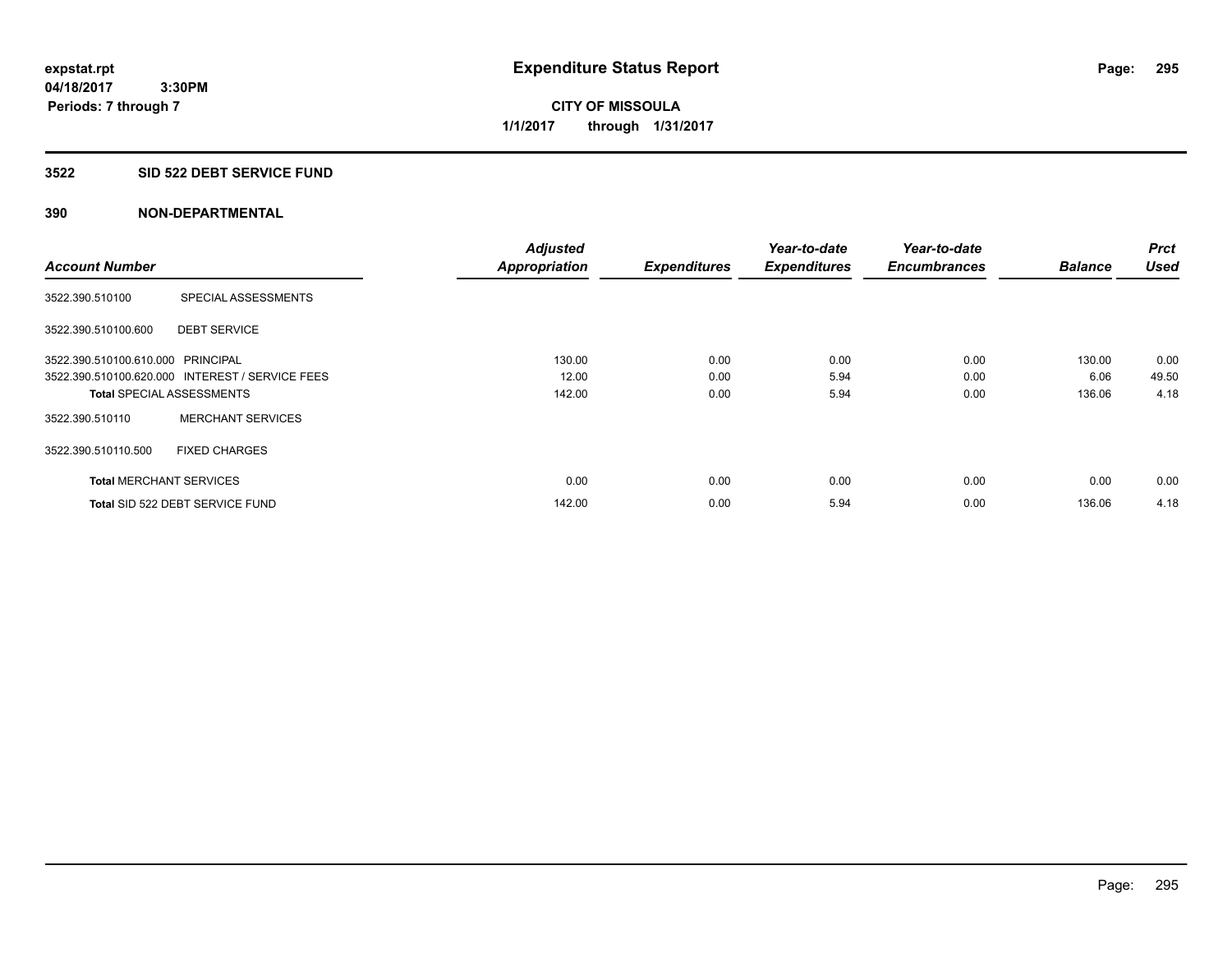**04/18/2017 3:30PM Periods: 7 through 7**

**CITY OF MISSOULA 1/1/2017 through 1/31/2017**

#### **3522 SID 522 DEBT SERVICE FUND**

|                                   |                                                 | <b>Adjusted</b>      |                     | Year-to-date        | Year-to-date        |                | <b>Prct</b> |
|-----------------------------------|-------------------------------------------------|----------------------|---------------------|---------------------|---------------------|----------------|-------------|
| <b>Account Number</b>             |                                                 | <b>Appropriation</b> | <b>Expenditures</b> | <b>Expenditures</b> | <b>Encumbrances</b> | <b>Balance</b> | <b>Used</b> |
| 3522.390.510100                   | SPECIAL ASSESSMENTS                             |                      |                     |                     |                     |                |             |
| 3522.390.510100.600               | <b>DEBT SERVICE</b>                             |                      |                     |                     |                     |                |             |
| 3522.390.510100.610.000 PRINCIPAL |                                                 | 130.00               | 0.00                | 0.00                | 0.00                | 130.00         | 0.00        |
|                                   | 3522.390.510100.620.000 INTEREST / SERVICE FEES | 12.00                | 0.00                | 5.94                | 0.00                | 6.06           | 49.50       |
| <b>Total SPECIAL ASSESSMENTS</b>  |                                                 | 142.00               | 0.00                | 5.94                | 0.00                | 136.06         | 4.18        |
| 3522.390.510110                   | <b>MERCHANT SERVICES</b>                        |                      |                     |                     |                     |                |             |
| 3522.390.510110.500               | <b>FIXED CHARGES</b>                            |                      |                     |                     |                     |                |             |
| <b>Total MERCHANT SERVICES</b>    |                                                 | 0.00                 | 0.00                | 0.00                | 0.00                | 0.00           | 0.00        |
|                                   | Total SID 522 DEBT SERVICE FUND                 | 142.00               | 0.00                | 5.94                | 0.00                | 136.06         | 4.18        |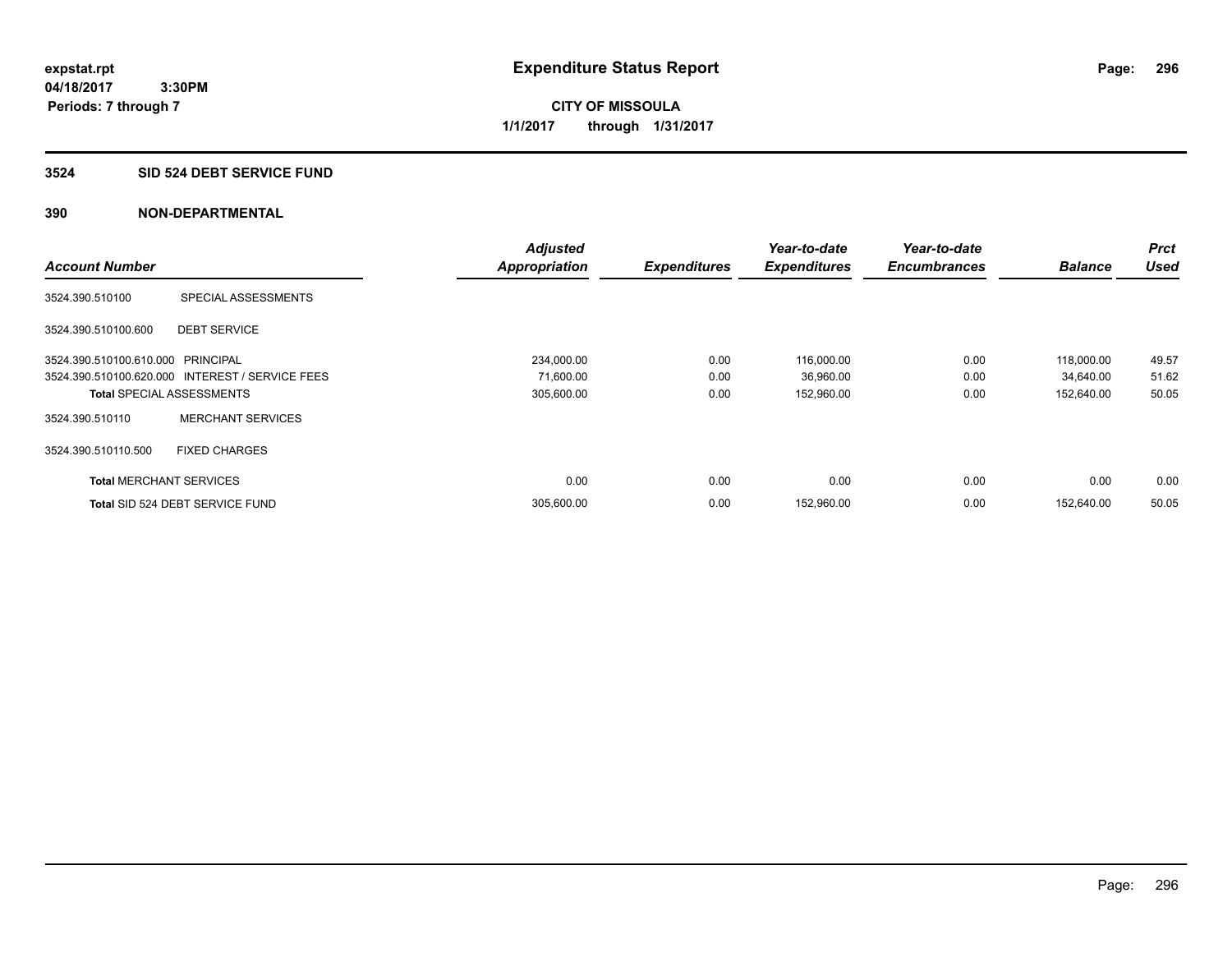**CITY OF MISSOULA 1/1/2017 through 1/31/2017**

#### **3524 SID 524 DEBT SERVICE FUND**

|                                   |                                                 | <b>Adjusted</b>      |                     | Year-to-date        | Year-to-date        |                | <b>Prct</b> |
|-----------------------------------|-------------------------------------------------|----------------------|---------------------|---------------------|---------------------|----------------|-------------|
| <b>Account Number</b>             |                                                 | <b>Appropriation</b> | <b>Expenditures</b> | <b>Expenditures</b> | <b>Encumbrances</b> | <b>Balance</b> | <b>Used</b> |
| 3524.390.510100                   | SPECIAL ASSESSMENTS                             |                      |                     |                     |                     |                |             |
| 3524.390.510100.600               | <b>DEBT SERVICE</b>                             |                      |                     |                     |                     |                |             |
| 3524.390.510100.610.000 PRINCIPAL |                                                 | 234,000.00           | 0.00                | 116,000.00          | 0.00                | 118,000.00     | 49.57       |
|                                   | 3524.390.510100.620.000 INTEREST / SERVICE FEES | 71,600.00            | 0.00                | 36,960.00           | 0.00                | 34,640.00      | 51.62       |
| <b>Total SPECIAL ASSESSMENTS</b>  |                                                 | 305,600.00           | 0.00                | 152,960.00          | 0.00                | 152,640.00     | 50.05       |
| 3524.390.510110                   | <b>MERCHANT SERVICES</b>                        |                      |                     |                     |                     |                |             |
| 3524.390.510110.500               | <b>FIXED CHARGES</b>                            |                      |                     |                     |                     |                |             |
| <b>Total MERCHANT SERVICES</b>    |                                                 | 0.00                 | 0.00                | 0.00                | 0.00                | 0.00           | 0.00        |
|                                   | Total SID 524 DEBT SERVICE FUND                 | 305,600.00           | 0.00                | 152,960.00          | 0.00                | 152.640.00     | 50.05       |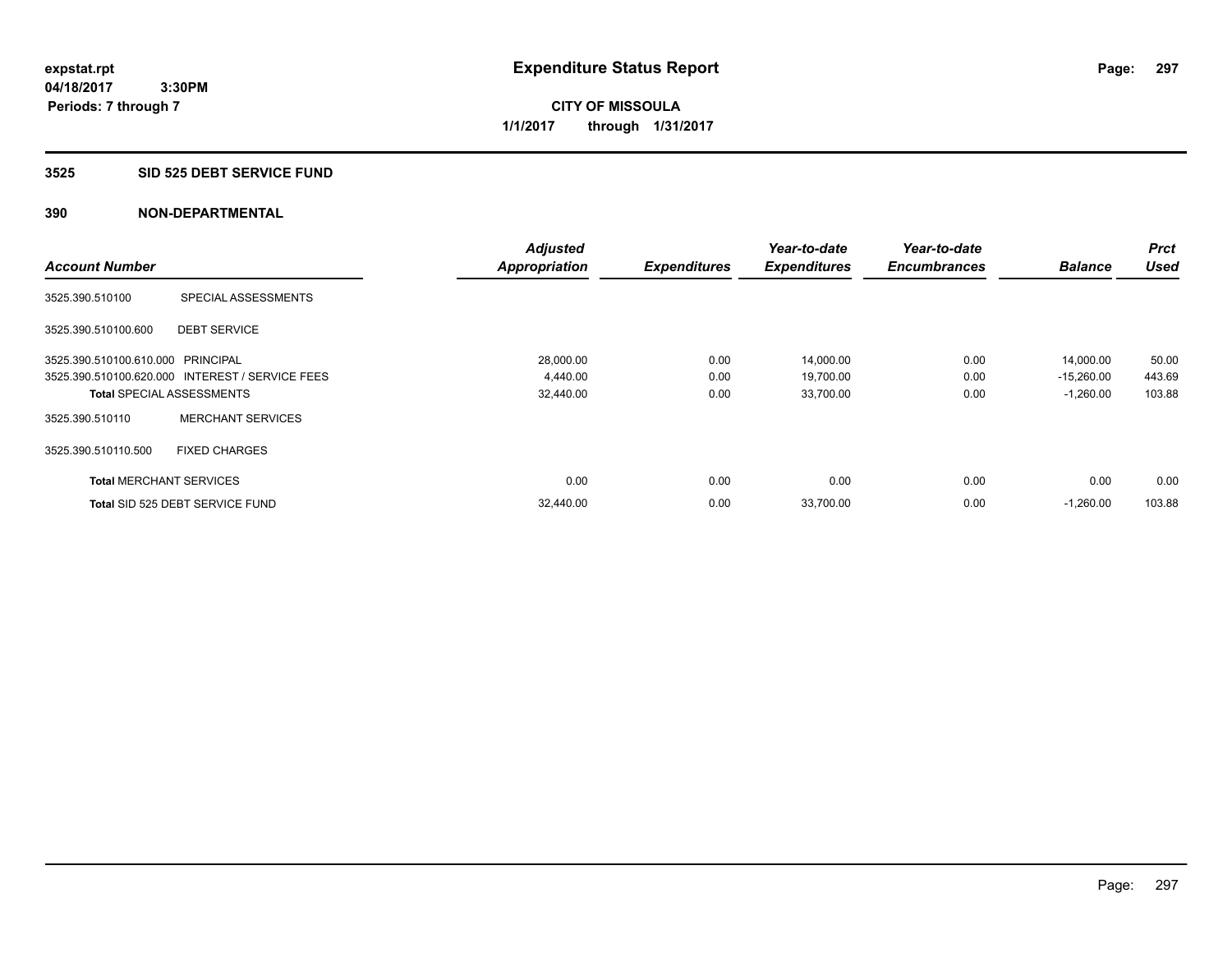# **3525 SID 525 DEBT SERVICE FUND**

|                                   |                                                 | <b>Adjusted</b>      |                     | Year-to-date        | Year-to-date        |                | <b>Prct</b> |
|-----------------------------------|-------------------------------------------------|----------------------|---------------------|---------------------|---------------------|----------------|-------------|
| <b>Account Number</b>             |                                                 | <b>Appropriation</b> | <b>Expenditures</b> | <b>Expenditures</b> | <b>Encumbrances</b> | <b>Balance</b> | <b>Used</b> |
| 3525.390.510100                   | SPECIAL ASSESSMENTS                             |                      |                     |                     |                     |                |             |
| 3525.390.510100.600               | <b>DEBT SERVICE</b>                             |                      |                     |                     |                     |                |             |
| 3525.390.510100.610.000 PRINCIPAL |                                                 | 28,000.00            | 0.00                | 14,000.00           | 0.00                | 14,000.00      | 50.00       |
|                                   | 3525.390.510100.620.000 INTEREST / SERVICE FEES | 4,440.00             | 0.00                | 19,700.00           | 0.00                | $-15,260.00$   | 443.69      |
| <b>Total SPECIAL ASSESSMENTS</b>  |                                                 | 32,440.00            | 0.00                | 33,700.00           | 0.00                | $-1,260.00$    | 103.88      |
| 3525.390.510110                   | <b>MERCHANT SERVICES</b>                        |                      |                     |                     |                     |                |             |
| 3525.390.510110.500               | <b>FIXED CHARGES</b>                            |                      |                     |                     |                     |                |             |
| <b>Total MERCHANT SERVICES</b>    |                                                 | 0.00                 | 0.00                | 0.00                | 0.00                | 0.00           | 0.00        |
|                                   | Total SID 525 DEBT SERVICE FUND                 | 32,440.00            | 0.00                | 33,700.00           | 0.00                | $-1,260.00$    | 103.88      |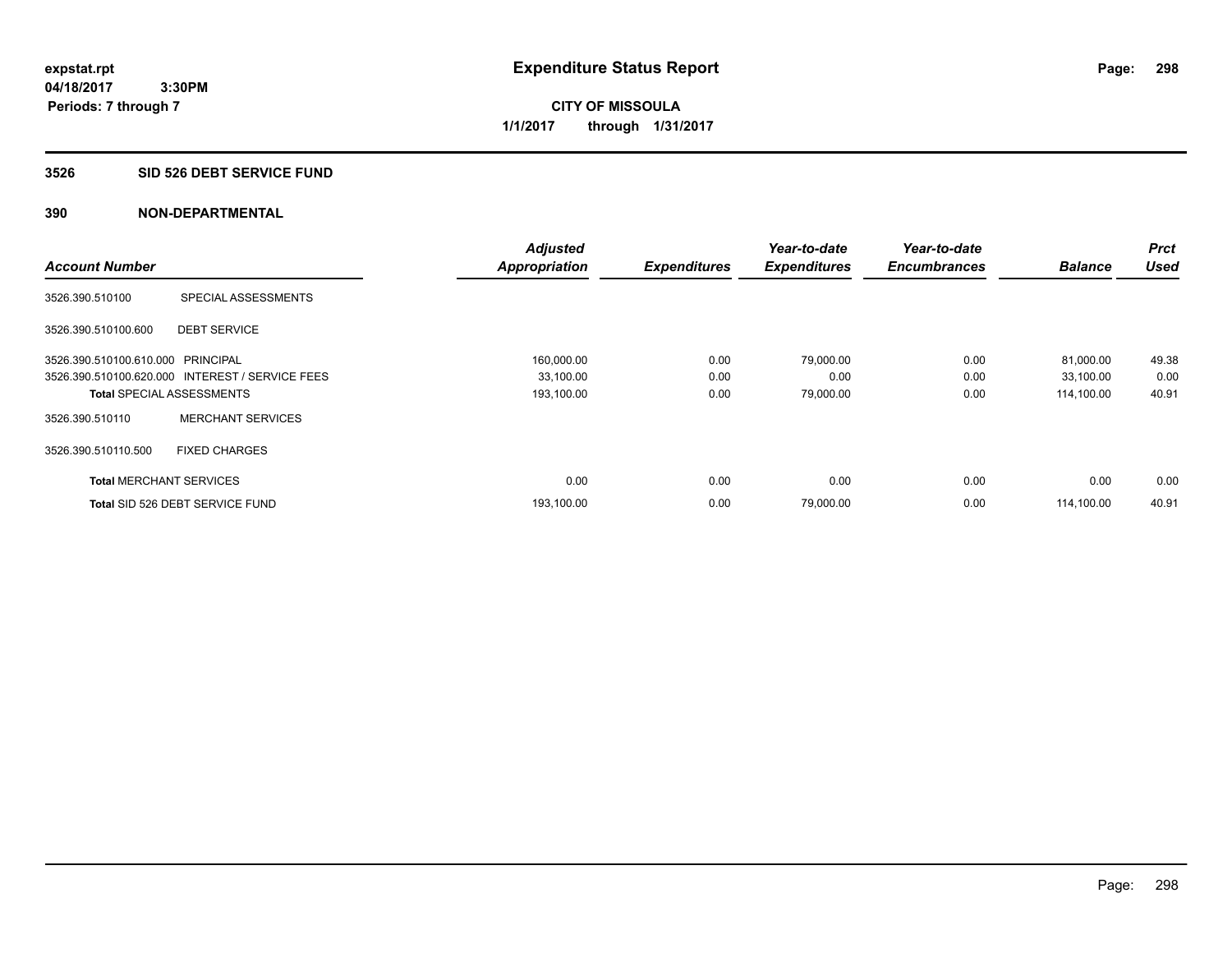#### **3526 SID 526 DEBT SERVICE FUND**

|                                   |                                                 | <b>Adjusted</b>      |                     | Year-to-date        | Year-to-date        |                | <b>Prct</b> |
|-----------------------------------|-------------------------------------------------|----------------------|---------------------|---------------------|---------------------|----------------|-------------|
| <b>Account Number</b>             |                                                 | <b>Appropriation</b> | <b>Expenditures</b> | <b>Expenditures</b> | <b>Encumbrances</b> | <b>Balance</b> | <b>Used</b> |
| 3526.390.510100                   | SPECIAL ASSESSMENTS                             |                      |                     |                     |                     |                |             |
| 3526.390.510100.600               | <b>DEBT SERVICE</b>                             |                      |                     |                     |                     |                |             |
| 3526.390.510100.610.000 PRINCIPAL |                                                 | 160,000.00           | 0.00                | 79,000.00           | 0.00                | 81,000.00      | 49.38       |
|                                   | 3526.390.510100.620.000 INTEREST / SERVICE FEES | 33,100.00            | 0.00                | 0.00                | 0.00                | 33,100.00      | 0.00        |
| <b>Total SPECIAL ASSESSMENTS</b>  |                                                 | 193,100.00           | 0.00                | 79,000.00           | 0.00                | 114,100.00     | 40.91       |
| 3526.390.510110                   | <b>MERCHANT SERVICES</b>                        |                      |                     |                     |                     |                |             |
| 3526.390.510110.500               | <b>FIXED CHARGES</b>                            |                      |                     |                     |                     |                |             |
| <b>Total MERCHANT SERVICES</b>    |                                                 | 0.00                 | 0.00                | 0.00                | 0.00                | 0.00           | 0.00        |
|                                   | Total SID 526 DEBT SERVICE FUND                 | 193,100.00           | 0.00                | 79,000.00           | 0.00                | 114.100.00     | 40.91       |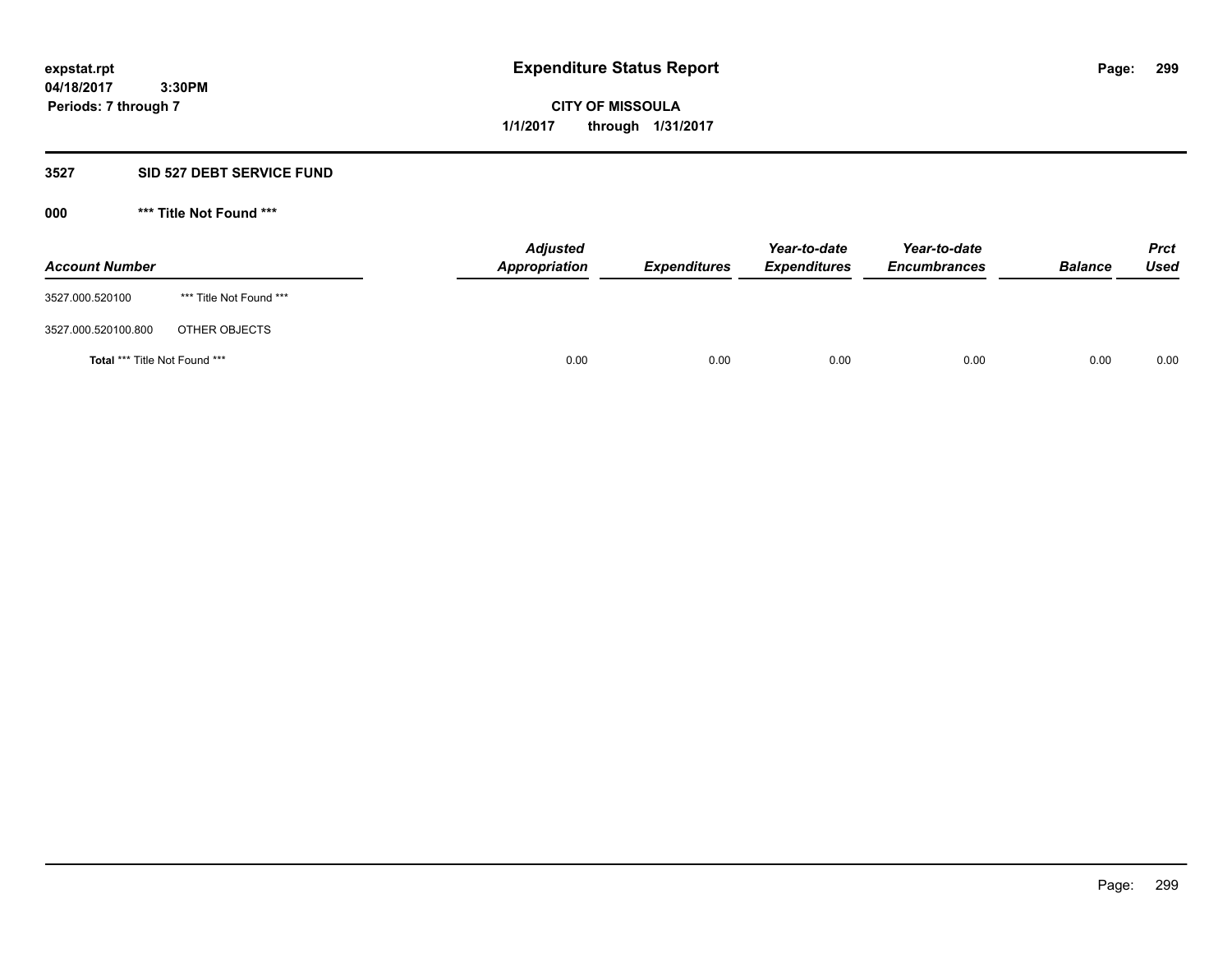**04/18/2017 3:30PM Periods: 7 through 7**

**CITY OF MISSOULA 1/1/2017 through 1/31/2017**

#### **3527 SID 527 DEBT SERVICE FUND**

**000 \*\*\* Title Not Found \*\*\***

| <b>Account Number</b>         |                         | <b>Adjusted</b><br>Appropriation | <b>Expenditures</b> | Year-to-date<br><b>Expenditures</b> | Year-to-date<br><b>Encumbrances</b> | <b>Balance</b> | <b>Prct</b><br>Used |
|-------------------------------|-------------------------|----------------------------------|---------------------|-------------------------------------|-------------------------------------|----------------|---------------------|
| 3527.000.520100               | *** Title Not Found *** |                                  |                     |                                     |                                     |                |                     |
| 3527.000.520100.800           | OTHER OBJECTS           |                                  |                     |                                     |                                     |                |                     |
| Total *** Title Not Found *** |                         | 0.00                             | 0.00                | 0.00                                | 0.00                                | 0.00           | 0.00                |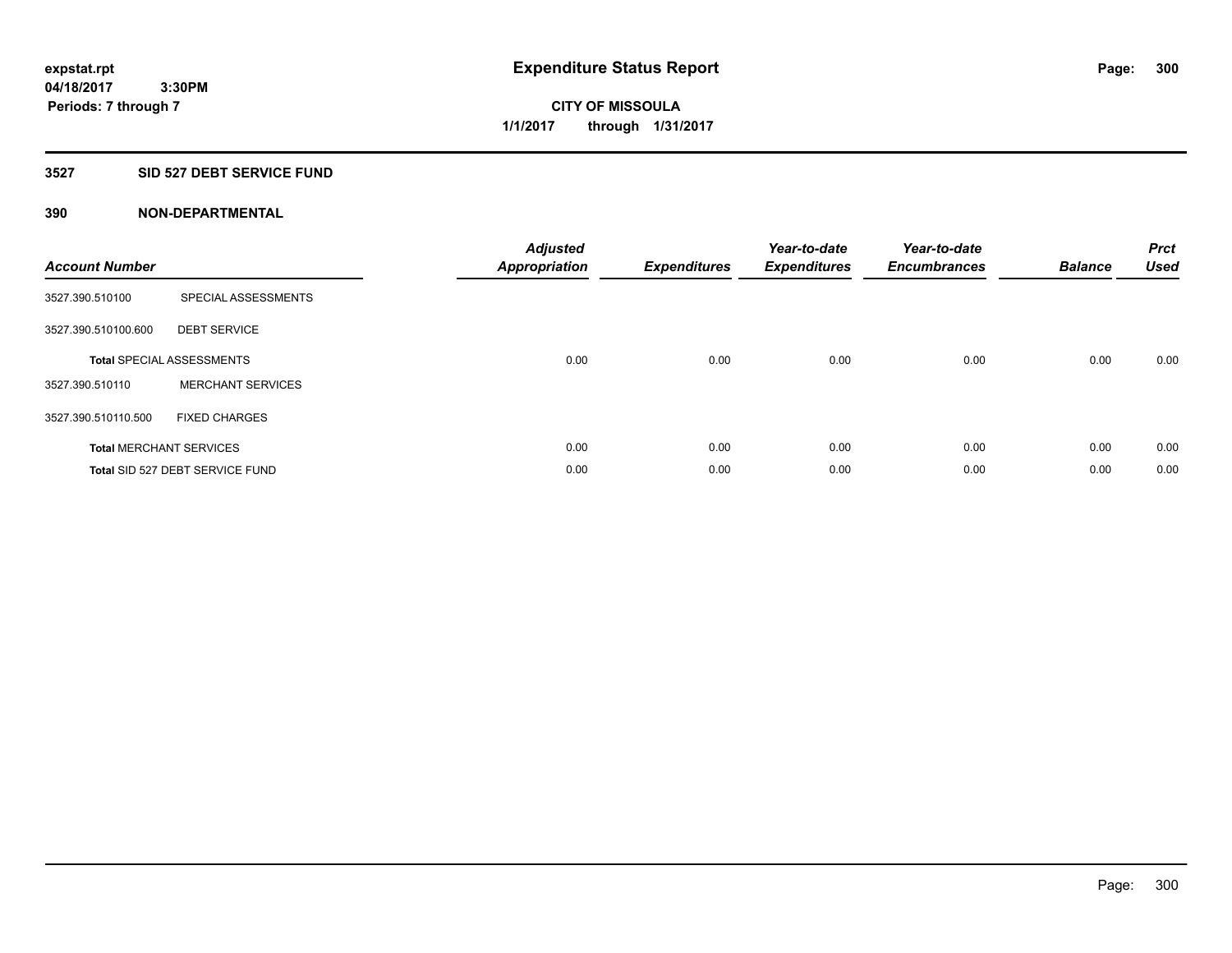**Periods: 7 through 7**

**CITY OF MISSOULA 1/1/2017 through 1/31/2017**

#### **3527 SID 527 DEBT SERVICE FUND**

| <b>Account Number</b> |                                  | <b>Adjusted</b><br>Appropriation | <b>Expenditures</b> | Year-to-date<br><b>Expenditures</b> | Year-to-date<br><b>Encumbrances</b> | <b>Balance</b> | <b>Prct</b><br><b>Used</b> |
|-----------------------|----------------------------------|----------------------------------|---------------------|-------------------------------------|-------------------------------------|----------------|----------------------------|
| 3527.390.510100       | SPECIAL ASSESSMENTS              |                                  |                     |                                     |                                     |                |                            |
| 3527.390.510100.600   | <b>DEBT SERVICE</b>              |                                  |                     |                                     |                                     |                |                            |
|                       | <b>Total SPECIAL ASSESSMENTS</b> | 0.00                             | 0.00                | 0.00                                | 0.00                                | 0.00           | 0.00                       |
| 3527.390.510110       | <b>MERCHANT SERVICES</b>         |                                  |                     |                                     |                                     |                |                            |
| 3527.390.510110.500   | <b>FIXED CHARGES</b>             |                                  |                     |                                     |                                     |                |                            |
|                       | <b>Total MERCHANT SERVICES</b>   | 0.00                             | 0.00                | 0.00                                | 0.00                                | 0.00           | 0.00                       |
|                       | Total SID 527 DEBT SERVICE FUND  | 0.00                             | 0.00                | 0.00                                | 0.00                                | 0.00           | 0.00                       |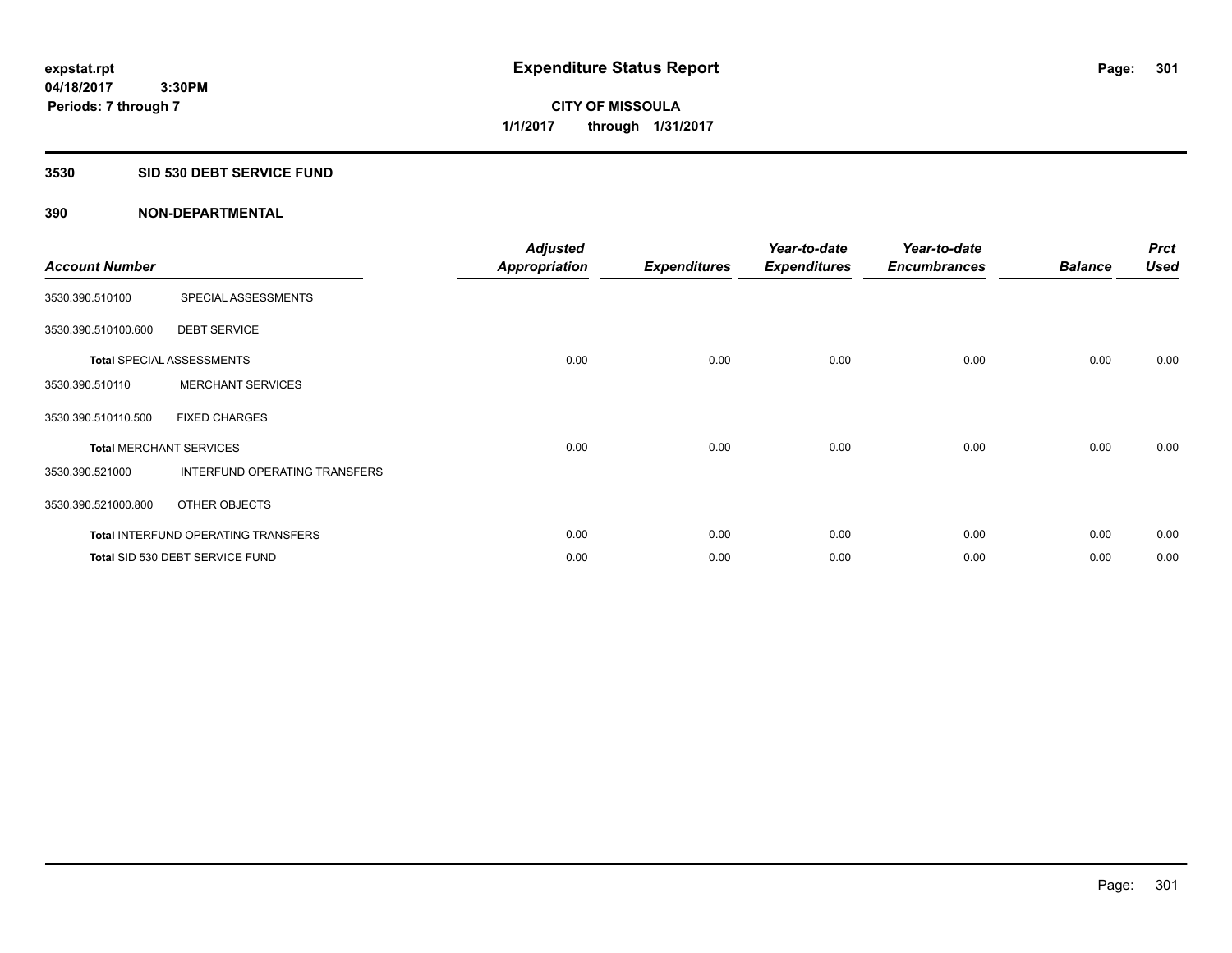#### **3530 SID 530 DEBT SERVICE FUND**

| <b>Account Number</b>          |                                            | <b>Adjusted</b><br><b>Appropriation</b> | <b>Expenditures</b> | Year-to-date<br><b>Expenditures</b> | Year-to-date<br><b>Encumbrances</b> | <b>Balance</b> | <b>Prct</b><br><b>Used</b> |
|--------------------------------|--------------------------------------------|-----------------------------------------|---------------------|-------------------------------------|-------------------------------------|----------------|----------------------------|
| 3530.390.510100                | SPECIAL ASSESSMENTS                        |                                         |                     |                                     |                                     |                |                            |
| 3530.390.510100.600            | <b>DEBT SERVICE</b>                        |                                         |                     |                                     |                                     |                |                            |
|                                | <b>Total SPECIAL ASSESSMENTS</b>           | 0.00                                    | 0.00                | 0.00                                | 0.00                                | 0.00           | 0.00                       |
| 3530.390.510110                | <b>MERCHANT SERVICES</b>                   |                                         |                     |                                     |                                     |                |                            |
| 3530.390.510110.500            | <b>FIXED CHARGES</b>                       |                                         |                     |                                     |                                     |                |                            |
| <b>Total MERCHANT SERVICES</b> |                                            | 0.00                                    | 0.00                | 0.00                                | 0.00                                | 0.00           | 0.00                       |
| 3530.390.521000                | INTERFUND OPERATING TRANSFERS              |                                         |                     |                                     |                                     |                |                            |
| 3530.390.521000.800            | OTHER OBJECTS                              |                                         |                     |                                     |                                     |                |                            |
|                                | <b>Total INTERFUND OPERATING TRANSFERS</b> | 0.00                                    | 0.00                | 0.00                                | 0.00                                | 0.00           | 0.00                       |
|                                | Total SID 530 DEBT SERVICE FUND            | 0.00                                    | 0.00                | 0.00                                | 0.00                                | 0.00           | 0.00                       |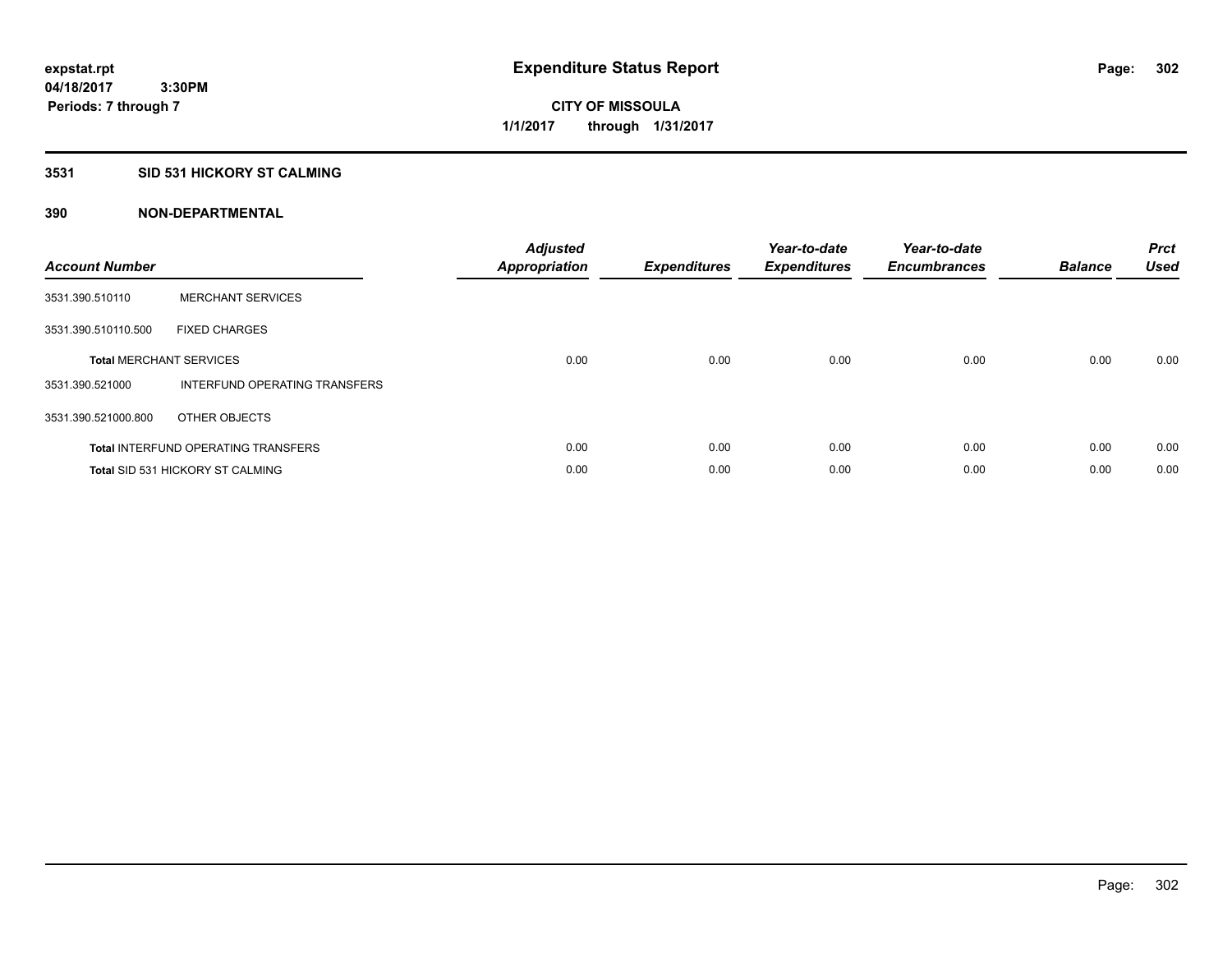# **3531 SID 531 HICKORY ST CALMING**

| <b>Account Number</b> |                                            | <b>Adjusted</b><br>Appropriation | <b>Expenditures</b> | Year-to-date<br><b>Expenditures</b> | Year-to-date<br><b>Encumbrances</b> | <b>Balance</b> | <b>Prct</b><br><b>Used</b> |
|-----------------------|--------------------------------------------|----------------------------------|---------------------|-------------------------------------|-------------------------------------|----------------|----------------------------|
| 3531.390.510110       | <b>MERCHANT SERVICES</b>                   |                                  |                     |                                     |                                     |                |                            |
| 3531.390.510110.500   | <b>FIXED CHARGES</b>                       |                                  |                     |                                     |                                     |                |                            |
|                       | <b>Total MERCHANT SERVICES</b>             | 0.00                             | 0.00                | 0.00                                | 0.00                                | 0.00           | 0.00                       |
| 3531.390.521000       | INTERFUND OPERATING TRANSFERS              |                                  |                     |                                     |                                     |                |                            |
| 3531.390.521000.800   | OTHER OBJECTS                              |                                  |                     |                                     |                                     |                |                            |
|                       | <b>Total INTERFUND OPERATING TRANSFERS</b> | 0.00                             | 0.00                | 0.00                                | 0.00                                | 0.00           | 0.00                       |
|                       | <b>Total SID 531 HICKORY ST CALMING</b>    | 0.00                             | 0.00                | 0.00                                | 0.00                                | 0.00           | 0.00                       |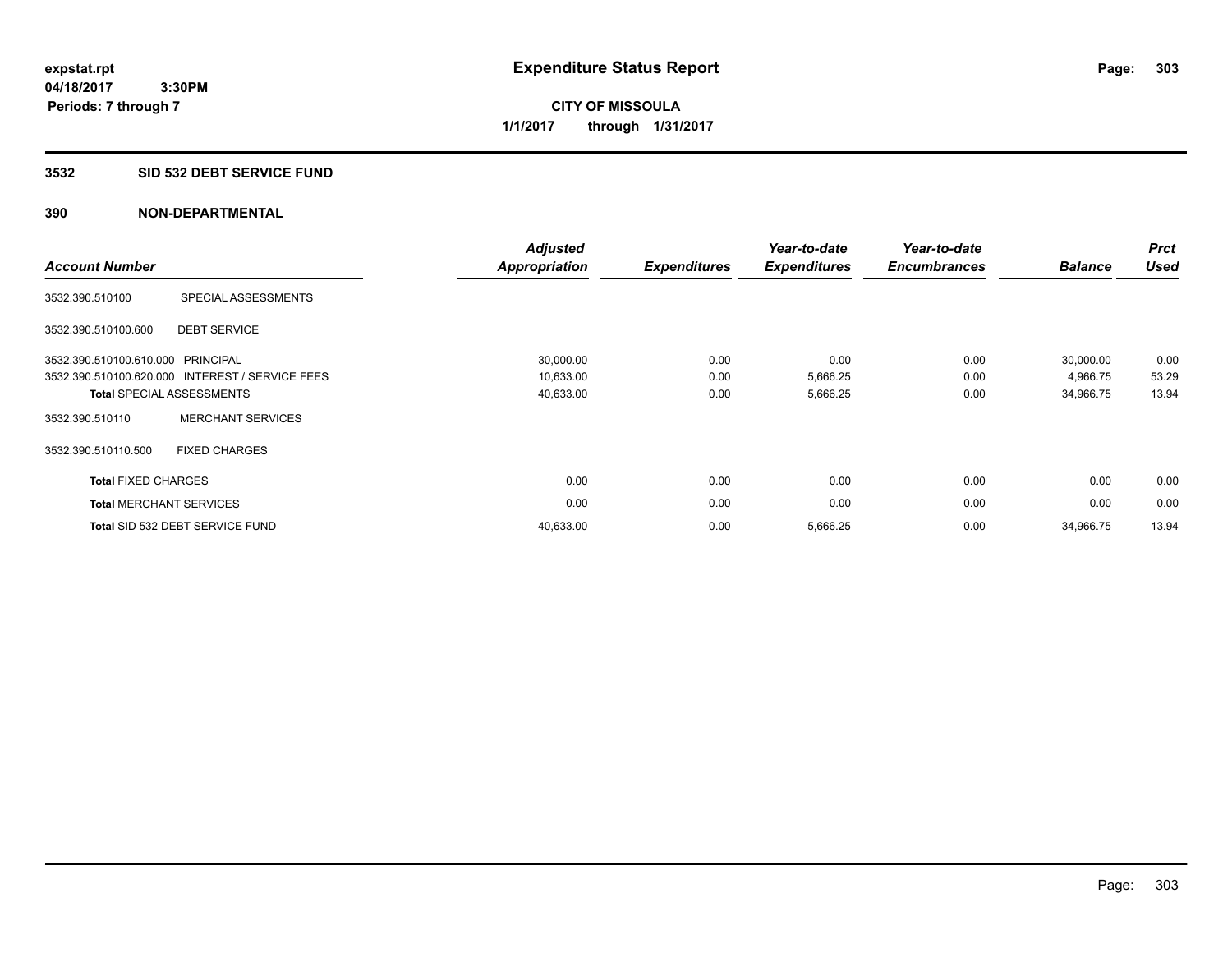**04/18/2017 3:30PM Periods: 7 through 7**

**CITY OF MISSOULA 1/1/2017 through 1/31/2017**

#### **3532 SID 532 DEBT SERVICE FUND**

| <b>Account Number</b>      |                                                 | <b>Adjusted</b><br><b>Appropriation</b> | <b>Expenditures</b> | Year-to-date<br><b>Expenditures</b> | Year-to-date<br><b>Encumbrances</b> | <b>Balance</b> | <b>Prct</b><br><b>Used</b> |
|----------------------------|-------------------------------------------------|-----------------------------------------|---------------------|-------------------------------------|-------------------------------------|----------------|----------------------------|
| 3532.390.510100            | SPECIAL ASSESSMENTS                             |                                         |                     |                                     |                                     |                |                            |
| 3532.390.510100.600        | <b>DEBT SERVICE</b>                             |                                         |                     |                                     |                                     |                |                            |
| 3532.390.510100.610.000    | PRINCIPAL                                       | 30,000.00                               | 0.00                | 0.00                                | 0.00                                | 30,000.00      | 0.00                       |
|                            | 3532.390.510100.620.000 INTEREST / SERVICE FEES | 10,633.00                               | 0.00                | 5,666.25                            | 0.00                                | 4,966.75       | 53.29                      |
|                            | <b>Total SPECIAL ASSESSMENTS</b>                | 40,633.00                               | 0.00                | 5,666.25                            | 0.00                                | 34,966.75      | 13.94                      |
| 3532.390.510110            | <b>MERCHANT SERVICES</b>                        |                                         |                     |                                     |                                     |                |                            |
| 3532.390.510110.500        | <b>FIXED CHARGES</b>                            |                                         |                     |                                     |                                     |                |                            |
| <b>Total FIXED CHARGES</b> |                                                 | 0.00                                    | 0.00                | 0.00                                | 0.00                                | 0.00           | 0.00                       |
|                            | <b>Total MERCHANT SERVICES</b>                  | 0.00                                    | 0.00                | 0.00                                | 0.00                                | 0.00           | 0.00                       |
|                            | Total SID 532 DEBT SERVICE FUND                 | 40,633.00                               | 0.00                | 5,666.25                            | 0.00                                | 34,966.75      | 13.94                      |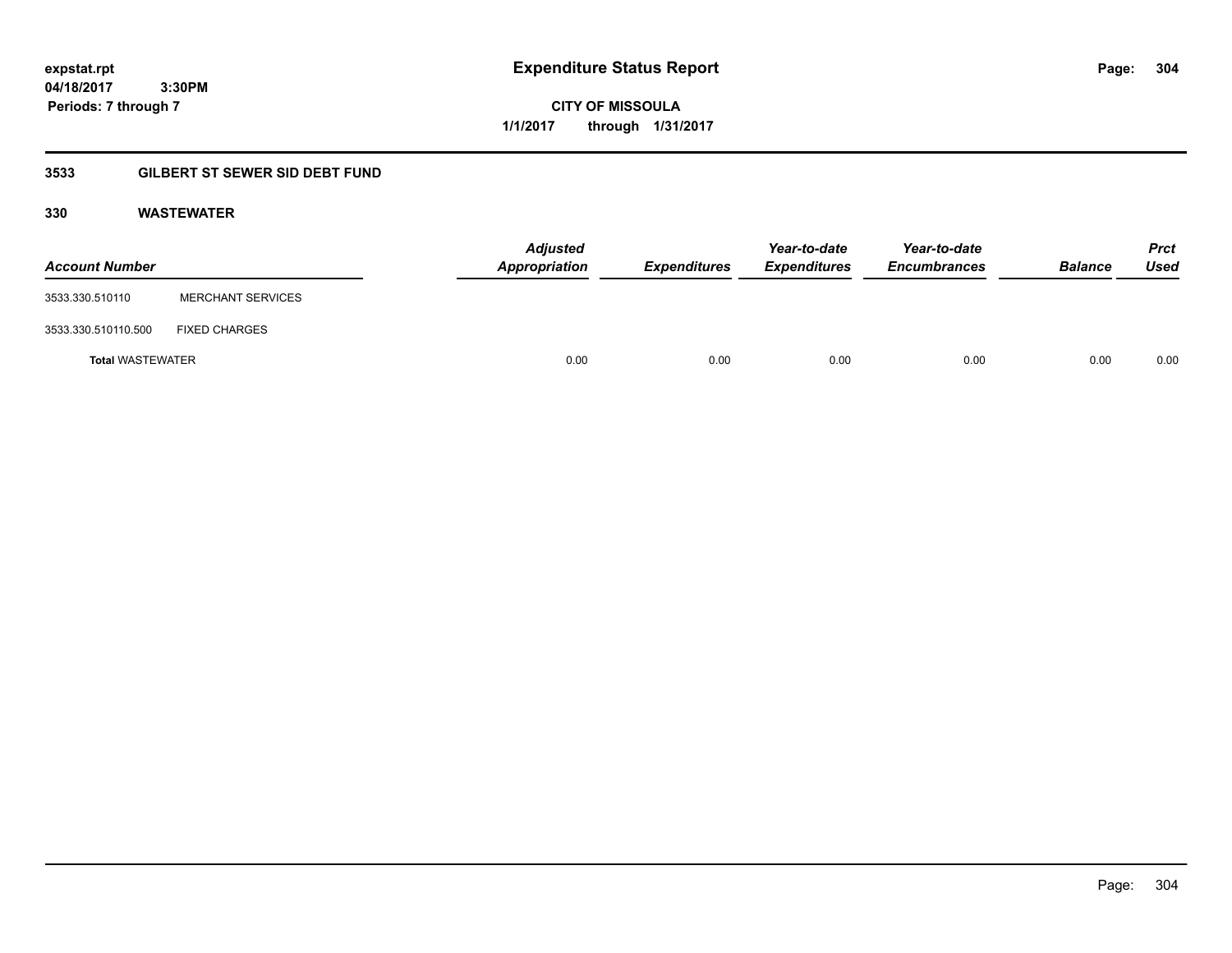**expstat.rpt Expenditure Status Report Page:**

**04/18/2017 3:30PM Periods: 7 through 7**

**CITY OF MISSOULA 1/1/2017 through 1/31/2017**

# **3533 GILBERT ST SEWER SID DEBT FUND**

# **330 WASTEWATER**

| <b>Account Number</b>   |                          | <b>Adjusted</b><br>Appropriation | <b>Expenditures</b> | Year-to-date<br><b>Expenditures</b> | Year-to-date<br><b>Encumbrances</b> | <b>Balance</b> | <b>Prct</b><br>Used |
|-------------------------|--------------------------|----------------------------------|---------------------|-------------------------------------|-------------------------------------|----------------|---------------------|
| 3533.330.510110         | <b>MERCHANT SERVICES</b> |                                  |                     |                                     |                                     |                |                     |
| 3533.330.510110.500     | <b>FIXED CHARGES</b>     |                                  |                     |                                     |                                     |                |                     |
| <b>Total WASTEWATER</b> |                          | 0.00                             | 0.00                | 0.00                                | 0.00                                | 0.00           | 0.00                |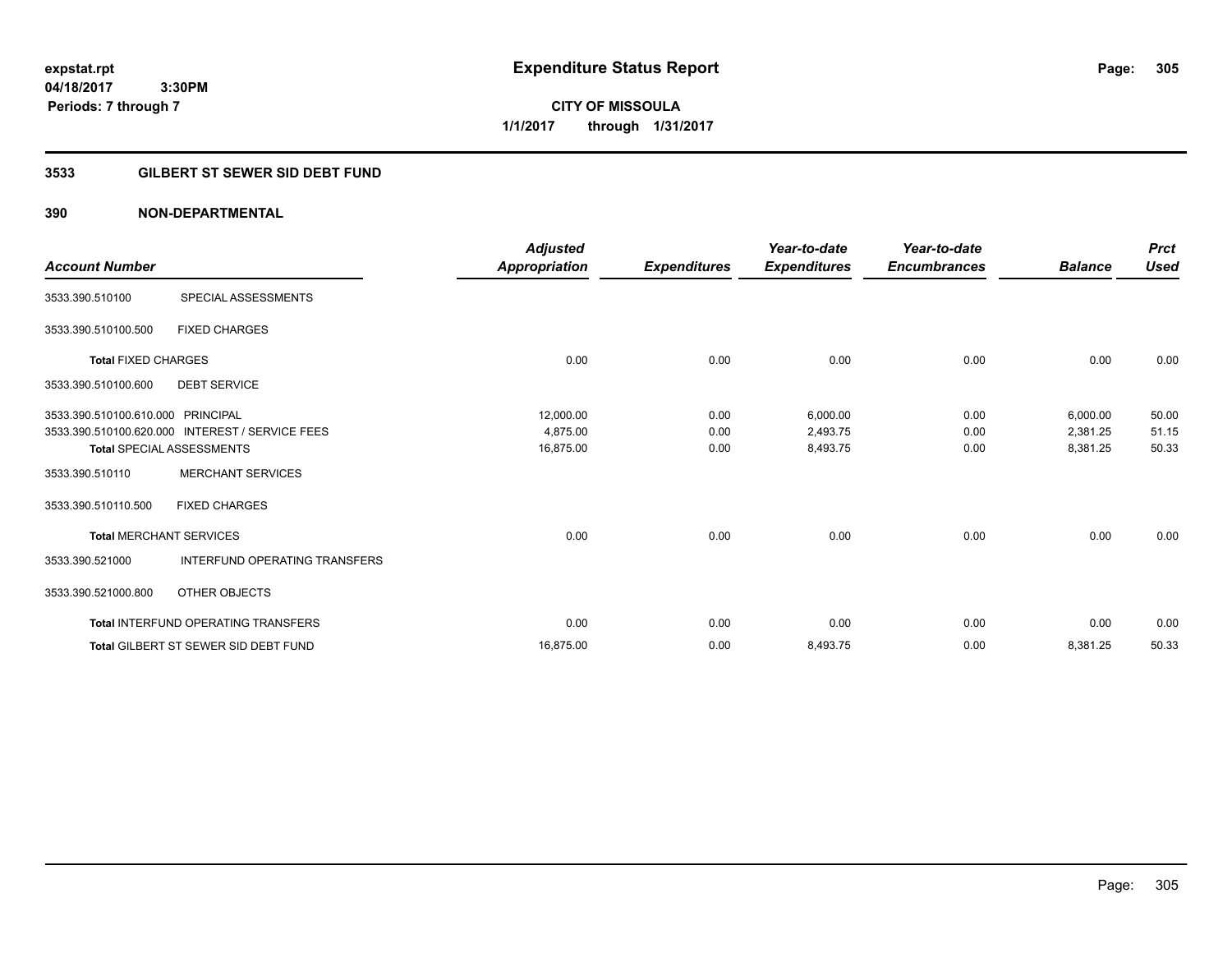# **CITY OF MISSOULA 1/1/2017 through 1/31/2017**

# **3533 GILBERT ST SEWER SID DEBT FUND**

|                                   |                                                 | <b>Adjusted</b> |                     | Year-to-date        | Year-to-date        |                | <b>Prct</b> |
|-----------------------------------|-------------------------------------------------|-----------------|---------------------|---------------------|---------------------|----------------|-------------|
| <b>Account Number</b>             |                                                 | Appropriation   | <b>Expenditures</b> | <b>Expenditures</b> | <b>Encumbrances</b> | <b>Balance</b> | <b>Used</b> |
| 3533.390.510100                   | SPECIAL ASSESSMENTS                             |                 |                     |                     |                     |                |             |
| 3533.390.510100.500               | <b>FIXED CHARGES</b>                            |                 |                     |                     |                     |                |             |
| <b>Total FIXED CHARGES</b>        |                                                 | 0.00            | 0.00                | 0.00                | 0.00                | 0.00           | 0.00        |
| 3533.390.510100.600               | <b>DEBT SERVICE</b>                             |                 |                     |                     |                     |                |             |
| 3533.390.510100.610.000 PRINCIPAL |                                                 | 12,000.00       | 0.00                | 6,000.00            | 0.00                | 6,000.00       | 50.00       |
|                                   | 3533.390.510100.620.000 INTEREST / SERVICE FEES | 4,875.00        | 0.00                | 2,493.75            | 0.00                | 2,381.25       | 51.15       |
|                                   | <b>Total SPECIAL ASSESSMENTS</b>                | 16,875.00       | 0.00                | 8,493.75            | 0.00                | 8,381.25       | 50.33       |
| 3533.390.510110                   | <b>MERCHANT SERVICES</b>                        |                 |                     |                     |                     |                |             |
| 3533.390.510110.500               | <b>FIXED CHARGES</b>                            |                 |                     |                     |                     |                |             |
|                                   | <b>Total MERCHANT SERVICES</b>                  | 0.00            | 0.00                | 0.00                | 0.00                | 0.00           | 0.00        |
| 3533.390.521000                   | <b>INTERFUND OPERATING TRANSFERS</b>            |                 |                     |                     |                     |                |             |
| 3533.390.521000.800               | OTHER OBJECTS                                   |                 |                     |                     |                     |                |             |
|                                   | <b>Total INTERFUND OPERATING TRANSFERS</b>      | 0.00            | 0.00                | 0.00                | 0.00                | 0.00           | 0.00        |
|                                   | <b>Total GILBERT ST SEWER SID DEBT FUND</b>     | 16,875.00       | 0.00                | 8,493.75            | 0.00                | 8,381.25       | 50.33       |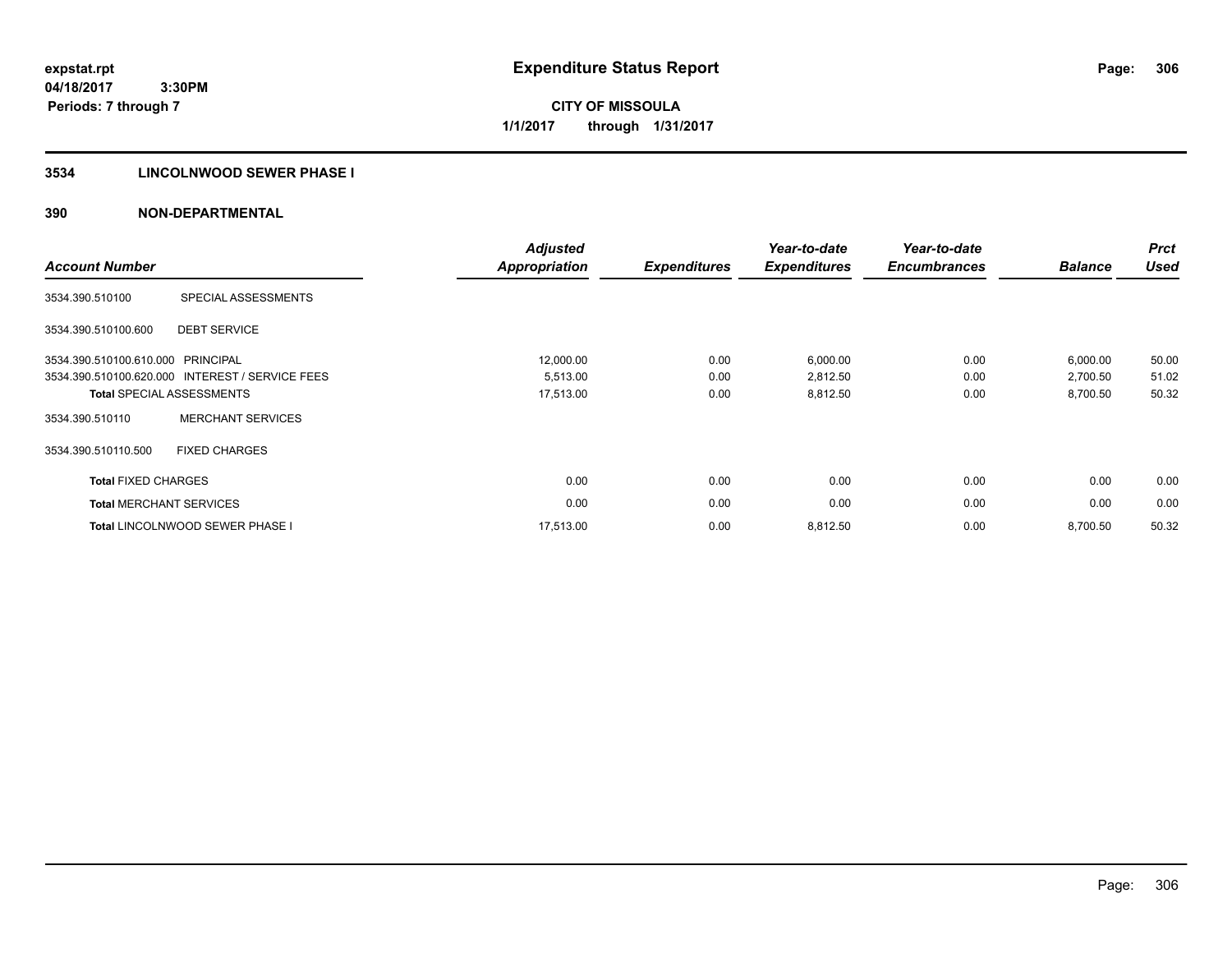**CITY OF MISSOULA 1/1/2017 through 1/31/2017**

#### **3534 LINCOLNWOOD SEWER PHASE I**

| <b>Account Number</b>             |                                                 | <b>Adjusted</b><br><b>Appropriation</b> | <b>Expenditures</b> | Year-to-date<br><b>Expenditures</b> | Year-to-date<br><b>Encumbrances</b> | <b>Balance</b> | <b>Prct</b><br><b>Used</b> |
|-----------------------------------|-------------------------------------------------|-----------------------------------------|---------------------|-------------------------------------|-------------------------------------|----------------|----------------------------|
| 3534.390.510100                   | SPECIAL ASSESSMENTS                             |                                         |                     |                                     |                                     |                |                            |
| 3534.390.510100.600               | <b>DEBT SERVICE</b>                             |                                         |                     |                                     |                                     |                |                            |
| 3534.390.510100.610.000 PRINCIPAL |                                                 | 12,000.00                               | 0.00                | 6,000.00                            | 0.00                                | 6,000.00       | 50.00                      |
|                                   | 3534.390.510100.620.000 INTEREST / SERVICE FEES | 5,513.00                                | 0.00                | 2,812.50                            | 0.00                                | 2,700.50       | 51.02                      |
|                                   | <b>Total SPECIAL ASSESSMENTS</b>                | 17,513.00                               | 0.00                | 8,812.50                            | 0.00                                | 8,700.50       | 50.32                      |
| 3534.390.510110                   | <b>MERCHANT SERVICES</b>                        |                                         |                     |                                     |                                     |                |                            |
| 3534.390.510110.500               | <b>FIXED CHARGES</b>                            |                                         |                     |                                     |                                     |                |                            |
| <b>Total FIXED CHARGES</b>        |                                                 | 0.00                                    | 0.00                | 0.00                                | 0.00                                | 0.00           | 0.00                       |
|                                   | <b>Total MERCHANT SERVICES</b>                  | 0.00                                    | 0.00                | 0.00                                | 0.00                                | 0.00           | 0.00                       |
|                                   | <b>Total LINCOLNWOOD SEWER PHASE I</b>          | 17.513.00                               | 0.00                | 8,812.50                            | 0.00                                | 8,700.50       | 50.32                      |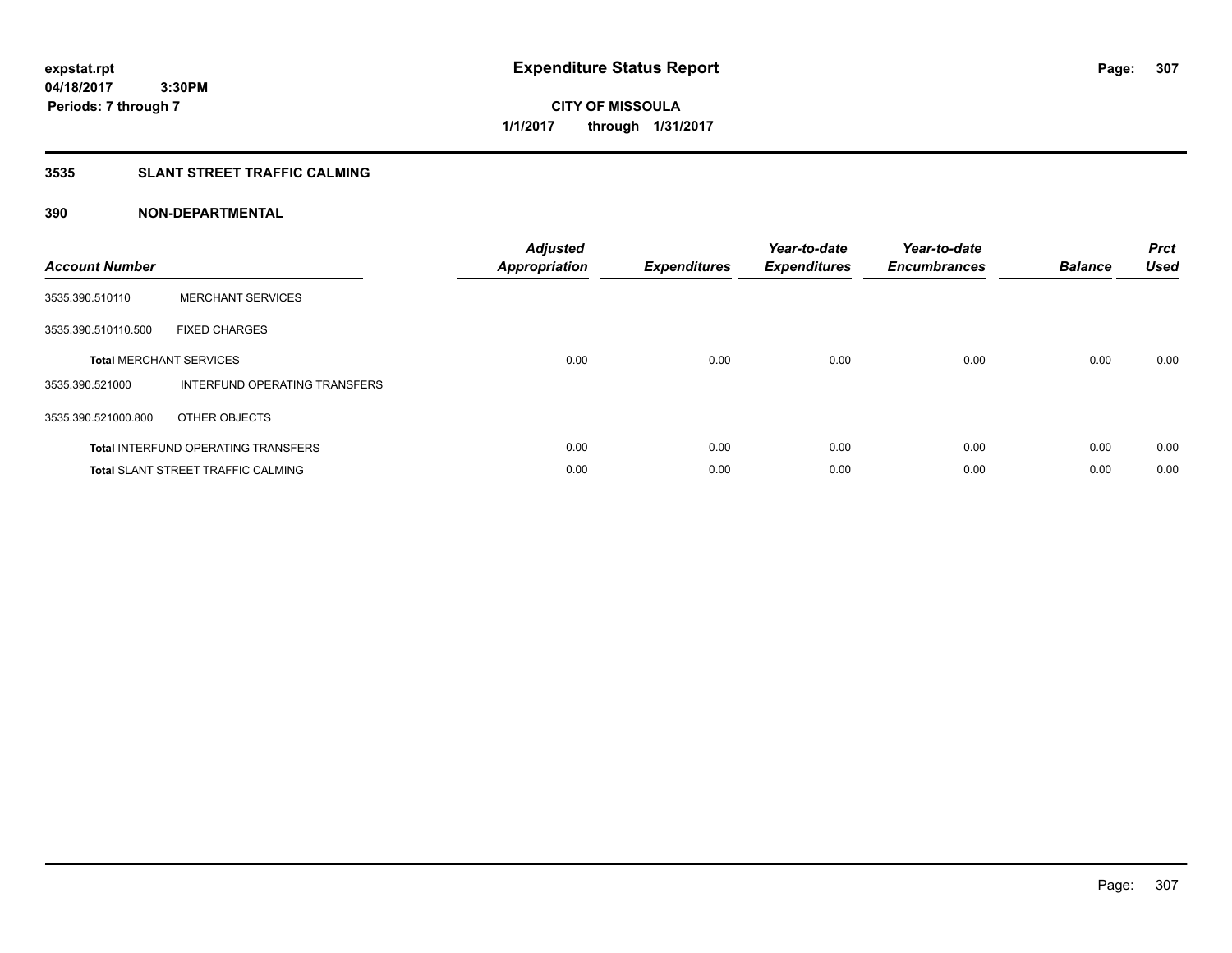**CITY OF MISSOULA 1/1/2017 through 1/31/2017**

# **3535 SLANT STREET TRAFFIC CALMING**

| <b>Account Number</b> |                                            | <b>Adjusted</b><br><b>Appropriation</b> | <b>Expenditures</b> | Year-to-date<br><b>Expenditures</b> | Year-to-date<br><b>Encumbrances</b> | <b>Balance</b> | <b>Prct</b><br><b>Used</b> |
|-----------------------|--------------------------------------------|-----------------------------------------|---------------------|-------------------------------------|-------------------------------------|----------------|----------------------------|
| 3535.390.510110       | <b>MERCHANT SERVICES</b>                   |                                         |                     |                                     |                                     |                |                            |
| 3535.390.510110.500   | <b>FIXED CHARGES</b>                       |                                         |                     |                                     |                                     |                |                            |
|                       | <b>Total MERCHANT SERVICES</b>             | 0.00                                    | 0.00                | 0.00                                | 0.00                                | 0.00           | 0.00                       |
| 3535.390.521000       | INTERFUND OPERATING TRANSFERS              |                                         |                     |                                     |                                     |                |                            |
| 3535.390.521000.800   | OTHER OBJECTS                              |                                         |                     |                                     |                                     |                |                            |
|                       | <b>Total INTERFUND OPERATING TRANSFERS</b> | 0.00                                    | 0.00                | 0.00                                | 0.00                                | 0.00           | 0.00                       |
|                       | <b>Total SLANT STREET TRAFFIC CALMING</b>  | 0.00                                    | 0.00                | 0.00                                | 0.00                                | 0.00           | 0.00                       |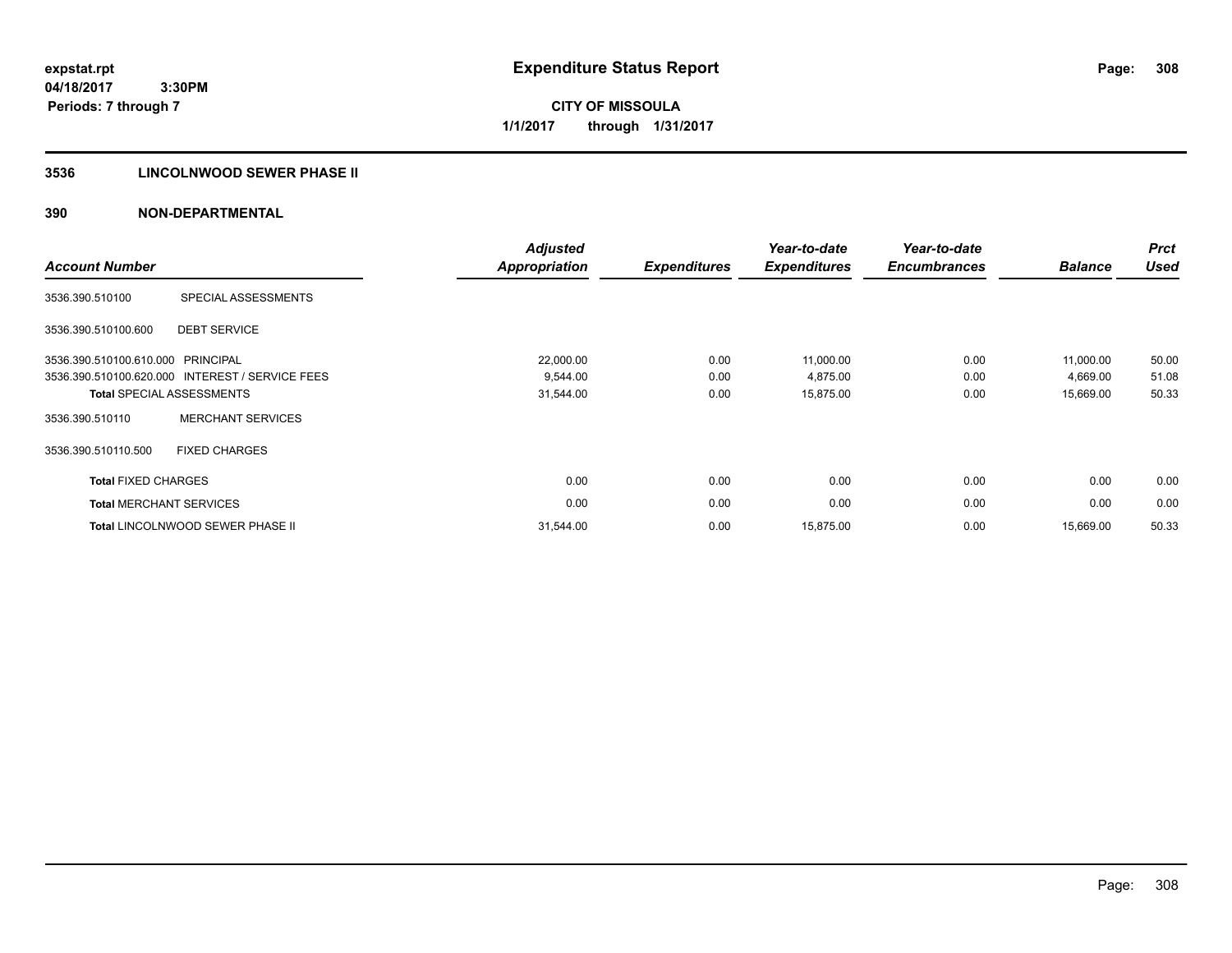**04/18/2017 3:30PM Periods: 7 through 7**

**CITY OF MISSOULA 1/1/2017 through 1/31/2017**

# **3536 LINCOLNWOOD SEWER PHASE II**

| <b>Account Number</b>             |                                                 | <b>Adjusted</b><br><b>Appropriation</b> | <b>Expenditures</b> | Year-to-date<br><b>Expenditures</b> | Year-to-date<br><b>Encumbrances</b> | <b>Balance</b> | <b>Prct</b><br><b>Used</b> |
|-----------------------------------|-------------------------------------------------|-----------------------------------------|---------------------|-------------------------------------|-------------------------------------|----------------|----------------------------|
| 3536.390.510100                   | SPECIAL ASSESSMENTS                             |                                         |                     |                                     |                                     |                |                            |
| 3536.390.510100.600               | <b>DEBT SERVICE</b>                             |                                         |                     |                                     |                                     |                |                            |
| 3536.390.510100.610.000 PRINCIPAL |                                                 | 22,000.00                               | 0.00                | 11,000.00                           | 0.00                                | 11,000.00      | 50.00                      |
|                                   | 3536.390.510100.620.000 INTEREST / SERVICE FEES | 9,544.00                                | 0.00                | 4,875.00                            | 0.00                                | 4,669.00       | 51.08                      |
|                                   | <b>Total SPECIAL ASSESSMENTS</b>                | 31,544.00                               | 0.00                | 15,875.00                           | 0.00                                | 15,669.00      | 50.33                      |
| 3536.390.510110                   | <b>MERCHANT SERVICES</b>                        |                                         |                     |                                     |                                     |                |                            |
| 3536.390.510110.500               | <b>FIXED CHARGES</b>                            |                                         |                     |                                     |                                     |                |                            |
| <b>Total FIXED CHARGES</b>        |                                                 | 0.00                                    | 0.00                | 0.00                                | 0.00                                | 0.00           | 0.00                       |
| <b>Total MERCHANT SERVICES</b>    |                                                 | 0.00                                    | 0.00                | 0.00                                | 0.00                                | 0.00           | 0.00                       |
|                                   | <b>Total LINCOLNWOOD SEWER PHASE II</b>         | 31,544.00                               | 0.00                | 15,875.00                           | 0.00                                | 15,669.00      | 50.33                      |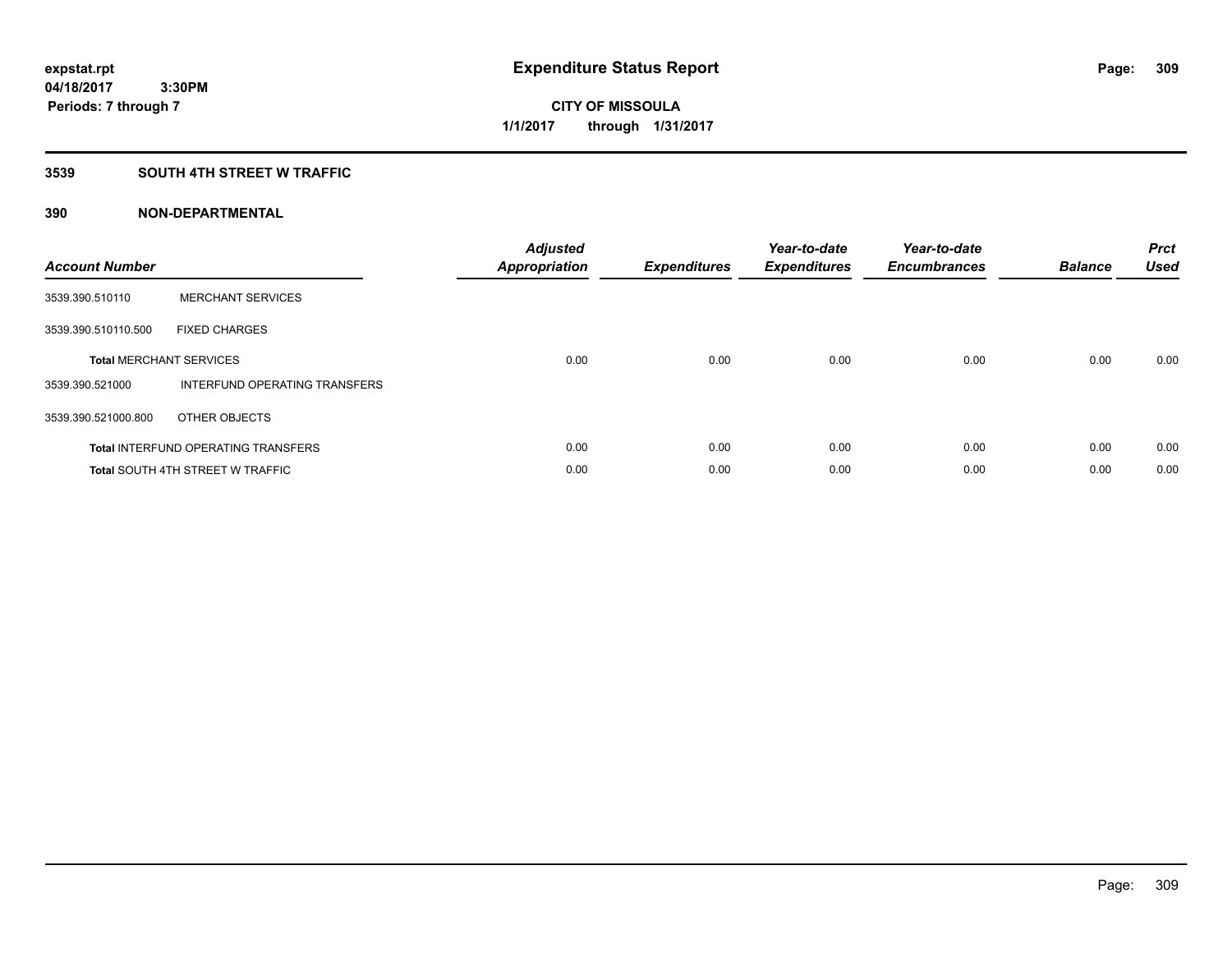# **3539 SOUTH 4TH STREET W TRAFFIC**

| <b>Account Number</b> |                                            | <b>Adjusted</b><br>Appropriation | <b>Expenditures</b> | Year-to-date<br><b>Expenditures</b> | Year-to-date<br><b>Encumbrances</b> | <b>Balance</b> | <b>Prct</b><br><b>Used</b> |
|-----------------------|--------------------------------------------|----------------------------------|---------------------|-------------------------------------|-------------------------------------|----------------|----------------------------|
| 3539.390.510110       | <b>MERCHANT SERVICES</b>                   |                                  |                     |                                     |                                     |                |                            |
| 3539.390.510110.500   | <b>FIXED CHARGES</b>                       |                                  |                     |                                     |                                     |                |                            |
|                       | <b>Total MERCHANT SERVICES</b>             | 0.00                             | 0.00                | 0.00                                | 0.00                                | 0.00           | 0.00                       |
| 3539.390.521000       | INTERFUND OPERATING TRANSFERS              |                                  |                     |                                     |                                     |                |                            |
| 3539.390.521000.800   | OTHER OBJECTS                              |                                  |                     |                                     |                                     |                |                            |
|                       | <b>Total INTERFUND OPERATING TRANSFERS</b> | 0.00                             | 0.00                | 0.00                                | 0.00                                | 0.00           | 0.00                       |
|                       | <b>Total SOUTH 4TH STREET W TRAFFIC</b>    | 0.00                             | 0.00                | 0.00                                | 0.00                                | 0.00           | 0.00                       |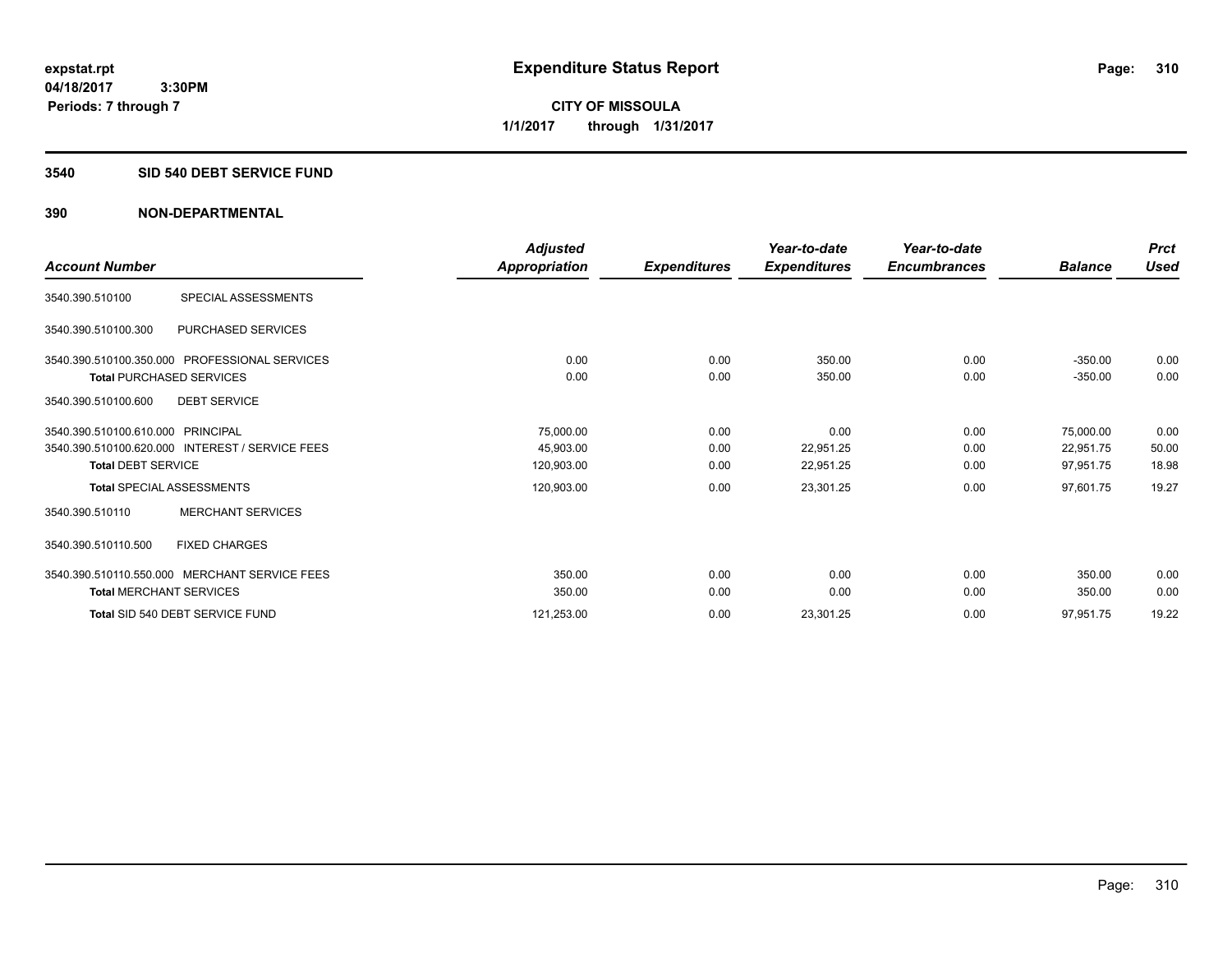#### **3540 SID 540 DEBT SERVICE FUND**

|                                                 | <b>Adjusted</b> |                     | Year-to-date        | Year-to-date        |                | <b>Prct</b> |
|-------------------------------------------------|-----------------|---------------------|---------------------|---------------------|----------------|-------------|
| <b>Account Number</b>                           | Appropriation   | <b>Expenditures</b> | <b>Expenditures</b> | <b>Encumbrances</b> | <b>Balance</b> | <b>Used</b> |
| SPECIAL ASSESSMENTS<br>3540.390.510100          |                 |                     |                     |                     |                |             |
| PURCHASED SERVICES<br>3540.390.510100.300       |                 |                     |                     |                     |                |             |
| 3540.390.510100.350.000 PROFESSIONAL SERVICES   | 0.00            | 0.00                | 350.00              | 0.00                | $-350.00$      | 0.00        |
| <b>Total PURCHASED SERVICES</b>                 | 0.00            | 0.00                | 350.00              | 0.00                | $-350.00$      | 0.00        |
| <b>DEBT SERVICE</b><br>3540.390.510100.600      |                 |                     |                     |                     |                |             |
| 3540.390.510100.610.000 PRINCIPAL               | 75,000.00       | 0.00                | 0.00                | 0.00                | 75,000.00      | 0.00        |
| 3540.390.510100.620.000 INTEREST / SERVICE FEES | 45,903.00       | 0.00                | 22,951.25           | 0.00                | 22,951.75      | 50.00       |
| <b>Total DEBT SERVICE</b>                       | 120,903.00      | 0.00                | 22,951.25           | 0.00                | 97,951.75      | 18.98       |
| <b>Total SPECIAL ASSESSMENTS</b>                | 120,903.00      | 0.00                | 23,301.25           | 0.00                | 97,601.75      | 19.27       |
| <b>MERCHANT SERVICES</b><br>3540.390.510110     |                 |                     |                     |                     |                |             |
| <b>FIXED CHARGES</b><br>3540.390.510110.500     |                 |                     |                     |                     |                |             |
| 3540.390.510110.550.000 MERCHANT SERVICE FEES   | 350.00          | 0.00                | 0.00                | 0.00                | 350.00         | 0.00        |
| <b>Total MERCHANT SERVICES</b>                  | 350.00          | 0.00                | 0.00                | 0.00                | 350.00         | 0.00        |
| Total SID 540 DEBT SERVICE FUND                 | 121,253.00      | 0.00                | 23,301.25           | 0.00                | 97,951.75      | 19.22       |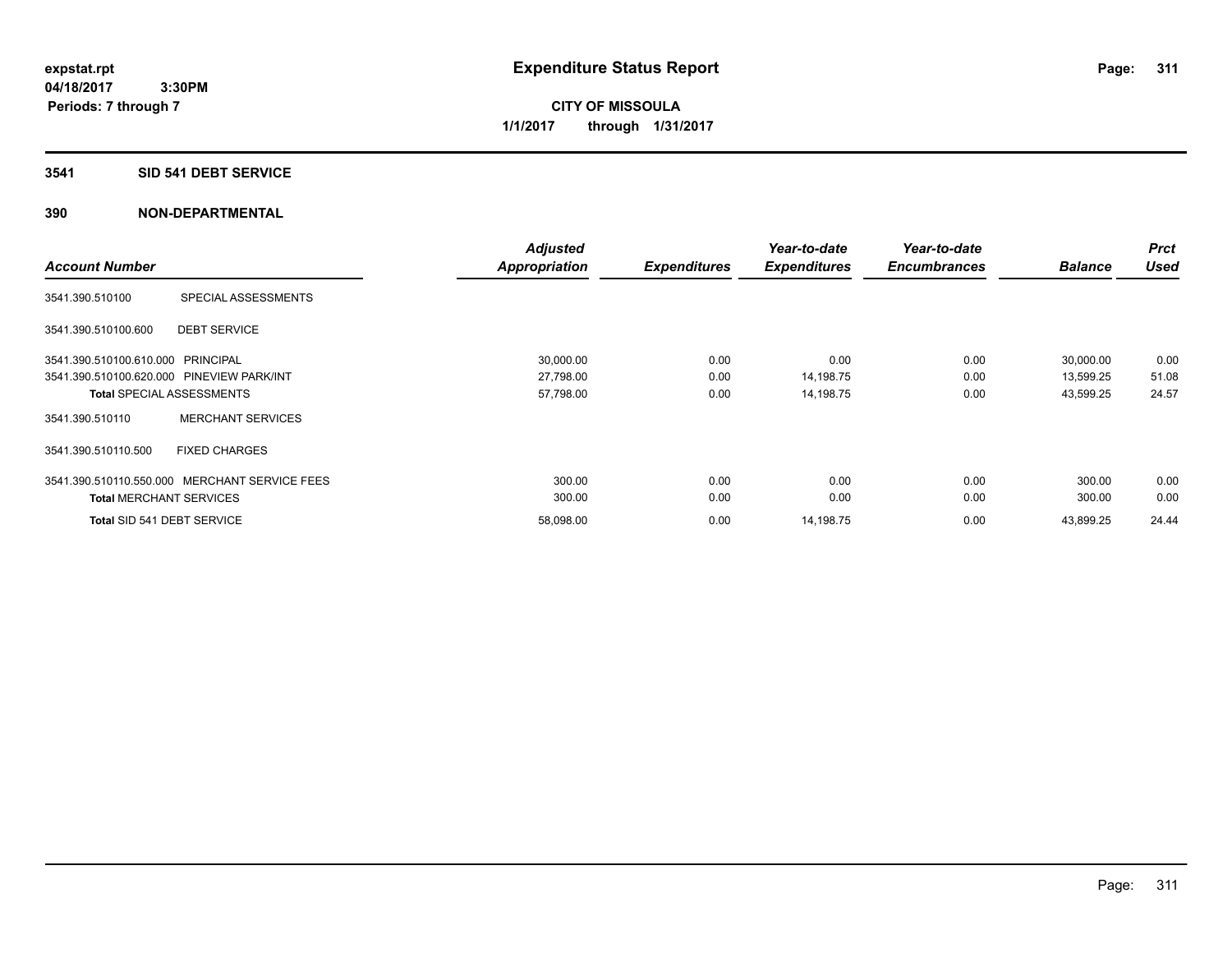# **3541 SID 541 DEBT SERVICE**

| <b>Account Number</b>             |                                               | <b>Adjusted</b><br><b>Appropriation</b> | <b>Expenditures</b> | Year-to-date<br><b>Expenditures</b> | Year-to-date<br><b>Encumbrances</b> | <b>Balance</b> | <b>Prct</b><br><b>Used</b> |
|-----------------------------------|-----------------------------------------------|-----------------------------------------|---------------------|-------------------------------------|-------------------------------------|----------------|----------------------------|
| 3541.390.510100                   | SPECIAL ASSESSMENTS                           |                                         |                     |                                     |                                     |                |                            |
| 3541.390.510100.600               | <b>DEBT SERVICE</b>                           |                                         |                     |                                     |                                     |                |                            |
| 3541.390.510100.610.000 PRINCIPAL |                                               | 30,000.00                               | 0.00                | 0.00                                | 0.00                                | 30,000.00      | 0.00                       |
|                                   | 3541.390.510100.620.000 PINEVIEW PARK/INT     | 27,798.00                               | 0.00                | 14,198.75                           | 0.00                                | 13,599.25      | 51.08                      |
|                                   | <b>Total SPECIAL ASSESSMENTS</b>              | 57,798.00                               | 0.00                | 14,198.75                           | 0.00                                | 43,599.25      | 24.57                      |
| 3541.390.510110                   | <b>MERCHANT SERVICES</b>                      |                                         |                     |                                     |                                     |                |                            |
| 3541.390.510110.500               | <b>FIXED CHARGES</b>                          |                                         |                     |                                     |                                     |                |                            |
|                                   | 3541.390.510110.550.000 MERCHANT SERVICE FEES | 300.00                                  | 0.00                | 0.00                                | 0.00                                | 300.00         | 0.00                       |
| <b>Total MERCHANT SERVICES</b>    |                                               | 300.00                                  | 0.00                | 0.00                                | 0.00                                | 300.00         | 0.00                       |
| Total SID 541 DEBT SERVICE        |                                               | 58.098.00                               | 0.00                | 14,198.75                           | 0.00                                | 43.899.25      | 24.44                      |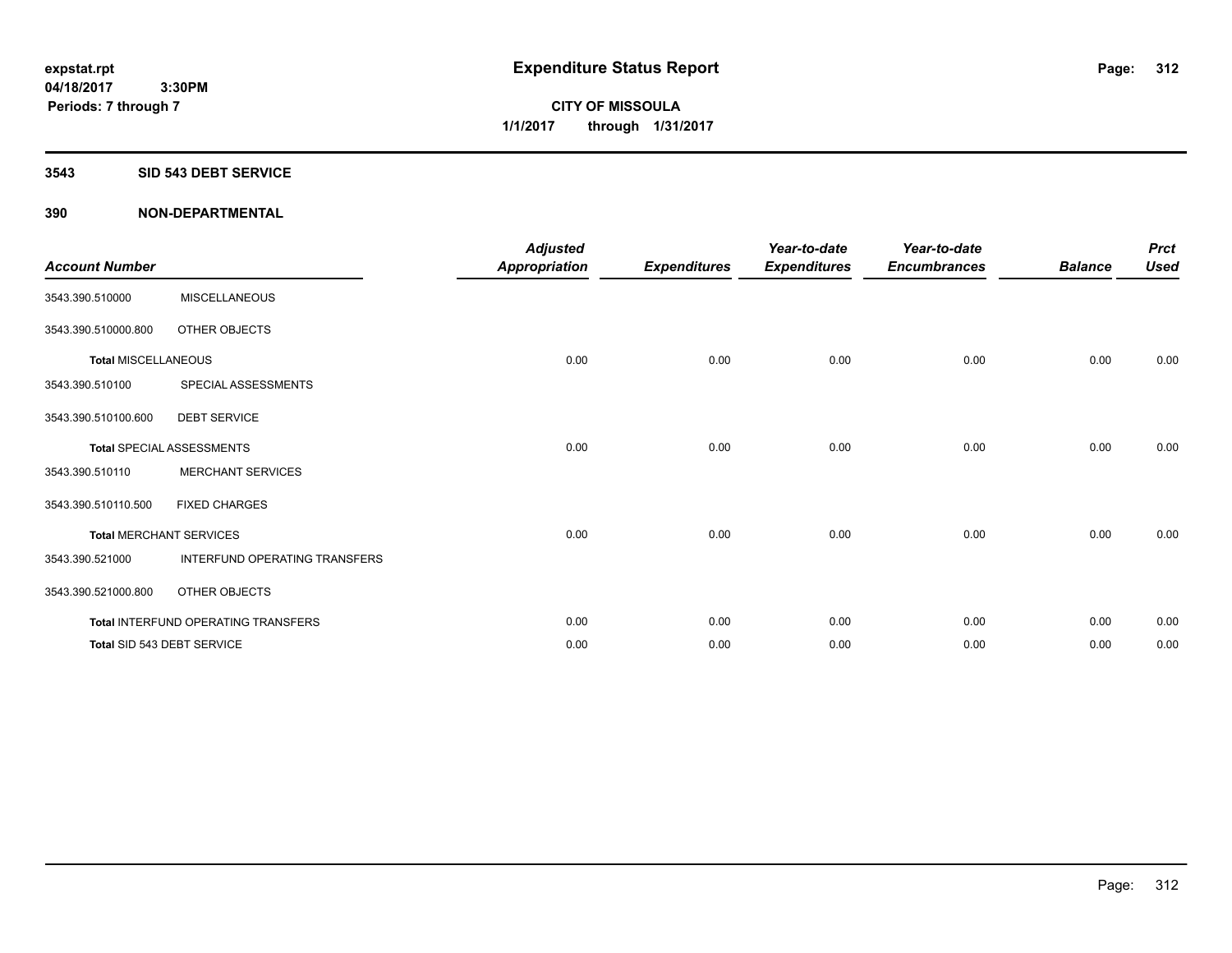**04/18/2017 3:30PM Periods: 7 through 7**

**CITY OF MISSOULA 1/1/2017 through 1/31/2017**

#### **3543 SID 543 DEBT SERVICE**

| <b>Account Number</b>      |                                     | <b>Adjusted</b><br><b>Appropriation</b> | <b>Expenditures</b> | Year-to-date<br><b>Expenditures</b> | Year-to-date<br><b>Encumbrances</b> | <b>Balance</b> | <b>Prct</b><br><b>Used</b> |
|----------------------------|-------------------------------------|-----------------------------------------|---------------------|-------------------------------------|-------------------------------------|----------------|----------------------------|
| 3543.390.510000            | <b>MISCELLANEOUS</b>                |                                         |                     |                                     |                                     |                |                            |
| 3543.390.510000.800        | OTHER OBJECTS                       |                                         |                     |                                     |                                     |                |                            |
| <b>Total MISCELLANEOUS</b> |                                     | 0.00                                    | 0.00                | 0.00                                | 0.00                                | 0.00           | 0.00                       |
| 3543.390.510100            | SPECIAL ASSESSMENTS                 |                                         |                     |                                     |                                     |                |                            |
| 3543.390.510100.600        | <b>DEBT SERVICE</b>                 |                                         |                     |                                     |                                     |                |                            |
|                            | <b>Total SPECIAL ASSESSMENTS</b>    | 0.00                                    | 0.00                | 0.00                                | 0.00                                | 0.00           | 0.00                       |
| 3543.390.510110            | <b>MERCHANT SERVICES</b>            |                                         |                     |                                     |                                     |                |                            |
| 3543.390.510110.500        | <b>FIXED CHARGES</b>                |                                         |                     |                                     |                                     |                |                            |
|                            | <b>Total MERCHANT SERVICES</b>      | 0.00                                    | 0.00                | 0.00                                | 0.00                                | 0.00           | 0.00                       |
| 3543.390.521000            | INTERFUND OPERATING TRANSFERS       |                                         |                     |                                     |                                     |                |                            |
| 3543.390.521000.800        | OTHER OBJECTS                       |                                         |                     |                                     |                                     |                |                            |
|                            | Total INTERFUND OPERATING TRANSFERS | 0.00                                    | 0.00                | 0.00                                | 0.00                                | 0.00           | 0.00                       |
|                            | Total SID 543 DEBT SERVICE          | 0.00                                    | 0.00                | 0.00                                | 0.00                                | 0.00           | 0.00                       |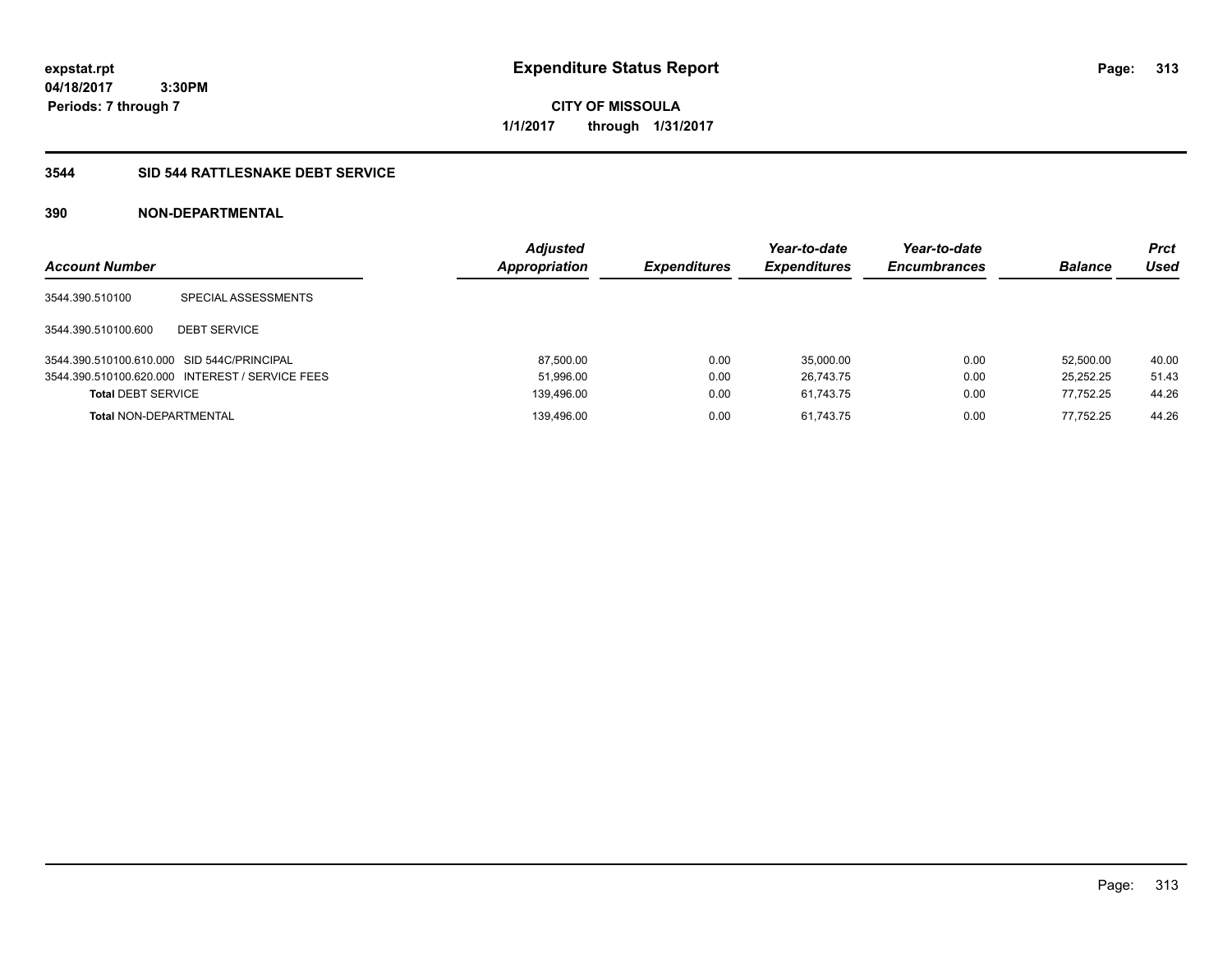**CITY OF MISSOULA 1/1/2017 through 1/31/2017**

# **3544 SID 544 RATTLESNAKE DEBT SERVICE**

| <b>Account Number</b>                      |                                                 | <b>Adjusted</b><br><b>Appropriation</b> | <b>Expenditures</b> | Year-to-date<br><b>Expenditures</b> | Year-to-date<br><b>Encumbrances</b> | <b>Balance</b> | <b>Prct</b><br>Used |
|--------------------------------------------|-------------------------------------------------|-----------------------------------------|---------------------|-------------------------------------|-------------------------------------|----------------|---------------------|
| 3544.390.510100                            | SPECIAL ASSESSMENTS                             |                                         |                     |                                     |                                     |                |                     |
| 3544.390.510100.600                        | <b>DEBT SERVICE</b>                             |                                         |                     |                                     |                                     |                |                     |
| 3544.390.510100.610.000 SID 544C/PRINCIPAL |                                                 | 87,500.00                               | 0.00                | 35.000.00                           | 0.00                                | 52.500.00      | 40.00               |
|                                            | 3544.390.510100.620.000 INTEREST / SERVICE FEES | 51,996.00                               | 0.00                | 26,743.75                           | 0.00                                | 25,252.25      | 51.43               |
| <b>Total DEBT SERVICE</b>                  |                                                 | 139,496.00                              | 0.00                | 61.743.75                           | 0.00                                | 77.752.25      | 44.26               |
| <b>Total NON-DEPARTMENTAL</b>              |                                                 | 139.496.00                              | 0.00                | 61.743.75                           | 0.00                                | 77.752.25      | 44.26               |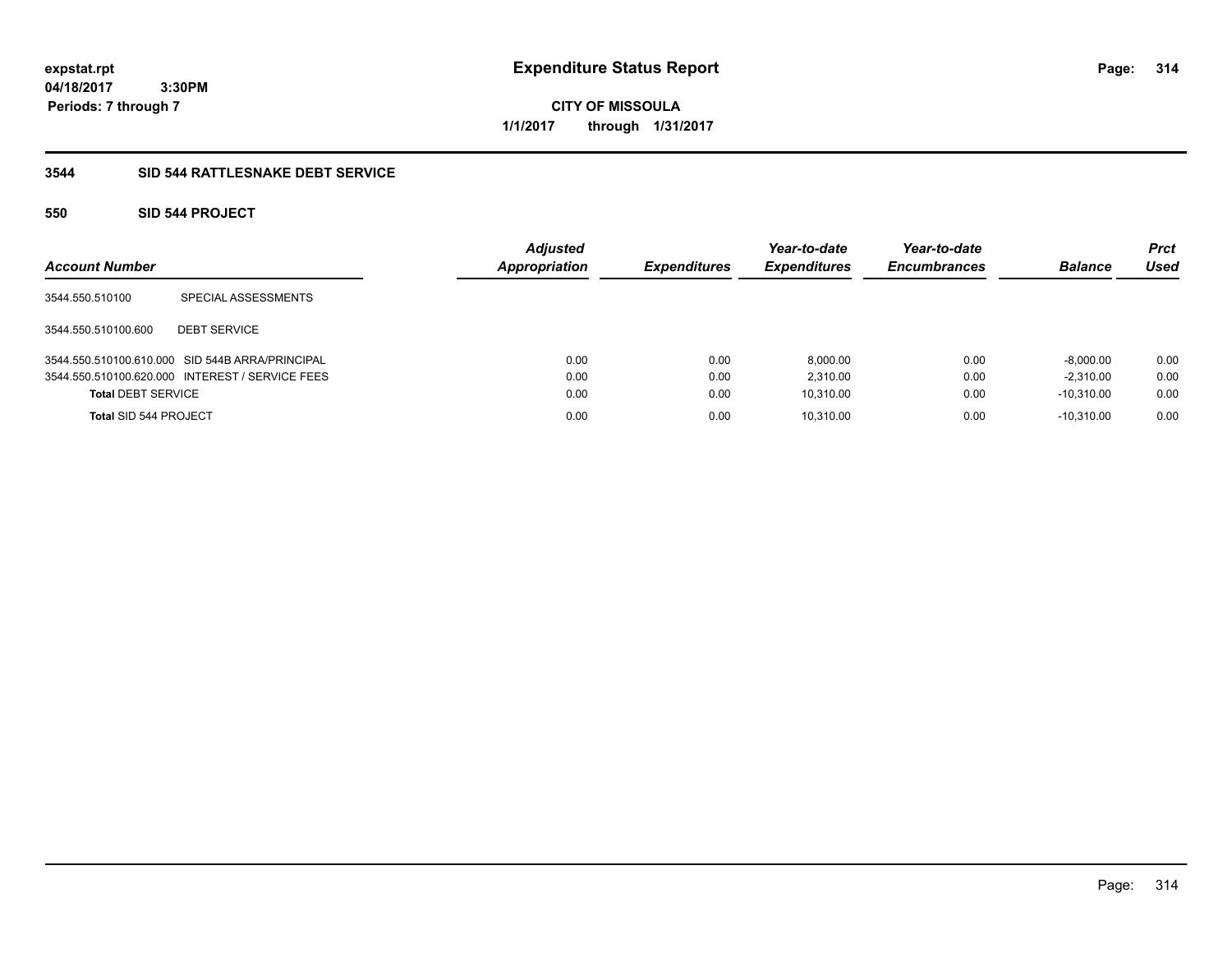**CITY OF MISSOULA 1/1/2017 through 1/31/2017**

# **3544 SID 544 RATTLESNAKE DEBT SERVICE**

# **550 SID 544 PROJECT**

| <b>Account Number</b>     |                                                 | <b>Adjusted</b><br><b>Appropriation</b> | <b>Expenditures</b> | Year-to-date<br><b>Expenditures</b> | Year-to-date<br><b>Encumbrances</b> | <b>Balance</b> | <b>Prct</b><br>Used |
|---------------------------|-------------------------------------------------|-----------------------------------------|---------------------|-------------------------------------|-------------------------------------|----------------|---------------------|
| 3544.550.510100           | SPECIAL ASSESSMENTS                             |                                         |                     |                                     |                                     |                |                     |
| 3544.550.510100.600       | <b>DEBT SERVICE</b>                             |                                         |                     |                                     |                                     |                |                     |
|                           | 3544.550.510100.610.000 SID 544B ARRA/PRINCIPAL | 0.00                                    | 0.00                | 8,000.00                            | 0.00                                | $-8,000.00$    | 0.00                |
|                           | 3544.550.510100.620.000 INTEREST / SERVICE FEES | 0.00                                    | 0.00                | 2.310.00                            | 0.00                                | $-2.310.00$    | 0.00                |
| <b>Total DEBT SERVICE</b> |                                                 | 0.00                                    | 0.00                | 10,310.00                           | 0.00                                | $-10.310.00$   | 0.00                |
| Total SID 544 PROJECT     |                                                 | 0.00                                    | 0.00                | 10,310.00                           | 0.00                                | $-10.310.00$   | 0.00                |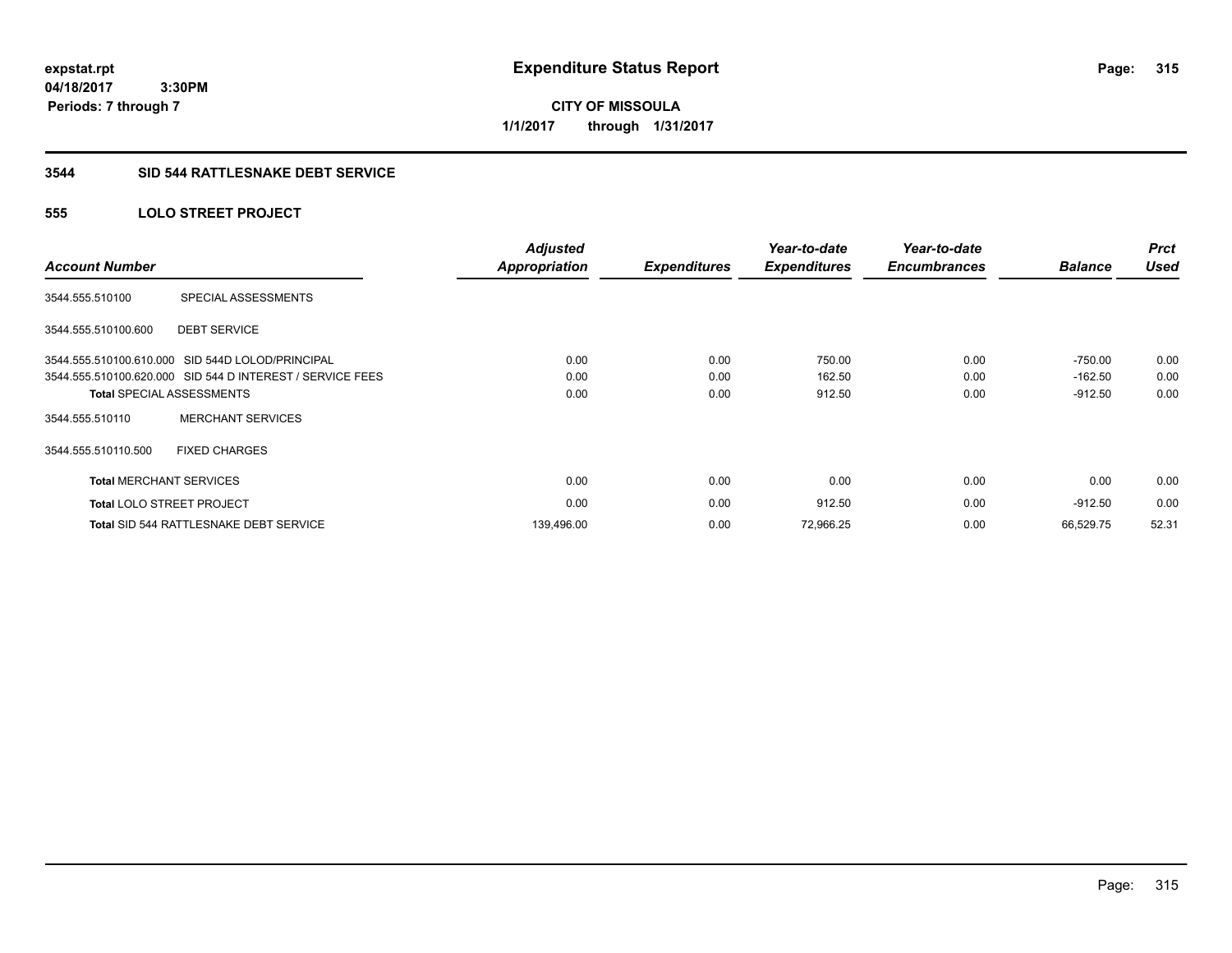**04/18/2017 3:30PM Periods: 7 through 7**

**CITY OF MISSOULA 1/1/2017 through 1/31/2017**

#### **3544 SID 544 RATTLESNAKE DEBT SERVICE**

# **555 LOLO STREET PROJECT**

| <b>Account Number</b>          |                                                           | <b>Adjusted</b><br><b>Appropriation</b> | <b>Expenditures</b> | Year-to-date<br><b>Expenditures</b> | Year-to-date<br><b>Encumbrances</b> | <b>Balance</b> | <b>Prct</b><br><b>Used</b> |
|--------------------------------|-----------------------------------------------------------|-----------------------------------------|---------------------|-------------------------------------|-------------------------------------|----------------|----------------------------|
| 3544.555.510100                | SPECIAL ASSESSMENTS                                       |                                         |                     |                                     |                                     |                |                            |
| 3544.555.510100.600            | <b>DEBT SERVICE</b>                                       |                                         |                     |                                     |                                     |                |                            |
|                                | 3544.555.510100.610.000 SID 544D LOLOD/PRINCIPAL          | 0.00                                    | 0.00                | 750.00                              | 0.00                                | $-750.00$      | 0.00                       |
|                                | 3544.555.510100.620.000 SID 544 D INTEREST / SERVICE FEES | 0.00                                    | 0.00                | 162.50                              | 0.00                                | $-162.50$      | 0.00                       |
|                                | <b>Total SPECIAL ASSESSMENTS</b>                          | 0.00                                    | 0.00                | 912.50                              | 0.00                                | $-912.50$      | 0.00                       |
| 3544.555.510110                | <b>MERCHANT SERVICES</b>                                  |                                         |                     |                                     |                                     |                |                            |
| 3544.555.510110.500            | <b>FIXED CHARGES</b>                                      |                                         |                     |                                     |                                     |                |                            |
| <b>Total MERCHANT SERVICES</b> |                                                           | 0.00                                    | 0.00                | 0.00                                | 0.00                                | 0.00           | 0.00                       |
|                                | <b>Total LOLO STREET PROJECT</b>                          | 0.00                                    | 0.00                | 912.50                              | 0.00                                | $-912.50$      | 0.00                       |
|                                | <b>Total SID 544 RATTLESNAKE DEBT SERVICE</b>             | 139,496.00                              | 0.00                | 72,966.25                           | 0.00                                | 66.529.75      | 52.31                      |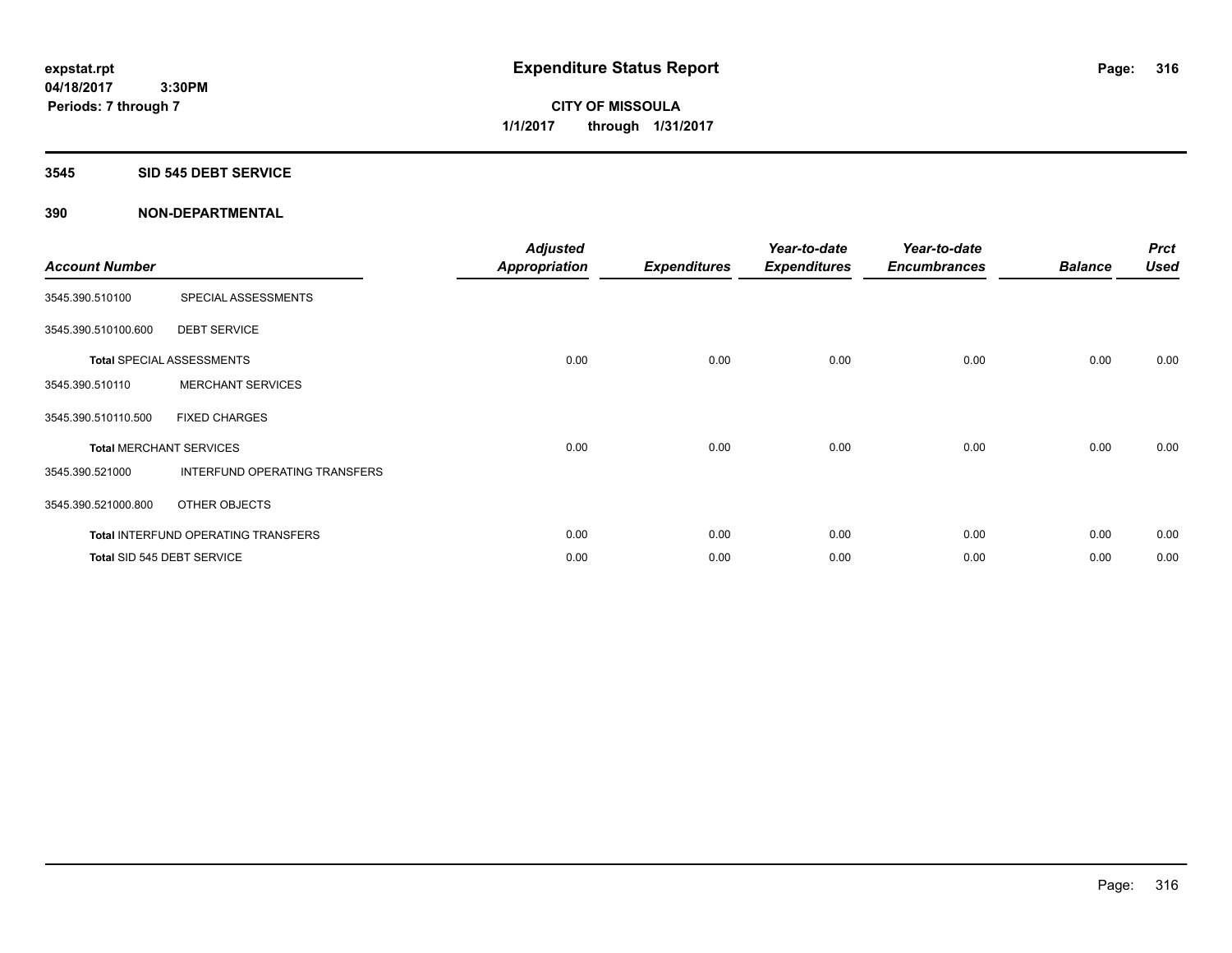#### **3545 SID 545 DEBT SERVICE**

| <b>Account Number</b> |                                            | <b>Adjusted</b><br><b>Appropriation</b> | <b>Expenditures</b> | Year-to-date<br><b>Expenditures</b> | Year-to-date<br><b>Encumbrances</b> | <b>Balance</b> | <b>Prct</b><br><b>Used</b> |
|-----------------------|--------------------------------------------|-----------------------------------------|---------------------|-------------------------------------|-------------------------------------|----------------|----------------------------|
| 3545.390.510100       | SPECIAL ASSESSMENTS                        |                                         |                     |                                     |                                     |                |                            |
| 3545.390.510100.600   | <b>DEBT SERVICE</b>                        |                                         |                     |                                     |                                     |                |                            |
|                       | <b>Total SPECIAL ASSESSMENTS</b>           | 0.00                                    | 0.00                | 0.00                                | 0.00                                | 0.00           | 0.00                       |
| 3545.390.510110       | <b>MERCHANT SERVICES</b>                   |                                         |                     |                                     |                                     |                |                            |
| 3545.390.510110.500   | <b>FIXED CHARGES</b>                       |                                         |                     |                                     |                                     |                |                            |
|                       | <b>Total MERCHANT SERVICES</b>             | 0.00                                    | 0.00                | 0.00                                | 0.00                                | 0.00           | 0.00                       |
| 3545.390.521000       | INTERFUND OPERATING TRANSFERS              |                                         |                     |                                     |                                     |                |                            |
| 3545.390.521000.800   | OTHER OBJECTS                              |                                         |                     |                                     |                                     |                |                            |
|                       | <b>Total INTERFUND OPERATING TRANSFERS</b> | 0.00                                    | 0.00                | 0.00                                | 0.00                                | 0.00           | 0.00                       |
|                       | Total SID 545 DEBT SERVICE                 | 0.00                                    | 0.00                | 0.00                                | 0.00                                | 0.00           | 0.00                       |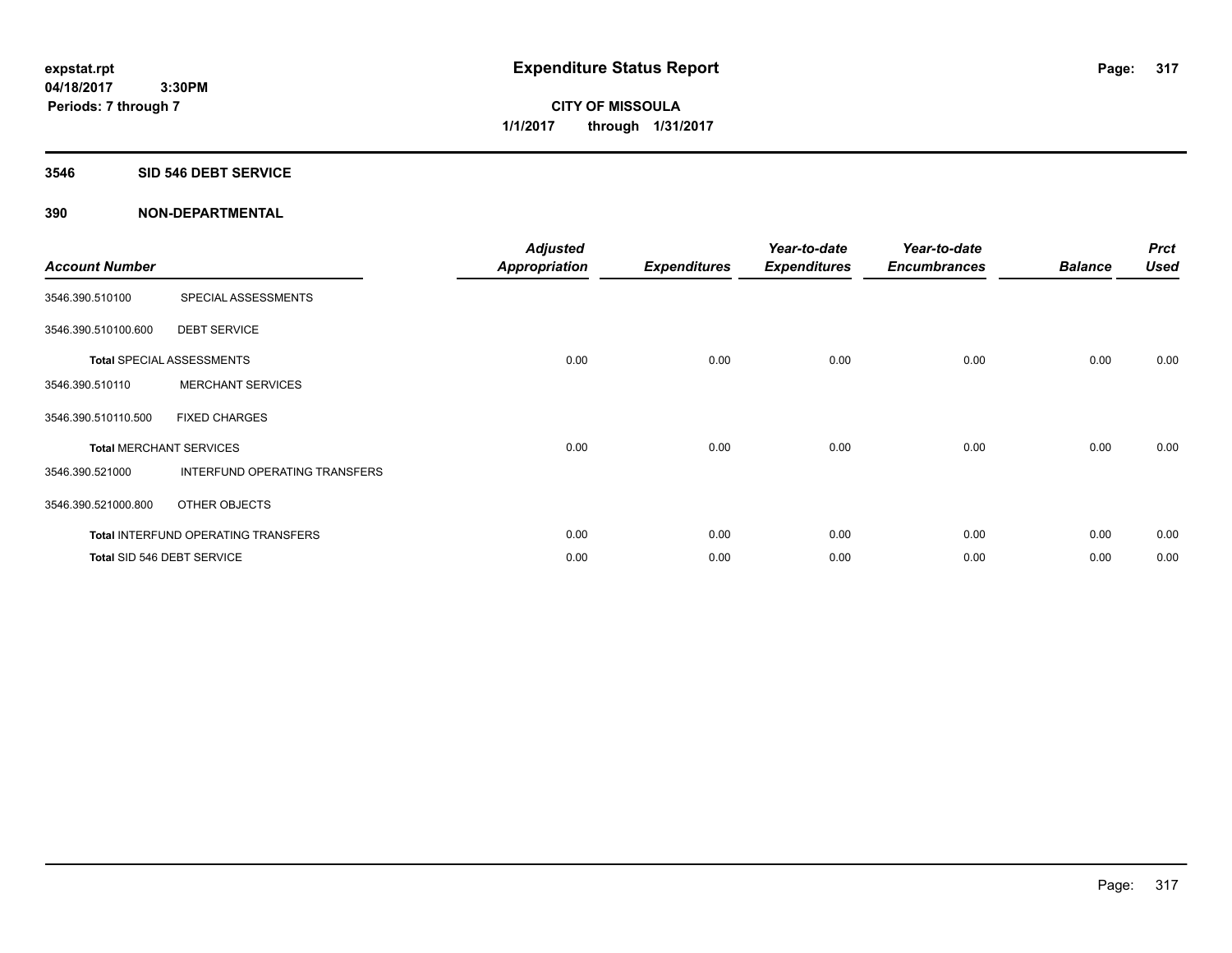#### **3546 SID 546 DEBT SERVICE**

| <b>Account Number</b>          |                                            | <b>Adjusted</b><br><b>Appropriation</b> | <b>Expenditures</b> | Year-to-date<br><b>Expenditures</b> | Year-to-date<br><b>Encumbrances</b> | <b>Balance</b> | <b>Prct</b><br><b>Used</b> |
|--------------------------------|--------------------------------------------|-----------------------------------------|---------------------|-------------------------------------|-------------------------------------|----------------|----------------------------|
| 3546.390.510100                | SPECIAL ASSESSMENTS                        |                                         |                     |                                     |                                     |                |                            |
| 3546.390.510100.600            | <b>DEBT SERVICE</b>                        |                                         |                     |                                     |                                     |                |                            |
|                                | <b>Total SPECIAL ASSESSMENTS</b>           | 0.00                                    | 0.00                | 0.00                                | 0.00                                | 0.00           | 0.00                       |
| 3546.390.510110                | <b>MERCHANT SERVICES</b>                   |                                         |                     |                                     |                                     |                |                            |
| 3546.390.510110.500            | <b>FIXED CHARGES</b>                       |                                         |                     |                                     |                                     |                |                            |
| <b>Total MERCHANT SERVICES</b> |                                            | 0.00                                    | 0.00                | 0.00                                | 0.00                                | 0.00           | 0.00                       |
| 3546.390.521000                | INTERFUND OPERATING TRANSFERS              |                                         |                     |                                     |                                     |                |                            |
| 3546.390.521000.800            | OTHER OBJECTS                              |                                         |                     |                                     |                                     |                |                            |
|                                | <b>Total INTERFUND OPERATING TRANSFERS</b> | 0.00                                    | 0.00                | 0.00                                | 0.00                                | 0.00           | 0.00                       |
|                                | Total SID 546 DEBT SERVICE                 | 0.00                                    | 0.00                | 0.00                                | 0.00                                | 0.00           | 0.00                       |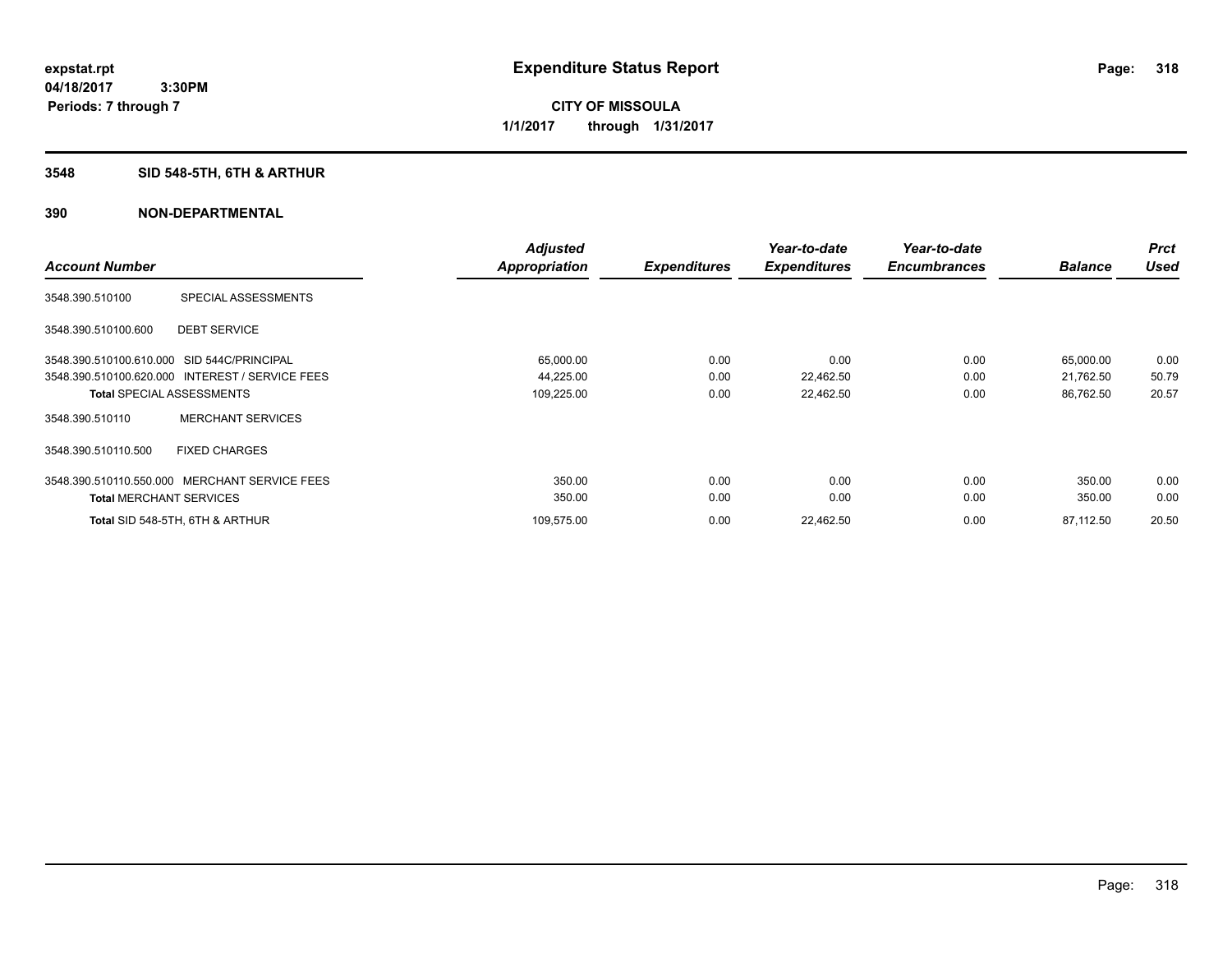# **3548 SID 548-5TH, 6TH & ARTHUR**

|                                            |                                                 | <b>Adjusted</b>      |                     | Year-to-date        | Year-to-date        |                | <b>Prct</b> |
|--------------------------------------------|-------------------------------------------------|----------------------|---------------------|---------------------|---------------------|----------------|-------------|
| <b>Account Number</b>                      |                                                 | <b>Appropriation</b> | <b>Expenditures</b> | <b>Expenditures</b> | <b>Encumbrances</b> | <b>Balance</b> | <b>Used</b> |
| 3548.390.510100                            | SPECIAL ASSESSMENTS                             |                      |                     |                     |                     |                |             |
| 3548.390.510100.600                        | <b>DEBT SERVICE</b>                             |                      |                     |                     |                     |                |             |
| 3548.390.510100.610.000 SID 544C/PRINCIPAL |                                                 | 65,000.00            | 0.00                | 0.00                | 0.00                | 65,000.00      | 0.00        |
|                                            | 3548.390.510100.620.000 INTEREST / SERVICE FEES | 44,225.00            | 0.00                | 22,462.50           | 0.00                | 21,762.50      | 50.79       |
|                                            | <b>Total SPECIAL ASSESSMENTS</b>                | 109,225.00           | 0.00                | 22,462.50           | 0.00                | 86,762.50      | 20.57       |
| 3548.390.510110                            | <b>MERCHANT SERVICES</b>                        |                      |                     |                     |                     |                |             |
| 3548.390.510110.500                        | <b>FIXED CHARGES</b>                            |                      |                     |                     |                     |                |             |
| 3548.390.510110.550.000                    | <b>MERCHANT SERVICE FEES</b>                    | 350.00               | 0.00                | 0.00                | 0.00                | 350.00         | 0.00        |
| <b>Total MERCHANT SERVICES</b>             |                                                 | 350.00               | 0.00                | 0.00                | 0.00                | 350.00         | 0.00        |
|                                            | Total SID 548-5TH, 6TH & ARTHUR                 | 109,575.00           | 0.00                | 22,462.50           | 0.00                | 87,112.50      | 20.50       |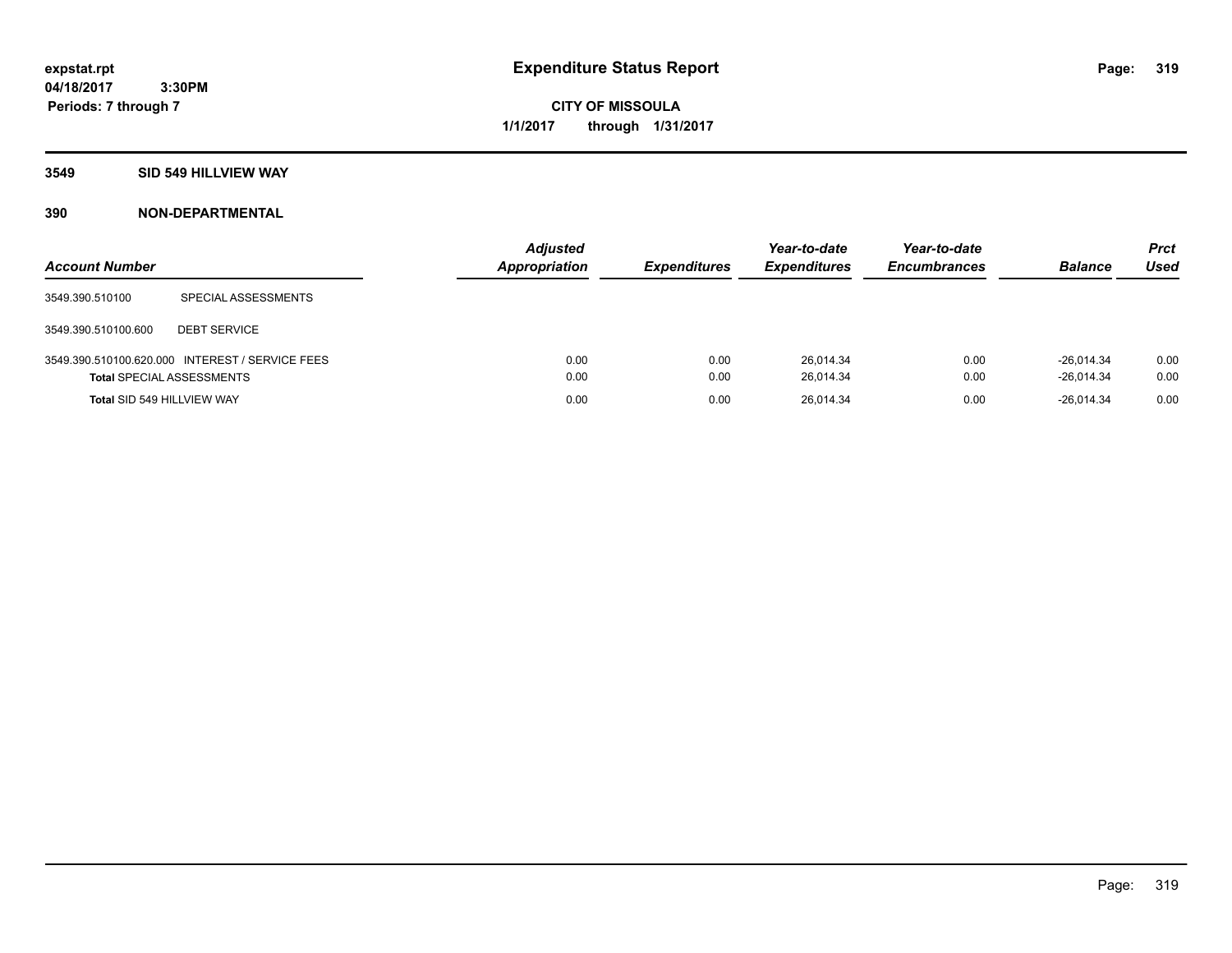**CITY OF MISSOULA 1/1/2017 through 1/31/2017**

#### **3549 SID 549 HILLVIEW WAY**

| <b>Account Number</b>            |                                                 | <b>Adjusted</b><br>Appropriation | <b>Expenditures</b> | Year-to-date<br><b>Expenditures</b> | Year-to-date<br><b>Encumbrances</b> | <b>Balance</b>               | <b>Prct</b><br>Used |
|----------------------------------|-------------------------------------------------|----------------------------------|---------------------|-------------------------------------|-------------------------------------|------------------------------|---------------------|
| 3549.390.510100                  | SPECIAL ASSESSMENTS                             |                                  |                     |                                     |                                     |                              |                     |
| 3549.390.510100.600              | <b>DEBT SERVICE</b>                             |                                  |                     |                                     |                                     |                              |                     |
| <b>Total SPECIAL ASSESSMENTS</b> | 3549.390.510100.620.000 INTEREST / SERVICE FEES | 0.00<br>0.00                     | 0.00<br>0.00        | 26.014.34<br>26,014.34              | 0.00<br>0.00                        | $-26.014.34$<br>$-26,014.34$ | 0.00<br>0.00        |
| Total SID 549 HILLVIEW WAY       |                                                 | 0.00                             | 0.00                | 26,014.34                           | 0.00                                | $-26.014.34$                 | 0.00                |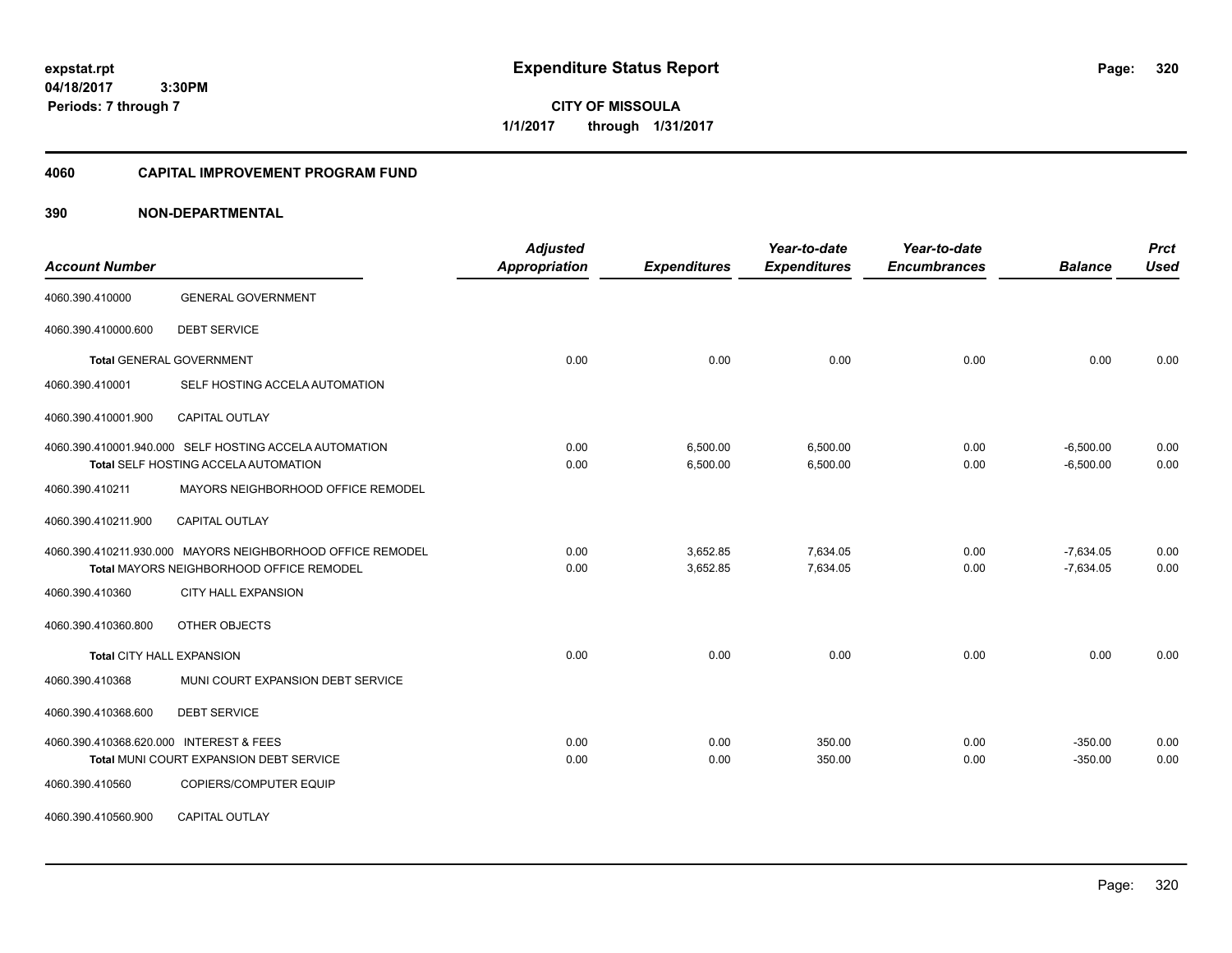**CITY OF MISSOULA 1/1/2017 through 1/31/2017**

#### **4060 CAPITAL IMPROVEMENT PROGRAM FUND**

| <b>Account Number</b>                   |                                                            | <b>Adjusted</b><br>Appropriation | <b>Expenditures</b> | Year-to-date<br><b>Expenditures</b> | Year-to-date<br><b>Encumbrances</b> | <b>Balance</b> | <b>Prct</b><br><b>Used</b> |
|-----------------------------------------|------------------------------------------------------------|----------------------------------|---------------------|-------------------------------------|-------------------------------------|----------------|----------------------------|
|                                         |                                                            |                                  |                     |                                     |                                     |                |                            |
| 4060.390.410000                         | <b>GENERAL GOVERNMENT</b>                                  |                                  |                     |                                     |                                     |                |                            |
| 4060.390.410000.600                     | <b>DEBT SERVICE</b>                                        |                                  |                     |                                     |                                     |                |                            |
|                                         | <b>Total GENERAL GOVERNMENT</b>                            | 0.00                             | 0.00                | 0.00                                | 0.00                                | 0.00           | 0.00                       |
| 4060.390.410001                         | SELF HOSTING ACCELA AUTOMATION                             |                                  |                     |                                     |                                     |                |                            |
| 4060.390.410001.900                     | <b>CAPITAL OUTLAY</b>                                      |                                  |                     |                                     |                                     |                |                            |
|                                         | 4060.390.410001.940.000 SELF HOSTING ACCELA AUTOMATION     | 0.00                             | 6,500.00            | 6,500.00                            | 0.00                                | $-6,500.00$    | 0.00                       |
|                                         | Total SELF HOSTING ACCELA AUTOMATION                       | 0.00                             | 6,500.00            | 6,500.00                            | 0.00                                | $-6,500.00$    | 0.00                       |
| 4060.390.410211                         | MAYORS NEIGHBORHOOD OFFICE REMODEL                         |                                  |                     |                                     |                                     |                |                            |
| 4060.390.410211.900                     | <b>CAPITAL OUTLAY</b>                                      |                                  |                     |                                     |                                     |                |                            |
|                                         | 4060.390.410211.930.000 MAYORS NEIGHBORHOOD OFFICE REMODEL | 0.00                             | 3,652.85            | 7,634.05                            | 0.00                                | $-7,634.05$    | 0.00                       |
|                                         | Total MAYORS NEIGHBORHOOD OFFICE REMODEL                   | 0.00                             | 3,652.85            | 7,634.05                            | 0.00                                | $-7,634.05$    | 0.00                       |
| 4060.390.410360                         | CITY HALL EXPANSION                                        |                                  |                     |                                     |                                     |                |                            |
| 4060.390.410360.800                     | OTHER OBJECTS                                              |                                  |                     |                                     |                                     |                |                            |
| <b>Total CITY HALL EXPANSION</b>        |                                                            | 0.00                             | 0.00                | 0.00                                | 0.00                                | 0.00           | 0.00                       |
| 4060.390.410368                         | MUNI COURT EXPANSION DEBT SERVICE                          |                                  |                     |                                     |                                     |                |                            |
| 4060.390.410368.600                     | <b>DEBT SERVICE</b>                                        |                                  |                     |                                     |                                     |                |                            |
| 4060.390.410368.620.000 INTEREST & FEES |                                                            | 0.00                             | 0.00                | 350.00                              | 0.00                                | $-350.00$      | 0.00                       |
|                                         | Total MUNI COURT EXPANSION DEBT SERVICE                    | 0.00                             | 0.00                | 350.00                              | 0.00                                | $-350.00$      | 0.00                       |
| 4060.390.410560                         | COPIERS/COMPUTER EQUIP                                     |                                  |                     |                                     |                                     |                |                            |
| 4060.390.410560.900                     | <b>CAPITAL OUTLAY</b>                                      |                                  |                     |                                     |                                     |                |                            |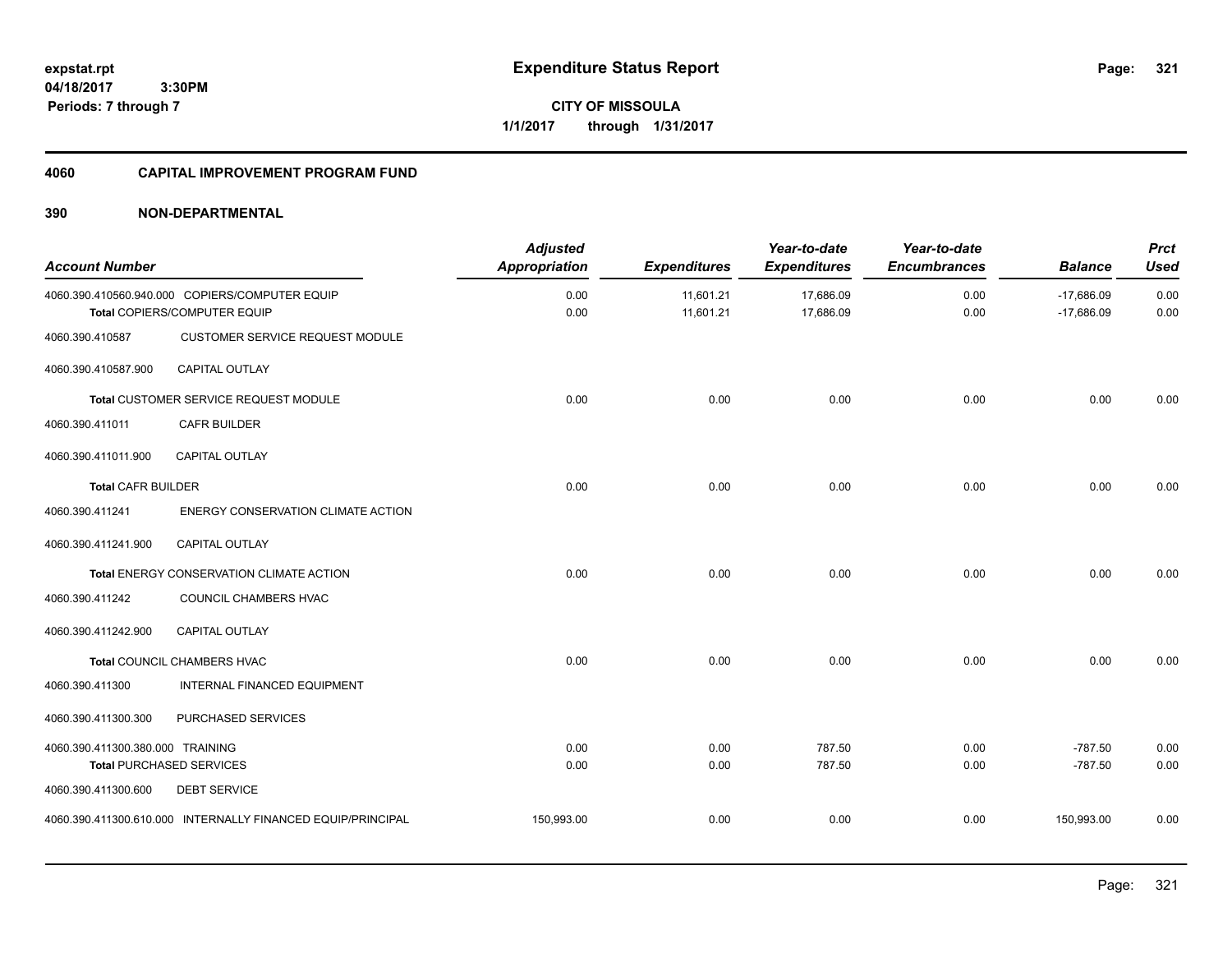**04/18/2017 3:30PM Periods: 7 through 7**

**CITY OF MISSOULA 1/1/2017 through 1/31/2017**

# **4060 CAPITAL IMPROVEMENT PROGRAM FUND**

| <b>Account Number</b>            |                                                                                | <b>Adjusted</b><br><b>Appropriation</b> | <b>Expenditures</b>    | Year-to-date<br><b>Expenditures</b> | Year-to-date<br><b>Encumbrances</b> | <b>Balance</b>               | <b>Prct</b><br><b>Used</b> |
|----------------------------------|--------------------------------------------------------------------------------|-----------------------------------------|------------------------|-------------------------------------|-------------------------------------|------------------------------|----------------------------|
|                                  | 4060.390.410560.940.000 COPIERS/COMPUTER EQUIP<br>Total COPIERS/COMPUTER EQUIP | 0.00<br>0.00                            | 11,601.21<br>11,601.21 | 17,686.09<br>17,686.09              | 0.00<br>0.00                        | $-17,686.09$<br>$-17,686.09$ | 0.00<br>0.00               |
| 4060.390.410587                  | CUSTOMER SERVICE REQUEST MODULE                                                |                                         |                        |                                     |                                     |                              |                            |
| 4060.390.410587.900              | CAPITAL OUTLAY                                                                 |                                         |                        |                                     |                                     |                              |                            |
|                                  | Total CUSTOMER SERVICE REQUEST MODULE                                          | 0.00                                    | 0.00                   | 0.00                                | 0.00                                | 0.00                         | 0.00                       |
| 4060.390.411011                  | <b>CAFR BUILDER</b>                                                            |                                         |                        |                                     |                                     |                              |                            |
| 4060.390.411011.900              | <b>CAPITAL OUTLAY</b>                                                          |                                         |                        |                                     |                                     |                              |                            |
| <b>Total CAFR BUILDER</b>        |                                                                                | 0.00                                    | 0.00                   | 0.00                                | 0.00                                | 0.00                         | 0.00                       |
| 4060.390.411241                  | ENERGY CONSERVATION CLIMATE ACTION                                             |                                         |                        |                                     |                                     |                              |                            |
| 4060.390.411241.900              | <b>CAPITAL OUTLAY</b>                                                          |                                         |                        |                                     |                                     |                              |                            |
|                                  | Total ENERGY CONSERVATION CLIMATE ACTION                                       | 0.00                                    | 0.00                   | 0.00                                | 0.00                                | 0.00                         | 0.00                       |
| 4060.390.411242                  | COUNCIL CHAMBERS HVAC                                                          |                                         |                        |                                     |                                     |                              |                            |
| 4060.390.411242.900              | <b>CAPITAL OUTLAY</b>                                                          |                                         |                        |                                     |                                     |                              |                            |
|                                  | Total COUNCIL CHAMBERS HVAC                                                    | 0.00                                    | 0.00                   | 0.00                                | 0.00                                | 0.00                         | 0.00                       |
| 4060.390.411300                  | <b>INTERNAL FINANCED EQUIPMENT</b>                                             |                                         |                        |                                     |                                     |                              |                            |
| 4060.390.411300.300              | PURCHASED SERVICES                                                             |                                         |                        |                                     |                                     |                              |                            |
| 4060.390.411300.380.000 TRAINING |                                                                                | 0.00                                    | 0.00                   | 787.50                              | 0.00                                | $-787.50$                    | 0.00                       |
|                                  | <b>Total PURCHASED SERVICES</b>                                                | 0.00                                    | 0.00                   | 787.50                              | 0.00                                | $-787.50$                    | 0.00                       |
| 4060.390.411300.600              | <b>DEBT SERVICE</b>                                                            |                                         |                        |                                     |                                     |                              |                            |
|                                  | 4060.390.411300.610.000 INTERNALLY FINANCED EQUIP/PRINCIPAL                    | 150,993.00                              | 0.00                   | 0.00                                | 0.00                                | 150,993.00                   | 0.00                       |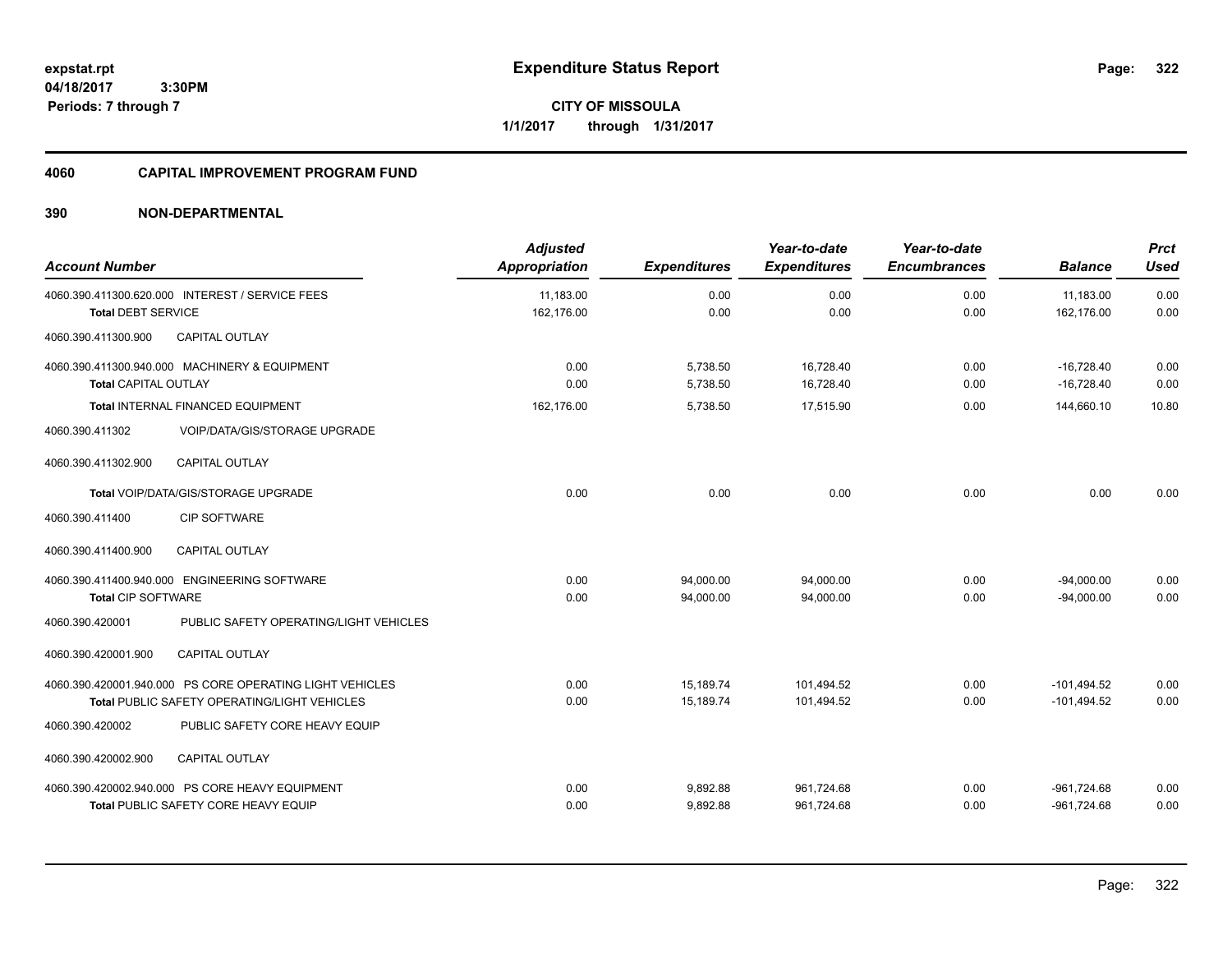**04/18/2017 3:30PM Periods: 7 through 7**

**CITY OF MISSOULA 1/1/2017 through 1/31/2017**

# **4060 CAPITAL IMPROVEMENT PROGRAM FUND**

| <b>Account Number</b>     |                                                          | <b>Adjusted</b><br><b>Appropriation</b> | <b>Expenditures</b> | Year-to-date<br><b>Expenditures</b> | Year-to-date<br><b>Encumbrances</b> | <b>Balance</b>          | <b>Prct</b><br><b>Used</b> |
|---------------------------|----------------------------------------------------------|-----------------------------------------|---------------------|-------------------------------------|-------------------------------------|-------------------------|----------------------------|
| <b>Total DEBT SERVICE</b> | 4060.390.411300.620.000 INTEREST / SERVICE FEES          | 11,183.00<br>162,176.00                 | 0.00<br>0.00        | 0.00<br>0.00                        | 0.00<br>0.00                        | 11,183.00<br>162,176.00 | 0.00<br>0.00               |
|                           |                                                          |                                         |                     |                                     |                                     |                         |                            |
| 4060.390.411300.900       | <b>CAPITAL OUTLAY</b>                                    |                                         |                     |                                     |                                     |                         |                            |
|                           | 4060.390.411300.940.000 MACHINERY & EQUIPMENT            | 0.00                                    | 5,738.50            | 16,728.40                           | 0.00                                | $-16.728.40$            | 0.00                       |
| Total CAPITAL OUTLAY      |                                                          | 0.00                                    | 5,738.50            | 16,728.40                           | 0.00                                | $-16,728.40$            | 0.00                       |
|                           | Total INTERNAL FINANCED EQUIPMENT                        | 162.176.00                              | 5,738.50            | 17,515.90                           | 0.00                                | 144,660.10              | 10.80                      |
| 4060.390.411302           | <b>VOIP/DATA/GIS/STORAGE UPGRADE</b>                     |                                         |                     |                                     |                                     |                         |                            |
| 4060.390.411302.900       | <b>CAPITAL OUTLAY</b>                                    |                                         |                     |                                     |                                     |                         |                            |
|                           | Total VOIP/DATA/GIS/STORAGE UPGRADE                      | 0.00                                    | 0.00                | 0.00                                | 0.00                                | 0.00                    | 0.00                       |
| 4060.390.411400           | <b>CIP SOFTWARE</b>                                      |                                         |                     |                                     |                                     |                         |                            |
| 4060.390.411400.900       | <b>CAPITAL OUTLAY</b>                                    |                                         |                     |                                     |                                     |                         |                            |
|                           | 4060.390.411400.940.000 ENGINEERING SOFTWARE             | 0.00                                    | 94,000.00           | 94,000.00                           | 0.00                                | $-94,000.00$            | 0.00                       |
| <b>Total CIP SOFTWARE</b> |                                                          | 0.00                                    | 94,000.00           | 94,000.00                           | 0.00                                | $-94,000.00$            | 0.00                       |
| 4060.390.420001           | PUBLIC SAFETY OPERATING/LIGHT VEHICLES                   |                                         |                     |                                     |                                     |                         |                            |
| 4060.390.420001.900       | <b>CAPITAL OUTLAY</b>                                    |                                         |                     |                                     |                                     |                         |                            |
|                           | 4060.390.420001.940.000 PS CORE OPERATING LIGHT VEHICLES | 0.00                                    | 15,189.74           | 101.494.52                          | 0.00                                | $-101,494.52$           | 0.00                       |
|                           | <b>Total PUBLIC SAFETY OPERATING/LIGHT VEHICLES</b>      | 0.00                                    | 15,189.74           | 101,494.52                          | 0.00                                | $-101,494.52$           | 0.00                       |
| 4060.390.420002           | PUBLIC SAFETY CORE HEAVY EQUIP                           |                                         |                     |                                     |                                     |                         |                            |
| 4060.390.420002.900       | <b>CAPITAL OUTLAY</b>                                    |                                         |                     |                                     |                                     |                         |                            |
|                           | 4060.390.420002.940.000 PS CORE HEAVY EQUIPMENT          | 0.00                                    | 9,892.88            | 961,724.68                          | 0.00                                | $-961,724.68$           | 0.00                       |
|                           | Total PUBLIC SAFETY CORE HEAVY EQUIP                     | 0.00                                    | 9,892.88            | 961,724.68                          | 0.00                                | $-961,724.68$           | 0.00                       |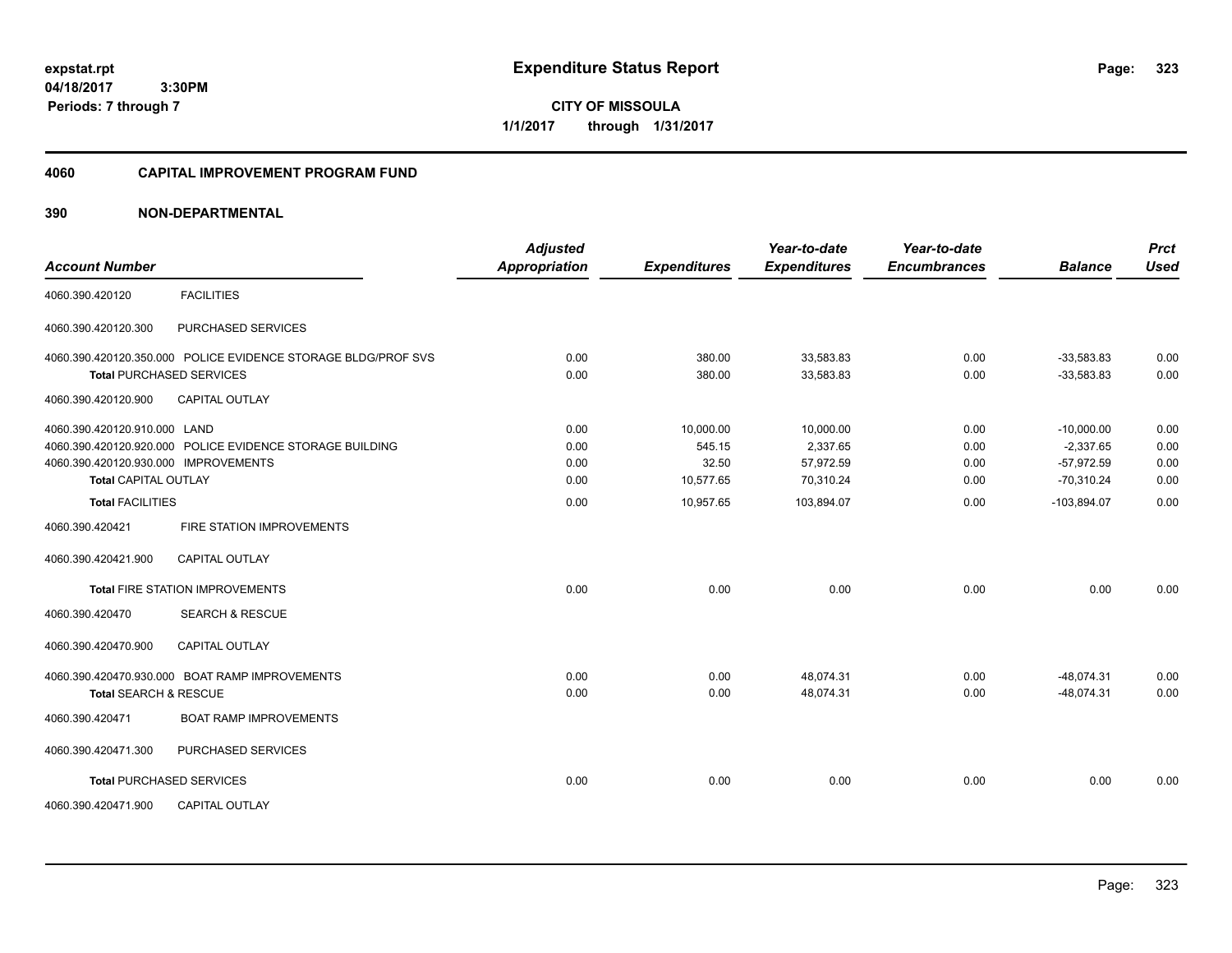**CITY OF MISSOULA 1/1/2017 through 1/31/2017**

#### **4060 CAPITAL IMPROVEMENT PROGRAM FUND**

| <b>Account Number</b>                |                                                               | <b>Adjusted</b><br><b>Appropriation</b> | <b>Expenditures</b> | Year-to-date<br><b>Expenditures</b> | Year-to-date<br><b>Encumbrances</b> | <b>Balance</b> | <b>Prct</b><br><b>Used</b> |
|--------------------------------------|---------------------------------------------------------------|-----------------------------------------|---------------------|-------------------------------------|-------------------------------------|----------------|----------------------------|
| 4060.390.420120                      | <b>FACILITIES</b>                                             |                                         |                     |                                     |                                     |                |                            |
| 4060.390.420120.300                  | <b>PURCHASED SERVICES</b>                                     |                                         |                     |                                     |                                     |                |                            |
|                                      | 4060.390.420120.350.000 POLICE EVIDENCE STORAGE BLDG/PROF SVS | 0.00                                    | 380.00              | 33,583.83                           | 0.00                                | $-33,583.83$   | 0.00                       |
| <b>Total PURCHASED SERVICES</b>      |                                                               | 0.00                                    | 380.00              | 33,583.83                           | 0.00                                | $-33,583.83$   | 0.00                       |
| 4060.390.420120.900                  | <b>CAPITAL OUTLAY</b>                                         |                                         |                     |                                     |                                     |                |                            |
| 4060.390.420120.910.000 LAND         |                                                               | 0.00                                    | 10,000.00           | 10,000.00                           | 0.00                                | $-10,000.00$   | 0.00                       |
|                                      | 4060.390.420120.920.000 POLICE EVIDENCE STORAGE BUILDING      | 0.00                                    | 545.15              | 2,337.65                            | 0.00                                | $-2.337.65$    | 0.00                       |
| 4060.390.420120.930.000 IMPROVEMENTS |                                                               | 0.00                                    | 32.50               | 57,972.59                           | 0.00                                | $-57,972.59$   | 0.00                       |
| <b>Total CAPITAL OUTLAY</b>          |                                                               | 0.00                                    | 10,577.65           | 70,310.24                           | 0.00                                | $-70,310.24$   | 0.00                       |
| <b>Total FACILITIES</b>              |                                                               | 0.00                                    | 10,957.65           | 103,894.07                          | 0.00                                | $-103,894.07$  | 0.00                       |
| 4060.390.420421                      | FIRE STATION IMPROVEMENTS                                     |                                         |                     |                                     |                                     |                |                            |
| 4060.390.420421.900                  | <b>CAPITAL OUTLAY</b>                                         |                                         |                     |                                     |                                     |                |                            |
|                                      | Total FIRE STATION IMPROVEMENTS                               | 0.00                                    | 0.00                | 0.00                                | 0.00                                | 0.00           | 0.00                       |
| 4060.390.420470                      | <b>SEARCH &amp; RESCUE</b>                                    |                                         |                     |                                     |                                     |                |                            |
| 4060.390.420470.900                  | <b>CAPITAL OUTLAY</b>                                         |                                         |                     |                                     |                                     |                |                            |
|                                      | 4060.390.420470.930.000 BOAT RAMP IMPROVEMENTS                | 0.00                                    | 0.00                | 48,074.31                           | 0.00                                | $-48,074.31$   | 0.00                       |
| <b>Total SEARCH &amp; RESCUE</b>     |                                                               | 0.00                                    | 0.00                | 48,074.31                           | 0.00                                | $-48.074.31$   | 0.00                       |
| 4060.390.420471                      | <b>BOAT RAMP IMPROVEMENTS</b>                                 |                                         |                     |                                     |                                     |                |                            |
| 4060.390.420471.300                  | PURCHASED SERVICES                                            |                                         |                     |                                     |                                     |                |                            |
| <b>Total PURCHASED SERVICES</b>      |                                                               | 0.00                                    | 0.00                | 0.00                                | 0.00                                | 0.00           | 0.00                       |
| 4060.390.420471.900                  | <b>CAPITAL OUTLAY</b>                                         |                                         |                     |                                     |                                     |                |                            |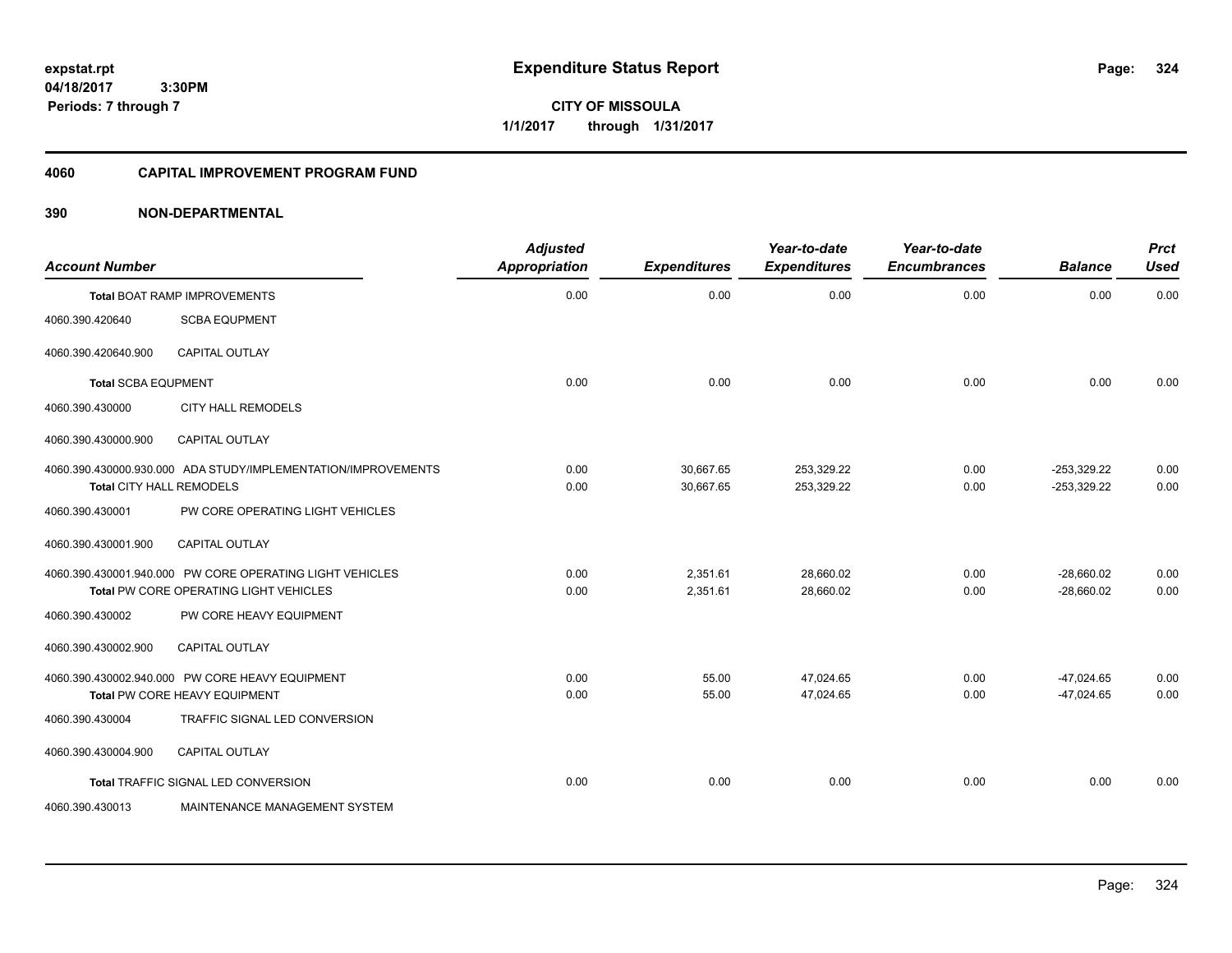**CITY OF MISSOULA 1/1/2017 through 1/31/2017**

#### **4060 CAPITAL IMPROVEMENT PROGRAM FUND**

| <b>Account Number</b>      |                                                                                                    | <b>Adjusted</b><br><b>Appropriation</b> | <b>Expenditures</b>    | Year-to-date<br><b>Expenditures</b> | Year-to-date<br><b>Encumbrances</b> | <b>Balance</b>                 | <b>Prct</b><br><b>Used</b> |
|----------------------------|----------------------------------------------------------------------------------------------------|-----------------------------------------|------------------------|-------------------------------------|-------------------------------------|--------------------------------|----------------------------|
|                            | <b>Total BOAT RAMP IMPROVEMENTS</b>                                                                | 0.00                                    | 0.00                   | 0.00                                | 0.00                                | 0.00                           | 0.00                       |
| 4060.390.420640            | <b>SCBA EQUPMENT</b>                                                                               |                                         |                        |                                     |                                     |                                |                            |
| 4060.390.420640.900        | <b>CAPITAL OUTLAY</b>                                                                              |                                         |                        |                                     |                                     |                                |                            |
| <b>Total SCBA EQUPMENT</b> |                                                                                                    | 0.00                                    | 0.00                   | 0.00                                | 0.00                                | 0.00                           | 0.00                       |
| 4060.390.430000            | <b>CITY HALL REMODELS</b>                                                                          |                                         |                        |                                     |                                     |                                |                            |
| 4060.390.430000.900        | <b>CAPITAL OUTLAY</b>                                                                              |                                         |                        |                                     |                                     |                                |                            |
| Total CITY HALL REMODELS   | 4060.390.430000.930.000 ADA STUDY/IMPLEMENTATION/IMPROVEMENTS                                      | 0.00<br>0.00                            | 30,667.65<br>30,667.65 | 253,329.22<br>253,329.22            | 0.00<br>0.00                        | $-253,329.22$<br>$-253,329.22$ | 0.00<br>0.00               |
| 4060.390.430001            | PW CORE OPERATING LIGHT VEHICLES                                                                   |                                         |                        |                                     |                                     |                                |                            |
| 4060.390.430001.900        | <b>CAPITAL OUTLAY</b>                                                                              |                                         |                        |                                     |                                     |                                |                            |
|                            | 4060.390.430001.940.000 PW CORE OPERATING LIGHT VEHICLES<br>Total PW CORE OPERATING LIGHT VEHICLES | 0.00<br>0.00                            | 2,351.61<br>2,351.61   | 28,660.02<br>28,660.02              | 0.00<br>0.00                        | $-28,660.02$<br>$-28.660.02$   | 0.00<br>0.00               |
| 4060.390.430002            | PW CORE HEAVY EQUIPMENT                                                                            |                                         |                        |                                     |                                     |                                |                            |
| 4060.390.430002.900        | <b>CAPITAL OUTLAY</b>                                                                              |                                         |                        |                                     |                                     |                                |                            |
|                            | 4060.390.430002.940.000 PW CORE HEAVY EQUIPMENT<br>Total PW CORE HEAVY EQUIPMENT                   | 0.00<br>0.00                            | 55.00<br>55.00         | 47,024.65<br>47,024.65              | 0.00<br>0.00                        | $-47,024.65$<br>$-47,024.65$   | 0.00<br>0.00               |
| 4060.390.430004            | TRAFFIC SIGNAL LED CONVERSION                                                                      |                                         |                        |                                     |                                     |                                |                            |
| 4060.390.430004.900        | <b>CAPITAL OUTLAY</b>                                                                              |                                         |                        |                                     |                                     |                                |                            |
|                            | Total TRAFFIC SIGNAL LED CONVERSION                                                                | 0.00                                    | 0.00                   | 0.00                                | 0.00                                | 0.00                           | 0.00                       |
| 4060.390.430013            | MAINTENANCE MANAGEMENT SYSTEM                                                                      |                                         |                        |                                     |                                     |                                |                            |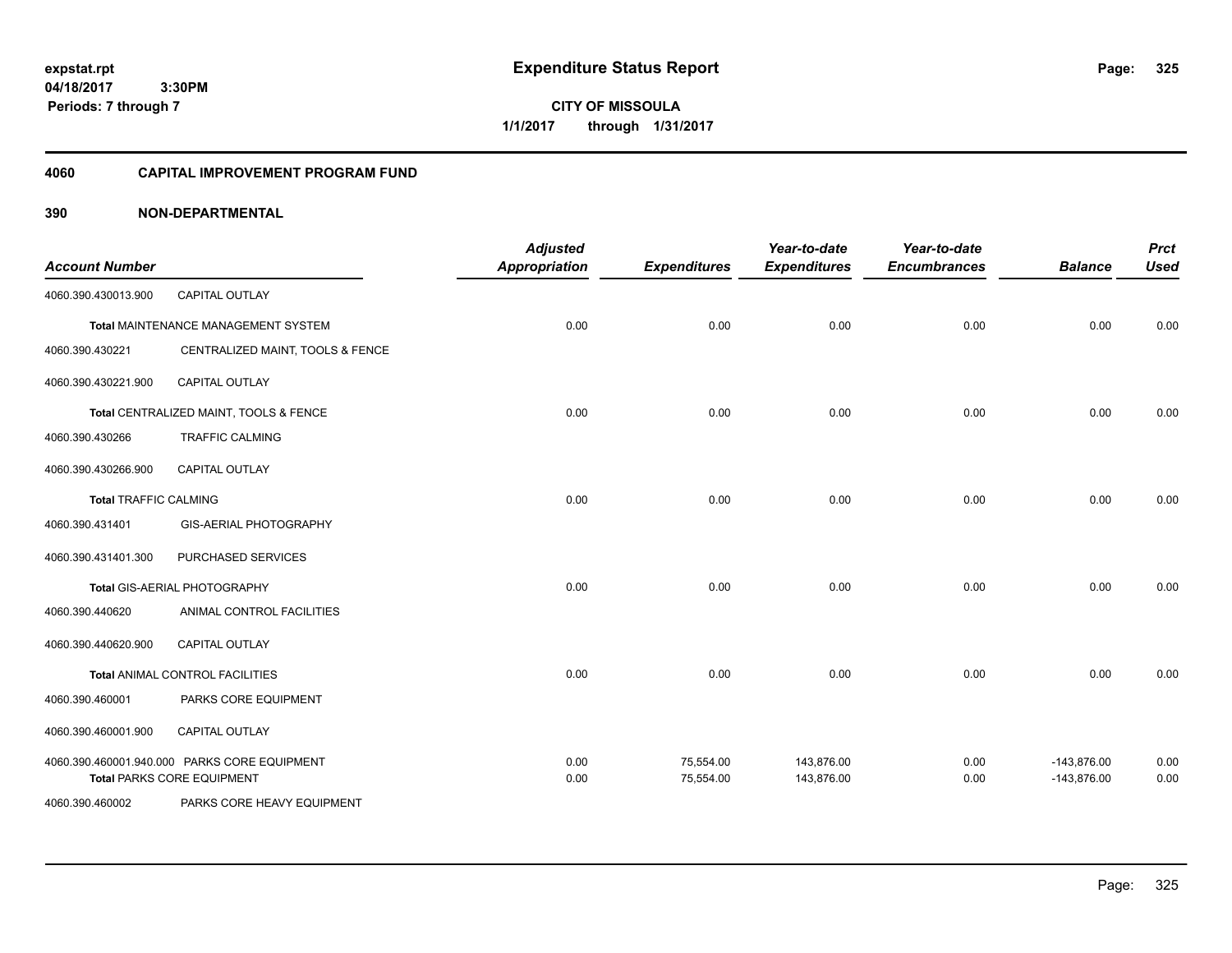**CITY OF MISSOULA 1/1/2017 through 1/31/2017**

### **4060 CAPITAL IMPROVEMENT PROGRAM FUND**

| <b>Account Number</b>        |                                                                                   | <b>Adjusted</b><br><b>Appropriation</b> | <b>Expenditures</b>    | Year-to-date<br><b>Expenditures</b> | Year-to-date<br><b>Encumbrances</b> | <b>Balance</b>                 | <b>Prct</b><br><b>Used</b> |
|------------------------------|-----------------------------------------------------------------------------------|-----------------------------------------|------------------------|-------------------------------------|-------------------------------------|--------------------------------|----------------------------|
| 4060.390.430013.900          | <b>CAPITAL OUTLAY</b>                                                             |                                         |                        |                                     |                                     |                                |                            |
|                              | Total MAINTENANCE MANAGEMENT SYSTEM                                               | 0.00                                    | 0.00                   | 0.00                                | 0.00                                | 0.00                           | 0.00                       |
| 4060.390.430221              | CENTRALIZED MAINT, TOOLS & FENCE                                                  |                                         |                        |                                     |                                     |                                |                            |
| 4060.390.430221.900          | CAPITAL OUTLAY                                                                    |                                         |                        |                                     |                                     |                                |                            |
|                              | Total CENTRALIZED MAINT, TOOLS & FENCE                                            | 0.00                                    | 0.00                   | 0.00                                | 0.00                                | 0.00                           | 0.00                       |
| 4060.390.430266              | <b>TRAFFIC CALMING</b>                                                            |                                         |                        |                                     |                                     |                                |                            |
| 4060.390.430266.900          | <b>CAPITAL OUTLAY</b>                                                             |                                         |                        |                                     |                                     |                                |                            |
| <b>Total TRAFFIC CALMING</b> |                                                                                   | 0.00                                    | 0.00                   | 0.00                                | 0.00                                | 0.00                           | 0.00                       |
| 4060.390.431401              | GIS-AERIAL PHOTOGRAPHY                                                            |                                         |                        |                                     |                                     |                                |                            |
| 4060.390.431401.300          | PURCHASED SERVICES                                                                |                                         |                        |                                     |                                     |                                |                            |
|                              | Total GIS-AERIAL PHOTOGRAPHY                                                      | 0.00                                    | 0.00                   | 0.00                                | 0.00                                | 0.00                           | 0.00                       |
| 4060.390.440620              | ANIMAL CONTROL FACILITIES                                                         |                                         |                        |                                     |                                     |                                |                            |
| 4060.390.440620.900          | CAPITAL OUTLAY                                                                    |                                         |                        |                                     |                                     |                                |                            |
|                              | Total ANIMAL CONTROL FACILITIES                                                   | 0.00                                    | 0.00                   | 0.00                                | 0.00                                | 0.00                           | 0.00                       |
| 4060.390.460001              | PARKS CORE EQUIPMENT                                                              |                                         |                        |                                     |                                     |                                |                            |
| 4060.390.460001.900          | CAPITAL OUTLAY                                                                    |                                         |                        |                                     |                                     |                                |                            |
|                              | 4060.390.460001.940.000 PARKS CORE EQUIPMENT<br><b>Total PARKS CORE EQUIPMENT</b> | 0.00<br>0.00                            | 75,554.00<br>75,554.00 | 143,876.00<br>143,876.00            | 0.00<br>0.00                        | $-143,876.00$<br>$-143,876.00$ | 0.00<br>0.00               |
| 4060.390.460002              | PARKS CORE HEAVY EQUIPMENT                                                        |                                         |                        |                                     |                                     |                                |                            |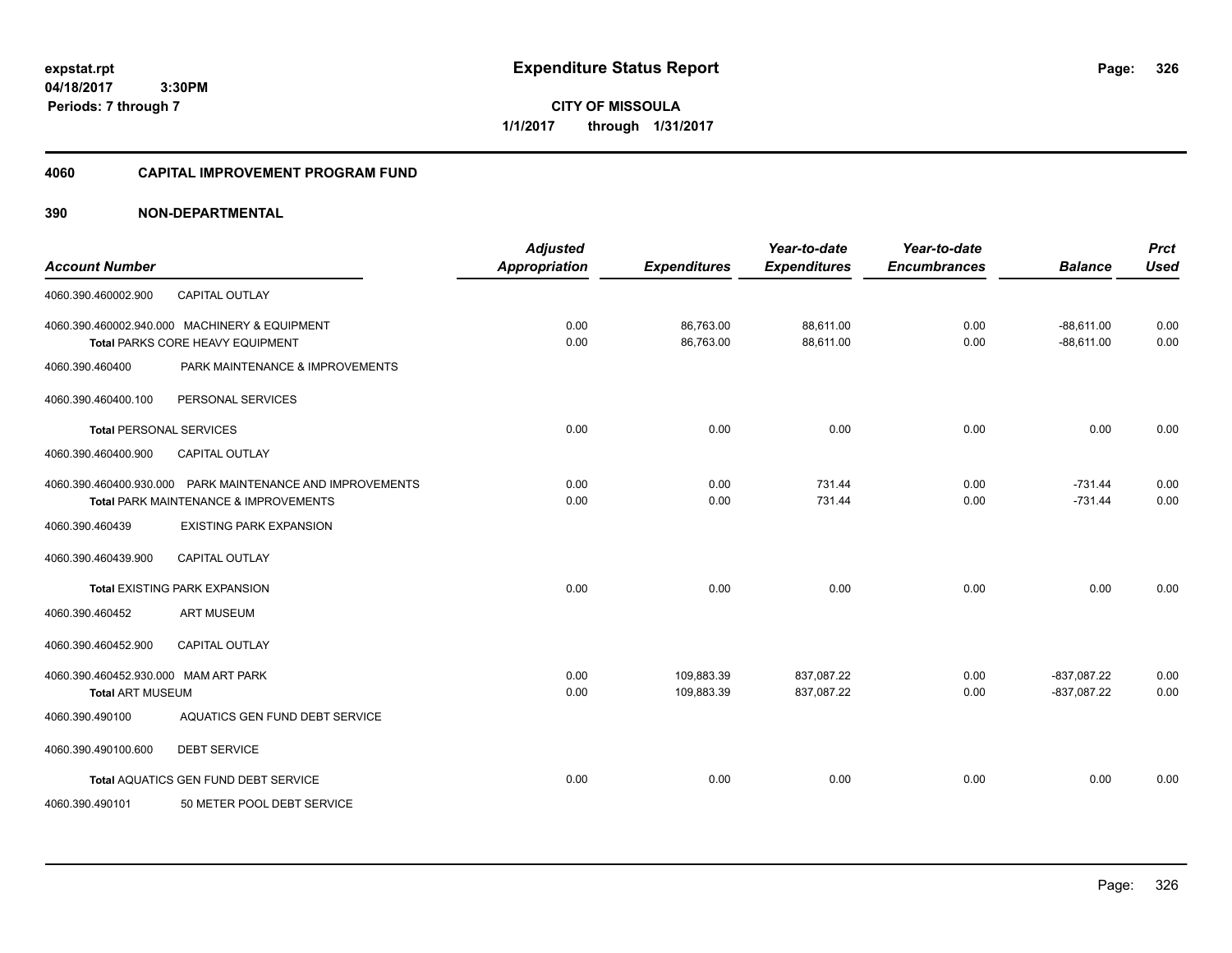**04/18/2017 3:30PM Periods: 7 through 7**

# **CITY OF MISSOULA 1/1/2017 through 1/31/2017**

### **4060 CAPITAL IMPROVEMENT PROGRAM FUND**

| <b>Account Number</b>                                           |                                                                                                               | <b>Adjusted</b><br><b>Appropriation</b> | <b>Expenditures</b>      | Year-to-date<br><b>Expenditures</b> | Year-to-date<br><b>Encumbrances</b> | <b>Balance</b>                 | <b>Prct</b><br><b>Used</b> |
|-----------------------------------------------------------------|---------------------------------------------------------------------------------------------------------------|-----------------------------------------|--------------------------|-------------------------------------|-------------------------------------|--------------------------------|----------------------------|
| 4060.390.460002.900                                             | <b>CAPITAL OUTLAY</b>                                                                                         |                                         |                          |                                     |                                     |                                |                            |
|                                                                 | 4060.390.460002.940.000 MACHINERY & EQUIPMENT<br>Total PARKS CORE HEAVY EQUIPMENT                             | 0.00<br>0.00                            | 86,763.00<br>86,763.00   | 88,611.00<br>88,611.00              | 0.00<br>0.00                        | $-88,611.00$<br>$-88,611.00$   | 0.00<br>0.00               |
| 4060.390.460400                                                 | PARK MAINTENANCE & IMPROVEMENTS                                                                               |                                         |                          |                                     |                                     |                                |                            |
| 4060.390.460400.100                                             | PERSONAL SERVICES                                                                                             |                                         |                          |                                     |                                     |                                |                            |
| <b>Total PERSONAL SERVICES</b>                                  |                                                                                                               | 0.00                                    | 0.00                     | 0.00                                | 0.00                                | 0.00                           | 0.00                       |
| 4060.390.460400.900                                             | <b>CAPITAL OUTLAY</b>                                                                                         |                                         |                          |                                     |                                     |                                |                            |
|                                                                 | 4060.390.460400.930.000 PARK MAINTENANCE AND IMPROVEMENTS<br><b>Total PARK MAINTENANCE &amp; IMPROVEMENTS</b> | 0.00<br>0.00                            | 0.00<br>0.00             | 731.44<br>731.44                    | 0.00<br>0.00                        | $-731.44$<br>$-731.44$         | 0.00<br>0.00               |
| 4060.390.460439                                                 | <b>EXISTING PARK EXPANSION</b>                                                                                |                                         |                          |                                     |                                     |                                |                            |
| 4060.390.460439.900                                             | <b>CAPITAL OUTLAY</b>                                                                                         |                                         |                          |                                     |                                     |                                |                            |
|                                                                 | <b>Total EXISTING PARK EXPANSION</b>                                                                          | 0.00                                    | 0.00                     | 0.00                                | 0.00                                | 0.00                           | 0.00                       |
| 4060.390.460452                                                 | <b>ART MUSEUM</b>                                                                                             |                                         |                          |                                     |                                     |                                |                            |
| 4060.390.460452.900                                             | <b>CAPITAL OUTLAY</b>                                                                                         |                                         |                          |                                     |                                     |                                |                            |
| 4060.390.460452.930.000 MAM ART PARK<br><b>Total ART MUSEUM</b> |                                                                                                               | 0.00<br>0.00                            | 109,883.39<br>109,883.39 | 837,087.22<br>837,087.22            | 0.00<br>0.00                        | $-837,087.22$<br>$-837,087.22$ | 0.00<br>0.00               |
| 4060.390.490100                                                 | AQUATICS GEN FUND DEBT SERVICE                                                                                |                                         |                          |                                     |                                     |                                |                            |
| 4060.390.490100.600                                             | <b>DEBT SERVICE</b>                                                                                           |                                         |                          |                                     |                                     |                                |                            |
|                                                                 | <b>Total AQUATICS GEN FUND DEBT SERVICE</b>                                                                   | 0.00                                    | 0.00                     | 0.00                                | 0.00                                | 0.00                           | 0.00                       |
| 4060.390.490101                                                 | 50 METER POOL DEBT SERVICE                                                                                    |                                         |                          |                                     |                                     |                                |                            |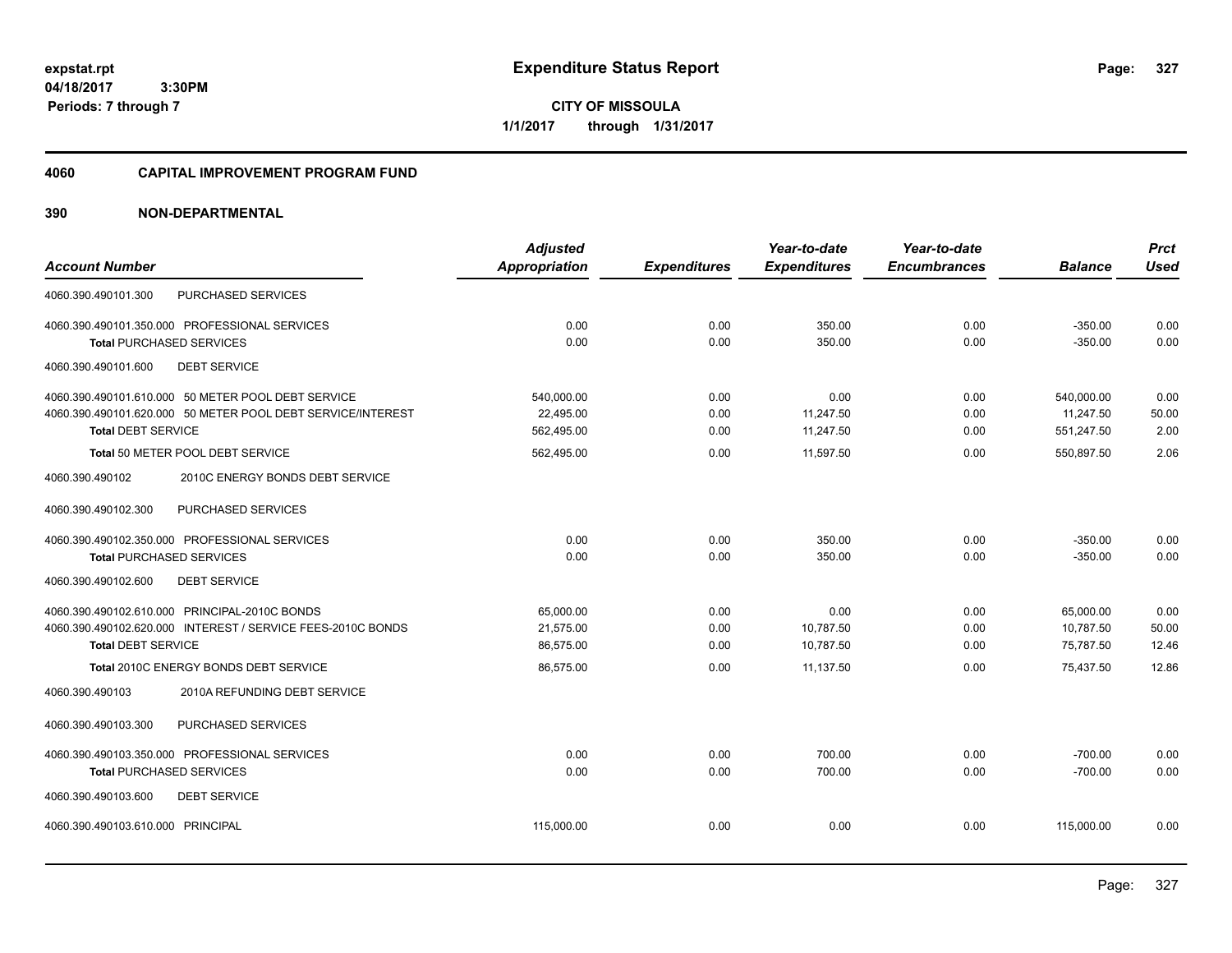**04/18/2017 3:30PM Periods: 7 through 7**

**CITY OF MISSOULA 1/1/2017 through 1/31/2017**

#### **4060 CAPITAL IMPROVEMENT PROGRAM FUND**

|                                                             | <b>Adjusted</b>      |                     | Year-to-date        | Year-to-date        |                | <b>Prct</b> |
|-------------------------------------------------------------|----------------------|---------------------|---------------------|---------------------|----------------|-------------|
| <b>Account Number</b>                                       | <b>Appropriation</b> | <b>Expenditures</b> | <b>Expenditures</b> | <b>Encumbrances</b> | <b>Balance</b> | <b>Used</b> |
| PURCHASED SERVICES<br>4060.390.490101.300                   |                      |                     |                     |                     |                |             |
| 4060.390.490101.350.000 PROFESSIONAL SERVICES               | 0.00                 | 0.00                | 350.00              | 0.00                | $-350.00$      | 0.00        |
| <b>Total PURCHASED SERVICES</b>                             | 0.00                 | 0.00                | 350.00              | 0.00                | $-350.00$      | 0.00        |
| 4060.390.490101.600<br><b>DEBT SERVICE</b>                  |                      |                     |                     |                     |                |             |
| 4060.390.490101.610.000 50 METER POOL DEBT SERVICE          | 540,000.00           | 0.00                | 0.00                | 0.00                | 540,000.00     | 0.00        |
| 4060.390.490101.620.000 50 METER POOL DEBT SERVICE/INTEREST | 22.495.00            | 0.00                | 11,247.50           | 0.00                | 11,247.50      | 50.00       |
| <b>Total DEBT SERVICE</b>                                   | 562,495.00           | 0.00                | 11,247.50           | 0.00                | 551,247.50     | 2.00        |
| Total 50 METER POOL DEBT SERVICE                            | 562,495.00           | 0.00                | 11,597.50           | 0.00                | 550,897.50     | 2.06        |
| 4060.390.490102<br>2010C ENERGY BONDS DEBT SERVICE          |                      |                     |                     |                     |                |             |
| 4060.390.490102.300<br>PURCHASED SERVICES                   |                      |                     |                     |                     |                |             |
| 4060.390.490102.350.000 PROFESSIONAL SERVICES               | 0.00                 | 0.00                | 350.00              | 0.00                | $-350.00$      | 0.00        |
| <b>Total PURCHASED SERVICES</b>                             | 0.00                 | 0.00                | 350.00              | 0.00                | $-350.00$      | 0.00        |
| <b>DEBT SERVICE</b><br>4060.390.490102.600                  |                      |                     |                     |                     |                |             |
| 4060.390.490102.610.000 PRINCIPAL-2010C BONDS               | 65,000.00            | 0.00                | 0.00                | 0.00                | 65,000.00      | 0.00        |
| 4060.390.490102.620.000 INTEREST / SERVICE FEES-2010C BONDS | 21,575.00            | 0.00                | 10,787.50           | 0.00                | 10,787.50      | 50.00       |
| <b>Total DEBT SERVICE</b>                                   | 86,575.00            | 0.00                | 10,787.50           | 0.00                | 75,787.50      | 12.46       |
| Total 2010C ENERGY BONDS DEBT SERVICE                       | 86,575.00            | 0.00                | 11,137.50           | 0.00                | 75,437.50      | 12.86       |
| 2010A REFUNDING DEBT SERVICE<br>4060.390.490103             |                      |                     |                     |                     |                |             |
| 4060.390.490103.300<br>PURCHASED SERVICES                   |                      |                     |                     |                     |                |             |
| 4060.390.490103.350.000 PROFESSIONAL SERVICES               | 0.00                 | 0.00                | 700.00              | 0.00                | $-700.00$      | 0.00        |
| <b>Total PURCHASED SERVICES</b>                             | 0.00                 | 0.00                | 700.00              | 0.00                | $-700.00$      | 0.00        |
| 4060.390.490103.600<br><b>DEBT SERVICE</b>                  |                      |                     |                     |                     |                |             |
| 4060.390.490103.610.000 PRINCIPAL                           | 115,000.00           | 0.00                | 0.00                | 0.00                | 115,000.00     | 0.00        |
|                                                             |                      |                     |                     |                     |                |             |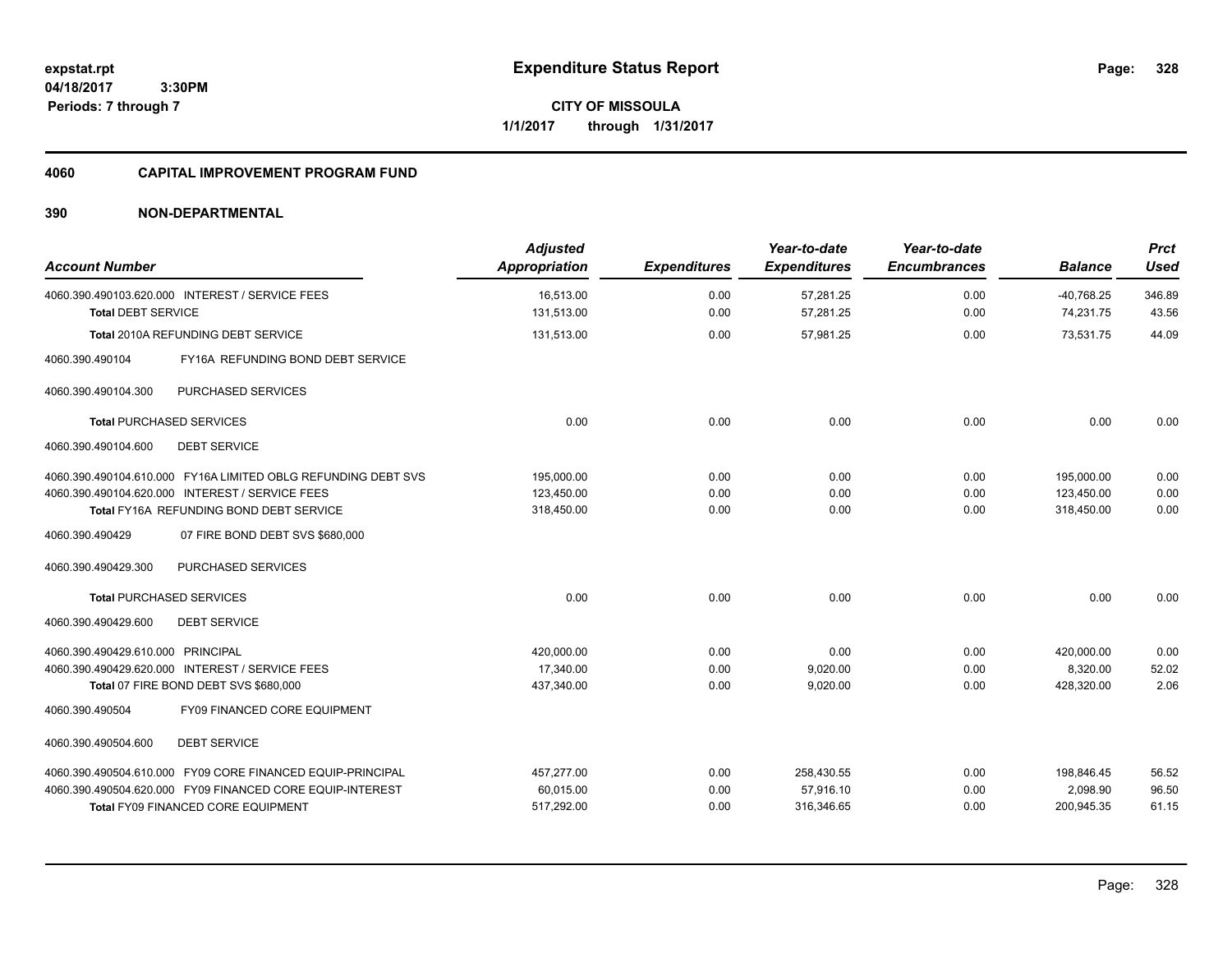**04/18/2017 3:30PM Periods: 7 through 7**

**CITY OF MISSOULA 1/1/2017 through 1/31/2017**

### **4060 CAPITAL IMPROVEMENT PROGRAM FUND**

| <b>Account Number</b>                                                        | <b>Adjusted</b><br><b>Appropriation</b> | <b>Expenditures</b> | Year-to-date<br><b>Expenditures</b> | Year-to-date<br><b>Encumbrances</b> | <b>Balance</b>            | <b>Prct</b><br><b>Used</b> |
|------------------------------------------------------------------------------|-----------------------------------------|---------------------|-------------------------------------|-------------------------------------|---------------------------|----------------------------|
| 4060.390.490103.620.000 INTEREST / SERVICE FEES<br><b>Total DEBT SERVICE</b> | 16.513.00<br>131,513.00                 | 0.00<br>0.00        | 57,281.25<br>57,281.25              | 0.00<br>0.00                        | $-40.768.25$<br>74,231.75 | 346.89<br>43.56            |
| <b>Total 2010A REFUNDING DEBT SERVICE</b>                                    | 131,513.00                              | 0.00                | 57,981.25                           | 0.00                                | 73,531.75                 | 44.09                      |
| 4060.390.490104<br>FY16A REFUNDING BOND DEBT SERVICE                         |                                         |                     |                                     |                                     |                           |                            |
| PURCHASED SERVICES<br>4060.390.490104.300                                    |                                         |                     |                                     |                                     |                           |                            |
| <b>Total PURCHASED SERVICES</b>                                              | 0.00                                    | 0.00                | 0.00                                | 0.00                                | 0.00                      | 0.00                       |
| <b>DEBT SERVICE</b><br>4060.390.490104.600                                   |                                         |                     |                                     |                                     |                           |                            |
| 4060.390.490104.610.000 FY16A LIMITED OBLG REFUNDING DEBT SVS                | 195.000.00                              | 0.00                | 0.00                                | 0.00                                | 195.000.00                | 0.00                       |
| 4060.390.490104.620.000 INTEREST / SERVICE FEES                              | 123.450.00                              | 0.00                | 0.00                                | 0.00                                | 123.450.00                | 0.00                       |
| Total FY16A REFUNDING BOND DEBT SERVICE                                      | 318,450.00                              | 0.00                | 0.00                                | 0.00                                | 318,450.00                | 0.00                       |
| 07 FIRE BOND DEBT SVS \$680,000<br>4060.390.490429                           |                                         |                     |                                     |                                     |                           |                            |
| <b>PURCHASED SERVICES</b><br>4060.390.490429.300                             |                                         |                     |                                     |                                     |                           |                            |
| <b>Total PURCHASED SERVICES</b>                                              | 0.00                                    | 0.00                | 0.00                                | 0.00                                | 0.00                      | 0.00                       |
| 4060.390.490429.600<br><b>DEBT SERVICE</b>                                   |                                         |                     |                                     |                                     |                           |                            |
| 4060.390.490429.610.000 PRINCIPAL                                            | 420,000.00                              | 0.00                | 0.00                                | 0.00                                | 420,000.00                | 0.00                       |
| 4060.390.490429.620.000 INTEREST / SERVICE FEES                              | 17,340.00                               | 0.00                | 9,020.00                            | 0.00                                | 8,320.00                  | 52.02                      |
| Total 07 FIRE BOND DEBT SVS \$680,000                                        | 437,340.00                              | 0.00                | 9,020.00                            | 0.00                                | 428.320.00                | 2.06                       |
| FY09 FINANCED CORE EQUIPMENT<br>4060.390.490504                              |                                         |                     |                                     |                                     |                           |                            |
| 4060.390.490504.600<br><b>DEBT SERVICE</b>                                   |                                         |                     |                                     |                                     |                           |                            |
| 4060.390.490504.610.000 FY09 CORE FINANCED EQUIP-PRINCIPAL                   | 457,277.00                              | 0.00                | 258,430.55                          | 0.00                                | 198,846.45                | 56.52                      |
| 4060.390.490504.620.000 FY09 FINANCED CORE EQUIP-INTEREST                    | 60,015.00                               | 0.00                | 57,916.10                           | 0.00                                | 2,098.90                  | 96.50                      |
| <b>Total FY09 FINANCED CORE EQUIPMENT</b>                                    | 517,292.00                              | 0.00                | 316,346.65                          | 0.00                                | 200,945.35                | 61.15                      |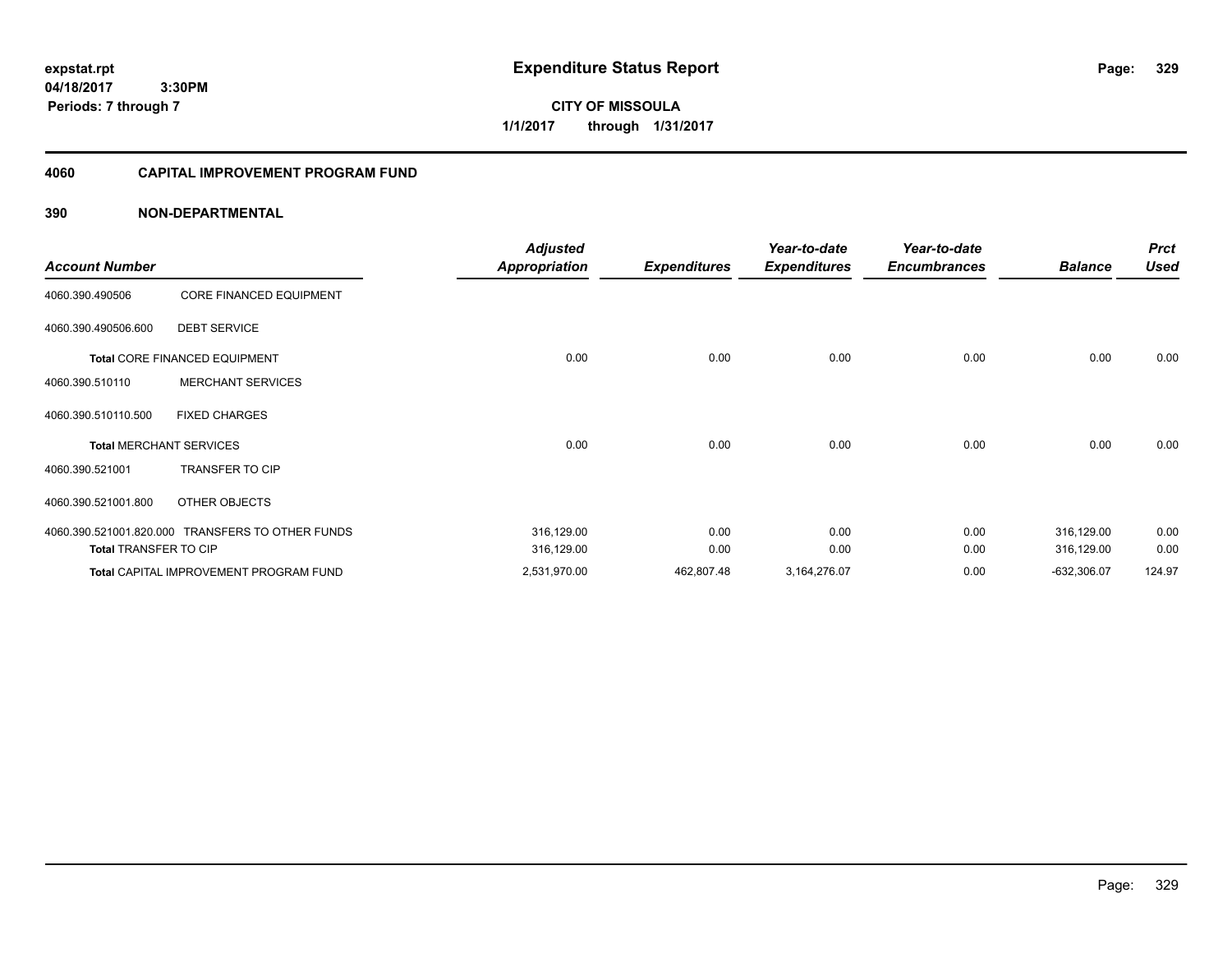**CITY OF MISSOULA 1/1/2017 through 1/31/2017**

# **4060 CAPITAL IMPROVEMENT PROGRAM FUND**

| <b>Account Number</b>        |                                                  | <b>Adjusted</b><br><b>Appropriation</b> |                     | Year-to-date        | Year-to-date<br><b>Encumbrances</b> | <b>Balance</b> | <b>Prct</b><br><b>Used</b> |
|------------------------------|--------------------------------------------------|-----------------------------------------|---------------------|---------------------|-------------------------------------|----------------|----------------------------|
|                              |                                                  |                                         | <b>Expenditures</b> | <b>Expenditures</b> |                                     |                |                            |
| 4060.390.490506              | <b>CORE FINANCED EQUIPMENT</b>                   |                                         |                     |                     |                                     |                |                            |
| 4060.390.490506.600          | <b>DEBT SERVICE</b>                              |                                         |                     |                     |                                     |                |                            |
|                              | <b>Total CORE FINANCED EQUIPMENT</b>             | 0.00                                    | 0.00                | 0.00                | 0.00                                | 0.00           | 0.00                       |
| 4060.390.510110              | <b>MERCHANT SERVICES</b>                         |                                         |                     |                     |                                     |                |                            |
| 4060.390.510110.500          | <b>FIXED CHARGES</b>                             |                                         |                     |                     |                                     |                |                            |
|                              | <b>Total MERCHANT SERVICES</b>                   | 0.00                                    | 0.00                | 0.00                | 0.00                                | 0.00           | 0.00                       |
| 4060.390.521001              | <b>TRANSFER TO CIP</b>                           |                                         |                     |                     |                                     |                |                            |
| 4060.390.521001.800          | OTHER OBJECTS                                    |                                         |                     |                     |                                     |                |                            |
|                              | 4060.390.521001.820.000 TRANSFERS TO OTHER FUNDS | 316,129.00                              | 0.00                | 0.00                | 0.00                                | 316,129.00     | 0.00                       |
| <b>Total TRANSFER TO CIP</b> |                                                  | 316,129.00                              | 0.00                | 0.00                | 0.00                                | 316,129.00     | 0.00                       |
|                              | Total CAPITAL IMPROVEMENT PROGRAM FUND           | 2,531,970.00                            | 462,807.48          | 3,164,276.07        | 0.00                                | $-632,306.07$  | 124.97                     |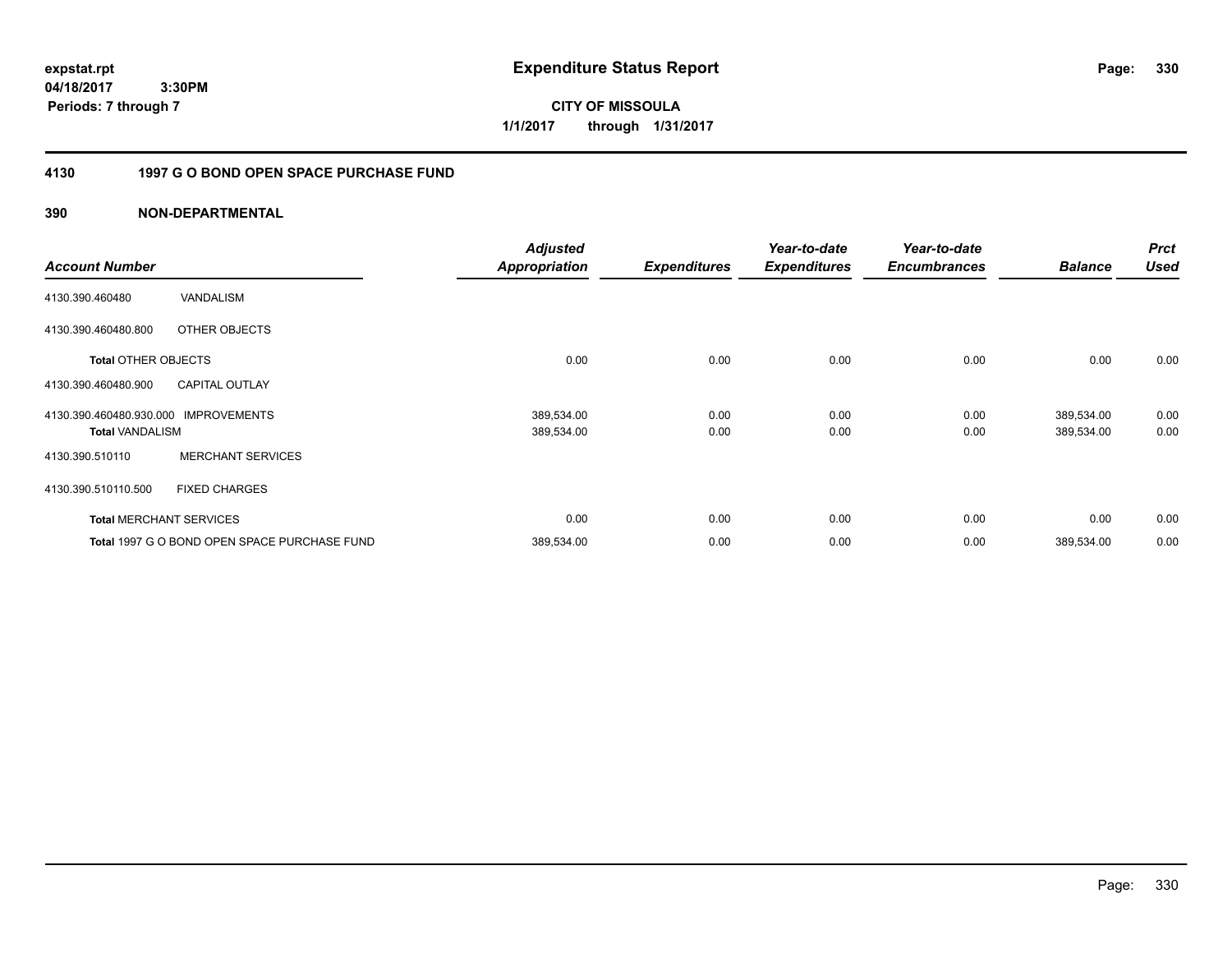**expstat.rpt Expenditure Status Report Page:**

**04/18/2017 3:30PM Periods: 7 through 7**

**CITY OF MISSOULA 1/1/2017 through 1/31/2017**

# **4130 1997 G O BOND OPEN SPACE PURCHASE FUND**

|                            |                                              | <b>Adjusted</b> |                     | Year-to-date        | Year-to-date        |                | <b>Prct</b> |
|----------------------------|----------------------------------------------|-----------------|---------------------|---------------------|---------------------|----------------|-------------|
| <b>Account Number</b>      |                                              | Appropriation   | <b>Expenditures</b> | <b>Expenditures</b> | <b>Encumbrances</b> | <b>Balance</b> | <b>Used</b> |
| 4130.390.460480            | VANDALISM                                    |                 |                     |                     |                     |                |             |
| 4130.390.460480.800        | OTHER OBJECTS                                |                 |                     |                     |                     |                |             |
| <b>Total OTHER OBJECTS</b> |                                              | 0.00            | 0.00                | 0.00                | 0.00                | 0.00           | 0.00        |
| 4130.390.460480.900        | <b>CAPITAL OUTLAY</b>                        |                 |                     |                     |                     |                |             |
| 4130.390.460480.930.000    | <b>IMPROVEMENTS</b>                          | 389,534.00      | 0.00                | 0.00                | 0.00                | 389,534.00     | 0.00        |
| <b>Total VANDALISM</b>     |                                              | 389,534.00      | 0.00                | 0.00                | 0.00                | 389,534.00     | 0.00        |
| 4130.390.510110            | <b>MERCHANT SERVICES</b>                     |                 |                     |                     |                     |                |             |
| 4130.390.510110.500        | <b>FIXED CHARGES</b>                         |                 |                     |                     |                     |                |             |
|                            | <b>Total MERCHANT SERVICES</b>               | 0.00            | 0.00                | 0.00                | 0.00                | 0.00           | 0.00        |
|                            | Total 1997 G O BOND OPEN SPACE PURCHASE FUND | 389,534.00      | 0.00                | 0.00                | 0.00                | 389,534.00     | 0.00        |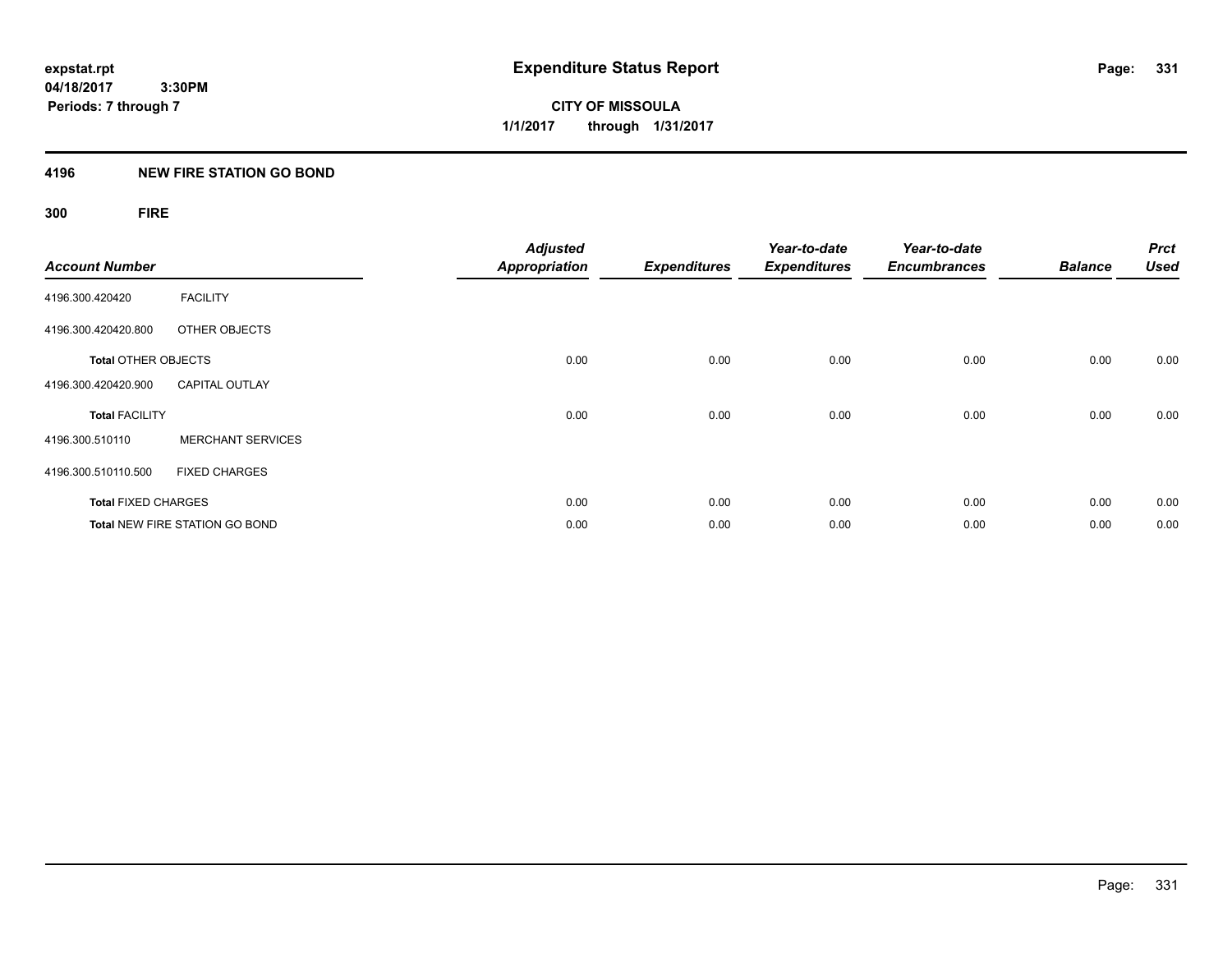# **4196 NEW FIRE STATION GO BOND**

# **300 FIRE**

| <b>Account Number</b>      |                                       | <b>Adjusted</b><br><b>Appropriation</b> | <b>Expenditures</b> | Year-to-date<br><b>Expenditures</b> | Year-to-date<br><b>Encumbrances</b> | <b>Balance</b> | <b>Prct</b><br><b>Used</b> |
|----------------------------|---------------------------------------|-----------------------------------------|---------------------|-------------------------------------|-------------------------------------|----------------|----------------------------|
| 4196.300.420420            | <b>FACILITY</b>                       |                                         |                     |                                     |                                     |                |                            |
| 4196.300.420420.800        | OTHER OBJECTS                         |                                         |                     |                                     |                                     |                |                            |
| <b>Total OTHER OBJECTS</b> |                                       | 0.00                                    | 0.00                | 0.00                                | 0.00                                | 0.00           | 0.00                       |
| 4196.300.420420.900        | <b>CAPITAL OUTLAY</b>                 |                                         |                     |                                     |                                     |                |                            |
| <b>Total FACILITY</b>      |                                       | 0.00                                    | 0.00                | 0.00                                | 0.00                                | 0.00           | 0.00                       |
| 4196.300.510110            | <b>MERCHANT SERVICES</b>              |                                         |                     |                                     |                                     |                |                            |
| 4196.300.510110.500        | <b>FIXED CHARGES</b>                  |                                         |                     |                                     |                                     |                |                            |
| <b>Total FIXED CHARGES</b> |                                       | 0.00                                    | 0.00                | 0.00                                | 0.00                                | 0.00           | 0.00                       |
|                            | <b>Total NEW FIRE STATION GO BOND</b> | 0.00                                    | 0.00                | 0.00                                | 0.00                                | 0.00           | 0.00                       |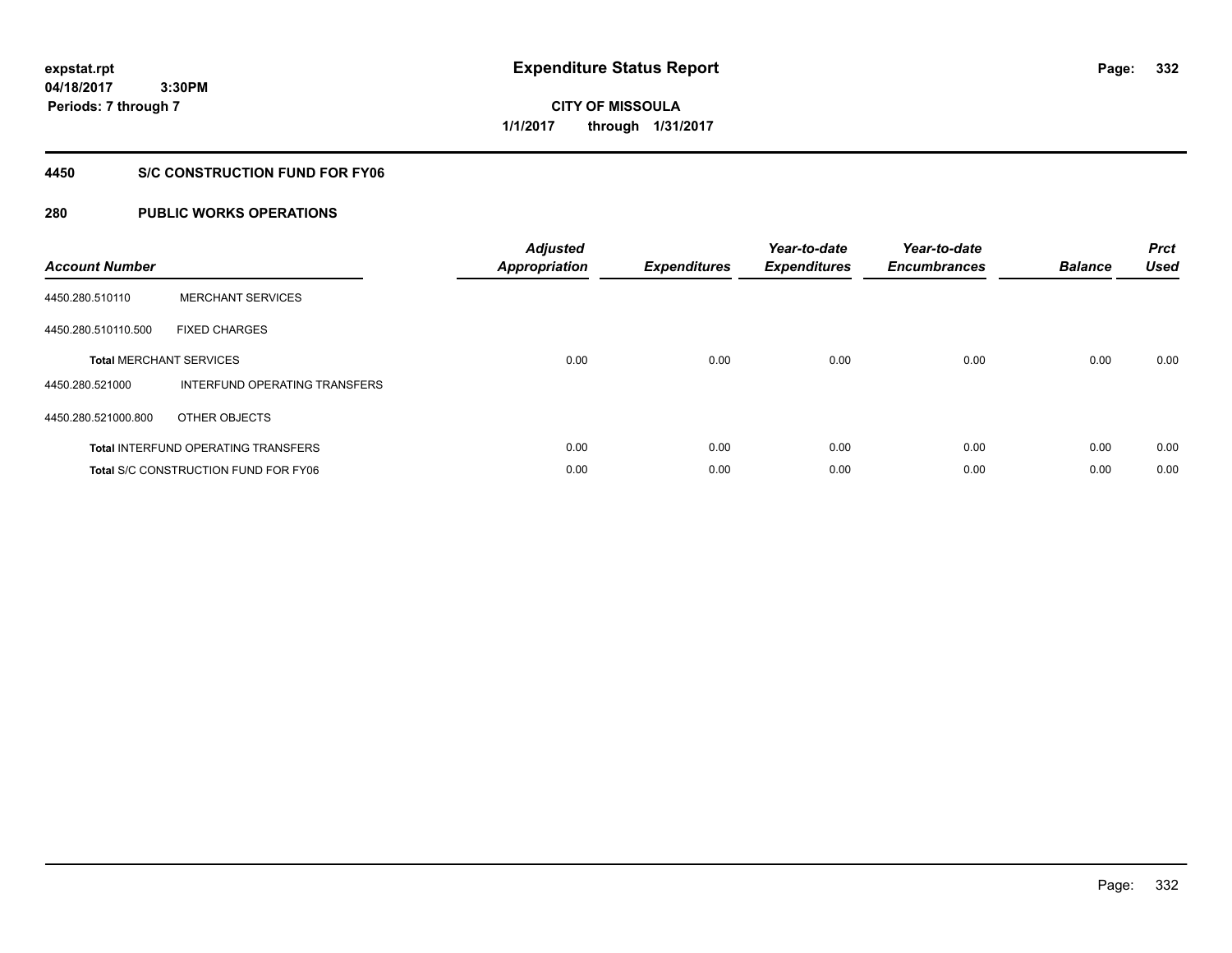**CITY OF MISSOULA 1/1/2017 through 1/31/2017**

# **4450 S/C CONSTRUCTION FUND FOR FY06**

| <b>Account Number</b> |                                             | <b>Adjusted</b><br><b>Appropriation</b> | <b>Expenditures</b> | Year-to-date<br><b>Expenditures</b> | Year-to-date<br><b>Encumbrances</b> | <b>Balance</b> | <b>Prct</b><br><b>Used</b> |
|-----------------------|---------------------------------------------|-----------------------------------------|---------------------|-------------------------------------|-------------------------------------|----------------|----------------------------|
| 4450.280.510110       | <b>MERCHANT SERVICES</b>                    |                                         |                     |                                     |                                     |                |                            |
| 4450.280.510110.500   | <b>FIXED CHARGES</b>                        |                                         |                     |                                     |                                     |                |                            |
|                       | <b>Total MERCHANT SERVICES</b>              | 0.00                                    | 0.00                | 0.00                                | 0.00                                | 0.00           | 0.00                       |
| 4450.280.521000       | INTERFUND OPERATING TRANSFERS               |                                         |                     |                                     |                                     |                |                            |
| 4450.280.521000.800   | OTHER OBJECTS                               |                                         |                     |                                     |                                     |                |                            |
|                       | <b>Total INTERFUND OPERATING TRANSFERS</b>  | 0.00                                    | 0.00                | 0.00                                | 0.00                                | 0.00           | 0.00                       |
|                       | <b>Total S/C CONSTRUCTION FUND FOR FY06</b> | 0.00                                    | 0.00                | 0.00                                | 0.00                                | 0.00           | 0.00                       |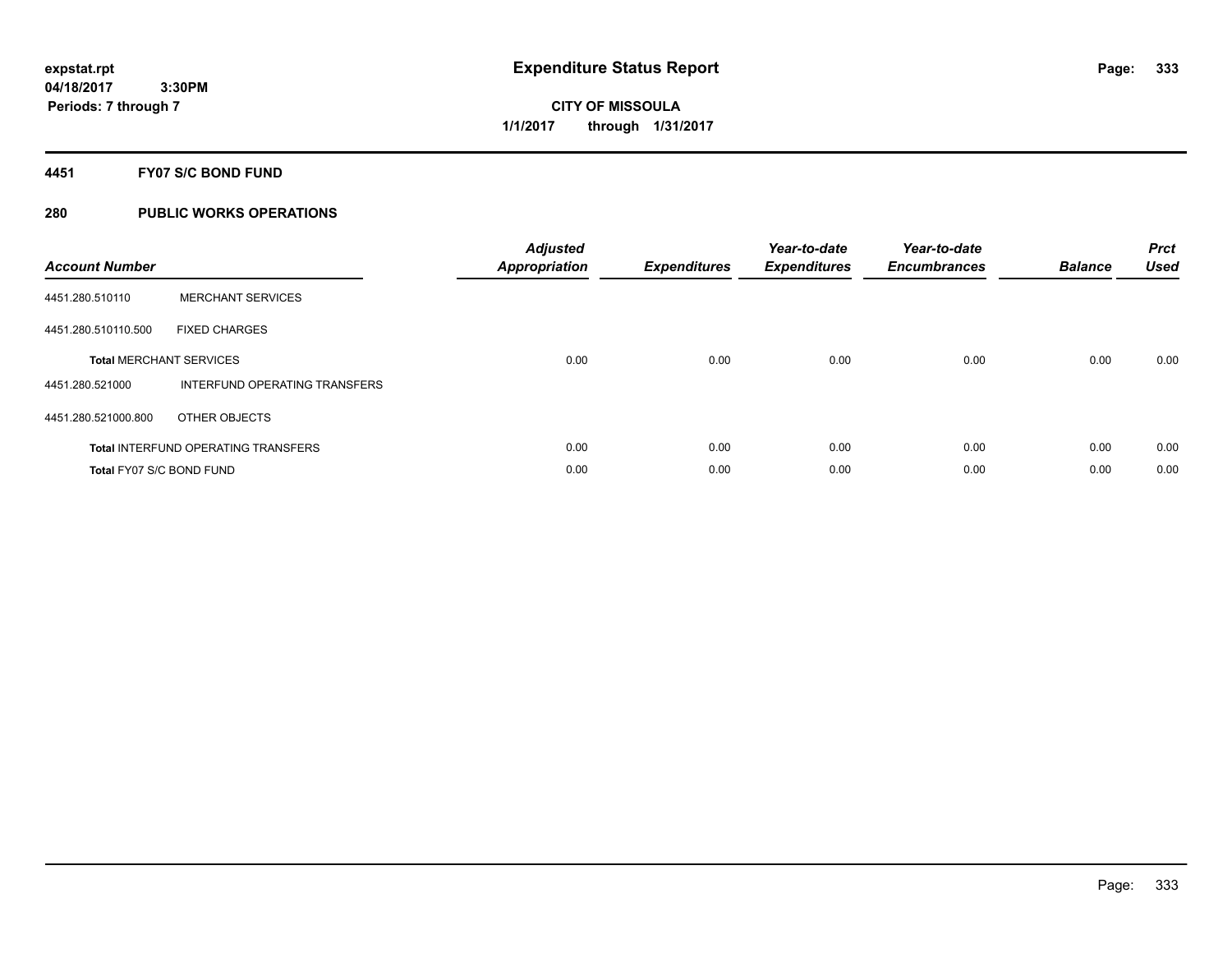# **CITY OF MISSOULA 1/1/2017 through 1/31/2017**

# **4451 FY07 S/C BOND FUND**

| <b>Account Number</b>    |                                            | <b>Adjusted</b><br>Appropriation | <b>Expenditures</b> | Year-to-date<br><b>Expenditures</b> | Year-to-date<br><b>Encumbrances</b> | <b>Balance</b> | <b>Prct</b><br><b>Used</b> |
|--------------------------|--------------------------------------------|----------------------------------|---------------------|-------------------------------------|-------------------------------------|----------------|----------------------------|
| 4451.280.510110          | <b>MERCHANT SERVICES</b>                   |                                  |                     |                                     |                                     |                |                            |
| 4451.280.510110.500      | <b>FIXED CHARGES</b>                       |                                  |                     |                                     |                                     |                |                            |
|                          | <b>Total MERCHANT SERVICES</b>             | 0.00                             | 0.00                | 0.00                                | 0.00                                | 0.00           | 0.00                       |
| 4451.280.521000          | INTERFUND OPERATING TRANSFERS              |                                  |                     |                                     |                                     |                |                            |
| 4451.280.521000.800      | OTHER OBJECTS                              |                                  |                     |                                     |                                     |                |                            |
|                          | <b>Total INTERFUND OPERATING TRANSFERS</b> | 0.00                             | 0.00                | 0.00                                | 0.00                                | 0.00           | 0.00                       |
| Total FY07 S/C BOND FUND |                                            | 0.00                             | 0.00                | 0.00                                | 0.00                                | 0.00           | 0.00                       |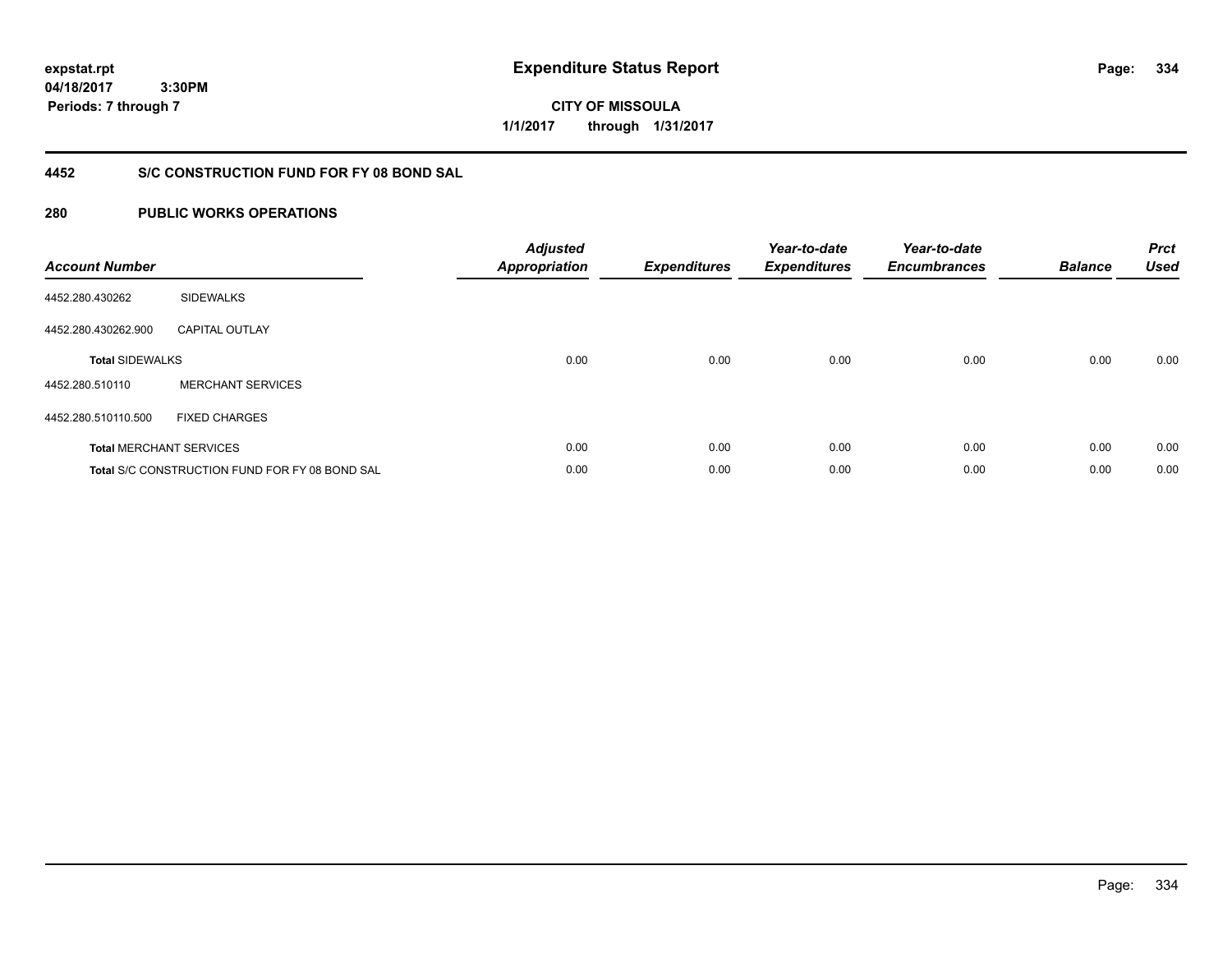**04/18/2017 3:30PM Periods: 7 through 7**

**CITY OF MISSOULA 1/1/2017 through 1/31/2017**

# **4452 S/C CONSTRUCTION FUND FOR FY 08 BOND SAL**

| <b>Account Number</b>  |                                                | <b>Adjusted</b><br><b>Appropriation</b> | <b>Expenditures</b> | Year-to-date<br><b>Expenditures</b> | Year-to-date<br><b>Encumbrances</b> | <b>Balance</b> | <b>Prct</b><br><b>Used</b> |
|------------------------|------------------------------------------------|-----------------------------------------|---------------------|-------------------------------------|-------------------------------------|----------------|----------------------------|
| 4452.280.430262        | <b>SIDEWALKS</b>                               |                                         |                     |                                     |                                     |                |                            |
| 4452.280.430262.900    | <b>CAPITAL OUTLAY</b>                          |                                         |                     |                                     |                                     |                |                            |
| <b>Total SIDEWALKS</b> |                                                | 0.00                                    | 0.00                | 0.00                                | 0.00                                | 0.00           | 0.00                       |
| 4452.280.510110        | <b>MERCHANT SERVICES</b>                       |                                         |                     |                                     |                                     |                |                            |
| 4452.280.510110.500    | <b>FIXED CHARGES</b>                           |                                         |                     |                                     |                                     |                |                            |
|                        | <b>Total MERCHANT SERVICES</b>                 | 0.00                                    | 0.00                | 0.00                                | 0.00                                | 0.00           | 0.00                       |
|                        | Total S/C CONSTRUCTION FUND FOR FY 08 BOND SAL | 0.00                                    | 0.00                | 0.00                                | 0.00                                | 0.00           | 0.00                       |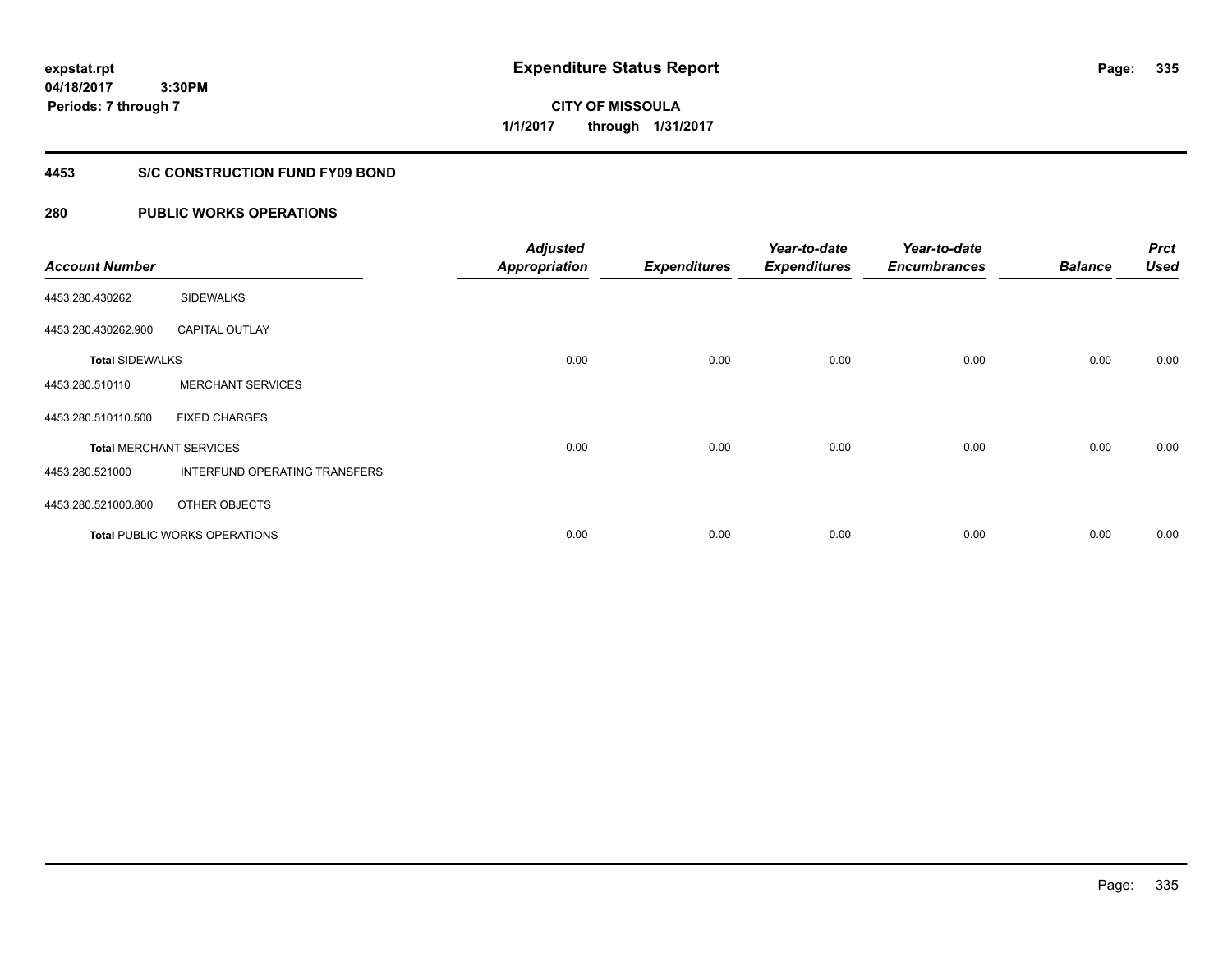**04/18/2017 3:30PM Periods: 7 through 7**

**CITY OF MISSOULA 1/1/2017 through 1/31/2017**

# **4453 S/C CONSTRUCTION FUND FY09 BOND**

| <b>Account Number</b>  |                                      | <b>Adjusted</b><br><b>Appropriation</b> | <b>Expenditures</b> | Year-to-date<br><b>Expenditures</b> | Year-to-date<br><b>Encumbrances</b> | <b>Balance</b> | <b>Prct</b><br><b>Used</b> |
|------------------------|--------------------------------------|-----------------------------------------|---------------------|-------------------------------------|-------------------------------------|----------------|----------------------------|
| 4453.280.430262        | <b>SIDEWALKS</b>                     |                                         |                     |                                     |                                     |                |                            |
| 4453.280.430262.900    | <b>CAPITAL OUTLAY</b>                |                                         |                     |                                     |                                     |                |                            |
| <b>Total SIDEWALKS</b> |                                      | 0.00                                    | 0.00                | 0.00                                | 0.00                                | 0.00           | 0.00                       |
| 4453.280.510110        | <b>MERCHANT SERVICES</b>             |                                         |                     |                                     |                                     |                |                            |
| 4453.280.510110.500    | <b>FIXED CHARGES</b>                 |                                         |                     |                                     |                                     |                |                            |
|                        | <b>Total MERCHANT SERVICES</b>       | 0.00                                    | 0.00                | 0.00                                | 0.00                                | 0.00           | 0.00                       |
| 4453.280.521000        | <b>INTERFUND OPERATING TRANSFERS</b> |                                         |                     |                                     |                                     |                |                            |
| 4453.280.521000.800    | OTHER OBJECTS                        |                                         |                     |                                     |                                     |                |                            |
|                        | <b>Total PUBLIC WORKS OPERATIONS</b> | 0.00                                    | 0.00                | 0.00                                | 0.00                                | 0.00           | 0.00                       |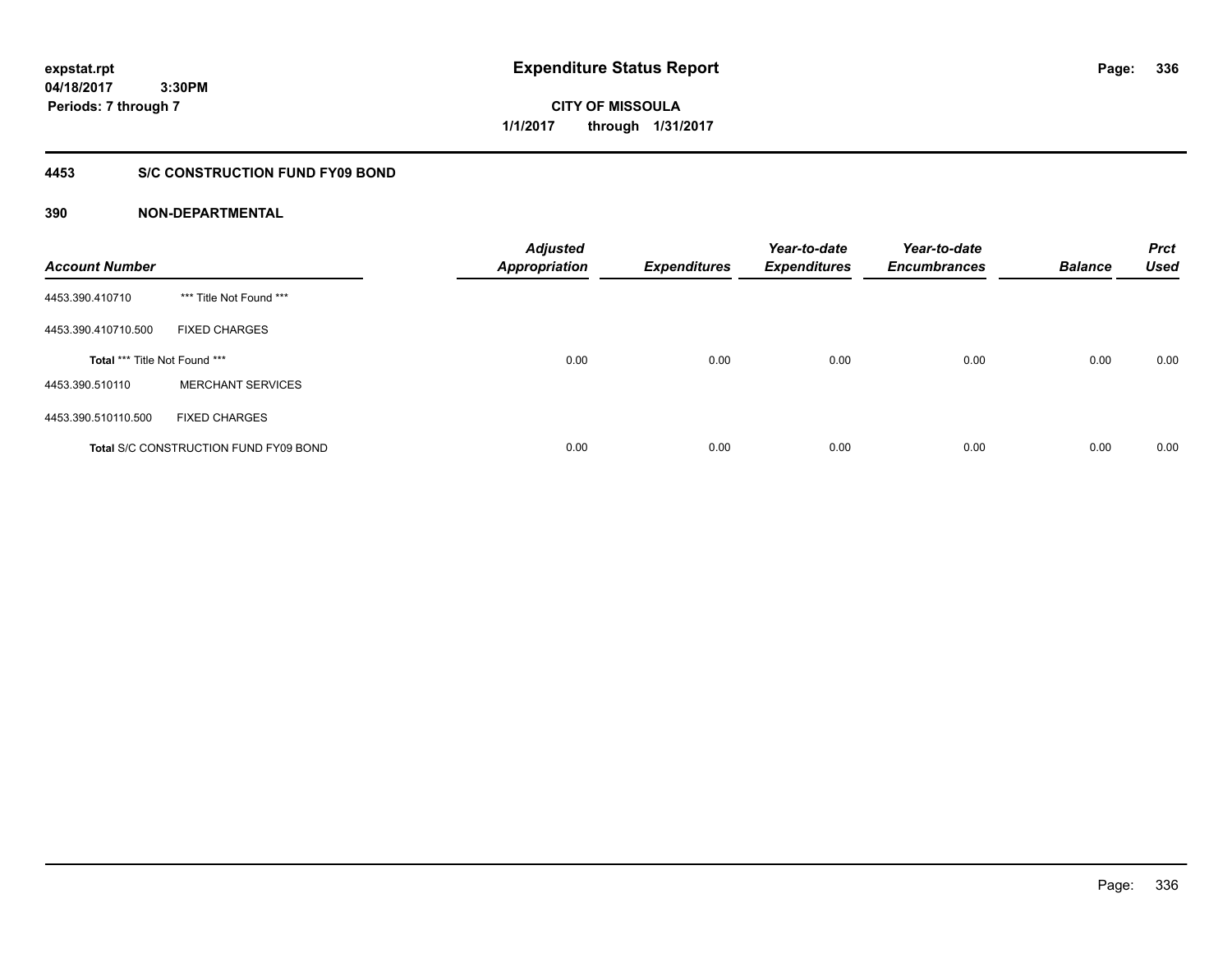**expstat.rpt Expenditure Status Report Page:**

**04/18/2017 3:30PM Periods: 7 through 7**

**CITY OF MISSOULA 1/1/2017 through 1/31/2017**

# **4453 S/C CONSTRUCTION FUND FY09 BOND**

| <b>Account Number</b>         |                                              | <b>Adjusted</b><br><b>Appropriation</b> | <b>Expenditures</b> | Year-to-date<br><b>Expenditures</b> | Year-to-date<br><b>Encumbrances</b> | <b>Balance</b> | <b>Prct</b><br><b>Used</b> |
|-------------------------------|----------------------------------------------|-----------------------------------------|---------------------|-------------------------------------|-------------------------------------|----------------|----------------------------|
| 4453.390.410710               | *** Title Not Found ***                      |                                         |                     |                                     |                                     |                |                            |
| 4453.390.410710.500           | <b>FIXED CHARGES</b>                         |                                         |                     |                                     |                                     |                |                            |
| Total *** Title Not Found *** |                                              | 0.00                                    | 0.00                | 0.00                                | 0.00                                | 0.00           | 0.00                       |
| 4453.390.510110               | <b>MERCHANT SERVICES</b>                     |                                         |                     |                                     |                                     |                |                            |
| 4453.390.510110.500           | <b>FIXED CHARGES</b>                         |                                         |                     |                                     |                                     |                |                            |
|                               | <b>Total S/C CONSTRUCTION FUND FY09 BOND</b> | 0.00                                    | 0.00                | 0.00                                | 0.00                                | 0.00           | 0.00                       |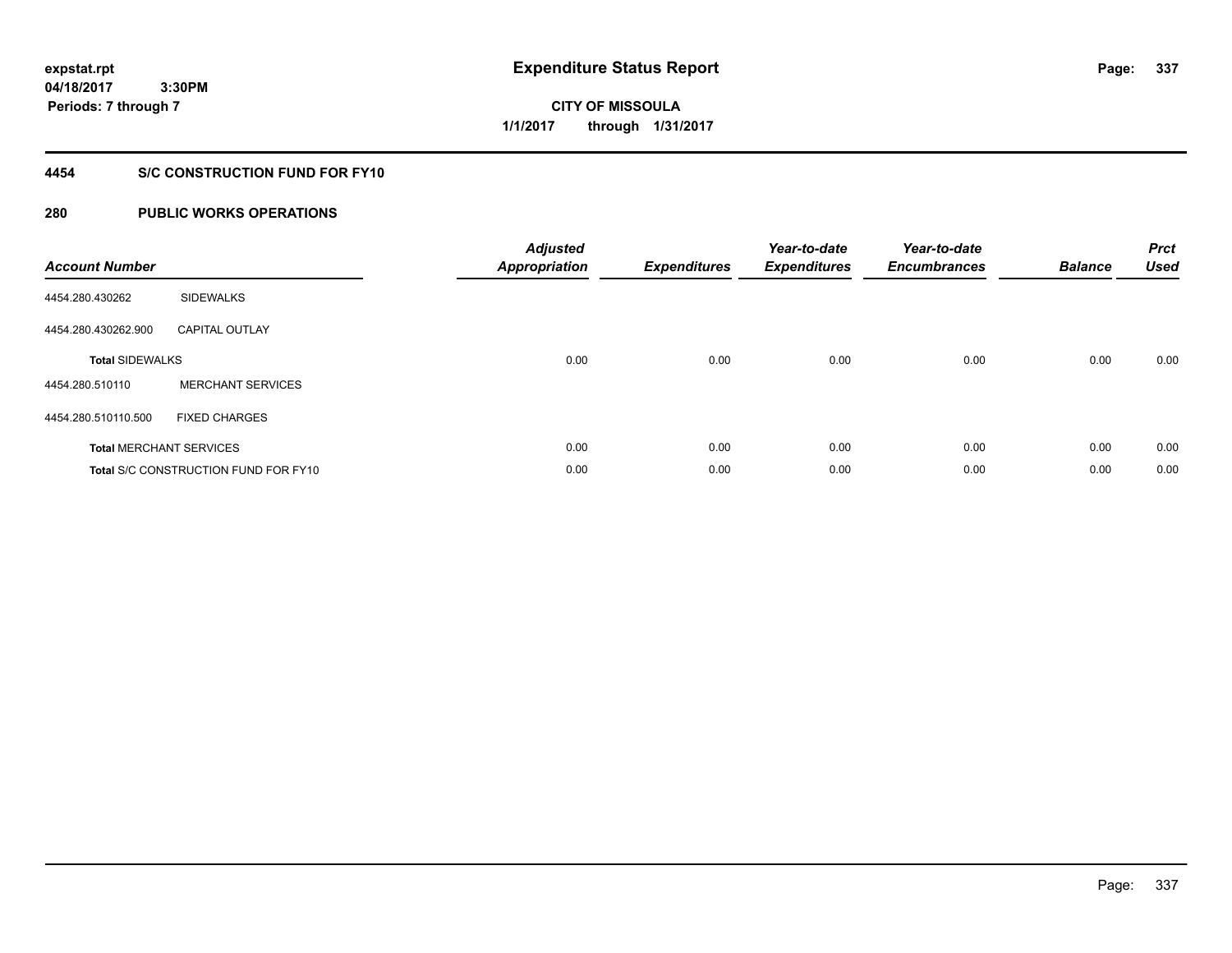**04/18/2017 3:30PM Periods: 7 through 7**

**CITY OF MISSOULA 1/1/2017 through 1/31/2017**

# **4454 S/C CONSTRUCTION FUND FOR FY10**

| <b>Account Number</b>          |                                      | <b>Adjusted</b><br><b>Appropriation</b> | <b>Expenditures</b> | Year-to-date<br><b>Expenditures</b> | Year-to-date<br><b>Encumbrances</b> | <b>Balance</b> | <b>Prct</b><br><b>Used</b> |
|--------------------------------|--------------------------------------|-----------------------------------------|---------------------|-------------------------------------|-------------------------------------|----------------|----------------------------|
| 4454.280.430262                | <b>SIDEWALKS</b>                     |                                         |                     |                                     |                                     |                |                            |
| 4454.280.430262.900            | <b>CAPITAL OUTLAY</b>                |                                         |                     |                                     |                                     |                |                            |
| <b>Total SIDEWALKS</b>         |                                      | 0.00                                    | 0.00                | 0.00                                | 0.00                                | 0.00           | 0.00                       |
| 4454.280.510110                | <b>MERCHANT SERVICES</b>             |                                         |                     |                                     |                                     |                |                            |
| 4454.280.510110.500            | <b>FIXED CHARGES</b>                 |                                         |                     |                                     |                                     |                |                            |
| <b>Total MERCHANT SERVICES</b> |                                      | 0.00                                    | 0.00                | 0.00                                | 0.00                                | 0.00           | 0.00                       |
|                                | Total S/C CONSTRUCTION FUND FOR FY10 | 0.00                                    | 0.00                | 0.00                                | 0.00                                | 0.00           | 0.00                       |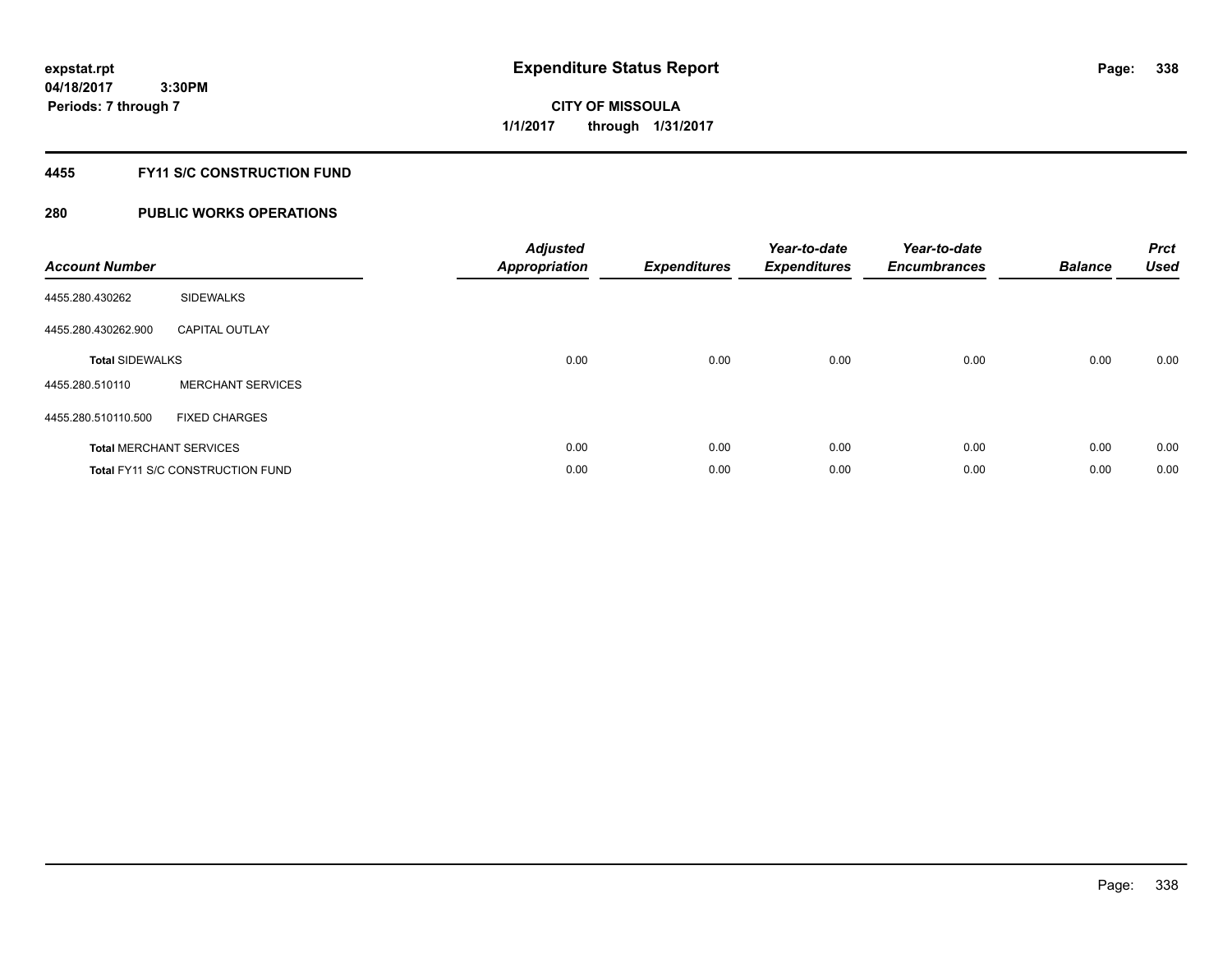**Periods: 7 through 7**

**CITY OF MISSOULA 1/1/2017 through 1/31/2017**

# **4455 FY11 S/C CONSTRUCTION FUND**

# **280 PUBLIC WORKS OPERATIONS**

 **3:30PM**

| <b>Account Number</b>  |                                         | <b>Adjusted</b><br><b>Appropriation</b> | <b>Expenditures</b> | Year-to-date<br><b>Expenditures</b> | Year-to-date<br><b>Encumbrances</b> | <b>Balance</b> | <b>Prct</b><br><b>Used</b> |
|------------------------|-----------------------------------------|-----------------------------------------|---------------------|-------------------------------------|-------------------------------------|----------------|----------------------------|
| 4455.280.430262        | <b>SIDEWALKS</b>                        |                                         |                     |                                     |                                     |                |                            |
| 4455.280.430262.900    | <b>CAPITAL OUTLAY</b>                   |                                         |                     |                                     |                                     |                |                            |
| <b>Total SIDEWALKS</b> |                                         | 0.00                                    | 0.00                | 0.00                                | 0.00                                | 0.00           | 0.00                       |
| 4455.280.510110        | <b>MERCHANT SERVICES</b>                |                                         |                     |                                     |                                     |                |                            |
| 4455.280.510110.500    | <b>FIXED CHARGES</b>                    |                                         |                     |                                     |                                     |                |                            |
|                        | <b>Total MERCHANT SERVICES</b>          | 0.00                                    | 0.00                | 0.00                                | 0.00                                | 0.00           | 0.00                       |
|                        | <b>Total FY11 S/C CONSTRUCTION FUND</b> | 0.00                                    | 0.00                | 0.00                                | 0.00                                | 0.00           | 0.00                       |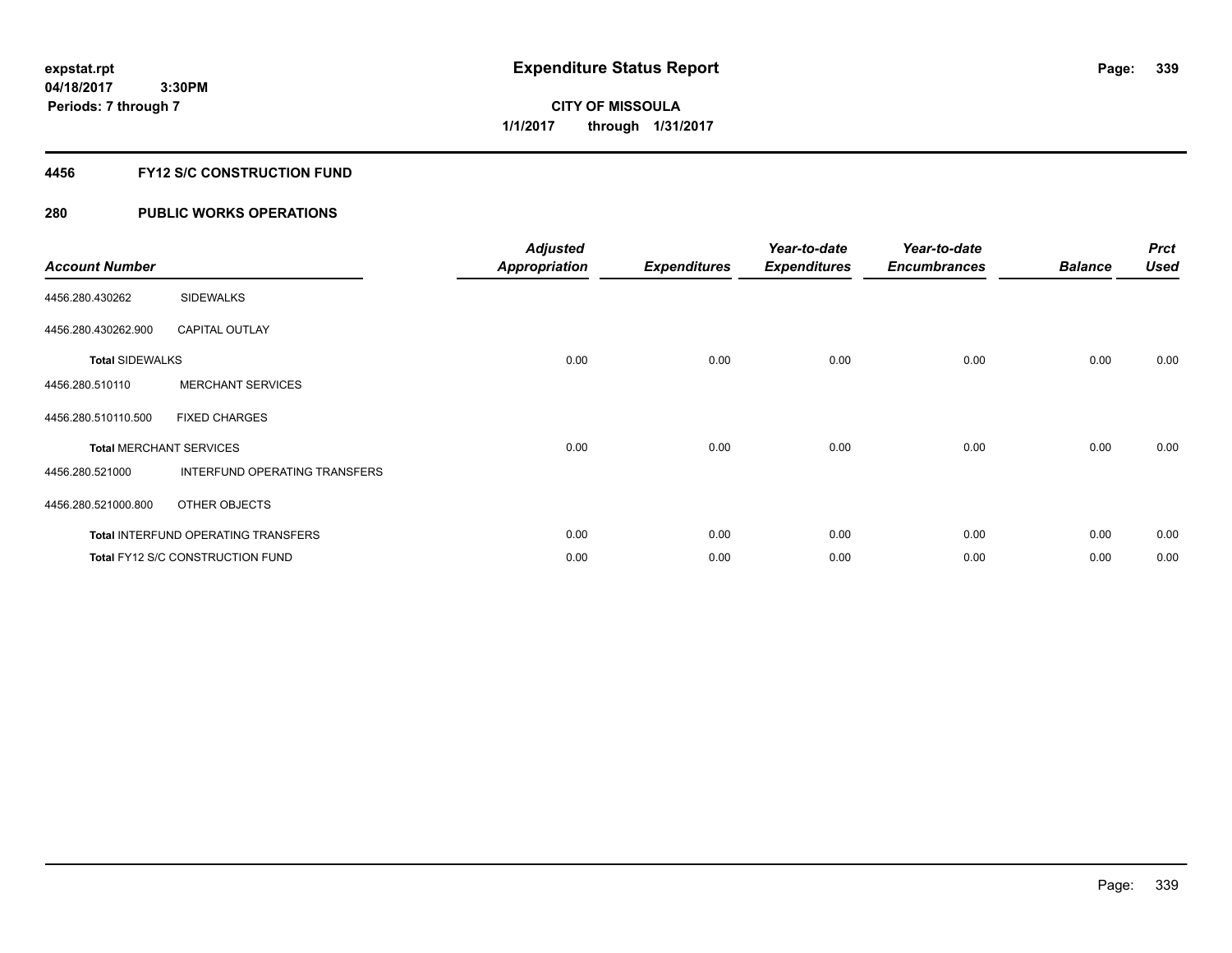# **CITY OF MISSOULA 1/1/2017 through 1/31/2017**

# **4456 FY12 S/C CONSTRUCTION FUND**

| <b>Account Number</b>          |                                     | <b>Adjusted</b><br><b>Appropriation</b> | <b>Expenditures</b> | Year-to-date<br><b>Expenditures</b> | Year-to-date<br><b>Encumbrances</b> | <b>Balance</b> | <b>Prct</b><br><b>Used</b> |
|--------------------------------|-------------------------------------|-----------------------------------------|---------------------|-------------------------------------|-------------------------------------|----------------|----------------------------|
| 4456.280.430262                | <b>SIDEWALKS</b>                    |                                         |                     |                                     |                                     |                |                            |
| 4456.280.430262.900            | <b>CAPITAL OUTLAY</b>               |                                         |                     |                                     |                                     |                |                            |
| <b>Total SIDEWALKS</b>         |                                     | 0.00                                    | 0.00                | 0.00                                | 0.00                                | 0.00           | 0.00                       |
| 4456.280.510110                | <b>MERCHANT SERVICES</b>            |                                         |                     |                                     |                                     |                |                            |
| 4456.280.510110.500            | <b>FIXED CHARGES</b>                |                                         |                     |                                     |                                     |                |                            |
| <b>Total MERCHANT SERVICES</b> |                                     | 0.00                                    | 0.00                | 0.00                                | 0.00                                | 0.00           | 0.00                       |
| 4456.280.521000                | INTERFUND OPERATING TRANSFERS       |                                         |                     |                                     |                                     |                |                            |
| 4456.280.521000.800            | OTHER OBJECTS                       |                                         |                     |                                     |                                     |                |                            |
|                                | Total INTERFUND OPERATING TRANSFERS | 0.00                                    | 0.00                | 0.00                                | 0.00                                | 0.00           | 0.00                       |
|                                | Total FY12 S/C CONSTRUCTION FUND    | 0.00                                    | 0.00                | 0.00                                | 0.00                                | 0.00           | 0.00                       |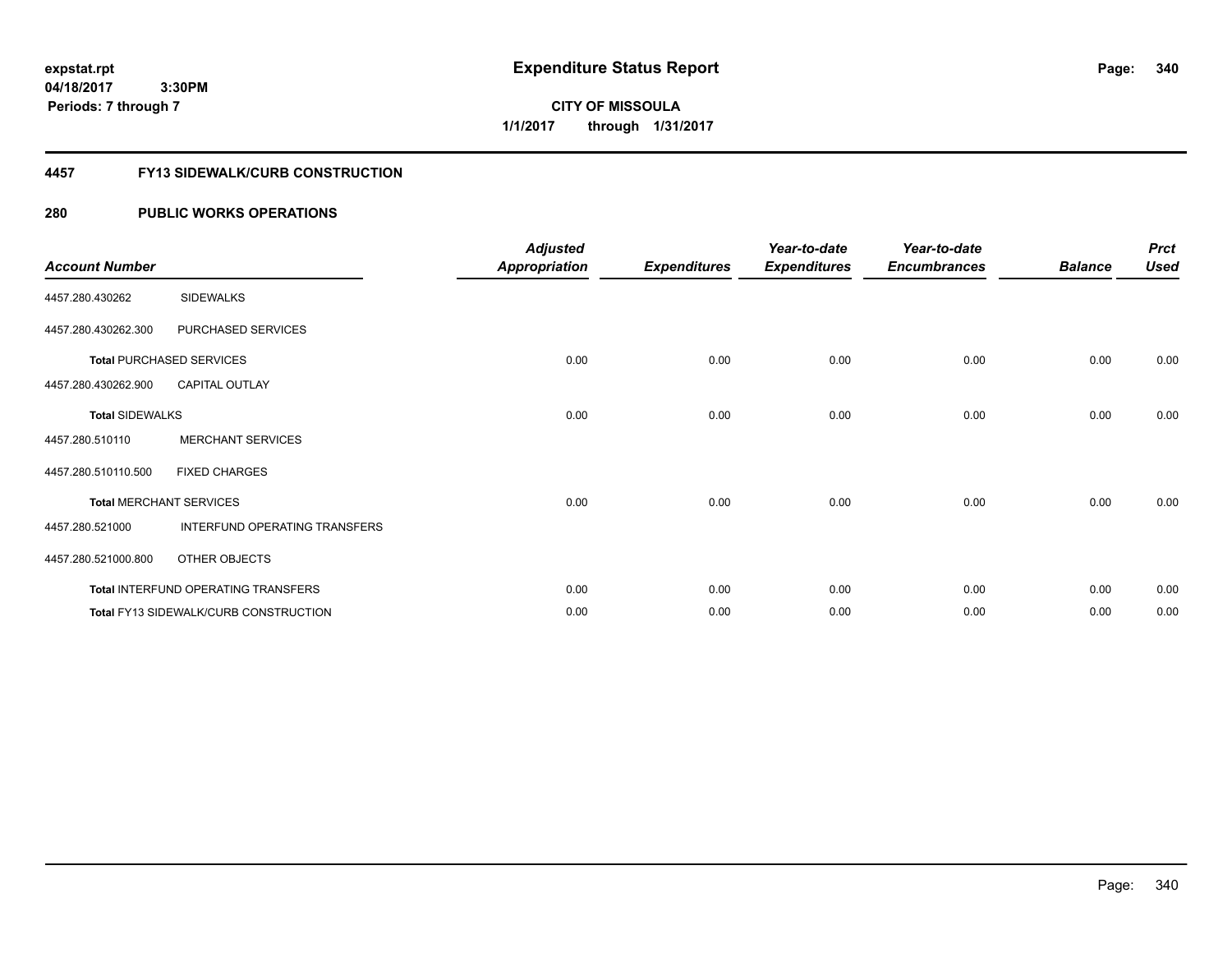**04/18/2017 3:30PM Periods: 7 through 7**

**CITY OF MISSOULA 1/1/2017 through 1/31/2017**

## **4457 FY13 SIDEWALK/CURB CONSTRUCTION**

| <b>Account Number</b>  |                                              | <b>Adjusted</b><br><b>Appropriation</b> | <b>Expenditures</b> | Year-to-date<br><b>Expenditures</b> | Year-to-date<br><b>Encumbrances</b> | <b>Balance</b> | <b>Prct</b><br><b>Used</b> |
|------------------------|----------------------------------------------|-----------------------------------------|---------------------|-------------------------------------|-------------------------------------|----------------|----------------------------|
| 4457.280.430262        | <b>SIDEWALKS</b>                             |                                         |                     |                                     |                                     |                |                            |
| 4457.280.430262.300    | PURCHASED SERVICES                           |                                         |                     |                                     |                                     |                |                            |
|                        | <b>Total PURCHASED SERVICES</b>              | 0.00                                    | 0.00                | 0.00                                | 0.00                                | 0.00           | 0.00                       |
| 4457.280.430262.900    | <b>CAPITAL OUTLAY</b>                        |                                         |                     |                                     |                                     |                |                            |
| <b>Total SIDEWALKS</b> |                                              | 0.00                                    | 0.00                | 0.00                                | 0.00                                | 0.00           | 0.00                       |
| 4457.280.510110        | <b>MERCHANT SERVICES</b>                     |                                         |                     |                                     |                                     |                |                            |
| 4457.280.510110.500    | <b>FIXED CHARGES</b>                         |                                         |                     |                                     |                                     |                |                            |
|                        | <b>Total MERCHANT SERVICES</b>               | 0.00                                    | 0.00                | 0.00                                | 0.00                                | 0.00           | 0.00                       |
| 4457.280.521000        | INTERFUND OPERATING TRANSFERS                |                                         |                     |                                     |                                     |                |                            |
| 4457.280.521000.800    | OTHER OBJECTS                                |                                         |                     |                                     |                                     |                |                            |
|                        | Total INTERFUND OPERATING TRANSFERS          | 0.00                                    | 0.00                | 0.00                                | 0.00                                | 0.00           | 0.00                       |
|                        | <b>Total FY13 SIDEWALK/CURB CONSTRUCTION</b> | 0.00                                    | 0.00                | 0.00                                | 0.00                                | 0.00           | 0.00                       |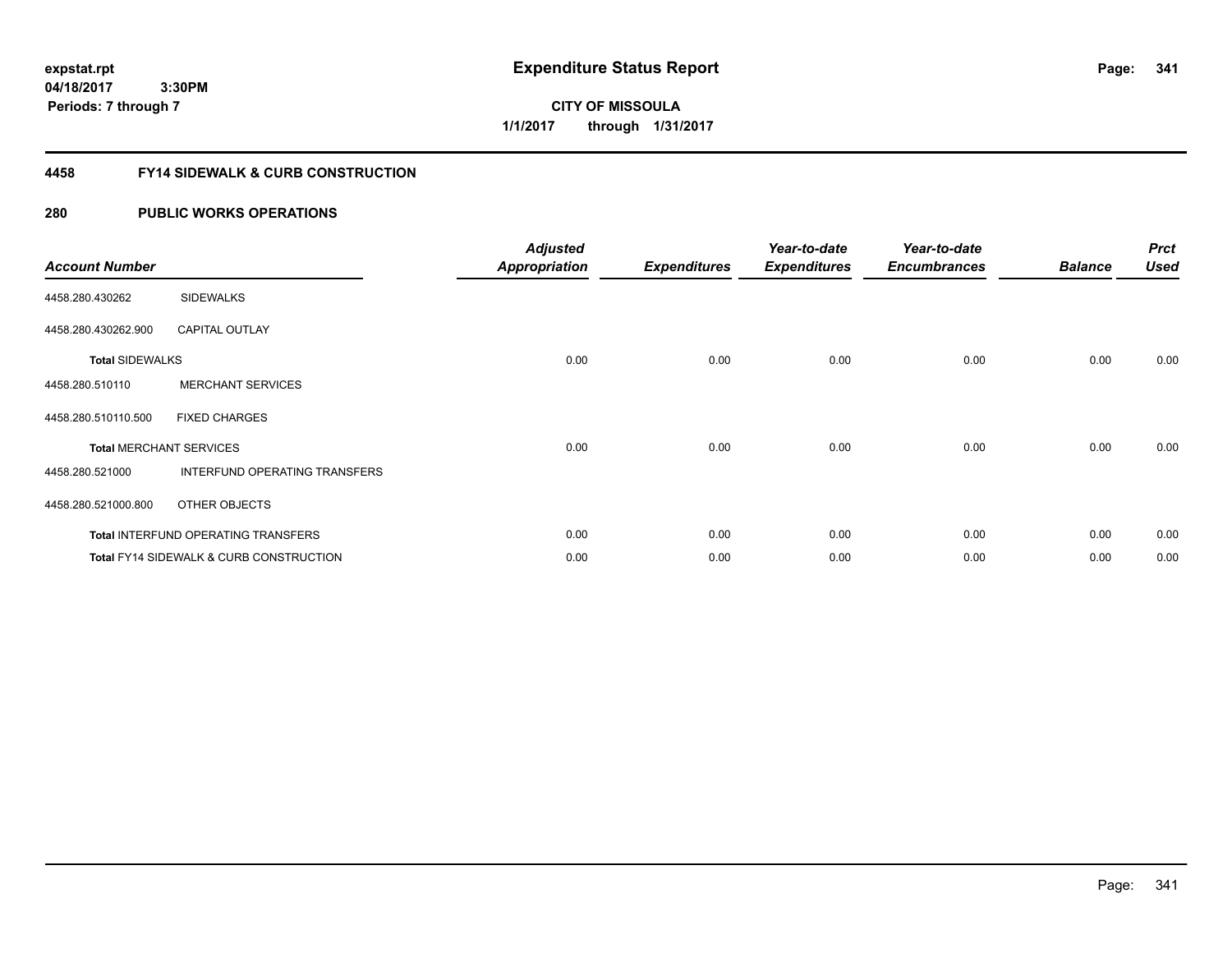**CITY OF MISSOULA 1/1/2017 through 1/31/2017**

# **4458 FY14 SIDEWALK & CURB CONSTRUCTION**

| <b>Account Number</b>  |                                                    | <b>Adjusted</b><br><b>Appropriation</b> | <b>Expenditures</b> | Year-to-date<br><b>Expenditures</b> | Year-to-date<br><b>Encumbrances</b> | <b>Balance</b> | <b>Prct</b><br><b>Used</b> |
|------------------------|----------------------------------------------------|-----------------------------------------|---------------------|-------------------------------------|-------------------------------------|----------------|----------------------------|
| 4458.280.430262        | <b>SIDEWALKS</b>                                   |                                         |                     |                                     |                                     |                |                            |
| 4458.280.430262.900    | <b>CAPITAL OUTLAY</b>                              |                                         |                     |                                     |                                     |                |                            |
| <b>Total SIDEWALKS</b> |                                                    | 0.00                                    | 0.00                | 0.00                                | 0.00                                | 0.00           | 0.00                       |
| 4458.280.510110        | <b>MERCHANT SERVICES</b>                           |                                         |                     |                                     |                                     |                |                            |
| 4458.280.510110.500    | <b>FIXED CHARGES</b>                               |                                         |                     |                                     |                                     |                |                            |
|                        | <b>Total MERCHANT SERVICES</b>                     | 0.00                                    | 0.00                | 0.00                                | 0.00                                | 0.00           | 0.00                       |
| 4458.280.521000        | INTERFUND OPERATING TRANSFERS                      |                                         |                     |                                     |                                     |                |                            |
| 4458.280.521000.800    | OTHER OBJECTS                                      |                                         |                     |                                     |                                     |                |                            |
|                        | <b>Total INTERFUND OPERATING TRANSFERS</b>         | 0.00                                    | 0.00                | 0.00                                | 0.00                                | 0.00           | 0.00                       |
|                        | <b>Total FY14 SIDEWALK &amp; CURB CONSTRUCTION</b> | 0.00                                    | 0.00                | 0.00                                | 0.00                                | 0.00           | 0.00                       |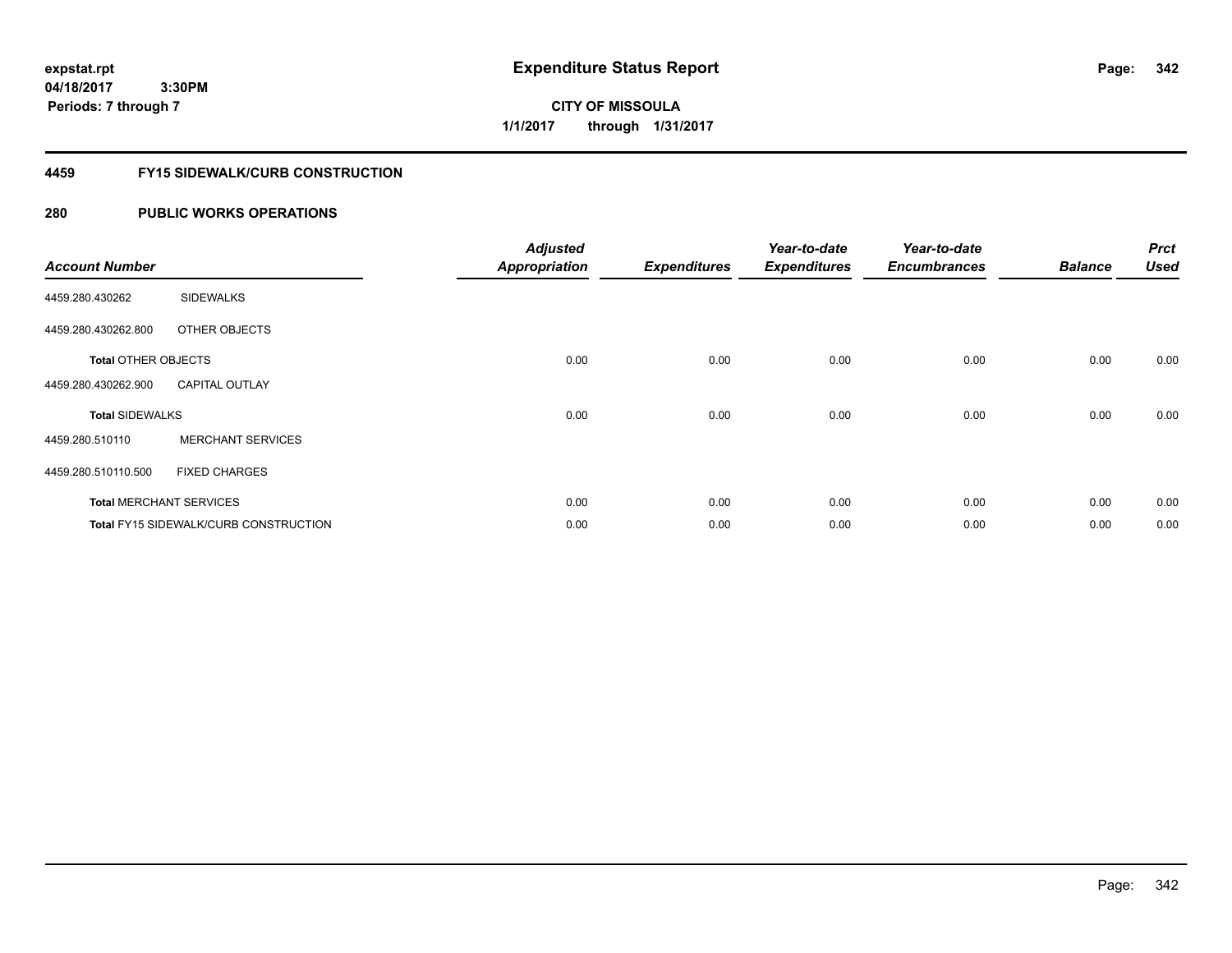**04/18/2017 3:30PM Periods: 7 through 7**

**CITY OF MISSOULA 1/1/2017 through 1/31/2017**

# **4459 FY15 SIDEWALK/CURB CONSTRUCTION**

| <b>Account Number</b>      |                                              | <b>Adjusted</b><br><b>Appropriation</b> | <b>Expenditures</b> | Year-to-date<br><b>Expenditures</b> | Year-to-date<br><b>Encumbrances</b> | <b>Balance</b> | <b>Prct</b><br><b>Used</b> |
|----------------------------|----------------------------------------------|-----------------------------------------|---------------------|-------------------------------------|-------------------------------------|----------------|----------------------------|
| 4459.280.430262            | <b>SIDEWALKS</b>                             |                                         |                     |                                     |                                     |                |                            |
| 4459.280.430262.800        | OTHER OBJECTS                                |                                         |                     |                                     |                                     |                |                            |
| <b>Total OTHER OBJECTS</b> |                                              | 0.00                                    | 0.00                | 0.00                                | 0.00                                | 0.00           | 0.00                       |
| 4459.280.430262.900        | <b>CAPITAL OUTLAY</b>                        |                                         |                     |                                     |                                     |                |                            |
| <b>Total SIDEWALKS</b>     |                                              | 0.00                                    | 0.00                | 0.00                                | 0.00                                | 0.00           | 0.00                       |
| 4459.280.510110            | <b>MERCHANT SERVICES</b>                     |                                         |                     |                                     |                                     |                |                            |
| 4459.280.510110.500        | <b>FIXED CHARGES</b>                         |                                         |                     |                                     |                                     |                |                            |
|                            | <b>Total MERCHANT SERVICES</b>               | 0.00                                    | 0.00                | 0.00                                | 0.00                                | 0.00           | 0.00                       |
|                            | <b>Total FY15 SIDEWALK/CURB CONSTRUCTION</b> | 0.00                                    | 0.00                | 0.00                                | 0.00                                | 0.00           | 0.00                       |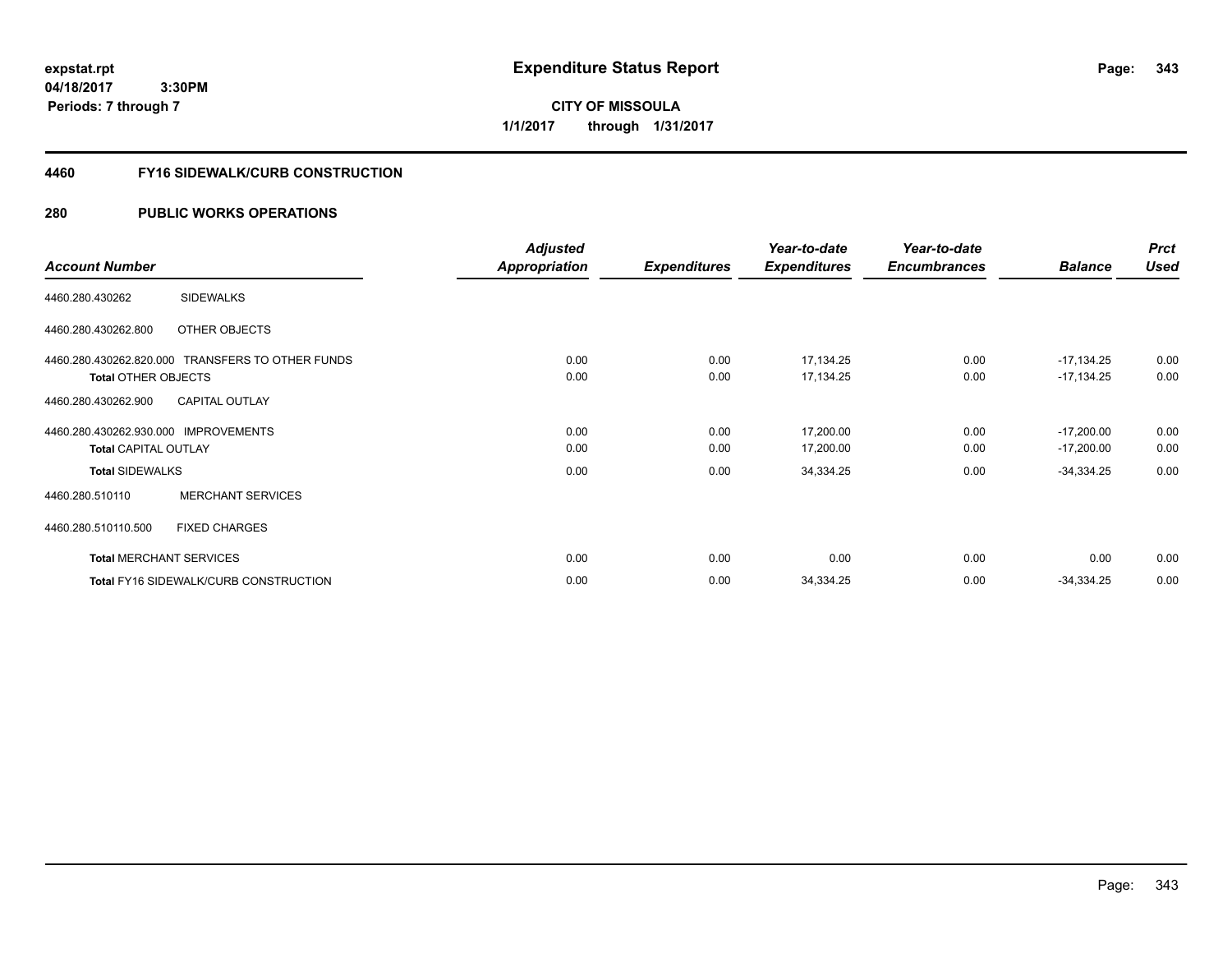**CITY OF MISSOULA 1/1/2017 through 1/31/2017**

### **4460 FY16 SIDEWALK/CURB CONSTRUCTION**

|                                                  | <b>Adjusted</b>      |                     | Year-to-date        | Year-to-date        |                | <b>Prct</b> |
|--------------------------------------------------|----------------------|---------------------|---------------------|---------------------|----------------|-------------|
| <b>Account Number</b>                            | <b>Appropriation</b> | <b>Expenditures</b> | <b>Expenditures</b> | <b>Encumbrances</b> | <b>Balance</b> | <b>Used</b> |
| <b>SIDEWALKS</b><br>4460.280.430262              |                      |                     |                     |                     |                |             |
| 4460.280.430262.800<br>OTHER OBJECTS             |                      |                     |                     |                     |                |             |
| 4460.280.430262.820.000 TRANSFERS TO OTHER FUNDS | 0.00                 | 0.00                | 17,134.25           | 0.00                | $-17,134.25$   | 0.00        |
| <b>Total OTHER OBJECTS</b>                       | 0.00                 | 0.00                | 17,134.25           | 0.00                | $-17,134.25$   | 0.00        |
| <b>CAPITAL OUTLAY</b><br>4460.280.430262.900     |                      |                     |                     |                     |                |             |
| 4460.280.430262.930.000 IMPROVEMENTS             | 0.00                 | 0.00                | 17,200.00           | 0.00                | $-17,200.00$   | 0.00        |
| <b>Total CAPITAL OUTLAY</b>                      | 0.00                 | 0.00                | 17,200.00           | 0.00                | $-17,200.00$   | 0.00        |
| <b>Total SIDEWALKS</b>                           | 0.00                 | 0.00                | 34,334.25           | 0.00                | $-34,334.25$   | 0.00        |
| <b>MERCHANT SERVICES</b><br>4460.280.510110      |                      |                     |                     |                     |                |             |
| <b>FIXED CHARGES</b><br>4460.280.510110.500      |                      |                     |                     |                     |                |             |
| <b>Total MERCHANT SERVICES</b>                   | 0.00                 | 0.00                | 0.00                | 0.00                | 0.00           | 0.00        |
| <b>Total FY16 SIDEWALK/CURB CONSTRUCTION</b>     | 0.00                 | 0.00                | 34,334.25           | 0.00                | $-34,334.25$   | 0.00        |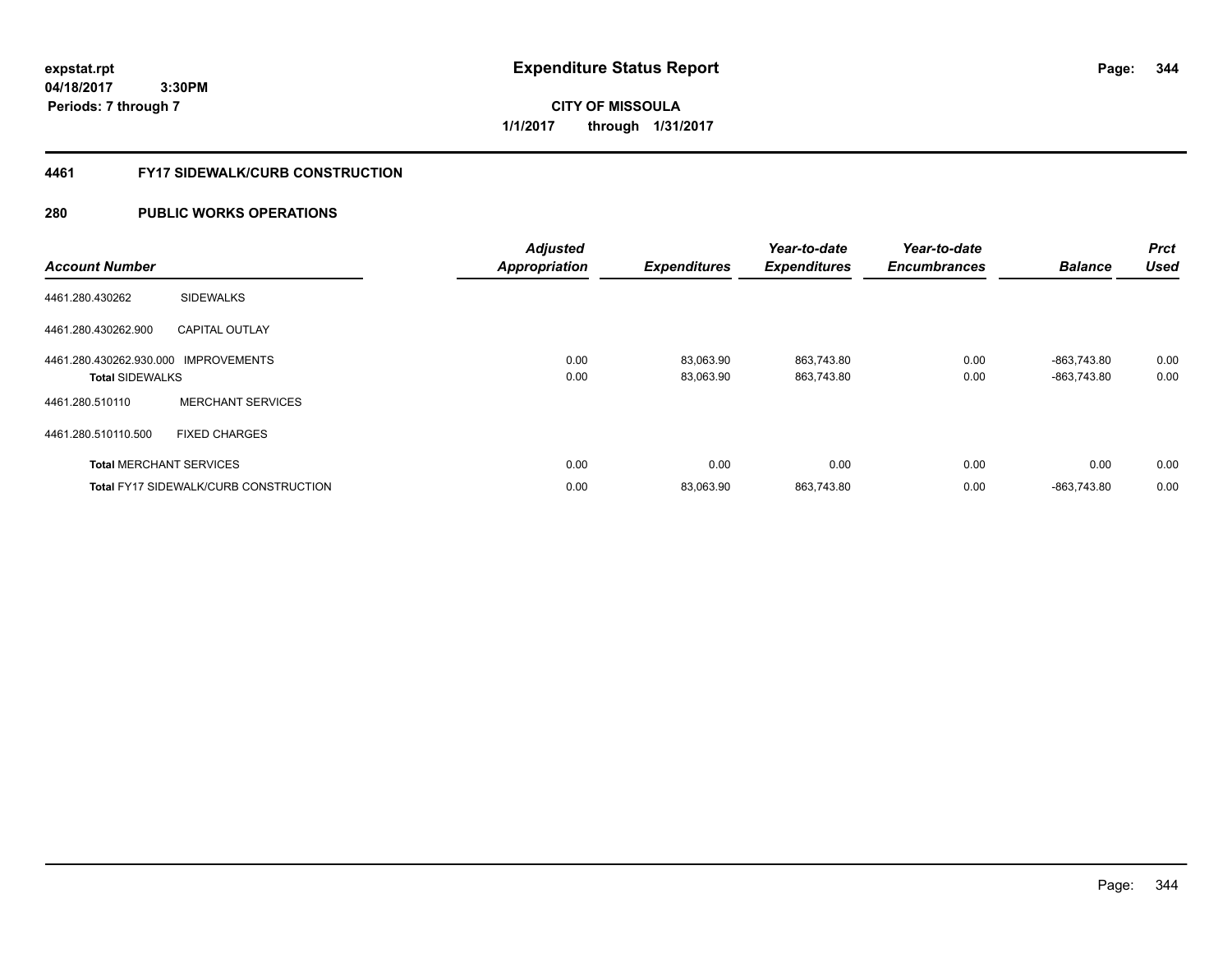**04/18/2017 3:30PM Periods: 7 through 7**

**CITY OF MISSOULA 1/1/2017 through 1/31/2017**

### **4461 FY17 SIDEWALK/CURB CONSTRUCTION**

| <b>Account Number</b>                                          |                                              | <b>Adjusted</b><br><b>Appropriation</b> | <b>Expenditures</b>    | Year-to-date<br><b>Expenditures</b> | Year-to-date<br><b>Encumbrances</b> | <b>Balance</b>             | Prct<br>Used |
|----------------------------------------------------------------|----------------------------------------------|-----------------------------------------|------------------------|-------------------------------------|-------------------------------------|----------------------------|--------------|
| 4461.280.430262                                                | <b>SIDEWALKS</b>                             |                                         |                        |                                     |                                     |                            |              |
| 4461.280.430262.900                                            | <b>CAPITAL OUTLAY</b>                        |                                         |                        |                                     |                                     |                            |              |
| 4461.280.430262.930.000 IMPROVEMENTS<br><b>Total SIDEWALKS</b> |                                              | 0.00<br>0.00                            | 83,063.90<br>83.063.90 | 863,743.80<br>863,743.80            | 0.00<br>0.00                        | -863,743.80<br>-863.743.80 | 0.00<br>0.00 |
| 4461.280.510110                                                | <b>MERCHANT SERVICES</b>                     |                                         |                        |                                     |                                     |                            |              |
| 4461.280.510110.500                                            | <b>FIXED CHARGES</b>                         |                                         |                        |                                     |                                     |                            |              |
|                                                                | <b>Total MERCHANT SERVICES</b>               | 0.00                                    | 0.00                   | 0.00                                | 0.00                                | 0.00                       | 0.00         |
|                                                                | <b>Total FY17 SIDEWALK/CURB CONSTRUCTION</b> | 0.00                                    | 83,063.90              | 863,743.80                          | 0.00                                | -863.743.80                | 0.00         |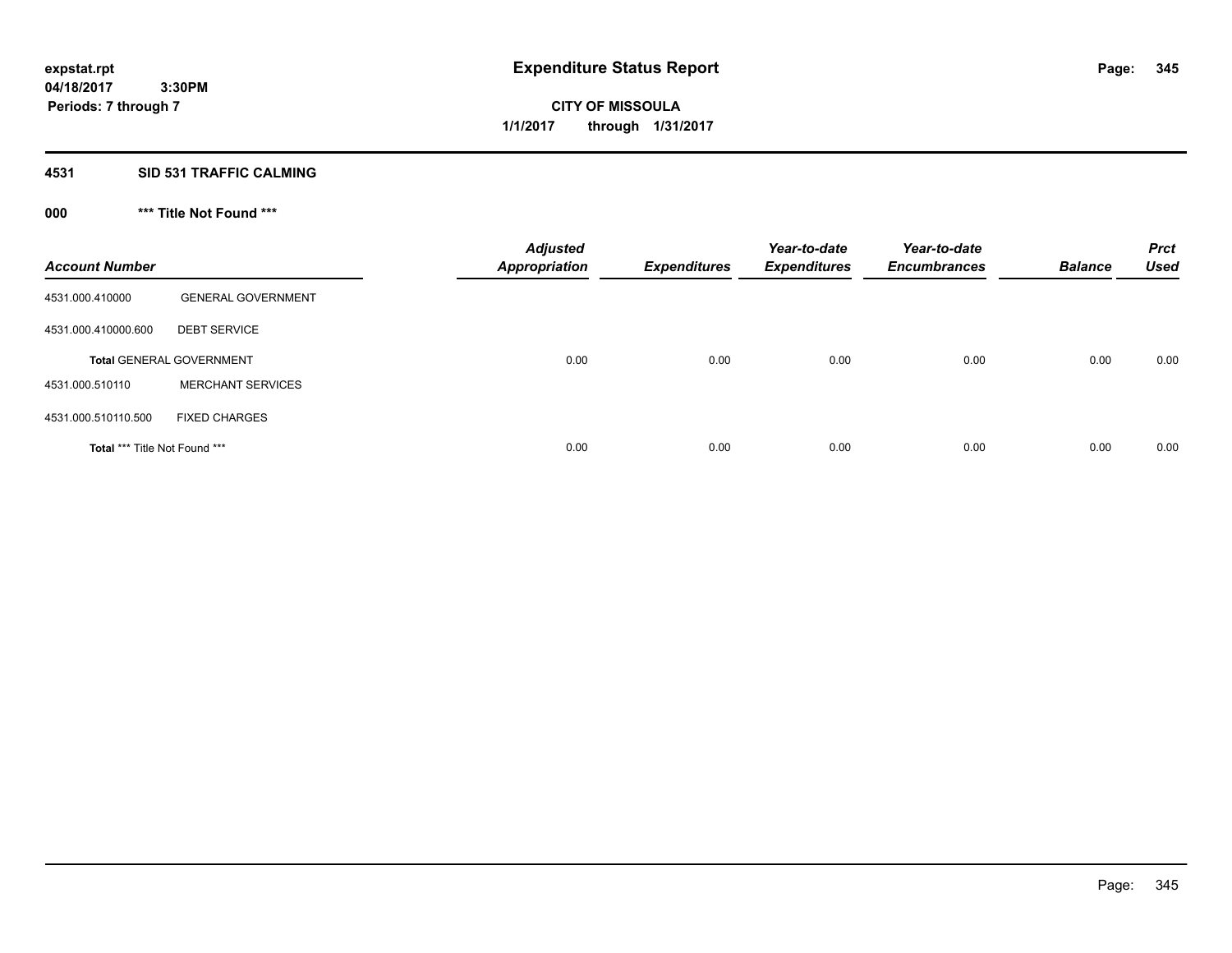# **4531 SID 531 TRAFFIC CALMING**

# **000 \*\*\* Title Not Found \*\*\***

| <b>Account Number</b>         |                                 | <b>Adjusted</b><br><b>Appropriation</b> | <b>Expenditures</b> | Year-to-date<br><b>Expenditures</b> | Year-to-date<br><b>Encumbrances</b> | <b>Balance</b> | <b>Prct</b><br><b>Used</b> |
|-------------------------------|---------------------------------|-----------------------------------------|---------------------|-------------------------------------|-------------------------------------|----------------|----------------------------|
| 4531.000.410000               | <b>GENERAL GOVERNMENT</b>       |                                         |                     |                                     |                                     |                |                            |
| 4531.000.410000.600           | <b>DEBT SERVICE</b>             |                                         |                     |                                     |                                     |                |                            |
|                               | <b>Total GENERAL GOVERNMENT</b> | 0.00                                    | 0.00                | 0.00                                | 0.00                                | 0.00           | 0.00                       |
| 4531.000.510110               | <b>MERCHANT SERVICES</b>        |                                         |                     |                                     |                                     |                |                            |
| 4531.000.510110.500           | <b>FIXED CHARGES</b>            |                                         |                     |                                     |                                     |                |                            |
| Total *** Title Not Found *** |                                 | 0.00                                    | 0.00                | 0.00                                | 0.00                                | 0.00           | 0.00                       |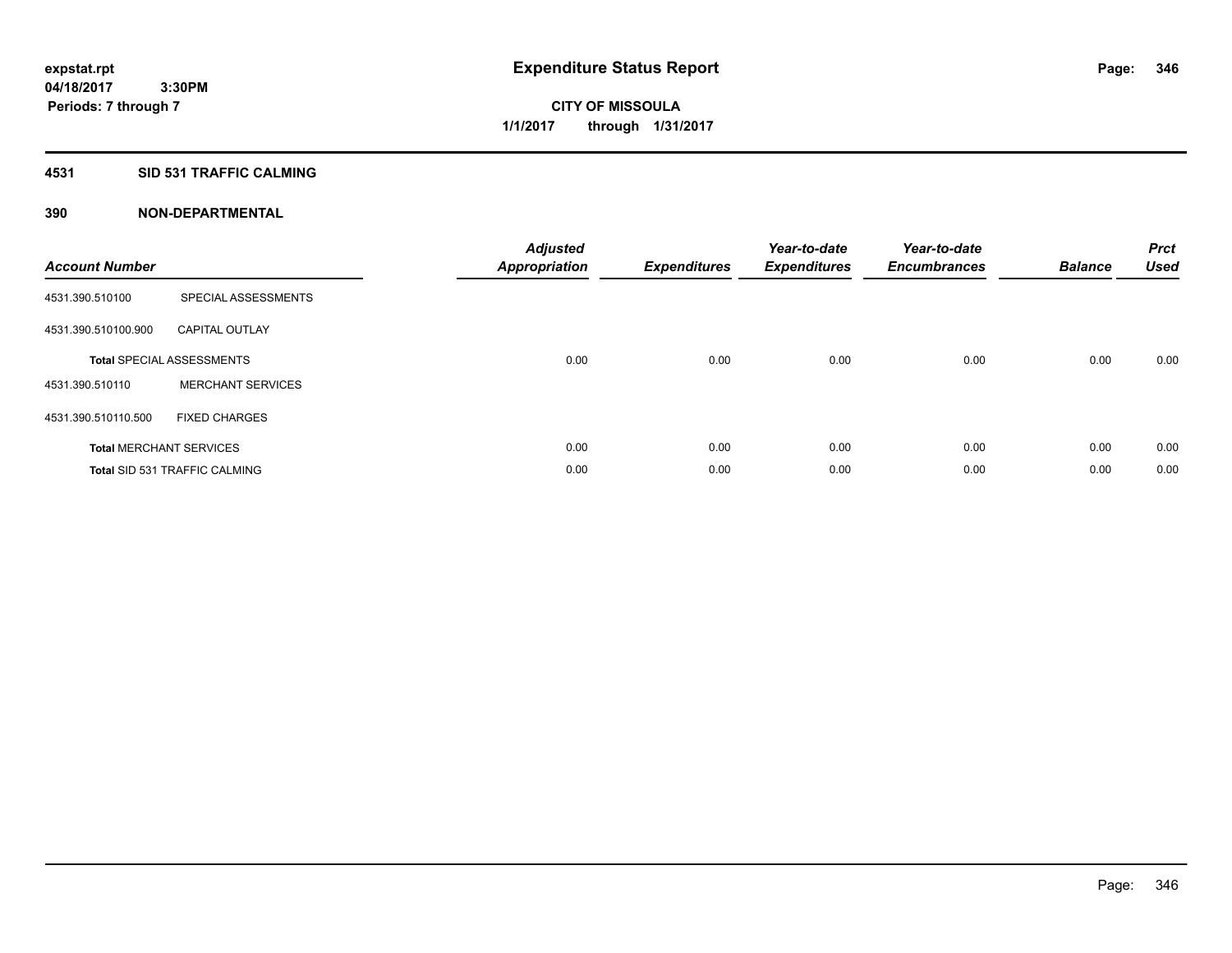# **4531 SID 531 TRAFFIC CALMING**

| <b>Account Number</b> |                                      | <b>Adjusted</b><br>Appropriation | <b>Expenditures</b> | Year-to-date<br><b>Expenditures</b> | Year-to-date<br><b>Encumbrances</b> | <b>Balance</b> | <b>Prct</b><br><b>Used</b> |
|-----------------------|--------------------------------------|----------------------------------|---------------------|-------------------------------------|-------------------------------------|----------------|----------------------------|
| 4531.390.510100       | SPECIAL ASSESSMENTS                  |                                  |                     |                                     |                                     |                |                            |
| 4531.390.510100.900   | <b>CAPITAL OUTLAY</b>                |                                  |                     |                                     |                                     |                |                            |
|                       | <b>Total SPECIAL ASSESSMENTS</b>     | 0.00                             | 0.00                | 0.00                                | 0.00                                | 0.00           | 0.00                       |
| 4531.390.510110       | <b>MERCHANT SERVICES</b>             |                                  |                     |                                     |                                     |                |                            |
| 4531.390.510110.500   | <b>FIXED CHARGES</b>                 |                                  |                     |                                     |                                     |                |                            |
|                       | <b>Total MERCHANT SERVICES</b>       | 0.00                             | 0.00                | 0.00                                | 0.00                                | 0.00           | 0.00                       |
|                       | <b>Total SID 531 TRAFFIC CALMING</b> | 0.00                             | 0.00                | 0.00                                | 0.00                                | 0.00           | 0.00                       |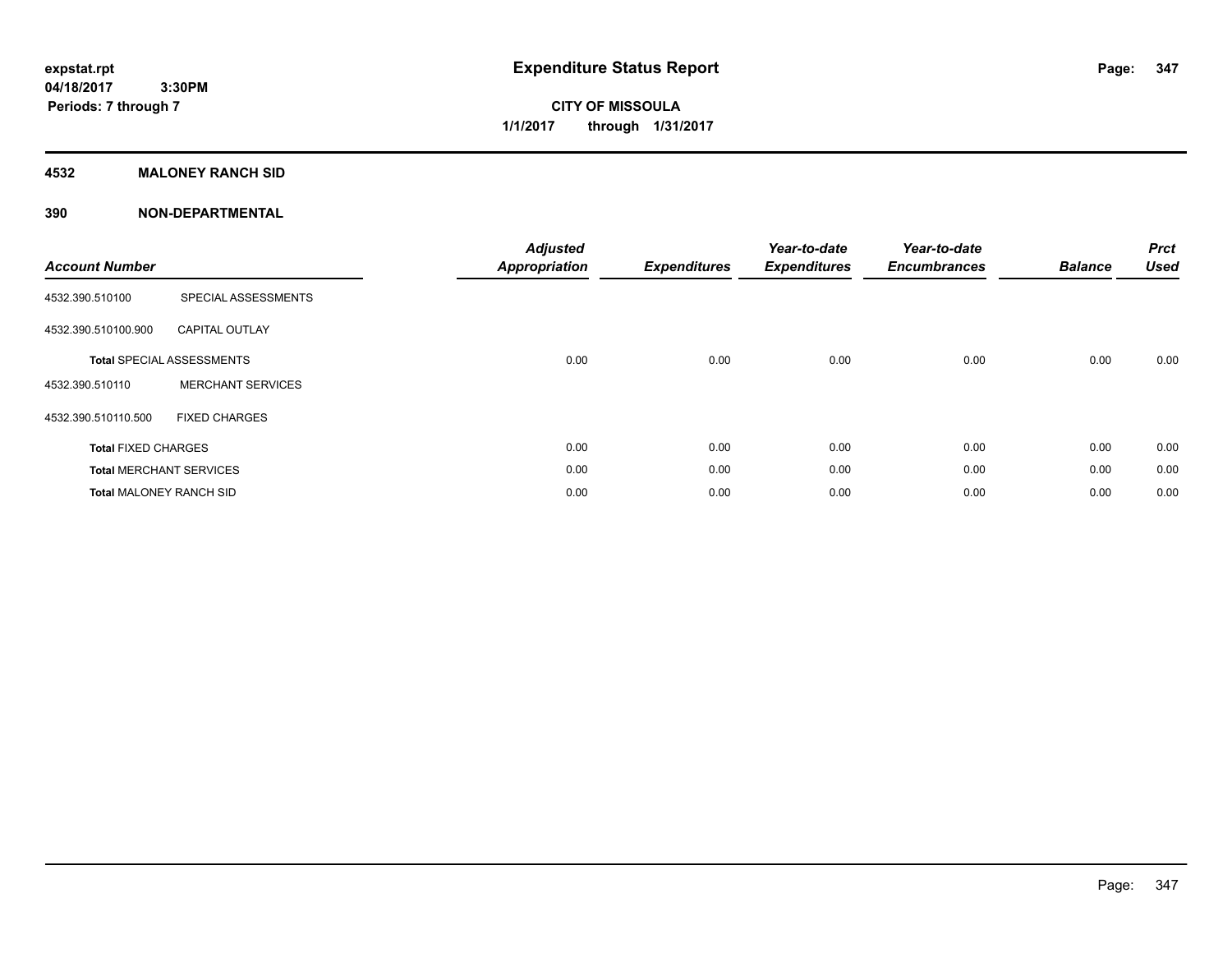# **CITY OF MISSOULA 1/1/2017 through 1/31/2017**

# **4532 MALONEY RANCH SID**

| <b>Account Number</b>          |                                  | <b>Adjusted</b><br><b>Appropriation</b> | <b>Expenditures</b> | Year-to-date<br><b>Expenditures</b> | Year-to-date<br><b>Encumbrances</b> | <b>Balance</b> | <b>Prct</b><br><b>Used</b> |
|--------------------------------|----------------------------------|-----------------------------------------|---------------------|-------------------------------------|-------------------------------------|----------------|----------------------------|
| 4532.390.510100                | SPECIAL ASSESSMENTS              |                                         |                     |                                     |                                     |                |                            |
| 4532.390.510100.900            | <b>CAPITAL OUTLAY</b>            |                                         |                     |                                     |                                     |                |                            |
|                                | <b>Total SPECIAL ASSESSMENTS</b> | 0.00                                    | 0.00                | 0.00                                | 0.00                                | 0.00           | 0.00                       |
| 4532.390.510110                | <b>MERCHANT SERVICES</b>         |                                         |                     |                                     |                                     |                |                            |
| 4532.390.510110.500            | <b>FIXED CHARGES</b>             |                                         |                     |                                     |                                     |                |                            |
| <b>Total FIXED CHARGES</b>     |                                  | 0.00                                    | 0.00                | 0.00                                | 0.00                                | 0.00           | 0.00                       |
|                                | <b>Total MERCHANT SERVICES</b>   | 0.00                                    | 0.00                | 0.00                                | 0.00                                | 0.00           | 0.00                       |
| <b>Total MALONEY RANCH SID</b> |                                  | 0.00                                    | 0.00                | 0.00                                | 0.00                                | 0.00           | 0.00                       |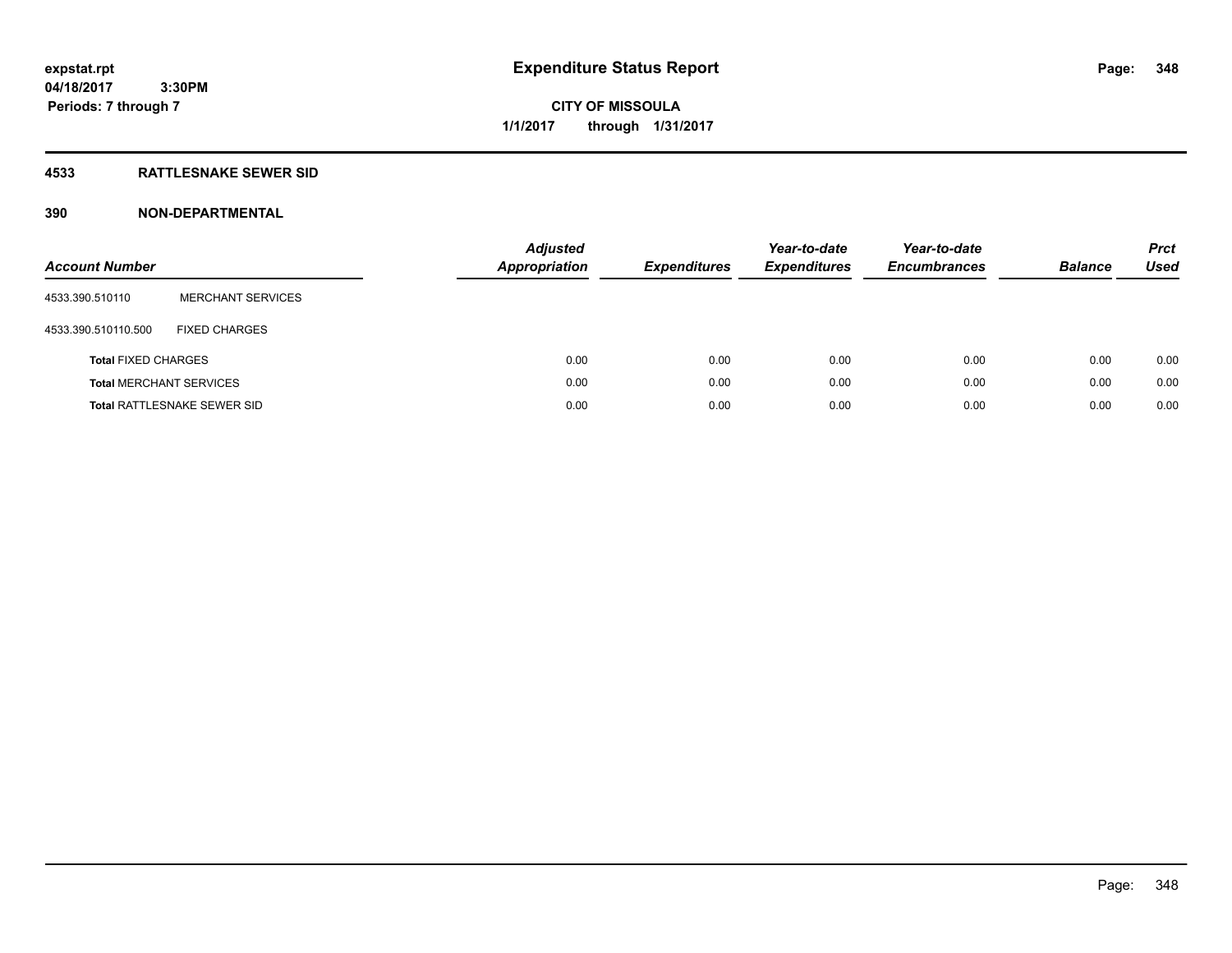**04/18/2017 3:30PM Periods: 7 through 7**

**CITY OF MISSOULA 1/1/2017 through 1/31/2017**

# **4533 RATTLESNAKE SEWER SID**

| <b>Account Number</b>      |                                    | <b>Adjusted</b><br><b>Appropriation</b> | <b>Expenditures</b> | Year-to-date<br><b>Expenditures</b> | Year-to-date<br><b>Encumbrances</b> | <b>Balance</b> | <b>Prct</b><br>Used |
|----------------------------|------------------------------------|-----------------------------------------|---------------------|-------------------------------------|-------------------------------------|----------------|---------------------|
| 4533.390.510110            | <b>MERCHANT SERVICES</b>           |                                         |                     |                                     |                                     |                |                     |
| 4533.390.510110.500        | <b>FIXED CHARGES</b>               |                                         |                     |                                     |                                     |                |                     |
| <b>Total FIXED CHARGES</b> |                                    | 0.00                                    | 0.00                | 0.00                                | 0.00                                | 0.00           | 0.00                |
|                            | <b>Total MERCHANT SERVICES</b>     | 0.00                                    | 0.00                | 0.00                                | 0.00                                | 0.00           | 0.00                |
|                            | <b>Total RATTLESNAKE SEWER SID</b> | 0.00                                    | 0.00                | 0.00                                | 0.00                                | 0.00           | 0.00                |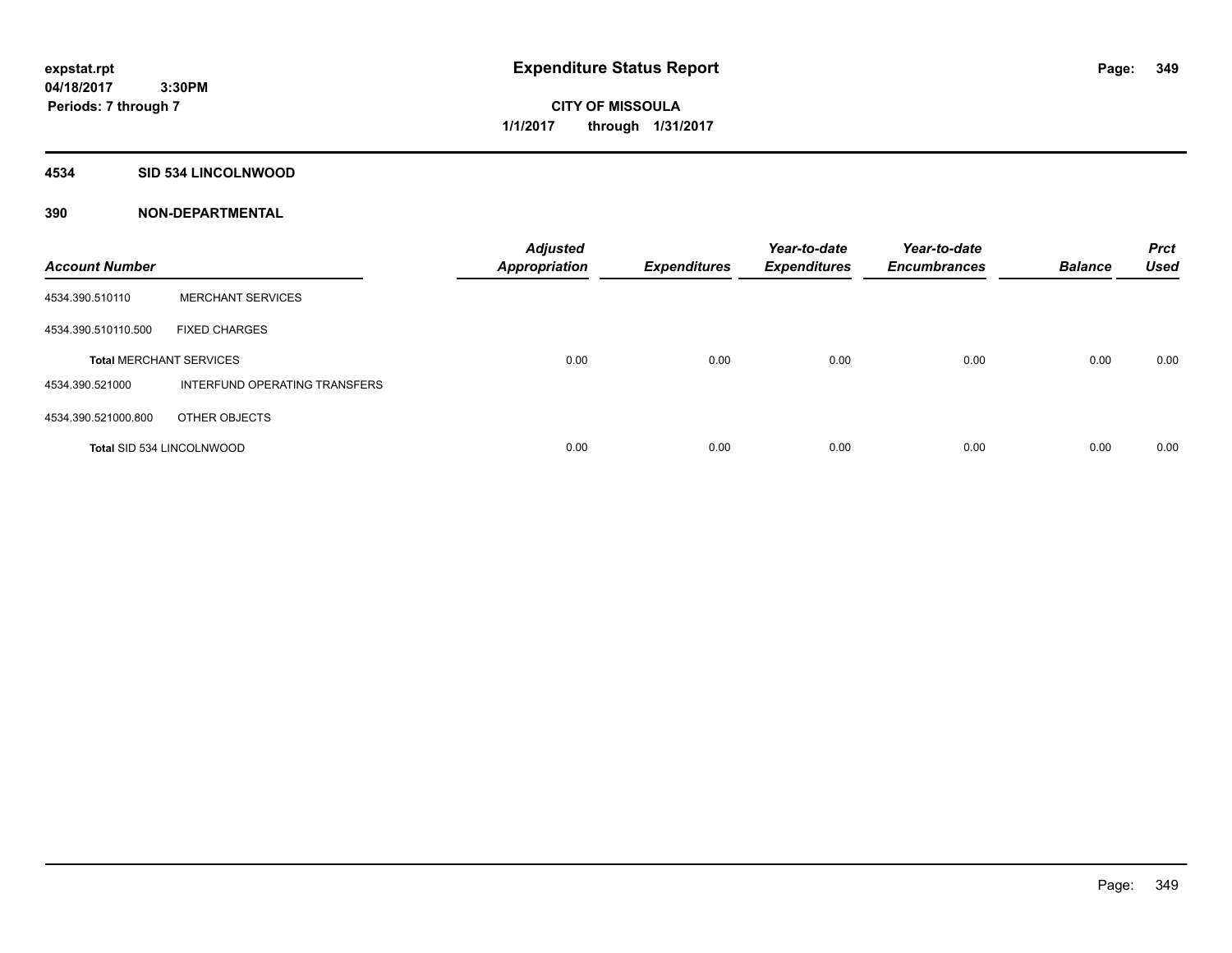## **4534 SID 534 LINCOLNWOOD**

| <b>Account Number</b>            |                               | <b>Adjusted</b><br><b>Appropriation</b> | <b>Expenditures</b> | Year-to-date<br><b>Expenditures</b> | Year-to-date<br><b>Encumbrances</b> | <b>Balance</b> | <b>Prct</b><br><b>Used</b> |
|----------------------------------|-------------------------------|-----------------------------------------|---------------------|-------------------------------------|-------------------------------------|----------------|----------------------------|
| 4534.390.510110                  | <b>MERCHANT SERVICES</b>      |                                         |                     |                                     |                                     |                |                            |
| 4534.390.510110.500              | <b>FIXED CHARGES</b>          |                                         |                     |                                     |                                     |                |                            |
| <b>Total MERCHANT SERVICES</b>   |                               | 0.00                                    | 0.00                | 0.00                                | 0.00                                | 0.00           | 0.00                       |
| 4534.390.521000                  | INTERFUND OPERATING TRANSFERS |                                         |                     |                                     |                                     |                |                            |
| 4534.390.521000.800              | OTHER OBJECTS                 |                                         |                     |                                     |                                     |                |                            |
| <b>Total SID 534 LINCOLNWOOD</b> |                               | 0.00                                    | 0.00                | 0.00                                | 0.00                                | 0.00           | 0.00                       |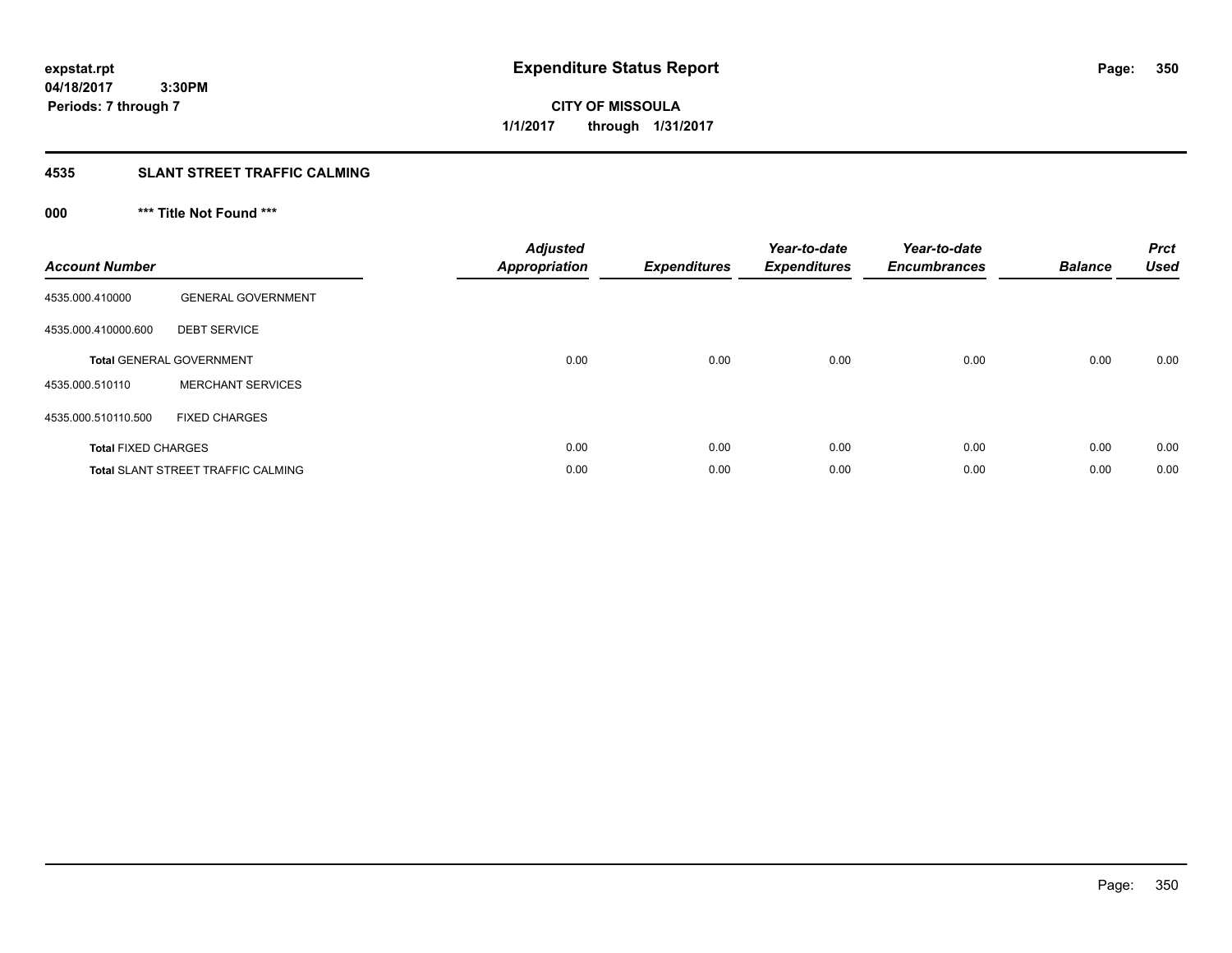**04/18/2017 3:30PM Periods: 7 through 7**

**CITY OF MISSOULA 1/1/2017 through 1/31/2017**

# **4535 SLANT STREET TRAFFIC CALMING**

# **000 \*\*\* Title Not Found \*\*\***

| <b>Account Number</b>      |                                           | Adjusted<br><b>Appropriation</b> | <b>Expenditures</b> | Year-to-date<br><b>Expenditures</b> | Year-to-date<br><b>Encumbrances</b> | <b>Balance</b> | <b>Prct</b><br><b>Used</b> |
|----------------------------|-------------------------------------------|----------------------------------|---------------------|-------------------------------------|-------------------------------------|----------------|----------------------------|
| 4535.000.410000            | <b>GENERAL GOVERNMENT</b>                 |                                  |                     |                                     |                                     |                |                            |
| 4535.000.410000.600        | <b>DEBT SERVICE</b>                       |                                  |                     |                                     |                                     |                |                            |
|                            | <b>Total GENERAL GOVERNMENT</b>           | 0.00                             | 0.00                | 0.00                                | 0.00                                | 0.00           | 0.00                       |
| 4535.000.510110            | <b>MERCHANT SERVICES</b>                  |                                  |                     |                                     |                                     |                |                            |
| 4535.000.510110.500        | <b>FIXED CHARGES</b>                      |                                  |                     |                                     |                                     |                |                            |
| <b>Total FIXED CHARGES</b> |                                           | 0.00                             | 0.00                | 0.00                                | 0.00                                | 0.00           | 0.00                       |
|                            | <b>Total SLANT STREET TRAFFIC CALMING</b> | 0.00                             | 0.00                | 0.00                                | 0.00                                | 0.00           | 0.00                       |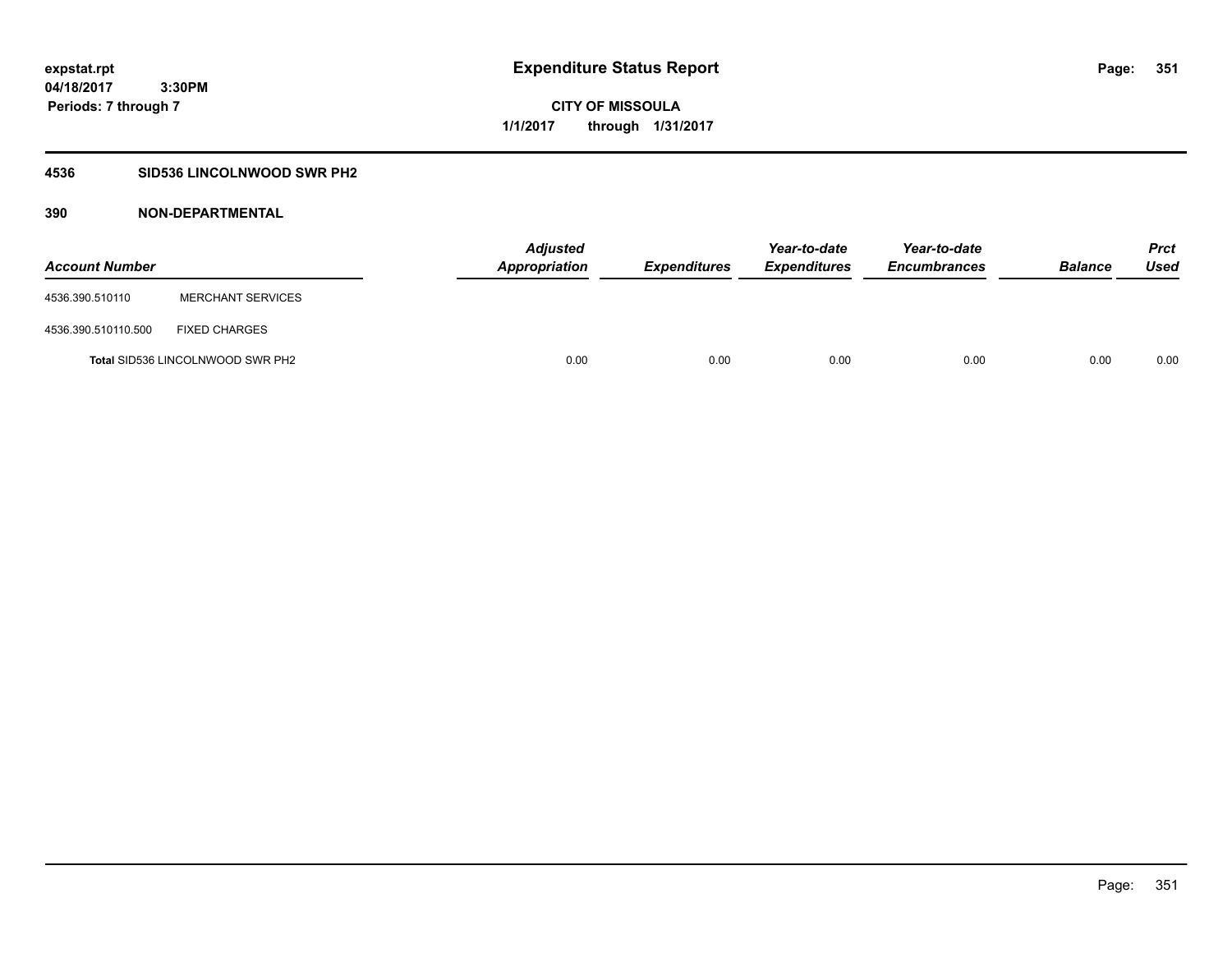# **4536 SID536 LINCOLNWOOD SWR PH2**

| <b>Account Number</b> |                                         | <b>Adjusted</b><br><b>Appropriation</b> | <b>Expenditures</b> | Year-to-date<br><b>Expenditures</b> | Year-to-date<br><b>Encumbrances</b> | <b>Balance</b> | Prct<br><b>Used</b> |
|-----------------------|-----------------------------------------|-----------------------------------------|---------------------|-------------------------------------|-------------------------------------|----------------|---------------------|
| 4536.390.510110       | <b>MERCHANT SERVICES</b>                |                                         |                     |                                     |                                     |                |                     |
| 4536.390.510110.500   | <b>FIXED CHARGES</b>                    |                                         |                     |                                     |                                     |                |                     |
|                       | <b>Total SID536 LINCOLNWOOD SWR PH2</b> | 0.00                                    | 0.00                | 0.00                                | 0.00                                | 0.00           | 0.00                |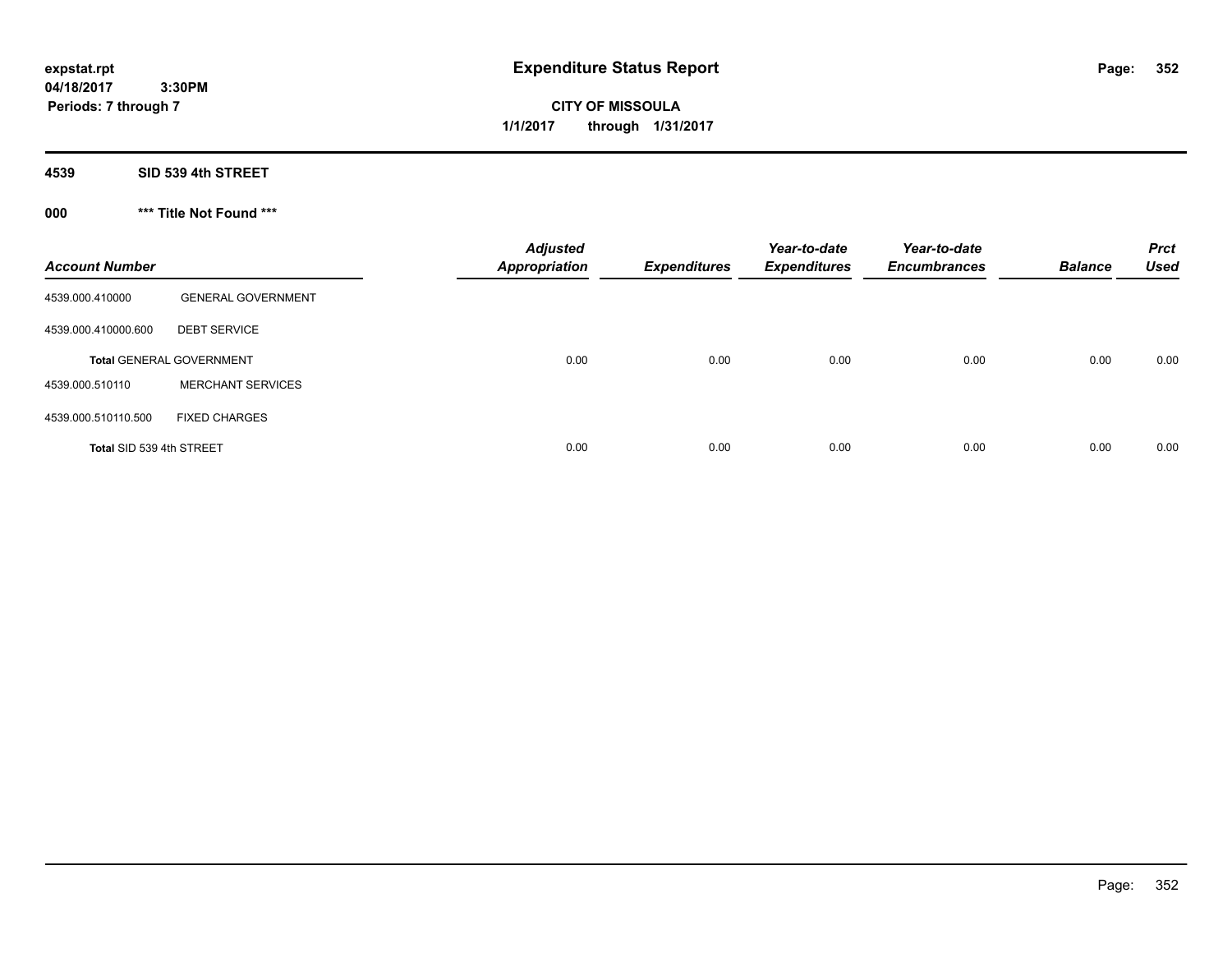**CITY OF MISSOULA 1/1/2017 through 1/31/2017**

**4539 SID 539 4th STREET**

**000 \*\*\* Title Not Found \*\*\***

| <b>Account Number</b>    |                                 | <b>Adjusted</b><br><b>Appropriation</b> | <b>Expenditures</b> | Year-to-date<br><b>Expenditures</b> | Year-to-date<br><b>Encumbrances</b> | <b>Balance</b> | <b>Prct</b><br><b>Used</b> |
|--------------------------|---------------------------------|-----------------------------------------|---------------------|-------------------------------------|-------------------------------------|----------------|----------------------------|
| 4539.000.410000          | <b>GENERAL GOVERNMENT</b>       |                                         |                     |                                     |                                     |                |                            |
| 4539.000.410000.600      | <b>DEBT SERVICE</b>             |                                         |                     |                                     |                                     |                |                            |
|                          | <b>Total GENERAL GOVERNMENT</b> | 0.00                                    | 0.00                | 0.00                                | 0.00                                | 0.00           | 0.00                       |
| 4539.000.510110          | <b>MERCHANT SERVICES</b>        |                                         |                     |                                     |                                     |                |                            |
| 4539.000.510110.500      | <b>FIXED CHARGES</b>            |                                         |                     |                                     |                                     |                |                            |
| Total SID 539 4th STREET |                                 | 0.00                                    | 0.00                | 0.00                                | 0.00                                | 0.00           | 0.00                       |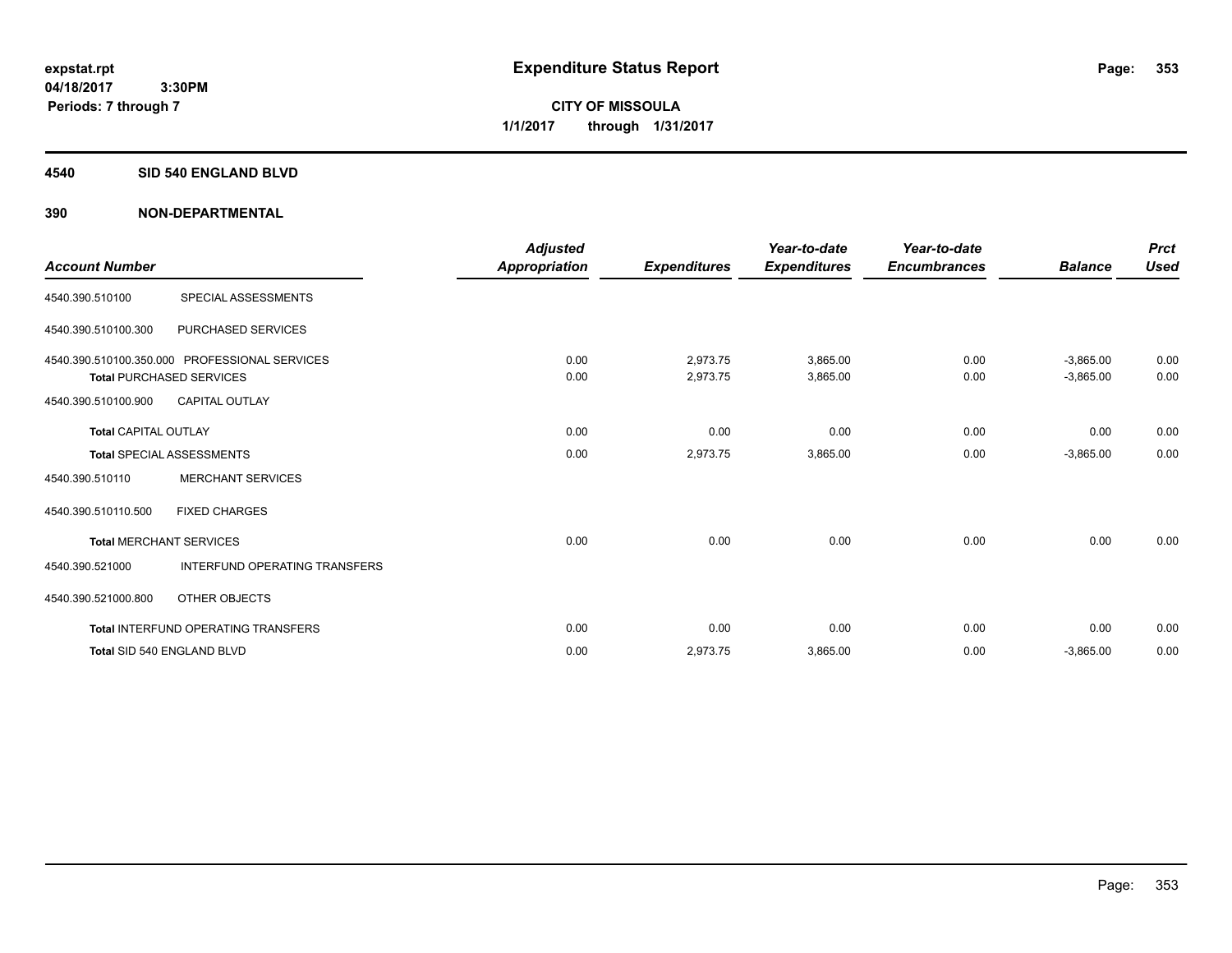**Periods: 7 through 7**

**CITY OF MISSOULA 1/1/2017 through 1/31/2017**

#### **4540 SID 540 ENGLAND BLVD**

 **3:30PM**

| <b>Account Number</b>       |                                                                                  | <b>Adjusted</b><br><b>Appropriation</b> | <b>Expenditures</b>  | Year-to-date<br><b>Expenditures</b> | Year-to-date<br><b>Encumbrances</b> | <b>Balance</b>             | <b>Prct</b><br><b>Used</b> |
|-----------------------------|----------------------------------------------------------------------------------|-----------------------------------------|----------------------|-------------------------------------|-------------------------------------|----------------------------|----------------------------|
| 4540.390.510100             | SPECIAL ASSESSMENTS                                                              |                                         |                      |                                     |                                     |                            |                            |
| 4540.390.510100.300         | PURCHASED SERVICES                                                               |                                         |                      |                                     |                                     |                            |                            |
|                             | 4540.390.510100.350.000 PROFESSIONAL SERVICES<br><b>Total PURCHASED SERVICES</b> | 0.00<br>0.00                            | 2,973.75<br>2,973.75 | 3,865.00<br>3,865.00                | 0.00<br>0.00                        | $-3,865.00$<br>$-3,865.00$ | 0.00<br>0.00               |
| 4540.390.510100.900         | <b>CAPITAL OUTLAY</b>                                                            |                                         |                      |                                     |                                     |                            |                            |
| <b>Total CAPITAL OUTLAY</b> |                                                                                  | 0.00                                    | 0.00                 | 0.00                                | 0.00                                | 0.00                       | 0.00                       |
|                             | <b>Total SPECIAL ASSESSMENTS</b>                                                 | 0.00                                    | 2,973.75             | 3,865.00                            | 0.00                                | $-3,865.00$                | 0.00                       |
| 4540.390.510110             | <b>MERCHANT SERVICES</b>                                                         |                                         |                      |                                     |                                     |                            |                            |
| 4540.390.510110.500         | <b>FIXED CHARGES</b>                                                             |                                         |                      |                                     |                                     |                            |                            |
|                             | <b>Total MERCHANT SERVICES</b>                                                   | 0.00                                    | 0.00                 | 0.00                                | 0.00                                | 0.00                       | 0.00                       |
| 4540.390.521000             | <b>INTERFUND OPERATING TRANSFERS</b>                                             |                                         |                      |                                     |                                     |                            |                            |
| 4540.390.521000.800         | OTHER OBJECTS                                                                    |                                         |                      |                                     |                                     |                            |                            |
|                             | <b>Total INTERFUND OPERATING TRANSFERS</b>                                       | 0.00                                    | 0.00                 | 0.00                                | 0.00                                | 0.00                       | 0.00                       |
|                             | Total SID 540 ENGLAND BLVD                                                       | 0.00                                    | 2,973.75             | 3,865.00                            | 0.00                                | $-3,865.00$                | 0.00                       |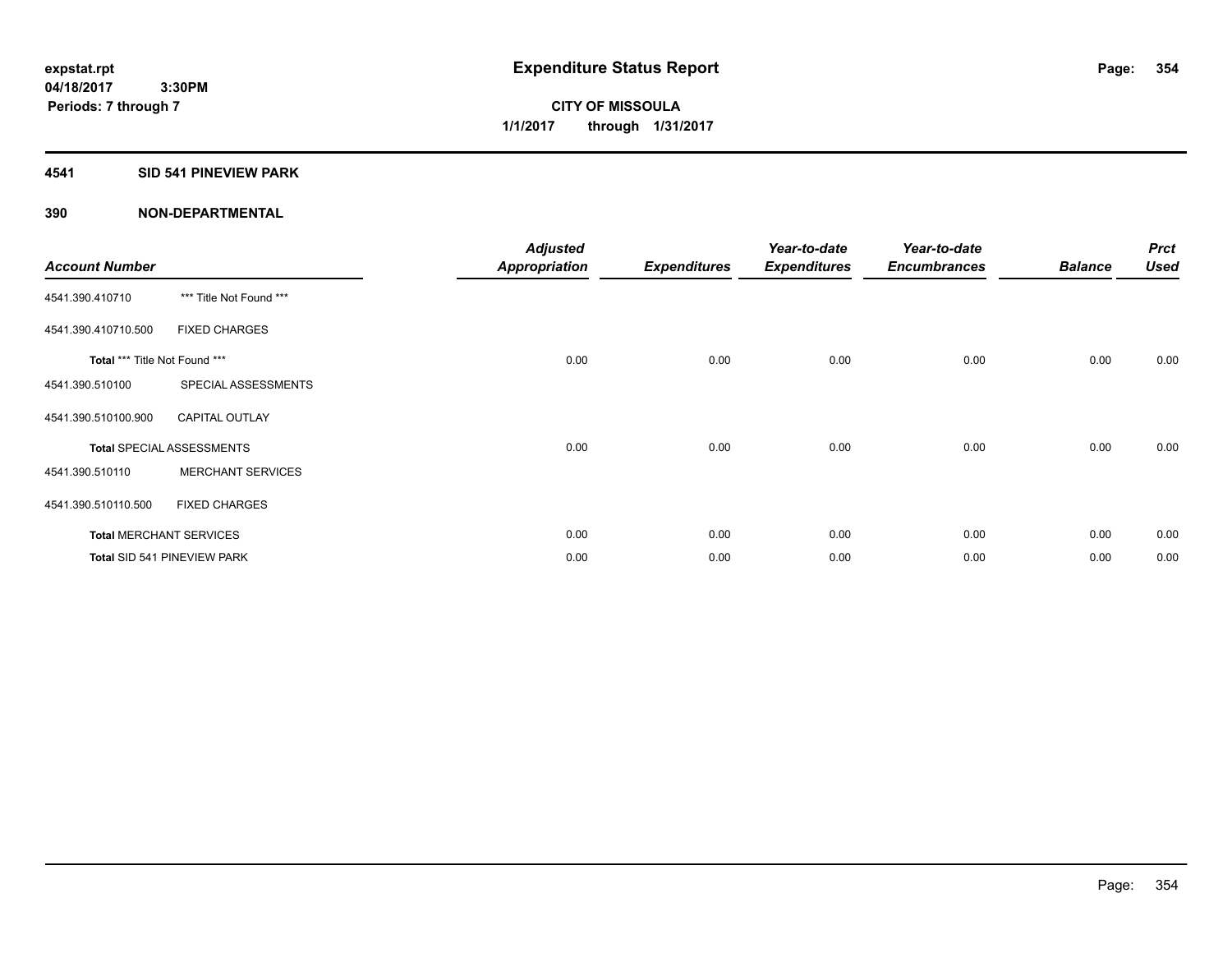# **4541 SID 541 PINEVIEW PARK**

| <b>Account Number</b>         |                                  | <b>Adjusted</b><br>Appropriation | <b>Expenditures</b> | Year-to-date<br><b>Expenditures</b> | Year-to-date<br><b>Encumbrances</b> | <b>Balance</b> | <b>Prct</b><br><b>Used</b> |
|-------------------------------|----------------------------------|----------------------------------|---------------------|-------------------------------------|-------------------------------------|----------------|----------------------------|
| 4541.390.410710               | *** Title Not Found ***          |                                  |                     |                                     |                                     |                |                            |
| 4541.390.410710.500           | <b>FIXED CHARGES</b>             |                                  |                     |                                     |                                     |                |                            |
| Total *** Title Not Found *** |                                  | 0.00                             | 0.00                | 0.00                                | 0.00                                | 0.00           | 0.00                       |
| 4541.390.510100               | SPECIAL ASSESSMENTS              |                                  |                     |                                     |                                     |                |                            |
| 4541.390.510100.900           | <b>CAPITAL OUTLAY</b>            |                                  |                     |                                     |                                     |                |                            |
|                               | <b>Total SPECIAL ASSESSMENTS</b> | 0.00                             | 0.00                | 0.00                                | 0.00                                | 0.00           | 0.00                       |
| 4541.390.510110               | <b>MERCHANT SERVICES</b>         |                                  |                     |                                     |                                     |                |                            |
| 4541.390.510110.500           | <b>FIXED CHARGES</b>             |                                  |                     |                                     |                                     |                |                            |
|                               | <b>Total MERCHANT SERVICES</b>   | 0.00                             | 0.00                | 0.00                                | 0.00                                | 0.00           | 0.00                       |
|                               | Total SID 541 PINEVIEW PARK      | 0.00                             | 0.00                | 0.00                                | 0.00                                | 0.00           | 0.00                       |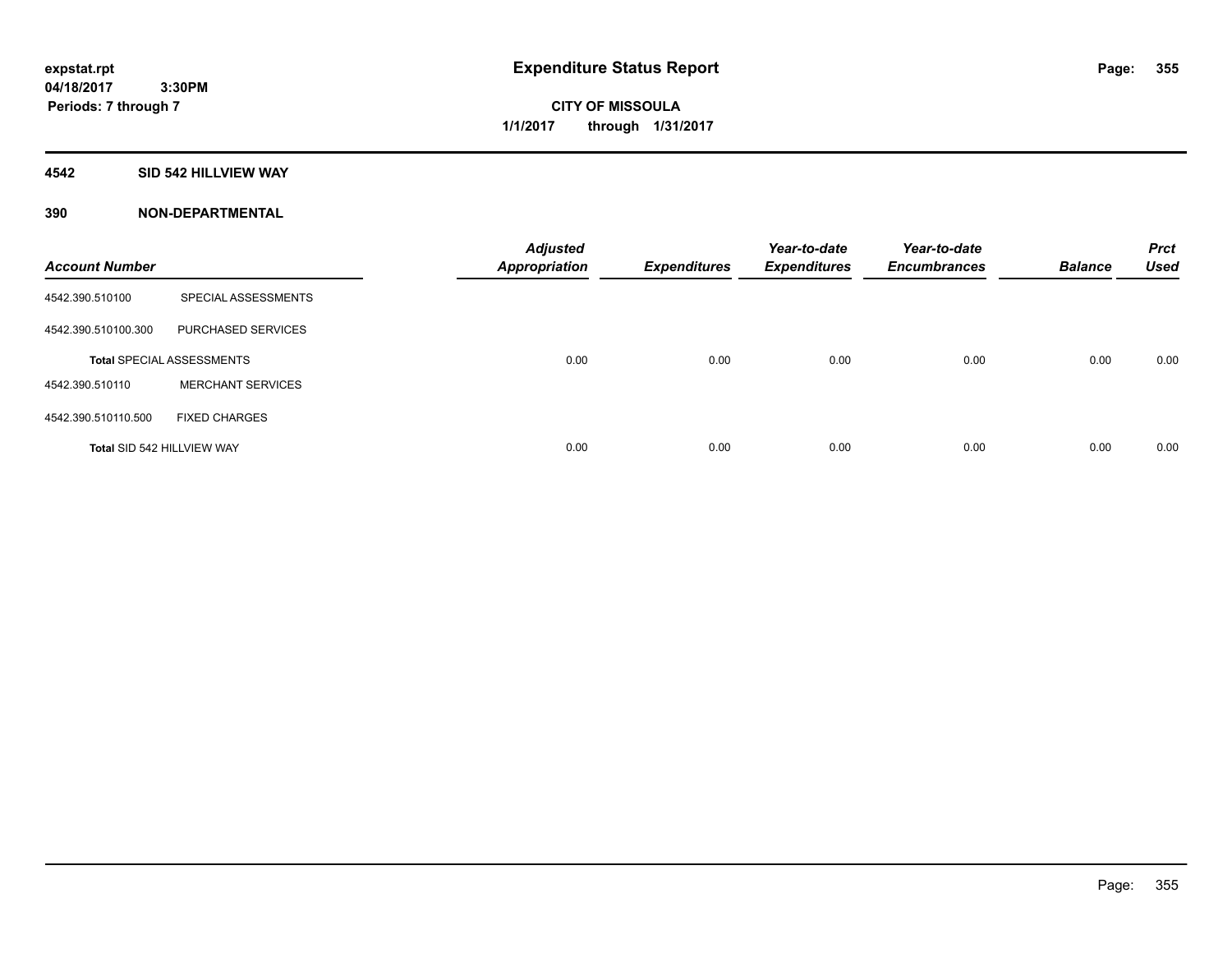**Periods: 7 through 7**

**CITY OF MISSOULA 1/1/2017 through 1/31/2017**

### **4542 SID 542 HILLVIEW WAY**

 **3:30PM**

| <b>Account Number</b>             |                                  | <b>Adjusted</b><br><b>Appropriation</b> | <b>Expenditures</b> | Year-to-date<br><b>Expenditures</b> | Year-to-date<br><b>Encumbrances</b> | <b>Balance</b> | <b>Prct</b><br><b>Used</b> |
|-----------------------------------|----------------------------------|-----------------------------------------|---------------------|-------------------------------------|-------------------------------------|----------------|----------------------------|
| 4542.390.510100                   | SPECIAL ASSESSMENTS              |                                         |                     |                                     |                                     |                |                            |
| 4542.390.510100.300               | PURCHASED SERVICES               |                                         |                     |                                     |                                     |                |                            |
|                                   | <b>Total SPECIAL ASSESSMENTS</b> | 0.00                                    | 0.00                | 0.00                                | 0.00                                | 0.00           | 0.00                       |
| 4542.390.510110                   | <b>MERCHANT SERVICES</b>         |                                         |                     |                                     |                                     |                |                            |
| 4542.390.510110.500               | <b>FIXED CHARGES</b>             |                                         |                     |                                     |                                     |                |                            |
| <b>Total SID 542 HILLVIEW WAY</b> |                                  | 0.00                                    | 0.00                | 0.00                                | 0.00                                | 0.00           | 0.00                       |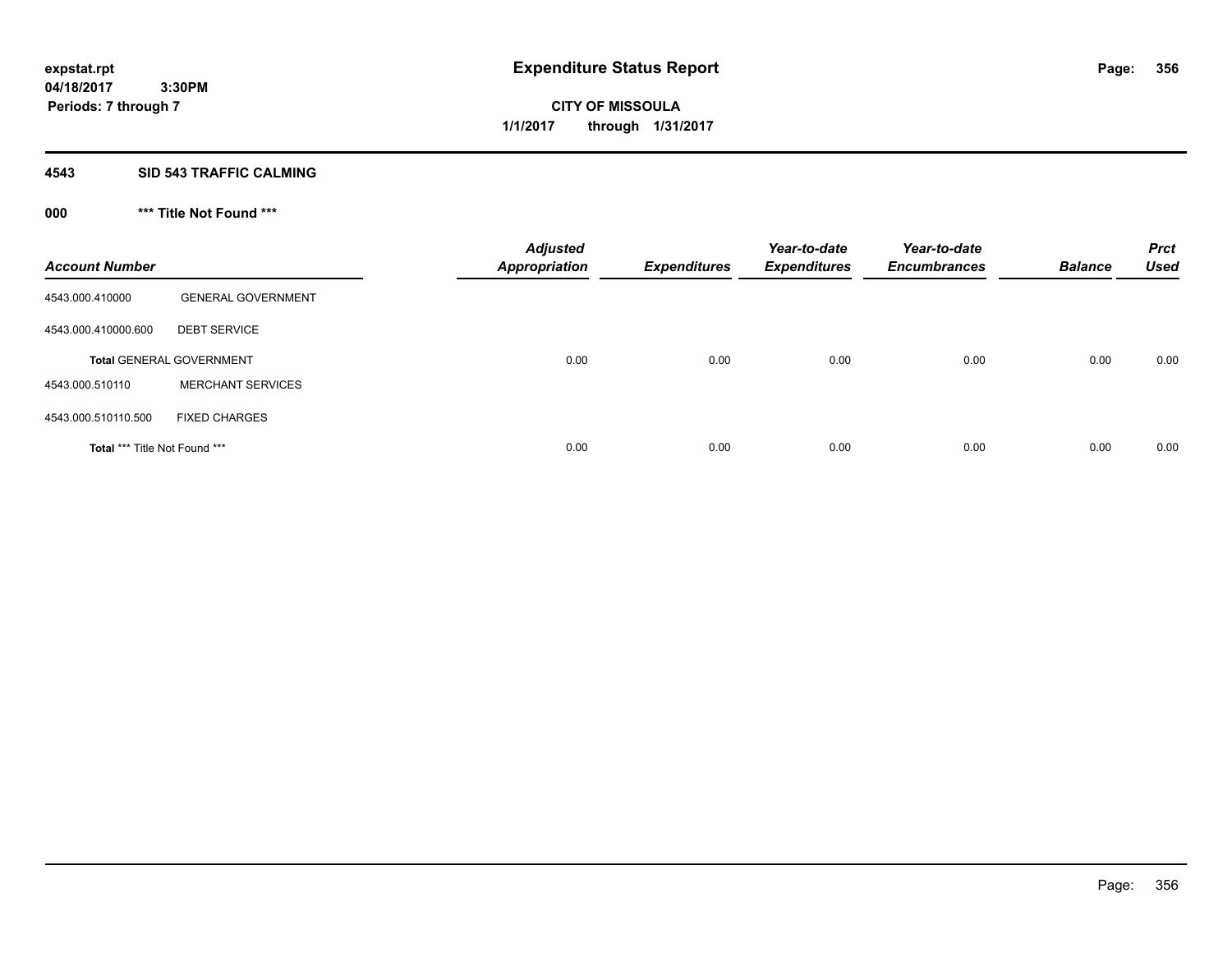**CITY OF MISSOULA 1/1/2017 through 1/31/2017**

## **4543 SID 543 TRAFFIC CALMING**

# **000 \*\*\* Title Not Found \*\*\***

| <b>Account Number</b>         |                                 | <b>Adjusted</b><br><b>Appropriation</b> | <b>Expenditures</b> | Year-to-date<br><b>Expenditures</b> | Year-to-date<br><b>Encumbrances</b> | <b>Balance</b> | <b>Prct</b><br><b>Used</b> |
|-------------------------------|---------------------------------|-----------------------------------------|---------------------|-------------------------------------|-------------------------------------|----------------|----------------------------|
| 4543.000.410000               | <b>GENERAL GOVERNMENT</b>       |                                         |                     |                                     |                                     |                |                            |
| 4543.000.410000.600           | <b>DEBT SERVICE</b>             |                                         |                     |                                     |                                     |                |                            |
|                               | <b>Total GENERAL GOVERNMENT</b> | 0.00                                    | 0.00                | 0.00                                | 0.00                                | 0.00           | 0.00                       |
| 4543.000.510110               | <b>MERCHANT SERVICES</b>        |                                         |                     |                                     |                                     |                |                            |
| 4543.000.510110.500           | <b>FIXED CHARGES</b>            |                                         |                     |                                     |                                     |                |                            |
| Total *** Title Not Found *** |                                 | 0.00                                    | 0.00                | 0.00                                | 0.00                                | 0.00           | 0.00                       |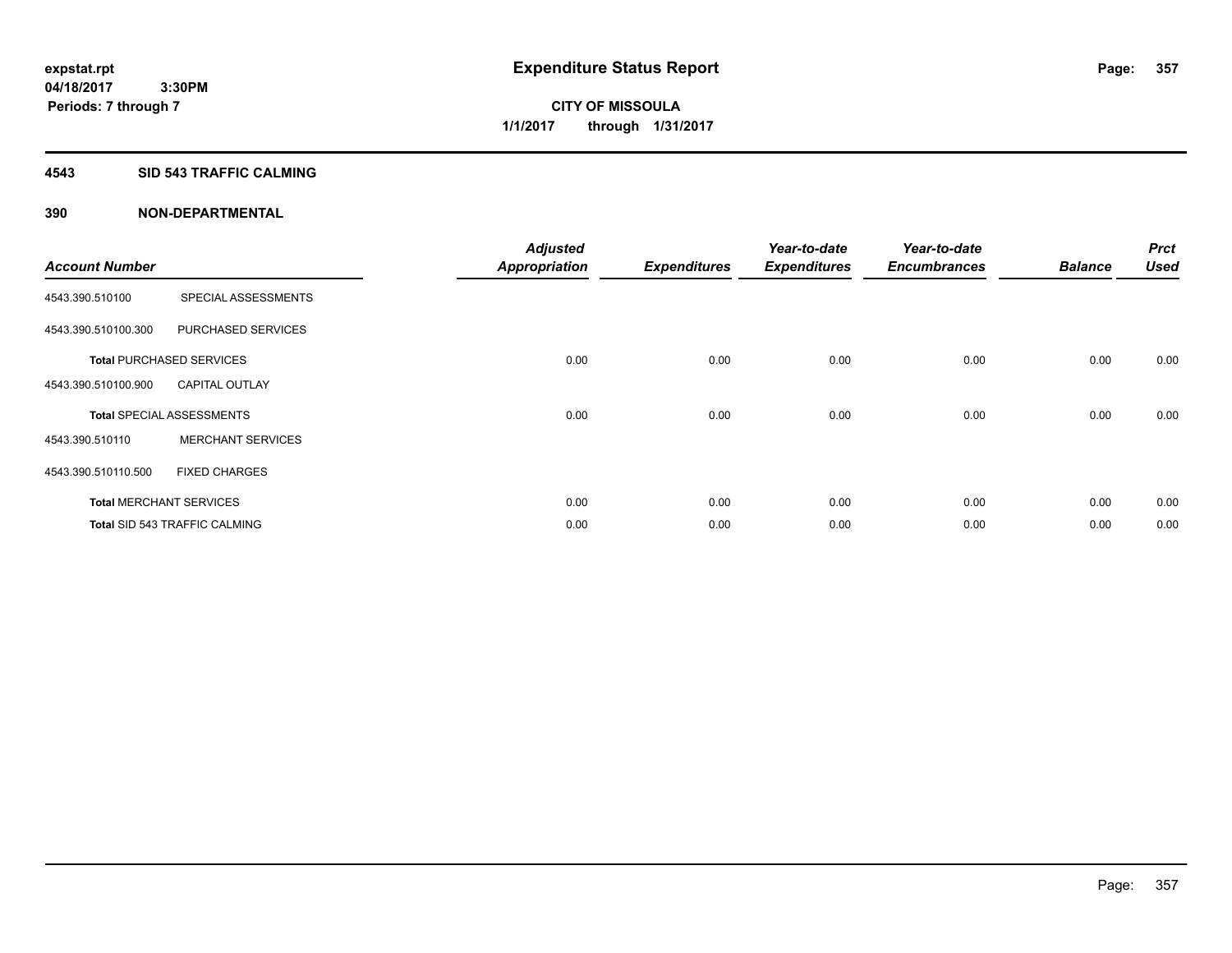### **4543 SID 543 TRAFFIC CALMING**

| <b>Account Number</b> |                                      | <b>Adjusted</b><br><b>Appropriation</b> | <b>Expenditures</b> | Year-to-date<br><b>Expenditures</b> | Year-to-date<br><b>Encumbrances</b> | <b>Balance</b> | <b>Prct</b><br><b>Used</b> |
|-----------------------|--------------------------------------|-----------------------------------------|---------------------|-------------------------------------|-------------------------------------|----------------|----------------------------|
| 4543.390.510100       | SPECIAL ASSESSMENTS                  |                                         |                     |                                     |                                     |                |                            |
| 4543.390.510100.300   | PURCHASED SERVICES                   |                                         |                     |                                     |                                     |                |                            |
|                       | <b>Total PURCHASED SERVICES</b>      | 0.00                                    | 0.00                | 0.00                                | 0.00                                | 0.00           | 0.00                       |
| 4543.390.510100.900   | <b>CAPITAL OUTLAY</b>                |                                         |                     |                                     |                                     |                |                            |
|                       | <b>Total SPECIAL ASSESSMENTS</b>     | 0.00                                    | 0.00                | 0.00                                | 0.00                                | 0.00           | 0.00                       |
| 4543.390.510110       | <b>MERCHANT SERVICES</b>             |                                         |                     |                                     |                                     |                |                            |
| 4543.390.510110.500   | <b>FIXED CHARGES</b>                 |                                         |                     |                                     |                                     |                |                            |
|                       | <b>Total MERCHANT SERVICES</b>       | 0.00                                    | 0.00                | 0.00                                | 0.00                                | 0.00           | 0.00                       |
|                       | <b>Total SID 543 TRAFFIC CALMING</b> | 0.00                                    | 0.00                | 0.00                                | 0.00                                | 0.00           | 0.00                       |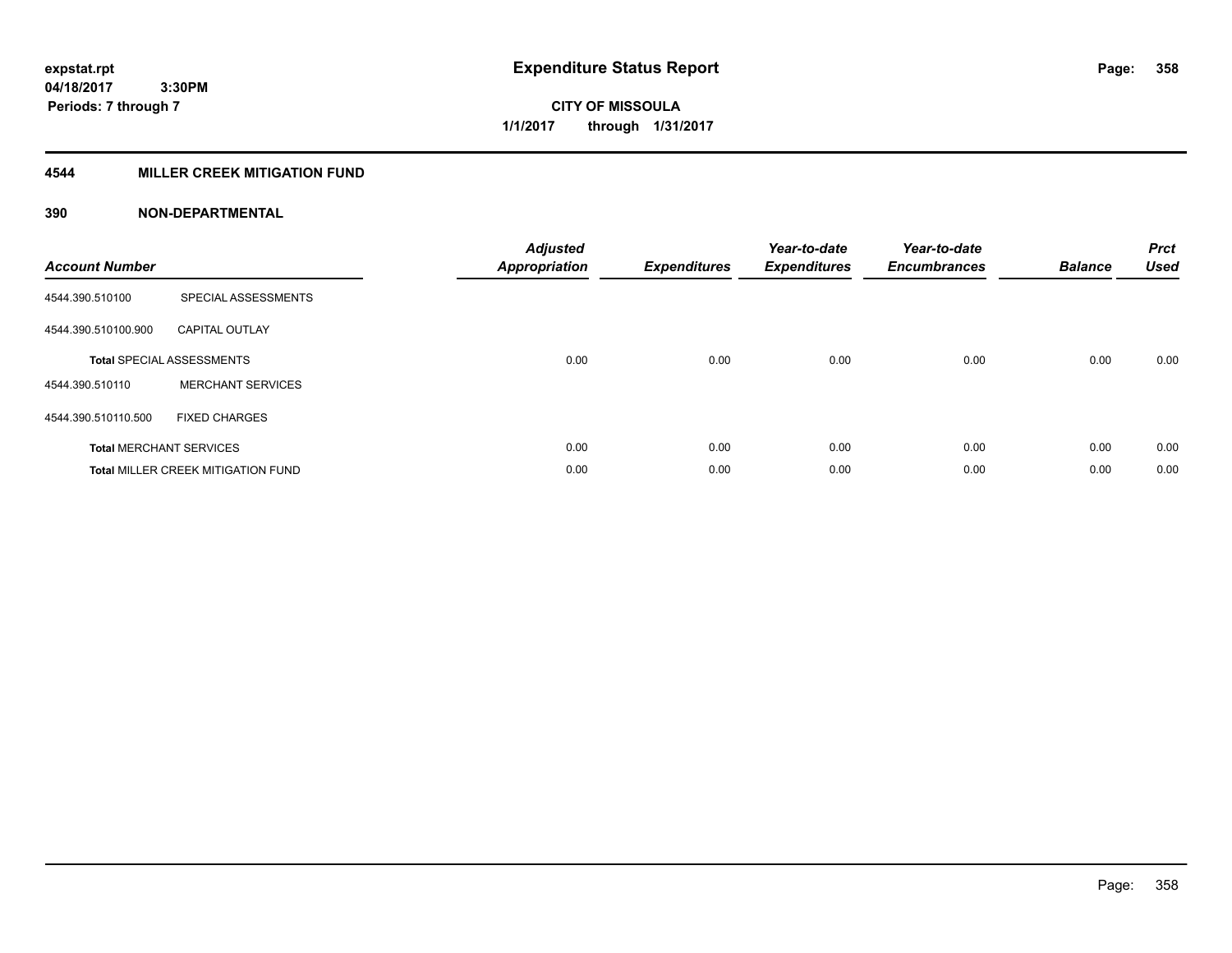# **4544 MILLER CREEK MITIGATION FUND**

| <b>Account Number</b> |                                           | <b>Adjusted</b><br><b>Appropriation</b> | <b>Expenditures</b> | Year-to-date<br><b>Expenditures</b> | Year-to-date<br><b>Encumbrances</b> | <b>Balance</b> | <b>Prct</b><br><b>Used</b> |
|-----------------------|-------------------------------------------|-----------------------------------------|---------------------|-------------------------------------|-------------------------------------|----------------|----------------------------|
| 4544.390.510100       | SPECIAL ASSESSMENTS                       |                                         |                     |                                     |                                     |                |                            |
| 4544.390.510100.900   | <b>CAPITAL OUTLAY</b>                     |                                         |                     |                                     |                                     |                |                            |
|                       | <b>Total SPECIAL ASSESSMENTS</b>          | 0.00                                    | 0.00                | 0.00                                | 0.00                                | 0.00           | 0.00                       |
| 4544.390.510110       | <b>MERCHANT SERVICES</b>                  |                                         |                     |                                     |                                     |                |                            |
| 4544.390.510110.500   | <b>FIXED CHARGES</b>                      |                                         |                     |                                     |                                     |                |                            |
|                       | <b>Total MERCHANT SERVICES</b>            | 0.00                                    | 0.00                | 0.00                                | 0.00                                | 0.00           | 0.00                       |
|                       | <b>Total MILLER CREEK MITIGATION FUND</b> | 0.00                                    | 0.00                | 0.00                                | 0.00                                | 0.00           | 0.00                       |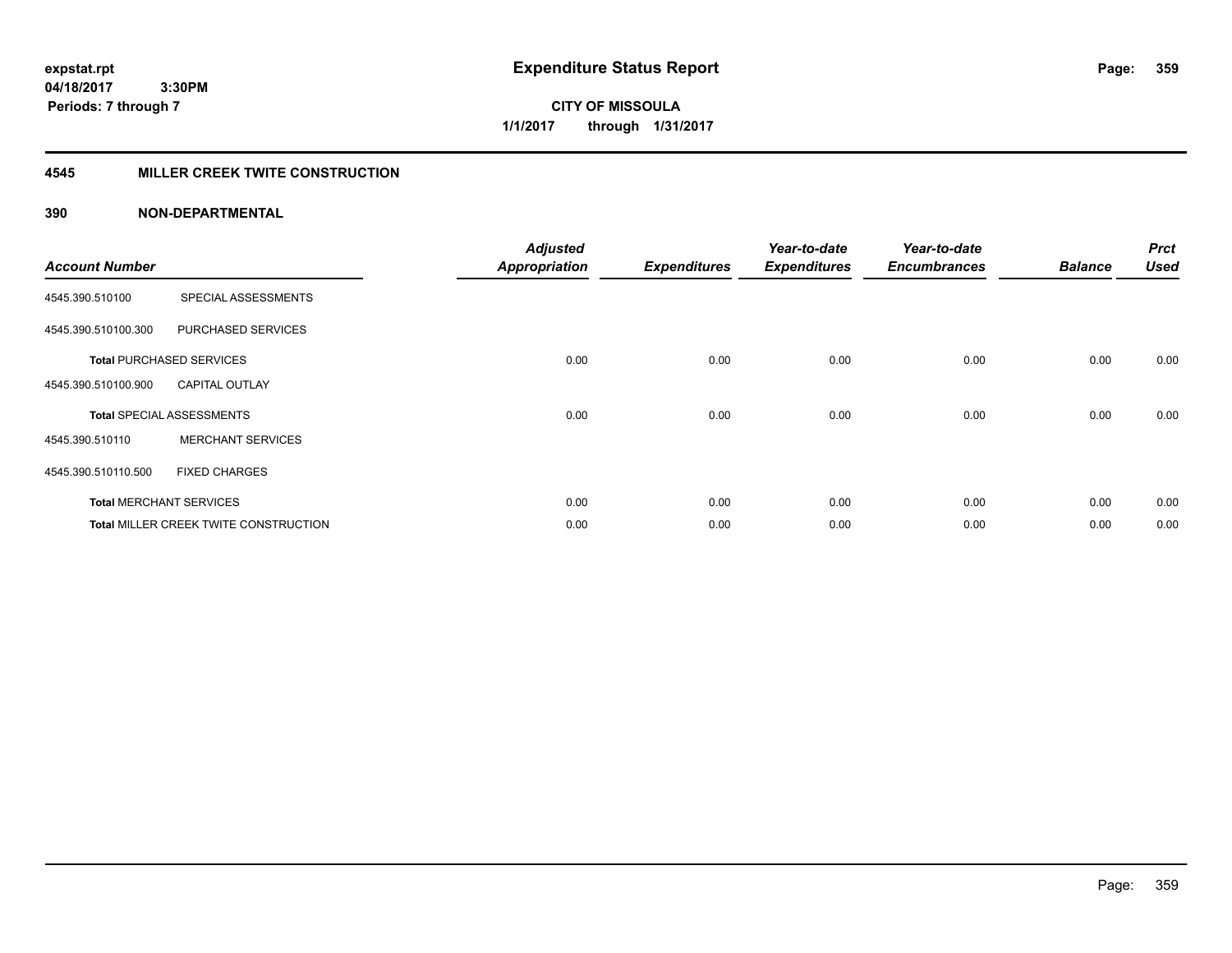**04/18/2017 3:30PM Periods: 7 through 7**

**CITY OF MISSOULA 1/1/2017 through 1/31/2017**

# **4545 MILLER CREEK TWITE CONSTRUCTION**

| <b>Account Number</b> |                                       | <b>Adjusted</b><br><b>Appropriation</b> | <b>Expenditures</b> | Year-to-date<br><b>Expenditures</b> | Year-to-date<br><b>Encumbrances</b> | <b>Balance</b> | <b>Prct</b><br><b>Used</b> |
|-----------------------|---------------------------------------|-----------------------------------------|---------------------|-------------------------------------|-------------------------------------|----------------|----------------------------|
| 4545.390.510100       | SPECIAL ASSESSMENTS                   |                                         |                     |                                     |                                     |                |                            |
| 4545.390.510100.300   | PURCHASED SERVICES                    |                                         |                     |                                     |                                     |                |                            |
|                       | <b>Total PURCHASED SERVICES</b>       | 0.00                                    | 0.00                | 0.00                                | 0.00                                | 0.00           | 0.00                       |
| 4545.390.510100.900   | <b>CAPITAL OUTLAY</b>                 |                                         |                     |                                     |                                     |                |                            |
|                       | <b>Total SPECIAL ASSESSMENTS</b>      | 0.00                                    | 0.00                | 0.00                                | 0.00                                | 0.00           | 0.00                       |
| 4545.390.510110       | <b>MERCHANT SERVICES</b>              |                                         |                     |                                     |                                     |                |                            |
| 4545.390.510110.500   | <b>FIXED CHARGES</b>                  |                                         |                     |                                     |                                     |                |                            |
|                       | <b>Total MERCHANT SERVICES</b>        | 0.00                                    | 0.00                | 0.00                                | 0.00                                | 0.00           | 0.00                       |
|                       | Total MILLER CREEK TWITE CONSTRUCTION | 0.00                                    | 0.00                | 0.00                                | 0.00                                | 0.00           | 0.00                       |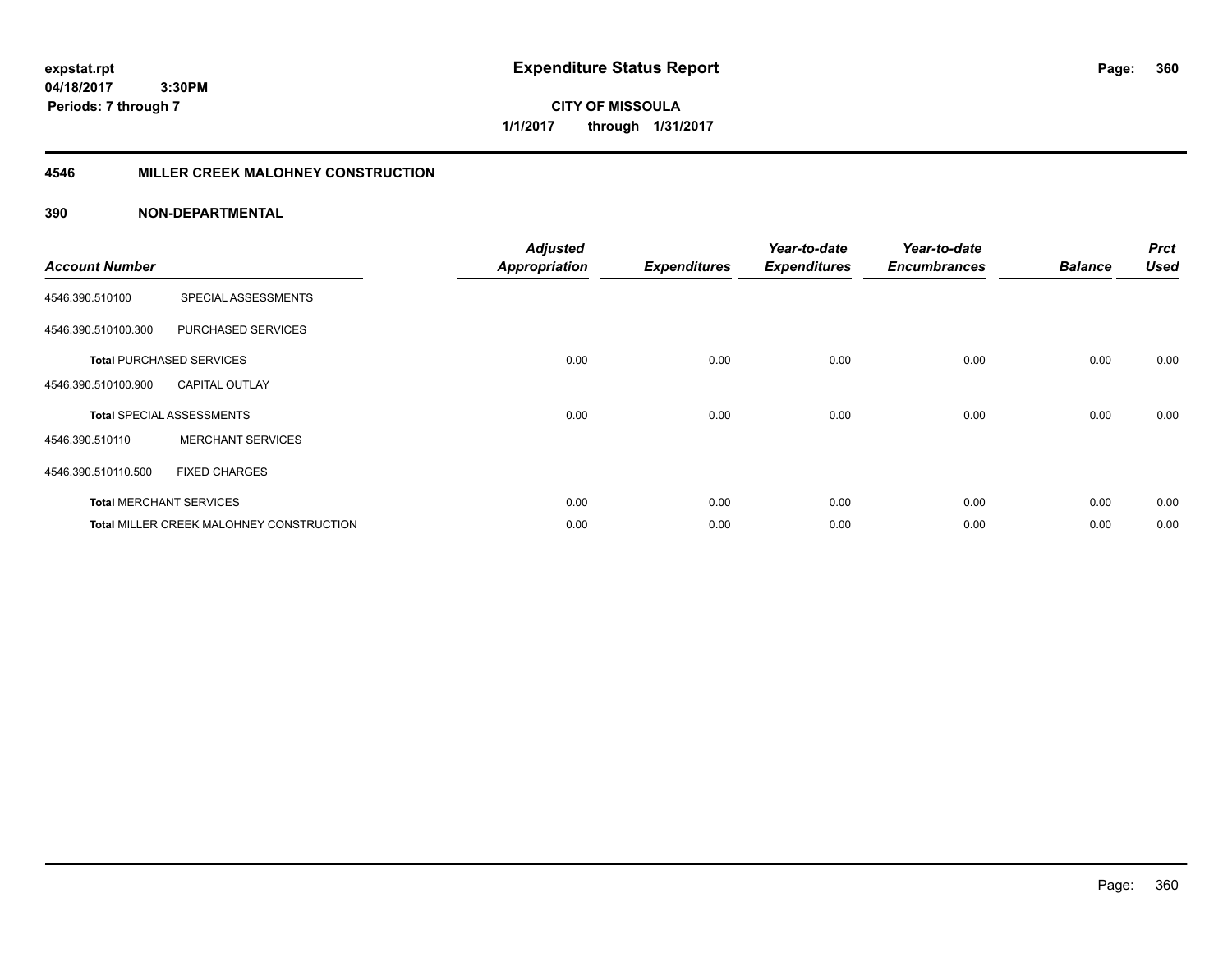**expstat.rpt Expenditure Status Report Page:**

**04/18/2017 3:30PM Periods: 7 through 7**

**CITY OF MISSOULA 1/1/2017 through 1/31/2017**

# **4546 MILLER CREEK MALOHNEY CONSTRUCTION**

| <b>Account Number</b> |                                          | <b>Adjusted</b><br><b>Appropriation</b> | <b>Expenditures</b> | Year-to-date<br><b>Expenditures</b> | Year-to-date<br><b>Encumbrances</b> | <b>Balance</b> | <b>Prct</b><br><b>Used</b> |
|-----------------------|------------------------------------------|-----------------------------------------|---------------------|-------------------------------------|-------------------------------------|----------------|----------------------------|
| 4546.390.510100       | SPECIAL ASSESSMENTS                      |                                         |                     |                                     |                                     |                |                            |
| 4546.390.510100.300   | PURCHASED SERVICES                       |                                         |                     |                                     |                                     |                |                            |
|                       | <b>Total PURCHASED SERVICES</b>          | 0.00                                    | 0.00                | 0.00                                | 0.00                                | 0.00           | 0.00                       |
| 4546.390.510100.900   | <b>CAPITAL OUTLAY</b>                    |                                         |                     |                                     |                                     |                |                            |
|                       | <b>Total SPECIAL ASSESSMENTS</b>         | 0.00                                    | 0.00                | 0.00                                | 0.00                                | 0.00           | 0.00                       |
| 4546.390.510110       | <b>MERCHANT SERVICES</b>                 |                                         |                     |                                     |                                     |                |                            |
| 4546.390.510110.500   | <b>FIXED CHARGES</b>                     |                                         |                     |                                     |                                     |                |                            |
|                       | <b>Total MERCHANT SERVICES</b>           | 0.00                                    | 0.00                | 0.00                                | 0.00                                | 0.00           | 0.00                       |
|                       | Total MILLER CREEK MALOHNEY CONSTRUCTION | 0.00                                    | 0.00                | 0.00                                | 0.00                                | 0.00           | 0.00                       |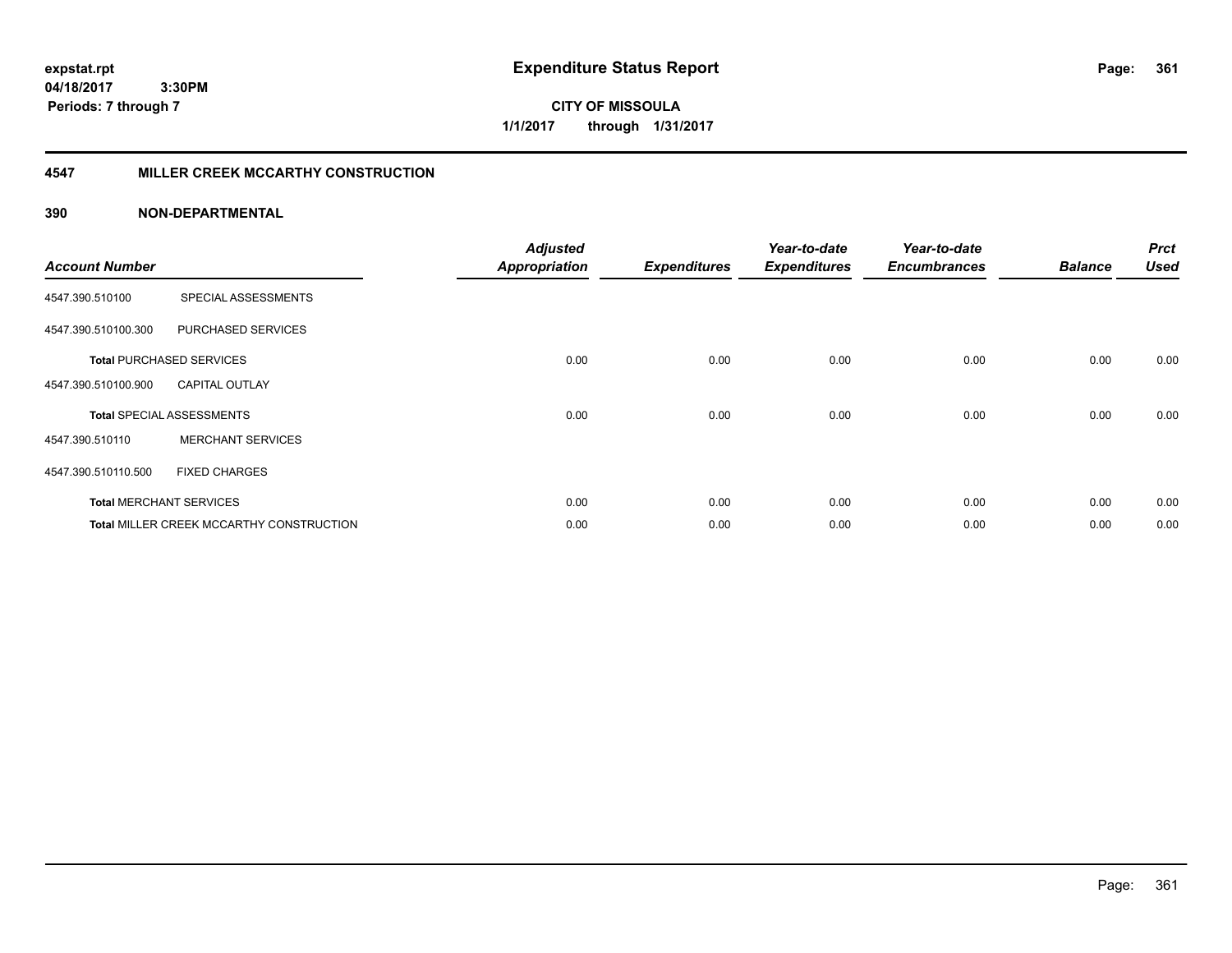**expstat.rpt Expenditure Status Report Page:**

**04/18/2017 3:30PM Periods: 7 through 7**

**CITY OF MISSOULA 1/1/2017 through 1/31/2017**

## **4547 MILLER CREEK MCCARTHY CONSTRUCTION**

| <b>Account Number</b> |                                          | <b>Adjusted</b><br><b>Appropriation</b> | <b>Expenditures</b> | Year-to-date<br><b>Expenditures</b> | Year-to-date<br><b>Encumbrances</b> | <b>Balance</b> | <b>Prct</b><br><b>Used</b> |
|-----------------------|------------------------------------------|-----------------------------------------|---------------------|-------------------------------------|-------------------------------------|----------------|----------------------------|
| 4547.390.510100       | SPECIAL ASSESSMENTS                      |                                         |                     |                                     |                                     |                |                            |
| 4547.390.510100.300   | PURCHASED SERVICES                       |                                         |                     |                                     |                                     |                |                            |
|                       | <b>Total PURCHASED SERVICES</b>          | 0.00                                    | 0.00                | 0.00                                | 0.00                                | 0.00           | 0.00                       |
| 4547.390.510100.900   | <b>CAPITAL OUTLAY</b>                    |                                         |                     |                                     |                                     |                |                            |
|                       | <b>Total SPECIAL ASSESSMENTS</b>         | 0.00                                    | 0.00                | 0.00                                | 0.00                                | 0.00           | 0.00                       |
| 4547.390.510110       | <b>MERCHANT SERVICES</b>                 |                                         |                     |                                     |                                     |                |                            |
| 4547.390.510110.500   | <b>FIXED CHARGES</b>                     |                                         |                     |                                     |                                     |                |                            |
|                       | <b>Total MERCHANT SERVICES</b>           | 0.00                                    | 0.00                | 0.00                                | 0.00                                | 0.00           | 0.00                       |
|                       | Total MILLER CREEK MCCARTHY CONSTRUCTION | 0.00                                    | 0.00                | 0.00                                | 0.00                                | 0.00           | 0.00                       |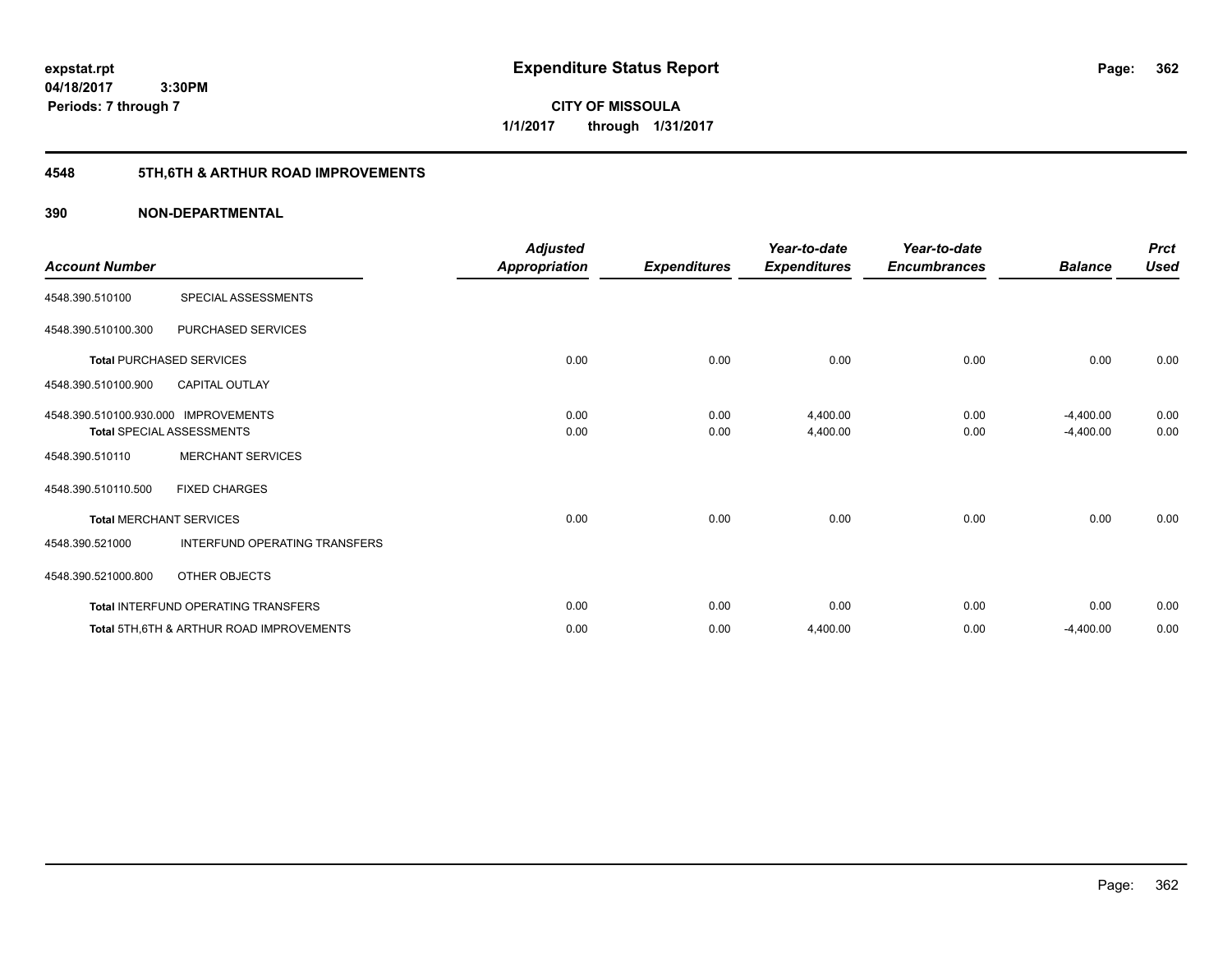**362**

**04/18/2017 3:30PM Periods: 7 through 7**

**CITY OF MISSOULA 1/1/2017 through 1/31/2017**

# **4548 5TH,6TH & ARTHUR ROAD IMPROVEMENTS**

| <b>Account Number</b>                |                                                     | <b>Adjusted</b><br><b>Appropriation</b> | <b>Expenditures</b> | Year-to-date<br><b>Expenditures</b> | Year-to-date<br><b>Encumbrances</b> | <b>Balance</b> | <b>Prct</b><br><b>Used</b> |
|--------------------------------------|-----------------------------------------------------|-----------------------------------------|---------------------|-------------------------------------|-------------------------------------|----------------|----------------------------|
| 4548.390.510100                      | SPECIAL ASSESSMENTS                                 |                                         |                     |                                     |                                     |                |                            |
| 4548.390.510100.300                  | PURCHASED SERVICES                                  |                                         |                     |                                     |                                     |                |                            |
|                                      | <b>Total PURCHASED SERVICES</b>                     | 0.00                                    | 0.00                | 0.00                                | 0.00                                | 0.00           | 0.00                       |
| 4548.390.510100.900                  | <b>CAPITAL OUTLAY</b>                               |                                         |                     |                                     |                                     |                |                            |
| 4548.390.510100.930.000 IMPROVEMENTS |                                                     | 0.00                                    | 0.00                | 4,400.00                            | 0.00                                | $-4,400.00$    | 0.00                       |
|                                      | <b>Total SPECIAL ASSESSMENTS</b>                    | 0.00                                    | 0.00                | 4,400.00                            | 0.00                                | $-4,400.00$    | 0.00                       |
| 4548.390.510110                      | <b>MERCHANT SERVICES</b>                            |                                         |                     |                                     |                                     |                |                            |
| 4548.390.510110.500                  | <b>FIXED CHARGES</b>                                |                                         |                     |                                     |                                     |                |                            |
|                                      | <b>Total MERCHANT SERVICES</b>                      | 0.00                                    | 0.00                | 0.00                                | 0.00                                | 0.00           | 0.00                       |
| 4548.390.521000                      | INTERFUND OPERATING TRANSFERS                       |                                         |                     |                                     |                                     |                |                            |
| 4548.390.521000.800                  | OTHER OBJECTS                                       |                                         |                     |                                     |                                     |                |                            |
|                                      | Total INTERFUND OPERATING TRANSFERS                 | 0.00                                    | 0.00                | 0.00                                | 0.00                                | 0.00           | 0.00                       |
|                                      | <b>Total 5TH.6TH &amp; ARTHUR ROAD IMPROVEMENTS</b> | 0.00                                    | 0.00                | 4,400.00                            | 0.00                                | $-4,400.00$    | 0.00                       |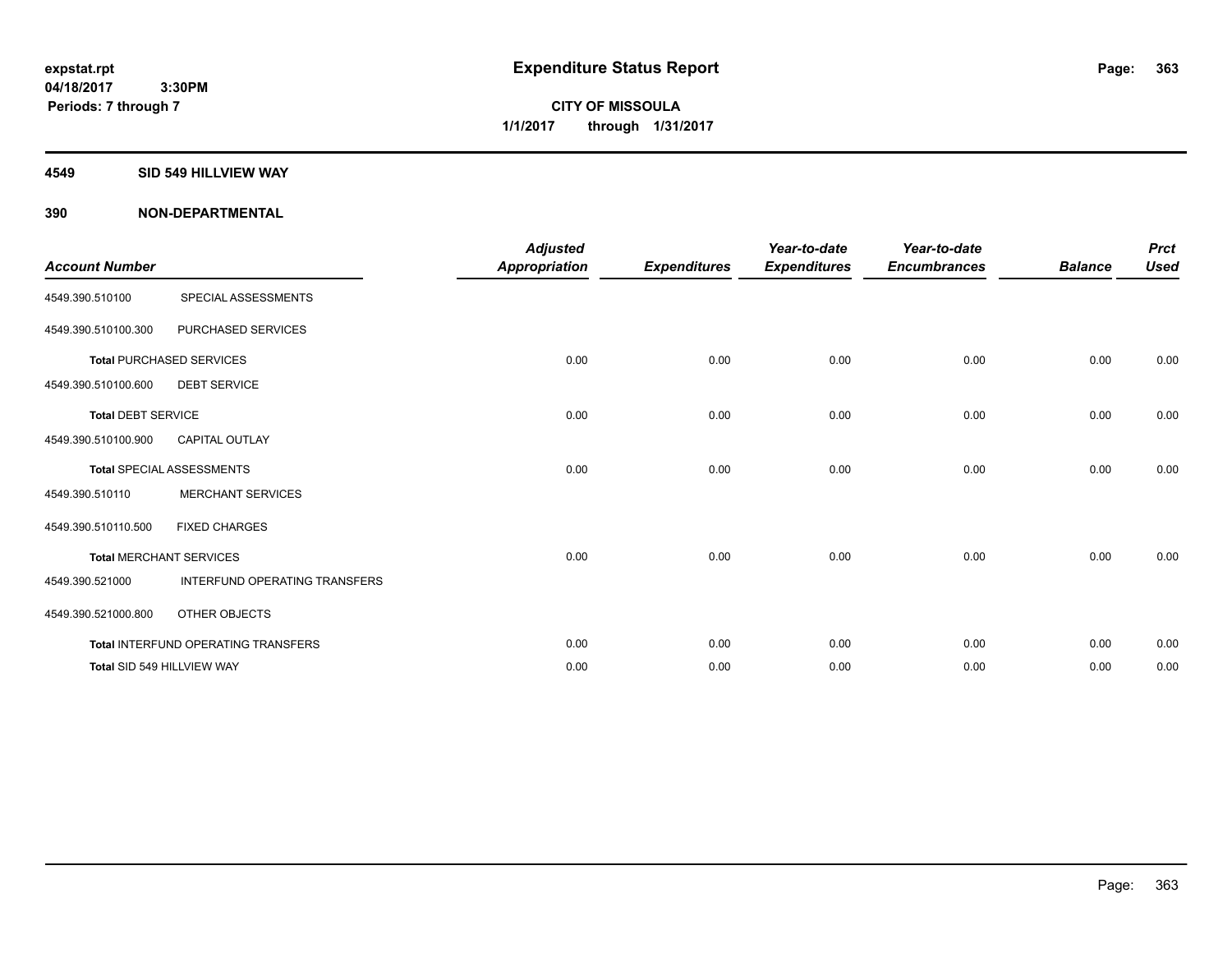**Periods: 7 through 7**

**CITY OF MISSOULA 1/1/2017 through 1/31/2017**

#### **4549 SID 549 HILLVIEW WAY**

 **3:30PM**

| <b>Account Number</b>     |                                     | <b>Adjusted</b><br><b>Appropriation</b> | <b>Expenditures</b> | Year-to-date<br><b>Expenditures</b> | Year-to-date<br><b>Encumbrances</b> | <b>Balance</b> | <b>Prct</b><br><b>Used</b> |
|---------------------------|-------------------------------------|-----------------------------------------|---------------------|-------------------------------------|-------------------------------------|----------------|----------------------------|
| 4549.390.510100           | SPECIAL ASSESSMENTS                 |                                         |                     |                                     |                                     |                |                            |
| 4549.390.510100.300       | PURCHASED SERVICES                  |                                         |                     |                                     |                                     |                |                            |
|                           | <b>Total PURCHASED SERVICES</b>     | 0.00                                    | 0.00                | 0.00                                | 0.00                                | 0.00           | 0.00                       |
| 4549.390.510100.600       | <b>DEBT SERVICE</b>                 |                                         |                     |                                     |                                     |                |                            |
| <b>Total DEBT SERVICE</b> |                                     | 0.00                                    | 0.00                | 0.00                                | 0.00                                | 0.00           | 0.00                       |
| 4549.390.510100.900       | <b>CAPITAL OUTLAY</b>               |                                         |                     |                                     |                                     |                |                            |
|                           | <b>Total SPECIAL ASSESSMENTS</b>    | 0.00                                    | 0.00                | 0.00                                | 0.00                                | 0.00           | 0.00                       |
| 4549.390.510110           | <b>MERCHANT SERVICES</b>            |                                         |                     |                                     |                                     |                |                            |
| 4549.390.510110.500       | <b>FIXED CHARGES</b>                |                                         |                     |                                     |                                     |                |                            |
|                           | <b>Total MERCHANT SERVICES</b>      | 0.00                                    | 0.00                | 0.00                                | 0.00                                | 0.00           | 0.00                       |
| 4549.390.521000           | INTERFUND OPERATING TRANSFERS       |                                         |                     |                                     |                                     |                |                            |
| 4549.390.521000.800       | OTHER OBJECTS                       |                                         |                     |                                     |                                     |                |                            |
|                           | Total INTERFUND OPERATING TRANSFERS | 0.00                                    | 0.00                | 0.00                                | 0.00                                | 0.00           | 0.00                       |
|                           | Total SID 549 HILLVIEW WAY          | 0.00                                    | 0.00                | 0.00                                | 0.00                                | 0.00           | 0.00                       |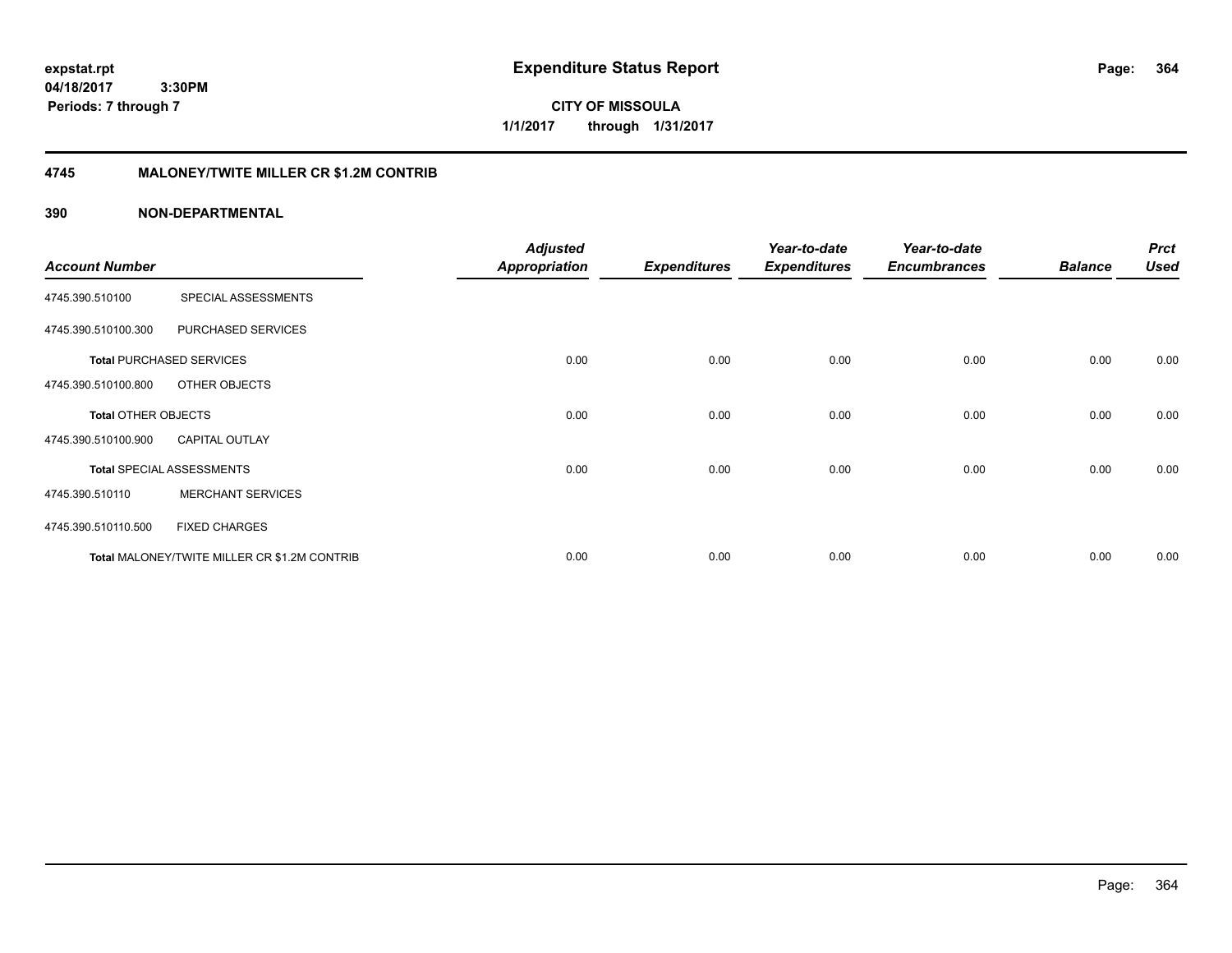**expstat.rpt Expenditure Status Report Page:**

**04/18/2017 3:30PM Periods: 7 through 7**

**CITY OF MISSOULA 1/1/2017 through 1/31/2017**

# **4745 MALONEY/TWITE MILLER CR \$1.2M CONTRIB**

|                       |                                              | <b>Adjusted</b>      |                     | Year-to-date        | Year-to-date        |                | <b>Prct</b> |
|-----------------------|----------------------------------------------|----------------------|---------------------|---------------------|---------------------|----------------|-------------|
| <b>Account Number</b> |                                              | <b>Appropriation</b> | <b>Expenditures</b> | <b>Expenditures</b> | <b>Encumbrances</b> | <b>Balance</b> | <b>Used</b> |
| 4745.390.510100       | SPECIAL ASSESSMENTS                          |                      |                     |                     |                     |                |             |
| 4745.390.510100.300   | PURCHASED SERVICES                           |                      |                     |                     |                     |                |             |
|                       | <b>Total PURCHASED SERVICES</b>              | 0.00                 | 0.00                | 0.00                | 0.00                | 0.00           | 0.00        |
| 4745.390.510100.800   | OTHER OBJECTS                                |                      |                     |                     |                     |                |             |
| Total OTHER OBJECTS   |                                              | 0.00                 | 0.00                | 0.00                | 0.00                | 0.00           | 0.00        |
| 4745.390.510100.900   | <b>CAPITAL OUTLAY</b>                        |                      |                     |                     |                     |                |             |
|                       | <b>Total SPECIAL ASSESSMENTS</b>             | 0.00                 | 0.00                | 0.00                | 0.00                | 0.00           | 0.00        |
| 4745.390.510110       | <b>MERCHANT SERVICES</b>                     |                      |                     |                     |                     |                |             |
| 4745.390.510110.500   | <b>FIXED CHARGES</b>                         |                      |                     |                     |                     |                |             |
|                       | Total MALONEY/TWITE MILLER CR \$1.2M CONTRIB | 0.00                 | 0.00                | 0.00                | 0.00                | 0.00           | 0.00        |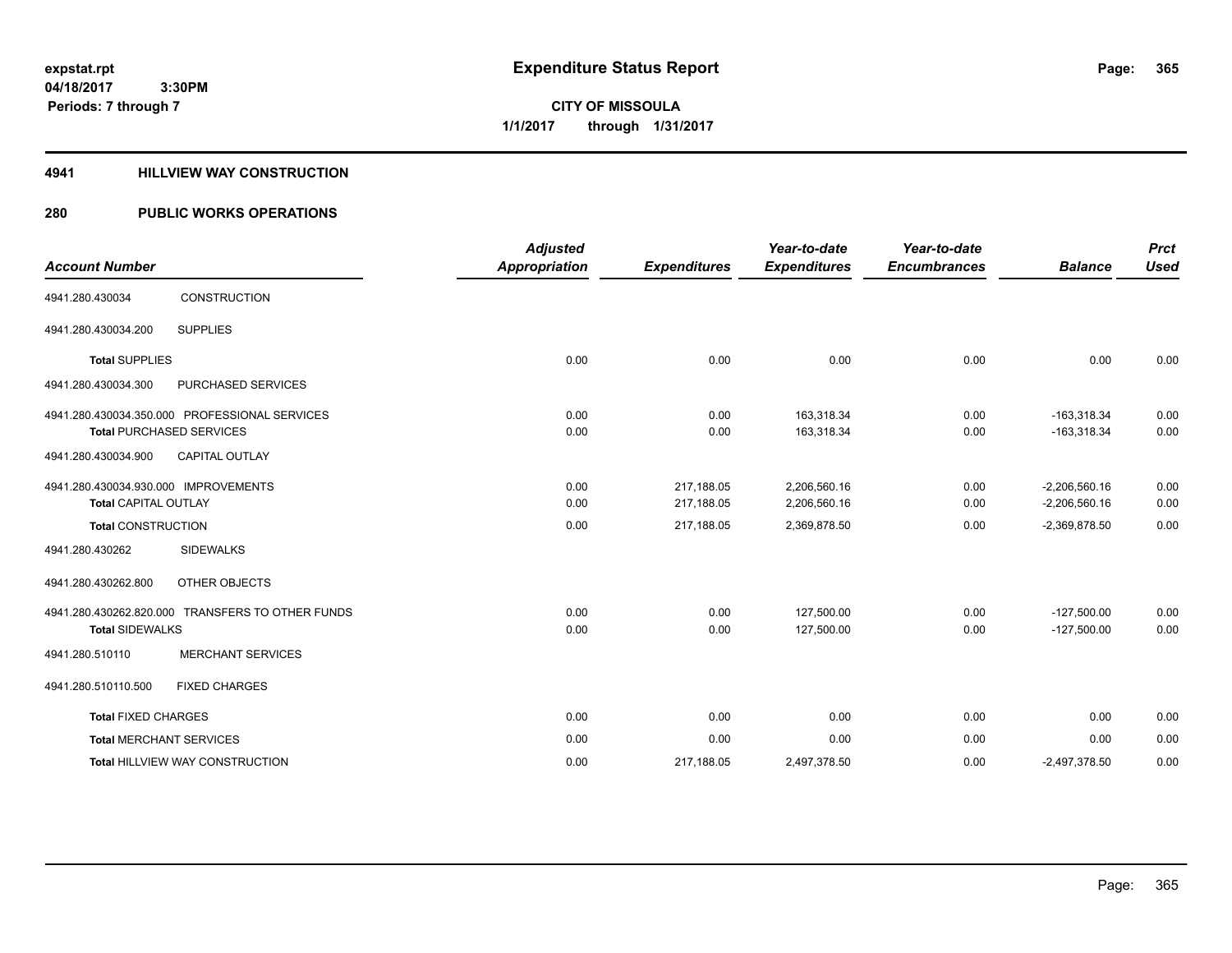**CITY OF MISSOULA 1/1/2017 through 1/31/2017**

### **4941 HILLVIEW WAY CONSTRUCTION**

## **280 PUBLIC WORKS OPERATIONS**

| <b>Account Number</b>                                               |                                                                                  | <b>Adjusted</b><br><b>Appropriation</b> | <b>Expenditures</b>      | Year-to-date<br><b>Expenditures</b> | Year-to-date<br><b>Encumbrances</b> | <b>Balance</b>                     | <b>Prct</b><br><b>Used</b> |
|---------------------------------------------------------------------|----------------------------------------------------------------------------------|-----------------------------------------|--------------------------|-------------------------------------|-------------------------------------|------------------------------------|----------------------------|
| 4941.280.430034                                                     | CONSTRUCTION                                                                     |                                         |                          |                                     |                                     |                                    |                            |
| 4941.280.430034.200                                                 | <b>SUPPLIES</b>                                                                  |                                         |                          |                                     |                                     |                                    |                            |
| <b>Total SUPPLIES</b>                                               |                                                                                  | 0.00                                    | 0.00                     | 0.00                                | 0.00                                | 0.00                               | 0.00                       |
| 4941.280.430034.300                                                 | <b>PURCHASED SERVICES</b>                                                        |                                         |                          |                                     |                                     |                                    |                            |
|                                                                     | 4941.280.430034.350.000 PROFESSIONAL SERVICES<br><b>Total PURCHASED SERVICES</b> | 0.00<br>0.00                            | 0.00<br>0.00             | 163,318.34<br>163,318.34            | 0.00<br>0.00                        | $-163,318.34$<br>$-163,318.34$     | 0.00<br>0.00               |
| 4941.280.430034.900                                                 | CAPITAL OUTLAY                                                                   |                                         |                          |                                     |                                     |                                    |                            |
| 4941.280.430034.930.000 IMPROVEMENTS<br><b>Total CAPITAL OUTLAY</b> |                                                                                  | 0.00<br>0.00                            | 217,188.05<br>217,188.05 | 2.206.560.16<br>2,206,560.16        | 0.00<br>0.00                        | $-2.206.560.16$<br>$-2,206,560.16$ | 0.00<br>0.00               |
| <b>Total CONSTRUCTION</b>                                           |                                                                                  | 0.00                                    | 217,188.05               | 2,369,878.50                        | 0.00                                | $-2,369,878.50$                    | 0.00                       |
| 4941.280.430262                                                     | <b>SIDEWALKS</b>                                                                 |                                         |                          |                                     |                                     |                                    |                            |
| 4941.280.430262.800                                                 | OTHER OBJECTS                                                                    |                                         |                          |                                     |                                     |                                    |                            |
| <b>Total SIDEWALKS</b>                                              | 4941.280.430262.820.000 TRANSFERS TO OTHER FUNDS                                 | 0.00<br>0.00                            | 0.00<br>0.00             | 127.500.00<br>127,500.00            | 0.00<br>0.00                        | $-127,500.00$<br>$-127,500.00$     | 0.00<br>0.00               |
| 4941.280.510110                                                     | <b>MERCHANT SERVICES</b>                                                         |                                         |                          |                                     |                                     |                                    |                            |
| 4941.280.510110.500                                                 | <b>FIXED CHARGES</b>                                                             |                                         |                          |                                     |                                     |                                    |                            |
| <b>Total FIXED CHARGES</b>                                          |                                                                                  | 0.00                                    | 0.00                     | 0.00                                | 0.00                                | 0.00                               | 0.00                       |
|                                                                     | <b>Total MERCHANT SERVICES</b>                                                   | 0.00                                    | 0.00                     | 0.00                                | 0.00                                | 0.00                               | 0.00                       |
|                                                                     | <b>Total HILLVIEW WAY CONSTRUCTION</b>                                           | 0.00                                    | 217,188.05               | 2,497,378.50                        | 0.00                                | $-2,497,378.50$                    | 0.00                       |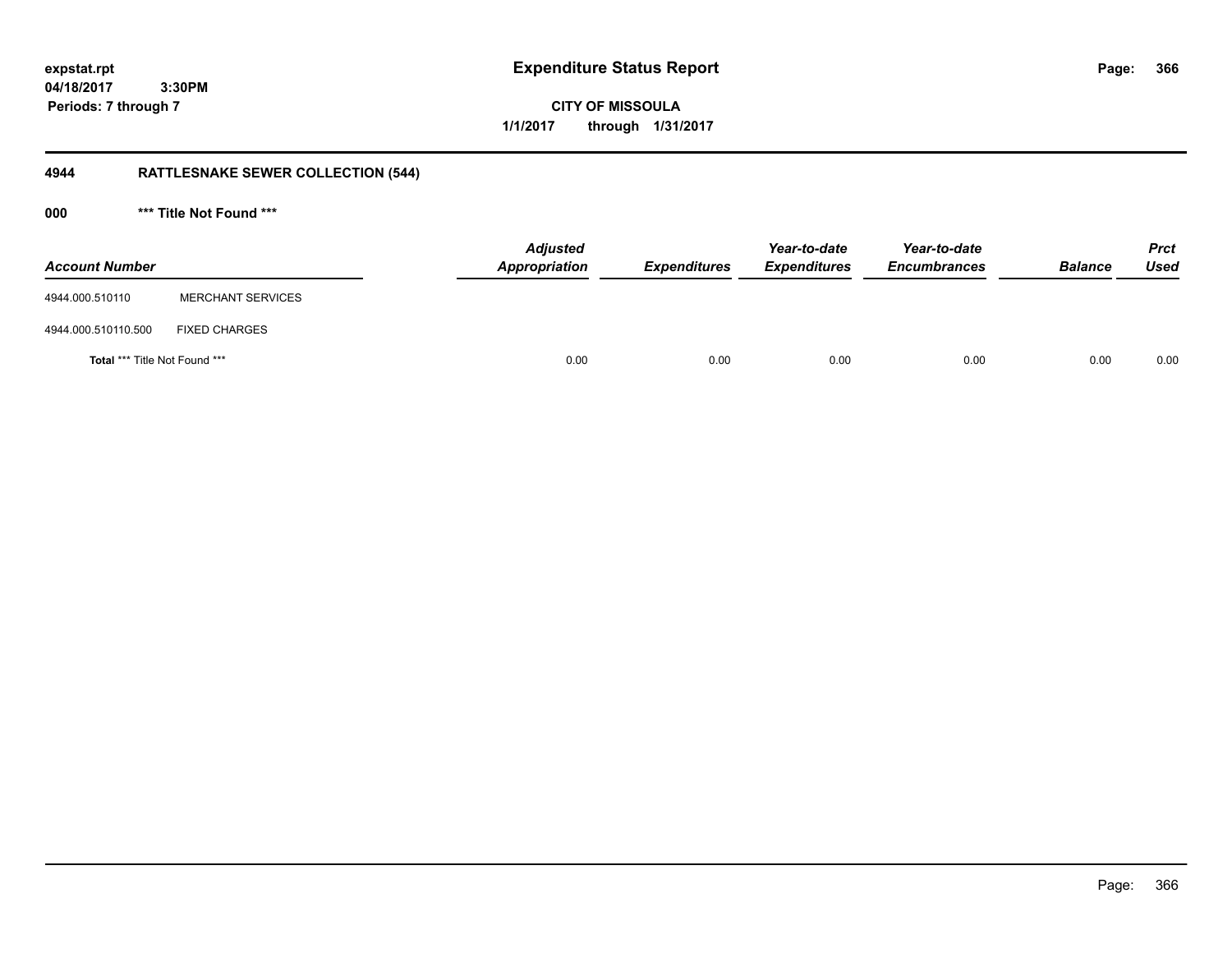**366**

**04/18/2017 3:30PM Periods: 7 through 7**

# **4944 RATTLESNAKE SEWER COLLECTION (544)**

**000 \*\*\* Title Not Found \*\*\***

| <b>Account Number</b>                |                          | <b>Adjusted</b><br><b>Appropriation</b> | <b>Expenditures</b> | Year-to-date<br><b>Expenditures</b> | Year-to-date<br><b>Encumbrances</b> | <b>Balance</b> | <b>Prct</b><br><b>Used</b> |
|--------------------------------------|--------------------------|-----------------------------------------|---------------------|-------------------------------------|-------------------------------------|----------------|----------------------------|
| 4944.000.510110                      | <b>MERCHANT SERVICES</b> |                                         |                     |                                     |                                     |                |                            |
| 4944.000.510110.500                  | <b>FIXED CHARGES</b>     |                                         |                     |                                     |                                     |                |                            |
| <b>Total *** Title Not Found ***</b> |                          | 0.00                                    | 0.00                | 0.00                                | 0.00                                | 0.00           | 0.00                       |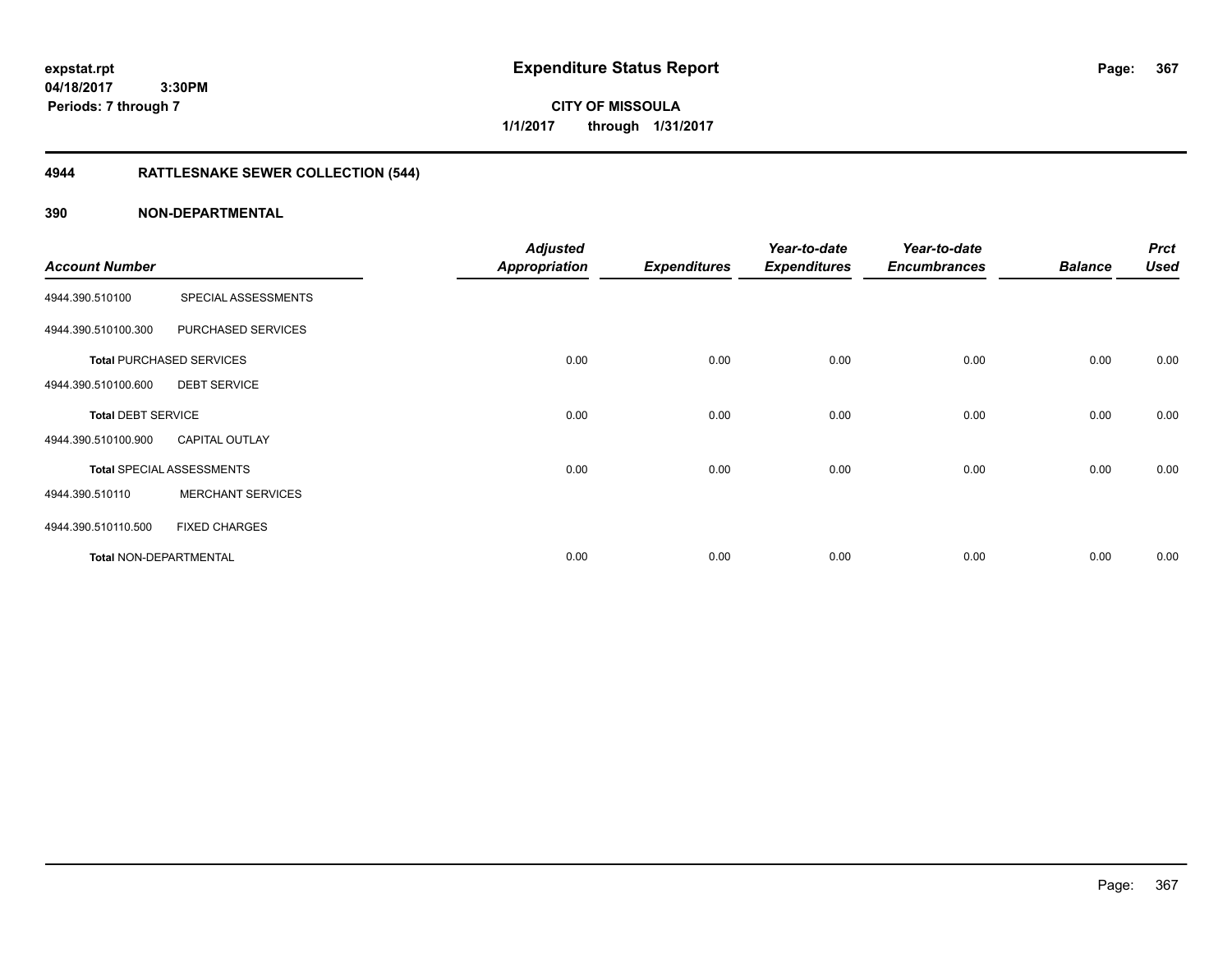**expstat.rpt Expenditure Status Report Page:**

**04/18/2017 3:30PM Periods: 7 through 7**

**CITY OF MISSOULA 1/1/2017 through 1/31/2017**

# **4944 RATTLESNAKE SEWER COLLECTION (544)**

| <b>Account Number</b>     |                                  | <b>Adjusted</b><br><b>Appropriation</b> | <b>Expenditures</b> | Year-to-date<br><b>Expenditures</b> | Year-to-date<br><b>Encumbrances</b> | <b>Balance</b> | <b>Prct</b><br><b>Used</b> |
|---------------------------|----------------------------------|-----------------------------------------|---------------------|-------------------------------------|-------------------------------------|----------------|----------------------------|
| 4944.390.510100           | SPECIAL ASSESSMENTS              |                                         |                     |                                     |                                     |                |                            |
| 4944.390.510100.300       | PURCHASED SERVICES               |                                         |                     |                                     |                                     |                |                            |
|                           | <b>Total PURCHASED SERVICES</b>  | 0.00                                    | 0.00                | 0.00                                | 0.00                                | 0.00           | 0.00                       |
| 4944.390.510100.600       | <b>DEBT SERVICE</b>              |                                         |                     |                                     |                                     |                |                            |
| <b>Total DEBT SERVICE</b> |                                  | 0.00                                    | 0.00                | 0.00                                | 0.00                                | 0.00           | 0.00                       |
| 4944.390.510100.900       | <b>CAPITAL OUTLAY</b>            |                                         |                     |                                     |                                     |                |                            |
|                           | <b>Total SPECIAL ASSESSMENTS</b> | 0.00                                    | 0.00                | 0.00                                | 0.00                                | 0.00           | 0.00                       |
| 4944.390.510110           | <b>MERCHANT SERVICES</b>         |                                         |                     |                                     |                                     |                |                            |
| 4944.390.510110.500       | <b>FIXED CHARGES</b>             |                                         |                     |                                     |                                     |                |                            |
| Total NON-DEPARTMENTAL    |                                  | 0.00                                    | 0.00                | 0.00                                | 0.00                                | 0.00           | 0.00                       |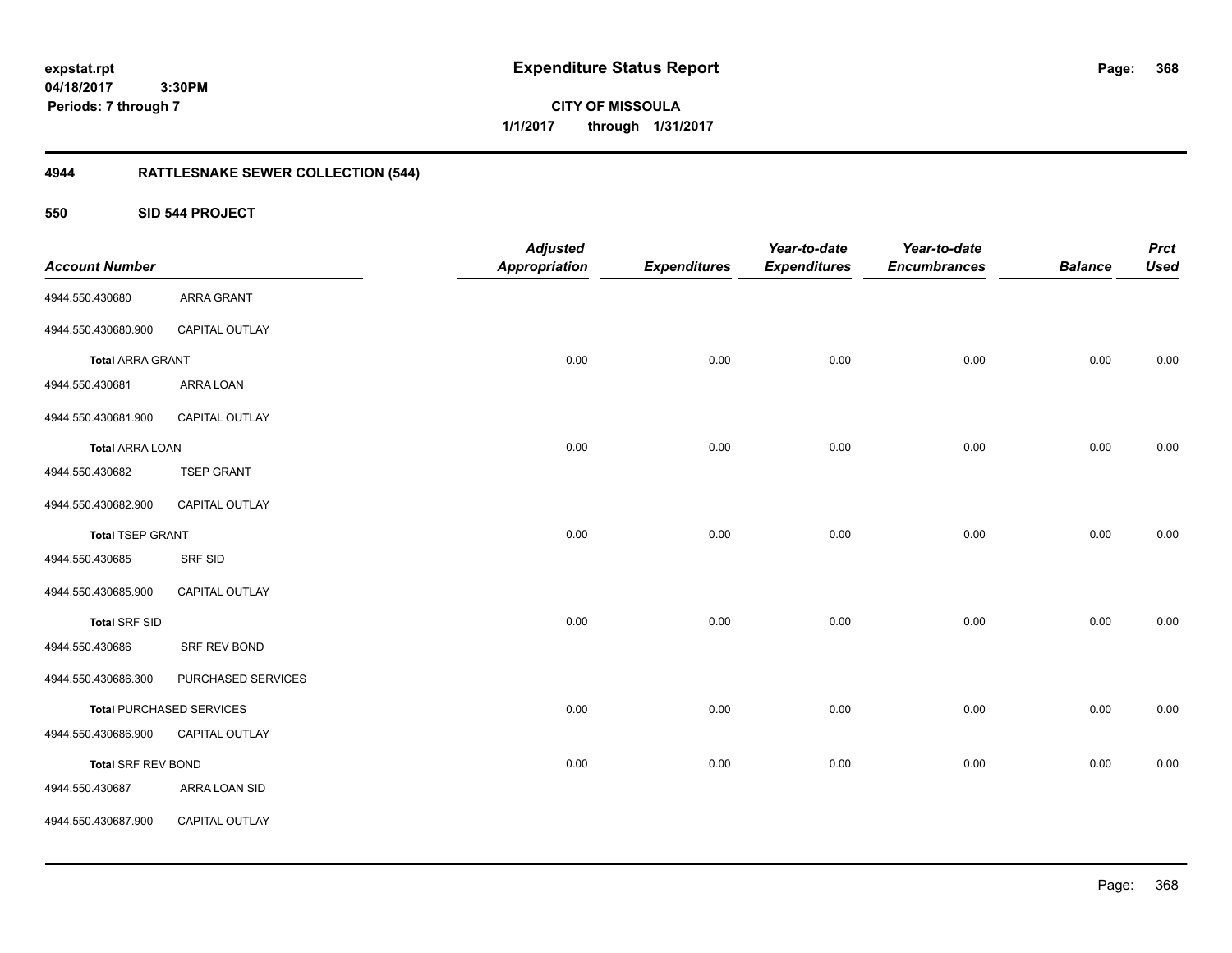**CITY OF MISSOULA 1/1/2017 through 1/31/2017**

# **4944 RATTLESNAKE SEWER COLLECTION (544)**

## **550 SID 544 PROJECT**

|                           |                                 | <b>Adjusted</b>      |                     | Year-to-date        | Year-to-date        |                | <b>Prct</b> |
|---------------------------|---------------------------------|----------------------|---------------------|---------------------|---------------------|----------------|-------------|
| <b>Account Number</b>     |                                 | <b>Appropriation</b> | <b>Expenditures</b> | <b>Expenditures</b> | <b>Encumbrances</b> | <b>Balance</b> | <b>Used</b> |
| 4944.550.430680           | <b>ARRA GRANT</b>               |                      |                     |                     |                     |                |             |
| 4944.550.430680.900       | CAPITAL OUTLAY                  |                      |                     |                     |                     |                |             |
| <b>Total ARRA GRANT</b>   |                                 | 0.00                 | 0.00                | 0.00                | 0.00                | 0.00           | 0.00        |
| 4944.550.430681           | ARRA LOAN                       |                      |                     |                     |                     |                |             |
| 4944.550.430681.900       | CAPITAL OUTLAY                  |                      |                     |                     |                     |                |             |
| <b>Total ARRA LOAN</b>    |                                 | 0.00                 | 0.00                | 0.00                | 0.00                | 0.00           | 0.00        |
| 4944.550.430682           | <b>TSEP GRANT</b>               |                      |                     |                     |                     |                |             |
| 4944.550.430682.900       | CAPITAL OUTLAY                  |                      |                     |                     |                     |                |             |
| <b>Total TSEP GRANT</b>   |                                 | 0.00                 | 0.00                | 0.00                | 0.00                | 0.00           | 0.00        |
| 4944.550.430685           | <b>SRF SID</b>                  |                      |                     |                     |                     |                |             |
| 4944.550.430685.900       | CAPITAL OUTLAY                  |                      |                     |                     |                     |                |             |
| <b>Total SRF SID</b>      |                                 | 0.00                 | 0.00                | 0.00                | 0.00                | 0.00           | 0.00        |
| 4944.550.430686           | SRF REV BOND                    |                      |                     |                     |                     |                |             |
| 4944.550.430686.300       | PURCHASED SERVICES              |                      |                     |                     |                     |                |             |
|                           | <b>Total PURCHASED SERVICES</b> | 0.00                 | 0.00                | 0.00                | 0.00                | 0.00           | 0.00        |
| 4944.550.430686.900       | <b>CAPITAL OUTLAY</b>           |                      |                     |                     |                     |                |             |
| <b>Total SRF REV BOND</b> |                                 | 0.00                 | 0.00                | 0.00                | 0.00                | 0.00           | 0.00        |
| 4944.550.430687           | ARRA LOAN SID                   |                      |                     |                     |                     |                |             |
| 4944.550.430687.900       | CAPITAL OUTLAY                  |                      |                     |                     |                     |                |             |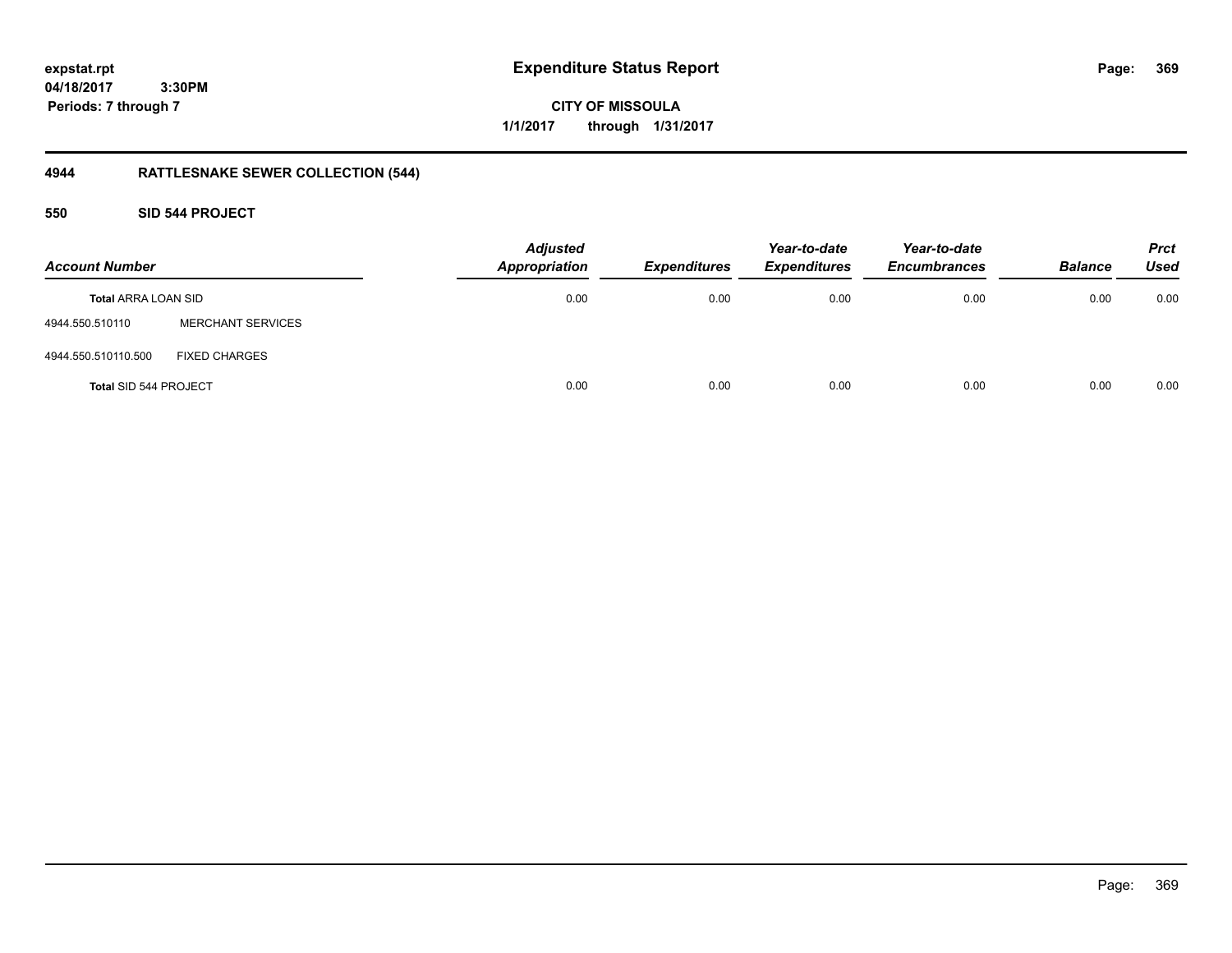**expstat.rpt Expenditure Status Report Page:**

**04/18/2017 3:30PM Periods: 7 through 7**

**CITY OF MISSOULA 1/1/2017 through 1/31/2017**

# **4944 RATTLESNAKE SEWER COLLECTION (544)**

## **550 SID 544 PROJECT**

| <b>Account Number</b>        |                          | <b>Adjusted</b><br><b>Appropriation</b> | <b>Expenditures</b> | Year-to-date<br><b>Expenditures</b> | Year-to-date<br><b>Encumbrances</b> | <b>Balance</b> | <b>Prct</b><br><b>Used</b> |
|------------------------------|--------------------------|-----------------------------------------|---------------------|-------------------------------------|-------------------------------------|----------------|----------------------------|
| <b>Total ARRA LOAN SID</b>   |                          | 0.00                                    | 0.00                | 0.00                                | 0.00                                | 0.00           | 0.00                       |
| 4944.550.510110              | <b>MERCHANT SERVICES</b> |                                         |                     |                                     |                                     |                |                            |
| 4944.550.510110.500          | <b>FIXED CHARGES</b>     |                                         |                     |                                     |                                     |                |                            |
| <b>Total SID 544 PROJECT</b> |                          | 0.00                                    | 0.00                | 0.00                                | 0.00                                | 0.00           | 0.00                       |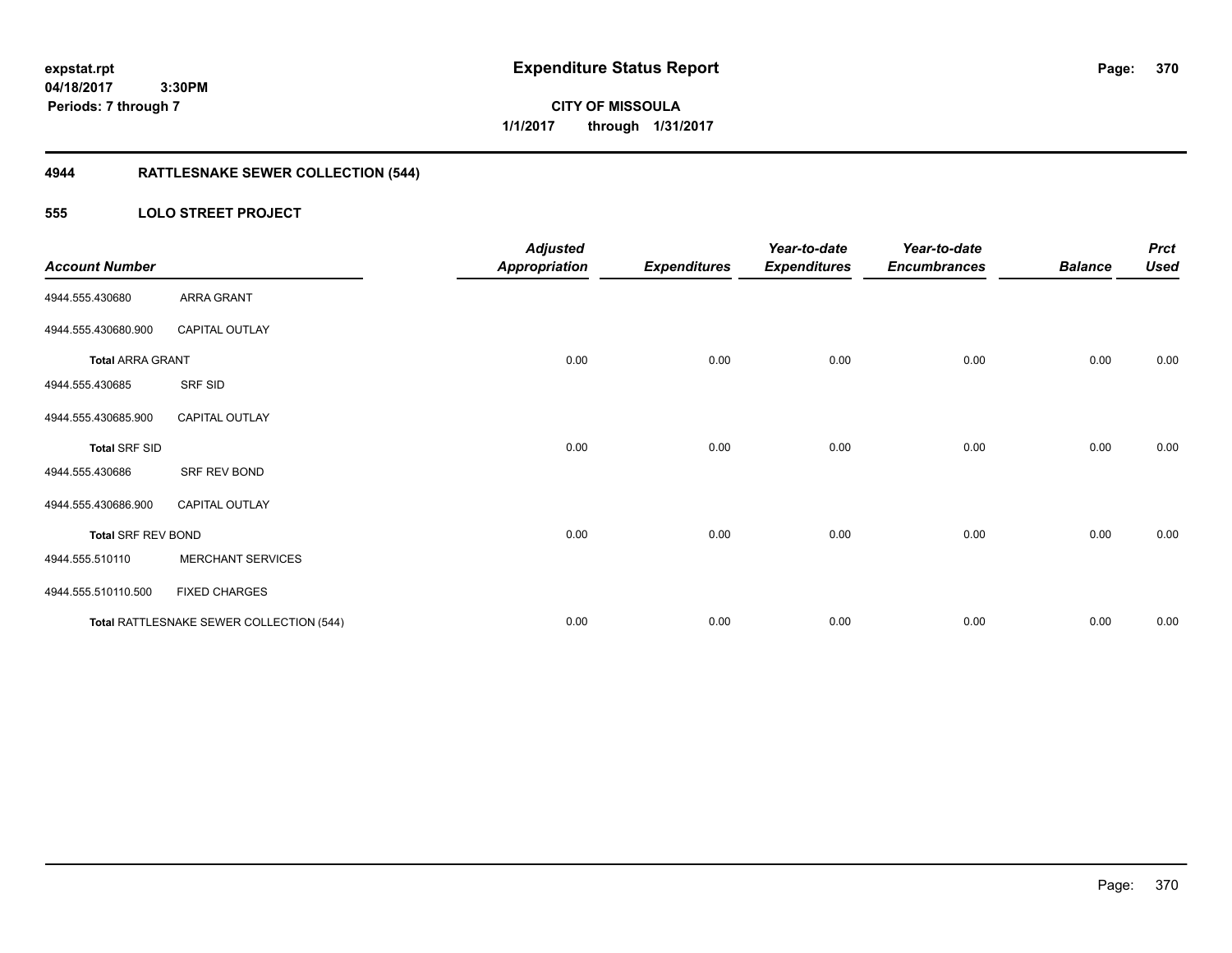**CITY OF MISSOULA 1/1/2017 through 1/31/2017**

# **4944 RATTLESNAKE SEWER COLLECTION (544)**

## **555 LOLO STREET PROJECT**

| <b>Account Number</b>     |                                          | <b>Adjusted</b><br><b>Appropriation</b> | <b>Expenditures</b> | Year-to-date<br><b>Expenditures</b> | Year-to-date<br><b>Encumbrances</b> | <b>Balance</b> | <b>Prct</b><br><b>Used</b> |
|---------------------------|------------------------------------------|-----------------------------------------|---------------------|-------------------------------------|-------------------------------------|----------------|----------------------------|
| 4944.555.430680           | ARRA GRANT                               |                                         |                     |                                     |                                     |                |                            |
| 4944.555.430680.900       | <b>CAPITAL OUTLAY</b>                    |                                         |                     |                                     |                                     |                |                            |
| <b>Total ARRA GRANT</b>   |                                          | 0.00                                    | 0.00                | 0.00                                | 0.00                                | 0.00           | 0.00                       |
| 4944.555.430685           | SRF SID                                  |                                         |                     |                                     |                                     |                |                            |
| 4944.555.430685.900       | <b>CAPITAL OUTLAY</b>                    |                                         |                     |                                     |                                     |                |                            |
| <b>Total SRF SID</b>      |                                          | 0.00                                    | 0.00                | 0.00                                | 0.00                                | 0.00           | 0.00                       |
| 4944.555.430686           | SRF REV BOND                             |                                         |                     |                                     |                                     |                |                            |
| 4944.555.430686.900       | <b>CAPITAL OUTLAY</b>                    |                                         |                     |                                     |                                     |                |                            |
| <b>Total SRF REV BOND</b> |                                          | 0.00                                    | 0.00                | 0.00                                | 0.00                                | 0.00           | 0.00                       |
| 4944.555.510110           | <b>MERCHANT SERVICES</b>                 |                                         |                     |                                     |                                     |                |                            |
| 4944.555.510110.500       | <b>FIXED CHARGES</b>                     |                                         |                     |                                     |                                     |                |                            |
|                           | Total RATTLESNAKE SEWER COLLECTION (544) | 0.00                                    | 0.00                | 0.00                                | 0.00                                | 0.00           | 0.00                       |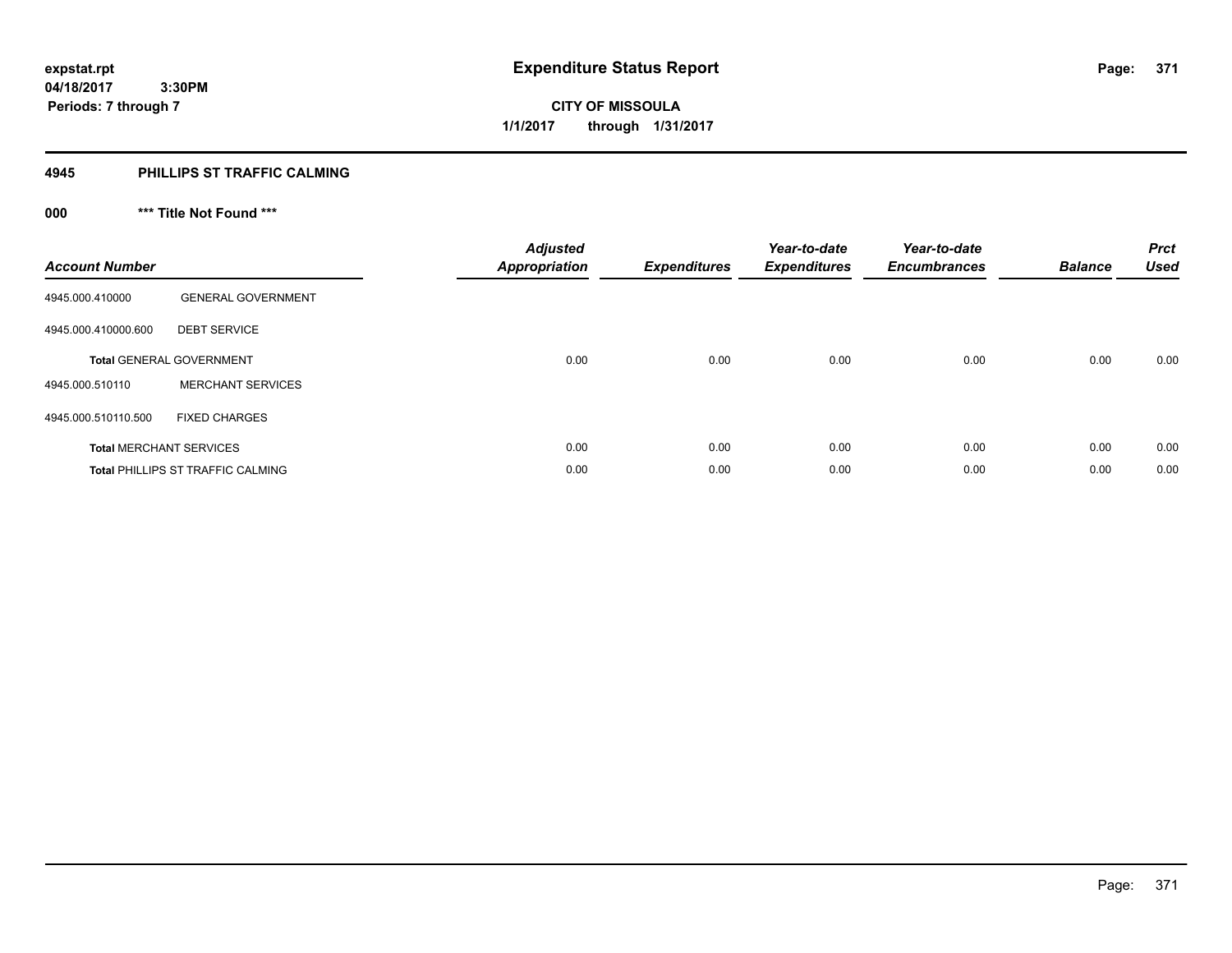**371**

**04/18/2017 3:30PM Periods: 7 through 7**

**CITY OF MISSOULA 1/1/2017 through 1/31/2017**

#### **4945 PHILLIPS ST TRAFFIC CALMING**

# **000 \*\*\* Title Not Found \*\*\***

| <b>Account Number</b> |                                          | <b>Adjusted</b><br><b>Appropriation</b> | Expenditures | Year-to-date<br><b>Expenditures</b> | Year-to-date<br><b>Encumbrances</b> | <b>Balance</b> | <b>Prct</b><br><b>Used</b> |
|-----------------------|------------------------------------------|-----------------------------------------|--------------|-------------------------------------|-------------------------------------|----------------|----------------------------|
| 4945.000.410000       | <b>GENERAL GOVERNMENT</b>                |                                         |              |                                     |                                     |                |                            |
| 4945.000.410000.600   | <b>DEBT SERVICE</b>                      |                                         |              |                                     |                                     |                |                            |
|                       | <b>Total GENERAL GOVERNMENT</b>          | 0.00                                    | 0.00         | 0.00                                | 0.00                                | 0.00           | 0.00                       |
| 4945.000.510110       | <b>MERCHANT SERVICES</b>                 |                                         |              |                                     |                                     |                |                            |
| 4945.000.510110.500   | <b>FIXED CHARGES</b>                     |                                         |              |                                     |                                     |                |                            |
|                       | <b>Total MERCHANT SERVICES</b>           | 0.00                                    | 0.00         | 0.00                                | 0.00                                | 0.00           | 0.00                       |
|                       | <b>Total PHILLIPS ST TRAFFIC CALMING</b> | 0.00                                    | 0.00         | 0.00                                | 0.00                                | 0.00           | 0.00                       |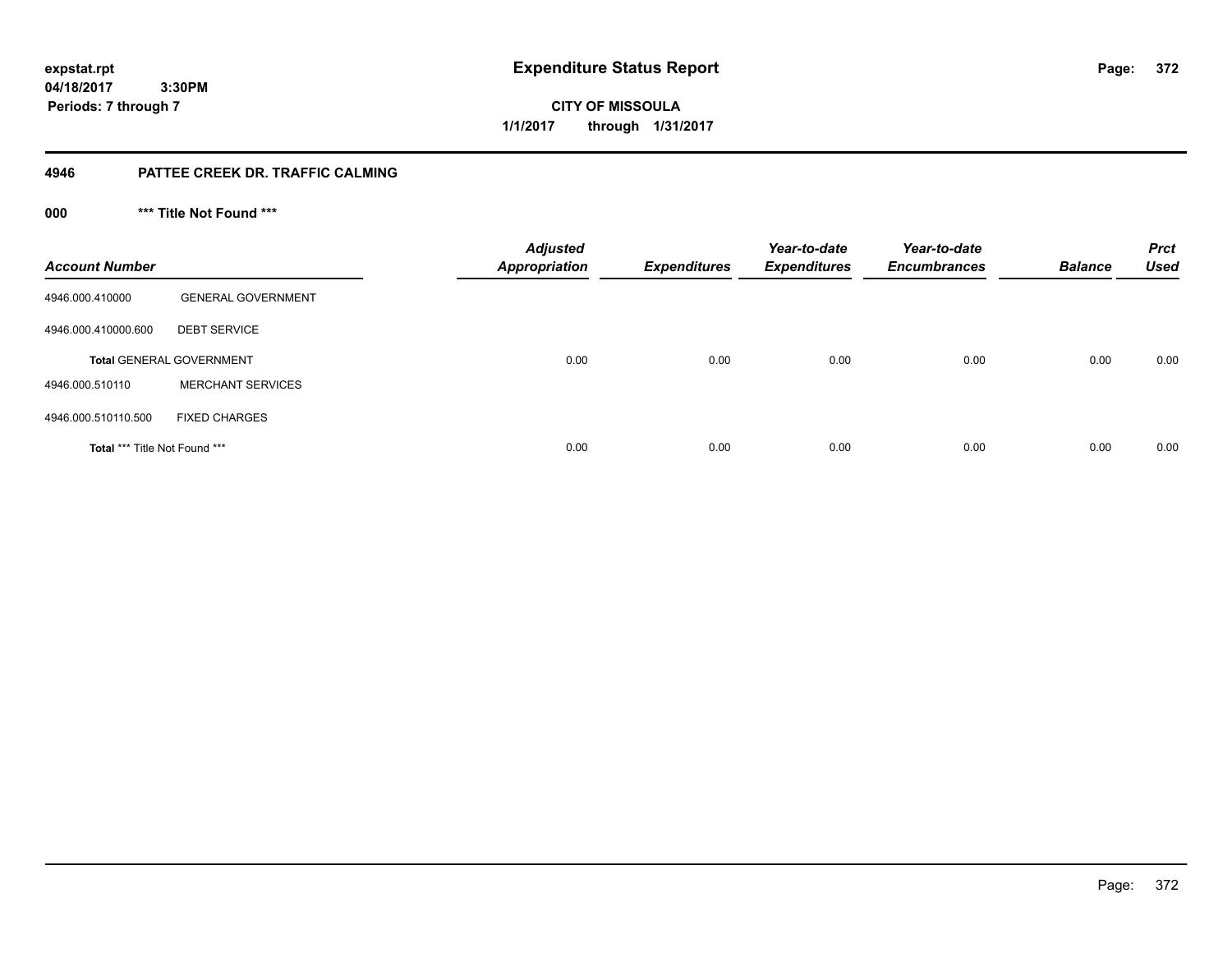**expstat.rpt Expenditure Status Report** 

**04/18/2017 3:30PM Periods: 7 through 7**

**CITY OF MISSOULA 1/1/2017 through 1/31/2017**

## **4946 PATTEE CREEK DR. TRAFFIC CALMING**

**000 \*\*\* Title Not Found \*\*\***

| <b>Account Number</b>         |                                 | <b>Adjusted</b><br><b>Appropriation</b> | <b>Expenditures</b> | Year-to-date<br><b>Expenditures</b> | Year-to-date<br><b>Encumbrances</b> | <b>Balance</b> | <b>Prct</b><br><b>Used</b> |
|-------------------------------|---------------------------------|-----------------------------------------|---------------------|-------------------------------------|-------------------------------------|----------------|----------------------------|
| 4946.000.410000               | <b>GENERAL GOVERNMENT</b>       |                                         |                     |                                     |                                     |                |                            |
| 4946.000.410000.600           | <b>DEBT SERVICE</b>             |                                         |                     |                                     |                                     |                |                            |
|                               | <b>Total GENERAL GOVERNMENT</b> | 0.00                                    | 0.00                | 0.00                                | 0.00                                | 0.00           | 0.00                       |
| 4946.000.510110               | <b>MERCHANT SERVICES</b>        |                                         |                     |                                     |                                     |                |                            |
| 4946.000.510110.500           | <b>FIXED CHARGES</b>            |                                         |                     |                                     |                                     |                |                            |
| Total *** Title Not Found *** |                                 | 0.00                                    | 0.00                | 0.00                                | 0.00                                | 0.00           | 0.00                       |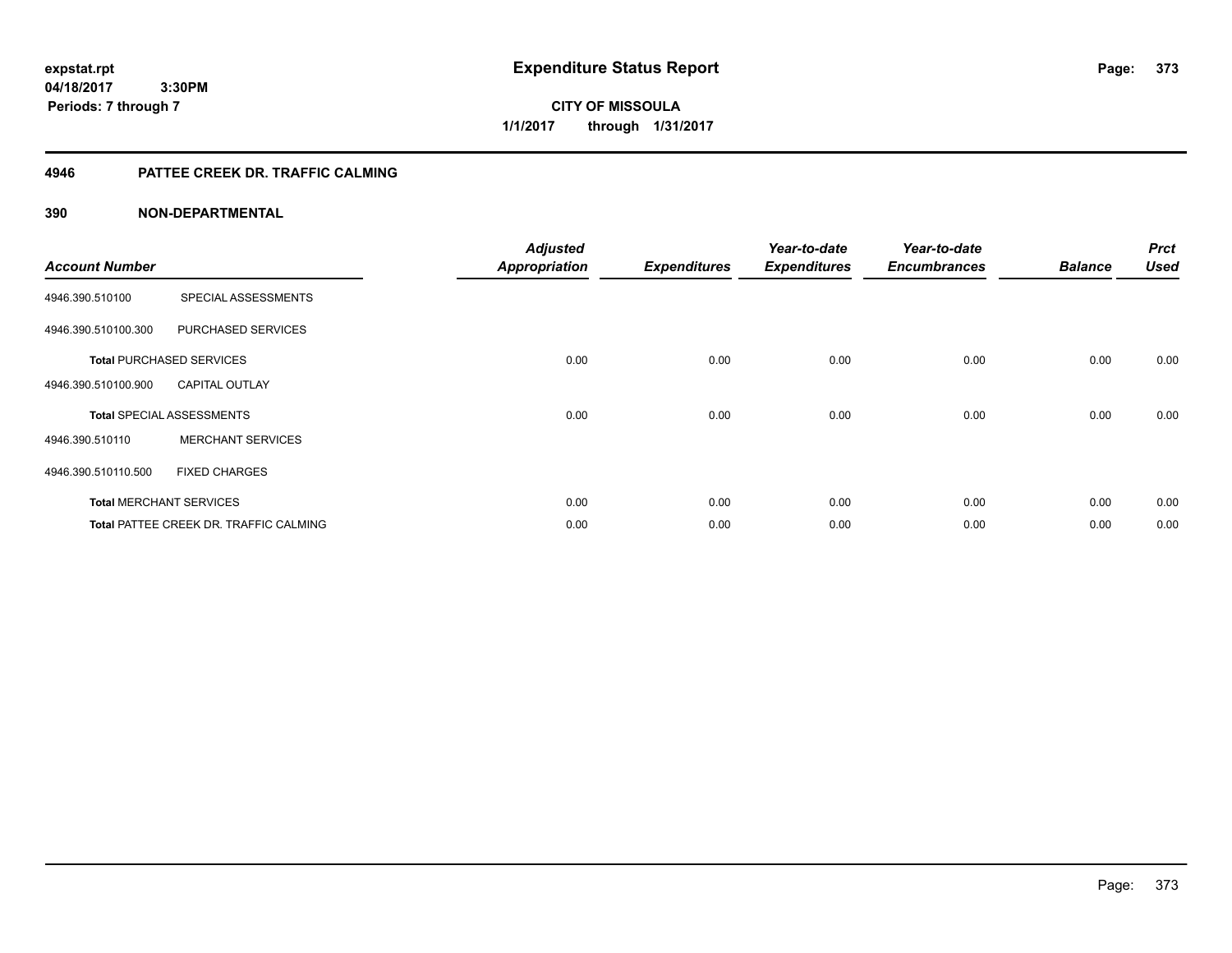**expstat.rpt Expenditure Status Report** 

**04/18/2017 3:30PM Periods: 7 through 7**

**CITY OF MISSOULA 1/1/2017 through 1/31/2017**

## **4946 PATTEE CREEK DR. TRAFFIC CALMING**

| <b>Account Number</b> |                                               | <b>Adjusted</b><br><b>Appropriation</b> | <b>Expenditures</b> | Year-to-date<br><b>Expenditures</b> | Year-to-date<br><b>Encumbrances</b> | <b>Balance</b> | <b>Prct</b><br><b>Used</b> |
|-----------------------|-----------------------------------------------|-----------------------------------------|---------------------|-------------------------------------|-------------------------------------|----------------|----------------------------|
| 4946.390.510100       | SPECIAL ASSESSMENTS                           |                                         |                     |                                     |                                     |                |                            |
| 4946.390.510100.300   | PURCHASED SERVICES                            |                                         |                     |                                     |                                     |                |                            |
|                       | <b>Total PURCHASED SERVICES</b>               | 0.00                                    | 0.00                | 0.00                                | 0.00                                | 0.00           | 0.00                       |
| 4946.390.510100.900   | <b>CAPITAL OUTLAY</b>                         |                                         |                     |                                     |                                     |                |                            |
|                       | <b>Total SPECIAL ASSESSMENTS</b>              | 0.00                                    | 0.00                | 0.00                                | 0.00                                | 0.00           | 0.00                       |
| 4946.390.510110       | <b>MERCHANT SERVICES</b>                      |                                         |                     |                                     |                                     |                |                            |
| 4946.390.510110.500   | <b>FIXED CHARGES</b>                          |                                         |                     |                                     |                                     |                |                            |
|                       | <b>Total MERCHANT SERVICES</b>                | 0.00                                    | 0.00                | 0.00                                | 0.00                                | 0.00           | 0.00                       |
|                       | <b>Total PATTEE CREEK DR. TRAFFIC CALMING</b> | 0.00                                    | 0.00                | 0.00                                | 0.00                                | 0.00           | 0.00                       |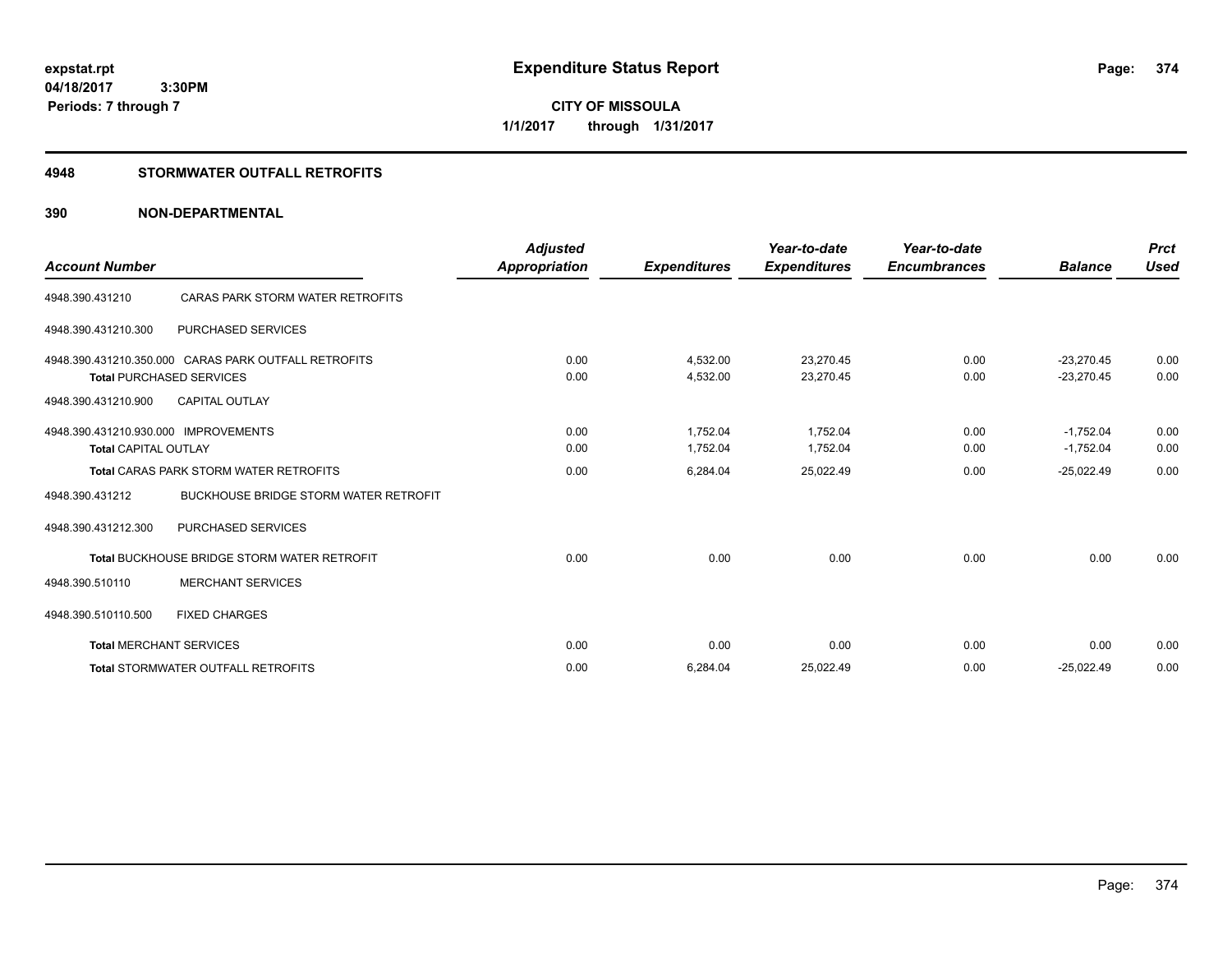**CITY OF MISSOULA 1/1/2017 through 1/31/2017**

## **4948 STORMWATER OUTFALL RETROFITS**

| <b>Account Number</b>                |                                                      | <b>Adjusted</b><br><b>Appropriation</b> | <b>Expenditures</b> | Year-to-date<br><b>Expenditures</b> | Year-to-date<br><b>Encumbrances</b> | <b>Balance</b> | <b>Prct</b><br><b>Used</b> |
|--------------------------------------|------------------------------------------------------|-----------------------------------------|---------------------|-------------------------------------|-------------------------------------|----------------|----------------------------|
|                                      |                                                      |                                         |                     |                                     |                                     |                |                            |
| 4948.390.431210                      | CARAS PARK STORM WATER RETROFITS                     |                                         |                     |                                     |                                     |                |                            |
| 4948.390.431210.300                  | <b>PURCHASED SERVICES</b>                            |                                         |                     |                                     |                                     |                |                            |
|                                      | 4948.390.431210.350.000 CARAS PARK OUTFALL RETROFITS | 0.00                                    | 4.532.00            | 23.270.45                           | 0.00                                | $-23.270.45$   | 0.00                       |
|                                      | <b>Total PURCHASED SERVICES</b>                      | 0.00                                    | 4,532.00            | 23,270.45                           | 0.00                                | $-23,270.45$   | 0.00                       |
| 4948.390.431210.900                  | <b>CAPITAL OUTLAY</b>                                |                                         |                     |                                     |                                     |                |                            |
| 4948.390.431210.930.000 IMPROVEMENTS |                                                      | 0.00                                    | 1.752.04            | 1,752.04                            | 0.00                                | $-1,752.04$    | 0.00                       |
| <b>Total CAPITAL OUTLAY</b>          |                                                      | 0.00                                    | 1,752.04            | 1,752.04                            | 0.00                                | $-1,752.04$    | 0.00                       |
|                                      | <b>Total CARAS PARK STORM WATER RETROFITS</b>        | 0.00                                    | 6,284.04            | 25,022.49                           | 0.00                                | $-25,022.49$   | 0.00                       |
| 4948.390.431212                      | <b>BUCKHOUSE BRIDGE STORM WATER RETROFIT</b>         |                                         |                     |                                     |                                     |                |                            |
| 4948.390.431212.300                  | PURCHASED SERVICES                                   |                                         |                     |                                     |                                     |                |                            |
|                                      | <b>Total BUCKHOUSE BRIDGE STORM WATER RETROFIT</b>   | 0.00                                    | 0.00                | 0.00                                | 0.00                                | 0.00           | 0.00                       |
| 4948.390.510110                      | <b>MERCHANT SERVICES</b>                             |                                         |                     |                                     |                                     |                |                            |
| 4948.390.510110.500                  | <b>FIXED CHARGES</b>                                 |                                         |                     |                                     |                                     |                |                            |
|                                      | <b>Total MERCHANT SERVICES</b>                       | 0.00                                    | 0.00                | 0.00                                | 0.00                                | 0.00           | 0.00                       |
|                                      | <b>Total STORMWATER OUTFALL RETROFITS</b>            | 0.00                                    | 6,284.04            | 25,022.49                           | 0.00                                | $-25,022.49$   | 0.00                       |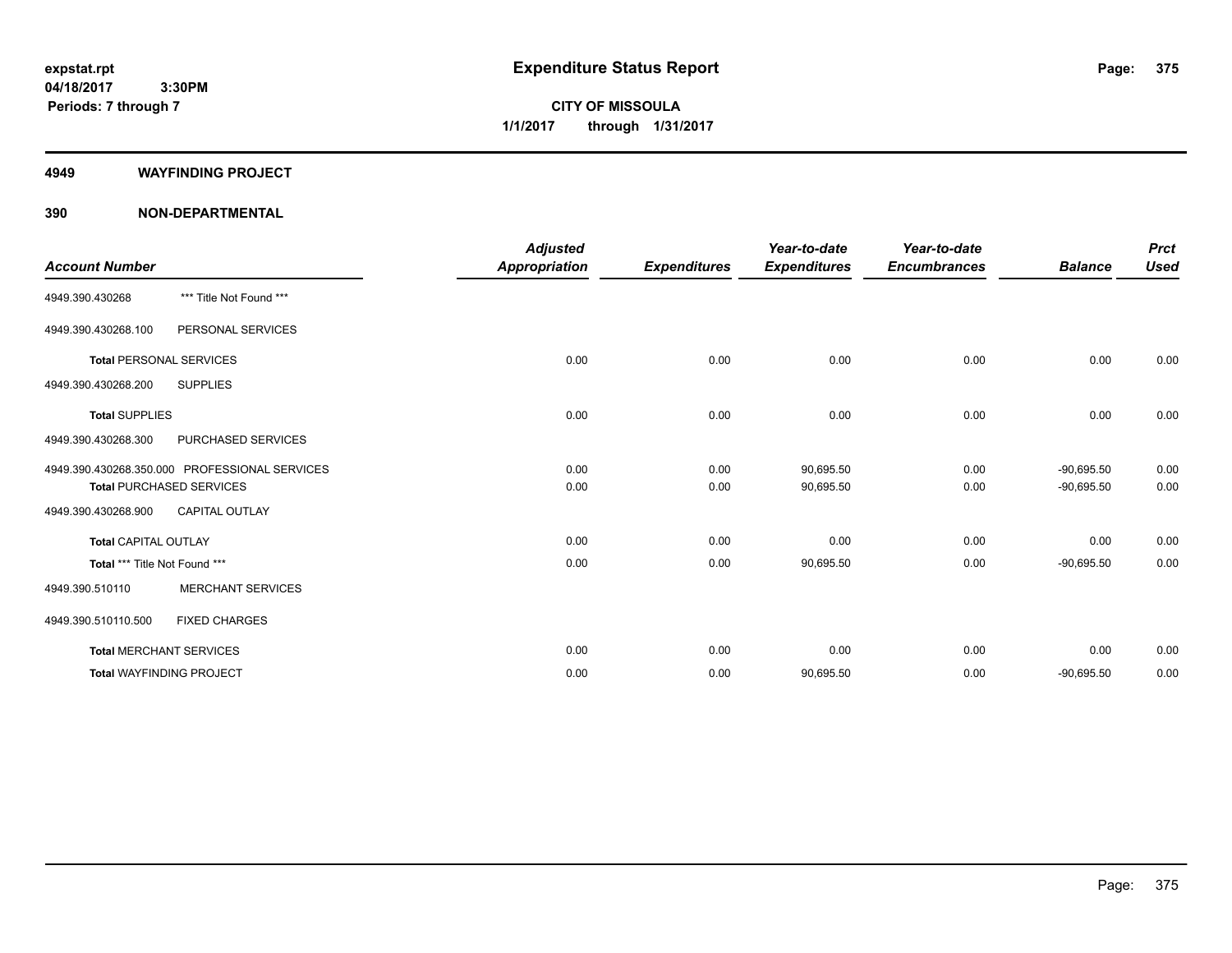**CITY OF MISSOULA 1/1/2017 through 1/31/2017**

#### **4949 WAYFINDING PROJECT**

|                                |                                               | <b>Adjusted</b>      |                     | Year-to-date        | Year-to-date        |                | <b>Prct</b> |
|--------------------------------|-----------------------------------------------|----------------------|---------------------|---------------------|---------------------|----------------|-------------|
| <b>Account Number</b>          |                                               | <b>Appropriation</b> | <b>Expenditures</b> | <b>Expenditures</b> | <b>Encumbrances</b> | <b>Balance</b> | <b>Used</b> |
| 4949.390.430268                | *** Title Not Found ***                       |                      |                     |                     |                     |                |             |
| 4949.390.430268.100            | PERSONAL SERVICES                             |                      |                     |                     |                     |                |             |
| <b>Total PERSONAL SERVICES</b> |                                               | 0.00                 | 0.00                | 0.00                | 0.00                | 0.00           | 0.00        |
| 4949.390.430268.200            | <b>SUPPLIES</b>                               |                      |                     |                     |                     |                |             |
| <b>Total SUPPLIES</b>          |                                               | 0.00                 | 0.00                | 0.00                | 0.00                | 0.00           | 0.00        |
| 4949.390.430268.300            | PURCHASED SERVICES                            |                      |                     |                     |                     |                |             |
|                                | 4949.390.430268.350.000 PROFESSIONAL SERVICES | 0.00                 | 0.00                | 90,695.50           | 0.00                | $-90,695.50$   | 0.00        |
|                                | <b>Total PURCHASED SERVICES</b>               | 0.00                 | 0.00                | 90,695.50           | 0.00                | $-90,695.50$   | 0.00        |
| 4949.390.430268.900            | <b>CAPITAL OUTLAY</b>                         |                      |                     |                     |                     |                |             |
| <b>Total CAPITAL OUTLAY</b>    |                                               | 0.00                 | 0.00                | 0.00                | 0.00                | 0.00           | 0.00        |
| Total *** Title Not Found ***  |                                               | 0.00                 | 0.00                | 90,695.50           | 0.00                | $-90,695.50$   | 0.00        |
| 4949.390.510110                | <b>MERCHANT SERVICES</b>                      |                      |                     |                     |                     |                |             |
| 4949.390.510110.500            | <b>FIXED CHARGES</b>                          |                      |                     |                     |                     |                |             |
|                                | <b>Total MERCHANT SERVICES</b>                | 0.00                 | 0.00                | 0.00                | 0.00                | 0.00           | 0.00        |
|                                | <b>Total WAYFINDING PROJECT</b>               | 0.00                 | 0.00                | 90,695.50           | 0.00                | $-90,695.50$   | 0.00        |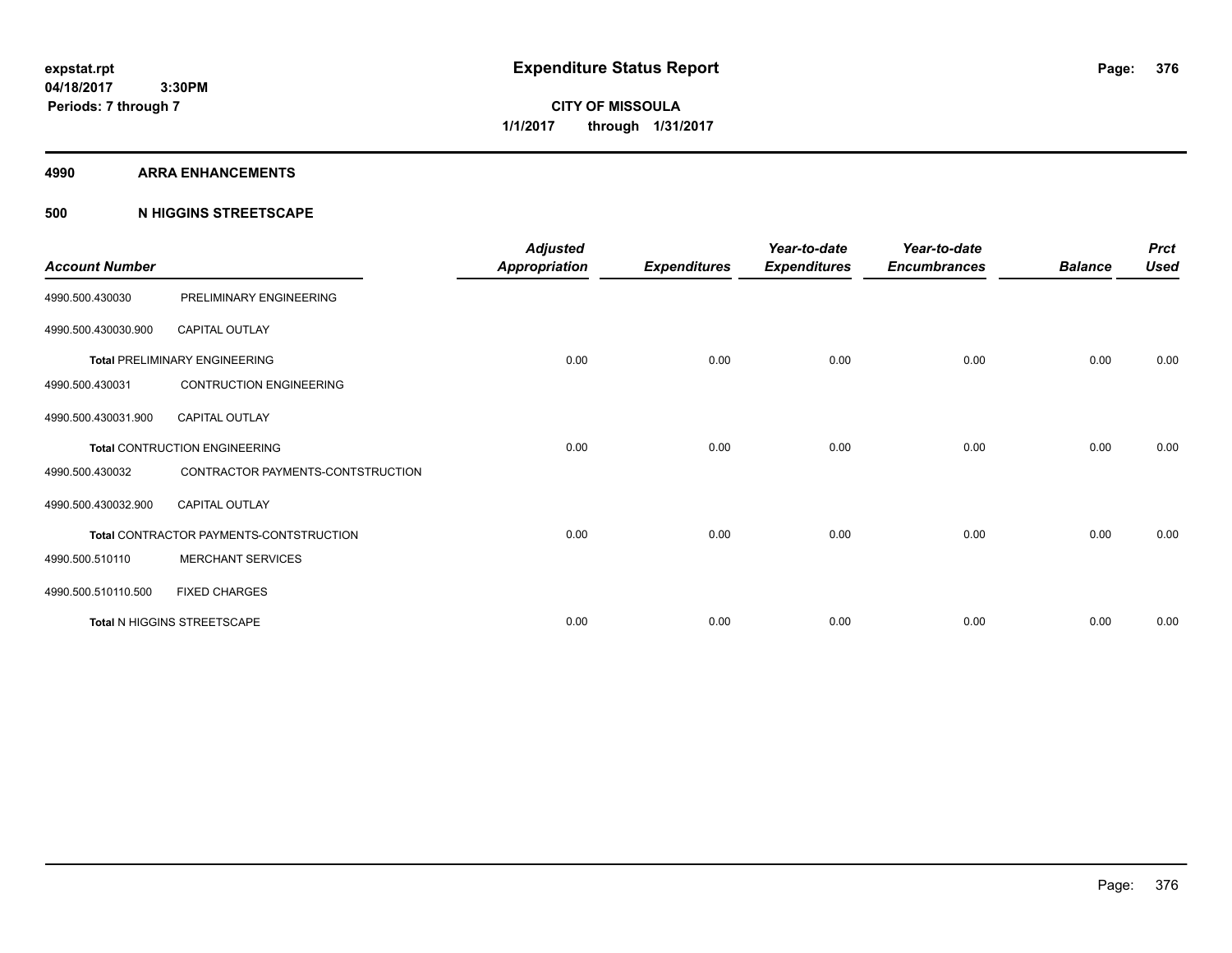**CITY OF MISSOULA 1/1/2017 through 1/31/2017**

#### **4990 ARRA ENHANCEMENTS**

## **500 N HIGGINS STREETSCAPE**

| <b>Account Number</b> |                                         | <b>Adjusted</b><br><b>Appropriation</b> | <b>Expenditures</b> | Year-to-date<br><b>Expenditures</b> | Year-to-date<br><b>Encumbrances</b> | <b>Balance</b> | <b>Prct</b><br><b>Used</b> |
|-----------------------|-----------------------------------------|-----------------------------------------|---------------------|-------------------------------------|-------------------------------------|----------------|----------------------------|
| 4990.500.430030       | PRELIMINARY ENGINEERING                 |                                         |                     |                                     |                                     |                |                            |
| 4990.500.430030.900   | <b>CAPITAL OUTLAY</b>                   |                                         |                     |                                     |                                     |                |                            |
|                       | <b>Total PRELIMINARY ENGINEERING</b>    | 0.00                                    | 0.00                | 0.00                                | 0.00                                | 0.00           | 0.00                       |
| 4990.500.430031       | <b>CONTRUCTION ENGINEERING</b>          |                                         |                     |                                     |                                     |                |                            |
| 4990.500.430031.900   | CAPITAL OUTLAY                          |                                         |                     |                                     |                                     |                |                            |
|                       | <b>Total CONTRUCTION ENGINEERING</b>    | 0.00                                    | 0.00                | 0.00                                | 0.00                                | 0.00           | 0.00                       |
| 4990.500.430032       | CONTRACTOR PAYMENTS-CONTSTRUCTION       |                                         |                     |                                     |                                     |                |                            |
| 4990.500.430032.900   | <b>CAPITAL OUTLAY</b>                   |                                         |                     |                                     |                                     |                |                            |
|                       | Total CONTRACTOR PAYMENTS-CONTSTRUCTION | 0.00                                    | 0.00                | 0.00                                | 0.00                                | 0.00           | 0.00                       |
| 4990.500.510110       | <b>MERCHANT SERVICES</b>                |                                         |                     |                                     |                                     |                |                            |
| 4990.500.510110.500   | <b>FIXED CHARGES</b>                    |                                         |                     |                                     |                                     |                |                            |
|                       | <b>Total N HIGGINS STREETSCAPE</b>      | 0.00                                    | 0.00                | 0.00                                | 0.00                                | 0.00           | 0.00                       |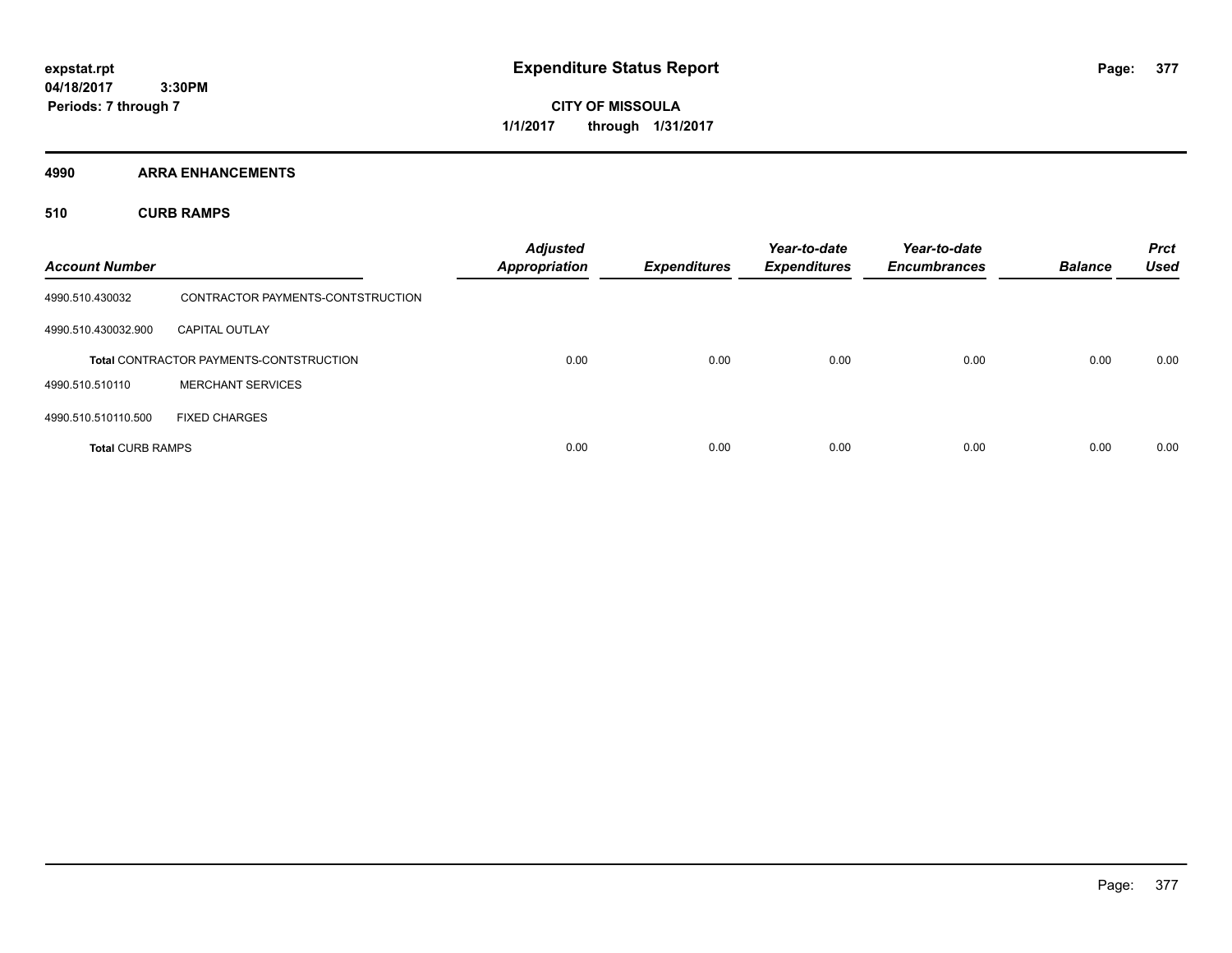**CITY OF MISSOULA 1/1/2017 through 1/31/2017**

**4990 ARRA ENHANCEMENTS**

**510 CURB RAMPS**

| <b>Account Number</b>   |                                                | <b>Adjusted</b><br><b>Appropriation</b> | <b>Expenditures</b> | Year-to-date<br><b>Expenditures</b> | Year-to-date<br><b>Encumbrances</b> | <b>Balance</b> | <b>Prct</b><br><b>Used</b> |
|-------------------------|------------------------------------------------|-----------------------------------------|---------------------|-------------------------------------|-------------------------------------|----------------|----------------------------|
| 4990.510.430032         | CONTRACTOR PAYMENTS-CONTSTRUCTION              |                                         |                     |                                     |                                     |                |                            |
| 4990.510.430032.900     | <b>CAPITAL OUTLAY</b>                          |                                         |                     |                                     |                                     |                |                            |
|                         | <b>Total CONTRACTOR PAYMENTS-CONTSTRUCTION</b> | 0.00                                    | 0.00                | 0.00                                | 0.00                                | 0.00           | 0.00                       |
| 4990.510.510110         | <b>MERCHANT SERVICES</b>                       |                                         |                     |                                     |                                     |                |                            |
| 4990.510.510110.500     | <b>FIXED CHARGES</b>                           |                                         |                     |                                     |                                     |                |                            |
| <b>Total CURB RAMPS</b> |                                                | 0.00                                    | 0.00                | 0.00                                | 0.00                                | 0.00           | 0.00                       |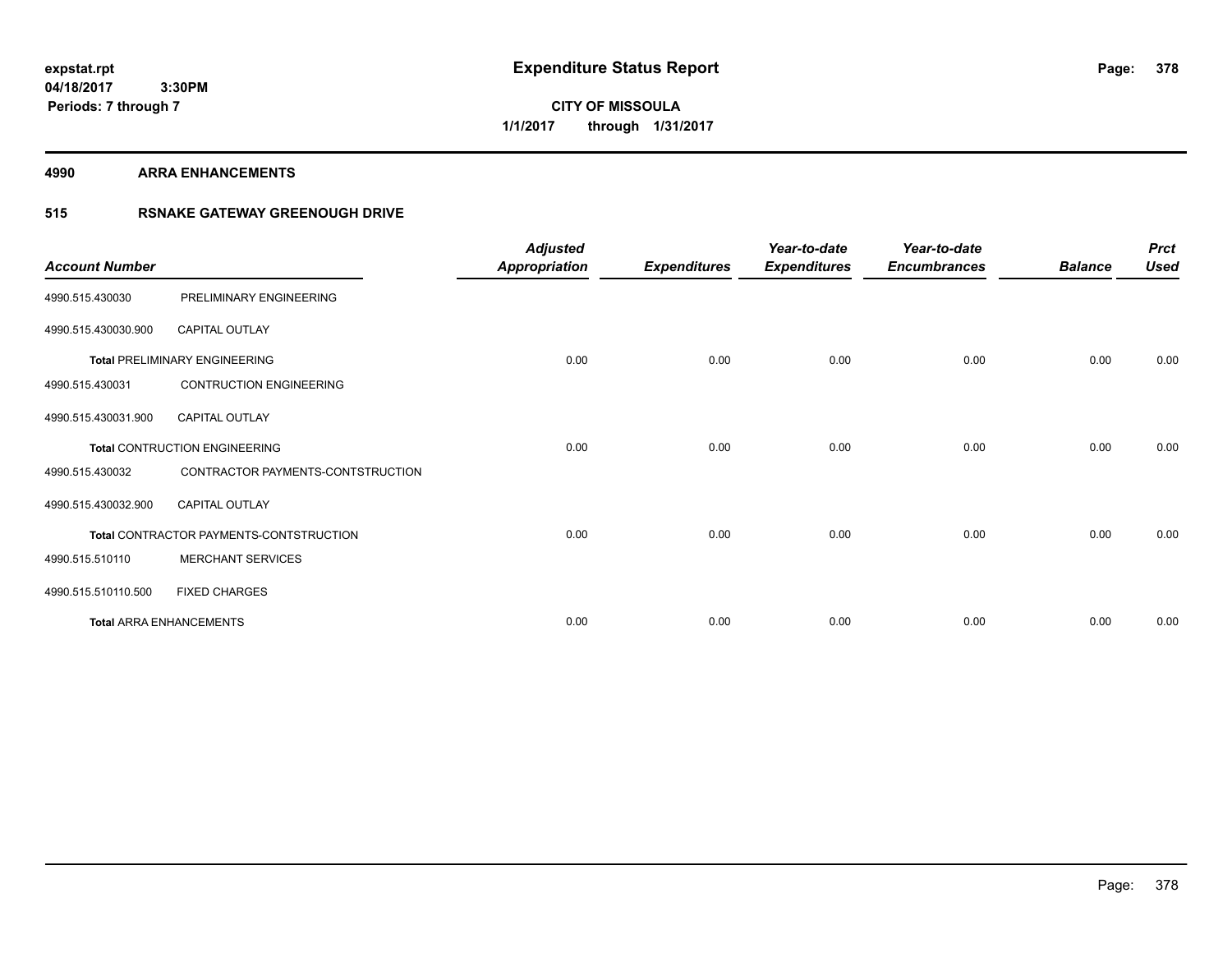**CITY OF MISSOULA 1/1/2017 through 1/31/2017**

#### **4990 ARRA ENHANCEMENTS**

## **515 RSNAKE GATEWAY GREENOUGH DRIVE**

| <b>Account Number</b> |                                         | <b>Adjusted</b><br><b>Appropriation</b> | <b>Expenditures</b> | Year-to-date<br><b>Expenditures</b> | Year-to-date<br><b>Encumbrances</b> | <b>Balance</b> | <b>Prct</b><br><b>Used</b> |
|-----------------------|-----------------------------------------|-----------------------------------------|---------------------|-------------------------------------|-------------------------------------|----------------|----------------------------|
| 4990.515.430030       | PRELIMINARY ENGINEERING                 |                                         |                     |                                     |                                     |                |                            |
| 4990.515.430030.900   | CAPITAL OUTLAY                          |                                         |                     |                                     |                                     |                |                            |
|                       | <b>Total PRELIMINARY ENGINEERING</b>    | 0.00                                    | 0.00                | 0.00                                | 0.00                                | 0.00           | 0.00                       |
| 4990.515.430031       | <b>CONTRUCTION ENGINEERING</b>          |                                         |                     |                                     |                                     |                |                            |
| 4990.515.430031.900   | <b>CAPITAL OUTLAY</b>                   |                                         |                     |                                     |                                     |                |                            |
|                       | <b>Total CONTRUCTION ENGINEERING</b>    | 0.00                                    | 0.00                | 0.00                                | 0.00                                | 0.00           | 0.00                       |
| 4990.515.430032       | CONTRACTOR PAYMENTS-CONTSTRUCTION       |                                         |                     |                                     |                                     |                |                            |
| 4990.515.430032.900   | <b>CAPITAL OUTLAY</b>                   |                                         |                     |                                     |                                     |                |                            |
|                       | Total CONTRACTOR PAYMENTS-CONTSTRUCTION | 0.00                                    | 0.00                | 0.00                                | 0.00                                | 0.00           | 0.00                       |
| 4990.515.510110       | <b>MERCHANT SERVICES</b>                |                                         |                     |                                     |                                     |                |                            |
| 4990.515.510110.500   | <b>FIXED CHARGES</b>                    |                                         |                     |                                     |                                     |                |                            |
|                       | <b>Total ARRA ENHANCEMENTS</b>          | 0.00                                    | 0.00                | 0.00                                | 0.00                                | 0.00           | 0.00                       |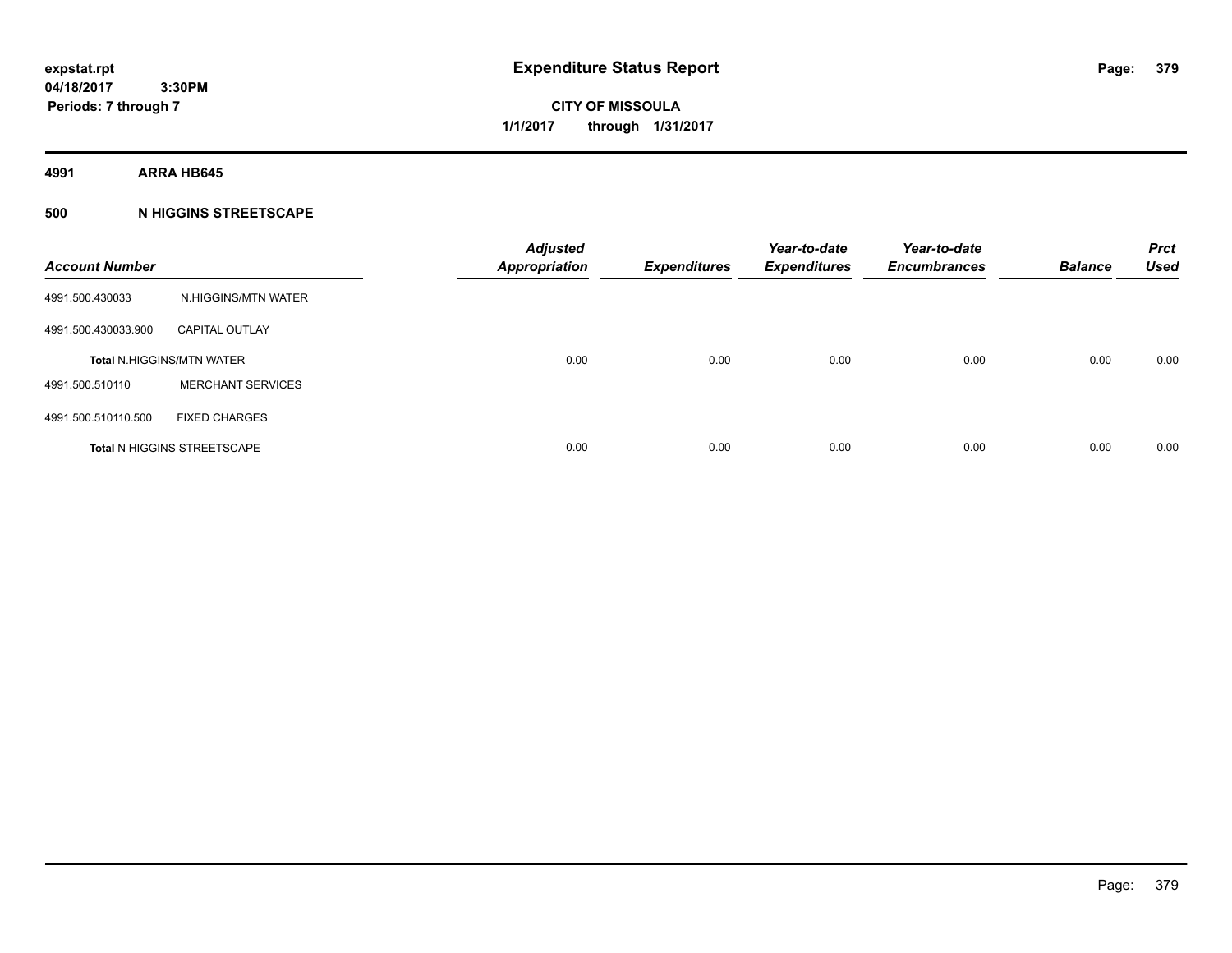**CITY OF MISSOULA 1/1/2017 through 1/31/2017**

**4991 ARRA HB645**

## **500 N HIGGINS STREETSCAPE**

| <b>Account Number</b> |                                    | <b>Adjusted</b><br><b>Appropriation</b> | <b>Expenditures</b> | Year-to-date<br><b>Expenditures</b> | Year-to-date<br><b>Encumbrances</b> | <b>Balance</b> | <b>Prct</b><br><b>Used</b> |
|-----------------------|------------------------------------|-----------------------------------------|---------------------|-------------------------------------|-------------------------------------|----------------|----------------------------|
| 4991.500.430033       | N.HIGGINS/MTN WATER                |                                         |                     |                                     |                                     |                |                            |
| 4991.500.430033.900   | <b>CAPITAL OUTLAY</b>              |                                         |                     |                                     |                                     |                |                            |
|                       | <b>Total N.HIGGINS/MTN WATER</b>   | 0.00                                    | 0.00                | 0.00                                | 0.00                                | 0.00           | 0.00                       |
| 4991.500.510110       | <b>MERCHANT SERVICES</b>           |                                         |                     |                                     |                                     |                |                            |
| 4991.500.510110.500   | <b>FIXED CHARGES</b>               |                                         |                     |                                     |                                     |                |                            |
|                       | <b>Total N HIGGINS STREETSCAPE</b> | 0.00                                    | 0.00                | 0.00                                | 0.00                                | 0.00           | 0.00                       |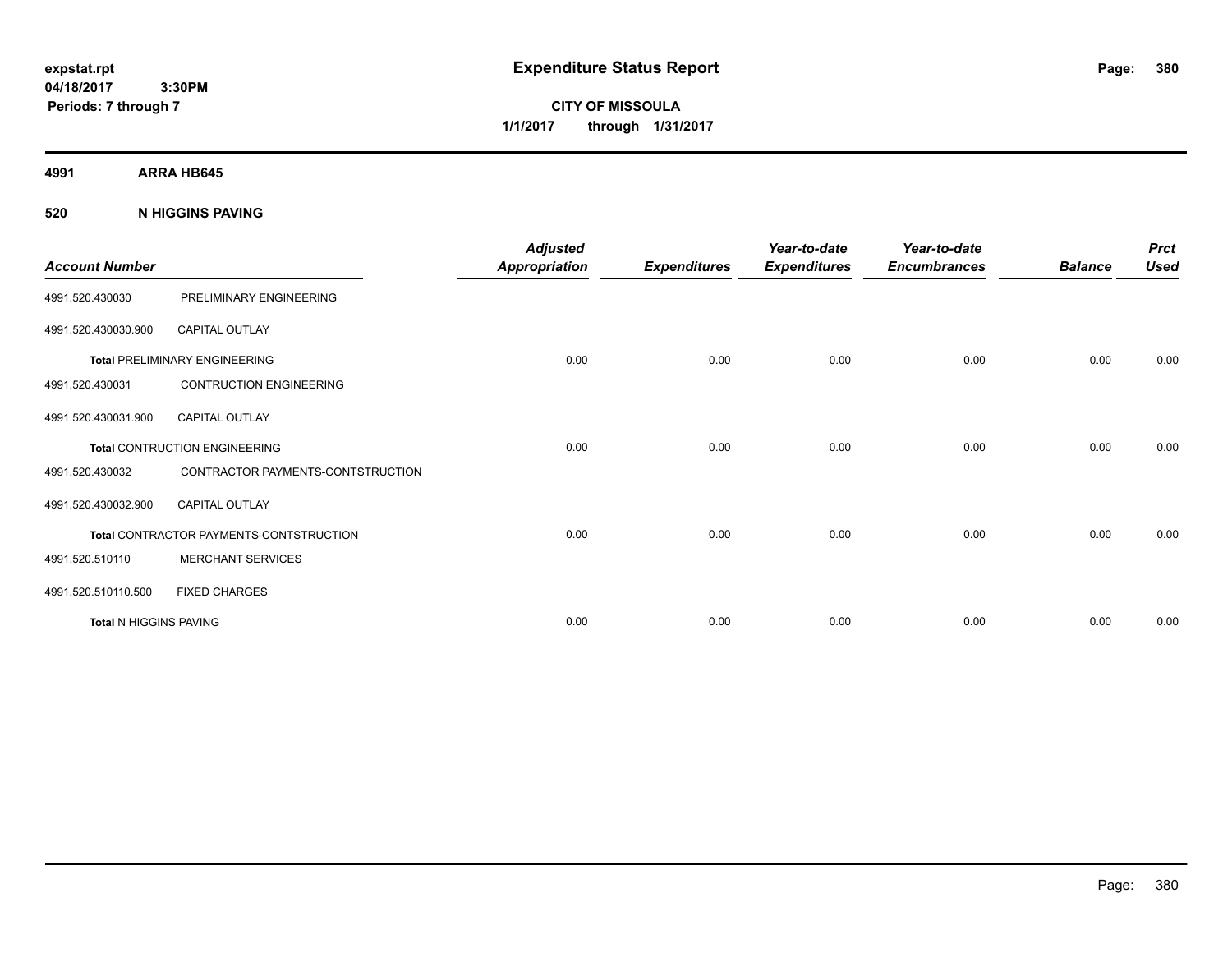**CITY OF MISSOULA 1/1/2017 through 1/31/2017**

**4991 ARRA HB645**

**520 N HIGGINS PAVING**

| <b>Account Number</b>         |                                                | <b>Adjusted</b><br><b>Appropriation</b> | <b>Expenditures</b> | Year-to-date<br><b>Expenditures</b> | Year-to-date<br><b>Encumbrances</b> | <b>Balance</b> | <b>Prct</b><br><b>Used</b> |
|-------------------------------|------------------------------------------------|-----------------------------------------|---------------------|-------------------------------------|-------------------------------------|----------------|----------------------------|
| 4991.520.430030               | PRELIMINARY ENGINEERING                        |                                         |                     |                                     |                                     |                |                            |
| 4991.520.430030.900           | CAPITAL OUTLAY                                 |                                         |                     |                                     |                                     |                |                            |
|                               | <b>Total PRELIMINARY ENGINEERING</b>           | 0.00                                    | 0.00                | 0.00                                | 0.00                                | 0.00           | 0.00                       |
| 4991.520.430031               | <b>CONTRUCTION ENGINEERING</b>                 |                                         |                     |                                     |                                     |                |                            |
| 4991.520.430031.900           | <b>CAPITAL OUTLAY</b>                          |                                         |                     |                                     |                                     |                |                            |
|                               | <b>Total CONTRUCTION ENGINEERING</b>           | 0.00                                    | 0.00                | 0.00                                | 0.00                                | 0.00           | 0.00                       |
| 4991.520.430032               | CONTRACTOR PAYMENTS-CONTSTRUCTION              |                                         |                     |                                     |                                     |                |                            |
| 4991.520.430032.900           | <b>CAPITAL OUTLAY</b>                          |                                         |                     |                                     |                                     |                |                            |
|                               | <b>Total CONTRACTOR PAYMENTS-CONTSTRUCTION</b> | 0.00                                    | 0.00                | 0.00                                | 0.00                                | 0.00           | 0.00                       |
| 4991.520.510110               | <b>MERCHANT SERVICES</b>                       |                                         |                     |                                     |                                     |                |                            |
| 4991.520.510110.500           | <b>FIXED CHARGES</b>                           |                                         |                     |                                     |                                     |                |                            |
| <b>Total N HIGGINS PAVING</b> |                                                | 0.00                                    | 0.00                | 0.00                                | 0.00                                | 0.00           | 0.00                       |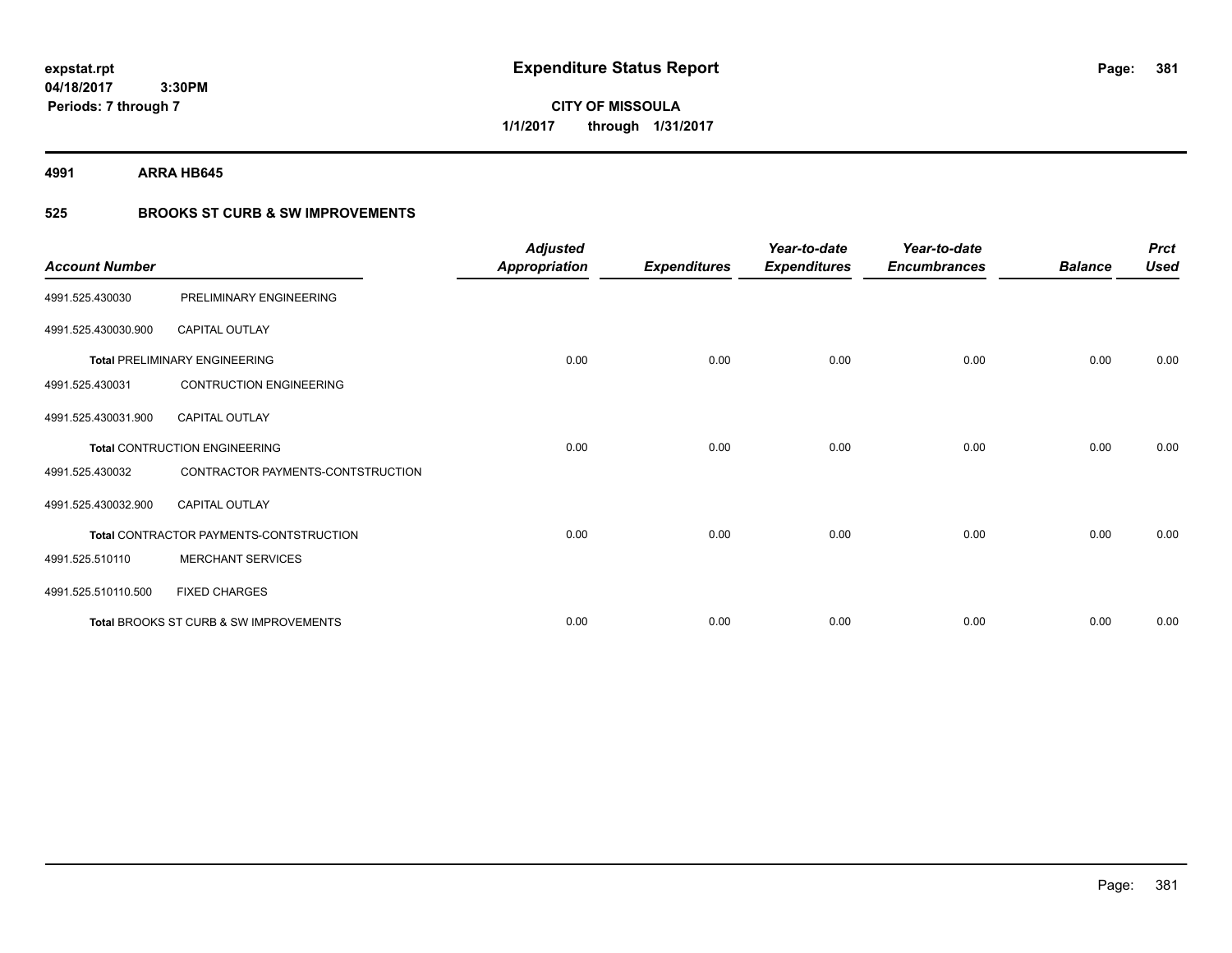**381**

**04/18/2017 3:30PM Periods: 7 through 7**

**CITY OF MISSOULA 1/1/2017 through 1/31/2017**

**4991 ARRA HB645**

## **525 BROOKS ST CURB & SW IMPROVEMENTS**

| <b>Account Number</b> |                                         | <b>Adjusted</b><br><b>Appropriation</b> | <b>Expenditures</b> | Year-to-date<br><b>Expenditures</b> | Year-to-date<br><b>Encumbrances</b> | <b>Balance</b> | <b>Prct</b><br><b>Used</b> |
|-----------------------|-----------------------------------------|-----------------------------------------|---------------------|-------------------------------------|-------------------------------------|----------------|----------------------------|
| 4991.525.430030       | PRELIMINARY ENGINEERING                 |                                         |                     |                                     |                                     |                |                            |
| 4991.525.430030.900   | <b>CAPITAL OUTLAY</b>                   |                                         |                     |                                     |                                     |                |                            |
|                       | <b>Total PRELIMINARY ENGINEERING</b>    | 0.00                                    | 0.00                | 0.00                                | 0.00                                | 0.00           | 0.00                       |
| 4991.525.430031       | <b>CONTRUCTION ENGINEERING</b>          |                                         |                     |                                     |                                     |                |                            |
| 4991.525.430031.900   | <b>CAPITAL OUTLAY</b>                   |                                         |                     |                                     |                                     |                |                            |
|                       | <b>Total CONTRUCTION ENGINEERING</b>    | 0.00                                    | 0.00                | 0.00                                | 0.00                                | 0.00           | 0.00                       |
| 4991.525.430032       | CONTRACTOR PAYMENTS-CONTSTRUCTION       |                                         |                     |                                     |                                     |                |                            |
| 4991.525.430032.900   | <b>CAPITAL OUTLAY</b>                   |                                         |                     |                                     |                                     |                |                            |
|                       | Total CONTRACTOR PAYMENTS-CONTSTRUCTION | 0.00                                    | 0.00                | 0.00                                | 0.00                                | 0.00           | 0.00                       |
| 4991.525.510110       | <b>MERCHANT SERVICES</b>                |                                         |                     |                                     |                                     |                |                            |
| 4991.525.510110.500   | <b>FIXED CHARGES</b>                    |                                         |                     |                                     |                                     |                |                            |
|                       | Total BROOKS ST CURB & SW IMPROVEMENTS  | 0.00                                    | 0.00                | 0.00                                | 0.00                                | 0.00           | 0.00                       |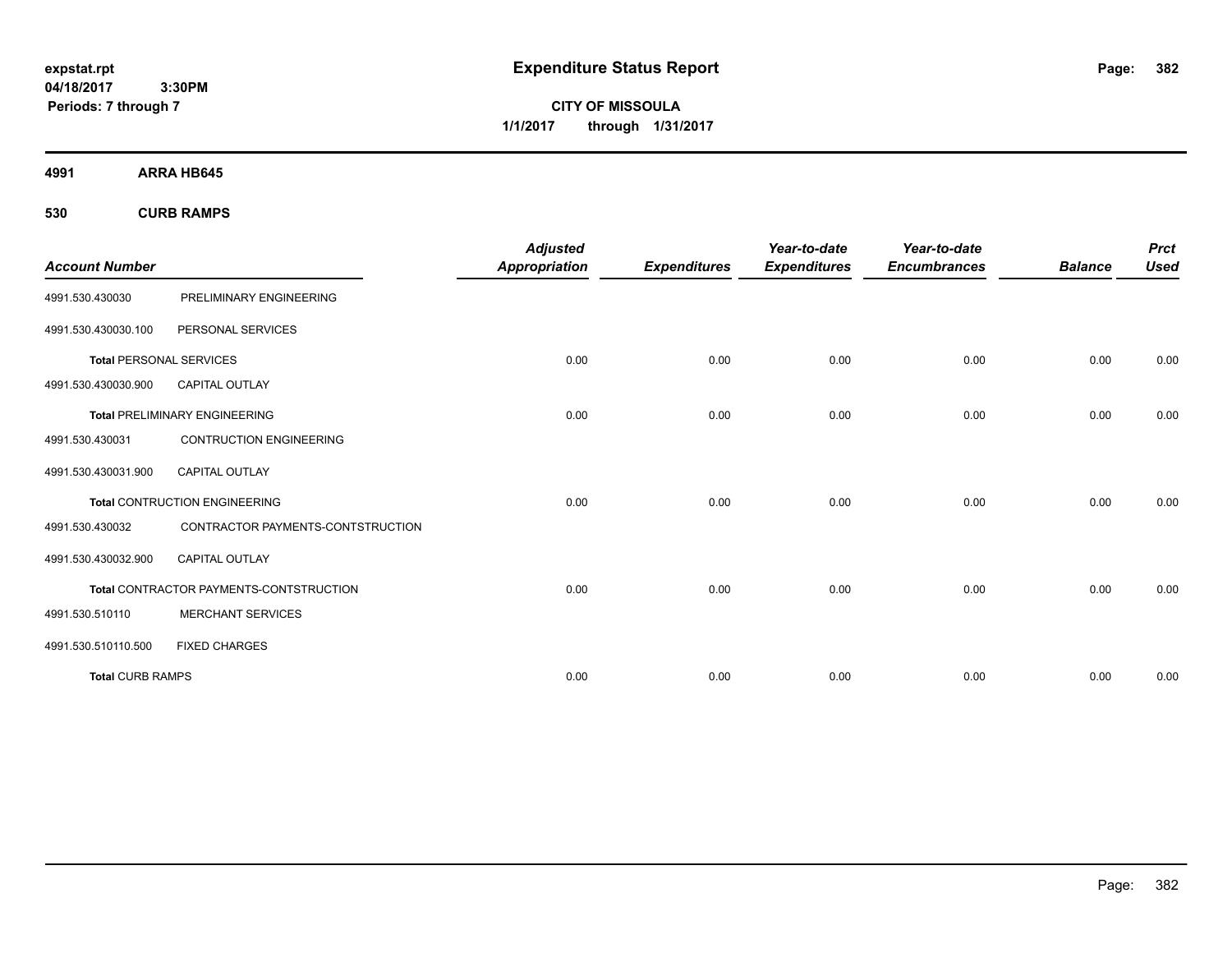**CITY OF MISSOULA 1/1/2017 through 1/31/2017**

**4991 ARRA HB645**

**530 CURB RAMPS**

|                                |                                         | <b>Adjusted</b>      |                     | Year-to-date        | Year-to-date        |                | <b>Prct</b> |
|--------------------------------|-----------------------------------------|----------------------|---------------------|---------------------|---------------------|----------------|-------------|
| <b>Account Number</b>          |                                         | <b>Appropriation</b> | <b>Expenditures</b> | <b>Expenditures</b> | <b>Encumbrances</b> | <b>Balance</b> | <b>Used</b> |
| 4991.530.430030                | PRELIMINARY ENGINEERING                 |                      |                     |                     |                     |                |             |
| 4991.530.430030.100            | PERSONAL SERVICES                       |                      |                     |                     |                     |                |             |
| <b>Total PERSONAL SERVICES</b> |                                         | 0.00                 | 0.00                | 0.00                | 0.00                | 0.00           | 0.00        |
| 4991.530.430030.900            | <b>CAPITAL OUTLAY</b>                   |                      |                     |                     |                     |                |             |
|                                | <b>Total PRELIMINARY ENGINEERING</b>    | 0.00                 | 0.00                | 0.00                | 0.00                | 0.00           | 0.00        |
| 4991.530.430031                | <b>CONTRUCTION ENGINEERING</b>          |                      |                     |                     |                     |                |             |
| 4991.530.430031.900            | <b>CAPITAL OUTLAY</b>                   |                      |                     |                     |                     |                |             |
|                                | <b>Total CONTRUCTION ENGINEERING</b>    | 0.00                 | 0.00                | 0.00                | 0.00                | 0.00           | 0.00        |
| 4991.530.430032                | CONTRACTOR PAYMENTS-CONTSTRUCTION       |                      |                     |                     |                     |                |             |
| 4991.530.430032.900            | <b>CAPITAL OUTLAY</b>                   |                      |                     |                     |                     |                |             |
|                                | Total CONTRACTOR PAYMENTS-CONTSTRUCTION | 0.00                 | 0.00                | 0.00                | 0.00                | 0.00           | 0.00        |
| 4991.530.510110                | <b>MERCHANT SERVICES</b>                |                      |                     |                     |                     |                |             |
| 4991.530.510110.500            | <b>FIXED CHARGES</b>                    |                      |                     |                     |                     |                |             |
| <b>Total CURB RAMPS</b>        |                                         | 0.00                 | 0.00                | 0.00                | 0.00                | 0.00           | 0.00        |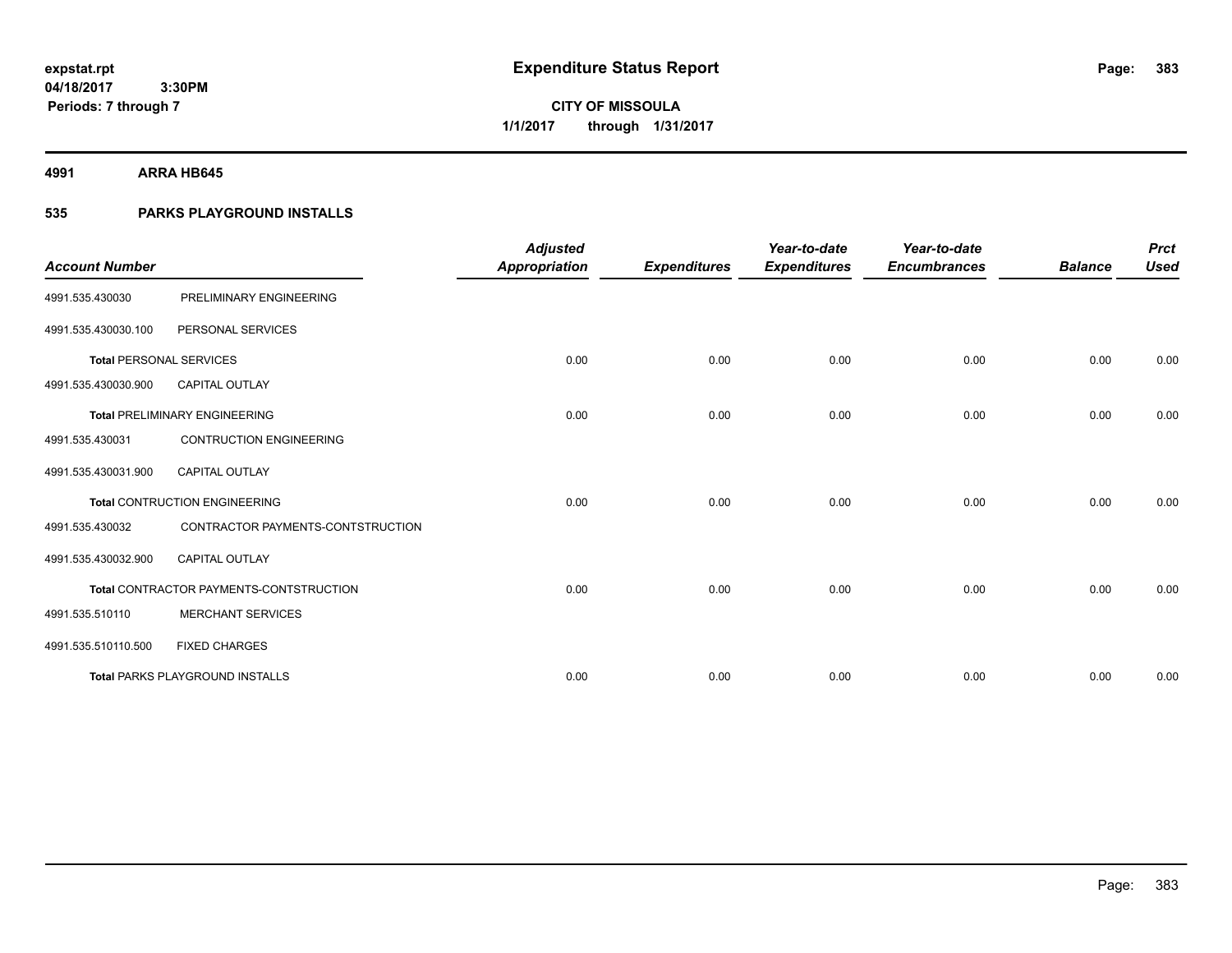**Periods: 7 through 7**

**CITY OF MISSOULA 1/1/2017 through 1/31/2017**

**4991 ARRA HB645**

## **535 PARKS PLAYGROUND INSTALLS**

 **3:30PM**

|                                |                                         | <b>Adjusted</b>      |                     | Year-to-date        | Year-to-date        |                | <b>Prct</b> |
|--------------------------------|-----------------------------------------|----------------------|---------------------|---------------------|---------------------|----------------|-------------|
| <b>Account Number</b>          |                                         | <b>Appropriation</b> | <b>Expenditures</b> | <b>Expenditures</b> | <b>Encumbrances</b> | <b>Balance</b> | <b>Used</b> |
| 4991.535.430030                | PRELIMINARY ENGINEERING                 |                      |                     |                     |                     |                |             |
| 4991.535.430030.100            | PERSONAL SERVICES                       |                      |                     |                     |                     |                |             |
| <b>Total PERSONAL SERVICES</b> |                                         | 0.00                 | 0.00                | 0.00                | 0.00                | 0.00           | 0.00        |
| 4991.535.430030.900            | <b>CAPITAL OUTLAY</b>                   |                      |                     |                     |                     |                |             |
|                                | <b>Total PRELIMINARY ENGINEERING</b>    | 0.00                 | 0.00                | 0.00                | 0.00                | 0.00           | 0.00        |
| 4991.535.430031                | <b>CONTRUCTION ENGINEERING</b>          |                      |                     |                     |                     |                |             |
| 4991.535.430031.900            | CAPITAL OUTLAY                          |                      |                     |                     |                     |                |             |
|                                | <b>Total CONTRUCTION ENGINEERING</b>    | 0.00                 | 0.00                | 0.00                | 0.00                | 0.00           | 0.00        |
| 4991.535.430032                | CONTRACTOR PAYMENTS-CONTSTRUCTION       |                      |                     |                     |                     |                |             |
| 4991.535.430032.900            | <b>CAPITAL OUTLAY</b>                   |                      |                     |                     |                     |                |             |
|                                | Total CONTRACTOR PAYMENTS-CONTSTRUCTION | 0.00                 | 0.00                | 0.00                | 0.00                | 0.00           | 0.00        |
| 4991.535.510110                | <b>MERCHANT SERVICES</b>                |                      |                     |                     |                     |                |             |
| 4991.535.510110.500            | <b>FIXED CHARGES</b>                    |                      |                     |                     |                     |                |             |
|                                | <b>Total PARKS PLAYGROUND INSTALLS</b>  | 0.00                 | 0.00                | 0.00                | 0.00                | 0.00           | 0.00        |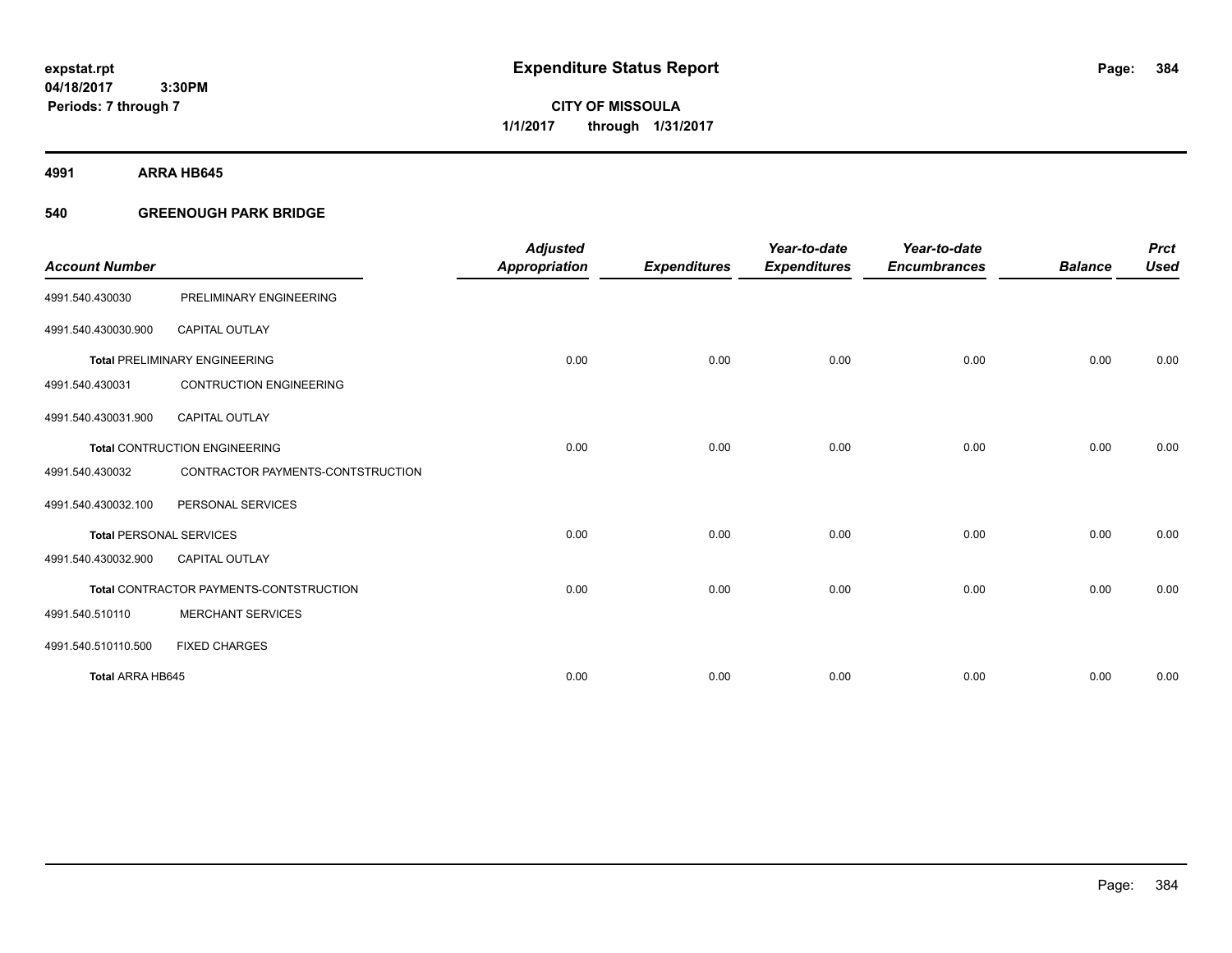**CITY OF MISSOULA 1/1/2017 through 1/31/2017**

**4991 ARRA HB645**

## **540 GREENOUGH PARK BRIDGE**

|                                |                                         | <b>Adjusted</b>      |                     | Year-to-date        | Year-to-date        |                | <b>Prct</b> |
|--------------------------------|-----------------------------------------|----------------------|---------------------|---------------------|---------------------|----------------|-------------|
| <b>Account Number</b>          |                                         | <b>Appropriation</b> | <b>Expenditures</b> | <b>Expenditures</b> | <b>Encumbrances</b> | <b>Balance</b> | <b>Used</b> |
| 4991.540.430030                | PRELIMINARY ENGINEERING                 |                      |                     |                     |                     |                |             |
| 4991.540.430030.900            | <b>CAPITAL OUTLAY</b>                   |                      |                     |                     |                     |                |             |
|                                | <b>Total PRELIMINARY ENGINEERING</b>    | 0.00                 | 0.00                | 0.00                | 0.00                | 0.00           | 0.00        |
| 4991.540.430031                | <b>CONTRUCTION ENGINEERING</b>          |                      |                     |                     |                     |                |             |
| 4991.540.430031.900            | <b>CAPITAL OUTLAY</b>                   |                      |                     |                     |                     |                |             |
|                                | <b>Total CONTRUCTION ENGINEERING</b>    | 0.00                 | 0.00                | 0.00                | 0.00                | 0.00           | 0.00        |
| 4991.540.430032                | CONTRACTOR PAYMENTS-CONTSTRUCTION       |                      |                     |                     |                     |                |             |
| 4991.540.430032.100            | PERSONAL SERVICES                       |                      |                     |                     |                     |                |             |
| <b>Total PERSONAL SERVICES</b> |                                         | 0.00                 | 0.00                | 0.00                | 0.00                | 0.00           | 0.00        |
| 4991.540.430032.900            | <b>CAPITAL OUTLAY</b>                   |                      |                     |                     |                     |                |             |
|                                | Total CONTRACTOR PAYMENTS-CONTSTRUCTION | 0.00                 | 0.00                | 0.00                | 0.00                | 0.00           | 0.00        |
| 4991.540.510110                | <b>MERCHANT SERVICES</b>                |                      |                     |                     |                     |                |             |
| 4991.540.510110.500            | <b>FIXED CHARGES</b>                    |                      |                     |                     |                     |                |             |
| <b>Total ARRA HB645</b>        |                                         | 0.00                 | 0.00                | 0.00                | 0.00                | 0.00           | 0.00        |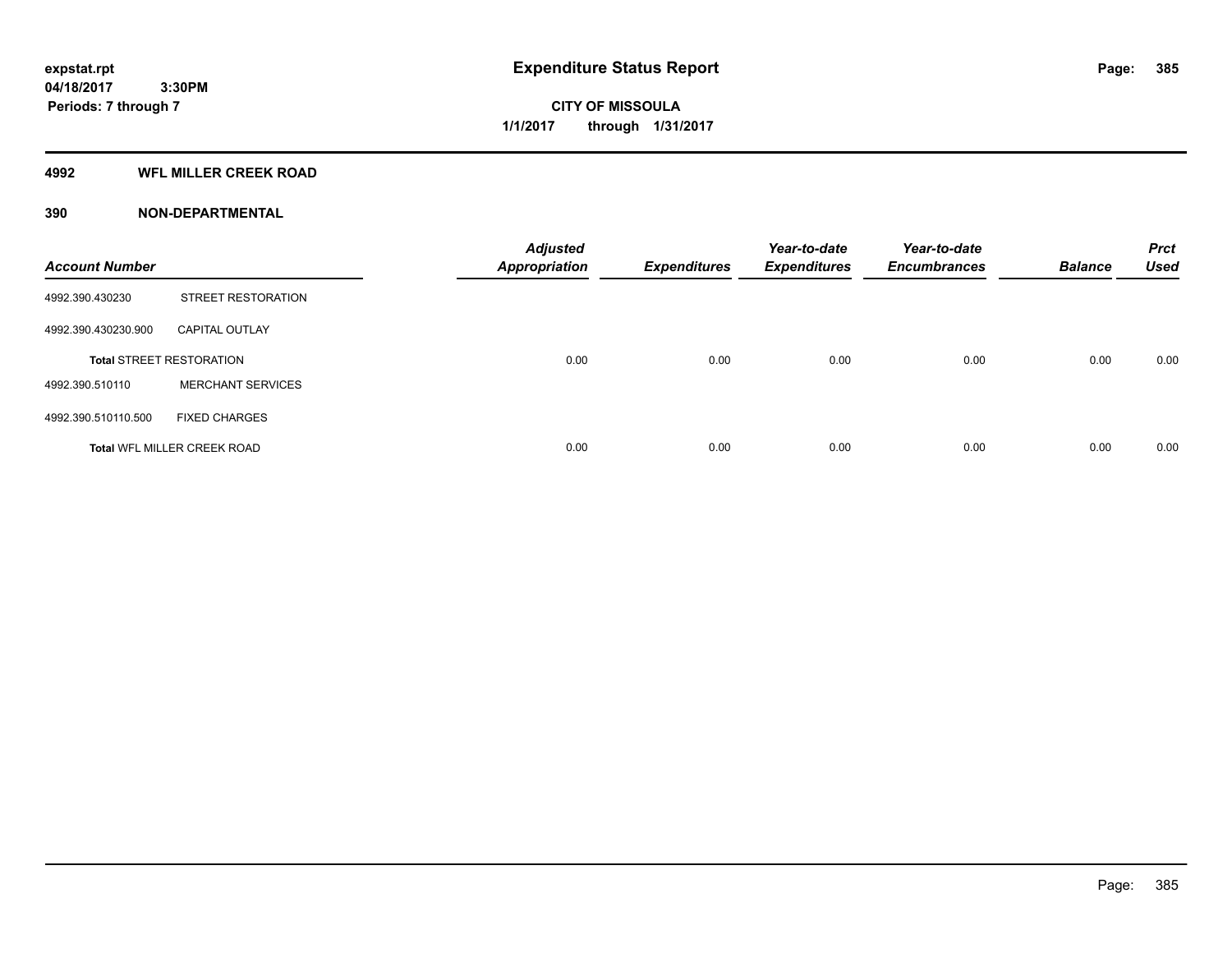**Periods: 7 through 7**

**CITY OF MISSOULA 1/1/2017 through 1/31/2017**

#### **4992 WFL MILLER CREEK ROAD**

| <b>Account Number</b> |                                    | <b>Adjusted</b><br><b>Appropriation</b> | <b>Expenditures</b> | Year-to-date<br><b>Expenditures</b> | Year-to-date<br><b>Encumbrances</b> | <b>Balance</b> | <b>Prct</b><br><b>Used</b> |
|-----------------------|------------------------------------|-----------------------------------------|---------------------|-------------------------------------|-------------------------------------|----------------|----------------------------|
| 4992.390.430230       | STREET RESTORATION                 |                                         |                     |                                     |                                     |                |                            |
| 4992.390.430230.900   | <b>CAPITAL OUTLAY</b>              |                                         |                     |                                     |                                     |                |                            |
|                       | <b>Total STREET RESTORATION</b>    | 0.00                                    | 0.00                | 0.00                                | 0.00                                | 0.00           | 0.00                       |
| 4992.390.510110       | <b>MERCHANT SERVICES</b>           |                                         |                     |                                     |                                     |                |                            |
| 4992.390.510110.500   | <b>FIXED CHARGES</b>               |                                         |                     |                                     |                                     |                |                            |
|                       | <b>Total WFL MILLER CREEK ROAD</b> | 0.00                                    | 0.00                | 0.00                                | 0.00                                | 0.00           | 0.00                       |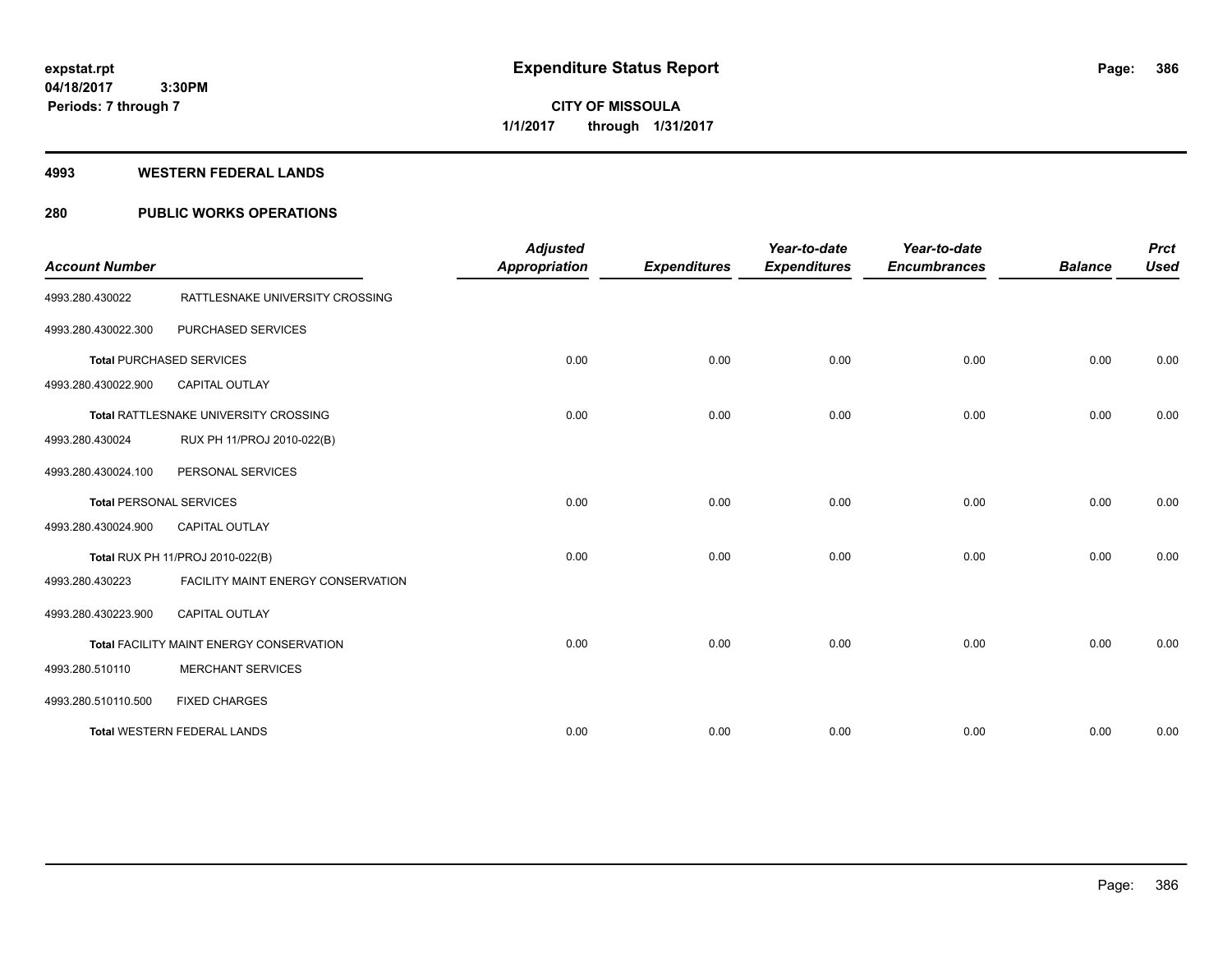**386**

**04/18/2017 3:30PM Periods: 7 through 7**

**CITY OF MISSOULA 1/1/2017 through 1/31/2017**

#### **4993 WESTERN FEDERAL LANDS**

## **280 PUBLIC WORKS OPERATIONS**

| <b>Account Number</b> |                                          | <b>Adjusted</b><br><b>Appropriation</b> | <b>Expenditures</b> | Year-to-date<br><b>Expenditures</b> | Year-to-date<br><b>Encumbrances</b> | <b>Balance</b> | <b>Prct</b><br><b>Used</b> |
|-----------------------|------------------------------------------|-----------------------------------------|---------------------|-------------------------------------|-------------------------------------|----------------|----------------------------|
| 4993.280.430022       | RATTLESNAKE UNIVERSITY CROSSING          |                                         |                     |                                     |                                     |                |                            |
| 4993.280.430022.300   | PURCHASED SERVICES                       |                                         |                     |                                     |                                     |                |                            |
|                       | <b>Total PURCHASED SERVICES</b>          | 0.00                                    | 0.00                | 0.00                                | 0.00                                | 0.00           | 0.00                       |
| 4993.280.430022.900   | <b>CAPITAL OUTLAY</b>                    |                                         |                     |                                     |                                     |                |                            |
|                       | Total RATTLESNAKE UNIVERSITY CROSSING    | 0.00                                    | 0.00                | 0.00                                | 0.00                                | 0.00           | 0.00                       |
| 4993.280.430024       | RUX PH 11/PROJ 2010-022(B)               |                                         |                     |                                     |                                     |                |                            |
| 4993.280.430024.100   | PERSONAL SERVICES                        |                                         |                     |                                     |                                     |                |                            |
|                       | <b>Total PERSONAL SERVICES</b>           | 0.00                                    | 0.00                | 0.00                                | 0.00                                | 0.00           | 0.00                       |
| 4993.280.430024.900   | <b>CAPITAL OUTLAY</b>                    |                                         |                     |                                     |                                     |                |                            |
|                       | Total RUX PH 11/PROJ 2010-022(B)         | 0.00                                    | 0.00                | 0.00                                | 0.00                                | 0.00           | 0.00                       |
| 4993.280.430223       | FACILITY MAINT ENERGY CONSERVATION       |                                         |                     |                                     |                                     |                |                            |
| 4993.280.430223.900   | <b>CAPITAL OUTLAY</b>                    |                                         |                     |                                     |                                     |                |                            |
|                       | Total FACILITY MAINT ENERGY CONSERVATION | 0.00                                    | 0.00                | 0.00                                | 0.00                                | 0.00           | 0.00                       |
| 4993.280.510110       | <b>MERCHANT SERVICES</b>                 |                                         |                     |                                     |                                     |                |                            |
| 4993.280.510110.500   | <b>FIXED CHARGES</b>                     |                                         |                     |                                     |                                     |                |                            |
|                       | <b>Total WESTERN FEDERAL LANDS</b>       | 0.00                                    | 0.00                | 0.00                                | 0.00                                | 0.00           | 0.00                       |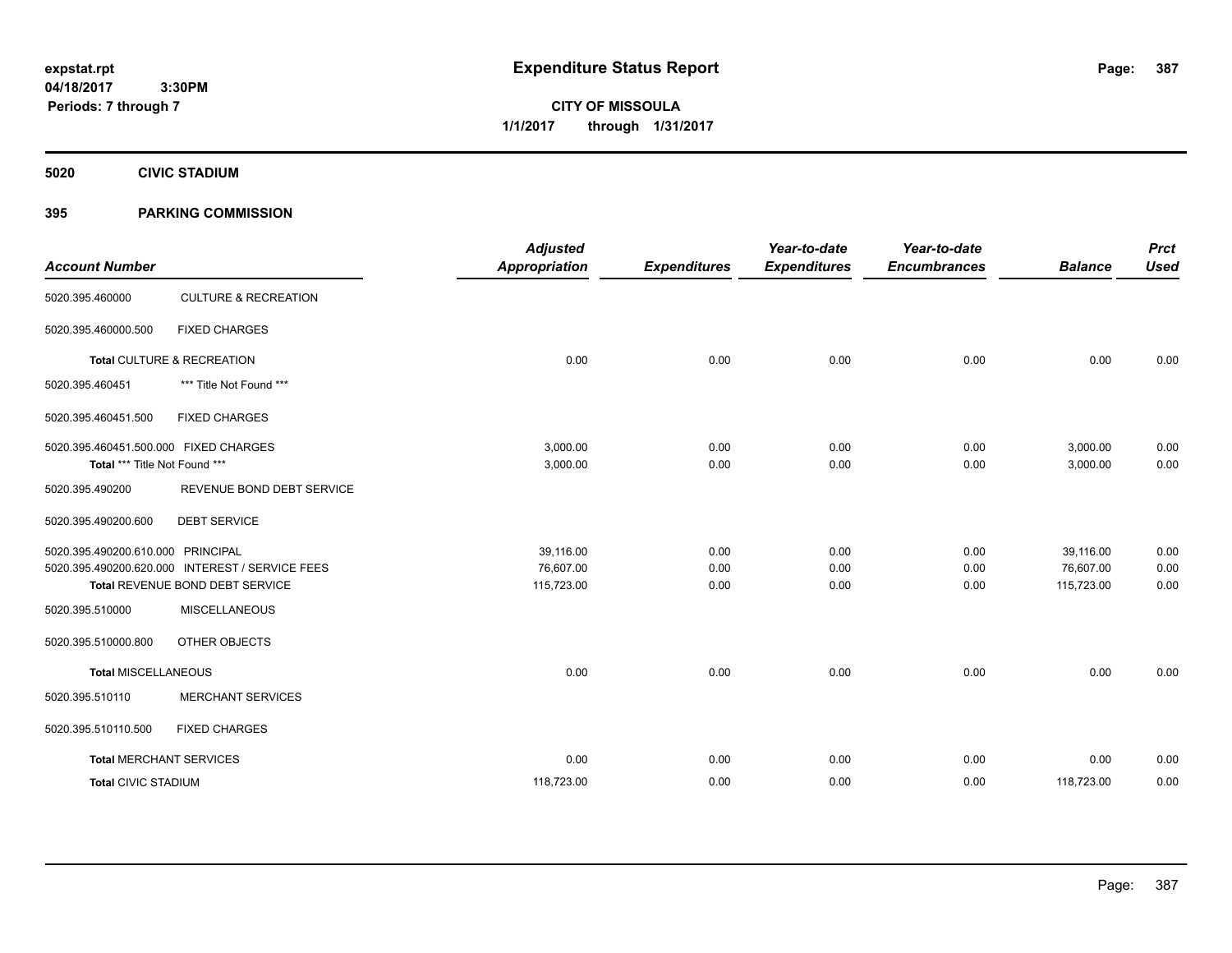**CITY OF MISSOULA 1/1/2017 through 1/31/2017**

**5020 CIVIC STADIUM**

## **395 PARKING COMMISSION**

| <b>Account Number</b>                                                  |                                                 | <b>Adjusted</b><br><b>Appropriation</b> | <b>Expenditures</b> | Year-to-date<br><b>Expenditures</b> | Year-to-date<br><b>Encumbrances</b> | <b>Balance</b>       | <b>Prct</b><br><b>Used</b> |
|------------------------------------------------------------------------|-------------------------------------------------|-----------------------------------------|---------------------|-------------------------------------|-------------------------------------|----------------------|----------------------------|
| 5020.395.460000                                                        | <b>CULTURE &amp; RECREATION</b>                 |                                         |                     |                                     |                                     |                      |                            |
| 5020.395.460000.500                                                    | <b>FIXED CHARGES</b>                            |                                         |                     |                                     |                                     |                      |                            |
|                                                                        | Total CULTURE & RECREATION                      | 0.00                                    | 0.00                | 0.00                                | 0.00                                | 0.00                 | 0.00                       |
| 5020.395.460451                                                        | *** Title Not Found ***                         |                                         |                     |                                     |                                     |                      |                            |
| 5020.395.460451.500                                                    | <b>FIXED CHARGES</b>                            |                                         |                     |                                     |                                     |                      |                            |
| 5020.395.460451.500.000 FIXED CHARGES<br>Total *** Title Not Found *** |                                                 | 3,000.00<br>3,000.00                    | 0.00<br>0.00        | 0.00<br>0.00                        | 0.00<br>0.00                        | 3,000.00<br>3,000.00 | 0.00<br>0.00               |
| 5020.395.490200                                                        | REVENUE BOND DEBT SERVICE                       |                                         |                     |                                     |                                     |                      |                            |
| 5020.395.490200.600                                                    | <b>DEBT SERVICE</b>                             |                                         |                     |                                     |                                     |                      |                            |
| 5020.395.490200.610.000 PRINCIPAL                                      |                                                 | 39,116.00                               | 0.00                | 0.00                                | 0.00                                | 39.116.00            | 0.00                       |
|                                                                        | 5020.395.490200.620.000 INTEREST / SERVICE FEES | 76,607.00                               | 0.00                | 0.00                                | 0.00                                | 76,607.00            | 0.00                       |
|                                                                        | Total REVENUE BOND DEBT SERVICE                 | 115,723.00                              | 0.00                | 0.00                                | 0.00                                | 115,723.00           | 0.00                       |
| 5020.395.510000                                                        | <b>MISCELLANEOUS</b>                            |                                         |                     |                                     |                                     |                      |                            |
| 5020.395.510000.800                                                    | OTHER OBJECTS                                   |                                         |                     |                                     |                                     |                      |                            |
| <b>Total MISCELLANEOUS</b>                                             |                                                 | 0.00                                    | 0.00                | 0.00                                | 0.00                                | 0.00                 | 0.00                       |
| 5020.395.510110                                                        | <b>MERCHANT SERVICES</b>                        |                                         |                     |                                     |                                     |                      |                            |
| 5020.395.510110.500                                                    | <b>FIXED CHARGES</b>                            |                                         |                     |                                     |                                     |                      |                            |
|                                                                        | <b>Total MERCHANT SERVICES</b>                  | 0.00                                    | 0.00                | 0.00                                | 0.00                                | 0.00                 | 0.00                       |
| <b>Total CIVIC STADIUM</b>                                             |                                                 | 118,723.00                              | 0.00                | 0.00                                | 0.00                                | 118,723.00           | 0.00                       |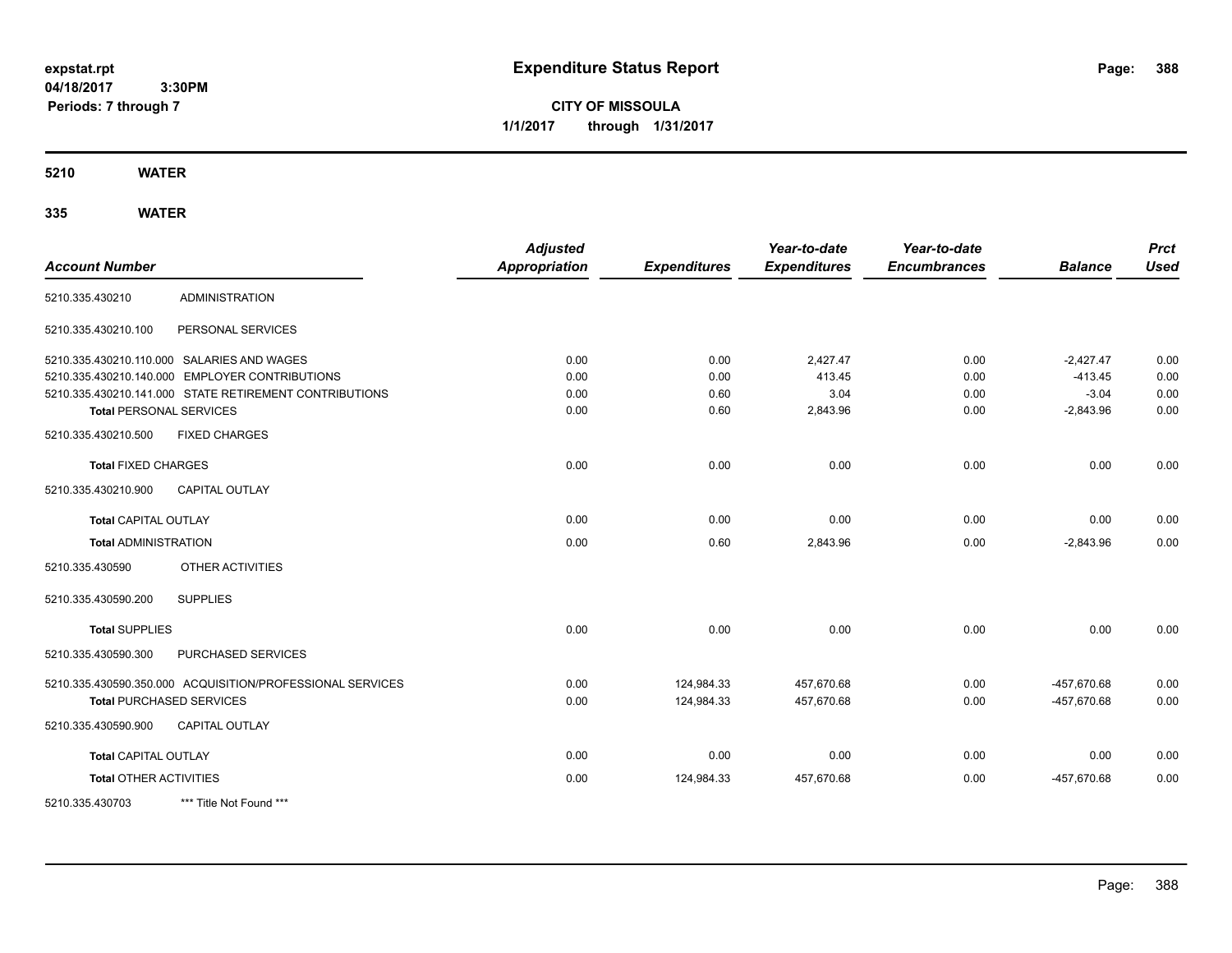**CITY OF MISSOULA 1/1/2017 through 1/31/2017**

**5210 WATER**

| <b>Account Number</b>           |                                                           | <b>Adjusted</b><br><b>Appropriation</b> | <b>Expenditures</b> | Year-to-date<br><b>Expenditures</b> | Year-to-date<br><b>Encumbrances</b> | <b>Balance</b> | <b>Prct</b><br><b>Used</b> |
|---------------------------------|-----------------------------------------------------------|-----------------------------------------|---------------------|-------------------------------------|-------------------------------------|----------------|----------------------------|
| 5210.335.430210                 | <b>ADMINISTRATION</b>                                     |                                         |                     |                                     |                                     |                |                            |
| 5210.335.430210.100             | PERSONAL SERVICES                                         |                                         |                     |                                     |                                     |                |                            |
|                                 | 5210.335.430210.110.000 SALARIES AND WAGES                | 0.00                                    | 0.00                | 2,427.47                            | 0.00                                | $-2,427.47$    | 0.00                       |
|                                 | 5210.335.430210.140.000 EMPLOYER CONTRIBUTIONS            | 0.00                                    | 0.00                | 413.45                              | 0.00                                | $-413.45$      | 0.00                       |
|                                 | 5210.335.430210.141.000 STATE RETIREMENT CONTRIBUTIONS    | 0.00                                    | 0.60                | 3.04                                | 0.00                                | $-3.04$        | 0.00                       |
| <b>Total PERSONAL SERVICES</b>  |                                                           | 0.00                                    | 0.60                | 2,843.96                            | 0.00                                | $-2,843.96$    | 0.00                       |
| 5210.335.430210.500             | <b>FIXED CHARGES</b>                                      |                                         |                     |                                     |                                     |                |                            |
| <b>Total FIXED CHARGES</b>      |                                                           | 0.00                                    | 0.00                | 0.00                                | 0.00                                | 0.00           | 0.00                       |
| 5210.335.430210.900             | <b>CAPITAL OUTLAY</b>                                     |                                         |                     |                                     |                                     |                |                            |
| <b>Total CAPITAL OUTLAY</b>     |                                                           | 0.00                                    | 0.00                | 0.00                                | 0.00                                | 0.00           | 0.00                       |
| <b>Total ADMINISTRATION</b>     |                                                           | 0.00                                    | 0.60                | 2,843.96                            | 0.00                                | $-2,843.96$    | 0.00                       |
| 5210.335.430590                 | OTHER ACTIVITIES                                          |                                         |                     |                                     |                                     |                |                            |
| 5210.335.430590.200             | <b>SUPPLIES</b>                                           |                                         |                     |                                     |                                     |                |                            |
| <b>Total SUPPLIES</b>           |                                                           | 0.00                                    | 0.00                | 0.00                                | 0.00                                | 0.00           | 0.00                       |
| 5210.335.430590.300             | <b>PURCHASED SERVICES</b>                                 |                                         |                     |                                     |                                     |                |                            |
|                                 | 5210.335.430590.350.000 ACQUISITION/PROFESSIONAL SERVICES | 0.00                                    | 124,984.33          | 457,670.68                          | 0.00                                | -457.670.68    | 0.00                       |
| <b>Total PURCHASED SERVICES</b> |                                                           | 0.00                                    | 124,984.33          | 457,670.68                          | 0.00                                | -457,670.68    | 0.00                       |
| 5210.335.430590.900             | CAPITAL OUTLAY                                            |                                         |                     |                                     |                                     |                |                            |
| <b>Total CAPITAL OUTLAY</b>     |                                                           | 0.00                                    | 0.00                | 0.00                                | 0.00                                | 0.00           | 0.00                       |
| <b>Total OTHER ACTIVITIES</b>   |                                                           | 0.00                                    | 124,984.33          | 457,670.68                          | 0.00                                | -457,670.68    | 0.00                       |
| 5210.335.430703                 | *** Title Not Found ***                                   |                                         |                     |                                     |                                     |                |                            |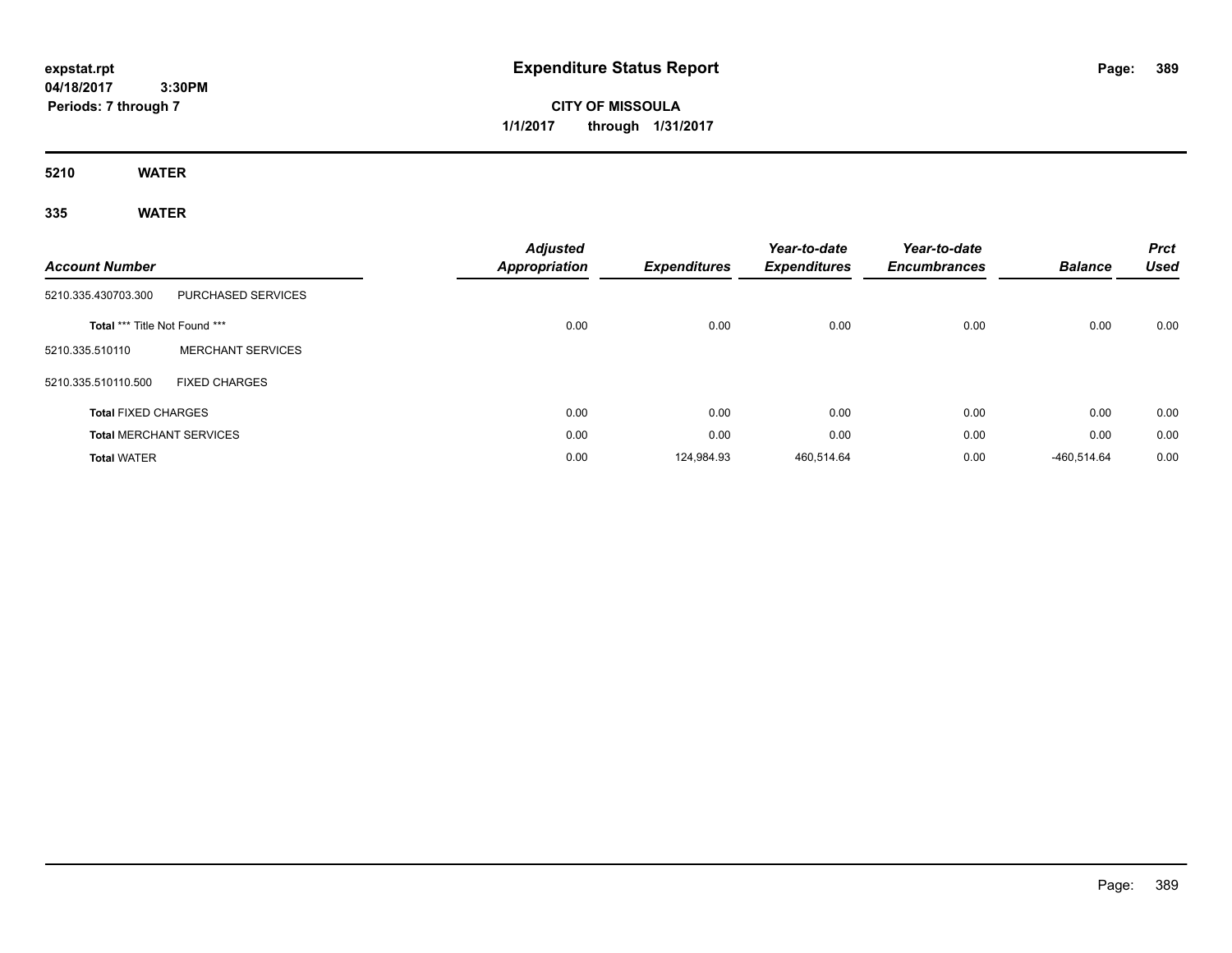# **CITY OF MISSOULA 1/1/2017 through 1/31/2017**

**5210 WATER**

| <b>Account Number</b>          |                          | <b>Adjusted</b><br>Appropriation | <b>Expenditures</b> | Year-to-date<br><b>Expenditures</b> | Year-to-date<br><b>Encumbrances</b> | <b>Balance</b> | <b>Prct</b><br><b>Used</b> |
|--------------------------------|--------------------------|----------------------------------|---------------------|-------------------------------------|-------------------------------------|----------------|----------------------------|
| 5210.335.430703.300            | PURCHASED SERVICES       |                                  |                     |                                     |                                     |                |                            |
| Total *** Title Not Found ***  |                          | 0.00                             | 0.00                | 0.00                                | 0.00                                | 0.00           | 0.00                       |
| 5210.335.510110                | <b>MERCHANT SERVICES</b> |                                  |                     |                                     |                                     |                |                            |
| 5210.335.510110.500            | <b>FIXED CHARGES</b>     |                                  |                     |                                     |                                     |                |                            |
| <b>Total FIXED CHARGES</b>     |                          | 0.00                             | 0.00                | 0.00                                | 0.00                                | 0.00           | 0.00                       |
| <b>Total MERCHANT SERVICES</b> |                          | 0.00                             | 0.00                | 0.00                                | 0.00                                | 0.00           | 0.00                       |
| <b>Total WATER</b>             |                          | 0.00                             | 124,984.93          | 460,514.64                          | 0.00                                | $-460,514.64$  | 0.00                       |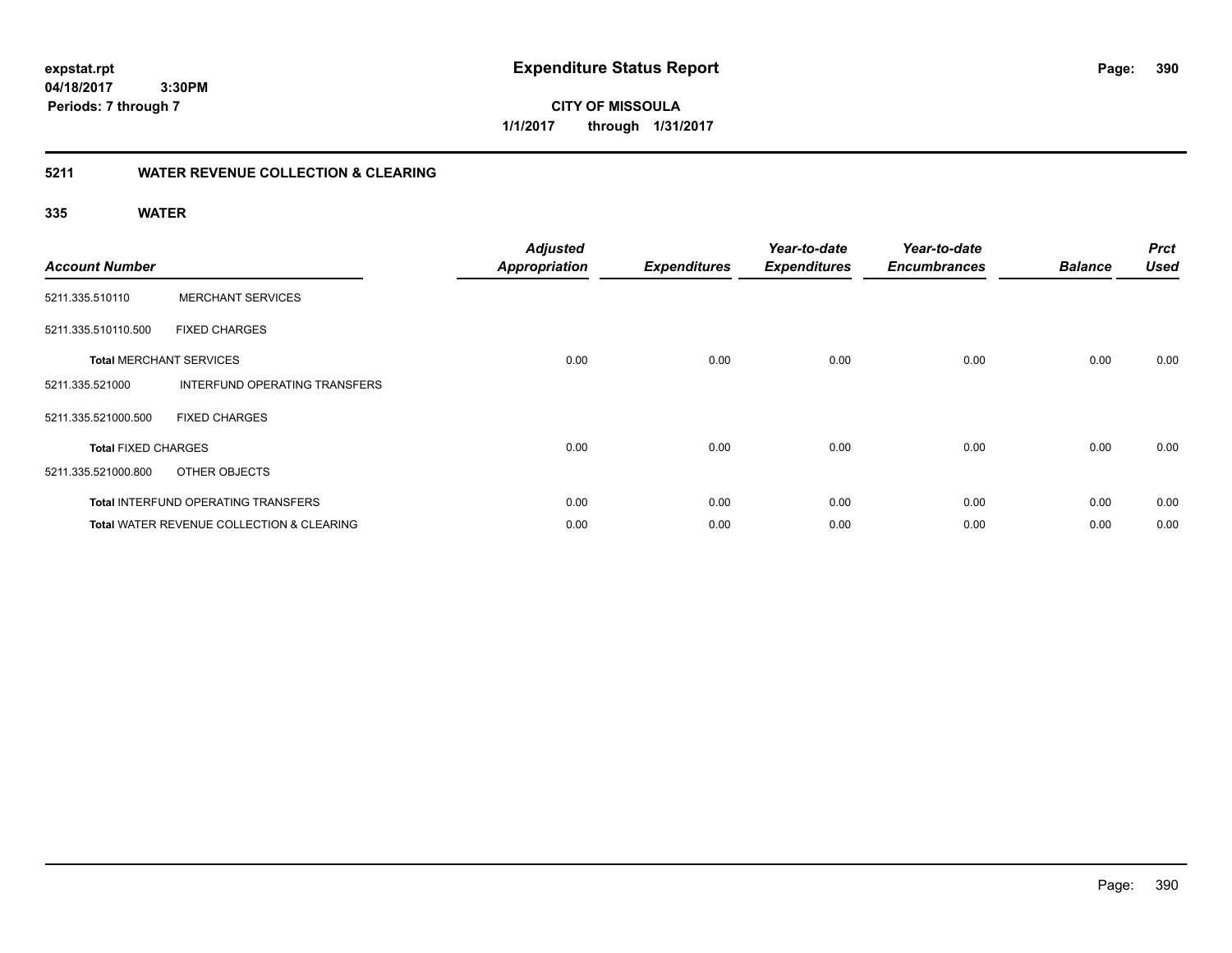**390**

**04/18/2017 3:30PM Periods: 7 through 7**

**CITY OF MISSOULA 1/1/2017 through 1/31/2017**

## **5211 WATER REVENUE COLLECTION & CLEARING**

| <b>Account Number</b>      |                                                      | <b>Adjusted</b><br><b>Appropriation</b> | <b>Expenditures</b> | Year-to-date<br><b>Expenditures</b> | Year-to-date<br><b>Encumbrances</b> | <b>Balance</b> | <b>Prct</b><br><b>Used</b> |
|----------------------------|------------------------------------------------------|-----------------------------------------|---------------------|-------------------------------------|-------------------------------------|----------------|----------------------------|
| 5211.335.510110            | <b>MERCHANT SERVICES</b>                             |                                         |                     |                                     |                                     |                |                            |
| 5211.335.510110.500        | <b>FIXED CHARGES</b>                                 |                                         |                     |                                     |                                     |                |                            |
|                            | <b>Total MERCHANT SERVICES</b>                       | 0.00                                    | 0.00                | 0.00                                | 0.00                                | 0.00           | 0.00                       |
| 5211.335.521000            | INTERFUND OPERATING TRANSFERS                        |                                         |                     |                                     |                                     |                |                            |
| 5211.335.521000.500        | <b>FIXED CHARGES</b>                                 |                                         |                     |                                     |                                     |                |                            |
| <b>Total FIXED CHARGES</b> |                                                      | 0.00                                    | 0.00                | 0.00                                | 0.00                                | 0.00           | 0.00                       |
| 5211.335.521000.800        | OTHER OBJECTS                                        |                                         |                     |                                     |                                     |                |                            |
|                            | <b>Total INTERFUND OPERATING TRANSFERS</b>           | 0.00                                    | 0.00                | 0.00                                | 0.00                                | 0.00           | 0.00                       |
|                            | <b>Total WATER REVENUE COLLECTION &amp; CLEARING</b> | 0.00                                    | 0.00                | 0.00                                | 0.00                                | 0.00           | 0.00                       |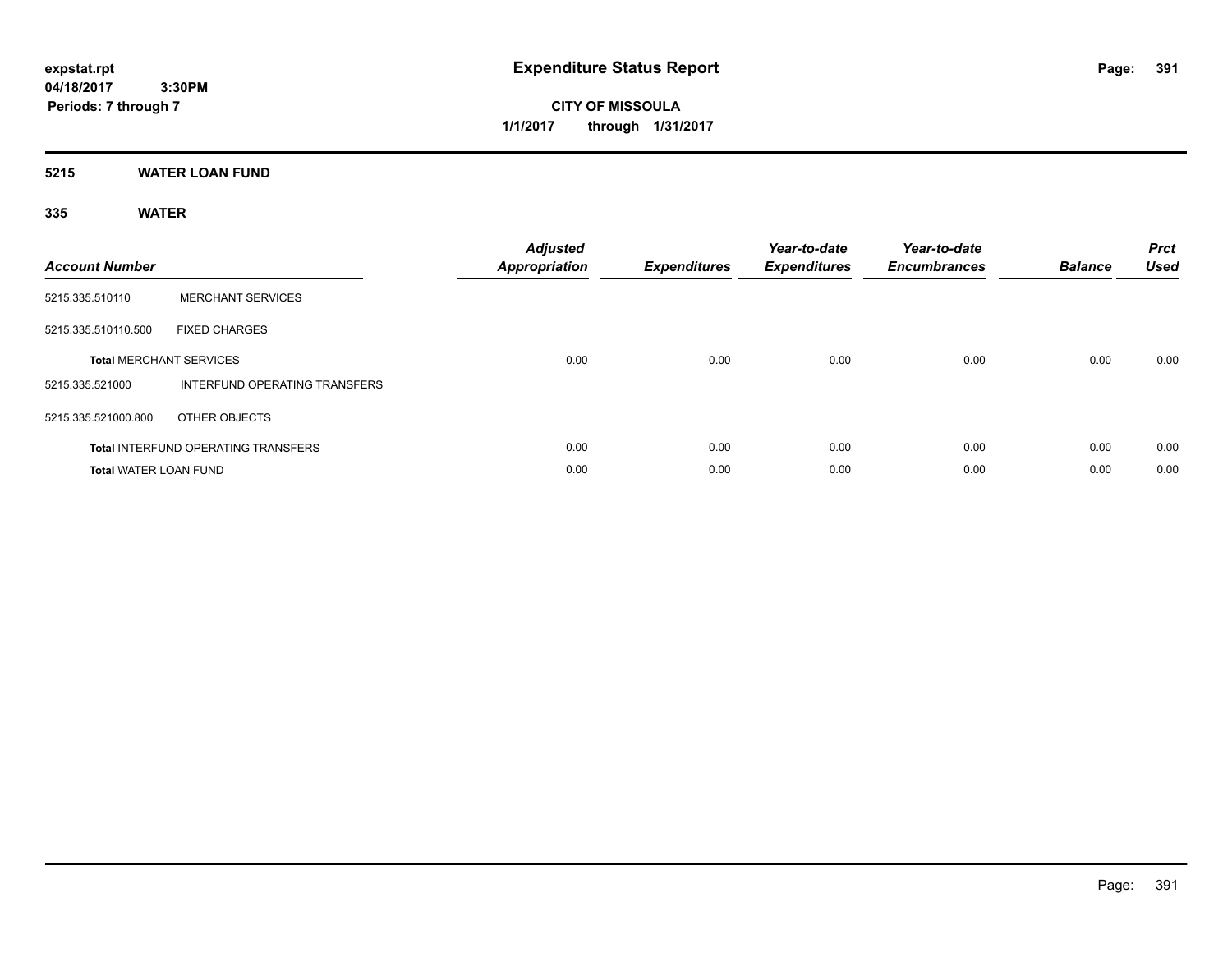**CITY OF MISSOULA 1/1/2017 through 1/31/2017**

## **5215 WATER LOAN FUND**

| <b>Account Number</b>        |                                            | <b>Adjusted</b><br><b>Appropriation</b> | <b>Expenditures</b> | Year-to-date<br><b>Expenditures</b> | Year-to-date<br><b>Encumbrances</b> | <b>Balance</b> | <b>Prct</b><br><b>Used</b> |
|------------------------------|--------------------------------------------|-----------------------------------------|---------------------|-------------------------------------|-------------------------------------|----------------|----------------------------|
| 5215.335.510110              | <b>MERCHANT SERVICES</b>                   |                                         |                     |                                     |                                     |                |                            |
| 5215.335.510110.500          | <b>FIXED CHARGES</b>                       |                                         |                     |                                     |                                     |                |                            |
|                              | <b>Total MERCHANT SERVICES</b>             | 0.00                                    | 0.00                | 0.00                                | 0.00                                | 0.00           | 0.00                       |
| 5215.335.521000              | INTERFUND OPERATING TRANSFERS              |                                         |                     |                                     |                                     |                |                            |
| 5215.335.521000.800          | OTHER OBJECTS                              |                                         |                     |                                     |                                     |                |                            |
|                              | <b>Total INTERFUND OPERATING TRANSFERS</b> | 0.00                                    | 0.00                | 0.00                                | 0.00                                | 0.00           | 0.00                       |
| <b>Total WATER LOAN FUND</b> |                                            | 0.00                                    | 0.00                | 0.00                                | 0.00                                | 0.00           | 0.00                       |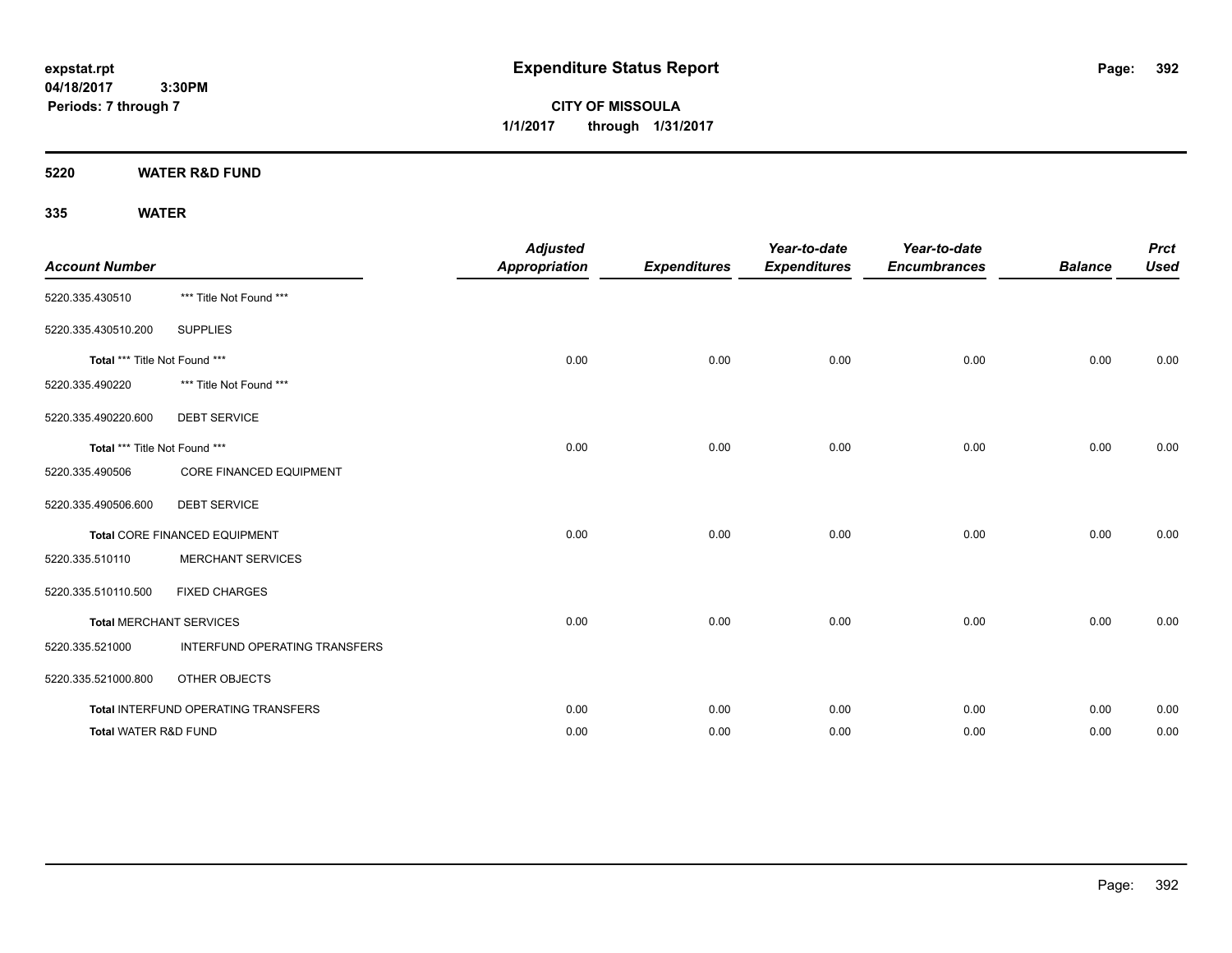**CITY OF MISSOULA 1/1/2017 through 1/31/2017**

**5220 WATER R&D FUND**

| <b>Account Number</b>           |                                     | <b>Adjusted</b><br><b>Appropriation</b> | <b>Expenditures</b> | Year-to-date<br><b>Expenditures</b> | Year-to-date<br><b>Encumbrances</b> | <b>Balance</b> | <b>Prct</b><br><b>Used</b> |
|---------------------------------|-------------------------------------|-----------------------------------------|---------------------|-------------------------------------|-------------------------------------|----------------|----------------------------|
| 5220.335.430510                 | *** Title Not Found ***             |                                         |                     |                                     |                                     |                |                            |
| 5220.335.430510.200             | <b>SUPPLIES</b>                     |                                         |                     |                                     |                                     |                |                            |
| Total *** Title Not Found ***   |                                     | 0.00                                    | 0.00                | 0.00                                | 0.00                                | 0.00           | 0.00                       |
| 5220.335.490220                 | *** Title Not Found ***             |                                         |                     |                                     |                                     |                |                            |
| 5220.335.490220.600             | <b>DEBT SERVICE</b>                 |                                         |                     |                                     |                                     |                |                            |
| Total *** Title Not Found ***   |                                     | 0.00                                    | 0.00                | 0.00                                | 0.00                                | 0.00           | 0.00                       |
| 5220.335.490506                 | <b>CORE FINANCED EQUIPMENT</b>      |                                         |                     |                                     |                                     |                |                            |
| 5220.335.490506.600             | <b>DEBT SERVICE</b>                 |                                         |                     |                                     |                                     |                |                            |
|                                 | Total CORE FINANCED EQUIPMENT       | 0.00                                    | 0.00                | 0.00                                | 0.00                                | 0.00           | 0.00                       |
| 5220.335.510110                 | <b>MERCHANT SERVICES</b>            |                                         |                     |                                     |                                     |                |                            |
| 5220.335.510110.500             | <b>FIXED CHARGES</b>                |                                         |                     |                                     |                                     |                |                            |
|                                 | <b>Total MERCHANT SERVICES</b>      | 0.00                                    | 0.00                | 0.00                                | 0.00                                | 0.00           | 0.00                       |
| 5220.335.521000                 | INTERFUND OPERATING TRANSFERS       |                                         |                     |                                     |                                     |                |                            |
| 5220.335.521000.800             | OTHER OBJECTS                       |                                         |                     |                                     |                                     |                |                            |
|                                 | Total INTERFUND OPERATING TRANSFERS | 0.00                                    | 0.00                | 0.00                                | 0.00                                | 0.00           | 0.00                       |
| <b>Total WATER R&amp;D FUND</b> |                                     | 0.00                                    | 0.00                | 0.00                                | 0.00                                | 0.00           | 0.00                       |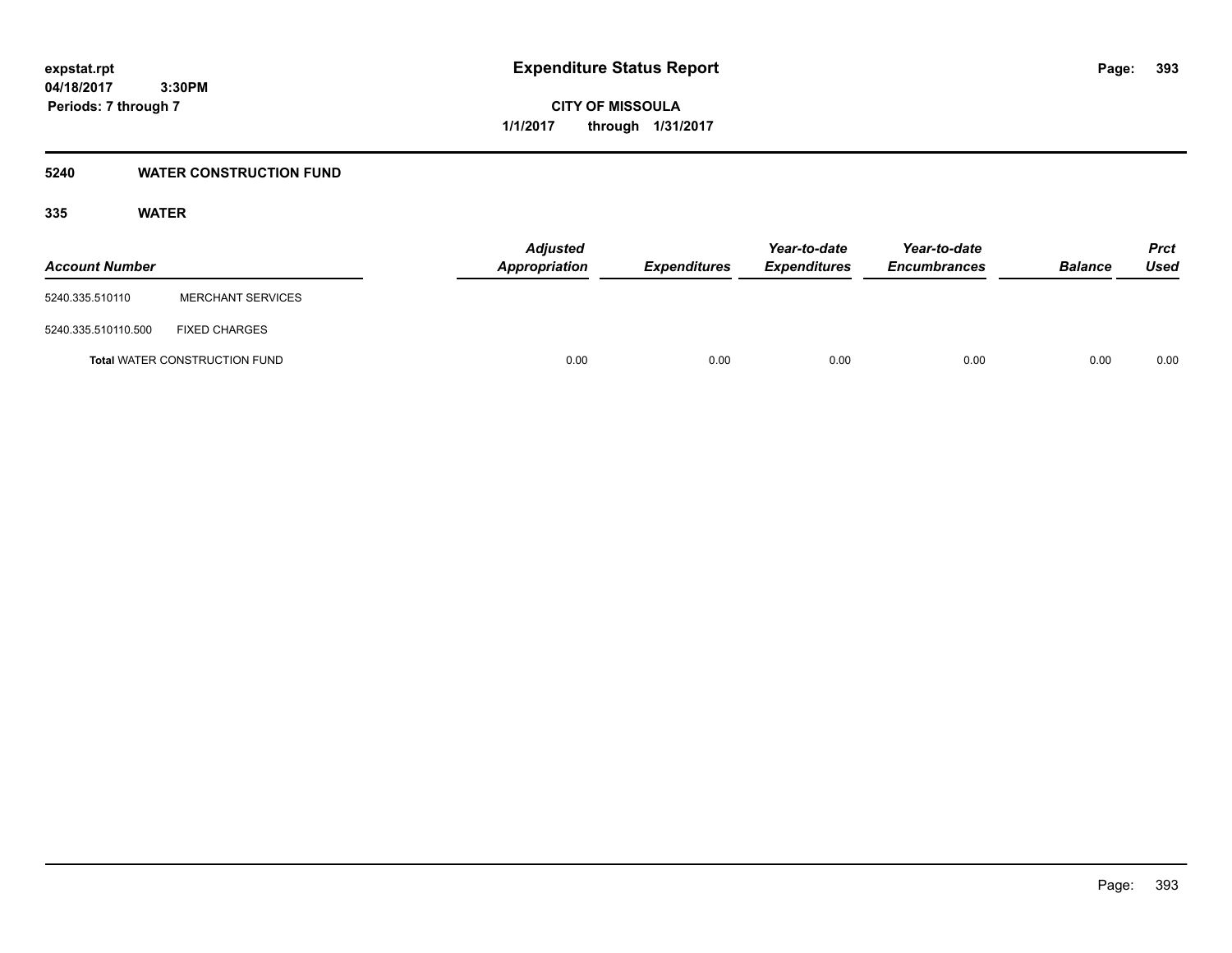**393**

**04/18/2017 3:30PM Periods: 7 through 7**

**CITY OF MISSOULA 1/1/2017 through 1/31/2017**

## **5240 WATER CONSTRUCTION FUND**

| <b>Account Number</b> |                                      | <b>Adjusted</b><br>Appropriation | <b>Expenditures</b> | Year-to-date<br><b>Expenditures</b> | Year-to-date<br><b>Encumbrances</b> | <b>Balance</b> | <b>Prct</b><br>Used |
|-----------------------|--------------------------------------|----------------------------------|---------------------|-------------------------------------|-------------------------------------|----------------|---------------------|
| 5240.335.510110       | <b>MERCHANT SERVICES</b>             |                                  |                     |                                     |                                     |                |                     |
| 5240.335.510110.500   | <b>FIXED CHARGES</b>                 |                                  |                     |                                     |                                     |                |                     |
|                       | <b>Total WATER CONSTRUCTION FUND</b> | 0.00                             | 0.00                | 0.00                                | 0.00                                | 0.00           | 0.00                |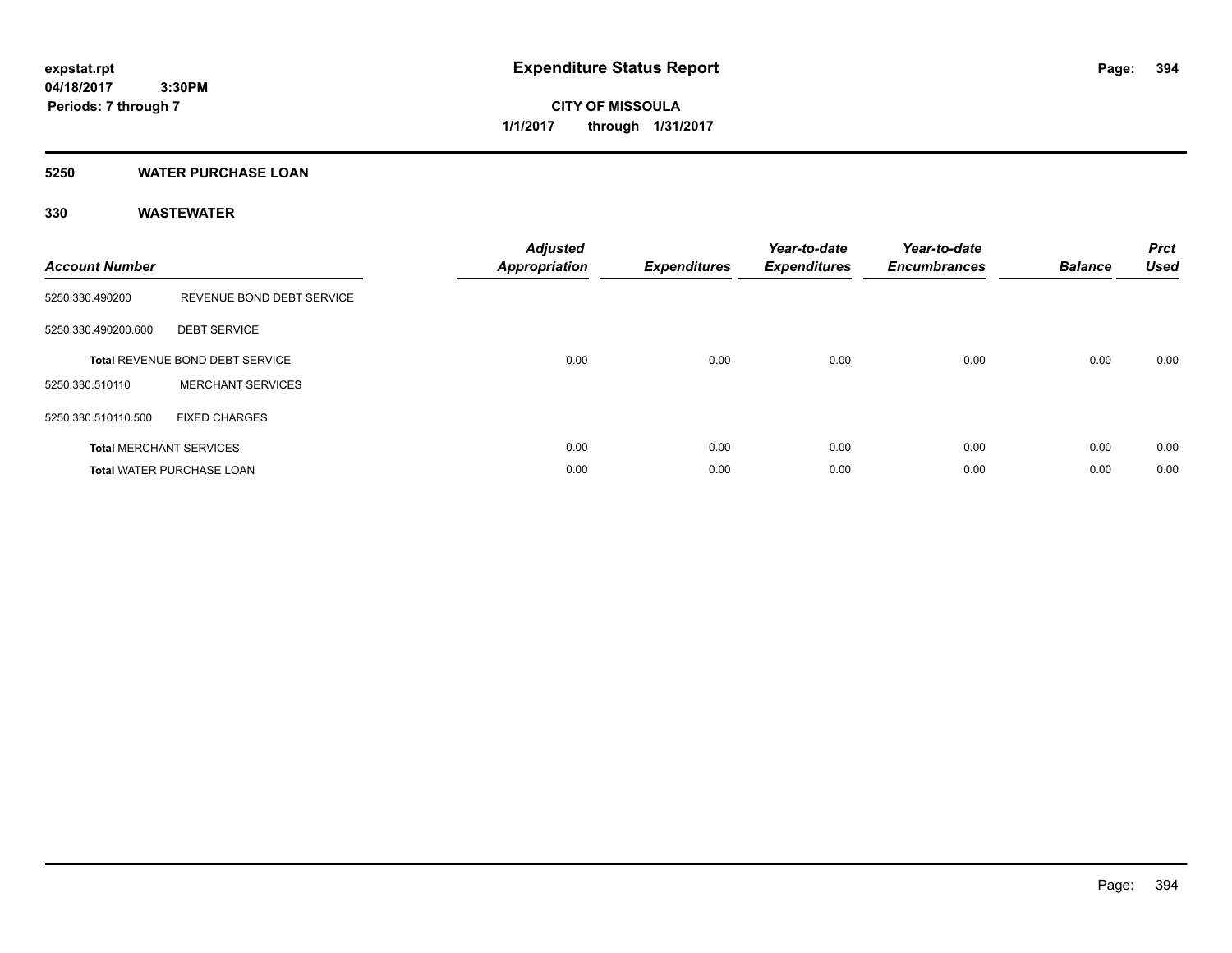**CITY OF MISSOULA 1/1/2017 through 1/31/2017**

## **5250 WATER PURCHASE LOAN**

## **330 WASTEWATER**

| <b>Account Number</b> |                                  | <b>Adjusted</b><br>Appropriation | <b>Expenditures</b> | Year-to-date<br><b>Expenditures</b> | Year-to-date<br><b>Encumbrances</b> | <b>Balance</b> | <b>Prct</b><br><b>Used</b> |
|-----------------------|----------------------------------|----------------------------------|---------------------|-------------------------------------|-------------------------------------|----------------|----------------------------|
| 5250.330.490200       | REVENUE BOND DEBT SERVICE        |                                  |                     |                                     |                                     |                |                            |
| 5250.330.490200.600   | <b>DEBT SERVICE</b>              |                                  |                     |                                     |                                     |                |                            |
|                       | Total REVENUE BOND DEBT SERVICE  | 0.00                             | 0.00                | 0.00                                | 0.00                                | 0.00           | 0.00                       |
| 5250.330.510110       | <b>MERCHANT SERVICES</b>         |                                  |                     |                                     |                                     |                |                            |
| 5250.330.510110.500   | <b>FIXED CHARGES</b>             |                                  |                     |                                     |                                     |                |                            |
|                       | <b>Total MERCHANT SERVICES</b>   | 0.00                             | 0.00                | 0.00                                | 0.00                                | 0.00           | 0.00                       |
|                       | <b>Total WATER PURCHASE LOAN</b> | 0.00                             | 0.00                | 0.00                                | 0.00                                | 0.00           | 0.00                       |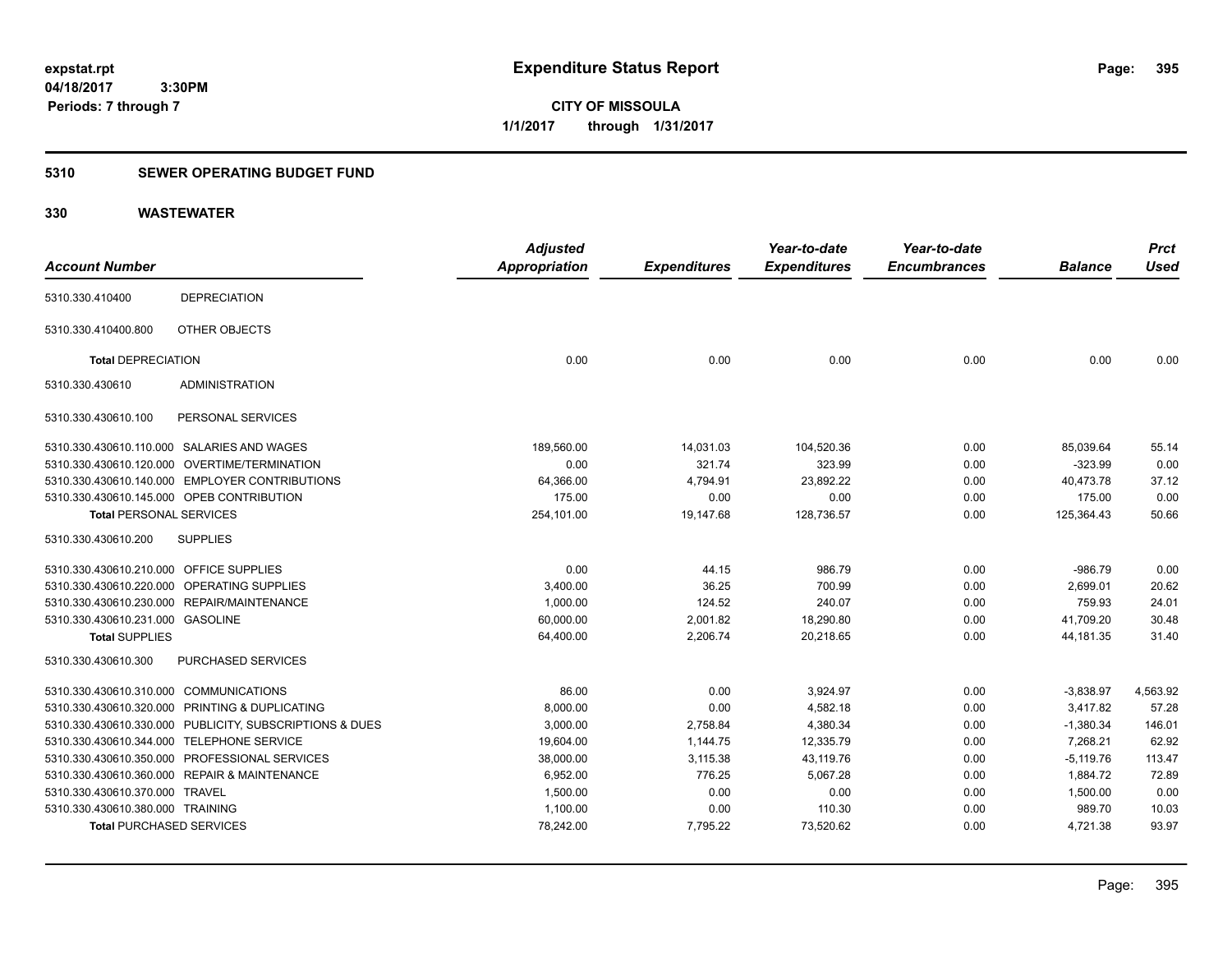**CITY OF MISSOULA 1/1/2017 through 1/31/2017**

### **5310 SEWER OPERATING BUDGET FUND**

## **330 WASTEWATER**

|                                         |                                                         | <b>Adjusted</b>      |                     | Year-to-date        | Year-to-date        |                | <b>Prct</b> |
|-----------------------------------------|---------------------------------------------------------|----------------------|---------------------|---------------------|---------------------|----------------|-------------|
| <b>Account Number</b>                   |                                                         | <b>Appropriation</b> | <b>Expenditures</b> | <b>Expenditures</b> | <b>Encumbrances</b> | <b>Balance</b> | <b>Used</b> |
| 5310.330.410400                         | <b>DEPRECIATION</b>                                     |                      |                     |                     |                     |                |             |
| 5310.330.410400.800                     | OTHER OBJECTS                                           |                      |                     |                     |                     |                |             |
| <b>Total DEPRECIATION</b>               |                                                         | 0.00                 | 0.00                | 0.00                | 0.00                | 0.00           | 0.00        |
| 5310.330.430610                         | <b>ADMINISTRATION</b>                                   |                      |                     |                     |                     |                |             |
| 5310.330.430610.100                     | PERSONAL SERVICES                                       |                      |                     |                     |                     |                |             |
|                                         | 5310.330.430610.110.000 SALARIES AND WAGES              | 189,560.00           | 14,031.03           | 104,520.36          | 0.00                | 85,039.64      | 55.14       |
|                                         | 5310.330.430610.120.000 OVERTIME/TERMINATION            | 0.00                 | 321.74              | 323.99              | 0.00                | $-323.99$      | 0.00        |
|                                         | 5310.330.430610.140.000 EMPLOYER CONTRIBUTIONS          | 64,366.00            | 4,794.91            | 23,892.22           | 0.00                | 40,473.78      | 37.12       |
|                                         | 5310.330.430610.145.000 OPEB CONTRIBUTION               | 175.00               | 0.00                | 0.00                | 0.00                | 175.00         | 0.00        |
| <b>Total PERSONAL SERVICES</b>          |                                                         | 254,101.00           | 19,147.68           | 128,736.57          | 0.00                | 125,364.43     | 50.66       |
| 5310.330.430610.200                     | <b>SUPPLIES</b>                                         |                      |                     |                     |                     |                |             |
| 5310.330.430610.210.000 OFFICE SUPPLIES |                                                         | 0.00                 | 44.15               | 986.79              | 0.00                | $-986.79$      | 0.00        |
|                                         | 5310.330.430610.220.000 OPERATING SUPPLIES              | 3,400.00             | 36.25               | 700.99              | 0.00                | 2,699.01       | 20.62       |
|                                         | 5310.330.430610.230.000 REPAIR/MAINTENANCE              | 1,000.00             | 124.52              | 240.07              | 0.00                | 759.93         | 24.01       |
| 5310.330.430610.231.000 GASOLINE        |                                                         | 60,000.00            | 2,001.82            | 18,290.80           | 0.00                | 41,709.20      | 30.48       |
| <b>Total SUPPLIES</b>                   |                                                         | 64,400.00            | 2,206.74            | 20,218.65           | 0.00                | 44,181.35      | 31.40       |
| 5310.330.430610.300                     | PURCHASED SERVICES                                      |                      |                     |                     |                     |                |             |
| 5310.330.430610.310.000 COMMUNICATIONS  |                                                         | 86.00                | 0.00                | 3,924.97            | 0.00                | $-3,838.97$    | 4,563.92    |
|                                         | 5310.330.430610.320.000 PRINTING & DUPLICATING          | 8,000.00             | 0.00                | 4,582.18            | 0.00                | 3,417.82       | 57.28       |
|                                         | 5310.330.430610.330.000 PUBLICITY, SUBSCRIPTIONS & DUES | 3,000.00             | 2,758.84            | 4,380.34            | 0.00                | $-1,380.34$    | 146.01      |
|                                         | 5310.330.430610.344.000 TELEPHONE SERVICE               | 19,604.00            | 1,144.75            | 12,335.79           | 0.00                | 7.268.21       | 62.92       |
|                                         | 5310.330.430610.350.000 PROFESSIONAL SERVICES           | 38,000.00            | 3,115.38            | 43,119.76           | 0.00                | $-5,119.76$    | 113.47      |
|                                         | 5310.330.430610.360.000 REPAIR & MAINTENANCE            | 6,952.00             | 776.25              | 5,067.28            | 0.00                | 1,884.72       | 72.89       |
| 5310.330.430610.370.000 TRAVEL          |                                                         | 1,500.00             | 0.00                | 0.00                | 0.00                | 1,500.00       | 0.00        |
| 5310.330.430610.380.000 TRAINING        |                                                         | 1,100.00             | 0.00                | 110.30              | 0.00                | 989.70         | 10.03       |
| <b>Total PURCHASED SERVICES</b>         |                                                         | 78,242.00            | 7,795.22            | 73,520.62           | 0.00                | 4,721.38       | 93.97       |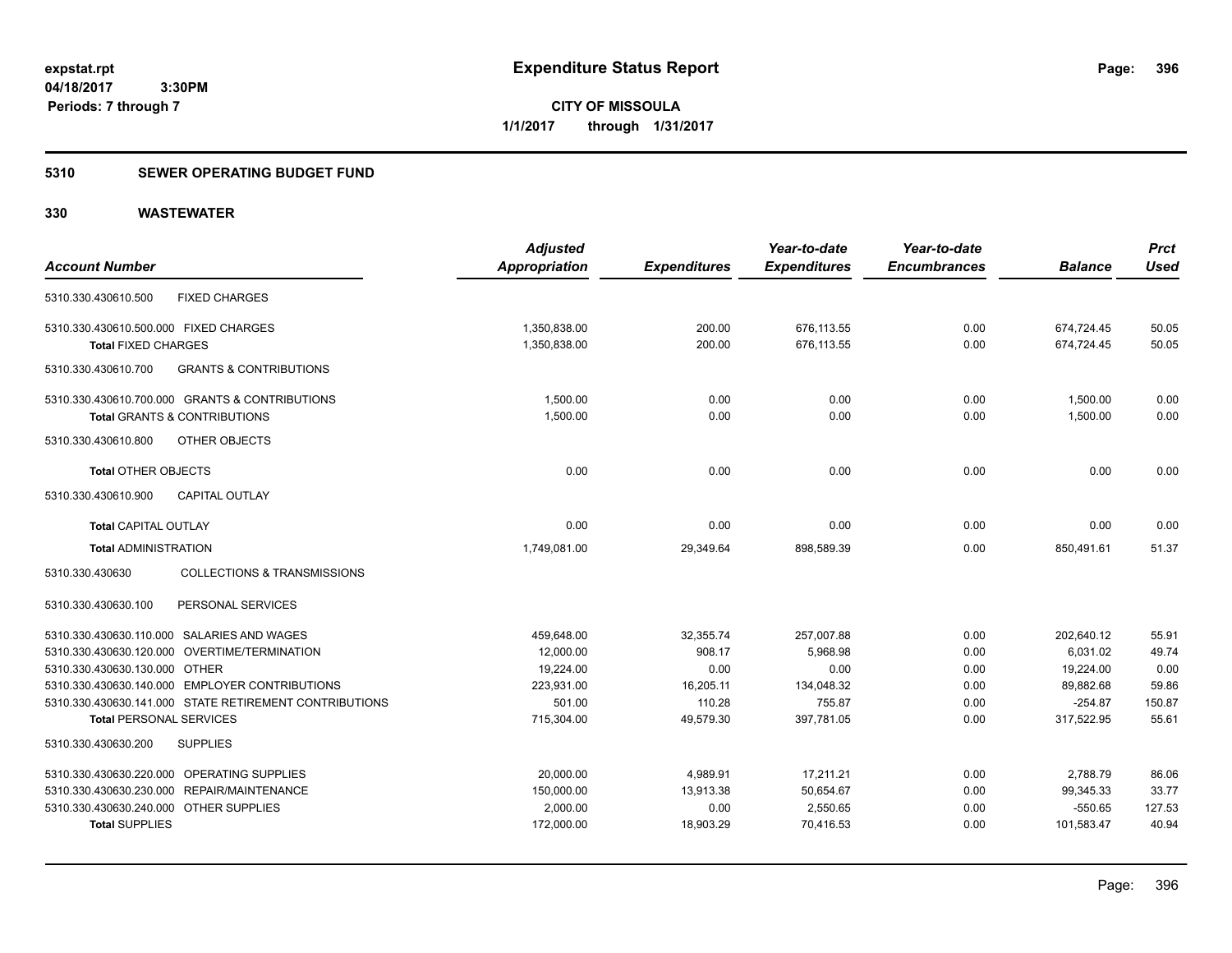**CITY OF MISSOULA 1/1/2017 through 1/31/2017**

### **5310 SEWER OPERATING BUDGET FUND**

## **330 WASTEWATER**

| <b>Account Number</b>                                                                     |                                                        | <b>Adjusted</b><br>Appropriation | <b>Expenditures</b> | Year-to-date<br><b>Expenditures</b> | Year-to-date<br><b>Encumbrances</b> | <b>Balance</b>           | <b>Prct</b><br><b>Used</b> |
|-------------------------------------------------------------------------------------------|--------------------------------------------------------|----------------------------------|---------------------|-------------------------------------|-------------------------------------|--------------------------|----------------------------|
| 5310.330.430610.500                                                                       | <b>FIXED CHARGES</b>                                   |                                  |                     |                                     |                                     |                          |                            |
| 5310.330.430610.500.000 FIXED CHARGES<br><b>Total FIXED CHARGES</b>                       |                                                        | 1,350,838.00<br>1,350,838.00     | 200.00<br>200.00    | 676,113.55<br>676,113.55            | 0.00<br>0.00                        | 674,724.45<br>674,724.45 | 50.05<br>50.05             |
| 5310.330.430610.700                                                                       | <b>GRANTS &amp; CONTRIBUTIONS</b>                      |                                  |                     |                                     |                                     |                          |                            |
| 5310.330.430610.700.000 GRANTS & CONTRIBUTIONS<br><b>Total GRANTS &amp; CONTRIBUTIONS</b> |                                                        | 1,500.00<br>1,500.00             | 0.00<br>0.00        | 0.00<br>0.00                        | 0.00<br>0.00                        | 1,500.00<br>1,500.00     | 0.00<br>0.00               |
| 5310.330.430610.800                                                                       | OTHER OBJECTS                                          |                                  |                     |                                     |                                     |                          |                            |
| <b>Total OTHER OBJECTS</b>                                                                |                                                        | 0.00                             | 0.00                | 0.00                                | 0.00                                | 0.00                     | 0.00                       |
| 5310.330.430610.900                                                                       | CAPITAL OUTLAY                                         |                                  |                     |                                     |                                     |                          |                            |
| <b>Total CAPITAL OUTLAY</b>                                                               |                                                        | 0.00                             | 0.00                | 0.00                                | 0.00                                | 0.00                     | 0.00                       |
| <b>Total ADMINISTRATION</b>                                                               |                                                        | 1,749,081.00                     | 29,349.64           | 898.589.39                          | 0.00                                | 850,491.61               | 51.37                      |
| 5310.330.430630                                                                           | <b>COLLECTIONS &amp; TRANSMISSIONS</b>                 |                                  |                     |                                     |                                     |                          |                            |
| 5310.330.430630.100                                                                       | PERSONAL SERVICES                                      |                                  |                     |                                     |                                     |                          |                            |
| 5310.330.430630.110.000 SALARIES AND WAGES                                                |                                                        | 459,648.00                       | 32,355.74           | 257,007.88                          | 0.00                                | 202,640.12               | 55.91                      |
| 5310.330.430630.120.000 OVERTIME/TERMINATION                                              |                                                        | 12,000.00                        | 908.17              | 5,968.98                            | 0.00                                | 6,031.02                 | 49.74                      |
| 5310.330.430630.130.000 OTHER                                                             |                                                        | 19,224.00                        | 0.00                | 0.00                                | 0.00                                | 19,224.00                | 0.00                       |
| 5310.330.430630.140.000 EMPLOYER CONTRIBUTIONS                                            |                                                        | 223,931.00                       | 16,205.11           | 134,048.32                          | 0.00                                | 89,882.68                | 59.86                      |
|                                                                                           | 5310.330.430630.141.000 STATE RETIREMENT CONTRIBUTIONS | 501.00                           | 110.28              | 755.87                              | 0.00                                | $-254.87$                | 150.87                     |
| <b>Total PERSONAL SERVICES</b><br>5310.330.430630.200<br><b>SUPPLIES</b>                  |                                                        | 715,304.00                       | 49,579.30           | 397,781.05                          | 0.00                                | 317,522.95               | 55.61                      |
|                                                                                           |                                                        |                                  |                     |                                     |                                     |                          |                            |
| 5310.330.430630.220.000 OPERATING SUPPLIES                                                |                                                        | 20,000.00                        | 4,989.91            | 17,211.21                           | 0.00                                | 2,788.79                 | 86.06                      |
| 5310.330.430630.230.000 REPAIR/MAINTENANCE                                                |                                                        | 150,000.00                       | 13,913.38           | 50,654.67                           | 0.00                                | 99,345.33                | 33.77                      |
| 5310.330.430630.240.000 OTHER SUPPLIES                                                    |                                                        | 2,000.00                         | 0.00                | 2,550.65                            | 0.00                                | $-550.65$                | 127.53                     |
| <b>Total SUPPLIES</b>                                                                     |                                                        | 172,000.00                       | 18.903.29           | 70.416.53                           | 0.00                                | 101,583.47               | 40.94                      |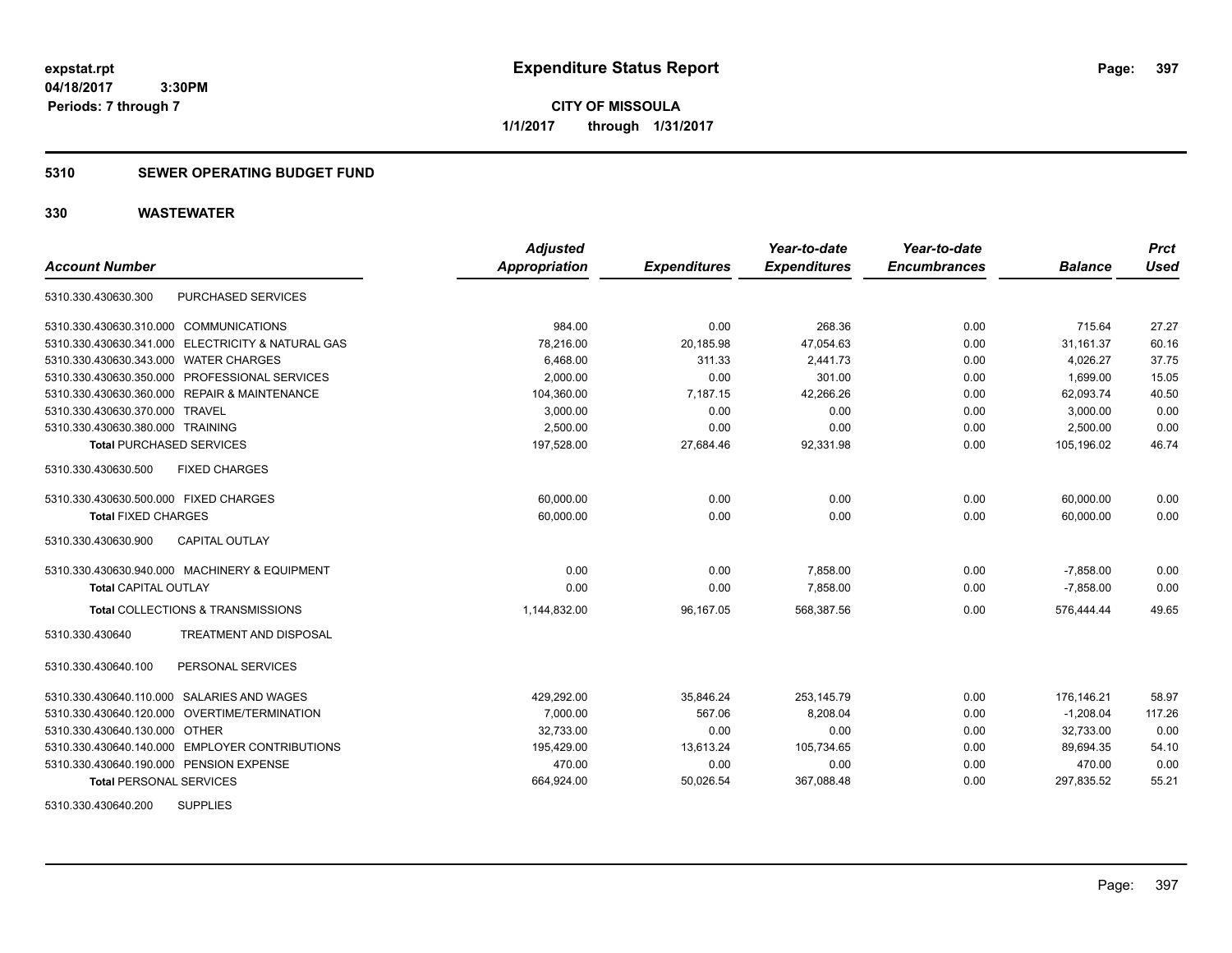## **5310 SEWER OPERATING BUDGET FUND**

| <b>Account Number</b>                             | <b>Adjusted</b><br>Appropriation | <b>Expenditures</b> | Year-to-date<br><b>Expenditures</b> | Year-to-date<br><b>Encumbrances</b> | <b>Balance</b> | <b>Prct</b><br><b>Used</b> |
|---------------------------------------------------|----------------------------------|---------------------|-------------------------------------|-------------------------------------|----------------|----------------------------|
| PURCHASED SERVICES<br>5310.330.430630.300         |                                  |                     |                                     |                                     |                |                            |
|                                                   |                                  |                     |                                     |                                     |                |                            |
| 5310.330.430630.310.000 COMMUNICATIONS            | 984.00                           | 0.00                | 268.36                              | 0.00                                | 715.64         | 27.27                      |
| 5310.330.430630.341.000 ELECTRICITY & NATURAL GAS | 78,216.00                        | 20,185.98           | 47,054.63                           | 0.00                                | 31,161.37      | 60.16                      |
| 5310.330.430630.343.000 WATER CHARGES             | 6,468.00                         | 311.33              | 2,441.73                            | 0.00                                | 4,026.27       | 37.75                      |
| 5310.330.430630.350.000 PROFESSIONAL SERVICES     | 2,000.00                         | 0.00                | 301.00                              | 0.00                                | 1,699.00       | 15.05                      |
| 5310.330.430630.360.000 REPAIR & MAINTENANCE      | 104,360.00                       | 7,187.15            | 42,266.26                           | 0.00                                | 62,093.74      | 40.50                      |
| 5310.330.430630.370.000 TRAVEL                    | 3,000.00                         | 0.00                | 0.00                                | 0.00                                | 3,000.00       | 0.00                       |
| 5310.330.430630.380.000 TRAINING                  | 2,500.00                         | 0.00                | 0.00                                | 0.00                                | 2,500.00       | 0.00                       |
| <b>Total PURCHASED SERVICES</b>                   | 197,528.00                       | 27,684.46           | 92,331.98                           | 0.00                                | 105,196.02     | 46.74                      |
| <b>FIXED CHARGES</b><br>5310.330.430630.500       |                                  |                     |                                     |                                     |                |                            |
| 5310.330.430630.500.000 FIXED CHARGES             | 60,000.00                        | 0.00                | 0.00                                | 0.00                                | 60,000.00      | 0.00                       |
| <b>Total FIXED CHARGES</b>                        | 60,000.00                        | 0.00                | 0.00                                | 0.00                                | 60,000.00      | 0.00                       |
| <b>CAPITAL OUTLAY</b><br>5310.330.430630.900      |                                  |                     |                                     |                                     |                |                            |
| 5310.330.430630.940.000 MACHINERY & EQUIPMENT     | 0.00                             | 0.00                | 7,858.00                            | 0.00                                | $-7,858.00$    | 0.00                       |
| <b>Total CAPITAL OUTLAY</b>                       | 0.00                             | 0.00                | 7,858.00                            | 0.00                                | $-7,858.00$    | 0.00                       |
| Total COLLECTIONS & TRANSMISSIONS                 | 1,144,832.00                     | 96,167.05           | 568,387.56                          | 0.00                                | 576,444.44     | 49.65                      |
| TREATMENT AND DISPOSAL<br>5310.330.430640         |                                  |                     |                                     |                                     |                |                            |
| PERSONAL SERVICES<br>5310.330.430640.100          |                                  |                     |                                     |                                     |                |                            |
| 5310.330.430640.110.000 SALARIES AND WAGES        | 429,292.00                       | 35,846.24           | 253.145.79                          | 0.00                                | 176.146.21     | 58.97                      |
| 5310.330.430640.120.000 OVERTIME/TERMINATION      | 7,000.00                         | 567.06              | 8,208.04                            | 0.00                                | $-1,208.04$    | 117.26                     |
| 5310.330.430640.130.000 OTHER                     | 32,733.00                        | 0.00                | 0.00                                | 0.00                                | 32,733.00      | 0.00                       |
| 5310.330.430640.140.000 EMPLOYER CONTRIBUTIONS    | 195,429.00                       | 13,613.24           | 105,734.65                          | 0.00                                | 89,694.35      | 54.10                      |
| 5310.330.430640.190.000 PENSION EXPENSE           | 470.00                           | 0.00                | 0.00                                | 0.00                                | 470.00         | 0.00                       |
| <b>Total PERSONAL SERVICES</b>                    | 664,924.00                       | 50,026.54           | 367,088.48                          | 0.00                                | 297,835.52     | 55.21                      |
| <b>SUPPLIES</b><br>5310.330.430640.200            |                                  |                     |                                     |                                     |                |                            |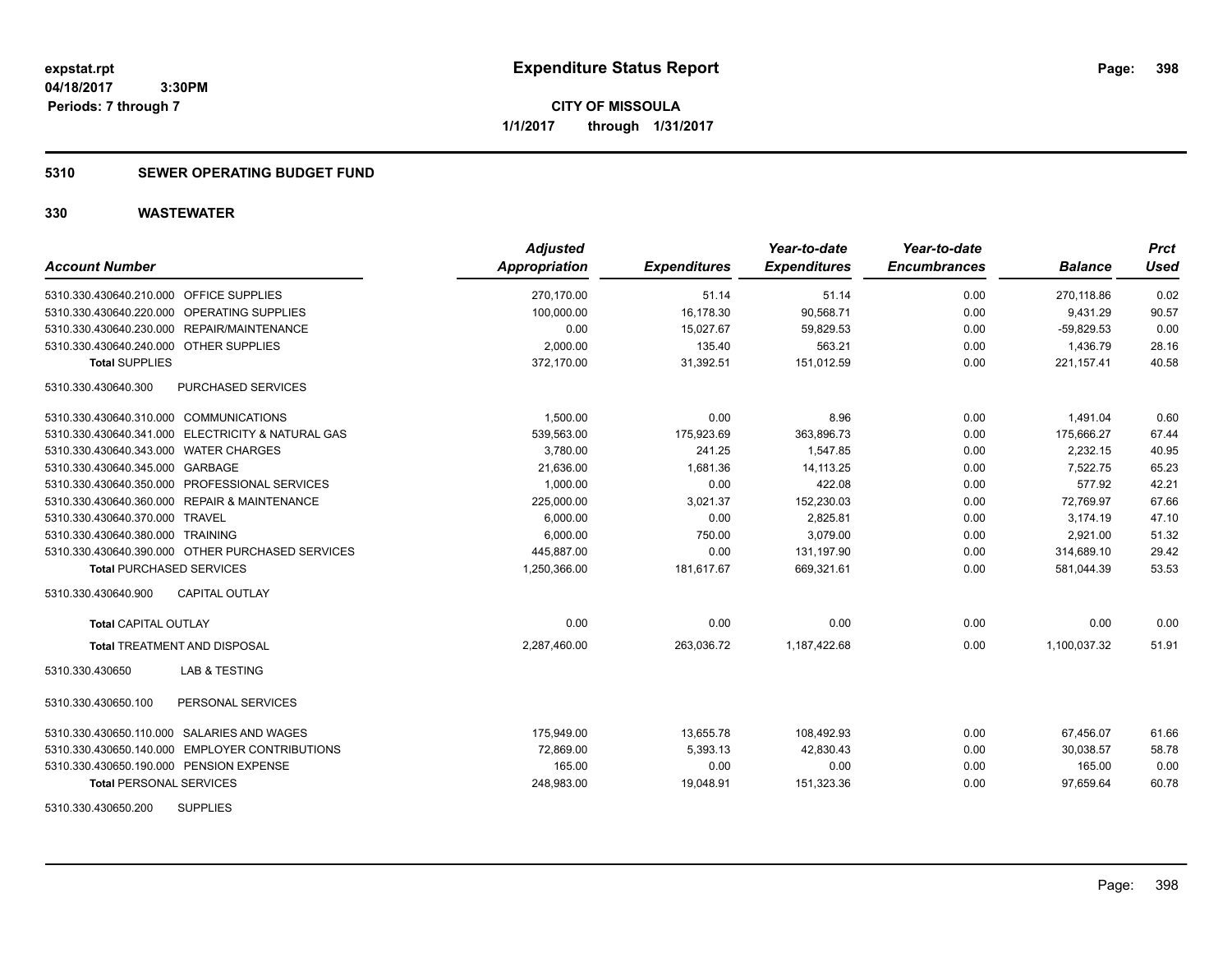**CITY OF MISSOULA 1/1/2017 through 1/31/2017**

## **5310 SEWER OPERATING BUDGET FUND**

| <b>Account Number</b>                             | <b>Adjusted</b><br>Appropriation | <b>Expenditures</b> | Year-to-date<br><b>Expenditures</b> | Year-to-date<br><b>Encumbrances</b> | <b>Balance</b> | <b>Prct</b><br>Used |
|---------------------------------------------------|----------------------------------|---------------------|-------------------------------------|-------------------------------------|----------------|---------------------|
| 5310.330.430640.210.000 OFFICE SUPPLIES           | 270.170.00                       | 51.14               | 51.14                               | 0.00                                | 270.118.86     | 0.02                |
| 5310.330.430640.220.000 OPERATING SUPPLIES        | 100,000.00                       | 16,178.30           | 90,568.71                           | 0.00                                | 9,431.29       | 90.57               |
| 5310.330.430640.230.000 REPAIR/MAINTENANCE        | 0.00                             | 15.027.67           | 59.829.53                           | 0.00                                | $-59.829.53$   | 0.00                |
| 5310.330.430640.240.000 OTHER SUPPLIES            | 2,000.00                         | 135.40              | 563.21                              | 0.00                                | 1,436.79       | 28.16               |
| <b>Total SUPPLIES</b>                             | 372,170.00                       | 31,392.51           | 151,012.59                          | 0.00                                | 221, 157.41    | 40.58               |
| PURCHASED SERVICES<br>5310.330.430640.300         |                                  |                     |                                     |                                     |                |                     |
| 5310.330.430640.310.000 COMMUNICATIONS            | 1,500.00                         | 0.00                | 8.96                                | 0.00                                | 1,491.04       | 0.60                |
| 5310.330.430640.341.000 ELECTRICITY & NATURAL GAS | 539,563.00                       | 175,923.69          | 363,896.73                          | 0.00                                | 175,666.27     | 67.44               |
| 5310.330.430640.343.000 WATER CHARGES             | 3,780.00                         | 241.25              | 1,547.85                            | 0.00                                | 2,232.15       | 40.95               |
| 5310.330.430640.345.000 GARBAGE                   | 21,636.00                        | 1,681.36            | 14, 113. 25                         | 0.00                                | 7,522.75       | 65.23               |
| 5310.330.430640.350.000 PROFESSIONAL SERVICES     | 1,000.00                         | 0.00                | 422.08                              | 0.00                                | 577.92         | 42.21               |
| 5310.330.430640.360.000 REPAIR & MAINTENANCE      | 225,000.00                       | 3,021.37            | 152,230.03                          | 0.00                                | 72,769.97      | 67.66               |
| 5310.330.430640.370.000 TRAVEL                    | 6,000.00                         | 0.00                | 2,825.81                            | 0.00                                | 3,174.19       | 47.10               |
| 5310.330.430640.380.000 TRAINING                  | 6,000.00                         | 750.00              | 3,079.00                            | 0.00                                | 2,921.00       | 51.32               |
| 5310.330.430640.390.000 OTHER PURCHASED SERVICES  | 445.887.00                       | 0.00                | 131.197.90                          | 0.00                                | 314.689.10     | 29.42               |
| <b>Total PURCHASED SERVICES</b>                   | 1,250,366.00                     | 181,617.67          | 669,321.61                          | 0.00                                | 581,044.39     | 53.53               |
| 5310.330.430640.900<br><b>CAPITAL OUTLAY</b>      |                                  |                     |                                     |                                     |                |                     |
| Total CAPITAL OUTLAY                              | 0.00                             | 0.00                | 0.00                                | 0.00                                | 0.00           | 0.00                |
| <b>Total TREATMENT AND DISPOSAL</b>               | 2.287.460.00                     | 263,036.72          | 1,187,422.68                        | 0.00                                | 1,100,037.32   | 51.91               |
| <b>LAB &amp; TESTING</b><br>5310.330.430650       |                                  |                     |                                     |                                     |                |                     |
| 5310.330.430650.100<br>PERSONAL SERVICES          |                                  |                     |                                     |                                     |                |                     |
| 5310.330.430650.110.000 SALARIES AND WAGES        | 175,949.00                       | 13,655.78           | 108,492.93                          | 0.00                                | 67,456.07      | 61.66               |
| 5310.330.430650.140.000 EMPLOYER CONTRIBUTIONS    | 72,869.00                        | 5,393.13            | 42,830.43                           | 0.00                                | 30,038.57      | 58.78               |
| 5310.330.430650.190.000 PENSION EXPENSE           | 165.00                           | 0.00                | 0.00                                | 0.00                                | 165.00         | 0.00                |
| <b>Total PERSONAL SERVICES</b>                    | 248,983.00                       | 19,048.91           | 151,323.36                          | 0.00                                | 97,659.64      | 60.78               |
| <b>SUPPLIES</b><br>5310.330.430650.200            |                                  |                     |                                     |                                     |                |                     |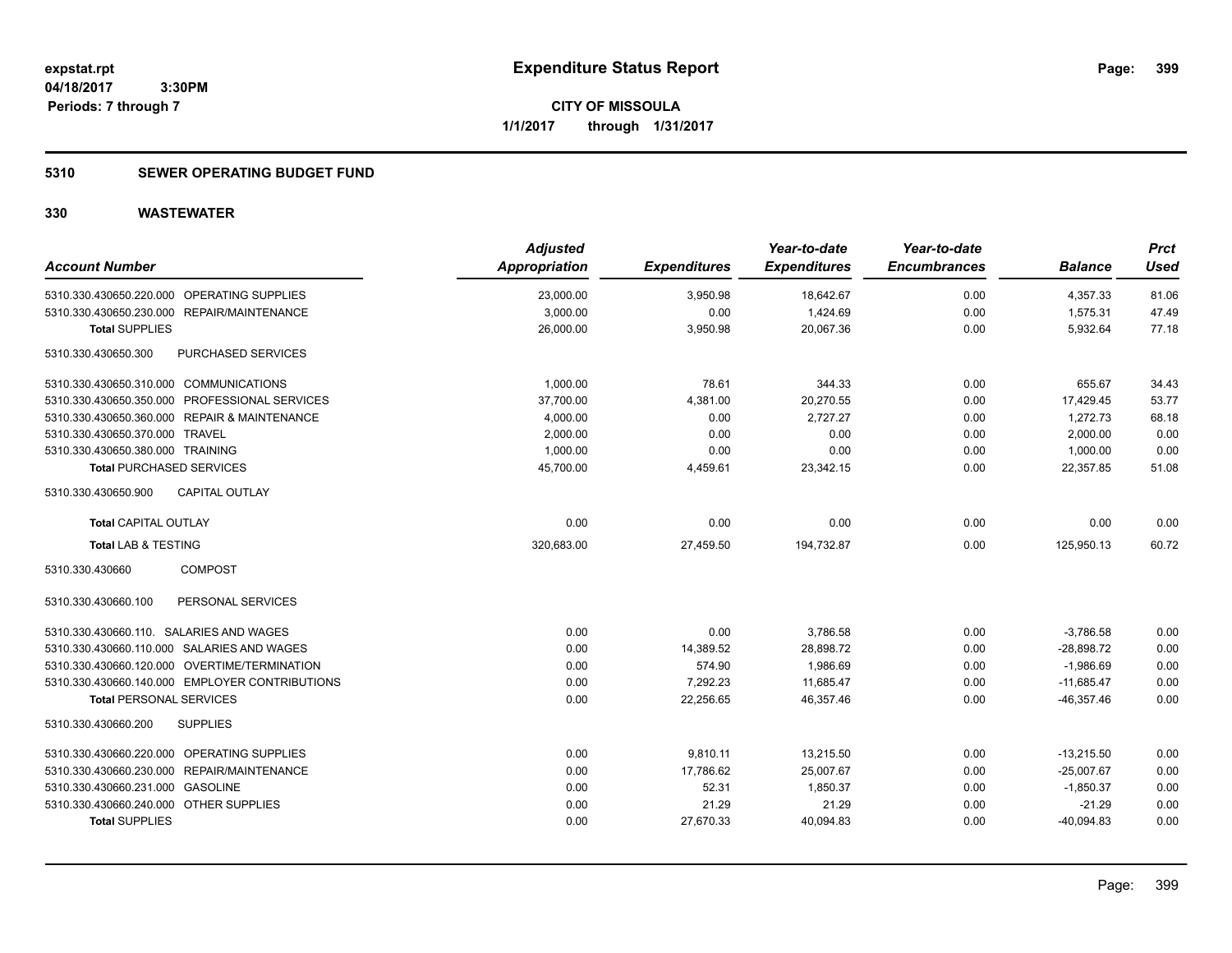**CITY OF MISSOULA 1/1/2017 through 1/31/2017**

## **5310 SEWER OPERATING BUDGET FUND**

| <b>Account Number</b>                            | <b>Adjusted</b><br>Appropriation | <b>Expenditures</b> | Year-to-date<br><b>Expenditures</b> | Year-to-date<br><b>Encumbrances</b> | <b>Balance</b> | <b>Prct</b><br><b>Used</b> |
|--------------------------------------------------|----------------------------------|---------------------|-------------------------------------|-------------------------------------|----------------|----------------------------|
| 5310.330.430650.220.000 OPERATING SUPPLIES       | 23,000.00                        | 3,950.98            | 18,642.67                           | 0.00                                | 4,357.33       | 81.06                      |
| 5310.330.430650.230.000 REPAIR/MAINTENANCE       | 3,000.00                         | 0.00                | 1,424.69                            | 0.00                                | 1,575.31       | 47.49                      |
| <b>Total SUPPLIES</b>                            | 26,000.00                        | 3,950.98            | 20,067.36                           | 0.00                                | 5,932.64       | 77.18                      |
| <b>PURCHASED SERVICES</b><br>5310.330.430650.300 |                                  |                     |                                     |                                     |                |                            |
| 5310.330.430650.310.000 COMMUNICATIONS           | 1,000.00                         | 78.61               | 344.33                              | 0.00                                | 655.67         | 34.43                      |
| 5310.330.430650.350.000 PROFESSIONAL SERVICES    | 37,700.00                        | 4,381.00            | 20,270.55                           | 0.00                                | 17,429.45      | 53.77                      |
| 5310.330.430650.360.000 REPAIR & MAINTENANCE     | 4,000.00                         | 0.00                | 2,727.27                            | 0.00                                | 1,272.73       | 68.18                      |
| 5310.330.430650.370.000 TRAVEL                   | 2,000.00                         | 0.00                | 0.00                                | 0.00                                | 2,000.00       | 0.00                       |
| 5310.330.430650.380.000 TRAINING                 | 1,000.00                         | 0.00                | 0.00                                | 0.00                                | 1,000.00       | 0.00                       |
| <b>Total PURCHASED SERVICES</b>                  | 45,700.00                        | 4,459.61            | 23,342.15                           | 0.00                                | 22,357.85      | 51.08                      |
| <b>CAPITAL OUTLAY</b><br>5310.330.430650.900     |                                  |                     |                                     |                                     |                |                            |
| <b>Total CAPITAL OUTLAY</b>                      | 0.00                             | 0.00                | 0.00                                | 0.00                                | 0.00           | 0.00                       |
| <b>Total LAB &amp; TESTING</b>                   | 320,683.00                       | 27,459.50           | 194,732.87                          | 0.00                                | 125,950.13     | 60.72                      |
| <b>COMPOST</b><br>5310.330.430660                |                                  |                     |                                     |                                     |                |                            |
| 5310.330.430660.100<br>PERSONAL SERVICES         |                                  |                     |                                     |                                     |                |                            |
| 5310.330.430660.110. SALARIES AND WAGES          | 0.00                             | 0.00                | 3,786.58                            | 0.00                                | $-3,786.58$    | 0.00                       |
| 5310.330.430660.110.000 SALARIES AND WAGES       | 0.00                             | 14,389.52           | 28,898.72                           | 0.00                                | $-28,898.72$   | 0.00                       |
| 5310.330.430660.120.000 OVERTIME/TERMINATION     | 0.00                             | 574.90              | 1,986.69                            | 0.00                                | $-1,986.69$    | 0.00                       |
| 5310.330.430660.140.000 EMPLOYER CONTRIBUTIONS   | 0.00                             | 7,292.23            | 11,685.47                           | 0.00                                | $-11,685.47$   | 0.00                       |
| <b>Total PERSONAL SERVICES</b>                   | 0.00                             | 22,256.65           | 46,357.46                           | 0.00                                | $-46,357.46$   | 0.00                       |
| 5310.330.430660.200<br><b>SUPPLIES</b>           |                                  |                     |                                     |                                     |                |                            |
| 5310.330.430660.220.000 OPERATING SUPPLIES       | 0.00                             | 9,810.11            | 13,215.50                           | 0.00                                | $-13,215.50$   | 0.00                       |
| 5310.330.430660.230.000 REPAIR/MAINTENANCE       | 0.00                             | 17,786.62           | 25,007.67                           | 0.00                                | $-25,007.67$   | 0.00                       |
| 5310.330.430660.231.000 GASOLINE                 | 0.00                             | 52.31               | 1,850.37                            | 0.00                                | $-1,850.37$    | 0.00                       |
| 5310.330.430660.240.000 OTHER SUPPLIES           | 0.00                             | 21.29               | 21.29                               | 0.00                                | $-21.29$       | 0.00                       |
| <b>Total SUPPLIES</b>                            | 0.00                             | 27,670.33           | 40,094.83                           | 0.00                                | $-40,094.83$   | 0.00                       |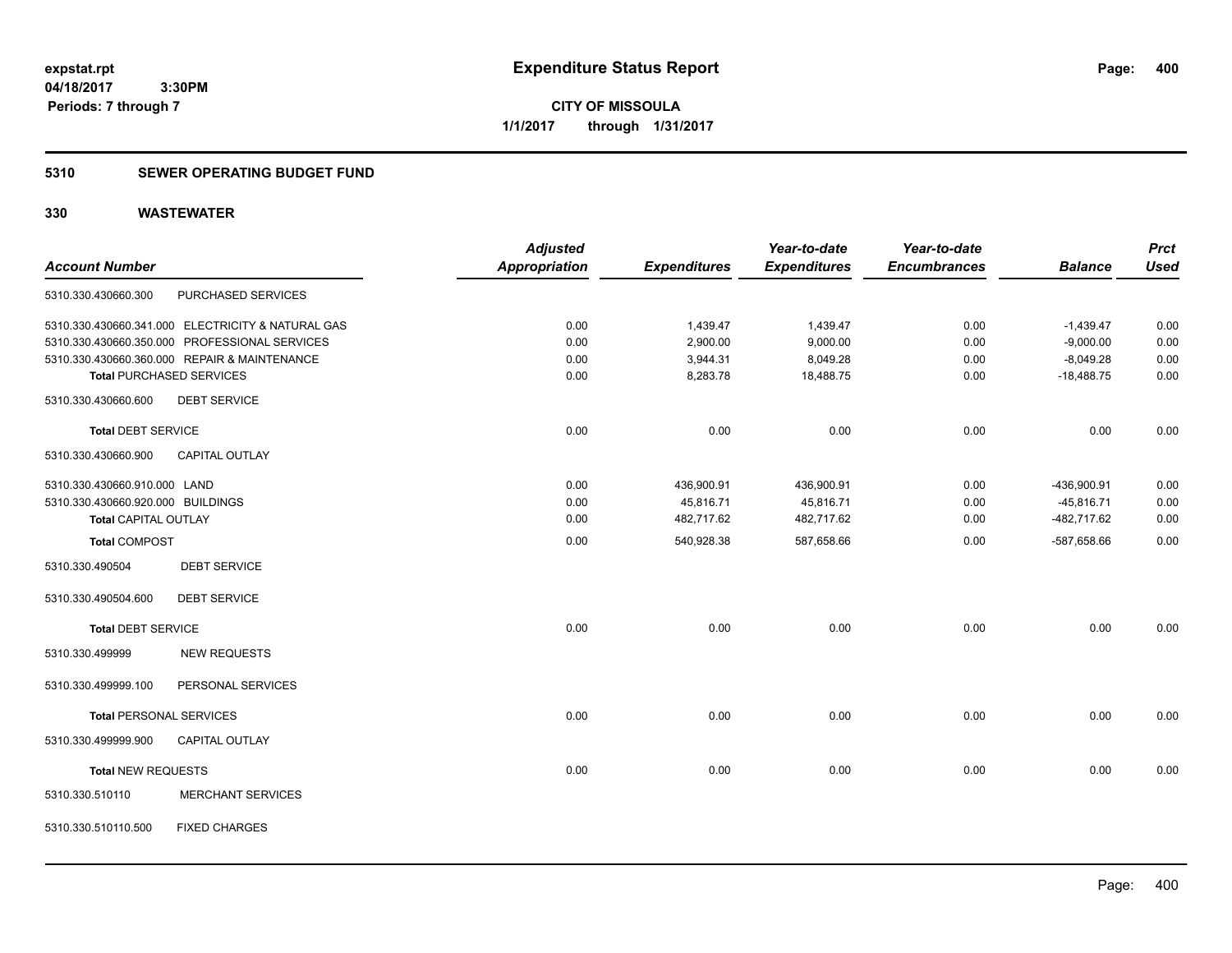## **5310 SEWER OPERATING BUDGET FUND**

|                                   |                                                   | <b>Adjusted</b>      |                     | Year-to-date        | Year-to-date        |                | <b>Prct</b> |
|-----------------------------------|---------------------------------------------------|----------------------|---------------------|---------------------|---------------------|----------------|-------------|
| <b>Account Number</b>             |                                                   | <b>Appropriation</b> | <b>Expenditures</b> | <b>Expenditures</b> | <b>Encumbrances</b> | <b>Balance</b> | <b>Used</b> |
| 5310.330.430660.300               | PURCHASED SERVICES                                |                      |                     |                     |                     |                |             |
|                                   | 5310.330.430660.341.000 ELECTRICITY & NATURAL GAS | 0.00                 | 1,439.47            | 1,439.47            | 0.00                | $-1,439.47$    | 0.00        |
|                                   | 5310.330.430660.350.000 PROFESSIONAL SERVICES     | 0.00                 | 2,900.00            | 9,000.00            | 0.00                | $-9,000.00$    | 0.00        |
|                                   | 5310.330.430660.360.000 REPAIR & MAINTENANCE      | 0.00                 | 3,944.31            | 8,049.28            | 0.00                | $-8,049.28$    | 0.00        |
| <b>Total PURCHASED SERVICES</b>   |                                                   | 0.00                 | 8,283.78            | 18,488.75           | 0.00                | $-18,488.75$   | 0.00        |
| 5310.330.430660.600               | <b>DEBT SERVICE</b>                               |                      |                     |                     |                     |                |             |
| <b>Total DEBT SERVICE</b>         |                                                   | 0.00                 | 0.00                | 0.00                | 0.00                | 0.00           | 0.00        |
| 5310.330.430660.900               | CAPITAL OUTLAY                                    |                      |                     |                     |                     |                |             |
| 5310.330.430660.910.000 LAND      |                                                   | 0.00                 | 436,900.91          | 436,900.91          | 0.00                | -436,900.91    | 0.00        |
| 5310.330.430660.920.000 BUILDINGS |                                                   | 0.00                 | 45,816.71           | 45,816.71           | 0.00                | $-45,816.71$   | 0.00        |
| <b>Total CAPITAL OUTLAY</b>       |                                                   | 0.00                 | 482,717.62          | 482,717.62          | 0.00                | -482,717.62    | 0.00        |
| <b>Total COMPOST</b>              |                                                   | 0.00                 | 540,928.38          | 587,658.66          | 0.00                | -587,658.66    | 0.00        |
| 5310.330.490504                   | <b>DEBT SERVICE</b>                               |                      |                     |                     |                     |                |             |
| 5310.330.490504.600               | <b>DEBT SERVICE</b>                               |                      |                     |                     |                     |                |             |
| <b>Total DEBT SERVICE</b>         |                                                   | 0.00                 | 0.00                | 0.00                | 0.00                | 0.00           | 0.00        |
| 5310.330.499999                   | <b>NEW REQUESTS</b>                               |                      |                     |                     |                     |                |             |
| 5310.330.499999.100               | PERSONAL SERVICES                                 |                      |                     |                     |                     |                |             |
| <b>Total PERSONAL SERVICES</b>    |                                                   | 0.00                 | 0.00                | 0.00                | 0.00                | 0.00           | 0.00        |
| 5310.330.499999.900               | <b>CAPITAL OUTLAY</b>                             |                      |                     |                     |                     |                |             |
| <b>Total NEW REQUESTS</b>         |                                                   | 0.00                 | 0.00                | 0.00                | 0.00                | 0.00           | 0.00        |
| 5310.330.510110                   | <b>MERCHANT SERVICES</b>                          |                      |                     |                     |                     |                |             |
| 5310.330.510110.500               | <b>FIXED CHARGES</b>                              |                      |                     |                     |                     |                |             |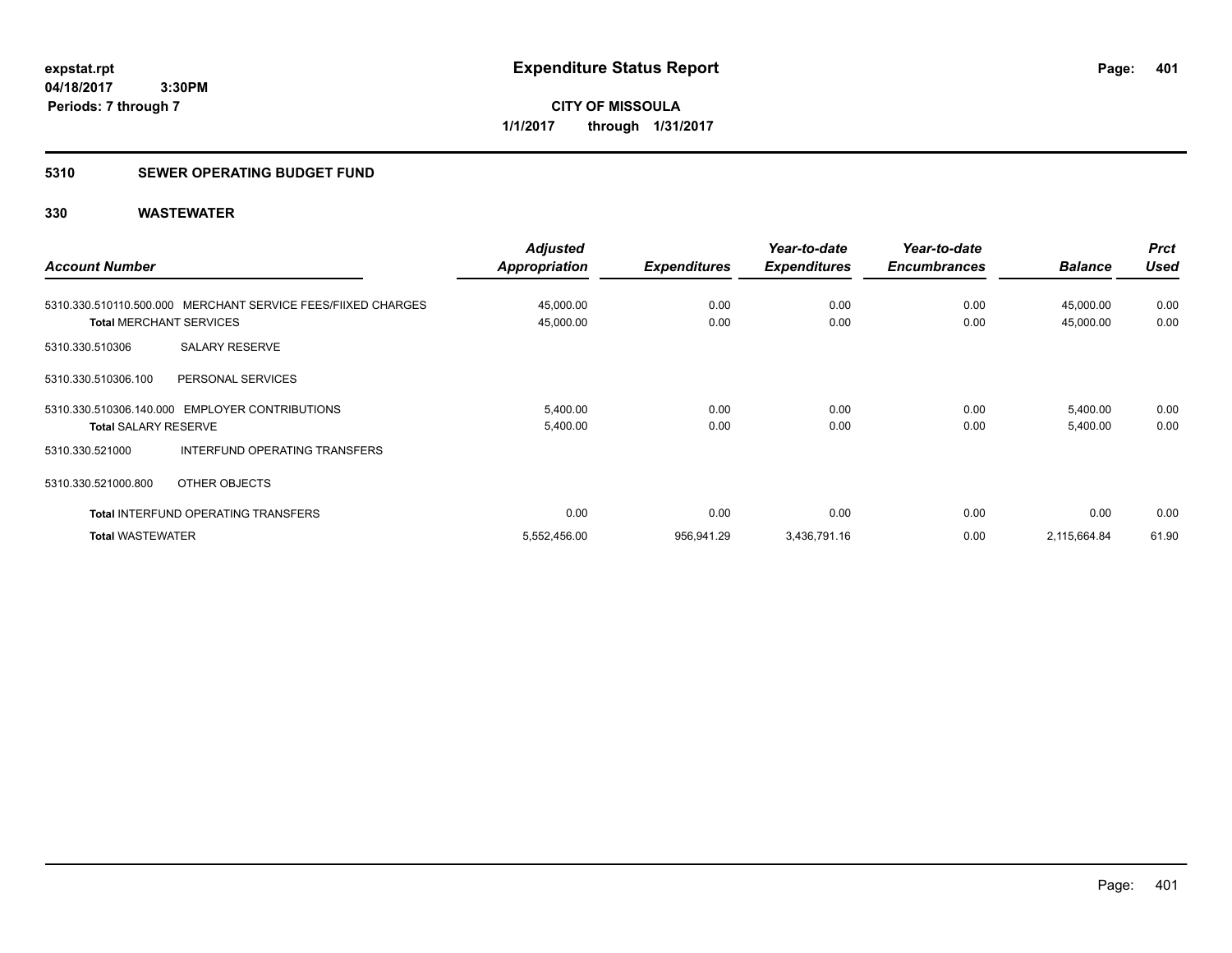**CITY OF MISSOULA 1/1/2017 through 1/31/2017**

### **5310 SEWER OPERATING BUDGET FUND**

|                                |                                                              | <b>Adjusted</b>      |                     | Year-to-date        | Year-to-date        |                | <b>Prct</b> |
|--------------------------------|--------------------------------------------------------------|----------------------|---------------------|---------------------|---------------------|----------------|-------------|
| <b>Account Number</b>          |                                                              | <b>Appropriation</b> | <b>Expenditures</b> | <b>Expenditures</b> | <b>Encumbrances</b> | <b>Balance</b> | <b>Used</b> |
|                                | 5310.330.510110.500.000 MERCHANT SERVICE FEES/FIIXED CHARGES | 45,000.00            | 0.00                | 0.00                | 0.00                | 45,000.00      | 0.00        |
| <b>Total MERCHANT SERVICES</b> |                                                              | 45,000.00            | 0.00                | 0.00                | 0.00                | 45,000.00      | 0.00        |
| 5310.330.510306                | <b>SALARY RESERVE</b>                                        |                      |                     |                     |                     |                |             |
| 5310.330.510306.100            | PERSONAL SERVICES                                            |                      |                     |                     |                     |                |             |
|                                | 5310.330.510306.140.000 EMPLOYER CONTRIBUTIONS               | 5,400.00             | 0.00                | 0.00                | 0.00                | 5,400.00       | 0.00        |
| <b>Total SALARY RESERVE</b>    |                                                              | 5,400.00             | 0.00                | 0.00                | 0.00                | 5,400.00       | 0.00        |
| 5310.330.521000                | INTERFUND OPERATING TRANSFERS                                |                      |                     |                     |                     |                |             |
| 5310.330.521000.800            | OTHER OBJECTS                                                |                      |                     |                     |                     |                |             |
|                                | <b>Total INTERFUND OPERATING TRANSFERS</b>                   | 0.00                 | 0.00                | 0.00                | 0.00                | 0.00           | 0.00        |
| <b>Total WASTEWATER</b>        |                                                              | 5,552,456.00         | 956,941.29          | 3,436,791.16        | 0.00                | 2,115,664.84   | 61.90       |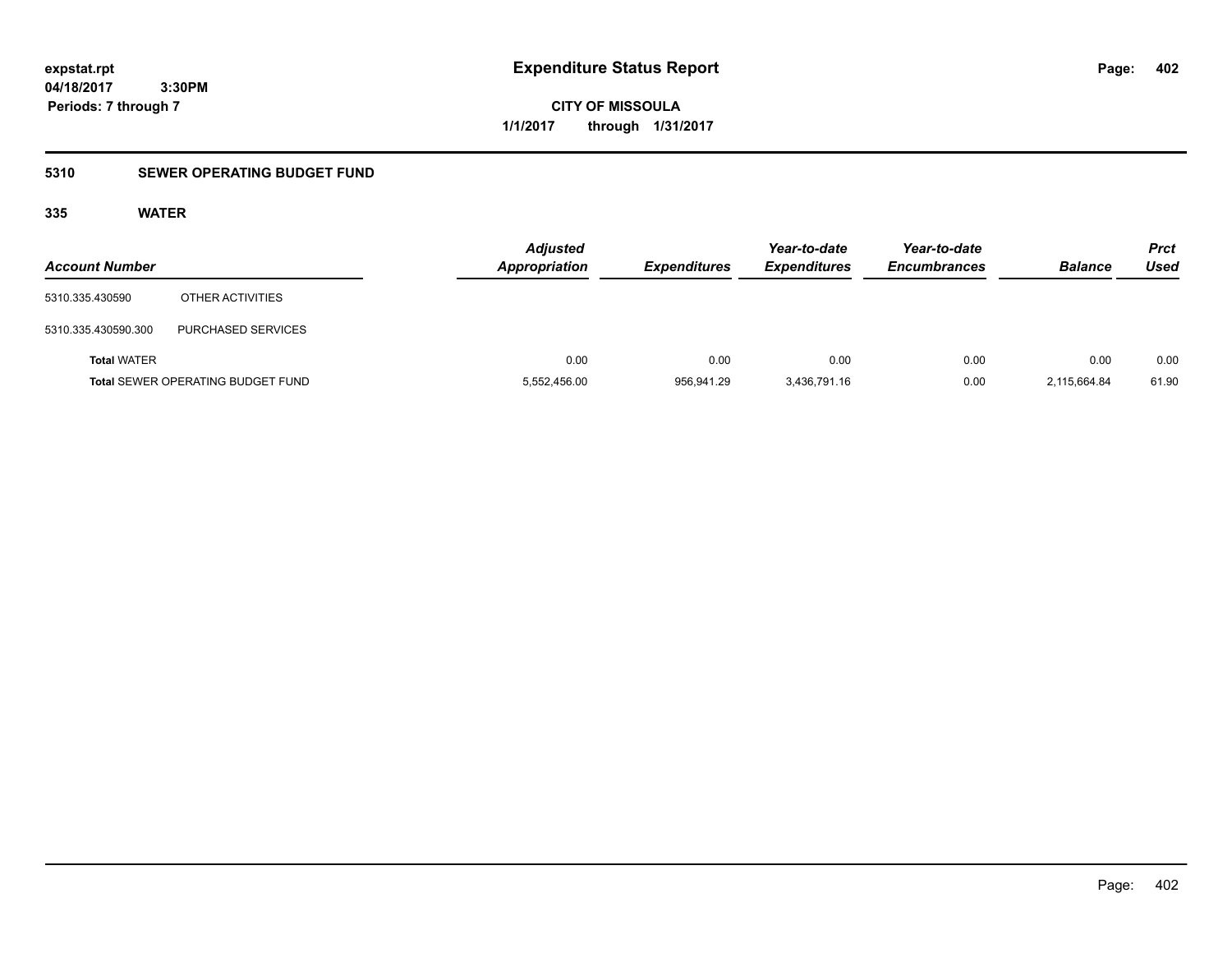**CITY OF MISSOULA 1/1/2017 through 1/31/2017**

## **5310 SEWER OPERATING BUDGET FUND**

## **335 WATER**

| <b>Account Number</b> |                                          | <b>Adjusted</b><br><b>Appropriation</b> | <b>Expenditures</b> | Year-to-date<br><b>Expenditures</b> | Year-to-date<br><b>Encumbrances</b> | <b>Balance</b> | Prct<br><b>Used</b> |
|-----------------------|------------------------------------------|-----------------------------------------|---------------------|-------------------------------------|-------------------------------------|----------------|---------------------|
| 5310.335.430590       | OTHER ACTIVITIES                         |                                         |                     |                                     |                                     |                |                     |
| 5310.335.430590.300   | <b>PURCHASED SERVICES</b>                |                                         |                     |                                     |                                     |                |                     |
| <b>Total WATER</b>    |                                          | 0.00                                    | 0.00                | 0.00                                | 0.00                                | 0.00           | 0.00                |
|                       | <b>Total SEWER OPERATING BUDGET FUND</b> | 5,552,456.00                            | 956.941.29          | 3,436,791.16                        | 0.00                                | 2,115,664.84   | 61.90               |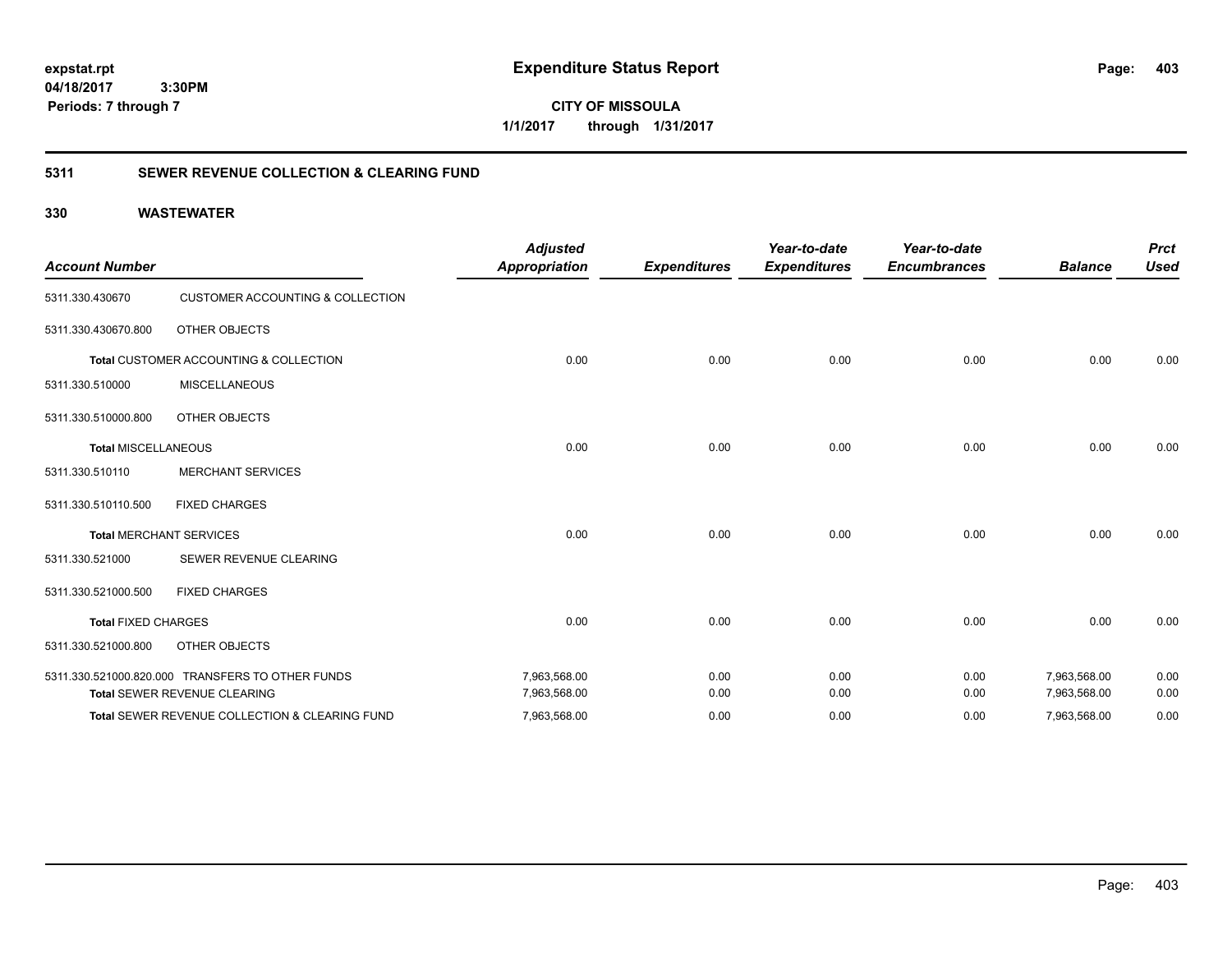**CITY OF MISSOULA 1/1/2017 through 1/31/2017**

## **5311 SEWER REVENUE COLLECTION & CLEARING FUND**

| <b>Account Number</b>      |                                                  | <b>Adjusted</b><br><b>Appropriation</b> | <b>Expenditures</b> | Year-to-date<br><b>Expenditures</b> | Year-to-date<br><b>Encumbrances</b> | <b>Balance</b> | <b>Prct</b><br><b>Used</b> |
|----------------------------|--------------------------------------------------|-----------------------------------------|---------------------|-------------------------------------|-------------------------------------|----------------|----------------------------|
| 5311.330.430670            | <b>CUSTOMER ACCOUNTING &amp; COLLECTION</b>      |                                         |                     |                                     |                                     |                |                            |
| 5311.330.430670.800        | OTHER OBJECTS                                    |                                         |                     |                                     |                                     |                |                            |
|                            | Total CUSTOMER ACCOUNTING & COLLECTION           | 0.00                                    | 0.00                | 0.00                                | 0.00                                | 0.00           | 0.00                       |
| 5311.330.510000            | <b>MISCELLANEOUS</b>                             |                                         |                     |                                     |                                     |                |                            |
| 5311.330.510000.800        | OTHER OBJECTS                                    |                                         |                     |                                     |                                     |                |                            |
| <b>Total MISCELLANEOUS</b> |                                                  | 0.00                                    | 0.00                | 0.00                                | 0.00                                | 0.00           | 0.00                       |
| 5311.330.510110            | <b>MERCHANT SERVICES</b>                         |                                         |                     |                                     |                                     |                |                            |
| 5311.330.510110.500        | <b>FIXED CHARGES</b>                             |                                         |                     |                                     |                                     |                |                            |
|                            | <b>Total MERCHANT SERVICES</b>                   | 0.00                                    | 0.00                | 0.00                                | 0.00                                | 0.00           | 0.00                       |
| 5311.330.521000            | SEWER REVENUE CLEARING                           |                                         |                     |                                     |                                     |                |                            |
| 5311.330.521000.500        | <b>FIXED CHARGES</b>                             |                                         |                     |                                     |                                     |                |                            |
| <b>Total FIXED CHARGES</b> |                                                  | 0.00                                    | 0.00                | 0.00                                | 0.00                                | 0.00           | 0.00                       |
| 5311.330.521000.800        | OTHER OBJECTS                                    |                                         |                     |                                     |                                     |                |                            |
|                            | 5311.330.521000.820.000 TRANSFERS TO OTHER FUNDS | 7,963,568.00                            | 0.00                | 0.00                                | 0.00                                | 7,963,568.00   | 0.00                       |
|                            | <b>Total SEWER REVENUE CLEARING</b>              | 7,963,568.00                            | 0.00                | 0.00                                | 0.00                                | 7,963,568.00   | 0.00                       |
|                            | Total SEWER REVENUE COLLECTION & CLEARING FUND   | 7,963,568.00                            | 0.00                | 0.00                                | 0.00                                | 7,963,568.00   | 0.00                       |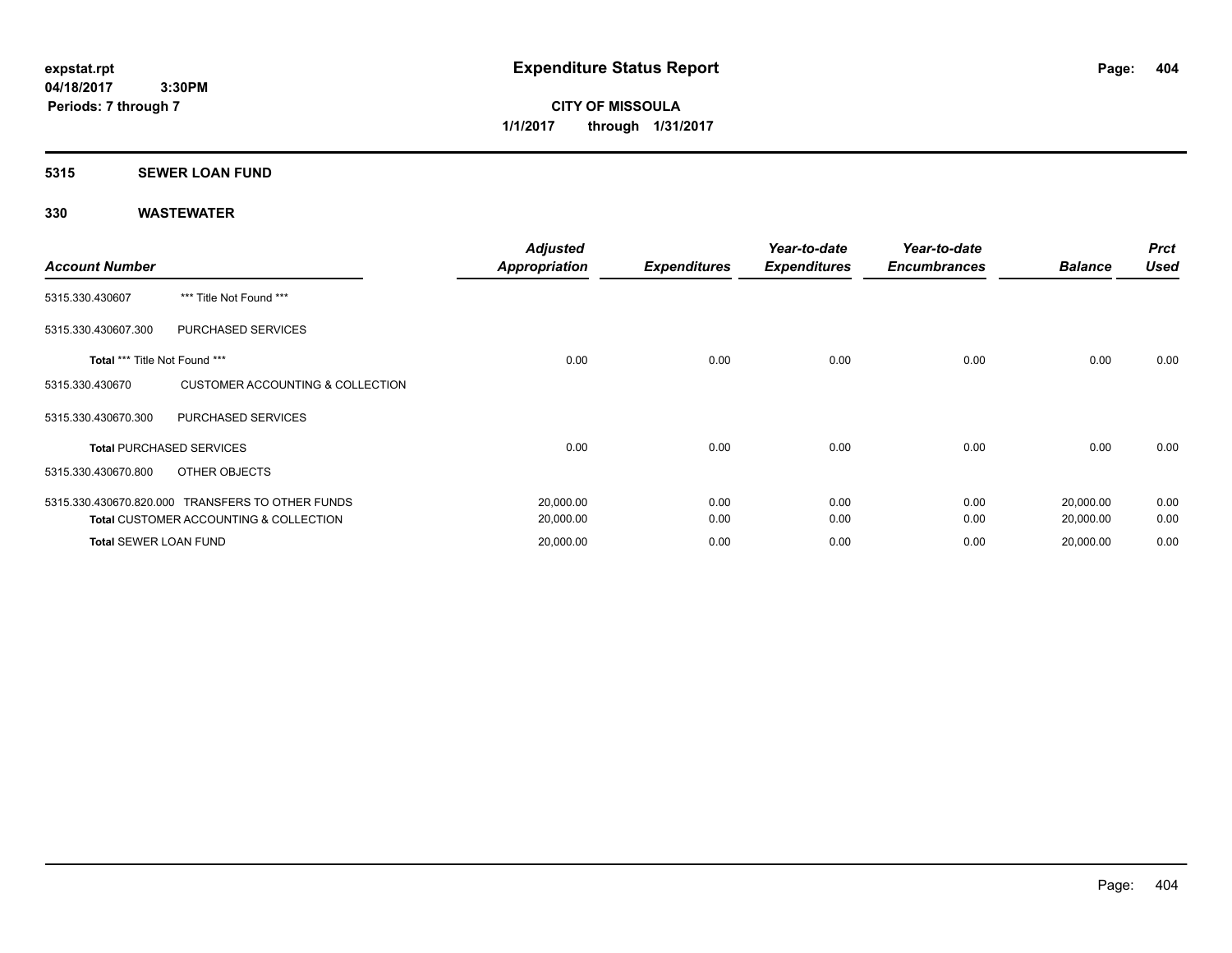**CITY OF MISSOULA 1/1/2017 through 1/31/2017**

## **5315 SEWER LOAN FUND**

| <b>Account Number</b>         |                                                                                                       | <b>Adjusted</b><br><b>Appropriation</b> | <b>Expenditures</b> | Year-to-date<br><b>Expenditures</b> | Year-to-date<br><b>Encumbrances</b> | <b>Balance</b>         | <b>Prct</b><br><b>Used</b> |
|-------------------------------|-------------------------------------------------------------------------------------------------------|-----------------------------------------|---------------------|-------------------------------------|-------------------------------------|------------------------|----------------------------|
| 5315.330.430607               | *** Title Not Found ***                                                                               |                                         |                     |                                     |                                     |                        |                            |
| 5315.330.430607.300           | PURCHASED SERVICES                                                                                    |                                         |                     |                                     |                                     |                        |                            |
| Total *** Title Not Found *** |                                                                                                       | 0.00                                    | 0.00                | 0.00                                | 0.00                                | 0.00                   | 0.00                       |
| 5315.330.430670               | <b>CUSTOMER ACCOUNTING &amp; COLLECTION</b>                                                           |                                         |                     |                                     |                                     |                        |                            |
| 5315.330.430670.300           | PURCHASED SERVICES                                                                                    |                                         |                     |                                     |                                     |                        |                            |
|                               | <b>Total PURCHASED SERVICES</b>                                                                       | 0.00                                    | 0.00                | 0.00                                | 0.00                                | 0.00                   | 0.00                       |
| 5315.330.430670.800           | OTHER OBJECTS                                                                                         |                                         |                     |                                     |                                     |                        |                            |
|                               | 5315.330.430670.820.000 TRANSFERS TO OTHER FUNDS<br><b>Total CUSTOMER ACCOUNTING &amp; COLLECTION</b> | 20,000.00<br>20,000.00                  | 0.00<br>0.00        | 0.00<br>0.00                        | 0.00<br>0.00                        | 20,000.00<br>20,000.00 | 0.00<br>0.00               |
| Total SEWER LOAN FUND         |                                                                                                       | 20,000.00                               | 0.00                | 0.00                                | 0.00                                | 20,000.00              | 0.00                       |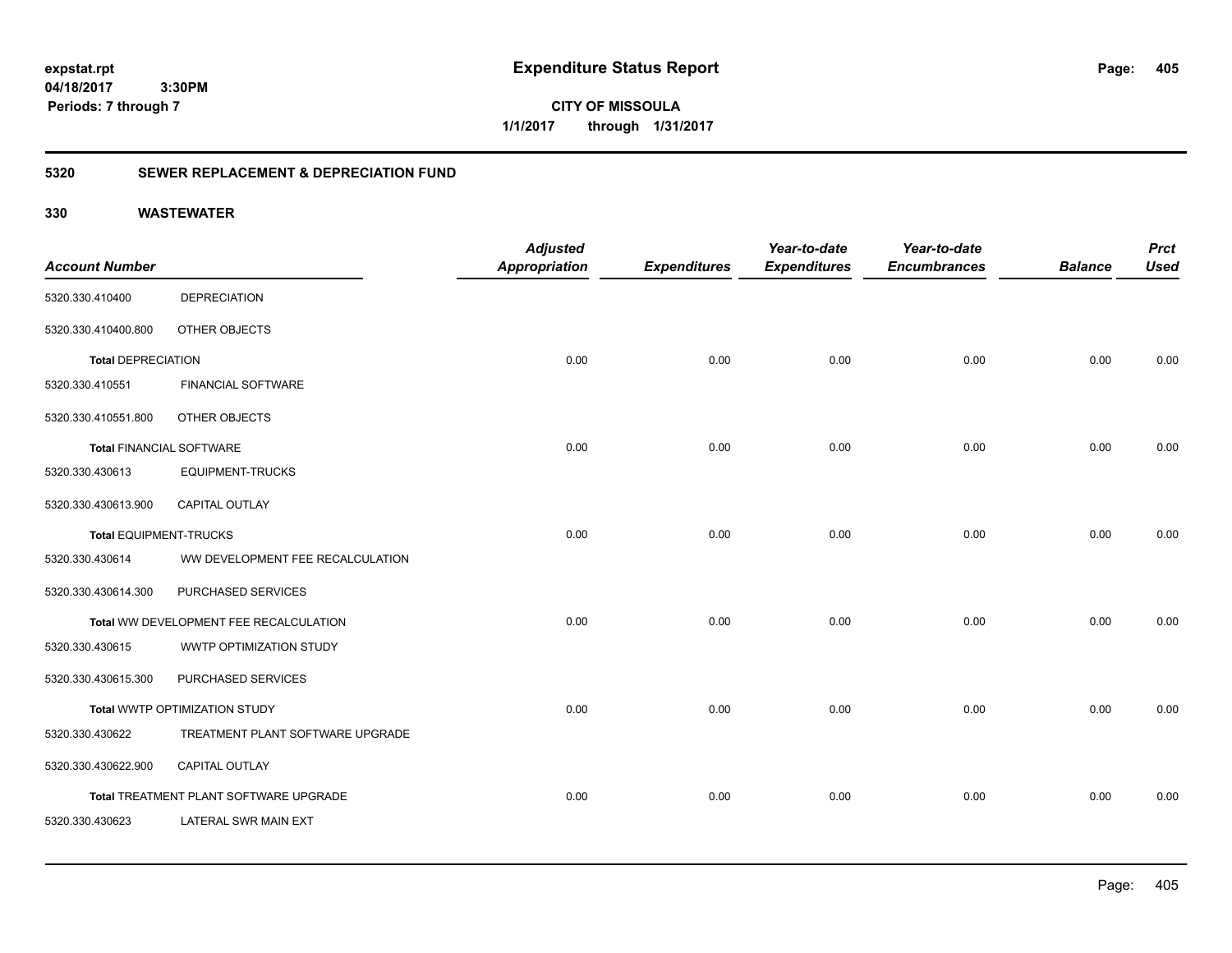**CITY OF MISSOULA 1/1/2017 through 1/31/2017**

## **5320 SEWER REPLACEMENT & DEPRECIATION FUND**

|                                 |                                        | <b>Adjusted</b>      |                     | Year-to-date        | Year-to-date        |                | <b>Prct</b> |
|---------------------------------|----------------------------------------|----------------------|---------------------|---------------------|---------------------|----------------|-------------|
| <b>Account Number</b>           |                                        | <b>Appropriation</b> | <b>Expenditures</b> | <b>Expenditures</b> | <b>Encumbrances</b> | <b>Balance</b> | <b>Used</b> |
| 5320.330.410400                 | <b>DEPRECIATION</b>                    |                      |                     |                     |                     |                |             |
| 5320.330.410400.800             | OTHER OBJECTS                          |                      |                     |                     |                     |                |             |
| <b>Total DEPRECIATION</b>       |                                        | 0.00                 | 0.00                | 0.00                | 0.00                | 0.00           | 0.00        |
| 5320.330.410551                 | <b>FINANCIAL SOFTWARE</b>              |                      |                     |                     |                     |                |             |
| 5320.330.410551.800             | OTHER OBJECTS                          |                      |                     |                     |                     |                |             |
| <b>Total FINANCIAL SOFTWARE</b> |                                        | 0.00                 | 0.00                | 0.00                | 0.00                | 0.00           | 0.00        |
| 5320.330.430613                 | <b>EQUIPMENT-TRUCKS</b>                |                      |                     |                     |                     |                |             |
| 5320.330.430613.900             | <b>CAPITAL OUTLAY</b>                  |                      |                     |                     |                     |                |             |
| <b>Total EQUIPMENT-TRUCKS</b>   |                                        | 0.00                 | 0.00                | 0.00                | 0.00                | 0.00           | 0.00        |
| 5320.330.430614                 | WW DEVELOPMENT FEE RECALCULATION       |                      |                     |                     |                     |                |             |
| 5320.330.430614.300             | PURCHASED SERVICES                     |                      |                     |                     |                     |                |             |
|                                 | Total WW DEVELOPMENT FEE RECALCULATION | 0.00                 | 0.00                | 0.00                | 0.00                | 0.00           | 0.00        |
| 5320.330.430615                 | WWTP OPTIMIZATION STUDY                |                      |                     |                     |                     |                |             |
| 5320.330.430615.300             | PURCHASED SERVICES                     |                      |                     |                     |                     |                |             |
|                                 | Total WWTP OPTIMIZATION STUDY          | 0.00                 | 0.00                | 0.00                | 0.00                | 0.00           | 0.00        |
| 5320.330.430622                 | TREATMENT PLANT SOFTWARE UPGRADE       |                      |                     |                     |                     |                |             |
| 5320.330.430622.900             | <b>CAPITAL OUTLAY</b>                  |                      |                     |                     |                     |                |             |
|                                 | Total TREATMENT PLANT SOFTWARE UPGRADE | 0.00                 | 0.00                | 0.00                | 0.00                | 0.00           | 0.00        |
| 5320.330.430623                 | LATERAL SWR MAIN EXT                   |                      |                     |                     |                     |                |             |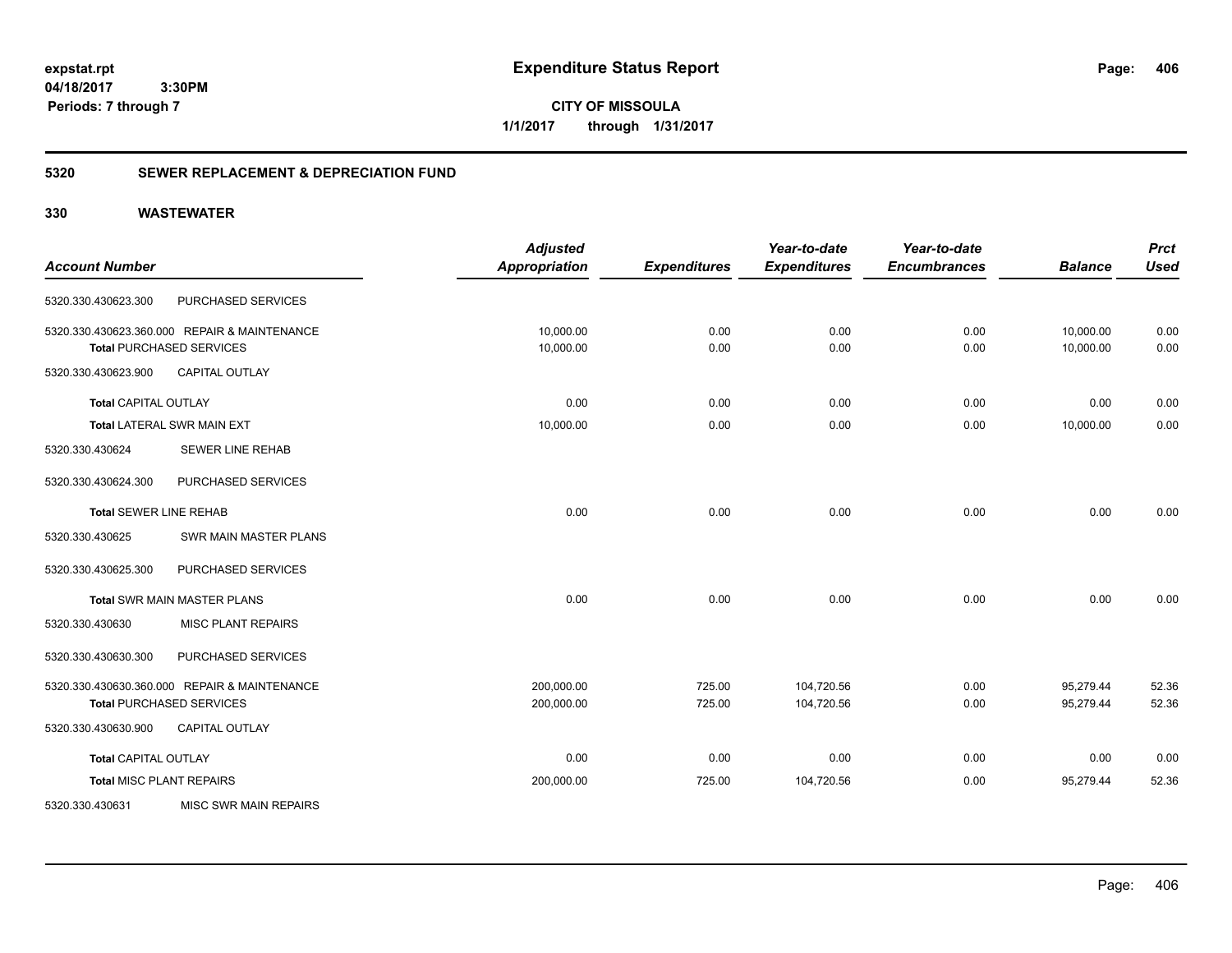**CITY OF MISSOULA 1/1/2017 through 1/31/2017**

## **5320 SEWER REPLACEMENT & DEPRECIATION FUND**

|                                 |                                              | <b>Adjusted</b>      |                     | Year-to-date        | Year-to-date        |                | <b>Prct</b> |
|---------------------------------|----------------------------------------------|----------------------|---------------------|---------------------|---------------------|----------------|-------------|
| <b>Account Number</b>           |                                              | <b>Appropriation</b> | <b>Expenditures</b> | <b>Expenditures</b> | <b>Encumbrances</b> | <b>Balance</b> | <b>Used</b> |
| 5320.330.430623.300             | PURCHASED SERVICES                           |                      |                     |                     |                     |                |             |
|                                 | 5320.330.430623.360.000 REPAIR & MAINTENANCE | 10,000.00            | 0.00                | 0.00                | 0.00                | 10,000.00      | 0.00        |
|                                 | Total PURCHASED SERVICES                     | 10,000.00            | 0.00                | 0.00                | 0.00                | 10,000.00      | 0.00        |
| 5320.330.430623.900             | <b>CAPITAL OUTLAY</b>                        |                      |                     |                     |                     |                |             |
| <b>Total CAPITAL OUTLAY</b>     |                                              | 0.00                 | 0.00                | 0.00                | 0.00                | 0.00           | 0.00        |
|                                 | Total LATERAL SWR MAIN EXT                   | 10,000.00            | 0.00                | 0.00                | 0.00                | 10,000.00      | 0.00        |
| 5320.330.430624                 | <b>SEWER LINE REHAB</b>                      |                      |                     |                     |                     |                |             |
| 5320.330.430624.300             | PURCHASED SERVICES                           |                      |                     |                     |                     |                |             |
| <b>Total SEWER LINE REHAB</b>   |                                              | 0.00                 | 0.00                | 0.00                | 0.00                | 0.00           | 0.00        |
| 5320.330.430625                 | SWR MAIN MASTER PLANS                        |                      |                     |                     |                     |                |             |
| 5320.330.430625.300             | PURCHASED SERVICES                           |                      |                     |                     |                     |                |             |
|                                 | <b>Total SWR MAIN MASTER PLANS</b>           | 0.00                 | 0.00                | 0.00                | 0.00                | 0.00           | 0.00        |
| 5320.330.430630                 | <b>MISC PLANT REPAIRS</b>                    |                      |                     |                     |                     |                |             |
| 5320.330.430630.300             | PURCHASED SERVICES                           |                      |                     |                     |                     |                |             |
|                                 | 5320.330.430630.360.000 REPAIR & MAINTENANCE | 200,000.00           | 725.00              | 104,720.56          | 0.00                | 95,279.44      | 52.36       |
|                                 | <b>Total PURCHASED SERVICES</b>              | 200,000.00           | 725.00              | 104,720.56          | 0.00                | 95,279.44      | 52.36       |
| 5320.330.430630.900             | <b>CAPITAL OUTLAY</b>                        |                      |                     |                     |                     |                |             |
| <b>Total CAPITAL OUTLAY</b>     |                                              | 0.00                 | 0.00                | 0.00                | 0.00                | 0.00           | 0.00        |
| <b>Total MISC PLANT REPAIRS</b> |                                              | 200,000.00           | 725.00              | 104,720.56          | 0.00                | 95,279.44      | 52.36       |
| 5320.330.430631                 | <b>MISC SWR MAIN REPAIRS</b>                 |                      |                     |                     |                     |                |             |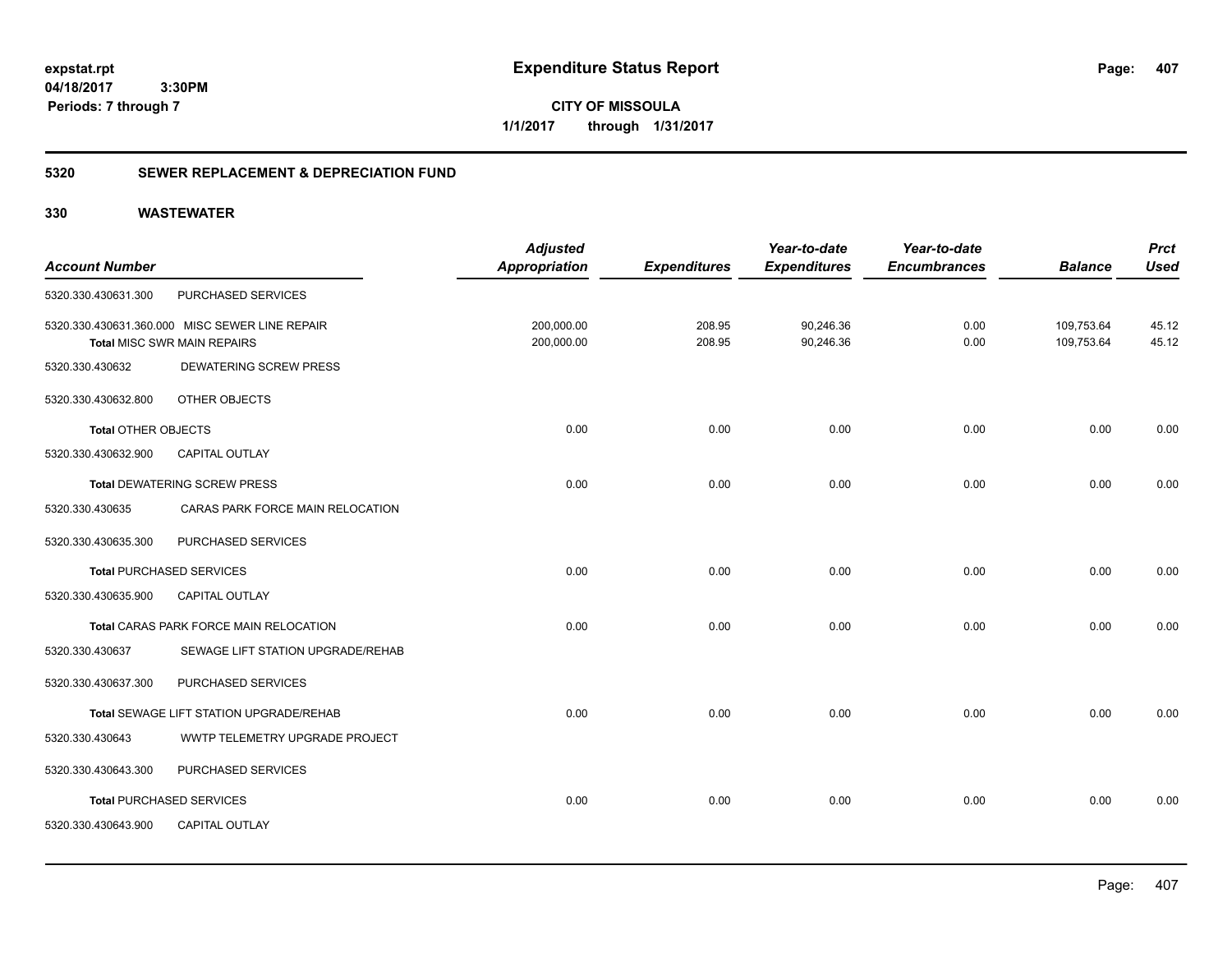**CITY OF MISSOULA 1/1/2017 through 1/31/2017**

## **5320 SEWER REPLACEMENT & DEPRECIATION FUND**

|                            |                                                | <b>Adjusted</b>      |                     | Year-to-date        | Year-to-date        |                | <b>Prct</b> |
|----------------------------|------------------------------------------------|----------------------|---------------------|---------------------|---------------------|----------------|-------------|
| <b>Account Number</b>      |                                                | <b>Appropriation</b> | <b>Expenditures</b> | <b>Expenditures</b> | <b>Encumbrances</b> | <b>Balance</b> | <b>Used</b> |
| 5320.330.430631.300        | PURCHASED SERVICES                             |                      |                     |                     |                     |                |             |
|                            | 5320.330.430631.360.000 MISC SEWER LINE REPAIR | 200,000.00           | 208.95              | 90,246.36           | 0.00                | 109,753.64     | 45.12       |
|                            | <b>Total MISC SWR MAIN REPAIRS</b>             | 200,000.00           | 208.95              | 90,246.36           | 0.00                | 109,753.64     | 45.12       |
| 5320.330.430632            | DEWATERING SCREW PRESS                         |                      |                     |                     |                     |                |             |
| 5320.330.430632.800        | OTHER OBJECTS                                  |                      |                     |                     |                     |                |             |
| <b>Total OTHER OBJECTS</b> |                                                | 0.00                 | 0.00                | 0.00                | 0.00                | 0.00           | 0.00        |
| 5320.330.430632.900        | <b>CAPITAL OUTLAY</b>                          |                      |                     |                     |                     |                |             |
|                            | <b>Total DEWATERING SCREW PRESS</b>            | 0.00                 | 0.00                | 0.00                | 0.00                | 0.00           | 0.00        |
| 5320.330.430635            | CARAS PARK FORCE MAIN RELOCATION               |                      |                     |                     |                     |                |             |
| 5320.330.430635.300        | PURCHASED SERVICES                             |                      |                     |                     |                     |                |             |
|                            | <b>Total PURCHASED SERVICES</b>                | 0.00                 | 0.00                | 0.00                | 0.00                | 0.00           | 0.00        |
| 5320.330.430635.900        | CAPITAL OUTLAY                                 |                      |                     |                     |                     |                |             |
|                            | Total CARAS PARK FORCE MAIN RELOCATION         | 0.00                 | 0.00                | 0.00                | 0.00                | 0.00           | 0.00        |
| 5320.330.430637            | SEWAGE LIFT STATION UPGRADE/REHAB              |                      |                     |                     |                     |                |             |
| 5320.330.430637.300        | PURCHASED SERVICES                             |                      |                     |                     |                     |                |             |
|                            | Total SEWAGE LIFT STATION UPGRADE/REHAB        | 0.00                 | 0.00                | 0.00                | 0.00                | 0.00           | 0.00        |
| 5320.330.430643            | WWTP TELEMETRY UPGRADE PROJECT                 |                      |                     |                     |                     |                |             |
| 5320.330.430643.300        | PURCHASED SERVICES                             |                      |                     |                     |                     |                |             |
|                            | <b>Total PURCHASED SERVICES</b>                | 0.00                 | 0.00                | 0.00                | 0.00                | 0.00           | 0.00        |
| 5320.330.430643.900        | CAPITAL OUTLAY                                 |                      |                     |                     |                     |                |             |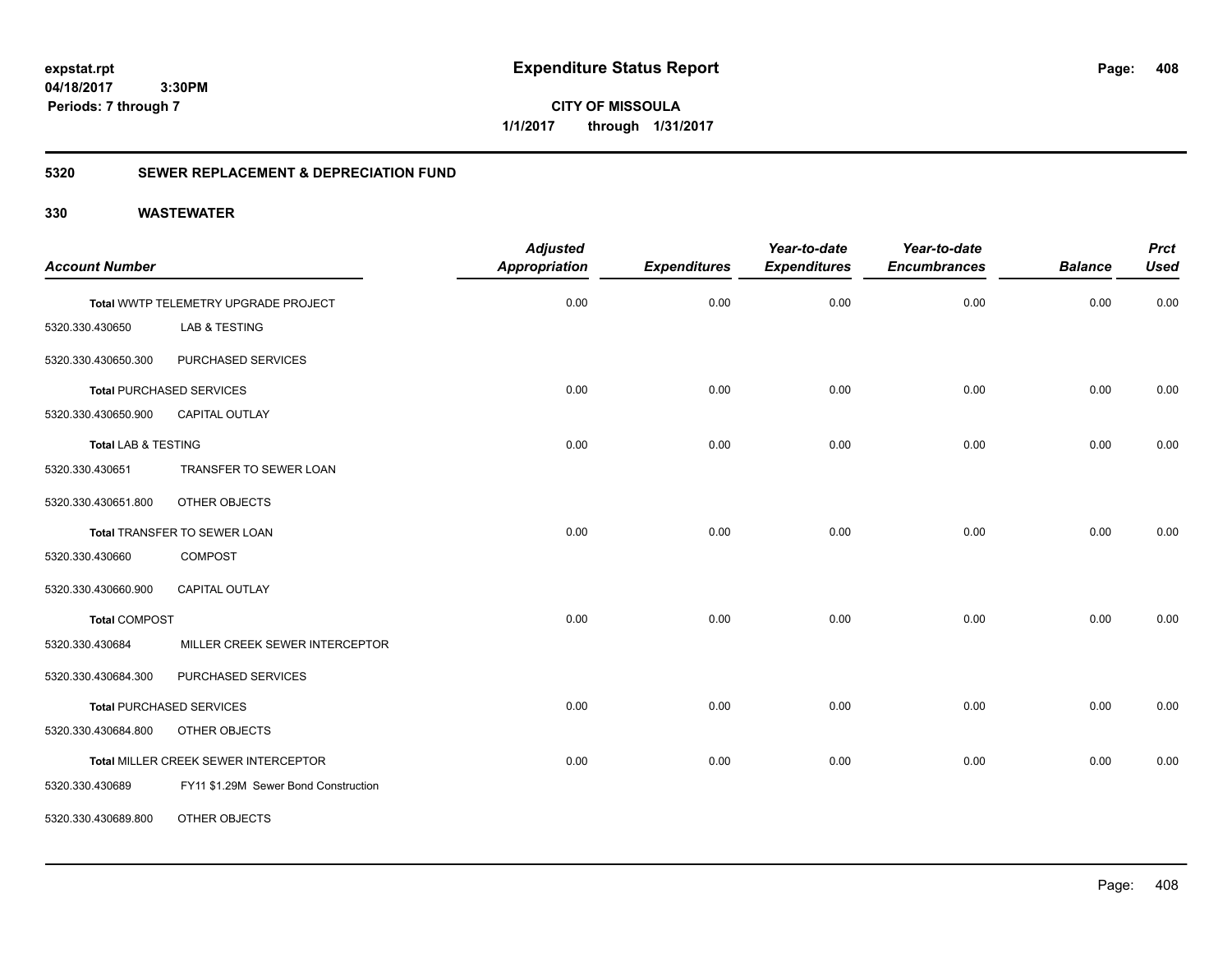**CITY OF MISSOULA 1/1/2017 through 1/31/2017**

## **5320 SEWER REPLACEMENT & DEPRECIATION FUND**

| <b>Account Number</b>          |                                      | <b>Adjusted</b><br><b>Appropriation</b> | <b>Expenditures</b> | Year-to-date<br><b>Expenditures</b> | Year-to-date<br><b>Encumbrances</b> | <b>Balance</b> | <b>Prct</b><br><b>Used</b> |
|--------------------------------|--------------------------------------|-----------------------------------------|---------------------|-------------------------------------|-------------------------------------|----------------|----------------------------|
|                                |                                      |                                         |                     |                                     |                                     |                |                            |
|                                | Total WWTP TELEMETRY UPGRADE PROJECT | 0.00                                    | 0.00                | 0.00                                | 0.00                                | 0.00           | 0.00                       |
| 5320.330.430650                | LAB & TESTING                        |                                         |                     |                                     |                                     |                |                            |
| 5320.330.430650.300            | PURCHASED SERVICES                   |                                         |                     |                                     |                                     |                |                            |
|                                | <b>Total PURCHASED SERVICES</b>      | 0.00                                    | 0.00                | 0.00                                | 0.00                                | 0.00           | 0.00                       |
| 5320.330.430650.900            | CAPITAL OUTLAY                       |                                         |                     |                                     |                                     |                |                            |
| <b>Total LAB &amp; TESTING</b> |                                      | 0.00                                    | 0.00                | 0.00                                | 0.00                                | 0.00           | 0.00                       |
| 5320.330.430651                | TRANSFER TO SEWER LOAN               |                                         |                     |                                     |                                     |                |                            |
| 5320.330.430651.800            | OTHER OBJECTS                        |                                         |                     |                                     |                                     |                |                            |
|                                | Total TRANSFER TO SEWER LOAN         | 0.00                                    | 0.00                | 0.00                                | 0.00                                | 0.00           | 0.00                       |
| 5320.330.430660                | <b>COMPOST</b>                       |                                         |                     |                                     |                                     |                |                            |
| 5320.330.430660.900            | <b>CAPITAL OUTLAY</b>                |                                         |                     |                                     |                                     |                |                            |
| <b>Total COMPOST</b>           |                                      | 0.00                                    | 0.00                | 0.00                                | 0.00                                | 0.00           | 0.00                       |
| 5320.330.430684                | MILLER CREEK SEWER INTERCEPTOR       |                                         |                     |                                     |                                     |                |                            |
| 5320.330.430684.300            | PURCHASED SERVICES                   |                                         |                     |                                     |                                     |                |                            |
|                                | <b>Total PURCHASED SERVICES</b>      | 0.00                                    | 0.00                | 0.00                                | 0.00                                | 0.00           | 0.00                       |
| 5320.330.430684.800            | OTHER OBJECTS                        |                                         |                     |                                     |                                     |                |                            |
|                                | Total MILLER CREEK SEWER INTERCEPTOR | 0.00                                    | 0.00                | 0.00                                | 0.00                                | 0.00           | 0.00                       |
| 5320.330.430689                | FY11 \$1.29M Sewer Bond Construction |                                         |                     |                                     |                                     |                |                            |
| 5320.330.430689.800            | OTHER OBJECTS                        |                                         |                     |                                     |                                     |                |                            |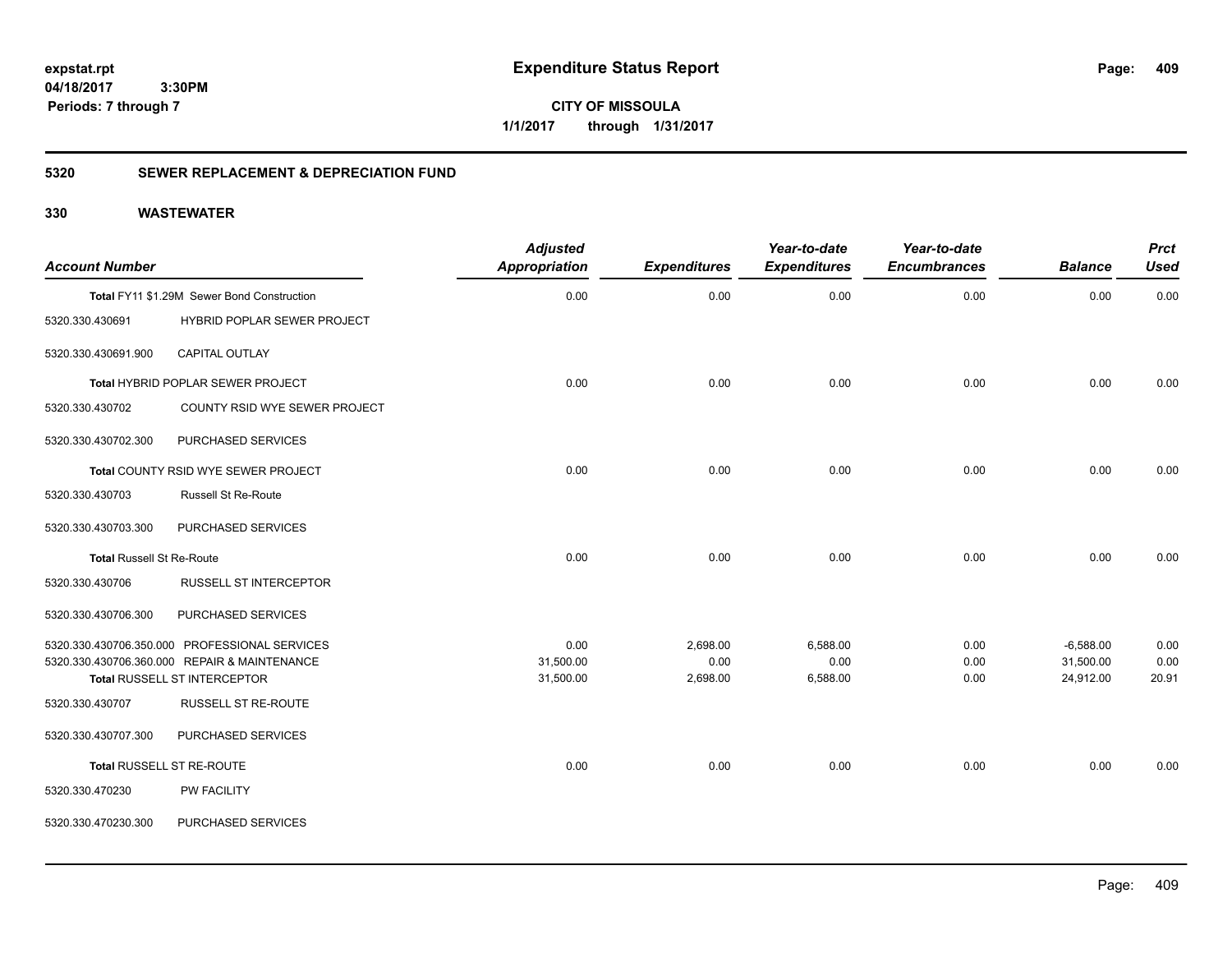**CITY OF MISSOULA 1/1/2017 through 1/31/2017**

## **5320 SEWER REPLACEMENT & DEPRECIATION FUND**

| <b>Account Number</b>            |                                                     | <b>Adjusted</b><br><b>Appropriation</b> | <b>Expenditures</b> | Year-to-date<br><b>Expenditures</b> | Year-to-date<br><b>Encumbrances</b> | <b>Balance</b> | <b>Prct</b><br><b>Used</b> |
|----------------------------------|-----------------------------------------------------|-----------------------------------------|---------------------|-------------------------------------|-------------------------------------|----------------|----------------------------|
|                                  | Total FY11 \$1.29M Sewer Bond Construction          | 0.00                                    | 0.00                | 0.00                                | 0.00                                | 0.00           | 0.00                       |
| 5320.330.430691                  | HYBRID POPLAR SEWER PROJECT                         |                                         |                     |                                     |                                     |                |                            |
| 5320.330.430691.900              | CAPITAL OUTLAY                                      |                                         |                     |                                     |                                     |                |                            |
|                                  | Total HYBRID POPLAR SEWER PROJECT                   | 0.00                                    | 0.00                | 0.00                                | 0.00                                | 0.00           | 0.00                       |
| 5320.330.430702                  | COUNTY RSID WYE SEWER PROJECT                       |                                         |                     |                                     |                                     |                |                            |
| 5320.330.430702.300              | PURCHASED SERVICES                                  |                                         |                     |                                     |                                     |                |                            |
|                                  | Total COUNTY RSID WYE SEWER PROJECT                 | 0.00                                    | 0.00                | 0.00                                | 0.00                                | 0.00           | 0.00                       |
| 5320.330.430703                  | <b>Russell St Re-Route</b>                          |                                         |                     |                                     |                                     |                |                            |
| 5320.330.430703.300              | PURCHASED SERVICES                                  |                                         |                     |                                     |                                     |                |                            |
| <b>Total Russell St Re-Route</b> |                                                     | 0.00                                    | 0.00                | 0.00                                | 0.00                                | 0.00           | 0.00                       |
| 5320.330.430706                  | <b>RUSSELL ST INTERCEPTOR</b>                       |                                         |                     |                                     |                                     |                |                            |
| 5320.330.430706.300              | PURCHASED SERVICES                                  |                                         |                     |                                     |                                     |                |                            |
|                                  | 5320.330.430706.350.000 PROFESSIONAL SERVICES       | 0.00                                    | 2,698.00            | 6,588.00                            | 0.00                                | $-6,588.00$    | 0.00                       |
|                                  | 5320.330.430706.360.000 REPAIR & MAINTENANCE        | 31,500.00                               | 0.00                | 0.00                                | 0.00                                | 31,500.00      | 0.00                       |
| 5320.330.430707                  | Total RUSSELL ST INTERCEPTOR<br>RUSSELL ST RE-ROUTE | 31,500.00                               | 2,698.00            | 6,588.00                            | 0.00                                | 24,912.00      | 20.91                      |
|                                  |                                                     |                                         |                     |                                     |                                     |                |                            |
| 5320.330.430707.300              | PURCHASED SERVICES                                  |                                         |                     |                                     |                                     |                |                            |
|                                  | Total RUSSELL ST RE-ROUTE                           | 0.00                                    | 0.00                | 0.00                                | 0.00                                | 0.00           | 0.00                       |
| 5320.330.470230                  | PW FACILITY                                         |                                         |                     |                                     |                                     |                |                            |
| 5320.330.470230.300              | PURCHASED SERVICES                                  |                                         |                     |                                     |                                     |                |                            |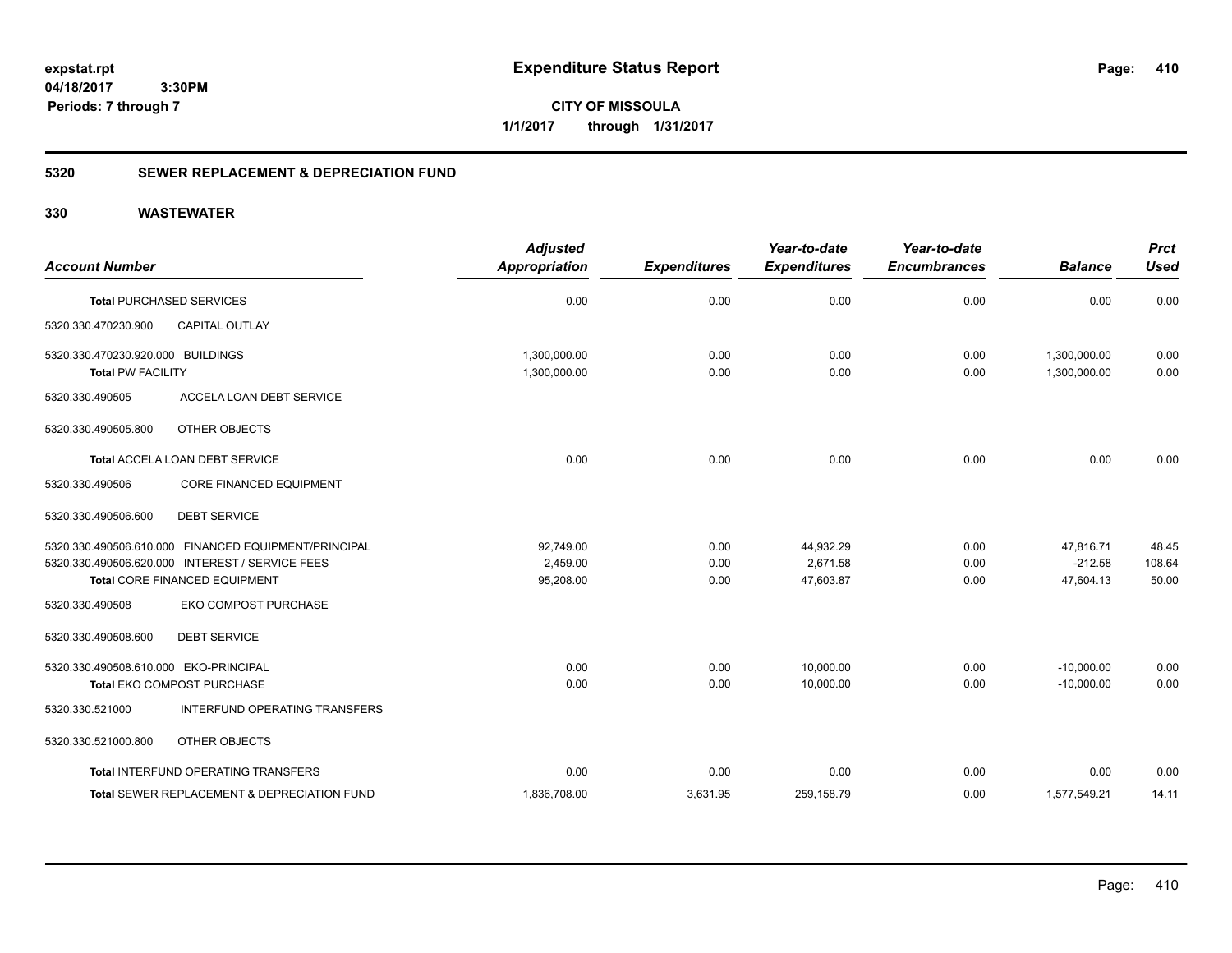**CITY OF MISSOULA 1/1/2017 through 1/31/2017**

## **5320 SEWER REPLACEMENT & DEPRECIATION FUND**

| <b>Account Number</b>                                         |                                                                                  | <b>Adjusted</b><br><b>Appropriation</b> | <b>Expenditures</b> | Year-to-date<br><b>Expenditures</b> | Year-to-date<br><b>Encumbrances</b> | <b>Balance</b>               | <b>Prct</b><br><b>Used</b> |
|---------------------------------------------------------------|----------------------------------------------------------------------------------|-----------------------------------------|---------------------|-------------------------------------|-------------------------------------|------------------------------|----------------------------|
| <b>Total PURCHASED SERVICES</b>                               |                                                                                  | 0.00                                    | 0.00                | 0.00                                | 0.00                                | 0.00                         | 0.00                       |
| 5320.330.470230.900                                           | <b>CAPITAL OUTLAY</b>                                                            |                                         |                     |                                     |                                     |                              |                            |
| 5320.330.470230.920.000 BUILDINGS<br><b>Total PW FACILITY</b> |                                                                                  | 1,300,000.00<br>1,300,000.00            | 0.00<br>0.00        | 0.00<br>0.00                        | 0.00<br>0.00                        | 1,300,000.00<br>1,300,000.00 | 0.00<br>0.00               |
| 5320.330.490505                                               | <b>ACCELA LOAN DEBT SERVICE</b>                                                  |                                         |                     |                                     |                                     |                              |                            |
| 5320.330.490505.800                                           | OTHER OBJECTS                                                                    |                                         |                     |                                     |                                     |                              |                            |
|                                                               | <b>Total ACCELA LOAN DEBT SERVICE</b>                                            | 0.00                                    | 0.00                | 0.00                                | 0.00                                | 0.00                         | 0.00                       |
| 5320.330.490506                                               | CORE FINANCED EQUIPMENT                                                          |                                         |                     |                                     |                                     |                              |                            |
| 5320.330.490506.600                                           | <b>DEBT SERVICE</b>                                                              |                                         |                     |                                     |                                     |                              |                            |
|                                                               | 5320.330.490506.610.000 FINANCED EQUIPMENT/PRINCIPAL                             | 92,749.00                               | 0.00                | 44,932.29                           | 0.00                                | 47,816.71                    | 48.45                      |
|                                                               | 5320.330.490506.620.000 INTEREST / SERVICE FEES<br>Total CORE FINANCED EQUIPMENT | 2,459.00<br>95,208.00                   | 0.00<br>0.00        | 2.671.58<br>47,603.87               | 0.00<br>0.00                        | $-212.58$<br>47,604.13       | 108.64<br>50.00            |
|                                                               |                                                                                  |                                         |                     |                                     |                                     |                              |                            |
| 5320.330.490508                                               | EKO COMPOST PURCHASE                                                             |                                         |                     |                                     |                                     |                              |                            |
| 5320.330.490508.600                                           | <b>DEBT SERVICE</b>                                                              |                                         |                     |                                     |                                     |                              |                            |
| 5320.330.490508.610.000 EKO-PRINCIPAL                         |                                                                                  | 0.00                                    | 0.00                | 10,000.00                           | 0.00                                | $-10,000.00$                 | 0.00                       |
|                                                               | Total EKO COMPOST PURCHASE                                                       | 0.00                                    | 0.00                | 10.000.00                           | 0.00                                | $-10.000.00$                 | 0.00                       |
| 5320.330.521000                                               | <b>INTERFUND OPERATING TRANSFERS</b>                                             |                                         |                     |                                     |                                     |                              |                            |
| 5320.330.521000.800                                           | OTHER OBJECTS                                                                    |                                         |                     |                                     |                                     |                              |                            |
|                                                               | Total INTERFUND OPERATING TRANSFERS                                              | 0.00                                    | 0.00                | 0.00                                | 0.00                                | 0.00                         | 0.00                       |
|                                                               | <b>Total SEWER REPLACEMENT &amp; DEPRECIATION FUND</b>                           | 1,836,708.00                            | 3.631.95            | 259,158.79                          | 0.00                                | 1,577,549.21                 | 14.11                      |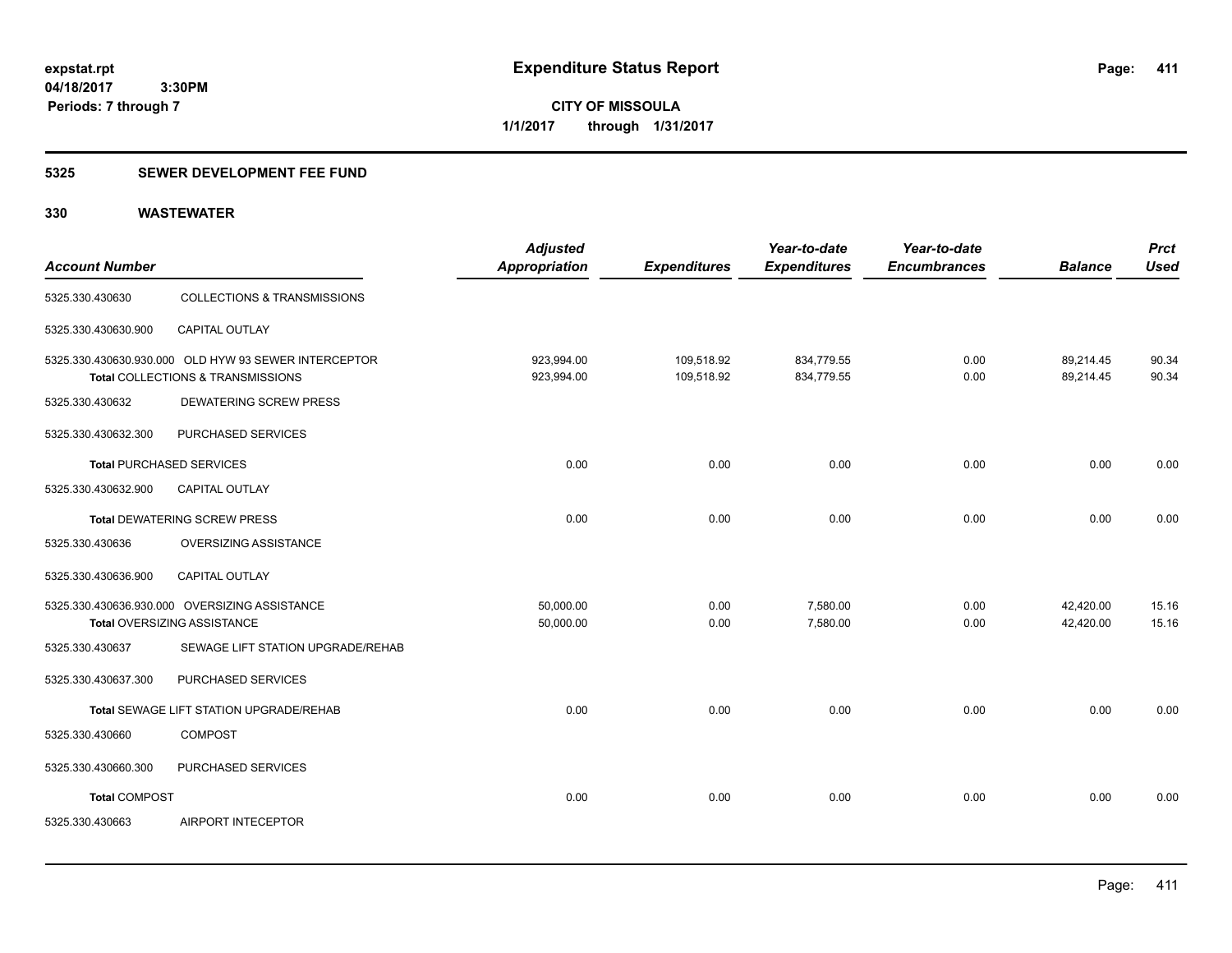## **5325 SEWER DEVELOPMENT FEE FUND**

| <b>Account Number</b>           |                                                                                           | <b>Adjusted</b><br><b>Appropriation</b> | <b>Expenditures</b>      | Year-to-date<br><b>Expenditures</b> | Year-to-date<br><b>Encumbrances</b> | <b>Balance</b>         | <b>Prct</b><br><b>Used</b> |
|---------------------------------|-------------------------------------------------------------------------------------------|-----------------------------------------|--------------------------|-------------------------------------|-------------------------------------|------------------------|----------------------------|
| 5325.330.430630                 | <b>COLLECTIONS &amp; TRANSMISSIONS</b>                                                    |                                         |                          |                                     |                                     |                        |                            |
| 5325.330.430630.900             | CAPITAL OUTLAY                                                                            |                                         |                          |                                     |                                     |                        |                            |
|                                 | 5325.330.430630.930.000 OLD HYW 93 SEWER INTERCEPTOR<br>Total COLLECTIONS & TRANSMISSIONS | 923,994.00<br>923,994.00                | 109,518.92<br>109,518.92 | 834,779.55<br>834,779.55            | 0.00<br>0.00                        | 89,214.45<br>89,214.45 | 90.34<br>90.34             |
| 5325.330.430632                 | DEWATERING SCREW PRESS                                                                    |                                         |                          |                                     |                                     |                        |                            |
| 5325.330.430632.300             | PURCHASED SERVICES                                                                        |                                         |                          |                                     |                                     |                        |                            |
| <b>Total PURCHASED SERVICES</b> |                                                                                           | 0.00                                    | 0.00                     | 0.00                                | 0.00                                | 0.00                   | 0.00                       |
| 5325.330.430632.900             | CAPITAL OUTLAY                                                                            |                                         |                          |                                     |                                     |                        |                            |
|                                 | <b>Total DEWATERING SCREW PRESS</b>                                                       | 0.00                                    | 0.00                     | 0.00                                | 0.00                                | 0.00                   | 0.00                       |
| 5325.330.430636                 | OVERSIZING ASSISTANCE                                                                     |                                         |                          |                                     |                                     |                        |                            |
| 5325.330.430636.900             | CAPITAL OUTLAY                                                                            |                                         |                          |                                     |                                     |                        |                            |
|                                 | 5325.330.430636.930.000 OVERSIZING ASSISTANCE<br>Total OVERSIZING ASSISTANCE              | 50,000.00<br>50,000.00                  | 0.00<br>0.00             | 7,580.00<br>7,580.00                | 0.00<br>0.00                        | 42,420.00<br>42,420.00 | 15.16<br>15.16             |
| 5325.330.430637                 | SEWAGE LIFT STATION UPGRADE/REHAB                                                         |                                         |                          |                                     |                                     |                        |                            |
| 5325.330.430637.300             | PURCHASED SERVICES                                                                        |                                         |                          |                                     |                                     |                        |                            |
|                                 | Total SEWAGE LIFT STATION UPGRADE/REHAB                                                   | 0.00                                    | 0.00                     | 0.00                                | 0.00                                | 0.00                   | 0.00                       |
| 5325.330.430660                 | <b>COMPOST</b>                                                                            |                                         |                          |                                     |                                     |                        |                            |
| 5325.330.430660.300             | PURCHASED SERVICES                                                                        |                                         |                          |                                     |                                     |                        |                            |
| <b>Total COMPOST</b>            |                                                                                           | 0.00                                    | 0.00                     | 0.00                                | 0.00                                | 0.00                   | 0.00                       |
| 5325.330.430663                 | AIRPORT INTECEPTOR                                                                        |                                         |                          |                                     |                                     |                        |                            |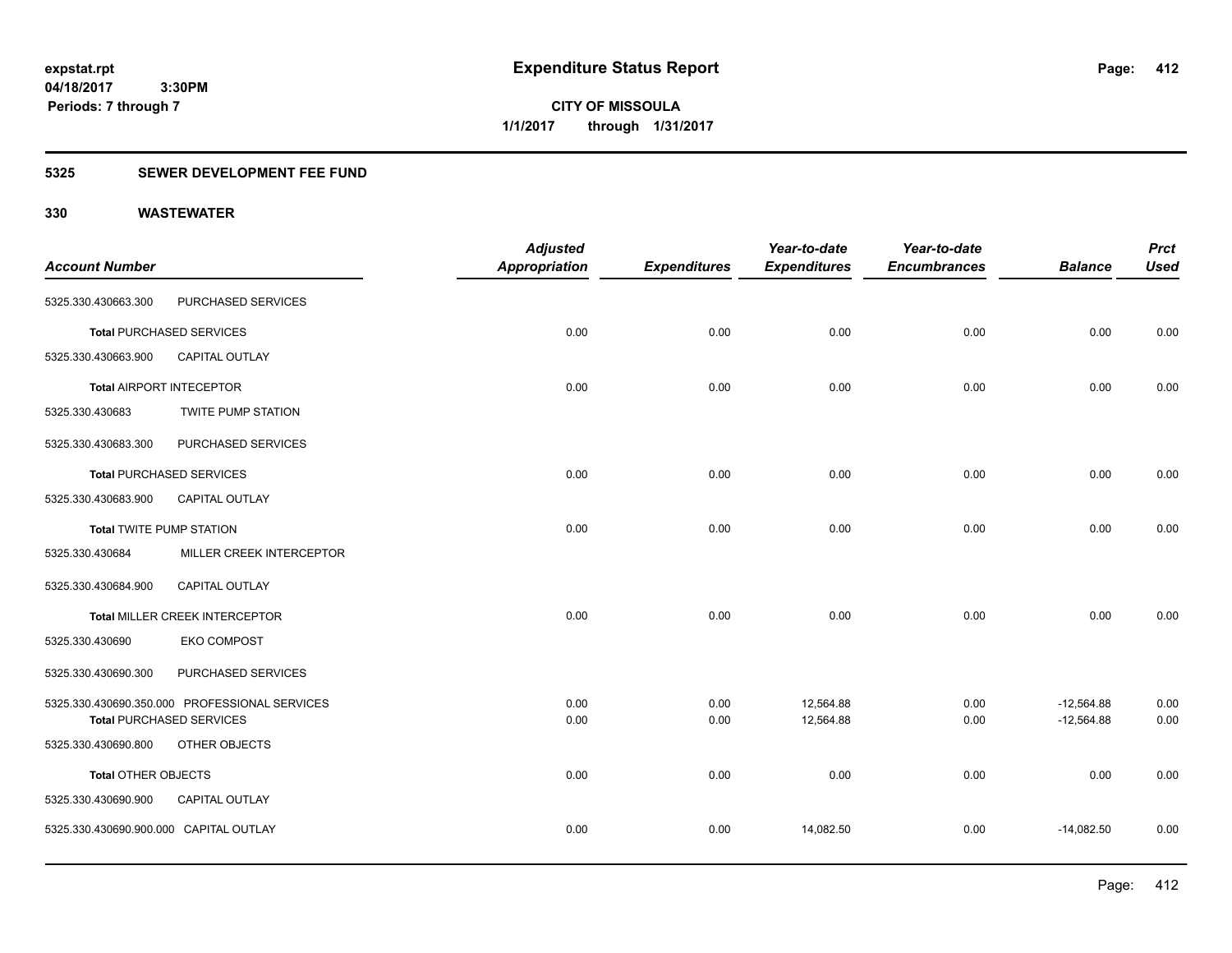## **5325 SEWER DEVELOPMENT FEE FUND**

|                                        |                                               | <b>Adjusted</b>      |                     | Year-to-date        | Year-to-date        |                | <b>Prct</b> |
|----------------------------------------|-----------------------------------------------|----------------------|---------------------|---------------------|---------------------|----------------|-------------|
| <b>Account Number</b>                  |                                               | <b>Appropriation</b> | <b>Expenditures</b> | <b>Expenditures</b> | <b>Encumbrances</b> | <b>Balance</b> | <b>Used</b> |
| 5325.330.430663.300                    | PURCHASED SERVICES                            |                      |                     |                     |                     |                |             |
|                                        | <b>Total PURCHASED SERVICES</b>               | 0.00                 | 0.00                | 0.00                | 0.00                | 0.00           | 0.00        |
| 5325.330.430663.900                    | CAPITAL OUTLAY                                |                      |                     |                     |                     |                |             |
|                                        | <b>Total AIRPORT INTECEPTOR</b>               | 0.00                 | 0.00                | 0.00                | 0.00                | 0.00           | 0.00        |
| 5325.330.430683                        | <b>TWITE PUMP STATION</b>                     |                      |                     |                     |                     |                |             |
| 5325.330.430683.300                    | PURCHASED SERVICES                            |                      |                     |                     |                     |                |             |
|                                        | <b>Total PURCHASED SERVICES</b>               | 0.00                 | 0.00                | 0.00                | 0.00                | 0.00           | 0.00        |
| 5325.330.430683.900                    | <b>CAPITAL OUTLAY</b>                         |                      |                     |                     |                     |                |             |
| <b>Total TWITE PUMP STATION</b>        |                                               | 0.00                 | 0.00                | 0.00                | 0.00                | 0.00           | 0.00        |
| 5325.330.430684                        | MILLER CREEK INTERCEPTOR                      |                      |                     |                     |                     |                |             |
| 5325.330.430684.900                    | CAPITAL OUTLAY                                |                      |                     |                     |                     |                |             |
|                                        | <b>Total MILLER CREEK INTERCEPTOR</b>         | 0.00                 | 0.00                | 0.00                | 0.00                | 0.00           | 0.00        |
| 5325.330.430690                        | <b>EKO COMPOST</b>                            |                      |                     |                     |                     |                |             |
| 5325.330.430690.300                    | PURCHASED SERVICES                            |                      |                     |                     |                     |                |             |
|                                        | 5325.330.430690.350.000 PROFESSIONAL SERVICES | 0.00                 | 0.00                | 12,564.88           | 0.00                | $-12,564.88$   | 0.00        |
|                                        | <b>Total PURCHASED SERVICES</b>               | 0.00                 | 0.00                | 12,564.88           | 0.00                | $-12,564.88$   | 0.00        |
| 5325.330.430690.800                    | OTHER OBJECTS                                 |                      |                     |                     |                     |                |             |
| <b>Total OTHER OBJECTS</b>             |                                               | 0.00                 | 0.00                | 0.00                | 0.00                | 0.00           | 0.00        |
| 5325.330.430690.900                    | CAPITAL OUTLAY                                |                      |                     |                     |                     |                |             |
| 5325.330.430690.900.000 CAPITAL OUTLAY |                                               | 0.00                 | 0.00                | 14,082.50           | 0.00                | $-14,082.50$   | 0.00        |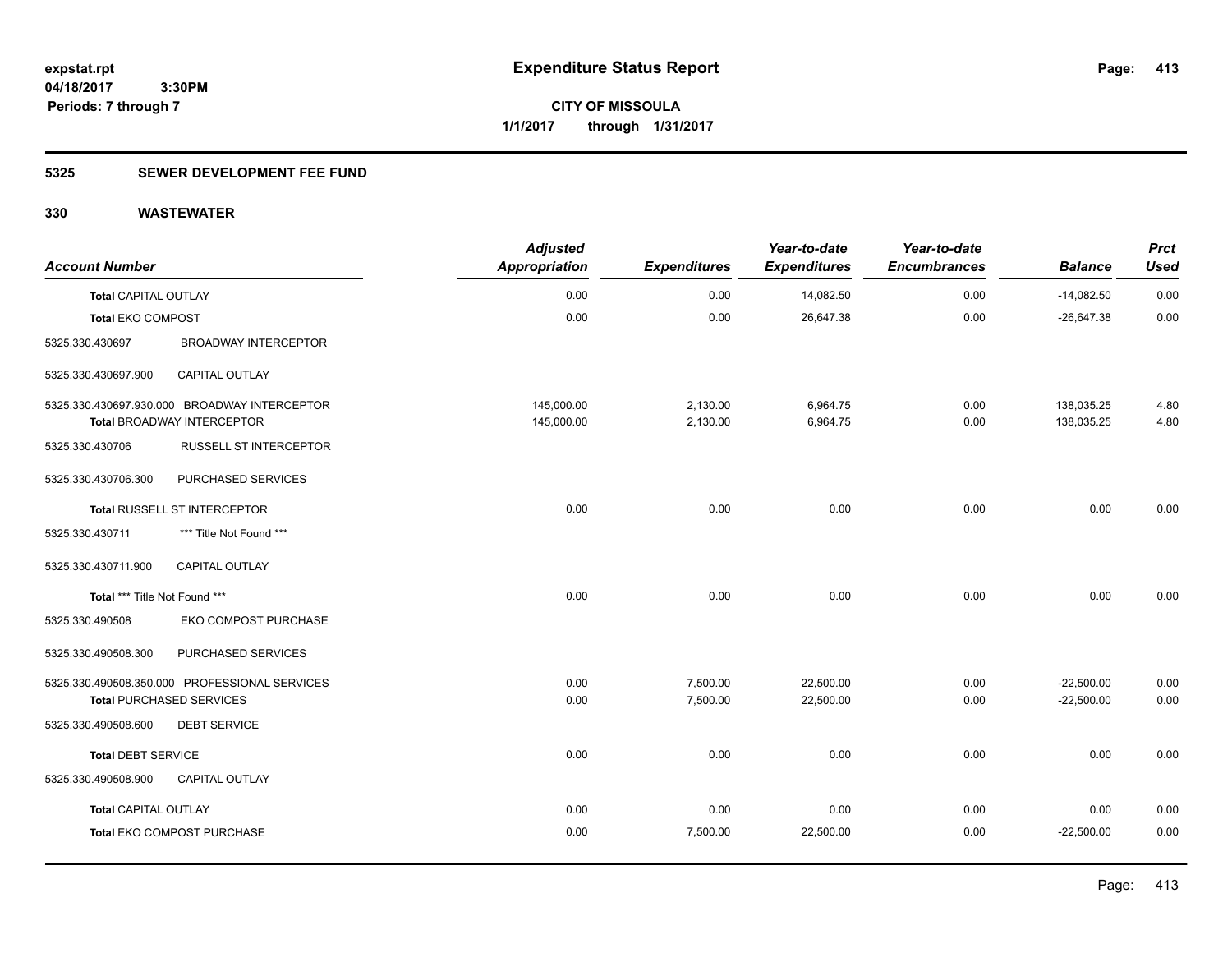## **5325 SEWER DEVELOPMENT FEE FUND**

| <b>Account Number</b>           |                                               | <b>Adjusted</b><br><b>Appropriation</b> | <b>Expenditures</b> | Year-to-date<br><b>Expenditures</b> | Year-to-date<br><b>Encumbrances</b> | <b>Balance</b> | <b>Prct</b><br><b>Used</b> |
|---------------------------------|-----------------------------------------------|-----------------------------------------|---------------------|-------------------------------------|-------------------------------------|----------------|----------------------------|
| <b>Total CAPITAL OUTLAY</b>     |                                               | 0.00                                    | 0.00                | 14,082.50                           | 0.00                                | $-14,082.50$   | 0.00                       |
| <b>Total EKO COMPOST</b>        |                                               | 0.00                                    | 0.00                | 26,647.38                           | 0.00                                | $-26,647.38$   | 0.00                       |
| 5325.330.430697                 | <b>BROADWAY INTERCEPTOR</b>                   |                                         |                     |                                     |                                     |                |                            |
| 5325.330.430697.900             | CAPITAL OUTLAY                                |                                         |                     |                                     |                                     |                |                            |
|                                 | 5325.330.430697.930.000 BROADWAY INTERCEPTOR  | 145,000.00                              | 2,130.00            | 6,964.75                            | 0.00                                | 138,035.25     | 4.80                       |
|                                 | <b>Total BROADWAY INTERCEPTOR</b>             | 145,000.00                              | 2,130.00            | 6,964.75                            | 0.00                                | 138,035.25     | 4.80                       |
| 5325.330.430706                 | <b>RUSSELL ST INTERCEPTOR</b>                 |                                         |                     |                                     |                                     |                |                            |
| 5325.330.430706.300             | PURCHASED SERVICES                            |                                         |                     |                                     |                                     |                |                            |
|                                 | Total RUSSELL ST INTERCEPTOR                  | 0.00                                    | 0.00                | 0.00                                | 0.00                                | 0.00           | 0.00                       |
| 5325.330.430711                 | *** Title Not Found ***                       |                                         |                     |                                     |                                     |                |                            |
| 5325.330.430711.900             | CAPITAL OUTLAY                                |                                         |                     |                                     |                                     |                |                            |
| Total *** Title Not Found ***   |                                               | 0.00                                    | 0.00                | 0.00                                | 0.00                                | 0.00           | 0.00                       |
| 5325.330.490508                 | EKO COMPOST PURCHASE                          |                                         |                     |                                     |                                     |                |                            |
| 5325.330.490508.300             | PURCHASED SERVICES                            |                                         |                     |                                     |                                     |                |                            |
|                                 | 5325.330.490508.350.000 PROFESSIONAL SERVICES | 0.00                                    | 7,500.00            | 22,500.00                           | 0.00                                | $-22,500.00$   | 0.00                       |
| <b>Total PURCHASED SERVICES</b> |                                               | 0.00                                    | 7,500.00            | 22,500.00                           | 0.00                                | $-22,500.00$   | 0.00                       |
| 5325.330.490508.600             | <b>DEBT SERVICE</b>                           |                                         |                     |                                     |                                     |                |                            |
| <b>Total DEBT SERVICE</b>       |                                               | 0.00                                    | 0.00                | 0.00                                | 0.00                                | 0.00           | 0.00                       |
| 5325.330.490508.900             | <b>CAPITAL OUTLAY</b>                         |                                         |                     |                                     |                                     |                |                            |
| <b>Total CAPITAL OUTLAY</b>     |                                               | 0.00                                    | 0.00                | 0.00                                | 0.00                                | 0.00           | 0.00                       |
|                                 | Total EKO COMPOST PURCHASE                    | 0.00                                    | 7,500.00            | 22,500.00                           | 0.00                                | $-22,500.00$   | 0.00                       |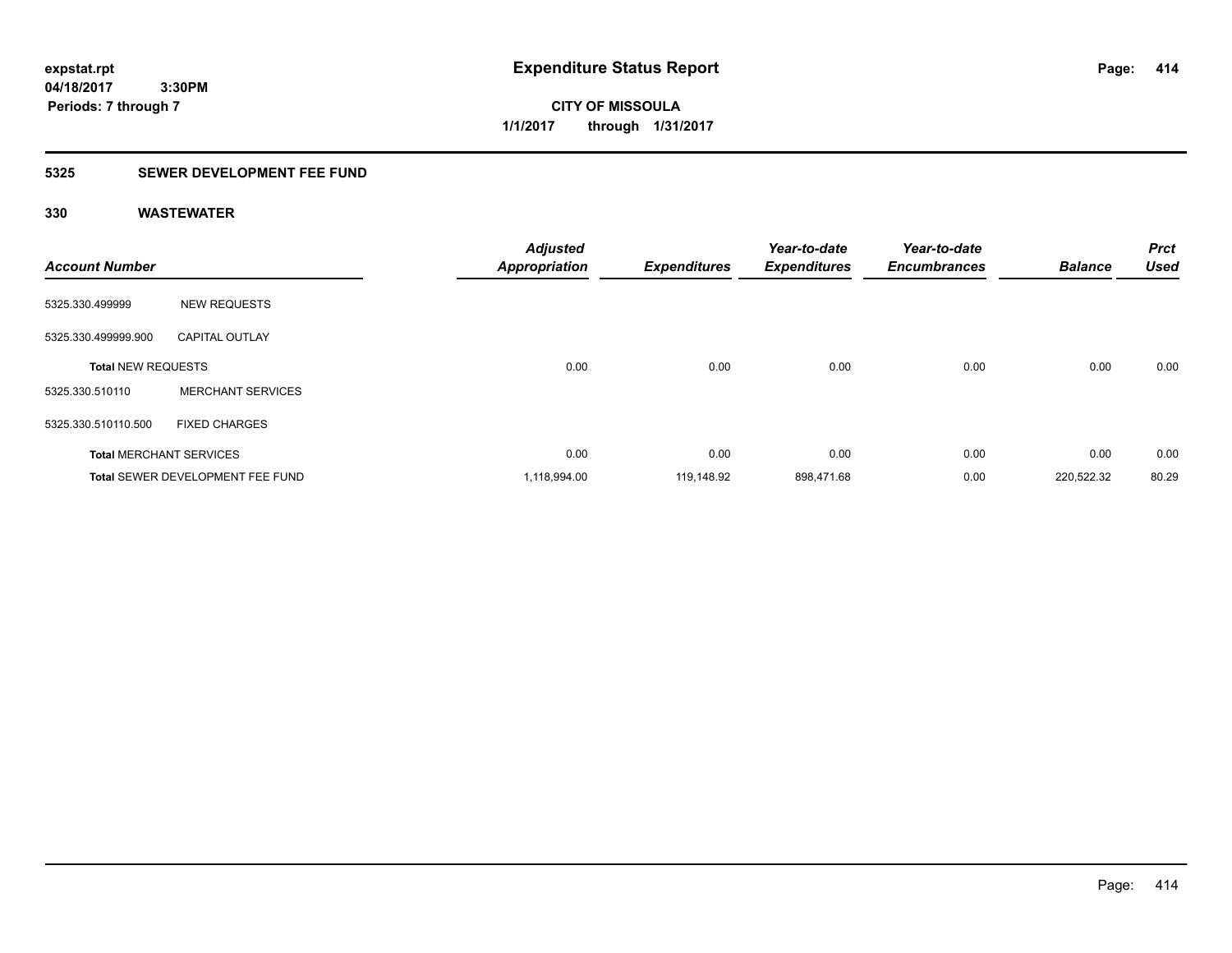**CITY OF MISSOULA 1/1/2017 through 1/31/2017**

## **5325 SEWER DEVELOPMENT FEE FUND**

| <b>Account Number</b>     |                                         | <b>Adjusted</b><br><b>Appropriation</b> | <b>Expenditures</b> | Year-to-date<br><b>Expenditures</b> | Year-to-date<br><b>Encumbrances</b> | <b>Balance</b> | <b>Prct</b><br><b>Used</b> |
|---------------------------|-----------------------------------------|-----------------------------------------|---------------------|-------------------------------------|-------------------------------------|----------------|----------------------------|
| 5325.330.499999           | <b>NEW REQUESTS</b>                     |                                         |                     |                                     |                                     |                |                            |
| 5325.330.499999.900       | <b>CAPITAL OUTLAY</b>                   |                                         |                     |                                     |                                     |                |                            |
| <b>Total NEW REQUESTS</b> |                                         | 0.00                                    | 0.00                | 0.00                                | 0.00                                | 0.00           | 0.00                       |
| 5325.330.510110           | <b>MERCHANT SERVICES</b>                |                                         |                     |                                     |                                     |                |                            |
| 5325.330.510110.500       | <b>FIXED CHARGES</b>                    |                                         |                     |                                     |                                     |                |                            |
|                           | <b>Total MERCHANT SERVICES</b>          | 0.00                                    | 0.00                | 0.00                                | 0.00                                | 0.00           | 0.00                       |
|                           | <b>Total SEWER DEVELOPMENT FEE FUND</b> | 1,118,994.00                            | 119.148.92          | 898,471.68                          | 0.00                                | 220,522.32     | 80.29                      |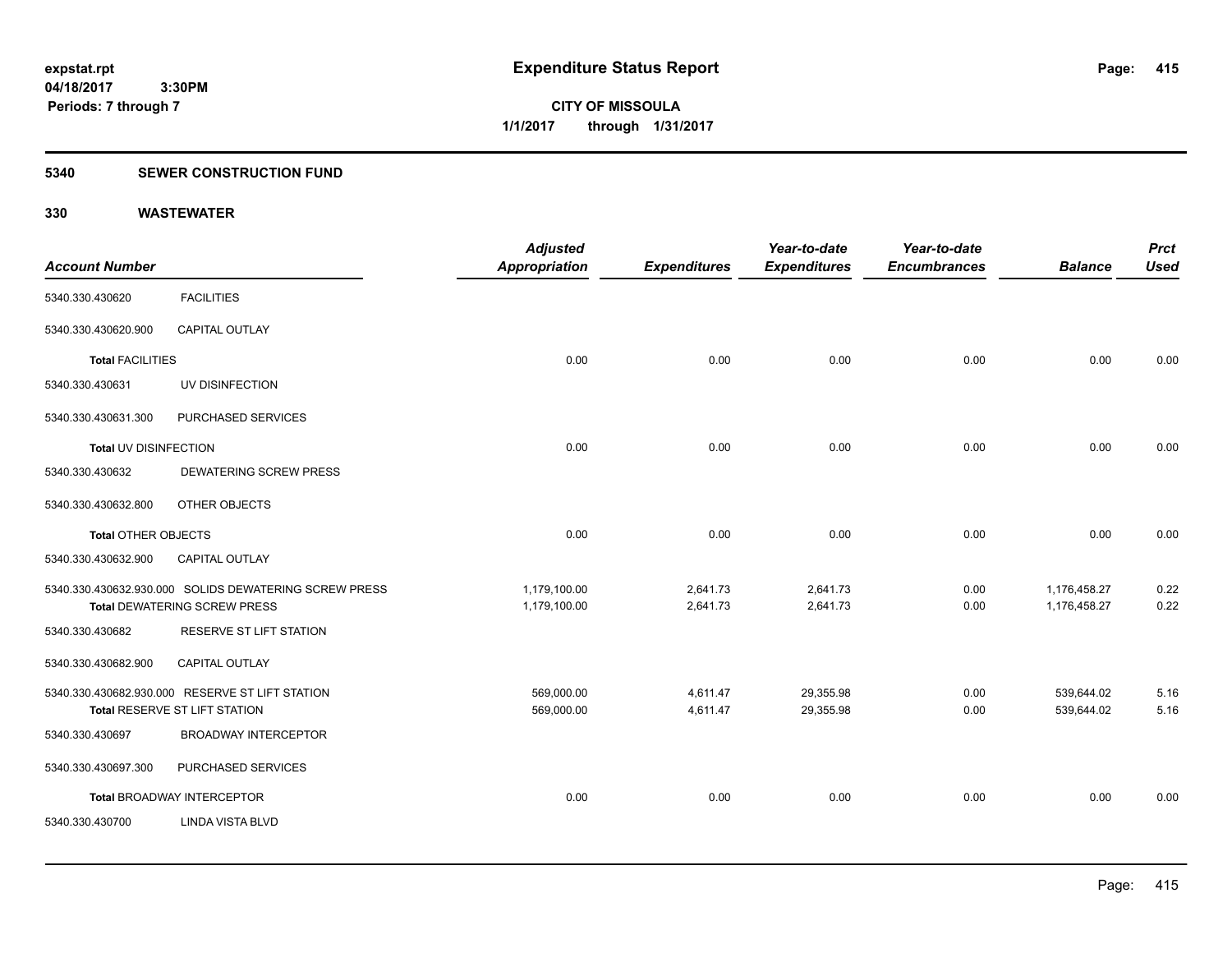**Periods: 7 through 7**

**CITY OF MISSOULA 1/1/2017 through 1/31/2017**

#### **5340 SEWER CONSTRUCTION FUND**

 **3:30PM**

| <b>Account Number</b>      |                                                                                              | <b>Adjusted</b><br><b>Appropriation</b> | <b>Expenditures</b>  | Year-to-date<br><b>Expenditures</b> | Year-to-date<br><b>Encumbrances</b> | <b>Balance</b>               | <b>Prct</b><br><b>Used</b> |
|----------------------------|----------------------------------------------------------------------------------------------|-----------------------------------------|----------------------|-------------------------------------|-------------------------------------|------------------------------|----------------------------|
| 5340.330.430620            | <b>FACILITIES</b>                                                                            |                                         |                      |                                     |                                     |                              |                            |
| 5340.330.430620.900        | <b>CAPITAL OUTLAY</b>                                                                        |                                         |                      |                                     |                                     |                              |                            |
| <b>Total FACILITIES</b>    |                                                                                              | 0.00                                    | 0.00                 | 0.00                                | 0.00                                | 0.00                         | 0.00                       |
| 5340.330.430631            | UV DISINFECTION                                                                              |                                         |                      |                                     |                                     |                              |                            |
| 5340.330.430631.300        | PURCHASED SERVICES                                                                           |                                         |                      |                                     |                                     |                              |                            |
| Total UV DISINFECTION      |                                                                                              | 0.00                                    | 0.00                 | 0.00                                | 0.00                                | 0.00                         | 0.00                       |
| 5340.330.430632            | <b>DEWATERING SCREW PRESS</b>                                                                |                                         |                      |                                     |                                     |                              |                            |
| 5340.330.430632.800        | OTHER OBJECTS                                                                                |                                         |                      |                                     |                                     |                              |                            |
| <b>Total OTHER OBJECTS</b> |                                                                                              | 0.00                                    | 0.00                 | 0.00                                | 0.00                                | 0.00                         | 0.00                       |
| 5340.330.430632.900        | CAPITAL OUTLAY                                                                               |                                         |                      |                                     |                                     |                              |                            |
|                            | 5340.330.430632.930.000 SOLIDS DEWATERING SCREW PRESS<br><b>Total DEWATERING SCREW PRESS</b> | 1,179,100.00<br>1,179,100.00            | 2,641.73<br>2,641.73 | 2,641.73<br>2,641.73                | 0.00<br>0.00                        | 1,176,458.27<br>1,176,458.27 | 0.22<br>0.22               |
| 5340.330.430682            | RESERVE ST LIFT STATION                                                                      |                                         |                      |                                     |                                     |                              |                            |
| 5340.330.430682.900        | <b>CAPITAL OUTLAY</b>                                                                        |                                         |                      |                                     |                                     |                              |                            |
|                            | 5340.330.430682.930.000 RESERVE ST LIFT STATION<br>Total RESERVE ST LIFT STATION             | 569,000.00<br>569,000.00                | 4,611.47<br>4,611.47 | 29,355.98<br>29,355.98              | 0.00<br>0.00                        | 539,644.02<br>539,644.02     | 5.16<br>5.16               |
| 5340.330.430697            | <b>BROADWAY INTERCEPTOR</b>                                                                  |                                         |                      |                                     |                                     |                              |                            |
| 5340.330.430697.300        | PURCHASED SERVICES                                                                           |                                         |                      |                                     |                                     |                              |                            |
|                            | <b>Total BROADWAY INTERCEPTOR</b>                                                            | 0.00                                    | 0.00                 | 0.00                                | 0.00                                | 0.00                         | 0.00                       |
| 5340.330.430700            | <b>LINDA VISTA BLVD</b>                                                                      |                                         |                      |                                     |                                     |                              |                            |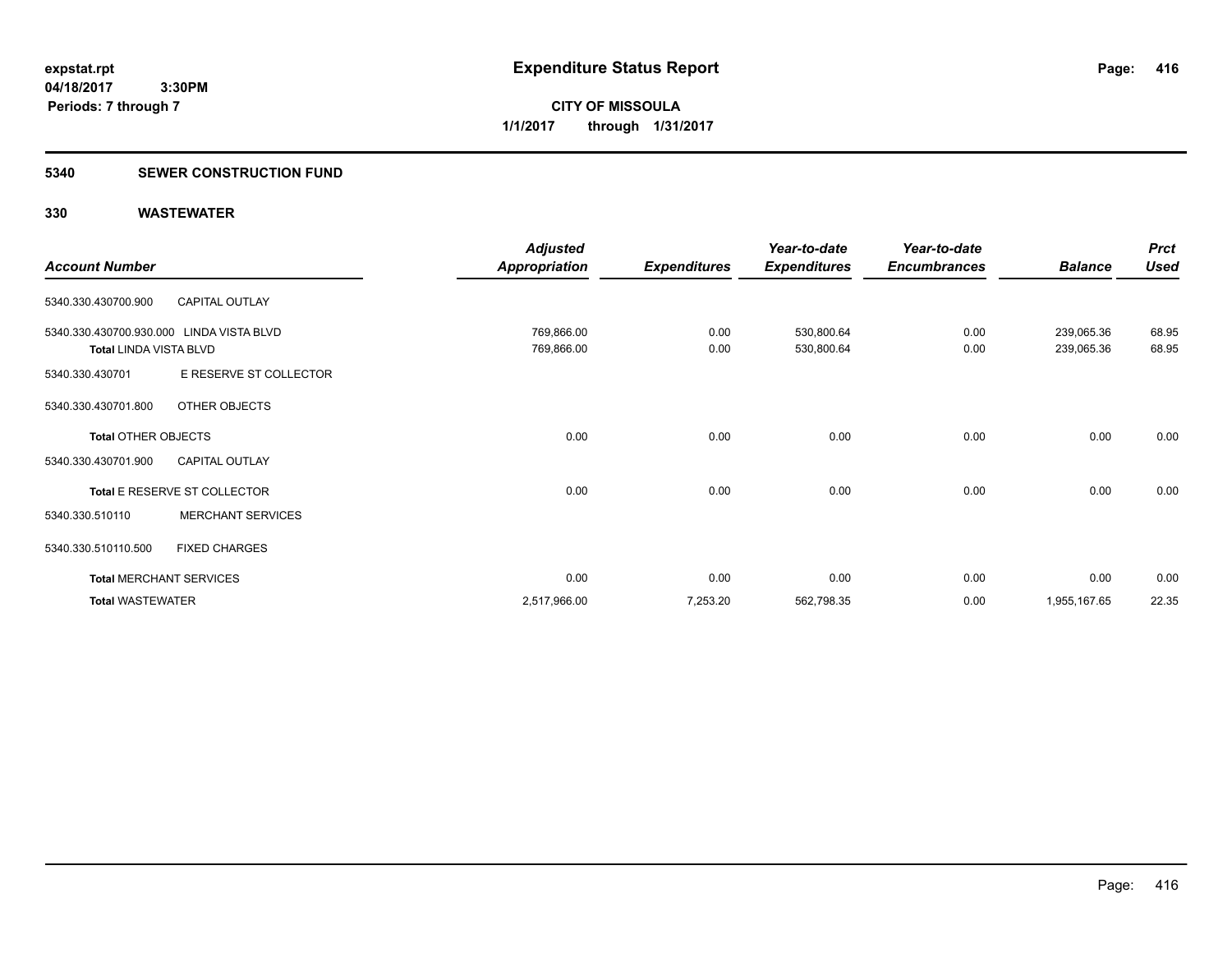**Periods: 7 through 7**

**CITY OF MISSOULA 1/1/2017 through 1/31/2017**

#### **5340 SEWER CONSTRUCTION FUND**

 **3:30PM**

|                                          |                                | <b>Adjusted</b>      |                     | Year-to-date        | Year-to-date        |                | <b>Prct</b> |
|------------------------------------------|--------------------------------|----------------------|---------------------|---------------------|---------------------|----------------|-------------|
| <b>Account Number</b>                    |                                | <b>Appropriation</b> | <b>Expenditures</b> | <b>Expenditures</b> | <b>Encumbrances</b> | <b>Balance</b> | <b>Used</b> |
| 5340.330.430700.900                      | <b>CAPITAL OUTLAY</b>          |                      |                     |                     |                     |                |             |
| 5340.330.430700.930.000 LINDA VISTA BLVD |                                | 769,866.00           | 0.00                | 530,800.64          | 0.00                | 239,065.36     | 68.95       |
| <b>Total LINDA VISTA BLVD</b>            |                                | 769,866.00           | 0.00                | 530,800.64          | 0.00                | 239,065.36     | 68.95       |
| 5340.330.430701                          | E RESERVE ST COLLECTOR         |                      |                     |                     |                     |                |             |
| 5340.330.430701.800                      | OTHER OBJECTS                  |                      |                     |                     |                     |                |             |
| <b>Total OTHER OBJECTS</b>               |                                | 0.00                 | 0.00                | 0.00                | 0.00                | 0.00           | 0.00        |
| 5340.330.430701.900                      | <b>CAPITAL OUTLAY</b>          |                      |                     |                     |                     |                |             |
|                                          | Total E RESERVE ST COLLECTOR   | 0.00                 | 0.00                | 0.00                | 0.00                | 0.00           | 0.00        |
| 5340.330.510110                          | <b>MERCHANT SERVICES</b>       |                      |                     |                     |                     |                |             |
| 5340.330.510110.500                      | <b>FIXED CHARGES</b>           |                      |                     |                     |                     |                |             |
|                                          | <b>Total MERCHANT SERVICES</b> | 0.00                 | 0.00                | 0.00                | 0.00                | 0.00           | 0.00        |
| <b>Total WASTEWATER</b>                  |                                | 2,517,966.00         | 7,253.20            | 562,798.35          | 0.00                | 1,955,167.65   | 22.35       |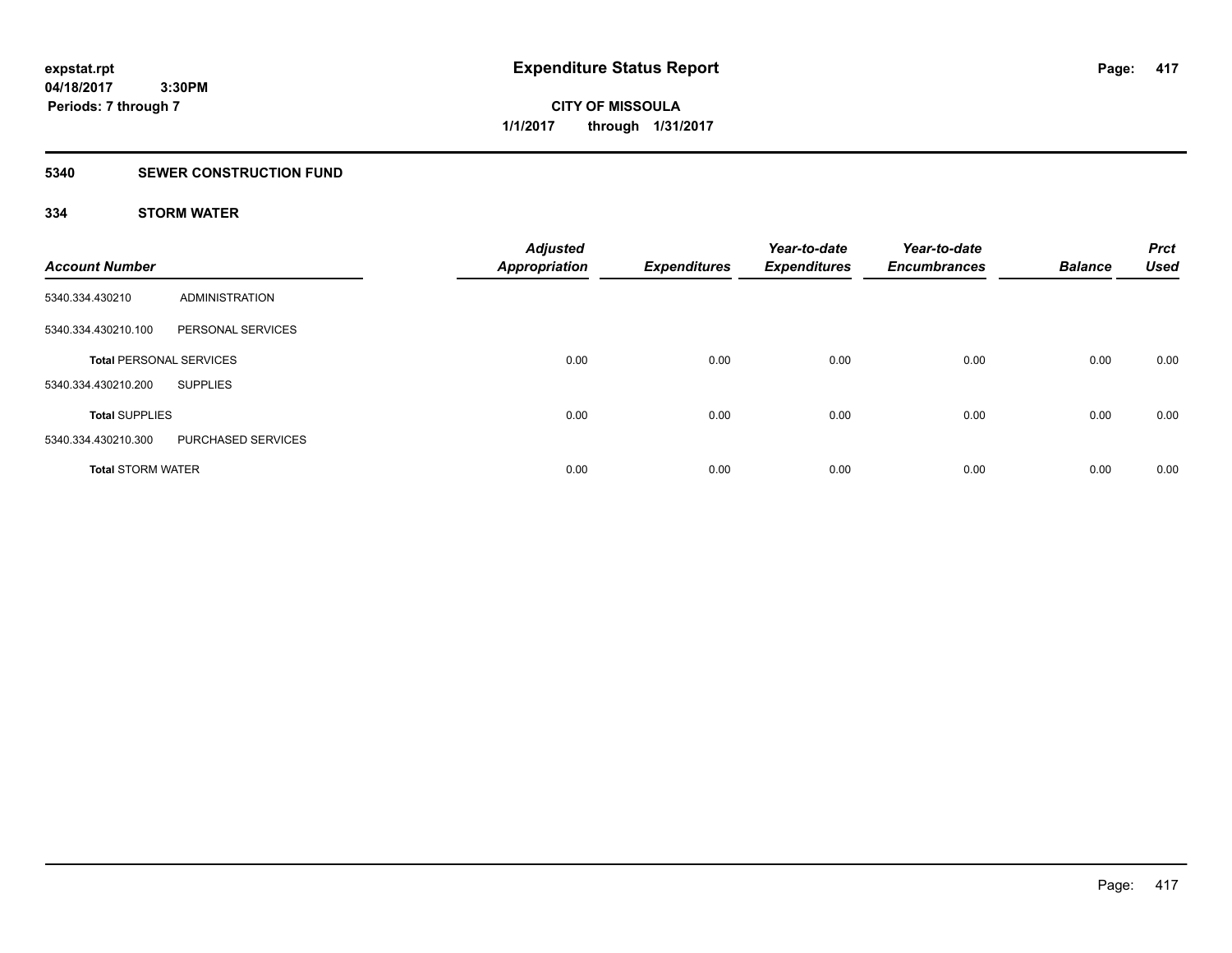**Periods: 7 through 7**

**CITY OF MISSOULA 1/1/2017 through 1/31/2017**

#### **5340 SEWER CONSTRUCTION FUND**

## **334 STORM WATER**

| <b>Account Number</b>          |                       | <b>Adjusted</b><br><b>Appropriation</b> | <b>Expenditures</b> | Year-to-date<br><b>Expenditures</b> | Year-to-date<br><b>Encumbrances</b> | <b>Balance</b> | <b>Prct</b><br><b>Used</b> |
|--------------------------------|-----------------------|-----------------------------------------|---------------------|-------------------------------------|-------------------------------------|----------------|----------------------------|
| 5340.334.430210                | <b>ADMINISTRATION</b> |                                         |                     |                                     |                                     |                |                            |
| 5340.334.430210.100            | PERSONAL SERVICES     |                                         |                     |                                     |                                     |                |                            |
| <b>Total PERSONAL SERVICES</b> |                       | 0.00                                    | 0.00                | 0.00                                | 0.00                                | 0.00           | 0.00                       |
| 5340.334.430210.200            | <b>SUPPLIES</b>       |                                         |                     |                                     |                                     |                |                            |
| <b>Total SUPPLIES</b>          |                       | 0.00                                    | 0.00                | 0.00                                | 0.00                                | 0.00           | 0.00                       |
| 5340.334.430210.300            | PURCHASED SERVICES    |                                         |                     |                                     |                                     |                |                            |
| <b>Total STORM WATER</b>       |                       | 0.00                                    | 0.00                | 0.00                                | 0.00                                | 0.00           | 0.00                       |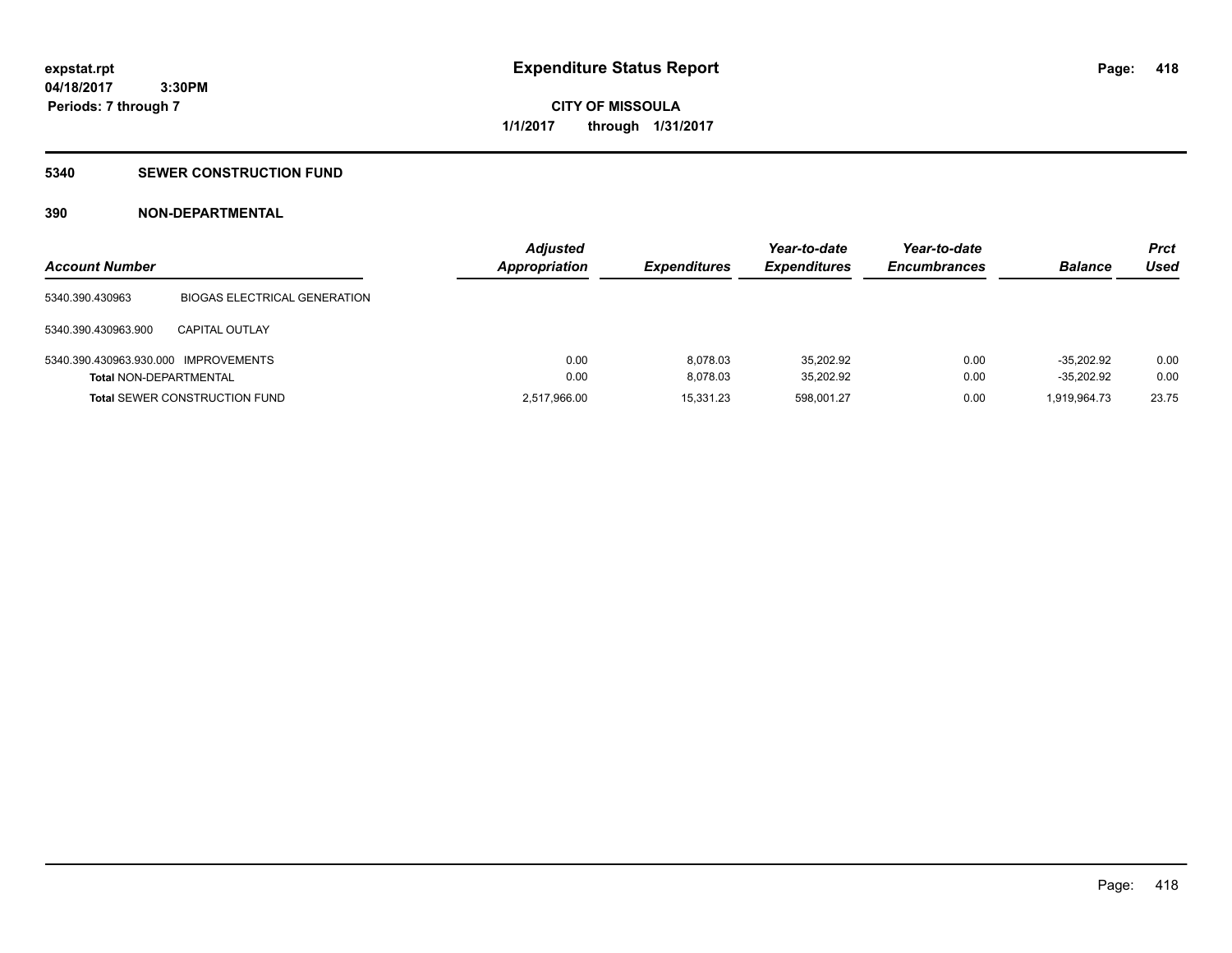**CITY OF MISSOULA 1/1/2017 through 1/31/2017**

#### **5340 SEWER CONSTRUCTION FUND**

## **390 NON-DEPARTMENTAL**

| <b>Account Number</b>                |                                      | <b>Adjusted</b><br><b>Appropriation</b> | <b>Expenditures</b> | Year-to-date<br><b>Expenditures</b> | Year-to-date<br><b>Encumbrances</b> | <b>Balance</b> | <b>Prct</b><br>Used |
|--------------------------------------|--------------------------------------|-----------------------------------------|---------------------|-------------------------------------|-------------------------------------|----------------|---------------------|
| 5340.390.430963                      | <b>BIOGAS ELECTRICAL GENERATION</b>  |                                         |                     |                                     |                                     |                |                     |
| 5340.390.430963.900                  | <b>CAPITAL OUTLAY</b>                |                                         |                     |                                     |                                     |                |                     |
| 5340.390.430963.930.000 IMPROVEMENTS |                                      | 0.00                                    | 8.078.03            | 35.202.92                           | 0.00                                | $-35.202.92$   | 0.00                |
| <b>Total NON-DEPARTMENTAL</b>        |                                      | 0.00                                    | 8.078.03            | 35,202.92                           | 0.00                                | $-35,202.92$   | 0.00                |
|                                      | <b>Total SEWER CONSTRUCTION FUND</b> | 2,517,966.00                            | 15.331.23           | 598.001.27                          | 0.00                                | 1.919.964.73   | 23.75               |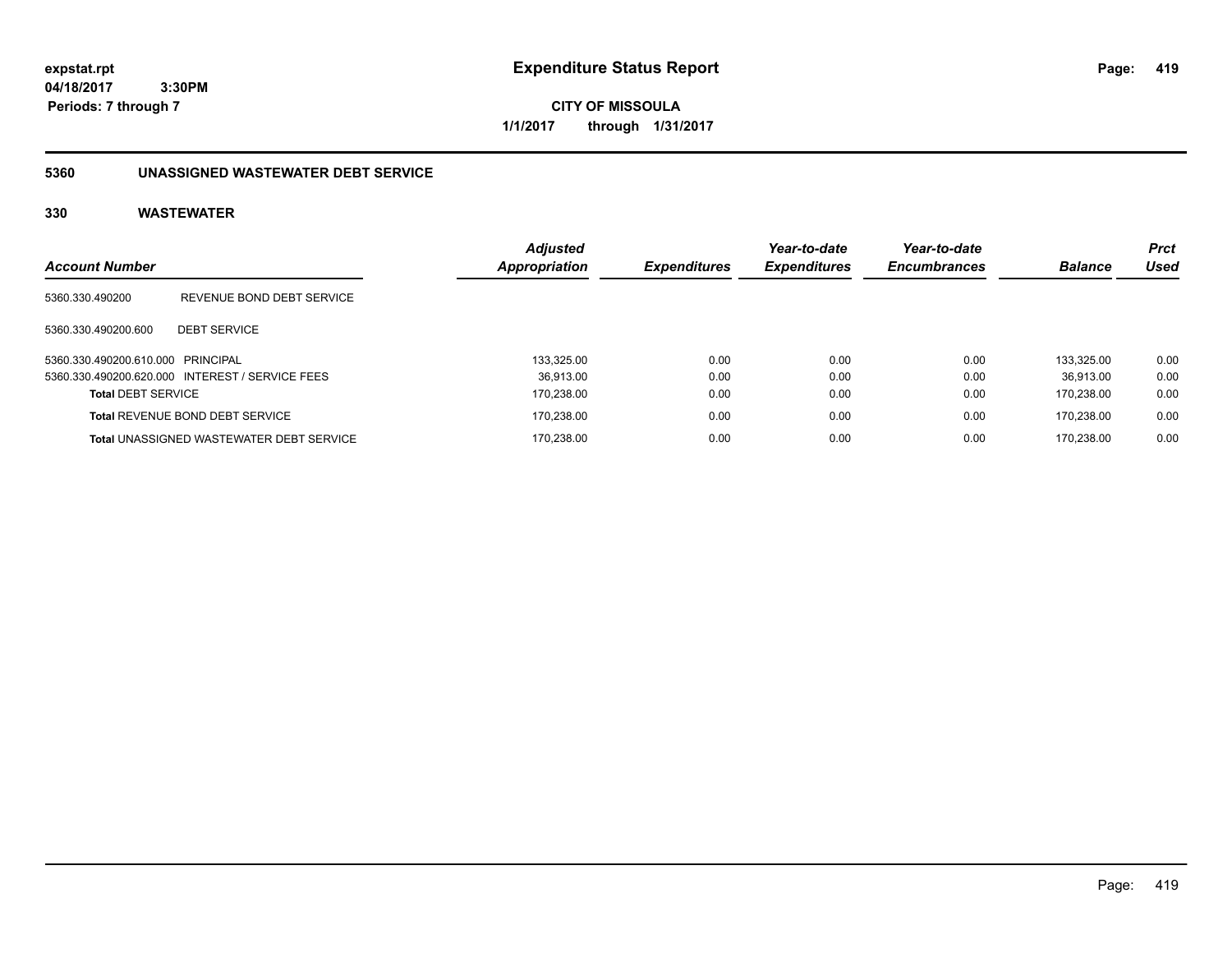**CITY OF MISSOULA 1/1/2017 through 1/31/2017**

## **5360 UNASSIGNED WASTEWATER DEBT SERVICE**

|                                   |                                                 | <b>Adjusted</b> |                     | Year-to-date        | Year-to-date        |                | <b>Prct</b> |
|-----------------------------------|-------------------------------------------------|-----------------|---------------------|---------------------|---------------------|----------------|-------------|
| <b>Account Number</b>             |                                                 | Appropriation   | <b>Expenditures</b> | <b>Expenditures</b> | <b>Encumbrances</b> | <b>Balance</b> | Used        |
| 5360.330.490200                   | REVENUE BOND DEBT SERVICE                       |                 |                     |                     |                     |                |             |
| 5360.330.490200.600               | <b>DEBT SERVICE</b>                             |                 |                     |                     |                     |                |             |
| 5360.330.490200.610.000 PRINCIPAL |                                                 | 133.325.00      | 0.00                | 0.00                | 0.00                | 133.325.00     | 0.00        |
|                                   | 5360.330.490200.620.000 INTEREST / SERVICE FEES | 36.913.00       | 0.00                | 0.00                | 0.00                | 36.913.00      | 0.00        |
| <b>Total DEBT SERVICE</b>         |                                                 | 170,238.00      | 0.00                | 0.00                | 0.00                | 170.238.00     | 0.00        |
|                                   | <b>Total REVENUE BOND DEBT SERVICE</b>          | 170,238.00      | 0.00                | 0.00                | 0.00                | 170.238.00     | 0.00        |
|                                   | <b>Total UNASSIGNED WASTEWATER DEBT SERVICE</b> | 170.238.00      | 0.00                | 0.00                | 0.00                | 170.238.00     | 0.00        |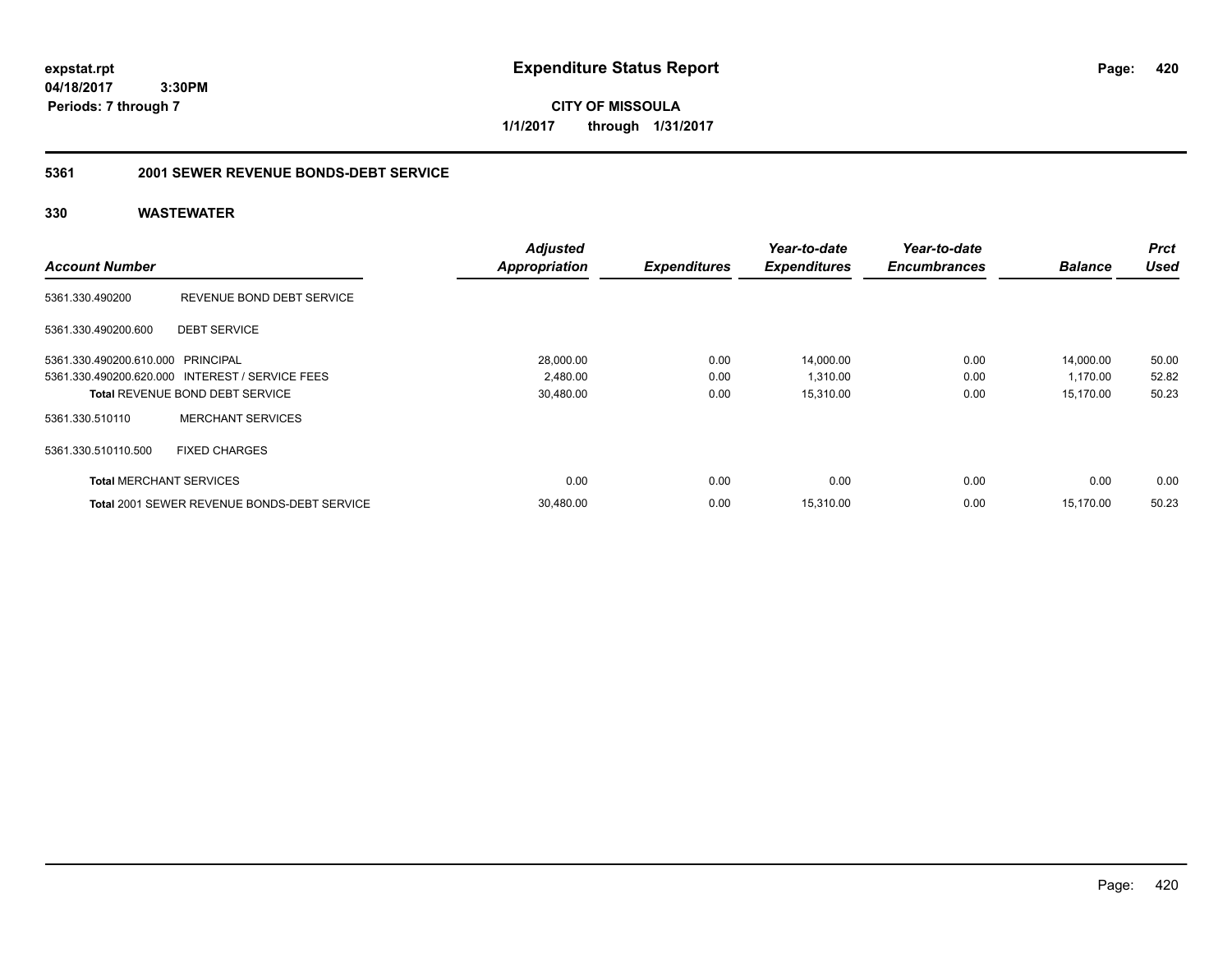**CITY OF MISSOULA 1/1/2017 through 1/31/2017**

## **5361 2001 SEWER REVENUE BONDS-DEBT SERVICE**

|                                   |                                                    | <b>Adjusted</b>      |                     | Year-to-date        | Year-to-date        |                | <b>Prct</b> |
|-----------------------------------|----------------------------------------------------|----------------------|---------------------|---------------------|---------------------|----------------|-------------|
| <b>Account Number</b>             |                                                    | <b>Appropriation</b> | <b>Expenditures</b> | <b>Expenditures</b> | <b>Encumbrances</b> | <b>Balance</b> | <b>Used</b> |
| 5361.330.490200                   | REVENUE BOND DEBT SERVICE                          |                      |                     |                     |                     |                |             |
| 5361.330.490200.600               | <b>DEBT SERVICE</b>                                |                      |                     |                     |                     |                |             |
| 5361.330.490200.610.000 PRINCIPAL |                                                    | 28,000.00            | 0.00                | 14,000.00           | 0.00                | 14,000.00      | 50.00       |
|                                   | 5361.330.490200.620.000 INTEREST / SERVICE FEES    | 2,480.00             | 0.00                | 1,310.00            | 0.00                | 1,170.00       | 52.82       |
|                                   | <b>Total REVENUE BOND DEBT SERVICE</b>             | 30,480.00            | 0.00                | 15,310.00           | 0.00                | 15,170.00      | 50.23       |
| 5361.330.510110                   | <b>MERCHANT SERVICES</b>                           |                      |                     |                     |                     |                |             |
| 5361.330.510110.500               | <b>FIXED CHARGES</b>                               |                      |                     |                     |                     |                |             |
| <b>Total MERCHANT SERVICES</b>    |                                                    | 0.00                 | 0.00                | 0.00                | 0.00                | 0.00           | 0.00        |
|                                   | <b>Total 2001 SEWER REVENUE BONDS-DEBT SERVICE</b> | 30,480.00            | 0.00                | 15,310.00           | 0.00                | 15.170.00      | 50.23       |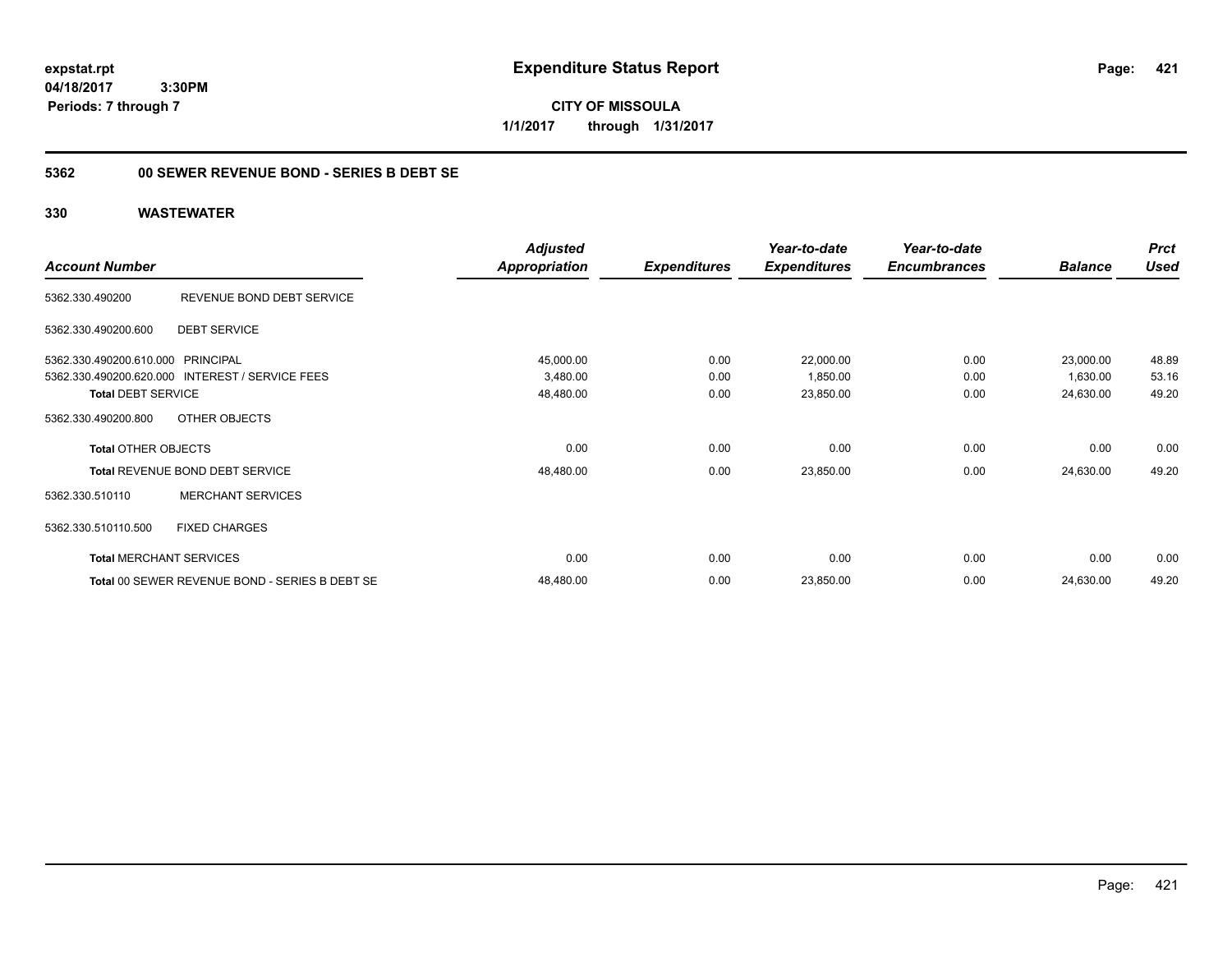**CITY OF MISSOULA 1/1/2017 through 1/31/2017**

## **5362 00 SEWER REVENUE BOND - SERIES B DEBT SE**

|                                   |                                                 | <b>Adjusted</b>      |                     | Year-to-date        | Year-to-date        |                | <b>Prct</b> |
|-----------------------------------|-------------------------------------------------|----------------------|---------------------|---------------------|---------------------|----------------|-------------|
| <b>Account Number</b>             |                                                 | <b>Appropriation</b> | <b>Expenditures</b> | <b>Expenditures</b> | <b>Encumbrances</b> | <b>Balance</b> | <b>Used</b> |
| 5362.330.490200                   | REVENUE BOND DEBT SERVICE                       |                      |                     |                     |                     |                |             |
| 5362.330.490200.600               | <b>DEBT SERVICE</b>                             |                      |                     |                     |                     |                |             |
| 5362.330.490200.610.000 PRINCIPAL |                                                 | 45,000.00            | 0.00                | 22,000.00           | 0.00                | 23,000.00      | 48.89       |
|                                   | 5362.330.490200.620.000 INTEREST / SERVICE FEES | 3,480.00             | 0.00                | 1,850.00            | 0.00                | 1,630.00       | 53.16       |
| <b>Total DEBT SERVICE</b>         |                                                 | 48,480.00            | 0.00                | 23,850.00           | 0.00                | 24,630.00      | 49.20       |
| 5362.330.490200.800               | OTHER OBJECTS                                   |                      |                     |                     |                     |                |             |
| <b>Total OTHER OBJECTS</b>        |                                                 | 0.00                 | 0.00                | 0.00                | 0.00                | 0.00           | 0.00        |
|                                   | Total REVENUE BOND DEBT SERVICE                 | 48,480.00            | 0.00                | 23,850.00           | 0.00                | 24,630.00      | 49.20       |
| 5362.330.510110                   | <b>MERCHANT SERVICES</b>                        |                      |                     |                     |                     |                |             |
| 5362.330.510110.500               | <b>FIXED CHARGES</b>                            |                      |                     |                     |                     |                |             |
|                                   | <b>Total MERCHANT SERVICES</b>                  | 0.00                 | 0.00                | 0.00                | 0.00                | 0.00           | 0.00        |
|                                   | Total 00 SEWER REVENUE BOND - SERIES B DEBT SE  | 48,480.00            | 0.00                | 23,850.00           | 0.00                | 24,630.00      | 49.20       |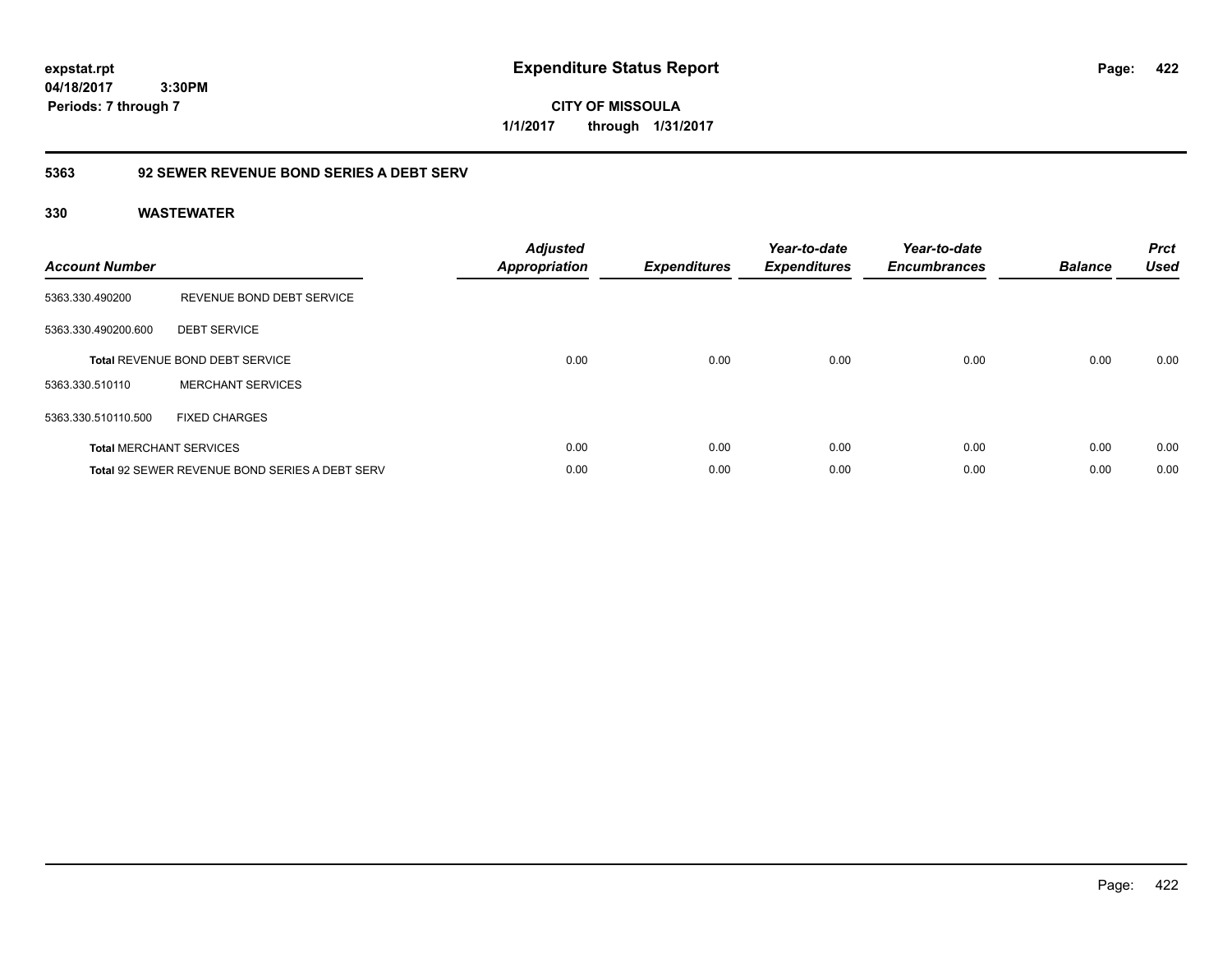**CITY OF MISSOULA 1/1/2017 through 1/31/2017**

## **5363 92 SEWER REVENUE BOND SERIES A DEBT SERV**

| <b>Account Number</b> |                                                       | <b>Adjusted</b><br><b>Appropriation</b> | <b>Expenditures</b> | Year-to-date<br><b>Expenditures</b> | Year-to-date<br><b>Encumbrances</b> | <b>Balance</b> | <b>Prct</b><br><b>Used</b> |
|-----------------------|-------------------------------------------------------|-----------------------------------------|---------------------|-------------------------------------|-------------------------------------|----------------|----------------------------|
| 5363.330.490200       | REVENUE BOND DEBT SERVICE                             |                                         |                     |                                     |                                     |                |                            |
| 5363.330.490200.600   | <b>DEBT SERVICE</b>                                   |                                         |                     |                                     |                                     |                |                            |
|                       | <b>Total REVENUE BOND DEBT SERVICE</b>                | 0.00                                    | 0.00                | 0.00                                | 0.00                                | 0.00           | 0.00                       |
| 5363.330.510110       | <b>MERCHANT SERVICES</b>                              |                                         |                     |                                     |                                     |                |                            |
| 5363.330.510110.500   | <b>FIXED CHARGES</b>                                  |                                         |                     |                                     |                                     |                |                            |
|                       | <b>Total MERCHANT SERVICES</b>                        | 0.00                                    | 0.00                | 0.00                                | 0.00                                | 0.00           | 0.00                       |
|                       | <b>Total 92 SEWER REVENUE BOND SERIES A DEBT SERV</b> | 0.00                                    | 0.00                | 0.00                                | 0.00                                | 0.00           | 0.00                       |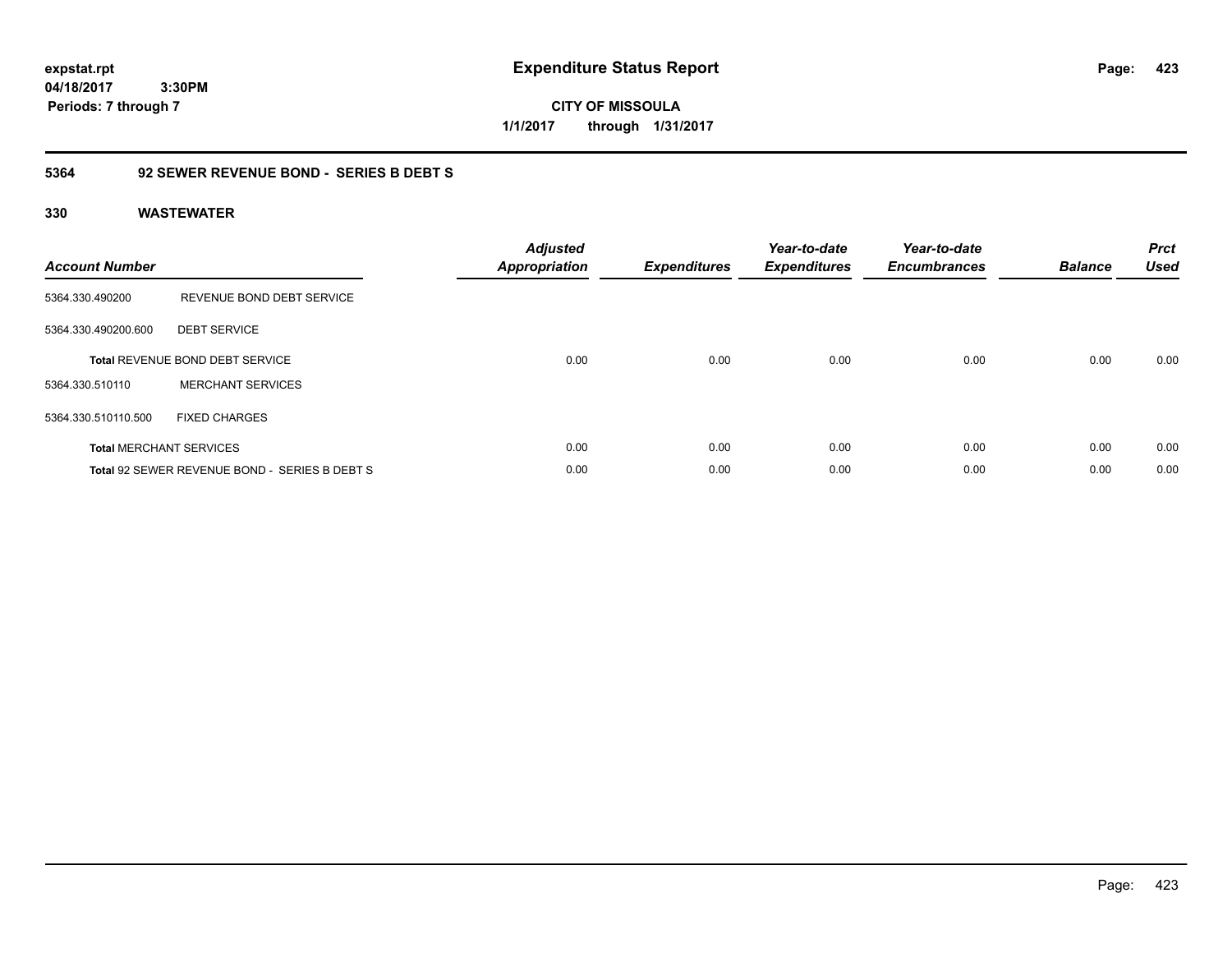**CITY OF MISSOULA 1/1/2017 through 1/31/2017**

## **5364 92 SEWER REVENUE BOND - SERIES B DEBT S**

| <b>Account Number</b> |                                               | <b>Adjusted</b><br><b>Appropriation</b> | <b>Expenditures</b> | Year-to-date<br><b>Expenditures</b> | Year-to-date<br><b>Encumbrances</b> | <b>Balance</b> | <b>Prct</b><br><b>Used</b> |
|-----------------------|-----------------------------------------------|-----------------------------------------|---------------------|-------------------------------------|-------------------------------------|----------------|----------------------------|
| 5364.330.490200       | REVENUE BOND DEBT SERVICE                     |                                         |                     |                                     |                                     |                |                            |
| 5364.330.490200.600   | <b>DEBT SERVICE</b>                           |                                         |                     |                                     |                                     |                |                            |
|                       | <b>Total REVENUE BOND DEBT SERVICE</b>        | 0.00                                    | 0.00                | 0.00                                | 0.00                                | 0.00           | 0.00                       |
| 5364.330.510110       | <b>MERCHANT SERVICES</b>                      |                                         |                     |                                     |                                     |                |                            |
| 5364.330.510110.500   | <b>FIXED CHARGES</b>                          |                                         |                     |                                     |                                     |                |                            |
|                       | <b>Total MERCHANT SERVICES</b>                | 0.00                                    | 0.00                | 0.00                                | 0.00                                | 0.00           | 0.00                       |
|                       | Total 92 SEWER REVENUE BOND - SERIES B DEBT S | 0.00                                    | 0.00                | 0.00                                | 0.00                                | 0.00           | 0.00                       |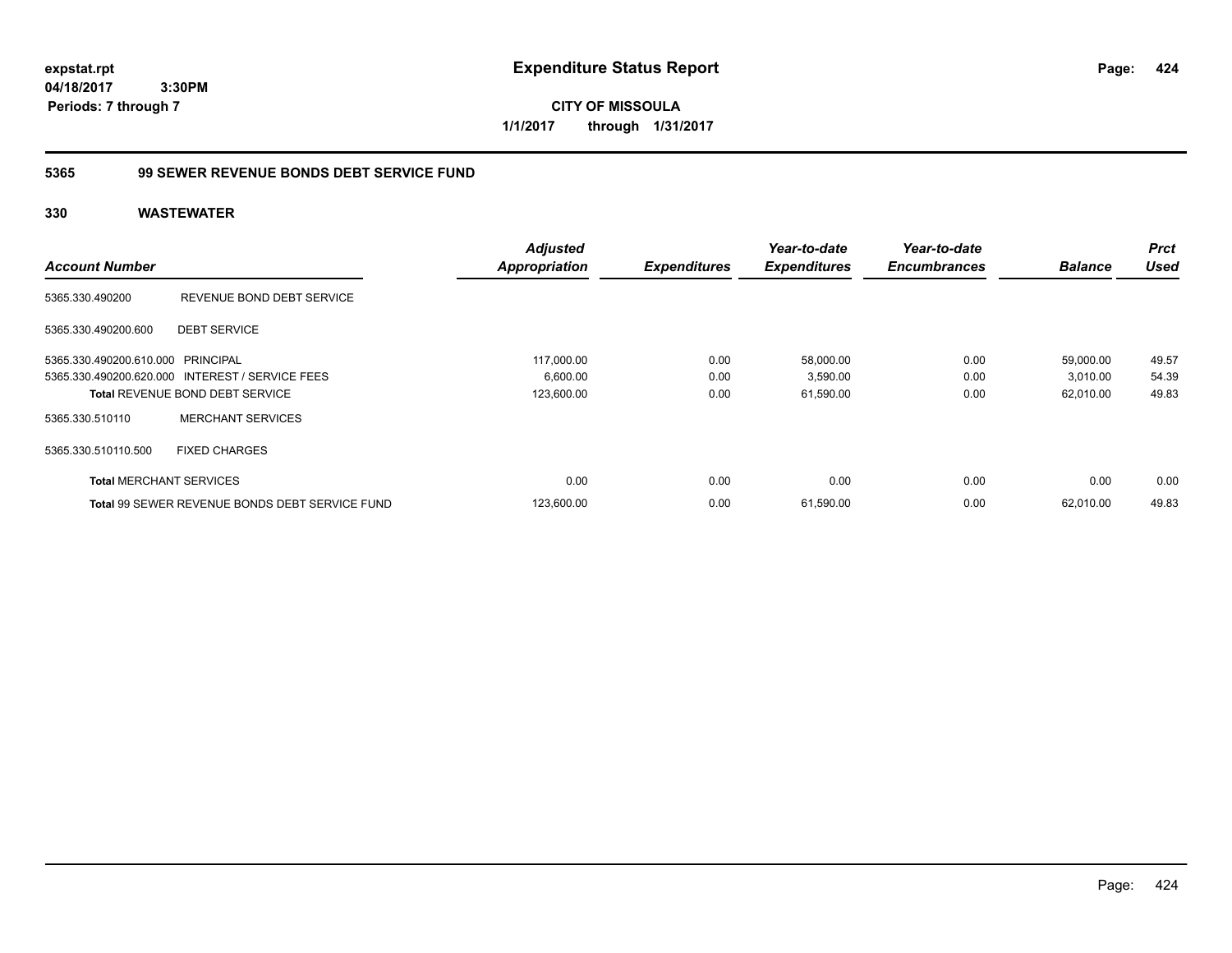**CITY OF MISSOULA 1/1/2017 through 1/31/2017**

## **5365 99 SEWER REVENUE BONDS DEBT SERVICE FUND**

|                                   |                                                       | <b>Adjusted</b>      |                     | Year-to-date        | Year-to-date        |                | <b>Prct</b> |
|-----------------------------------|-------------------------------------------------------|----------------------|---------------------|---------------------|---------------------|----------------|-------------|
| <b>Account Number</b>             |                                                       | <b>Appropriation</b> | <b>Expenditures</b> | <b>Expenditures</b> | <b>Encumbrances</b> | <b>Balance</b> | <b>Used</b> |
| 5365.330.490200                   | REVENUE BOND DEBT SERVICE                             |                      |                     |                     |                     |                |             |
| 5365.330.490200.600               | <b>DEBT SERVICE</b>                                   |                      |                     |                     |                     |                |             |
| 5365.330.490200.610.000 PRINCIPAL |                                                       | 117.000.00           | 0.00                | 58,000.00           | 0.00                | 59,000.00      | 49.57       |
|                                   | 5365.330.490200.620.000 INTEREST / SERVICE FEES       | 6,600.00             | 0.00                | 3,590.00            | 0.00                | 3,010.00       | 54.39       |
|                                   | <b>Total REVENUE BOND DEBT SERVICE</b>                | 123,600.00           | 0.00                | 61,590.00           | 0.00                | 62,010.00      | 49.83       |
| 5365.330.510110                   | <b>MERCHANT SERVICES</b>                              |                      |                     |                     |                     |                |             |
| 5365.330.510110.500               | <b>FIXED CHARGES</b>                                  |                      |                     |                     |                     |                |             |
| <b>Total MERCHANT SERVICES</b>    |                                                       | 0.00                 | 0.00                | 0.00                | 0.00                | 0.00           | 0.00        |
|                                   | <b>Total 99 SEWER REVENUE BONDS DEBT SERVICE FUND</b> | 123,600.00           | 0.00                | 61,590.00           | 0.00                | 62.010.00      | 49.83       |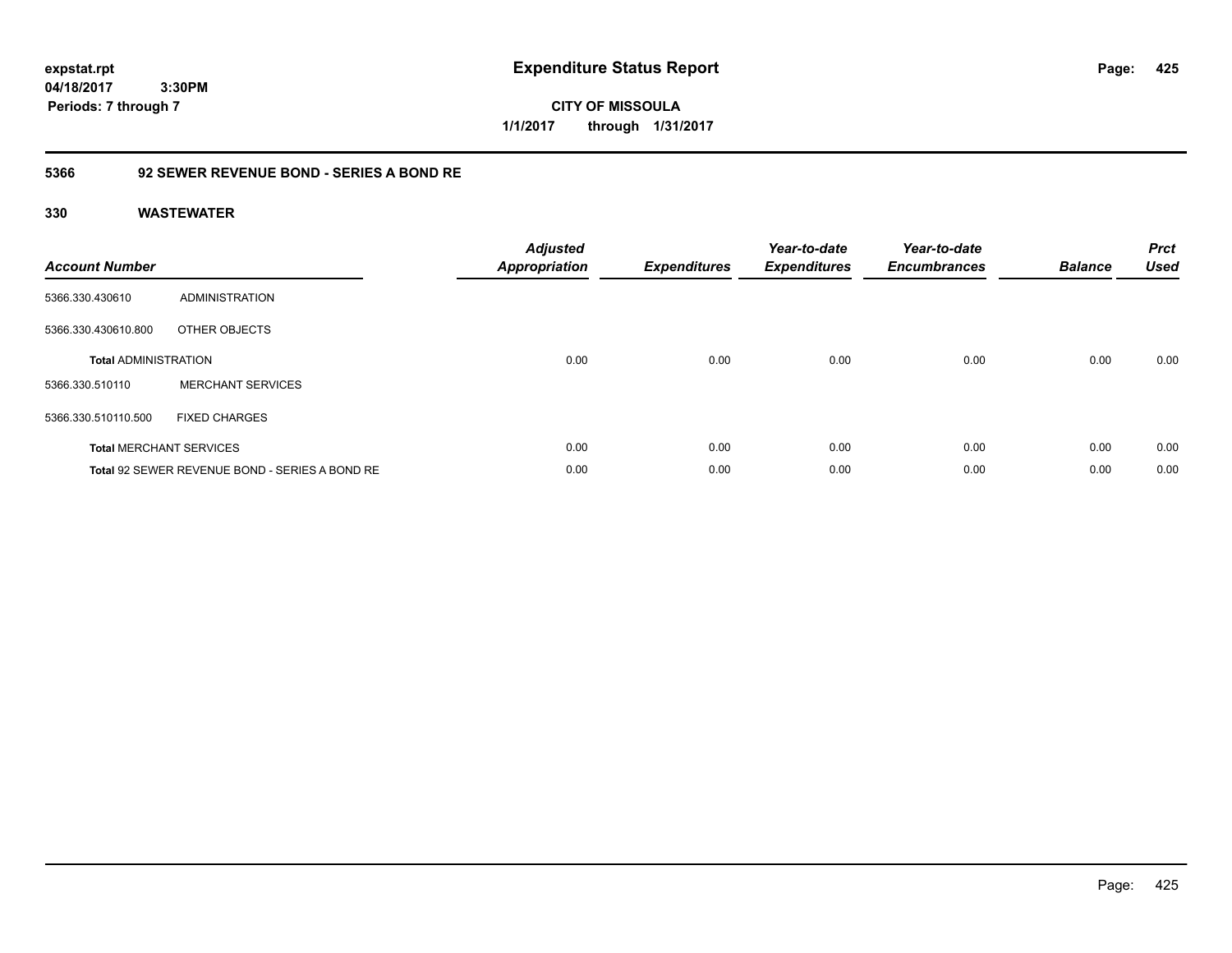**CITY OF MISSOULA 1/1/2017 through 1/31/2017**

## **5366 92 SEWER REVENUE BOND - SERIES A BOND RE**

| <b>Account Number</b>       |                                                | <b>Adjusted</b><br><b>Appropriation</b> | <b>Expenditures</b> | Year-to-date<br><b>Expenditures</b> | Year-to-date<br><b>Encumbrances</b> | <b>Balance</b> | <b>Prct</b><br><b>Used</b> |
|-----------------------------|------------------------------------------------|-----------------------------------------|---------------------|-------------------------------------|-------------------------------------|----------------|----------------------------|
| 5366.330.430610             | ADMINISTRATION                                 |                                         |                     |                                     |                                     |                |                            |
| 5366.330.430610.800         | OTHER OBJECTS                                  |                                         |                     |                                     |                                     |                |                            |
| <b>Total ADMINISTRATION</b> |                                                | 0.00                                    | 0.00                | 0.00                                | 0.00                                | 0.00           | 0.00                       |
| 5366.330.510110             | <b>MERCHANT SERVICES</b>                       |                                         |                     |                                     |                                     |                |                            |
| 5366.330.510110.500         | <b>FIXED CHARGES</b>                           |                                         |                     |                                     |                                     |                |                            |
|                             | <b>Total MERCHANT SERVICES</b>                 | 0.00                                    | 0.00                | 0.00                                | 0.00                                | 0.00           | 0.00                       |
|                             | Total 92 SEWER REVENUE BOND - SERIES A BOND RE | 0.00                                    | 0.00                | 0.00                                | 0.00                                | 0.00           | 0.00                       |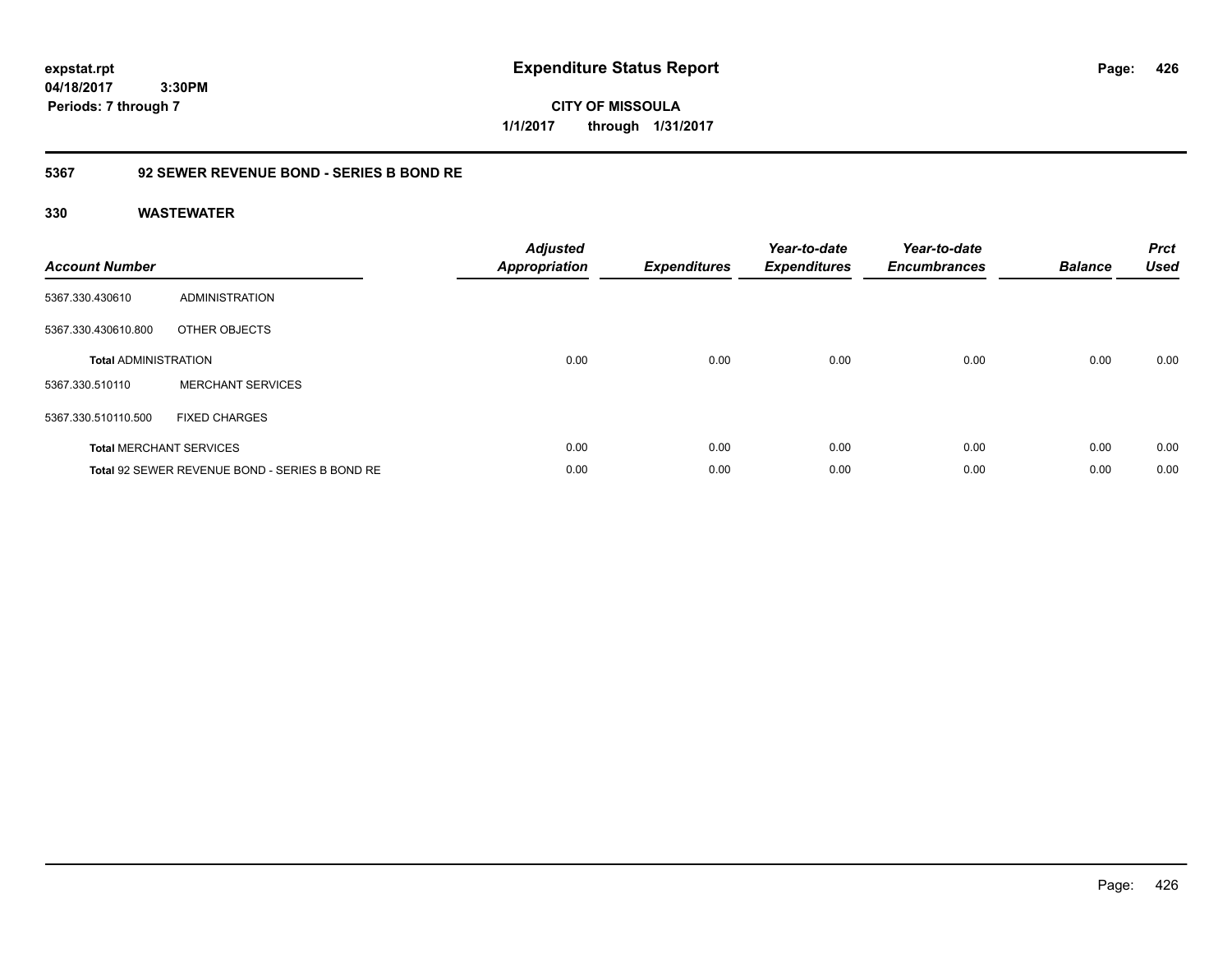**CITY OF MISSOULA 1/1/2017 through 1/31/2017**

## **5367 92 SEWER REVENUE BOND - SERIES B BOND RE**

| <b>Account Number</b>       |                                                | <b>Adjusted</b><br><b>Appropriation</b> | <b>Expenditures</b> | Year-to-date<br><b>Expenditures</b> | Year-to-date<br><b>Encumbrances</b> | <b>Balance</b> | <b>Prct</b><br><b>Used</b> |
|-----------------------------|------------------------------------------------|-----------------------------------------|---------------------|-------------------------------------|-------------------------------------|----------------|----------------------------|
| 5367.330.430610             | ADMINISTRATION                                 |                                         |                     |                                     |                                     |                |                            |
| 5367.330.430610.800         | OTHER OBJECTS                                  |                                         |                     |                                     |                                     |                |                            |
| <b>Total ADMINISTRATION</b> |                                                | 0.00                                    | 0.00                | 0.00                                | 0.00                                | 0.00           | 0.00                       |
| 5367.330.510110             | <b>MERCHANT SERVICES</b>                       |                                         |                     |                                     |                                     |                |                            |
| 5367.330.510110.500         | <b>FIXED CHARGES</b>                           |                                         |                     |                                     |                                     |                |                            |
|                             | <b>Total MERCHANT SERVICES</b>                 | 0.00                                    | 0.00                | 0.00                                | 0.00                                | 0.00           | 0.00                       |
|                             | Total 92 SEWER REVENUE BOND - SERIES B BOND RE | 0.00                                    | 0.00                | 0.00                                | 0.00                                | 0.00           | 0.00                       |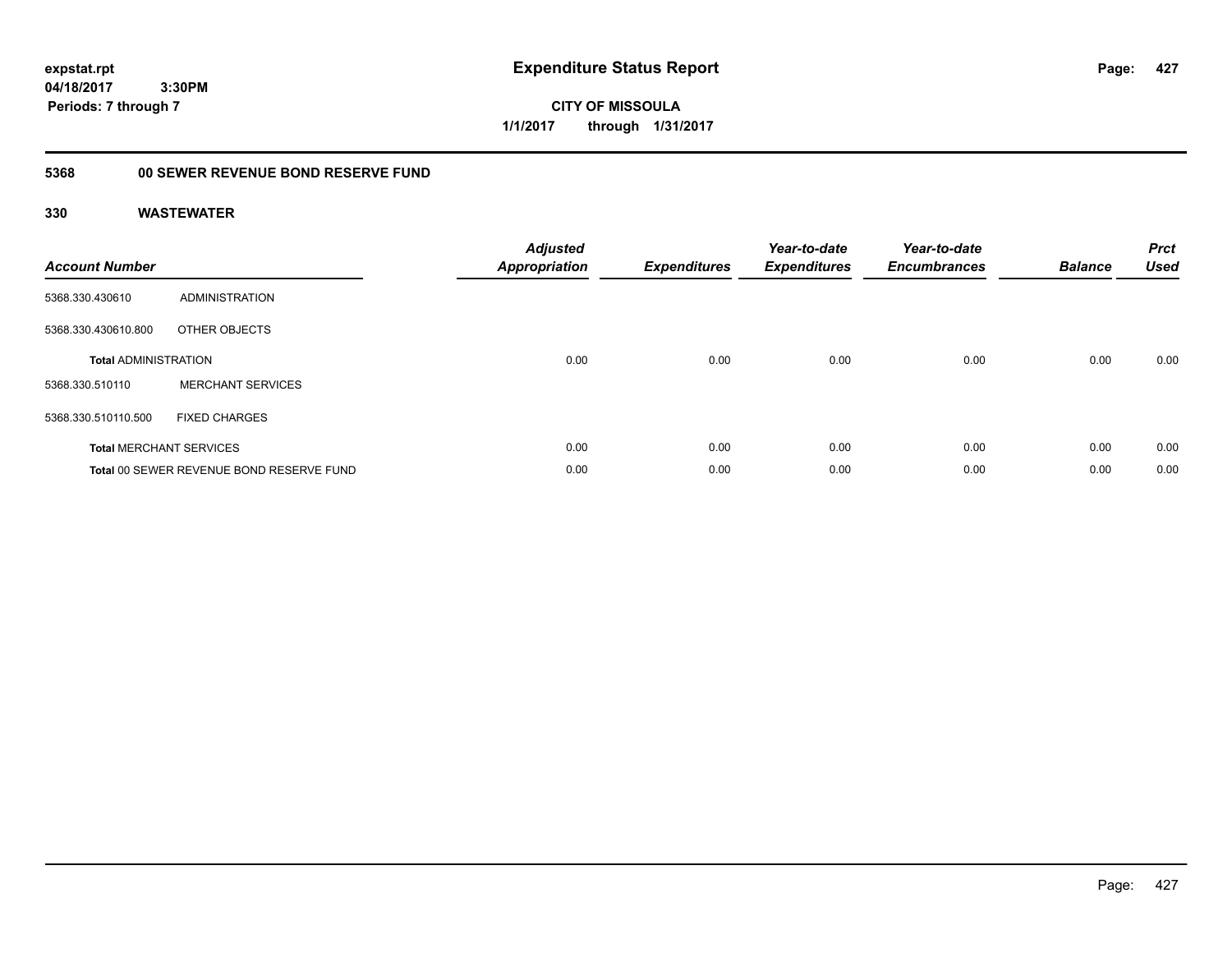**CITY OF MISSOULA 1/1/2017 through 1/31/2017**

#### **5368 00 SEWER REVENUE BOND RESERVE FUND**

| <b>Account Number</b>       |                                          | <b>Adjusted</b><br>Appropriation | <b>Expenditures</b> | Year-to-date<br><b>Expenditures</b> | Year-to-date<br><b>Encumbrances</b> | <b>Balance</b> | <b>Prct</b><br><b>Used</b> |
|-----------------------------|------------------------------------------|----------------------------------|---------------------|-------------------------------------|-------------------------------------|----------------|----------------------------|
| 5368.330.430610             | ADMINISTRATION                           |                                  |                     |                                     |                                     |                |                            |
| 5368.330.430610.800         | OTHER OBJECTS                            |                                  |                     |                                     |                                     |                |                            |
| <b>Total ADMINISTRATION</b> |                                          | 0.00                             | 0.00                | 0.00                                | 0.00                                | 0.00           | 0.00                       |
| 5368.330.510110             | <b>MERCHANT SERVICES</b>                 |                                  |                     |                                     |                                     |                |                            |
| 5368.330.510110.500         | <b>FIXED CHARGES</b>                     |                                  |                     |                                     |                                     |                |                            |
|                             | <b>Total MERCHANT SERVICES</b>           | 0.00                             | 0.00                | 0.00                                | 0.00                                | 0.00           | 0.00                       |
|                             | Total 00 SEWER REVENUE BOND RESERVE FUND | 0.00                             | 0.00                | 0.00                                | 0.00                                | 0.00           | 0.00                       |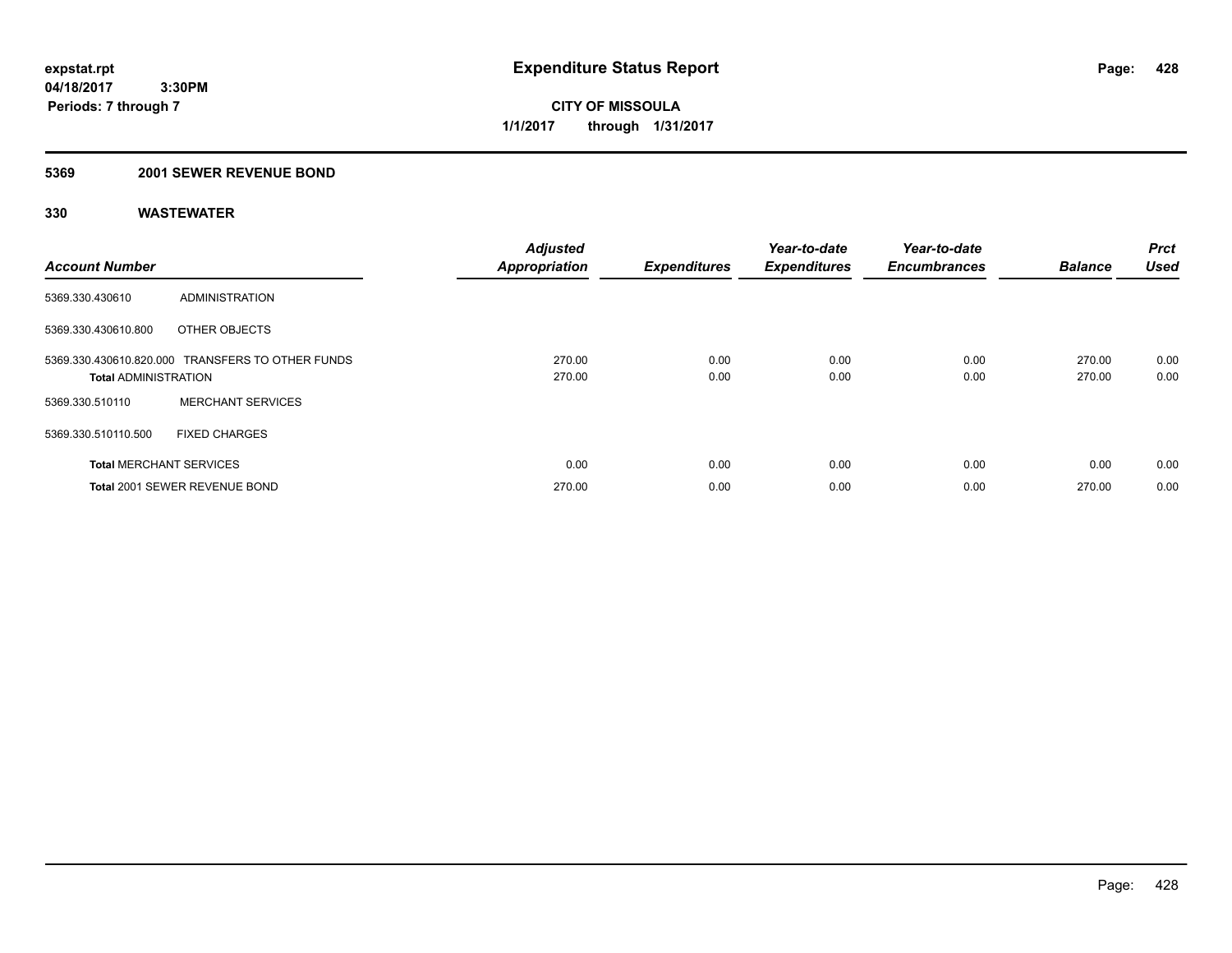## **5369 2001 SEWER REVENUE BOND**

| <b>Account Number</b>          |                                                  | <b>Adjusted</b><br><b>Appropriation</b> | <b>Expenditures</b> | Year-to-date<br><b>Expenditures</b> | Year-to-date<br><b>Encumbrances</b> | <b>Balance</b>   | <b>Prct</b><br><b>Used</b> |
|--------------------------------|--------------------------------------------------|-----------------------------------------|---------------------|-------------------------------------|-------------------------------------|------------------|----------------------------|
| 5369.330.430610                | ADMINISTRATION                                   |                                         |                     |                                     |                                     |                  |                            |
| 5369.330.430610.800            | OTHER OBJECTS                                    |                                         |                     |                                     |                                     |                  |                            |
| <b>Total ADMINISTRATION</b>    | 5369.330.430610.820.000 TRANSFERS TO OTHER FUNDS | 270.00<br>270.00                        | 0.00<br>0.00        | 0.00<br>0.00                        | 0.00<br>0.00                        | 270.00<br>270.00 | 0.00<br>0.00               |
| 5369.330.510110                | <b>MERCHANT SERVICES</b>                         |                                         |                     |                                     |                                     |                  |                            |
| 5369.330.510110.500            | <b>FIXED CHARGES</b>                             |                                         |                     |                                     |                                     |                  |                            |
| <b>Total MERCHANT SERVICES</b> |                                                  | 0.00                                    | 0.00                | 0.00                                | 0.00                                | 0.00             | 0.00                       |
|                                | Total 2001 SEWER REVENUE BOND                    | 270.00                                  | 0.00                | 0.00                                | 0.00                                | 270.00           | 0.00                       |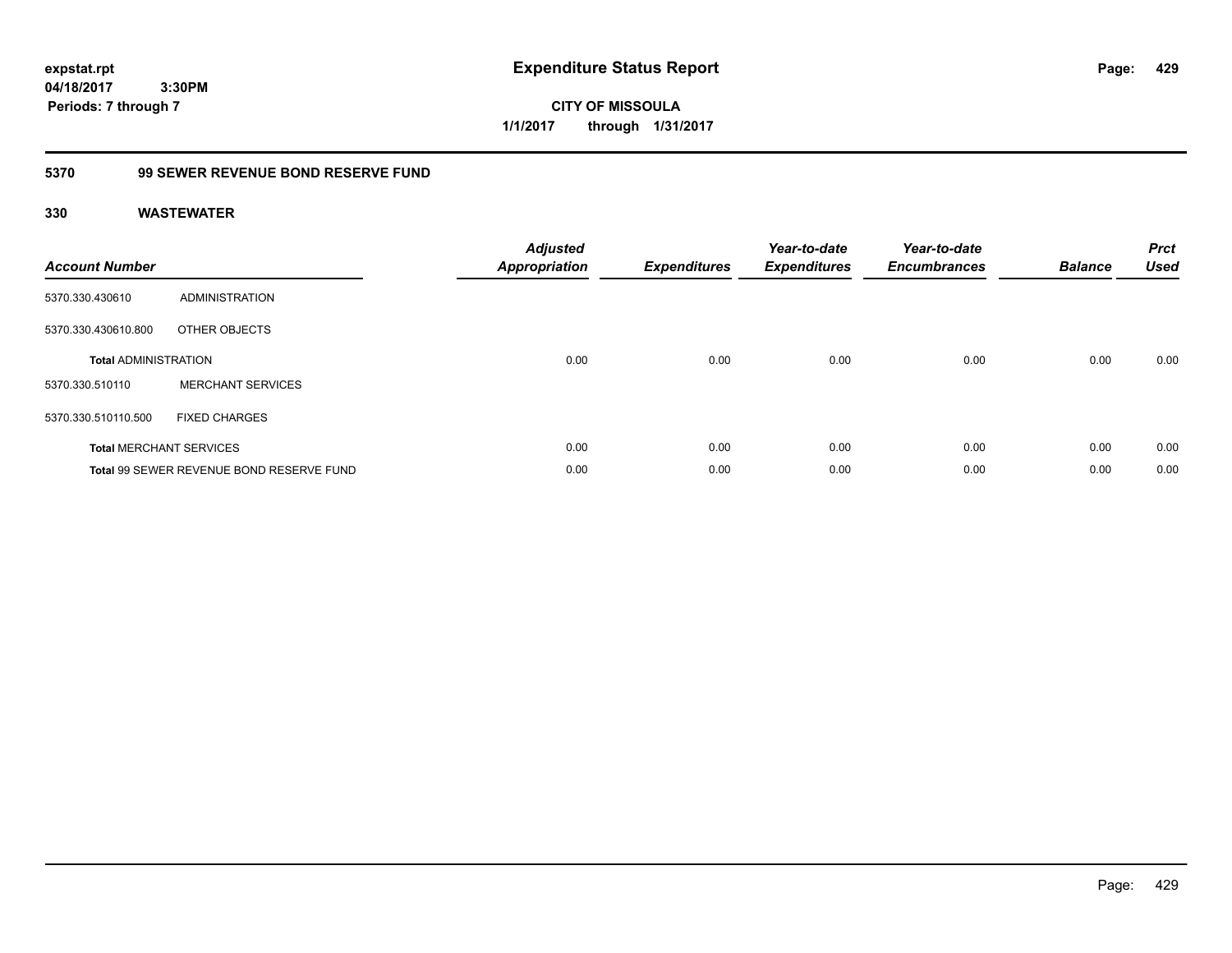**expstat.rpt Expenditure Status Report** 

**04/18/2017 3:30PM Periods: 7 through 7**

**CITY OF MISSOULA 1/1/2017 through 1/31/2017**

# **5370 99 SEWER REVENUE BOND RESERVE FUND**

| <b>Account Number</b>       |                                          | <b>Adjusted</b><br><b>Appropriation</b> | <b>Expenditures</b> | Year-to-date<br><b>Expenditures</b> | Year-to-date<br><b>Encumbrances</b> | <b>Balance</b> | <b>Prct</b><br><b>Used</b> |
|-----------------------------|------------------------------------------|-----------------------------------------|---------------------|-------------------------------------|-------------------------------------|----------------|----------------------------|
| 5370.330.430610             | ADMINISTRATION                           |                                         |                     |                                     |                                     |                |                            |
| 5370.330.430610.800         | OTHER OBJECTS                            |                                         |                     |                                     |                                     |                |                            |
| <b>Total ADMINISTRATION</b> |                                          | 0.00                                    | 0.00                | 0.00                                | 0.00                                | 0.00           | 0.00                       |
| 5370.330.510110             | <b>MERCHANT SERVICES</b>                 |                                         |                     |                                     |                                     |                |                            |
| 5370.330.510110.500         | <b>FIXED CHARGES</b>                     |                                         |                     |                                     |                                     |                |                            |
|                             | <b>Total MERCHANT SERVICES</b>           | 0.00                                    | 0.00                | 0.00                                | 0.00                                | 0.00           | 0.00                       |
|                             | Total 99 SEWER REVENUE BOND RESERVE FUND | 0.00                                    | 0.00                | 0.00                                | 0.00                                | 0.00           | 0.00                       |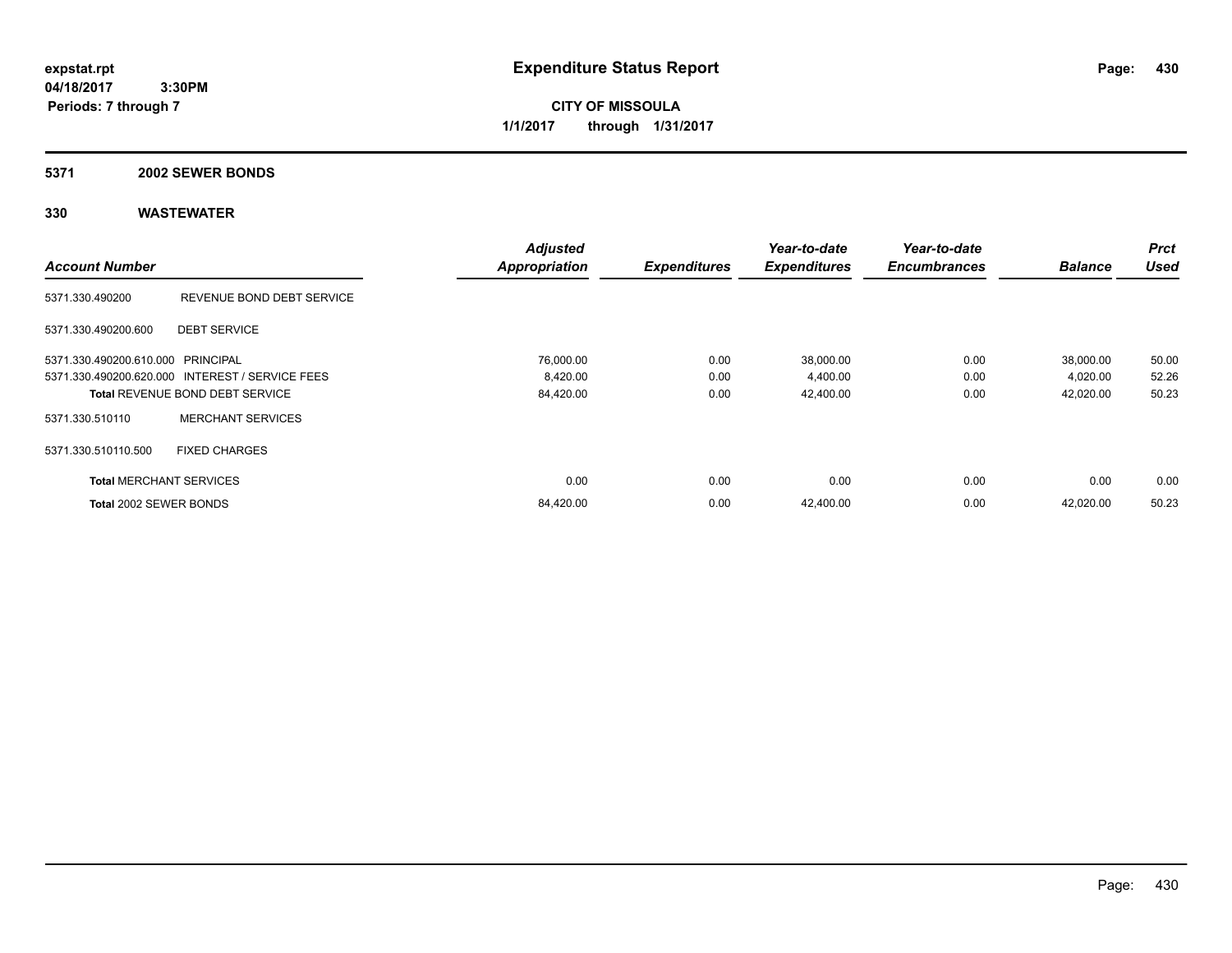**CITY OF MISSOULA 1/1/2017 through 1/31/2017**

#### **5371 2002 SEWER BONDS**

|                                   |                                                 | <b>Adjusted</b>      |                     | Year-to-date        | Year-to-date        |                | <b>Prct</b> |
|-----------------------------------|-------------------------------------------------|----------------------|---------------------|---------------------|---------------------|----------------|-------------|
| <b>Account Number</b>             |                                                 | <b>Appropriation</b> | <b>Expenditures</b> | <b>Expenditures</b> | <b>Encumbrances</b> | <b>Balance</b> | <b>Used</b> |
| 5371.330.490200                   | REVENUE BOND DEBT SERVICE                       |                      |                     |                     |                     |                |             |
| 5371.330.490200.600               | <b>DEBT SERVICE</b>                             |                      |                     |                     |                     |                |             |
| 5371.330.490200.610.000 PRINCIPAL |                                                 | 76,000.00            | 0.00                | 38,000.00           | 0.00                | 38,000.00      | 50.00       |
|                                   | 5371.330.490200.620.000 INTEREST / SERVICE FEES | 8,420.00             | 0.00                | 4,400.00            | 0.00                | 4,020.00       | 52.26       |
|                                   | <b>Total REVENUE BOND DEBT SERVICE</b>          | 84,420.00            | 0.00                | 42,400.00           | 0.00                | 42,020.00      | 50.23       |
| 5371.330.510110                   | <b>MERCHANT SERVICES</b>                        |                      |                     |                     |                     |                |             |
| 5371.330.510110.500               | <b>FIXED CHARGES</b>                            |                      |                     |                     |                     |                |             |
| <b>Total MERCHANT SERVICES</b>    |                                                 | 0.00                 | 0.00                | 0.00                | 0.00                | 0.00           | 0.00        |
| Total 2002 SEWER BONDS            |                                                 | 84,420.00            | 0.00                | 42,400.00           | 0.00                | 42,020.00      | 50.23       |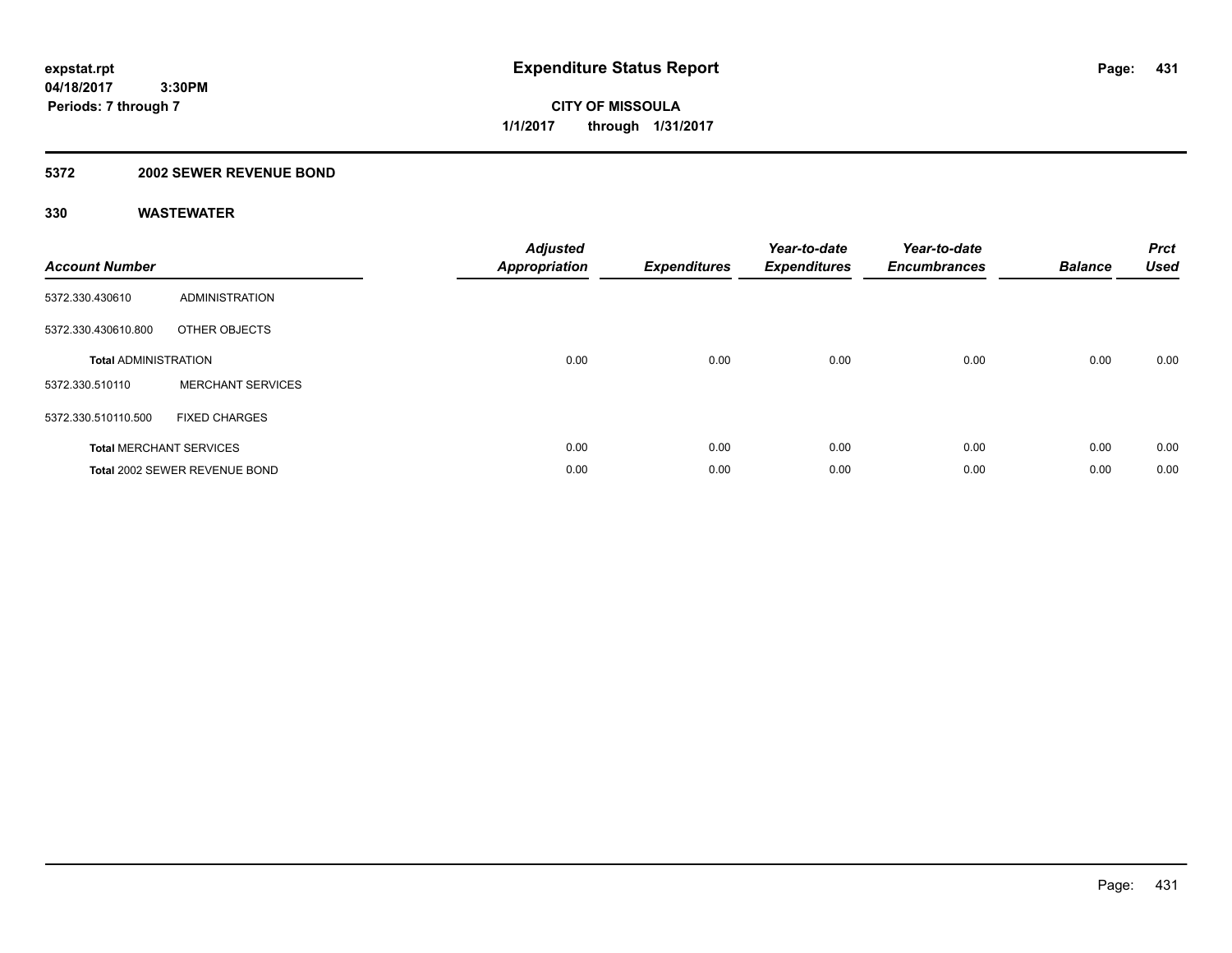## **5372 2002 SEWER REVENUE BOND**

| <b>Account Number</b>       |                                | Adjusted<br><b>Appropriation</b> | <b>Expenditures</b> | Year-to-date<br><b>Expenditures</b> | Year-to-date<br><b>Encumbrances</b> | <b>Balance</b> | <b>Prct</b><br><b>Used</b> |
|-----------------------------|--------------------------------|----------------------------------|---------------------|-------------------------------------|-------------------------------------|----------------|----------------------------|
| 5372.330.430610             | <b>ADMINISTRATION</b>          |                                  |                     |                                     |                                     |                |                            |
| 5372.330.430610.800         | OTHER OBJECTS                  |                                  |                     |                                     |                                     |                |                            |
| <b>Total ADMINISTRATION</b> |                                | 0.00                             | 0.00                | 0.00                                | 0.00                                | 0.00           | 0.00                       |
| 5372.330.510110             | <b>MERCHANT SERVICES</b>       |                                  |                     |                                     |                                     |                |                            |
| 5372.330.510110.500         | <b>FIXED CHARGES</b>           |                                  |                     |                                     |                                     |                |                            |
|                             | <b>Total MERCHANT SERVICES</b> | 0.00                             | 0.00                | 0.00                                | 0.00                                | 0.00           | 0.00                       |
|                             | Total 2002 SEWER REVENUE BOND  | 0.00                             | 0.00                | 0.00                                | 0.00                                | 0.00           | 0.00                       |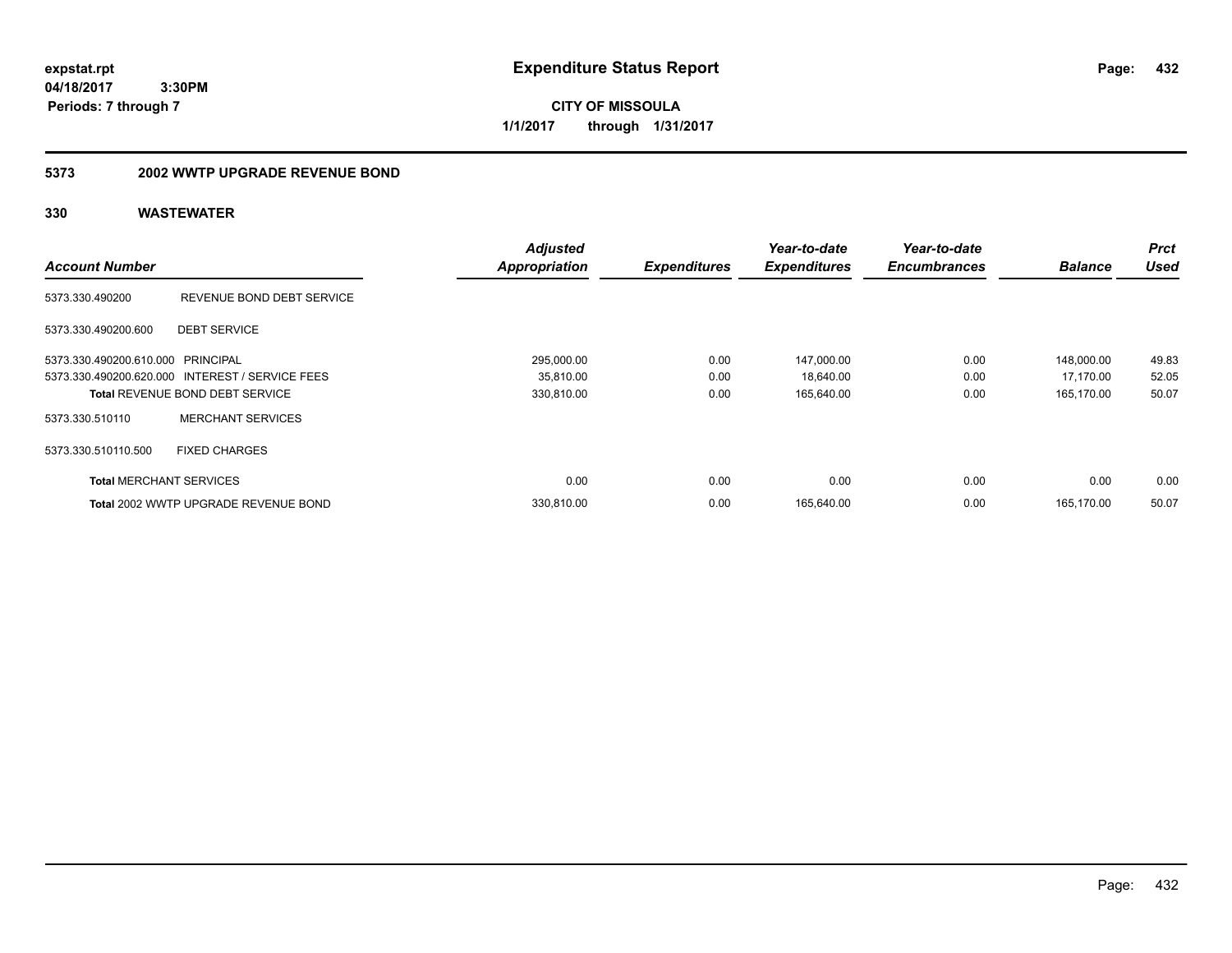**CITY OF MISSOULA 1/1/2017 through 1/31/2017**

## **5373 2002 WWTP UPGRADE REVENUE BOND**

|                                   |                                                 | <b>Adjusted</b>      |                     | Year-to-date        | Year-to-date        |                | <b>Prct</b> |
|-----------------------------------|-------------------------------------------------|----------------------|---------------------|---------------------|---------------------|----------------|-------------|
| <b>Account Number</b>             |                                                 | <b>Appropriation</b> | <b>Expenditures</b> | <b>Expenditures</b> | <b>Encumbrances</b> | <b>Balance</b> | <b>Used</b> |
| 5373.330.490200                   | REVENUE BOND DEBT SERVICE                       |                      |                     |                     |                     |                |             |
| 5373.330.490200.600               | <b>DEBT SERVICE</b>                             |                      |                     |                     |                     |                |             |
| 5373.330.490200.610.000 PRINCIPAL |                                                 | 295,000.00           | 0.00                | 147,000.00          | 0.00                | 148,000.00     | 49.83       |
|                                   | 5373.330.490200.620.000 INTEREST / SERVICE FEES | 35,810.00            | 0.00                | 18,640.00           | 0.00                | 17,170.00      | 52.05       |
|                                   | <b>Total REVENUE BOND DEBT SERVICE</b>          | 330,810.00           | 0.00                | 165,640.00          | 0.00                | 165,170.00     | 50.07       |
| 5373.330.510110                   | <b>MERCHANT SERVICES</b>                        |                      |                     |                     |                     |                |             |
| 5373.330.510110.500               | <b>FIXED CHARGES</b>                            |                      |                     |                     |                     |                |             |
| <b>Total MERCHANT SERVICES</b>    |                                                 | 0.00                 | 0.00                | 0.00                | 0.00                | 0.00           | 0.00        |
|                                   | Total 2002 WWTP UPGRADE REVENUE BOND            | 330.810.00           | 0.00                | 165,640.00          | 0.00                | 165.170.00     | 50.07       |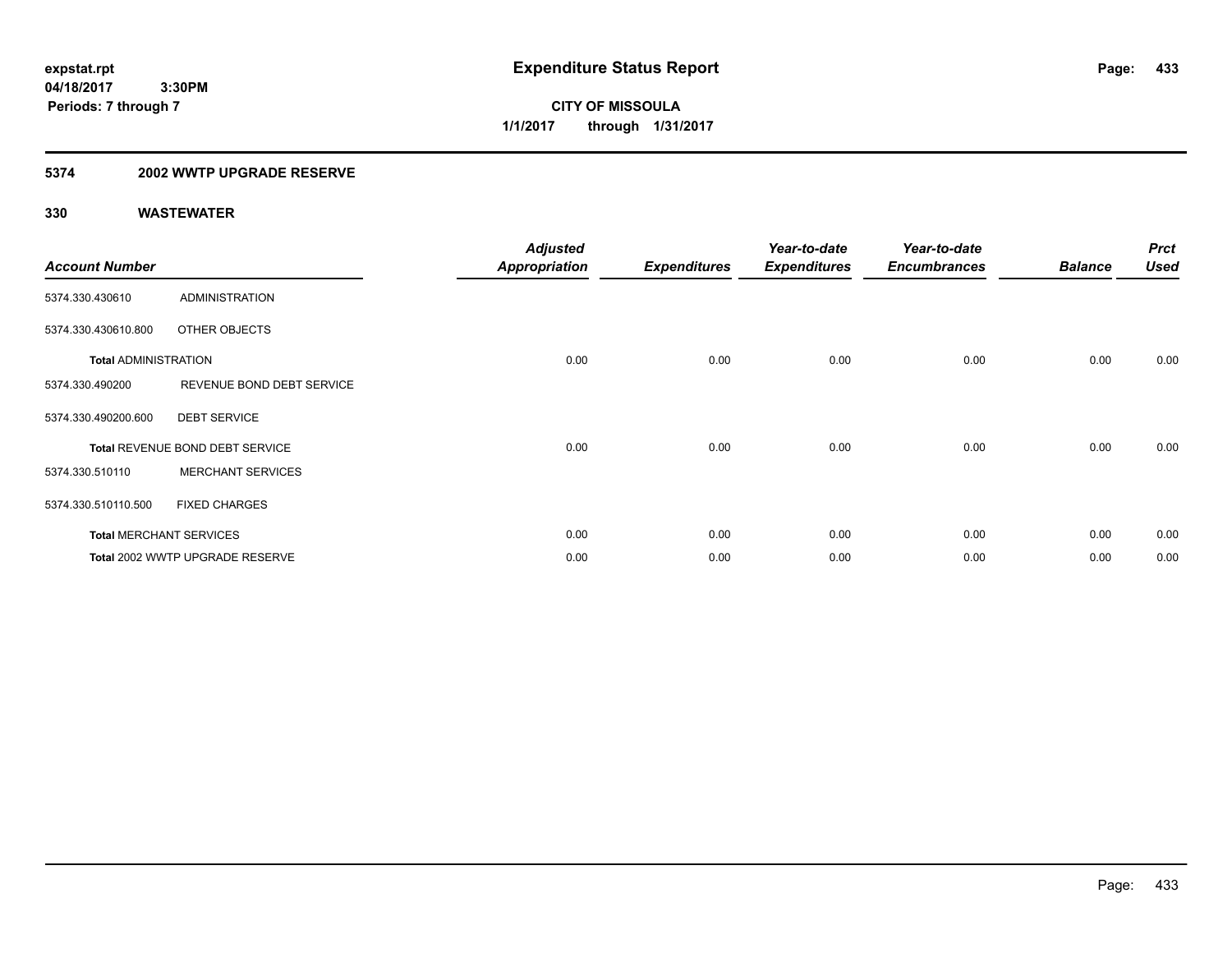**CITY OF MISSOULA 1/1/2017 through 1/31/2017**

### **5374 2002 WWTP UPGRADE RESERVE**

| <b>Account Number</b>       |                                 | <b>Adjusted</b><br><b>Appropriation</b> | <b>Expenditures</b> | Year-to-date<br><b>Expenditures</b> | Year-to-date<br><b>Encumbrances</b> | <b>Balance</b> | <b>Prct</b><br><b>Used</b> |
|-----------------------------|---------------------------------|-----------------------------------------|---------------------|-------------------------------------|-------------------------------------|----------------|----------------------------|
| 5374.330.430610             | <b>ADMINISTRATION</b>           |                                         |                     |                                     |                                     |                |                            |
| 5374.330.430610.800         | OTHER OBJECTS                   |                                         |                     |                                     |                                     |                |                            |
| <b>Total ADMINISTRATION</b> |                                 | 0.00                                    | 0.00                | 0.00                                | 0.00                                | 0.00           | 0.00                       |
| 5374.330.490200             | REVENUE BOND DEBT SERVICE       |                                         |                     |                                     |                                     |                |                            |
| 5374.330.490200.600         | <b>DEBT SERVICE</b>             |                                         |                     |                                     |                                     |                |                            |
|                             | Total REVENUE BOND DEBT SERVICE | 0.00                                    | 0.00                | 0.00                                | 0.00                                | 0.00           | 0.00                       |
| 5374.330.510110             | <b>MERCHANT SERVICES</b>        |                                         |                     |                                     |                                     |                |                            |
| 5374.330.510110.500         | <b>FIXED CHARGES</b>            |                                         |                     |                                     |                                     |                |                            |
|                             | <b>Total MERCHANT SERVICES</b>  | 0.00                                    | 0.00                | 0.00                                | 0.00                                | 0.00           | 0.00                       |
|                             | Total 2002 WWTP UPGRADE RESERVE | 0.00                                    | 0.00                | 0.00                                | 0.00                                | 0.00           | 0.00                       |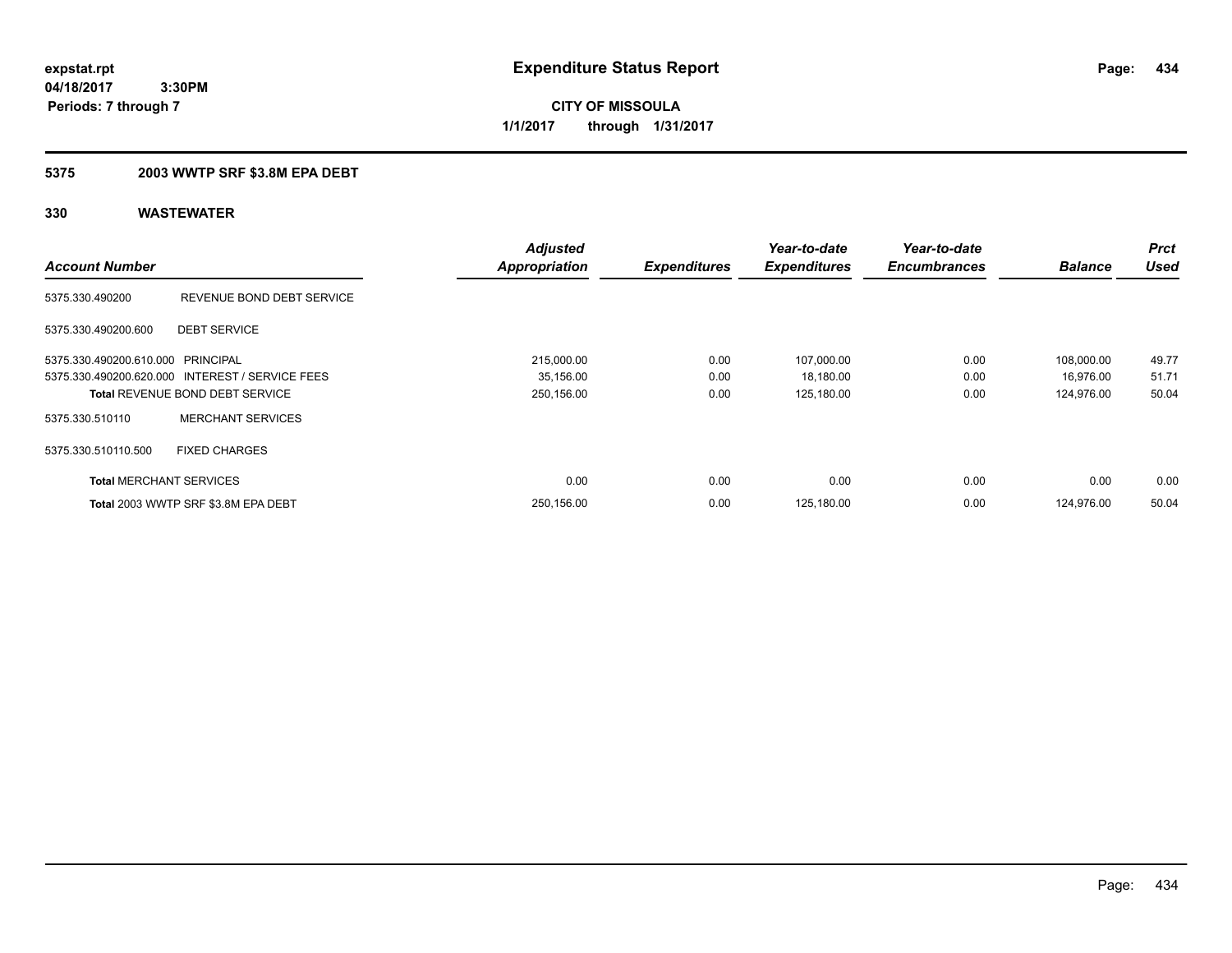**CITY OF MISSOULA 1/1/2017 through 1/31/2017**

### **5375 2003 WWTP SRF \$3.8M EPA DEBT**

|                                   |                                                 | <b>Adjusted</b>      |                     | Year-to-date        | Year-to-date        |                | <b>Prct</b> |
|-----------------------------------|-------------------------------------------------|----------------------|---------------------|---------------------|---------------------|----------------|-------------|
| <b>Account Number</b>             |                                                 | <b>Appropriation</b> | <b>Expenditures</b> | <b>Expenditures</b> | <b>Encumbrances</b> | <b>Balance</b> | <b>Used</b> |
| 5375.330.490200                   | REVENUE BOND DEBT SERVICE                       |                      |                     |                     |                     |                |             |
| 5375.330.490200.600               | <b>DEBT SERVICE</b>                             |                      |                     |                     |                     |                |             |
| 5375.330.490200.610.000 PRINCIPAL |                                                 | 215,000.00           | 0.00                | 107,000.00          | 0.00                | 108.000.00     | 49.77       |
|                                   | 5375.330.490200.620.000 INTEREST / SERVICE FEES | 35,156.00            | 0.00                | 18,180.00           | 0.00                | 16,976.00      | 51.71       |
|                                   | <b>Total REVENUE BOND DEBT SERVICE</b>          | 250,156.00           | 0.00                | 125,180.00          | 0.00                | 124,976.00     | 50.04       |
| 5375.330.510110                   | <b>MERCHANT SERVICES</b>                        |                      |                     |                     |                     |                |             |
| 5375.330.510110.500               | <b>FIXED CHARGES</b>                            |                      |                     |                     |                     |                |             |
| <b>Total MERCHANT SERVICES</b>    |                                                 | 0.00                 | 0.00                | 0.00                | 0.00                | 0.00           | 0.00        |
|                                   | Total 2003 WWTP SRF \$3.8M EPA DEBT             | 250,156.00           | 0.00                | 125,180.00          | 0.00                | 124.976.00     | 50.04       |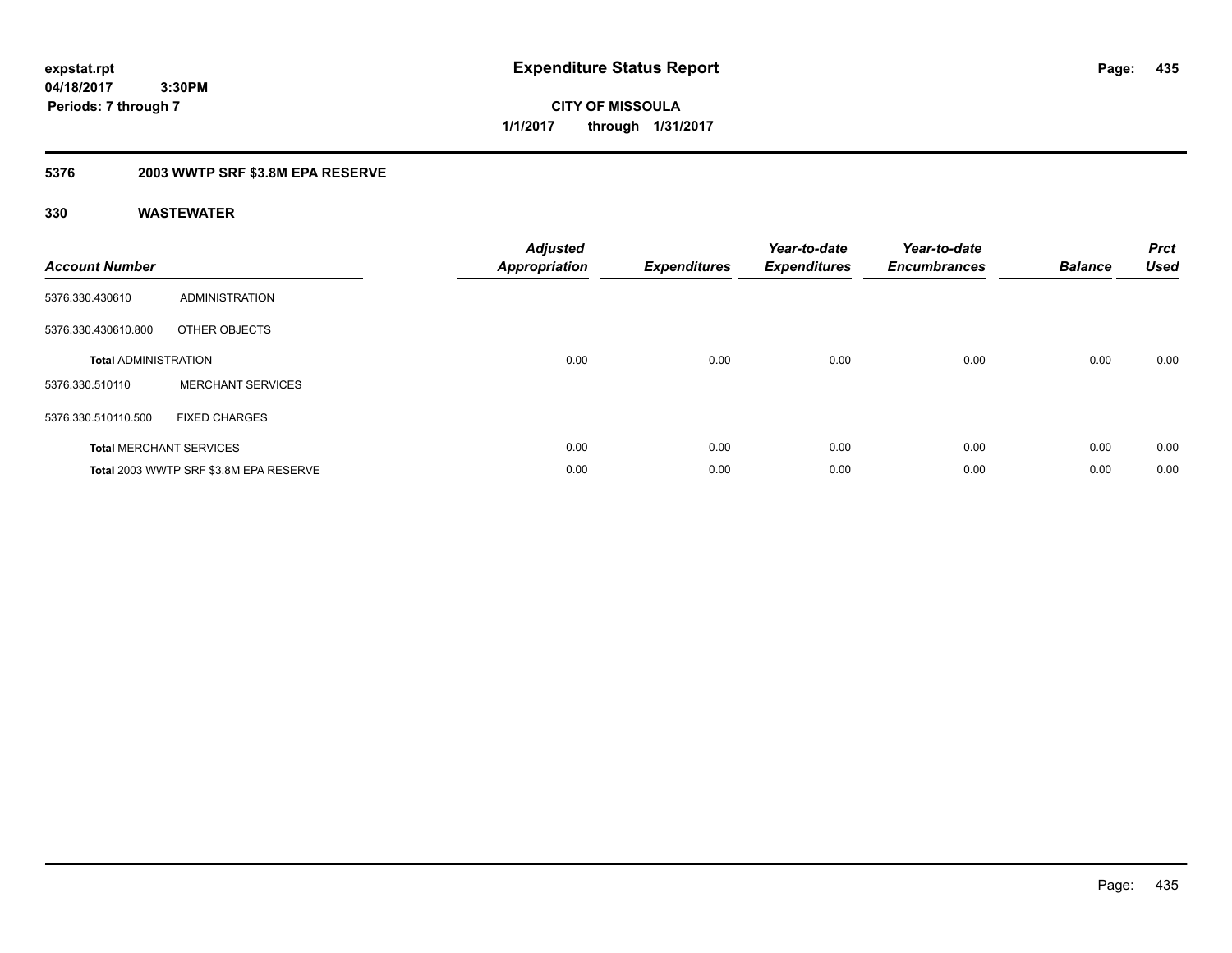**CITY OF MISSOULA 1/1/2017 through 1/31/2017**

### **5376 2003 WWTP SRF \$3.8M EPA RESERVE**

| <b>Account Number</b>       |                                        | <b>Adjusted</b><br>Appropriation | <b>Expenditures</b> | Year-to-date<br><b>Expenditures</b> | Year-to-date<br><b>Encumbrances</b> | <b>Balance</b> | <b>Prct</b><br><b>Used</b> |
|-----------------------------|----------------------------------------|----------------------------------|---------------------|-------------------------------------|-------------------------------------|----------------|----------------------------|
| 5376.330.430610             | <b>ADMINISTRATION</b>                  |                                  |                     |                                     |                                     |                |                            |
| 5376.330.430610.800         | OTHER OBJECTS                          |                                  |                     |                                     |                                     |                |                            |
| <b>Total ADMINISTRATION</b> |                                        | 0.00                             | 0.00                | 0.00                                | 0.00                                | 0.00           | 0.00                       |
| 5376.330.510110             | <b>MERCHANT SERVICES</b>               |                                  |                     |                                     |                                     |                |                            |
| 5376.330.510110.500         | <b>FIXED CHARGES</b>                   |                                  |                     |                                     |                                     |                |                            |
|                             | <b>Total MERCHANT SERVICES</b>         | 0.00                             | 0.00                | 0.00                                | 0.00                                | 0.00           | 0.00                       |
|                             | Total 2003 WWTP SRF \$3.8M EPA RESERVE | 0.00                             | 0.00                | 0.00                                | 0.00                                | 0.00           | 0.00                       |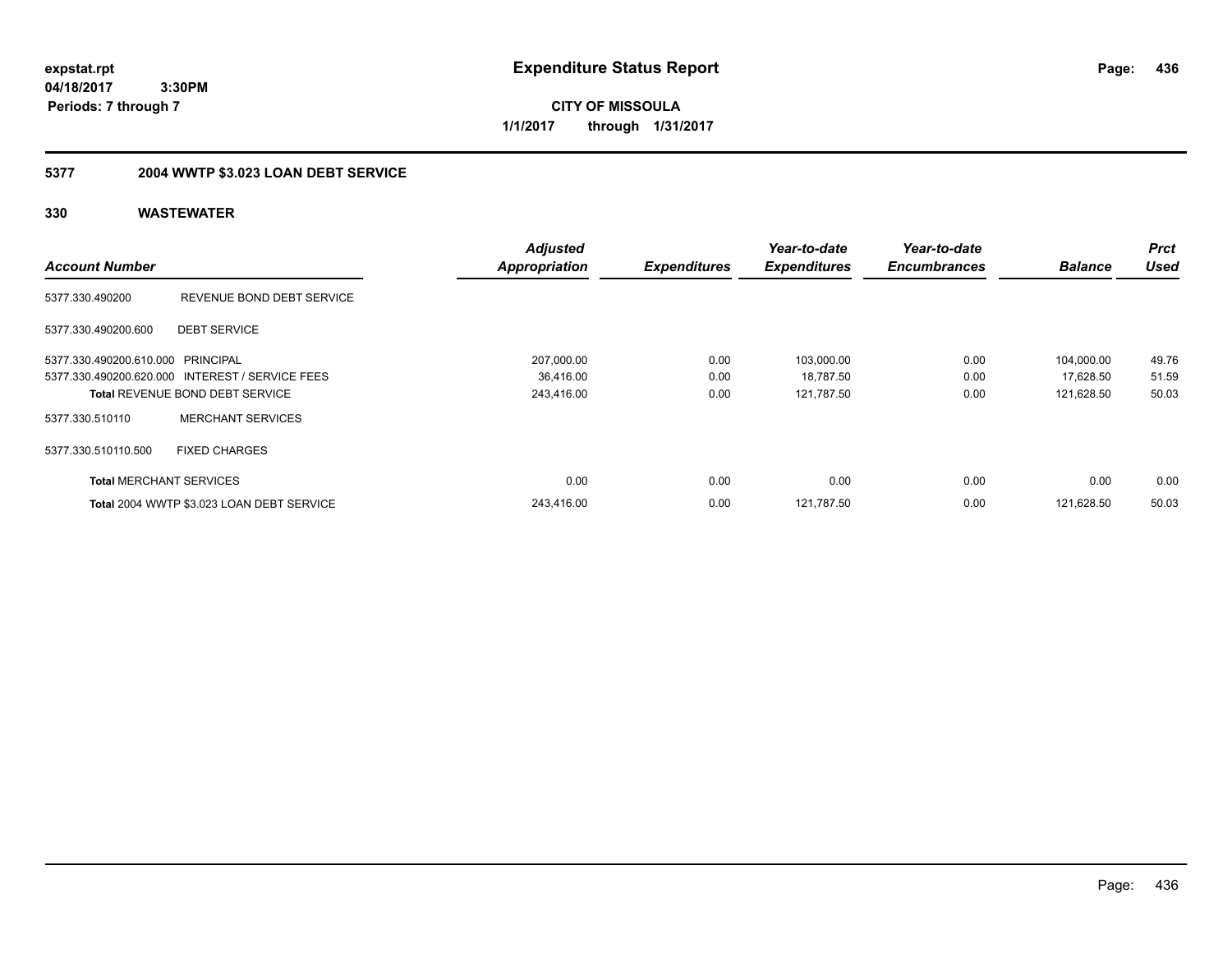**CITY OF MISSOULA 1/1/2017 through 1/31/2017**

## **5377 2004 WWTP \$3.023 LOAN DEBT SERVICE**

|                                   |                                                 | <b>Adjusted</b>      |                     | Year-to-date        | Year-to-date        |                | <b>Prct</b> |
|-----------------------------------|-------------------------------------------------|----------------------|---------------------|---------------------|---------------------|----------------|-------------|
| <b>Account Number</b>             |                                                 | <b>Appropriation</b> | <b>Expenditures</b> | <b>Expenditures</b> | <b>Encumbrances</b> | <b>Balance</b> | <b>Used</b> |
| 5377.330.490200                   | REVENUE BOND DEBT SERVICE                       |                      |                     |                     |                     |                |             |
| 5377.330.490200.600               | <b>DEBT SERVICE</b>                             |                      |                     |                     |                     |                |             |
| 5377.330.490200.610.000 PRINCIPAL |                                                 | 207,000.00           | 0.00                | 103,000.00          | 0.00                | 104,000.00     | 49.76       |
|                                   | 5377.330.490200.620.000 INTEREST / SERVICE FEES | 36,416.00            | 0.00                | 18,787.50           | 0.00                | 17,628.50      | 51.59       |
|                                   | <b>Total REVENUE BOND DEBT SERVICE</b>          | 243,416.00           | 0.00                | 121.787.50          | 0.00                | 121,628.50     | 50.03       |
| 5377.330.510110                   | <b>MERCHANT SERVICES</b>                        |                      |                     |                     |                     |                |             |
| 5377.330.510110.500               | <b>FIXED CHARGES</b>                            |                      |                     |                     |                     |                |             |
| <b>Total MERCHANT SERVICES</b>    |                                                 | 0.00                 | 0.00                | 0.00                | 0.00                | 0.00           | 0.00        |
|                                   | Total 2004 WWTP \$3.023 LOAN DEBT SERVICE       | 243.416.00           | 0.00                | 121.787.50          | 0.00                | 121.628.50     | 50.03       |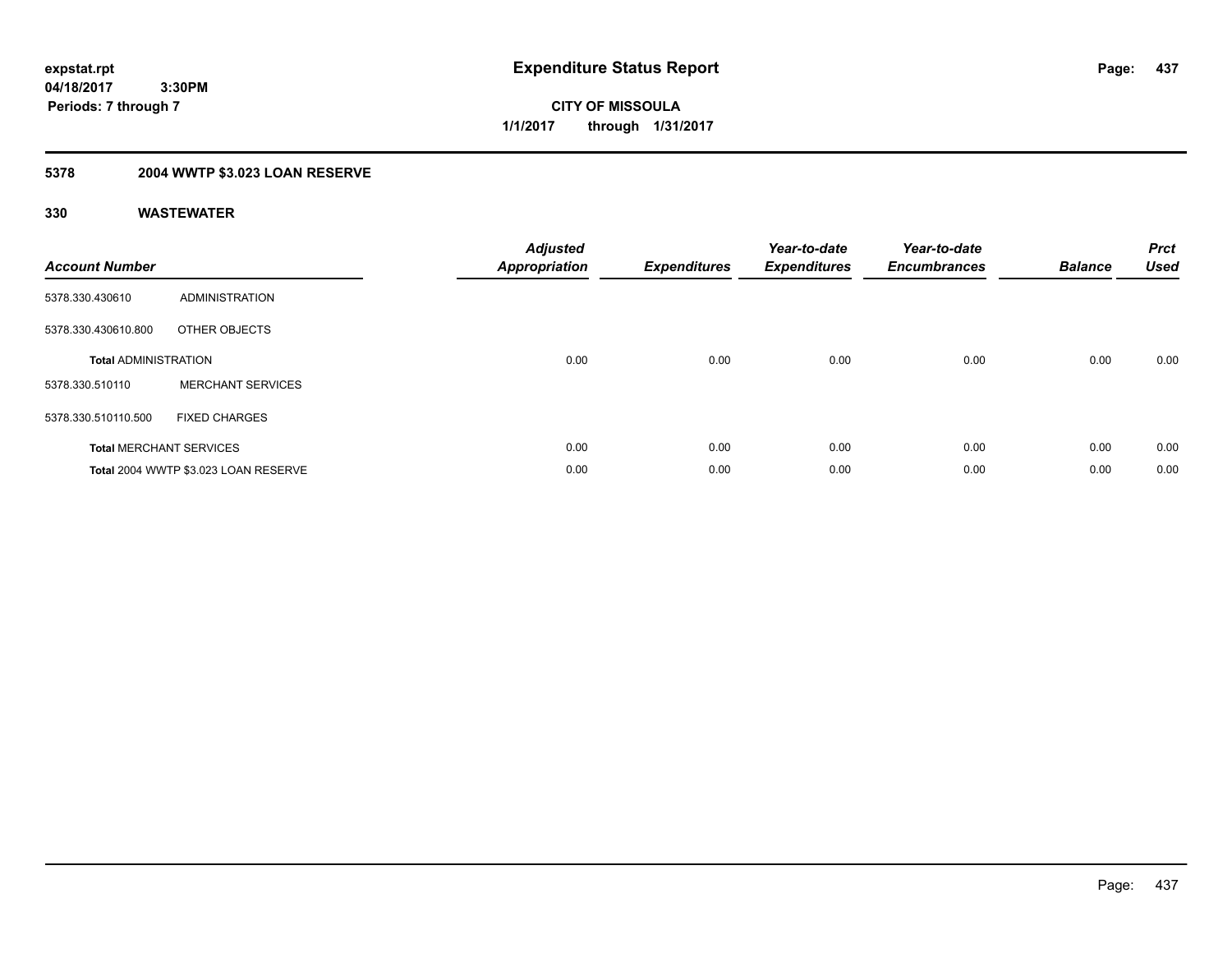**437**

**04/18/2017 3:30PM Periods: 7 through 7**

**CITY OF MISSOULA 1/1/2017 through 1/31/2017**

### **5378 2004 WWTP \$3.023 LOAN RESERVE**

| <b>Account Number</b>       |                                      | <b>Adjusted</b><br><b>Appropriation</b> | <b>Expenditures</b> | Year-to-date<br><b>Expenditures</b> | Year-to-date<br><b>Encumbrances</b> | <b>Balance</b> | <b>Prct</b><br><b>Used</b> |
|-----------------------------|--------------------------------------|-----------------------------------------|---------------------|-------------------------------------|-------------------------------------|----------------|----------------------------|
| 5378.330.430610             | ADMINISTRATION                       |                                         |                     |                                     |                                     |                |                            |
| 5378.330.430610.800         | OTHER OBJECTS                        |                                         |                     |                                     |                                     |                |                            |
| <b>Total ADMINISTRATION</b> |                                      | 0.00                                    | 0.00                | 0.00                                | 0.00                                | 0.00           | 0.00                       |
| 5378.330.510110             | <b>MERCHANT SERVICES</b>             |                                         |                     |                                     |                                     |                |                            |
| 5378.330.510110.500         | <b>FIXED CHARGES</b>                 |                                         |                     |                                     |                                     |                |                            |
|                             | <b>Total MERCHANT SERVICES</b>       | 0.00                                    | 0.00                | 0.00                                | 0.00                                | 0.00           | 0.00                       |
|                             | Total 2004 WWTP \$3.023 LOAN RESERVE | 0.00                                    | 0.00                | 0.00                                | 0.00                                | 0.00           | 0.00                       |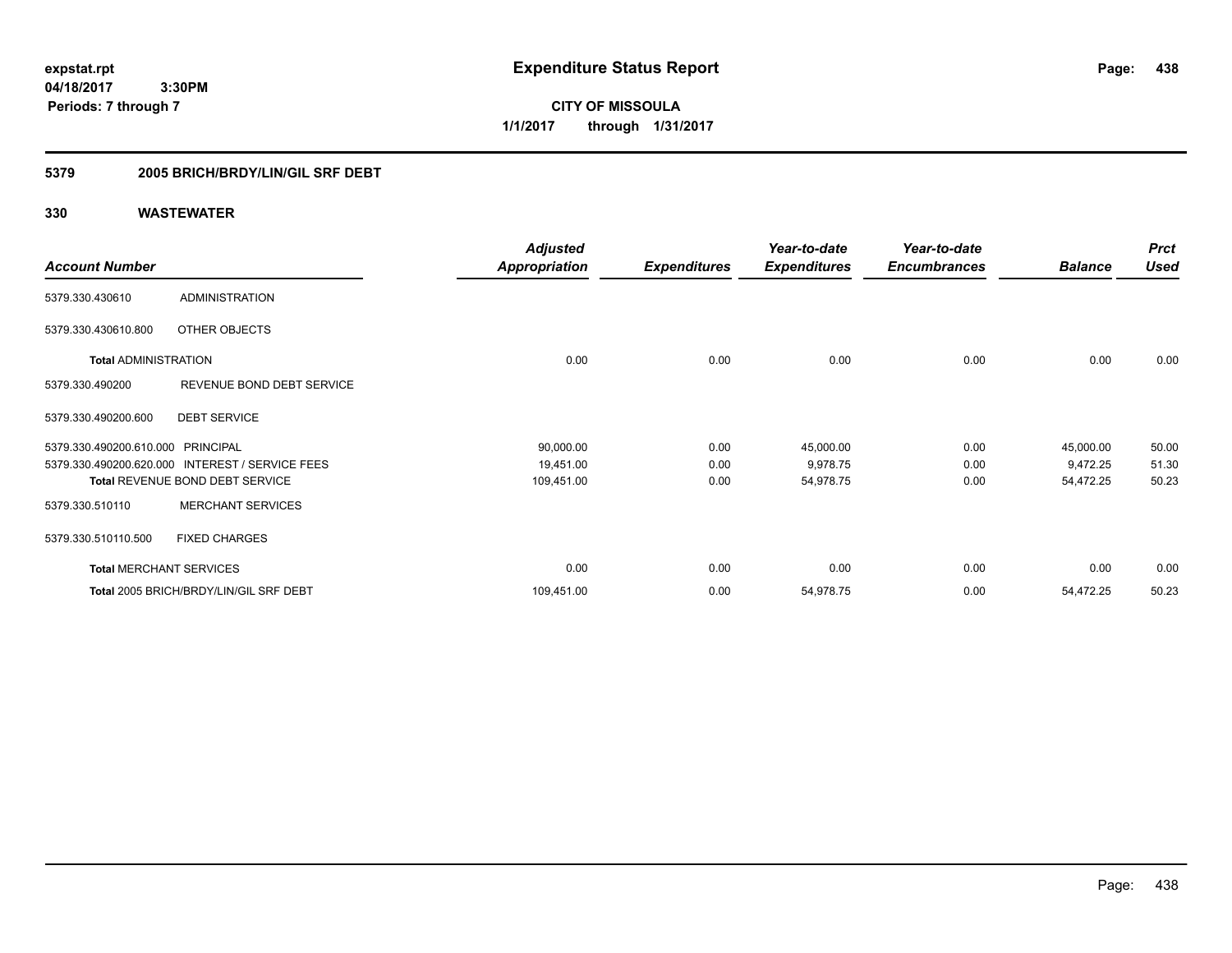**CITY OF MISSOULA 1/1/2017 through 1/31/2017**

### **5379 2005 BRICH/BRDY/LIN/GIL SRF DEBT**

|                                   |                                                 | <b>Adjusted</b>      |                     | Year-to-date        | Year-to-date        |                | <b>Prct</b> |
|-----------------------------------|-------------------------------------------------|----------------------|---------------------|---------------------|---------------------|----------------|-------------|
| <b>Account Number</b>             |                                                 | <b>Appropriation</b> | <b>Expenditures</b> | <b>Expenditures</b> | <b>Encumbrances</b> | <b>Balance</b> | <b>Used</b> |
| 5379.330.430610                   | <b>ADMINISTRATION</b>                           |                      |                     |                     |                     |                |             |
| 5379.330.430610.800               | OTHER OBJECTS                                   |                      |                     |                     |                     |                |             |
| <b>Total ADMINISTRATION</b>       |                                                 | 0.00                 | 0.00                | 0.00                | 0.00                | 0.00           | 0.00        |
| 5379.330.490200                   | REVENUE BOND DEBT SERVICE                       |                      |                     |                     |                     |                |             |
| 5379.330.490200.600               | <b>DEBT SERVICE</b>                             |                      |                     |                     |                     |                |             |
| 5379.330.490200.610.000 PRINCIPAL |                                                 | 90,000.00            | 0.00                | 45,000.00           | 0.00                | 45,000.00      | 50.00       |
|                                   | 5379.330.490200.620.000 INTEREST / SERVICE FEES | 19,451.00            | 0.00                | 9,978.75            | 0.00                | 9,472.25       | 51.30       |
|                                   | <b>Total REVENUE BOND DEBT SERVICE</b>          | 109,451.00           | 0.00                | 54,978.75           | 0.00                | 54,472.25      | 50.23       |
| 5379.330.510110                   | <b>MERCHANT SERVICES</b>                        |                      |                     |                     |                     |                |             |
| 5379.330.510110.500               | <b>FIXED CHARGES</b>                            |                      |                     |                     |                     |                |             |
| <b>Total MERCHANT SERVICES</b>    |                                                 | 0.00                 | 0.00                | 0.00                | 0.00                | 0.00           | 0.00        |
|                                   | Total 2005 BRICH/BRDY/LIN/GIL SRF DEBT          | 109,451.00           | 0.00                | 54,978.75           | 0.00                | 54,472.25      | 50.23       |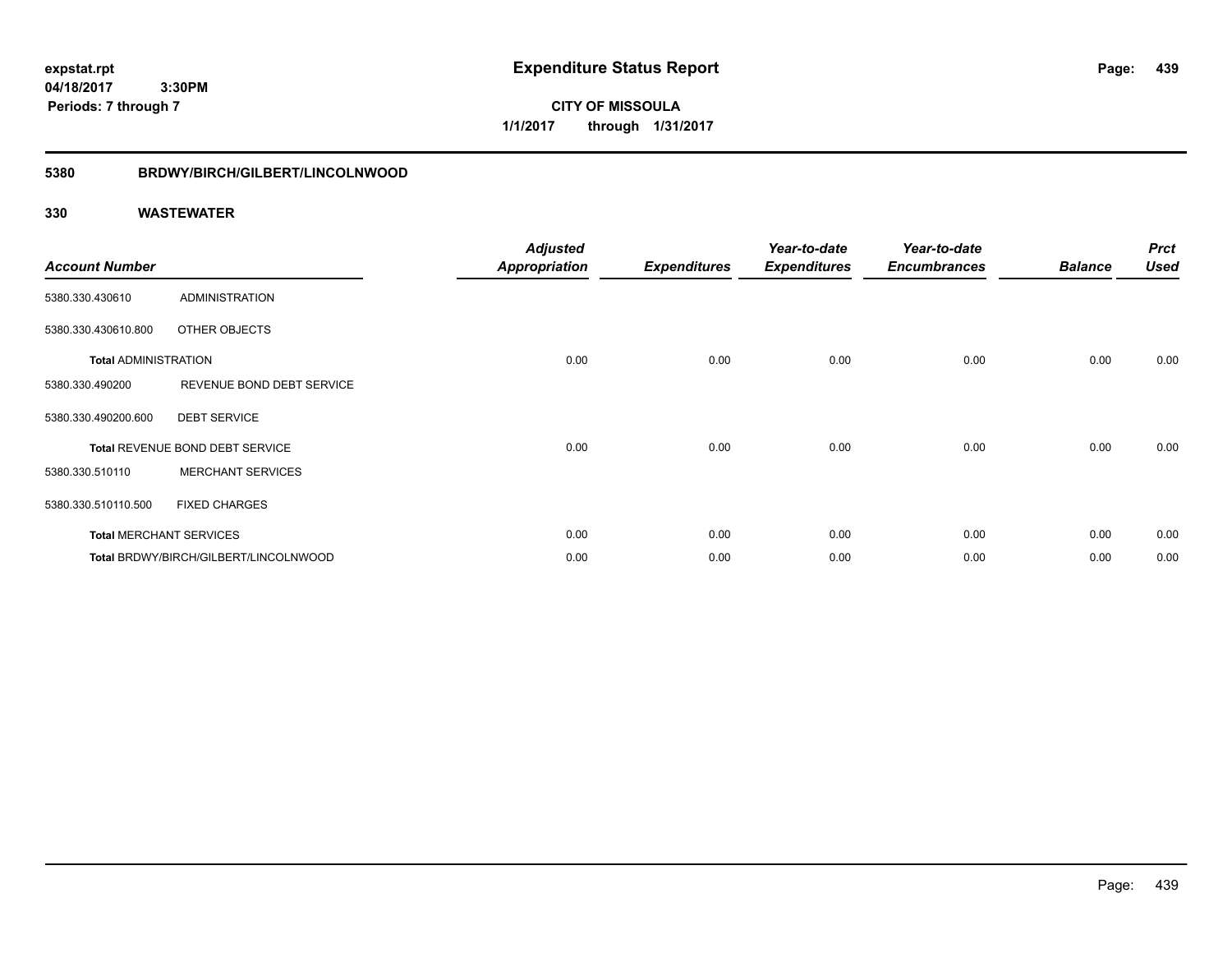**CITY OF MISSOULA 1/1/2017 through 1/31/2017**

### **5380 BRDWY/BIRCH/GILBERT/LINCOLNWOOD**

| <b>Account Number</b>       |                                       | <b>Adjusted</b><br><b>Appropriation</b> | <b>Expenditures</b> | Year-to-date<br><b>Expenditures</b> | Year-to-date<br><b>Encumbrances</b> | <b>Balance</b> | <b>Prct</b><br><b>Used</b> |
|-----------------------------|---------------------------------------|-----------------------------------------|---------------------|-------------------------------------|-------------------------------------|----------------|----------------------------|
| 5380.330.430610             | <b>ADMINISTRATION</b>                 |                                         |                     |                                     |                                     |                |                            |
| 5380.330.430610.800         | OTHER OBJECTS                         |                                         |                     |                                     |                                     |                |                            |
| <b>Total ADMINISTRATION</b> |                                       | 0.00                                    | 0.00                | 0.00                                | 0.00                                | 0.00           | 0.00                       |
| 5380.330.490200             | REVENUE BOND DEBT SERVICE             |                                         |                     |                                     |                                     |                |                            |
| 5380.330.490200.600         | <b>DEBT SERVICE</b>                   |                                         |                     |                                     |                                     |                |                            |
|                             | Total REVENUE BOND DEBT SERVICE       | 0.00                                    | 0.00                | 0.00                                | 0.00                                | 0.00           | 0.00                       |
| 5380.330.510110             | <b>MERCHANT SERVICES</b>              |                                         |                     |                                     |                                     |                |                            |
| 5380.330.510110.500         | <b>FIXED CHARGES</b>                  |                                         |                     |                                     |                                     |                |                            |
|                             | <b>Total MERCHANT SERVICES</b>        | 0.00                                    | 0.00                | 0.00                                | 0.00                                | 0.00           | 0.00                       |
|                             | Total BRDWY/BIRCH/GILBERT/LINCOLNWOOD | 0.00                                    | 0.00                | 0.00                                | 0.00                                | 0.00           | 0.00                       |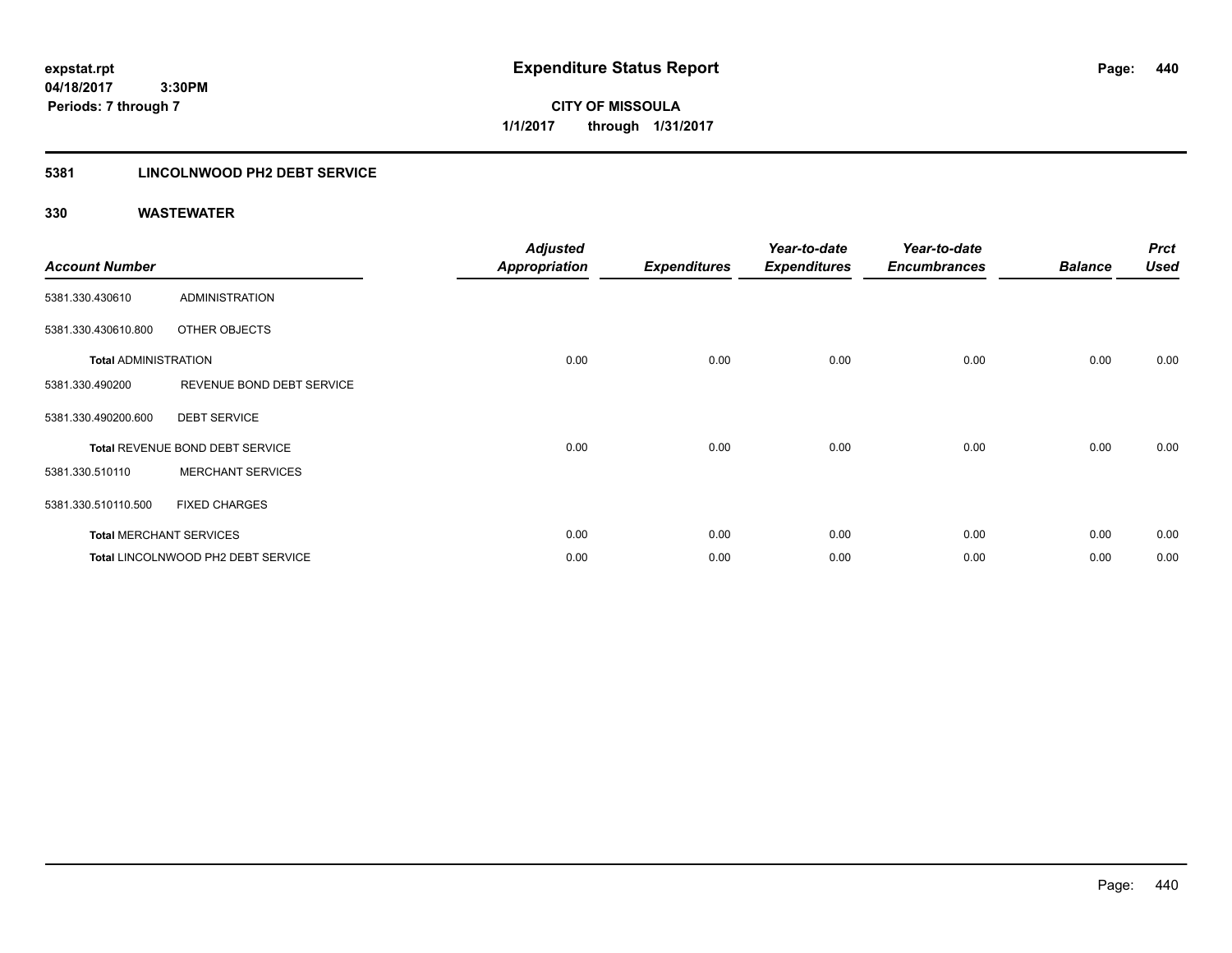**CITY OF MISSOULA 1/1/2017 through 1/31/2017**

### **5381 LINCOLNWOOD PH2 DEBT SERVICE**

| <b>Account Number</b>       |                                    | <b>Adjusted</b><br><b>Appropriation</b> | <b>Expenditures</b> | Year-to-date<br><b>Expenditures</b> | Year-to-date<br><b>Encumbrances</b> | <b>Balance</b> | <b>Prct</b><br><b>Used</b> |
|-----------------------------|------------------------------------|-----------------------------------------|---------------------|-------------------------------------|-------------------------------------|----------------|----------------------------|
| 5381.330.430610             | <b>ADMINISTRATION</b>              |                                         |                     |                                     |                                     |                |                            |
| 5381.330.430610.800         | OTHER OBJECTS                      |                                         |                     |                                     |                                     |                |                            |
| <b>Total ADMINISTRATION</b> |                                    | 0.00                                    | 0.00                | 0.00                                | 0.00                                | 0.00           | 0.00                       |
| 5381.330.490200             | REVENUE BOND DEBT SERVICE          |                                         |                     |                                     |                                     |                |                            |
| 5381.330.490200.600         | <b>DEBT SERVICE</b>                |                                         |                     |                                     |                                     |                |                            |
|                             | Total REVENUE BOND DEBT SERVICE    | 0.00                                    | 0.00                | 0.00                                | 0.00                                | 0.00           | 0.00                       |
| 5381.330.510110             | <b>MERCHANT SERVICES</b>           |                                         |                     |                                     |                                     |                |                            |
| 5381.330.510110.500         | <b>FIXED CHARGES</b>               |                                         |                     |                                     |                                     |                |                            |
|                             | <b>Total MERCHANT SERVICES</b>     | 0.00                                    | 0.00                | 0.00                                | 0.00                                | 0.00           | 0.00                       |
|                             | Total LINCOLNWOOD PH2 DEBT SERVICE | 0.00                                    | 0.00                | 0.00                                | 0.00                                | 0.00           | 0.00                       |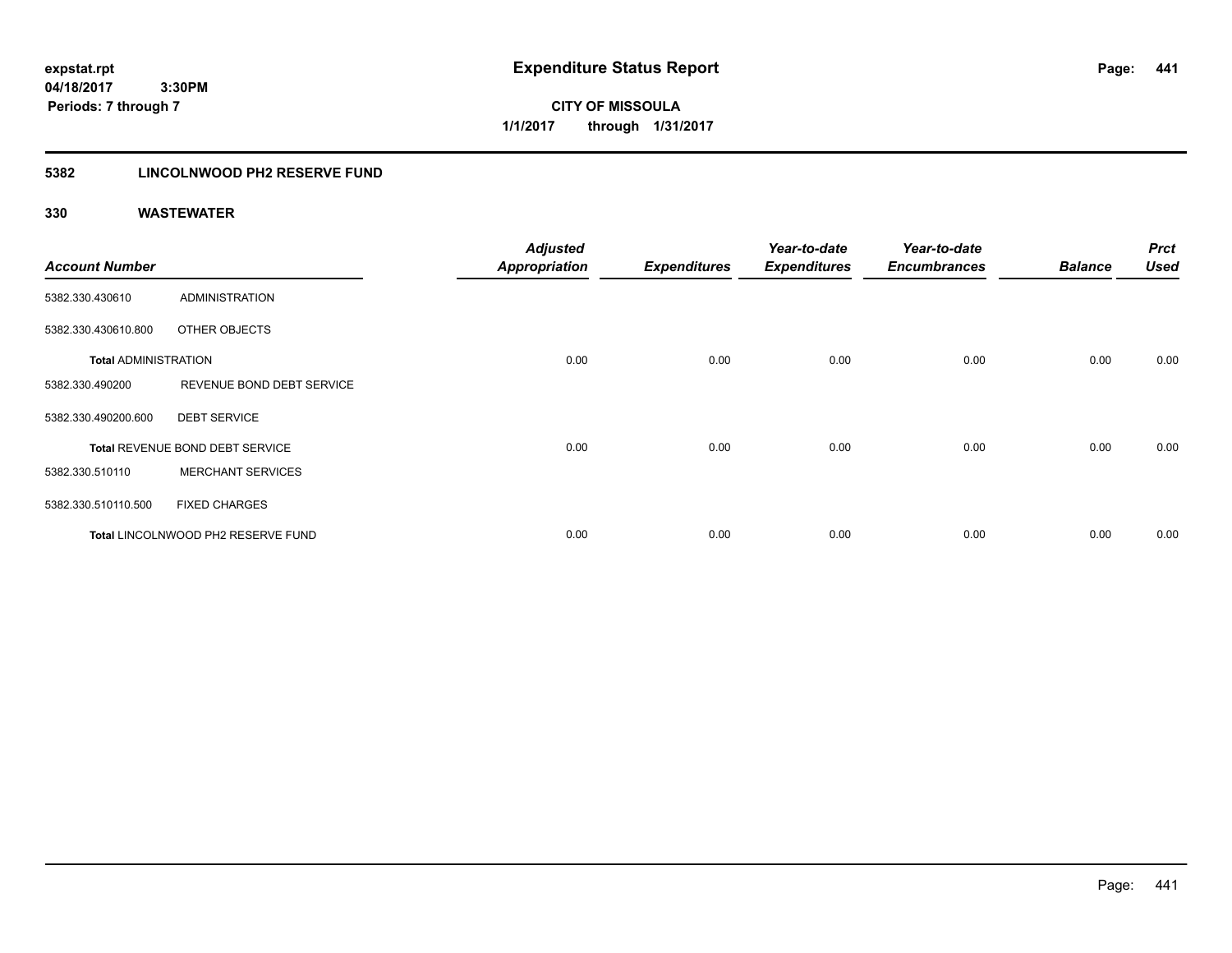**CITY OF MISSOULA 1/1/2017 through 1/31/2017**

### **5382 LINCOLNWOOD PH2 RESERVE FUND**

| <b>Account Number</b>       |                                    | <b>Adjusted</b><br><b>Appropriation</b> | <b>Expenditures</b> | Year-to-date<br><b>Expenditures</b> | Year-to-date<br><b>Encumbrances</b> | <b>Balance</b> | <b>Prct</b><br><b>Used</b> |
|-----------------------------|------------------------------------|-----------------------------------------|---------------------|-------------------------------------|-------------------------------------|----------------|----------------------------|
| 5382.330.430610             | <b>ADMINISTRATION</b>              |                                         |                     |                                     |                                     |                |                            |
| 5382.330.430610.800         | OTHER OBJECTS                      |                                         |                     |                                     |                                     |                |                            |
| <b>Total ADMINISTRATION</b> |                                    | 0.00                                    | 0.00                | 0.00                                | 0.00                                | 0.00           | 0.00                       |
| 5382.330.490200             | REVENUE BOND DEBT SERVICE          |                                         |                     |                                     |                                     |                |                            |
| 5382.330.490200.600         | <b>DEBT SERVICE</b>                |                                         |                     |                                     |                                     |                |                            |
|                             | Total REVENUE BOND DEBT SERVICE    | 0.00                                    | 0.00                | 0.00                                | 0.00                                | 0.00           | 0.00                       |
| 5382.330.510110             | <b>MERCHANT SERVICES</b>           |                                         |                     |                                     |                                     |                |                            |
| 5382.330.510110.500         | <b>FIXED CHARGES</b>               |                                         |                     |                                     |                                     |                |                            |
|                             | Total LINCOLNWOOD PH2 RESERVE FUND | 0.00                                    | 0.00                | 0.00                                | 0.00                                | 0.00           | 0.00                       |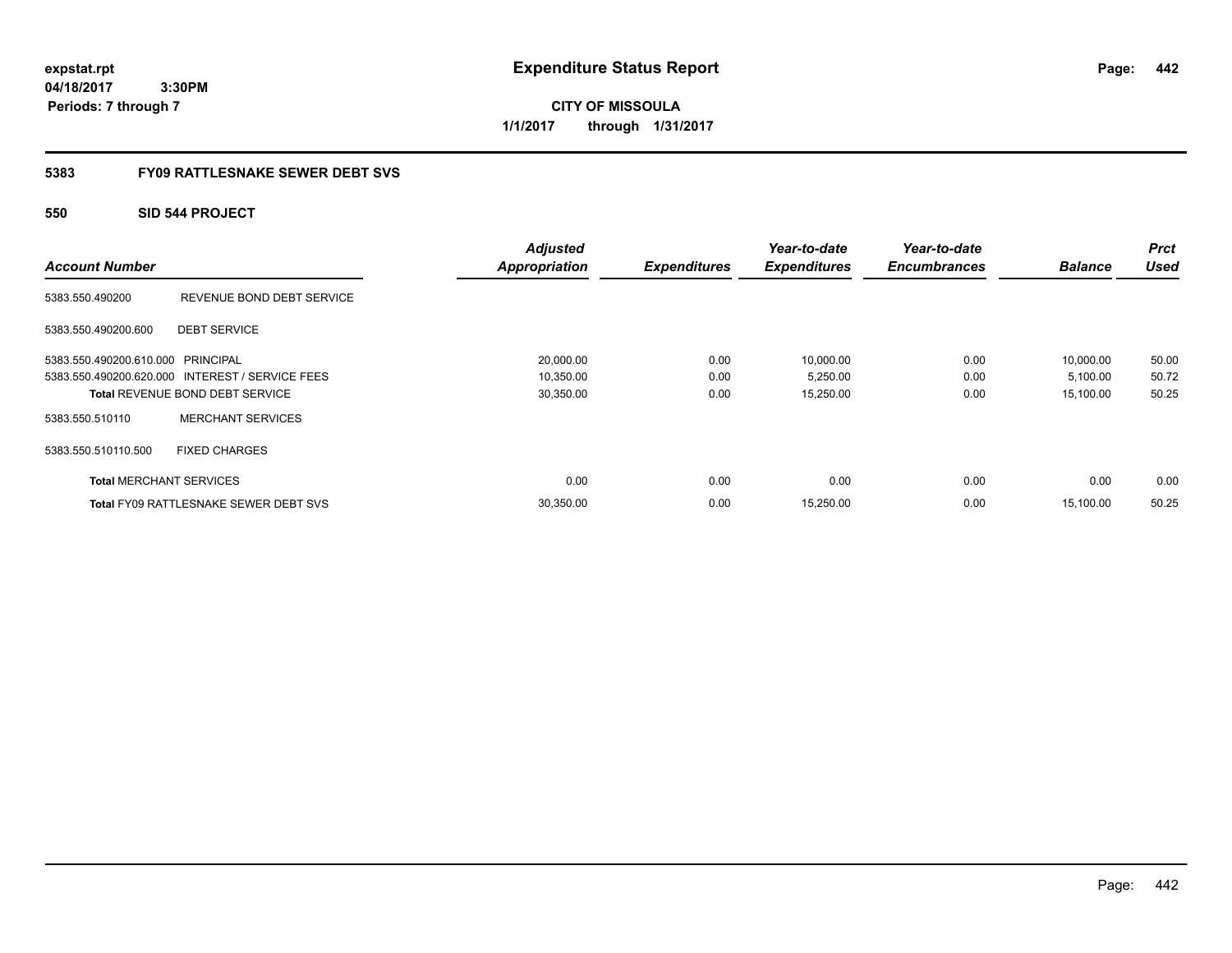**CITY OF MISSOULA 1/1/2017 through 1/31/2017**

### **5383 FY09 RATTLESNAKE SEWER DEBT SVS**

### **550 SID 544 PROJECT**

| <b>Account Number</b>             |                                                 | <b>Adjusted</b><br><b>Appropriation</b> | <b>Expenditures</b> | Year-to-date<br><b>Expenditures</b> | Year-to-date<br><b>Encumbrances</b> | <b>Balance</b> | <b>Prct</b><br><b>Used</b> |
|-----------------------------------|-------------------------------------------------|-----------------------------------------|---------------------|-------------------------------------|-------------------------------------|----------------|----------------------------|
| 5383.550.490200                   | REVENUE BOND DEBT SERVICE                       |                                         |                     |                                     |                                     |                |                            |
| 5383.550.490200.600               | <b>DEBT SERVICE</b>                             |                                         |                     |                                     |                                     |                |                            |
| 5383.550.490200.610.000 PRINCIPAL |                                                 | 20,000.00                               | 0.00                | 10,000.00                           | 0.00                                | 10,000.00      | 50.00                      |
|                                   | 5383.550.490200.620.000 INTEREST / SERVICE FEES | 10,350.00                               | 0.00                | 5,250.00                            | 0.00                                | 5,100.00       | 50.72                      |
|                                   | <b>Total REVENUE BOND DEBT SERVICE</b>          | 30,350.00                               | 0.00                | 15,250.00                           | 0.00                                | 15,100.00      | 50.25                      |
| 5383.550.510110                   | <b>MERCHANT SERVICES</b>                        |                                         |                     |                                     |                                     |                |                            |
| 5383.550.510110.500               | <b>FIXED CHARGES</b>                            |                                         |                     |                                     |                                     |                |                            |
| <b>Total MERCHANT SERVICES</b>    |                                                 | 0.00                                    | 0.00                | 0.00                                | 0.00                                | 0.00           | 0.00                       |
|                                   | <b>Total FY09 RATTLESNAKE SEWER DEBT SVS</b>    | 30,350.00                               | 0.00                | 15,250.00                           | 0.00                                | 15.100.00      | 50.25                      |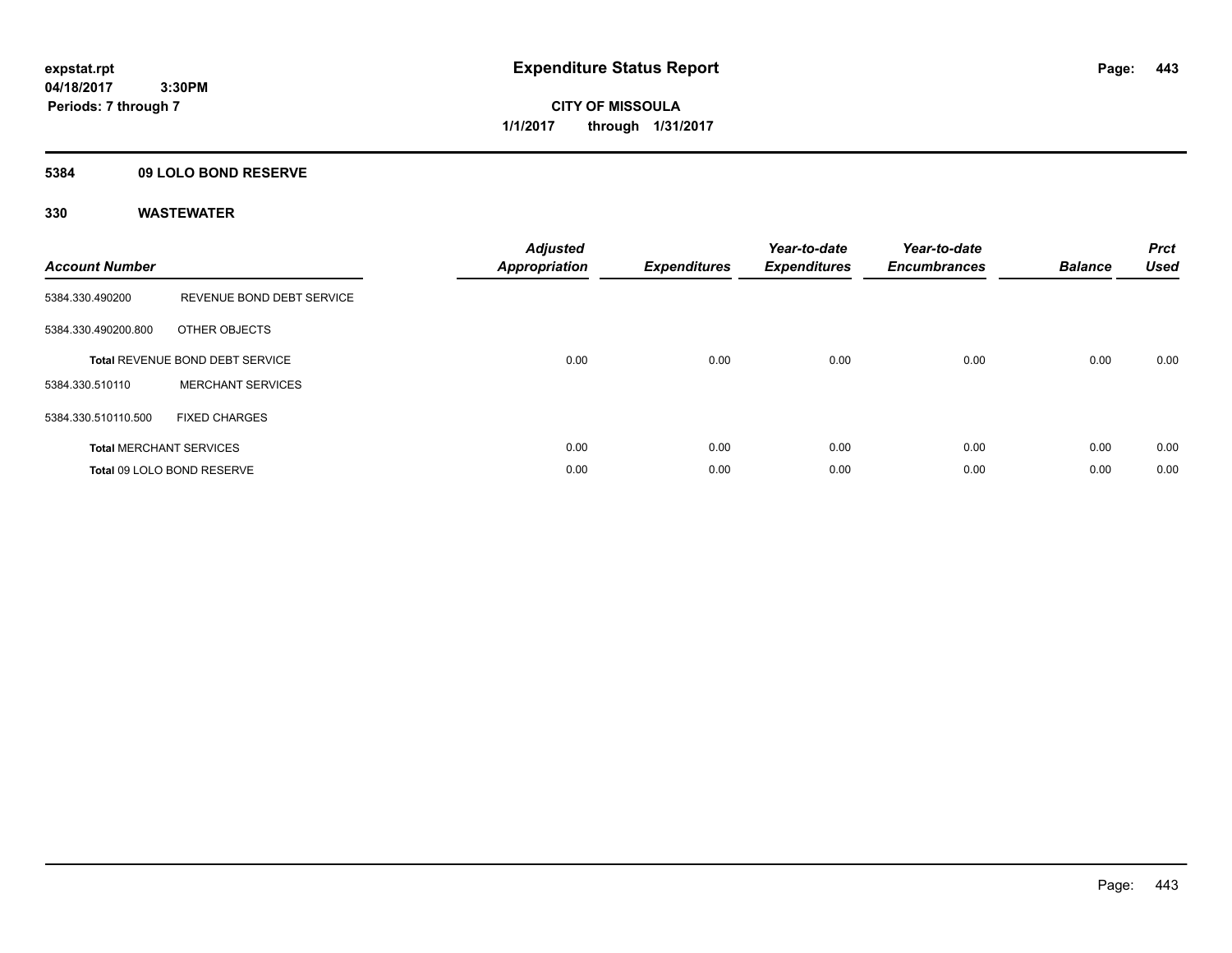**CITY OF MISSOULA 1/1/2017 through 1/31/2017**

### **5384 09 LOLO BOND RESERVE**

| <b>Account Number</b> |                                        | <b>Adjusted</b><br>Appropriation | <b>Expenditures</b> | Year-to-date<br><b>Expenditures</b> | Year-to-date<br><b>Encumbrances</b> | <b>Balance</b> | <b>Prct</b><br><b>Used</b> |
|-----------------------|----------------------------------------|----------------------------------|---------------------|-------------------------------------|-------------------------------------|----------------|----------------------------|
| 5384.330.490200       | REVENUE BOND DEBT SERVICE              |                                  |                     |                                     |                                     |                |                            |
| 5384.330.490200.800   | OTHER OBJECTS                          |                                  |                     |                                     |                                     |                |                            |
|                       | <b>Total REVENUE BOND DEBT SERVICE</b> | 0.00                             | 0.00                | 0.00                                | 0.00                                | 0.00           | 0.00                       |
| 5384.330.510110       | <b>MERCHANT SERVICES</b>               |                                  |                     |                                     |                                     |                |                            |
| 5384.330.510110.500   | <b>FIXED CHARGES</b>                   |                                  |                     |                                     |                                     |                |                            |
|                       | <b>Total MERCHANT SERVICES</b>         | 0.00                             | 0.00                | 0.00                                | 0.00                                | 0.00           | 0.00                       |
|                       | Total 09 LOLO BOND RESERVE             | 0.00                             | 0.00                | 0.00                                | 0.00                                | 0.00           | 0.00                       |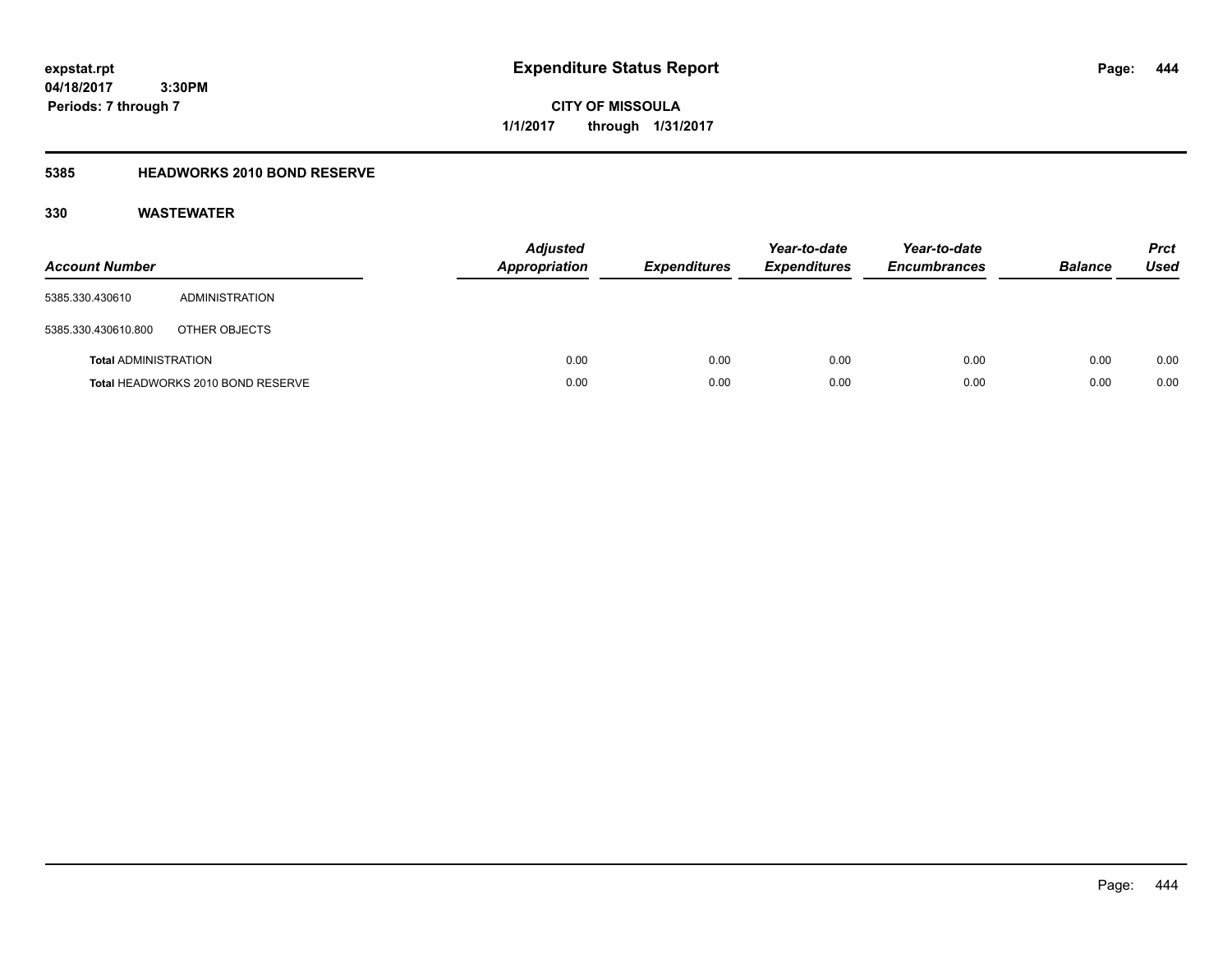**CITY OF MISSOULA 1/1/2017 through 1/31/2017**

### **5385 HEADWORKS 2010 BOND RESERVE**

| <b>Account Number</b>       |                                   | <b>Adjusted</b><br>Appropriation | <b>Expenditures</b> | Year-to-date<br><b>Expenditures</b> | Year-to-date<br><b>Encumbrances</b> | <b>Balance</b> | <b>Prct</b><br><b>Used</b> |
|-----------------------------|-----------------------------------|----------------------------------|---------------------|-------------------------------------|-------------------------------------|----------------|----------------------------|
| 5385.330.430610             | ADMINISTRATION                    |                                  |                     |                                     |                                     |                |                            |
| 5385.330.430610.800         | OTHER OBJECTS                     |                                  |                     |                                     |                                     |                |                            |
| <b>Total ADMINISTRATION</b> |                                   | 0.00                             | 0.00                | 0.00                                | 0.00                                | 0.00           | 0.00                       |
|                             | Total HEADWORKS 2010 BOND RESERVE | 0.00                             | 0.00                | 0.00                                | 0.00                                | 0.00           | 0.00                       |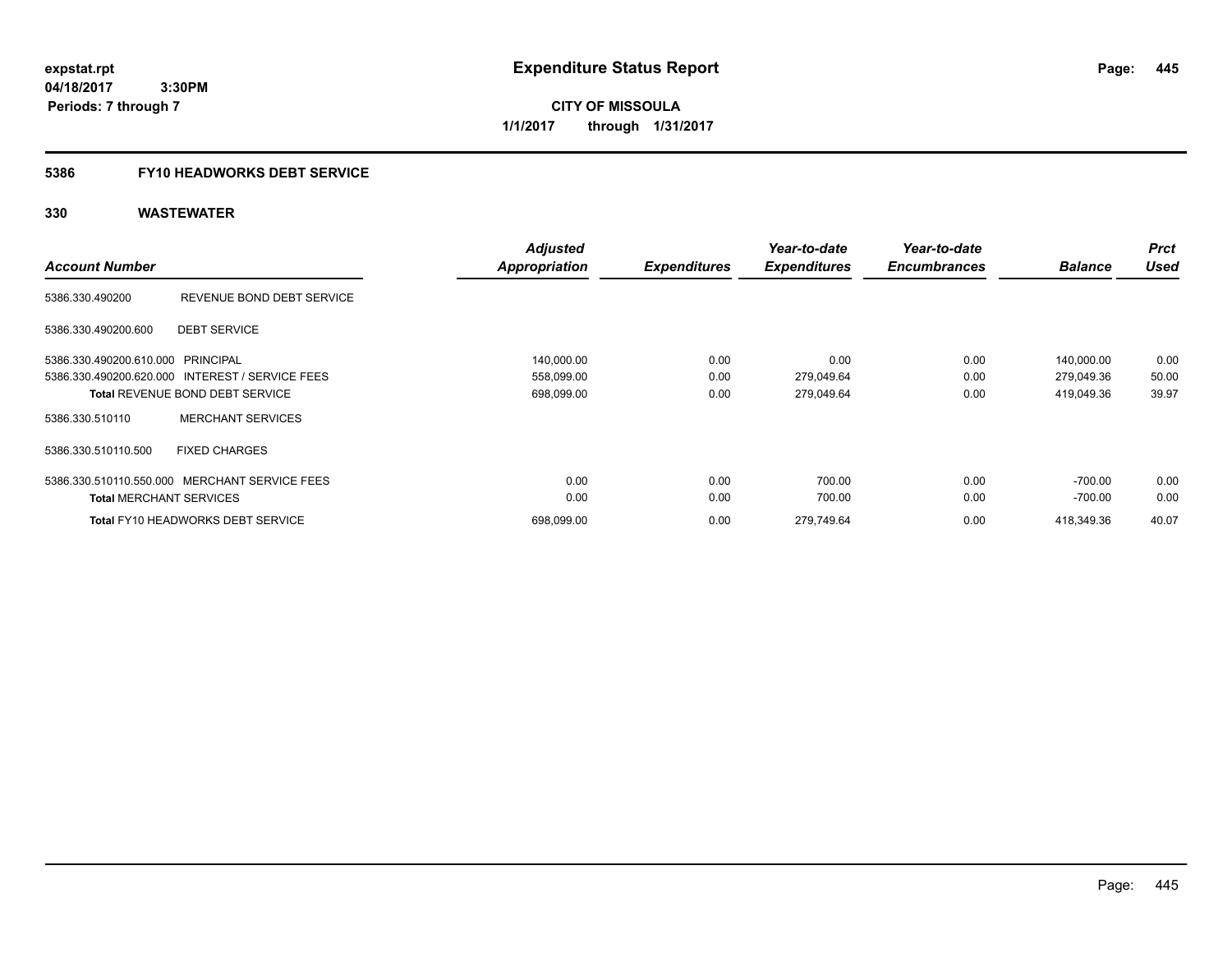**CITY OF MISSOULA 1/1/2017 through 1/31/2017**

### **5386 FY10 HEADWORKS DEBT SERVICE**

| <b>Account Number</b>             |                                                 | <b>Adjusted</b><br><b>Appropriation</b> | <b>Expenditures</b> | Year-to-date<br><b>Expenditures</b> | Year-to-date<br><b>Encumbrances</b> | <b>Balance</b> | <b>Prct</b><br><b>Used</b> |
|-----------------------------------|-------------------------------------------------|-----------------------------------------|---------------------|-------------------------------------|-------------------------------------|----------------|----------------------------|
|                                   |                                                 |                                         |                     |                                     |                                     |                |                            |
| 5386.330.490200                   | REVENUE BOND DEBT SERVICE                       |                                         |                     |                                     |                                     |                |                            |
| 5386.330.490200.600               | <b>DEBT SERVICE</b>                             |                                         |                     |                                     |                                     |                |                            |
| 5386.330.490200.610.000 PRINCIPAL |                                                 | 140,000.00                              | 0.00                | 0.00                                | 0.00                                | 140.000.00     | 0.00                       |
|                                   | 5386.330.490200.620.000 INTEREST / SERVICE FEES | 558,099.00                              | 0.00                | 279,049.64                          | 0.00                                | 279,049.36     | 50.00                      |
|                                   | <b>Total REVENUE BOND DEBT SERVICE</b>          | 698,099.00                              | 0.00                | 279,049.64                          | 0.00                                | 419,049.36     | 39.97                      |
| 5386.330.510110                   | <b>MERCHANT SERVICES</b>                        |                                         |                     |                                     |                                     |                |                            |
| 5386.330.510110.500               | <b>FIXED CHARGES</b>                            |                                         |                     |                                     |                                     |                |                            |
|                                   | 5386.330.510110.550.000 MERCHANT SERVICE FEES   | 0.00                                    | 0.00                | 700.00                              | 0.00                                | $-700.00$      | 0.00                       |
| <b>Total MERCHANT SERVICES</b>    |                                                 | 0.00                                    | 0.00                | 700.00                              | 0.00                                | $-700.00$      | 0.00                       |
|                                   | <b>Total FY10 HEADWORKS DEBT SERVICE</b>        | 698.099.00                              | 0.00                | 279.749.64                          | 0.00                                | 418.349.36     | 40.07                      |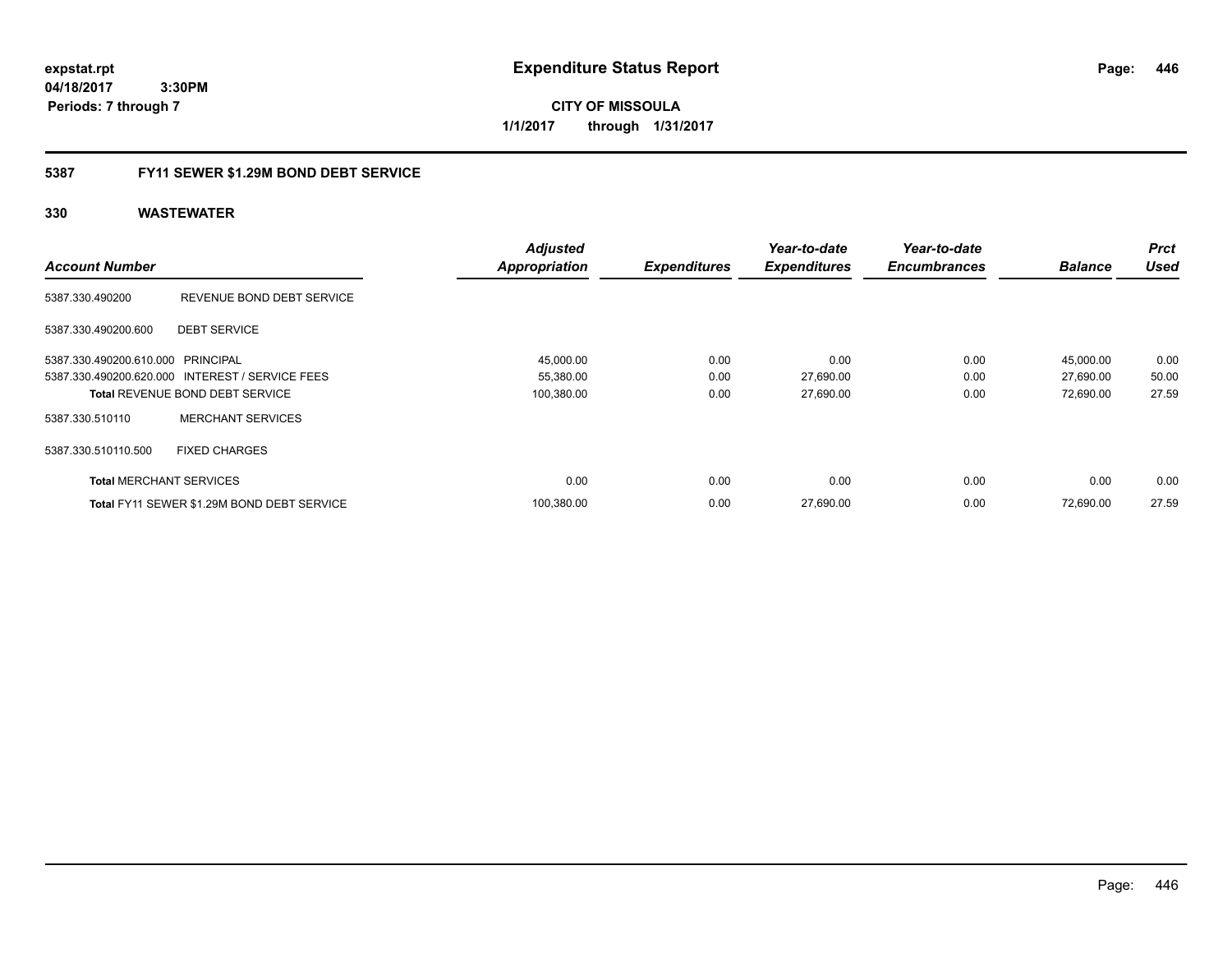**CITY OF MISSOULA 1/1/2017 through 1/31/2017**

### **5387 FY11 SEWER \$1.29M BOND DEBT SERVICE**

|                                   |                                                 | <b>Adjusted</b>      |                     | Year-to-date        | Year-to-date        |                | <b>Prct</b> |
|-----------------------------------|-------------------------------------------------|----------------------|---------------------|---------------------|---------------------|----------------|-------------|
| <b>Account Number</b>             |                                                 | <b>Appropriation</b> | <b>Expenditures</b> | <b>Expenditures</b> | <b>Encumbrances</b> | <b>Balance</b> | <b>Used</b> |
| 5387.330.490200                   | REVENUE BOND DEBT SERVICE                       |                      |                     |                     |                     |                |             |
| 5387.330.490200.600               | <b>DEBT SERVICE</b>                             |                      |                     |                     |                     |                |             |
| 5387.330.490200.610.000 PRINCIPAL |                                                 | 45,000.00            | 0.00                | 0.00                | 0.00                | 45,000.00      | 0.00        |
|                                   | 5387.330.490200.620.000 INTEREST / SERVICE FEES | 55,380.00            | 0.00                | 27,690.00           | 0.00                | 27,690.00      | 50.00       |
|                                   | <b>Total REVENUE BOND DEBT SERVICE</b>          | 100,380.00           | 0.00                | 27,690.00           | 0.00                | 72,690.00      | 27.59       |
| 5387.330.510110                   | <b>MERCHANT SERVICES</b>                        |                      |                     |                     |                     |                |             |
| 5387.330.510110.500               | <b>FIXED CHARGES</b>                            |                      |                     |                     |                     |                |             |
| <b>Total MERCHANT SERVICES</b>    |                                                 | 0.00                 | 0.00                | 0.00                | 0.00                | 0.00           | 0.00        |
|                                   | Total FY11 SEWER \$1.29M BOND DEBT SERVICE      | 100,380.00           | 0.00                | 27,690.00           | 0.00                | 72.690.00      | 27.59       |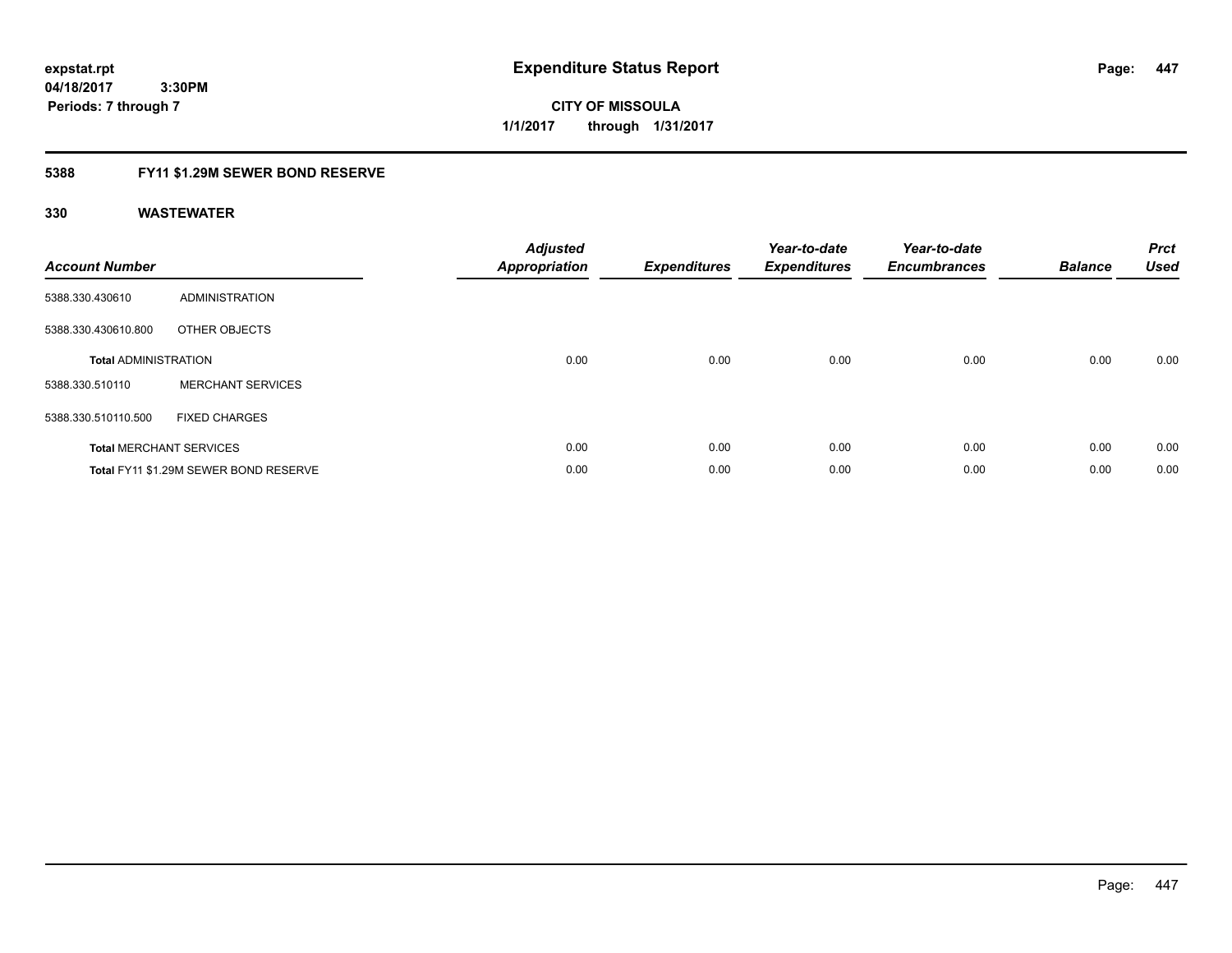**447**

**04/18/2017 3:30PM Periods: 7 through 7**

**CITY OF MISSOULA 1/1/2017 through 1/31/2017**

### **5388 FY11 \$1.29M SEWER BOND RESERVE**

| <b>Account Number</b>       |                                       | <b>Adjusted</b><br><b>Appropriation</b> | <b>Expenditures</b> | Year-to-date<br><b>Expenditures</b> | Year-to-date<br><b>Encumbrances</b> | <b>Balance</b> | <b>Prct</b><br><b>Used</b> |
|-----------------------------|---------------------------------------|-----------------------------------------|---------------------|-------------------------------------|-------------------------------------|----------------|----------------------------|
| 5388.330.430610             | <b>ADMINISTRATION</b>                 |                                         |                     |                                     |                                     |                |                            |
| 5388.330.430610.800         | OTHER OBJECTS                         |                                         |                     |                                     |                                     |                |                            |
| <b>Total ADMINISTRATION</b> |                                       | 0.00                                    | 0.00                | 0.00                                | 0.00                                | 0.00           | 0.00                       |
| 5388.330.510110             | <b>MERCHANT SERVICES</b>              |                                         |                     |                                     |                                     |                |                            |
| 5388.330.510110.500         | <b>FIXED CHARGES</b>                  |                                         |                     |                                     |                                     |                |                            |
|                             | <b>Total MERCHANT SERVICES</b>        | 0.00                                    | 0.00                | 0.00                                | 0.00                                | 0.00           | 0.00                       |
|                             | Total FY11 \$1.29M SEWER BOND RESERVE | 0.00                                    | 0.00                | 0.00                                | 0.00                                | 0.00           | 0.00                       |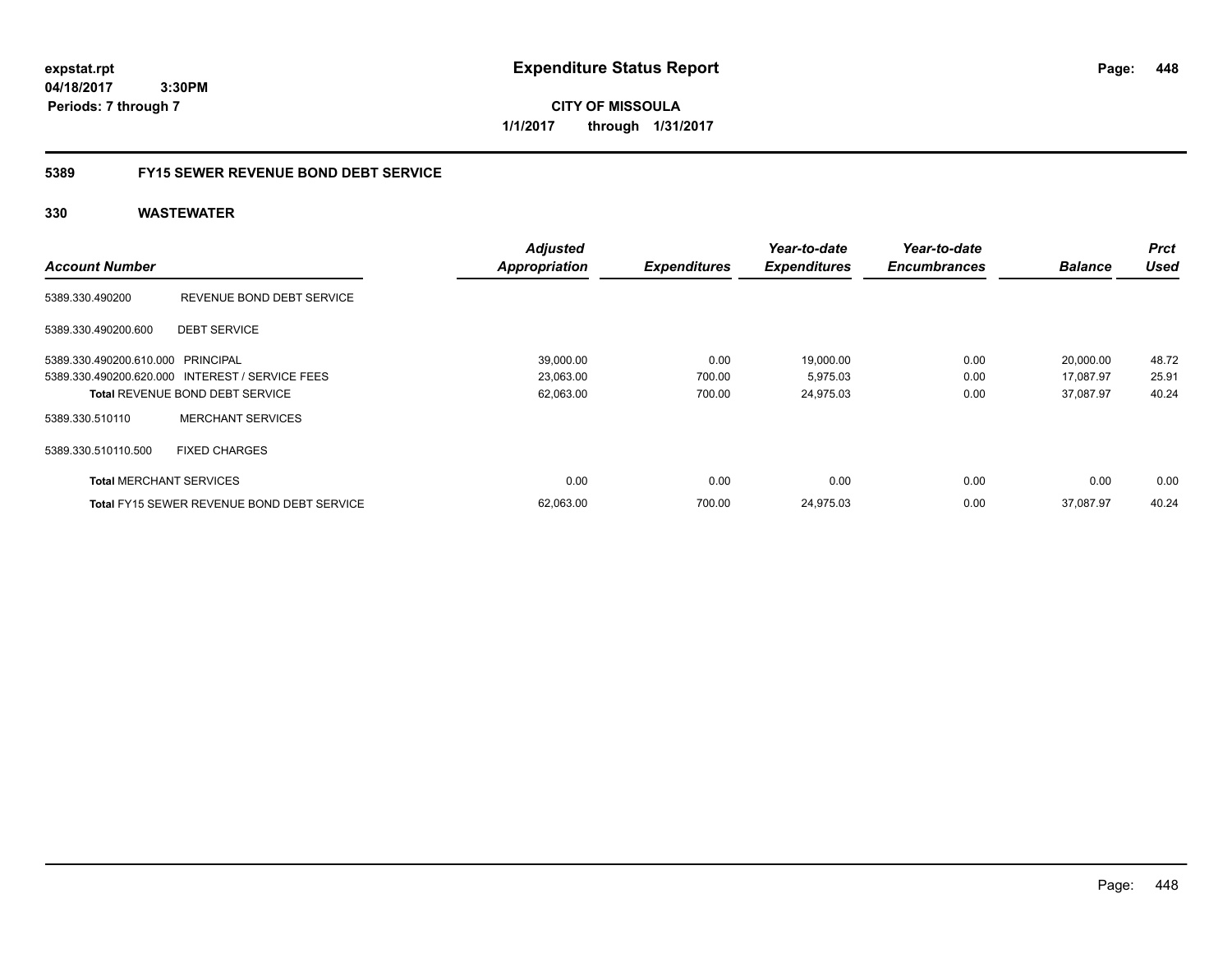**CITY OF MISSOULA 1/1/2017 through 1/31/2017**

### **5389 FY15 SEWER REVENUE BOND DEBT SERVICE**

|                                   |                                                   | <b>Adjusted</b>      |                     | Year-to-date        | Year-to-date        |                | <b>Prct</b> |
|-----------------------------------|---------------------------------------------------|----------------------|---------------------|---------------------|---------------------|----------------|-------------|
| <b>Account Number</b>             |                                                   | <b>Appropriation</b> | <b>Expenditures</b> | <b>Expenditures</b> | <b>Encumbrances</b> | <b>Balance</b> | <b>Used</b> |
| 5389.330.490200                   | REVENUE BOND DEBT SERVICE                         |                      |                     |                     |                     |                |             |
| 5389.330.490200.600               | <b>DEBT SERVICE</b>                               |                      |                     |                     |                     |                |             |
| 5389.330.490200.610.000 PRINCIPAL |                                                   | 39,000.00            | 0.00                | 19,000.00           | 0.00                | 20,000.00      | 48.72       |
|                                   | 5389.330.490200.620.000 INTEREST / SERVICE FEES   | 23,063.00            | 700.00              | 5,975.03            | 0.00                | 17,087.97      | 25.91       |
|                                   | <b>Total REVENUE BOND DEBT SERVICE</b>            | 62,063.00            | 700.00              | 24,975.03           | 0.00                | 37.087.97      | 40.24       |
| 5389.330.510110                   | <b>MERCHANT SERVICES</b>                          |                      |                     |                     |                     |                |             |
| 5389.330.510110.500               | <b>FIXED CHARGES</b>                              |                      |                     |                     |                     |                |             |
| <b>Total MERCHANT SERVICES</b>    |                                                   | 0.00                 | 0.00                | 0.00                | 0.00                | 0.00           | 0.00        |
|                                   | <b>Total FY15 SEWER REVENUE BOND DEBT SERVICE</b> | 62,063.00            | 700.00              | 24.975.03           | 0.00                | 37.087.97      | 40.24       |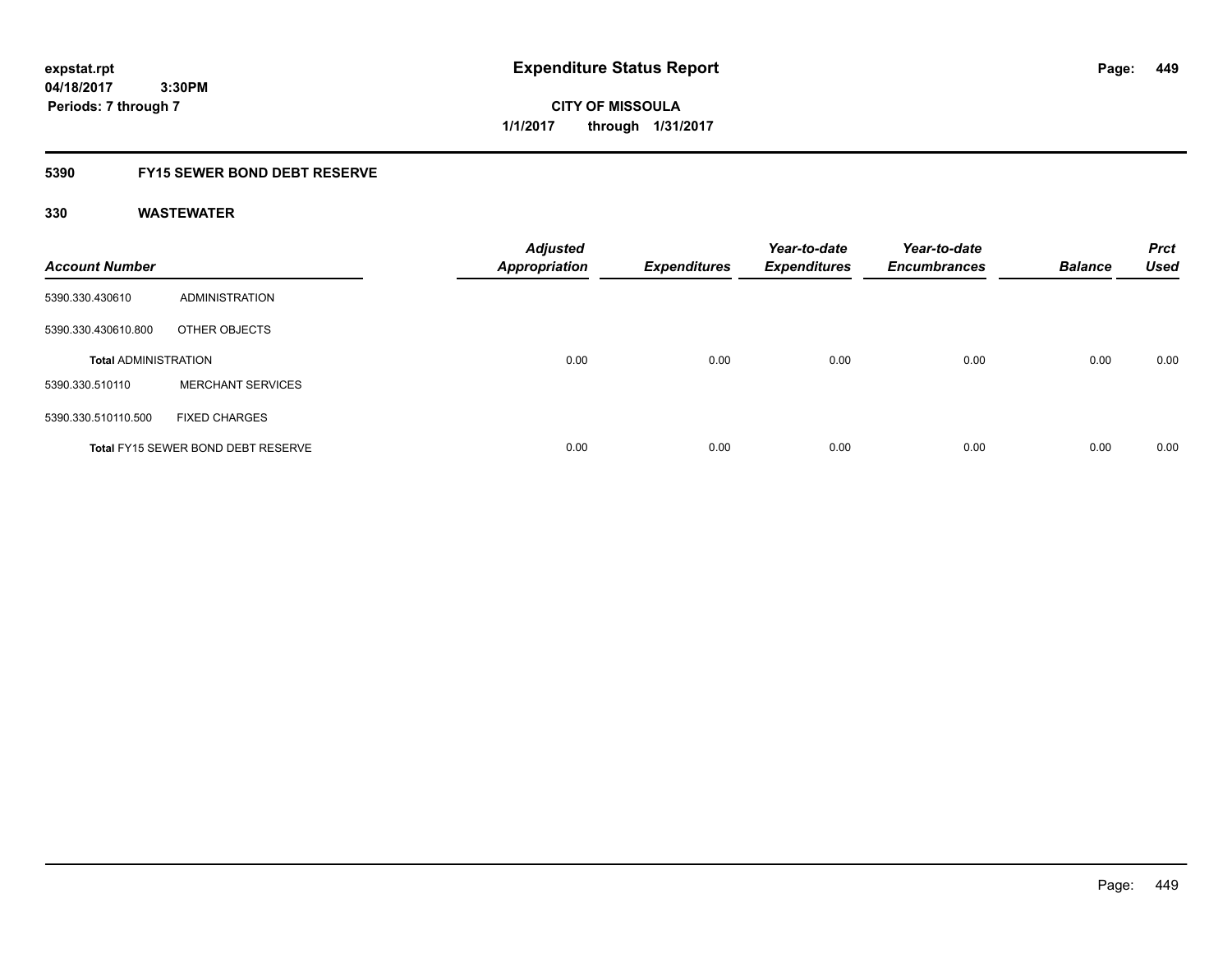**CITY OF MISSOULA 1/1/2017 through 1/31/2017**

### **5390 FY15 SEWER BOND DEBT RESERVE**

| <b>Account Number</b>       |                                           | <b>Adjusted</b><br><b>Appropriation</b> | <b>Expenditures</b> | Year-to-date<br><b>Expenditures</b> | Year-to-date<br><b>Encumbrances</b> | <b>Balance</b> | <b>Prct</b><br><b>Used</b> |
|-----------------------------|-------------------------------------------|-----------------------------------------|---------------------|-------------------------------------|-------------------------------------|----------------|----------------------------|
| 5390.330.430610             | ADMINISTRATION                            |                                         |                     |                                     |                                     |                |                            |
| 5390.330.430610.800         | OTHER OBJECTS                             |                                         |                     |                                     |                                     |                |                            |
| <b>Total ADMINISTRATION</b> |                                           | 0.00                                    | 0.00                | 0.00                                | 0.00                                | 0.00           | 0.00                       |
| 5390.330.510110             | <b>MERCHANT SERVICES</b>                  |                                         |                     |                                     |                                     |                |                            |
| 5390.330.510110.500         | <b>FIXED CHARGES</b>                      |                                         |                     |                                     |                                     |                |                            |
|                             | <b>Total FY15 SEWER BOND DEBT RESERVE</b> | 0.00                                    | 0.00                | 0.00                                | 0.00                                | 0.00           | 0.00                       |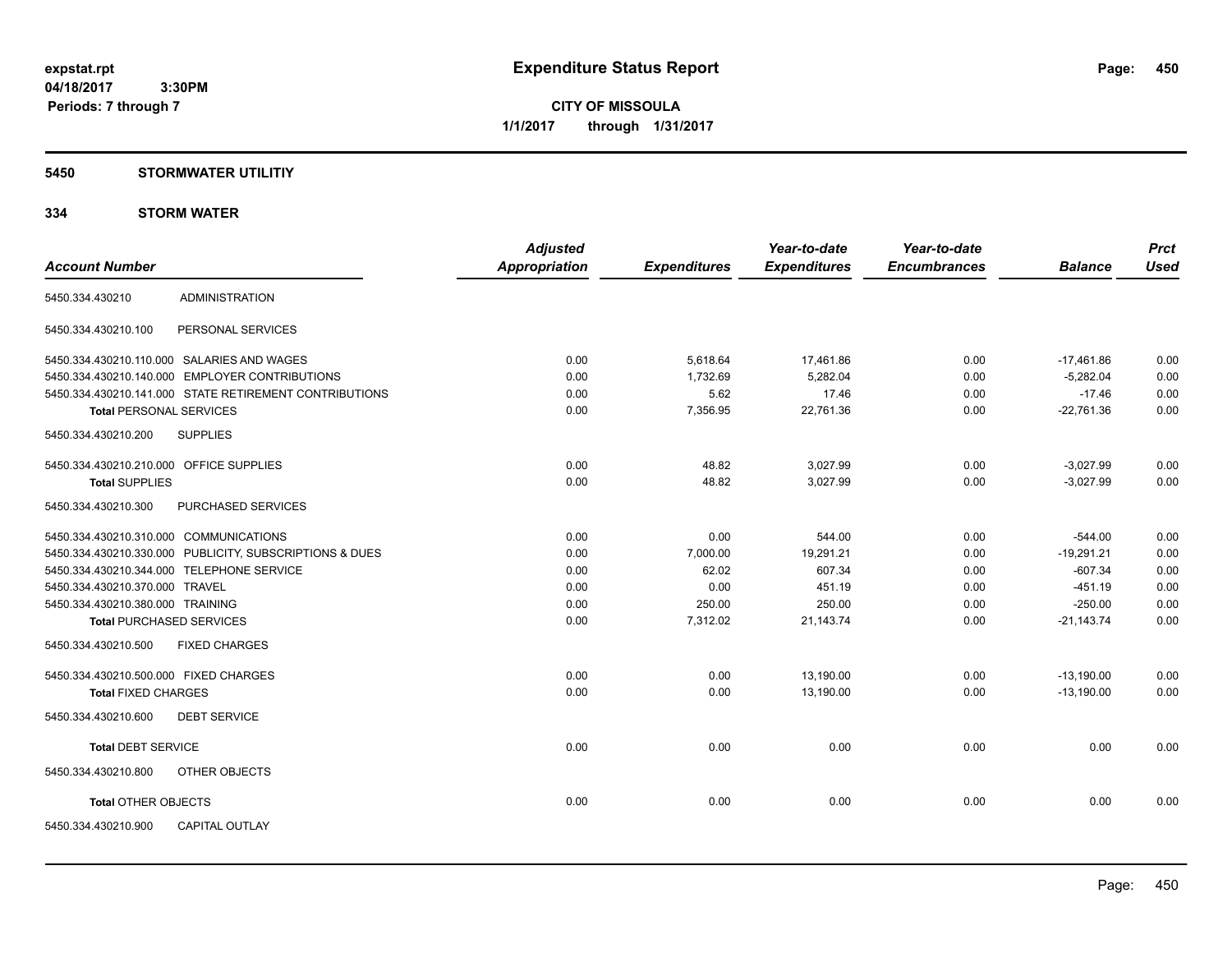**CITY OF MISSOULA 1/1/2017 through 1/31/2017**

### **5450 STORMWATER UTILITIY**

### **334 STORM WATER**

| <b>Account Number</b>                                   | <b>Adjusted</b><br><b>Appropriation</b> | <b>Expenditures</b> | Year-to-date<br><b>Expenditures</b> | Year-to-date<br><b>Encumbrances</b> | <b>Balance</b> | <b>Prct</b><br><b>Used</b> |
|---------------------------------------------------------|-----------------------------------------|---------------------|-------------------------------------|-------------------------------------|----------------|----------------------------|
| <b>ADMINISTRATION</b><br>5450.334.430210                |                                         |                     |                                     |                                     |                |                            |
| 5450.334.430210.100<br>PERSONAL SERVICES                |                                         |                     |                                     |                                     |                |                            |
| 5450.334.430210.110.000 SALARIES AND WAGES              | 0.00                                    | 5,618.64            | 17,461.86                           | 0.00                                | $-17,461.86$   | 0.00                       |
| 5450.334.430210.140.000 EMPLOYER CONTRIBUTIONS          | 0.00                                    | 1,732.69            | 5,282.04                            | 0.00                                | $-5,282.04$    | 0.00                       |
| 5450.334.430210.141.000 STATE RETIREMENT CONTRIBUTIONS  | 0.00                                    | 5.62                | 17.46                               | 0.00                                | $-17.46$       | 0.00                       |
| <b>Total PERSONAL SERVICES</b>                          | 0.00                                    | 7,356.95            | 22,761.36                           | 0.00                                | $-22,761.36$   | 0.00                       |
| <b>SUPPLIES</b><br>5450.334.430210.200                  |                                         |                     |                                     |                                     |                |                            |
| 5450.334.430210.210.000 OFFICE SUPPLIES                 | 0.00                                    | 48.82               | 3,027.99                            | 0.00                                | $-3,027.99$    | 0.00                       |
| <b>Total SUPPLIES</b>                                   | 0.00                                    | 48.82               | 3,027.99                            | 0.00                                | $-3,027.99$    | 0.00                       |
| 5450.334.430210.300<br>PURCHASED SERVICES               |                                         |                     |                                     |                                     |                |                            |
| 5450.334.430210.310.000 COMMUNICATIONS                  | 0.00                                    | 0.00                | 544.00                              | 0.00                                | $-544.00$      | 0.00                       |
| 5450.334.430210.330.000 PUBLICITY, SUBSCRIPTIONS & DUES | 0.00                                    | 7,000.00            | 19,291.21                           | 0.00                                | $-19,291.21$   | 0.00                       |
| 5450.334.430210.344.000 TELEPHONE SERVICE               | 0.00                                    | 62.02               | 607.34                              | 0.00                                | $-607.34$      | 0.00                       |
| 5450.334.430210.370.000 TRAVEL                          | 0.00                                    | 0.00                | 451.19                              | 0.00                                | $-451.19$      | 0.00                       |
| 5450.334.430210.380.000 TRAINING                        | 0.00                                    | 250.00              | 250.00                              | 0.00                                | $-250.00$      | 0.00                       |
| <b>Total PURCHASED SERVICES</b>                         | 0.00                                    | 7,312.02            | 21,143.74                           | 0.00                                | $-21,143.74$   | 0.00                       |
| 5450.334.430210.500<br><b>FIXED CHARGES</b>             |                                         |                     |                                     |                                     |                |                            |
| 5450.334.430210.500.000 FIXED CHARGES                   | 0.00                                    | 0.00                | 13,190.00                           | 0.00                                | $-13,190.00$   | 0.00                       |
| <b>Total FIXED CHARGES</b>                              | 0.00                                    | 0.00                | 13,190.00                           | 0.00                                | $-13,190.00$   | 0.00                       |
| <b>DEBT SERVICE</b><br>5450.334.430210.600              |                                         |                     |                                     |                                     |                |                            |
| <b>Total DEBT SERVICE</b>                               | 0.00                                    | 0.00                | 0.00                                | 0.00                                | 0.00           | 0.00                       |
| 5450.334.430210.800<br>OTHER OBJECTS                    |                                         |                     |                                     |                                     |                |                            |
| <b>Total OTHER OBJECTS</b>                              | 0.00                                    | 0.00                | 0.00                                | 0.00                                | 0.00           | 0.00                       |
| <b>CAPITAL OUTLAY</b><br>5450.334.430210.900            |                                         |                     |                                     |                                     |                |                            |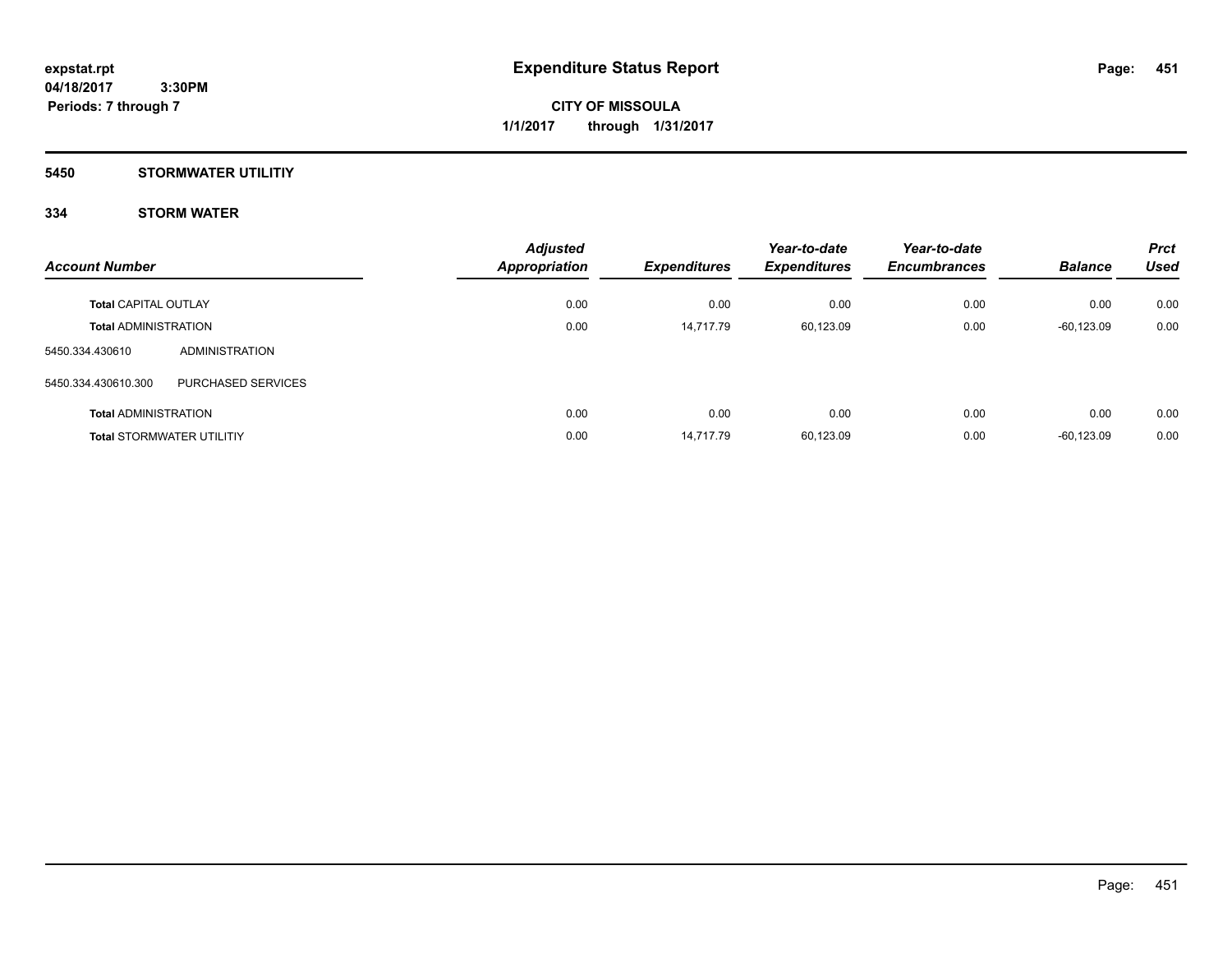**Periods: 7 through 7**

**CITY OF MISSOULA 1/1/2017 through 1/31/2017**

### **5450 STORMWATER UTILITIY**

 **3:30PM**

### **334 STORM WATER**

| <b>Account Number</b>       |                                  | <b>Adjusted</b><br><b>Appropriation</b> | <b>Expenditures</b> | Year-to-date<br><b>Expenditures</b> | Year-to-date<br><b>Encumbrances</b> | <b>Balance</b> | <b>Prct</b><br><b>Used</b> |
|-----------------------------|----------------------------------|-----------------------------------------|---------------------|-------------------------------------|-------------------------------------|----------------|----------------------------|
| <b>Total CAPITAL OUTLAY</b> |                                  | 0.00                                    | 0.00                | 0.00                                | 0.00                                | 0.00           | 0.00                       |
| <b>Total ADMINISTRATION</b> |                                  | 0.00                                    | 14.717.79           | 60,123.09                           | 0.00                                | $-60, 123.09$  | 0.00                       |
| 5450.334.430610             | ADMINISTRATION                   |                                         |                     |                                     |                                     |                |                            |
| 5450.334.430610.300         | PURCHASED SERVICES               |                                         |                     |                                     |                                     |                |                            |
| <b>Total ADMINISTRATION</b> |                                  | 0.00                                    | 0.00                | 0.00                                | 0.00                                | 0.00           | 0.00                       |
|                             | <b>Total STORMWATER UTILITIY</b> | 0.00                                    | 14.717.79           | 60,123.09                           | 0.00                                | $-60.123.09$   | 0.00                       |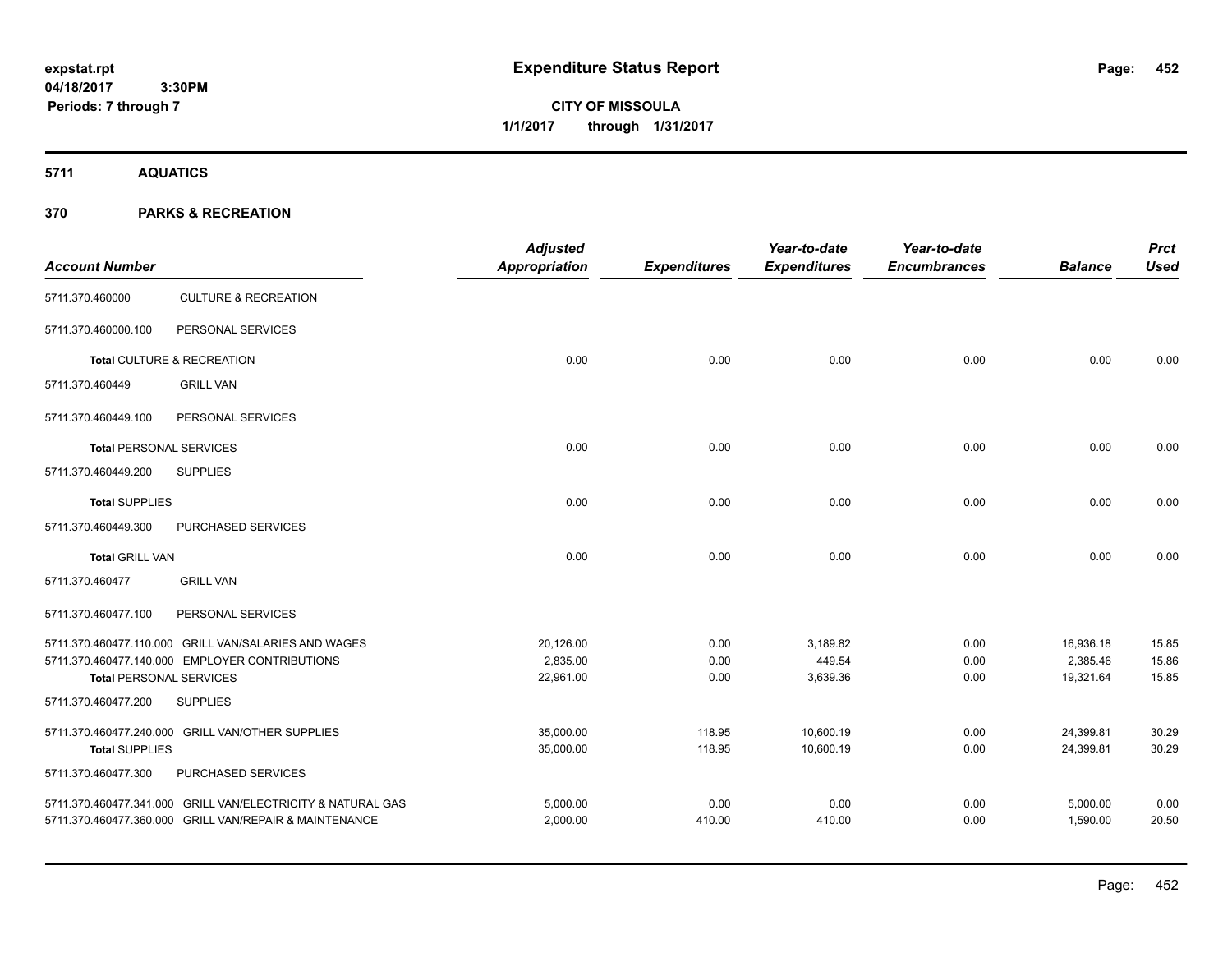# **CITY OF MISSOULA 1/1/2017 through 1/31/2017**

**5711 AQUATICS**

| <b>Account Number</b>          |                                                             | <b>Adjusted</b><br><b>Appropriation</b> | <b>Expenditures</b> | Year-to-date<br><b>Expenditures</b> | Year-to-date<br><b>Encumbrances</b> | <b>Balance</b>        | <b>Prct</b><br><b>Used</b> |
|--------------------------------|-------------------------------------------------------------|-----------------------------------------|---------------------|-------------------------------------|-------------------------------------|-----------------------|----------------------------|
| 5711.370.460000                | <b>CULTURE &amp; RECREATION</b>                             |                                         |                     |                                     |                                     |                       |                            |
| 5711.370.460000.100            | PERSONAL SERVICES                                           |                                         |                     |                                     |                                     |                       |                            |
|                                | Total CULTURE & RECREATION                                  | 0.00                                    | 0.00                | 0.00                                | 0.00                                | 0.00                  | 0.00                       |
| 5711.370.460449                | <b>GRILL VAN</b>                                            |                                         |                     |                                     |                                     |                       |                            |
| 5711.370.460449.100            | PERSONAL SERVICES                                           |                                         |                     |                                     |                                     |                       |                            |
| <b>Total PERSONAL SERVICES</b> |                                                             | 0.00                                    | 0.00                | 0.00                                | 0.00                                | 0.00                  | 0.00                       |
| 5711.370.460449.200            | <b>SUPPLIES</b>                                             |                                         |                     |                                     |                                     |                       |                            |
| <b>Total SUPPLIES</b>          |                                                             | 0.00                                    | 0.00                | 0.00                                | 0.00                                | 0.00                  | 0.00                       |
| 5711.370.460449.300            | PURCHASED SERVICES                                          |                                         |                     |                                     |                                     |                       |                            |
| <b>Total GRILL VAN</b>         |                                                             | 0.00                                    | 0.00                | 0.00                                | 0.00                                | 0.00                  | 0.00                       |
| 5711.370.460477                | <b>GRILL VAN</b>                                            |                                         |                     |                                     |                                     |                       |                            |
| 5711.370.460477.100            | PERSONAL SERVICES                                           |                                         |                     |                                     |                                     |                       |                            |
|                                | 5711.370.460477.110.000 GRILL VAN/SALARIES AND WAGES        | 20,126.00                               | 0.00                | 3,189.82                            | 0.00                                | 16,936.18             | 15.85                      |
| <b>Total PERSONAL SERVICES</b> | 5711.370.460477.140.000 EMPLOYER CONTRIBUTIONS              | 2,835.00<br>22,961.00                   | 0.00<br>0.00        | 449.54<br>3,639.36                  | 0.00<br>0.00                        | 2,385.46<br>19,321.64 | 15.86<br>15.85             |
| 5711.370.460477.200            | <b>SUPPLIES</b>                                             |                                         |                     |                                     |                                     |                       |                            |
|                                | 5711.370.460477.240.000 GRILL VAN/OTHER SUPPLIES            | 35,000.00                               | 118.95              | 10,600.19                           | 0.00                                | 24,399.81             | 30.29                      |
| <b>Total SUPPLIES</b>          |                                                             | 35,000.00                               | 118.95              | 10,600.19                           | 0.00                                | 24,399.81             | 30.29                      |
| 5711.370.460477.300            | PURCHASED SERVICES                                          |                                         |                     |                                     |                                     |                       |                            |
|                                | 5711.370.460477.341.000 GRILL VAN/ELECTRICITY & NATURAL GAS | 5,000.00                                | 0.00                | 0.00                                | 0.00                                | 5,000.00              | 0.00                       |
|                                | 5711.370.460477.360.000 GRILL VAN/REPAIR & MAINTENANCE      | 2,000.00                                | 410.00              | 410.00                              | 0.00                                | 1,590.00              | 20.50                      |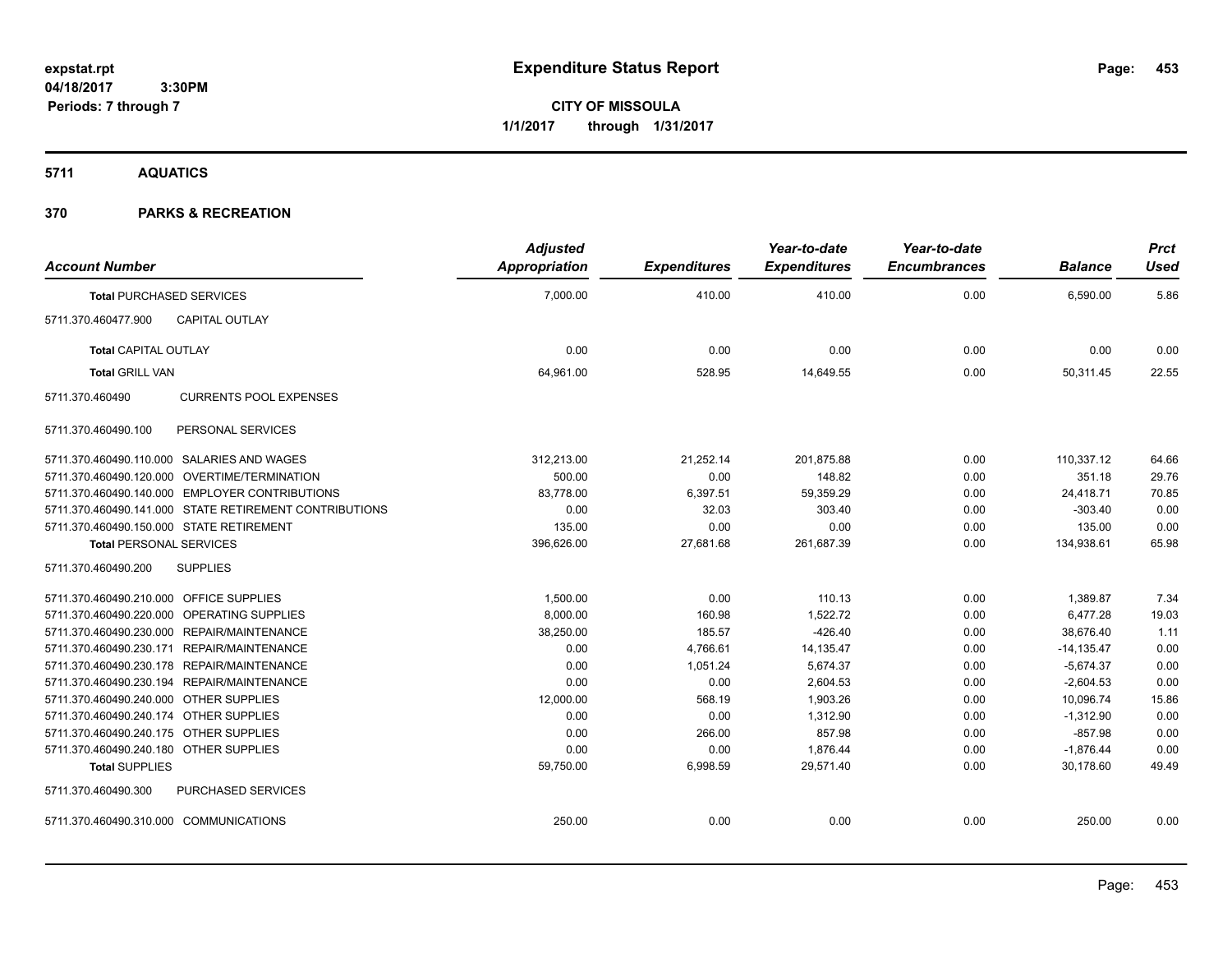**CITY OF MISSOULA 1/1/2017 through 1/31/2017**

**5711 AQUATICS**

| <b>Account Number</b>                   |                                                        | <b>Adjusted</b><br><b>Appropriation</b> | <b>Expenditures</b> | Year-to-date<br><b>Expenditures</b> | Year-to-date<br><b>Encumbrances</b> | <b>Balance</b> | <b>Prct</b><br><b>Used</b> |
|-----------------------------------------|--------------------------------------------------------|-----------------------------------------|---------------------|-------------------------------------|-------------------------------------|----------------|----------------------------|
|                                         | <b>Total PURCHASED SERVICES</b>                        | 7,000.00                                | 410.00              | 410.00                              | 0.00                                | 6,590.00       | 5.86                       |
| 5711.370.460477.900                     | CAPITAL OUTLAY                                         |                                         |                     |                                     |                                     |                |                            |
| <b>Total CAPITAL OUTLAY</b>             |                                                        | 0.00                                    | 0.00                | 0.00                                | 0.00                                | 0.00           | 0.00                       |
| <b>Total GRILL VAN</b>                  |                                                        | 64,961.00                               | 528.95              | 14,649.55                           | 0.00                                | 50,311.45      | 22.55                      |
| 5711.370.460490                         | <b>CURRENTS POOL EXPENSES</b>                          |                                         |                     |                                     |                                     |                |                            |
| 5711.370.460490.100                     | PERSONAL SERVICES                                      |                                         |                     |                                     |                                     |                |                            |
|                                         | 5711.370.460490.110.000 SALARIES AND WAGES             | 312,213.00                              | 21,252.14           | 201,875.88                          | 0.00                                | 110,337.12     | 64.66                      |
|                                         | 5711.370.460490.120.000 OVERTIME/TERMINATION           | 500.00                                  | 0.00                | 148.82                              | 0.00                                | 351.18         | 29.76                      |
|                                         | 5711.370.460490.140.000 EMPLOYER CONTRIBUTIONS         | 83,778.00                               | 6,397.51            | 59,359.29                           | 0.00                                | 24,418.71      | 70.85                      |
|                                         | 5711.370.460490.141.000 STATE RETIREMENT CONTRIBUTIONS | 0.00                                    | 32.03               | 303.40                              | 0.00                                | $-303.40$      | 0.00                       |
|                                         | 5711.370.460490.150.000 STATE RETIREMENT               | 135.00                                  | 0.00                | 0.00                                | 0.00                                | 135.00         | 0.00                       |
| <b>Total PERSONAL SERVICES</b>          |                                                        | 396,626.00                              | 27,681.68           | 261,687.39                          | 0.00                                | 134,938.61     | 65.98                      |
| 5711.370.460490.200                     | <b>SUPPLIES</b>                                        |                                         |                     |                                     |                                     |                |                            |
| 5711.370.460490.210.000 OFFICE SUPPLIES |                                                        | 1,500.00                                | 0.00                | 110.13                              | 0.00                                | 1,389.87       | 7.34                       |
|                                         | 5711.370.460490.220.000 OPERATING SUPPLIES             | 8,000.00                                | 160.98              | 1,522.72                            | 0.00                                | 6,477.28       | 19.03                      |
|                                         | 5711.370.460490.230.000 REPAIR/MAINTENANCE             | 38,250.00                               | 185.57              | $-426.40$                           | 0.00                                | 38.676.40      | 1.11                       |
|                                         | 5711.370.460490.230.171 REPAIR/MAINTENANCE             | 0.00                                    | 4,766.61            | 14,135.47                           | 0.00                                | $-14,135.47$   | 0.00                       |
|                                         | 5711.370.460490.230.178 REPAIR/MAINTENANCE             | 0.00                                    | 1,051.24            | 5,674.37                            | 0.00                                | $-5,674.37$    | 0.00                       |
|                                         | 5711.370.460490.230.194 REPAIR/MAINTENANCE             | 0.00                                    | 0.00                | 2,604.53                            | 0.00                                | $-2,604.53$    | 0.00                       |
| 5711.370.460490.240.000 OTHER SUPPLIES  |                                                        | 12,000.00                               | 568.19              | 1,903.26                            | 0.00                                | 10,096.74      | 15.86                      |
| 5711.370.460490.240.174 OTHER SUPPLIES  |                                                        | 0.00                                    | 0.00                | 1,312.90                            | 0.00                                | $-1,312.90$    | 0.00                       |
| 5711.370.460490.240.175 OTHER SUPPLIES  |                                                        | 0.00                                    | 266.00              | 857.98                              | 0.00                                | $-857.98$      | 0.00                       |
| 5711.370.460490.240.180 OTHER SUPPLIES  |                                                        | 0.00                                    | 0.00                | 1.876.44                            | 0.00                                | $-1,876.44$    | 0.00                       |
| <b>Total SUPPLIES</b>                   |                                                        | 59,750.00                               | 6,998.59            | 29,571.40                           | 0.00                                | 30,178.60      | 49.49                      |
| 5711.370.460490.300                     | PURCHASED SERVICES                                     |                                         |                     |                                     |                                     |                |                            |
| 5711.370.460490.310.000 COMMUNICATIONS  |                                                        | 250.00                                  | 0.00                | 0.00                                | 0.00                                | 250.00         | 0.00                       |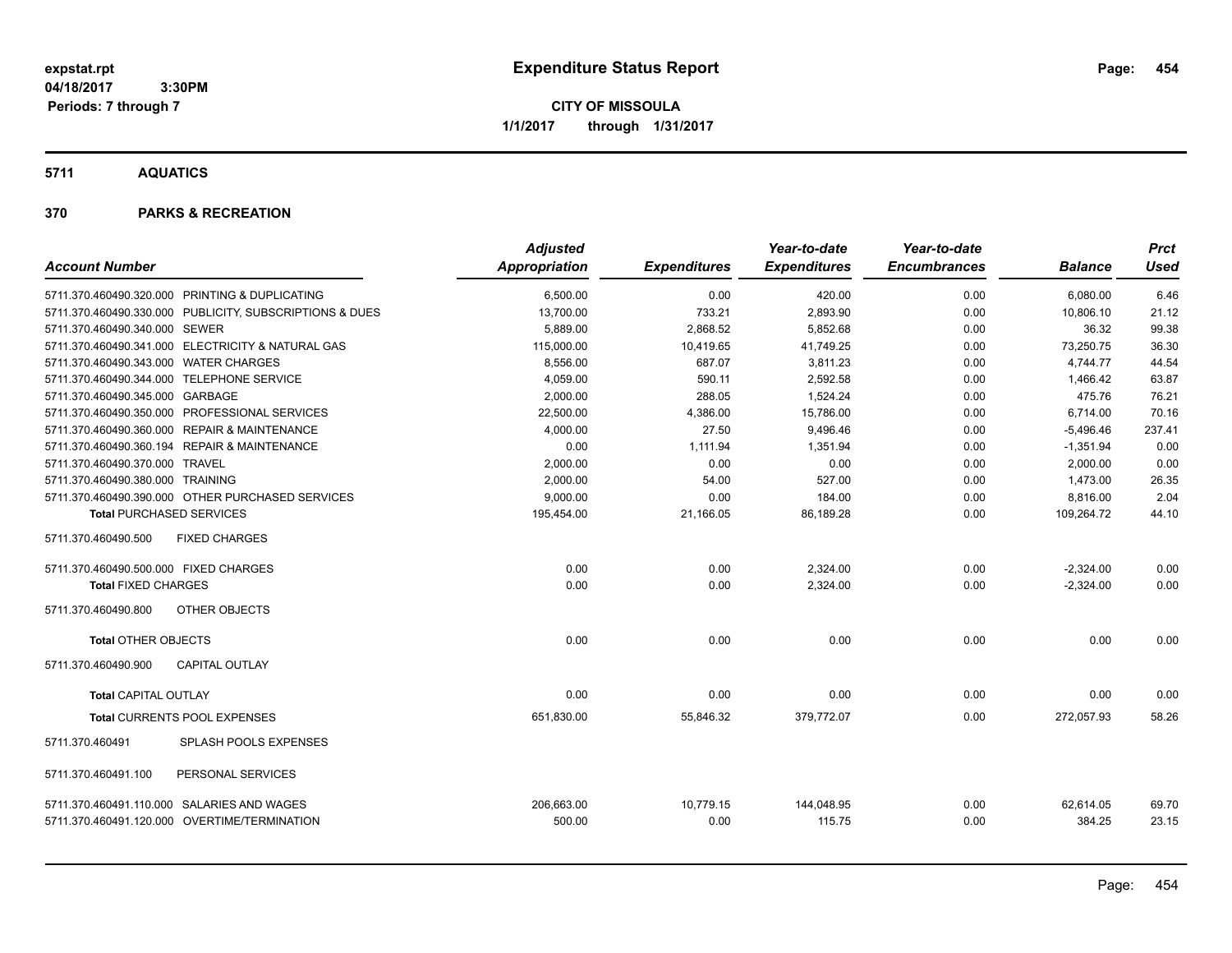**CITY OF MISSOULA 1/1/2017 through 1/31/2017**

**5711 AQUATICS**

| <b>Account Number</b>                      |                                                         | <b>Adjusted</b><br>Appropriation | <b>Expenditures</b> | Year-to-date<br><b>Expenditures</b> | Year-to-date<br><b>Encumbrances</b> | <b>Balance</b>      | <b>Prct</b><br>Used |
|--------------------------------------------|---------------------------------------------------------|----------------------------------|---------------------|-------------------------------------|-------------------------------------|---------------------|---------------------|
|                                            | 5711.370.460490.320.000 PRINTING & DUPLICATING          | 6,500.00                         | 0.00                | 420.00                              | 0.00                                | 6,080.00            | 6.46                |
|                                            | 5711.370.460490.330.000 PUBLICITY, SUBSCRIPTIONS & DUES | 13,700.00                        | 733.21              | 2,893.90                            | 0.00                                | 10,806.10           | 21.12               |
| 5711.370.460490.340.000 SEWER              |                                                         | 5,889.00                         | 2,868.52            | 5,852.68                            | 0.00                                | 36.32               | 99.38               |
|                                            | 5711.370.460490.341.000 ELECTRICITY & NATURAL GAS       | 115,000.00                       | 10,419.65           | 41,749.25                           | 0.00                                | 73,250.75           | 36.30               |
| 5711.370.460490.343.000 WATER CHARGES      |                                                         | 8.556.00                         | 687.07              | 3.811.23                            | 0.00                                | 4.744.77            | 44.54               |
| 5711.370.460490.344.000 TELEPHONE SERVICE  |                                                         | 4,059.00                         | 590.11              | 2,592.58                            | 0.00                                | 1,466.42            | 63.87               |
| 5711.370.460490.345.000 GARBAGE            |                                                         | 2,000.00                         | 288.05              | 1,524.24                            | 0.00                                | 475.76              | 76.21               |
|                                            | 5711.370.460490.350.000 PROFESSIONAL SERVICES           | 22,500.00                        | 4,386.00            | 15,786.00                           | 0.00                                | 6,714.00            | 70.16               |
|                                            | 5711.370.460490.360.000 REPAIR & MAINTENANCE            | 4,000.00                         | 27.50               | 9,496.46                            | 0.00                                | $-5,496.46$         | 237.41              |
|                                            | 5711.370.460490.360.194 REPAIR & MAINTENANCE            | 0.00                             | 1,111.94            | 1,351.94                            | 0.00                                | $-1,351.94$         | 0.00                |
| 5711.370.460490.370.000 TRAVEL             |                                                         | 2,000.00                         | 0.00                | 0.00                                | 0.00                                | 2,000.00            | 0.00                |
| 5711.370.460490.380.000 TRAINING           |                                                         | 2,000.00                         | 54.00               | 527.00                              | 0.00                                | 1,473.00            | 26.35               |
|                                            | 5711.370.460490.390.000 OTHER PURCHASED SERVICES        | 9,000.00                         | 0.00                | 184.00                              | 0.00                                | 8,816.00            | 2.04                |
| <b>Total PURCHASED SERVICES</b>            |                                                         | 195,454.00                       | 21,166.05           | 86,189.28                           | 0.00                                | 109,264.72          | 44.10               |
| 5711.370.460490.500                        | <b>FIXED CHARGES</b>                                    |                                  |                     |                                     |                                     |                     |                     |
| 5711.370.460490.500.000 FIXED CHARGES      |                                                         | 0.00                             | 0.00                | 2,324.00                            | 0.00                                | $-2,324.00$         | 0.00                |
| <b>Total FIXED CHARGES</b>                 |                                                         | 0.00                             | 0.00                | 2,324.00                            | 0.00                                | $-2,324.00$         | 0.00                |
| 5711.370.460490.800                        | OTHER OBJECTS                                           |                                  |                     |                                     |                                     |                     |                     |
| <b>Total OTHER OBJECTS</b>                 |                                                         | 0.00                             | 0.00                | 0.00                                | 0.00                                | 0.00                | 0.00                |
| 5711.370.460490.900                        | <b>CAPITAL OUTLAY</b>                                   |                                  |                     |                                     |                                     |                     |                     |
| <b>Total CAPITAL OUTLAY</b>                |                                                         | 0.00                             | 0.00                | 0.00                                | 0.00                                | 0.00                | 0.00                |
|                                            | Total CURRENTS POOL EXPENSES                            | 651,830.00                       | 55,846.32           | 379,772.07                          | 0.00                                | 272,057.93          | 58.26               |
| 5711.370.460491                            | SPLASH POOLS EXPENSES                                   |                                  |                     |                                     |                                     |                     |                     |
| 5711.370.460491.100                        | PERSONAL SERVICES                                       |                                  |                     |                                     |                                     |                     |                     |
| 5711.370.460491.110.000 SALARIES AND WAGES | 5711.370.460491.120.000 OVERTIME/TERMINATION            | 206,663.00<br>500.00             | 10,779.15<br>0.00   | 144,048.95<br>115.75                | 0.00<br>0.00                        | 62,614.05<br>384.25 | 69.70<br>23.15      |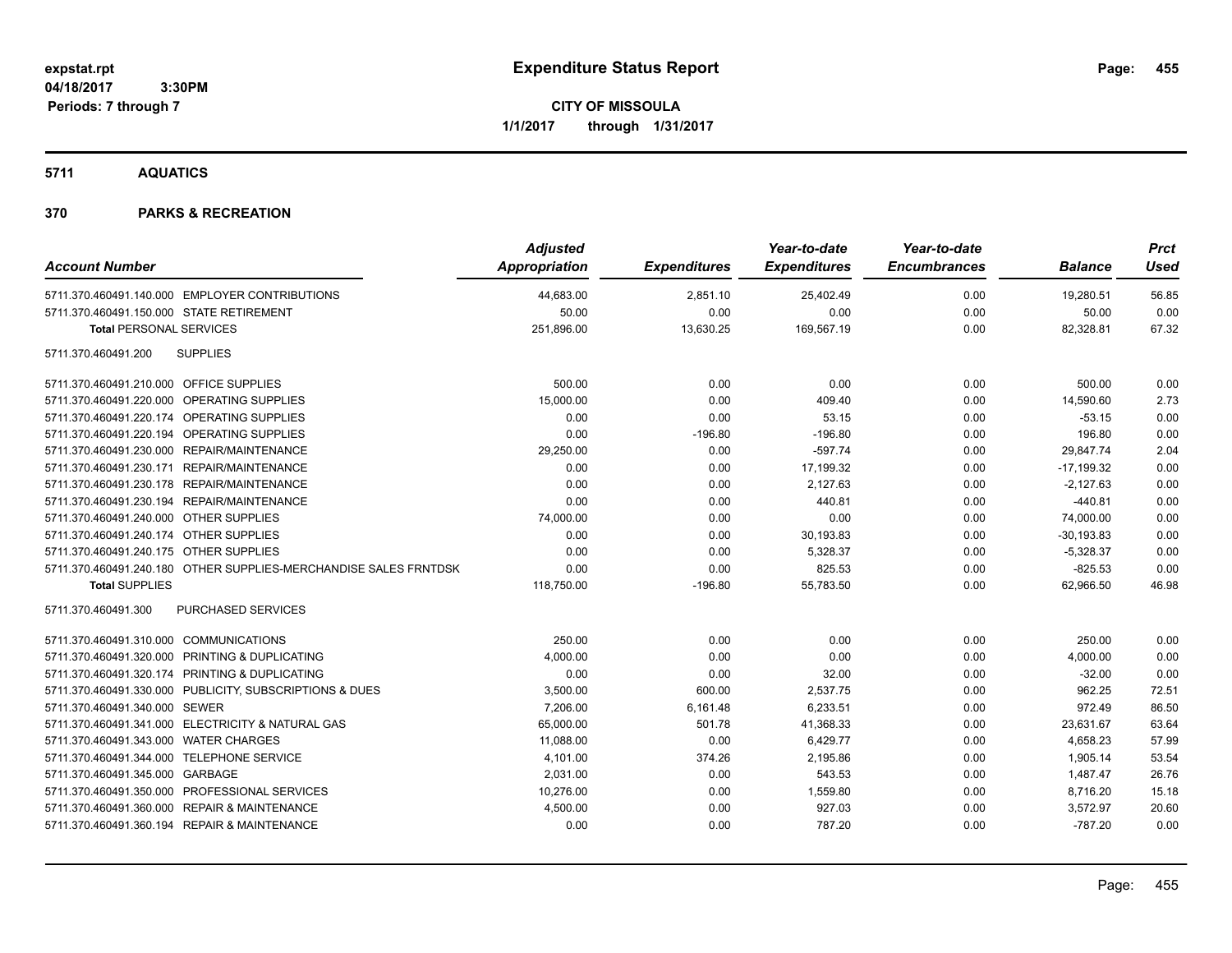**CITY OF MISSOULA 1/1/2017 through 1/31/2017**

**5711 AQUATICS**

| <b>Account Number</b>                                            | <b>Adjusted</b><br>Appropriation | <b>Expenditures</b> | Year-to-date<br><b>Expenditures</b> | Year-to-date<br><b>Encumbrances</b> | <b>Balance</b> | <b>Prct</b><br><b>Used</b> |
|------------------------------------------------------------------|----------------------------------|---------------------|-------------------------------------|-------------------------------------|----------------|----------------------------|
| 5711.370.460491.140.000 EMPLOYER CONTRIBUTIONS                   | 44,683.00                        | 2,851.10            | 25,402.49                           | 0.00                                | 19,280.51      | 56.85                      |
| 5711.370.460491.150.000 STATE RETIREMENT                         | 50.00                            | 0.00                | 0.00                                | 0.00                                | 50.00          | 0.00                       |
| <b>Total PERSONAL SERVICES</b>                                   | 251,896.00                       | 13,630.25           | 169,567.19                          | 0.00                                | 82,328.81      | 67.32                      |
| 5711.370.460491.200<br><b>SUPPLIES</b>                           |                                  |                     |                                     |                                     |                |                            |
| 5711.370.460491.210.000 OFFICE SUPPLIES                          | 500.00                           | 0.00                | 0.00                                | 0.00                                | 500.00         | 0.00                       |
| 5711.370.460491.220.000 OPERATING SUPPLIES                       | 15,000.00                        | 0.00                | 409.40                              | 0.00                                | 14,590.60      | 2.73                       |
| 5711.370.460491.220.174 OPERATING SUPPLIES                       | 0.00                             | 0.00                | 53.15                               | 0.00                                | $-53.15$       | 0.00                       |
| 5711.370.460491.220.194 OPERATING SUPPLIES                       | 0.00                             | $-196.80$           | $-196.80$                           | 0.00                                | 196.80         | 0.00                       |
| 5711.370.460491.230.000 REPAIR/MAINTENANCE                       | 29,250.00                        | 0.00                | $-597.74$                           | 0.00                                | 29,847.74      | 2.04                       |
| 5711.370.460491.230.171 REPAIR/MAINTENANCE                       | 0.00                             | 0.00                | 17,199.32                           | 0.00                                | $-17,199.32$   | 0.00                       |
| 5711.370.460491.230.178 REPAIR/MAINTENANCE                       | 0.00                             | 0.00                | 2.127.63                            | 0.00                                | $-2,127.63$    | 0.00                       |
| 5711.370.460491.230.194 REPAIR/MAINTENANCE                       | 0.00                             | 0.00                | 440.81                              | 0.00                                | $-440.81$      | 0.00                       |
| 5711.370.460491.240.000 OTHER SUPPLIES                           | 74,000.00                        | 0.00                | 0.00                                | 0.00                                | 74,000.00      | 0.00                       |
| 5711.370.460491.240.174 OTHER SUPPLIES                           | 0.00                             | 0.00                | 30,193.83                           | 0.00                                | $-30, 193.83$  | 0.00                       |
| 5711.370.460491.240.175 OTHER SUPPLIES                           | 0.00                             | 0.00                | 5,328.37                            | 0.00                                | $-5,328.37$    | 0.00                       |
| 5711.370.460491.240.180 OTHER SUPPLIES-MERCHANDISE SALES FRNTDSK | 0.00                             | 0.00                | 825.53                              | 0.00                                | $-825.53$      | 0.00                       |
| <b>Total SUPPLIES</b>                                            | 118,750.00                       | $-196.80$           | 55,783.50                           | 0.00                                | 62,966.50      | 46.98                      |
| PURCHASED SERVICES<br>5711.370.460491.300                        |                                  |                     |                                     |                                     |                |                            |
| 5711.370.460491.310.000 COMMUNICATIONS                           | 250.00                           | 0.00                | 0.00                                | 0.00                                | 250.00         | 0.00                       |
| 5711.370.460491.320.000 PRINTING & DUPLICATING                   | 4,000.00                         | 0.00                | 0.00                                | 0.00                                | 4,000.00       | 0.00                       |
| 5711.370.460491.320.174 PRINTING & DUPLICATING                   | 0.00                             | 0.00                | 32.00                               | 0.00                                | $-32.00$       | 0.00                       |
| 5711.370.460491.330.000 PUBLICITY, SUBSCRIPTIONS & DUES          | 3,500.00                         | 600.00              | 2,537.75                            | 0.00                                | 962.25         | 72.51                      |
| 5711.370.460491.340.000 SEWER                                    | 7,206.00                         | 6,161.48            | 6,233.51                            | 0.00                                | 972.49         | 86.50                      |
| 5711.370.460491.341.000 ELECTRICITY & NATURAL GAS                | 65,000.00                        | 501.78              | 41,368.33                           | 0.00                                | 23,631.67      | 63.64                      |
| 5711.370.460491.343.000 WATER CHARGES                            | 11,088.00                        | 0.00                | 6,429.77                            | 0.00                                | 4,658.23       | 57.99                      |
| 5711.370.460491.344.000 TELEPHONE SERVICE                        | 4,101.00                         | 374.26              | 2,195.86                            | 0.00                                | 1,905.14       | 53.54                      |
| 5711.370.460491.345.000 GARBAGE                                  | 2,031.00                         | 0.00                | 543.53                              | 0.00                                | 1,487.47       | 26.76                      |
| 5711.370.460491.350.000 PROFESSIONAL SERVICES                    | 10,276.00                        | 0.00                | 1,559.80                            | 0.00                                | 8,716.20       | 15.18                      |
| 5711.370.460491.360.000 REPAIR & MAINTENANCE                     | 4,500.00                         | 0.00                | 927.03                              | 0.00                                | 3,572.97       | 20.60                      |
| 5711.370.460491.360.194 REPAIR & MAINTENANCE                     | 0.00                             | 0.00                | 787.20                              | 0.00                                | $-787.20$      | 0.00                       |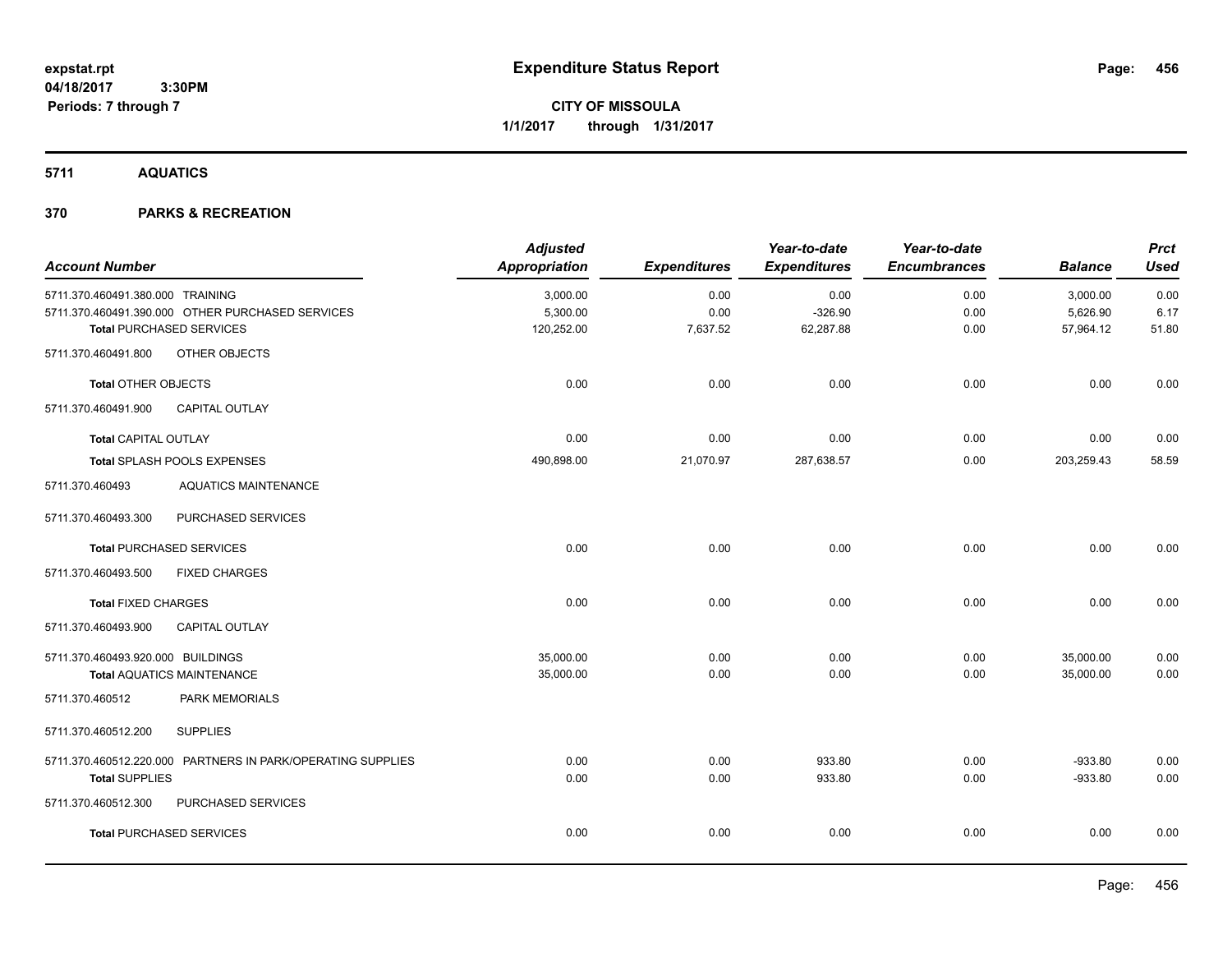**CITY OF MISSOULA 1/1/2017 through 1/31/2017**

**5711 AQUATICS**

| <b>Account Number</b>             |                                                             | <b>Adjusted</b><br><b>Appropriation</b> | <b>Expenditures</b> | Year-to-date<br><b>Expenditures</b> | Year-to-date<br><b>Encumbrances</b> | <b>Balance</b> | <b>Prct</b><br><b>Used</b> |
|-----------------------------------|-------------------------------------------------------------|-----------------------------------------|---------------------|-------------------------------------|-------------------------------------|----------------|----------------------------|
| 5711.370.460491.380.000 TRAINING  |                                                             | 3,000.00                                | 0.00                | 0.00                                | 0.00                                | 3,000.00       | 0.00                       |
|                                   | 5711.370.460491.390.000 OTHER PURCHASED SERVICES            | 5,300.00                                | 0.00                | $-326.90$                           | 0.00                                | 5,626.90       | 6.17                       |
|                                   | <b>Total PURCHASED SERVICES</b>                             | 120,252.00                              | 7,637.52            | 62,287.88                           | 0.00                                | 57,964.12      | 51.80                      |
| 5711.370.460491.800               | OTHER OBJECTS                                               |                                         |                     |                                     |                                     |                |                            |
| <b>Total OTHER OBJECTS</b>        |                                                             | 0.00                                    | 0.00                | 0.00                                | 0.00                                | 0.00           | 0.00                       |
| 5711.370.460491.900               | <b>CAPITAL OUTLAY</b>                                       |                                         |                     |                                     |                                     |                |                            |
| Total CAPITAL OUTLAY              |                                                             | 0.00                                    | 0.00                | 0.00                                | 0.00                                | 0.00           | 0.00                       |
|                                   | Total SPLASH POOLS EXPENSES                                 | 490,898.00                              | 21,070.97           | 287,638.57                          | 0.00                                | 203,259.43     | 58.59                      |
| 5711.370.460493                   | <b>AQUATICS MAINTENANCE</b>                                 |                                         |                     |                                     |                                     |                |                            |
| 5711.370.460493.300               | PURCHASED SERVICES                                          |                                         |                     |                                     |                                     |                |                            |
|                                   | <b>Total PURCHASED SERVICES</b>                             | 0.00                                    | 0.00                | 0.00                                | 0.00                                | 0.00           | 0.00                       |
| 5711.370.460493.500               | <b>FIXED CHARGES</b>                                        |                                         |                     |                                     |                                     |                |                            |
| <b>Total FIXED CHARGES</b>        |                                                             | 0.00                                    | 0.00                | 0.00                                | 0.00                                | 0.00           | 0.00                       |
| 5711.370.460493.900               | CAPITAL OUTLAY                                              |                                         |                     |                                     |                                     |                |                            |
| 5711.370.460493.920.000 BUILDINGS |                                                             | 35,000.00                               | 0.00                | 0.00                                | 0.00                                | 35,000.00      | 0.00                       |
|                                   | <b>Total AQUATICS MAINTENANCE</b>                           | 35,000.00                               | 0.00                | 0.00                                | 0.00                                | 35,000.00      | 0.00                       |
| 5711.370.460512                   | PARK MEMORIALS                                              |                                         |                     |                                     |                                     |                |                            |
| 5711.370.460512.200               | <b>SUPPLIES</b>                                             |                                         |                     |                                     |                                     |                |                            |
|                                   | 5711.370.460512.220.000 PARTNERS IN PARK/OPERATING SUPPLIES | 0.00                                    | 0.00                | 933.80                              | 0.00                                | $-933.80$      | 0.00                       |
| <b>Total SUPPLIES</b>             |                                                             | 0.00                                    | 0.00                | 933.80                              | 0.00                                | $-933.80$      | 0.00                       |
| 5711.370.460512.300               | PURCHASED SERVICES                                          |                                         |                     |                                     |                                     |                |                            |
|                                   | <b>Total PURCHASED SERVICES</b>                             | 0.00                                    | 0.00                | 0.00                                | 0.00                                | 0.00           | 0.00                       |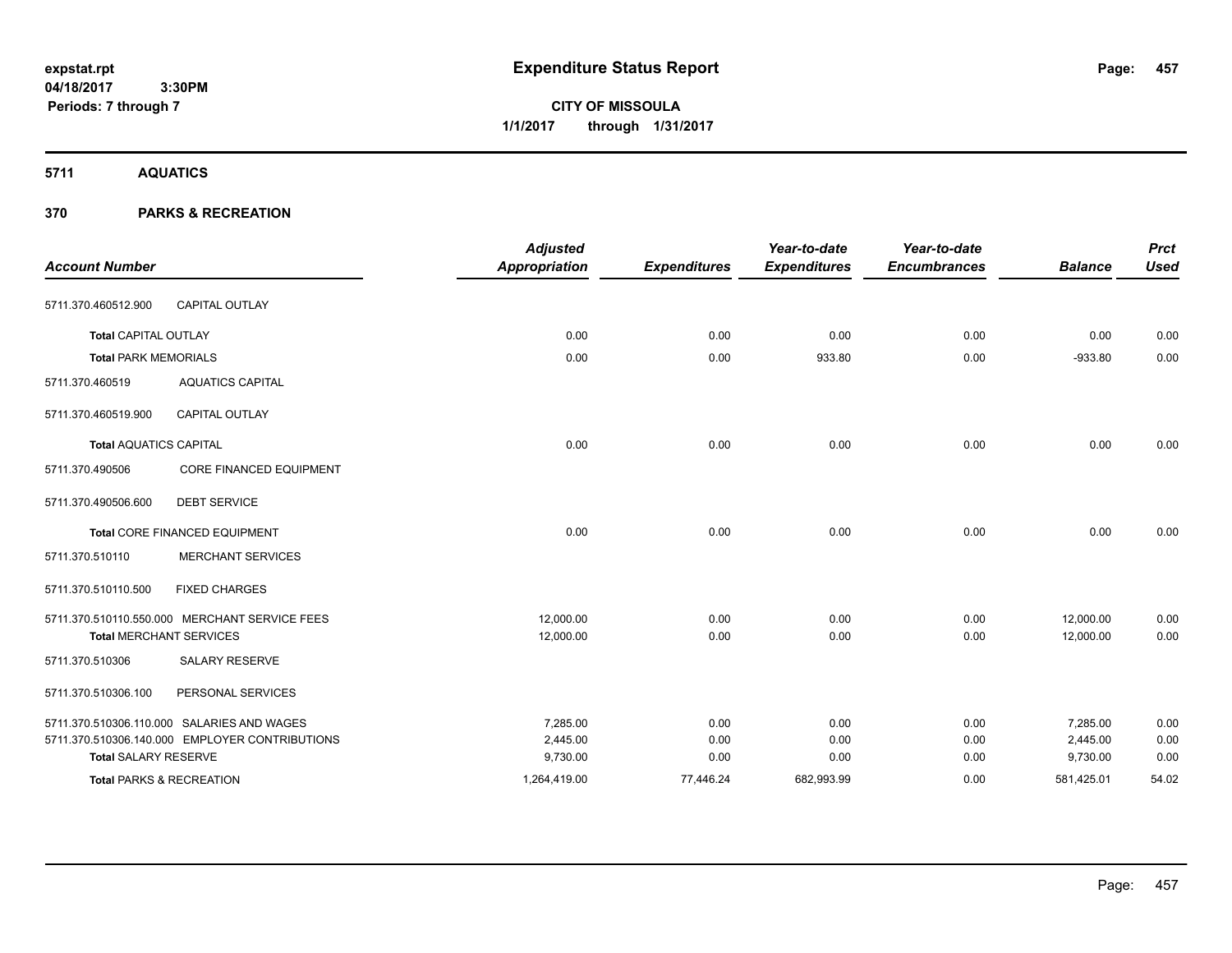**CITY OF MISSOULA 1/1/2017 through 1/31/2017**

**5711 AQUATICS**

| <b>Account Number</b>               |                                                | <b>Adjusted</b><br><b>Appropriation</b> | <b>Expenditures</b> | Year-to-date<br><b>Expenditures</b> | Year-to-date<br><b>Encumbrances</b> | <b>Balance</b> | <b>Prct</b><br><b>Used</b> |
|-------------------------------------|------------------------------------------------|-----------------------------------------|---------------------|-------------------------------------|-------------------------------------|----------------|----------------------------|
| 5711.370.460512.900                 | <b>CAPITAL OUTLAY</b>                          |                                         |                     |                                     |                                     |                |                            |
| <b>Total CAPITAL OUTLAY</b>         |                                                | 0.00                                    | 0.00                | 0.00                                | 0.00                                | 0.00           | 0.00                       |
| <b>Total PARK MEMORIALS</b>         |                                                | 0.00                                    | 0.00                | 933.80                              | 0.00                                | $-933.80$      | 0.00                       |
| 5711.370.460519                     | <b>AQUATICS CAPITAL</b>                        |                                         |                     |                                     |                                     |                |                            |
| 5711.370.460519.900                 | <b>CAPITAL OUTLAY</b>                          |                                         |                     |                                     |                                     |                |                            |
| <b>Total AQUATICS CAPITAL</b>       |                                                | 0.00                                    | 0.00                | 0.00                                | 0.00                                | 0.00           | 0.00                       |
| 5711.370.490506                     | <b>CORE FINANCED EQUIPMENT</b>                 |                                         |                     |                                     |                                     |                |                            |
| 5711.370.490506.600                 | <b>DEBT SERVICE</b>                            |                                         |                     |                                     |                                     |                |                            |
|                                     | <b>Total CORE FINANCED EQUIPMENT</b>           | 0.00                                    | 0.00                | 0.00                                | 0.00                                | 0.00           | 0.00                       |
| 5711.370.510110                     | <b>MERCHANT SERVICES</b>                       |                                         |                     |                                     |                                     |                |                            |
| 5711.370.510110.500                 | <b>FIXED CHARGES</b>                           |                                         |                     |                                     |                                     |                |                            |
|                                     | 5711.370.510110.550.000 MERCHANT SERVICE FEES  | 12,000.00                               | 0.00                | 0.00                                | 0.00                                | 12,000.00      | 0.00                       |
| <b>Total MERCHANT SERVICES</b>      |                                                | 12,000.00                               | 0.00                | 0.00                                | 0.00                                | 12,000.00      | 0.00                       |
| 5711.370.510306                     | <b>SALARY RESERVE</b>                          |                                         |                     |                                     |                                     |                |                            |
| 5711.370.510306.100                 | PERSONAL SERVICES                              |                                         |                     |                                     |                                     |                |                            |
|                                     | 5711.370.510306.110.000 SALARIES AND WAGES     | 7.285.00                                | 0.00                | 0.00                                | 0.00                                | 7.285.00       | 0.00                       |
|                                     | 5711.370.510306.140.000 EMPLOYER CONTRIBUTIONS | 2,445.00                                | 0.00                | 0.00                                | 0.00                                | 2,445.00       | 0.00                       |
| <b>Total SALARY RESERVE</b>         |                                                | 9,730.00                                | 0.00                | 0.00                                | 0.00                                | 9,730.00       | 0.00                       |
| <b>Total PARKS &amp; RECREATION</b> |                                                | 1,264,419.00                            | 77,446.24           | 682,993.99                          | 0.00                                | 581,425.01     | 54.02                      |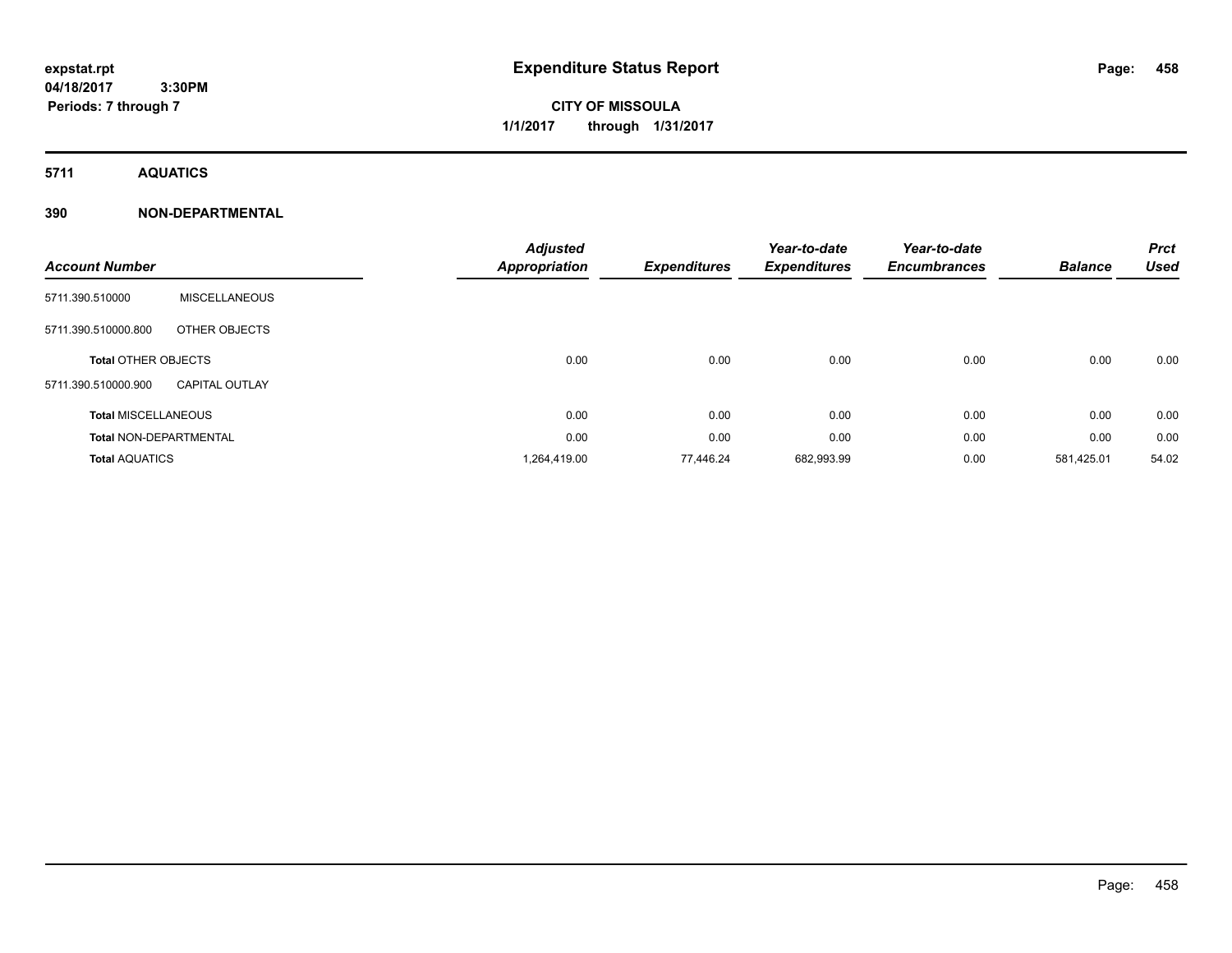# **CITY OF MISSOULA 1/1/2017 through 1/31/2017**

**5711 AQUATICS**

### **390 NON-DEPARTMENTAL**

| <b>Account Number</b>         |                       | <b>Adjusted</b><br><b>Appropriation</b> | <b>Expenditures</b> | Year-to-date<br><b>Expenditures</b> | Year-to-date<br><b>Encumbrances</b> | <b>Balance</b> | <b>Prct</b><br>Used |
|-------------------------------|-----------------------|-----------------------------------------|---------------------|-------------------------------------|-------------------------------------|----------------|---------------------|
| 5711.390.510000               | <b>MISCELLANEOUS</b>  |                                         |                     |                                     |                                     |                |                     |
| 5711.390.510000.800           | OTHER OBJECTS         |                                         |                     |                                     |                                     |                |                     |
| <b>Total OTHER OBJECTS</b>    |                       | 0.00                                    | 0.00                | 0.00                                | 0.00                                | 0.00           | 0.00                |
| 5711.390.510000.900           | <b>CAPITAL OUTLAY</b> |                                         |                     |                                     |                                     |                |                     |
| <b>Total MISCELLANEOUS</b>    |                       | 0.00                                    | 0.00                | 0.00                                | 0.00                                | 0.00           | 0.00                |
| <b>Total NON-DEPARTMENTAL</b> |                       | 0.00                                    | 0.00                | 0.00                                | 0.00                                | 0.00           | 0.00                |
| <b>Total AQUATICS</b>         |                       | 1,264,419.00                            | 77.446.24           | 682,993.99                          | 0.00                                | 581,425.01     | 54.02               |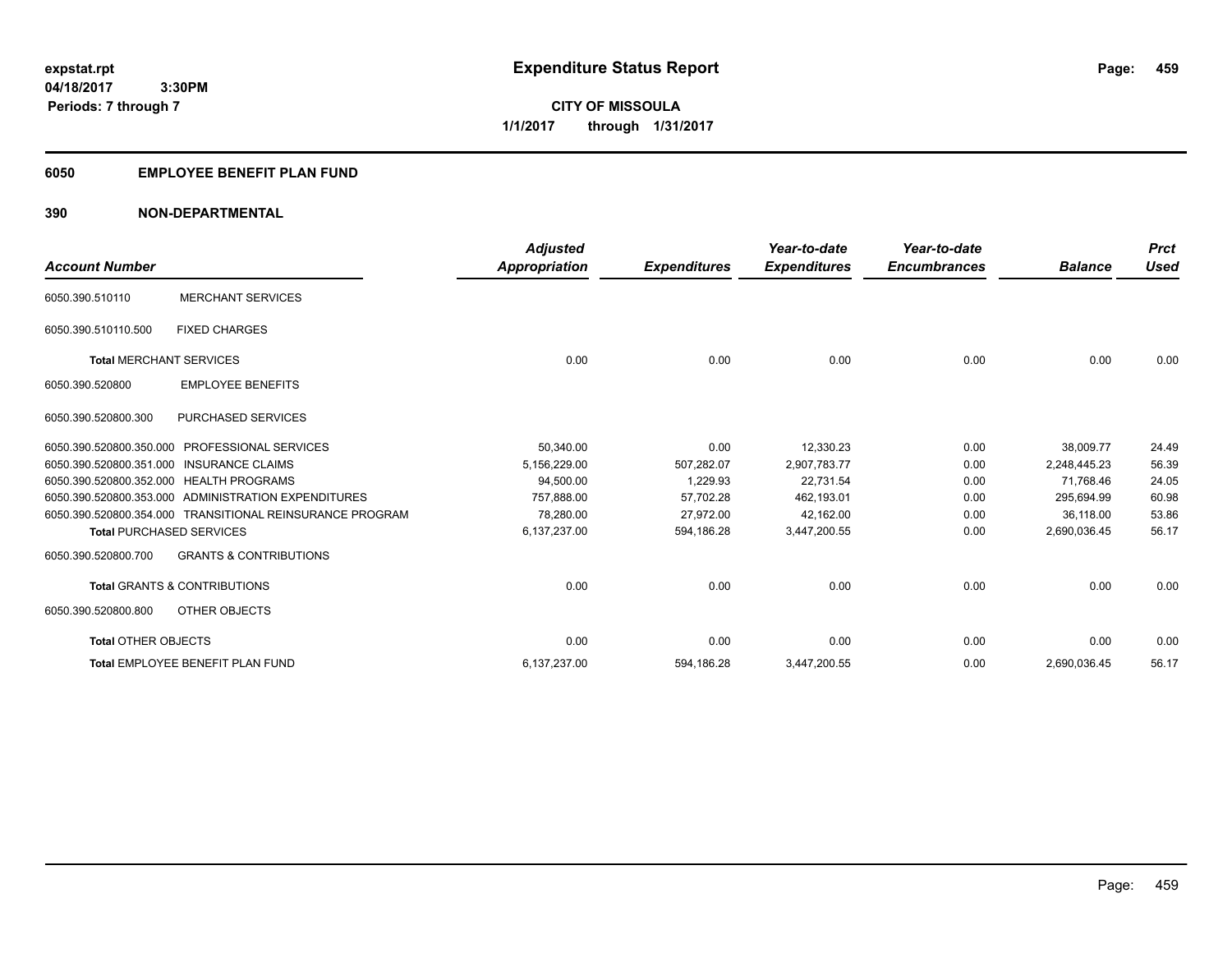**459**

**04/18/2017 3:30PM Periods: 7 through 7**

**CITY OF MISSOULA 1/1/2017 through 1/31/2017**

### **6050 EMPLOYEE BENEFIT PLAN FUND**

### **390 NON-DEPARTMENTAL**

| <b>Account Number</b>                   |                                                          | <b>Adjusted</b><br>Appropriation | <b>Expenditures</b> | Year-to-date<br><b>Expenditures</b> | Year-to-date<br><b>Encumbrances</b> | <b>Balance</b> | <b>Prct</b><br><b>Used</b> |
|-----------------------------------------|----------------------------------------------------------|----------------------------------|---------------------|-------------------------------------|-------------------------------------|----------------|----------------------------|
| 6050.390.510110                         | <b>MERCHANT SERVICES</b>                                 |                                  |                     |                                     |                                     |                |                            |
| 6050.390.510110.500                     | <b>FIXED CHARGES</b>                                     |                                  |                     |                                     |                                     |                |                            |
| <b>Total MERCHANT SERVICES</b>          |                                                          | 0.00                             | 0.00                | 0.00                                | 0.00                                | 0.00           | 0.00                       |
| 6050.390.520800                         | <b>EMPLOYEE BENEFITS</b>                                 |                                  |                     |                                     |                                     |                |                            |
| 6050.390.520800.300                     | <b>PURCHASED SERVICES</b>                                |                                  |                     |                                     |                                     |                |                            |
| 6050.390.520800.350.000                 | <b>PROFESSIONAL SERVICES</b>                             | 50,340.00                        | 0.00                | 12,330.23                           | 0.00                                | 38,009.77      | 24.49                      |
| 6050.390.520800.351.000                 | <b>INSURANCE CLAIMS</b>                                  | 5,156,229.00                     | 507,282.07          | 2.907.783.77                        | 0.00                                | 2.248.445.23   | 56.39                      |
| 6050.390.520800.352.000 HEALTH PROGRAMS |                                                          | 94,500.00                        | 1,229.93            | 22,731.54                           | 0.00                                | 71.768.46      | 24.05                      |
|                                         | 6050.390.520800.353.000 ADMINISTRATION EXPENDITURES      | 757.888.00                       | 57.702.28           | 462,193.01                          | 0.00                                | 295.694.99     | 60.98                      |
|                                         | 6050.390.520800.354.000 TRANSITIONAL REINSURANCE PROGRAM | 78,280.00                        | 27.972.00           | 42,162.00                           | 0.00                                | 36.118.00      | 53.86                      |
| <b>Total PURCHASED SERVICES</b>         |                                                          | 6,137,237.00                     | 594,186.28          | 3,447,200.55                        | 0.00                                | 2,690,036.45   | 56.17                      |
| 6050.390.520800.700                     | <b>GRANTS &amp; CONTRIBUTIONS</b>                        |                                  |                     |                                     |                                     |                |                            |
|                                         | <b>Total GRANTS &amp; CONTRIBUTIONS</b>                  | 0.00                             | 0.00                | 0.00                                | 0.00                                | 0.00           | 0.00                       |
| 6050.390.520800.800                     | OTHER OBJECTS                                            |                                  |                     |                                     |                                     |                |                            |
| <b>Total OTHER OBJECTS</b>              |                                                          | 0.00                             | 0.00                | 0.00                                | 0.00                                | 0.00           | 0.00                       |
|                                         | Total EMPLOYEE BENEFIT PLAN FUND                         | 6,137,237.00                     | 594,186.28          | 3,447,200.55                        | 0.00                                | 2,690,036.45   | 56.17                      |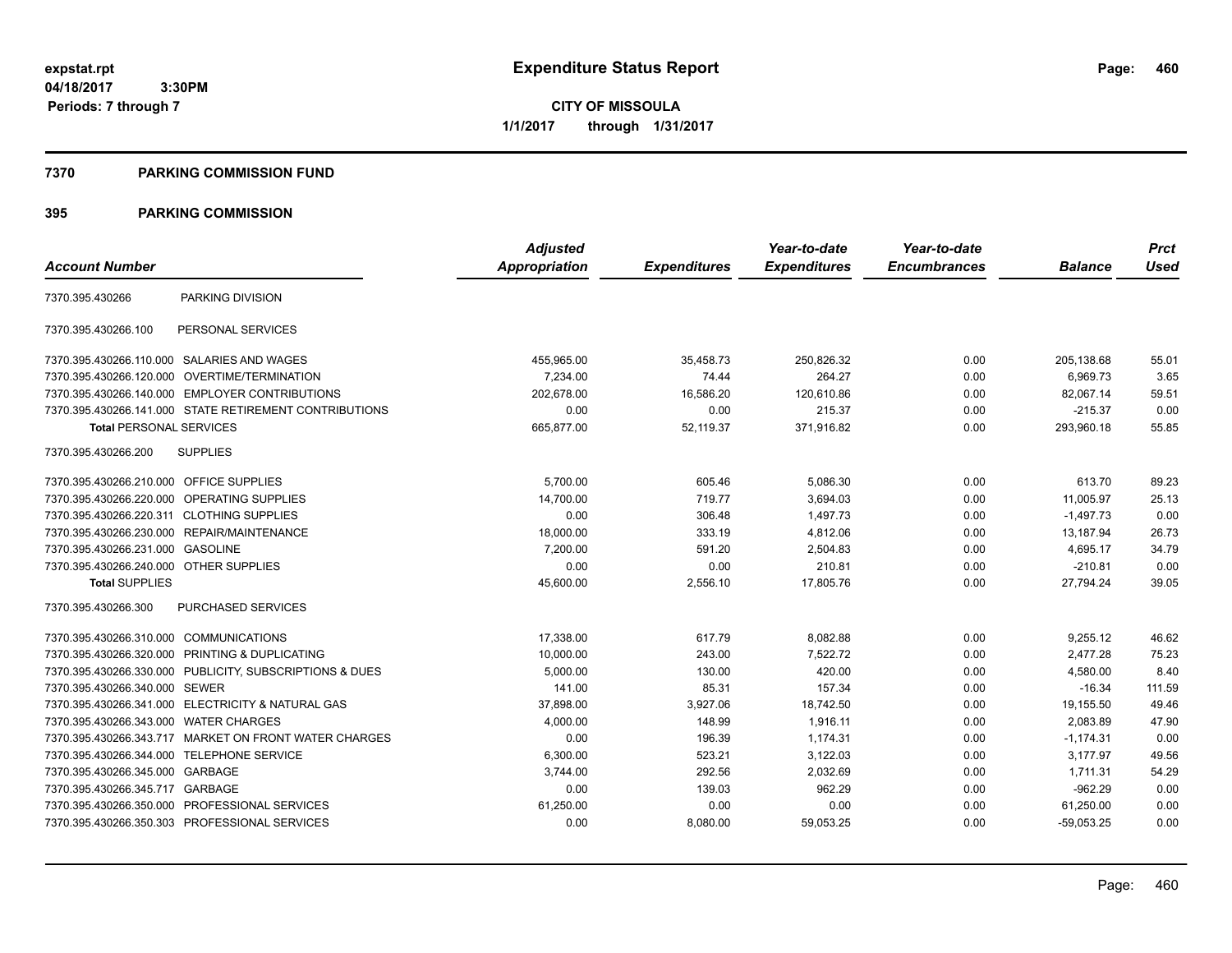**CITY OF MISSOULA 1/1/2017 through 1/31/2017**

### **7370 PARKING COMMISSION FUND**

|                                           |                                                         | <b>Adjusted</b>      |                     | Year-to-date        | Year-to-date        |                | <b>Prct</b> |
|-------------------------------------------|---------------------------------------------------------|----------------------|---------------------|---------------------|---------------------|----------------|-------------|
| <b>Account Number</b>                     |                                                         | <b>Appropriation</b> | <b>Expenditures</b> | <b>Expenditures</b> | <b>Encumbrances</b> | <b>Balance</b> | <b>Used</b> |
| 7370.395.430266                           | PARKING DIVISION                                        |                      |                     |                     |                     |                |             |
| 7370.395.430266.100                       | PERSONAL SERVICES                                       |                      |                     |                     |                     |                |             |
|                                           | 7370.395.430266.110.000 SALARIES AND WAGES              | 455,965.00           | 35,458.73           | 250,826.32          | 0.00                | 205,138.68     | 55.01       |
|                                           | 7370.395.430266.120.000 OVERTIME/TERMINATION            | 7,234.00             | 74.44               | 264.27              | 0.00                | 6,969.73       | 3.65        |
|                                           | 7370.395.430266.140.000 EMPLOYER CONTRIBUTIONS          | 202,678.00           | 16,586.20           | 120,610.86          | 0.00                | 82,067.14      | 59.51       |
|                                           | 7370.395.430266.141.000 STATE RETIREMENT CONTRIBUTIONS  | 0.00                 | 0.00                | 215.37              | 0.00                | $-215.37$      | 0.00        |
| <b>Total PERSONAL SERVICES</b>            |                                                         | 665,877.00           | 52,119.37           | 371,916.82          | 0.00                | 293,960.18     | 55.85       |
| 7370.395.430266.200                       | <b>SUPPLIES</b>                                         |                      |                     |                     |                     |                |             |
| 7370.395.430266.210.000 OFFICE SUPPLIES   |                                                         | 5,700.00             | 605.46              | 5,086.30            | 0.00                | 613.70         | 89.23       |
|                                           | 7370.395.430266.220.000 OPERATING SUPPLIES              | 14,700.00            | 719.77              | 3.694.03            | 0.00                | 11.005.97      | 25.13       |
| 7370.395.430266.220.311 CLOTHING SUPPLIES |                                                         | 0.00                 | 306.48              | 1.497.73            | 0.00                | $-1,497.73$    | 0.00        |
|                                           | 7370.395.430266.230.000 REPAIR/MAINTENANCE              | 18,000.00            | 333.19              | 4,812.06            | 0.00                | 13,187.94      | 26.73       |
| 7370.395.430266.231.000 GASOLINE          |                                                         | 7,200.00             | 591.20              | 2,504.83            | 0.00                | 4,695.17       | 34.79       |
| 7370.395.430266.240.000 OTHER SUPPLIES    |                                                         | 0.00                 | 0.00                | 210.81              | 0.00                | $-210.81$      | 0.00        |
| <b>Total SUPPLIES</b>                     |                                                         | 45,600.00            | 2,556.10            | 17,805.76           | 0.00                | 27.794.24      | 39.05       |
| 7370.395.430266.300                       | PURCHASED SERVICES                                      |                      |                     |                     |                     |                |             |
| 7370.395.430266.310.000 COMMUNICATIONS    |                                                         | 17,338.00            | 617.79              | 8,082.88            | 0.00                | 9,255.12       | 46.62       |
|                                           | 7370.395.430266.320.000 PRINTING & DUPLICATING          | 10,000.00            | 243.00              | 7.522.72            | 0.00                | 2,477.28       | 75.23       |
|                                           | 7370.395.430266.330.000 PUBLICITY, SUBSCRIPTIONS & DUES | 5,000.00             | 130.00              | 420.00              | 0.00                | 4,580.00       | 8.40        |
| 7370.395.430266.340.000 SEWER             |                                                         | 141.00               | 85.31               | 157.34              | 0.00                | $-16.34$       | 111.59      |
|                                           | 7370.395.430266.341.000 ELECTRICITY & NATURAL GAS       | 37,898.00            | 3,927.06            | 18,742.50           | 0.00                | 19,155.50      | 49.46       |
| 7370.395.430266.343.000 WATER CHARGES     |                                                         | 4,000.00             | 148.99              | 1,916.11            | 0.00                | 2,083.89       | 47.90       |
|                                           | 7370.395.430266.343.717 MARKET ON FRONT WATER CHARGES   | 0.00                 | 196.39              | 1,174.31            | 0.00                | $-1,174.31$    | 0.00        |
| 7370.395.430266.344.000 TELEPHONE SERVICE |                                                         | 6,300.00             | 523.21              | 3,122.03            | 0.00                | 3,177.97       | 49.56       |
| 7370.395.430266.345.000 GARBAGE           |                                                         | 3,744.00             | 292.56              | 2,032.69            | 0.00                | 1,711.31       | 54.29       |
| 7370.395.430266.345.717 GARBAGE           |                                                         | 0.00                 | 139.03              | 962.29              | 0.00                | $-962.29$      | 0.00        |
|                                           | 7370.395.430266.350.000 PROFESSIONAL SERVICES           | 61,250.00            | 0.00                | 0.00                | 0.00                | 61,250.00      | 0.00        |
|                                           | 7370.395.430266.350.303 PROFESSIONAL SERVICES           | 0.00                 | 8,080.00            | 59,053.25           | 0.00                | $-59.053.25$   | 0.00        |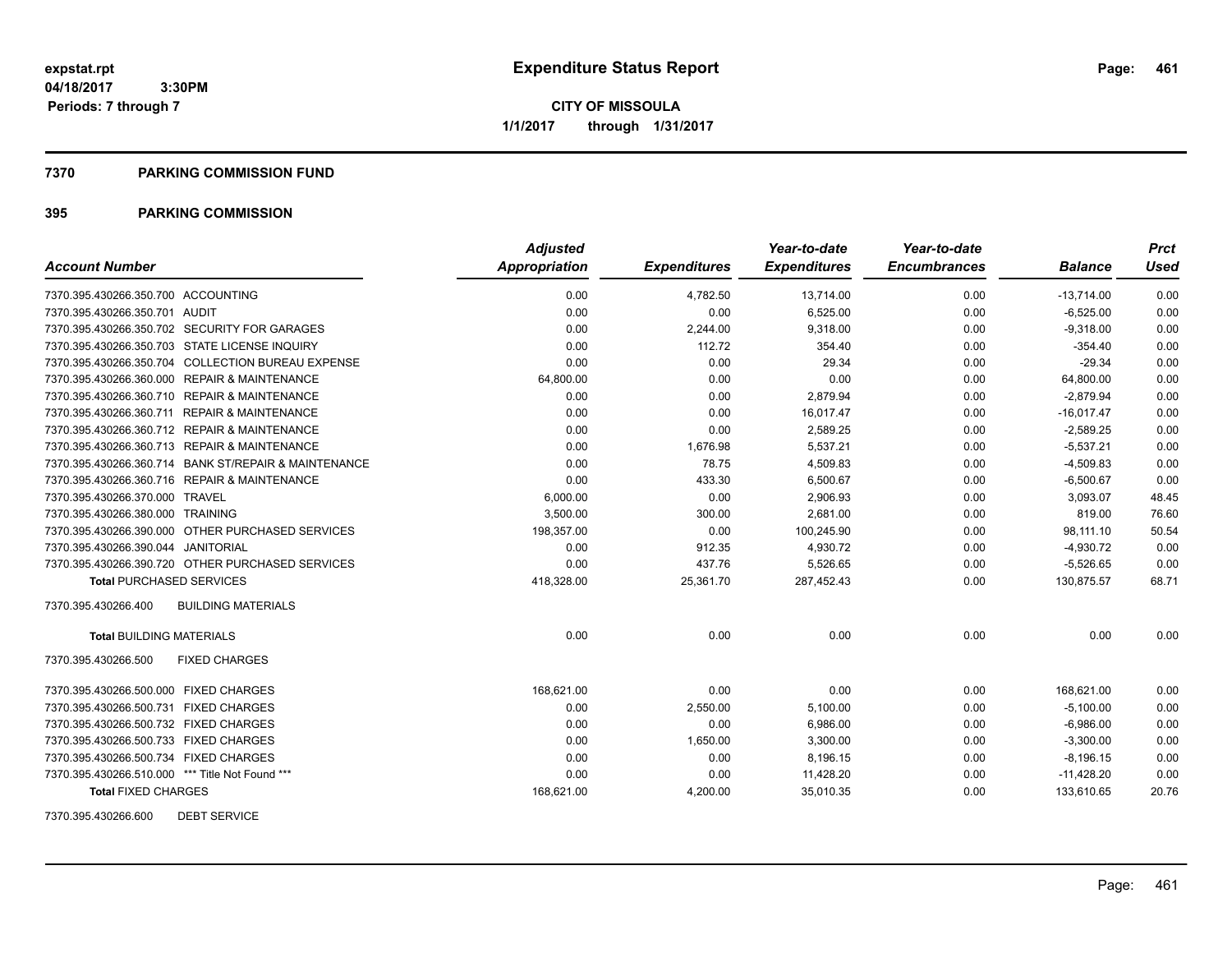**Periods: 7 through 7**

**CITY OF MISSOULA 1/1/2017 through 1/31/2017**

### **7370 PARKING COMMISSION FUND**

### **395 PARKING COMMISSION**

|                                                      | <b>Adjusted</b> |                     | Year-to-date        | Year-to-date        |                | <b>Prct</b> |
|------------------------------------------------------|-----------------|---------------------|---------------------|---------------------|----------------|-------------|
| <b>Account Number</b>                                | Appropriation   | <b>Expenditures</b> | <b>Expenditures</b> | <b>Encumbrances</b> | <b>Balance</b> | Used        |
| 7370.395.430266.350.700 ACCOUNTING                   | 0.00            | 4,782.50            | 13,714.00           | 0.00                | $-13,714.00$   | 0.00        |
| 7370.395.430266.350.701 AUDIT                        | 0.00            | 0.00                | 6,525.00            | 0.00                | $-6,525.00$    | 0.00        |
| 7370.395.430266.350.702 SECURITY FOR GARAGES         | 0.00            | 2,244.00            | 9.318.00            | 0.00                | $-9.318.00$    | 0.00        |
| 7370.395.430266.350.703 STATE LICENSE INQUIRY        | 0.00            | 112.72              | 354.40              | 0.00                | $-354.40$      | 0.00        |
| 7370.395.430266.350.704 COLLECTION BUREAU EXPENSE    | 0.00            | 0.00                | 29.34               | 0.00                | $-29.34$       | 0.00        |
| 7370.395.430266.360.000 REPAIR & MAINTENANCE         | 64,800.00       | 0.00                | 0.00                | 0.00                | 64,800.00      | 0.00        |
| 7370.395.430266.360.710 REPAIR & MAINTENANCE         | 0.00            | 0.00                | 2,879.94            | 0.00                | $-2,879.94$    | 0.00        |
| 7370.395.430266.360.711 REPAIR & MAINTENANCE         | 0.00            | 0.00                | 16,017.47           | 0.00                | $-16,017.47$   | 0.00        |
| 7370.395.430266.360.712 REPAIR & MAINTENANCE         | 0.00            | 0.00                | 2,589.25            | 0.00                | $-2,589.25$    | 0.00        |
| 7370.395.430266.360.713 REPAIR & MAINTENANCE         | 0.00            | 1,676.98            | 5,537.21            | 0.00                | $-5,537.21$    | 0.00        |
| 7370.395.430266.360.714 BANK ST/REPAIR & MAINTENANCE | 0.00            | 78.75               | 4,509.83            | 0.00                | $-4,509.83$    | 0.00        |
| 7370.395.430266.360.716 REPAIR & MAINTENANCE         | 0.00            | 433.30              | 6,500.67            | 0.00                | $-6,500.67$    | 0.00        |
| 7370.395.430266.370.000 TRAVEL                       | 6,000.00        | 0.00                | 2,906.93            | 0.00                | 3,093.07       | 48.45       |
| 7370.395.430266.380.000 TRAINING                     | 3,500.00        | 300.00              | 2,681.00            | 0.00                | 819.00         | 76.60       |
| 7370.395.430266.390.000 OTHER PURCHASED SERVICES     | 198,357.00      | 0.00                | 100,245.90          | 0.00                | 98,111.10      | 50.54       |
| 7370.395.430266.390.044 JANITORIAL                   | 0.00            | 912.35              | 4,930.72            | 0.00                | $-4,930.72$    | 0.00        |
| 7370.395.430266.390.720 OTHER PURCHASED SERVICES     | 0.00            | 437.76              | 5,526.65            | 0.00                | $-5,526.65$    | 0.00        |
| <b>Total PURCHASED SERVICES</b>                      | 418,328.00      | 25,361.70           | 287,452.43          | 0.00                | 130,875.57     | 68.71       |
| 7370.395.430266.400<br><b>BUILDING MATERIALS</b>     |                 |                     |                     |                     |                |             |
| <b>Total BUILDING MATERIALS</b>                      | 0.00            | 0.00                | 0.00                | 0.00                | 0.00           | 0.00        |
| 7370.395.430266.500<br><b>FIXED CHARGES</b>          |                 |                     |                     |                     |                |             |
| 7370.395.430266.500.000 FIXED CHARGES                | 168,621.00      | 0.00                | 0.00                | 0.00                | 168,621.00     | 0.00        |
| 7370.395.430266.500.731 FIXED CHARGES                | 0.00            | 2,550.00            | 5,100.00            | 0.00                | $-5,100.00$    | 0.00        |
| 7370.395.430266.500.732 FIXED CHARGES                | 0.00            | 0.00                | 6,986.00            | 0.00                | $-6,986.00$    | 0.00        |
| 7370.395.430266.500.733 FIXED CHARGES                | 0.00            | 1,650.00            | 3,300.00            | 0.00                | $-3,300.00$    | 0.00        |
| 7370.395.430266.500.734 FIXED CHARGES                | 0.00            | 0.00                | 8,196.15            | 0.00                | $-8,196.15$    | 0.00        |
| 7370.395.430266.510.000 *** Title Not Found ***      | 0.00            | 0.00                | 11,428.20           | 0.00                | $-11,428.20$   | 0.00        |
| <b>Total FIXED CHARGES</b>                           | 168,621.00      | 4,200.00            | 35,010.35           | 0.00                | 133,610.65     | 20.76       |

7370.395.430266.600 DEBT SERVICE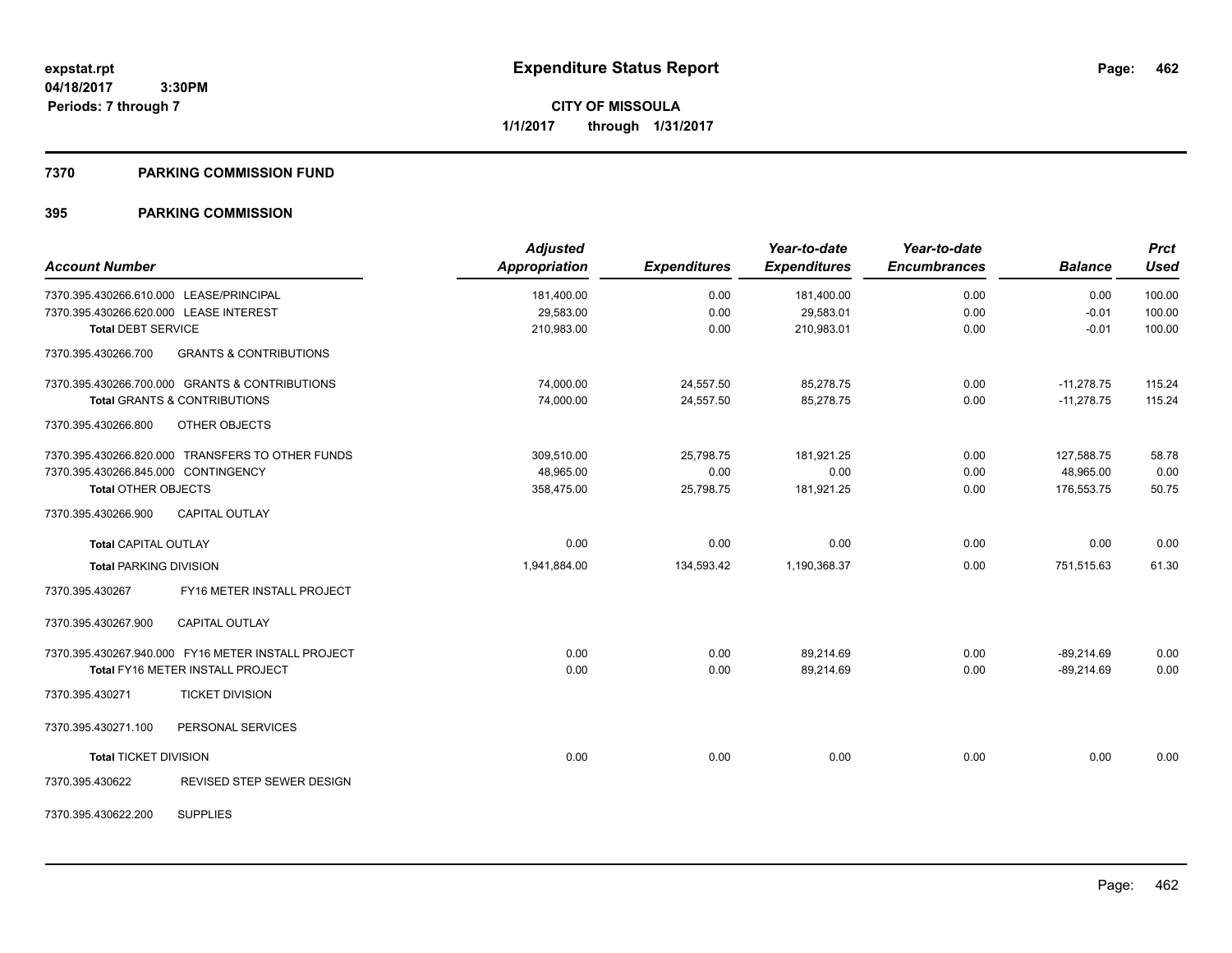**CITY OF MISSOULA 1/1/2017 through 1/31/2017**

### **7370 PARKING COMMISSION FUND**

|                                                          | <b>Adjusted</b> |                     | Year-to-date        | Year-to-date        |                | <b>Prct</b> |
|----------------------------------------------------------|-----------------|---------------------|---------------------|---------------------|----------------|-------------|
| <b>Account Number</b>                                    | Appropriation   | <b>Expenditures</b> | <b>Expenditures</b> | <b>Encumbrances</b> | <b>Balance</b> | <b>Used</b> |
| 7370.395.430266.610.000 LEASE/PRINCIPAL                  | 181,400.00      | 0.00                | 181,400.00          | 0.00                | 0.00           | 100.00      |
| 7370.395.430266.620.000 LEASE INTEREST                   | 29,583.00       | 0.00                | 29,583.01           | 0.00                | $-0.01$        | 100.00      |
| <b>Total DEBT SERVICE</b>                                | 210,983.00      | 0.00                | 210,983.01          | 0.00                | $-0.01$        | 100.00      |
| 7370.395.430266.700<br><b>GRANTS &amp; CONTRIBUTIONS</b> |                 |                     |                     |                     |                |             |
| 7370.395.430266.700.000 GRANTS & CONTRIBUTIONS           | 74,000.00       | 24,557.50           | 85,278.75           | 0.00                | $-11,278.75$   | 115.24      |
| <b>Total GRANTS &amp; CONTRIBUTIONS</b>                  | 74,000.00       | 24,557.50           | 85,278.75           | 0.00                | $-11,278.75$   | 115.24      |
| 7370.395.430266.800<br>OTHER OBJECTS                     |                 |                     |                     |                     |                |             |
| 7370.395.430266.820.000 TRANSFERS TO OTHER FUNDS         | 309,510.00      | 25,798.75           | 181,921.25          | 0.00                | 127,588.75     | 58.78       |
| 7370.395.430266.845.000 CONTINGENCY                      | 48,965.00       | 0.00                | 0.00                | 0.00                | 48,965.00      | 0.00        |
| <b>Total OTHER OBJECTS</b>                               | 358,475.00      | 25,798.75           | 181,921.25          | 0.00                | 176,553.75     | 50.75       |
| 7370.395.430266.900<br><b>CAPITAL OUTLAY</b>             |                 |                     |                     |                     |                |             |
| <b>Total CAPITAL OUTLAY</b>                              | 0.00            | 0.00                | 0.00                | 0.00                | 0.00           | 0.00        |
| <b>Total PARKING DIVISION</b>                            | 1,941,884.00    | 134,593.42          | 1,190,368.37        | 0.00                | 751,515.63     | 61.30       |
| FY16 METER INSTALL PROJECT<br>7370.395.430267            |                 |                     |                     |                     |                |             |
| 7370.395.430267.900<br><b>CAPITAL OUTLAY</b>             |                 |                     |                     |                     |                |             |
| 7370.395.430267.940.000 FY16 METER INSTALL PROJECT       | 0.00            | 0.00                | 89,214.69           | 0.00                | $-89,214.69$   | 0.00        |
| <b>Total FY16 METER INSTALL PROJECT</b>                  | 0.00            | 0.00                | 89,214.69           | 0.00                | $-89.214.69$   | 0.00        |
| 7370.395.430271<br><b>TICKET DIVISION</b>                |                 |                     |                     |                     |                |             |
| PERSONAL SERVICES<br>7370.395.430271.100                 |                 |                     |                     |                     |                |             |
| <b>Total TICKET DIVISION</b>                             | 0.00            | 0.00                | 0.00                | 0.00                | 0.00           | 0.00        |
| 7370.395.430622<br>REVISED STEP SEWER DESIGN             |                 |                     |                     |                     |                |             |
| <b>SUPPLIES</b><br>7370.395.430622.200                   |                 |                     |                     |                     |                |             |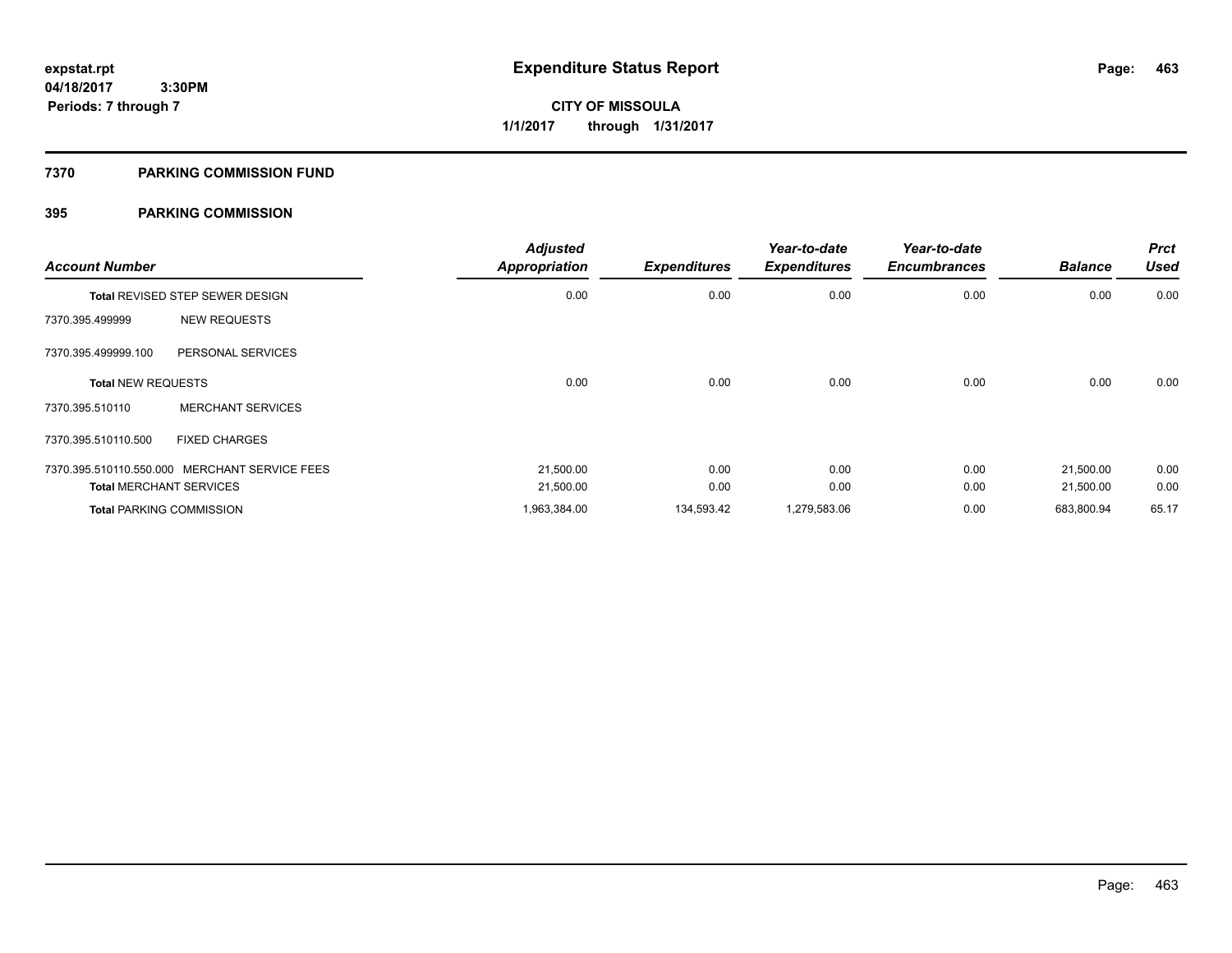**Periods: 7 through 7**

**CITY OF MISSOULA 1/1/2017 through 1/31/2017**

### **7370 PARKING COMMISSION FUND**

| <b>Account Number</b>                  |                                               | <b>Adjusted</b><br><b>Appropriation</b> | <b>Expenditures</b> | Year-to-date<br><b>Expenditures</b> | Year-to-date<br><b>Encumbrances</b> | <b>Balance</b> | <b>Prct</b><br><b>Used</b> |
|----------------------------------------|-----------------------------------------------|-----------------------------------------|---------------------|-------------------------------------|-------------------------------------|----------------|----------------------------|
| <b>Total REVISED STEP SEWER DESIGN</b> |                                               | 0.00                                    | 0.00                | 0.00                                | 0.00                                | 0.00           | 0.00                       |
| 7370.395.499999                        | <b>NEW REQUESTS</b>                           |                                         |                     |                                     |                                     |                |                            |
| 7370.395.499999.100                    | PERSONAL SERVICES                             |                                         |                     |                                     |                                     |                |                            |
| <b>Total NEW REQUESTS</b>              |                                               | 0.00                                    | 0.00                | 0.00                                | 0.00                                | 0.00           | 0.00                       |
| 7370.395.510110                        | <b>MERCHANT SERVICES</b>                      |                                         |                     |                                     |                                     |                |                            |
| 7370.395.510110.500                    | <b>FIXED CHARGES</b>                          |                                         |                     |                                     |                                     |                |                            |
|                                        | 7370.395.510110.550.000 MERCHANT SERVICE FEES | 21,500.00                               | 0.00                | 0.00                                | 0.00                                | 21,500.00      | 0.00                       |
|                                        | <b>Total MERCHANT SERVICES</b>                | 21,500.00                               | 0.00                | 0.00                                | 0.00                                | 21,500.00      | 0.00                       |
|                                        | <b>Total PARKING COMMISSION</b>               | 1,963,384.00                            | 134,593.42          | 1,279,583.06                        | 0.00                                | 683,800.94     | 65.17                      |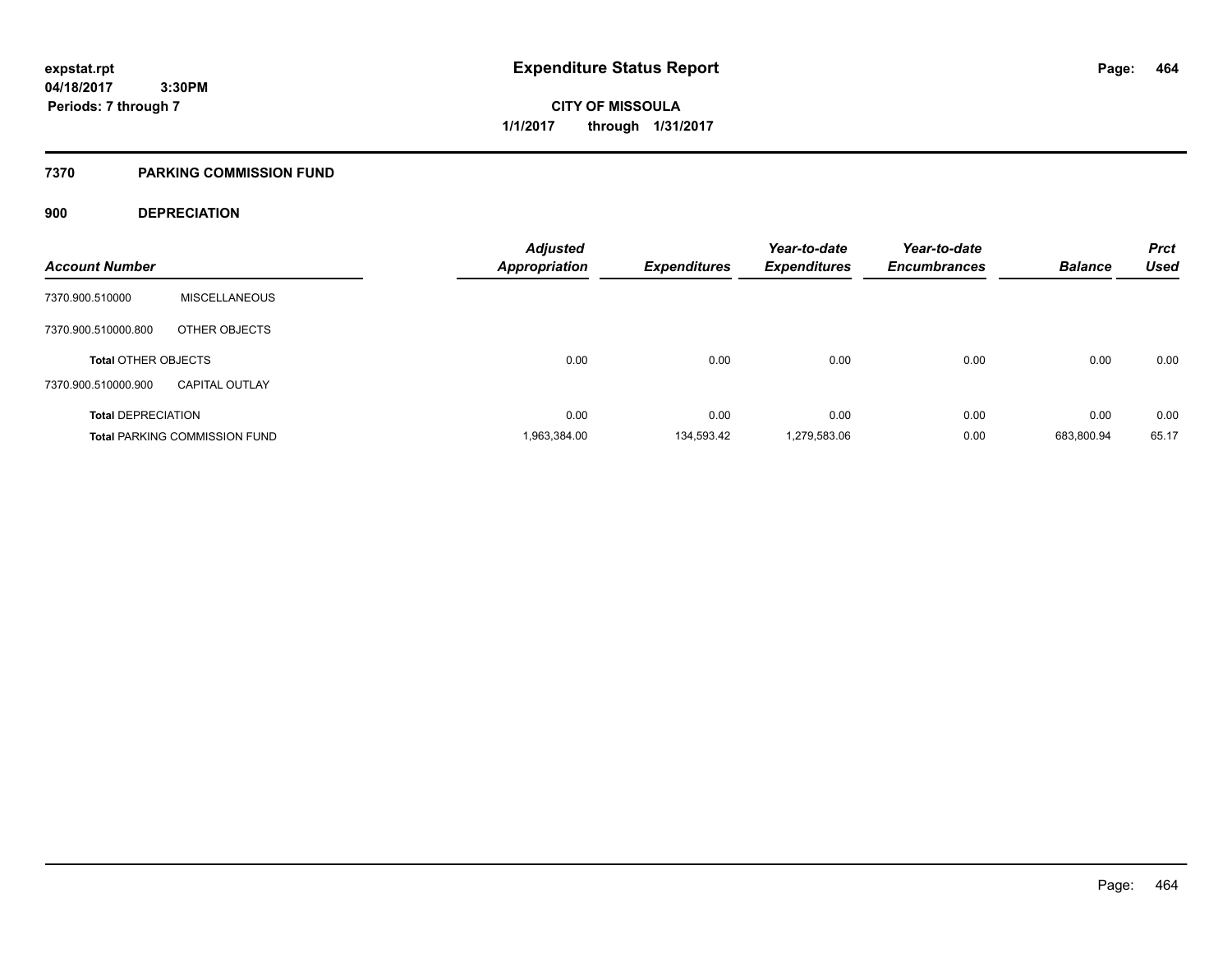**CITY OF MISSOULA 1/1/2017 through 1/31/2017**

### **7370 PARKING COMMISSION FUND**

### **900 DEPRECIATION**

| <b>Account Number</b>      |                                      | <b>Adjusted</b><br><b>Appropriation</b> | <b>Expenditures</b> | Year-to-date<br><b>Expenditures</b> | Year-to-date<br><b>Encumbrances</b> | <b>Balance</b> | <b>Prct</b><br><b>Used</b> |
|----------------------------|--------------------------------------|-----------------------------------------|---------------------|-------------------------------------|-------------------------------------|----------------|----------------------------|
| 7370.900.510000            | <b>MISCELLANEOUS</b>                 |                                         |                     |                                     |                                     |                |                            |
| 7370.900.510000.800        | OTHER OBJECTS                        |                                         |                     |                                     |                                     |                |                            |
| <b>Total OTHER OBJECTS</b> |                                      | 0.00                                    | 0.00                | 0.00                                | 0.00                                | 0.00           | 0.00                       |
| 7370.900.510000.900        | <b>CAPITAL OUTLAY</b>                |                                         |                     |                                     |                                     |                |                            |
| <b>Total DEPRECIATION</b>  |                                      | 0.00                                    | 0.00                | 0.00                                | 0.00                                | 0.00           | 0.00                       |
|                            | <b>Total PARKING COMMISSION FUND</b> | 1,963,384.00                            | 134.593.42          | 1,279,583.06                        | 0.00                                | 683.800.94     | 65.17                      |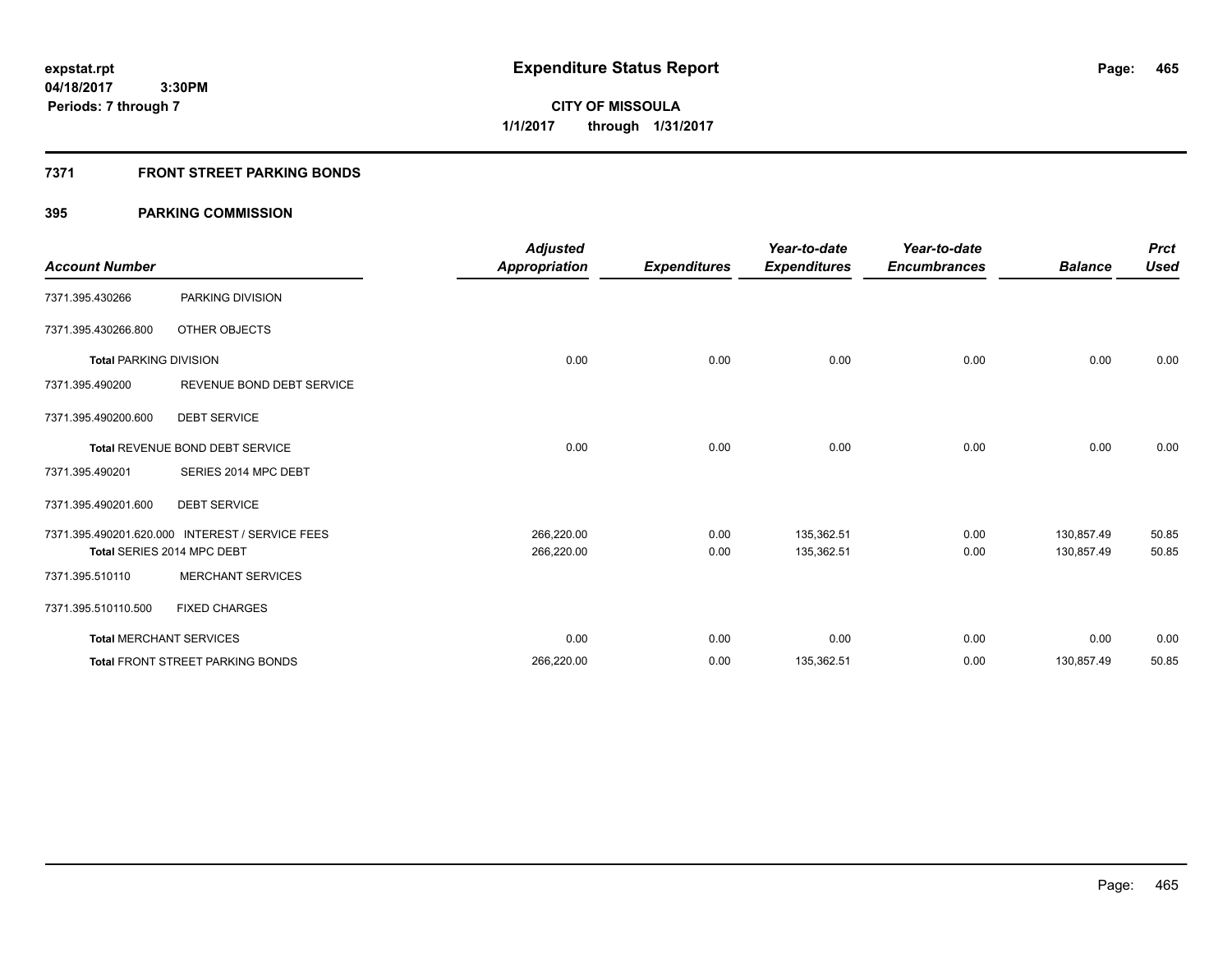**Periods: 7 through 7**

**CITY OF MISSOULA 1/1/2017 through 1/31/2017**

### **7371 FRONT STREET PARKING BONDS**

| <b>Account Number</b>         |                                                 | <b>Adjusted</b><br><b>Appropriation</b> | <b>Expenditures</b> | Year-to-date<br><b>Expenditures</b> | Year-to-date<br><b>Encumbrances</b> | <b>Balance</b> | <b>Prct</b><br><b>Used</b> |
|-------------------------------|-------------------------------------------------|-----------------------------------------|---------------------|-------------------------------------|-------------------------------------|----------------|----------------------------|
| 7371.395.430266               | PARKING DIVISION                                |                                         |                     |                                     |                                     |                |                            |
| 7371.395.430266.800           | OTHER OBJECTS                                   |                                         |                     |                                     |                                     |                |                            |
| <b>Total PARKING DIVISION</b> |                                                 | 0.00                                    | 0.00                | 0.00                                | 0.00                                | 0.00           | 0.00                       |
| 7371.395.490200               | REVENUE BOND DEBT SERVICE                       |                                         |                     |                                     |                                     |                |                            |
| 7371.395.490200.600           | <b>DEBT SERVICE</b>                             |                                         |                     |                                     |                                     |                |                            |
|                               | Total REVENUE BOND DEBT SERVICE                 | 0.00                                    | 0.00                | 0.00                                | 0.00                                | 0.00           | 0.00                       |
| 7371.395.490201               | SERIES 2014 MPC DEBT                            |                                         |                     |                                     |                                     |                |                            |
| 7371.395.490201.600           | <b>DEBT SERVICE</b>                             |                                         |                     |                                     |                                     |                |                            |
|                               | 7371.395.490201.620.000 INTEREST / SERVICE FEES | 266,220.00                              | 0.00                | 135,362.51                          | 0.00                                | 130,857.49     | 50.85                      |
|                               | Total SERIES 2014 MPC DEBT                      | 266,220.00                              | 0.00                | 135,362.51                          | 0.00                                | 130,857.49     | 50.85                      |
| 7371.395.510110               | <b>MERCHANT SERVICES</b>                        |                                         |                     |                                     |                                     |                |                            |
| 7371.395.510110.500           | <b>FIXED CHARGES</b>                            |                                         |                     |                                     |                                     |                |                            |
|                               | <b>Total MERCHANT SERVICES</b>                  | 0.00                                    | 0.00                | 0.00                                | 0.00                                | 0.00           | 0.00                       |
|                               | <b>Total FRONT STREET PARKING BONDS</b>         | 266,220.00                              | 0.00                | 135,362.51                          | 0.00                                | 130,857.49     | 50.85                      |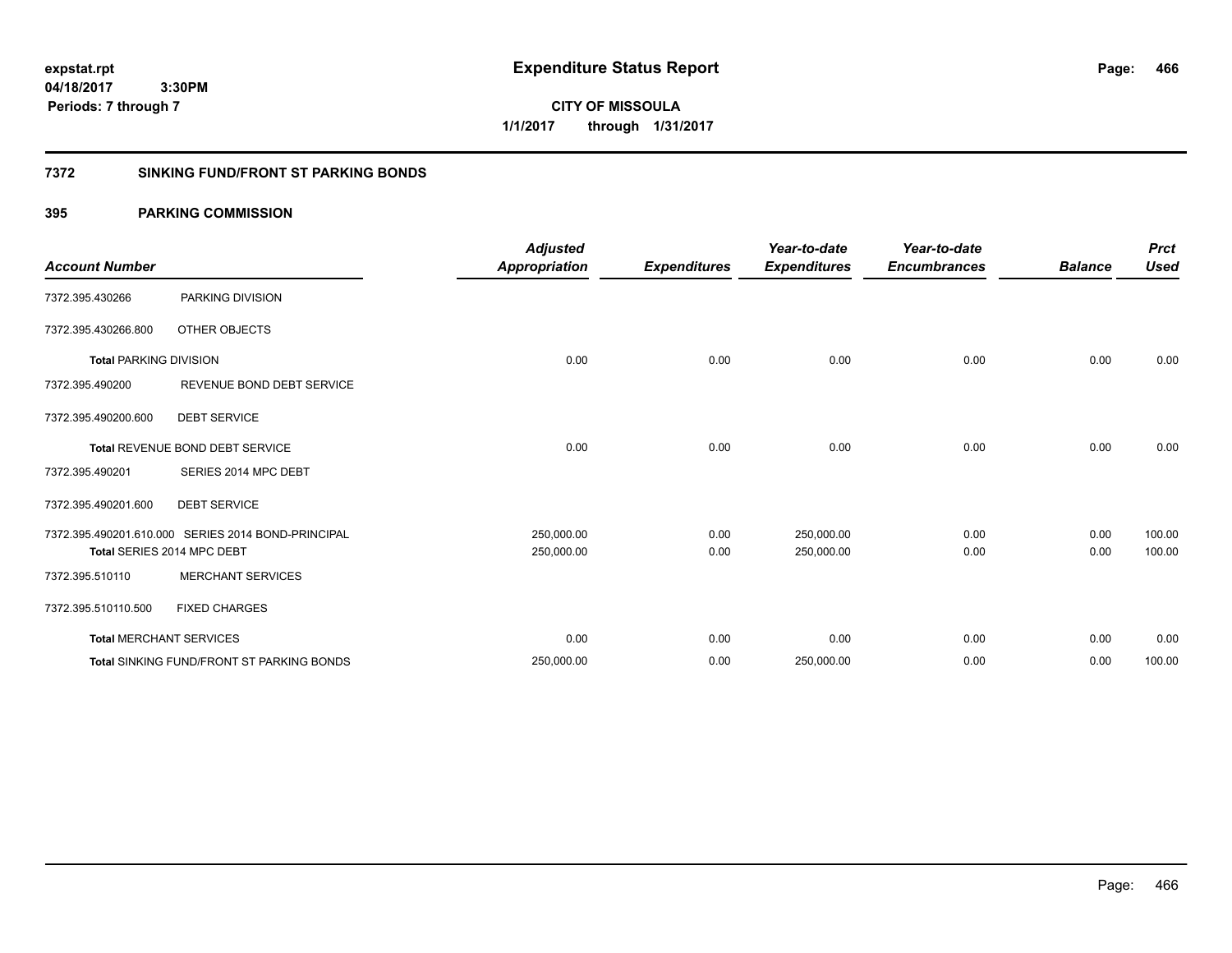**expstat.rpt Expenditure Status Report** 

**04/18/2017 3:30PM Periods: 7 through 7**

**CITY OF MISSOULA 1/1/2017 through 1/31/2017**

### **7372 SINKING FUND/FRONT ST PARKING BONDS**

| <b>Account Number</b>         |                                                    | <b>Adjusted</b><br><b>Appropriation</b> | <b>Expenditures</b> | Year-to-date<br><b>Expenditures</b> | Year-to-date<br><b>Encumbrances</b> | <b>Balance</b> | <b>Prct</b><br><b>Used</b> |
|-------------------------------|----------------------------------------------------|-----------------------------------------|---------------------|-------------------------------------|-------------------------------------|----------------|----------------------------|
| 7372.395.430266               | PARKING DIVISION                                   |                                         |                     |                                     |                                     |                |                            |
| 7372.395.430266.800           | OTHER OBJECTS                                      |                                         |                     |                                     |                                     |                |                            |
| <b>Total PARKING DIVISION</b> |                                                    | 0.00                                    | 0.00                | 0.00                                | 0.00                                | 0.00           | 0.00                       |
| 7372.395.490200               | REVENUE BOND DEBT SERVICE                          |                                         |                     |                                     |                                     |                |                            |
| 7372.395.490200.600           | <b>DEBT SERVICE</b>                                |                                         |                     |                                     |                                     |                |                            |
|                               | <b>Total REVENUE BOND DEBT SERVICE</b>             | 0.00                                    | 0.00                | 0.00                                | 0.00                                | 0.00           | 0.00                       |
| 7372.395.490201               | SERIES 2014 MPC DEBT                               |                                         |                     |                                     |                                     |                |                            |
| 7372.395.490201.600           | <b>DEBT SERVICE</b>                                |                                         |                     |                                     |                                     |                |                            |
|                               | 7372.395.490201.610.000 SERIES 2014 BOND-PRINCIPAL | 250,000.00                              | 0.00                | 250,000.00                          | 0.00                                | 0.00           | 100.00                     |
|                               | Total SERIES 2014 MPC DEBT                         | 250,000.00                              | 0.00                | 250,000.00                          | 0.00                                | 0.00           | 100.00                     |
| 7372.395.510110               | <b>MERCHANT SERVICES</b>                           |                                         |                     |                                     |                                     |                |                            |
| 7372.395.510110.500           | <b>FIXED CHARGES</b>                               |                                         |                     |                                     |                                     |                |                            |
|                               | <b>Total MERCHANT SERVICES</b>                     | 0.00                                    | 0.00                | 0.00                                | 0.00                                | 0.00           | 0.00                       |
|                               | <b>Total SINKING FUND/FRONT ST PARKING BONDS</b>   | 250,000.00                              | 0.00                | 250,000.00                          | 0.00                                | 0.00           | 100.00                     |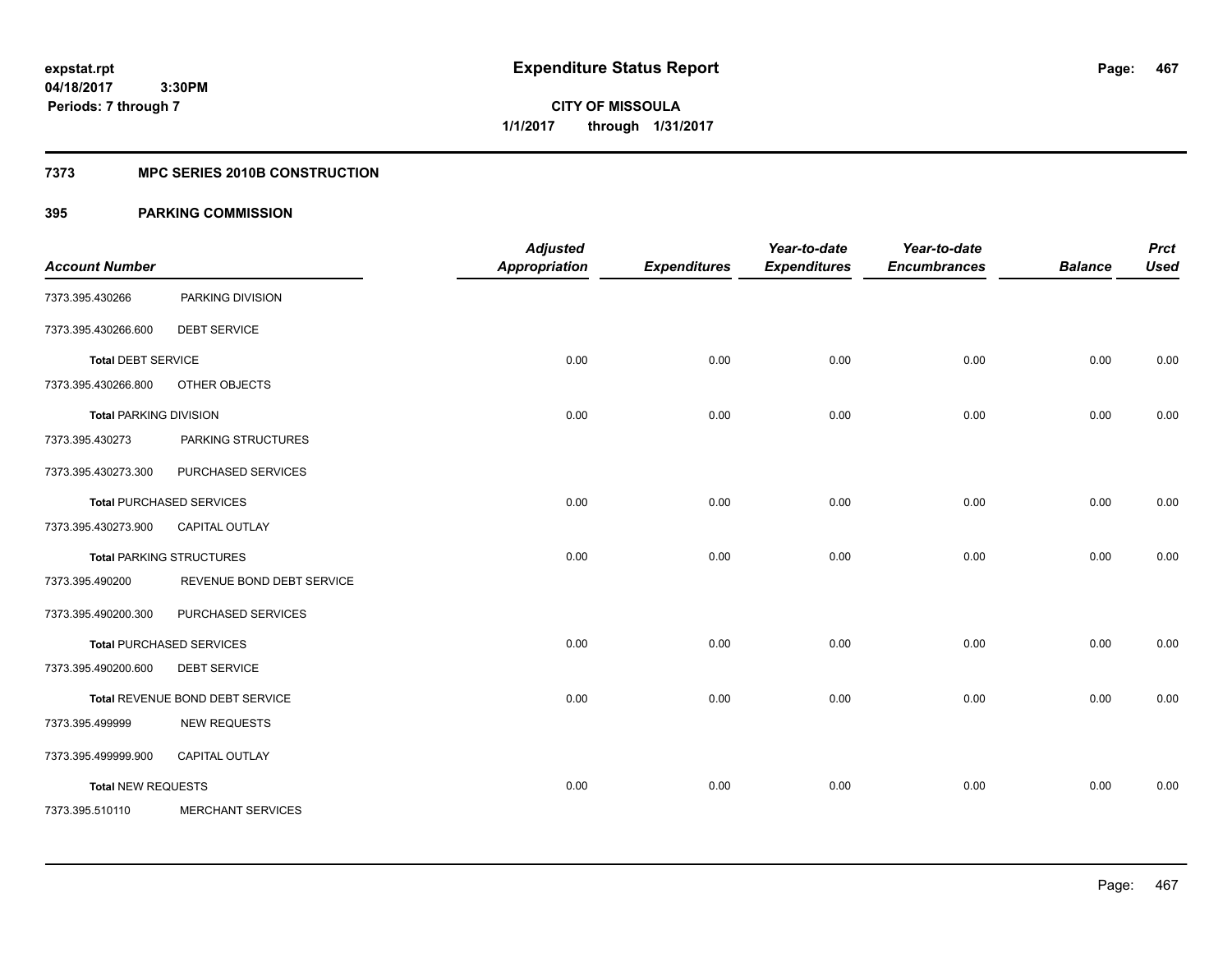**467**

**04/18/2017 3:30PM Periods: 7 through 7**

**CITY OF MISSOULA 1/1/2017 through 1/31/2017**

### **7373 MPC SERIES 2010B CONSTRUCTION**

| <b>Account Number</b>         |                                 | <b>Adjusted</b><br><b>Appropriation</b> | <b>Expenditures</b> | Year-to-date<br><b>Expenditures</b> | Year-to-date<br><b>Encumbrances</b> | <b>Balance</b> | <b>Prct</b><br><b>Used</b> |
|-------------------------------|---------------------------------|-----------------------------------------|---------------------|-------------------------------------|-------------------------------------|----------------|----------------------------|
| 7373.395.430266               | PARKING DIVISION                |                                         |                     |                                     |                                     |                |                            |
| 7373.395.430266.600           | <b>DEBT SERVICE</b>             |                                         |                     |                                     |                                     |                |                            |
| <b>Total DEBT SERVICE</b>     |                                 | 0.00                                    | 0.00                | 0.00                                | 0.00                                | 0.00           | 0.00                       |
| 7373.395.430266.800           | OTHER OBJECTS                   |                                         |                     |                                     |                                     |                |                            |
| <b>Total PARKING DIVISION</b> |                                 | 0.00                                    | 0.00                | 0.00                                | 0.00                                | 0.00           | 0.00                       |
| 7373.395.430273               | PARKING STRUCTURES              |                                         |                     |                                     |                                     |                |                            |
| 7373.395.430273.300           | PURCHASED SERVICES              |                                         |                     |                                     |                                     |                |                            |
|                               | <b>Total PURCHASED SERVICES</b> | 0.00                                    | 0.00                | 0.00                                | 0.00                                | 0.00           | 0.00                       |
| 7373.395.430273.900           | CAPITAL OUTLAY                  |                                         |                     |                                     |                                     |                |                            |
|                               | <b>Total PARKING STRUCTURES</b> | 0.00                                    | 0.00                | 0.00                                | 0.00                                | 0.00           | 0.00                       |
| 7373.395.490200               | REVENUE BOND DEBT SERVICE       |                                         |                     |                                     |                                     |                |                            |
| 7373.395.490200.300           | PURCHASED SERVICES              |                                         |                     |                                     |                                     |                |                            |
|                               | <b>Total PURCHASED SERVICES</b> | 0.00                                    | 0.00                | 0.00                                | 0.00                                | 0.00           | 0.00                       |
| 7373.395.490200.600           | <b>DEBT SERVICE</b>             |                                         |                     |                                     |                                     |                |                            |
|                               | Total REVENUE BOND DEBT SERVICE | 0.00                                    | 0.00                | 0.00                                | 0.00                                | 0.00           | 0.00                       |
| 7373.395.499999               | <b>NEW REQUESTS</b>             |                                         |                     |                                     |                                     |                |                            |
| 7373.395.499999.900           | <b>CAPITAL OUTLAY</b>           |                                         |                     |                                     |                                     |                |                            |
| <b>Total NEW REQUESTS</b>     |                                 | 0.00                                    | 0.00                | 0.00                                | 0.00                                | 0.00           | 0.00                       |
| 7373.395.510110               | <b>MERCHANT SERVICES</b>        |                                         |                     |                                     |                                     |                |                            |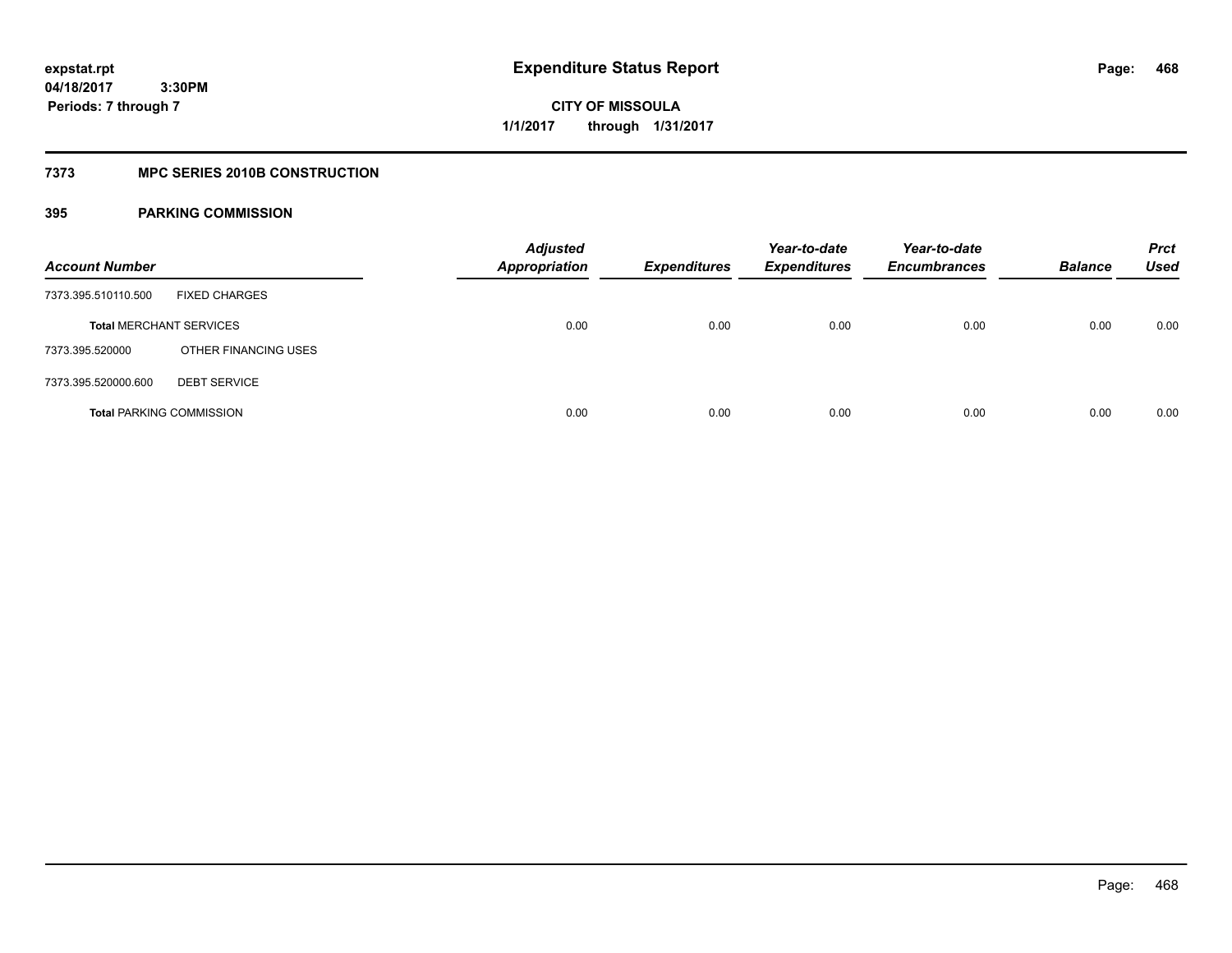**Periods: 7 through 7**

**CITY OF MISSOULA 1/1/2017 through 1/31/2017**

### **7373 MPC SERIES 2010B CONSTRUCTION**

### **395 PARKING COMMISSION**

 **3:30PM**

| <b>Account Number</b> |                                 | <b>Adjusted</b><br><b>Appropriation</b> | <b>Expenditures</b> | Year-to-date<br><b>Expenditures</b> | Year-to-date<br><b>Encumbrances</b> | <b>Balance</b> | <b>Prct</b><br>Used |
|-----------------------|---------------------------------|-----------------------------------------|---------------------|-------------------------------------|-------------------------------------|----------------|---------------------|
| 7373.395.510110.500   | <b>FIXED CHARGES</b>            |                                         |                     |                                     |                                     |                |                     |
|                       | <b>Total MERCHANT SERVICES</b>  | 0.00                                    | 0.00                | 0.00                                | 0.00                                | 0.00           | 0.00                |
| 7373.395.520000       | OTHER FINANCING USES            |                                         |                     |                                     |                                     |                |                     |
| 7373.395.520000.600   | <b>DEBT SERVICE</b>             |                                         |                     |                                     |                                     |                |                     |
|                       | <b>Total PARKING COMMISSION</b> | 0.00                                    | 0.00                | 0.00                                | 0.00                                | 0.00           | 0.00                |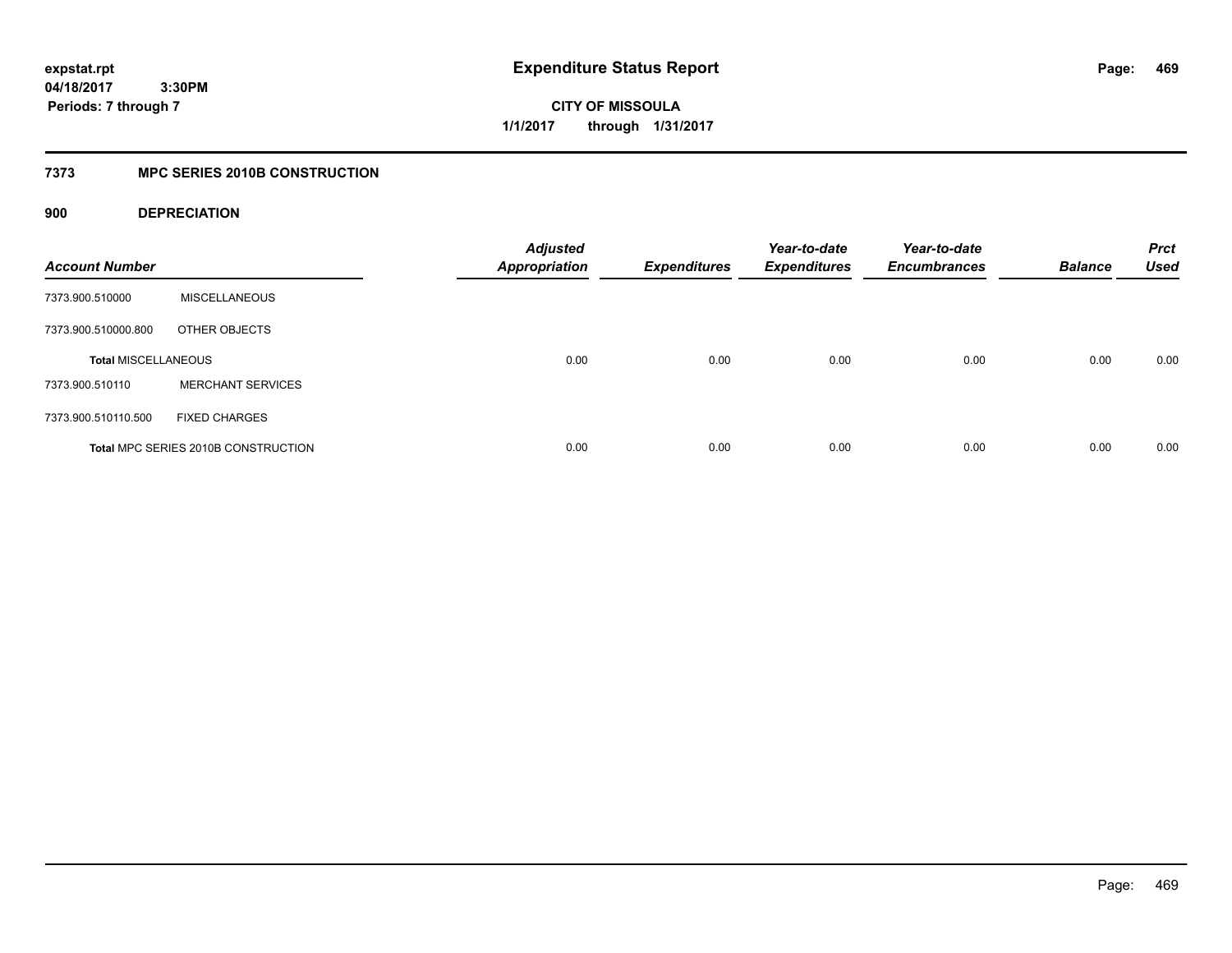**CITY OF MISSOULA 1/1/2017 through 1/31/2017**

# **7373 MPC SERIES 2010B CONSTRUCTION**

# **900 DEPRECIATION**

| <b>Account Number</b>      |                                     | <b>Adjusted</b><br><b>Appropriation</b> | <b>Expenditures</b> | Year-to-date<br><b>Expenditures</b> | Year-to-date<br><b>Encumbrances</b> | <b>Balance</b> | <b>Prct</b><br><b>Used</b> |
|----------------------------|-------------------------------------|-----------------------------------------|---------------------|-------------------------------------|-------------------------------------|----------------|----------------------------|
| 7373.900.510000            | <b>MISCELLANEOUS</b>                |                                         |                     |                                     |                                     |                |                            |
| 7373.900.510000.800        | OTHER OBJECTS                       |                                         |                     |                                     |                                     |                |                            |
| <b>Total MISCELLANEOUS</b> |                                     | 0.00                                    | 0.00                | 0.00                                | 0.00                                | 0.00           | 0.00                       |
| 7373.900.510110            | <b>MERCHANT SERVICES</b>            |                                         |                     |                                     |                                     |                |                            |
| 7373.900.510110.500        | <b>FIXED CHARGES</b>                |                                         |                     |                                     |                                     |                |                            |
|                            | Total MPC SERIES 2010B CONSTRUCTION | 0.00                                    | 0.00                | 0.00                                | 0.00                                | 0.00           | 0.00                       |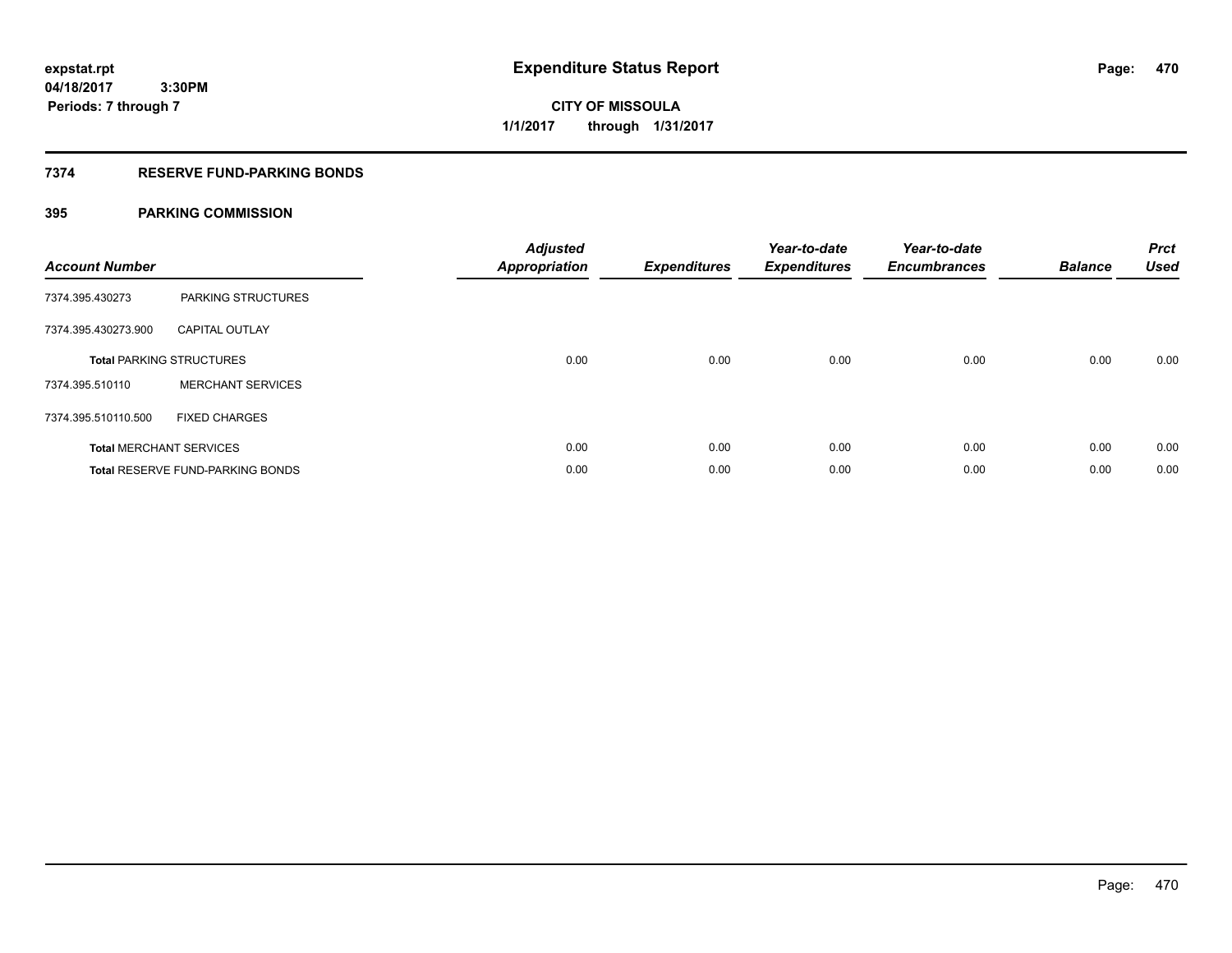**CITY OF MISSOULA 1/1/2017 through 1/31/2017**

## **7374 RESERVE FUND-PARKING BONDS**

| <b>Account Number</b> |                                         | <b>Adjusted</b><br><b>Appropriation</b> | <b>Expenditures</b> | Year-to-date<br><b>Expenditures</b> | Year-to-date<br><b>Encumbrances</b> | <b>Balance</b> | <b>Prct</b><br><b>Used</b> |
|-----------------------|-----------------------------------------|-----------------------------------------|---------------------|-------------------------------------|-------------------------------------|----------------|----------------------------|
| 7374.395.430273       | <b>PARKING STRUCTURES</b>               |                                         |                     |                                     |                                     |                |                            |
| 7374.395.430273.900   | <b>CAPITAL OUTLAY</b>                   |                                         |                     |                                     |                                     |                |                            |
|                       | <b>Total PARKING STRUCTURES</b>         | 0.00                                    | 0.00                | 0.00                                | 0.00                                | 0.00           | 0.00                       |
| 7374.395.510110       | <b>MERCHANT SERVICES</b>                |                                         |                     |                                     |                                     |                |                            |
| 7374.395.510110.500   | <b>FIXED CHARGES</b>                    |                                         |                     |                                     |                                     |                |                            |
|                       | <b>Total MERCHANT SERVICES</b>          | 0.00                                    | 0.00                | 0.00                                | 0.00                                | 0.00           | 0.00                       |
|                       | <b>Total RESERVE FUND-PARKING BONDS</b> | 0.00                                    | 0.00                | 0.00                                | 0.00                                | 0.00           | 0.00                       |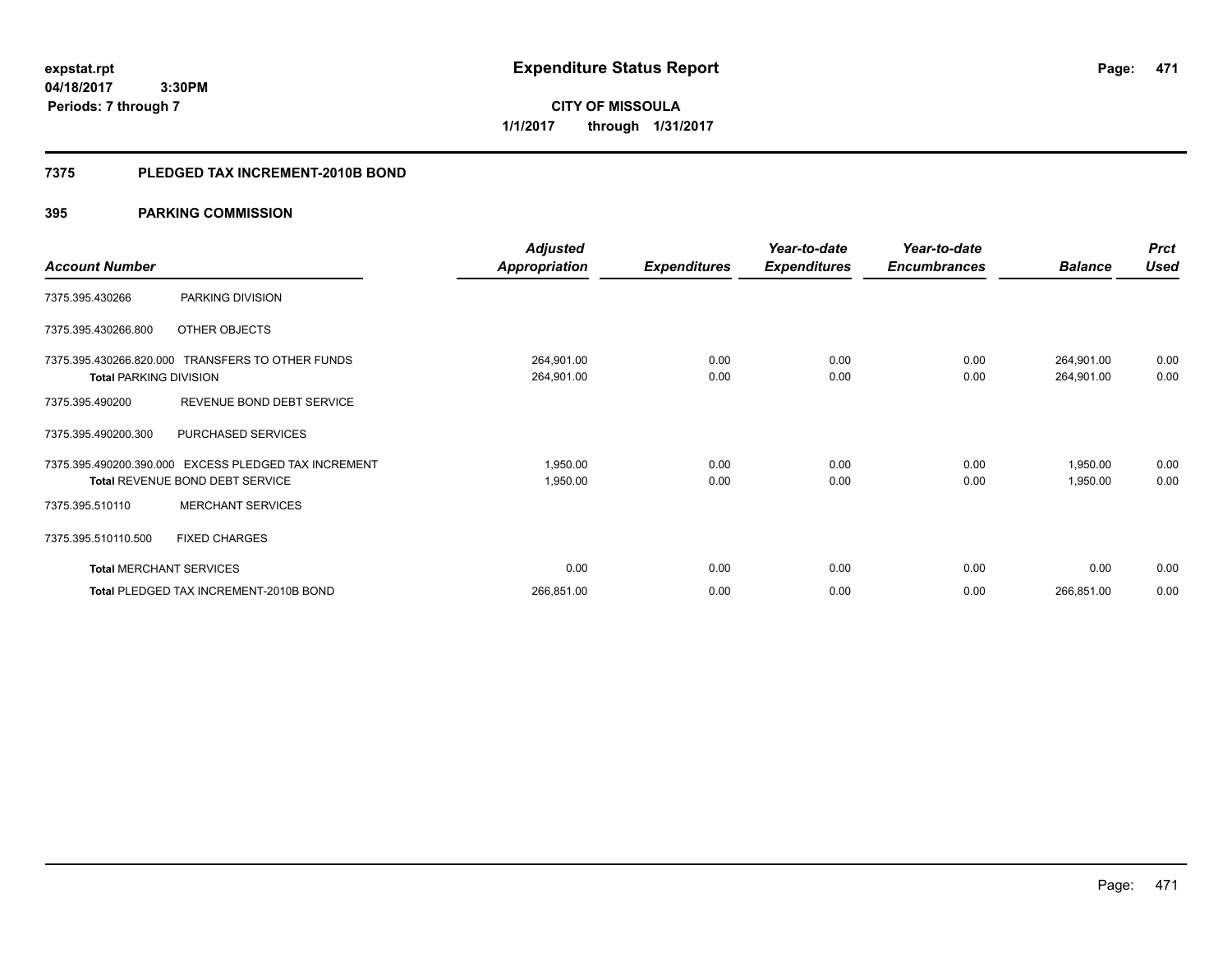**04/18/2017 3:30PM Periods: 7 through 7**

**CITY OF MISSOULA 1/1/2017 through 1/31/2017**

## **7375 PLEDGED TAX INCREMENT-2010B BOND**

|                                |                                                      | <b>Adjusted</b>      |                     | Year-to-date        | Year-to-date        |                | <b>Prct</b> |
|--------------------------------|------------------------------------------------------|----------------------|---------------------|---------------------|---------------------|----------------|-------------|
| <b>Account Number</b>          |                                                      | <b>Appropriation</b> | <b>Expenditures</b> | <b>Expenditures</b> | <b>Encumbrances</b> | <b>Balance</b> | <b>Used</b> |
| 7375.395.430266                | PARKING DIVISION                                     |                      |                     |                     |                     |                |             |
| 7375.395.430266.800            | OTHER OBJECTS                                        |                      |                     |                     |                     |                |             |
|                                | 7375.395.430266.820.000 TRANSFERS TO OTHER FUNDS     | 264,901.00           | 0.00                | 0.00                | 0.00                | 264,901.00     | 0.00        |
| <b>Total PARKING DIVISION</b>  |                                                      | 264,901.00           | 0.00                | 0.00                | 0.00                | 264,901.00     | 0.00        |
| 7375.395.490200                | REVENUE BOND DEBT SERVICE                            |                      |                     |                     |                     |                |             |
| 7375.395.490200.300            | PURCHASED SERVICES                                   |                      |                     |                     |                     |                |             |
|                                | 7375.395.490200.390.000 EXCESS PLEDGED TAX INCREMENT | 1,950.00             | 0.00                | 0.00                | 0.00                | 1,950.00       | 0.00        |
|                                | <b>Total REVENUE BOND DEBT SERVICE</b>               | 1,950.00             | 0.00                | 0.00                | 0.00                | 1,950.00       | 0.00        |
| 7375.395.510110                | <b>MERCHANT SERVICES</b>                             |                      |                     |                     |                     |                |             |
| 7375.395.510110.500            | <b>FIXED CHARGES</b>                                 |                      |                     |                     |                     |                |             |
| <b>Total MERCHANT SERVICES</b> |                                                      | 0.00                 | 0.00                | 0.00                | 0.00                | 0.00           | 0.00        |
|                                | Total PLEDGED TAX INCREMENT-2010B BOND               | 266,851.00           | 0.00                | 0.00                | 0.00                | 266,851.00     | 0.00        |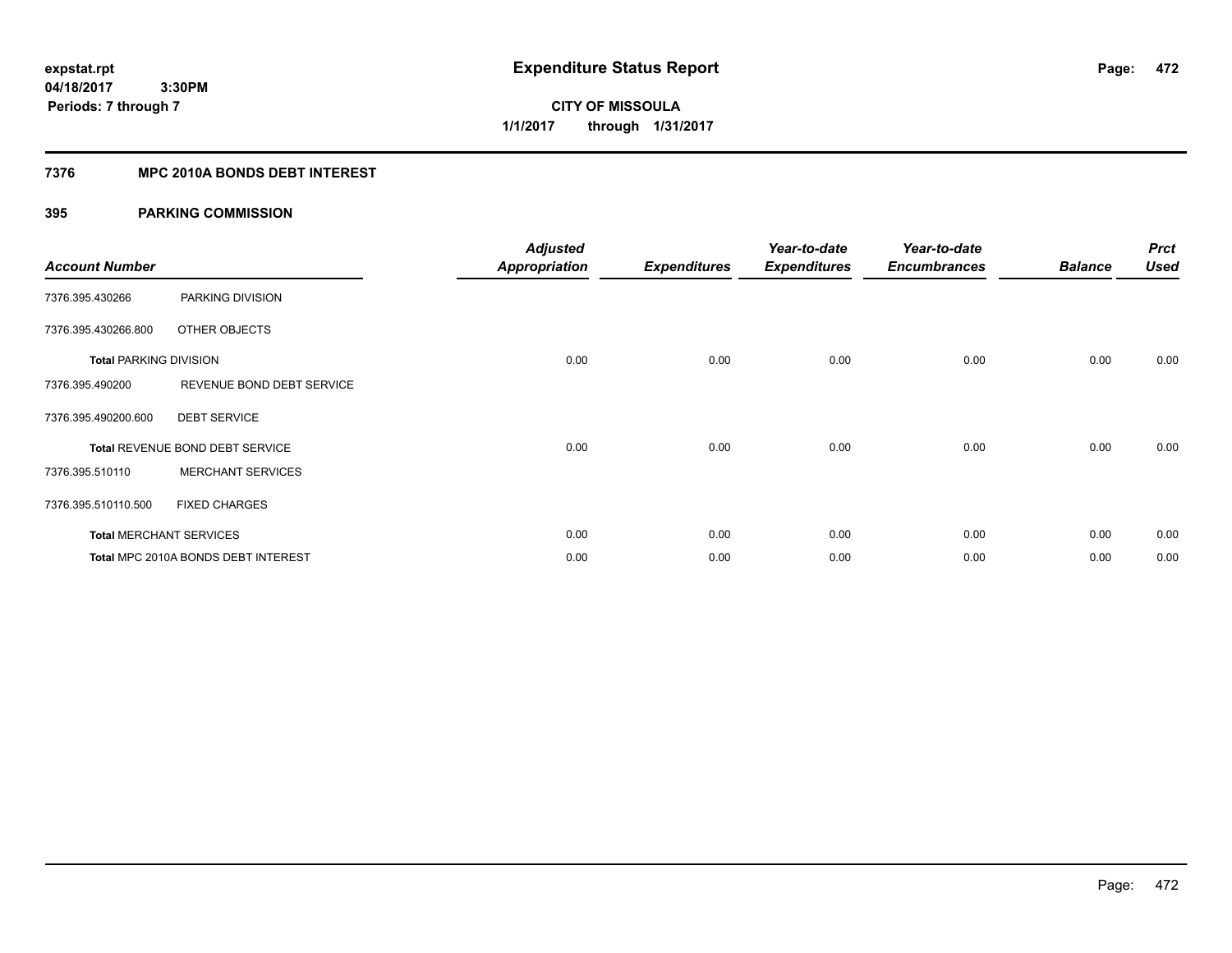**04/18/2017 3:30PM Periods: 7 through 7**

**CITY OF MISSOULA 1/1/2017 through 1/31/2017**

# **7376 MPC 2010A BONDS DEBT INTEREST**

| <b>Account Number</b>         |                                     | <b>Adjusted</b><br><b>Appropriation</b> | <b>Expenditures</b> | Year-to-date<br><b>Expenditures</b> | Year-to-date<br><b>Encumbrances</b> | <b>Balance</b> | <b>Prct</b><br><b>Used</b> |
|-------------------------------|-------------------------------------|-----------------------------------------|---------------------|-------------------------------------|-------------------------------------|----------------|----------------------------|
| 7376.395.430266               | PARKING DIVISION                    |                                         |                     |                                     |                                     |                |                            |
| 7376.395.430266.800           | <b>OTHER OBJECTS</b>                |                                         |                     |                                     |                                     |                |                            |
| <b>Total PARKING DIVISION</b> |                                     | 0.00                                    | 0.00                | 0.00                                | 0.00                                | 0.00           | 0.00                       |
| 7376.395.490200               | REVENUE BOND DEBT SERVICE           |                                         |                     |                                     |                                     |                |                            |
| 7376.395.490200.600           | <b>DEBT SERVICE</b>                 |                                         |                     |                                     |                                     |                |                            |
|                               | Total REVENUE BOND DEBT SERVICE     | 0.00                                    | 0.00                | 0.00                                | 0.00                                | 0.00           | 0.00                       |
| 7376.395.510110               | <b>MERCHANT SERVICES</b>            |                                         |                     |                                     |                                     |                |                            |
| 7376.395.510110.500           | <b>FIXED CHARGES</b>                |                                         |                     |                                     |                                     |                |                            |
|                               | <b>Total MERCHANT SERVICES</b>      | 0.00                                    | 0.00                | 0.00                                | 0.00                                | 0.00           | 0.00                       |
|                               | Total MPC 2010A BONDS DEBT INTEREST | 0.00                                    | 0.00                | 0.00                                | 0.00                                | 0.00           | 0.00                       |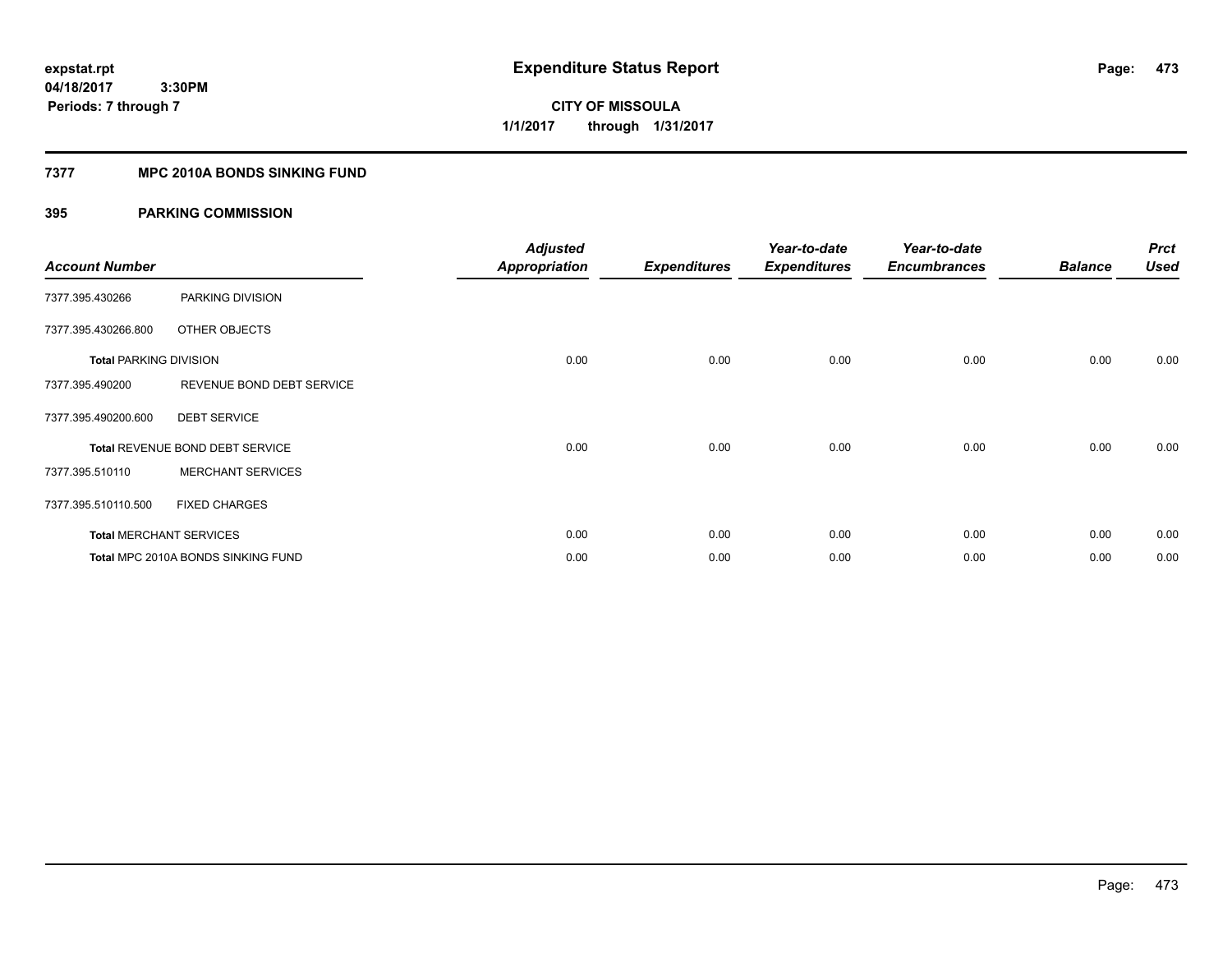**04/18/2017 3:30PM Periods: 7 through 7**

**CITY OF MISSOULA 1/1/2017 through 1/31/2017**

## **7377 MPC 2010A BONDS SINKING FUND**

| <b>Account Number</b>         |                                    | <b>Adjusted</b><br><b>Appropriation</b> | <b>Expenditures</b> | Year-to-date<br><b>Expenditures</b> | Year-to-date<br><b>Encumbrances</b> | <b>Balance</b> | <b>Prct</b><br><b>Used</b> |
|-------------------------------|------------------------------------|-----------------------------------------|---------------------|-------------------------------------|-------------------------------------|----------------|----------------------------|
| 7377.395.430266               | PARKING DIVISION                   |                                         |                     |                                     |                                     |                |                            |
| 7377.395.430266.800           | OTHER OBJECTS                      |                                         |                     |                                     |                                     |                |                            |
| <b>Total PARKING DIVISION</b> |                                    | 0.00                                    | 0.00                | 0.00                                | 0.00                                | 0.00           | 0.00                       |
| 7377.395.490200               | REVENUE BOND DEBT SERVICE          |                                         |                     |                                     |                                     |                |                            |
| 7377.395.490200.600           | <b>DEBT SERVICE</b>                |                                         |                     |                                     |                                     |                |                            |
|                               | Total REVENUE BOND DEBT SERVICE    | 0.00                                    | 0.00                | 0.00                                | 0.00                                | 0.00           | 0.00                       |
| 7377.395.510110               | <b>MERCHANT SERVICES</b>           |                                         |                     |                                     |                                     |                |                            |
| 7377.395.510110.500           | <b>FIXED CHARGES</b>               |                                         |                     |                                     |                                     |                |                            |
|                               | <b>Total MERCHANT SERVICES</b>     | 0.00                                    | 0.00                | 0.00                                | 0.00                                | 0.00           | 0.00                       |
|                               | Total MPC 2010A BONDS SINKING FUND | 0.00                                    | 0.00                | 0.00                                | 0.00                                | 0.00           | 0.00                       |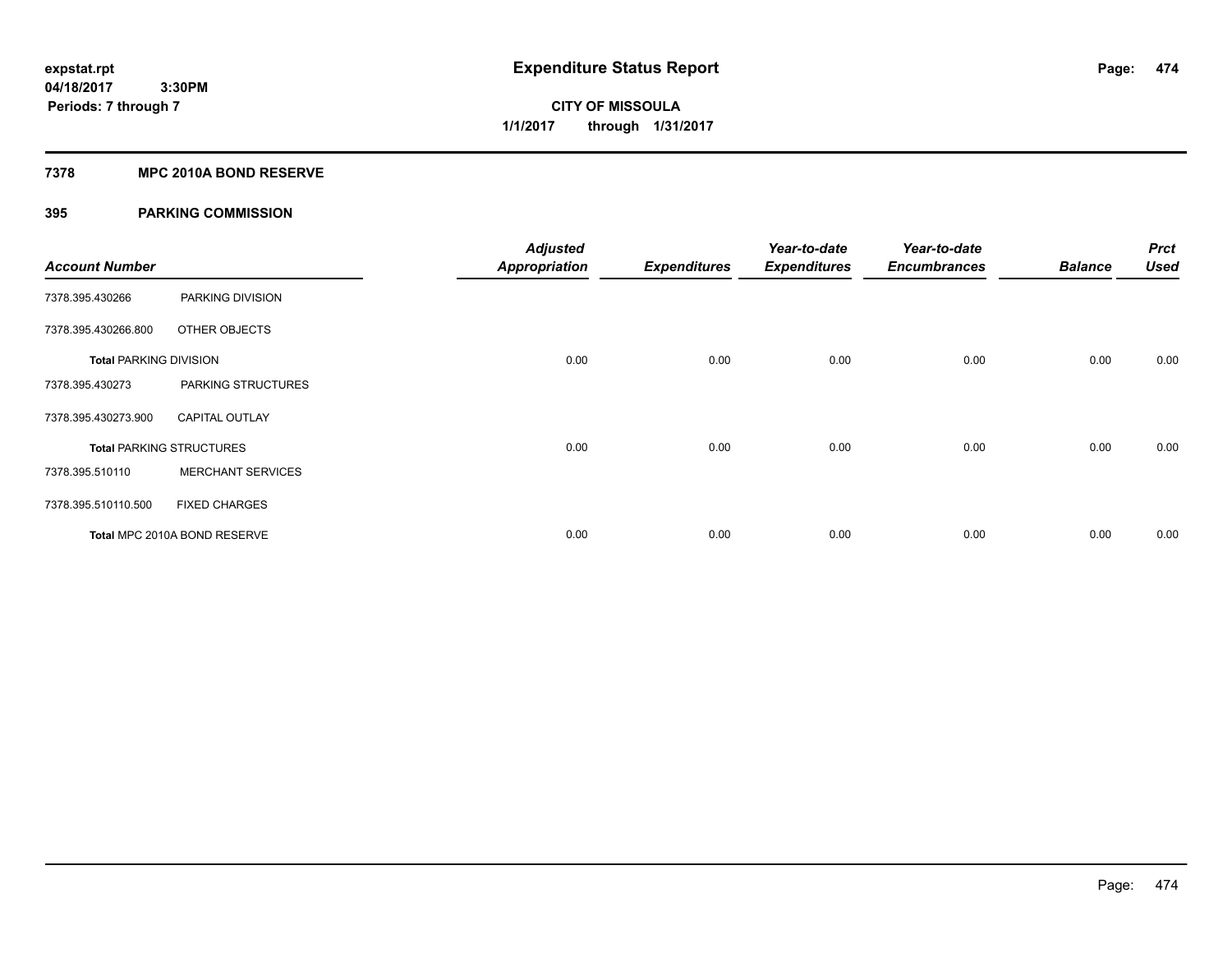**04/18/2017 3:30PM Periods: 7 through 7**

**CITY OF MISSOULA 1/1/2017 through 1/31/2017**

## **7378 MPC 2010A BOND RESERVE**

| <b>Account Number</b>         |                                 | <b>Adjusted</b><br><b>Appropriation</b> | <b>Expenditures</b> | Year-to-date<br><b>Expenditures</b> | Year-to-date<br><b>Encumbrances</b> | <b>Balance</b> | <b>Prct</b><br><b>Used</b> |
|-------------------------------|---------------------------------|-----------------------------------------|---------------------|-------------------------------------|-------------------------------------|----------------|----------------------------|
| 7378.395.430266               | PARKING DIVISION                |                                         |                     |                                     |                                     |                |                            |
| 7378.395.430266.800           | OTHER OBJECTS                   |                                         |                     |                                     |                                     |                |                            |
| <b>Total PARKING DIVISION</b> |                                 | 0.00                                    | 0.00                | 0.00                                | 0.00                                | 0.00           | 0.00                       |
| 7378.395.430273               | PARKING STRUCTURES              |                                         |                     |                                     |                                     |                |                            |
| 7378.395.430273.900           | <b>CAPITAL OUTLAY</b>           |                                         |                     |                                     |                                     |                |                            |
|                               | <b>Total PARKING STRUCTURES</b> | 0.00                                    | 0.00                | 0.00                                | 0.00                                | 0.00           | 0.00                       |
| 7378.395.510110               | <b>MERCHANT SERVICES</b>        |                                         |                     |                                     |                                     |                |                            |
| 7378.395.510110.500           | <b>FIXED CHARGES</b>            |                                         |                     |                                     |                                     |                |                            |
|                               | Total MPC 2010A BOND RESERVE    | 0.00                                    | 0.00                | 0.00                                | 0.00                                | 0.00           | 0.00                       |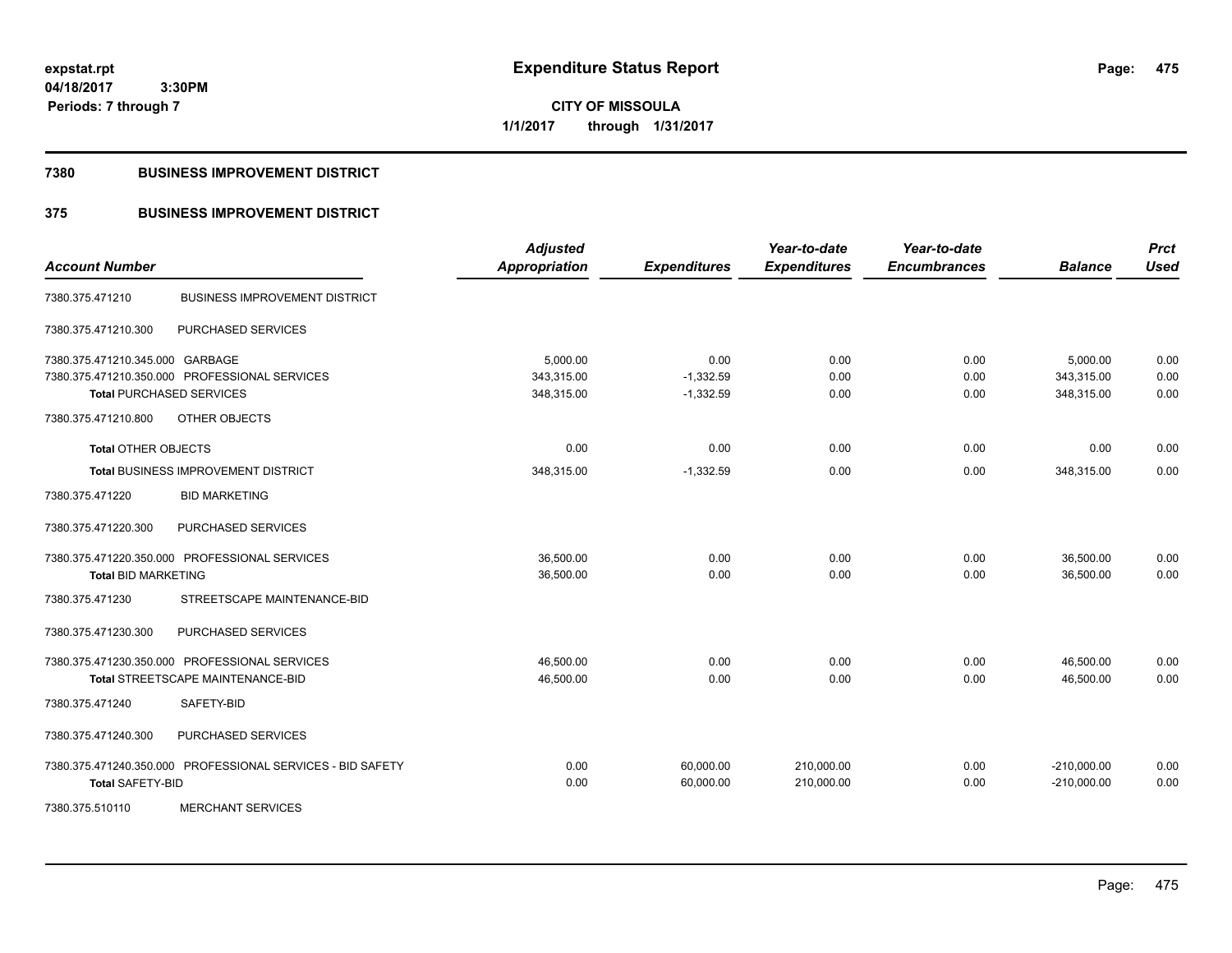**expstat.rpt Expenditure Status Report** 

**04/18/2017 3:30PM Periods: 7 through 7**

**CITY OF MISSOULA 1/1/2017 through 1/31/2017**

## **7380 BUSINESS IMPROVEMENT DISTRICT**

# **375 BUSINESS IMPROVEMENT DISTRICT**

| <b>Account Number</b>           |                                                            | <b>Adjusted</b><br><b>Appropriation</b> | <b>Expenditures</b>    | Year-to-date<br><b>Expenditures</b> | Year-to-date<br><b>Encumbrances</b> | <b>Balance</b>                 | <b>Prct</b><br><b>Used</b> |
|---------------------------------|------------------------------------------------------------|-----------------------------------------|------------------------|-------------------------------------|-------------------------------------|--------------------------------|----------------------------|
| 7380.375.471210                 | <b>BUSINESS IMPROVEMENT DISTRICT</b>                       |                                         |                        |                                     |                                     |                                |                            |
| 7380.375.471210.300             | PURCHASED SERVICES                                         |                                         |                        |                                     |                                     |                                |                            |
| 7380.375.471210.345.000 GARBAGE |                                                            | 5,000.00                                | 0.00                   | 0.00                                | 0.00                                | 5,000.00                       | 0.00                       |
|                                 | 7380.375.471210.350.000 PROFESSIONAL SERVICES              | 343,315.00                              | $-1,332.59$            | 0.00                                | 0.00                                | 343,315.00                     | 0.00                       |
|                                 | <b>Total PURCHASED SERVICES</b>                            | 348,315.00                              | $-1,332.59$            | 0.00                                | 0.00                                | 348,315.00                     | 0.00                       |
| 7380.375.471210.800             | OTHER OBJECTS                                              |                                         |                        |                                     |                                     |                                |                            |
| <b>Total OTHER OBJECTS</b>      |                                                            | 0.00                                    | 0.00                   | 0.00                                | 0.00                                | 0.00                           | 0.00                       |
|                                 | Total BUSINESS IMPROVEMENT DISTRICT                        | 348,315.00                              | $-1,332.59$            | 0.00                                | 0.00                                | 348,315.00                     | 0.00                       |
| 7380.375.471220                 | <b>BID MARKETING</b>                                       |                                         |                        |                                     |                                     |                                |                            |
| 7380.375.471220.300             | PURCHASED SERVICES                                         |                                         |                        |                                     |                                     |                                |                            |
|                                 | 7380.375.471220.350.000 PROFESSIONAL SERVICES              | 36,500.00                               | 0.00                   | 0.00                                | 0.00                                | 36,500.00                      | 0.00                       |
| <b>Total BID MARKETING</b>      |                                                            | 36,500.00                               | 0.00                   | 0.00                                | 0.00                                | 36,500.00                      | 0.00                       |
| 7380.375.471230                 | STREETSCAPE MAINTENANCE-BID                                |                                         |                        |                                     |                                     |                                |                            |
| 7380.375.471230.300             | PURCHASED SERVICES                                         |                                         |                        |                                     |                                     |                                |                            |
|                                 | 7380.375.471230.350.000 PROFESSIONAL SERVICES              | 46,500.00                               | 0.00                   | 0.00                                | 0.00                                | 46,500.00                      | 0.00                       |
|                                 | Total STREETSCAPE MAINTENANCE-BID                          | 46,500.00                               | 0.00                   | 0.00                                | 0.00                                | 46,500.00                      | 0.00                       |
| 7380.375.471240                 | SAFETY-BID                                                 |                                         |                        |                                     |                                     |                                |                            |
| 7380.375.471240.300             | PURCHASED SERVICES                                         |                                         |                        |                                     |                                     |                                |                            |
| <b>Total SAFETY-BID</b>         | 7380.375.471240.350.000 PROFESSIONAL SERVICES - BID SAFETY | 0.00<br>0.00                            | 60,000.00<br>60,000.00 | 210,000.00<br>210,000.00            | 0.00<br>0.00                        | $-210,000.00$<br>$-210,000.00$ | 0.00<br>0.00               |
| 7380.375.510110                 | <b>MERCHANT SERVICES</b>                                   |                                         |                        |                                     |                                     |                                |                            |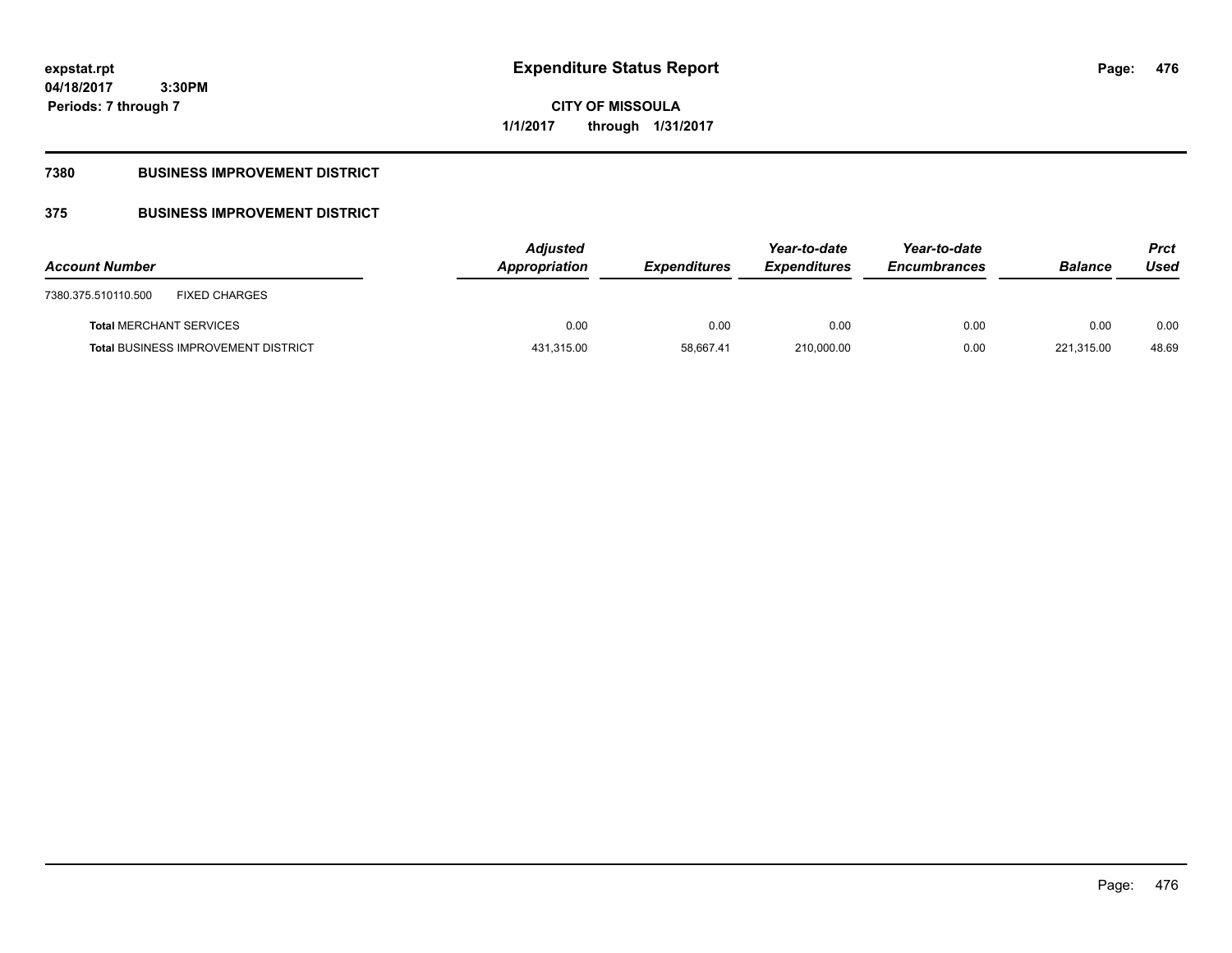# **CITY OF MISSOULA 1/1/2017 through 1/31/2017**

# **7380 BUSINESS IMPROVEMENT DISTRICT**

# **375 BUSINESS IMPROVEMENT DISTRICT**

| <b>Account Number</b>                       | <b>Adjusted</b><br>Appropriation | <b>Expenditures</b> | Year-to-date<br><b>Expenditures</b> | Year-to-date<br><b>Encumbrances</b> | <b>Balance</b> | <b>Prct</b><br>Used |
|---------------------------------------------|----------------------------------|---------------------|-------------------------------------|-------------------------------------|----------------|---------------------|
| <b>FIXED CHARGES</b><br>7380.375.510110.500 |                                  |                     |                                     |                                     |                |                     |
| <b>Total MERCHANT SERVICES</b>              | 0.00                             | 0.00                | 0.00                                | 0.00                                | 0.00           | 0.00                |
| <b>Total BUSINESS IMPROVEMENT DISTRICT</b>  | 431,315.00                       | 58.667.41           | 210.000.00                          | 0.00                                | 221,315.00     | 48.69               |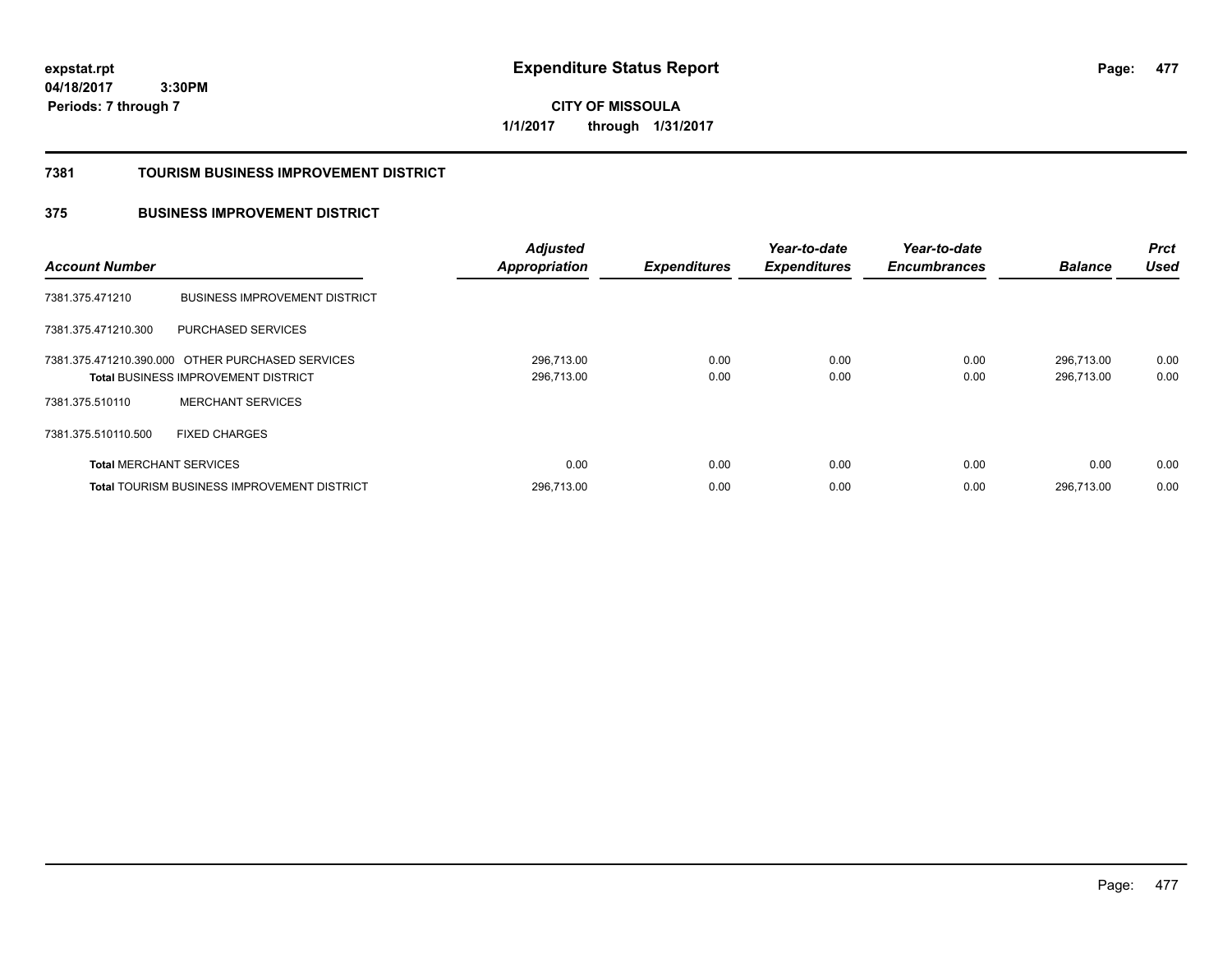**CITY OF MISSOULA 1/1/2017 through 1/31/2017**

### **7381 TOURISM BUSINESS IMPROVEMENT DISTRICT**

# **375 BUSINESS IMPROVEMENT DISTRICT**

| <b>Account Number</b>          |                                                                                                | <b>Adjusted</b><br><b>Appropriation</b> | <b>Expenditures</b> | Year-to-date<br><b>Expenditures</b> | Year-to-date<br><b>Encumbrances</b> | <b>Balance</b>           | <b>Prct</b><br><b>Used</b> |
|--------------------------------|------------------------------------------------------------------------------------------------|-----------------------------------------|---------------------|-------------------------------------|-------------------------------------|--------------------------|----------------------------|
| 7381.375.471210                | <b>BUSINESS IMPROVEMENT DISTRICT</b>                                                           |                                         |                     |                                     |                                     |                          |                            |
| 7381.375.471210.300            | PURCHASED SERVICES                                                                             |                                         |                     |                                     |                                     |                          |                            |
|                                | 7381.375.471210.390.000 OTHER PURCHASED SERVICES<br><b>Total BUSINESS IMPROVEMENT DISTRICT</b> | 296,713.00<br>296,713.00                | 0.00<br>0.00        | 0.00<br>0.00                        | 0.00<br>0.00                        | 296.713.00<br>296.713.00 | 0.00<br>0.00               |
| 7381.375.510110                | <b>MERCHANT SERVICES</b>                                                                       |                                         |                     |                                     |                                     |                          |                            |
| 7381.375.510110.500            | <b>FIXED CHARGES</b>                                                                           |                                         |                     |                                     |                                     |                          |                            |
| <b>Total MERCHANT SERVICES</b> |                                                                                                | 0.00                                    | 0.00                | 0.00                                | 0.00                                | 0.00                     | 0.00                       |
|                                | <b>Total TOURISM BUSINESS IMPROVEMENT DISTRICT</b>                                             | 296,713.00                              | 0.00                | 0.00                                | 0.00                                | 296.713.00               | 0.00                       |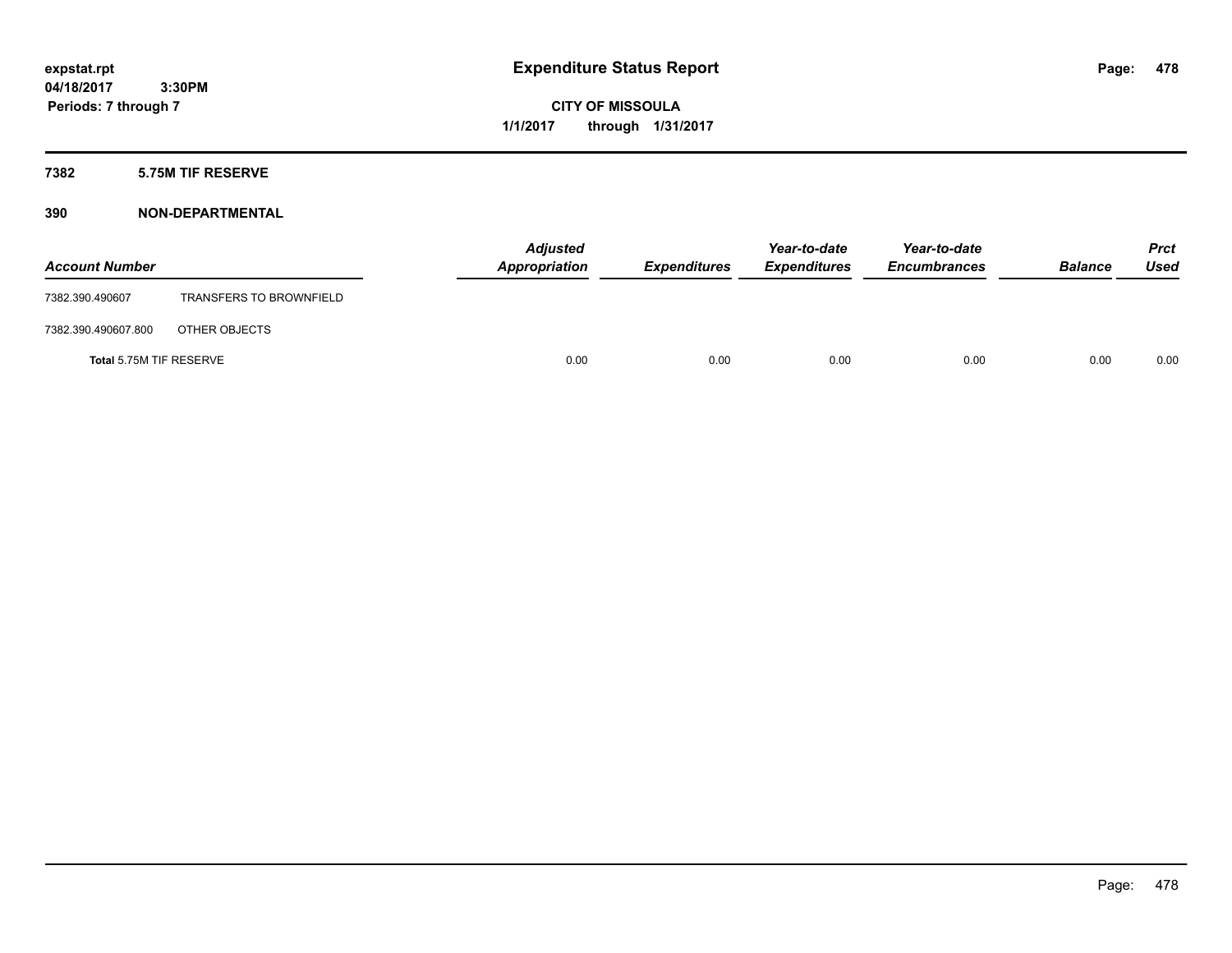**CITY OF MISSOULA 1/1/2017 through 1/31/2017**

# **7382 5.75M TIF RESERVE**

| <b>Account Number</b>   |                                | <b>Adjusted</b><br>Appropriation | <b>Expenditures</b> | Year-to-date<br><b>Expenditures</b> | Year-to-date<br><b>Encumbrances</b> | <b>Balance</b> | <b>Prct</b><br>Used |
|-------------------------|--------------------------------|----------------------------------|---------------------|-------------------------------------|-------------------------------------|----------------|---------------------|
| 7382.390.490607         | <b>TRANSFERS TO BROWNFIELD</b> |                                  |                     |                                     |                                     |                |                     |
| 7382.390.490607.800     | OTHER OBJECTS                  |                                  |                     |                                     |                                     |                |                     |
| Total 5.75M TIF RESERVE |                                | 0.00                             | 0.00                | 0.00                                | 0.00                                | 0.00           | 0.00                |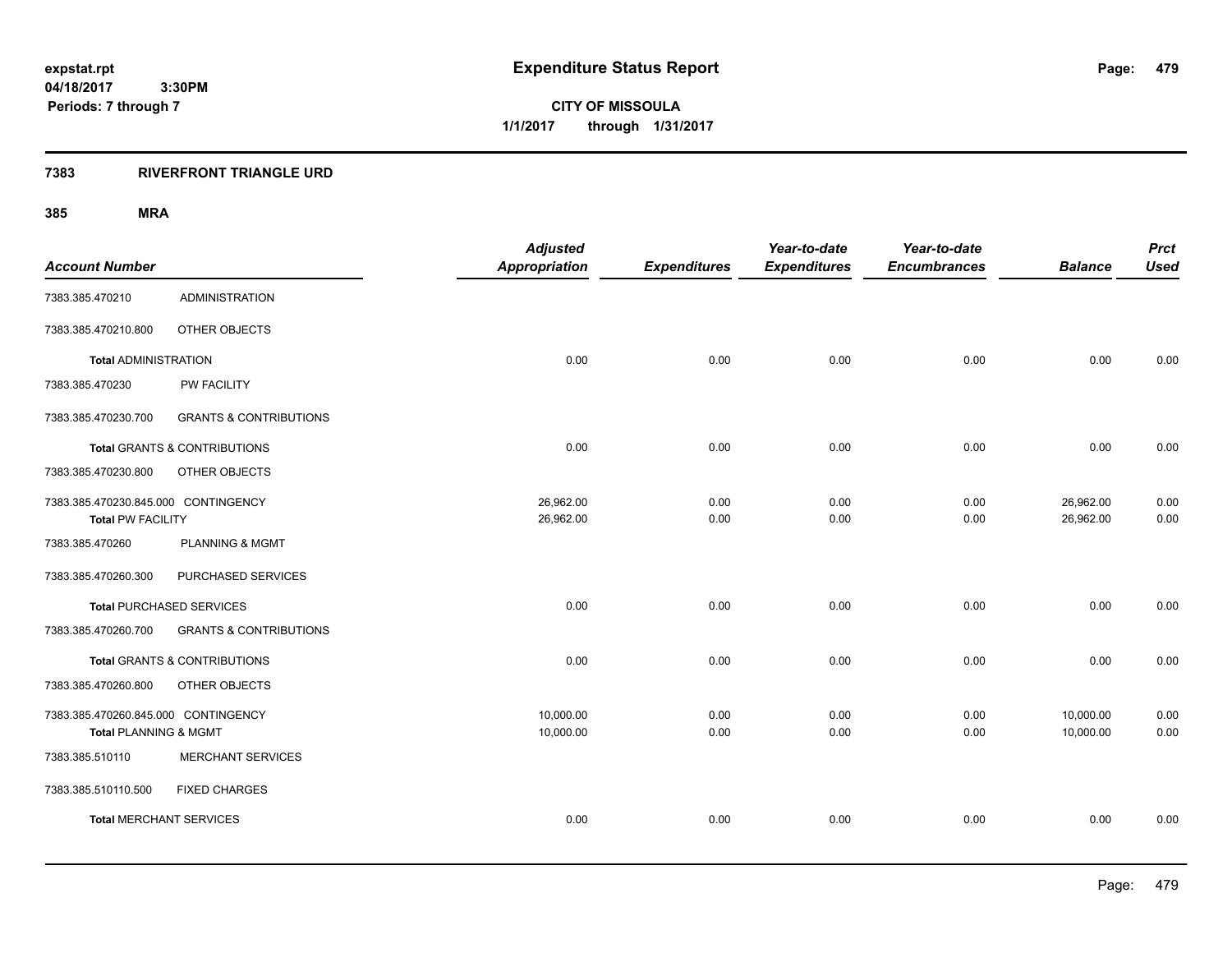**CITY OF MISSOULA 1/1/2017 through 1/31/2017**

## **7383 RIVERFRONT TRIANGLE URD**

| <b>Account Number</b>               |                                         | <b>Adjusted</b><br><b>Appropriation</b> | <b>Expenditures</b> | Year-to-date<br><b>Expenditures</b> | Year-to-date<br><b>Encumbrances</b> | <b>Balance</b> | <b>Prct</b><br><b>Used</b> |
|-------------------------------------|-----------------------------------------|-----------------------------------------|---------------------|-------------------------------------|-------------------------------------|----------------|----------------------------|
|                                     |                                         |                                         |                     |                                     |                                     |                |                            |
| 7383.385.470210                     | <b>ADMINISTRATION</b>                   |                                         |                     |                                     |                                     |                |                            |
| 7383.385.470210.800                 | OTHER OBJECTS                           |                                         |                     |                                     |                                     |                |                            |
| <b>Total ADMINISTRATION</b>         |                                         | 0.00                                    | 0.00                | 0.00                                | 0.00                                | 0.00           | 0.00                       |
| 7383.385.470230                     | PW FACILITY                             |                                         |                     |                                     |                                     |                |                            |
| 7383.385.470230.700                 | <b>GRANTS &amp; CONTRIBUTIONS</b>       |                                         |                     |                                     |                                     |                |                            |
|                                     | <b>Total GRANTS &amp; CONTRIBUTIONS</b> | 0.00                                    | 0.00                | 0.00                                | 0.00                                | 0.00           | 0.00                       |
| 7383.385.470230.800                 | OTHER OBJECTS                           |                                         |                     |                                     |                                     |                |                            |
| 7383.385.470230.845.000 CONTINGENCY |                                         | 26,962.00                               | 0.00                | 0.00                                | 0.00                                | 26,962.00      | 0.00                       |
| <b>Total PW FACILITY</b>            |                                         | 26,962.00                               | 0.00                | 0.00                                | 0.00                                | 26,962.00      | 0.00                       |
| 7383.385.470260                     | <b>PLANNING &amp; MGMT</b>              |                                         |                     |                                     |                                     |                |                            |
| 7383.385.470260.300                 | PURCHASED SERVICES                      |                                         |                     |                                     |                                     |                |                            |
|                                     | <b>Total PURCHASED SERVICES</b>         | 0.00                                    | 0.00                | 0.00                                | 0.00                                | 0.00           | 0.00                       |
| 7383.385.470260.700                 | <b>GRANTS &amp; CONTRIBUTIONS</b>       |                                         |                     |                                     |                                     |                |                            |
|                                     | <b>Total GRANTS &amp; CONTRIBUTIONS</b> | 0.00                                    | 0.00                | 0.00                                | 0.00                                | 0.00           | 0.00                       |
| 7383.385.470260.800                 | OTHER OBJECTS                           |                                         |                     |                                     |                                     |                |                            |
| 7383.385.470260.845.000 CONTINGENCY |                                         | 10,000.00                               | 0.00                | 0.00                                | 0.00                                | 10,000.00      | 0.00                       |
| Total PLANNING & MGMT               |                                         | 10,000.00                               | 0.00                | 0.00                                | 0.00                                | 10,000.00      | 0.00                       |
| 7383.385.510110                     | <b>MERCHANT SERVICES</b>                |                                         |                     |                                     |                                     |                |                            |
| 7383.385.510110.500                 | <b>FIXED CHARGES</b>                    |                                         |                     |                                     |                                     |                |                            |
| <b>Total MERCHANT SERVICES</b>      |                                         | 0.00                                    | 0.00                | 0.00                                | 0.00                                | 0.00           | 0.00                       |
|                                     |                                         |                                         |                     |                                     |                                     |                |                            |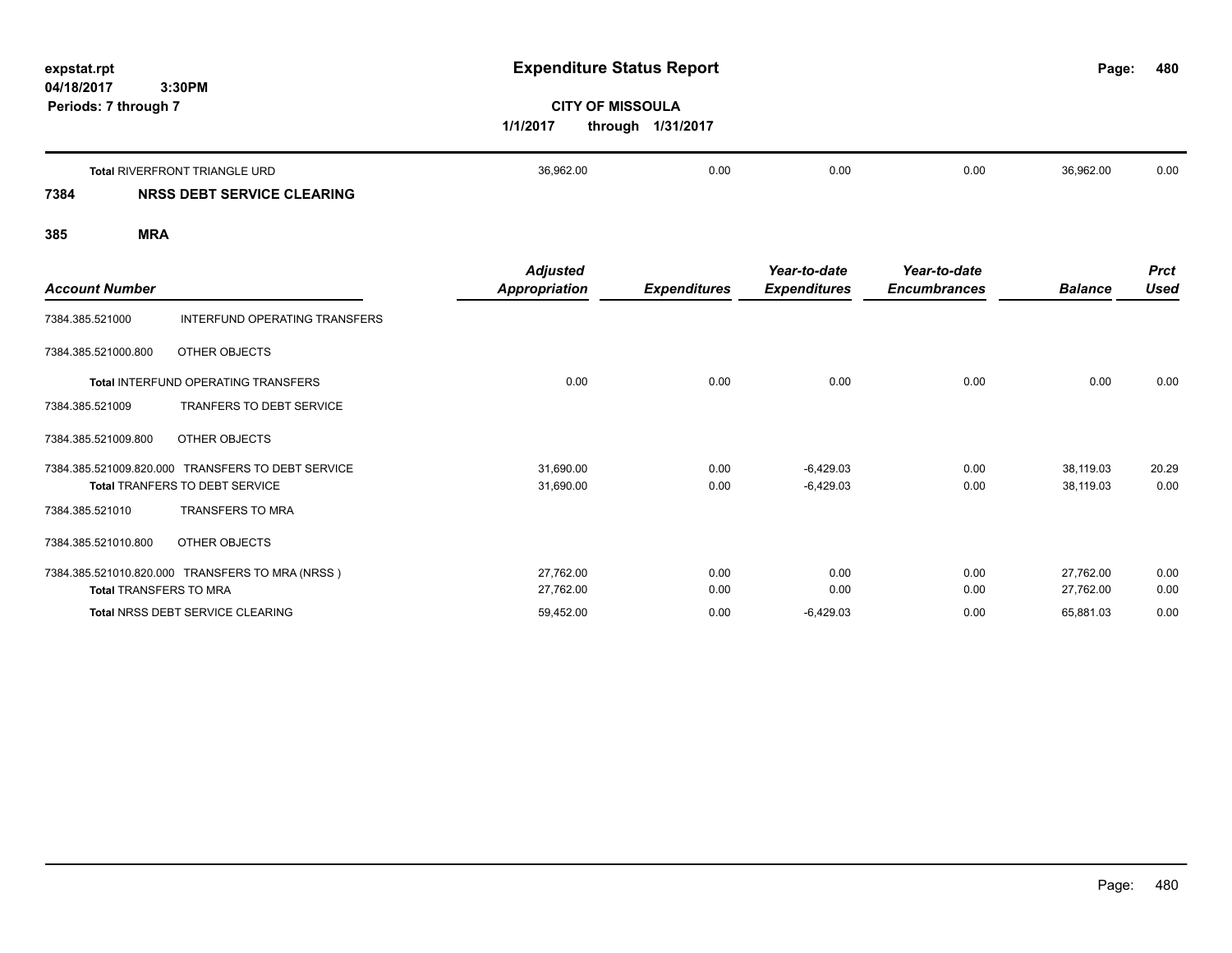| expstat.rpt          |        |
|----------------------|--------|
| 04/18/2017           | 3:30PM |
| Periods: 7 through 7 |        |

# **CITY OF MISSOULA 1/1/2017 through 1/31/2017**

|      | <b>Total RIVERFRONT TRIANGLE URD</b> | 36,962.00 | 0.00 | 0.00 | 0.00 | 36,962.00 | 0.00 |
|------|--------------------------------------|-----------|------|------|------|-----------|------|
| 7384 | NRSS DEBT SERVICE CLEARING           |           |      |      |      |           |      |

|                               |                                                   | <b>Adjusted</b>      |                     | Year-to-date        | Year-to-date        |                | <b>Prct</b> |
|-------------------------------|---------------------------------------------------|----------------------|---------------------|---------------------|---------------------|----------------|-------------|
| <b>Account Number</b>         |                                                   | <b>Appropriation</b> | <b>Expenditures</b> | <b>Expenditures</b> | <b>Encumbrances</b> | <b>Balance</b> | <b>Used</b> |
| 7384.385.521000               | INTERFUND OPERATING TRANSFERS                     |                      |                     |                     |                     |                |             |
| 7384.385.521000.800           | OTHER OBJECTS                                     |                      |                     |                     |                     |                |             |
|                               | Total INTERFUND OPERATING TRANSFERS               | 0.00                 | 0.00                | 0.00                | 0.00                | 0.00           | 0.00        |
| 7384.385.521009               | TRANFERS TO DEBT SERVICE                          |                      |                     |                     |                     |                |             |
| 7384.385.521009.800           | OTHER OBJECTS                                     |                      |                     |                     |                     |                |             |
|                               | 7384.385.521009.820.000 TRANSFERS TO DEBT SERVICE | 31,690.00            | 0.00                | $-6,429.03$         | 0.00                | 38,119.03      | 20.29       |
|                               | Total TRANFERS TO DEBT SERVICE                    | 31,690.00            | 0.00                | $-6,429.03$         | 0.00                | 38,119.03      | 0.00        |
| 7384.385.521010               | <b>TRANSFERS TO MRA</b>                           |                      |                     |                     |                     |                |             |
| 7384.385.521010.800           | OTHER OBJECTS                                     |                      |                     |                     |                     |                |             |
|                               | 7384.385.521010.820.000 TRANSFERS TO MRA (NRSS)   | 27,762.00            | 0.00                | 0.00                | 0.00                | 27,762.00      | 0.00        |
| <b>Total TRANSFERS TO MRA</b> |                                                   | 27,762.00            | 0.00                | 0.00                | 0.00                | 27,762.00      | 0.00        |
|                               | Total NRSS DEBT SERVICE CLEARING                  | 59,452.00            | 0.00                | $-6,429.03$         | 0.00                | 65,881.03      | 0.00        |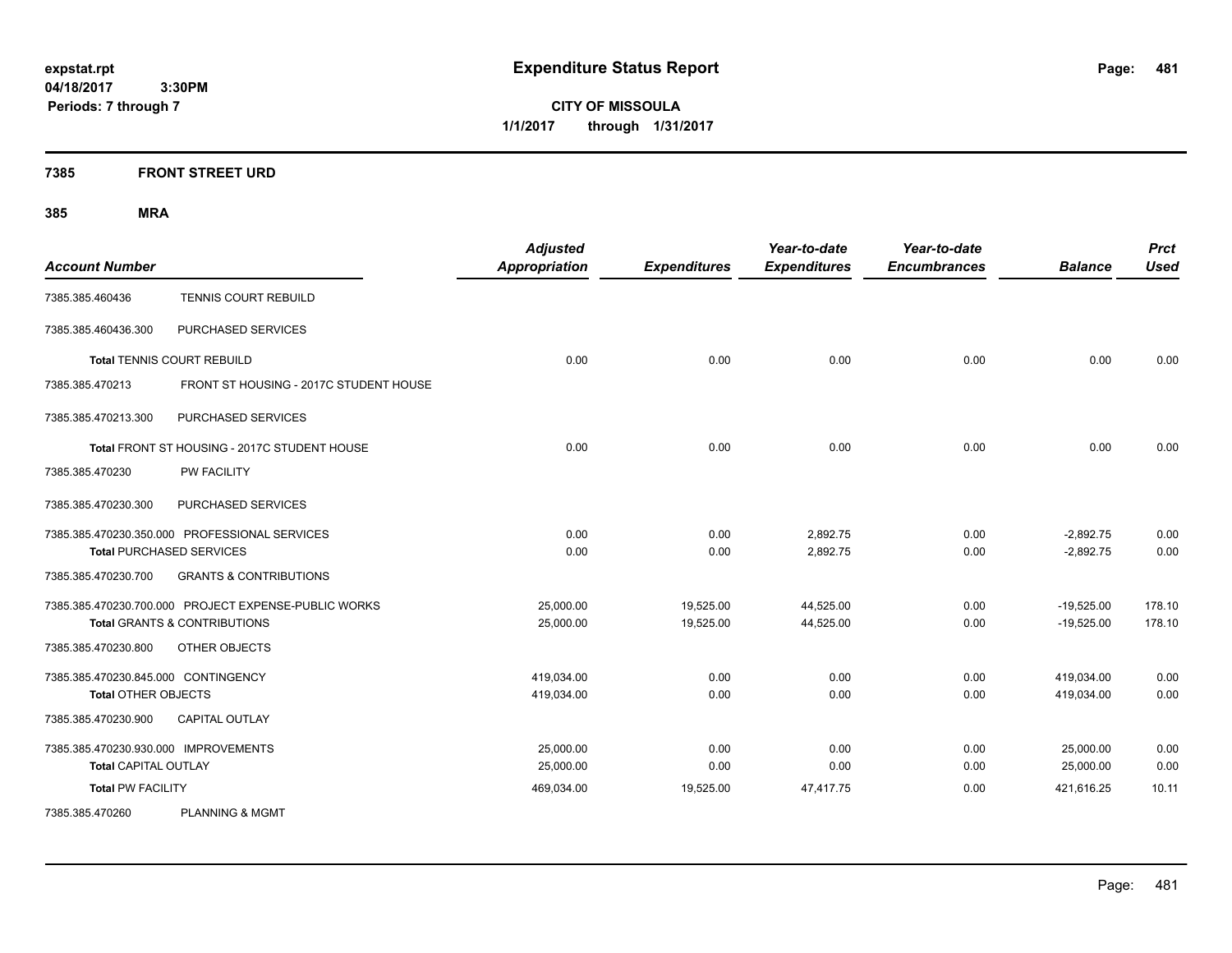**CITY OF MISSOULA 1/1/2017 through 1/31/2017**

# **7385 FRONT STREET URD**

| <b>Account Number</b>                |                                                      | <b>Adjusted</b><br><b>Appropriation</b> | <b>Expenditures</b> | Year-to-date<br><b>Expenditures</b> | Year-to-date<br><b>Encumbrances</b> | <b>Balance</b> | <b>Prct</b><br><b>Used</b> |
|--------------------------------------|------------------------------------------------------|-----------------------------------------|---------------------|-------------------------------------|-------------------------------------|----------------|----------------------------|
| 7385.385.460436                      | <b>TENNIS COURT REBUILD</b>                          |                                         |                     |                                     |                                     |                |                            |
| 7385.385.460436.300                  | PURCHASED SERVICES                                   |                                         |                     |                                     |                                     |                |                            |
|                                      | <b>Total TENNIS COURT REBUILD</b>                    | 0.00                                    | 0.00                | 0.00                                | 0.00                                | 0.00           | 0.00                       |
| 7385.385.470213                      | FRONT ST HOUSING - 2017C STUDENT HOUSE               |                                         |                     |                                     |                                     |                |                            |
| 7385.385.470213.300                  | PURCHASED SERVICES                                   |                                         |                     |                                     |                                     |                |                            |
|                                      | Total FRONT ST HOUSING - 2017C STUDENT HOUSE         | 0.00                                    | 0.00                | 0.00                                | 0.00                                | 0.00           | 0.00                       |
| 7385.385.470230                      | <b>PW FACILITY</b>                                   |                                         |                     |                                     |                                     |                |                            |
| 7385.385.470230.300                  | PURCHASED SERVICES                                   |                                         |                     |                                     |                                     |                |                            |
|                                      | 7385.385.470230.350.000 PROFESSIONAL SERVICES        | 0.00                                    | 0.00                | 2,892.75                            | 0.00                                | $-2,892.75$    | 0.00                       |
|                                      | <b>Total PURCHASED SERVICES</b>                      | 0.00                                    | 0.00                | 2,892.75                            | 0.00                                | $-2,892.75$    | 0.00                       |
| 7385.385.470230.700                  | <b>GRANTS &amp; CONTRIBUTIONS</b>                    |                                         |                     |                                     |                                     |                |                            |
|                                      | 7385.385.470230.700.000 PROJECT EXPENSE-PUBLIC WORKS | 25,000.00                               | 19,525.00           | 44,525.00                           | 0.00                                | $-19,525.00$   | 178.10                     |
|                                      | <b>Total GRANTS &amp; CONTRIBUTIONS</b>              | 25,000.00                               | 19,525.00           | 44,525.00                           | 0.00                                | $-19.525.00$   | 178.10                     |
| 7385.385.470230.800                  | OTHER OBJECTS                                        |                                         |                     |                                     |                                     |                |                            |
| 7385.385.470230.845.000 CONTINGENCY  |                                                      | 419,034.00                              | 0.00                | 0.00                                | 0.00                                | 419,034.00     | 0.00                       |
| <b>Total OTHER OBJECTS</b>           |                                                      | 419,034.00                              | 0.00                | 0.00                                | 0.00                                | 419,034.00     | 0.00                       |
| 7385.385.470230.900                  | CAPITAL OUTLAY                                       |                                         |                     |                                     |                                     |                |                            |
| 7385.385.470230.930.000 IMPROVEMENTS |                                                      | 25,000.00                               | 0.00                | 0.00                                | 0.00                                | 25,000.00      | 0.00                       |
| <b>Total CAPITAL OUTLAY</b>          |                                                      | 25,000.00                               | 0.00                | 0.00                                | 0.00                                | 25,000.00      | 0.00                       |
| <b>Total PW FACILITY</b>             |                                                      | 469,034.00                              | 19,525.00           | 47,417.75                           | 0.00                                | 421,616.25     | 10.11                      |
| 7385.385.470260                      | <b>PLANNING &amp; MGMT</b>                           |                                         |                     |                                     |                                     |                |                            |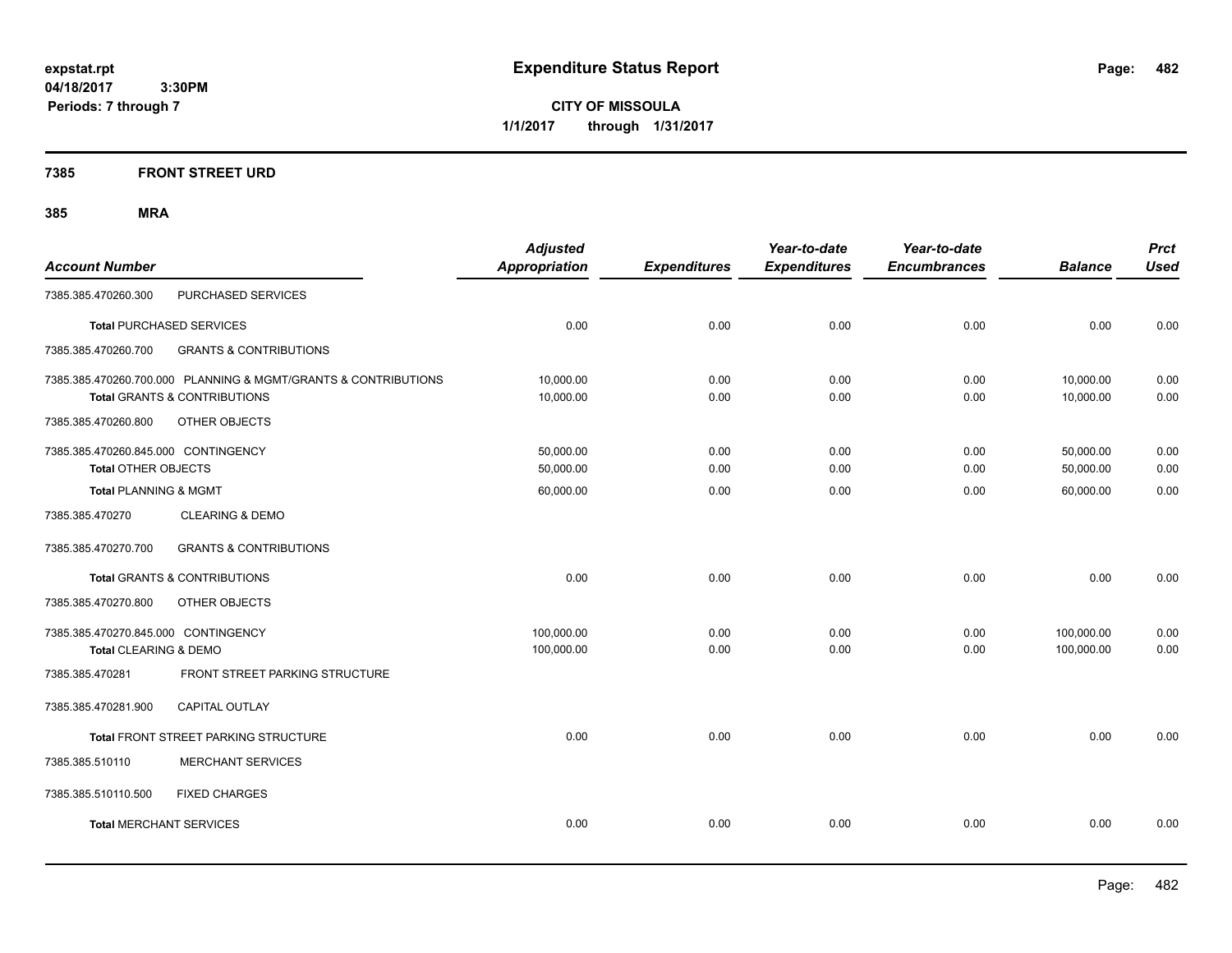**CITY OF MISSOULA 1/1/2017 through 1/31/2017**

# **7385 FRONT STREET URD**

| <b>Account Number</b>                                             |                                                                                                           | <b>Adjusted</b><br><b>Appropriation</b> | <b>Expenditures</b> | Year-to-date<br><b>Expenditures</b> | Year-to-date<br><b>Encumbrances</b> | <b>Balance</b>           | <b>Prct</b><br><b>Used</b> |
|-------------------------------------------------------------------|-----------------------------------------------------------------------------------------------------------|-----------------------------------------|---------------------|-------------------------------------|-------------------------------------|--------------------------|----------------------------|
| 7385.385.470260.300                                               | PURCHASED SERVICES                                                                                        |                                         |                     |                                     |                                     |                          |                            |
|                                                                   | <b>Total PURCHASED SERVICES</b>                                                                           | 0.00                                    | 0.00                | 0.00                                | 0.00                                | 0.00                     | 0.00                       |
| 7385.385.470260.700                                               | <b>GRANTS &amp; CONTRIBUTIONS</b>                                                                         |                                         |                     |                                     |                                     |                          |                            |
|                                                                   | 7385.385.470260.700.000 PLANNING & MGMT/GRANTS & CONTRIBUTIONS<br><b>Total GRANTS &amp; CONTRIBUTIONS</b> | 10,000.00<br>10,000.00                  | 0.00<br>0.00        | 0.00<br>0.00                        | 0.00<br>0.00                        | 10,000.00<br>10,000.00   | 0.00<br>0.00               |
| 7385.385.470260.800                                               | OTHER OBJECTS                                                                                             |                                         |                     |                                     |                                     |                          |                            |
| 7385.385.470260.845.000 CONTINGENCY<br><b>Total OTHER OBJECTS</b> |                                                                                                           | 50,000.00<br>50,000.00                  | 0.00<br>0.00        | 0.00<br>0.00                        | 0.00<br>0.00                        | 50,000.00<br>50,000.00   | 0.00<br>0.00               |
| <b>Total PLANNING &amp; MGMT</b>                                  |                                                                                                           | 60,000.00                               | 0.00                | 0.00                                | 0.00                                | 60,000.00                | 0.00                       |
| 7385.385.470270                                                   | <b>CLEARING &amp; DEMO</b>                                                                                |                                         |                     |                                     |                                     |                          |                            |
| 7385.385.470270.700                                               | <b>GRANTS &amp; CONTRIBUTIONS</b>                                                                         |                                         |                     |                                     |                                     |                          |                            |
|                                                                   | Total GRANTS & CONTRIBUTIONS                                                                              | 0.00                                    | 0.00                | 0.00                                | 0.00                                | 0.00                     | 0.00                       |
| 7385.385.470270.800                                               | OTHER OBJECTS                                                                                             |                                         |                     |                                     |                                     |                          |                            |
| 7385.385.470270.845.000 CONTINGENCY<br>Total CLEARING & DEMO      |                                                                                                           | 100,000.00<br>100,000.00                | 0.00<br>0.00        | 0.00<br>0.00                        | 0.00<br>0.00                        | 100,000.00<br>100,000.00 | 0.00<br>0.00               |
| 7385.385.470281                                                   | <b>FRONT STREET PARKING STRUCTURE</b>                                                                     |                                         |                     |                                     |                                     |                          |                            |
| 7385.385.470281.900                                               | <b>CAPITAL OUTLAY</b>                                                                                     |                                         |                     |                                     |                                     |                          |                            |
|                                                                   | Total FRONT STREET PARKING STRUCTURE                                                                      | 0.00                                    | 0.00                | 0.00                                | 0.00                                | 0.00                     | 0.00                       |
| 7385.385.510110                                                   | <b>MERCHANT SERVICES</b>                                                                                  |                                         |                     |                                     |                                     |                          |                            |
| 7385.385.510110.500                                               | <b>FIXED CHARGES</b>                                                                                      |                                         |                     |                                     |                                     |                          |                            |
| <b>Total MERCHANT SERVICES</b>                                    |                                                                                                           | 0.00                                    | 0.00                | 0.00                                | 0.00                                | 0.00                     | 0.00                       |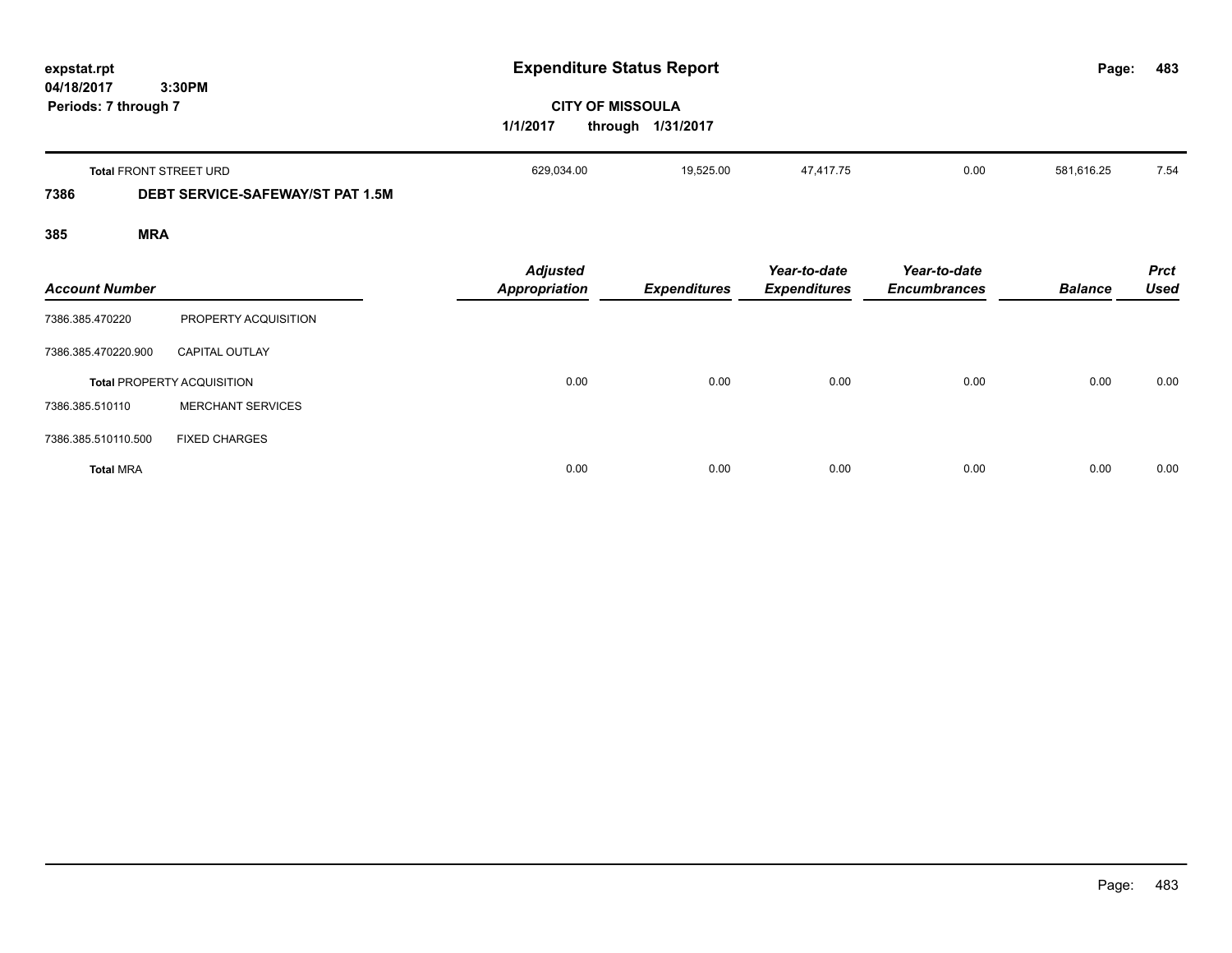| expstat.rpt<br>04/18/2017<br>3:30PM |                                         | <b>Expenditure Status Report</b>                         | Page:               | 483                                 |                                     |                |                            |
|-------------------------------------|-----------------------------------------|----------------------------------------------------------|---------------------|-------------------------------------|-------------------------------------|----------------|----------------------------|
| Periods: 7 through 7                |                                         | <b>CITY OF MISSOULA</b><br>1/1/2017<br>through 1/31/2017 |                     |                                     |                                     |                |                            |
|                                     | <b>Total FRONT STREET URD</b>           | 629,034.00                                               | 19,525.00           | 47,417.75                           | 0.00                                | 581,616.25     | 7.54                       |
| 7386                                | <b>DEBT SERVICE-SAFEWAY/ST PAT 1.5M</b> |                                                          |                     |                                     |                                     |                |                            |
| 385                                 | <b>MRA</b>                              |                                                          |                     |                                     |                                     |                |                            |
| <b>Account Number</b>               |                                         | <b>Adjusted</b><br><b>Appropriation</b>                  | <b>Expenditures</b> | Year-to-date<br><b>Expenditures</b> | Year-to-date<br><b>Encumbrances</b> | <b>Balance</b> | <b>Prct</b><br><b>Used</b> |
| 7386.385.470220                     | PROPERTY ACQUISITION                    |                                                          |                     |                                     |                                     |                |                            |
| 7386.385.470220.900                 | <b>CAPITAL OUTLAY</b>                   |                                                          |                     |                                     |                                     |                |                            |
|                                     | <b>Total PROPERTY ACQUISITION</b>       | 0.00                                                     | 0.00                | 0.00                                | 0.00                                | 0.00           | 0.00                       |

**Total** MRA 0.00 0.00 0.00 0.00 0.00 0.00

7386.385.510110 MERCHANT SERVICES

7386.385.510110.500 FIXED CHARGES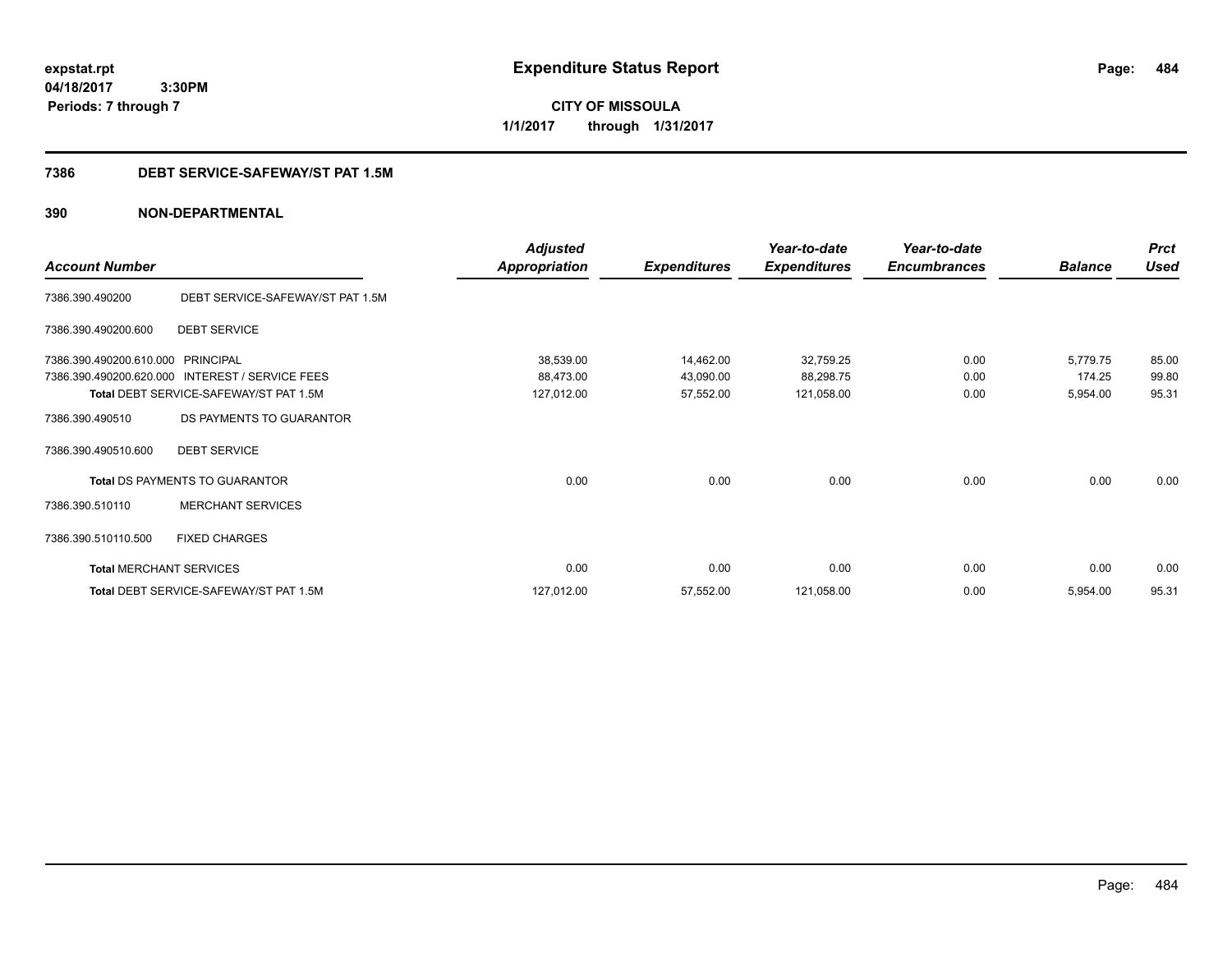**CITY OF MISSOULA 1/1/2017 through 1/31/2017**

# **7386 DEBT SERVICE-SAFEWAY/ST PAT 1.5M**

|                                |                                        | <b>Adjusted</b>      |                     | Year-to-date        | Year-to-date        |                | <b>Prct</b> |
|--------------------------------|----------------------------------------|----------------------|---------------------|---------------------|---------------------|----------------|-------------|
| <b>Account Number</b>          |                                        | <b>Appropriation</b> | <b>Expenditures</b> | <b>Expenditures</b> | <b>Encumbrances</b> | <b>Balance</b> | <b>Used</b> |
| 7386.390.490200                | DEBT SERVICE-SAFEWAY/ST PAT 1.5M       |                      |                     |                     |                     |                |             |
| 7386.390.490200.600            | <b>DEBT SERVICE</b>                    |                      |                     |                     |                     |                |             |
| 7386.390.490200.610.000        | <b>PRINCIPAL</b>                       | 38,539.00            | 14,462.00           | 32,759.25           | 0.00                | 5,779.75       | 85.00       |
| 7386.390.490200.620.000        | <b>INTEREST / SERVICE FEES</b>         | 88,473.00            | 43,090.00           | 88,298.75           | 0.00                | 174.25         | 99.80       |
|                                | Total DEBT SERVICE-SAFEWAY/ST PAT 1.5M | 127,012.00           | 57,552.00           | 121,058.00          | 0.00                | 5,954.00       | 95.31       |
| 7386.390.490510                | DS PAYMENTS TO GUARANTOR               |                      |                     |                     |                     |                |             |
| 7386.390.490510.600            | <b>DEBT SERVICE</b>                    |                      |                     |                     |                     |                |             |
|                                | <b>Total DS PAYMENTS TO GUARANTOR</b>  | 0.00                 | 0.00                | 0.00                | 0.00                | 0.00           | 0.00        |
| 7386.390.510110                | <b>MERCHANT SERVICES</b>               |                      |                     |                     |                     |                |             |
| 7386.390.510110.500            | <b>FIXED CHARGES</b>                   |                      |                     |                     |                     |                |             |
| <b>Total MERCHANT SERVICES</b> |                                        | 0.00                 | 0.00                | 0.00                | 0.00                | 0.00           | 0.00        |
|                                | Total DEBT SERVICE-SAFEWAY/ST PAT 1.5M | 127,012.00           | 57,552.00           | 121,058.00          | 0.00                | 5,954.00       | 95.31       |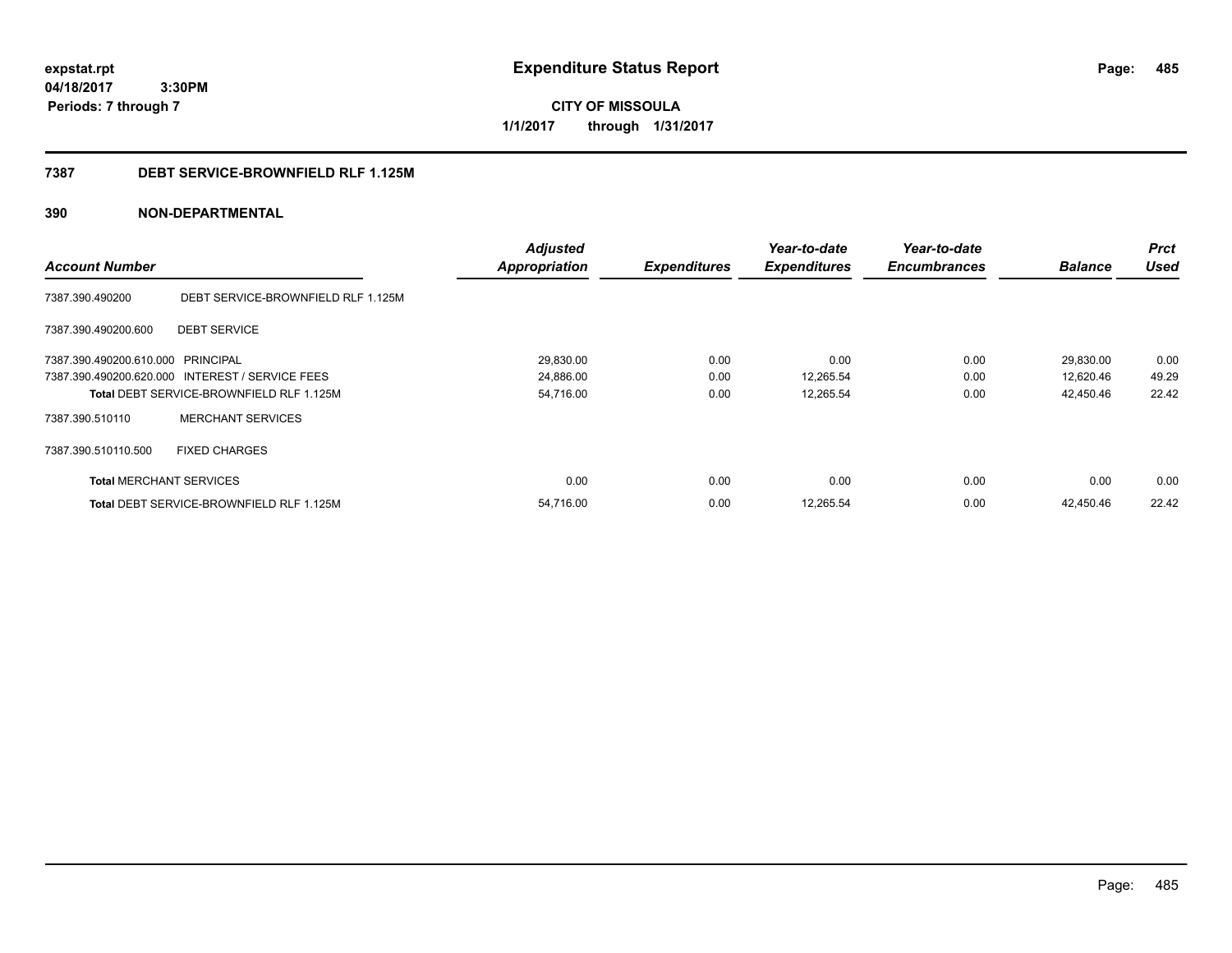**CITY OF MISSOULA 1/1/2017 through 1/31/2017**

### **7387 DEBT SERVICE-BROWNFIELD RLF 1.125M**

|                                   |                                                 | <b>Adjusted</b>      |                     | Year-to-date        | Year-to-date        |                | <b>Prct</b> |
|-----------------------------------|-------------------------------------------------|----------------------|---------------------|---------------------|---------------------|----------------|-------------|
| <b>Account Number</b>             |                                                 | <b>Appropriation</b> | <b>Expenditures</b> | <b>Expenditures</b> | <b>Encumbrances</b> | <b>Balance</b> | <b>Used</b> |
| 7387.390.490200                   | DEBT SERVICE-BROWNFIELD RLF 1.125M              |                      |                     |                     |                     |                |             |
| 7387.390.490200.600               | <b>DEBT SERVICE</b>                             |                      |                     |                     |                     |                |             |
| 7387.390.490200.610.000 PRINCIPAL |                                                 | 29,830.00            | 0.00                | 0.00                | 0.00                | 29,830.00      | 0.00        |
|                                   | 7387.390.490200.620.000 INTEREST / SERVICE FEES | 24,886.00            | 0.00                | 12,265.54           | 0.00                | 12,620.46      | 49.29       |
|                                   | Total DEBT SERVICE-BROWNFIELD RLF 1.125M        | 54,716.00            | 0.00                | 12,265.54           | 0.00                | 42,450.46      | 22.42       |
| 7387.390.510110                   | <b>MERCHANT SERVICES</b>                        |                      |                     |                     |                     |                |             |
| 7387.390.510110.500               | <b>FIXED CHARGES</b>                            |                      |                     |                     |                     |                |             |
| <b>Total MERCHANT SERVICES</b>    |                                                 | 0.00                 | 0.00                | 0.00                | 0.00                | 0.00           | 0.00        |
|                                   | <b>Total DEBT SERVICE-BROWNFIELD RLF 1.125M</b> | 54.716.00            | 0.00                | 12,265.54           | 0.00                | 42.450.46      | 22.42       |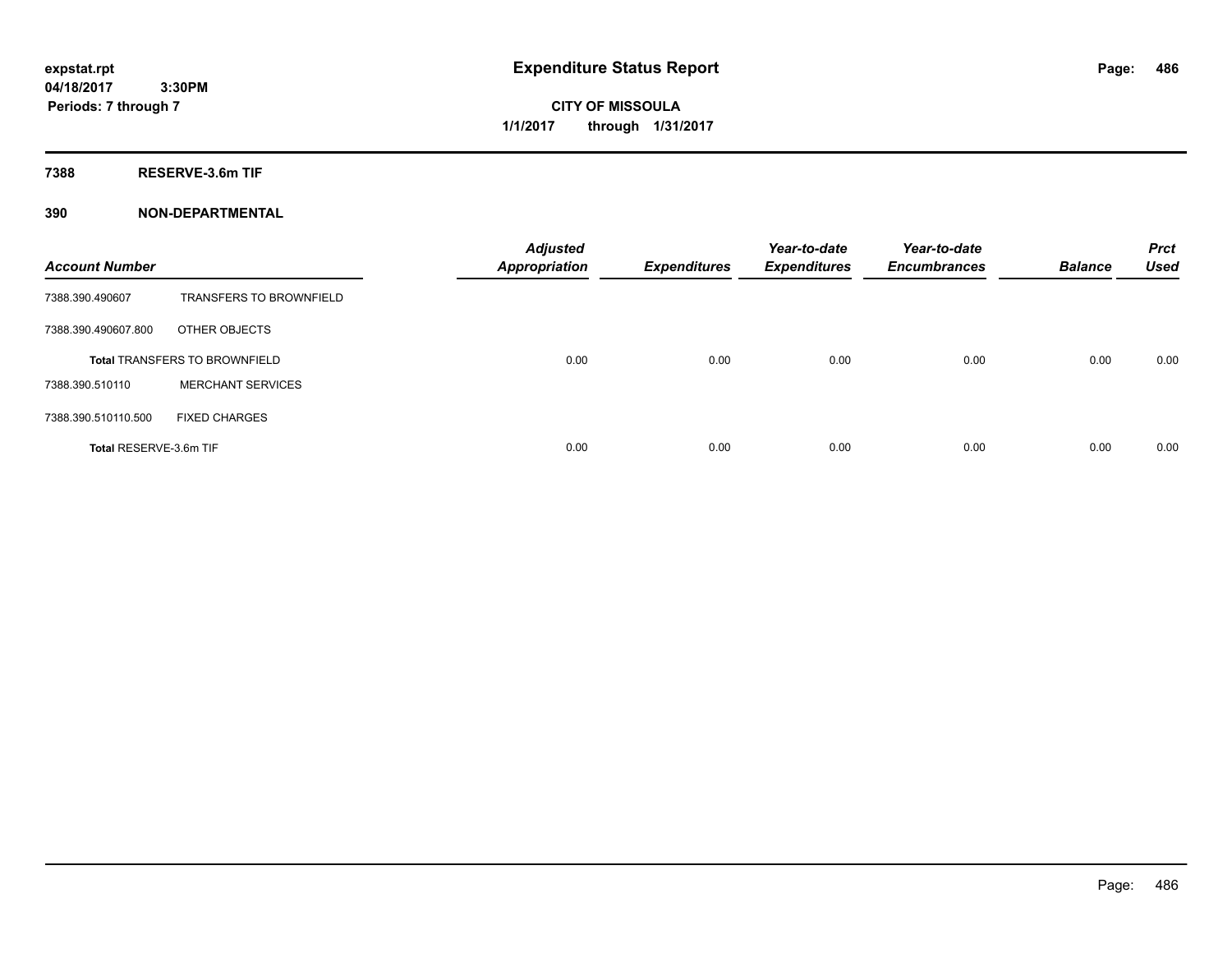**CITY OF MISSOULA 1/1/2017 through 1/31/2017**

**7388 RESERVE-3.6m TIF**

| <b>Account Number</b>                |                                | <b>Adjusted</b><br><b>Appropriation</b> | <b>Expenditures</b> | Year-to-date<br><b>Expenditures</b> | Year-to-date<br><b>Encumbrances</b> | <b>Balance</b> | <b>Prct</b><br><b>Used</b> |
|--------------------------------------|--------------------------------|-----------------------------------------|---------------------|-------------------------------------|-------------------------------------|----------------|----------------------------|
| 7388.390.490607                      | <b>TRANSFERS TO BROWNFIELD</b> |                                         |                     |                                     |                                     |                |                            |
| 7388.390.490607.800                  | OTHER OBJECTS                  |                                         |                     |                                     |                                     |                |                            |
| <b>Total TRANSFERS TO BROWNFIELD</b> |                                | 0.00                                    | 0.00                | 0.00                                | 0.00                                | 0.00           | 0.00                       |
| 7388.390.510110                      | <b>MERCHANT SERVICES</b>       |                                         |                     |                                     |                                     |                |                            |
| 7388.390.510110.500                  | <b>FIXED CHARGES</b>           |                                         |                     |                                     |                                     |                |                            |
| Total RESERVE-3.6m TIF               |                                | 0.00                                    | 0.00                | 0.00                                | 0.00                                | 0.00           | 0.00                       |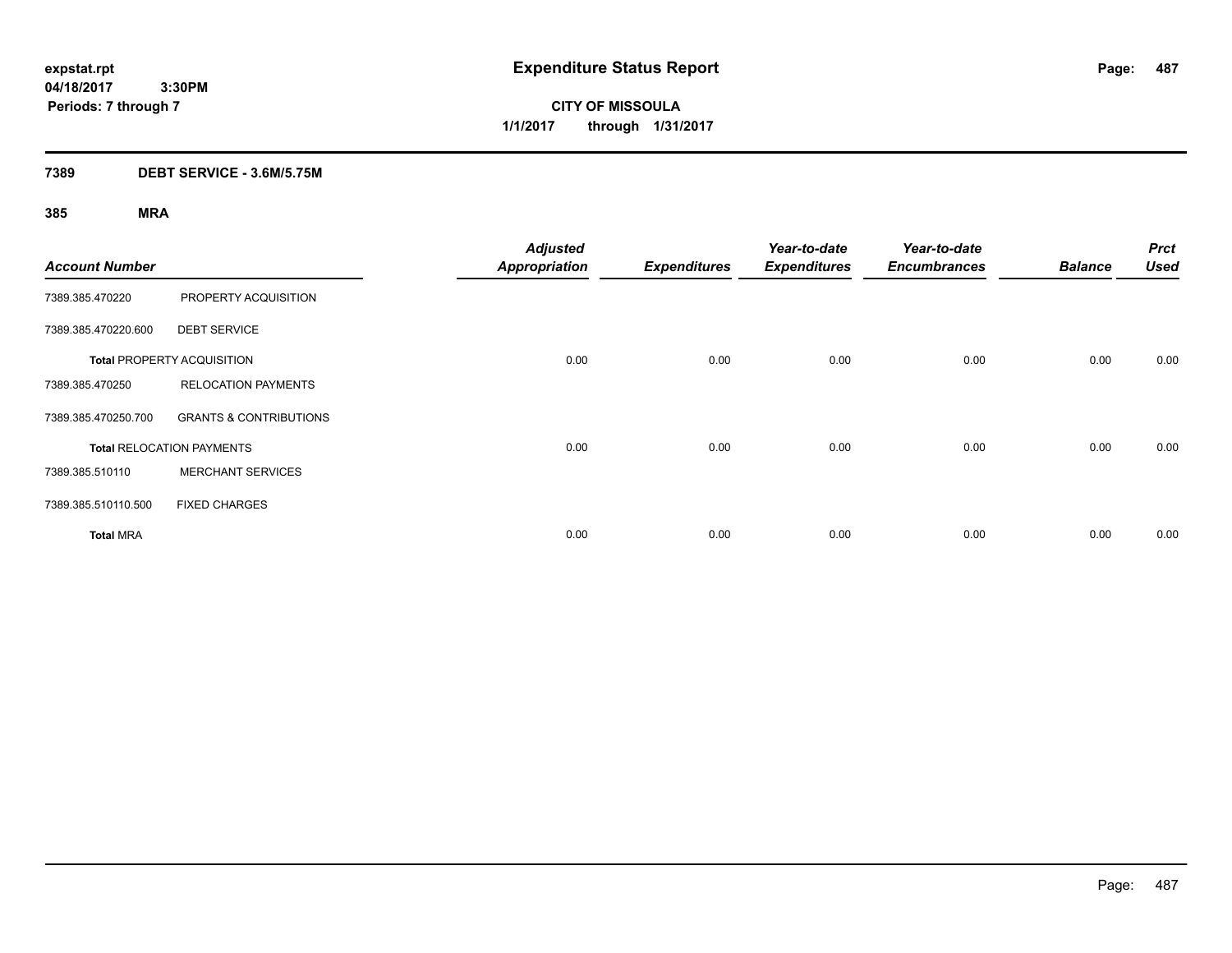**CITY OF MISSOULA 1/1/2017 through 1/31/2017**

# **7389 DEBT SERVICE - 3.6M/5.75M**

| <b>Account Number</b> |                                   | <b>Adjusted</b><br><b>Appropriation</b> | <b>Expenditures</b> | Year-to-date<br><b>Expenditures</b> | Year-to-date<br><b>Encumbrances</b> | <b>Balance</b> | <b>Prct</b><br><b>Used</b> |
|-----------------------|-----------------------------------|-----------------------------------------|---------------------|-------------------------------------|-------------------------------------|----------------|----------------------------|
| 7389.385.470220       | PROPERTY ACQUISITION              |                                         |                     |                                     |                                     |                |                            |
| 7389.385.470220.600   | <b>DEBT SERVICE</b>               |                                         |                     |                                     |                                     |                |                            |
|                       | <b>Total PROPERTY ACQUISITION</b> | 0.00                                    | 0.00                | 0.00                                | 0.00                                | 0.00           | 0.00                       |
| 7389.385.470250       | <b>RELOCATION PAYMENTS</b>        |                                         |                     |                                     |                                     |                |                            |
| 7389.385.470250.700   | <b>GRANTS &amp; CONTRIBUTIONS</b> |                                         |                     |                                     |                                     |                |                            |
|                       | <b>Total RELOCATION PAYMENTS</b>  | 0.00                                    | 0.00                | 0.00                                | 0.00                                | 0.00           | 0.00                       |
| 7389.385.510110       | <b>MERCHANT SERVICES</b>          |                                         |                     |                                     |                                     |                |                            |
| 7389.385.510110.500   | <b>FIXED CHARGES</b>              |                                         |                     |                                     |                                     |                |                            |
| <b>Total MRA</b>      |                                   | 0.00                                    | 0.00                | 0.00                                | 0.00                                | 0.00           | 0.00                       |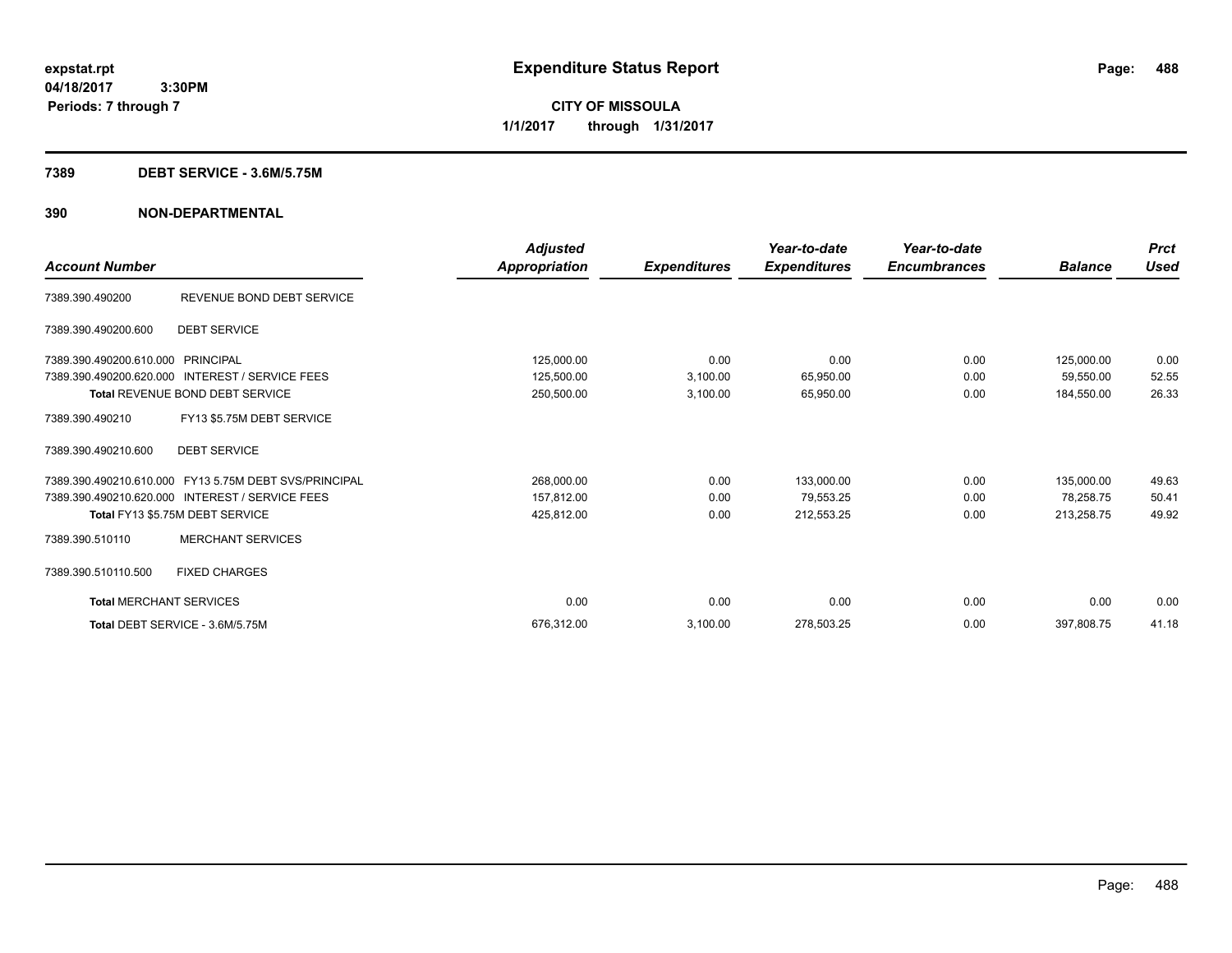**CITY OF MISSOULA 1/1/2017 through 1/31/2017**

### **7389 DEBT SERVICE - 3.6M/5.75M**

| <b>Account Number</b>                              |                                                                                                                                             | <b>Adjusted</b><br><b>Appropriation</b> | <b>Expenditures</b>  | Year-to-date<br><b>Expenditures</b>   | Year-to-date<br><b>Encumbrances</b> | <b>Balance</b>                        | <b>Prct</b><br><b>Used</b> |
|----------------------------------------------------|---------------------------------------------------------------------------------------------------------------------------------------------|-----------------------------------------|----------------------|---------------------------------------|-------------------------------------|---------------------------------------|----------------------------|
| 7389.390.490200                                    | REVENUE BOND DEBT SERVICE                                                                                                                   |                                         |                      |                                       |                                     |                                       |                            |
| 7389.390.490200.600                                | <b>DEBT SERVICE</b>                                                                                                                         |                                         |                      |                                       |                                     |                                       |                            |
| 7389.390.490200.610.000<br>7389.390.490200.620.000 | PRINCIPAL<br><b>INTEREST / SERVICE FEES</b>                                                                                                 | 125,000.00<br>125,500.00                | 0.00<br>3,100.00     | 0.00<br>65,950.00                     | 0.00<br>0.00                        | 125,000.00<br>59,550.00               | 0.00<br>52.55              |
| 7389.390.490210                                    | Total REVENUE BOND DEBT SERVICE<br>FY13 \$5.75M DEBT SERVICE                                                                                | 250,500.00                              | 3,100.00             | 65,950.00                             | 0.00                                | 184,550.00                            | 26.33                      |
| 7389.390.490210.600                                | <b>DEBT SERVICE</b>                                                                                                                         |                                         |                      |                                       |                                     |                                       |                            |
|                                                    | 7389.390.490210.610.000 FY13 5.75M DEBT SVS/PRINCIPAL<br>7389.390.490210.620.000 INTEREST / SERVICE FEES<br>Total FY13 \$5.75M DEBT SERVICE | 268,000.00<br>157,812.00<br>425,812.00  | 0.00<br>0.00<br>0.00 | 133,000.00<br>79,553.25<br>212,553.25 | 0.00<br>0.00<br>0.00                | 135,000.00<br>78.258.75<br>213,258.75 | 49.63<br>50.41<br>49.92    |
| 7389.390.510110                                    | <b>MERCHANT SERVICES</b>                                                                                                                    |                                         |                      |                                       |                                     |                                       |                            |
| 7389.390.510110.500                                | <b>FIXED CHARGES</b>                                                                                                                        |                                         |                      |                                       |                                     |                                       |                            |
| <b>Total MERCHANT SERVICES</b>                     |                                                                                                                                             | 0.00                                    | 0.00                 | 0.00                                  | 0.00                                | 0.00                                  | 0.00                       |
|                                                    | Total DEBT SERVICE - 3.6M/5.75M                                                                                                             | 676.312.00                              | 3,100.00             | 278,503.25                            | 0.00                                | 397,808.75                            | 41.18                      |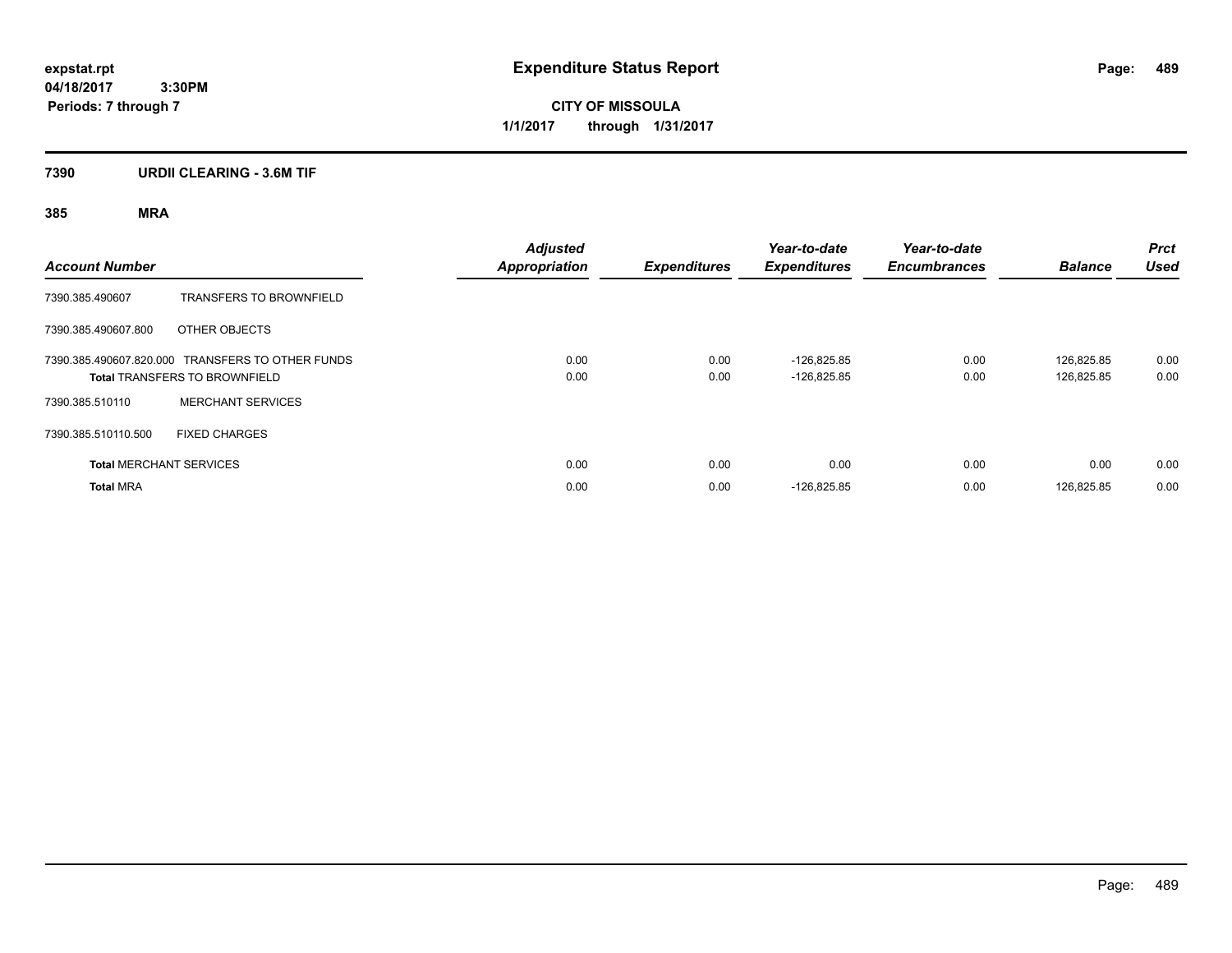**CITY OF MISSOULA 1/1/2017 through 1/31/2017**

# **7390 URDII CLEARING - 3.6M TIF**

| <b>Account Number</b>                                                                    |                                | <b>Adjusted</b><br><b>Appropriation</b> | <b>Expenditures</b> | Year-to-date<br><b>Expenditures</b> | Year-to-date<br><b>Encumbrances</b> | <b>Balance</b>           | <b>Prct</b><br><b>Used</b> |
|------------------------------------------------------------------------------------------|--------------------------------|-----------------------------------------|---------------------|-------------------------------------|-------------------------------------|--------------------------|----------------------------|
| 7390.385.490607                                                                          | <b>TRANSFERS TO BROWNFIELD</b> |                                         |                     |                                     |                                     |                          |                            |
| 7390.385.490607.800                                                                      | OTHER OBJECTS                  |                                         |                     |                                     |                                     |                          |                            |
| 7390.385.490607.820.000 TRANSFERS TO OTHER FUNDS<br><b>Total TRANSFERS TO BROWNFIELD</b> |                                | 0.00<br>0.00                            | 0.00<br>0.00        | $-126.825.85$<br>$-126,825.85$      | 0.00<br>0.00                        | 126.825.85<br>126,825.85 | 0.00<br>0.00               |
| 7390.385.510110                                                                          | <b>MERCHANT SERVICES</b>       |                                         |                     |                                     |                                     |                          |                            |
| 7390.385.510110.500                                                                      | <b>FIXED CHARGES</b>           |                                         |                     |                                     |                                     |                          |                            |
|                                                                                          | <b>Total MERCHANT SERVICES</b> | 0.00                                    | 0.00                | 0.00                                | 0.00                                | 0.00                     | 0.00                       |
| <b>Total MRA</b>                                                                         |                                | 0.00                                    | 0.00                | $-126,825.85$                       | 0.00                                | 126,825.85               | 0.00                       |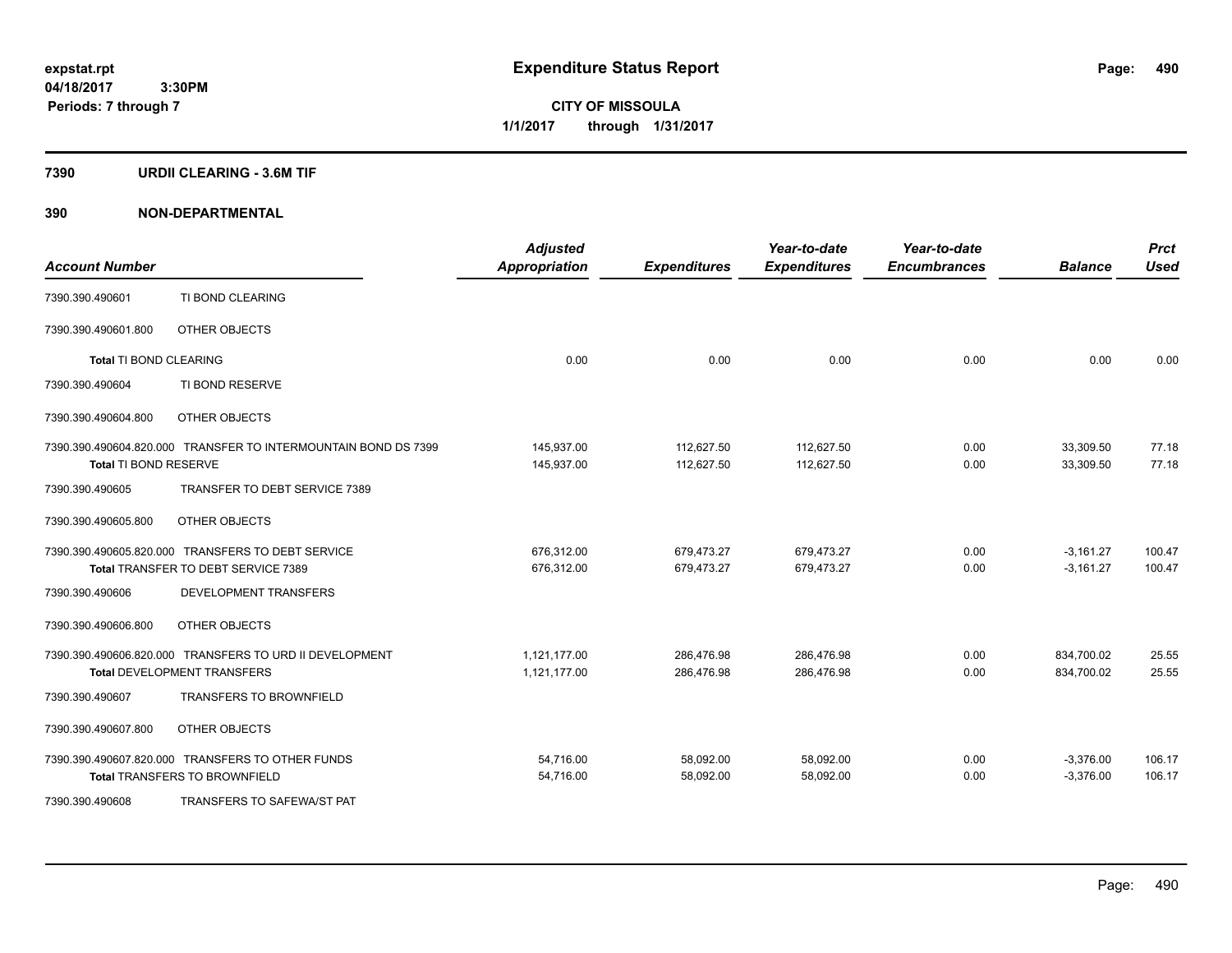**CITY OF MISSOULA 1/1/2017 through 1/31/2017**

### **7390 URDII CLEARING - 3.6M TIF**

| <b>Account Number</b>         |                                                                | <b>Adjusted</b><br><b>Appropriation</b> | <b>Expenditures</b> | Year-to-date<br><b>Expenditures</b> | Year-to-date<br><b>Encumbrances</b> | <b>Balance</b> | <b>Prct</b><br><b>Used</b> |
|-------------------------------|----------------------------------------------------------------|-----------------------------------------|---------------------|-------------------------------------|-------------------------------------|----------------|----------------------------|
| 7390.390.490601               | TI BOND CLEARING                                               |                                         |                     |                                     |                                     |                |                            |
| 7390.390.490601.800           | OTHER OBJECTS                                                  |                                         |                     |                                     |                                     |                |                            |
| <b>Total TI BOND CLEARING</b> |                                                                | 0.00                                    | 0.00                | 0.00                                | 0.00                                | 0.00           | 0.00                       |
| 7390.390.490604               | TI BOND RESERVE                                                |                                         |                     |                                     |                                     |                |                            |
| 7390.390.490604.800           | OTHER OBJECTS                                                  |                                         |                     |                                     |                                     |                |                            |
|                               | 7390.390.490604.820.000 TRANSFER TO INTERMOUNTAIN BOND DS 7399 | 145,937.00                              | 112,627.50          | 112.627.50                          | 0.00                                | 33,309.50      | 77.18                      |
| Total TI BOND RESERVE         |                                                                | 145,937.00                              | 112,627.50          | 112,627.50                          | 0.00                                | 33,309.50      | 77.18                      |
| 7390.390.490605               | TRANSFER TO DEBT SERVICE 7389                                  |                                         |                     |                                     |                                     |                |                            |
| 7390.390.490605.800           | OTHER OBJECTS                                                  |                                         |                     |                                     |                                     |                |                            |
|                               | 7390.390.490605.820.000 TRANSFERS TO DEBT SERVICE              | 676,312.00                              | 679,473.27          | 679,473.27                          | 0.00                                | $-3,161.27$    | 100.47                     |
|                               | Total TRANSFER TO DEBT SERVICE 7389                            | 676,312.00                              | 679,473.27          | 679,473.27                          | 0.00                                | $-3,161.27$    | 100.47                     |
| 7390.390.490606               | <b>DEVELOPMENT TRANSFERS</b>                                   |                                         |                     |                                     |                                     |                |                            |
| 7390.390.490606.800           | OTHER OBJECTS                                                  |                                         |                     |                                     |                                     |                |                            |
|                               | 7390.390.490606.820.000 TRANSFERS TO URD II DEVELOPMENT        | 1,121,177.00                            | 286,476.98          | 286,476.98                          | 0.00                                | 834,700.02     | 25.55                      |
|                               | <b>Total DEVELOPMENT TRANSFERS</b>                             | 1,121,177.00                            | 286,476.98          | 286,476.98                          | 0.00                                | 834,700.02     | 25.55                      |
| 7390.390.490607               | <b>TRANSFERS TO BROWNFIELD</b>                                 |                                         |                     |                                     |                                     |                |                            |
| 7390.390.490607.800           | OTHER OBJECTS                                                  |                                         |                     |                                     |                                     |                |                            |
|                               | 7390.390.490607.820.000 TRANSFERS TO OTHER FUNDS               | 54,716.00                               | 58,092.00           | 58,092.00                           | 0.00                                | $-3,376.00$    | 106.17                     |
|                               | <b>Total TRANSFERS TO BROWNFIELD</b>                           | 54,716.00                               | 58,092.00           | 58,092.00                           | 0.00                                | $-3,376.00$    | 106.17                     |
| 7390.390.490608               | <b>TRANSFERS TO SAFEWA/ST PAT</b>                              |                                         |                     |                                     |                                     |                |                            |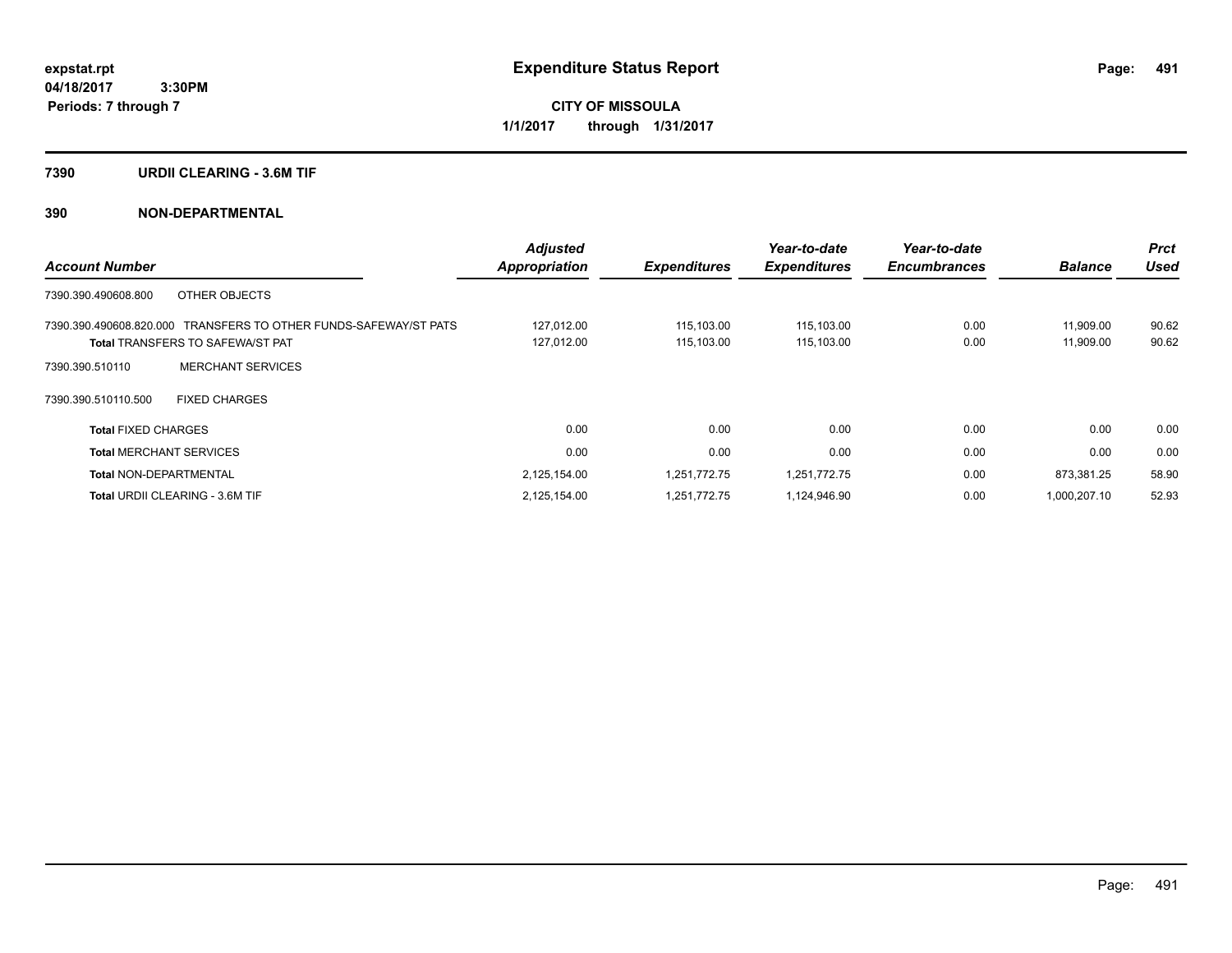**CITY OF MISSOULA 1/1/2017 through 1/31/2017**

### **7390 URDII CLEARING - 3.6M TIF**

| <b>Account Number</b>                                                                                       | <b>Adjusted</b><br><b>Appropriation</b> | <b>Expenditures</b>      | Year-to-date<br><b>Expenditures</b> | Year-to-date<br><b>Encumbrances</b> | <b>Balance</b>         | <b>Prct</b><br><b>Used</b> |
|-------------------------------------------------------------------------------------------------------------|-----------------------------------------|--------------------------|-------------------------------------|-------------------------------------|------------------------|----------------------------|
| 7390.390.490608.800<br>OTHER OBJECTS                                                                        |                                         |                          |                                     |                                     |                        |                            |
| 7390.390.490608.820.000 TRANSFERS TO OTHER FUNDS-SAFEWAY/ST PATS<br><b>Total TRANSFERS TO SAFEWA/ST PAT</b> | 127,012.00<br>127,012.00                | 115,103.00<br>115,103.00 | 115,103.00<br>115,103.00            | 0.00<br>0.00                        | 11,909.00<br>11,909.00 | 90.62<br>90.62             |
| <b>MERCHANT SERVICES</b><br>7390.390.510110                                                                 |                                         |                          |                                     |                                     |                        |                            |
| <b>FIXED CHARGES</b><br>7390.390.510110.500                                                                 |                                         |                          |                                     |                                     |                        |                            |
| <b>Total FIXED CHARGES</b>                                                                                  | 0.00                                    | 0.00                     | 0.00                                | 0.00                                | 0.00                   | 0.00                       |
| <b>Total MERCHANT SERVICES</b>                                                                              | 0.00                                    | 0.00                     | 0.00                                | 0.00                                | 0.00                   | 0.00                       |
| <b>Total NON-DEPARTMENTAL</b>                                                                               | 2,125,154.00                            | 1,251,772.75             | 1,251,772.75                        | 0.00                                | 873,381.25             | 58.90                      |
| <b>Total URDII CLEARING - 3.6M TIF</b>                                                                      | 2,125,154.00                            | 1,251,772.75             | 1,124,946.90                        | 0.00                                | 1,000,207.10           | 52.93                      |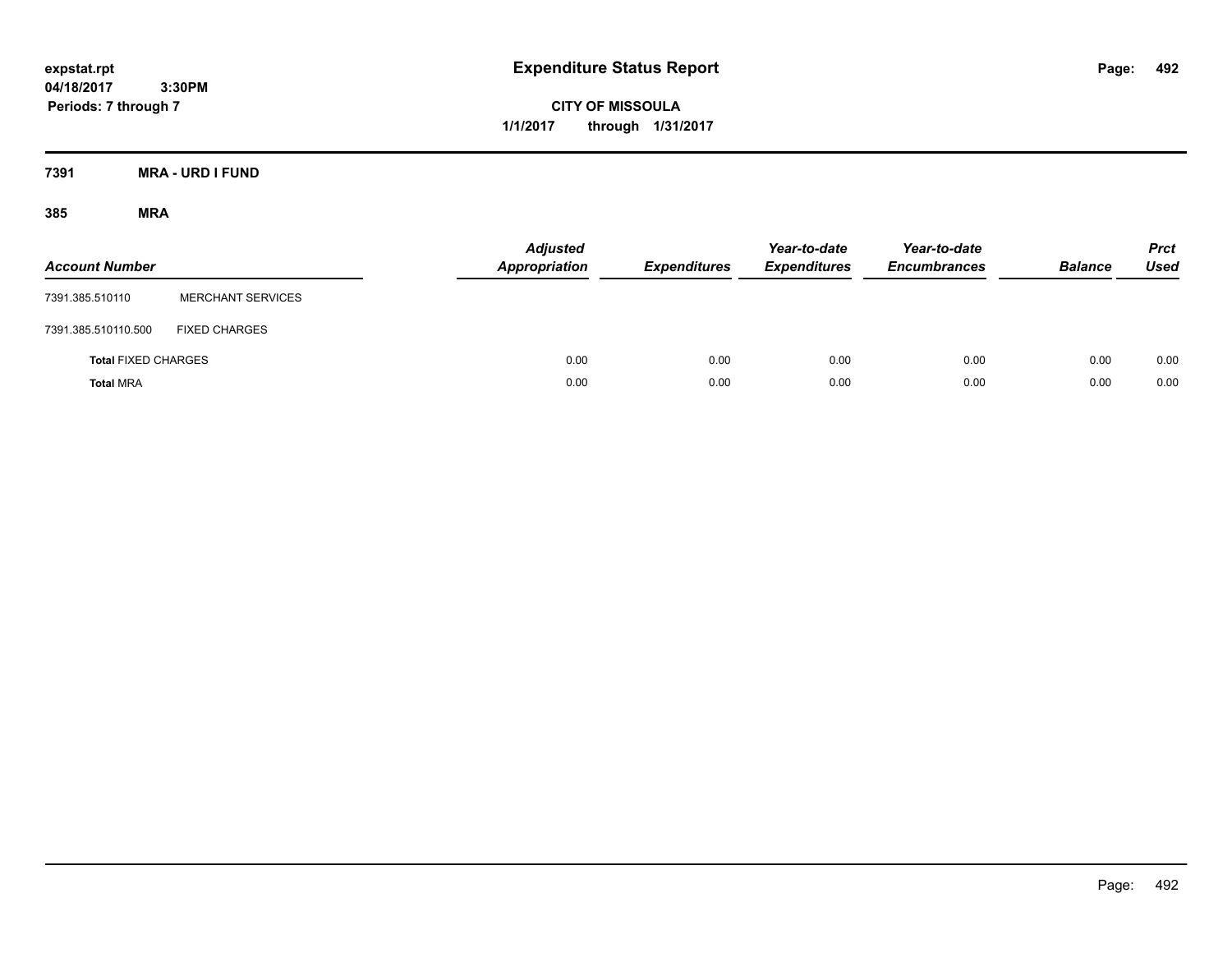**CITY OF MISSOULA 1/1/2017 through 1/31/2017**

**7391 MRA - URD I FUND**

| <b>Account Number</b>      |                          | <b>Adjusted</b><br><b>Appropriation</b> | <b>Expenditures</b> | Year-to-date<br><b>Expenditures</b> | Year-to-date<br><b>Encumbrances</b> | <b>Balance</b> | <b>Prct</b><br>Used |
|----------------------------|--------------------------|-----------------------------------------|---------------------|-------------------------------------|-------------------------------------|----------------|---------------------|
| 7391.385.510110            | <b>MERCHANT SERVICES</b> |                                         |                     |                                     |                                     |                |                     |
| 7391.385.510110.500        | <b>FIXED CHARGES</b>     |                                         |                     |                                     |                                     |                |                     |
| <b>Total FIXED CHARGES</b> |                          | 0.00                                    | 0.00                | 0.00                                | 0.00                                | 0.00           | 0.00                |
| <b>Total MRA</b>           |                          | 0.00                                    | 0.00                | 0.00                                | 0.00                                | 0.00           | 0.00                |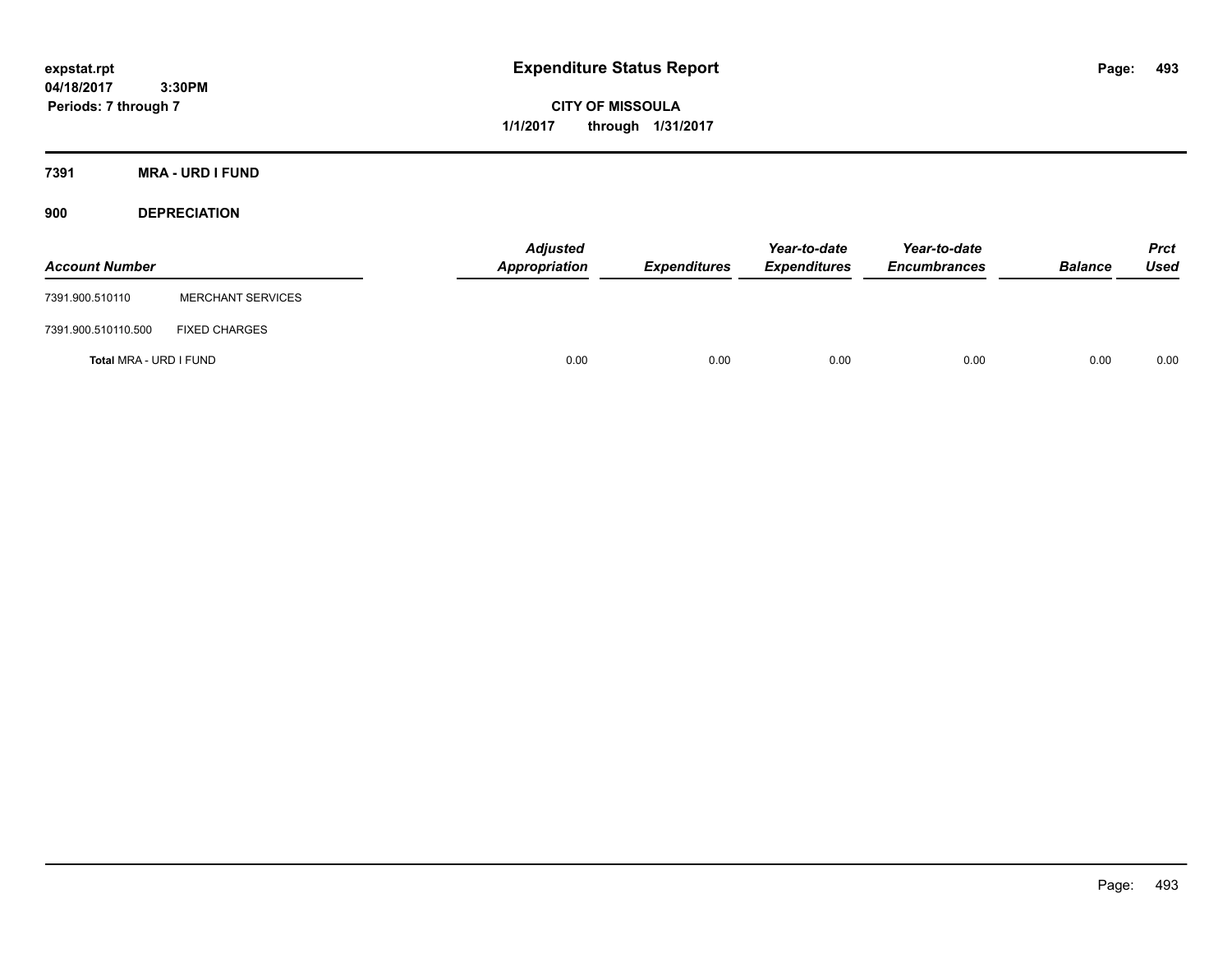**CITY OF MISSOULA 1/1/2017 through 1/31/2017**

**7391 MRA - URD I FUND**

**900 DEPRECIATION**

| <b>Account Number</b>  |                          | Adjusted<br>Appropriation | <b>Expenditures</b> | Year-to-date<br><b>Expenditures</b> | Year-to-date<br><b>Encumbrances</b> | <b>Balance</b> | Prct<br><b>Used</b> |
|------------------------|--------------------------|---------------------------|---------------------|-------------------------------------|-------------------------------------|----------------|---------------------|
| 7391.900.510110        | <b>MERCHANT SERVICES</b> |                           |                     |                                     |                                     |                |                     |
| 7391.900.510110.500    | <b>FIXED CHARGES</b>     |                           |                     |                                     |                                     |                |                     |
| Total MRA - URD I FUND |                          | 0.00                      | 0.00                | 0.00                                | 0.00                                | 0.00           | 0.00                |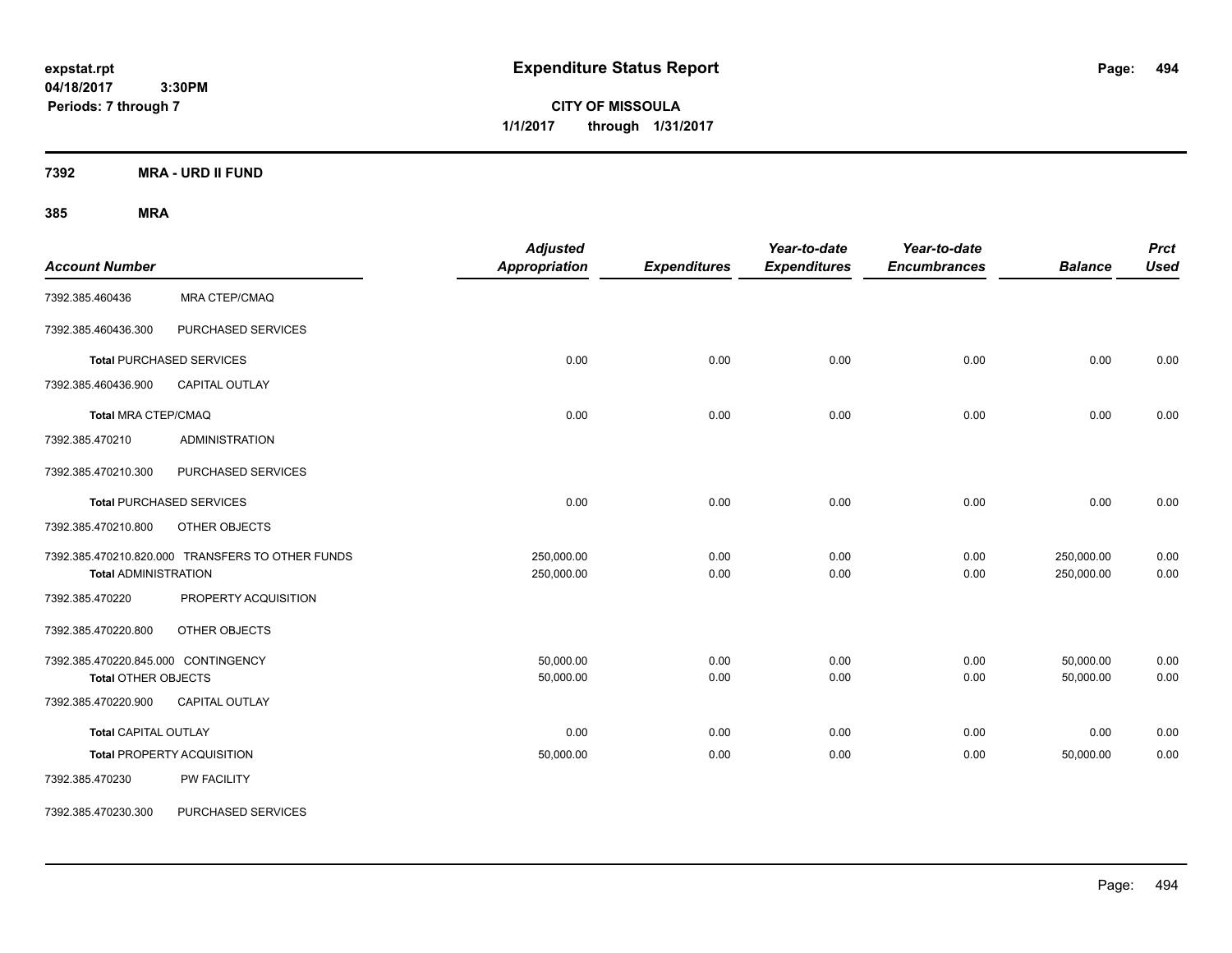**CITY OF MISSOULA 1/1/2017 through 1/31/2017**

**7392 MRA - URD II FUND**

| <b>Account Number</b>                                             |                                                  | <b>Adjusted</b><br><b>Appropriation</b> | <b>Expenditures</b> | Year-to-date<br><b>Expenditures</b> | Year-to-date<br><b>Encumbrances</b> | <b>Balance</b>           | <b>Prct</b><br><b>Used</b> |
|-------------------------------------------------------------------|--------------------------------------------------|-----------------------------------------|---------------------|-------------------------------------|-------------------------------------|--------------------------|----------------------------|
| 7392.385.460436                                                   | MRA CTEP/CMAQ                                    |                                         |                     |                                     |                                     |                          |                            |
| 7392.385.460436.300                                               | PURCHASED SERVICES                               |                                         |                     |                                     |                                     |                          |                            |
|                                                                   | <b>Total PURCHASED SERVICES</b>                  | 0.00                                    | 0.00                | 0.00                                | 0.00                                | 0.00                     | 0.00                       |
| 7392.385.460436.900                                               | CAPITAL OUTLAY                                   |                                         |                     |                                     |                                     |                          |                            |
| <b>Total MRA CTEP/CMAQ</b>                                        |                                                  | 0.00                                    | 0.00                | 0.00                                | 0.00                                | 0.00                     | 0.00                       |
| 7392.385.470210                                                   | <b>ADMINISTRATION</b>                            |                                         |                     |                                     |                                     |                          |                            |
| 7392.385.470210.300                                               | PURCHASED SERVICES                               |                                         |                     |                                     |                                     |                          |                            |
|                                                                   | <b>Total PURCHASED SERVICES</b>                  | 0.00                                    | 0.00                | 0.00                                | 0.00                                | 0.00                     | 0.00                       |
| 7392.385.470210.800                                               | OTHER OBJECTS                                    |                                         |                     |                                     |                                     |                          |                            |
| <b>Total ADMINISTRATION</b>                                       | 7392.385.470210.820.000 TRANSFERS TO OTHER FUNDS | 250,000.00<br>250,000.00                | 0.00<br>0.00        | 0.00<br>0.00                        | 0.00<br>0.00                        | 250,000.00<br>250,000.00 | 0.00<br>0.00               |
| 7392.385.470220                                                   | PROPERTY ACQUISITION                             |                                         |                     |                                     |                                     |                          |                            |
| 7392.385.470220.800                                               | OTHER OBJECTS                                    |                                         |                     |                                     |                                     |                          |                            |
| 7392.385.470220.845.000 CONTINGENCY<br><b>Total OTHER OBJECTS</b> |                                                  | 50,000.00<br>50,000.00                  | 0.00<br>0.00        | 0.00<br>0.00                        | 0.00<br>0.00                        | 50,000.00<br>50,000.00   | 0.00<br>0.00               |
| 7392.385.470220.900                                               | CAPITAL OUTLAY                                   |                                         |                     |                                     |                                     |                          |                            |
| <b>Total CAPITAL OUTLAY</b>                                       |                                                  | 0.00                                    | 0.00                | 0.00                                | 0.00                                | 0.00                     | 0.00                       |
|                                                                   | <b>Total PROPERTY ACQUISITION</b>                | 50,000.00                               | 0.00                | 0.00                                | 0.00                                | 50,000.00                | 0.00                       |
| 7392.385.470230                                                   | PW FACILITY                                      |                                         |                     |                                     |                                     |                          |                            |
| 7392.385.470230.300                                               | PURCHASED SERVICES                               |                                         |                     |                                     |                                     |                          |                            |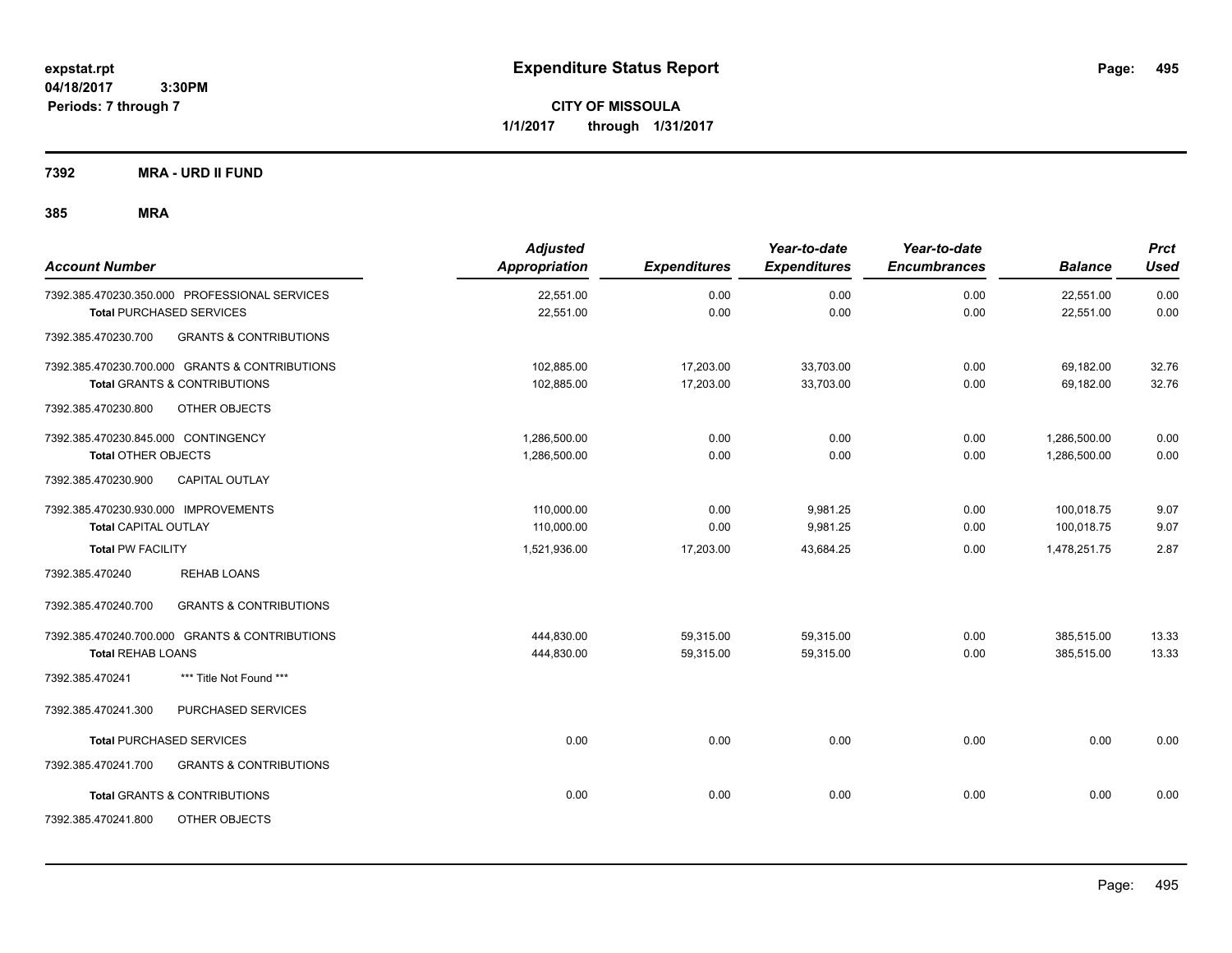**CITY OF MISSOULA 1/1/2017 through 1/31/2017**

**7392 MRA - URD II FUND**

| <b>Account Number</b>                          |                                   | <b>Adjusted</b><br>Appropriation | <b>Expenditures</b> | Year-to-date<br><b>Expenditures</b> | Year-to-date<br><b>Encumbrances</b> | <b>Balance</b> | <b>Prct</b><br><b>Used</b> |
|------------------------------------------------|-----------------------------------|----------------------------------|---------------------|-------------------------------------|-------------------------------------|----------------|----------------------------|
| 7392.385.470230.350.000 PROFESSIONAL SERVICES  |                                   | 22,551.00                        | 0.00                | 0.00                                | 0.00                                | 22,551.00      | 0.00                       |
| <b>Total PURCHASED SERVICES</b>                |                                   | 22,551.00                        | 0.00                | 0.00                                | 0.00                                | 22,551.00      | 0.00                       |
| 7392.385.470230.700                            | <b>GRANTS &amp; CONTRIBUTIONS</b> |                                  |                     |                                     |                                     |                |                            |
| 7392.385.470230.700.000 GRANTS & CONTRIBUTIONS |                                   | 102,885.00                       | 17,203.00           | 33,703.00                           | 0.00                                | 69,182.00      | 32.76                      |
| <b>Total GRANTS &amp; CONTRIBUTIONS</b>        |                                   | 102,885.00                       | 17,203.00           | 33,703.00                           | 0.00                                | 69,182.00      | 32.76                      |
| 7392.385.470230.800                            | OTHER OBJECTS                     |                                  |                     |                                     |                                     |                |                            |
| 7392.385.470230.845.000 CONTINGENCY            |                                   | 1,286,500.00                     | 0.00                | 0.00                                | 0.00                                | 1,286,500.00   | 0.00                       |
| <b>Total OTHER OBJECTS</b>                     |                                   | 1,286,500.00                     | 0.00                | 0.00                                | 0.00                                | 1,286,500.00   | 0.00                       |
| 7392.385.470230.900                            | CAPITAL OUTLAY                    |                                  |                     |                                     |                                     |                |                            |
| 7392.385.470230.930.000 IMPROVEMENTS           |                                   | 110,000.00                       | 0.00                | 9,981.25                            | 0.00                                | 100,018.75     | 9.07                       |
| <b>Total CAPITAL OUTLAY</b>                    |                                   | 110,000.00                       | 0.00                | 9,981.25                            | 0.00                                | 100,018.75     | 9.07                       |
| <b>Total PW FACILITY</b>                       |                                   | 1,521,936.00                     | 17,203.00           | 43.684.25                           | 0.00                                | 1,478,251.75   | 2.87                       |
| 7392.385.470240                                | <b>REHAB LOANS</b>                |                                  |                     |                                     |                                     |                |                            |
| 7392.385.470240.700                            | <b>GRANTS &amp; CONTRIBUTIONS</b> |                                  |                     |                                     |                                     |                |                            |
| 7392.385.470240.700.000 GRANTS & CONTRIBUTIONS |                                   | 444,830.00                       | 59,315.00           | 59,315.00                           | 0.00                                | 385,515.00     | 13.33                      |
| <b>Total REHAB LOANS</b>                       |                                   | 444,830.00                       | 59,315.00           | 59,315.00                           | 0.00                                | 385,515.00     | 13.33                      |
| 7392.385.470241                                | *** Title Not Found ***           |                                  |                     |                                     |                                     |                |                            |
| 7392.385.470241.300                            | PURCHASED SERVICES                |                                  |                     |                                     |                                     |                |                            |
| <b>Total PURCHASED SERVICES</b>                |                                   | 0.00                             | 0.00                | 0.00                                | 0.00                                | 0.00           | 0.00                       |
| 7392.385.470241.700                            | <b>GRANTS &amp; CONTRIBUTIONS</b> |                                  |                     |                                     |                                     |                |                            |
| <b>Total GRANTS &amp; CONTRIBUTIONS</b>        |                                   | 0.00                             | 0.00                | 0.00                                | 0.00                                | 0.00           | 0.00                       |
| 7392.385.470241.800                            | OTHER OBJECTS                     |                                  |                     |                                     |                                     |                |                            |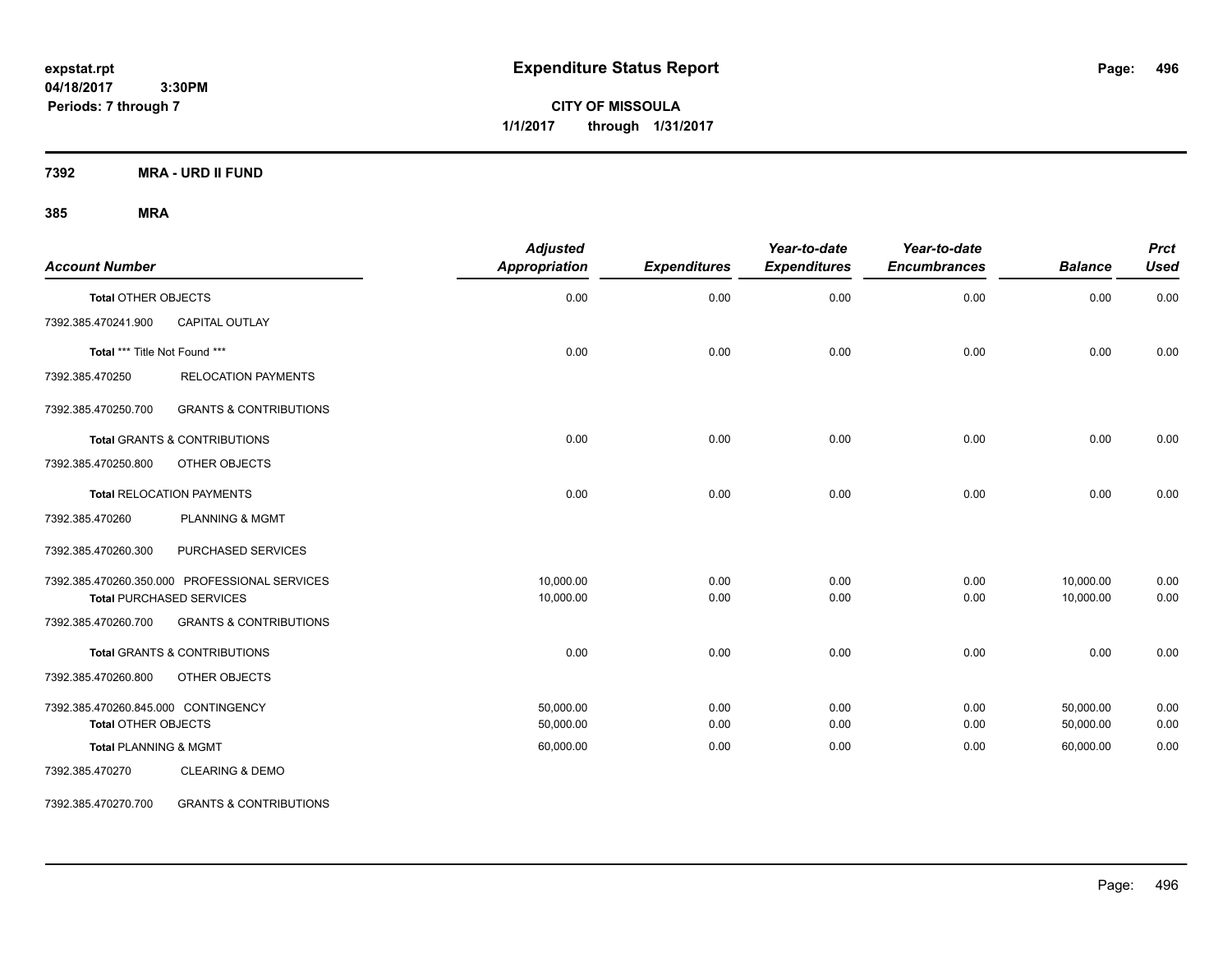**CITY OF MISSOULA 1/1/2017 through 1/31/2017**

**7392 MRA - URD II FUND**

# **385 MRA**

| <b>Account Number</b>               |                                               | <b>Adjusted</b><br><b>Appropriation</b> | <b>Expenditures</b> | Year-to-date<br><b>Expenditures</b> | Year-to-date<br><b>Encumbrances</b> | <b>Balance</b> | <b>Prct</b><br><b>Used</b> |
|-------------------------------------|-----------------------------------------------|-----------------------------------------|---------------------|-------------------------------------|-------------------------------------|----------------|----------------------------|
| <b>Total OTHER OBJECTS</b>          |                                               | 0.00                                    | 0.00                | 0.00                                | 0.00                                | 0.00           | 0.00                       |
| 7392.385.470241.900                 | <b>CAPITAL OUTLAY</b>                         |                                         |                     |                                     |                                     |                |                            |
| Total *** Title Not Found ***       |                                               | 0.00                                    | 0.00                | 0.00                                | 0.00                                | 0.00           | 0.00                       |
| 7392.385.470250                     | <b>RELOCATION PAYMENTS</b>                    |                                         |                     |                                     |                                     |                |                            |
| 7392.385.470250.700                 | <b>GRANTS &amp; CONTRIBUTIONS</b>             |                                         |                     |                                     |                                     |                |                            |
|                                     | <b>Total GRANTS &amp; CONTRIBUTIONS</b>       | 0.00                                    | 0.00                | 0.00                                | 0.00                                | 0.00           | 0.00                       |
| 7392.385.470250.800                 | OTHER OBJECTS                                 |                                         |                     |                                     |                                     |                |                            |
|                                     | <b>Total RELOCATION PAYMENTS</b>              | 0.00                                    | 0.00                | 0.00                                | 0.00                                | 0.00           | 0.00                       |
| 7392.385.470260                     | <b>PLANNING &amp; MGMT</b>                    |                                         |                     |                                     |                                     |                |                            |
| 7392.385.470260.300                 | PURCHASED SERVICES                            |                                         |                     |                                     |                                     |                |                            |
|                                     | 7392.385.470260.350.000 PROFESSIONAL SERVICES | 10,000.00                               | 0.00                | 0.00                                | 0.00                                | 10,000.00      | 0.00                       |
|                                     | <b>Total PURCHASED SERVICES</b>               | 10,000.00                               | 0.00                | 0.00                                | 0.00                                | 10,000.00      | 0.00                       |
| 7392.385.470260.700                 | <b>GRANTS &amp; CONTRIBUTIONS</b>             |                                         |                     |                                     |                                     |                |                            |
|                                     | <b>Total GRANTS &amp; CONTRIBUTIONS</b>       | 0.00                                    | 0.00                | 0.00                                | 0.00                                | 0.00           | 0.00                       |
| 7392.385.470260.800                 | OTHER OBJECTS                                 |                                         |                     |                                     |                                     |                |                            |
| 7392.385.470260.845.000 CONTINGENCY |                                               | 50,000.00                               | 0.00                | 0.00                                | 0.00                                | 50,000.00      | 0.00                       |
| <b>Total OTHER OBJECTS</b>          |                                               | 50,000.00                               | 0.00                | 0.00                                | 0.00                                | 50,000.00      | 0.00                       |
| <b>Total PLANNING &amp; MGMT</b>    |                                               | 60,000.00                               | 0.00                | 0.00                                | 0.00                                | 60,000.00      | 0.00                       |
| 7392.385.470270                     | <b>CLEARING &amp; DEMO</b>                    |                                         |                     |                                     |                                     |                |                            |

7392.385.470270.700 GRANTS & CONTRIBUTIONS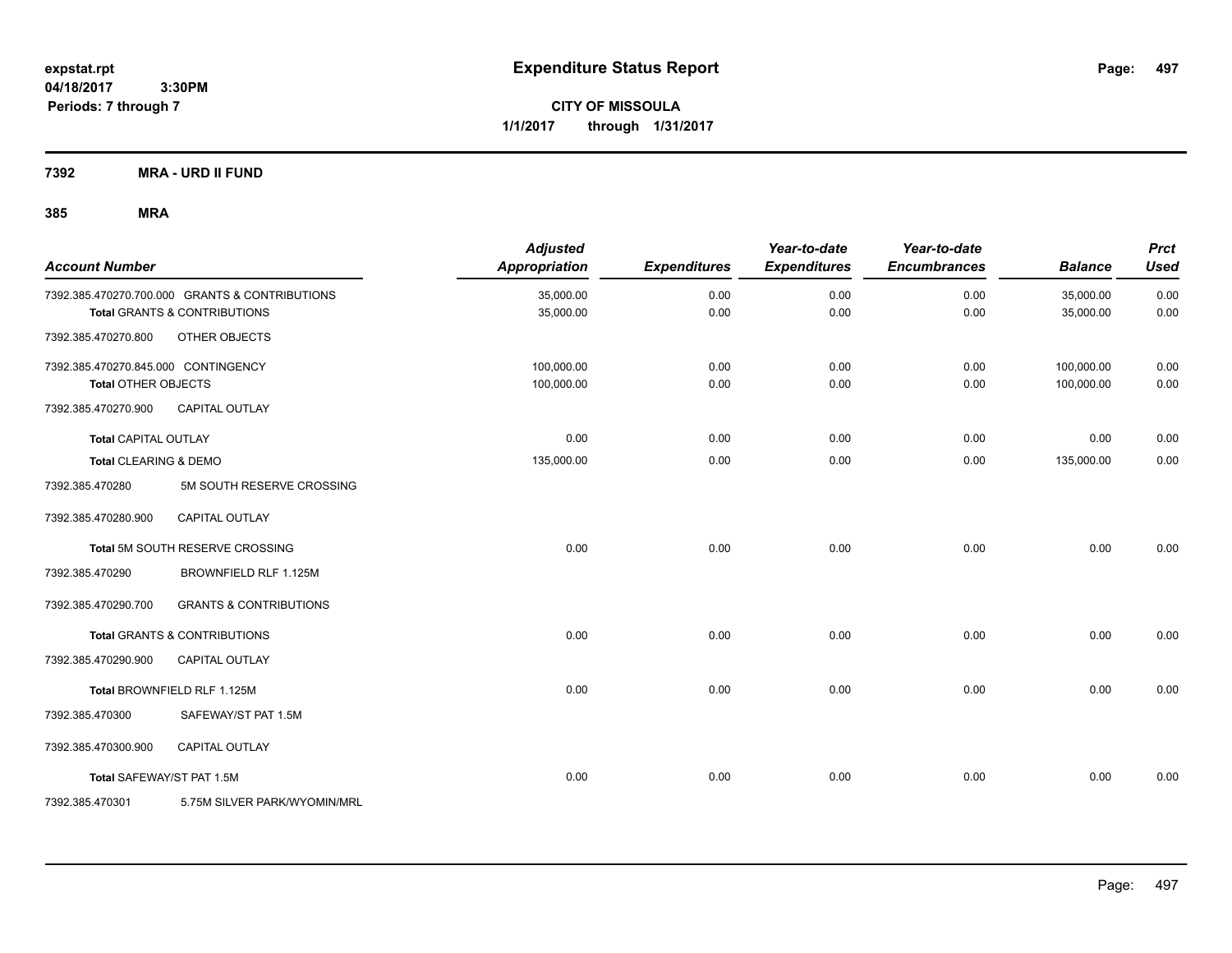**CITY OF MISSOULA 1/1/2017 through 1/31/2017**

**7392 MRA - URD II FUND**

| <b>Account Number</b>               |                                                | <b>Adjusted</b><br><b>Appropriation</b> | <b>Expenditures</b> | Year-to-date<br><b>Expenditures</b> | Year-to-date<br><b>Encumbrances</b> | <b>Balance</b> | <b>Prct</b><br><b>Used</b> |
|-------------------------------------|------------------------------------------------|-----------------------------------------|---------------------|-------------------------------------|-------------------------------------|----------------|----------------------------|
|                                     | 7392.385.470270.700.000 GRANTS & CONTRIBUTIONS | 35,000.00                               | 0.00                | 0.00                                | 0.00                                | 35,000.00      | 0.00                       |
|                                     | <b>Total GRANTS &amp; CONTRIBUTIONS</b>        | 35,000.00                               | 0.00                | 0.00                                | 0.00                                | 35,000.00      | 0.00                       |
| 7392.385.470270.800                 | OTHER OBJECTS                                  |                                         |                     |                                     |                                     |                |                            |
| 7392.385.470270.845.000 CONTINGENCY |                                                | 100,000.00                              | 0.00                | 0.00                                | 0.00                                | 100,000.00     | 0.00                       |
| <b>Total OTHER OBJECTS</b>          |                                                | 100,000.00                              | 0.00                | 0.00                                | 0.00                                | 100,000.00     | 0.00                       |
| 7392.385.470270.900                 | <b>CAPITAL OUTLAY</b>                          |                                         |                     |                                     |                                     |                |                            |
| <b>Total CAPITAL OUTLAY</b>         |                                                | 0.00                                    | 0.00                | 0.00                                | 0.00                                | 0.00           | 0.00                       |
| Total CLEARING & DEMO               |                                                | 135,000.00                              | 0.00                | 0.00                                | 0.00                                | 135,000.00     | 0.00                       |
| 7392.385.470280                     | 5M SOUTH RESERVE CROSSING                      |                                         |                     |                                     |                                     |                |                            |
| 7392.385.470280.900                 | CAPITAL OUTLAY                                 |                                         |                     |                                     |                                     |                |                            |
|                                     | Total 5M SOUTH RESERVE CROSSING                | 0.00                                    | 0.00                | 0.00                                | 0.00                                | 0.00           | 0.00                       |
| 7392.385.470290                     | BROWNFIELD RLF 1.125M                          |                                         |                     |                                     |                                     |                |                            |
| 7392.385.470290.700                 | <b>GRANTS &amp; CONTRIBUTIONS</b>              |                                         |                     |                                     |                                     |                |                            |
|                                     | Total GRANTS & CONTRIBUTIONS                   | 0.00                                    | 0.00                | 0.00                                | 0.00                                | 0.00           | 0.00                       |
| 7392.385.470290.900                 | <b>CAPITAL OUTLAY</b>                          |                                         |                     |                                     |                                     |                |                            |
|                                     | Total BROWNFIELD RLF 1.125M                    | 0.00                                    | 0.00                | 0.00                                | 0.00                                | 0.00           | 0.00                       |
| 7392.385.470300                     | SAFEWAY/ST PAT 1.5M                            |                                         |                     |                                     |                                     |                |                            |
| 7392.385.470300.900                 | <b>CAPITAL OUTLAY</b>                          |                                         |                     |                                     |                                     |                |                            |
| Total SAFEWAY/ST PAT 1.5M           |                                                | 0.00                                    | 0.00                | 0.00                                | 0.00                                | 0.00           | 0.00                       |
| 7392.385.470301                     | 5.75M SILVER PARK/WYOMIN/MRL                   |                                         |                     |                                     |                                     |                |                            |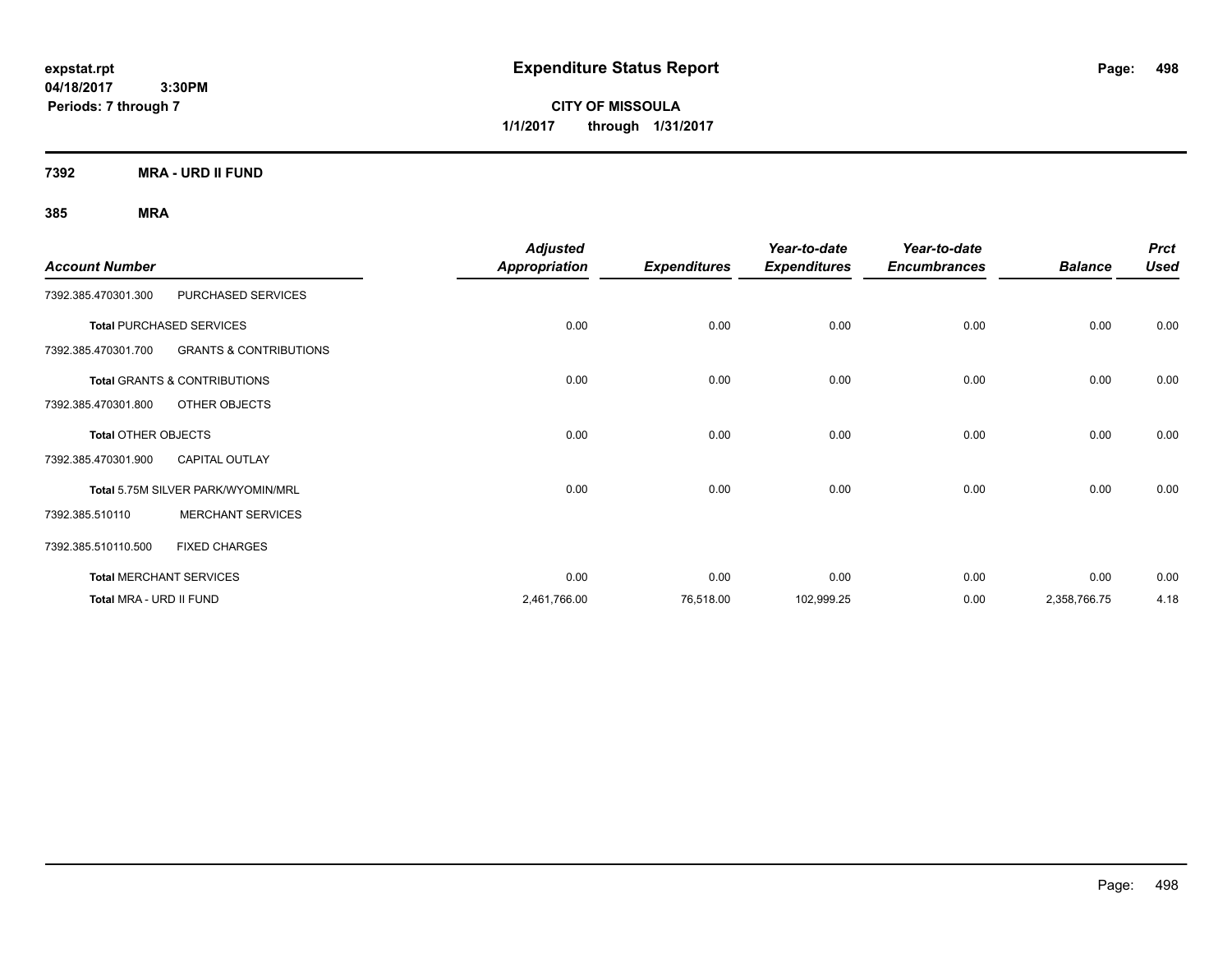**CITY OF MISSOULA 1/1/2017 through 1/31/2017**

**7392 MRA - URD II FUND**

| <b>Account Number</b>      |                                         | <b>Adjusted</b><br><b>Appropriation</b> | <b>Expenditures</b> | Year-to-date<br><b>Expenditures</b> | Year-to-date<br><b>Encumbrances</b> | <b>Balance</b> | <b>Prct</b><br><b>Used</b> |
|----------------------------|-----------------------------------------|-----------------------------------------|---------------------|-------------------------------------|-------------------------------------|----------------|----------------------------|
| 7392.385.470301.300        | PURCHASED SERVICES                      |                                         |                     |                                     |                                     |                |                            |
|                            | <b>Total PURCHASED SERVICES</b>         | 0.00                                    | 0.00                | 0.00                                | 0.00                                | 0.00           | 0.00                       |
| 7392.385.470301.700        | <b>GRANTS &amp; CONTRIBUTIONS</b>       |                                         |                     |                                     |                                     |                |                            |
|                            | <b>Total GRANTS &amp; CONTRIBUTIONS</b> | 0.00                                    | 0.00                | 0.00                                | 0.00                                | 0.00           | 0.00                       |
| 7392.385.470301.800        | OTHER OBJECTS                           |                                         |                     |                                     |                                     |                |                            |
| <b>Total OTHER OBJECTS</b> |                                         | 0.00                                    | 0.00                | 0.00                                | 0.00                                | 0.00           | 0.00                       |
| 7392.385.470301.900        | <b>CAPITAL OUTLAY</b>                   |                                         |                     |                                     |                                     |                |                            |
|                            | Total 5.75M SILVER PARK/WYOMIN/MRL      | 0.00                                    | 0.00                | 0.00                                | 0.00                                | 0.00           | 0.00                       |
| 7392.385.510110            | <b>MERCHANT SERVICES</b>                |                                         |                     |                                     |                                     |                |                            |
| 7392.385.510110.500        | <b>FIXED CHARGES</b>                    |                                         |                     |                                     |                                     |                |                            |
|                            | <b>Total MERCHANT SERVICES</b>          | 0.00                                    | 0.00                | 0.00                                | 0.00                                | 0.00           | 0.00                       |
| Total MRA - URD II FUND    |                                         | 2,461,766.00                            | 76,518.00           | 102,999.25                          | 0.00                                | 2,358,766.75   | 4.18                       |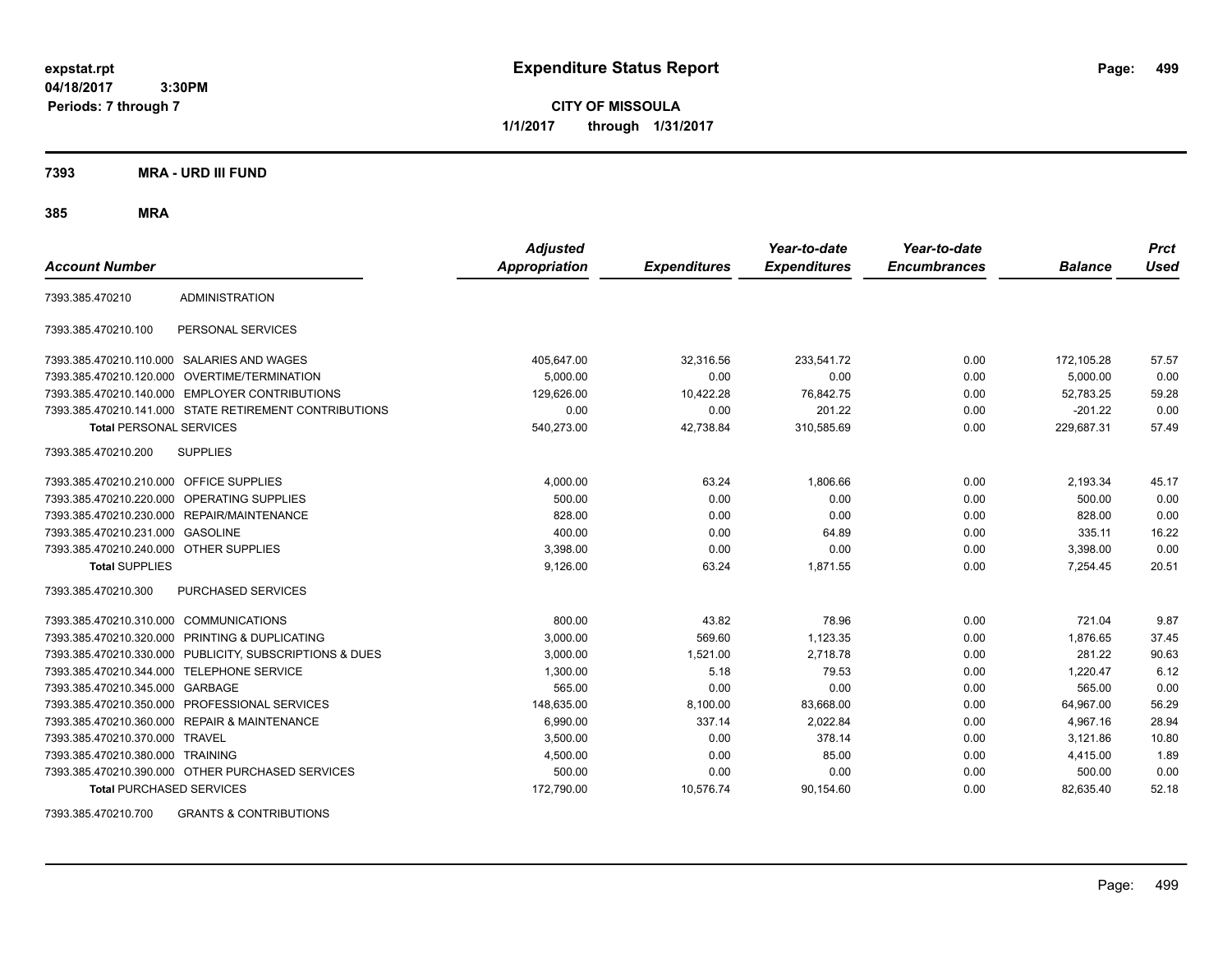**CITY OF MISSOULA 1/1/2017 through 1/31/2017**

### **7393 MRA - URD III FUND**

# **385 MRA**

|                                         |                                                        | <b>Adjusted</b> |                     | Year-to-date        | Year-to-date        |                | <b>Prct</b> |
|-----------------------------------------|--------------------------------------------------------|-----------------|---------------------|---------------------|---------------------|----------------|-------------|
| <b>Account Number</b>                   |                                                        | Appropriation   | <b>Expenditures</b> | <b>Expenditures</b> | <b>Encumbrances</b> | <b>Balance</b> | <b>Used</b> |
| 7393.385.470210                         | <b>ADMINISTRATION</b>                                  |                 |                     |                     |                     |                |             |
| 7393.385.470210.100                     | PERSONAL SERVICES                                      |                 |                     |                     |                     |                |             |
|                                         | 7393.385.470210.110.000 SALARIES AND WAGES             | 405,647.00      | 32,316.56           | 233,541.72          | 0.00                | 172,105.28     | 57.57       |
| 7393.385.470210.120.000                 | OVERTIME/TERMINATION                                   | 5,000.00        | 0.00                | 0.00                | 0.00                | 5,000.00       | 0.00        |
|                                         | 7393.385.470210.140.000 EMPLOYER CONTRIBUTIONS         | 129,626.00      | 10,422.28           | 76,842.75           | 0.00                | 52.783.25      | 59.28       |
|                                         | 7393.385.470210.141.000 STATE RETIREMENT CONTRIBUTIONS | 0.00            | 0.00                | 201.22              | 0.00                | $-201.22$      | 0.00        |
| <b>Total PERSONAL SERVICES</b>          |                                                        | 540,273.00      | 42,738.84           | 310,585.69          | 0.00                | 229,687.31     | 57.49       |
| 7393.385.470210.200                     | <b>SUPPLIES</b>                                        |                 |                     |                     |                     |                |             |
| 7393.385.470210.210.000 OFFICE SUPPLIES |                                                        | 4,000.00        | 63.24               | 1,806.66            | 0.00                | 2,193.34       | 45.17       |
| 7393.385.470210.220.000                 | <b>OPERATING SUPPLIES</b>                              | 500.00          | 0.00                | 0.00                | 0.00                | 500.00         | 0.00        |
|                                         | 7393.385.470210.230.000 REPAIR/MAINTENANCE             | 828.00          | 0.00                | 0.00                | 0.00                | 828.00         | 0.00        |
| 7393.385.470210.231.000                 | <b>GASOLINE</b>                                        | 400.00          | 0.00                | 64.89               | 0.00                | 335.11         | 16.22       |
| 7393.385.470210.240.000 OTHER SUPPLIES  |                                                        | 3.398.00        | 0.00                | 0.00                | 0.00                | 3,398.00       | 0.00        |
| <b>Total SUPPLIES</b>                   |                                                        | 9,126.00        | 63.24               | 1,871.55            | 0.00                | 7,254.45       | 20.51       |
| 7393.385.470210.300                     | PURCHASED SERVICES                                     |                 |                     |                     |                     |                |             |
| 7393.385.470210.310.000                 | <b>COMMUNICATIONS</b>                                  | 800.00          | 43.82               | 78.96               | 0.00                | 721.04         | 9.87        |
| 7393.385.470210.320.000                 | PRINTING & DUPLICATING                                 | 3,000.00        | 569.60              | 1,123.35            | 0.00                | 1,876.65       | 37.45       |
| 7393.385.470210.330.000                 | PUBLICITY, SUBSCRIPTIONS & DUES                        | 3,000.00        | 1,521.00            | 2.718.78            | 0.00                | 281.22         | 90.63       |
| 7393.385.470210.344.000                 | <b>TELEPHONE SERVICE</b>                               | 1,300.00        | 5.18                | 79.53               | 0.00                | 1.220.47       | 6.12        |
| 7393.385.470210.345.000                 | GARBAGE                                                | 565.00          | 0.00                | 0.00                | 0.00                | 565.00         | 0.00        |
| 7393.385.470210.350.000                 | PROFESSIONAL SERVICES                                  | 148,635.00      | 8,100.00            | 83,668.00           | 0.00                | 64,967.00      | 56.29       |
| 7393.385.470210.360.000                 | <b>REPAIR &amp; MAINTENANCE</b>                        | 6,990.00        | 337.14              | 2,022.84            | 0.00                | 4,967.16       | 28.94       |
| 7393.385.470210.370.000 TRAVEL          |                                                        | 3,500.00        | 0.00                | 378.14              | 0.00                | 3,121.86       | 10.80       |
| 7393.385.470210.380.000 TRAINING        |                                                        | 4,500.00        | 0.00                | 85.00               | 0.00                | 4,415.00       | 1.89        |
|                                         | 7393.385.470210.390.000 OTHER PURCHASED SERVICES       | 500.00          | 0.00                | 0.00                | 0.00                | 500.00         | 0.00        |
| <b>Total PURCHASED SERVICES</b>         |                                                        | 172,790.00      | 10,576.74           | 90,154.60           | 0.00                | 82,635.40      | 52.18       |

7393.385.470210.700 GRANTS & CONTRIBUTIONS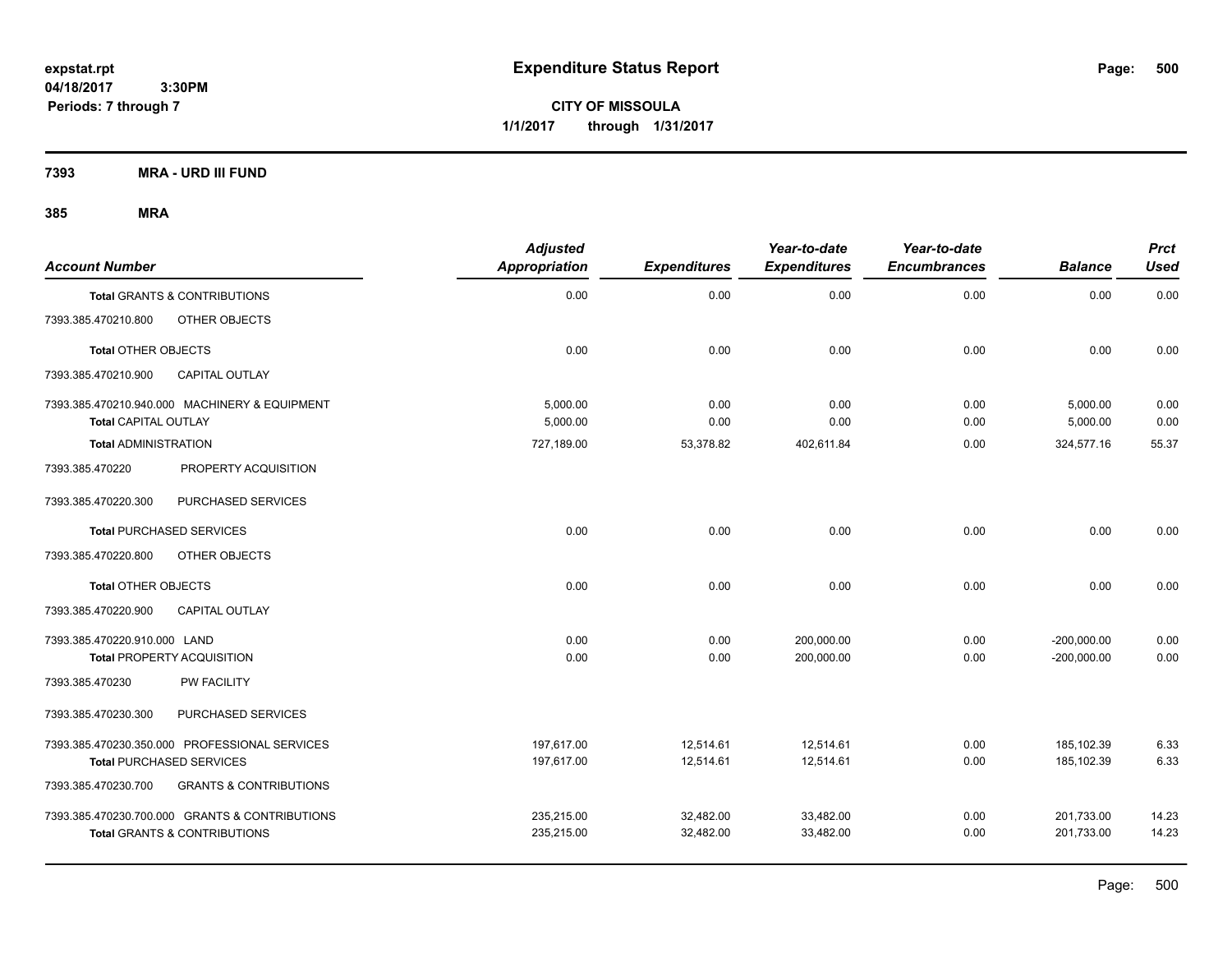**CITY OF MISSOULA 1/1/2017 through 1/31/2017**

**7393 MRA - URD III FUND**

| <b>Account Number</b>        |                                                                                           | <b>Adjusted</b><br><b>Appropriation</b> | <b>Expenditures</b>    | Year-to-date<br><b>Expenditures</b> | Year-to-date<br><b>Encumbrances</b> | <b>Balance</b>                 | <b>Prct</b><br><b>Used</b> |
|------------------------------|-------------------------------------------------------------------------------------------|-----------------------------------------|------------------------|-------------------------------------|-------------------------------------|--------------------------------|----------------------------|
|                              | <b>Total GRANTS &amp; CONTRIBUTIONS</b>                                                   | 0.00                                    | 0.00                   | 0.00                                | 0.00                                | 0.00                           | 0.00                       |
| 7393.385.470210.800          | OTHER OBJECTS                                                                             |                                         |                        |                                     |                                     |                                |                            |
| <b>Total OTHER OBJECTS</b>   |                                                                                           | 0.00                                    | 0.00                   | 0.00                                | 0.00                                | 0.00                           | 0.00                       |
| 7393.385.470210.900          | <b>CAPITAL OUTLAY</b>                                                                     |                                         |                        |                                     |                                     |                                |                            |
| <b>Total CAPITAL OUTLAY</b>  | 7393.385.470210.940.000 MACHINERY & EQUIPMENT                                             | 5.000.00<br>5,000.00                    | 0.00<br>0.00           | 0.00<br>0.00                        | 0.00<br>0.00                        | 5,000.00<br>5,000.00           | 0.00<br>0.00               |
| <b>Total ADMINISTRATION</b>  |                                                                                           | 727,189.00                              | 53,378.82              | 402,611.84                          | 0.00                                | 324,577.16                     | 55.37                      |
| 7393.385.470220              | PROPERTY ACQUISITION                                                                      |                                         |                        |                                     |                                     |                                |                            |
| 7393.385.470220.300          | PURCHASED SERVICES                                                                        |                                         |                        |                                     |                                     |                                |                            |
|                              | <b>Total PURCHASED SERVICES</b>                                                           | 0.00                                    | 0.00                   | 0.00                                | 0.00                                | 0.00                           | 0.00                       |
| 7393.385.470220.800          | OTHER OBJECTS                                                                             |                                         |                        |                                     |                                     |                                |                            |
| <b>Total OTHER OBJECTS</b>   |                                                                                           | 0.00                                    | 0.00                   | 0.00                                | 0.00                                | 0.00                           | 0.00                       |
| 7393.385.470220.900          | <b>CAPITAL OUTLAY</b>                                                                     |                                         |                        |                                     |                                     |                                |                            |
| 7393.385.470220.910.000 LAND | <b>Total PROPERTY ACQUISITION</b>                                                         | 0.00<br>0.00                            | 0.00<br>0.00           | 200,000.00<br>200,000.00            | 0.00<br>0.00                        | $-200,000.00$<br>$-200,000.00$ | 0.00<br>0.00               |
| 7393.385.470230              | PW FACILITY                                                                               |                                         |                        |                                     |                                     |                                |                            |
| 7393.385.470230.300          | PURCHASED SERVICES                                                                        |                                         |                        |                                     |                                     |                                |                            |
|                              | 7393.385.470230.350.000 PROFESSIONAL SERVICES<br><b>Total PURCHASED SERVICES</b>          | 197,617.00<br>197.617.00                | 12,514.61<br>12,514.61 | 12,514.61<br>12,514.61              | 0.00<br>0.00                        | 185,102.39<br>185.102.39       | 6.33<br>6.33               |
| 7393.385.470230.700          | <b>GRANTS &amp; CONTRIBUTIONS</b>                                                         |                                         |                        |                                     |                                     |                                |                            |
|                              | 7393.385.470230.700.000 GRANTS & CONTRIBUTIONS<br><b>Total GRANTS &amp; CONTRIBUTIONS</b> | 235,215.00<br>235,215.00                | 32,482.00<br>32,482.00 | 33,482.00<br>33,482.00              | 0.00<br>0.00                        | 201,733.00<br>201,733.00       | 14.23<br>14.23             |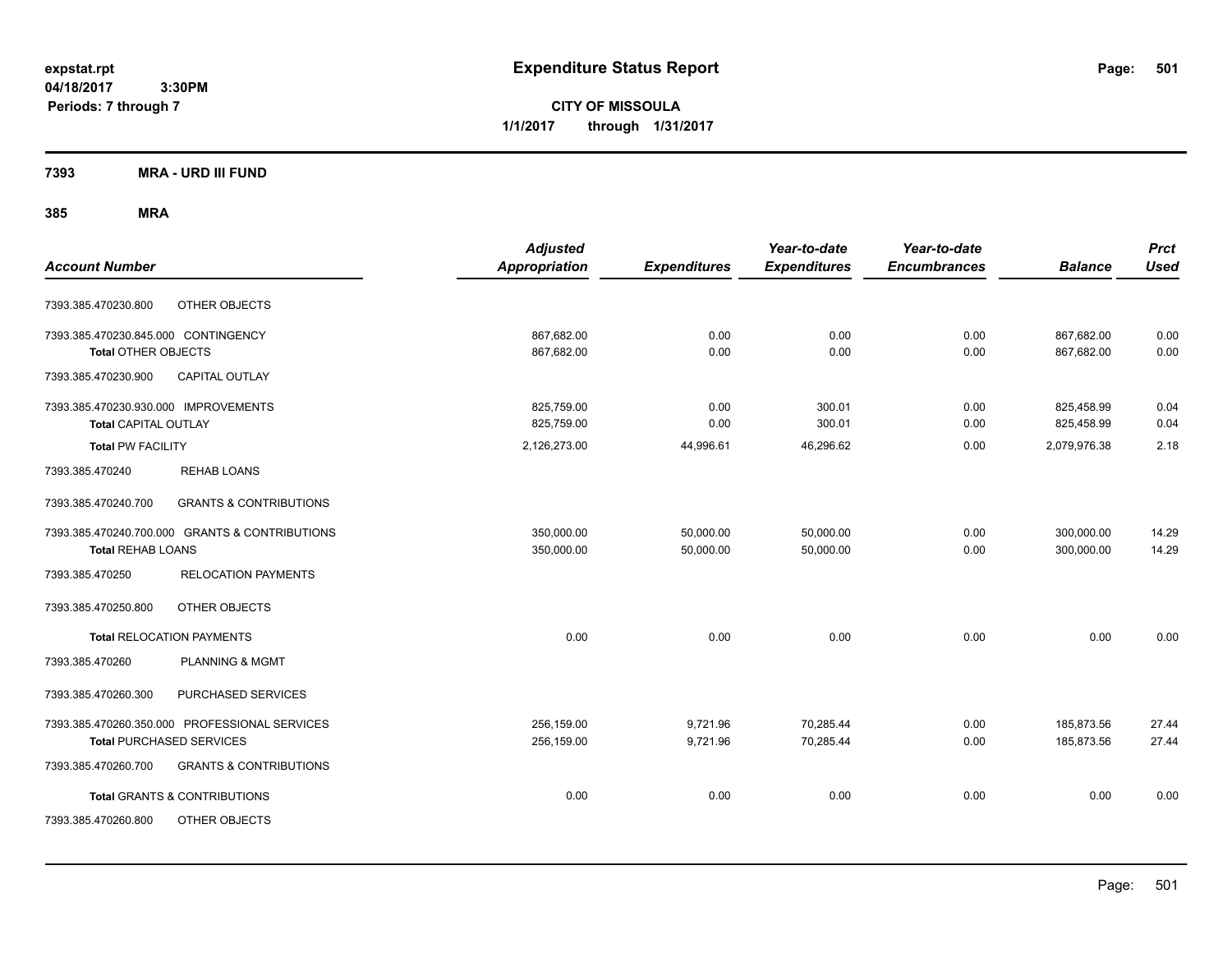**CITY OF MISSOULA 1/1/2017 through 1/31/2017**

# **7393 MRA - URD III FUND**

|                                      |                                                | <b>Adjusted</b>      |                     | Year-to-date        | Year-to-date        |                | <b>Prct</b> |
|--------------------------------------|------------------------------------------------|----------------------|---------------------|---------------------|---------------------|----------------|-------------|
| <b>Account Number</b>                |                                                | <b>Appropriation</b> | <b>Expenditures</b> | <b>Expenditures</b> | <b>Encumbrances</b> | <b>Balance</b> | <b>Used</b> |
| 7393.385.470230.800                  | OTHER OBJECTS                                  |                      |                     |                     |                     |                |             |
| 7393.385.470230.845.000 CONTINGENCY  |                                                | 867,682.00           | 0.00                | 0.00                | 0.00                | 867,682.00     | 0.00        |
| <b>Total OTHER OBJECTS</b>           |                                                | 867,682.00           | 0.00                | 0.00                | 0.00                | 867,682.00     | 0.00        |
| 7393.385.470230.900                  | CAPITAL OUTLAY                                 |                      |                     |                     |                     |                |             |
| 7393.385.470230.930.000 IMPROVEMENTS |                                                | 825,759.00           | 0.00                | 300.01              | 0.00                | 825,458.99     | 0.04        |
| <b>Total CAPITAL OUTLAY</b>          |                                                | 825,759.00           | 0.00                | 300.01              | 0.00                | 825,458.99     | 0.04        |
| <b>Total PW FACILITY</b>             |                                                | 2,126,273.00         | 44,996.61           | 46,296.62           | 0.00                | 2,079,976.38   | 2.18        |
| 7393.385.470240                      | <b>REHAB LOANS</b>                             |                      |                     |                     |                     |                |             |
| 7393.385.470240.700                  | <b>GRANTS &amp; CONTRIBUTIONS</b>              |                      |                     |                     |                     |                |             |
|                                      | 7393.385.470240.700.000 GRANTS & CONTRIBUTIONS | 350,000.00           | 50,000.00           | 50,000.00           | 0.00                | 300,000.00     | 14.29       |
| <b>Total REHAB LOANS</b>             |                                                | 350,000.00           | 50,000.00           | 50,000.00           | 0.00                | 300,000.00     | 14.29       |
| 7393.385.470250                      | <b>RELOCATION PAYMENTS</b>                     |                      |                     |                     |                     |                |             |
| 7393.385.470250.800                  | OTHER OBJECTS                                  |                      |                     |                     |                     |                |             |
|                                      | <b>Total RELOCATION PAYMENTS</b>               | 0.00                 | 0.00                | 0.00                | 0.00                | 0.00           | 0.00        |
| 7393.385.470260                      | <b>PLANNING &amp; MGMT</b>                     |                      |                     |                     |                     |                |             |
| 7393.385.470260.300                  | PURCHASED SERVICES                             |                      |                     |                     |                     |                |             |
|                                      | 7393.385.470260.350.000 PROFESSIONAL SERVICES  | 256,159.00           | 9,721.96            | 70,285.44           | 0.00                | 185,873.56     | 27.44       |
|                                      | <b>Total PURCHASED SERVICES</b>                | 256,159.00           | 9,721.96            | 70,285.44           | 0.00                | 185,873.56     | 27.44       |
| 7393.385.470260.700                  | <b>GRANTS &amp; CONTRIBUTIONS</b>              |                      |                     |                     |                     |                |             |
|                                      | <b>Total GRANTS &amp; CONTRIBUTIONS</b>        | 0.00                 | 0.00                | 0.00                | 0.00                | 0.00           | 0.00        |
| 7393.385.470260.800                  | OTHER OBJECTS                                  |                      |                     |                     |                     |                |             |
|                                      |                                                |                      |                     |                     |                     |                |             |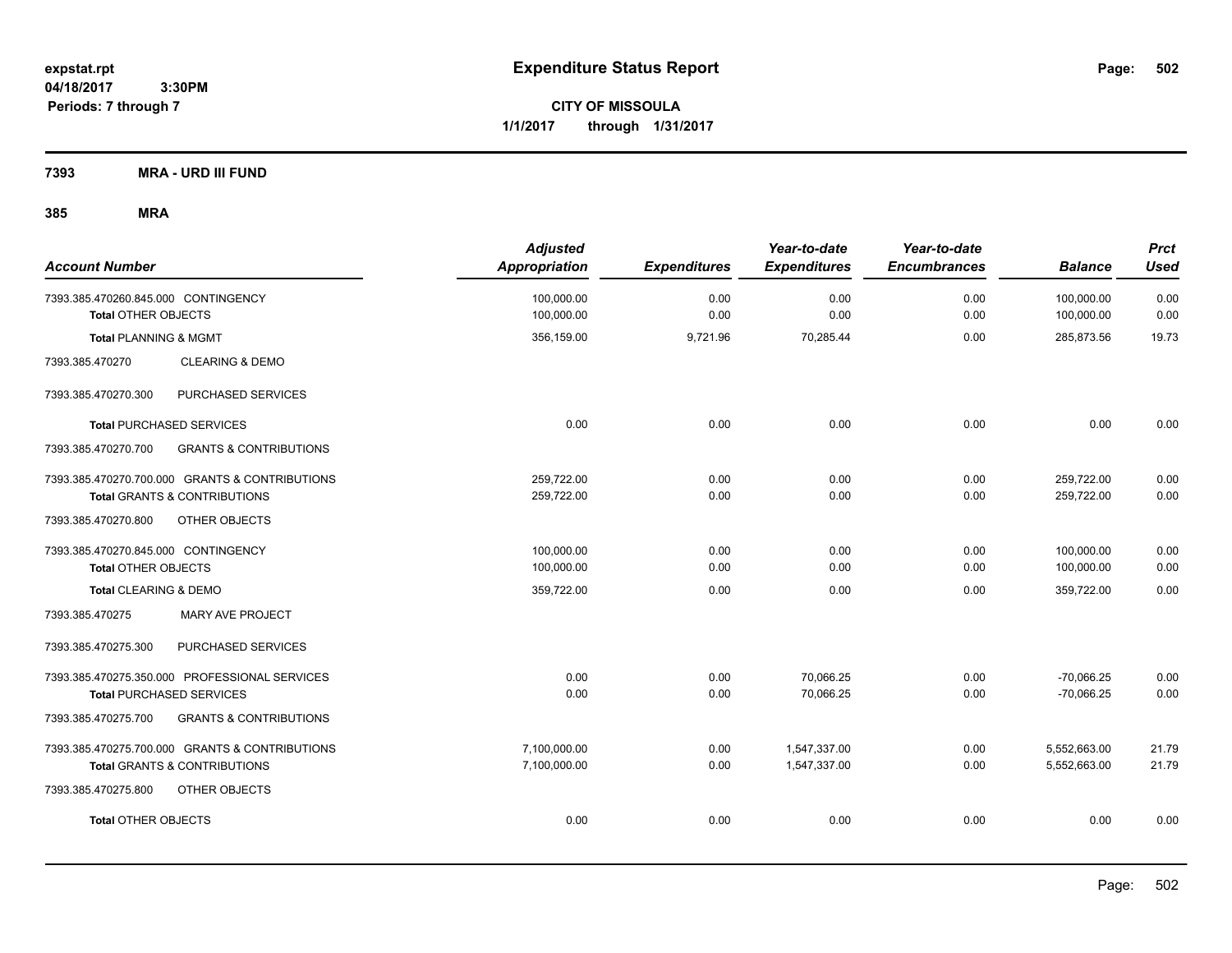**CITY OF MISSOULA 1/1/2017 through 1/31/2017**

**7393 MRA - URD III FUND**

| <b>Account Number</b>                                             | <b>Adjusted</b><br><b>Appropriation</b> | <b>Expenditures</b> | Year-to-date<br><b>Expenditures</b> | Year-to-date<br><b>Encumbrances</b> | <b>Balance</b>           | <b>Prct</b><br><b>Used</b> |
|-------------------------------------------------------------------|-----------------------------------------|---------------------|-------------------------------------|-------------------------------------|--------------------------|----------------------------|
| 7393.385.470260.845.000 CONTINGENCY<br><b>Total OTHER OBJECTS</b> | 100,000.00<br>100,000.00                | 0.00<br>0.00        | 0.00<br>0.00                        | 0.00<br>0.00                        | 100,000.00<br>100,000.00 | 0.00<br>0.00               |
| <b>Total PLANNING &amp; MGMT</b>                                  | 356,159.00                              | 9,721.96            | 70,285.44                           | 0.00                                | 285,873.56               | 19.73                      |
| 7393.385.470270<br><b>CLEARING &amp; DEMO</b>                     |                                         |                     |                                     |                                     |                          |                            |
| PURCHASED SERVICES<br>7393.385.470270.300                         |                                         |                     |                                     |                                     |                          |                            |
| <b>Total PURCHASED SERVICES</b>                                   | 0.00                                    | 0.00                | 0.00                                | 0.00                                | 0.00                     | 0.00                       |
| <b>GRANTS &amp; CONTRIBUTIONS</b><br>7393.385.470270.700          |                                         |                     |                                     |                                     |                          |                            |
| 7393.385.470270.700.000 GRANTS & CONTRIBUTIONS                    | 259,722.00                              | 0.00                | 0.00                                | 0.00                                | 259,722.00               | 0.00                       |
| <b>Total GRANTS &amp; CONTRIBUTIONS</b>                           | 259,722.00                              | 0.00                | 0.00                                | 0.00                                | 259,722.00               | 0.00                       |
| OTHER OBJECTS<br>7393.385.470270.800                              |                                         |                     |                                     |                                     |                          |                            |
| 7393.385.470270.845.000 CONTINGENCY                               | 100,000.00                              | 0.00                | 0.00                                | 0.00                                | 100,000.00               | 0.00                       |
| Total OTHER OBJECTS                                               | 100,000.00                              | 0.00                | 0.00                                | 0.00                                | 100,000.00               | 0.00                       |
| Total CLEARING & DEMO                                             | 359,722.00                              | 0.00                | 0.00                                | 0.00                                | 359,722.00               | 0.00                       |
| 7393.385.470275<br>MARY AVE PROJECT                               |                                         |                     |                                     |                                     |                          |                            |
| PURCHASED SERVICES<br>7393.385.470275.300                         |                                         |                     |                                     |                                     |                          |                            |
| 7393.385.470275.350.000 PROFESSIONAL SERVICES                     | 0.00                                    | 0.00                | 70,066.25                           | 0.00                                | $-70,066.25$             | 0.00                       |
| <b>Total PURCHASED SERVICES</b>                                   | 0.00                                    | 0.00                | 70,066.25                           | 0.00                                | $-70,066.25$             | 0.00                       |
| <b>GRANTS &amp; CONTRIBUTIONS</b><br>7393.385.470275.700          |                                         |                     |                                     |                                     |                          |                            |
| 7393.385.470275.700.000 GRANTS & CONTRIBUTIONS                    | 7,100,000.00                            | 0.00                | 1,547,337.00                        | 0.00                                | 5,552,663.00             | 21.79                      |
| <b>Total GRANTS &amp; CONTRIBUTIONS</b>                           | 7,100,000.00                            | 0.00                | 1,547,337.00                        | 0.00                                | 5,552,663.00             | 21.79                      |
| OTHER OBJECTS<br>7393.385.470275.800                              |                                         |                     |                                     |                                     |                          |                            |
| <b>Total OTHER OBJECTS</b>                                        | 0.00                                    | 0.00                | 0.00                                | 0.00                                | 0.00                     | 0.00                       |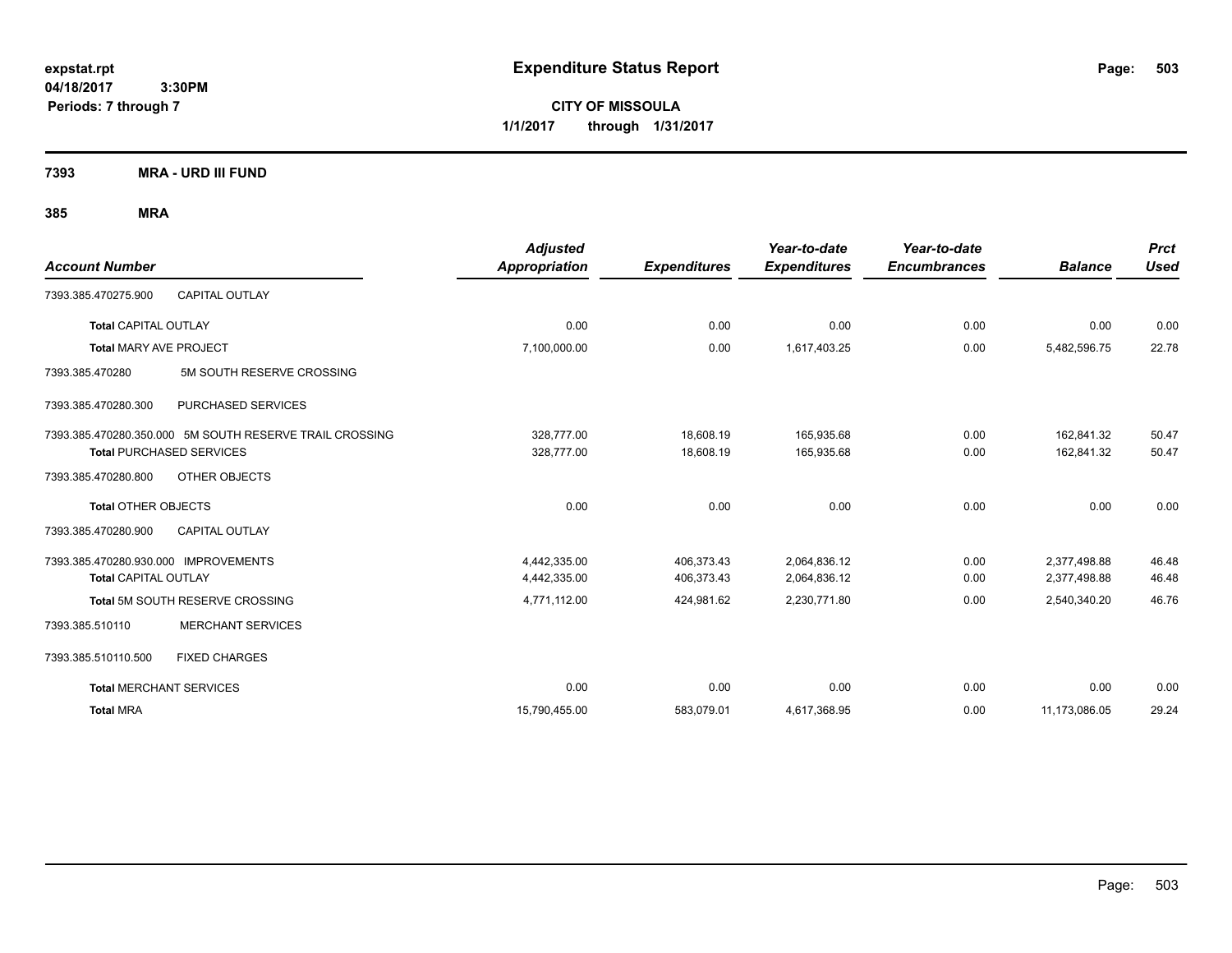**CITY OF MISSOULA 1/1/2017 through 1/31/2017**

**7393 MRA - URD III FUND**

| <b>Account Number</b>                                                                      |                           | <b>Adjusted</b><br><b>Appropriation</b> | <b>Expenditures</b>      | Year-to-date<br><b>Expenditures</b> | Year-to-date<br><b>Encumbrances</b> | <b>Balance</b>               | <b>Prct</b><br><b>Used</b> |
|--------------------------------------------------------------------------------------------|---------------------------|-----------------------------------------|--------------------------|-------------------------------------|-------------------------------------|------------------------------|----------------------------|
| 7393.385.470275.900                                                                        | <b>CAPITAL OUTLAY</b>     |                                         |                          |                                     |                                     |                              |                            |
| <b>Total CAPITAL OUTLAY</b>                                                                |                           | 0.00                                    | 0.00                     | 0.00                                | 0.00                                | 0.00                         | 0.00                       |
| <b>Total MARY AVE PROJECT</b>                                                              |                           | 7,100,000.00                            | 0.00                     | 1,617,403.25                        | 0.00                                | 5,482,596.75                 | 22.78                      |
| 7393.385.470280                                                                            | 5M SOUTH RESERVE CROSSING |                                         |                          |                                     |                                     |                              |                            |
| 7393.385.470280.300                                                                        | PURCHASED SERVICES        |                                         |                          |                                     |                                     |                              |                            |
| 7393.385.470280.350.000 5M SOUTH RESERVE TRAIL CROSSING<br><b>Total PURCHASED SERVICES</b> |                           | 328,777.00<br>328,777.00                | 18.608.19<br>18,608.19   | 165.935.68<br>165,935.68            | 0.00<br>0.00                        | 162.841.32<br>162,841.32     | 50.47<br>50.47             |
| 7393.385.470280.800                                                                        | OTHER OBJECTS             |                                         |                          |                                     |                                     |                              |                            |
| <b>Total OTHER OBJECTS</b>                                                                 |                           | 0.00                                    | 0.00                     | 0.00                                | 0.00                                | 0.00                         | 0.00                       |
| 7393.385.470280.900                                                                        | <b>CAPITAL OUTLAY</b>     |                                         |                          |                                     |                                     |                              |                            |
| 7393.385.470280.930.000 IMPROVEMENTS<br><b>Total CAPITAL OUTLAY</b>                        |                           | 4,442,335.00<br>4,442,335.00            | 406,373.43<br>406,373.43 | 2,064,836.12<br>2,064,836.12        | 0.00<br>0.00                        | 2,377,498.88<br>2,377,498.88 | 46.48<br>46.48             |
| Total 5M SOUTH RESERVE CROSSING                                                            |                           | 4,771,112.00                            | 424,981.62               | 2,230,771.80                        | 0.00                                | 2,540,340.20                 | 46.76                      |
| 7393.385.510110                                                                            | <b>MERCHANT SERVICES</b>  |                                         |                          |                                     |                                     |                              |                            |
| 7393.385.510110.500                                                                        | <b>FIXED CHARGES</b>      |                                         |                          |                                     |                                     |                              |                            |
| <b>Total MERCHANT SERVICES</b>                                                             |                           | 0.00                                    | 0.00                     | 0.00                                | 0.00                                | 0.00                         | 0.00                       |
| <b>Total MRA</b>                                                                           |                           | 15,790,455.00                           | 583,079.01               | 4,617,368.95                        | 0.00                                | 11,173,086.05                | 29.24                      |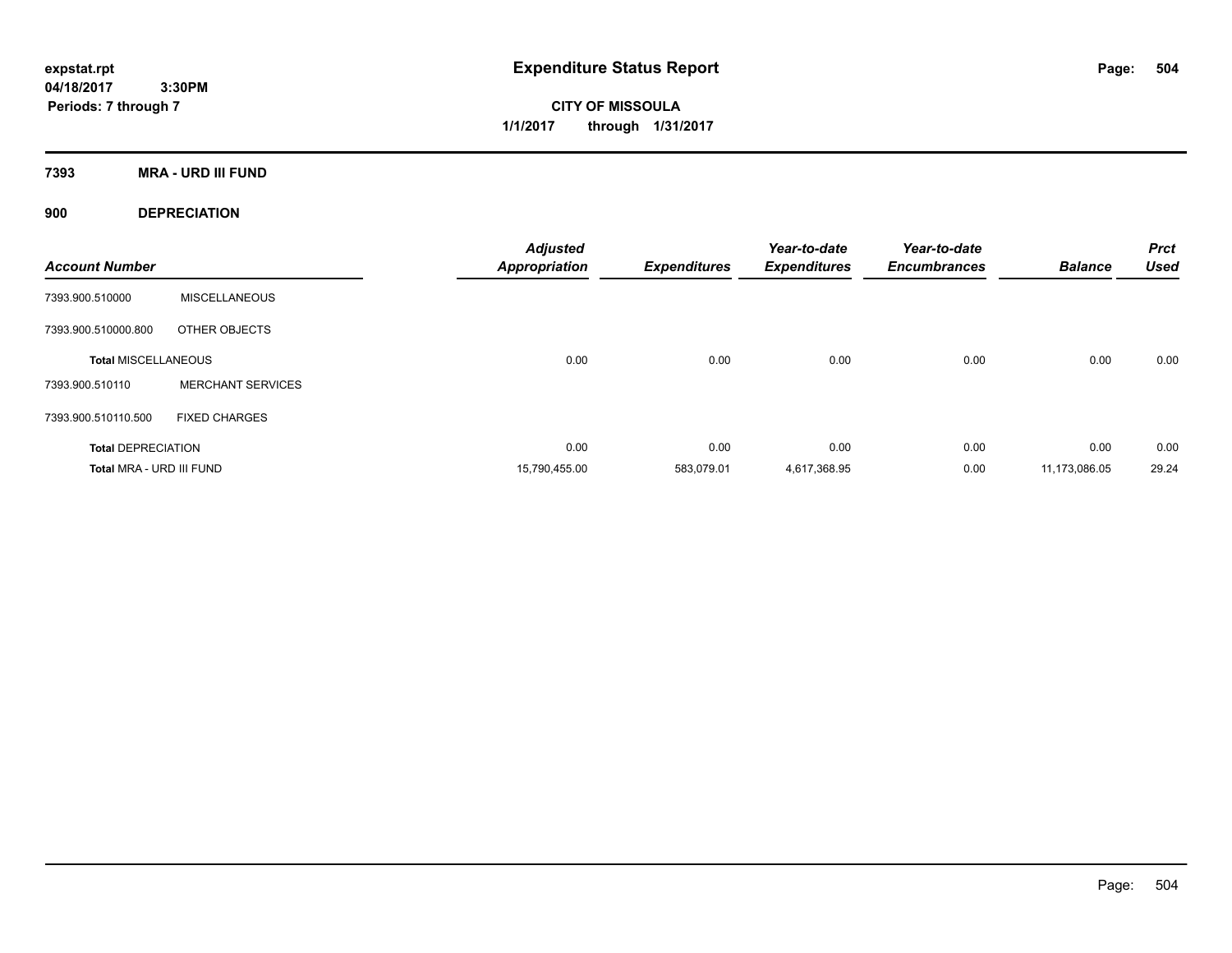**CITY OF MISSOULA 1/1/2017 through 1/31/2017**

**7393 MRA - URD III FUND**

**900 DEPRECIATION**

| <b>Account Number</b>      |                          | <b>Adjusted</b><br><b>Appropriation</b> | <b>Expenditures</b> | Year-to-date<br><b>Expenditures</b> | Year-to-date<br><b>Encumbrances</b> | <b>Balance</b> | <b>Prct</b><br><b>Used</b> |
|----------------------------|--------------------------|-----------------------------------------|---------------------|-------------------------------------|-------------------------------------|----------------|----------------------------|
| 7393.900.510000            | <b>MISCELLANEOUS</b>     |                                         |                     |                                     |                                     |                |                            |
| 7393.900.510000.800        | OTHER OBJECTS            |                                         |                     |                                     |                                     |                |                            |
| <b>Total MISCELLANEOUS</b> |                          | 0.00                                    | 0.00                | 0.00                                | 0.00                                | 0.00           | 0.00                       |
| 7393.900.510110            | <b>MERCHANT SERVICES</b> |                                         |                     |                                     |                                     |                |                            |
| 7393.900.510110.500        | <b>FIXED CHARGES</b>     |                                         |                     |                                     |                                     |                |                            |
| <b>Total DEPRECIATION</b>  |                          | 0.00                                    | 0.00                | 0.00                                | 0.00                                | 0.00           | 0.00                       |
| Total MRA - URD III FUND   |                          | 15,790,455.00                           | 583,079.01          | 4,617,368.95                        | 0.00                                | 11,173,086.05  | 29.24                      |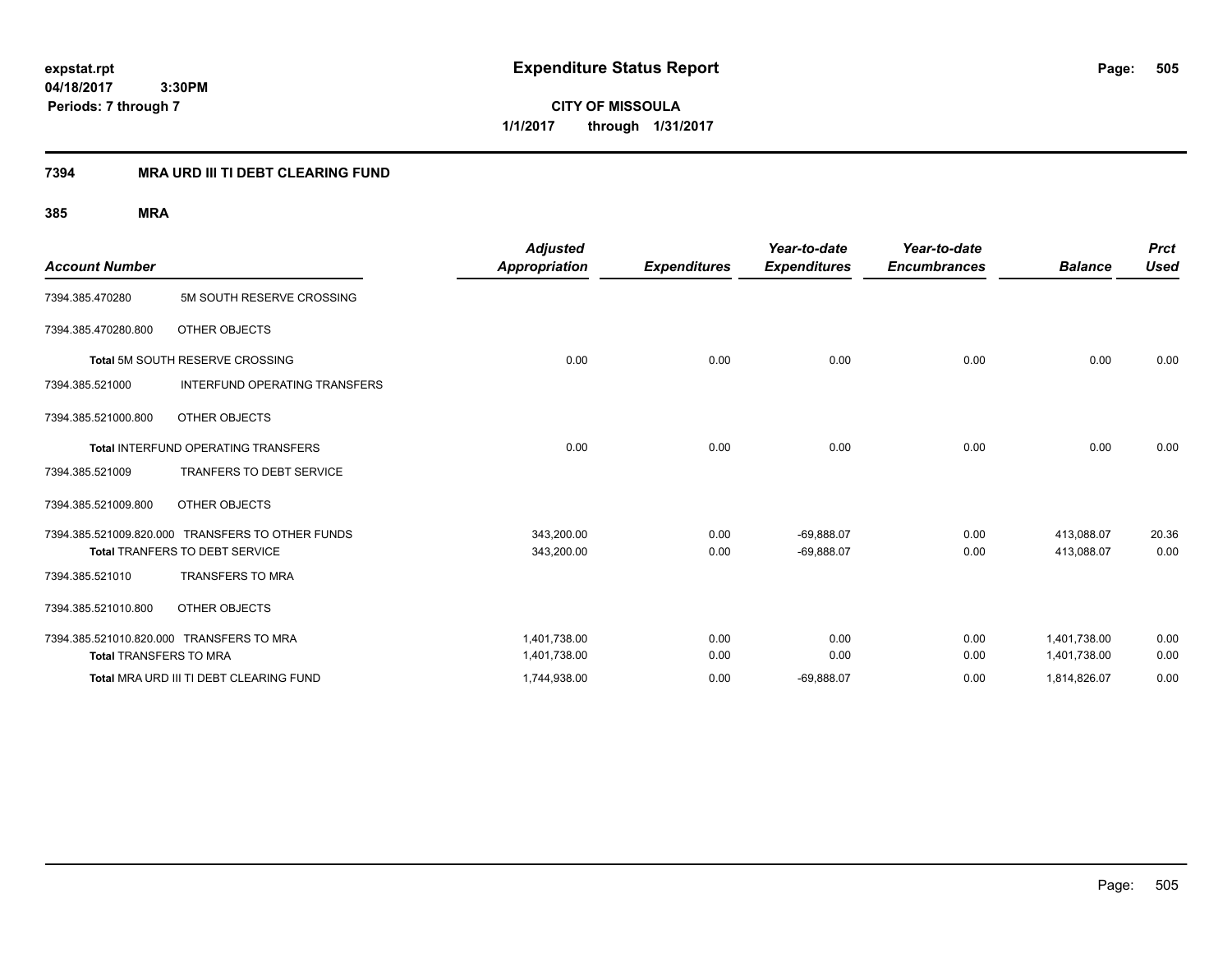**CITY OF MISSOULA 1/1/2017 through 1/31/2017**

### **7394 MRA URD III TI DEBT CLEARING FUND**

|                                          |                                                  | <b>Adjusted</b>      |                     | Year-to-date        | Year-to-date        |                | <b>Prct</b> |
|------------------------------------------|--------------------------------------------------|----------------------|---------------------|---------------------|---------------------|----------------|-------------|
| <b>Account Number</b>                    |                                                  | <b>Appropriation</b> | <b>Expenditures</b> | <b>Expenditures</b> | <b>Encumbrances</b> | <b>Balance</b> | <b>Used</b> |
| 7394.385.470280                          | 5M SOUTH RESERVE CROSSING                        |                      |                     |                     |                     |                |             |
| 7394.385.470280.800                      | OTHER OBJECTS                                    |                      |                     |                     |                     |                |             |
|                                          | Total 5M SOUTH RESERVE CROSSING                  | 0.00                 | 0.00                | 0.00                | 0.00                | 0.00           | 0.00        |
| 7394.385.521000                          | <b>INTERFUND OPERATING TRANSFERS</b>             |                      |                     |                     |                     |                |             |
| 7394.385.521000.800                      | OTHER OBJECTS                                    |                      |                     |                     |                     |                |             |
|                                          | <b>Total INTERFUND OPERATING TRANSFERS</b>       | 0.00                 | 0.00                | 0.00                | 0.00                | 0.00           | 0.00        |
| 7394.385.521009                          | <b>TRANFERS TO DEBT SERVICE</b>                  |                      |                     |                     |                     |                |             |
| 7394.385.521009.800                      | OTHER OBJECTS                                    |                      |                     |                     |                     |                |             |
|                                          | 7394.385.521009.820.000 TRANSFERS TO OTHER FUNDS | 343,200.00           | 0.00                | $-69,888.07$        | 0.00                | 413,088.07     | 20.36       |
|                                          | Total TRANFERS TO DEBT SERVICE                   | 343,200.00           | 0.00                | $-69,888.07$        | 0.00                | 413,088.07     | 0.00        |
| 7394.385.521010                          | <b>TRANSFERS TO MRA</b>                          |                      |                     |                     |                     |                |             |
| 7394.385.521010.800                      | OTHER OBJECTS                                    |                      |                     |                     |                     |                |             |
| 7394.385.521010.820.000 TRANSFERS TO MRA |                                                  | 1,401,738.00         | 0.00                | 0.00                | 0.00                | 1,401,738.00   | 0.00        |
| <b>Total TRANSFERS TO MRA</b>            |                                                  | 1,401,738.00         | 0.00                | 0.00                | 0.00                | 1,401,738.00   | 0.00        |
|                                          | Total MRA URD III TI DEBT CLEARING FUND          | 1,744,938.00         | 0.00                | $-69,888.07$        | 0.00                | 1,814,826.07   | 0.00        |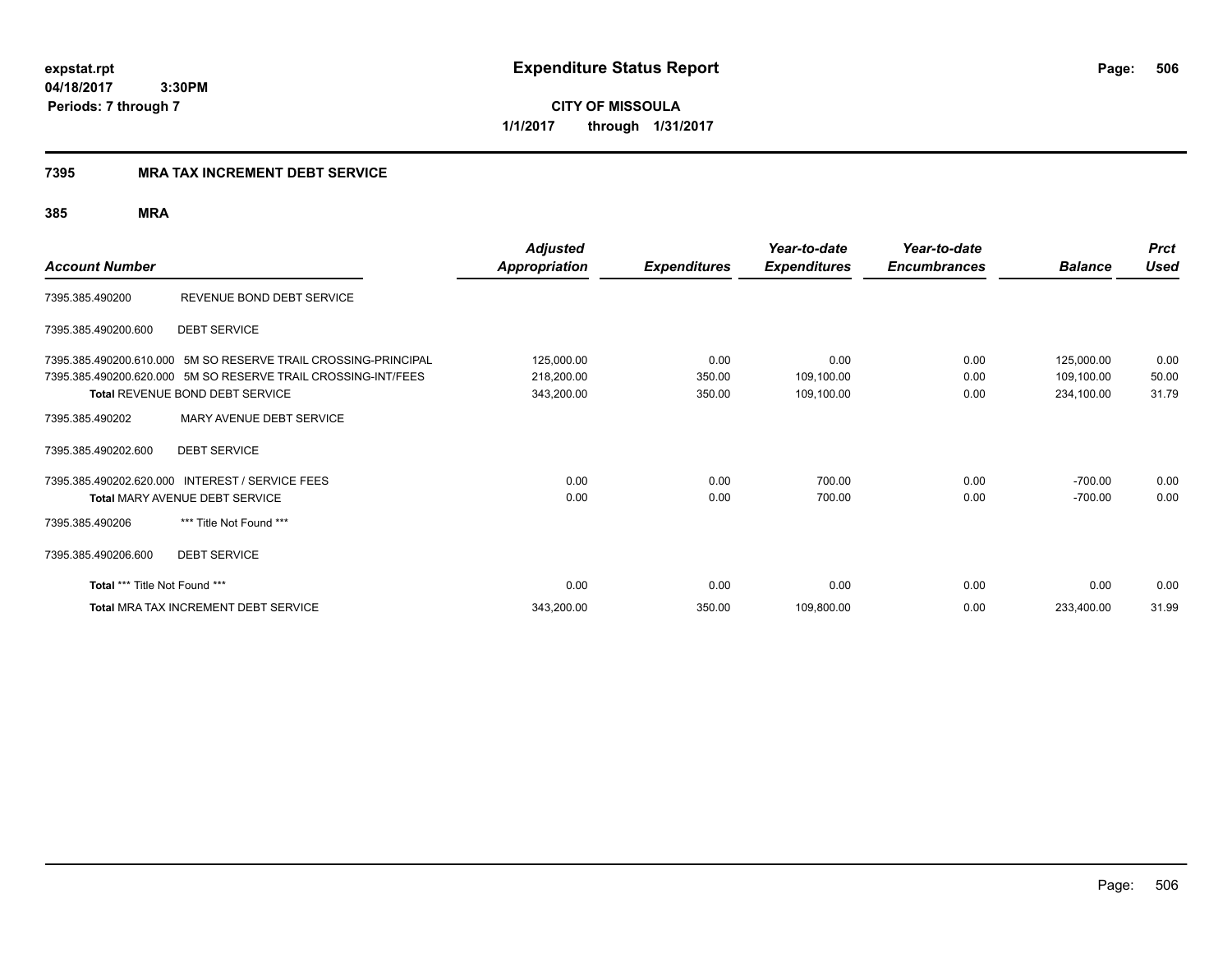**CITY OF MISSOULA 1/1/2017 through 1/31/2017**

### **7395 MRA TAX INCREMENT DEBT SERVICE**

|                               |                                                                                                                                 | <b>Adjusted</b>          |                     | Year-to-date        | Year-to-date        |                          | <b>Prct</b>   |
|-------------------------------|---------------------------------------------------------------------------------------------------------------------------------|--------------------------|---------------------|---------------------|---------------------|--------------------------|---------------|
| <b>Account Number</b>         |                                                                                                                                 | <b>Appropriation</b>     | <b>Expenditures</b> | <b>Expenditures</b> | <b>Encumbrances</b> | <b>Balance</b>           | <b>Used</b>   |
| 7395.385.490200               | REVENUE BOND DEBT SERVICE                                                                                                       |                          |                     |                     |                     |                          |               |
| 7395.385.490200.600           | <b>DEBT SERVICE</b>                                                                                                             |                          |                     |                     |                     |                          |               |
|                               | 7395.385.490200.610.000 5M SO RESERVE TRAIL CROSSING-PRINCIPAL<br>7395.385.490200.620.000 5M SO RESERVE TRAIL CROSSING-INT/FEES | 125,000.00<br>218,200.00 | 0.00<br>350.00      | 0.00<br>109,100.00  | 0.00<br>0.00        | 125,000.00<br>109,100.00 | 0.00<br>50.00 |
|                               | <b>Total REVENUE BOND DEBT SERVICE</b>                                                                                          | 343,200.00               | 350.00              | 109,100.00          | 0.00                | 234,100.00               | 31.79         |
| 7395.385.490202               | MARY AVENUE DEBT SERVICE                                                                                                        |                          |                     |                     |                     |                          |               |
| 7395.385.490202.600           | <b>DEBT SERVICE</b>                                                                                                             |                          |                     |                     |                     |                          |               |
| 7395.385.490202.620.000       | <b>INTEREST / SERVICE FEES</b>                                                                                                  | 0.00                     | 0.00                | 700.00              | 0.00                | $-700.00$                | 0.00          |
|                               | Total MARY AVENUE DEBT SERVICE                                                                                                  | 0.00                     | 0.00                | 700.00              | 0.00                | $-700.00$                | 0.00          |
| 7395.385.490206               | *** Title Not Found ***                                                                                                         |                          |                     |                     |                     |                          |               |
| 7395.385.490206.600           | <b>DEBT SERVICE</b>                                                                                                             |                          |                     |                     |                     |                          |               |
| Total *** Title Not Found *** |                                                                                                                                 | 0.00                     | 0.00                | 0.00                | 0.00                | 0.00                     | 0.00          |
|                               | Total MRA TAX INCREMENT DEBT SERVICE                                                                                            | 343,200.00               | 350.00              | 109,800.00          | 0.00                | 233,400.00               | 31.99         |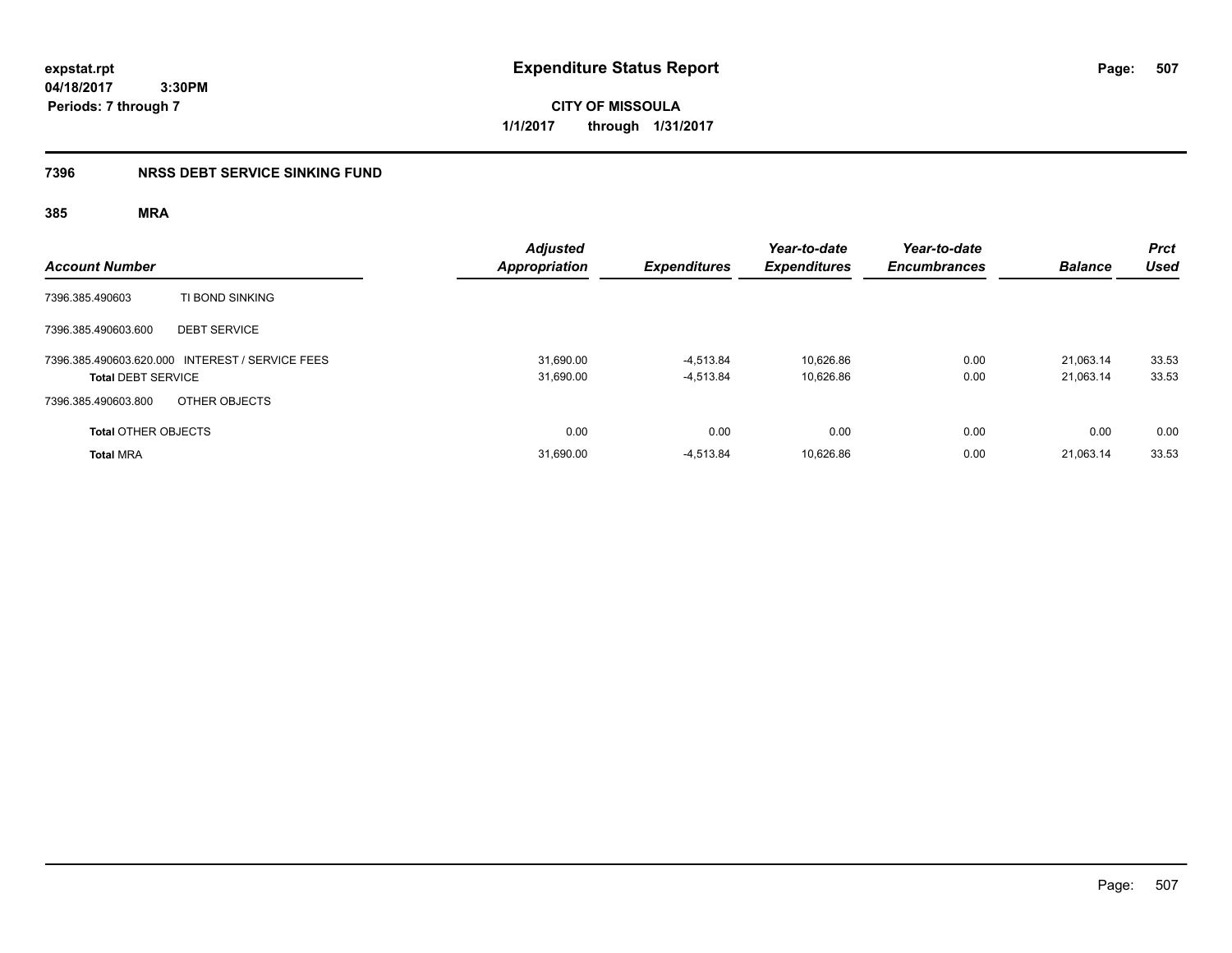**CITY OF MISSOULA 1/1/2017 through 1/31/2017**

### **7396 NRSS DEBT SERVICE SINKING FUND**

| <b>Account Number</b>                                                        | <b>Adjusted</b><br><b>Appropriation</b> | <b>Expenditures</b>        | Year-to-date<br><b>Expenditures</b> | Year-to-date<br><b>Encumbrances</b> | <b>Balance</b>         | <b>Prct</b><br><b>Used</b> |
|------------------------------------------------------------------------------|-----------------------------------------|----------------------------|-------------------------------------|-------------------------------------|------------------------|----------------------------|
| TI BOND SINKING<br>7396.385.490603                                           |                                         |                            |                                     |                                     |                        |                            |
| <b>DEBT SERVICE</b><br>7396.385.490603.600                                   |                                         |                            |                                     |                                     |                        |                            |
| 7396.385.490603.620.000 INTEREST / SERVICE FEES<br><b>Total DEBT SERVICE</b> | 31,690.00<br>31,690.00                  | $-4.513.84$<br>$-4,513.84$ | 10.626.86<br>10,626.86              | 0.00<br>0.00                        | 21.063.14<br>21,063.14 | 33.53<br>33.53             |
| 7396.385.490603.800<br>OTHER OBJECTS                                         |                                         |                            |                                     |                                     |                        |                            |
| <b>Total OTHER OBJECTS</b>                                                   | 0.00                                    | 0.00                       | 0.00                                | 0.00                                | 0.00                   | 0.00                       |
| <b>Total MRA</b>                                                             | 31,690.00                               | $-4.513.84$                | 10,626.86                           | 0.00                                | 21.063.14              | 33.53                      |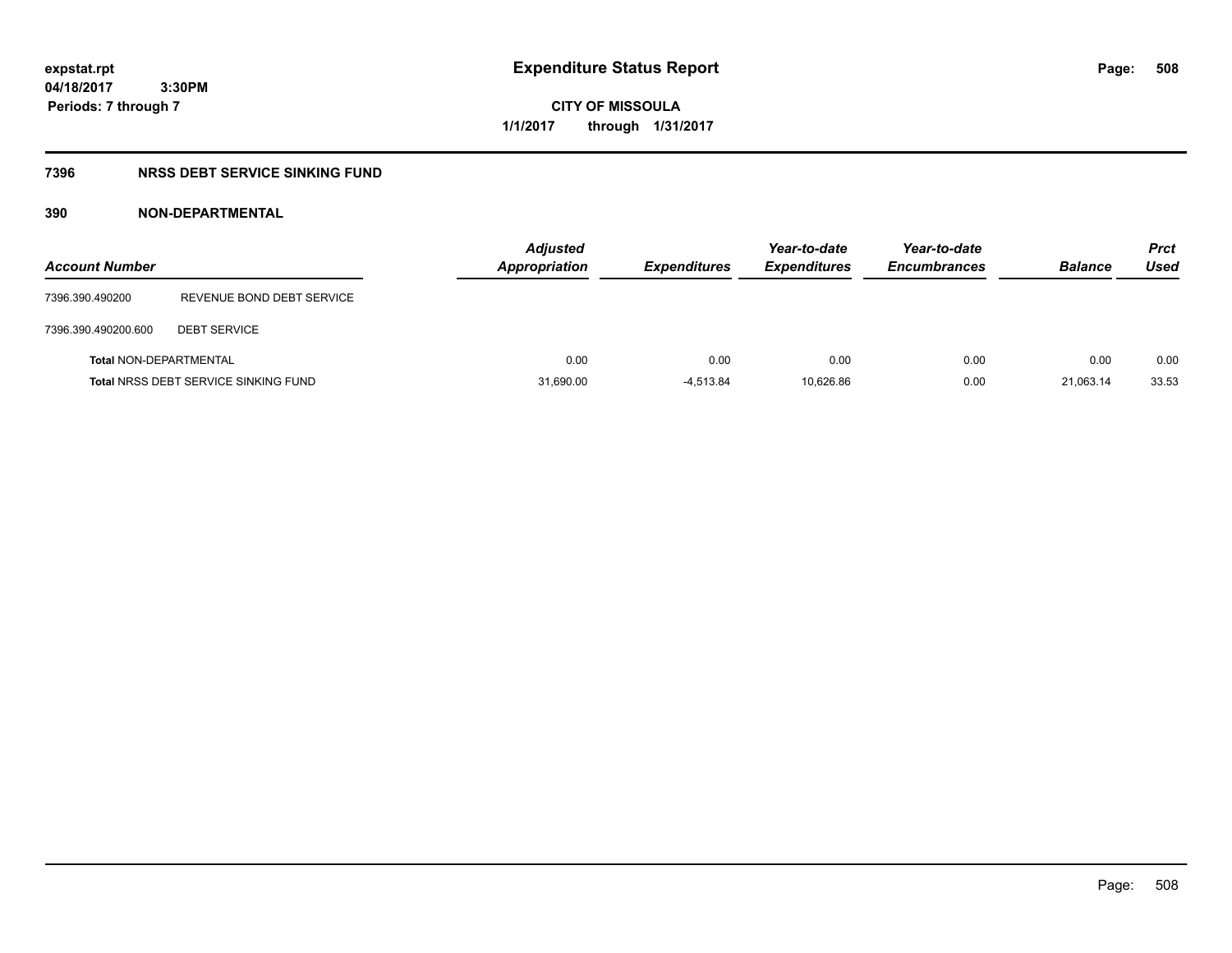# **CITY OF MISSOULA 1/1/2017 through 1/31/2017**

### **7396 NRSS DEBT SERVICE SINKING FUND**

### **390 NON-DEPARTMENTAL**

| <b>Account Number</b>         |                                             | <b>Adjusted</b><br><b>Appropriation</b> | <b>Expenditures</b> | Year-to-date<br><b>Expenditures</b> | Year-to-date<br><b>Encumbrances</b> | <b>Balance</b> | <b>Prct</b><br>Used |
|-------------------------------|---------------------------------------------|-----------------------------------------|---------------------|-------------------------------------|-------------------------------------|----------------|---------------------|
| 7396.390.490200               | REVENUE BOND DEBT SERVICE                   |                                         |                     |                                     |                                     |                |                     |
| 7396.390.490200.600           | <b>DEBT SERVICE</b>                         |                                         |                     |                                     |                                     |                |                     |
| <b>Total NON-DEPARTMENTAL</b> |                                             | 0.00                                    | 0.00                | 0.00                                | 0.00                                | 0.00           | 0.00                |
|                               | <b>Total NRSS DEBT SERVICE SINKING FUND</b> | 31,690.00                               | $-4.513.84$         | 10.626.86                           | 0.00                                | 21.063.14      | 33.53               |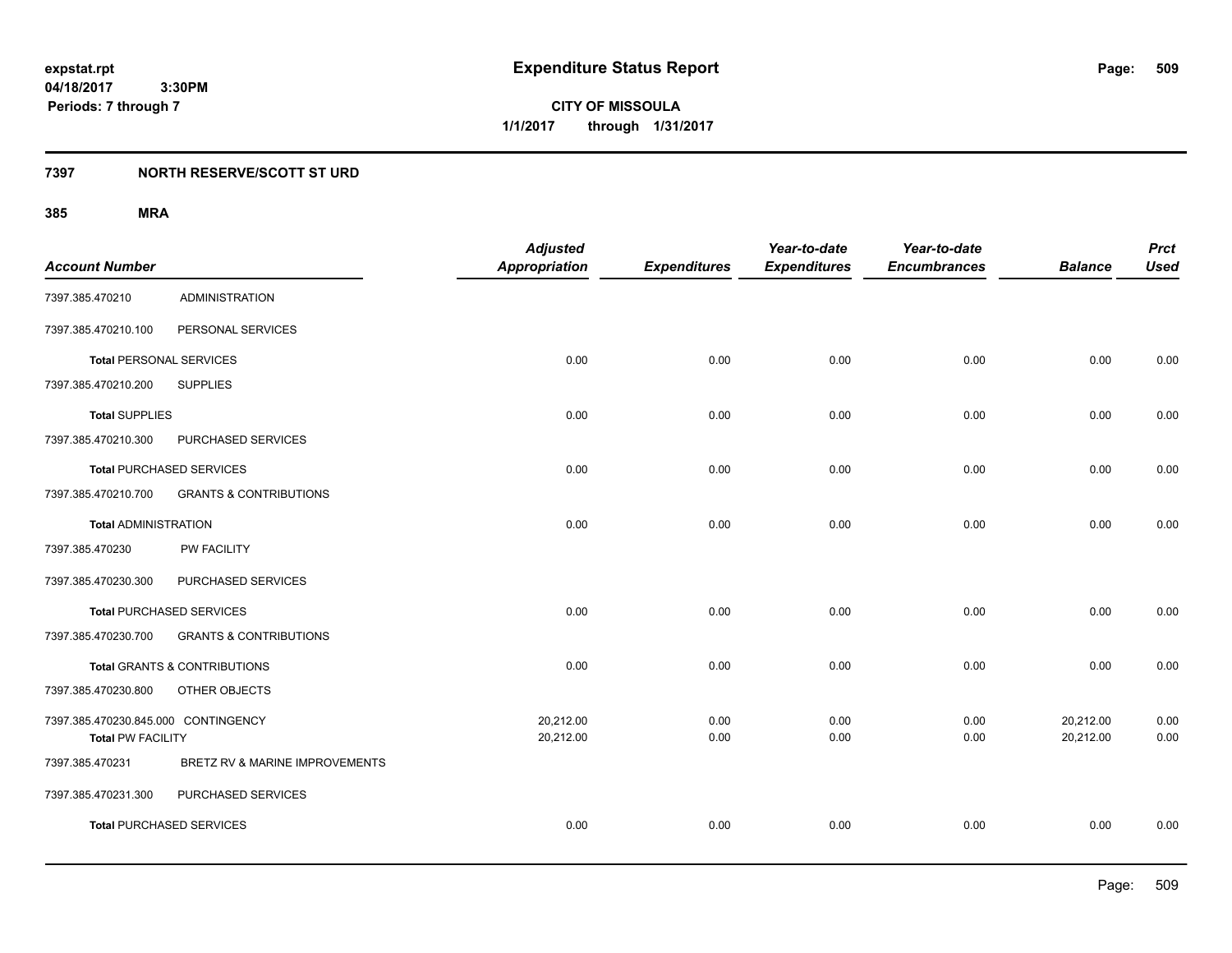**CITY OF MISSOULA 1/1/2017 through 1/31/2017**

### **7397 NORTH RESERVE/SCOTT ST URD**

|                                     |                                         | <b>Adjusted</b>      |                     | Year-to-date        | Year-to-date        |                | <b>Prct</b> |
|-------------------------------------|-----------------------------------------|----------------------|---------------------|---------------------|---------------------|----------------|-------------|
| <b>Account Number</b>               |                                         | <b>Appropriation</b> | <b>Expenditures</b> | <b>Expenditures</b> | <b>Encumbrances</b> | <b>Balance</b> | <b>Used</b> |
| 7397.385.470210                     | <b>ADMINISTRATION</b>                   |                      |                     |                     |                     |                |             |
| 7397.385.470210.100                 | PERSONAL SERVICES                       |                      |                     |                     |                     |                |             |
| <b>Total PERSONAL SERVICES</b>      |                                         | 0.00                 | 0.00                | 0.00                | 0.00                | 0.00           | 0.00        |
| 7397.385.470210.200                 | <b>SUPPLIES</b>                         |                      |                     |                     |                     |                |             |
| <b>Total SUPPLIES</b>               |                                         | 0.00                 | 0.00                | 0.00                | 0.00                | 0.00           | 0.00        |
| 7397.385.470210.300                 | PURCHASED SERVICES                      |                      |                     |                     |                     |                |             |
| <b>Total PURCHASED SERVICES</b>     |                                         | 0.00                 | 0.00                | 0.00                | 0.00                | 0.00           | 0.00        |
| 7397.385.470210.700                 | <b>GRANTS &amp; CONTRIBUTIONS</b>       |                      |                     |                     |                     |                |             |
| <b>Total ADMINISTRATION</b>         |                                         | 0.00                 | 0.00                | 0.00                | 0.00                | 0.00           | 0.00        |
| 7397.385.470230                     | PW FACILITY                             |                      |                     |                     |                     |                |             |
| 7397.385.470230.300                 | PURCHASED SERVICES                      |                      |                     |                     |                     |                |             |
| <b>Total PURCHASED SERVICES</b>     |                                         | 0.00                 | 0.00                | 0.00                | 0.00                | 0.00           | 0.00        |
| 7397.385.470230.700                 | <b>GRANTS &amp; CONTRIBUTIONS</b>       |                      |                     |                     |                     |                |             |
|                                     | <b>Total GRANTS &amp; CONTRIBUTIONS</b> | 0.00                 | 0.00                | 0.00                | 0.00                | 0.00           | 0.00        |
| 7397.385.470230.800                 | OTHER OBJECTS                           |                      |                     |                     |                     |                |             |
| 7397.385.470230.845.000 CONTINGENCY |                                         | 20,212.00            | 0.00                | 0.00                | 0.00                | 20,212.00      | 0.00        |
| <b>Total PW FACILITY</b>            |                                         | 20,212.00            | 0.00                | 0.00                | 0.00                | 20,212.00      | 0.00        |
| 7397.385.470231                     | BRETZ RV & MARINE IMPROVEMENTS          |                      |                     |                     |                     |                |             |
| 7397.385.470231.300                 | PURCHASED SERVICES                      |                      |                     |                     |                     |                |             |
| <b>Total PURCHASED SERVICES</b>     |                                         | 0.00                 | 0.00                | 0.00                | 0.00                | 0.00           | 0.00        |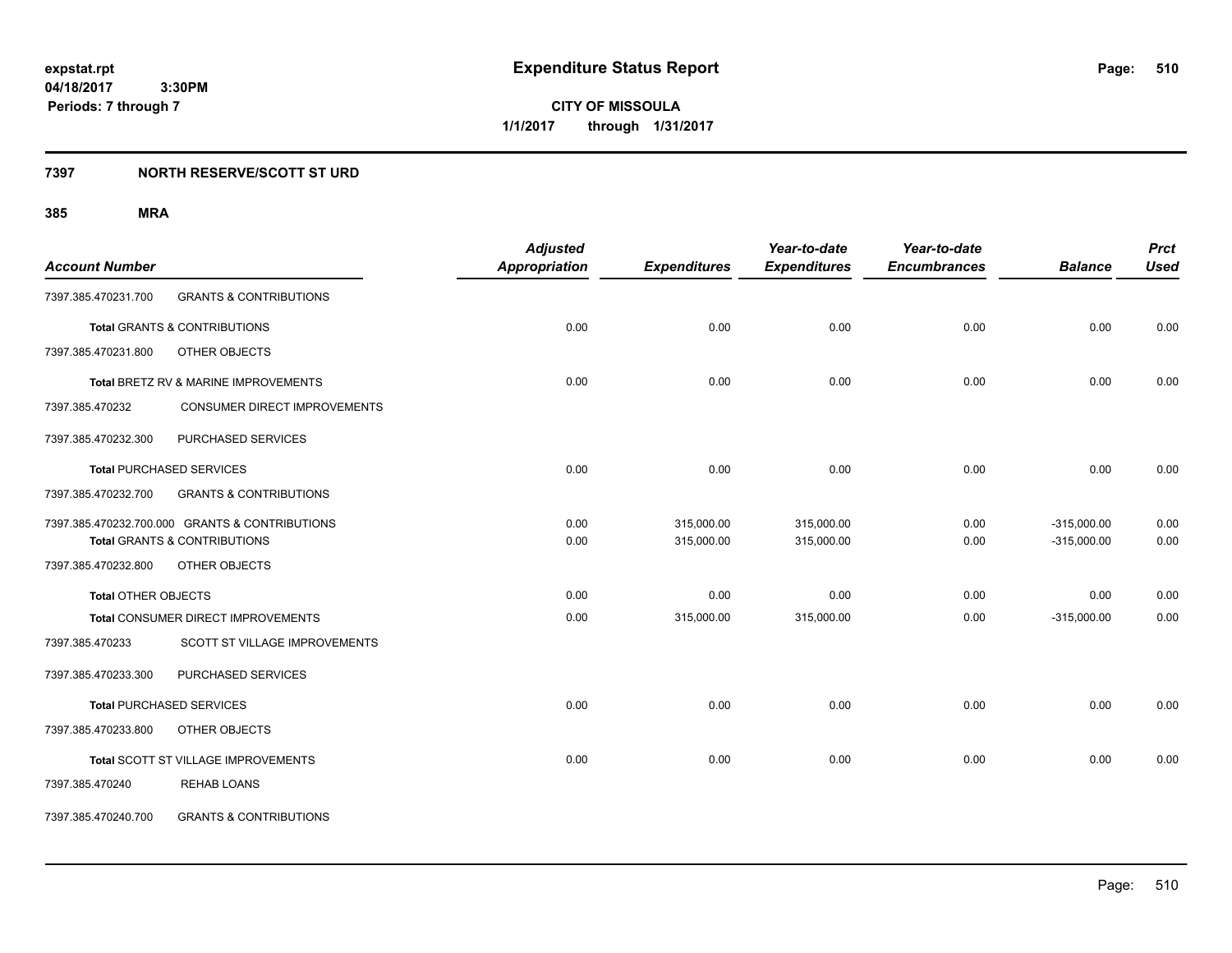**CITY OF MISSOULA 1/1/2017 through 1/31/2017**

### **7397 NORTH RESERVE/SCOTT ST URD**

| <b>Account Number</b>      |                                                | <b>Adjusted</b><br><b>Appropriation</b> | <b>Expenditures</b> | Year-to-date<br><b>Expenditures</b> | Year-to-date<br><b>Encumbrances</b> | <b>Balance</b> | <b>Prct</b><br><b>Used</b> |
|----------------------------|------------------------------------------------|-----------------------------------------|---------------------|-------------------------------------|-------------------------------------|----------------|----------------------------|
|                            |                                                |                                         |                     |                                     |                                     |                |                            |
| 7397.385.470231.700        | <b>GRANTS &amp; CONTRIBUTIONS</b>              |                                         |                     |                                     |                                     |                |                            |
|                            | <b>Total GRANTS &amp; CONTRIBUTIONS</b>        | 0.00                                    | 0.00                | 0.00                                | 0.00                                | 0.00           | 0.00                       |
| 7397.385.470231.800        | OTHER OBJECTS                                  |                                         |                     |                                     |                                     |                |                            |
|                            | Total BRETZ RV & MARINE IMPROVEMENTS           | 0.00                                    | 0.00                | 0.00                                | 0.00                                | 0.00           | 0.00                       |
| 7397.385.470232            | CONSUMER DIRECT IMPROVEMENTS                   |                                         |                     |                                     |                                     |                |                            |
| 7397.385.470232.300        | PURCHASED SERVICES                             |                                         |                     |                                     |                                     |                |                            |
|                            | <b>Total PURCHASED SERVICES</b>                | 0.00                                    | 0.00                | 0.00                                | 0.00                                | 0.00           | 0.00                       |
| 7397.385.470232.700        | <b>GRANTS &amp; CONTRIBUTIONS</b>              |                                         |                     |                                     |                                     |                |                            |
|                            | 7397.385.470232.700.000 GRANTS & CONTRIBUTIONS | 0.00                                    | 315,000.00          | 315,000.00                          | 0.00                                | $-315,000.00$  | 0.00                       |
|                            | <b>Total GRANTS &amp; CONTRIBUTIONS</b>        | 0.00                                    | 315,000.00          | 315,000.00                          | 0.00                                | $-315,000.00$  | 0.00                       |
| 7397.385.470232.800        | OTHER OBJECTS                                  |                                         |                     |                                     |                                     |                |                            |
| <b>Total OTHER OBJECTS</b> |                                                | 0.00                                    | 0.00                | 0.00                                | 0.00                                | 0.00           | 0.00                       |
|                            | Total CONSUMER DIRECT IMPROVEMENTS             | 0.00                                    | 315,000.00          | 315,000.00                          | 0.00                                | $-315,000.00$  | 0.00                       |
| 7397.385.470233            | SCOTT ST VILLAGE IMPROVEMENTS                  |                                         |                     |                                     |                                     |                |                            |
| 7397.385.470233.300        | PURCHASED SERVICES                             |                                         |                     |                                     |                                     |                |                            |
|                            | <b>Total PURCHASED SERVICES</b>                | 0.00                                    | 0.00                | 0.00                                | 0.00                                | 0.00           | 0.00                       |
| 7397.385.470233.800        | OTHER OBJECTS                                  |                                         |                     |                                     |                                     |                |                            |
|                            | Total SCOTT ST VILLAGE IMPROVEMENTS            | 0.00                                    | 0.00                | 0.00                                | 0.00                                | 0.00           | 0.00                       |
| 7397.385.470240            | <b>REHAB LOANS</b>                             |                                         |                     |                                     |                                     |                |                            |
| 7397.385.470240.700        | <b>GRANTS &amp; CONTRIBUTIONS</b>              |                                         |                     |                                     |                                     |                |                            |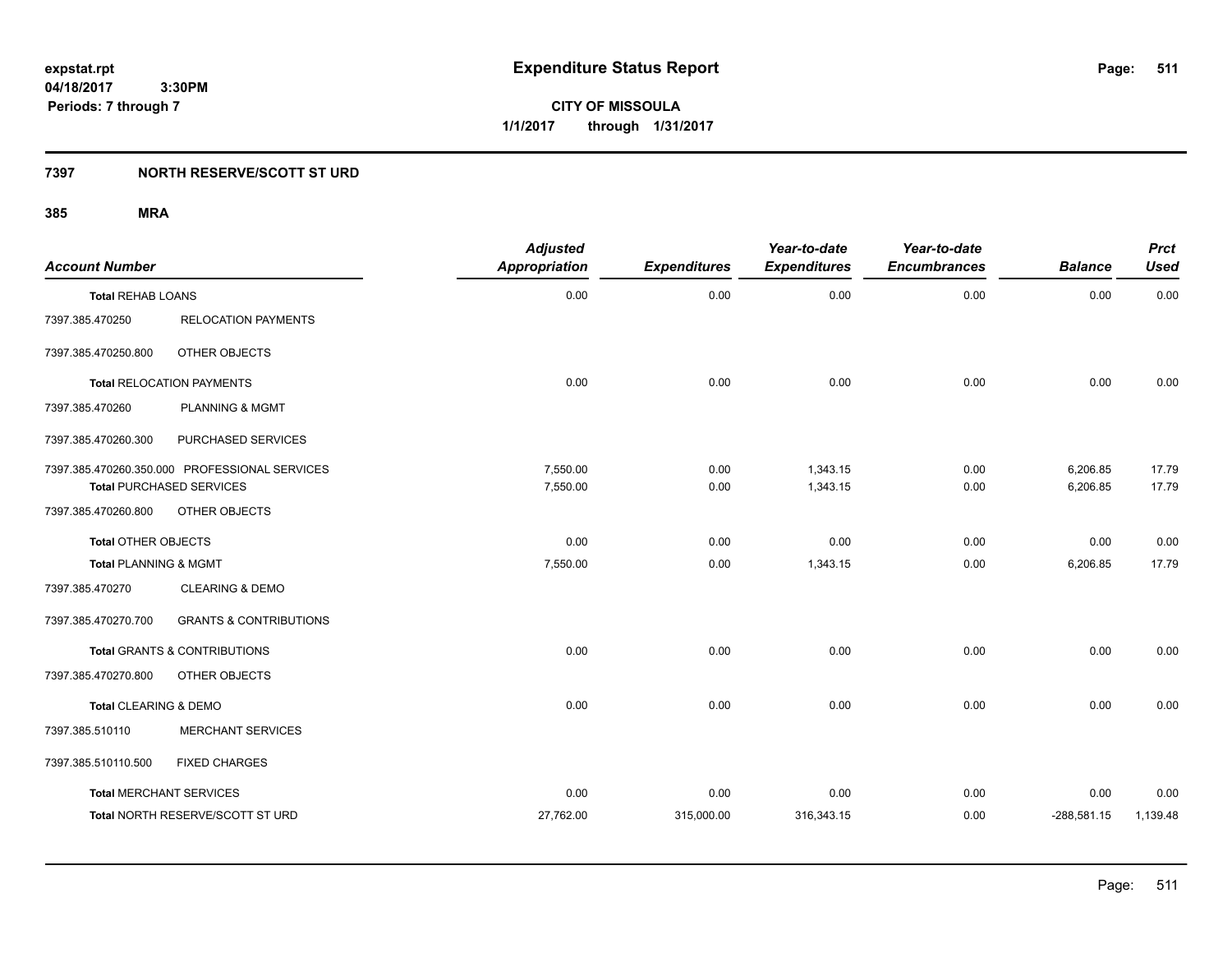**CITY OF MISSOULA 1/1/2017 through 1/31/2017**

### **7397 NORTH RESERVE/SCOTT ST URD**

| <b>Account Number</b>            |                                               | <b>Adjusted</b><br><b>Appropriation</b> | <b>Expenditures</b> | Year-to-date<br><b>Expenditures</b> | Year-to-date<br><b>Encumbrances</b> | <b>Balance</b> | <b>Prct</b><br><b>Used</b> |
|----------------------------------|-----------------------------------------------|-----------------------------------------|---------------------|-------------------------------------|-------------------------------------|----------------|----------------------------|
| <b>Total REHAB LOANS</b>         |                                               | 0.00                                    | 0.00                | 0.00                                | 0.00                                | 0.00           | 0.00                       |
| 7397.385.470250                  | <b>RELOCATION PAYMENTS</b>                    |                                         |                     |                                     |                                     |                |                            |
| 7397.385.470250.800              | OTHER OBJECTS                                 |                                         |                     |                                     |                                     |                |                            |
|                                  | <b>Total RELOCATION PAYMENTS</b>              | 0.00                                    | 0.00                | 0.00                                | 0.00                                | 0.00           | 0.00                       |
| 7397.385.470260                  | <b>PLANNING &amp; MGMT</b>                    |                                         |                     |                                     |                                     |                |                            |
| 7397.385.470260.300              | PURCHASED SERVICES                            |                                         |                     |                                     |                                     |                |                            |
|                                  | 7397.385.470260.350.000 PROFESSIONAL SERVICES | 7,550.00                                | 0.00                | 1,343.15                            | 0.00                                | 6,206.85       | 17.79                      |
|                                  | <b>Total PURCHASED SERVICES</b>               | 7,550.00                                | 0.00                | 1,343.15                            | 0.00                                | 6,206.85       | 17.79                      |
| 7397.385.470260.800              | OTHER OBJECTS                                 |                                         |                     |                                     |                                     |                |                            |
| Total OTHER OBJECTS              |                                               | 0.00                                    | 0.00                | 0.00                                | 0.00                                | 0.00           | 0.00                       |
| <b>Total PLANNING &amp; MGMT</b> |                                               | 7,550.00                                | 0.00                | 1,343.15                            | 0.00                                | 6,206.85       | 17.79                      |
| 7397.385.470270                  | <b>CLEARING &amp; DEMO</b>                    |                                         |                     |                                     |                                     |                |                            |
| 7397.385.470270.700              | <b>GRANTS &amp; CONTRIBUTIONS</b>             |                                         |                     |                                     |                                     |                |                            |
|                                  | <b>Total GRANTS &amp; CONTRIBUTIONS</b>       | 0.00                                    | 0.00                | 0.00                                | 0.00                                | 0.00           | 0.00                       |
| 7397.385.470270.800              | OTHER OBJECTS                                 |                                         |                     |                                     |                                     |                |                            |
| Total CLEARING & DEMO            |                                               | 0.00                                    | 0.00                | 0.00                                | 0.00                                | 0.00           | 0.00                       |
| 7397.385.510110                  | <b>MERCHANT SERVICES</b>                      |                                         |                     |                                     |                                     |                |                            |
| 7397.385.510110.500              | <b>FIXED CHARGES</b>                          |                                         |                     |                                     |                                     |                |                            |
| <b>Total MERCHANT SERVICES</b>   |                                               | 0.00                                    | 0.00                | 0.00                                | 0.00                                | 0.00           | 0.00                       |
|                                  | Total NORTH RESERVE/SCOTT ST URD              | 27,762.00                               | 315,000.00          | 316,343.15                          | 0.00                                | $-288,581.15$  | 1,139.48                   |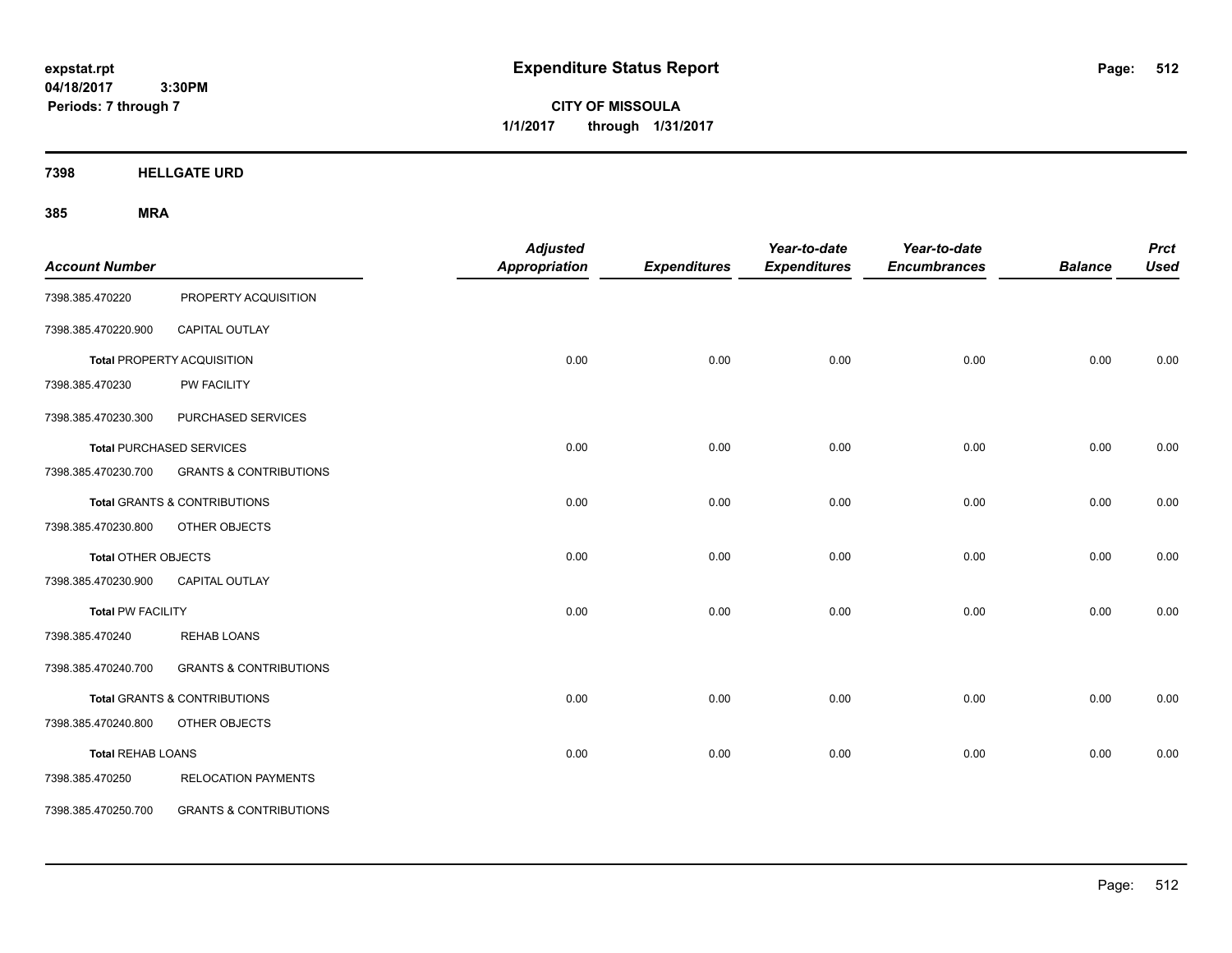**CITY OF MISSOULA 1/1/2017 through 1/31/2017**

**7398 HELLGATE URD**

|                          |                                         | <b>Adjusted</b>      |                     | Year-to-date        | Year-to-date        |                | <b>Prct</b> |
|--------------------------|-----------------------------------------|----------------------|---------------------|---------------------|---------------------|----------------|-------------|
| <b>Account Number</b>    |                                         | <b>Appropriation</b> | <b>Expenditures</b> | <b>Expenditures</b> | <b>Encumbrances</b> | <b>Balance</b> | <b>Used</b> |
| 7398.385.470220          | PROPERTY ACQUISITION                    |                      |                     |                     |                     |                |             |
| 7398.385.470220.900      | <b>CAPITAL OUTLAY</b>                   |                      |                     |                     |                     |                |             |
|                          | <b>Total PROPERTY ACQUISITION</b>       | 0.00                 | 0.00                | 0.00                | 0.00                | 0.00           | 0.00        |
| 7398.385.470230          | PW FACILITY                             |                      |                     |                     |                     |                |             |
| 7398.385.470230.300      | PURCHASED SERVICES                      |                      |                     |                     |                     |                |             |
|                          | <b>Total PURCHASED SERVICES</b>         | 0.00                 | 0.00                | 0.00                | 0.00                | 0.00           | 0.00        |
| 7398.385.470230.700      | <b>GRANTS &amp; CONTRIBUTIONS</b>       |                      |                     |                     |                     |                |             |
|                          | Total GRANTS & CONTRIBUTIONS            | 0.00                 | 0.00                | 0.00                | 0.00                | 0.00           | 0.00        |
| 7398.385.470230.800      | OTHER OBJECTS                           |                      |                     |                     |                     |                |             |
| Total OTHER OBJECTS      |                                         | 0.00                 | 0.00                | 0.00                | 0.00                | 0.00           | 0.00        |
| 7398.385.470230.900      | <b>CAPITAL OUTLAY</b>                   |                      |                     |                     |                     |                |             |
| Total PW FACILITY        |                                         | 0.00                 | 0.00                | 0.00                | 0.00                | 0.00           | 0.00        |
| 7398.385.470240          | <b>REHAB LOANS</b>                      |                      |                     |                     |                     |                |             |
| 7398.385.470240.700      | <b>GRANTS &amp; CONTRIBUTIONS</b>       |                      |                     |                     |                     |                |             |
|                          | <b>Total GRANTS &amp; CONTRIBUTIONS</b> | 0.00                 | 0.00                | 0.00                | 0.00                | 0.00           | 0.00        |
| 7398.385.470240.800      | OTHER OBJECTS                           |                      |                     |                     |                     |                |             |
| <b>Total REHAB LOANS</b> |                                         | 0.00                 | 0.00                | 0.00                | 0.00                | 0.00           | 0.00        |
| 7398.385.470250          | <b>RELOCATION PAYMENTS</b>              |                      |                     |                     |                     |                |             |
| 7398.385.470250.700      | <b>GRANTS &amp; CONTRIBUTIONS</b>       |                      |                     |                     |                     |                |             |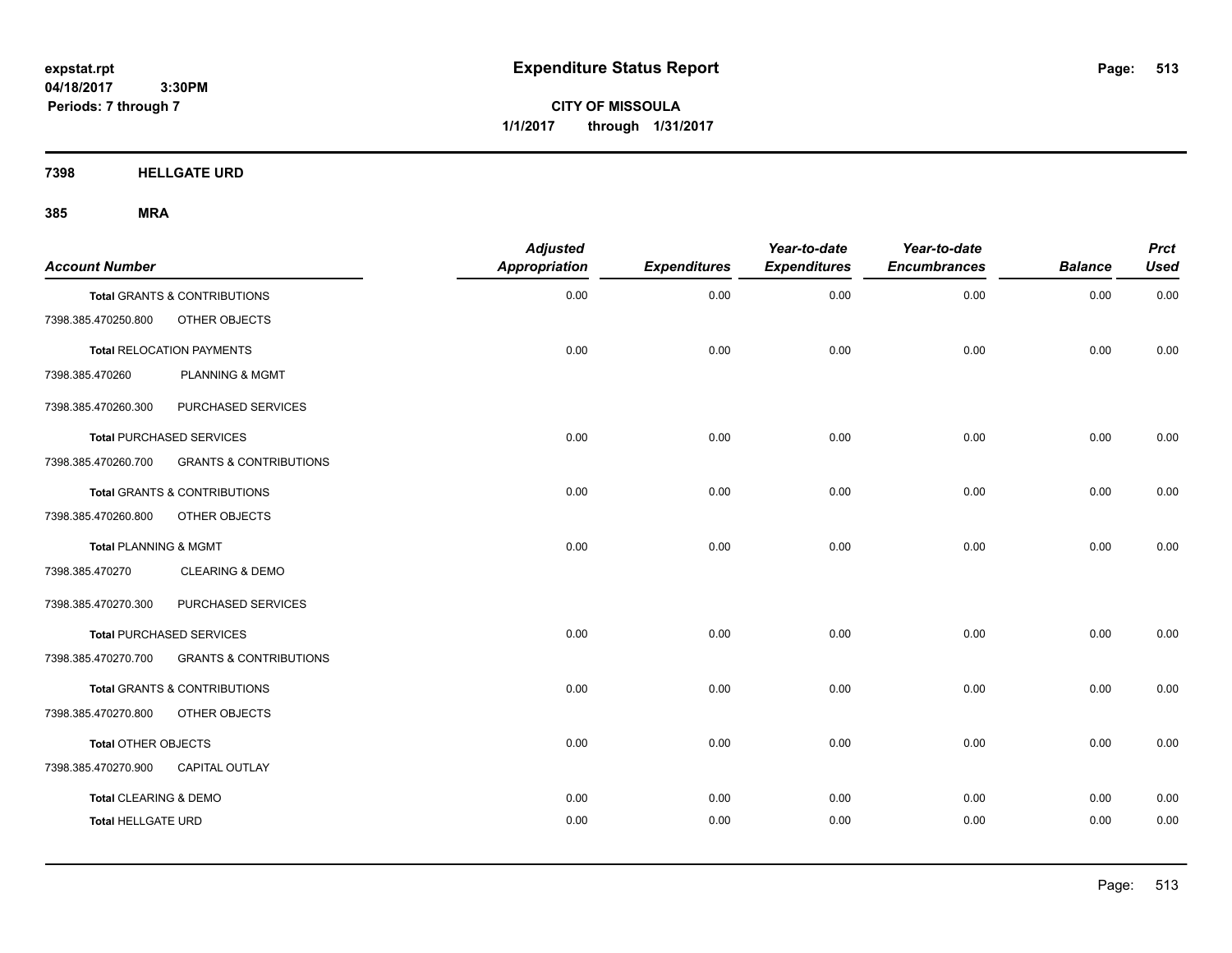**CITY OF MISSOULA 1/1/2017 through 1/31/2017**

**7398 HELLGATE URD**

| <b>Account Number</b>            |                                         | <b>Adjusted</b><br><b>Appropriation</b> | <b>Expenditures</b> | Year-to-date<br><b>Expenditures</b> | Year-to-date<br><b>Encumbrances</b> | <b>Balance</b> | <b>Prct</b><br><b>Used</b> |
|----------------------------------|-----------------------------------------|-----------------------------------------|---------------------|-------------------------------------|-------------------------------------|----------------|----------------------------|
|                                  | <b>Total GRANTS &amp; CONTRIBUTIONS</b> | 0.00                                    | 0.00                | 0.00                                | 0.00                                | 0.00           | 0.00                       |
| 7398.385.470250.800              | OTHER OBJECTS                           |                                         |                     |                                     |                                     |                |                            |
|                                  | <b>Total RELOCATION PAYMENTS</b>        | 0.00                                    | 0.00                | 0.00                                | 0.00                                | 0.00           | 0.00                       |
| 7398.385.470260                  | PLANNING & MGMT                         |                                         |                     |                                     |                                     |                |                            |
| 7398.385.470260.300              | PURCHASED SERVICES                      |                                         |                     |                                     |                                     |                |                            |
|                                  | <b>Total PURCHASED SERVICES</b>         | 0.00                                    | 0.00                | 0.00                                | 0.00                                | 0.00           | 0.00                       |
| 7398.385.470260.700              | <b>GRANTS &amp; CONTRIBUTIONS</b>       |                                         |                     |                                     |                                     |                |                            |
|                                  | <b>Total GRANTS &amp; CONTRIBUTIONS</b> | 0.00                                    | 0.00                | 0.00                                | 0.00                                | 0.00           | 0.00                       |
| 7398.385.470260.800              | OTHER OBJECTS                           |                                         |                     |                                     |                                     |                |                            |
| <b>Total PLANNING &amp; MGMT</b> |                                         | 0.00                                    | 0.00                | 0.00                                | 0.00                                | 0.00           | 0.00                       |
| 7398.385.470270                  | <b>CLEARING &amp; DEMO</b>              |                                         |                     |                                     |                                     |                |                            |
| 7398.385.470270.300              | PURCHASED SERVICES                      |                                         |                     |                                     |                                     |                |                            |
|                                  | <b>Total PURCHASED SERVICES</b>         | 0.00                                    | 0.00                | 0.00                                | 0.00                                | 0.00           | 0.00                       |
| 7398.385.470270.700              | <b>GRANTS &amp; CONTRIBUTIONS</b>       |                                         |                     |                                     |                                     |                |                            |
|                                  | <b>Total GRANTS &amp; CONTRIBUTIONS</b> | 0.00                                    | 0.00                | 0.00                                | 0.00                                | 0.00           | 0.00                       |
| 7398.385.470270.800              | OTHER OBJECTS                           |                                         |                     |                                     |                                     |                |                            |
| Total OTHER OBJECTS              |                                         | 0.00                                    | 0.00                | 0.00                                | 0.00                                | 0.00           | 0.00                       |
| 7398.385.470270.900              | <b>CAPITAL OUTLAY</b>                   |                                         |                     |                                     |                                     |                |                            |
| <b>Total CLEARING &amp; DEMO</b> |                                         | 0.00                                    | 0.00                | 0.00                                | 0.00                                | 0.00           | 0.00                       |
| <b>Total HELLGATE URD</b>        |                                         | 0.00                                    | 0.00                | 0.00                                | 0.00                                | 0.00           | 0.00                       |
|                                  |                                         |                                         |                     |                                     |                                     |                |                            |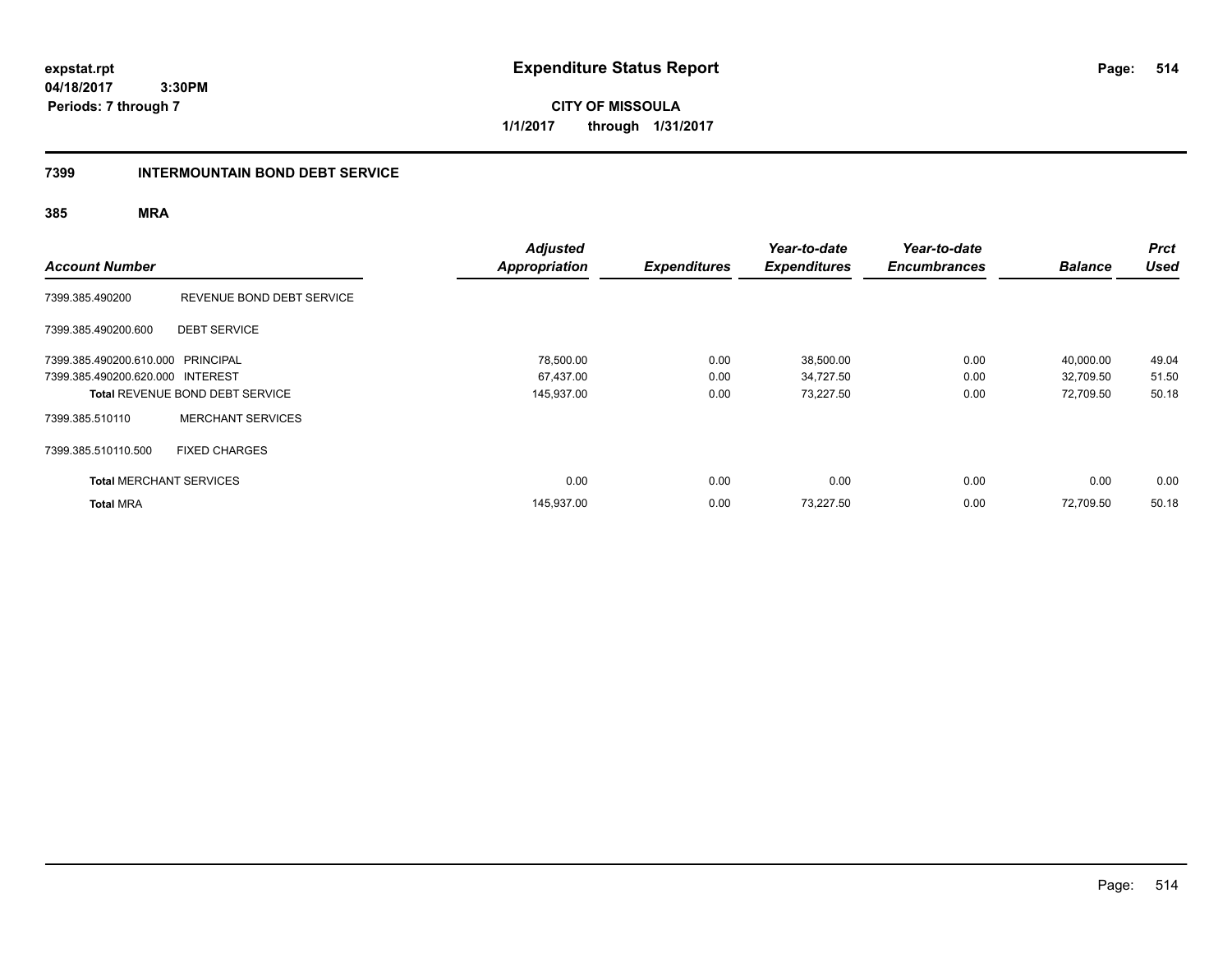**CITY OF MISSOULA 1/1/2017 through 1/31/2017**

### **7399 INTERMOUNTAIN BOND DEBT SERVICE**

| <b>Account Number</b>             |                                        | <b>Adjusted</b><br><b>Appropriation</b> | <b>Expenditures</b> | Year-to-date<br><b>Expenditures</b> | Year-to-date<br><b>Encumbrances</b> | <b>Balance</b> | <b>Prct</b><br><b>Used</b> |
|-----------------------------------|----------------------------------------|-----------------------------------------|---------------------|-------------------------------------|-------------------------------------|----------------|----------------------------|
| 7399.385.490200                   | REVENUE BOND DEBT SERVICE              |                                         |                     |                                     |                                     |                |                            |
| 7399.385.490200.600               | <b>DEBT SERVICE</b>                    |                                         |                     |                                     |                                     |                |                            |
| 7399.385.490200.610.000 PRINCIPAL |                                        | 78,500.00                               | 0.00                | 38,500.00                           | 0.00                                | 40.000.00      | 49.04                      |
| 7399.385.490200.620.000 INTEREST  |                                        | 67,437.00                               | 0.00                | 34,727.50                           | 0.00                                | 32,709.50      | 51.50                      |
|                                   | <b>Total REVENUE BOND DEBT SERVICE</b> | 145,937.00                              | 0.00                | 73,227.50                           | 0.00                                | 72,709.50      | 50.18                      |
| 7399.385.510110                   | <b>MERCHANT SERVICES</b>               |                                         |                     |                                     |                                     |                |                            |
| 7399.385.510110.500               | <b>FIXED CHARGES</b>                   |                                         |                     |                                     |                                     |                |                            |
| <b>Total MERCHANT SERVICES</b>    |                                        | 0.00                                    | 0.00                | 0.00                                | 0.00                                | 0.00           | 0.00                       |
| <b>Total MRA</b>                  |                                        | 145,937.00                              | 0.00                | 73,227.50                           | 0.00                                | 72,709.50      | 50.18                      |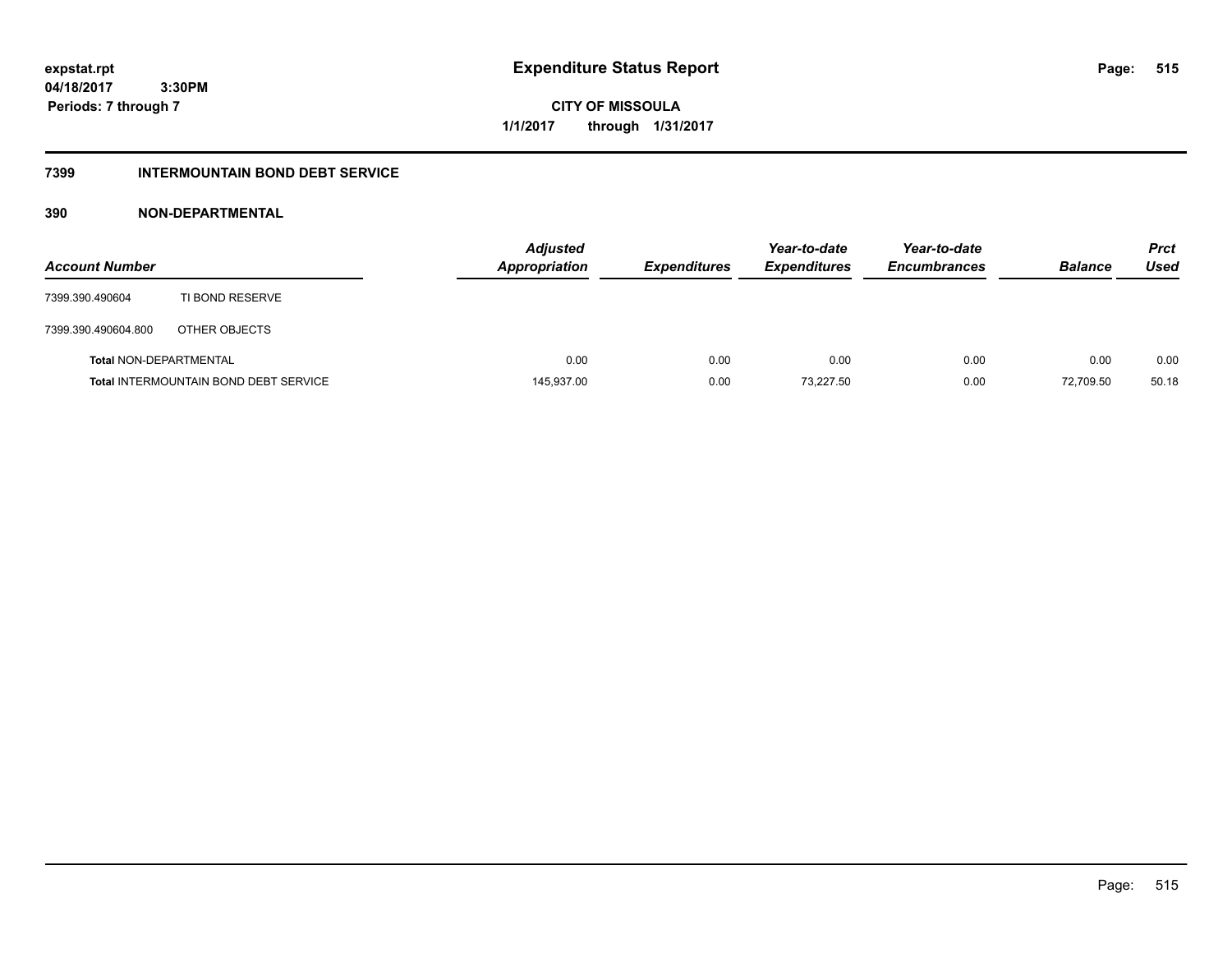**CITY OF MISSOULA 1/1/2017 through 1/31/2017**

### **7399 INTERMOUNTAIN BOND DEBT SERVICE**

### **390 NON-DEPARTMENTAL**

| <b>Account Number</b>         |                                              | <b>Adjusted</b><br><b>Appropriation</b> | <b>Expenditures</b> | Year-to-date<br><b>Expenditures</b> | Year-to-date<br><b>Encumbrances</b> | <b>Balance</b> | <b>Prct</b><br>Used |
|-------------------------------|----------------------------------------------|-----------------------------------------|---------------------|-------------------------------------|-------------------------------------|----------------|---------------------|
| 7399.390.490604               | TI BOND RESERVE                              |                                         |                     |                                     |                                     |                |                     |
| 7399.390.490604.800           | OTHER OBJECTS                                |                                         |                     |                                     |                                     |                |                     |
| <b>Total NON-DEPARTMENTAL</b> |                                              | 0.00                                    | 0.00                | 0.00                                | 0.00                                | 0.00           | 0.00                |
|                               | <b>Total INTERMOUNTAIN BOND DEBT SERVICE</b> | 145,937.00                              | 0.00                | 73,227.50                           | 0.00                                | 72.709.50      | 50.18               |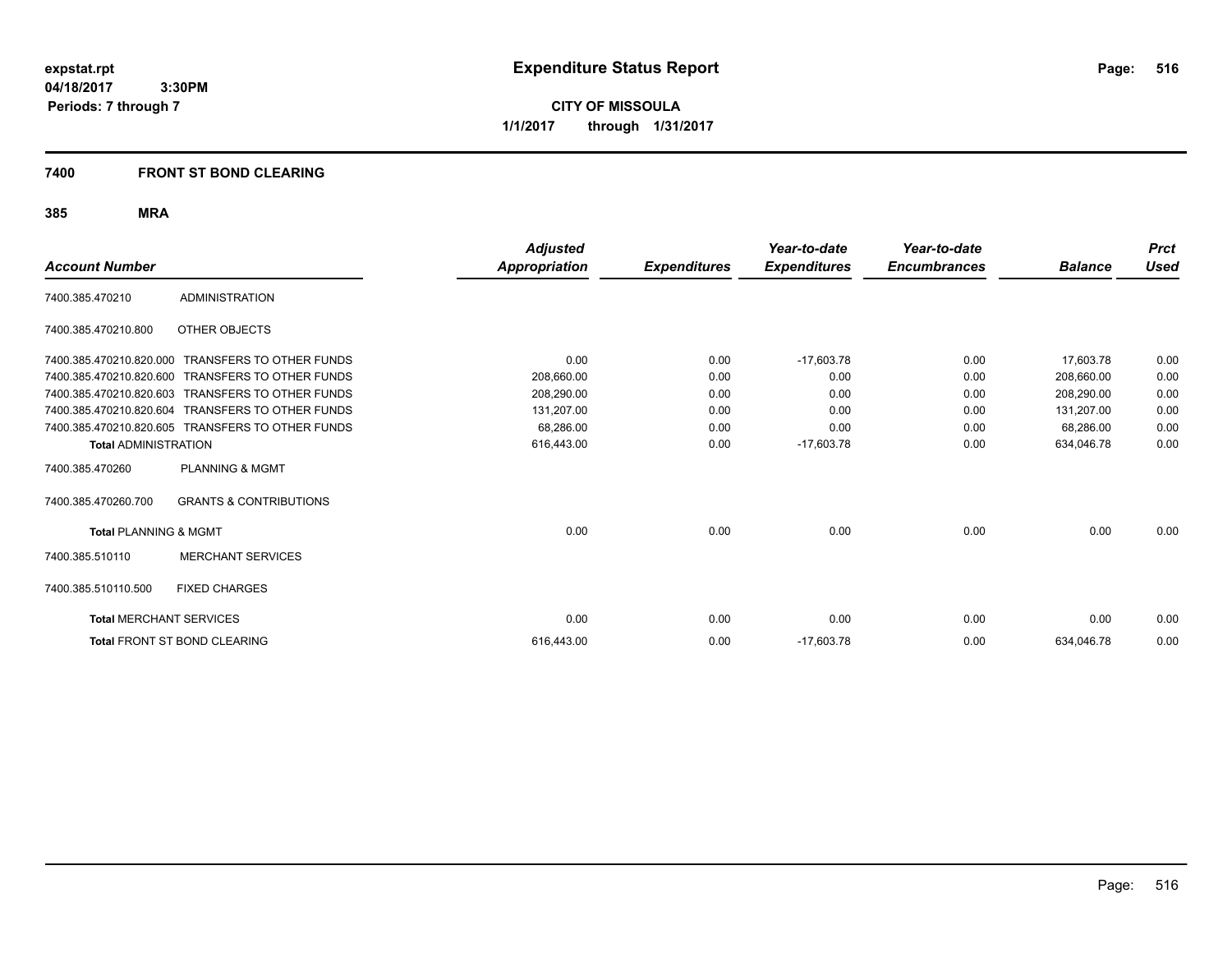**CITY OF MISSOULA 1/1/2017 through 1/31/2017**

### **7400 FRONT ST BOND CLEARING**

| <b>Account Number</b>            |                                                  | <b>Adjusted</b><br><b>Appropriation</b> | <b>Expenditures</b> | Year-to-date<br><b>Expenditures</b> | Year-to-date<br><b>Encumbrances</b> | <b>Balance</b> | <b>Prct</b><br>Used |
|----------------------------------|--------------------------------------------------|-----------------------------------------|---------------------|-------------------------------------|-------------------------------------|----------------|---------------------|
|                                  |                                                  |                                         |                     |                                     |                                     |                |                     |
| 7400.385.470210                  | <b>ADMINISTRATION</b>                            |                                         |                     |                                     |                                     |                |                     |
| 7400.385.470210.800              | OTHER OBJECTS                                    |                                         |                     |                                     |                                     |                |                     |
| 7400.385.470210.820.000          | <b>TRANSFERS TO OTHER FUNDS</b>                  | 0.00                                    | 0.00                | $-17,603.78$                        | 0.00                                | 17,603.78      | 0.00                |
| 7400.385.470210.820.600          | <b>TRANSFERS TO OTHER FUNDS</b>                  | 208.660.00                              | 0.00                | 0.00                                | 0.00                                | 208.660.00     | 0.00                |
| 7400.385.470210.820.603          | <b>TRANSFERS TO OTHER FUNDS</b>                  | 208,290.00                              | 0.00                | 0.00                                | 0.00                                | 208,290.00     | 0.00                |
| 7400.385.470210.820.604          | <b>TRANSFERS TO OTHER FUNDS</b>                  | 131,207.00                              | 0.00                | 0.00                                | 0.00                                | 131,207.00     | 0.00                |
|                                  | 7400.385.470210.820.605 TRANSFERS TO OTHER FUNDS | 68.286.00                               | 0.00                | 0.00                                | 0.00                                | 68,286.00      | 0.00                |
| <b>Total ADMINISTRATION</b>      |                                                  | 616,443.00                              | 0.00                | $-17,603.78$                        | 0.00                                | 634,046.78     | 0.00                |
| 7400.385.470260                  | <b>PLANNING &amp; MGMT</b>                       |                                         |                     |                                     |                                     |                |                     |
| 7400.385.470260.700              | <b>GRANTS &amp; CONTRIBUTIONS</b>                |                                         |                     |                                     |                                     |                |                     |
| <b>Total PLANNING &amp; MGMT</b> |                                                  | 0.00                                    | 0.00                | 0.00                                | 0.00                                | 0.00           | 0.00                |
| 7400.385.510110                  | <b>MERCHANT SERVICES</b>                         |                                         |                     |                                     |                                     |                |                     |
| 7400.385.510110.500              | <b>FIXED CHARGES</b>                             |                                         |                     |                                     |                                     |                |                     |
| <b>Total MERCHANT SERVICES</b>   |                                                  | 0.00                                    | 0.00                | 0.00                                | 0.00                                | 0.00           | 0.00                |
|                                  | <b>Total FRONT ST BOND CLEARING</b>              | 616.443.00                              | 0.00                | $-17,603.78$                        | 0.00                                | 634,046.78     | 0.00                |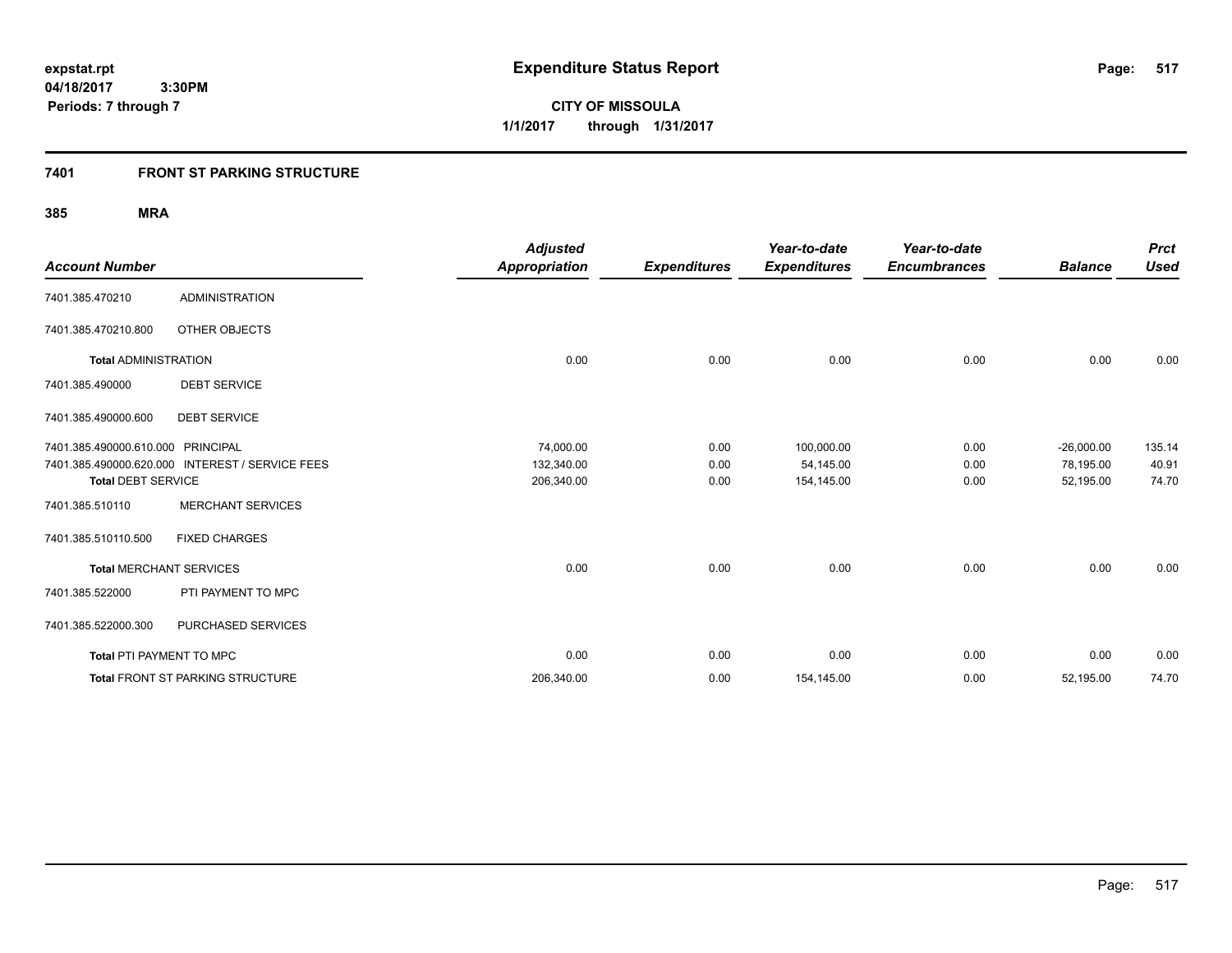**CITY OF MISSOULA 1/1/2017 through 1/31/2017**

### **7401 FRONT ST PARKING STRUCTURE**

| <b>Account Number</b>             |                                                 | <b>Adjusted</b><br><b>Appropriation</b> | <b>Expenditures</b> | Year-to-date<br><b>Expenditures</b> | Year-to-date<br><b>Encumbrances</b> | <b>Balance</b> | <b>Prct</b><br><b>Used</b> |
|-----------------------------------|-------------------------------------------------|-----------------------------------------|---------------------|-------------------------------------|-------------------------------------|----------------|----------------------------|
| 7401.385.470210                   | <b>ADMINISTRATION</b>                           |                                         |                     |                                     |                                     |                |                            |
| 7401.385.470210.800               | OTHER OBJECTS                                   |                                         |                     |                                     |                                     |                |                            |
| <b>Total ADMINISTRATION</b>       |                                                 | 0.00                                    | 0.00                | 0.00                                | 0.00                                | 0.00           | 0.00                       |
| 7401.385.490000                   | <b>DEBT SERVICE</b>                             |                                         |                     |                                     |                                     |                |                            |
| 7401.385.490000.600               | <b>DEBT SERVICE</b>                             |                                         |                     |                                     |                                     |                |                            |
| 7401.385.490000.610.000 PRINCIPAL |                                                 | 74,000.00                               | 0.00                | 100,000.00                          | 0.00                                | $-26,000.00$   | 135.14                     |
|                                   | 7401.385.490000.620.000 INTEREST / SERVICE FEES | 132,340.00                              | 0.00                | 54,145.00                           | 0.00                                | 78,195.00      | 40.91                      |
| <b>Total DEBT SERVICE</b>         |                                                 | 206,340.00                              | 0.00                | 154,145.00                          | 0.00                                | 52,195.00      | 74.70                      |
| 7401.385.510110                   | <b>MERCHANT SERVICES</b>                        |                                         |                     |                                     |                                     |                |                            |
| 7401.385.510110.500               | <b>FIXED CHARGES</b>                            |                                         |                     |                                     |                                     |                |                            |
| <b>Total MERCHANT SERVICES</b>    |                                                 | 0.00                                    | 0.00                | 0.00                                | 0.00                                | 0.00           | 0.00                       |
| 7401.385.522000                   | PTI PAYMENT TO MPC                              |                                         |                     |                                     |                                     |                |                            |
| 7401.385.522000.300               | PURCHASED SERVICES                              |                                         |                     |                                     |                                     |                |                            |
| <b>Total PTI PAYMENT TO MPC</b>   |                                                 | 0.00                                    | 0.00                | 0.00                                | 0.00                                | 0.00           | 0.00                       |
|                                   | Total FRONT ST PARKING STRUCTURE                | 206,340.00                              | 0.00                | 154,145.00                          | 0.00                                | 52,195.00      | 74.70                      |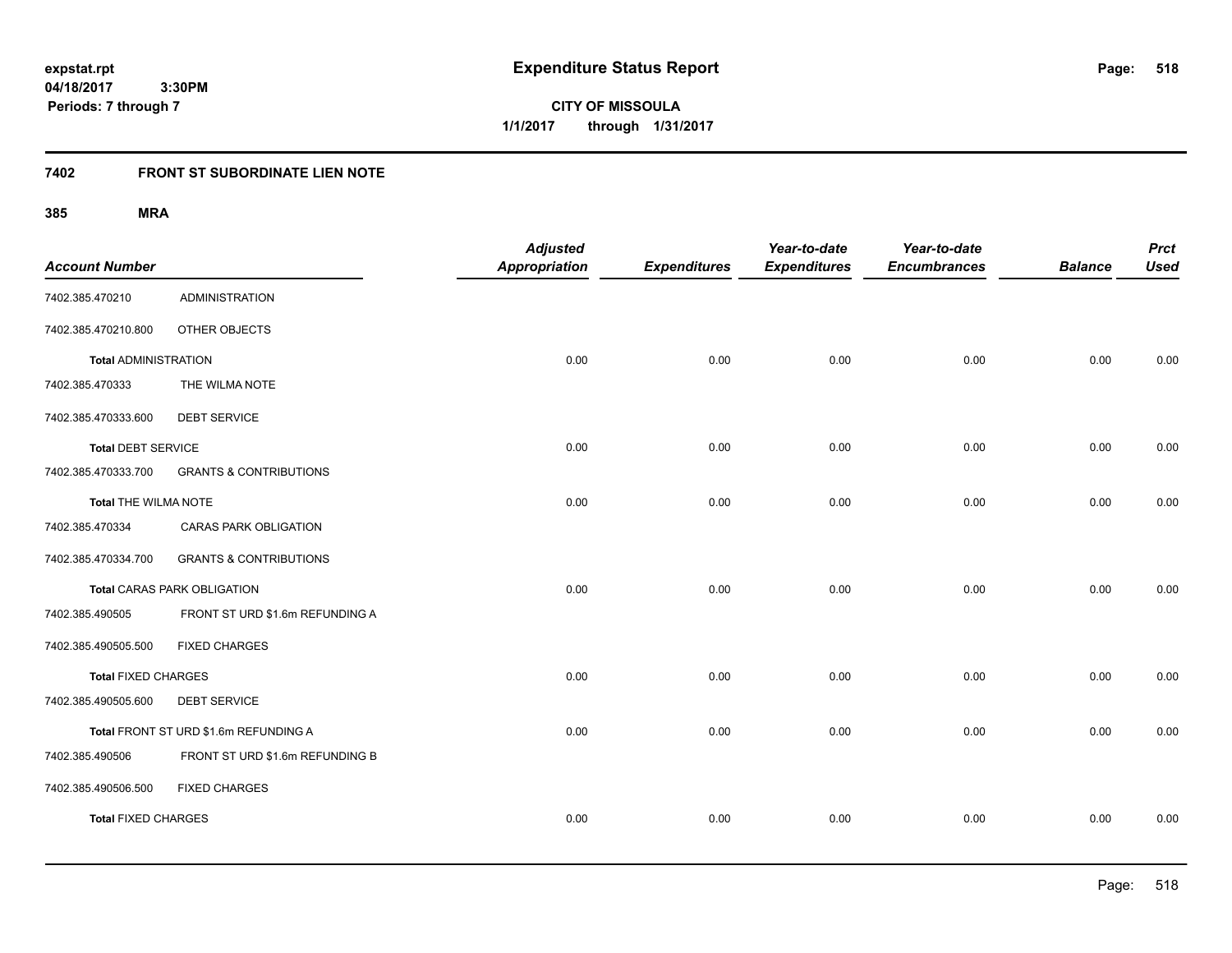**CITY OF MISSOULA 1/1/2017 through 1/31/2017**

### **7402 FRONT ST SUBORDINATE LIEN NOTE**

| <b>Account Number</b>       |                                       | <b>Adjusted</b><br><b>Appropriation</b> | <b>Expenditures</b> | Year-to-date<br><b>Expenditures</b> | Year-to-date<br><b>Encumbrances</b> | <b>Balance</b> | <b>Prct</b><br><b>Used</b> |
|-----------------------------|---------------------------------------|-----------------------------------------|---------------------|-------------------------------------|-------------------------------------|----------------|----------------------------|
| 7402.385.470210             | <b>ADMINISTRATION</b>                 |                                         |                     |                                     |                                     |                |                            |
| 7402.385.470210.800         | OTHER OBJECTS                         |                                         |                     |                                     |                                     |                |                            |
| <b>Total ADMINISTRATION</b> |                                       | 0.00                                    | 0.00                | 0.00                                | 0.00                                | 0.00           | 0.00                       |
| 7402.385.470333             | THE WILMA NOTE                        |                                         |                     |                                     |                                     |                |                            |
| 7402.385.470333.600         | <b>DEBT SERVICE</b>                   |                                         |                     |                                     |                                     |                |                            |
| <b>Total DEBT SERVICE</b>   |                                       | 0.00                                    | 0.00                | 0.00                                | 0.00                                | 0.00           | 0.00                       |
| 7402.385.470333.700         | <b>GRANTS &amp; CONTRIBUTIONS</b>     |                                         |                     |                                     |                                     |                |                            |
| Total THE WILMA NOTE        |                                       | 0.00                                    | 0.00                | 0.00                                | 0.00                                | 0.00           | 0.00                       |
| 7402.385.470334             | <b>CARAS PARK OBLIGATION</b>          |                                         |                     |                                     |                                     |                |                            |
| 7402.385.470334.700         | <b>GRANTS &amp; CONTRIBUTIONS</b>     |                                         |                     |                                     |                                     |                |                            |
|                             | <b>Total CARAS PARK OBLIGATION</b>    | 0.00                                    | 0.00                | 0.00                                | 0.00                                | 0.00           | 0.00                       |
| 7402.385.490505             | FRONT ST URD \$1.6m REFUNDING A       |                                         |                     |                                     |                                     |                |                            |
| 7402.385.490505.500         | <b>FIXED CHARGES</b>                  |                                         |                     |                                     |                                     |                |                            |
| <b>Total FIXED CHARGES</b>  |                                       | 0.00                                    | 0.00                | 0.00                                | 0.00                                | 0.00           | 0.00                       |
| 7402.385.490505.600         | <b>DEBT SERVICE</b>                   |                                         |                     |                                     |                                     |                |                            |
|                             | Total FRONT ST URD \$1.6m REFUNDING A | 0.00                                    | 0.00                | 0.00                                | 0.00                                | 0.00           | 0.00                       |
| 7402.385.490506             | FRONT ST URD \$1.6m REFUNDING B       |                                         |                     |                                     |                                     |                |                            |
| 7402.385.490506.500         | <b>FIXED CHARGES</b>                  |                                         |                     |                                     |                                     |                |                            |
| <b>Total FIXED CHARGES</b>  |                                       | 0.00                                    | 0.00                | 0.00                                | 0.00                                | 0.00           | 0.00                       |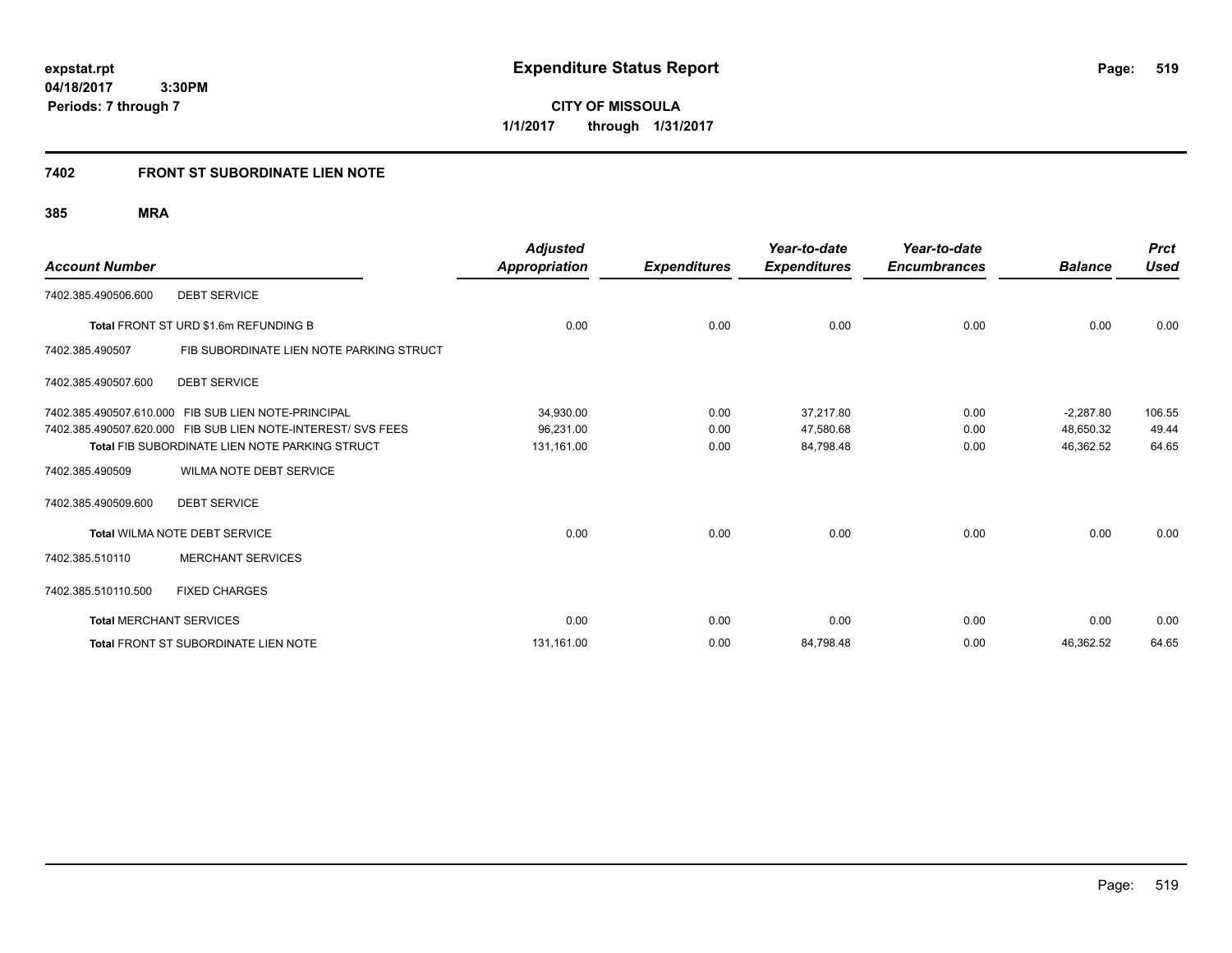**519**

**04/18/2017 3:30PM Periods: 7 through 7**

**CITY OF MISSOULA 1/1/2017 through 1/31/2017**

### **7402 FRONT ST SUBORDINATE LIEN NOTE**

| <b>Account Number</b>          |                                                              | <b>Adjusted</b><br>Appropriation | <b>Expenditures</b> | Year-to-date<br><b>Expenditures</b> | Year-to-date<br><b>Encumbrances</b> | <b>Balance</b> | <b>Prct</b><br><b>Used</b> |
|--------------------------------|--------------------------------------------------------------|----------------------------------|---------------------|-------------------------------------|-------------------------------------|----------------|----------------------------|
| 7402.385.490506.600            | <b>DEBT SERVICE</b>                                          |                                  |                     |                                     |                                     |                |                            |
|                                | Total FRONT ST URD \$1.6m REFUNDING B                        | 0.00                             | 0.00                | 0.00                                | 0.00                                | 0.00           | 0.00                       |
| 7402.385.490507                | FIB SUBORDINATE LIEN NOTE PARKING STRUCT                     |                                  |                     |                                     |                                     |                |                            |
| 7402.385.490507.600            | <b>DEBT SERVICE</b>                                          |                                  |                     |                                     |                                     |                |                            |
|                                | 7402.385.490507.610.000 FIB SUB LIEN NOTE-PRINCIPAL          | 34,930.00                        | 0.00                | 37.217.80                           | 0.00                                | $-2,287.80$    | 106.55                     |
|                                | 7402.385.490507.620.000 FIB SUB LIEN NOTE-INTEREST/ SVS FEES | 96,231.00                        | 0.00                | 47,580.68                           | 0.00                                | 48,650.32      | 49.44                      |
|                                | <b>Total FIB SUBORDINATE LIEN NOTE PARKING STRUCT</b>        | 131,161.00                       | 0.00                | 84,798.48                           | 0.00                                | 46,362.52      | 64.65                      |
| 7402.385.490509                | WILMA NOTE DEBT SERVICE                                      |                                  |                     |                                     |                                     |                |                            |
| 7402.385.490509.600            | <b>DEBT SERVICE</b>                                          |                                  |                     |                                     |                                     |                |                            |
|                                | Total WILMA NOTE DEBT SERVICE                                | 0.00                             | 0.00                | 0.00                                | 0.00                                | 0.00           | 0.00                       |
| 7402.385.510110                | <b>MERCHANT SERVICES</b>                                     |                                  |                     |                                     |                                     |                |                            |
| 7402.385.510110.500            | <b>FIXED CHARGES</b>                                         |                                  |                     |                                     |                                     |                |                            |
| <b>Total MERCHANT SERVICES</b> |                                                              | 0.00                             | 0.00                | 0.00                                | 0.00                                | 0.00           | 0.00                       |
|                                | <b>Total FRONT ST SUBORDINATE LIEN NOTE</b>                  | 131,161.00                       | 0.00                | 84,798.48                           | 0.00                                | 46,362.52      | 64.65                      |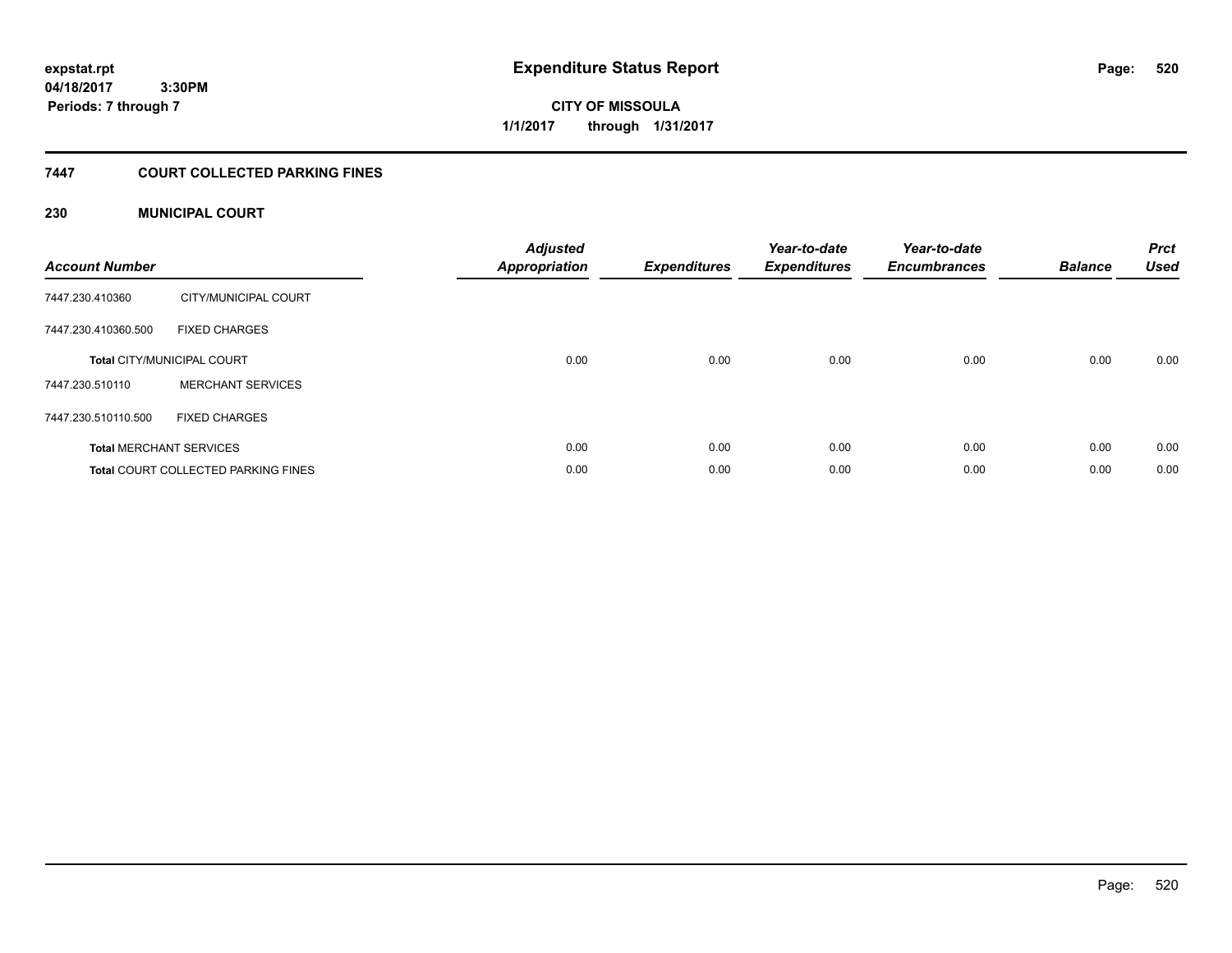# **CITY OF MISSOULA 1/1/2017 through 1/31/2017**

### **7447 COURT COLLECTED PARKING FINES**

### **230 MUNICIPAL COURT**

| <b>Account Number</b> |                                            | <b>Adjusted</b><br>Appropriation | <b>Expenditures</b> | Year-to-date<br><b>Expenditures</b> | Year-to-date<br><b>Encumbrances</b> | <b>Balance</b> | <b>Prct</b><br><b>Used</b> |
|-----------------------|--------------------------------------------|----------------------------------|---------------------|-------------------------------------|-------------------------------------|----------------|----------------------------|
| 7447.230.410360       | CITY/MUNICIPAL COURT                       |                                  |                     |                                     |                                     |                |                            |
| 7447.230.410360.500   | <b>FIXED CHARGES</b>                       |                                  |                     |                                     |                                     |                |                            |
|                       | <b>Total CITY/MUNICIPAL COURT</b>          | 0.00                             | 0.00                | 0.00                                | 0.00                                | 0.00           | 0.00                       |
| 7447.230.510110       | <b>MERCHANT SERVICES</b>                   |                                  |                     |                                     |                                     |                |                            |
| 7447.230.510110.500   | <b>FIXED CHARGES</b>                       |                                  |                     |                                     |                                     |                |                            |
|                       | <b>Total MERCHANT SERVICES</b>             | 0.00                             | 0.00                | 0.00                                | 0.00                                | 0.00           | 0.00                       |
|                       | <b>Total COURT COLLECTED PARKING FINES</b> | 0.00                             | 0.00                | 0.00                                | 0.00                                | 0.00           | 0.00                       |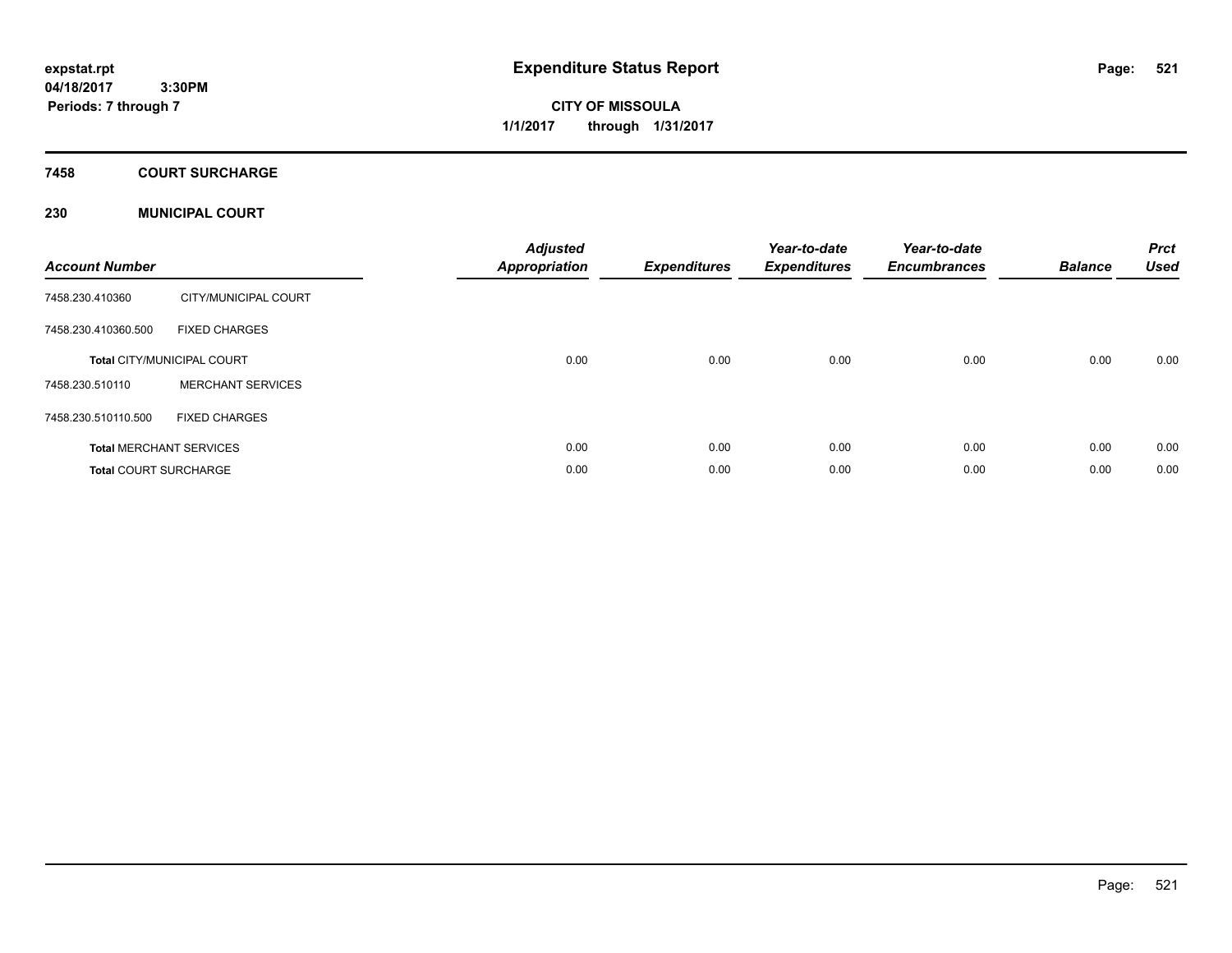# **CITY OF MISSOULA 1/1/2017 through 1/31/2017**

### **7458 COURT SURCHARGE**

### **230 MUNICIPAL COURT**

| <b>Account Number</b>        |                                   | <b>Adjusted</b><br><b>Appropriation</b> | <b>Expenditures</b> | Year-to-date<br><b>Expenditures</b> | Year-to-date<br><b>Encumbrances</b> | <b>Balance</b> | <b>Prct</b><br><b>Used</b> |
|------------------------------|-----------------------------------|-----------------------------------------|---------------------|-------------------------------------|-------------------------------------|----------------|----------------------------|
| 7458.230.410360              | CITY/MUNICIPAL COURT              |                                         |                     |                                     |                                     |                |                            |
| 7458.230.410360.500          | <b>FIXED CHARGES</b>              |                                         |                     |                                     |                                     |                |                            |
|                              | <b>Total CITY/MUNICIPAL COURT</b> | 0.00                                    | 0.00                | 0.00                                | 0.00                                | 0.00           | 0.00                       |
| 7458.230.510110              | <b>MERCHANT SERVICES</b>          |                                         |                     |                                     |                                     |                |                            |
| 7458.230.510110.500          | <b>FIXED CHARGES</b>              |                                         |                     |                                     |                                     |                |                            |
|                              | <b>Total MERCHANT SERVICES</b>    | 0.00                                    | 0.00                | 0.00                                | 0.00                                | 0.00           | 0.00                       |
| <b>Total COURT SURCHARGE</b> |                                   | 0.00                                    | 0.00                | 0.00                                | 0.00                                | 0.00           | 0.00                       |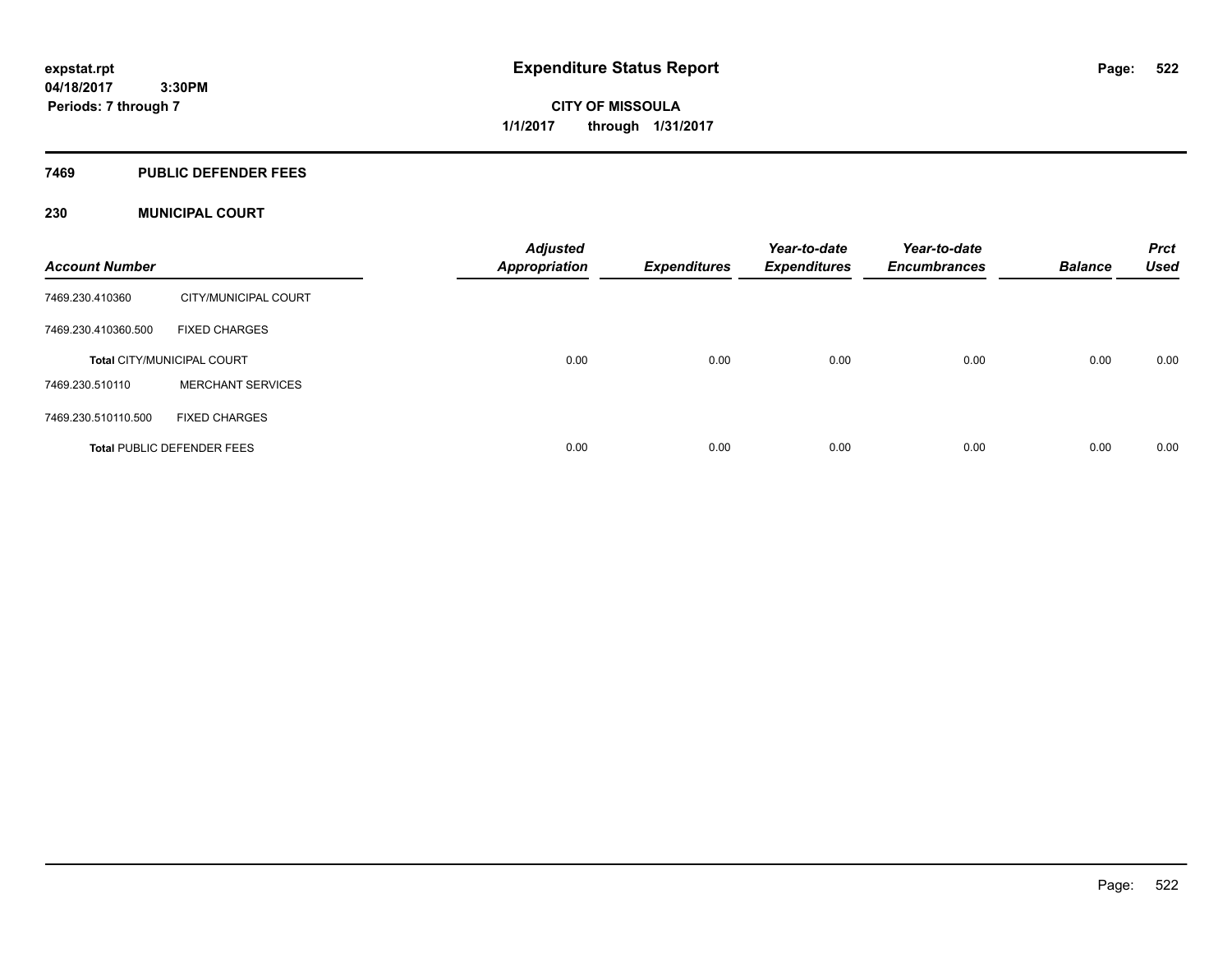**CITY OF MISSOULA 1/1/2017 through 1/31/2017**

#### **7469 PUBLIC DEFENDER FEES**

### **230 MUNICIPAL COURT**

| <b>Account Number</b> |                                   | <b>Adjusted</b><br><b>Appropriation</b> | <b>Expenditures</b> | Year-to-date<br><b>Expenditures</b> | Year-to-date<br><b>Encumbrances</b> | <b>Balance</b> | <b>Prct</b><br><b>Used</b> |
|-----------------------|-----------------------------------|-----------------------------------------|---------------------|-------------------------------------|-------------------------------------|----------------|----------------------------|
| 7469.230.410360       | CITY/MUNICIPAL COURT              |                                         |                     |                                     |                                     |                |                            |
| 7469.230.410360.500   | <b>FIXED CHARGES</b>              |                                         |                     |                                     |                                     |                |                            |
|                       | <b>Total CITY/MUNICIPAL COURT</b> | 0.00                                    | 0.00                | 0.00                                | 0.00                                | 0.00           | 0.00                       |
| 7469.230.510110       | <b>MERCHANT SERVICES</b>          |                                         |                     |                                     |                                     |                |                            |
| 7469.230.510110.500   | <b>FIXED CHARGES</b>              |                                         |                     |                                     |                                     |                |                            |
|                       | <b>Total PUBLIC DEFENDER FEES</b> | 0.00                                    | 0.00                | 0.00                                | 0.00                                | 0.00           | 0.00                       |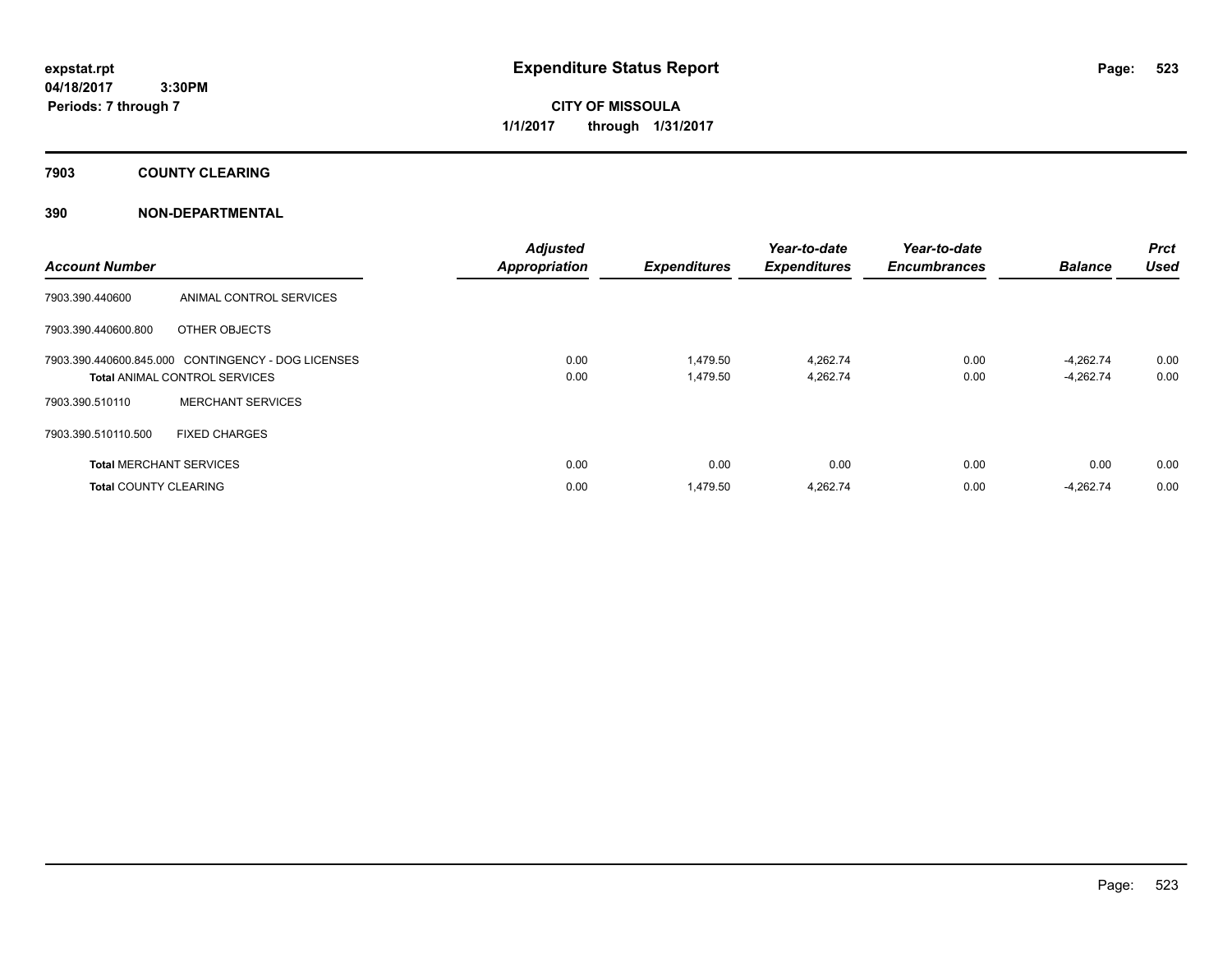**CITY OF MISSOULA 1/1/2017 through 1/31/2017**

**7903 COUNTY CLEARING**

### **390 NON-DEPARTMENTAL**

| <b>Account Number</b>          |                                                                                            | <b>Adjusted</b><br><b>Appropriation</b> | <b>Expenditures</b>  | Year-to-date<br><b>Expenditures</b> | Year-to-date<br><b>Encumbrances</b> | <b>Balance</b>           | Prct<br><b>Used</b> |
|--------------------------------|--------------------------------------------------------------------------------------------|-----------------------------------------|----------------------|-------------------------------------|-------------------------------------|--------------------------|---------------------|
| 7903.390.440600                | ANIMAL CONTROL SERVICES                                                                    |                                         |                      |                                     |                                     |                          |                     |
| 7903.390.440600.800            | OTHER OBJECTS                                                                              |                                         |                      |                                     |                                     |                          |                     |
|                                | 7903.390.440600.845.000 CONTINGENCY - DOG LICENSES<br><b>Total ANIMAL CONTROL SERVICES</b> | 0.00<br>0.00                            | 1.479.50<br>1,479.50 | 4.262.74<br>4,262.74                | 0.00<br>0.00                        | -4.262.74<br>$-4,262.74$ | 0.00<br>0.00        |
| 7903.390.510110                | <b>MERCHANT SERVICES</b>                                                                   |                                         |                      |                                     |                                     |                          |                     |
| 7903.390.510110.500            | <b>FIXED CHARGES</b>                                                                       |                                         |                      |                                     |                                     |                          |                     |
| <b>Total MERCHANT SERVICES</b> |                                                                                            | 0.00                                    | 0.00                 | 0.00                                | 0.00                                | 0.00                     | 0.00                |
| <b>Total COUNTY CLEARING</b>   |                                                                                            | 0.00                                    | 1,479.50             | 4,262.74                            | 0.00                                | $-4,262.74$              | 0.00                |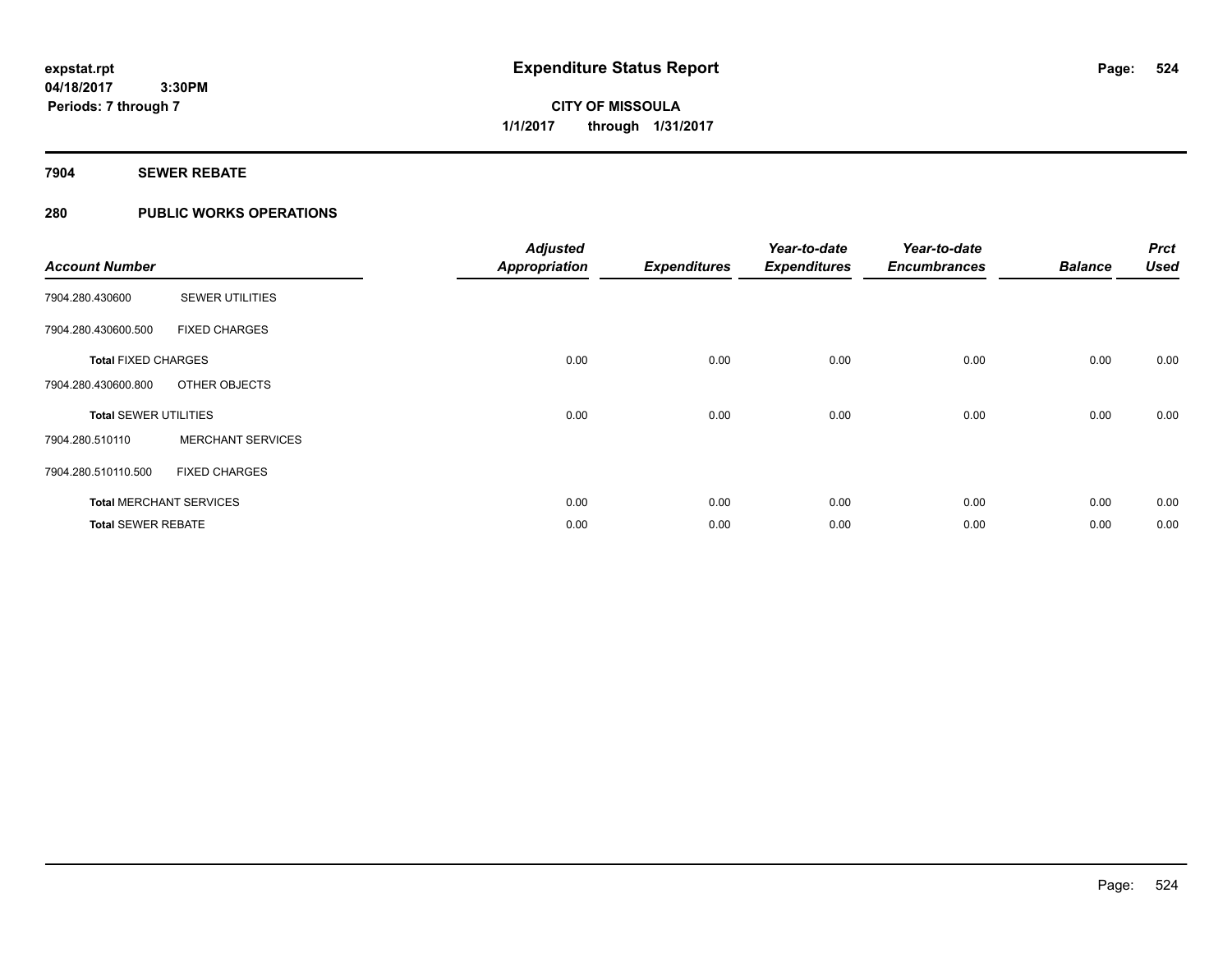**Periods: 7 through 7**

## **CITY OF MISSOULA 1/1/2017 through 1/31/2017**

#### **7904 SEWER REBATE**

### **280 PUBLIC WORKS OPERATIONS**

 **3:30PM**

| <b>Account Number</b>        |                                | <b>Adjusted</b><br><b>Appropriation</b> | <b>Expenditures</b> | Year-to-date<br><b>Expenditures</b> | Year-to-date<br><b>Encumbrances</b> | <b>Balance</b> | <b>Prct</b><br><b>Used</b> |
|------------------------------|--------------------------------|-----------------------------------------|---------------------|-------------------------------------|-------------------------------------|----------------|----------------------------|
| 7904.280.430600              | <b>SEWER UTILITIES</b>         |                                         |                     |                                     |                                     |                |                            |
| 7904.280.430600.500          | <b>FIXED CHARGES</b>           |                                         |                     |                                     |                                     |                |                            |
| <b>Total FIXED CHARGES</b>   |                                | 0.00                                    | 0.00                | 0.00                                | 0.00                                | 0.00           | 0.00                       |
| 7904.280.430600.800          | OTHER OBJECTS                  |                                         |                     |                                     |                                     |                |                            |
| <b>Total SEWER UTILITIES</b> |                                | 0.00                                    | 0.00                | 0.00                                | 0.00                                | 0.00           | 0.00                       |
| 7904.280.510110              | <b>MERCHANT SERVICES</b>       |                                         |                     |                                     |                                     |                |                            |
| 7904.280.510110.500          | <b>FIXED CHARGES</b>           |                                         |                     |                                     |                                     |                |                            |
|                              | <b>Total MERCHANT SERVICES</b> | 0.00                                    | 0.00                | 0.00                                | 0.00                                | 0.00           | 0.00                       |
| <b>Total SEWER REBATE</b>    |                                | 0.00                                    | 0.00                | 0.00                                | 0.00                                | 0.00           | 0.00                       |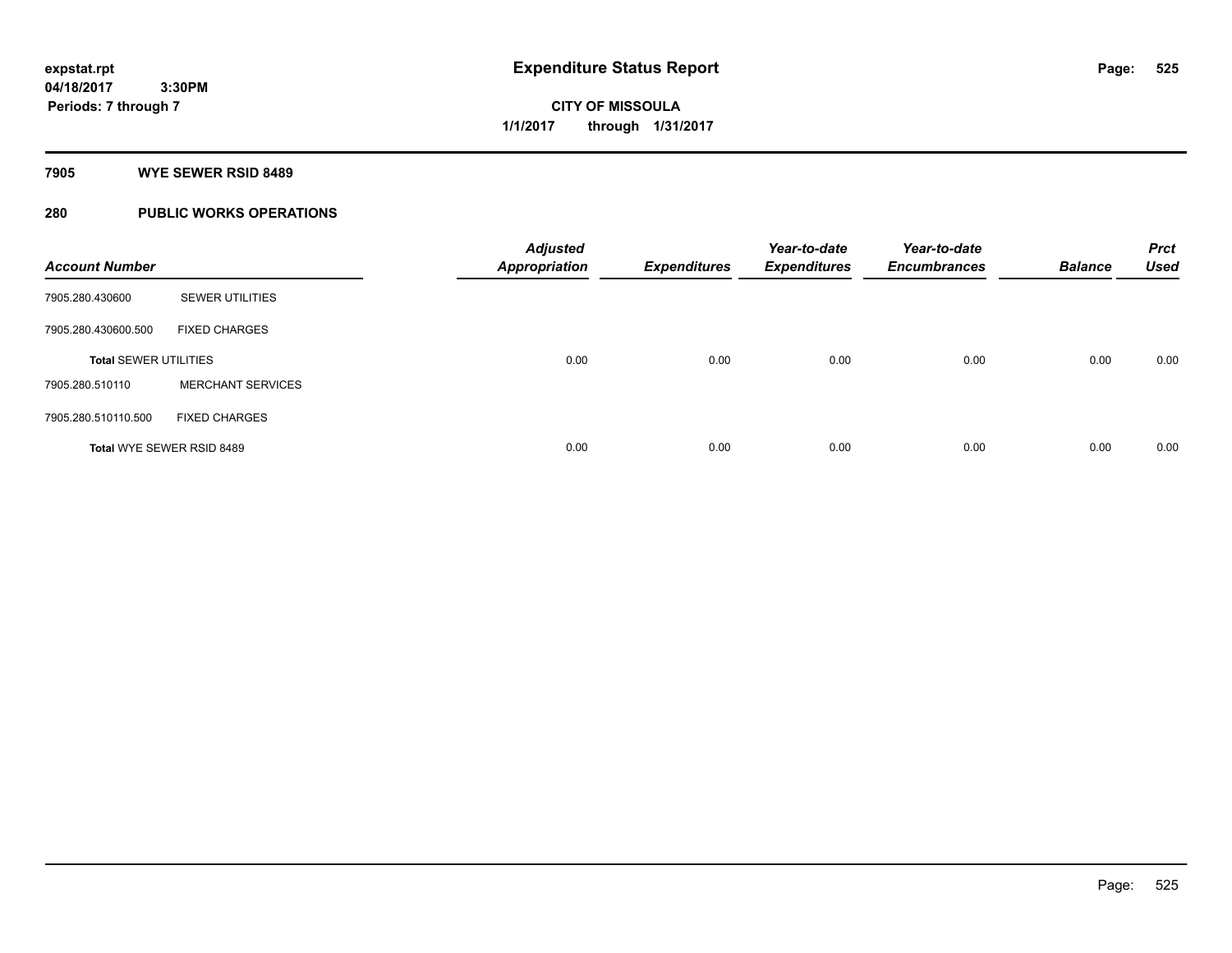**525**

**04/18/2017 3:30PM Periods: 7 through 7**

**CITY OF MISSOULA 1/1/2017 through 1/31/2017**

**7905 WYE SEWER RSID 8489**

### **280 PUBLIC WORKS OPERATIONS**

| <b>Account Number</b>        |                                  | <b>Adjusted</b><br><b>Appropriation</b> | <b>Expenditures</b> | Year-to-date<br><b>Expenditures</b> | Year-to-date<br><b>Encumbrances</b> | <b>Balance</b> | <b>Prct</b><br><b>Used</b> |
|------------------------------|----------------------------------|-----------------------------------------|---------------------|-------------------------------------|-------------------------------------|----------------|----------------------------|
| 7905.280.430600              | <b>SEWER UTILITIES</b>           |                                         |                     |                                     |                                     |                |                            |
| 7905.280.430600.500          | <b>FIXED CHARGES</b>             |                                         |                     |                                     |                                     |                |                            |
| <b>Total SEWER UTILITIES</b> |                                  | 0.00                                    | 0.00                | 0.00                                | 0.00                                | 0.00           | 0.00                       |
| 7905.280.510110              | <b>MERCHANT SERVICES</b>         |                                         |                     |                                     |                                     |                |                            |
| 7905.280.510110.500          | <b>FIXED CHARGES</b>             |                                         |                     |                                     |                                     |                |                            |
|                              | <b>Total WYE SEWER RSID 8489</b> | 0.00                                    | 0.00                | 0.00                                | 0.00                                | 0.00           | 0.00                       |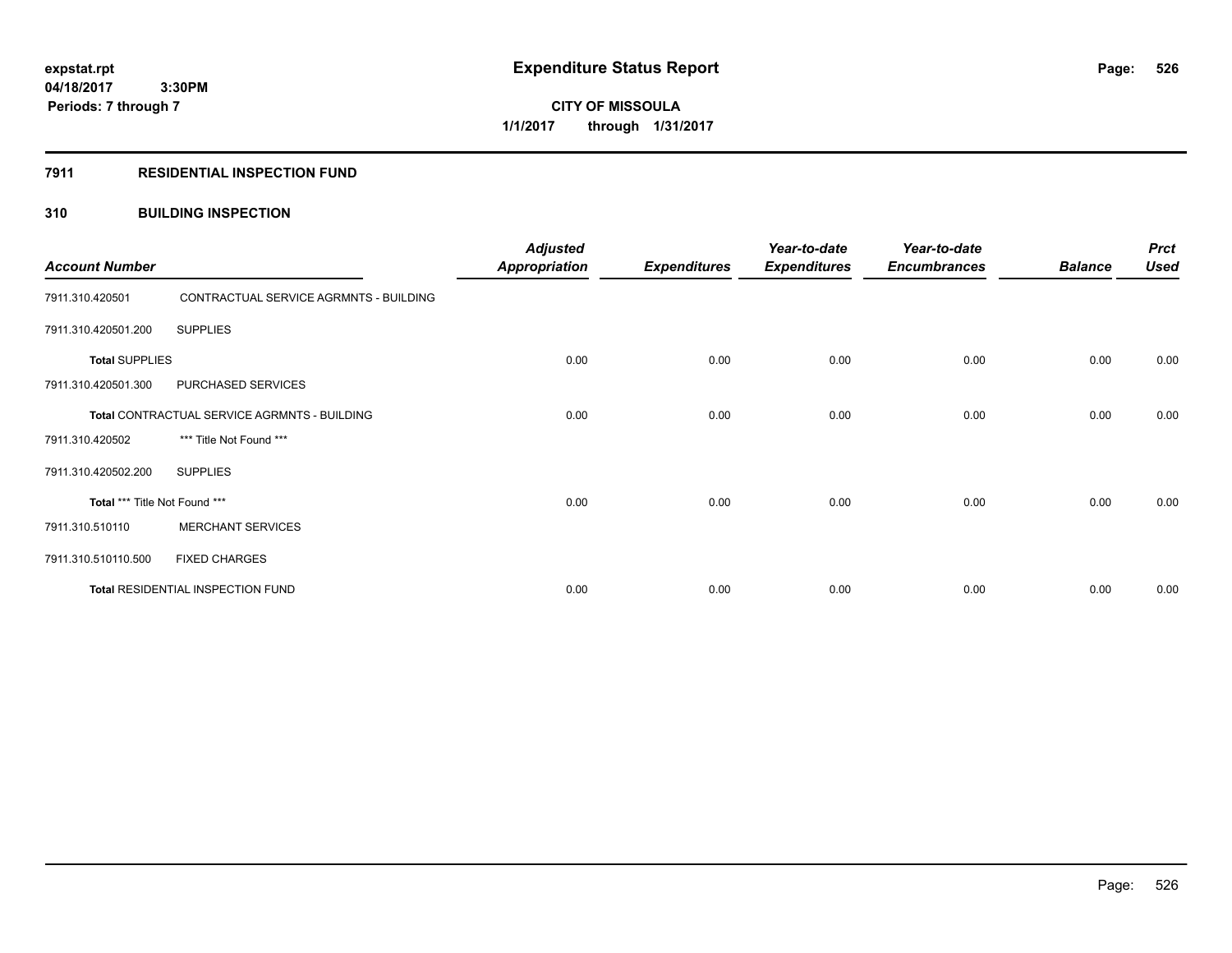**Periods: 7 through 7**

**CITY OF MISSOULA 1/1/2017 through 1/31/2017**

#### **7911 RESIDENTIAL INSPECTION FUND**

 **3:30PM**

### **310 BUILDING INSPECTION**

| <b>Account Number</b>         |                                              | <b>Adjusted</b><br><b>Appropriation</b> | <b>Expenditures</b> | Year-to-date<br><b>Expenditures</b> | Year-to-date<br><b>Encumbrances</b> | <b>Balance</b> | <b>Prct</b><br><b>Used</b> |
|-------------------------------|----------------------------------------------|-----------------------------------------|---------------------|-------------------------------------|-------------------------------------|----------------|----------------------------|
| 7911.310.420501               | CONTRACTUAL SERVICE AGRMNTS - BUILDING       |                                         |                     |                                     |                                     |                |                            |
| 7911.310.420501.200           | <b>SUPPLIES</b>                              |                                         |                     |                                     |                                     |                |                            |
| <b>Total SUPPLIES</b>         |                                              | 0.00                                    | 0.00                | 0.00                                | 0.00                                | 0.00           | 0.00                       |
| 7911.310.420501.300           | PURCHASED SERVICES                           |                                         |                     |                                     |                                     |                |                            |
|                               | Total CONTRACTUAL SERVICE AGRMNTS - BUILDING | 0.00                                    | 0.00                | 0.00                                | 0.00                                | 0.00           | 0.00                       |
| 7911.310.420502               | *** Title Not Found ***                      |                                         |                     |                                     |                                     |                |                            |
| 7911.310.420502.200           | <b>SUPPLIES</b>                              |                                         |                     |                                     |                                     |                |                            |
| Total *** Title Not Found *** |                                              | 0.00                                    | 0.00                | 0.00                                | 0.00                                | 0.00           | 0.00                       |
| 7911.310.510110               | <b>MERCHANT SERVICES</b>                     |                                         |                     |                                     |                                     |                |                            |
| 7911.310.510110.500           | <b>FIXED CHARGES</b>                         |                                         |                     |                                     |                                     |                |                            |
|                               | Total RESIDENTIAL INSPECTION FUND            | 0.00                                    | 0.00                | 0.00                                | 0.00                                | 0.00           | 0.00                       |